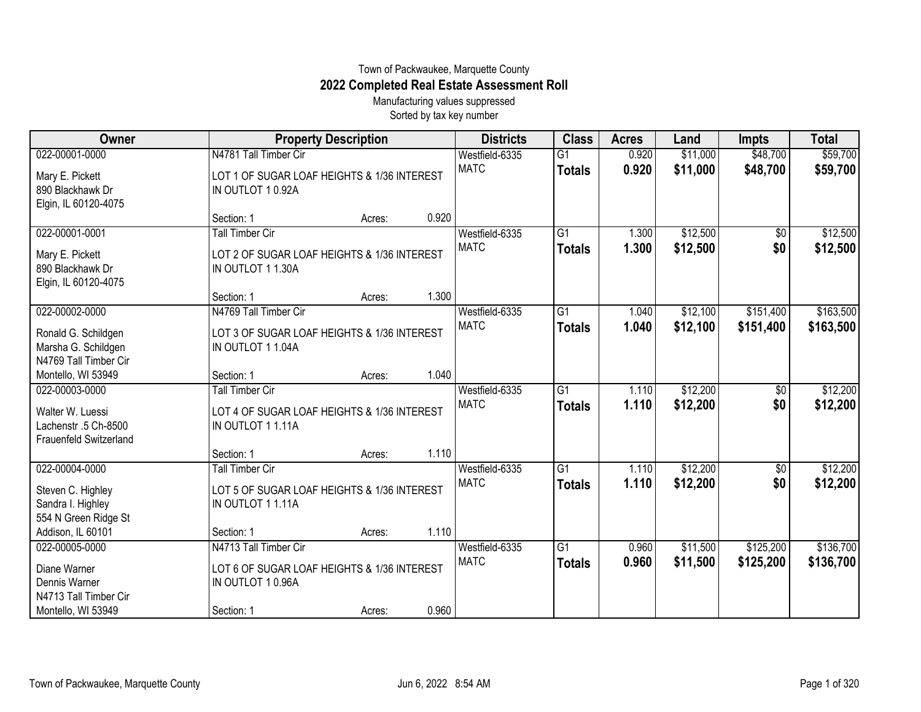## Town of Packwaukee, Marquette County **2022 Completed Real Estate Assessment Roll**

Manufacturing values suppressed Sorted by tax key number

| Owner                                                                                 | <b>Property Description</b>                                                                |        |       | <b>Districts</b>              | <b>Class</b>                     | <b>Acres</b>   | Land                 | <b>Impts</b>           | <b>Total</b>           |
|---------------------------------------------------------------------------------------|--------------------------------------------------------------------------------------------|--------|-------|-------------------------------|----------------------------------|----------------|----------------------|------------------------|------------------------|
| 022-00001-0000                                                                        | N4781 Tall Timber Cir                                                                      |        |       | Westfield-6335                | $\overline{G1}$                  | 0.920          | \$11,000             | \$48,700               | \$59,700               |
| Mary E. Pickett<br>890 Blackhawk Dr<br>Elgin, IL 60120-4075                           | LOT 1 OF SUGAR LOAF HEIGHTS & 1/36 INTEREST<br>IN OUTLOT 10.92A                            |        |       | <b>MATC</b>                   | <b>Totals</b>                    | 0.920          | \$11,000             | \$48,700               | \$59,700               |
|                                                                                       | Section: 1                                                                                 | Acres: | 0.920 |                               |                                  |                |                      |                        |                        |
| 022-00001-0001                                                                        | <b>Tall Timber Cir</b>                                                                     |        |       | Westfield-6335                | $\overline{G1}$                  | 1.300          | \$12,500             | $\sqrt{$0}$            | \$12,500               |
| Mary E. Pickett<br>890 Blackhawk Dr<br>Elgin, IL 60120-4075                           | LOT 2 OF SUGAR LOAF HEIGHTS & 1/36 INTEREST<br>IN OUTLOT 11.30A                            |        |       | <b>MATC</b>                   | <b>Totals</b>                    | 1.300          | \$12,500             | \$0                    | \$12,500               |
|                                                                                       | Section: 1                                                                                 | Acres: | 1.300 |                               |                                  |                |                      |                        |                        |
| 022-00002-0000<br>Ronald G. Schildgen<br>Marsha G. Schildgen<br>N4769 Tall Timber Cir | N4769 Tall Timber Cir<br>LOT 3 OF SUGAR LOAF HEIGHTS & 1/36 INTEREST<br>IN OUTLOT 1 1.04A  |        |       | Westfield-6335<br><b>MATC</b> | G1<br><b>Totals</b>              | 1.040<br>1.040 | \$12,100<br>\$12,100 | \$151,400<br>\$151,400 | \$163,500<br>\$163,500 |
| Montello, WI 53949                                                                    | Section: 1                                                                                 | Acres: | 1.040 |                               |                                  |                |                      |                        |                        |
| 022-00003-0000<br>Walter W. Luessi<br>Lachenstr .5 Ch-8500<br>Frauenfeld Switzerland  | <b>Tall Timber Cir</b><br>LOT 4 OF SUGAR LOAF HEIGHTS & 1/36 INTEREST<br>IN OUTLOT 1 1.11A |        |       | Westfield-6335<br><b>MATC</b> | $\overline{G1}$<br><b>Totals</b> | 1.110<br>1.110 | \$12,200<br>\$12,200 | $\sqrt[6]{30}$<br>\$0  | \$12,200<br>\$12,200   |
|                                                                                       | Section: 1                                                                                 | Acres: | 1.110 |                               |                                  |                |                      |                        |                        |
| 022-00004-0000<br>Steven C. Highley<br>Sandra I. Highley<br>554 N Green Ridge St      | <b>Tall Timber Cir</b><br>LOT 5 OF SUGAR LOAF HEIGHTS & 1/36 INTEREST<br>IN OUTLOT 11.11A  |        |       | Westfield-6335<br><b>MATC</b> | G <sub>1</sub><br><b>Totals</b>  | 1.110<br>1.110 | \$12,200<br>\$12,200 | \$0<br>\$0             | \$12,200<br>\$12,200   |
| Addison, IL 60101                                                                     | Section: 1                                                                                 | Acres: | 1.110 |                               |                                  |                |                      |                        |                        |
| 022-00005-0000<br>Diane Warner<br>Dennis Warner<br>N4713 Tall Timber Cir              | N4713 Tall Timber Cir<br>LOT 6 OF SUGAR LOAF HEIGHTS & 1/36 INTEREST<br>IN OUTLOT 10.96A   |        | 0.960 | Westfield-6335<br><b>MATC</b> | $\overline{G1}$<br><b>Totals</b> | 0.960<br>0.960 | \$11,500<br>\$11,500 | \$125,200<br>\$125,200 | \$136,700<br>\$136,700 |
| Montello, WI 53949                                                                    | Section: 1                                                                                 | Acres: |       |                               |                                  |                |                      |                        |                        |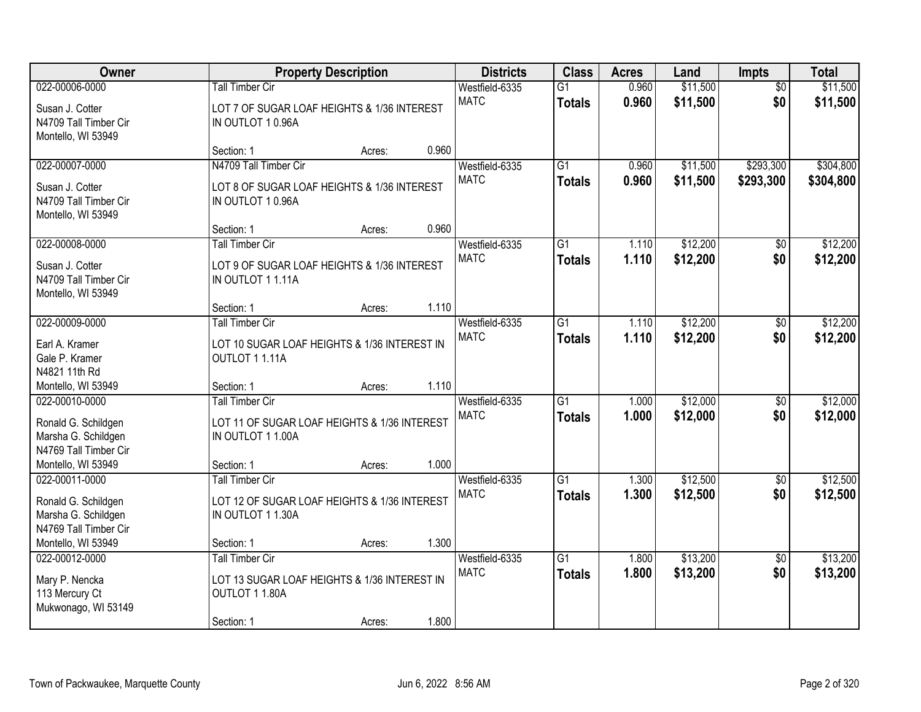| Owner                                                                                 |                                                                                            | <b>Property Description</b> |       | <b>Districts</b>              | <b>Class</b>                     | <b>Acres</b>   | Land                 | <b>Impts</b>      | <b>Total</b>         |
|---------------------------------------------------------------------------------------|--------------------------------------------------------------------------------------------|-----------------------------|-------|-------------------------------|----------------------------------|----------------|----------------------|-------------------|----------------------|
| 022-00006-0000                                                                        | <b>Tall Timber Cir</b>                                                                     |                             |       | Westfield-6335                | $\overline{G1}$                  | 0.960          | \$11,500             | $\overline{50}$   | \$11,500             |
| Susan J. Cotter<br>N4709 Tall Timber Cir<br>Montello, WI 53949                        | LOT 7 OF SUGAR LOAF HEIGHTS & 1/36 INTEREST<br>IN OUTLOT 10.96A                            |                             |       | <b>MATC</b>                   | <b>Totals</b>                    | 0.960          | \$11,500             | \$0               | \$11,500             |
|                                                                                       | Section: 1                                                                                 | Acres:                      | 0.960 |                               |                                  |                |                      |                   |                      |
| 022-00007-0000                                                                        | N4709 Tall Timber Cir                                                                      |                             |       | Westfield-6335                | $\overline{G1}$                  | 0.960          | \$11,500             | \$293,300         | \$304,800            |
| Susan J. Cotter<br>N4709 Tall Timber Cir<br>Montello, WI 53949                        | LOT 8 OF SUGAR LOAF HEIGHTS & 1/36 INTEREST<br>IN OUTLOT 10.96A                            |                             |       | <b>MATC</b>                   | <b>Totals</b>                    | 0.960          | \$11,500             | \$293,300         | \$304,800            |
|                                                                                       | Section: 1                                                                                 | Acres:                      | 0.960 |                               |                                  |                |                      |                   |                      |
| 022-00008-0000                                                                        | <b>Tall Timber Cir</b>                                                                     |                             |       | Westfield-6335                | $\overline{G1}$                  | 1.110          | \$12,200             | \$0               | \$12,200             |
| Susan J. Cotter<br>N4709 Tall Timber Cir<br>Montello, WI 53949                        | LOT 9 OF SUGAR LOAF HEIGHTS & 1/36 INTEREST<br>IN OUTLOT 11.11A                            |                             |       | <b>MATC</b>                   | Totals                           | 1.110          | \$12,200             | \$0               | \$12,200             |
|                                                                                       | Section: 1                                                                                 | Acres:                      | 1.110 |                               |                                  |                |                      |                   |                      |
| 022-00009-0000                                                                        | <b>Tall Timber Cir</b>                                                                     |                             |       | Westfield-6335                | $\overline{G1}$                  | 1.110          | \$12,200             | \$0               | \$12,200             |
| Earl A. Kramer<br>Gale P. Kramer<br>N4821 11th Rd                                     | LOT 10 SUGAR LOAF HEIGHTS & 1/36 INTEREST IN<br>OUTLOT 11.11A                              |                             |       | <b>MATC</b>                   | <b>Totals</b>                    | 1.110          | \$12,200             | \$0               | \$12,200             |
| Montello, WI 53949                                                                    | Section: 1                                                                                 | Acres:                      | 1.110 |                               |                                  |                |                      |                   |                      |
| 022-00010-0000                                                                        | <b>Tall Timber Cir</b>                                                                     |                             |       | Westfield-6335                | $\overline{G1}$                  | 1.000          | \$12,000             | \$0               | \$12,000             |
| Ronald G. Schildgen<br>Marsha G. Schildgen<br>N4769 Tall Timber Cir                   | LOT 11 OF SUGAR LOAF HEIGHTS & 1/36 INTEREST<br>IN OUTLOT 11.00A                           |                             |       | <b>MATC</b>                   | <b>Totals</b>                    | 1.000          | \$12,000             | \$0               | \$12,000             |
| Montello, WI 53949                                                                    | Section: 1                                                                                 | Acres:                      | 1.000 |                               |                                  |                |                      |                   |                      |
| 022-00011-0000<br>Ronald G. Schildgen<br>Marsha G. Schildgen<br>N4769 Tall Timber Cir | <b>Tall Timber Cir</b><br>LOT 12 OF SUGAR LOAF HEIGHTS & 1/36 INTEREST<br>IN OUTLOT 11.30A |                             |       | Westfield-6335<br><b>MATC</b> | $\overline{G1}$<br><b>Totals</b> | 1.300<br>1.300 | \$12,500<br>\$12,500 | $\sqrt{6}$<br>\$0 | \$12,500<br>\$12,500 |
| Montello, WI 53949                                                                    | Section: 1                                                                                 | Acres:                      | 1.300 |                               |                                  |                |                      |                   |                      |
| 022-00012-0000                                                                        | <b>Tall Timber Cir</b>                                                                     |                             |       | Westfield-6335                | $\overline{G1}$                  | 1.800          | \$13,200             | $\overline{50}$   | \$13,200             |
| Mary P. Nencka<br>113 Mercury Ct<br>Mukwonago, WI 53149                               | LOT 13 SUGAR LOAF HEIGHTS & 1/36 INTEREST IN<br>OUTLOT 11.80A<br>Section: 1                | Acres:                      | 1.800 | <b>MATC</b>                   | <b>Totals</b>                    | 1.800          | \$13,200             | \$0               | \$13,200             |
|                                                                                       |                                                                                            |                             |       |                               |                                  |                |                      |                   |                      |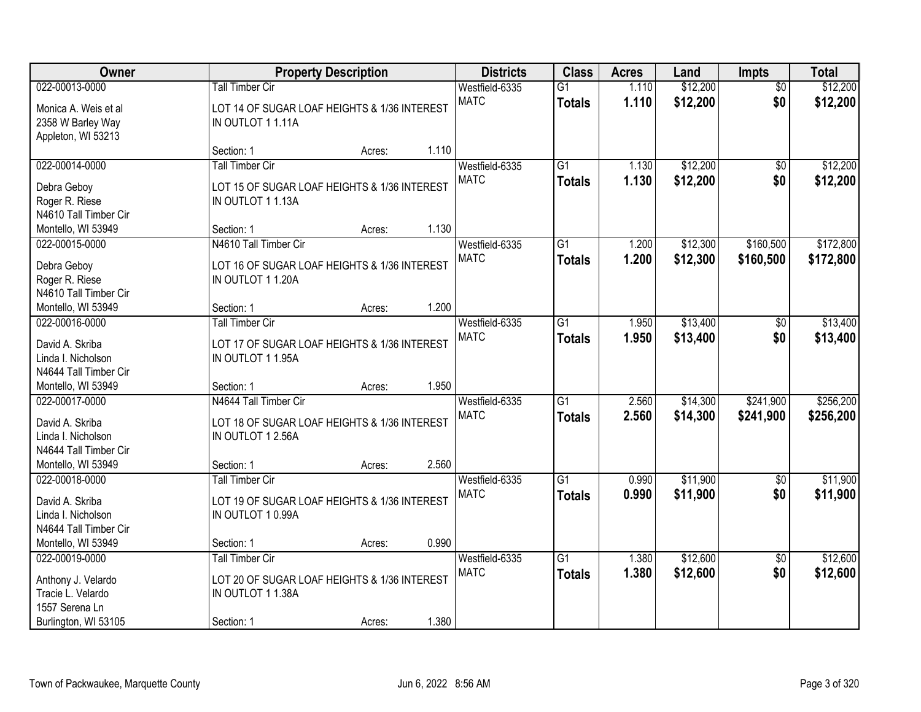| Owner                                                                            |                                                                                            | <b>Property Description</b> |       | <b>Districts</b>              | <b>Class</b>                     | <b>Acres</b>   | Land                 | <b>Impts</b>           | <b>Total</b>           |
|----------------------------------------------------------------------------------|--------------------------------------------------------------------------------------------|-----------------------------|-------|-------------------------------|----------------------------------|----------------|----------------------|------------------------|------------------------|
| 022-00013-0000                                                                   | Tall Timber Cir                                                                            |                             |       | Westfield-6335                | $\overline{G1}$                  | 1.110          | \$12,200             | $\overline{50}$        | \$12,200               |
| Monica A. Weis et al<br>2358 W Barley Way<br>Appleton, WI 53213                  | LOT 14 OF SUGAR LOAF HEIGHTS & 1/36 INTEREST<br>IN OUTLOT 11.11A                           |                             |       | <b>MATC</b>                   | <b>Totals</b>                    | 1.110          | \$12,200             | \$0                    | \$12,200               |
|                                                                                  | Section: 1                                                                                 | Acres:                      | 1.110 |                               |                                  |                |                      |                        |                        |
| 022-00014-0000<br>Debra Geboy                                                    | <b>Tall Timber Cir</b><br>LOT 15 OF SUGAR LOAF HEIGHTS & 1/36 INTEREST                     |                             |       | Westfield-6335<br><b>MATC</b> | $\overline{G1}$<br><b>Totals</b> | 1.130<br>1.130 | \$12,200<br>\$12,200 | \$0<br>\$0             | \$12,200<br>\$12,200   |
| Roger R. Riese<br>N4610 Tall Timber Cir                                          | IN OUTLOT 11.13A                                                                           |                             |       |                               |                                  |                |                      |                        |                        |
| Montello, WI 53949                                                               | Section: 1                                                                                 | Acres:                      | 1.130 |                               |                                  |                |                      |                        |                        |
| 022-00015-0000<br>Debra Geboy<br>Roger R. Riese<br>N4610 Tall Timber Cir         | N4610 Tall Timber Cir<br>LOT 16 OF SUGAR LOAF HEIGHTS & 1/36 INTEREST<br>IN OUTLOT 11.20A  |                             |       | Westfield-6335<br><b>MATC</b> | $\overline{G1}$<br><b>Totals</b> | 1.200<br>1.200 | \$12,300<br>\$12,300 | \$160,500<br>\$160,500 | \$172,800<br>\$172,800 |
| Montello, WI 53949                                                               | Section: 1                                                                                 | Acres:                      | 1.200 |                               |                                  |                |                      |                        |                        |
| 022-00016-0000                                                                   | <b>Tall Timber Cir</b>                                                                     |                             |       | Westfield-6335<br><b>MATC</b> | $\overline{G1}$<br><b>Totals</b> | 1.950<br>1.950 | \$13,400<br>\$13,400 | $\frac{1}{20}$<br>\$0  | \$13,400<br>\$13,400   |
| David A. Skriba<br>Linda I. Nicholson<br>N4644 Tall Timber Cir                   | LOT 17 OF SUGAR LOAF HEIGHTS & 1/36 INTEREST<br>IN OUTLOT 1 1.95A                          |                             |       |                               |                                  |                |                      |                        |                        |
| Montello, WI 53949                                                               | Section: 1                                                                                 | Acres:                      | 1.950 |                               |                                  |                |                      |                        |                        |
| 022-00017-0000<br>David A. Skriba<br>Linda I. Nicholson<br>N4644 Tall Timber Cir | N4644 Tall Timber Cir<br>LOT 18 OF SUGAR LOAF HEIGHTS & 1/36 INTEREST<br>IN OUTLOT 1 2.56A |                             |       | Westfield-6335<br><b>MATC</b> | $\overline{G1}$<br><b>Totals</b> | 2.560<br>2.560 | \$14,300<br>\$14,300 | \$241,900<br>\$241,900 | \$256,200<br>\$256,200 |
| Montello, WI 53949                                                               | Section: 1                                                                                 | Acres:                      | 2.560 |                               |                                  |                |                      |                        |                        |
| 022-00018-0000                                                                   | <b>Tall Timber Cir</b>                                                                     |                             |       | Westfield-6335                | $\overline{G1}$                  | 0.990          | \$11,900             | \$0                    | \$11,900               |
| David A. Skriba<br>Linda I. Nicholson<br>N4644 Tall Timber Cir                   | LOT 19 OF SUGAR LOAF HEIGHTS & 1/36 INTEREST<br>IN OUTLOT 10.99A                           |                             |       | <b>MATC</b>                   | <b>Totals</b>                    | 0.990          | \$11,900             | \$0                    | \$11,900               |
| Montello, WI 53949                                                               | Section: 1                                                                                 | Acres:                      | 0.990 |                               |                                  |                |                      |                        |                        |
| 022-00019-0000                                                                   | <b>Tall Timber Cir</b>                                                                     |                             |       | Westfield-6335                | $\overline{G1}$                  | 1.380          | \$12,600             | $\overline{30}$        | \$12,600               |
| Anthony J. Velardo<br>Tracie L. Velardo<br>1557 Serena Ln                        | LOT 20 OF SUGAR LOAF HEIGHTS & 1/36 INTEREST<br>IN OUTLOT 1 1.38A                          |                             |       | <b>MATC</b>                   | <b>Totals</b>                    | 1.380          | \$12,600             | \$0                    | \$12,600               |
| Burlington, WI 53105                                                             | Section: 1                                                                                 | Acres:                      | 1.380 |                               |                                  |                |                      |                        |                        |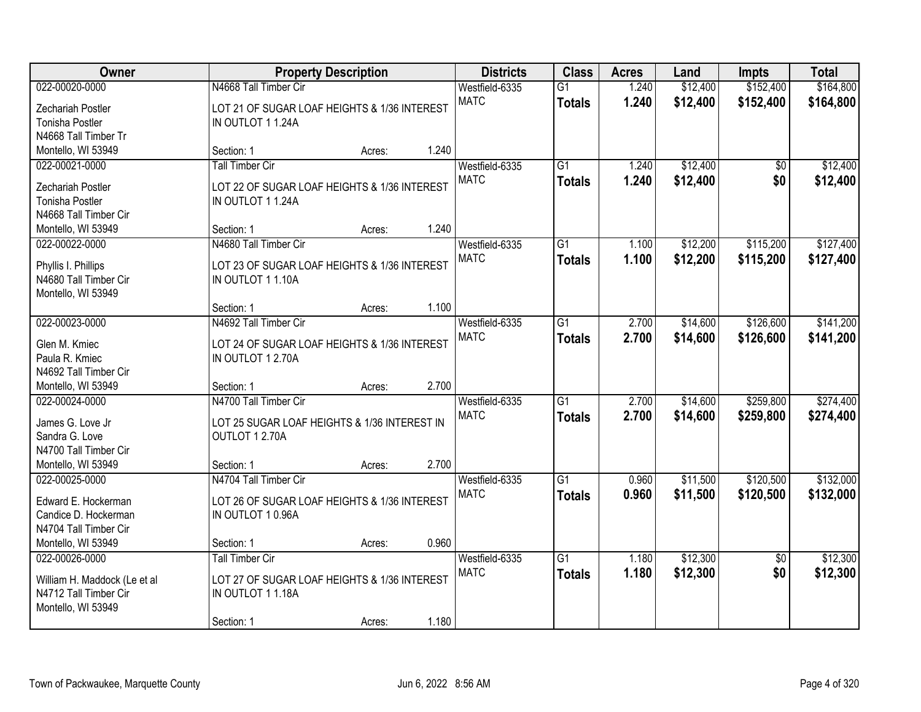| Owner                                        |                                                                  | <b>Property Description</b> |       | <b>Districts</b> | <b>Class</b>    | <b>Acres</b> | Land     | <b>Impts</b>    | <b>Total</b> |
|----------------------------------------------|------------------------------------------------------------------|-----------------------------|-------|------------------|-----------------|--------------|----------|-----------------|--------------|
| 022-00020-0000                               | N4668 Tall Timber Cir                                            |                             |       | Westfield-6335   | $\overline{G1}$ | 1.240        | \$12,400 | \$152,400       | \$164,800    |
| Zechariah Postler                            | LOT 21 OF SUGAR LOAF HEIGHTS & 1/36 INTEREST                     |                             |       | <b>MATC</b>      | <b>Totals</b>   | 1.240        | \$12,400 | \$152,400       | \$164,800    |
| <b>Tonisha Postler</b>                       | IN OUTLOT 11.24A                                                 |                             |       |                  |                 |              |          |                 |              |
| N4668 Tall Timber Tr                         |                                                                  |                             |       |                  |                 |              |          |                 |              |
| Montello, WI 53949                           | Section: 1                                                       | Acres:                      | 1.240 |                  |                 |              |          |                 |              |
| 022-00021-0000                               | <b>Tall Timber Cir</b>                                           |                             |       | Westfield-6335   | $\overline{G1}$ | 1.240        | \$12,400 | \$0             | \$12,400     |
| Zechariah Postler                            | LOT 22 OF SUGAR LOAF HEIGHTS & 1/36 INTEREST                     |                             |       | <b>MATC</b>      | <b>Totals</b>   | 1.240        | \$12,400 | \$0             | \$12,400     |
| <b>Tonisha Postler</b>                       | IN OUTLOT 11.24A                                                 |                             |       |                  |                 |              |          |                 |              |
| N4668 Tall Timber Cir                        |                                                                  |                             |       |                  |                 |              |          |                 |              |
| Montello, WI 53949                           | Section: 1                                                       | Acres:                      | 1.240 |                  |                 |              |          |                 |              |
| 022-00022-0000                               | N4680 Tall Timber Cir                                            |                             |       | Westfield-6335   | G1              | 1.100        | \$12,200 | \$115,200       | \$127,400    |
|                                              |                                                                  |                             |       | <b>MATC</b>      | <b>Totals</b>   | 1.100        | \$12,200 | \$115,200       | \$127,400    |
| Phyllis I. Phillips<br>N4680 Tall Timber Cir | LOT 23 OF SUGAR LOAF HEIGHTS & 1/36 INTEREST<br>IN OUTLOT 11.10A |                             |       |                  |                 |              |          |                 |              |
| Montello, WI 53949                           |                                                                  |                             |       |                  |                 |              |          |                 |              |
|                                              | Section: 1                                                       | Acres:                      | 1.100 |                  |                 |              |          |                 |              |
| 022-00023-0000                               | N4692 Tall Timber Cir                                            |                             |       | Westfield-6335   | $\overline{G1}$ | 2.700        | \$14,600 | \$126,600       | \$141,200    |
|                                              |                                                                  |                             |       | <b>MATC</b>      | <b>Totals</b>   | 2.700        | \$14,600 | \$126,600       | \$141,200    |
| Glen M. Kmiec                                | LOT 24 OF SUGAR LOAF HEIGHTS & 1/36 INTEREST                     |                             |       |                  |                 |              |          |                 |              |
| Paula R. Kmiec<br>N4692 Tall Timber Cir      | IN OUTLOT 1 2.70A                                                |                             |       |                  |                 |              |          |                 |              |
| Montello, WI 53949                           | Section: 1                                                       | Acres:                      | 2.700 |                  |                 |              |          |                 |              |
| 022-00024-0000                               | N4700 Tall Timber Cir                                            |                             |       | Westfield-6335   | $\overline{G1}$ | 2.700        | \$14,600 | \$259,800       | \$274,400    |
|                                              |                                                                  |                             |       | <b>MATC</b>      | <b>Totals</b>   | 2.700        | \$14,600 | \$259,800       | \$274,400    |
| James G. Love Jr                             | LOT 25 SUGAR LOAF HEIGHTS & 1/36 INTEREST IN                     |                             |       |                  |                 |              |          |                 |              |
| Sandra G. Love                               | OUTLOT 1 2.70A                                                   |                             |       |                  |                 |              |          |                 |              |
| N4700 Tall Timber Cir                        |                                                                  |                             |       |                  |                 |              |          |                 |              |
| Montello, WI 53949                           | Section: 1                                                       | Acres:                      | 2.700 |                  |                 |              |          |                 |              |
| 022-00025-0000                               | N4704 Tall Timber Cir                                            |                             |       | Westfield-6335   | $\overline{G1}$ | 0.960        | \$11,500 | \$120,500       | \$132,000    |
| Edward E. Hockerman                          | LOT 26 OF SUGAR LOAF HEIGHTS & 1/36 INTEREST                     |                             |       | <b>MATC</b>      | <b>Totals</b>   | 0.960        | \$11,500 | \$120,500       | \$132,000    |
| Candice D. Hockerman                         | IN OUTLOT 10.96A                                                 |                             |       |                  |                 |              |          |                 |              |
| N4704 Tall Timber Cir                        |                                                                  |                             |       |                  |                 |              |          |                 |              |
| Montello, WI 53949                           | Section: 1                                                       | Acres:                      | 0.960 |                  |                 |              |          |                 |              |
| 022-00026-0000                               | <b>Tall Timber Cir</b>                                           |                             |       | Westfield-6335   | $\overline{G1}$ | 1.180        | \$12,300 | $\overline{50}$ | \$12,300     |
| William H. Maddock (Le et al                 | LOT 27 OF SUGAR LOAF HEIGHTS & 1/36 INTEREST                     |                             |       | <b>MATC</b>      | <b>Totals</b>   | 1.180        | \$12,300 | \$0             | \$12,300     |
| N4712 Tall Timber Cir                        | IN OUTLOT 11.18A                                                 |                             |       |                  |                 |              |          |                 |              |
| Montello, WI 53949                           |                                                                  |                             |       |                  |                 |              |          |                 |              |
|                                              | Section: 1                                                       | Acres:                      | 1.180 |                  |                 |              |          |                 |              |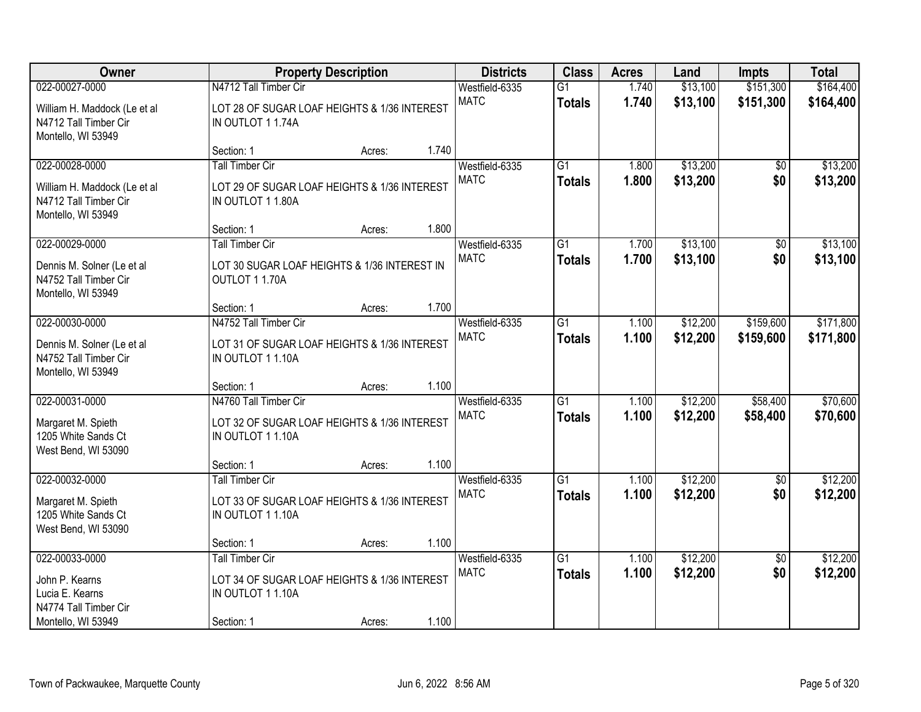| Owner                                                                       |                                                                   | <b>Property Description</b> |       | <b>Districts</b> | <b>Class</b>    | <b>Acres</b> | Land     | <b>Impts</b>    | <b>Total</b> |
|-----------------------------------------------------------------------------|-------------------------------------------------------------------|-----------------------------|-------|------------------|-----------------|--------------|----------|-----------------|--------------|
| 022-00027-0000                                                              | N4712 Tall Timber Cir                                             |                             |       | Westfield-6335   | $\overline{G1}$ | 1.740        | \$13,100 | \$151,300       | \$164,400    |
| William H. Maddock (Le et al<br>N4712 Tall Timber Cir<br>Montello, WI 53949 | LOT 28 OF SUGAR LOAF HEIGHTS & 1/36 INTEREST<br>IN OUTLOT 11.74A  |                             |       | <b>MATC</b>      | <b>Totals</b>   | 1.740        | \$13,100 | \$151,300       | \$164,400    |
|                                                                             | Section: 1                                                        | Acres:                      | 1.740 |                  |                 |              |          |                 |              |
| 022-00028-0000                                                              | <b>Tall Timber Cir</b>                                            |                             |       | Westfield-6335   | $\overline{G1}$ | 1.800        | \$13,200 | $\overline{50}$ | \$13,200     |
| William H. Maddock (Le et al<br>N4712 Tall Timber Cir<br>Montello, WI 53949 | LOT 29 OF SUGAR LOAF HEIGHTS & 1/36 INTEREST<br>IN OUTLOT 1 1.80A |                             |       | <b>MATC</b>      | <b>Totals</b>   | 1.800        | \$13,200 | \$0             | \$13,200     |
|                                                                             | Section: 1                                                        | Acres:                      | 1.800 |                  |                 |              |          |                 |              |
| 022-00029-0000                                                              | <b>Tall Timber Cir</b>                                            |                             |       | Westfield-6335   | G1              | 1.700        | \$13,100 | \$0             | \$13,100     |
| Dennis M. Solner (Le et al<br>N4752 Tall Timber Cir<br>Montello, WI 53949   | LOT 30 SUGAR LOAF HEIGHTS & 1/36 INTEREST IN<br>OUTLOT 11.70A     |                             |       | <b>MATC</b>      | <b>Totals</b>   | 1.700        | \$13,100 | \$0             | \$13,100     |
|                                                                             | Section: 1                                                        | Acres:                      | 1.700 |                  |                 |              |          |                 |              |
| 022-00030-0000                                                              | N4752 Tall Timber Cir                                             |                             |       | Westfield-6335   | $\overline{G1}$ | 1.100        | \$12,200 | \$159,600       | \$171,800    |
| Dennis M. Solner (Le et al<br>N4752 Tall Timber Cir<br>Montello, WI 53949   | LOT 31 OF SUGAR LOAF HEIGHTS & 1/36 INTEREST<br>IN OUTLOT 1 1.10A |                             |       | <b>MATC</b>      | <b>Totals</b>   | 1.100        | \$12,200 | \$159,600       | \$171,800    |
|                                                                             | Section: 1                                                        | Acres:                      | 1.100 |                  |                 |              |          |                 |              |
| 022-00031-0000                                                              | N4760 Tall Timber Cir                                             |                             |       | Westfield-6335   | $\overline{G1}$ | 1.100        | \$12,200 | \$58,400        | \$70,600     |
| Margaret M. Spieth<br>1205 White Sands Ct<br>West Bend, WI 53090            | LOT 32 OF SUGAR LOAF HEIGHTS & 1/36 INTEREST<br>IN OUTLOT 1 1.10A |                             |       | <b>MATC</b>      | <b>Totals</b>   | 1.100        | \$12,200 | \$58,400        | \$70,600     |
|                                                                             | Section: 1                                                        | Acres:                      | 1.100 |                  |                 |              |          |                 |              |
| 022-00032-0000                                                              | <b>Tall Timber Cir</b>                                            |                             |       | Westfield-6335   | $\overline{G1}$ | 1.100        | \$12,200 | $\overline{60}$ | \$12,200     |
| Margaret M. Spieth<br>1205 White Sands Ct<br>West Bend, WI 53090            | LOT 33 OF SUGAR LOAF HEIGHTS & 1/36 INTEREST<br>IN OUTLOT 11.10A  |                             |       | <b>MATC</b>      | <b>Totals</b>   | 1.100        | \$12,200 | \$0             | \$12,200     |
|                                                                             | Section: 1                                                        | Acres:                      | 1.100 |                  |                 |              |          |                 |              |
| 022-00033-0000                                                              | <b>Tall Timber Cir</b>                                            |                             |       | Westfield-6335   | $\overline{G1}$ | 1.100        | \$12,200 | $\overline{30}$ | \$12,200     |
| John P. Kearns                                                              | LOT 34 OF SUGAR LOAF HEIGHTS & 1/36 INTEREST                      |                             |       | <b>MATC</b>      | <b>Totals</b>   | 1.100        | \$12,200 | \$0             | \$12,200     |
| Lucia E. Kearns                                                             | IN OUTLOT 11.10A                                                  |                             |       |                  |                 |              |          |                 |              |
| N4774 Tall Timber Cir                                                       |                                                                   |                             |       |                  |                 |              |          |                 |              |
| Montello, WI 53949                                                          | Section: 1                                                        | Acres:                      | 1.100 |                  |                 |              |          |                 |              |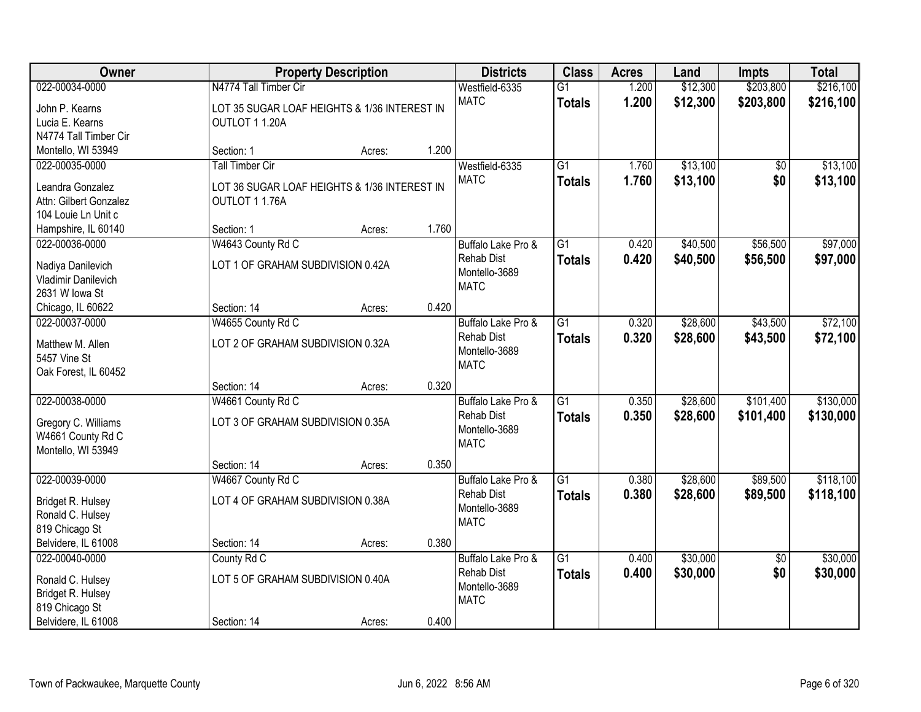| <b>Owner</b>           |                                              | <b>Property Description</b> |       | <b>Districts</b>                   | <b>Class</b>    | <b>Acres</b> | Land     | <b>Impts</b>    | <b>Total</b> |
|------------------------|----------------------------------------------|-----------------------------|-------|------------------------------------|-----------------|--------------|----------|-----------------|--------------|
| 022-00034-0000         | N4774 Tall Timber Cir                        |                             |       | Westfield-6335                     | $\overline{G1}$ | 1.200        | \$12,300 | \$203,800       | \$216,100    |
| John P. Kearns         | LOT 35 SUGAR LOAF HEIGHTS & 1/36 INTEREST IN |                             |       | <b>MATC</b>                        | <b>Totals</b>   | 1.200        | \$12,300 | \$203,800       | \$216,100    |
| Lucia E. Kearns        | OUTLOT 11.20A                                |                             |       |                                    |                 |              |          |                 |              |
| N4774 Tall Timber Cir  |                                              |                             |       |                                    |                 |              |          |                 |              |
| Montello, WI 53949     | Section: 1                                   | Acres:                      | 1.200 |                                    |                 |              |          |                 |              |
| 022-00035-0000         | <b>Tall Timber Cir</b>                       |                             |       | Westfield-6335                     | $\overline{G1}$ | 1.760        | \$13,100 | \$0             | \$13,100     |
| Leandra Gonzalez       | LOT 36 SUGAR LOAF HEIGHTS & 1/36 INTEREST IN |                             |       | <b>MATC</b>                        | <b>Totals</b>   | 1.760        | \$13,100 | \$0             | \$13,100     |
| Attn: Gilbert Gonzalez | OUTLOT 11.76A                                |                             |       |                                    |                 |              |          |                 |              |
| 104 Louie Ln Unit c    |                                              |                             |       |                                    |                 |              |          |                 |              |
| Hampshire, IL 60140    | Section: 1                                   | Acres:                      | 1.760 |                                    |                 |              |          |                 |              |
| 022-00036-0000         | W4643 County Rd C                            |                             |       | Buffalo Lake Pro &                 | G1              | 0.420        | \$40,500 | \$56,500        | \$97,000     |
|                        |                                              |                             |       | <b>Rehab Dist</b>                  | <b>Totals</b>   | 0.420        | \$40,500 | \$56,500        | \$97,000     |
| Nadiya Danilevich      | LOT 1 OF GRAHAM SUBDIVISION 0.42A            |                             |       | Montello-3689                      |                 |              |          |                 |              |
| Vladimir Danilevich    |                                              |                             |       | <b>MATC</b>                        |                 |              |          |                 |              |
| 2631 W lowa St         |                                              |                             |       |                                    |                 |              |          |                 |              |
| Chicago, IL 60622      | Section: 14                                  | Acres:                      | 0.420 |                                    |                 |              |          |                 |              |
| 022-00037-0000         | W4655 County Rd C                            |                             |       | Buffalo Lake Pro &                 | $\overline{G1}$ | 0.320        | \$28,600 | \$43,500        | \$72,100     |
| Matthew M. Allen       | LOT 2 OF GRAHAM SUBDIVISION 0.32A            |                             |       | <b>Rehab Dist</b><br>Montello-3689 | <b>Totals</b>   | 0.320        | \$28,600 | \$43,500        | \$72,100     |
| 5457 Vine St           |                                              |                             |       | <b>MATC</b>                        |                 |              |          |                 |              |
| Oak Forest, IL 60452   |                                              |                             |       |                                    |                 |              |          |                 |              |
|                        | Section: 14                                  | Acres:                      | 0.320 |                                    |                 |              |          |                 |              |
| 022-00038-0000         | W4661 County Rd C                            |                             |       | Buffalo Lake Pro &                 | $\overline{G1}$ | 0.350        | \$28,600 | \$101,400       | \$130,000    |
| Gregory C. Williams    | LOT 3 OF GRAHAM SUBDIVISION 0.35A            |                             |       | <b>Rehab Dist</b>                  | <b>Totals</b>   | 0.350        | \$28,600 | \$101,400       | \$130,000    |
| W4661 County Rd C      |                                              |                             |       | Montello-3689                      |                 |              |          |                 |              |
| Montello, WI 53949     |                                              |                             |       | <b>MATC</b>                        |                 |              |          |                 |              |
|                        | Section: 14                                  | Acres:                      | 0.350 |                                    |                 |              |          |                 |              |
| 022-00039-0000         | W4667 County Rd C                            |                             |       | Buffalo Lake Pro &                 | $\overline{G1}$ | 0.380        | \$28,600 | \$89,500        | \$118,100    |
| Bridget R. Hulsey      | LOT 4 OF GRAHAM SUBDIVISION 0.38A            |                             |       | <b>Rehab Dist</b>                  | <b>Totals</b>   | 0.380        | \$28,600 | \$89,500        | \$118,100    |
| Ronald C. Hulsey       |                                              |                             |       | Montello-3689                      |                 |              |          |                 |              |
| 819 Chicago St         |                                              |                             |       | <b>MATC</b>                        |                 |              |          |                 |              |
| Belvidere, IL 61008    | Section: 14                                  | Acres:                      | 0.380 |                                    |                 |              |          |                 |              |
| 022-00040-0000         | County Rd C                                  |                             |       | Buffalo Lake Pro &                 | $\overline{G1}$ | 0.400        | \$30,000 | $\overline{50}$ | \$30,000     |
|                        |                                              |                             |       | <b>Rehab Dist</b>                  | <b>Totals</b>   | 0.400        | \$30,000 | \$0             | \$30,000     |
| Ronald C. Hulsey       | LOT 5 OF GRAHAM SUBDIVISION 0.40A            |                             |       | Montello-3689                      |                 |              |          |                 |              |
| Bridget R. Hulsey      |                                              |                             |       | <b>MATC</b>                        |                 |              |          |                 |              |
| 819 Chicago St         |                                              |                             |       |                                    |                 |              |          |                 |              |
| Belvidere, IL 61008    | Section: 14                                  | Acres:                      | 0.400 |                                    |                 |              |          |                 |              |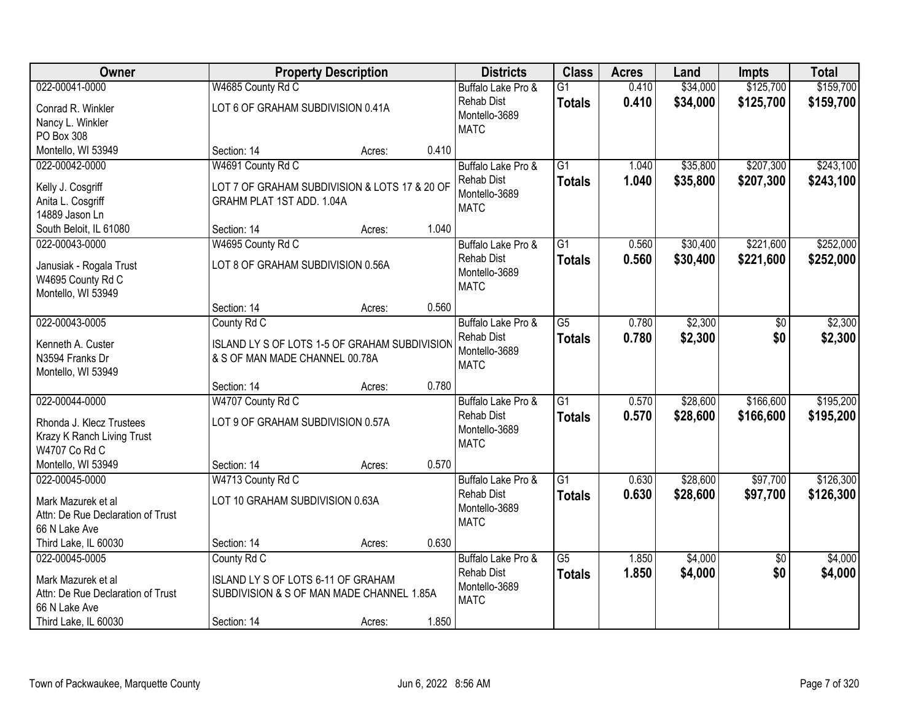| <b>Owner</b>                      |                                               | <b>Property Description</b> |       | <b>Districts</b>   | <b>Class</b>    | <b>Acres</b> | Land     | <b>Impts</b>    | <b>Total</b> |
|-----------------------------------|-----------------------------------------------|-----------------------------|-------|--------------------|-----------------|--------------|----------|-----------------|--------------|
| 022-00041-0000                    | W4685 County Rd C                             |                             |       | Buffalo Lake Pro & | $\overline{G1}$ | 0.410        | \$34,000 | \$125,700       | \$159,700    |
| Conrad R. Winkler                 | LOT 6 OF GRAHAM SUBDIVISION 0.41A             |                             |       | <b>Rehab Dist</b>  | <b>Totals</b>   | 0.410        | \$34,000 | \$125,700       | \$159,700    |
| Nancy L. Winkler                  |                                               |                             |       | Montello-3689      |                 |              |          |                 |              |
| PO Box 308                        |                                               |                             |       | <b>MATC</b>        |                 |              |          |                 |              |
| Montello, WI 53949                | Section: 14                                   | Acres:                      | 0.410 |                    |                 |              |          |                 |              |
| 022-00042-0000                    | W4691 County Rd C                             |                             |       | Buffalo Lake Pro & | $\overline{G1}$ | 1.040        | \$35,800 | \$207,300       | \$243,100    |
| Kelly J. Cosgriff                 | LOT 7 OF GRAHAM SUBDIVISION & LOTS 17 & 20 OF |                             |       | <b>Rehab Dist</b>  | <b>Totals</b>   | 1.040        | \$35,800 | \$207,300       | \$243,100    |
| Anita L. Cosgriff                 | GRAHM PLAT 1ST ADD. 1.04A                     |                             |       | Montello-3689      |                 |              |          |                 |              |
| 14889 Jason Ln                    |                                               |                             |       | <b>MATC</b>        |                 |              |          |                 |              |
| South Beloit, IL 61080            | Section: 14                                   | Acres:                      | 1.040 |                    |                 |              |          |                 |              |
| 022-00043-0000                    | W4695 County Rd C                             |                             |       | Buffalo Lake Pro & | $\overline{G1}$ | 0.560        | \$30,400 | \$221,600       | \$252,000    |
| Janusiak - Rogala Trust           | LOT 8 OF GRAHAM SUBDIVISION 0.56A             |                             |       | <b>Rehab Dist</b>  | <b>Totals</b>   | 0.560        | \$30,400 | \$221,600       | \$252,000    |
| W4695 County Rd C                 |                                               |                             |       | Montello-3689      |                 |              |          |                 |              |
| Montello, WI 53949                |                                               |                             |       | <b>MATC</b>        |                 |              |          |                 |              |
|                                   | Section: 14                                   | Acres:                      | 0.560 |                    |                 |              |          |                 |              |
| 022-00043-0005                    | County Rd C                                   |                             |       | Buffalo Lake Pro & | $\overline{G5}$ | 0.780        | \$2,300  | \$0             | \$2,300      |
| Kenneth A. Custer                 | ISLAND LY S OF LOTS 1-5 OF GRAHAM SUBDIVISION |                             |       | <b>Rehab Dist</b>  | <b>Totals</b>   | 0.780        | \$2,300  | \$0             | \$2,300      |
| N3594 Franks Dr                   | & S OF MAN MADE CHANNEL 00.78A                |                             |       | Montello-3689      |                 |              |          |                 |              |
| Montello, WI 53949                |                                               |                             |       | <b>MATC</b>        |                 |              |          |                 |              |
|                                   | Section: 14                                   | Acres:                      | 0.780 |                    |                 |              |          |                 |              |
| 022-00044-0000                    | W4707 County Rd C                             |                             |       | Buffalo Lake Pro & | $\overline{G1}$ | 0.570        | \$28,600 | \$166,600       | \$195,200    |
| Rhonda J. Klecz Trustees          | LOT 9 OF GRAHAM SUBDIVISION 0.57A             |                             |       | <b>Rehab Dist</b>  | <b>Totals</b>   | 0.570        | \$28,600 | \$166,600       | \$195,200    |
| Krazy K Ranch Living Trust        |                                               |                             |       | Montello-3689      |                 |              |          |                 |              |
| W4707 Co Rd C                     |                                               |                             |       | <b>MATC</b>        |                 |              |          |                 |              |
| Montello, WI 53949                | Section: 14                                   | Acres:                      | 0.570 |                    |                 |              |          |                 |              |
| 022-00045-0000                    | W4713 County Rd C                             |                             |       | Buffalo Lake Pro & | $\overline{G1}$ | 0.630        | \$28,600 | \$97,700        | \$126,300    |
| Mark Mazurek et al                | LOT 10 GRAHAM SUBDIVISION 0.63A               |                             |       | <b>Rehab Dist</b>  | <b>Totals</b>   | 0.630        | \$28,600 | \$97,700        | \$126,300    |
| Attn: De Rue Declaration of Trust |                                               |                             |       | Montello-3689      |                 |              |          |                 |              |
| 66 N Lake Ave                     |                                               |                             |       | <b>MATC</b>        |                 |              |          |                 |              |
| Third Lake, IL 60030              | Section: 14                                   | Acres:                      | 0.630 |                    |                 |              |          |                 |              |
| 022-00045-0005                    | County Rd C                                   |                             |       | Buffalo Lake Pro & | $\overline{G5}$ | 1.850        | \$4,000  | $\overline{30}$ | \$4,000      |
| Mark Mazurek et al                | ISLAND LY S OF LOTS 6-11 OF GRAHAM            |                             |       | <b>Rehab Dist</b>  | <b>Totals</b>   | 1.850        | \$4,000  | \$0             | \$4,000      |
| Attn: De Rue Declaration of Trust | SUBDIVISION & S OF MAN MADE CHANNEL 1.85A     |                             |       | Montello-3689      |                 |              |          |                 |              |
| 66 N Lake Ave                     |                                               |                             |       | <b>MATC</b>        |                 |              |          |                 |              |
| Third Lake, IL 60030              | Section: 14                                   | Acres:                      | 1.850 |                    |                 |              |          |                 |              |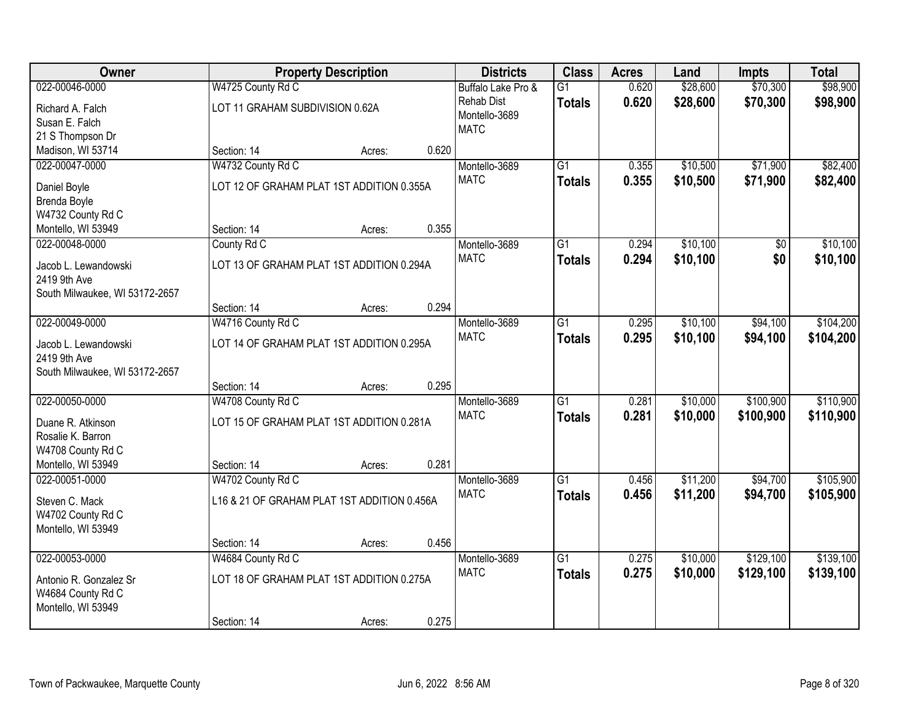| Owner                          |                                             | <b>Property Description</b> |       | <b>Districts</b>   | <b>Class</b>    | <b>Acres</b> | Land     | <b>Impts</b> | <b>Total</b> |
|--------------------------------|---------------------------------------------|-----------------------------|-------|--------------------|-----------------|--------------|----------|--------------|--------------|
| 022-00046-0000                 | W4725 County Rd C                           |                             |       | Buffalo Lake Pro & | $\overline{G1}$ | 0.620        | \$28,600 | \$70,300     | \$98,900     |
| Richard A. Falch               | LOT 11 GRAHAM SUBDIVISION 0.62A             |                             |       | <b>Rehab Dist</b>  | <b>Totals</b>   | 0.620        | \$28,600 | \$70,300     | \$98,900     |
| Susan E. Falch                 |                                             |                             |       | Montello-3689      |                 |              |          |              |              |
| 21 S Thompson Dr               |                                             |                             |       | <b>MATC</b>        |                 |              |          |              |              |
| Madison, WI 53714              | Section: 14                                 | Acres:                      | 0.620 |                    |                 |              |          |              |              |
| 022-00047-0000                 | W4732 County Rd C                           |                             |       | Montello-3689      | $\overline{G1}$ | 0.355        | \$10,500 | \$71,900     | \$82,400     |
|                                |                                             |                             |       | <b>MATC</b>        | <b>Totals</b>   | 0.355        | \$10,500 | \$71,900     | \$82,400     |
| Daniel Boyle                   | LOT 12 OF GRAHAM PLAT 1ST ADDITION 0.355A   |                             |       |                    |                 |              |          |              |              |
| Brenda Boyle                   |                                             |                             |       |                    |                 |              |          |              |              |
| W4732 County Rd C              |                                             |                             |       |                    |                 |              |          |              |              |
| Montello, WI 53949             | Section: 14                                 | Acres:                      | 0.355 |                    |                 |              |          |              |              |
| 022-00048-0000                 | County Rd C                                 |                             |       | Montello-3689      | G1              | 0.294        | \$10,100 | \$0          | \$10,100     |
| Jacob L. Lewandowski           | LOT 13 OF GRAHAM PLAT 1ST ADDITION 0.294A   |                             |       | <b>MATC</b>        | <b>Totals</b>   | 0.294        | \$10,100 | \$0          | \$10,100     |
| 2419 9th Ave                   |                                             |                             |       |                    |                 |              |          |              |              |
| South Milwaukee, WI 53172-2657 |                                             |                             |       |                    |                 |              |          |              |              |
|                                | Section: 14                                 | Acres:                      | 0.294 |                    |                 |              |          |              |              |
| 022-00049-0000                 | W4716 County Rd C                           |                             |       | Montello-3689      | G1              | 0.295        | \$10,100 | \$94,100     | \$104,200    |
| Jacob L. Lewandowski           | LOT 14 OF GRAHAM PLAT 1ST ADDITION 0.295A   |                             |       | <b>MATC</b>        | <b>Totals</b>   | 0.295        | \$10,100 | \$94,100     | \$104,200    |
| 2419 9th Ave                   |                                             |                             |       |                    |                 |              |          |              |              |
| South Milwaukee, WI 53172-2657 |                                             |                             |       |                    |                 |              |          |              |              |
|                                | Section: 14                                 | Acres:                      | 0.295 |                    |                 |              |          |              |              |
| 022-00050-0000                 | W4708 County Rd C                           |                             |       | Montello-3689      | $\overline{G1}$ | 0.281        | \$10,000 | \$100,900    | \$110,900    |
|                                |                                             |                             |       | <b>MATC</b>        | <b>Totals</b>   | 0.281        | \$10,000 | \$100,900    | \$110,900    |
| Duane R. Atkinson              | LOT 15 OF GRAHAM PLAT 1ST ADDITION 0.281A   |                             |       |                    |                 |              |          |              |              |
| Rosalie K. Barron              |                                             |                             |       |                    |                 |              |          |              |              |
| W4708 County Rd C              |                                             |                             |       |                    |                 |              |          |              |              |
| Montello, WI 53949             | Section: 14                                 | Acres:                      | 0.281 |                    |                 |              |          |              |              |
| 022-00051-0000                 | W4702 County Rd C                           |                             |       | Montello-3689      | $\overline{G1}$ | 0.456        | \$11,200 | \$94,700     | \$105,900    |
| Steven C. Mack                 | L16 & 21 OF GRAHAM PLAT 1ST ADDITION 0.456A |                             |       | <b>MATC</b>        | <b>Totals</b>   | 0.456        | \$11,200 | \$94,700     | \$105,900    |
| W4702 County Rd C              |                                             |                             |       |                    |                 |              |          |              |              |
| Montello, WI 53949             |                                             |                             |       |                    |                 |              |          |              |              |
|                                | Section: 14                                 | Acres:                      | 0.456 |                    |                 |              |          |              |              |
| 022-00053-0000                 | W4684 County Rd C                           |                             |       | Montello-3689      | $\overline{G1}$ | 0.275        | \$10,000 | \$129,100    | \$139,100    |
|                                |                                             |                             |       | <b>MATC</b>        | <b>Totals</b>   | 0.275        | \$10,000 | \$129,100    | \$139,100    |
| Antonio R. Gonzalez Sr         | LOT 18 OF GRAHAM PLAT 1ST ADDITION 0.275A   |                             |       |                    |                 |              |          |              |              |
| W4684 County Rd C              |                                             |                             |       |                    |                 |              |          |              |              |
| Montello, WI 53949             |                                             |                             |       |                    |                 |              |          |              |              |
|                                | Section: 14                                 | Acres:                      | 0.275 |                    |                 |              |          |              |              |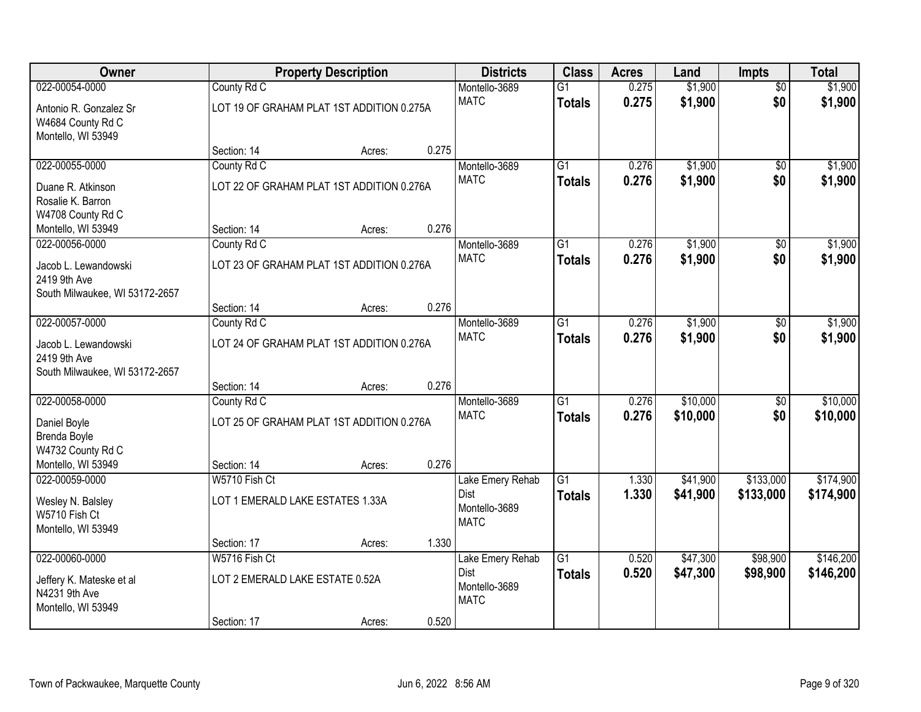| Owner                                   |                                           | <b>Property Description</b> |       | <b>Districts</b>             | <b>Class</b>    | <b>Acres</b> | Land               | Impts                  | <b>Total</b> |
|-----------------------------------------|-------------------------------------------|-----------------------------|-------|------------------------------|-----------------|--------------|--------------------|------------------------|--------------|
| 022-00054-0000                          | County Rd C                               |                             |       | Montello-3689                | $\overline{G1}$ | 0.275        | \$1,900            | $\overline{50}$        | \$1,900      |
| Antonio R. Gonzalez Sr                  | LOT 19 OF GRAHAM PLAT 1ST ADDITION 0.275A |                             |       | <b>MATC</b>                  | <b>Totals</b>   | 0.275        | \$1,900            | \$0                    | \$1,900      |
| W4684 County Rd C                       |                                           |                             |       |                              |                 |              |                    |                        |              |
| Montello, WI 53949                      |                                           |                             |       |                              |                 |              |                    |                        |              |
| 022-00055-0000                          | Section: 14                               | Acres:                      | 0.275 |                              | $\overline{G1}$ | 0.276        |                    |                        | \$1,900      |
|                                         | County Rd C                               |                             |       | Montello-3689<br><b>MATC</b> | <b>Totals</b>   | 0.276        | \$1,900<br>\$1,900 | $\overline{50}$<br>\$0 | \$1,900      |
| Duane R. Atkinson                       | LOT 22 OF GRAHAM PLAT 1ST ADDITION 0.276A |                             |       |                              |                 |              |                    |                        |              |
| Rosalie K. Barron                       |                                           |                             |       |                              |                 |              |                    |                        |              |
| W4708 County Rd C<br>Montello, WI 53949 | Section: 14                               | Acres:                      | 0.276 |                              |                 |              |                    |                        |              |
| 022-00056-0000                          | County Rd C                               |                             |       | Montello-3689                | G1              | 0.276        | \$1,900            | \$0                    | \$1,900      |
|                                         |                                           |                             |       | <b>MATC</b>                  | <b>Totals</b>   | 0.276        | \$1,900            | \$0                    | \$1,900      |
| Jacob L. Lewandowski                    | LOT 23 OF GRAHAM PLAT 1ST ADDITION 0.276A |                             |       |                              |                 |              |                    |                        |              |
| 2419 9th Ave                            |                                           |                             |       |                              |                 |              |                    |                        |              |
| South Milwaukee, WI 53172-2657          | Section: 14                               | Acres:                      | 0.276 |                              |                 |              |                    |                        |              |
| 022-00057-0000                          | County Rd C                               |                             |       | Montello-3689                | $\overline{G1}$ | 0.276        | \$1,900            | \$0                    | \$1,900      |
|                                         |                                           |                             |       | <b>MATC</b>                  | <b>Totals</b>   | 0.276        | \$1,900            | \$0                    | \$1,900      |
| Jacob L. Lewandowski<br>2419 9th Ave    | LOT 24 OF GRAHAM PLAT 1ST ADDITION 0.276A |                             |       |                              |                 |              |                    |                        |              |
| South Milwaukee, WI 53172-2657          |                                           |                             |       |                              |                 |              |                    |                        |              |
|                                         | Section: 14                               | Acres:                      | 0.276 |                              |                 |              |                    |                        |              |
| 022-00058-0000                          | County Rd C                               |                             |       | Montello-3689                | $\overline{G1}$ | 0.276        | \$10,000           | $\overline{50}$        | \$10,000     |
| Daniel Boyle                            | LOT 25 OF GRAHAM PLAT 1ST ADDITION 0.276A |                             |       | <b>MATC</b>                  | <b>Totals</b>   | 0.276        | \$10,000           | \$0                    | \$10,000     |
| Brenda Boyle                            |                                           |                             |       |                              |                 |              |                    |                        |              |
| W4732 County Rd C                       |                                           |                             |       |                              |                 |              |                    |                        |              |
| Montello, WI 53949                      | Section: 14                               | Acres:                      | 0.276 |                              |                 |              |                    |                        |              |
| 022-00059-0000                          | W5710 Fish Ct                             |                             |       | Lake Emery Rehab             | $\overline{G1}$ | 1.330        | \$41,900           | \$133,000              | \$174,900    |
| Wesley N. Balsley                       | LOT 1 EMERALD LAKE ESTATES 1.33A          |                             |       | Dist                         | <b>Totals</b>   | 1.330        | \$41,900           | \$133,000              | \$174,900    |
| W5710 Fish Ct                           |                                           |                             |       | Montello-3689                |                 |              |                    |                        |              |
| Montello, WI 53949                      |                                           |                             |       | <b>MATC</b>                  |                 |              |                    |                        |              |
|                                         | Section: 17                               | Acres:                      | 1.330 |                              |                 |              |                    |                        |              |
| 022-00060-0000                          | W5716 Fish Ct                             |                             |       | Lake Emery Rehab             | $\overline{G1}$ | 0.520        | \$47,300           | \$98,900               | \$146,200    |
| Jeffery K. Mateske et al                | LOT 2 EMERALD LAKE ESTATE 0.52A           |                             |       | Dist                         | <b>Totals</b>   | 0.520        | \$47,300           | \$98,900               | \$146,200    |
| N4231 9th Ave                           |                                           |                             |       | Montello-3689<br><b>MATC</b> |                 |              |                    |                        |              |
| Montello, WI 53949                      |                                           |                             |       |                              |                 |              |                    |                        |              |
|                                         | Section: 17                               | Acres:                      | 0.520 |                              |                 |              |                    |                        |              |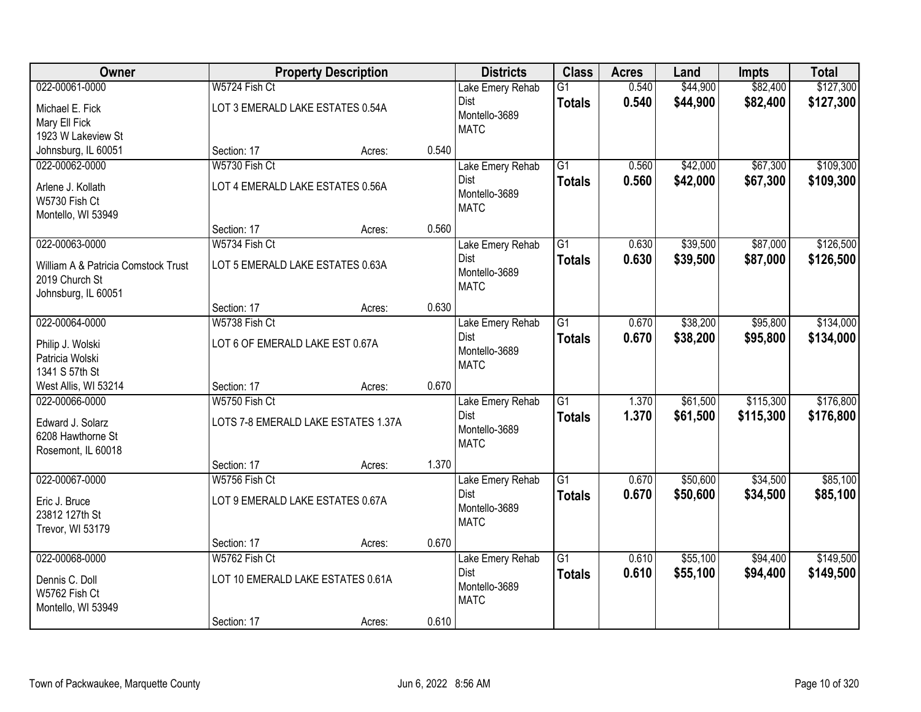| Owner                               |                                     | <b>Property Description</b> |       | <b>Districts</b>             | <b>Class</b>    | <b>Acres</b> | Land     | <b>Impts</b> | <b>Total</b> |
|-------------------------------------|-------------------------------------|-----------------------------|-------|------------------------------|-----------------|--------------|----------|--------------|--------------|
| 022-00061-0000                      | W5724 Fish Ct                       |                             |       | Lake Emery Rehab             | $\overline{G1}$ | 0.540        | \$44,900 | \$82,400     | \$127,300    |
| Michael E. Fick                     | LOT 3 EMERALD LAKE ESTATES 0.54A    |                             |       | Dist                         | <b>Totals</b>   | 0.540        | \$44,900 | \$82,400     | \$127,300    |
| Mary Ell Fick                       |                                     |                             |       | Montello-3689                |                 |              |          |              |              |
| 1923 W Lakeview St                  |                                     |                             |       | <b>MATC</b>                  |                 |              |          |              |              |
| Johnsburg, IL 60051                 | Section: 17                         | Acres:                      | 0.540 |                              |                 |              |          |              |              |
| 022-00062-0000                      | W5730 Fish Ct                       |                             |       | Lake Emery Rehab             | $\overline{G1}$ | 0.560        | \$42,000 | \$67,300     | \$109,300    |
| Arlene J. Kollath                   | LOT 4 EMERALD LAKE ESTATES 0.56A    |                             |       | Dist                         | <b>Totals</b>   | 0.560        | \$42,000 | \$67,300     | \$109,300    |
| W5730 Fish Ct                       |                                     |                             |       | Montello-3689<br><b>MATC</b> |                 |              |          |              |              |
| Montello, WI 53949                  |                                     |                             |       |                              |                 |              |          |              |              |
|                                     | Section: 17                         | Acres:                      | 0.560 |                              |                 |              |          |              |              |
| 022-00063-0000                      | W5734 Fish Ct                       |                             |       | Lake Emery Rehab             | $\overline{G1}$ | 0.630        | \$39,500 | \$87,000     | \$126,500    |
| William A & Patricia Comstock Trust | LOT 5 EMERALD LAKE ESTATES 0.63A    |                             |       | Dist                         | <b>Totals</b>   | 0.630        | \$39,500 | \$87,000     | \$126,500    |
| 2019 Church St                      |                                     |                             |       | Montello-3689                |                 |              |          |              |              |
| Johnsburg, IL 60051                 |                                     |                             |       | <b>MATC</b>                  |                 |              |          |              |              |
|                                     | Section: 17                         | Acres:                      | 0.630 |                              |                 |              |          |              |              |
| 022-00064-0000                      | W5738 Fish Ct                       |                             |       | Lake Emery Rehab             | $\overline{G1}$ | 0.670        | \$38,200 | \$95,800     | \$134,000    |
| Philip J. Wolski                    | LOT 6 OF EMERALD LAKE EST 0.67A     |                             |       | Dist                         | <b>Totals</b>   | 0.670        | \$38,200 | \$95,800     | \$134,000    |
| Patricia Wolski                     |                                     |                             |       | Montello-3689                |                 |              |          |              |              |
| 1341 S 57th St                      |                                     |                             |       | <b>MATC</b>                  |                 |              |          |              |              |
| West Allis, WI 53214                | Section: 17                         | Acres:                      | 0.670 |                              |                 |              |          |              |              |
| 022-00066-0000                      | W5750 Fish Ct                       |                             |       | Lake Emery Rehab             | $\overline{G1}$ | 1.370        | \$61,500 | \$115,300    | \$176,800    |
| Edward J. Solarz                    | LOTS 7-8 EMERALD LAKE ESTATES 1.37A |                             |       | Dist                         | <b>Totals</b>   | 1.370        | \$61,500 | \$115,300    | \$176,800    |
| 6208 Hawthorne St                   |                                     |                             |       | Montello-3689                |                 |              |          |              |              |
| Rosemont, IL 60018                  |                                     |                             |       | <b>MATC</b>                  |                 |              |          |              |              |
|                                     | Section: 17                         | Acres:                      | 1.370 |                              |                 |              |          |              |              |
| 022-00067-0000                      | W5756 Fish Ct                       |                             |       | Lake Emery Rehab             | $\overline{G1}$ | 0.670        | \$50,600 | \$34,500     | \$85,100     |
| Eric J. Bruce                       | LOT 9 EMERALD LAKE ESTATES 0.67A    |                             |       | Dist                         | <b>Totals</b>   | 0.670        | \$50,600 | \$34,500     | \$85,100     |
| 23812 127th St                      |                                     |                             |       | Montello-3689                |                 |              |          |              |              |
| Trevor, WI 53179                    |                                     |                             |       | <b>MATC</b>                  |                 |              |          |              |              |
|                                     | Section: 17                         | Acres:                      | 0.670 |                              |                 |              |          |              |              |
| 022-00068-0000                      | W5762 Fish Ct                       |                             |       | Lake Emery Rehab             | $\overline{G1}$ | 0.610        | \$55,100 | \$94,400     | \$149,500    |
| Dennis C. Doll                      | LOT 10 EMERALD LAKE ESTATES 0.61A   |                             |       | Dist                         | <b>Totals</b>   | 0.610        | \$55,100 | \$94,400     | \$149,500    |
| W5762 Fish Ct                       |                                     |                             |       | Montello-3689                |                 |              |          |              |              |
| Montello, WI 53949                  |                                     |                             |       | <b>MATC</b>                  |                 |              |          |              |              |
|                                     | Section: 17                         | Acres:                      | 0.610 |                              |                 |              |          |              |              |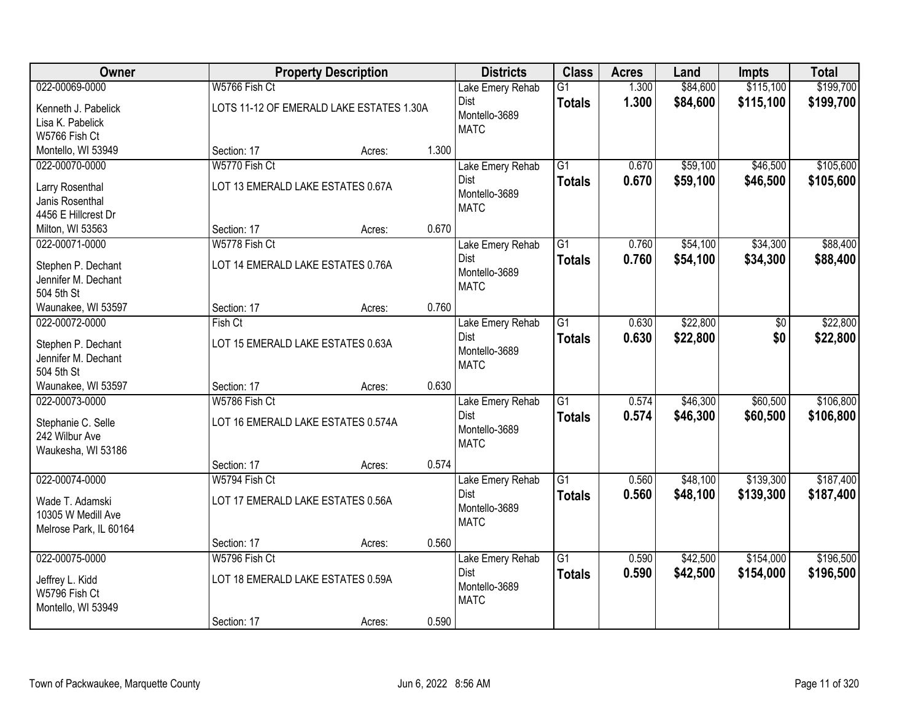| Owner                               |                                          | <b>Property Description</b> |       | <b>Districts</b>             | <b>Class</b>    | <b>Acres</b> | Land     | <b>Impts</b> | <b>Total</b> |
|-------------------------------------|------------------------------------------|-----------------------------|-------|------------------------------|-----------------|--------------|----------|--------------|--------------|
| 022-00069-0000                      | W5766 Fish Ct                            |                             |       | Lake Emery Rehab             | $\overline{G1}$ | 1.300        | \$84,600 | \$115,100    | \$199,700    |
| Kenneth J. Pabelick                 | LOTS 11-12 OF EMERALD LAKE ESTATES 1.30A |                             |       | Dist                         | <b>Totals</b>   | 1.300        | \$84,600 | \$115,100    | \$199,700    |
| Lisa K. Pabelick                    |                                          |                             |       | Montello-3689                |                 |              |          |              |              |
| W5766 Fish Ct                       |                                          |                             |       | <b>MATC</b>                  |                 |              |          |              |              |
| Montello, WI 53949                  | Section: 17                              | Acres:                      | 1.300 |                              |                 |              |          |              |              |
| 022-00070-0000                      | W5770 Fish Ct                            |                             |       | Lake Emery Rehab             | $\overline{G1}$ | 0.670        | \$59,100 | \$46,500     | \$105,600    |
| Larry Rosenthal                     | LOT 13 EMERALD LAKE ESTATES 0.67A        |                             |       | Dist                         | <b>Totals</b>   | 0.670        | \$59,100 | \$46,500     | \$105,600    |
| Janis Rosenthal                     |                                          |                             |       | Montello-3689<br><b>MATC</b> |                 |              |          |              |              |
| 4456 E Hillcrest Dr                 |                                          |                             |       |                              |                 |              |          |              |              |
| Milton, WI 53563                    | Section: 17                              | Acres:                      | 0.670 |                              |                 |              |          |              |              |
| 022-00071-0000                      | W5778 Fish Ct                            |                             |       | Lake Emery Rehab             | $\overline{G1}$ | 0.760        | \$54,100 | \$34,300     | \$88,400     |
| Stephen P. Dechant                  | LOT 14 EMERALD LAKE ESTATES 0.76A        |                             |       | Dist<br>Montello-3689        | <b>Totals</b>   | 0.760        | \$54,100 | \$34,300     | \$88,400     |
| Jennifer M. Dechant                 |                                          |                             |       | <b>MATC</b>                  |                 |              |          |              |              |
| 504 5th St                          |                                          |                             |       |                              |                 |              |          |              |              |
| Waunakee, WI 53597                  | Section: 17                              | Acres:                      | 0.760 |                              |                 |              |          |              |              |
| 022-00072-0000                      | Fish Ct                                  |                             |       | Lake Emery Rehab             | $\overline{G1}$ | 0.630        | \$22,800 | \$0          | \$22,800     |
| Stephen P. Dechant                  | LOT 15 EMERALD LAKE ESTATES 0.63A        |                             |       | Dist<br>Montello-3689        | <b>Totals</b>   | 0.630        | \$22,800 | \$0          | \$22,800     |
| Jennifer M. Dechant                 |                                          |                             |       | <b>MATC</b>                  |                 |              |          |              |              |
| 504 5th St                          |                                          |                             |       |                              |                 |              |          |              |              |
| Waunakee, WI 53597                  | Section: 17                              | Acres:                      | 0.630 |                              |                 |              |          |              |              |
| 022-00073-0000                      | W5786 Fish Ct                            |                             |       | Lake Emery Rehab<br>Dist     | $\overline{G1}$ | 0.574        | \$46,300 | \$60,500     | \$106,800    |
| Stephanie C. Selle                  | LOT 16 EMERALD LAKE ESTATES 0.574A       |                             |       | Montello-3689                | <b>Totals</b>   | 0.574        | \$46,300 | \$60,500     | \$106,800    |
| 242 Wilbur Ave                      |                                          |                             |       | <b>MATC</b>                  |                 |              |          |              |              |
| Waukesha, WI 53186                  |                                          |                             |       |                              |                 |              |          |              |              |
| 022-00074-0000                      | Section: 17<br>W5794 Fish Ct             | Acres:                      | 0.574 |                              | $\overline{G1}$ | 0.560        | \$48,100 | \$139,300    | \$187,400    |
|                                     |                                          |                             |       | Lake Emery Rehab<br>Dist     | <b>Totals</b>   | 0.560        | \$48,100 | \$139,300    | \$187,400    |
| Wade T. Adamski                     | LOT 17 EMERALD LAKE ESTATES 0.56A        |                             |       | Montello-3689                |                 |              |          |              |              |
| 10305 W Medill Ave                  |                                          |                             |       | <b>MATC</b>                  |                 |              |          |              |              |
| Melrose Park, IL 60164              | Section: 17                              | Acres:                      | 0.560 |                              |                 |              |          |              |              |
| 022-00075-0000                      | W5796 Fish Ct                            |                             |       | Lake Emery Rehab             | $\overline{G1}$ | 0.590        | \$42,500 | \$154,000    | \$196,500    |
|                                     |                                          |                             |       | Dist                         | <b>Totals</b>   | 0.590        | \$42,500 | \$154,000    | \$196,500    |
| Jeffrey L. Kidd                     | LOT 18 EMERALD LAKE ESTATES 0.59A        |                             |       | Montello-3689                |                 |              |          |              |              |
| W5796 Fish Ct<br>Montello, WI 53949 |                                          |                             |       | <b>MATC</b>                  |                 |              |          |              |              |
|                                     | Section: 17                              | Acres:                      | 0.590 |                              |                 |              |          |              |              |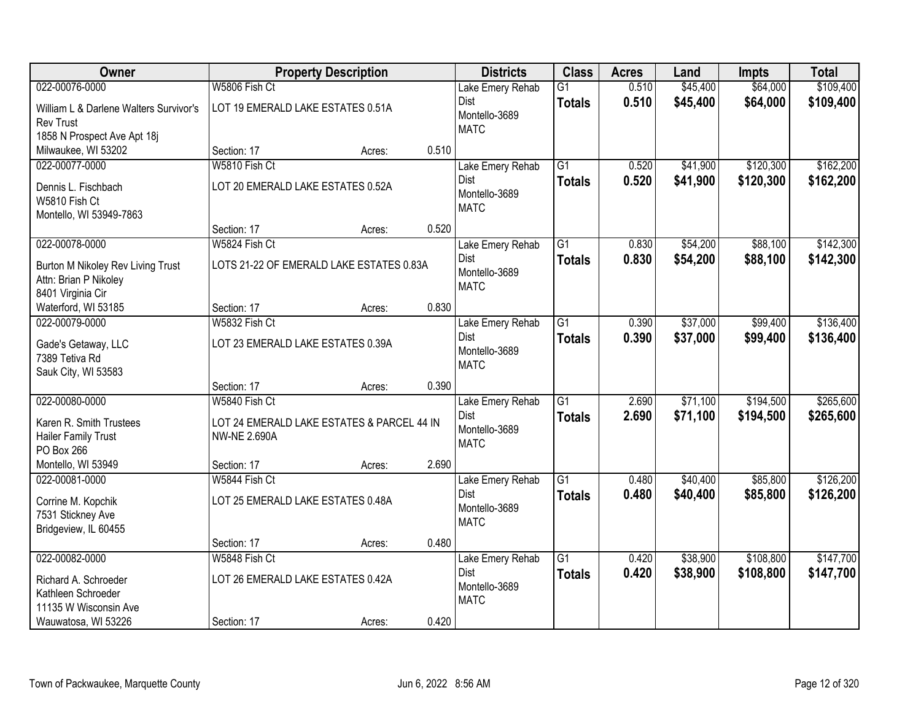| Owner                                                 |                                                                   | <b>Property Description</b> |       | <b>Districts</b> | <b>Class</b>    | <b>Acres</b> | Land     | <b>Impts</b> | <b>Total</b> |
|-------------------------------------------------------|-------------------------------------------------------------------|-----------------------------|-------|------------------|-----------------|--------------|----------|--------------|--------------|
| 022-00076-0000                                        | W5806 Fish Ct                                                     |                             |       | Lake Emery Rehab | $\overline{G1}$ | 0.510        | \$45,400 | \$64,000     | \$109,400    |
| William L & Darlene Walters Survivor's                | LOT 19 EMERALD LAKE ESTATES 0.51A                                 |                             |       | Dist             | <b>Totals</b>   | 0.510        | \$45,400 | \$64,000     | \$109,400    |
| <b>Rev Trust</b>                                      |                                                                   |                             |       | Montello-3689    |                 |              |          |              |              |
| 1858 N Prospect Ave Apt 18j                           |                                                                   |                             |       | <b>MATC</b>      |                 |              |          |              |              |
| Milwaukee, WI 53202                                   | Section: 17                                                       | Acres:                      | 0.510 |                  |                 |              |          |              |              |
| 022-00077-0000                                        | W5810 Fish Ct                                                     |                             |       | Lake Emery Rehab | $\overline{G1}$ | 0.520        | \$41,900 | \$120,300    | \$162,200    |
| Dennis L. Fischbach                                   | LOT 20 EMERALD LAKE ESTATES 0.52A                                 |                             |       | <b>Dist</b>      | <b>Totals</b>   | 0.520        | \$41,900 | \$120,300    | \$162,200    |
| W5810 Fish Ct                                         |                                                                   |                             |       | Montello-3689    |                 |              |          |              |              |
| Montello, WI 53949-7863                               |                                                                   |                             |       | <b>MATC</b>      |                 |              |          |              |              |
|                                                       | Section: 17                                                       | Acres:                      | 0.520 |                  |                 |              |          |              |              |
| 022-00078-0000                                        | W5824 Fish Ct                                                     |                             |       | Lake Emery Rehab | $\overline{G1}$ | 0.830        | \$54,200 | \$88,100     | \$142,300    |
| Burton M Nikoley Rev Living Trust                     | LOTS 21-22 OF EMERALD LAKE ESTATES 0.83A                          |                             |       | Dist             | <b>Totals</b>   | 0.830        | \$54,200 | \$88,100     | \$142,300    |
| Attn: Brian P Nikoley                                 |                                                                   |                             |       | Montello-3689    |                 |              |          |              |              |
| 8401 Virginia Cir                                     |                                                                   |                             |       | <b>MATC</b>      |                 |              |          |              |              |
| Waterford, WI 53185                                   | Section: 17                                                       | Acres:                      | 0.830 |                  |                 |              |          |              |              |
| 022-00079-0000                                        | W5832 Fish Ct                                                     |                             |       | Lake Emery Rehab | $\overline{G1}$ | 0.390        | \$37,000 | \$99,400     | \$136,400    |
| Gade's Getaway, LLC                                   | LOT 23 EMERALD LAKE ESTATES 0.39A                                 |                             |       | Dist             | <b>Totals</b>   | 0.390        | \$37,000 | \$99,400     | \$136,400    |
| 7389 Tetiva Rd                                        |                                                                   |                             |       | Montello-3689    |                 |              |          |              |              |
| Sauk City, WI 53583                                   |                                                                   |                             |       | <b>MATC</b>      |                 |              |          |              |              |
|                                                       | Section: 17                                                       | Acres:                      | 0.390 |                  |                 |              |          |              |              |
| 022-00080-0000                                        | W5840 Fish Ct                                                     |                             |       | Lake Emery Rehab | $\overline{G1}$ | 2.690        | \$71,100 | \$194,500    | \$265,600    |
|                                                       |                                                                   |                             |       | Dist             | <b>Totals</b>   | 2.690        | \$71,100 | \$194,500    | \$265,600    |
| Karen R. Smith Trustees<br><b>Hailer Family Trust</b> | LOT 24 EMERALD LAKE ESTATES & PARCEL 44 IN<br><b>NW-NE 2.690A</b> |                             |       | Montello-3689    |                 |              |          |              |              |
| PO Box 266                                            |                                                                   |                             |       | <b>MATC</b>      |                 |              |          |              |              |
| Montello, WI 53949                                    | Section: 17                                                       | Acres:                      | 2.690 |                  |                 |              |          |              |              |
| 022-00081-0000                                        | W5844 Fish Ct                                                     |                             |       | Lake Emery Rehab | $\overline{G1}$ | 0.480        | \$40,400 | \$85,800     | \$126,200    |
|                                                       |                                                                   |                             |       | Dist             | <b>Totals</b>   | 0.480        | \$40,400 | \$85,800     | \$126,200    |
| Corrine M. Kopchik<br>7531 Stickney Ave               | LOT 25 EMERALD LAKE ESTATES 0.48A                                 |                             |       | Montello-3689    |                 |              |          |              |              |
| Bridgeview, IL 60455                                  |                                                                   |                             |       | <b>MATC</b>      |                 |              |          |              |              |
|                                                       | Section: 17                                                       | Acres:                      | 0.480 |                  |                 |              |          |              |              |
| 022-00082-0000                                        | W5848 Fish Ct                                                     |                             |       | Lake Emery Rehab | $\overline{G1}$ | 0.420        | \$38,900 | \$108,800    | \$147,700    |
|                                                       |                                                                   |                             |       | Dist             | <b>Totals</b>   | 0.420        | \$38,900 | \$108,800    | \$147,700    |
| Richard A. Schroeder                                  | LOT 26 EMERALD LAKE ESTATES 0.42A                                 |                             |       | Montello-3689    |                 |              |          |              |              |
| Kathleen Schroeder<br>11135 W Wisconsin Ave           |                                                                   |                             |       | <b>MATC</b>      |                 |              |          |              |              |
| Wauwatosa, WI 53226                                   | Section: 17                                                       | Acres:                      | 0.420 |                  |                 |              |          |              |              |
|                                                       |                                                                   |                             |       |                  |                 |              |          |              |              |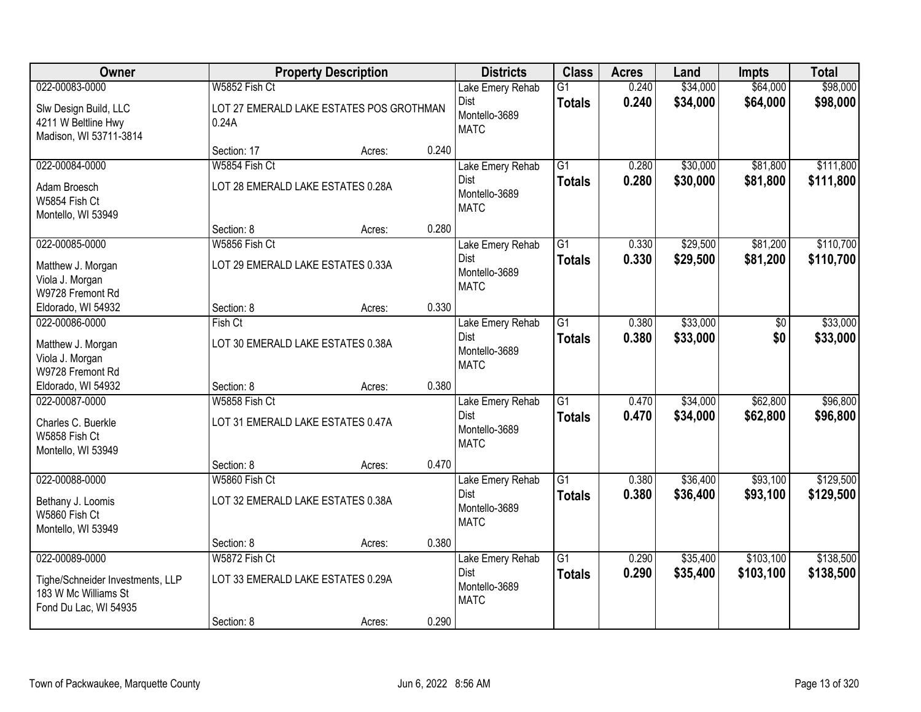| Owner                                                                                               |                                                                  | <b>Property Description</b>              |       | <b>Districts</b>                                         | <b>Class</b>                     | <b>Acres</b>   | Land                 | <b>Impts</b>           | <b>Total</b>           |
|-----------------------------------------------------------------------------------------------------|------------------------------------------------------------------|------------------------------------------|-------|----------------------------------------------------------|----------------------------------|----------------|----------------------|------------------------|------------------------|
| 022-00083-0000                                                                                      | W5852 Fish Ct                                                    |                                          |       | Lake Emery Rehab                                         | $\overline{G1}$                  | 0.240          | \$34,000             | \$64,000               | \$98,000               |
| Slw Design Build, LLC<br>4211 W Beltline Hwy<br>Madison, WI 53711-3814                              | 0.24A                                                            | LOT 27 EMERALD LAKE ESTATES POS GROTHMAN |       | <b>Dist</b><br>Montello-3689<br><b>MATC</b>              | <b>Totals</b>                    | 0.240          | \$34,000             | \$64,000               | \$98,000               |
|                                                                                                     | Section: 17                                                      | Acres:                                   | 0.240 |                                                          |                                  |                |                      |                        |                        |
| 022-00084-0000                                                                                      | W5854 Fish Ct                                                    |                                          |       | Lake Emery Rehab                                         | $\overline{G1}$                  | 0.280          | \$30,000             | \$81,800               | \$111,800              |
| Adam Broesch<br>W5854 Fish Ct<br>Montello, WI 53949                                                 | LOT 28 EMERALD LAKE ESTATES 0.28A                                |                                          |       | Dist<br>Montello-3689<br><b>MATC</b>                     | Totals                           | 0.280          | \$30,000             | \$81,800               | \$111,800              |
|                                                                                                     | Section: 8                                                       | Acres:                                   | 0.280 |                                                          |                                  |                |                      |                        |                        |
| 022-00085-0000                                                                                      | W5856 Fish Ct                                                    |                                          |       | Lake Emery Rehab                                         | G1                               | 0.330          | \$29,500             | \$81,200               | \$110,700              |
| Matthew J. Morgan<br>Viola J. Morgan<br>W9728 Fremont Rd                                            | LOT 29 EMERALD LAKE ESTATES 0.33A                                |                                          |       | <b>Dist</b><br>Montello-3689<br><b>MATC</b>              | <b>Totals</b>                    | 0.330          | \$29,500             | \$81,200               | \$110,700              |
| Eldorado, WI 54932                                                                                  | Section: 8                                                       | Acres:                                   | 0.330 |                                                          |                                  |                |                      |                        |                        |
| 022-00086-0000                                                                                      | Fish Ct                                                          |                                          |       | Lake Emery Rehab                                         | $\overline{G1}$                  | 0.380          | \$33,000             | \$0                    | \$33,000               |
| Matthew J. Morgan<br>Viola J. Morgan<br>W9728 Fremont Rd                                            | LOT 30 EMERALD LAKE ESTATES 0.38A                                |                                          |       | <b>Dist</b><br>Montello-3689<br><b>MATC</b>              | <b>Totals</b>                    | 0.380          | \$33,000             | \$0                    | \$33,000               |
| Eldorado, WI 54932                                                                                  | Section: 8                                                       | Acres:                                   | 0.380 |                                                          |                                  |                |                      |                        |                        |
| 022-00087-0000<br>Charles C. Buerkle<br>W5858 Fish Ct<br>Montello, WI 53949                         | W5858 Fish Ct<br>LOT 31 EMERALD LAKE ESTATES 0.47A               |                                          |       | Lake Emery Rehab<br>Dist<br>Montello-3689<br><b>MATC</b> | $\overline{G1}$<br><b>Totals</b> | 0.470<br>0.470 | \$34,000<br>\$34,000 | \$62,800<br>\$62,800   | \$96,800<br>\$96,800   |
|                                                                                                     | Section: 8                                                       | Acres:                                   | 0.470 |                                                          |                                  |                |                      |                        |                        |
| 022-00088-0000                                                                                      | W5860 Fish Ct                                                    |                                          |       | Lake Emery Rehab                                         | $\overline{G1}$                  | 0.380          | \$36,400             | \$93,100               | \$129,500              |
| Bethany J. Loomis<br>W5860 Fish Ct<br>Montello, WI 53949                                            | LOT 32 EMERALD LAKE ESTATES 0.38A                                |                                          |       | Dist<br>Montello-3689<br><b>MATC</b>                     | <b>Totals</b>                    | 0.380          | \$36,400             | \$93,100               | \$129,500              |
|                                                                                                     | Section: 8                                                       | Acres:                                   | 0.380 |                                                          |                                  |                |                      |                        |                        |
| 022-00089-0000<br>Tighe/Schneider Investments, LLP<br>183 W Mc Williams St<br>Fond Du Lac, WI 54935 | W5872 Fish Ct<br>LOT 33 EMERALD LAKE ESTATES 0.29A<br>Section: 8 | Acres:                                   | 0.290 | Lake Emery Rehab<br>Dist<br>Montello-3689<br><b>MATC</b> | $\overline{G1}$<br><b>Totals</b> | 0.290<br>0.290 | \$35,400<br>\$35,400 | \$103,100<br>\$103,100 | \$138,500<br>\$138,500 |
|                                                                                                     |                                                                  |                                          |       |                                                          |                                  |                |                      |                        |                        |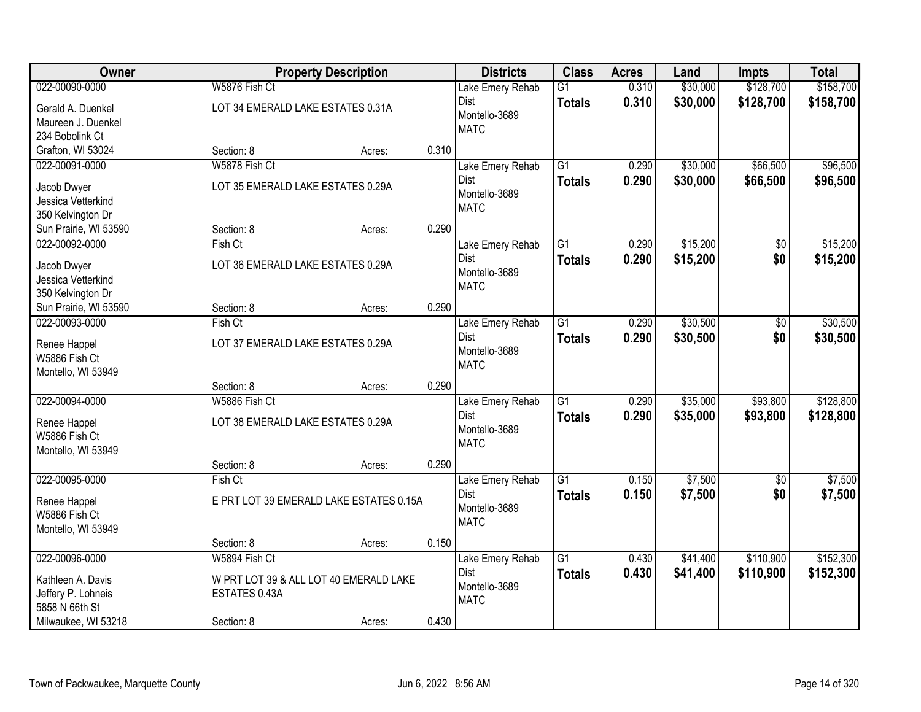| Owner                         |                                   | <b>Property Description</b>             |       | <b>Districts</b> | <b>Class</b>    | <b>Acres</b> | Land     | <b>Impts</b> | <b>Total</b> |
|-------------------------------|-----------------------------------|-----------------------------------------|-------|------------------|-----------------|--------------|----------|--------------|--------------|
| 022-00090-0000                | W5876 Fish Ct                     |                                         |       | Lake Emery Rehab | $\overline{G1}$ | 0.310        | \$30,000 | \$128,700    | \$158,700    |
| Gerald A. Duenkel             | LOT 34 EMERALD LAKE ESTATES 0.31A |                                         |       | Dist             | <b>Totals</b>   | 0.310        | \$30,000 | \$128,700    | \$158,700    |
| Maureen J. Duenkel            |                                   |                                         |       | Montello-3689    |                 |              |          |              |              |
| 234 Bobolink Ct               |                                   |                                         |       | <b>MATC</b>      |                 |              |          |              |              |
| Grafton, WI 53024             | Section: 8                        | Acres:                                  | 0.310 |                  |                 |              |          |              |              |
| 022-00091-0000                | W5878 Fish Ct                     |                                         |       | Lake Emery Rehab | $\overline{G1}$ | 0.290        | \$30,000 | \$66,500     | \$96,500     |
| Jacob Dwyer                   | LOT 35 EMERALD LAKE ESTATES 0.29A |                                         |       | Dist             | <b>Totals</b>   | 0.290        | \$30,000 | \$66,500     | \$96,500     |
| Jessica Vetterkind            |                                   |                                         |       | Montello-3689    |                 |              |          |              |              |
| 350 Kelvington Dr             |                                   |                                         |       | <b>MATC</b>      |                 |              |          |              |              |
| Sun Prairie, WI 53590         | Section: 8                        | Acres:                                  | 0.290 |                  |                 |              |          |              |              |
| 022-00092-0000                | Fish Ct                           |                                         |       | Lake Emery Rehab | G1              | 0.290        | \$15,200 | \$0          | \$15,200     |
| Jacob Dwyer                   | LOT 36 EMERALD LAKE ESTATES 0.29A |                                         |       | Dist             | <b>Totals</b>   | 0.290        | \$15,200 | \$0          | \$15,200     |
| Jessica Vetterkind            |                                   |                                         |       | Montello-3689    |                 |              |          |              |              |
| 350 Kelvington Dr             |                                   |                                         |       | <b>MATC</b>      |                 |              |          |              |              |
| Sun Prairie, WI 53590         | Section: 8                        | Acres:                                  | 0.290 |                  |                 |              |          |              |              |
| 022-00093-0000                | Fish Ct                           |                                         |       | Lake Emery Rehab | $\overline{G1}$ | 0.290        | \$30,500 | \$0          | \$30,500     |
| Renee Happel                  | LOT 37 EMERALD LAKE ESTATES 0.29A |                                         |       | Dist             | <b>Totals</b>   | 0.290        | \$30,500 | \$0          | \$30,500     |
| W5886 Fish Ct                 |                                   |                                         |       | Montello-3689    |                 |              |          |              |              |
| Montello, WI 53949            |                                   |                                         |       | <b>MATC</b>      |                 |              |          |              |              |
|                               | Section: 8                        | Acres:                                  | 0.290 |                  |                 |              |          |              |              |
| 022-00094-0000                | W5886 Fish Ct                     |                                         |       | Lake Emery Rehab | $\overline{G1}$ | 0.290        | \$35,000 | \$93,800     | \$128,800    |
|                               | LOT 38 EMERALD LAKE ESTATES 0.29A |                                         |       | <b>Dist</b>      | <b>Totals</b>   | 0.290        | \$35,000 | \$93,800     | \$128,800    |
| Renee Happel<br>W5886 Fish Ct |                                   |                                         |       | Montello-3689    |                 |              |          |              |              |
| Montello, WI 53949            |                                   |                                         |       | <b>MATC</b>      |                 |              |          |              |              |
|                               | Section: 8                        | Acres:                                  | 0.290 |                  |                 |              |          |              |              |
| 022-00095-0000                | Fish Ct                           |                                         |       | Lake Emery Rehab | $\overline{G1}$ | 0.150        | \$7,500  | \$0          | \$7,500      |
| Renee Happel                  |                                   | E PRT LOT 39 EMERALD LAKE ESTATES 0.15A |       | <b>Dist</b>      | <b>Totals</b>   | 0.150        | \$7,500  | \$0          | \$7,500      |
| W5886 Fish Ct                 |                                   |                                         |       | Montello-3689    |                 |              |          |              |              |
| Montello, WI 53949            |                                   |                                         |       | <b>MATC</b>      |                 |              |          |              |              |
|                               | Section: 8                        | Acres:                                  | 0.150 |                  |                 |              |          |              |              |
| 022-00096-0000                | W5894 Fish Ct                     |                                         |       | Lake Emery Rehab | $\overline{G1}$ | 0.430        | \$41,400 | \$110,900    | \$152,300    |
| Kathleen A. Davis             |                                   | W PRT LOT 39 & ALL LOT 40 EMERALD LAKE  |       | Dist             | <b>Totals</b>   | 0.430        | \$41,400 | \$110,900    | \$152,300    |
| Jeffery P. Lohneis            | ESTATES 0.43A                     |                                         |       | Montello-3689    |                 |              |          |              |              |
| 5858 N 66th St                |                                   |                                         |       | <b>MATC</b>      |                 |              |          |              |              |
| Milwaukee, WI 53218           | Section: 8                        | Acres:                                  | 0.430 |                  |                 |              |          |              |              |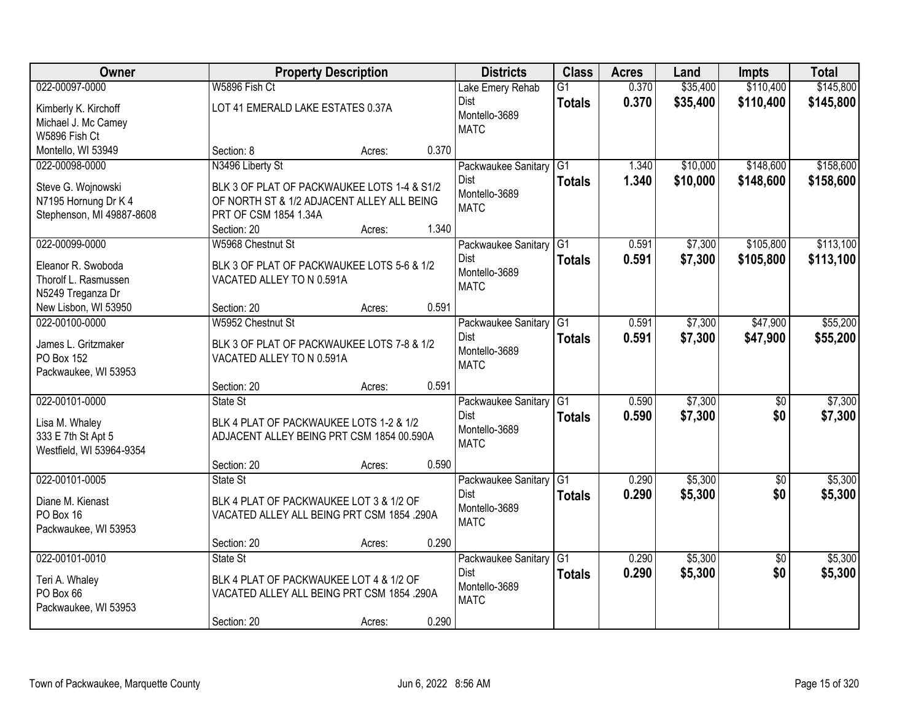| Owner                     |                                             | <b>Property Description</b> |       | <b>Districts</b>         | <b>Class</b>    | <b>Acres</b> | Land     | <b>Impts</b>    | <b>Total</b> |
|---------------------------|---------------------------------------------|-----------------------------|-------|--------------------------|-----------------|--------------|----------|-----------------|--------------|
| 022-00097-0000            | W5896 Fish Ct                               |                             |       | Lake Emery Rehab         | $\overline{G1}$ | 0.370        | \$35,400 | \$110,400       | \$145,800    |
| Kimberly K. Kirchoff      | LOT 41 EMERALD LAKE ESTATES 0.37A           |                             |       | Dist                     | <b>Totals</b>   | 0.370        | \$35,400 | \$110,400       | \$145,800    |
| Michael J. Mc Camey       |                                             |                             |       | Montello-3689            |                 |              |          |                 |              |
| W5896 Fish Ct             |                                             |                             |       | <b>MATC</b>              |                 |              |          |                 |              |
| Montello, WI 53949        | Section: 8                                  | Acres:                      | 0.370 |                          |                 |              |          |                 |              |
| 022-00098-0000            | N3496 Liberty St                            |                             |       | Packwaukee Sanitary      | G1              | 1.340        | \$10,000 | \$148,600       | \$158,600    |
| Steve G. Wojnowski        | BLK 3 OF PLAT OF PACKWAUKEE LOTS 1-4 & S1/2 |                             |       | <b>Dist</b>              | <b>Totals</b>   | 1.340        | \$10,000 | \$148,600       | \$158,600    |
| N7195 Hornung Dr K 4      | OF NORTH ST & 1/2 ADJACENT ALLEY ALL BEING  |                             |       | Montello-3689            |                 |              |          |                 |              |
| Stephenson, MI 49887-8608 | PRT OF CSM 1854 1.34A                       |                             |       | <b>MATC</b>              |                 |              |          |                 |              |
|                           | Section: 20                                 | Acres:                      | 1.340 |                          |                 |              |          |                 |              |
| 022-00099-0000            | W5968 Chestnut St                           |                             |       | Packwaukee Sanitary G1   |                 | 0.591        | \$7,300  | \$105,800       | \$113,100    |
| Eleanor R. Swoboda        | BLK 3 OF PLAT OF PACKWAUKEE LOTS 5-6 & 1/2  |                             |       | Dist                     | <b>Totals</b>   | 0.591        | \$7,300  | \$105,800       | \$113,100    |
| Thorolf L. Rasmussen      | VACATED ALLEY TO N 0.591A                   |                             |       | Montello-3689            |                 |              |          |                 |              |
| N5249 Treganza Dr         |                                             |                             |       | <b>MATC</b>              |                 |              |          |                 |              |
| New Lisbon, WI 53950      | Section: 20                                 | Acres:                      | 0.591 |                          |                 |              |          |                 |              |
| 022-00100-0000            | W5952 Chestnut St                           |                             |       | Packwaukee Sanitary      | G <sub>1</sub>  | 0.591        | \$7,300  | \$47,900        | \$55,200     |
| James L. Gritzmaker       | BLK 3 OF PLAT OF PACKWAUKEE LOTS 7-8 & 1/2  |                             |       | Dist                     | <b>Totals</b>   | 0.591        | \$7,300  | \$47,900        | \$55,200     |
| PO Box 152                | VACATED ALLEY TO N 0.591A                   |                             |       | Montello-3689            |                 |              |          |                 |              |
| Packwaukee, WI 53953      |                                             |                             |       | <b>MATC</b>              |                 |              |          |                 |              |
|                           | Section: 20                                 | Acres:                      | 0.591 |                          |                 |              |          |                 |              |
| 022-00101-0000            | State St                                    |                             |       | Packwaukee Sanitary      | $\overline{G1}$ | 0.590        | \$7,300  | $\overline{50}$ | \$7,300      |
| Lisa M. Whaley            | BLK 4 PLAT OF PACKWAUKEE LOTS 1-2 & 1/2     |                             |       | Dist                     | <b>Totals</b>   | 0.590        | \$7,300  | \$0             | \$7,300      |
| 333 E 7th St Apt 5        | ADJACENT ALLEY BEING PRT CSM 1854 00.590A   |                             |       | Montello-3689            |                 |              |          |                 |              |
| Westfield, WI 53964-9354  |                                             |                             |       | <b>MATC</b>              |                 |              |          |                 |              |
|                           | Section: 20                                 | Acres:                      | 0.590 |                          |                 |              |          |                 |              |
| 022-00101-0005            | State St                                    |                             |       | Packwaukee Sanitary   G1 |                 | 0.290        | \$5,300  | $\overline{50}$ | \$5,300      |
| Diane M. Kienast          | BLK 4 PLAT OF PACKWAUKEE LOT 3 & 1/2 OF     |                             |       | Dist                     | <b>Totals</b>   | 0.290        | \$5,300  | \$0             | \$5,300      |
| PO Box 16                 | VACATED ALLEY ALL BEING PRT CSM 1854 .290A  |                             |       | Montello-3689            |                 |              |          |                 |              |
| Packwaukee, WI 53953      |                                             |                             |       | <b>MATC</b>              |                 |              |          |                 |              |
|                           | Section: 20                                 | Acres:                      | 0.290 |                          |                 |              |          |                 |              |
| 022-00101-0010            | State St                                    |                             |       | Packwaukee Sanitary      | G1              | 0.290        | \$5,300  | $\overline{50}$ | \$5,300      |
| Teri A. Whaley            | BLK 4 PLAT OF PACKWAUKEE LOT 4 & 1/2 OF     |                             |       | Dist                     | <b>Totals</b>   | 0.290        | \$5,300  | \$0             | \$5,300      |
| PO Box 66                 | VACATED ALLEY ALL BEING PRT CSM 1854 .290A  |                             |       | Montello-3689            |                 |              |          |                 |              |
| Packwaukee, WI 53953      |                                             |                             |       | <b>MATC</b>              |                 |              |          |                 |              |
|                           | Section: 20                                 | Acres:                      | 0.290 |                          |                 |              |          |                 |              |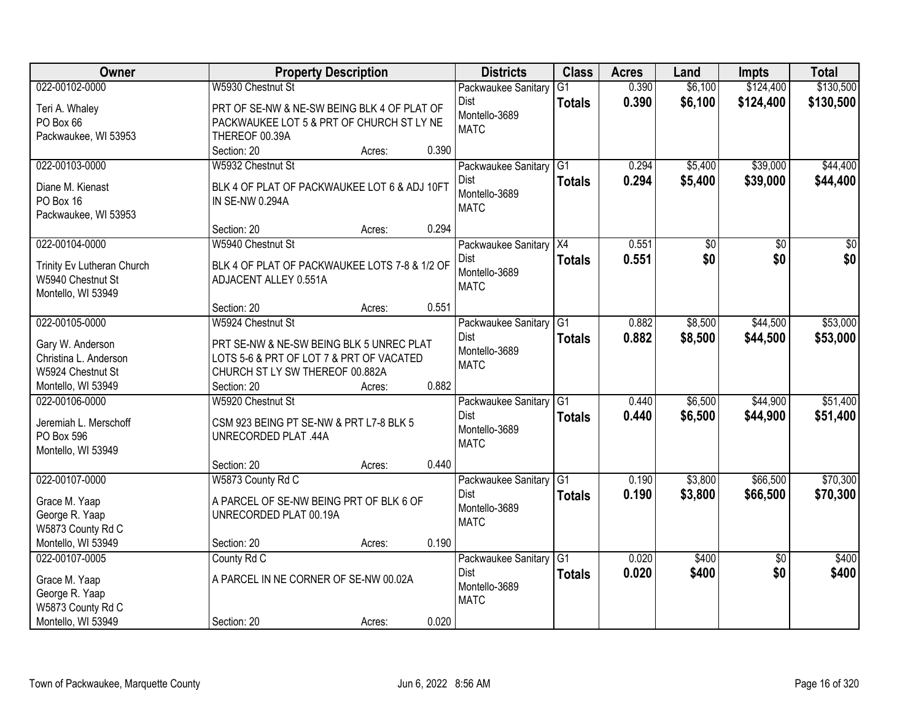| Owner                                     | <b>Property Description</b>                                                          |        |       | <b>Districts</b>             | <b>Class</b>    | <b>Acres</b> | Land    | <b>Impts</b>    | <b>Total</b> |
|-------------------------------------------|--------------------------------------------------------------------------------------|--------|-------|------------------------------|-----------------|--------------|---------|-----------------|--------------|
| 022-00102-0000                            | W5930 Chestnut St                                                                    |        |       | Packwaukee Sanitary          | $\overline{G1}$ | 0.390        | \$6,100 | \$124,400       | \$130,500    |
| Teri A. Whaley                            | PRT OF SE-NW & NE-SW BEING BLK 4 OF PLAT OF                                          |        |       | Dist                         | <b>Totals</b>   | 0.390        | \$6,100 | \$124,400       | \$130,500    |
| PO Box 66                                 | PACKWAUKEE LOT 5 & PRT OF CHURCH ST LY NE                                            |        |       | Montello-3689                |                 |              |         |                 |              |
| Packwaukee, WI 53953                      | THEREOF 00.39A                                                                       |        |       | <b>MATC</b>                  |                 |              |         |                 |              |
|                                           | Section: 20                                                                          | Acres: | 0.390 |                              |                 |              |         |                 |              |
| 022-00103-0000                            | W5932 Chestnut St                                                                    |        |       | Packwaukee Sanitary          | $\overline{G1}$ | 0.294        | \$5,400 | \$39,000        | \$44,400     |
| Diane M. Kienast                          | BLK 4 OF PLAT OF PACKWAUKEE LOT 6 & ADJ 10FT                                         |        |       | <b>Dist</b>                  | <b>Totals</b>   | 0.294        | \$5,400 | \$39,000        | \$44,400     |
| PO Box 16                                 | IN SE-NW 0.294A                                                                      |        |       | Montello-3689                |                 |              |         |                 |              |
| Packwaukee, WI 53953                      |                                                                                      |        |       | <b>MATC</b>                  |                 |              |         |                 |              |
|                                           | Section: 20                                                                          | Acres: | 0.294 |                              |                 |              |         |                 |              |
| 022-00104-0000                            | W5940 Chestnut St                                                                    |        |       | Packwaukee Sanitary X4       |                 | 0.551        | \$0     | \$0             | \$0          |
| Trinity Ev Lutheran Church                | BLK 4 OF PLAT OF PACKWAUKEE LOTS 7-8 & 1/2 OF                                        |        |       | Dist                         | <b>Totals</b>   | 0.551        | \$0     | \$0             | \$0          |
| W5940 Chestnut St                         | ADJACENT ALLEY 0.551A                                                                |        |       | Montello-3689                |                 |              |         |                 |              |
| Montello, WI 53949                        |                                                                                      |        |       | <b>MATC</b>                  |                 |              |         |                 |              |
|                                           | Section: 20                                                                          | Acres: | 0.551 |                              |                 |              |         |                 |              |
| 022-00105-0000                            | W5924 Chestnut St                                                                    |        |       | Packwaukee Sanitary          | G1              | 0.882        | \$8,500 | \$44,500        | \$53,000     |
|                                           |                                                                                      |        |       | Dist                         | <b>Totals</b>   | 0.882        | \$8,500 | \$44,500        | \$53,000     |
| Gary W. Anderson<br>Christina L. Anderson | PRT SE-NW & NE-SW BEING BLK 5 UNREC PLAT<br>LOTS 5-6 & PRT OF LOT 7 & PRT OF VACATED |        |       | Montello-3689                |                 |              |         |                 |              |
| W5924 Chestnut St                         | CHURCH ST LY SW THEREOF 00.882A                                                      |        |       | <b>MATC</b>                  |                 |              |         |                 |              |
| Montello, WI 53949                        | Section: 20                                                                          | Acres: | 0.882 |                              |                 |              |         |                 |              |
| 022-00106-0000                            | W5920 Chestnut St                                                                    |        |       | Packwaukee Sanitary          | G1              | 0.440        | \$6,500 | \$44,900        | \$51,400     |
|                                           |                                                                                      |        |       | <b>Dist</b>                  | <b>Totals</b>   | 0.440        | \$6,500 | \$44,900        | \$51,400     |
| Jeremiah L. Merschoff                     | CSM 923 BEING PT SE-NW & PRT L7-8 BLK 5                                              |        |       | Montello-3689                |                 |              |         |                 |              |
| PO Box 596                                | <b>UNRECORDED PLAT .44A</b>                                                          |        |       | <b>MATC</b>                  |                 |              |         |                 |              |
| Montello, WI 53949                        |                                                                                      |        |       |                              |                 |              |         |                 |              |
|                                           | Section: 20                                                                          | Acres: | 0.440 |                              |                 |              |         |                 |              |
| 022-00107-0000                            | W5873 County Rd C                                                                    |        |       | Packwaukee Sanitary          | G1              | 0.190        | \$3,800 | \$66,500        | \$70,300     |
| Grace M. Yaap                             | A PARCEL OF SE-NW BEING PRT OF BLK 6 OF                                              |        |       | Dist                         | <b>Totals</b>   | 0.190        | \$3,800 | \$66,500        | \$70,300     |
| George R. Yaap                            | UNRECORDED PLAT 00.19A                                                               |        |       | Montello-3689<br><b>MATC</b> |                 |              |         |                 |              |
| W5873 County Rd C                         |                                                                                      |        |       |                              |                 |              |         |                 |              |
| Montello, WI 53949                        | Section: 20                                                                          | Acres: | 0.190 |                              |                 |              |         |                 |              |
| 022-00107-0005                            | County Rd C                                                                          |        |       | Packwaukee Sanitary          | G1              | 0.020        | \$400   | $\overline{30}$ | \$400        |
| Grace M. Yaap                             | A PARCEL IN NE CORNER OF SE-NW 00.02A                                                |        |       | Dist                         | <b>Totals</b>   | 0.020        | \$400   | \$0             | \$400        |
| George R. Yaap                            |                                                                                      |        |       | Montello-3689                |                 |              |         |                 |              |
| W5873 County Rd C                         |                                                                                      |        |       | <b>MATC</b>                  |                 |              |         |                 |              |
| Montello, WI 53949                        | Section: 20                                                                          | Acres: | 0.020 |                              |                 |              |         |                 |              |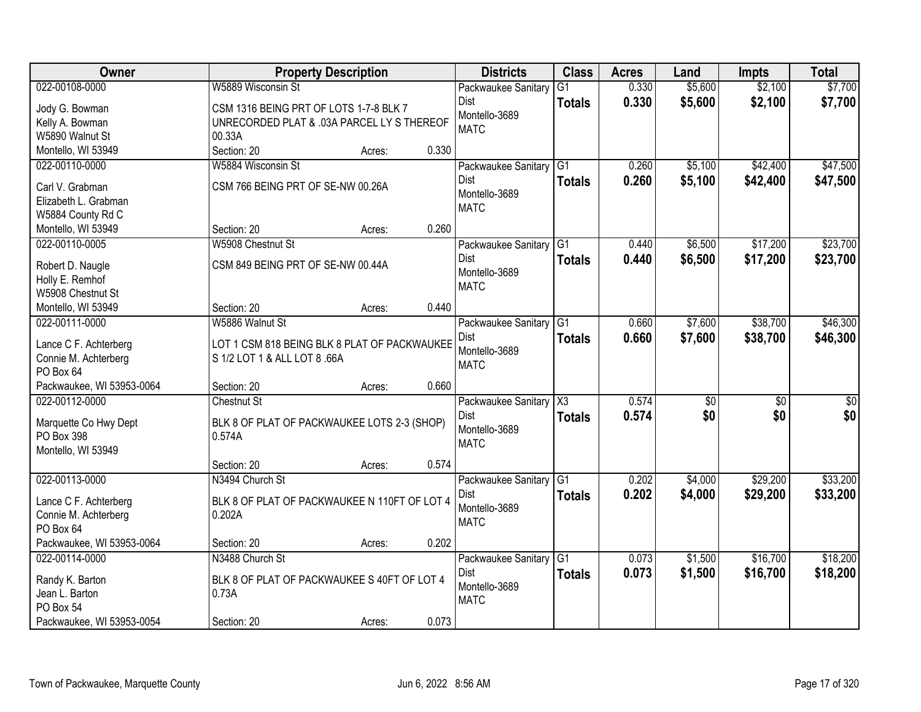| 022-00108-0000<br>W5889 Wisconsin St<br>\$5,600<br>\$7,700<br>$\overline{G1}$<br>0.330<br>\$2,100<br>Packwaukee Sanitary<br>0.330<br>\$2,100<br>\$5,600<br>\$7,700<br>Dist<br><b>Totals</b><br>Jody G. Bowman<br>CSM 1316 BEING PRT OF LOTS 1-7-8 BLK 7<br>Montello-3689<br>UNRECORDED PLAT & .03A PARCEL LY S THEREOF<br>Kelly A. Bowman<br><b>MATC</b><br>W5890 Walnut St<br>00.33A<br>Montello, WI 53949<br>Section: 20<br>0.330<br>Acres:<br>\$5,100<br>\$42,400<br>\$47,500<br>W5884 Wisconsin St<br>$\overline{G1}$<br>0.260<br>022-00110-0000<br>Packwaukee Sanitary<br>0.260<br>\$5,100<br>\$42,400<br>Dist<br>\$47,500<br><b>Totals</b><br>CSM 766 BEING PRT OF SE-NW 00.26A<br>Carl V. Grabman<br>Montello-3689<br>Elizabeth L. Grabman<br><b>MATC</b><br>W5884 County Rd C<br>0.260<br>Montello, WI 53949<br>Section: 20<br>Acres:<br>\$6,500<br>\$17,200<br>\$23,700<br>022-00110-0005<br>W5908 Chestnut St<br> G1<br>0.440<br>Packwaukee Sanitary<br><b>Dist</b><br>\$17,200<br>0.440<br>\$6,500<br>\$23,700<br><b>Totals</b><br>CSM 849 BEING PRT OF SE-NW 00.44A<br>Robert D. Naugle<br>Montello-3689<br>Holly E. Remhof<br><b>MATC</b><br>W5908 Chestnut St<br>0.440<br>Montello, WI 53949<br>Section: 20 |
|---------------------------------------------------------------------------------------------------------------------------------------------------------------------------------------------------------------------------------------------------------------------------------------------------------------------------------------------------------------------------------------------------------------------------------------------------------------------------------------------------------------------------------------------------------------------------------------------------------------------------------------------------------------------------------------------------------------------------------------------------------------------------------------------------------------------------------------------------------------------------------------------------------------------------------------------------------------------------------------------------------------------------------------------------------------------------------------------------------------------------------------------------------------------------------------------------------------------------|
|                                                                                                                                                                                                                                                                                                                                                                                                                                                                                                                                                                                                                                                                                                                                                                                                                                                                                                                                                                                                                                                                                                                                                                                                                           |
|                                                                                                                                                                                                                                                                                                                                                                                                                                                                                                                                                                                                                                                                                                                                                                                                                                                                                                                                                                                                                                                                                                                                                                                                                           |
|                                                                                                                                                                                                                                                                                                                                                                                                                                                                                                                                                                                                                                                                                                                                                                                                                                                                                                                                                                                                                                                                                                                                                                                                                           |
|                                                                                                                                                                                                                                                                                                                                                                                                                                                                                                                                                                                                                                                                                                                                                                                                                                                                                                                                                                                                                                                                                                                                                                                                                           |
|                                                                                                                                                                                                                                                                                                                                                                                                                                                                                                                                                                                                                                                                                                                                                                                                                                                                                                                                                                                                                                                                                                                                                                                                                           |
|                                                                                                                                                                                                                                                                                                                                                                                                                                                                                                                                                                                                                                                                                                                                                                                                                                                                                                                                                                                                                                                                                                                                                                                                                           |
|                                                                                                                                                                                                                                                                                                                                                                                                                                                                                                                                                                                                                                                                                                                                                                                                                                                                                                                                                                                                                                                                                                                                                                                                                           |
|                                                                                                                                                                                                                                                                                                                                                                                                                                                                                                                                                                                                                                                                                                                                                                                                                                                                                                                                                                                                                                                                                                                                                                                                                           |
|                                                                                                                                                                                                                                                                                                                                                                                                                                                                                                                                                                                                                                                                                                                                                                                                                                                                                                                                                                                                                                                                                                                                                                                                                           |
|                                                                                                                                                                                                                                                                                                                                                                                                                                                                                                                                                                                                                                                                                                                                                                                                                                                                                                                                                                                                                                                                                                                                                                                                                           |
|                                                                                                                                                                                                                                                                                                                                                                                                                                                                                                                                                                                                                                                                                                                                                                                                                                                                                                                                                                                                                                                                                                                                                                                                                           |
|                                                                                                                                                                                                                                                                                                                                                                                                                                                                                                                                                                                                                                                                                                                                                                                                                                                                                                                                                                                                                                                                                                                                                                                                                           |
|                                                                                                                                                                                                                                                                                                                                                                                                                                                                                                                                                                                                                                                                                                                                                                                                                                                                                                                                                                                                                                                                                                                                                                                                                           |
|                                                                                                                                                                                                                                                                                                                                                                                                                                                                                                                                                                                                                                                                                                                                                                                                                                                                                                                                                                                                                                                                                                                                                                                                                           |
|                                                                                                                                                                                                                                                                                                                                                                                                                                                                                                                                                                                                                                                                                                                                                                                                                                                                                                                                                                                                                                                                                                                                                                                                                           |
| Acres:                                                                                                                                                                                                                                                                                                                                                                                                                                                                                                                                                                                                                                                                                                                                                                                                                                                                                                                                                                                                                                                                                                                                                                                                                    |
| \$38,700<br>\$46,300<br>W5886 Walnut St<br>0.660<br>\$7,600<br>022-00111-0000<br>G1<br>Packwaukee Sanitary                                                                                                                                                                                                                                                                                                                                                                                                                                                                                                                                                                                                                                                                                                                                                                                                                                                                                                                                                                                                                                                                                                                |
| 0.660<br>Dist<br>\$7,600<br>\$38,700<br>\$46,300<br><b>Totals</b><br>Lance C F. Achterberg<br>LOT 1 CSM 818 BEING BLK 8 PLAT OF PACKWAUKEE                                                                                                                                                                                                                                                                                                                                                                                                                                                                                                                                                                                                                                                                                                                                                                                                                                                                                                                                                                                                                                                                                |
| Montello-3689<br>S 1/2 LOT 1 & ALL LOT 8 .66A<br>Connie M. Achterberg                                                                                                                                                                                                                                                                                                                                                                                                                                                                                                                                                                                                                                                                                                                                                                                                                                                                                                                                                                                                                                                                                                                                                     |
| <b>MATC</b><br>PO Box 64                                                                                                                                                                                                                                                                                                                                                                                                                                                                                                                                                                                                                                                                                                                                                                                                                                                                                                                                                                                                                                                                                                                                                                                                  |
| 0.660<br>Packwaukee, WI 53953-0064<br>Section: 20<br>Acres:                                                                                                                                                                                                                                                                                                                                                                                                                                                                                                                                                                                                                                                                                                                                                                                                                                                                                                                                                                                                                                                                                                                                                               |
| 0.574<br>022-00112-0000<br>$\overline{\chi_3}$<br>$\overline{30}$<br><b>Chestnut St</b><br>$\overline{50}$<br>\$0<br>Packwaukee Sanitary                                                                                                                                                                                                                                                                                                                                                                                                                                                                                                                                                                                                                                                                                                                                                                                                                                                                                                                                                                                                                                                                                  |
| \$0<br>\$0<br>Dist<br>0.574<br>\$0<br><b>Totals</b>                                                                                                                                                                                                                                                                                                                                                                                                                                                                                                                                                                                                                                                                                                                                                                                                                                                                                                                                                                                                                                                                                                                                                                       |
| Marquette Co Hwy Dept<br>BLK 8 OF PLAT OF PACKWAUKEE LOTS 2-3 (SHOP)<br>Montello-3689                                                                                                                                                                                                                                                                                                                                                                                                                                                                                                                                                                                                                                                                                                                                                                                                                                                                                                                                                                                                                                                                                                                                     |
| PO Box 398<br>0.574A<br><b>MATC</b>                                                                                                                                                                                                                                                                                                                                                                                                                                                                                                                                                                                                                                                                                                                                                                                                                                                                                                                                                                                                                                                                                                                                                                                       |
| Montello, WI 53949                                                                                                                                                                                                                                                                                                                                                                                                                                                                                                                                                                                                                                                                                                                                                                                                                                                                                                                                                                                                                                                                                                                                                                                                        |
| 0.574<br>Section: 20<br>Acres:                                                                                                                                                                                                                                                                                                                                                                                                                                                                                                                                                                                                                                                                                                                                                                                                                                                                                                                                                                                                                                                                                                                                                                                            |
| \$29,200<br>\$33,200<br>022-00113-0000<br>N3494 Church St<br>G <sub>1</sub><br>0.202<br>\$4,000<br>Packwaukee Sanitary                                                                                                                                                                                                                                                                                                                                                                                                                                                                                                                                                                                                                                                                                                                                                                                                                                                                                                                                                                                                                                                                                                    |
| Dist<br>0.202<br>\$29,200<br>\$33,200<br>\$4,000<br><b>Totals</b><br>BLK 8 OF PLAT OF PACKWAUKEE N 110FT OF LOT 4<br>Lance C F. Achterberg                                                                                                                                                                                                                                                                                                                                                                                                                                                                                                                                                                                                                                                                                                                                                                                                                                                                                                                                                                                                                                                                                |
| Montello-3689<br>Connie M. Achterberg<br>0.202A                                                                                                                                                                                                                                                                                                                                                                                                                                                                                                                                                                                                                                                                                                                                                                                                                                                                                                                                                                                                                                                                                                                                                                           |
| <b>MATC</b><br>PO Box 64                                                                                                                                                                                                                                                                                                                                                                                                                                                                                                                                                                                                                                                                                                                                                                                                                                                                                                                                                                                                                                                                                                                                                                                                  |
| Packwaukee, WI 53953-0064<br>0.202<br>Section: 20<br>Acres:                                                                                                                                                                                                                                                                                                                                                                                                                                                                                                                                                                                                                                                                                                                                                                                                                                                                                                                                                                                                                                                                                                                                                               |
| \$18,200<br>N3488 Church St<br>\$1,500<br>\$16,700<br>022-00114-0000<br>$\overline{G1}$<br>0.073<br>Packwaukee Sanitary                                                                                                                                                                                                                                                                                                                                                                                                                                                                                                                                                                                                                                                                                                                                                                                                                                                                                                                                                                                                                                                                                                   |
| 0.073<br>\$16,700<br>Dist<br>\$1,500<br>\$18,200<br><b>Totals</b>                                                                                                                                                                                                                                                                                                                                                                                                                                                                                                                                                                                                                                                                                                                                                                                                                                                                                                                                                                                                                                                                                                                                                         |
| Randy K. Barton<br>BLK 8 OF PLAT OF PACKWAUKEE S 40FT OF LOT 4<br>Montello-3689<br>Jean L. Barton<br>0.73A                                                                                                                                                                                                                                                                                                                                                                                                                                                                                                                                                                                                                                                                                                                                                                                                                                                                                                                                                                                                                                                                                                                |
| <b>MATC</b><br>PO Box 54                                                                                                                                                                                                                                                                                                                                                                                                                                                                                                                                                                                                                                                                                                                                                                                                                                                                                                                                                                                                                                                                                                                                                                                                  |
| 0.073<br>Packwaukee, WI 53953-0054<br>Section: 20<br>Acres:                                                                                                                                                                                                                                                                                                                                                                                                                                                                                                                                                                                                                                                                                                                                                                                                                                                                                                                                                                                                                                                                                                                                                               |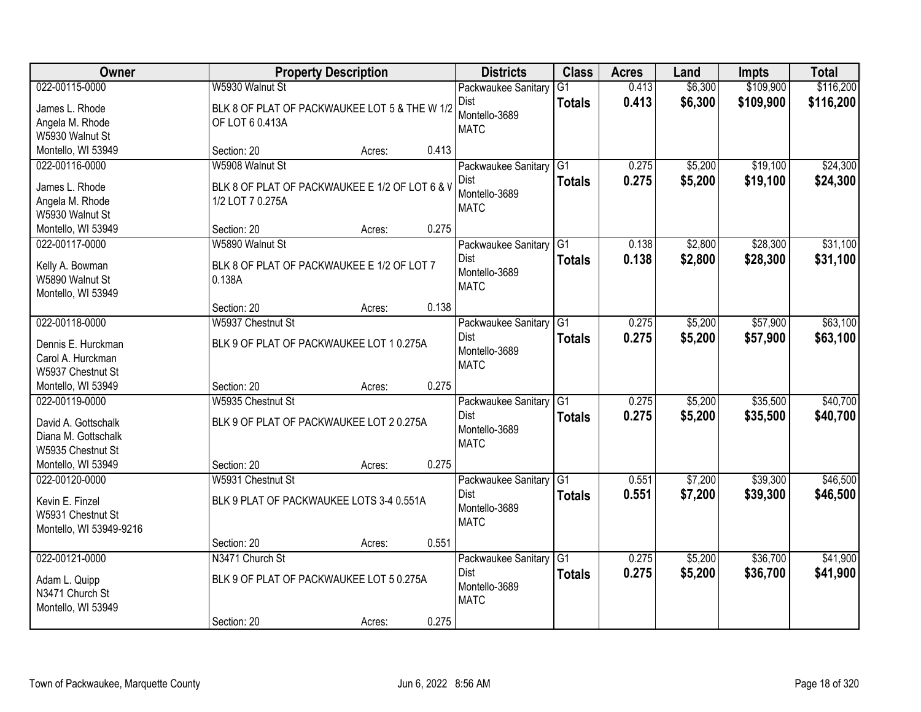| Owner                                   |                                                | <b>Property Description</b> |       | <b>Districts</b>            | <b>Class</b>    | <b>Acres</b> | Land    | <b>Impts</b> | <b>Total</b> |
|-----------------------------------------|------------------------------------------------|-----------------------------|-------|-----------------------------|-----------------|--------------|---------|--------------|--------------|
| 022-00115-0000                          | W5930 Walnut St                                |                             |       | Packwaukee Sanitary         | $\overline{G1}$ | 0.413        | \$6,300 | \$109,900    | \$116,200    |
| James L. Rhode                          | BLK 8 OF PLAT OF PACKWAUKEE LOT 5 & THE W 1/2  |                             |       | Dist                        | <b>Totals</b>   | 0.413        | \$6,300 | \$109,900    | \$116,200    |
| Angela M. Rhode                         | OF LOT 6 0.413A                                |                             |       | Montello-3689               |                 |              |         |              |              |
| W5930 Walnut St                         |                                                |                             |       | <b>MATC</b>                 |                 |              |         |              |              |
| Montello, WI 53949                      | Section: 20                                    | Acres:                      | 0.413 |                             |                 |              |         |              |              |
| 022-00116-0000                          | W5908 Walnut St                                |                             |       | Packwaukee Sanitary         | $\overline{G1}$ | 0.275        | \$5,200 | \$19,100     | \$24,300     |
| James L. Rhode                          | BLK 8 OF PLAT OF PACKWAUKEE E 1/2 OF LOT 6 & V |                             |       | Dist                        | <b>Totals</b>   | 0.275        | \$5,200 | \$19,100     | \$24,300     |
| Angela M. Rhode                         | 1/2 LOT 7 0.275A                               |                             |       | Montello-3689               |                 |              |         |              |              |
| W5930 Walnut St                         |                                                |                             |       | <b>MATC</b>                 |                 |              |         |              |              |
| Montello, WI 53949                      | Section: 20                                    | Acres:                      | 0.275 |                             |                 |              |         |              |              |
| 022-00117-0000                          | W5890 Walnut St                                |                             |       | Packwaukee Sanitary         | G <sub>1</sub>  | 0.138        | \$2,800 | \$28,300     | \$31,100     |
| Kelly A. Bowman                         | BLK 8 OF PLAT OF PACKWAUKEE E 1/2 OF LOT 7     |                             |       | Dist                        | <b>Totals</b>   | 0.138        | \$2,800 | \$28,300     | \$31,100     |
| W5890 Walnut St                         | 0.138A                                         |                             |       | Montello-3689               |                 |              |         |              |              |
| Montello, WI 53949                      |                                                |                             |       | <b>MATC</b>                 |                 |              |         |              |              |
|                                         | Section: 20                                    | Acres:                      | 0.138 |                             |                 |              |         |              |              |
| 022-00118-0000                          | W5937 Chestnut St                              |                             |       | Packwaukee Sanitary         | G1              | 0.275        | \$5,200 | \$57,900     | \$63,100     |
|                                         |                                                |                             |       | Dist                        | <b>Totals</b>   | 0.275        | \$5,200 | \$57,900     | \$63,100     |
| Dennis E. Hurckman<br>Carol A. Hurckman | BLK 9 OF PLAT OF PACKWAUKEE LOT 1 0.275A       |                             |       | Montello-3689               |                 |              |         |              |              |
| W5937 Chestnut St                       |                                                |                             |       | <b>MATC</b>                 |                 |              |         |              |              |
| Montello, WI 53949                      | Section: 20                                    | Acres:                      | 0.275 |                             |                 |              |         |              |              |
| 022-00119-0000                          | W5935 Chestnut St                              |                             |       | Packwaukee Sanitary         | $\overline{G1}$ | 0.275        | \$5,200 | \$35,500     | \$40,700     |
|                                         |                                                |                             |       | <b>Dist</b>                 | <b>Totals</b>   | 0.275        | \$5,200 | \$35,500     | \$40,700     |
| David A. Gottschalk                     | BLK 9 OF PLAT OF PACKWAUKEE LOT 2 0.275A       |                             |       | Montello-3689               |                 |              |         |              |              |
| Diana M. Gottschalk                     |                                                |                             |       | <b>MATC</b>                 |                 |              |         |              |              |
| W5935 Chestnut St<br>Montello, WI 53949 | Section: 20                                    |                             | 0.275 |                             |                 |              |         |              |              |
| 022-00120-0000                          | W5931 Chestnut St                              | Acres:                      |       | Packwaukee Sanitary         | G1              | 0.551        | \$7,200 | \$39,300     | \$46,500     |
|                                         |                                                |                             |       | Dist                        | <b>Totals</b>   | 0.551        | \$7,200 | \$39,300     | \$46,500     |
| Kevin E. Finzel                         | BLK 9 PLAT OF PACKWAUKEE LOTS 3-4 0.551A       |                             |       | Montello-3689               |                 |              |         |              |              |
| W5931 Chestnut St                       |                                                |                             |       | <b>MATC</b>                 |                 |              |         |              |              |
| Montello, WI 53949-9216                 |                                                |                             |       |                             |                 |              |         |              |              |
|                                         | Section: 20                                    | Acres:                      | 0.551 |                             |                 |              |         |              |              |
| 022-00121-0000                          | N3471 Church St                                |                             |       | Packwaukee Sanitary<br>Dist | G1              | 0.275        | \$5,200 | \$36,700     | \$41,900     |
| Adam L. Quipp                           | BLK 9 OF PLAT OF PACKWAUKEE LOT 5 0.275A       |                             |       | Montello-3689               | <b>Totals</b>   | 0.275        | \$5,200 | \$36,700     | \$41,900     |
| N3471 Church St                         |                                                |                             |       | <b>MATC</b>                 |                 |              |         |              |              |
| Montello, WI 53949                      |                                                |                             |       |                             |                 |              |         |              |              |
|                                         | Section: 20                                    | Acres:                      | 0.275 |                             |                 |              |         |              |              |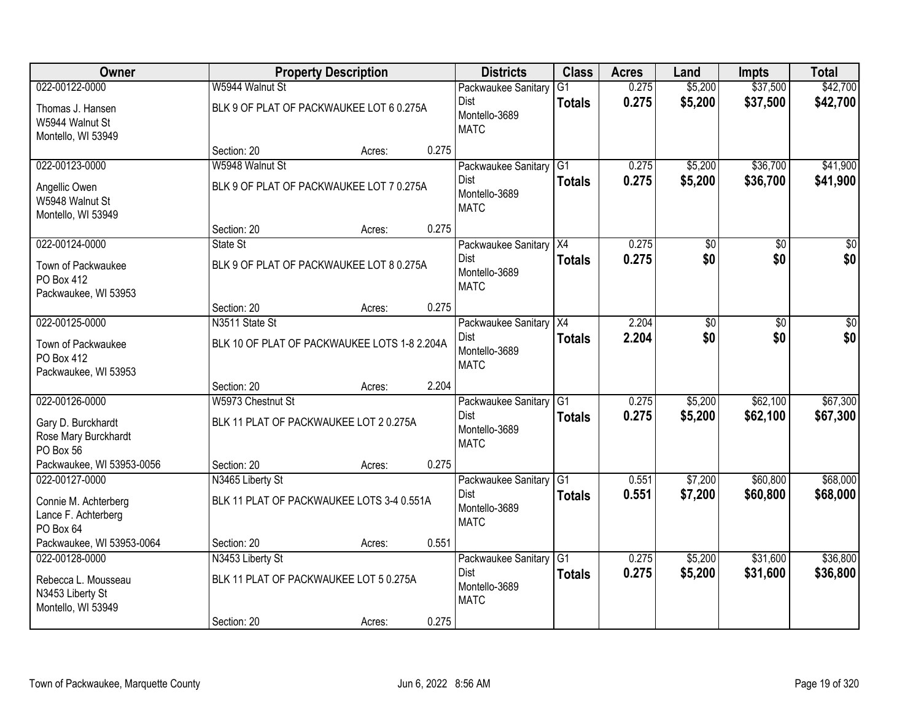| Owner                                                         |                                              | <b>Property Description</b> |       | <b>Districts</b>                     | <b>Class</b>    | <b>Acres</b> | Land            | Impts    | <b>Total</b> |
|---------------------------------------------------------------|----------------------------------------------|-----------------------------|-------|--------------------------------------|-----------------|--------------|-----------------|----------|--------------|
| 022-00122-0000                                                | W5944 Walnut St                              |                             |       | Packwaukee Sanitary                  | $\overline{G1}$ | 0.275        | \$5,200         | \$37,500 | \$42,700     |
| Thomas J. Hansen<br>W5944 Walnut St<br>Montello, WI 53949     | BLK 9 OF PLAT OF PACKWAUKEE LOT 6 0.275A     |                             |       | Dist<br>Montello-3689<br><b>MATC</b> | <b>Totals</b>   | 0.275        | \$5,200         | \$37,500 | \$42,700     |
|                                                               | Section: 20                                  | Acres:                      | 0.275 |                                      |                 |              |                 |          |              |
| 022-00123-0000                                                | W5948 Walnut St                              |                             |       | Packwaukee Sanitary                  | $\overline{G1}$ | 0.275        | \$5,200         | \$36,700 | \$41,900     |
| Angellic Owen<br>W5948 Walnut St<br>Montello, WI 53949        | BLK 9 OF PLAT OF PACKWAUKEE LOT 7 0.275A     |                             |       | Dist<br>Montello-3689<br><b>MATC</b> | <b>Totals</b>   | 0.275        | \$5,200         | \$36,700 | \$41,900     |
|                                                               | Section: 20                                  | Acres:                      | 0.275 |                                      |                 |              |                 |          |              |
| 022-00124-0000                                                | State St                                     |                             |       | Packwaukee Sanitary X4               |                 | 0.275        | \$0             | \$0      | \$0          |
| Town of Packwaukee<br>PO Box 412<br>Packwaukee, WI 53953      | BLK 9 OF PLAT OF PACKWAUKEE LOT 8 0.275A     |                             |       | Dist<br>Montello-3689<br><b>MATC</b> | <b>Totals</b>   | 0.275        | \$0             | \$0      | \$0          |
|                                                               | Section: 20                                  | Acres:                      | 0.275 |                                      |                 |              |                 |          |              |
| 022-00125-0000                                                | N3511 State St                               |                             |       | Packwaukee Sanitary                  | X4              | 2.204        | $\overline{30}$ | \$0      | \$0          |
| Town of Packwaukee<br>PO Box 412<br>Packwaukee, WI 53953      | BLK 10 OF PLAT OF PACKWAUKEE LOTS 1-8 2.204A |                             |       | Dist<br>Montello-3689<br><b>MATC</b> | <b>Totals</b>   | 2.204        | \$0             | \$0      | \$0          |
|                                                               | Section: 20                                  | Acres:                      | 2.204 |                                      |                 |              |                 |          |              |
| 022-00126-0000                                                | W5973 Chestnut St                            |                             |       | Packwaukee Sanitary                  | G1              | 0.275        | \$5,200         | \$62,100 | \$67,300     |
| Gary D. Burckhardt                                            | BLK 11 PLAT OF PACKWAUKEE LOT 2 0.275A       |                             |       | <b>Dist</b>                          | <b>Totals</b>   | 0.275        | \$5,200         | \$62,100 | \$67,300     |
| Rose Mary Burckhardt                                          |                                              |                             |       | Montello-3689                        |                 |              |                 |          |              |
| PO Box 56                                                     |                                              |                             |       | <b>MATC</b>                          |                 |              |                 |          |              |
| Packwaukee, WI 53953-0056                                     | Section: 20                                  | Acres:                      | 0.275 |                                      |                 |              |                 |          |              |
| 022-00127-0000                                                | N3465 Liberty St                             |                             |       | Packwaukee Sanitary                  | $\overline{G1}$ | 0.551        | \$7,200         | \$60,800 | \$68,000     |
| Connie M. Achterberg<br>Lance F. Achterberg<br>PO Box 64      | BLK 11 PLAT OF PACKWAUKEE LOTS 3-4 0.551A    |                             |       | Dist<br>Montello-3689<br><b>MATC</b> | <b>Totals</b>   | 0.551        | \$7,200         | \$60,800 | \$68,000     |
| Packwaukee, WI 53953-0064                                     | Section: 20                                  | Acres:                      | 0.551 |                                      |                 |              |                 |          |              |
| 022-00128-0000                                                | N3453 Liberty St                             |                             |       | Packwaukee Sanitary                  | G1              | 0.275        | \$5,200         | \$31,600 | \$36,800     |
| Rebecca L. Mousseau<br>N3453 Liberty St<br>Montello, WI 53949 | BLK 11 PLAT OF PACKWAUKEE LOT 5 0.275A       |                             |       | Dist<br>Montello-3689<br><b>MATC</b> | <b>Totals</b>   | 0.275        | \$5,200         | \$31,600 | \$36,800     |
|                                                               | Section: 20                                  | Acres:                      | 0.275 |                                      |                 |              |                 |          |              |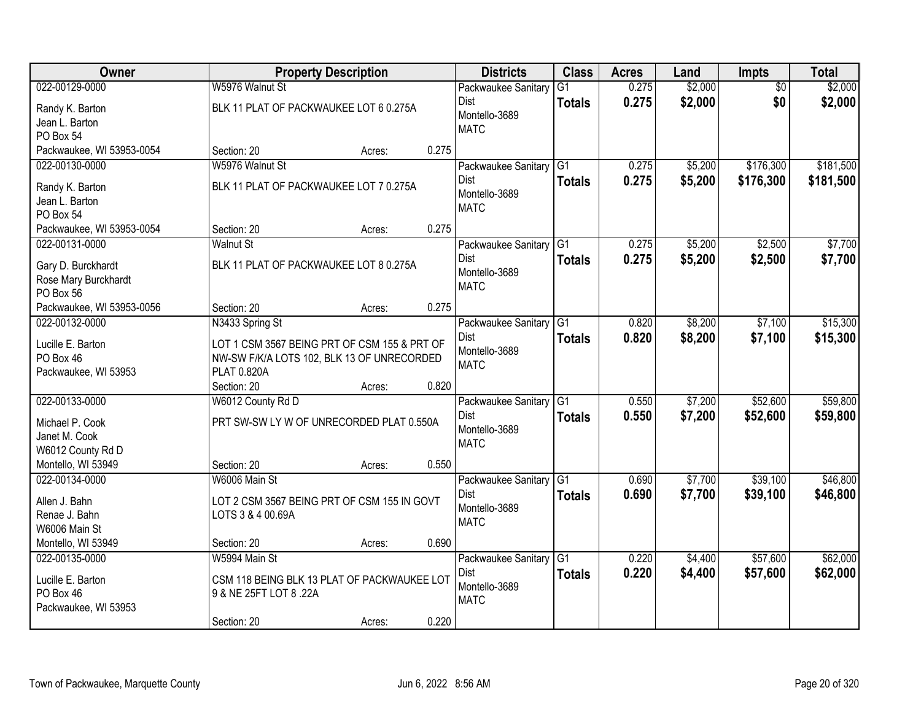| Owner                     |                                              | <b>Property Description</b> |       | <b>Districts</b>       | <b>Class</b>    | <b>Acres</b> | Land    | <b>Impts</b>    | <b>Total</b> |
|---------------------------|----------------------------------------------|-----------------------------|-------|------------------------|-----------------|--------------|---------|-----------------|--------------|
| 022-00129-0000            | W5976 Walnut St                              |                             |       | Packwaukee Sanitary    | $\overline{G1}$ | 0.275        | \$2,000 | $\overline{50}$ | \$2,000      |
| Randy K. Barton           | BLK 11 PLAT OF PACKWAUKEE LOT 6 0.275A       |                             |       | Dist                   | <b>Totals</b>   | 0.275        | \$2,000 | \$0             | \$2,000      |
| Jean L. Barton            |                                              |                             |       | Montello-3689          |                 |              |         |                 |              |
| PO Box 54                 |                                              |                             |       | <b>MATC</b>            |                 |              |         |                 |              |
| Packwaukee, WI 53953-0054 | Section: 20                                  | Acres:                      | 0.275 |                        |                 |              |         |                 |              |
| 022-00130-0000            | W5976 Walnut St                              |                             |       | Packwaukee Sanitary    | $\overline{G1}$ | 0.275        | \$5,200 | \$176,300       | \$181,500    |
| Randy K. Barton           | BLK 11 PLAT OF PACKWAUKEE LOT 7 0.275A       |                             |       | Dist                   | <b>Totals</b>   | 0.275        | \$5,200 | \$176,300       | \$181,500    |
| Jean L. Barton            |                                              |                             |       | Montello-3689          |                 |              |         |                 |              |
| PO Box 54                 |                                              |                             |       | <b>MATC</b>            |                 |              |         |                 |              |
| Packwaukee, WI 53953-0054 | Section: 20                                  | Acres:                      | 0.275 |                        |                 |              |         |                 |              |
| 022-00131-0000            | <b>Walnut St</b>                             |                             |       | Packwaukee Sanitary G1 |                 | 0.275        | \$5,200 | \$2,500         | \$7,700      |
| Gary D. Burckhardt        | BLK 11 PLAT OF PACKWAUKEE LOT 8 0.275A       |                             |       | Dist                   | <b>Totals</b>   | 0.275        | \$5,200 | \$2,500         | \$7,700      |
| Rose Mary Burckhardt      |                                              |                             |       | Montello-3689          |                 |              |         |                 |              |
| PO Box 56                 |                                              |                             |       | <b>MATC</b>            |                 |              |         |                 |              |
| Packwaukee, WI 53953-0056 | Section: 20                                  | Acres:                      | 0.275 |                        |                 |              |         |                 |              |
| 022-00132-0000            | N3433 Spring St                              |                             |       | Packwaukee Sanitary    | G1              | 0.820        | \$8,200 | \$7,100         | \$15,300     |
| Lucille E. Barton         | LOT 1 CSM 3567 BEING PRT OF CSM 155 & PRT OF |                             |       | Dist                   | <b>Totals</b>   | 0.820        | \$8,200 | \$7,100         | \$15,300     |
| PO Box 46                 | NW-SW F/K/A LOTS 102, BLK 13 OF UNRECORDED   |                             |       | Montello-3689          |                 |              |         |                 |              |
| Packwaukee, WI 53953      | PLAT 0.820A                                  |                             |       | <b>MATC</b>            |                 |              |         |                 |              |
|                           | Section: 20                                  | Acres:                      | 0.820 |                        |                 |              |         |                 |              |
| 022-00133-0000            | W6012 County Rd D                            |                             |       | Packwaukee Sanitary    | $\overline{G1}$ | 0.550        | \$7,200 | \$52,600        | \$59,800     |
| Michael P. Cook           | PRT SW-SW LY W OF UNRECORDED PLAT 0.550A     |                             |       | <b>Dist</b>            | <b>Totals</b>   | 0.550        | \$7,200 | \$52,600        | \$59,800     |
| Janet M. Cook             |                                              |                             |       | Montello-3689          |                 |              |         |                 |              |
| W6012 County Rd D         |                                              |                             |       | <b>MATC</b>            |                 |              |         |                 |              |
| Montello, WI 53949        | Section: 20                                  | Acres:                      | 0.550 |                        |                 |              |         |                 |              |
| 022-00134-0000            | W6006 Main St                                |                             |       | Packwaukee Sanitary    | G1              | 0.690        | \$7,700 | \$39,100        | \$46,800     |
| Allen J. Bahn             | LOT 2 CSM 3567 BEING PRT OF CSM 155 IN GOVT  |                             |       | Dist                   | <b>Totals</b>   | 0.690        | \$7,700 | \$39,100        | \$46,800     |
| Renae J. Bahn             | LOTS 3 & 4 00.69A                            |                             |       | Montello-3689          |                 |              |         |                 |              |
| W6006 Main St             |                                              |                             |       | <b>MATC</b>            |                 |              |         |                 |              |
| Montello, WI 53949        | Section: 20                                  | Acres:                      | 0.690 |                        |                 |              |         |                 |              |
| 022-00135-0000            | W5994 Main St                                |                             |       | Packwaukee Sanitary    | G1              | 0.220        | \$4,400 | \$57,600        | \$62,000     |
| Lucille E. Barton         | CSM 118 BEING BLK 13 PLAT OF PACKWAUKEE LOT  |                             |       | <b>Dist</b>            | <b>Totals</b>   | 0.220        | \$4,400 | \$57,600        | \$62,000     |
| PO Box 46                 | 9 & NE 25FT LOT 8 .22A                       |                             |       | Montello-3689          |                 |              |         |                 |              |
| Packwaukee, WI 53953      |                                              |                             |       | <b>MATC</b>            |                 |              |         |                 |              |
|                           | Section: 20                                  | Acres:                      | 0.220 |                        |                 |              |         |                 |              |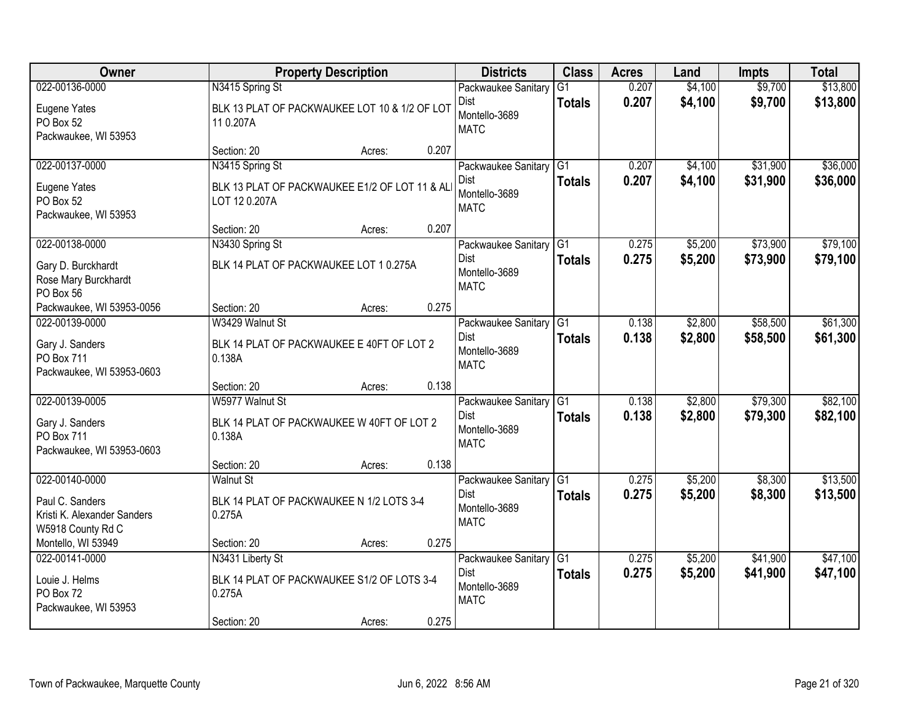| Owner                                                                                 | <b>Property Description</b>                                                        |        |       | <b>Districts</b>                                                        | <b>Class</b>                     | <b>Acres</b>   | Land               | <b>Impts</b>         | <b>Total</b>         |
|---------------------------------------------------------------------------------------|------------------------------------------------------------------------------------|--------|-------|-------------------------------------------------------------------------|----------------------------------|----------------|--------------------|----------------------|----------------------|
| 022-00136-0000                                                                        | N3415 Spring St                                                                    |        |       | Packwaukee Sanitary                                                     | $\overline{G1}$                  | 0.207          | \$4,100            | \$9,700              | \$13,800             |
| Eugene Yates<br>PO Box 52<br>Packwaukee, WI 53953                                     | BLK 13 PLAT OF PACKWAUKEE LOT 10 & 1/2 OF LOT<br>110.207A                          |        |       | Dist<br>Montello-3689<br><b>MATC</b>                                    | <b>Totals</b>                    | 0.207          | \$4,100            | \$9,700              | \$13,800             |
|                                                                                       | Section: 20                                                                        | Acres: | 0.207 |                                                                         |                                  |                |                    |                      |                      |
| 022-00137-0000<br>Eugene Yates<br>PO Box 52                                           | N3415 Spring St<br>BLK 13 PLAT OF PACKWAUKEE E1/2 OF LOT 11 & ALI<br>LOT 12 0.207A |        |       | Packwaukee Sanitary<br><b>Dist</b><br>Montello-3689                     | G1<br><b>Totals</b>              | 0.207<br>0.207 | \$4,100<br>\$4,100 | \$31,900<br>\$31,900 | \$36,000<br>\$36,000 |
| Packwaukee, WI 53953                                                                  | Section: 20                                                                        | Acres: | 0.207 | <b>MATC</b>                                                             |                                  |                |                    |                      |                      |
| 022-00138-0000                                                                        | N3430 Spring St                                                                    |        |       | Packwaukee Sanitary G1                                                  |                                  | 0.275          | \$5,200            | \$73,900             | \$79,100             |
| Gary D. Burckhardt<br>Rose Mary Burckhardt<br>PO Box 56                               | BLK 14 PLAT OF PACKWAUKEE LOT 1 0.275A                                             |        |       | <b>Dist</b><br>Montello-3689<br><b>MATC</b>                             | <b>Totals</b>                    | 0.275          | \$5,200            | \$73,900             | \$79,100             |
| Packwaukee, WI 53953-0056                                                             | Section: 20                                                                        | Acres: | 0.275 |                                                                         |                                  |                |                    |                      |                      |
| 022-00139-0000                                                                        | W3429 Walnut St                                                                    |        |       | Packwaukee Sanitary                                                     | G1                               | 0.138          | \$2,800            | \$58,500             | \$61,300             |
| Gary J. Sanders<br><b>PO Box 711</b><br>Packwaukee, WI 53953-0603                     | BLK 14 PLAT OF PACKWAUKEE E 40FT OF LOT 2<br>0.138A                                |        |       | <b>Dist</b><br>Montello-3689<br><b>MATC</b>                             | <b>Totals</b>                    | 0.138          | \$2,800            | \$58,500             | \$61,300             |
|                                                                                       | Section: 20                                                                        | Acres: | 0.138 |                                                                         |                                  |                |                    |                      |                      |
| 022-00139-0005<br>Gary J. Sanders<br><b>PO Box 711</b><br>Packwaukee, WI 53953-0603   | W5977 Walnut St<br>BLK 14 PLAT OF PACKWAUKEE W 40FT OF LOT 2<br>0.138A             |        |       | Packwaukee Sanitary<br><b>Dist</b><br>Montello-3689<br><b>MATC</b>      | $\overline{G1}$<br><b>Totals</b> | 0.138<br>0.138 | \$2,800<br>\$2,800 | \$79,300<br>\$79,300 | \$82,100<br>\$82,100 |
|                                                                                       | Section: 20                                                                        | Acres: | 0.138 |                                                                         |                                  |                |                    |                      |                      |
| 022-00140-0000<br>Paul C. Sanders<br>Kristi K. Alexander Sanders<br>W5918 County Rd C | <b>Walnut St</b><br>BLK 14 PLAT OF PACKWAUKEE N 1/2 LOTS 3-4<br>0.275A             |        |       | Packwaukee Sanitary   G1<br><b>Dist</b><br>Montello-3689<br><b>MATC</b> | <b>Totals</b>                    | 0.275<br>0.275 | \$5,200<br>\$5,200 | \$8,300<br>\$8,300   | \$13,500<br>\$13,500 |
| Montello, WI 53949                                                                    | Section: 20                                                                        | Acres: | 0.275 |                                                                         |                                  |                |                    |                      |                      |
| 022-00141-0000<br>Louie J. Helms<br>PO Box 72<br>Packwaukee, WI 53953                 | N3431 Liberty St<br>BLK 14 PLAT OF PACKWAUKEE S1/2 OF LOTS 3-4<br>0.275A           |        |       | Packwaukee Sanitary G1<br><b>Dist</b><br>Montello-3689<br><b>MATC</b>   | <b>Totals</b>                    | 0.275<br>0.275 | \$5,200<br>\$5,200 | \$41,900<br>\$41,900 | \$47,100<br>\$47,100 |
|                                                                                       | Section: 20                                                                        | Acres: | 0.275 |                                                                         |                                  |                |                    |                      |                      |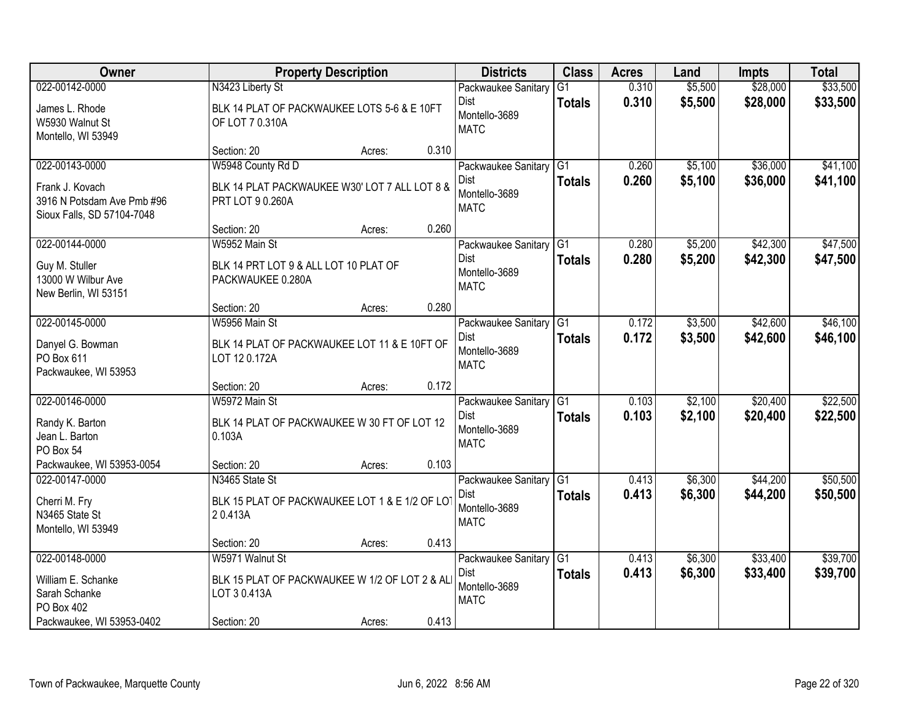| Owner                      |                                                | <b>Property Description</b> |       | <b>Districts</b>       | <b>Class</b>    | <b>Acres</b> | Land    | <b>Impts</b> | <b>Total</b> |
|----------------------------|------------------------------------------------|-----------------------------|-------|------------------------|-----------------|--------------|---------|--------------|--------------|
| 022-00142-0000             | N3423 Liberty St                               |                             |       | Packwaukee Sanitary    | $\overline{G1}$ | 0.310        | \$5,500 | \$28,000     | \$33,500     |
| James L. Rhode             | BLK 14 PLAT OF PACKWAUKEE LOTS 5-6 & E 10FT    |                             |       | Dist                   | <b>Totals</b>   | 0.310        | \$5,500 | \$28,000     | \$33,500     |
| W5930 Walnut St            | OF LOT 7 0.310A                                |                             |       | Montello-3689          |                 |              |         |              |              |
| Montello, WI 53949         |                                                |                             |       | <b>MATC</b>            |                 |              |         |              |              |
|                            | Section: 20                                    | Acres:                      | 0.310 |                        |                 |              |         |              |              |
| 022-00143-0000             | W5948 County Rd D                              |                             |       | Packwaukee Sanitary    | G1              | 0.260        | \$5,100 | \$36,000     | \$41,100     |
| Frank J. Kovach            | BLK 14 PLAT PACKWAUKEE W30' LOT 7 ALL LOT 8 &  |                             |       | Dist                   | <b>Totals</b>   | 0.260        | \$5,100 | \$36,000     | \$41,100     |
| 3916 N Potsdam Ave Pmb #96 | PRT LOT 9 0.260A                               |                             |       | Montello-3689          |                 |              |         |              |              |
| Sioux Falls, SD 57104-7048 |                                                |                             |       | <b>MATC</b>            |                 |              |         |              |              |
|                            | Section: 20                                    | Acres:                      | 0.260 |                        |                 |              |         |              |              |
| 022-00144-0000             | W5952 Main St                                  |                             |       | Packwaukee Sanitary G1 |                 | 0.280        | \$5,200 | \$42,300     | \$47,500     |
| Guy M. Stuller             | BLK 14 PRT LOT 9 & ALL LOT 10 PLAT OF          |                             |       | Dist                   | <b>Totals</b>   | 0.280        | \$5,200 | \$42,300     | \$47,500     |
| 13000 W Wilbur Ave         | PACKWAUKEE 0.280A                              |                             |       | Montello-3689          |                 |              |         |              |              |
| New Berlin, WI 53151       |                                                |                             |       | <b>MATC</b>            |                 |              |         |              |              |
|                            | Section: 20                                    | Acres:                      | 0.280 |                        |                 |              |         |              |              |
| 022-00145-0000             | W5956 Main St                                  |                             |       | Packwaukee Sanitary    | G1              | 0.172        | \$3,500 | \$42,600     | \$46,100     |
| Danyel G. Bowman           | BLK 14 PLAT OF PACKWAUKEE LOT 11 & E 10FT OF   |                             |       | Dist                   | <b>Totals</b>   | 0.172        | \$3,500 | \$42,600     | \$46,100     |
| PO Box 611                 | LOT 12 0.172A                                  |                             |       | Montello-3689          |                 |              |         |              |              |
| Packwaukee, WI 53953       |                                                |                             |       | <b>MATC</b>            |                 |              |         |              |              |
|                            | Section: 20                                    | Acres:                      | 0.172 |                        |                 |              |         |              |              |
| 022-00146-0000             | W5972 Main St                                  |                             |       | Packwaukee Sanitary    | $\overline{G1}$ | 0.103        | \$2,100 | \$20,400     | \$22,500     |
| Randy K. Barton            | BLK 14 PLAT OF PACKWAUKEE W 30 FT OF LOT 12    |                             |       | <b>Dist</b>            | <b>Totals</b>   | 0.103        | \$2,100 | \$20,400     | \$22,500     |
| Jean L. Barton             | 0.103A                                         |                             |       | Montello-3689          |                 |              |         |              |              |
| PO Box 54                  |                                                |                             |       | <b>MATC</b>            |                 |              |         |              |              |
| Packwaukee, WI 53953-0054  | Section: 20                                    | Acres:                      | 0.103 |                        |                 |              |         |              |              |
| 022-00147-0000             | N3465 State St                                 |                             |       | Packwaukee Sanitary G1 |                 | 0.413        | \$6,300 | \$44,200     | \$50,500     |
| Cherri M. Fry              | BLK 15 PLAT OF PACKWAUKEE LOT 1 & E 1/2 OF LOT |                             |       | Dist                   | <b>Totals</b>   | 0.413        | \$6,300 | \$44,200     | \$50,500     |
| N3465 State St             | 20.413A                                        |                             |       | Montello-3689          |                 |              |         |              |              |
| Montello, WI 53949         |                                                |                             |       | <b>MATC</b>            |                 |              |         |              |              |
|                            | Section: 20                                    | Acres:                      | 0.413 |                        |                 |              |         |              |              |
| 022-00148-0000             | W5971 Walnut St                                |                             |       | Packwaukee Sanitary    | G1              | 0.413        | \$6,300 | \$33,400     | \$39,700     |
| William E. Schanke         | BLK 15 PLAT OF PACKWAUKEE W 1/2 OF LOT 2 & ALI |                             |       | Dist                   | <b>Totals</b>   | 0.413        | \$6,300 | \$33,400     | \$39,700     |
| Sarah Schanke              | LOT 3 0.413A                                   |                             |       | Montello-3689          |                 |              |         |              |              |
| PO Box 402                 |                                                |                             |       | <b>MATC</b>            |                 |              |         |              |              |
| Packwaukee, WI 53953-0402  | Section: 20                                    | Acres:                      | 0.413 |                        |                 |              |         |              |              |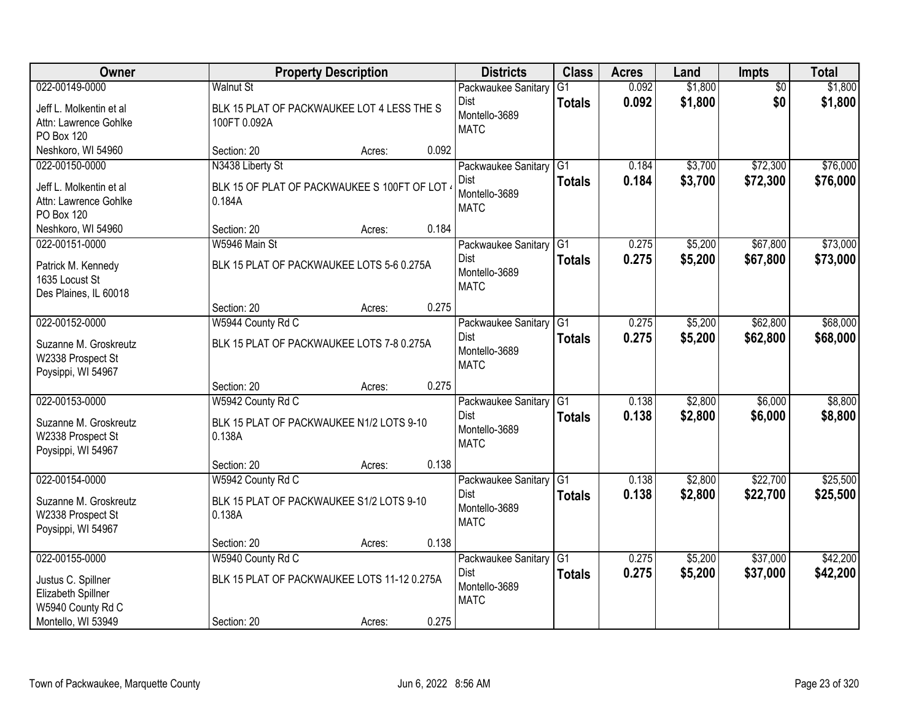| <b>Owner</b>            | <b>Property Description</b>                   |                 | <b>Districts</b>             | <b>Class</b>    | <b>Acres</b> | Land    | <b>Impts</b>    | <b>Total</b> |
|-------------------------|-----------------------------------------------|-----------------|------------------------------|-----------------|--------------|---------|-----------------|--------------|
| 022-00149-0000          | <b>Walnut St</b>                              |                 | Packwaukee Sanitary          | $\overline{G1}$ | 0.092        | \$1,800 | $\overline{50}$ | \$1,800      |
| Jeff L. Molkentin et al | BLK 15 PLAT OF PACKWAUKEE LOT 4 LESS THE S    |                 | Dist                         | <b>Totals</b>   | 0.092        | \$1,800 | \$0             | \$1,800      |
| Attn: Lawrence Gohlke   | 100FT 0.092A                                  |                 | Montello-3689<br><b>MATC</b> |                 |              |         |                 |              |
| PO Box 120              |                                               |                 |                              |                 |              |         |                 |              |
| Neshkoro, WI 54960      | Section: 20                                   | 0.092<br>Acres: |                              |                 |              |         |                 |              |
| 022-00150-0000          | N3438 Liberty St                              |                 | Packwaukee Sanitary          | $\overline{G1}$ | 0.184        | \$3,700 | \$72,300        | \$76,000     |
| Jeff L. Molkentin et al | BLK 15 OF PLAT OF PACKWAUKEE S 100FT OF LOT ( |                 | Dist                         | <b>Totals</b>   | 0.184        | \$3,700 | \$72,300        | \$76,000     |
| Attn: Lawrence Gohlke   | 0.184A                                        |                 | Montello-3689<br><b>MATC</b> |                 |              |         |                 |              |
| PO Box 120              |                                               |                 |                              |                 |              |         |                 |              |
| Neshkoro, WI 54960      | Section: 20                                   | Acres:          | 0.184                        |                 |              |         |                 |              |
| 022-00151-0000          | W5946 Main St                                 |                 | Packwaukee Sanitary G1       |                 | 0.275        | \$5,200 | \$67,800        | \$73,000     |
| Patrick M. Kennedy      | BLK 15 PLAT OF PACKWAUKEE LOTS 5-6 0.275A     |                 | Dist                         | <b>Totals</b>   | 0.275        | \$5,200 | \$67,800        | \$73,000     |
| 1635 Locust St          |                                               |                 | Montello-3689<br><b>MATC</b> |                 |              |         |                 |              |
| Des Plaines, IL 60018   |                                               |                 |                              |                 |              |         |                 |              |
|                         | Section: 20                                   | Acres:          | 0.275                        |                 |              |         |                 |              |
| 022-00152-0000          | W5944 County Rd C                             |                 | Packwaukee Sanitary          | G1              | 0.275        | \$5,200 | \$62,800        | \$68,000     |
| Suzanne M. Groskreutz   | BLK 15 PLAT OF PACKWAUKEE LOTS 7-8 0.275A     |                 | Dist                         | <b>Totals</b>   | 0.275        | \$5,200 | \$62,800        | \$68,000     |
| W2338 Prospect St       |                                               |                 | Montello-3689<br><b>MATC</b> |                 |              |         |                 |              |
| Poysippi, WI 54967      |                                               |                 |                              |                 |              |         |                 |              |
|                         | Section: 20                                   | Acres:          | 0.275                        |                 |              |         |                 |              |
| 022-00153-0000          | W5942 County Rd C                             |                 | Packwaukee Sanitary          | $\overline{G1}$ | 0.138        | \$2,800 | \$6,000         | \$8,800      |
| Suzanne M. Groskreutz   | BLK 15 PLAT OF PACKWAUKEE N1/2 LOTS 9-10      |                 | Dist                         | <b>Totals</b>   | 0.138        | \$2,800 | \$6,000         | \$8,800      |
| W2338 Prospect St       | 0.138A                                        |                 | Montello-3689                |                 |              |         |                 |              |
| Poysippi, WI 54967      |                                               |                 | <b>MATC</b>                  |                 |              |         |                 |              |
|                         | Section: 20                                   | Acres:          | 0.138                        |                 |              |         |                 |              |
| 022-00154-0000          | W5942 County Rd C                             |                 | Packwaukee Sanitary G1       |                 | 0.138        | \$2,800 | \$22,700        | \$25,500     |
| Suzanne M. Groskreutz   | BLK 15 PLAT OF PACKWAUKEE S1/2 LOTS 9-10      |                 | <b>Dist</b>                  | <b>Totals</b>   | 0.138        | \$2,800 | \$22,700        | \$25,500     |
| W2338 Prospect St       | 0.138A                                        |                 | Montello-3689                |                 |              |         |                 |              |
| Poysippi, WI 54967      |                                               |                 | <b>MATC</b>                  |                 |              |         |                 |              |
|                         | Section: 20                                   | Acres:          | 0.138                        |                 |              |         |                 |              |
| 022-00155-0000          | W5940 County Rd C                             |                 | Packwaukee Sanitary          | G1              | 0.275        | \$5,200 | \$37,000        | \$42,200     |
| Justus C. Spillner      | BLK 15 PLAT OF PACKWAUKEE LOTS 11-12 0.275A   |                 | Dist                         | <b>Totals</b>   | 0.275        | \$5,200 | \$37,000        | \$42,200     |
| Elizabeth Spillner      |                                               |                 | Montello-3689                |                 |              |         |                 |              |
| W5940 County Rd C       |                                               |                 | <b>MATC</b>                  |                 |              |         |                 |              |
| Montello, WI 53949      | Section: 20                                   | Acres:          | 0.275                        |                 |              |         |                 |              |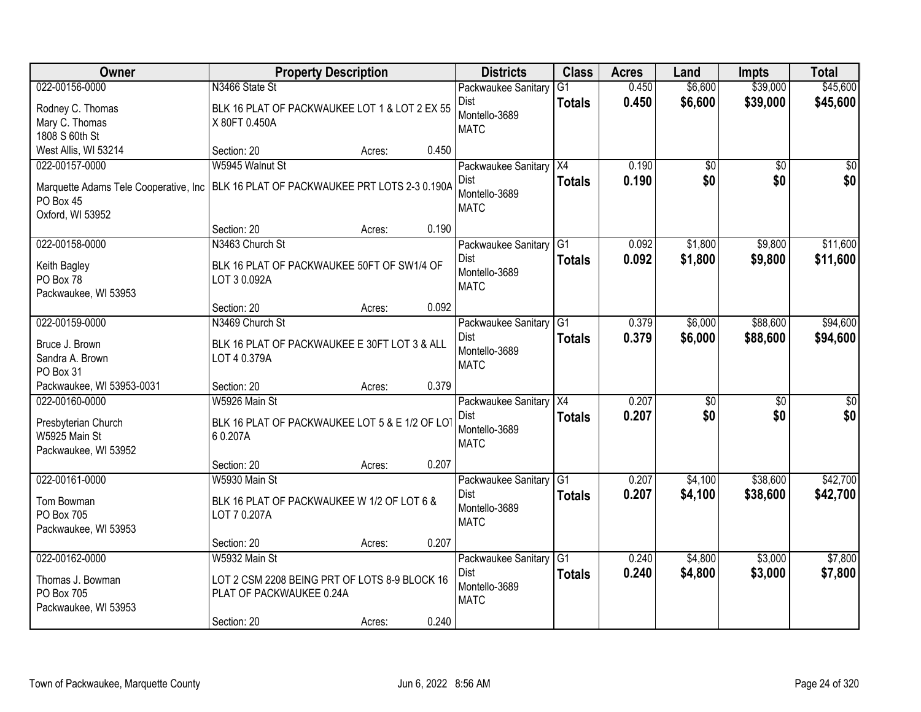| Owner                                 | <b>Property Description</b>                    |                 | <b>Districts</b>             | <b>Class</b>    | <b>Acres</b> | Land            | <b>Impts</b>    | <b>Total</b>    |
|---------------------------------------|------------------------------------------------|-----------------|------------------------------|-----------------|--------------|-----------------|-----------------|-----------------|
| 022-00156-0000                        | N3466 State St                                 |                 | Packwaukee Sanitary          | $\overline{G1}$ | 0.450        | \$6,600         | \$39,000        | \$45,600        |
| Rodney C. Thomas                      | BLK 16 PLAT OF PACKWAUKEE LOT 1 & LOT 2 EX 55  |                 | Dist                         | <b>Totals</b>   | 0.450        | \$6,600         | \$39,000        | \$45,600        |
| Mary C. Thomas                        | X 80FT 0.450A                                  |                 | Montello-3689<br><b>MATC</b> |                 |              |                 |                 |                 |
| 1808 S 60th St                        |                                                |                 |                              |                 |              |                 |                 |                 |
| West Allis, WI 53214                  | Section: 20                                    | 0.450<br>Acres: |                              |                 |              |                 |                 |                 |
| 022-00157-0000                        | W5945 Walnut St                                |                 | Packwaukee Sanitary          | X4              | 0.190        | $\overline{50}$ | $\overline{50}$ | $\sqrt{50}$     |
| Marquette Adams Tele Cooperative, Inc | BLK 16 PLAT OF PACKWAUKEE PRT LOTS 2-3 0.190A  |                 | <b>Dist</b>                  | <b>Totals</b>   | 0.190        | \$0             | \$0             | \$0             |
| PO Box 45                             |                                                |                 | Montello-3689<br><b>MATC</b> |                 |              |                 |                 |                 |
| Oxford, WI 53952                      |                                                |                 |                              |                 |              |                 |                 |                 |
|                                       | Section: 20                                    | 0.190<br>Acres: |                              |                 |              |                 |                 |                 |
| 022-00158-0000                        | N3463 Church St                                |                 | Packwaukee Sanitary          | G <sub>1</sub>  | 0.092        | \$1,800         | \$9,800         | \$11,600        |
| Keith Bagley                          | BLK 16 PLAT OF PACKWAUKEE 50FT OF SW1/4 OF     |                 | <b>Dist</b>                  | <b>Totals</b>   | 0.092        | \$1,800         | \$9,800         | \$11,600        |
| PO Box 78                             | LOT 3 0.092A                                   |                 | Montello-3689<br><b>MATC</b> |                 |              |                 |                 |                 |
| Packwaukee, WI 53953                  |                                                |                 |                              |                 |              |                 |                 |                 |
|                                       | Section: 20                                    | 0.092<br>Acres: |                              |                 |              |                 |                 |                 |
| 022-00159-0000                        | N3469 Church St                                |                 | Packwaukee Sanitary          | G <sub>1</sub>  | 0.379        | \$6,000         | \$88,600        | \$94,600        |
| Bruce J. Brown                        | BLK 16 PLAT OF PACKWAUKEE E 30FT LOT 3 & ALL   |                 | <b>Dist</b>                  | <b>Totals</b>   | 0.379        | \$6,000         | \$88,600        | \$94,600        |
| Sandra A. Brown                       | LOT 4 0.379A                                   |                 | Montello-3689                |                 |              |                 |                 |                 |
| PO Box 31                             |                                                |                 | <b>MATC</b>                  |                 |              |                 |                 |                 |
| Packwaukee, WI 53953-0031             | Section: 20                                    | 0.379<br>Acres: |                              |                 |              |                 |                 |                 |
| 022-00160-0000                        | W5926 Main St                                  |                 | Packwaukee Sanitary          | $\overline{X4}$ | 0.207        | $\overline{30}$ | $\overline{30}$ | $\overline{30}$ |
| Presbyterian Church                   | BLK 16 PLAT OF PACKWAUKEE LOT 5 & E 1/2 OF LOT |                 | Dist                         | <b>Totals</b>   | 0.207        | \$0             | \$0             | \$0             |
| W5925 Main St                         | 60.207A                                        |                 | Montello-3689                |                 |              |                 |                 |                 |
| Packwaukee, WI 53952                  |                                                |                 | <b>MATC</b>                  |                 |              |                 |                 |                 |
|                                       | Section: 20                                    | 0.207<br>Acres: |                              |                 |              |                 |                 |                 |
| 022-00161-0000                        | W5930 Main St                                  |                 | Packwaukee Sanitary          | $\overline{G1}$ | 0.207        | \$4,100         | \$38,600        | \$42,700        |
| Tom Bowman                            | BLK 16 PLAT OF PACKWAUKEE W 1/2 OF LOT 6 &     |                 | <b>Dist</b>                  | <b>Totals</b>   | 0.207        | \$4,100         | \$38,600        | \$42,700        |
| PO Box 705                            | LOT 7 0.207A                                   |                 | Montello-3689                |                 |              |                 |                 |                 |
| Packwaukee, WI 53953                  |                                                |                 | <b>MATC</b>                  |                 |              |                 |                 |                 |
|                                       | Section: 20                                    | 0.207<br>Acres: |                              |                 |              |                 |                 |                 |
| 022-00162-0000                        | W5932 Main St                                  |                 | Packwaukee Sanitary          | $\overline{G1}$ | 0.240        | \$4,800         | \$3,000         | \$7,800         |
| Thomas J. Bowman                      | LOT 2 CSM 2208 BEING PRT OF LOTS 8-9 BLOCK 16  |                 | Dist                         | <b>Totals</b>   | 0.240        | \$4,800         | \$3,000         | \$7,800         |
| PO Box 705                            | PLAT OF PACKWAUKEE 0.24A                       |                 | Montello-3689                |                 |              |                 |                 |                 |
| Packwaukee, WI 53953                  |                                                |                 | <b>MATC</b>                  |                 |              |                 |                 |                 |
|                                       | Section: 20                                    | 0.240<br>Acres: |                              |                 |              |                 |                 |                 |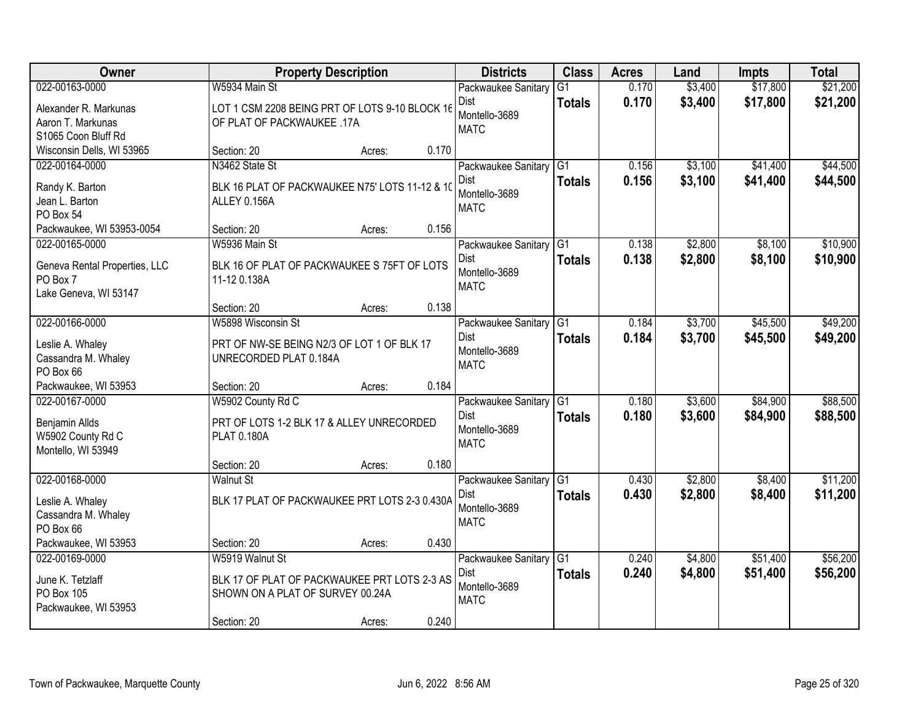| Owner                         |                                                | <b>Property Description</b> |       | <b>Districts</b>    | <b>Class</b>    | <b>Acres</b> | Land    | <b>Impts</b> | <b>Total</b> |
|-------------------------------|------------------------------------------------|-----------------------------|-------|---------------------|-----------------|--------------|---------|--------------|--------------|
| 022-00163-0000                | W5934 Main St                                  |                             |       | Packwaukee Sanitary | $\overline{G1}$ | 0.170        | \$3,400 | \$17,800     | \$21,200     |
| Alexander R. Markunas         | LOT 1 CSM 2208 BEING PRT OF LOTS 9-10 BLOCK 16 |                             |       | Dist                | <b>Totals</b>   | 0.170        | \$3,400 | \$17,800     | \$21,200     |
| Aaron T. Markunas             | OF PLAT OF PACKWAUKEE .17A                     |                             |       | Montello-3689       |                 |              |         |              |              |
| S1065 Coon Bluff Rd           |                                                |                             |       | <b>MATC</b>         |                 |              |         |              |              |
| Wisconsin Dells, WI 53965     | Section: 20                                    | Acres:                      | 0.170 |                     |                 |              |         |              |              |
| 022-00164-0000                | N3462 State St                                 |                             |       | Packwaukee Sanitary | G1              | 0.156        | \$3,100 | \$41,400     | \$44,500     |
| Randy K. Barton               | BLK 16 PLAT OF PACKWAUKEE N75' LOTS 11-12 & 10 |                             |       | Dist                | <b>Totals</b>   | 0.156        | \$3,100 | \$41,400     | \$44,500     |
| Jean L. Barton                | ALLEY 0.156A                                   |                             |       | Montello-3689       |                 |              |         |              |              |
| PO Box 54                     |                                                |                             |       | <b>MATC</b>         |                 |              |         |              |              |
| Packwaukee, WI 53953-0054     | Section: 20                                    | Acres:                      | 0.156 |                     |                 |              |         |              |              |
| 022-00165-0000                | W5936 Main St                                  |                             |       | Packwaukee Sanitary | G <sub>1</sub>  | 0.138        | \$2,800 | \$8,100      | \$10,900     |
| Geneva Rental Properties, LLC | BLK 16 OF PLAT OF PACKWAUKEE S 75FT OF LOTS    |                             |       | Dist                | <b>Totals</b>   | 0.138        | \$2,800 | \$8,100      | \$10,900     |
| PO Box 7                      | 11-12 0.138A                                   |                             |       | Montello-3689       |                 |              |         |              |              |
| Lake Geneva, WI 53147         |                                                |                             |       | <b>MATC</b>         |                 |              |         |              |              |
|                               | Section: 20                                    | Acres:                      | 0.138 |                     |                 |              |         |              |              |
| 022-00166-0000                | W5898 Wisconsin St                             |                             |       | Packwaukee Sanitary | G1              | 0.184        | \$3,700 | \$45,500     | \$49,200     |
| Leslie A. Whaley              | PRT OF NW-SE BEING N2/3 OF LOT 1 OF BLK 17     |                             |       | Dist                | <b>Totals</b>   | 0.184        | \$3,700 | \$45,500     | \$49,200     |
| Cassandra M. Whaley           | UNRECORDED PLAT 0.184A                         |                             |       | Montello-3689       |                 |              |         |              |              |
| PO Box 66                     |                                                |                             |       | <b>MATC</b>         |                 |              |         |              |              |
| Packwaukee, WI 53953          | Section: 20                                    | Acres:                      | 0.184 |                     |                 |              |         |              |              |
| 022-00167-0000                | W5902 County Rd C                              |                             |       | Packwaukee Sanitary | $\overline{G1}$ | 0.180        | \$3,600 | \$84,900     | \$88,500     |
| Benjamin Allds                | PRT OF LOTS 1-2 BLK 17 & ALLEY UNRECORDED      |                             |       | <b>Dist</b>         | <b>Totals</b>   | 0.180        | \$3,600 | \$84,900     | \$88,500     |
| W5902 County Rd C             | PLAT 0.180A                                    |                             |       | Montello-3689       |                 |              |         |              |              |
| Montello, WI 53949            |                                                |                             |       | <b>MATC</b>         |                 |              |         |              |              |
|                               | Section: 20                                    | Acres:                      | 0.180 |                     |                 |              |         |              |              |
| 022-00168-0000                | <b>Walnut St</b>                               |                             |       | Packwaukee Sanitary | G1              | 0.430        | \$2,800 | \$8,400      | \$11,200     |
| Leslie A. Whaley              | BLK 17 PLAT OF PACKWAUKEE PRT LOTS 2-3 0.430A  |                             |       | <b>Dist</b>         | <b>Totals</b>   | 0.430        | \$2,800 | \$8,400      | \$11,200     |
| Cassandra M. Whaley           |                                                |                             |       | Montello-3689       |                 |              |         |              |              |
| PO Box 66                     |                                                |                             |       | <b>MATC</b>         |                 |              |         |              |              |
| Packwaukee, WI 53953          | Section: 20                                    | Acres:                      | 0.430 |                     |                 |              |         |              |              |
| 022-00169-0000                | W5919 Walnut St                                |                             |       | Packwaukee Sanitary | $\overline{G1}$ | 0.240        | \$4,800 | \$51,400     | \$56,200     |
| June K. Tetzlaff              | BLK 17 OF PLAT OF PACKWAUKEE PRT LOTS 2-3 AS   |                             |       | <b>Dist</b>         | <b>Totals</b>   | 0.240        | \$4,800 | \$51,400     | \$56,200     |
| PO Box 105                    | SHOWN ON A PLAT OF SURVEY 00.24A               |                             |       | Montello-3689       |                 |              |         |              |              |
| Packwaukee, WI 53953          |                                                |                             |       | <b>MATC</b>         |                 |              |         |              |              |
|                               | Section: 20                                    | Acres:                      | 0.240 |                     |                 |              |         |              |              |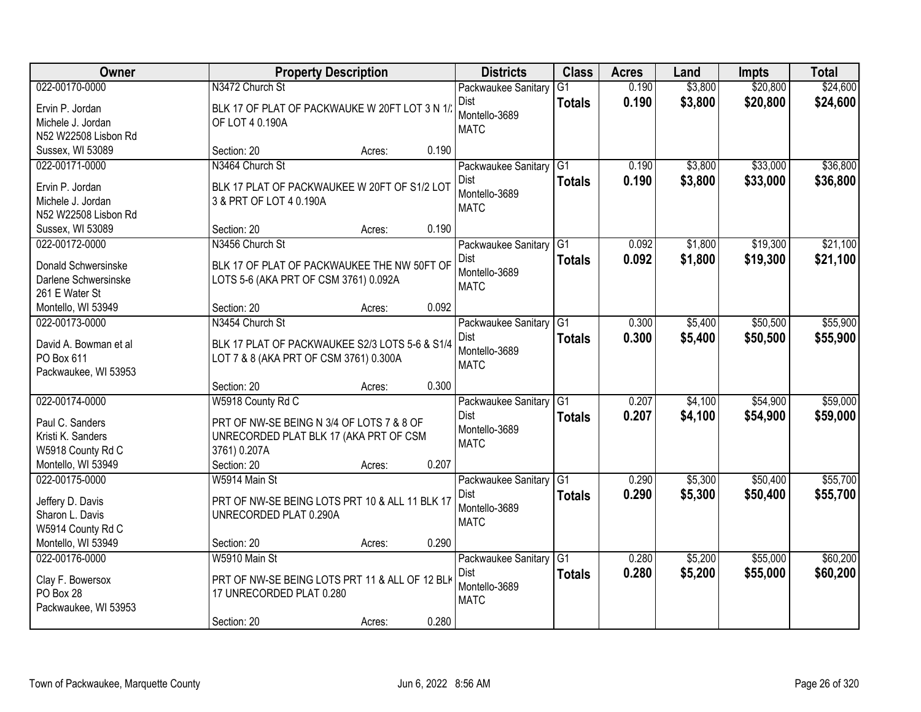| Owner                                | <b>Property Description</b>                    |                 | <b>Districts</b>                      | <b>Class</b>    | <b>Acres</b>   | Land    | <b>Impts</b> | <b>Total</b> |
|--------------------------------------|------------------------------------------------|-----------------|---------------------------------------|-----------------|----------------|---------|--------------|--------------|
| 022-00170-0000                       | N3472 Church St                                |                 | Packwaukee Sanitary                   | G1              | 0.190          | \$3,800 | \$20,800     | \$24,600     |
| Ervin P. Jordan                      | BLK 17 OF PLAT OF PACKWAUKE W 20FT LOT 3 N 1/  |                 | Dist                                  | <b>Totals</b>   | 0.190          | \$3,800 | \$20,800     | \$24,600     |
| Michele J. Jordan                    | OF LOT 4 0.190A                                |                 | Montello-3689                         |                 |                |         |              |              |
| N52 W22508 Lisbon Rd                 |                                                |                 | <b>MATC</b>                           |                 |                |         |              |              |
| Sussex, WI 53089                     | Section: 20                                    | 0.190<br>Acres: |                                       |                 |                |         |              |              |
| 022-00171-0000                       | N3464 Church St                                |                 | Packwaukee Sanitary                   | G1              | 0.190          | \$3,800 | \$33,000     | \$36,800     |
| Ervin P. Jordan                      | BLK 17 PLAT OF PACKWAUKEE W 20FT OF S1/2 LOT   |                 | <b>Dist</b>                           | <b>Totals</b>   | 0.190          | \$3,800 | \$33,000     | \$36,800     |
| Michele J. Jordan                    | 3 & PRT OF LOT 4 0.190A                        |                 | Montello-3689                         |                 |                |         |              |              |
| N52 W22508 Lisbon Rd                 |                                                |                 | <b>MATC</b>                           |                 |                |         |              |              |
| Sussex, WI 53089                     | Section: 20                                    | 0.190<br>Acres: |                                       |                 |                |         |              |              |
| 022-00172-0000                       | N3456 Church St                                |                 | Packwaukee Sanitary G1                |                 | 0.092          | \$1,800 | \$19,300     | \$21,100     |
| Donald Schwersinske                  | BLK 17 OF PLAT OF PACKWAUKEE THE NW 50FT OF    |                 | Dist                                  | <b>Totals</b>   | 0.092          | \$1,800 | \$19,300     | \$21,100     |
| Darlene Schwersinske                 | LOTS 5-6 (AKA PRT OF CSM 3761) 0.092A          |                 | Montello-3689                         |                 |                |         |              |              |
| 261 E Water St                       |                                                |                 | <b>MATC</b>                           |                 |                |         |              |              |
| Montello, WI 53949                   | Section: 20                                    | 0.092<br>Acres: |                                       |                 |                |         |              |              |
| 022-00173-0000                       | N3454 Church St                                |                 | Packwaukee Sanitary                   | G1              | 0.300          | \$5,400 | \$50,500     | \$55,900     |
|                                      |                                                |                 | Dist                                  | <b>Totals</b>   | 0.300          | \$5,400 | \$50,500     | \$55,900     |
| David A. Bowman et al<br>PO Box 611  | BLK 17 PLAT OF PACKWAUKEE S2/3 LOTS 5-6 & S1/4 |                 | Montello-3689                         |                 |                |         |              |              |
| Packwaukee, WI 53953                 | LOT 7 & 8 (AKA PRT OF CSM 3761) 0.300A         |                 | <b>MATC</b>                           |                 |                |         |              |              |
|                                      | Section: 20                                    | 0.300<br>Acres: |                                       |                 |                |         |              |              |
| 022-00174-0000                       | W5918 County Rd C                              |                 | Packwaukee Sanitary                   | $\overline{G1}$ | 0.207          | \$4,100 | \$54,900     | \$59,000     |
|                                      |                                                |                 | <b>Dist</b>                           | <b>Totals</b>   | 0.207          | \$4,100 | \$54,900     | \$59,000     |
| Paul C. Sanders                      | PRT OF NW-SE BEING N 3/4 OF LOTS 7 & 8 OF      |                 | Montello-3689                         |                 |                |         |              |              |
| Kristi K. Sanders                    | UNRECORDED PLAT BLK 17 (AKA PRT OF CSM         |                 | <b>MATC</b>                           |                 |                |         |              |              |
| W5918 County Rd C                    | 3761) 0.207A                                   |                 |                                       |                 |                |         |              |              |
| Montello, WI 53949<br>022-00175-0000 | Section: 20                                    | 0.207<br>Acres: |                                       |                 |                |         | \$50,400     | \$55,700     |
|                                      | W5914 Main St                                  |                 | Packwaukee Sanitary G1<br><b>Dist</b> |                 | 0.290<br>0.290 | \$5,300 |              |              |
| Jeffery D. Davis                     | PRT OF NW-SE BEING LOTS PRT 10 & ALL 11 BLK 17 |                 | Montello-3689                         | <b>Totals</b>   |                | \$5,300 | \$50,400     | \$55,700     |
| Sharon L. Davis                      | UNRECORDED PLAT 0.290A                         |                 | <b>MATC</b>                           |                 |                |         |              |              |
| W5914 County Rd C                    |                                                |                 |                                       |                 |                |         |              |              |
| Montello, WI 53949                   | Section: 20                                    | 0.290<br>Acres: |                                       |                 |                |         |              |              |
| 022-00176-0000                       | W5910 Main St                                  |                 | Packwaukee Sanitary                   | $\overline{G1}$ | 0.280          | \$5,200 | \$55,000     | \$60,200     |
| Clay F. Bowersox                     | PRT OF NW-SE BEING LOTS PRT 11 & ALL OF 12 BLK |                 | Dist                                  | <b>Totals</b>   | 0.280          | \$5,200 | \$55,000     | \$60,200     |
| PO Box 28                            | 17 UNRECORDED PLAT 0.280                       |                 | Montello-3689                         |                 |                |         |              |              |
| Packwaukee, WI 53953                 |                                                |                 | <b>MATC</b>                           |                 |                |         |              |              |
|                                      | Section: 20                                    | 0.280<br>Acres: |                                       |                 |                |         |              |              |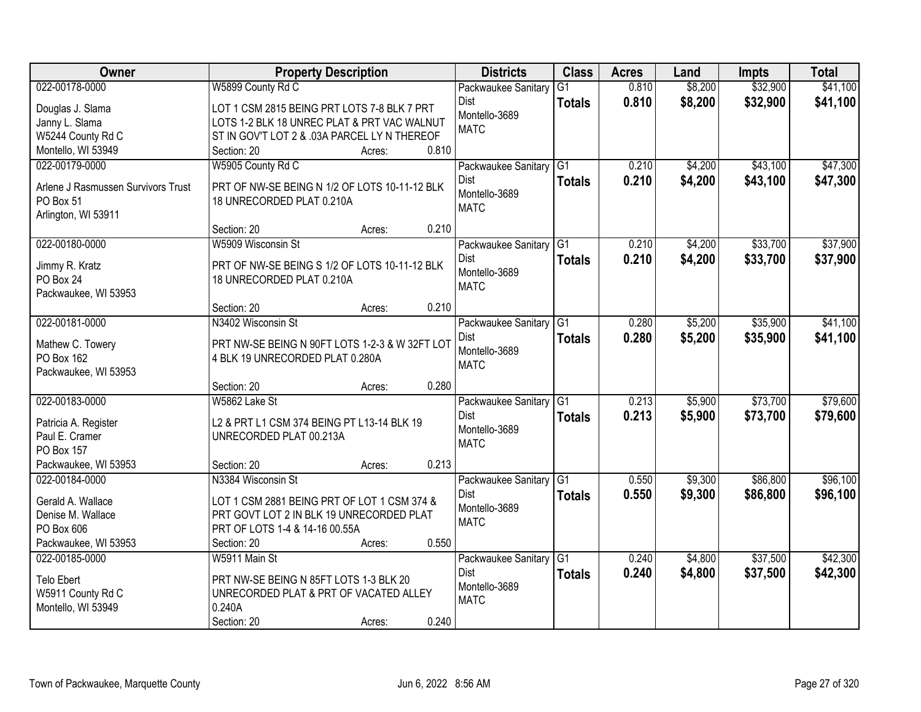| Owner                              | <b>Property Description</b>                    | <b>Districts</b>                   | <b>Class</b>    | <b>Acres</b> | Land    | <b>Impts</b> | <b>Total</b> |
|------------------------------------|------------------------------------------------|------------------------------------|-----------------|--------------|---------|--------------|--------------|
| 022-00178-0000                     | W5899 County Rd C                              | Packwaukee Sanitary                | $\overline{G1}$ | 0.810        | \$8,200 | \$32,900     | \$41,100     |
| Douglas J. Slama                   | LOT 1 CSM 2815 BEING PRT LOTS 7-8 BLK 7 PRT    | Dist                               | <b>Totals</b>   | 0.810        | \$8,200 | \$32,900     | \$41,100     |
| Janny L. Slama                     | LOTS 1-2 BLK 18 UNREC PLAT & PRT VAC WALNUT    | Montello-3689                      |                 |              |         |              |              |
| W5244 County Rd C                  | ST IN GOV'T LOT 2 & .03A PARCEL LY N THEREOF   | <b>MATC</b>                        |                 |              |         |              |              |
| Montello, WI 53949                 | Section: 20<br>Acres:                          | 0.810                              |                 |              |         |              |              |
| 022-00179-0000                     | W5905 County Rd C                              | Packwaukee Sanitary                | $\overline{G1}$ | 0.210        | \$4,200 | \$43,100     | \$47,300     |
| Arlene J Rasmussen Survivors Trust | PRT OF NW-SE BEING N 1/2 OF LOTS 10-11-12 BLK  | Dist                               | <b>Totals</b>   | 0.210        | \$4,200 | \$43,100     | \$47,300     |
| PO Box 51                          | 18 UNRECORDED PLAT 0.210A                      | Montello-3689                      |                 |              |         |              |              |
| Arlington, WI 53911                |                                                | <b>MATC</b>                        |                 |              |         |              |              |
|                                    | Section: 20<br>Acres:                          | 0.210                              |                 |              |         |              |              |
| 022-00180-0000                     | W5909 Wisconsin St                             | Packwaukee Sanitary                | G1              | 0.210        | \$4,200 | \$33,700     | \$37,900     |
| Jimmy R. Kratz                     | PRT OF NW-SE BEING S 1/2 OF LOTS 10-11-12 BLK  | <b>Dist</b>                        | <b>Totals</b>   | 0.210        | \$4,200 | \$33,700     | \$37,900     |
| PO Box 24                          | 18 UNRECORDED PLAT 0.210A                      | Montello-3689                      |                 |              |         |              |              |
| Packwaukee, WI 53953               |                                                | <b>MATC</b>                        |                 |              |         |              |              |
|                                    | Section: 20<br>Acres:                          | 0.210                              |                 |              |         |              |              |
| 022-00181-0000                     | N3402 Wisconsin St                             | Packwaukee Sanitary                | G1              | 0.280        | \$5,200 | \$35,900     | \$41,100     |
|                                    |                                                | <b>Dist</b>                        | <b>Totals</b>   | 0.280        | \$5,200 | \$35,900     | \$41,100     |
| Mathew C. Towery                   | PRT NW-SE BEING N 90FT LOTS 1-2-3 & W 32FT LOT | Montello-3689                      |                 |              |         |              |              |
| PO Box 162                         | 4 BLK 19 UNRECORDED PLAT 0.280A                | <b>MATC</b>                        |                 |              |         |              |              |
| Packwaukee, WI 53953               |                                                | 0.280                              |                 |              |         |              |              |
| 022-00183-0000                     | Section: 20<br>Acres:<br>W5862 Lake St         |                                    | $\overline{G1}$ | 0.213        | \$5,900 | \$73,700     | \$79,600     |
|                                    |                                                | Packwaukee Sanitary<br><b>Dist</b> |                 |              |         |              |              |
| Patricia A. Register               | L2 & PRT L1 CSM 374 BEING PT L13-14 BLK 19     | Montello-3689                      | <b>Totals</b>   | 0.213        | \$5,900 | \$73,700     | \$79,600     |
| Paul E. Cramer                     | UNRECORDED PLAT 00.213A                        | <b>MATC</b>                        |                 |              |         |              |              |
| PO Box 157                         |                                                |                                    |                 |              |         |              |              |
| Packwaukee, WI 53953               | Section: 20<br>Acres:                          | 0.213                              |                 |              |         |              |              |
| 022-00184-0000                     | N3384 Wisconsin St                             | Packwaukee Sanitary G1             |                 | 0.550        | \$9,300 | \$86,800     | \$96,100     |
| Gerald A. Wallace                  | LOT 1 CSM 2881 BEING PRT OF LOT 1 CSM 374 &    | Dist                               | <b>Totals</b>   | 0.550        | \$9,300 | \$86,800     | \$96,100     |
| Denise M. Wallace                  | PRT GOVT LOT 2 IN BLK 19 UNRECORDED PLAT       | Montello-3689                      |                 |              |         |              |              |
| PO Box 606                         | PRT OF LOTS 1-4 & 14-16 00.55A                 | <b>MATC</b>                        |                 |              |         |              |              |
| Packwaukee, WI 53953               | Section: 20<br>Acres:                          | 0.550                              |                 |              |         |              |              |
| 022-00185-0000                     | W5911 Main St                                  | Packwaukee Sanitary                | G1              | 0.240        | \$4,800 | \$37,500     | \$42,300     |
| <b>Telo Ebert</b>                  | PRT NW-SE BEING N 85FT LOTS 1-3 BLK 20         | Dist                               | <b>Totals</b>   | 0.240        | \$4,800 | \$37,500     | \$42,300     |
| W5911 County Rd C                  | UNRECORDED PLAT & PRT OF VACATED ALLEY         | Montello-3689                      |                 |              |         |              |              |
| Montello, WI 53949                 | 0.240A                                         | <b>MATC</b>                        |                 |              |         |              |              |
|                                    | Section: 20<br>Acres:                          | 0.240                              |                 |              |         |              |              |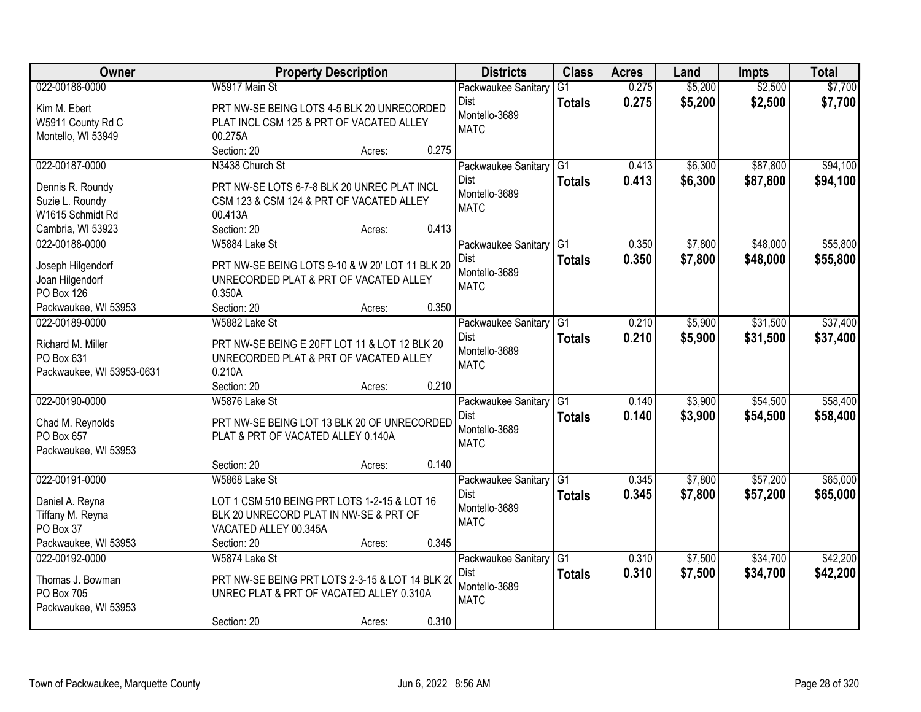| Owner                         | <b>Property Description</b>                                                               | <b>Districts</b>       | <b>Class</b>    | <b>Acres</b> | Land    | <b>Impts</b> | <b>Total</b> |
|-------------------------------|-------------------------------------------------------------------------------------------|------------------------|-----------------|--------------|---------|--------------|--------------|
| 022-00186-0000                | W5917 Main St                                                                             | Packwaukee Sanitary    | $\overline{G1}$ | 0.275        | \$5,200 | \$2,500      | \$7,700      |
| Kim M. Ebert                  | PRT NW-SE BEING LOTS 4-5 BLK 20 UNRECORDED                                                | <b>Dist</b>            | <b>Totals</b>   | 0.275        | \$5,200 | \$2,500      | \$7,700      |
| W5911 County Rd C             | PLAT INCL CSM 125 & PRT OF VACATED ALLEY                                                  | Montello-3689          |                 |              |         |              |              |
| Montello, WI 53949            | 00.275A                                                                                   | <b>MATC</b>            |                 |              |         |              |              |
|                               | Section: 20<br>0.275<br>Acres:                                                            |                        |                 |              |         |              |              |
| 022-00187-0000                | N3438 Church St                                                                           | Packwaukee Sanitary    | G1              | 0.413        | \$6,300 | \$87,800     | \$94,100     |
| Dennis R. Roundy              | PRT NW-SE LOTS 6-7-8 BLK 20 UNREC PLAT INCL                                               | Dist                   | <b>Totals</b>   | 0.413        | \$6,300 | \$87,800     | \$94,100     |
| Suzie L. Roundy               | CSM 123 & CSM 124 & PRT OF VACATED ALLEY                                                  | Montello-3689          |                 |              |         |              |              |
| W1615 Schmidt Rd              | 00.413A                                                                                   | <b>MATC</b>            |                 |              |         |              |              |
| Cambria, WI 53923             | 0.413<br>Section: 20<br>Acres:                                                            |                        |                 |              |         |              |              |
| 022-00188-0000                | W5884 Lake St                                                                             | Packwaukee Sanitary G1 |                 | 0.350        | \$7,800 | \$48,000     | \$55,800     |
|                               |                                                                                           | <b>Dist</b>            | <b>Totals</b>   | 0.350        | \$7,800 | \$48,000     | \$55,800     |
| Joseph Hilgendorf             | PRT NW-SE BEING LOTS 9-10 & W 20' LOT 11 BLK 20<br>UNRECORDED PLAT & PRT OF VACATED ALLEY | Montello-3689          |                 |              |         |              |              |
| Joan Hilgendorf<br>PO Box 126 | 0.350A                                                                                    | <b>MATC</b>            |                 |              |         |              |              |
| Packwaukee, WI 53953          | Section: 20<br>0.350<br>Acres:                                                            |                        |                 |              |         |              |              |
| 022-00189-0000                | W5882 Lake St                                                                             | Packwaukee Sanitary    | G1              | 0.210        | \$5,900 | \$31,500     | \$37,400     |
|                               |                                                                                           | Dist                   | <b>Totals</b>   | 0.210        | \$5,900 | \$31,500     | \$37,400     |
| Richard M. Miller             | PRT NW-SE BEING E 20FT LOT 11 & LOT 12 BLK 20                                             | Montello-3689          |                 |              |         |              |              |
| PO Box 631                    | UNRECORDED PLAT & PRT OF VACATED ALLEY                                                    | <b>MATC</b>            |                 |              |         |              |              |
| Packwaukee, WI 53953-0631     | 0.210A                                                                                    |                        |                 |              |         |              |              |
|                               | 0.210<br>Section: 20<br>Acres:                                                            |                        |                 |              |         |              |              |
| 022-00190-0000                | W5876 Lake St                                                                             | Packwaukee Sanitary    | $\overline{G1}$ | 0.140        | \$3,900 | \$54,500     | \$58,400     |
| Chad M. Reynolds              | PRT NW-SE BEING LOT 13 BLK 20 OF UNRECORDED                                               | Dist                   | <b>Totals</b>   | 0.140        | \$3,900 | \$54,500     | \$58,400     |
| PO Box 657                    | PLAT & PRT OF VACATED ALLEY 0.140A                                                        | Montello-3689          |                 |              |         |              |              |
| Packwaukee, WI 53953          |                                                                                           | <b>MATC</b>            |                 |              |         |              |              |
|                               | 0.140<br>Section: 20<br>Acres:                                                            |                        |                 |              |         |              |              |
| 022-00191-0000                | W5868 Lake St                                                                             | Packwaukee Sanitary    | G1              | 0.345        | \$7,800 | \$57,200     | \$65,000     |
| Daniel A. Reyna               | LOT 1 CSM 510 BEING PRT LOTS 1-2-15 & LOT 16                                              | Dist                   | <b>Totals</b>   | 0.345        | \$7,800 | \$57,200     | \$65,000     |
| Tiffany M. Reyna              | BLK 20 UNRECORD PLAT IN NW-SE & PRT OF                                                    | Montello-3689          |                 |              |         |              |              |
| PO Box 37                     | VACATED ALLEY 00.345A                                                                     | <b>MATC</b>            |                 |              |         |              |              |
| Packwaukee, WI 53953          | 0.345<br>Section: 20<br>Acres:                                                            |                        |                 |              |         |              |              |
| 022-00192-0000                | W5874 Lake St                                                                             | Packwaukee Sanitary    | $\overline{G1}$ | 0.310        | \$7,500 | \$34,700     | \$42,200     |
| Thomas J. Bowman              | PRT NW-SE BEING PRT LOTS 2-3-15 & LOT 14 BLK 20                                           | <b>Dist</b>            | <b>Totals</b>   | 0.310        | \$7,500 | \$34,700     | \$42,200     |
| PO Box 705                    | UNREC PLAT & PRT OF VACATED ALLEY 0.310A                                                  | Montello-3689          |                 |              |         |              |              |
| Packwaukee, WI 53953          |                                                                                           | <b>MATC</b>            |                 |              |         |              |              |
|                               | 0.310<br>Section: 20<br>Acres:                                                            |                        |                 |              |         |              |              |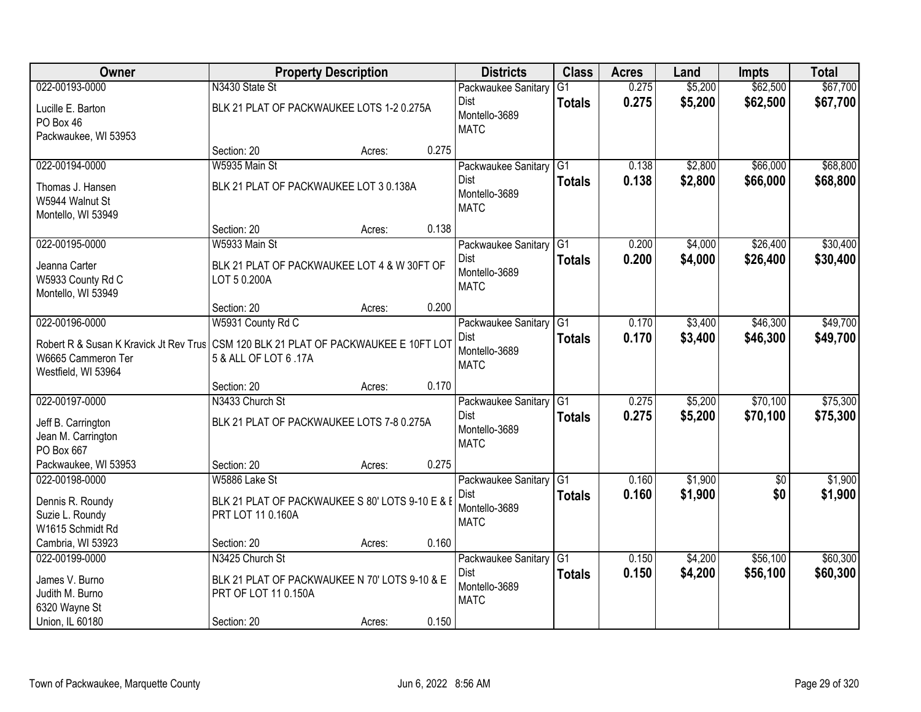| Owner                                  |                                                 | <b>Property Description</b> |       | <b>Districts</b>       | <b>Class</b>    | <b>Acres</b> | Land    | <b>Impts</b> | <b>Total</b> |
|----------------------------------------|-------------------------------------------------|-----------------------------|-------|------------------------|-----------------|--------------|---------|--------------|--------------|
| 022-00193-0000                         | N3430 State St                                  |                             |       | Packwaukee Sanitary    | $\overline{G1}$ | 0.275        | \$5,200 | \$62,500     | \$67,700     |
| Lucille E. Barton                      | BLK 21 PLAT OF PACKWAUKEE LOTS 1-2 0.275A       |                             |       | Dist                   | <b>Totals</b>   | 0.275        | \$5,200 | \$62,500     | \$67,700     |
| PO Box 46                              |                                                 |                             |       | Montello-3689          |                 |              |         |              |              |
| Packwaukee, WI 53953                   |                                                 |                             |       | <b>MATC</b>            |                 |              |         |              |              |
|                                        | Section: 20                                     | Acres:                      | 0.275 |                        |                 |              |         |              |              |
| 022-00194-0000                         | W5935 Main St                                   |                             |       | Packwaukee Sanitary    | G1              | 0.138        | \$2,800 | \$66,000     | \$68,800     |
| Thomas J. Hansen                       | BLK 21 PLAT OF PACKWAUKEE LOT 3 0.138A          |                             |       | Dist                   | <b>Totals</b>   | 0.138        | \$2,800 | \$66,000     | \$68,800     |
| W5944 Walnut St                        |                                                 |                             |       | Montello-3689          |                 |              |         |              |              |
| Montello, WI 53949                     |                                                 |                             |       | <b>MATC</b>            |                 |              |         |              |              |
|                                        | Section: 20                                     | Acres:                      | 0.138 |                        |                 |              |         |              |              |
| 022-00195-0000                         | W5933 Main St                                   |                             |       | Packwaukee Sanitary    | G <sub>1</sub>  | 0.200        | \$4,000 | \$26,400     | \$30,400     |
| Jeanna Carter                          | BLK 21 PLAT OF PACKWAUKEE LOT 4 & W 30FT OF     |                             |       | Dist                   | <b>Totals</b>   | 0.200        | \$4,000 | \$26,400     | \$30,400     |
| W5933 County Rd C                      | LOT 5 0.200A                                    |                             |       | Montello-3689          |                 |              |         |              |              |
| Montello, WI 53949                     |                                                 |                             |       | <b>MATC</b>            |                 |              |         |              |              |
|                                        | Section: 20                                     | Acres:                      | 0.200 |                        |                 |              |         |              |              |
| 022-00196-0000                         | W5931 County Rd C                               |                             |       | Packwaukee Sanitary    | G1              | 0.170        | \$3,400 | \$46,300     | \$49,700     |
| Robert R & Susan K Kravick Jt Rev Trus | CSM 120 BLK 21 PLAT OF PACKWAUKEE E 10FT LOT    |                             |       | Dist                   | <b>Totals</b>   | 0.170        | \$3,400 | \$46,300     | \$49,700     |
| W6665 Cammeron Ter                     | 5 & ALL OF LOT 6 .17A                           |                             |       | Montello-3689          |                 |              |         |              |              |
| Westfield, WI 53964                    |                                                 |                             |       | <b>MATC</b>            |                 |              |         |              |              |
|                                        | Section: 20                                     | Acres:                      | 0.170 |                        |                 |              |         |              |              |
| 022-00197-0000                         | N3433 Church St                                 |                             |       | Packwaukee Sanitary    | $\overline{G1}$ | 0.275        | \$5,200 | \$70,100     | \$75,300     |
| Jeff B. Carrington                     | BLK 21 PLAT OF PACKWAUKEE LOTS 7-8 0.275A       |                             |       | Dist                   | <b>Totals</b>   | 0.275        | \$5,200 | \$70,100     | \$75,300     |
| Jean M. Carrington                     |                                                 |                             |       | Montello-3689          |                 |              |         |              |              |
| PO Box 667                             |                                                 |                             |       | <b>MATC</b>            |                 |              |         |              |              |
| Packwaukee, WI 53953                   | Section: 20                                     | Acres:                      | 0.275 |                        |                 |              |         |              |              |
| 022-00198-0000                         | W5886 Lake St                                   |                             |       | Packwaukee Sanitary G1 |                 | 0.160        | \$1,900 | $\sqrt{$0}$  | \$1,900      |
| Dennis R. Roundy                       | BLK 21 PLAT OF PACKWAUKEE S 80' LOTS 9-10 E & E |                             |       | Dist                   | <b>Totals</b>   | 0.160        | \$1,900 | \$0          | \$1,900      |
| Suzie L. Roundy                        | PRT LOT 11 0.160A                               |                             |       | Montello-3689          |                 |              |         |              |              |
| W1615 Schmidt Rd                       |                                                 |                             |       | <b>MATC</b>            |                 |              |         |              |              |
| Cambria, WI 53923                      | Section: 20                                     | Acres:                      | 0.160 |                        |                 |              |         |              |              |
| 022-00199-0000                         | N3425 Church St                                 |                             |       | Packwaukee Sanitary    | G1              | 0.150        | \$4,200 | \$56,100     | \$60,300     |
| James V. Burno                         | BLK 21 PLAT OF PACKWAUKEE N 70' LOTS 9-10 & E   |                             |       | Dist                   | <b>Totals</b>   | 0.150        | \$4,200 | \$56,100     | \$60,300     |
| Judith M. Burno                        | PRT OF LOT 11 0.150A                            |                             |       | Montello-3689          |                 |              |         |              |              |
| 6320 Wayne St                          |                                                 |                             |       | <b>MATC</b>            |                 |              |         |              |              |
| Union, IL 60180                        | Section: 20                                     | Acres:                      | 0.150 |                        |                 |              |         |              |              |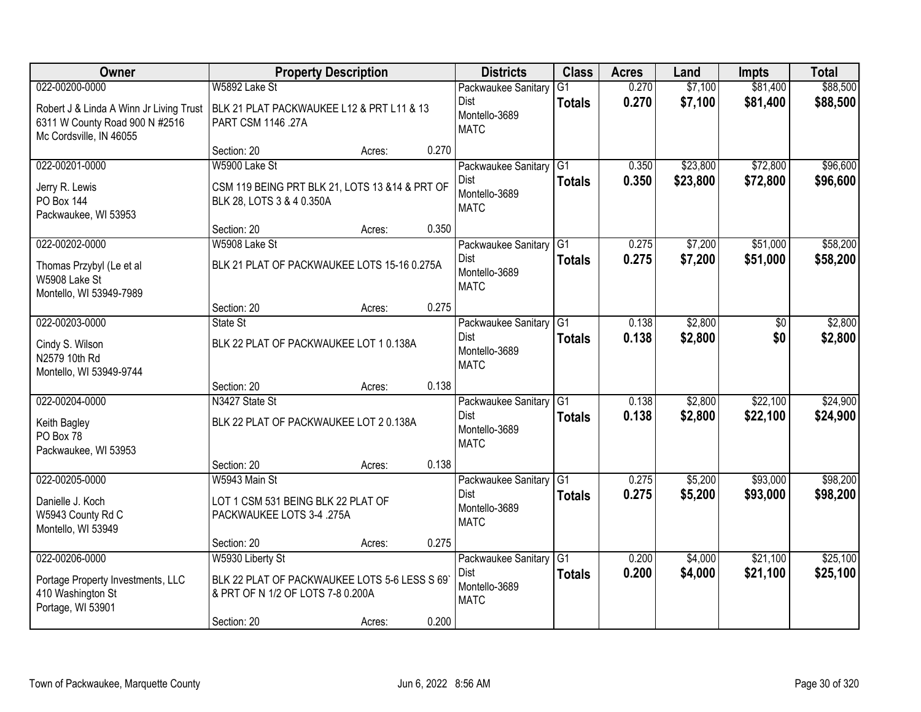| Owner                                                                                                                  | <b>Property Description</b>                                                                            |        |       | <b>Districts</b>                                            | <b>Class</b>                     | <b>Acres</b>   | Land                 | <b>Impts</b>         | <b>Total</b>         |
|------------------------------------------------------------------------------------------------------------------------|--------------------------------------------------------------------------------------------------------|--------|-------|-------------------------------------------------------------|----------------------------------|----------------|----------------------|----------------------|----------------------|
| 022-00200-0000<br>Robert J & Linda A Winn Jr Living Trust<br>6311 W County Road 900 N #2516<br>Mc Cordsville, IN 46055 | W5892 Lake St<br>BLK 21 PLAT PACKWAUKEE L12 & PRT L11 & 13<br>PART CSM 1146 .27A                       |        |       | Packwaukee Sanitary<br>Dist<br>Montello-3689<br><b>MATC</b> | $\overline{G1}$<br><b>Totals</b> | 0.270<br>0.270 | \$7,100<br>\$7,100   | \$81,400<br>\$81,400 | \$88,500<br>\$88,500 |
|                                                                                                                        | Section: 20                                                                                            | Acres: | 0.270 |                                                             |                                  |                |                      |                      |                      |
| 022-00201-0000<br>Jerry R. Lewis<br><b>PO Box 144</b><br>Packwaukee, WI 53953                                          | W5900 Lake St<br>CSM 119 BEING PRT BLK 21, LOTS 13 & 14 & PRT OF<br>BLK 28, LOTS 3 & 4 0.350A          |        |       | Packwaukee Sanitary<br>Dist<br>Montello-3689<br><b>MATC</b> | $\overline{G1}$<br><b>Totals</b> | 0.350<br>0.350 | \$23,800<br>\$23,800 | \$72,800<br>\$72,800 | \$96,600<br>\$96,600 |
|                                                                                                                        | Section: 20                                                                                            | Acres: | 0.350 |                                                             |                                  |                |                      |                      |                      |
| 022-00202-0000<br>Thomas Przybyl (Le et al<br>W5908 Lake St<br>Montello, WI 53949-7989                                 | W5908 Lake St<br>BLK 21 PLAT OF PACKWAUKEE LOTS 15-16 0.275A                                           |        |       | Packwaukee Sanitary<br>Dist<br>Montello-3689<br><b>MATC</b> | G1<br><b>Totals</b>              | 0.275<br>0.275 | \$7,200<br>\$7,200   | \$51,000<br>\$51,000 | \$58,200<br>\$58,200 |
|                                                                                                                        | Section: 20                                                                                            | Acres: | 0.275 |                                                             |                                  |                |                      |                      |                      |
| 022-00203-0000<br>Cindy S. Wilson<br>N2579 10th Rd<br>Montello, WI 53949-9744                                          | State St<br>BLK 22 PLAT OF PACKWAUKEE LOT 1 0.138A                                                     |        |       | Packwaukee Sanitary<br>Dist<br>Montello-3689<br><b>MATC</b> | G1<br><b>Totals</b>              | 0.138<br>0.138 | \$2,800<br>\$2,800   | \$0<br>\$0           | \$2,800<br>\$2,800   |
|                                                                                                                        | Section: 20                                                                                            | Acres: | 0.138 |                                                             |                                  |                |                      |                      |                      |
| 022-00204-0000<br>Keith Bagley<br>PO Box 78<br>Packwaukee, WI 53953                                                    | N3427 State St<br>BLK 22 PLAT OF PACKWAUKEE LOT 2 0.138A                                               |        |       | Packwaukee Sanitary<br>Dist<br>Montello-3689<br><b>MATC</b> | $\overline{G1}$<br><b>Totals</b> | 0.138<br>0.138 | \$2,800<br>\$2,800   | \$22,100<br>\$22,100 | \$24,900<br>\$24,900 |
|                                                                                                                        | Section: 20                                                                                            | Acres: | 0.138 |                                                             |                                  |                |                      |                      |                      |
| 022-00205-0000<br>Danielle J. Koch<br>W5943 County Rd C<br>Montello, WI 53949                                          | W5943 Main St<br>LOT 1 CSM 531 BEING BLK 22 PLAT OF<br>PACKWAUKEE LOTS 3-4 .275A                       |        |       | Packwaukee Sanitary<br>Dist<br>Montello-3689<br><b>MATC</b> | $\overline{G1}$<br><b>Totals</b> | 0.275<br>0.275 | \$5,200<br>\$5,200   | \$93,000<br>\$93,000 | \$98,200<br>\$98,200 |
|                                                                                                                        | Section: 20                                                                                            | Acres: | 0.275 |                                                             |                                  |                |                      |                      |                      |
| 022-00206-0000<br>Portage Property Investments, LLC<br>410 Washington St<br>Portage, WI 53901                          | W5930 Liberty St<br>BLK 22 PLAT OF PACKWAUKEE LOTS 5-6 LESS S 69'<br>& PRT OF N 1/2 OF LOTS 7-8 0.200A |        | 0.200 | Packwaukee Sanitary<br>Dist<br>Montello-3689<br><b>MATC</b> | G1<br><b>Totals</b>              | 0.200<br>0.200 | \$4,000<br>\$4,000   | \$21,100<br>\$21,100 | \$25,100<br>\$25,100 |
|                                                                                                                        | Section: 20                                                                                            | Acres: |       |                                                             |                                  |                |                      |                      |                      |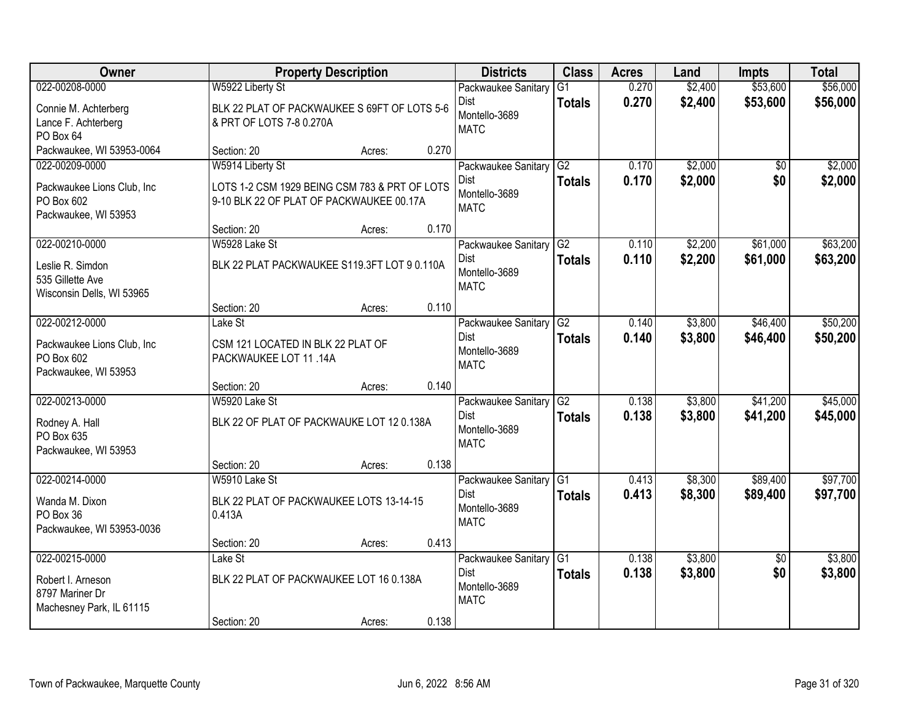| Owner                                                                               | <b>Property Description</b>                                                                                   |                 | <b>Districts</b>                                                      | <b>Class</b>                     | <b>Acres</b>   | Land               | <b>Impts</b>           | <b>Total</b>         |
|-------------------------------------------------------------------------------------|---------------------------------------------------------------------------------------------------------------|-----------------|-----------------------------------------------------------------------|----------------------------------|----------------|--------------------|------------------------|----------------------|
| 022-00208-0000                                                                      | W5922 Liberty St                                                                                              |                 | Packwaukee Sanitary                                                   | $\overline{G1}$                  | 0.270          | \$2,400            | \$53,600               | \$56,000             |
| Connie M. Achterberg<br>Lance F. Achterberg<br>PO Box 64                            | BLK 22 PLAT OF PACKWAUKEE S 69FT OF LOTS 5-6<br>& PRT OF LOTS 7-8 0.270A                                      |                 | <b>Dist</b><br>Montello-3689<br><b>MATC</b>                           | <b>Totals</b>                    | 0.270          | \$2,400            | \$53,600               | \$56,000             |
| Packwaukee, WI 53953-0064                                                           | Section: 20                                                                                                   | Acres:          | 0.270                                                                 |                                  |                |                    |                        |                      |
| 022-00209-0000<br>Packwaukee Lions Club, Inc<br>PO Box 602<br>Packwaukee, WI 53953  | W5914 Liberty St<br>LOTS 1-2 CSM 1929 BEING CSM 783 & PRT OF LOTS<br>9-10 BLK 22 OF PLAT OF PACKWAUKEE 00.17A |                 | Packwaukee Sanitary<br><b>Dist</b><br>Montello-3689<br><b>MATC</b>    | G2<br><b>Totals</b>              | 0.170<br>0.170 | \$2,000<br>\$2,000 | \$0<br>\$0             | \$2,000<br>\$2,000   |
|                                                                                     | Section: 20                                                                                                   | 0.170<br>Acres: |                                                                       |                                  |                |                    |                        |                      |
| 022-00210-0000<br>Leslie R. Simdon<br>535 Gillette Ave<br>Wisconsin Dells, WI 53965 | W5928 Lake St<br>BLK 22 PLAT PACKWAUKEE S119.3FT LOT 9 0.110A                                                 |                 | Packwaukee Sanitary G2<br><b>Dist</b><br>Montello-3689<br><b>MATC</b> | <b>Totals</b>                    | 0.110<br>0.110 | \$2,200<br>\$2,200 | \$61,000<br>\$61,000   | \$63,200<br>\$63,200 |
|                                                                                     | Section: 20                                                                                                   | Acres:          | 0.110                                                                 |                                  |                |                    |                        |                      |
| 022-00212-0000<br>Packwaukee Lions Club, Inc<br>PO Box 602<br>Packwaukee, WI 53953  | Lake St<br>CSM 121 LOCATED IN BLK 22 PLAT OF<br>PACKWAUKEE LOT 11 .14A                                        |                 | Packwaukee Sanitary<br><b>Dist</b><br>Montello-3689<br><b>MATC</b>    | G2<br><b>Totals</b>              | 0.140<br>0.140 | \$3,800<br>\$3,800 | \$46,400<br>\$46,400   | \$50,200<br>\$50,200 |
|                                                                                     | Section: 20                                                                                                   | Acres:          | 0.140                                                                 |                                  |                |                    |                        |                      |
| 022-00213-0000<br>Rodney A. Hall<br>PO Box 635<br>Packwaukee, WI 53953              | W5920 Lake St<br>BLK 22 OF PLAT OF PACKWAUKE LOT 12 0.138A                                                    |                 | Packwaukee Sanitary<br><b>Dist</b><br>Montello-3689<br><b>MATC</b>    | G2<br><b>Totals</b>              | 0.138<br>0.138 | \$3,800<br>\$3,800 | \$41,200<br>\$41,200   | \$45,000<br>\$45,000 |
|                                                                                     | Section: 20                                                                                                   | Acres:          | 0.138                                                                 |                                  |                |                    |                        |                      |
| 022-00214-0000<br>Wanda M. Dixon<br>PO Box 36<br>Packwaukee, WI 53953-0036          | W5910 Lake St<br>BLK 22 PLAT OF PACKWAUKEE LOTS 13-14-15<br>0.413A                                            |                 | Packwaukee Sanitary G1<br><b>Dist</b><br>Montello-3689<br><b>MATC</b> | <b>Totals</b>                    | 0.413<br>0.413 | \$8,300<br>\$8,300 | \$89,400<br>\$89,400   | \$97,700<br>\$97,700 |
|                                                                                     | Section: 20                                                                                                   | Acres:          | 0.413                                                                 |                                  |                |                    |                        |                      |
| 022-00215-0000<br>Robert I. Arneson<br>8797 Mariner Dr<br>Machesney Park, IL 61115  | Lake St<br>BLK 22 PLAT OF PACKWAUKEE LOT 16 0.138A                                                            |                 | Packwaukee Sanitary<br><b>Dist</b><br>Montello-3689<br><b>MATC</b>    | IG <sub>1</sub><br><b>Totals</b> | 0.138<br>0.138 | \$3,800<br>\$3,800 | $\overline{50}$<br>\$0 | \$3,800<br>\$3,800   |
|                                                                                     | Section: 20                                                                                                   | Acres:          | 0.138                                                                 |                                  |                |                    |                        |                      |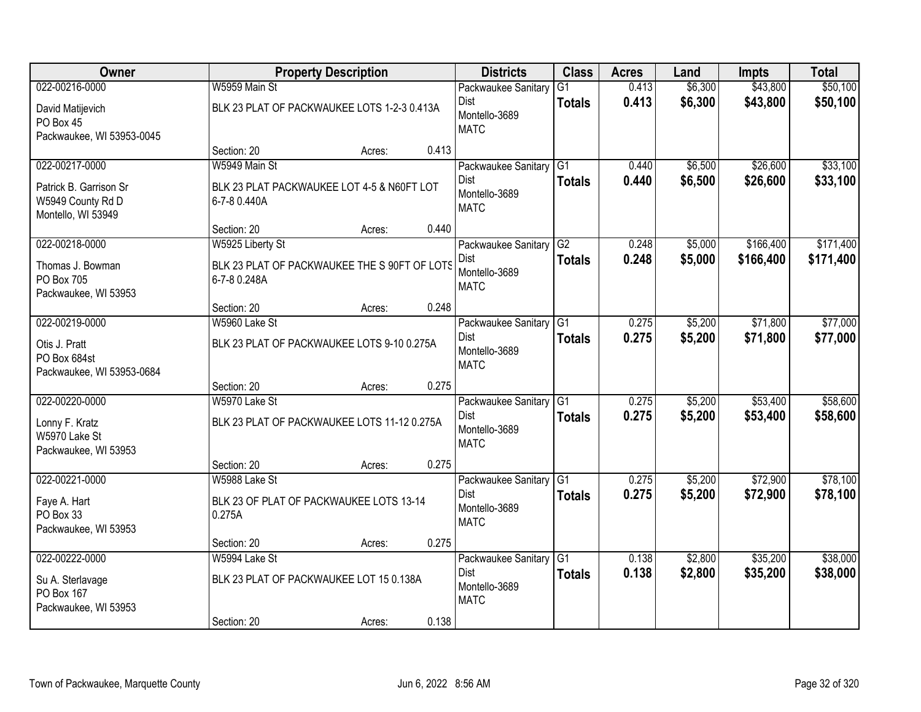| Owner                                                             |                                                              | <b>Property Description</b> |       | <b>Districts</b>                            | <b>Class</b>    | <b>Acres</b> | Land    | <b>Impts</b> | <b>Total</b> |
|-------------------------------------------------------------------|--------------------------------------------------------------|-----------------------------|-------|---------------------------------------------|-----------------|--------------|---------|--------------|--------------|
| 022-00216-0000                                                    | W5959 Main St                                                |                             |       | Packwaukee Sanitary                         | $\overline{G1}$ | 0.413        | \$6,300 | \$43,800     | \$50,100     |
| David Matijevich<br>PO Box 45<br>Packwaukee, WI 53953-0045        | BLK 23 PLAT OF PACKWAUKEE LOTS 1-2-3 0.413A                  |                             |       | <b>Dist</b><br>Montello-3689<br><b>MATC</b> | <b>Totals</b>   | 0.413        | \$6,300 | \$43,800     | \$50,100     |
|                                                                   | Section: 20                                                  | Acres:                      | 0.413 |                                             |                 |              |         |              |              |
| 022-00217-0000                                                    | W5949 Main St                                                |                             |       | Packwaukee Sanitary                         | IG1             | 0.440        | \$6,500 | \$26,600     | \$33,100     |
| Patrick B. Garrison Sr<br>W5949 County Rd D<br>Montello, WI 53949 | BLK 23 PLAT PACKWAUKEE LOT 4-5 & N60FT LOT<br>6-7-8 0.440A   |                             |       | <b>Dist</b><br>Montello-3689<br><b>MATC</b> | <b>Totals</b>   | 0.440        | \$6,500 | \$26,600     | \$33,100     |
|                                                                   | Section: 20                                                  | Acres:                      | 0.440 |                                             |                 |              |         |              |              |
| 022-00218-0000                                                    | W5925 Liberty St                                             |                             |       | Packwaukee Sanitary G2                      |                 | 0.248        | \$5,000 | \$166,400    | \$171,400    |
| Thomas J. Bowman<br>PO Box 705<br>Packwaukee, WI 53953            | BLK 23 PLAT OF PACKWAUKEE THE S 90FT OF LOTS<br>6-7-8 0.248A |                             |       | <b>Dist</b><br>Montello-3689<br><b>MATC</b> | <b>Totals</b>   | 0.248        | \$5,000 | \$166,400    | \$171,400    |
|                                                                   | Section: 20                                                  | Acres:                      | 0.248 |                                             |                 |              |         |              |              |
| 022-00219-0000                                                    | W5960 Lake St                                                |                             |       | Packwaukee Sanitary                         | G1              | 0.275        | \$5,200 | \$71,800     | \$77,000     |
| Otis J. Pratt<br>PO Box 684st<br>Packwaukee, WI 53953-0684        | BLK 23 PLAT OF PACKWAUKEE LOTS 9-10 0.275A                   |                             |       | <b>Dist</b><br>Montello-3689<br><b>MATC</b> | <b>Totals</b>   | 0.275        | \$5,200 | \$71,800     | \$77,000     |
|                                                                   | Section: 20                                                  | Acres:                      | 0.275 |                                             |                 |              |         |              |              |
| 022-00220-0000                                                    | W5970 Lake St                                                |                             |       | Packwaukee Sanitary                         | TG1             | 0.275        | \$5,200 | \$53,400     | \$58,600     |
| Lonny F. Kratz<br>W5970 Lake St<br>Packwaukee, WI 53953           | BLK 23 PLAT OF PACKWAUKEE LOTS 11-12 0.275A                  |                             |       | Dist<br>Montello-3689<br><b>MATC</b>        | <b>Totals</b>   | 0.275        | \$5,200 | \$53,400     | \$58,600     |
|                                                                   | Section: 20                                                  | Acres:                      | 0.275 |                                             |                 |              |         |              |              |
| 022-00221-0000                                                    | W5988 Lake St                                                |                             |       | Packwaukee Sanitary G1                      |                 | 0.275        | \$5,200 | \$72,900     | \$78,100     |
| Faye A. Hart<br>PO Box 33<br>Packwaukee, WI 53953                 | BLK 23 OF PLAT OF PACKWAUKEE LOTS 13-14<br>0.275A            |                             |       | Dist<br>Montello-3689<br><b>MATC</b>        | <b>Totals</b>   | 0.275        | \$5,200 | \$72,900     | \$78,100     |
|                                                                   | Section: 20                                                  | Acres:                      | 0.275 |                                             |                 |              |         |              |              |
| 022-00222-0000                                                    | W5994 Lake St                                                |                             |       | Packwaukee Sanitary G1                      |                 | 0.138        | \$2,800 | \$35,200     | \$38,000     |
| Su A. Sterlavage<br>PO Box 167<br>Packwaukee, WI 53953            | BLK 23 PLAT OF PACKWAUKEE LOT 15 0.138A                      |                             |       | <b>Dist</b><br>Montello-3689<br><b>MATC</b> | <b>Totals</b>   | 0.138        | \$2,800 | \$35,200     | \$38,000     |
|                                                                   | Section: 20                                                  | Acres:                      | 0.138 |                                             |                 |              |         |              |              |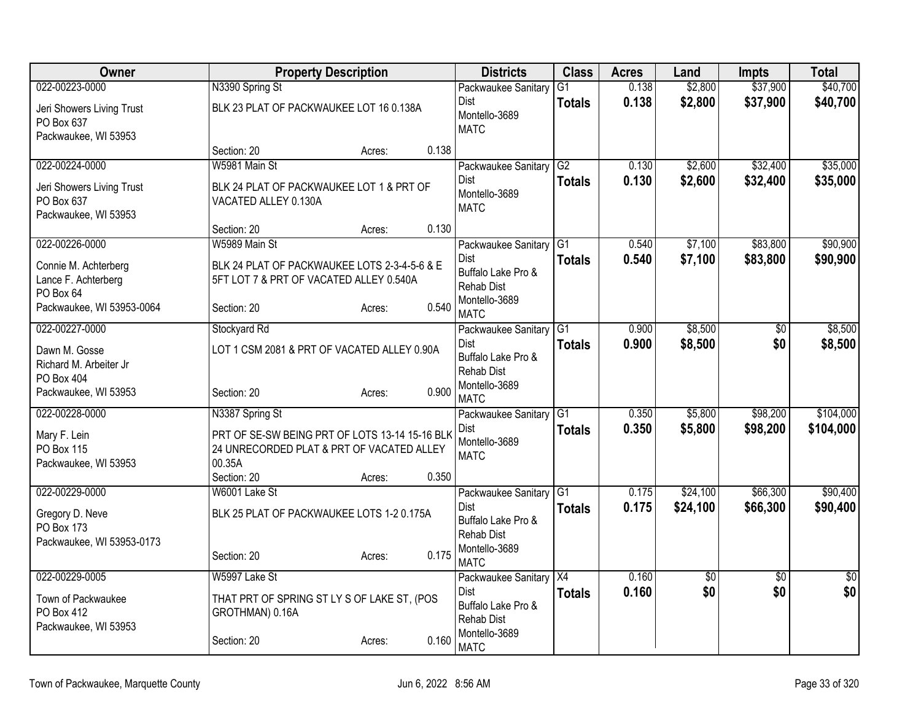| G1<br>Packwaukee Sanitary<br>0.138<br>Dist<br>\$2,800<br>\$37,900<br>\$40,700<br><b>Totals</b><br>BLK 23 PLAT OF PACKWAUKEE LOT 16 0.138A<br>Jeri Showers Living Trust<br>Montello-3689<br>PO Box 637<br><b>MATC</b><br>Packwaukee, WI 53953<br>Section: 20<br>0.138<br>Acres:<br>\$32,400<br>022-00224-0000<br>G2<br>\$2,600<br>W5981 Main St<br>0.130<br>Packwaukee Sanitary<br>0.130<br>\$32,400<br>Dist<br>\$2,600<br><b>Totals</b><br>BLK 24 PLAT OF PACKWAUKEE LOT 1 & PRT OF<br>Jeri Showers Living Trust<br>Montello-3689<br>PO Box 637<br>VACATED ALLEY 0.130A<br><b>MATC</b><br>Packwaukee, WI 53953<br>0.130<br>Section: 20<br>Acres:<br>\$83,800<br>022-00226-0000<br>W5989 Main St<br>Packwaukee Sanitary G1<br>0.540<br>\$7,100<br><b>Dist</b><br>0.540<br>\$83,800<br>\$7,100<br><b>Totals</b><br>Connie M. Achterberg<br>BLK 24 PLAT OF PACKWAUKEE LOTS 2-3-4-5-6 & E<br>Buffalo Lake Pro &<br>Lance F. Achterberg<br>5FT LOT 7 & PRT OF VACATED ALLEY 0.540A<br>Rehab Dist<br>PO Box 64<br>Montello-3689<br>0.540<br>Packwaukee, WI 53953-0064<br>Section: 20<br>Acres:<br><b>MATC</b><br>\$8,500<br>022-00227-0000<br>G1<br>0.900<br>Stockyard Rd<br>$\overline{50}$<br>Packwaukee Sanitary<br>0.900<br>\$8,500<br>\$0<br>Dist<br><b>Totals</b><br>LOT 1 CSM 2081 & PRT OF VACATED ALLEY 0.90A<br>Dawn M. Gosse<br>Buffalo Lake Pro &<br>Richard M. Arbeiter Jr<br><b>Rehab Dist</b><br>PO Box 404<br>Montello-3689<br>0.900<br>Packwaukee, WI 53953<br>Section: 20<br>Acres:<br><b>MATC</b><br>022-00228-0000<br>\$5,800<br>\$98,200<br>N3387 Spring St<br>G1<br>0.350<br>Packwaukee Sanitary<br>0.350<br>\$5,800<br>\$98,200<br>Dist<br><b>Totals</b><br>Mary F. Lein<br>PRT OF SE-SW BEING PRT OF LOTS 13-14 15-16 BLK<br>Montello-3689<br>24 UNRECORDED PLAT & PRT OF VACATED ALLEY<br>PO Box 115<br><b>MATC</b><br>00.35A<br>Packwaukee, WI 53953<br>0.350<br>Section: 20<br>Acres:<br>022-00229-0000<br>G1<br>\$24,100<br>\$66,300<br>W6001 Lake St<br>0.175<br>Packwaukee Sanitary<br>0.175<br>\$24,100<br>\$66,300<br>Dist<br><b>Totals</b><br>BLK 25 PLAT OF PACKWAUKEE LOTS 1-2 0.175A<br>Gregory D. Neve<br>Buffalo Lake Pro &<br>PO Box 173<br><b>Rehab Dist</b><br>Packwaukee, WI 53953-0173<br>Montello-3689<br>0.175<br>Section: 20<br>Acres:<br><b>MATC</b><br>022-00229-0005<br>W5997 Lake St<br>Packwaukee Sanitary X4<br>0.160<br>$\overline{50}$<br>$\overline{50}$<br>\$0<br><b>Dist</b><br>0.160<br>\$0<br><b>Totals</b><br>Town of Packwaukee<br>THAT PRT OF SPRING ST LY S OF LAKE ST, (POS<br>Buffalo Lake Pro &<br>PO Box 412<br>GROTHMAN) 0.16A<br>Rehab Dist<br>Packwaukee, WI 53953<br>Montello-3689<br>0.160<br>Acres: | Owner          | <b>Property Description</b> | <b>Districts</b> | <b>Class</b> | <b>Acres</b> | Land    | <b>Impts</b> | <b>Total</b> |
|------------------------------------------------------------------------------------------------------------------------------------------------------------------------------------------------------------------------------------------------------------------------------------------------------------------------------------------------------------------------------------------------------------------------------------------------------------------------------------------------------------------------------------------------------------------------------------------------------------------------------------------------------------------------------------------------------------------------------------------------------------------------------------------------------------------------------------------------------------------------------------------------------------------------------------------------------------------------------------------------------------------------------------------------------------------------------------------------------------------------------------------------------------------------------------------------------------------------------------------------------------------------------------------------------------------------------------------------------------------------------------------------------------------------------------------------------------------------------------------------------------------------------------------------------------------------------------------------------------------------------------------------------------------------------------------------------------------------------------------------------------------------------------------------------------------------------------------------------------------------------------------------------------------------------------------------------------------------------------------------------------------------------------------------------------------------------------------------------------------------------------------------------------------------------------------------------------------------------------------------------------------------------------------------------------------------------------------------------------------------------------------------------------------------------------------------------------------------------------------------------------------------------------------------------------------------------------------------------------------------------------------------------------------------|----------------|-----------------------------|------------------|--------------|--------------|---------|--------------|--------------|
|                                                                                                                                                                                                                                                                                                                                                                                                                                                                                                                                                                                                                                                                                                                                                                                                                                                                                                                                                                                                                                                                                                                                                                                                                                                                                                                                                                                                                                                                                                                                                                                                                                                                                                                                                                                                                                                                                                                                                                                                                                                                                                                                                                                                                                                                                                                                                                                                                                                                                                                                                                                                                                                                        | 022-00223-0000 | N3390 Spring St             |                  |              | 0.138        | \$2,800 | \$37,900     | \$40,700     |
|                                                                                                                                                                                                                                                                                                                                                                                                                                                                                                                                                                                                                                                                                                                                                                                                                                                                                                                                                                                                                                                                                                                                                                                                                                                                                                                                                                                                                                                                                                                                                                                                                                                                                                                                                                                                                                                                                                                                                                                                                                                                                                                                                                                                                                                                                                                                                                                                                                                                                                                                                                                                                                                                        |                |                             |                  |              |              |         |              |              |
|                                                                                                                                                                                                                                                                                                                                                                                                                                                                                                                                                                                                                                                                                                                                                                                                                                                                                                                                                                                                                                                                                                                                                                                                                                                                                                                                                                                                                                                                                                                                                                                                                                                                                                                                                                                                                                                                                                                                                                                                                                                                                                                                                                                                                                                                                                                                                                                                                                                                                                                                                                                                                                                                        |                |                             |                  |              |              |         |              |              |
| \$35,000                                                                                                                                                                                                                                                                                                                                                                                                                                                                                                                                                                                                                                                                                                                                                                                                                                                                                                                                                                                                                                                                                                                                                                                                                                                                                                                                                                                                                                                                                                                                                                                                                                                                                                                                                                                                                                                                                                                                                                                                                                                                                                                                                                                                                                                                                                                                                                                                                                                                                                                                                                                                                                                               |                |                             |                  |              |              |         |              |              |
| \$35,000<br>\$90,900<br>\$8,500<br>\$104,000<br>\$0                                                                                                                                                                                                                                                                                                                                                                                                                                                                                                                                                                                                                                                                                                                                                                                                                                                                                                                                                                                                                                                                                                                                                                                                                                                                                                                                                                                                                                                                                                                                                                                                                                                                                                                                                                                                                                                                                                                                                                                                                                                                                                                                                                                                                                                                                                                                                                                                                                                                                                                                                                                                                    |                |                             |                  |              |              |         |              |              |
|                                                                                                                                                                                                                                                                                                                                                                                                                                                                                                                                                                                                                                                                                                                                                                                                                                                                                                                                                                                                                                                                                                                                                                                                                                                                                                                                                                                                                                                                                                                                                                                                                                                                                                                                                                                                                                                                                                                                                                                                                                                                                                                                                                                                                                                                                                                                                                                                                                                                                                                                                                                                                                                                        |                |                             |                  |              |              |         |              |              |
|                                                                                                                                                                                                                                                                                                                                                                                                                                                                                                                                                                                                                                                                                                                                                                                                                                                                                                                                                                                                                                                                                                                                                                                                                                                                                                                                                                                                                                                                                                                                                                                                                                                                                                                                                                                                                                                                                                                                                                                                                                                                                                                                                                                                                                                                                                                                                                                                                                                                                                                                                                                                                                                                        |                |                             |                  |              |              |         |              |              |
|                                                                                                                                                                                                                                                                                                                                                                                                                                                                                                                                                                                                                                                                                                                                                                                                                                                                                                                                                                                                                                                                                                                                                                                                                                                                                                                                                                                                                                                                                                                                                                                                                                                                                                                                                                                                                                                                                                                                                                                                                                                                                                                                                                                                                                                                                                                                                                                                                                                                                                                                                                                                                                                                        |                |                             |                  |              |              |         |              |              |
|                                                                                                                                                                                                                                                                                                                                                                                                                                                                                                                                                                                                                                                                                                                                                                                                                                                                                                                                                                                                                                                                                                                                                                                                                                                                                                                                                                                                                                                                                                                                                                                                                                                                                                                                                                                                                                                                                                                                                                                                                                                                                                                                                                                                                                                                                                                                                                                                                                                                                                                                                                                                                                                                        |                |                             |                  |              |              |         |              |              |
| \$90,900                                                                                                                                                                                                                                                                                                                                                                                                                                                                                                                                                                                                                                                                                                                                                                                                                                                                                                                                                                                                                                                                                                                                                                                                                                                                                                                                                                                                                                                                                                                                                                                                                                                                                                                                                                                                                                                                                                                                                                                                                                                                                                                                                                                                                                                                                                                                                                                                                                                                                                                                                                                                                                                               |                |                             |                  |              |              |         |              |              |
|                                                                                                                                                                                                                                                                                                                                                                                                                                                                                                                                                                                                                                                                                                                                                                                                                                                                                                                                                                                                                                                                                                                                                                                                                                                                                                                                                                                                                                                                                                                                                                                                                                                                                                                                                                                                                                                                                                                                                                                                                                                                                                                                                                                                                                                                                                                                                                                                                                                                                                                                                                                                                                                                        |                |                             |                  |              |              |         |              |              |
| \$8,500                                                                                                                                                                                                                                                                                                                                                                                                                                                                                                                                                                                                                                                                                                                                                                                                                                                                                                                                                                                                                                                                                                                                                                                                                                                                                                                                                                                                                                                                                                                                                                                                                                                                                                                                                                                                                                                                                                                                                                                                                                                                                                                                                                                                                                                                                                                                                                                                                                                                                                                                                                                                                                                                |                |                             |                  |              |              |         |              |              |
|                                                                                                                                                                                                                                                                                                                                                                                                                                                                                                                                                                                                                                                                                                                                                                                                                                                                                                                                                                                                                                                                                                                                                                                                                                                                                                                                                                                                                                                                                                                                                                                                                                                                                                                                                                                                                                                                                                                                                                                                                                                                                                                                                                                                                                                                                                                                                                                                                                                                                                                                                                                                                                                                        |                |                             |                  |              |              |         |              |              |
|                                                                                                                                                                                                                                                                                                                                                                                                                                                                                                                                                                                                                                                                                                                                                                                                                                                                                                                                                                                                                                                                                                                                                                                                                                                                                                                                                                                                                                                                                                                                                                                                                                                                                                                                                                                                                                                                                                                                                                                                                                                                                                                                                                                                                                                                                                                                                                                                                                                                                                                                                                                                                                                                        |                |                             |                  |              |              |         |              |              |
|                                                                                                                                                                                                                                                                                                                                                                                                                                                                                                                                                                                                                                                                                                                                                                                                                                                                                                                                                                                                                                                                                                                                                                                                                                                                                                                                                                                                                                                                                                                                                                                                                                                                                                                                                                                                                                                                                                                                                                                                                                                                                                                                                                                                                                                                                                                                                                                                                                                                                                                                                                                                                                                                        |                |                             |                  |              |              |         |              |              |
|                                                                                                                                                                                                                                                                                                                                                                                                                                                                                                                                                                                                                                                                                                                                                                                                                                                                                                                                                                                                                                                                                                                                                                                                                                                                                                                                                                                                                                                                                                                                                                                                                                                                                                                                                                                                                                                                                                                                                                                                                                                                                                                                                                                                                                                                                                                                                                                                                                                                                                                                                                                                                                                                        |                |                             |                  |              |              |         |              |              |
|                                                                                                                                                                                                                                                                                                                                                                                                                                                                                                                                                                                                                                                                                                                                                                                                                                                                                                                                                                                                                                                                                                                                                                                                                                                                                                                                                                                                                                                                                                                                                                                                                                                                                                                                                                                                                                                                                                                                                                                                                                                                                                                                                                                                                                                                                                                                                                                                                                                                                                                                                                                                                                                                        |                |                             |                  |              |              |         |              |              |
| \$104,000<br>\$90,400<br>\$90,400<br>$\overline{30}$                                                                                                                                                                                                                                                                                                                                                                                                                                                                                                                                                                                                                                                                                                                                                                                                                                                                                                                                                                                                                                                                                                                                                                                                                                                                                                                                                                                                                                                                                                                                                                                                                                                                                                                                                                                                                                                                                                                                                                                                                                                                                                                                                                                                                                                                                                                                                                                                                                                                                                                                                                                                                   |                |                             |                  |              |              |         |              |              |
|                                                                                                                                                                                                                                                                                                                                                                                                                                                                                                                                                                                                                                                                                                                                                                                                                                                                                                                                                                                                                                                                                                                                                                                                                                                                                                                                                                                                                                                                                                                                                                                                                                                                                                                                                                                                                                                                                                                                                                                                                                                                                                                                                                                                                                                                                                                                                                                                                                                                                                                                                                                                                                                                        |                |                             |                  |              |              |         |              |              |
|                                                                                                                                                                                                                                                                                                                                                                                                                                                                                                                                                                                                                                                                                                                                                                                                                                                                                                                                                                                                                                                                                                                                                                                                                                                                                                                                                                                                                                                                                                                                                                                                                                                                                                                                                                                                                                                                                                                                                                                                                                                                                                                                                                                                                                                                                                                                                                                                                                                                                                                                                                                                                                                                        |                |                             |                  |              |              |         |              |              |
|                                                                                                                                                                                                                                                                                                                                                                                                                                                                                                                                                                                                                                                                                                                                                                                                                                                                                                                                                                                                                                                                                                                                                                                                                                                                                                                                                                                                                                                                                                                                                                                                                                                                                                                                                                                                                                                                                                                                                                                                                                                                                                                                                                                                                                                                                                                                                                                                                                                                                                                                                                                                                                                                        |                |                             |                  |              |              |         |              |              |
|                                                                                                                                                                                                                                                                                                                                                                                                                                                                                                                                                                                                                                                                                                                                                                                                                                                                                                                                                                                                                                                                                                                                                                                                                                                                                                                                                                                                                                                                                                                                                                                                                                                                                                                                                                                                                                                                                                                                                                                                                                                                                                                                                                                                                                                                                                                                                                                                                                                                                                                                                                                                                                                                        |                |                             |                  |              |              |         |              |              |
|                                                                                                                                                                                                                                                                                                                                                                                                                                                                                                                                                                                                                                                                                                                                                                                                                                                                                                                                                                                                                                                                                                                                                                                                                                                                                                                                                                                                                                                                                                                                                                                                                                                                                                                                                                                                                                                                                                                                                                                                                                                                                                                                                                                                                                                                                                                                                                                                                                                                                                                                                                                                                                                                        |                |                             |                  |              |              |         |              |              |
|                                                                                                                                                                                                                                                                                                                                                                                                                                                                                                                                                                                                                                                                                                                                                                                                                                                                                                                                                                                                                                                                                                                                                                                                                                                                                                                                                                                                                                                                                                                                                                                                                                                                                                                                                                                                                                                                                                                                                                                                                                                                                                                                                                                                                                                                                                                                                                                                                                                                                                                                                                                                                                                                        |                |                             |                  |              |              |         |              |              |
|                                                                                                                                                                                                                                                                                                                                                                                                                                                                                                                                                                                                                                                                                                                                                                                                                                                                                                                                                                                                                                                                                                                                                                                                                                                                                                                                                                                                                                                                                                                                                                                                                                                                                                                                                                                                                                                                                                                                                                                                                                                                                                                                                                                                                                                                                                                                                                                                                                                                                                                                                                                                                                                                        |                |                             |                  |              |              |         |              |              |
|                                                                                                                                                                                                                                                                                                                                                                                                                                                                                                                                                                                                                                                                                                                                                                                                                                                                                                                                                                                                                                                                                                                                                                                                                                                                                                                                                                                                                                                                                                                                                                                                                                                                                                                                                                                                                                                                                                                                                                                                                                                                                                                                                                                                                                                                                                                                                                                                                                                                                                                                                                                                                                                                        |                |                             |                  |              |              |         |              |              |
|                                                                                                                                                                                                                                                                                                                                                                                                                                                                                                                                                                                                                                                                                                                                                                                                                                                                                                                                                                                                                                                                                                                                                                                                                                                                                                                                                                                                                                                                                                                                                                                                                                                                                                                                                                                                                                                                                                                                                                                                                                                                                                                                                                                                                                                                                                                                                                                                                                                                                                                                                                                                                                                                        |                |                             |                  |              |              |         |              |              |
|                                                                                                                                                                                                                                                                                                                                                                                                                                                                                                                                                                                                                                                                                                                                                                                                                                                                                                                                                                                                                                                                                                                                                                                                                                                                                                                                                                                                                                                                                                                                                                                                                                                                                                                                                                                                                                                                                                                                                                                                                                                                                                                                                                                                                                                                                                                                                                                                                                                                                                                                                                                                                                                                        |                |                             |                  |              |              |         |              |              |
|                                                                                                                                                                                                                                                                                                                                                                                                                                                                                                                                                                                                                                                                                                                                                                                                                                                                                                                                                                                                                                                                                                                                                                                                                                                                                                                                                                                                                                                                                                                                                                                                                                                                                                                                                                                                                                                                                                                                                                                                                                                                                                                                                                                                                                                                                                                                                                                                                                                                                                                                                                                                                                                                        |                |                             |                  |              |              |         |              |              |
|                                                                                                                                                                                                                                                                                                                                                                                                                                                                                                                                                                                                                                                                                                                                                                                                                                                                                                                                                                                                                                                                                                                                                                                                                                                                                                                                                                                                                                                                                                                                                                                                                                                                                                                                                                                                                                                                                                                                                                                                                                                                                                                                                                                                                                                                                                                                                                                                                                                                                                                                                                                                                                                                        |                |                             |                  |              |              |         |              |              |
|                                                                                                                                                                                                                                                                                                                                                                                                                                                                                                                                                                                                                                                                                                                                                                                                                                                                                                                                                                                                                                                                                                                                                                                                                                                                                                                                                                                                                                                                                                                                                                                                                                                                                                                                                                                                                                                                                                                                                                                                                                                                                                                                                                                                                                                                                                                                                                                                                                                                                                                                                                                                                                                                        |                |                             |                  |              |              |         |              |              |
|                                                                                                                                                                                                                                                                                                                                                                                                                                                                                                                                                                                                                                                                                                                                                                                                                                                                                                                                                                                                                                                                                                                                                                                                                                                                                                                                                                                                                                                                                                                                                                                                                                                                                                                                                                                                                                                                                                                                                                                                                                                                                                                                                                                                                                                                                                                                                                                                                                                                                                                                                                                                                                                                        |                |                             |                  |              |              |         |              |              |
|                                                                                                                                                                                                                                                                                                                                                                                                                                                                                                                                                                                                                                                                                                                                                                                                                                                                                                                                                                                                                                                                                                                                                                                                                                                                                                                                                                                                                                                                                                                                                                                                                                                                                                                                                                                                                                                                                                                                                                                                                                                                                                                                                                                                                                                                                                                                                                                                                                                                                                                                                                                                                                                                        |                |                             |                  |              |              |         |              |              |
|                                                                                                                                                                                                                                                                                                                                                                                                                                                                                                                                                                                                                                                                                                                                                                                                                                                                                                                                                                                                                                                                                                                                                                                                                                                                                                                                                                                                                                                                                                                                                                                                                                                                                                                                                                                                                                                                                                                                                                                                                                                                                                                                                                                                                                                                                                                                                                                                                                                                                                                                                                                                                                                                        |                | Section: 20                 | <b>MATC</b>      |              |              |         |              |              |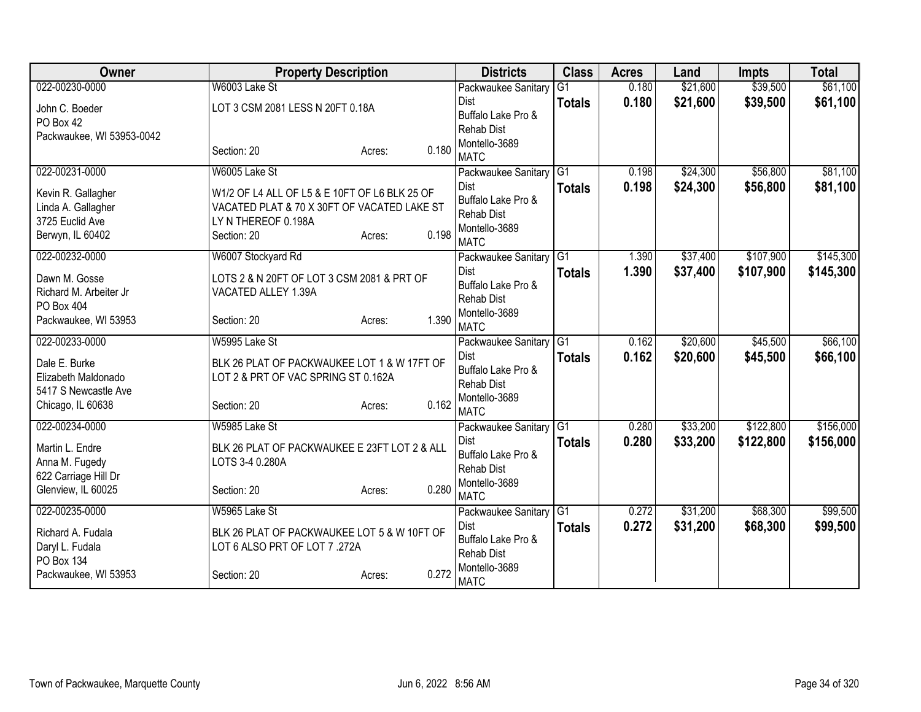| Owner                                     | <b>Property Description</b>                   |                 | <b>Districts</b>                        | <b>Class</b>    | <b>Acres</b> | Land     | <b>Impts</b> | <b>Total</b> |
|-------------------------------------------|-----------------------------------------------|-----------------|-----------------------------------------|-----------------|--------------|----------|--------------|--------------|
| 022-00230-0000                            | W6003 Lake St                                 |                 | Packwaukee Sanitary                     | $\overline{G1}$ | 0.180        | \$21,600 | \$39,500     | \$61,100     |
| John C. Boeder                            | LOT 3 CSM 2081 LESS N 20FT 0.18A              |                 | <b>Dist</b>                             | <b>Totals</b>   | 0.180        | \$21,600 | \$39,500     | \$61,100     |
| PO Box 42                                 |                                               |                 | Buffalo Lake Pro &<br><b>Rehab Dist</b> |                 |              |          |              |              |
| Packwaukee, WI 53953-0042                 |                                               |                 | Montello-3689                           |                 |              |          |              |              |
|                                           | Section: 20                                   | 0.180<br>Acres: | <b>MATC</b>                             |                 |              |          |              |              |
| 022-00231-0000                            | W6005 Lake St                                 |                 | Packwaukee Sanitary                     | G1              | 0.198        | \$24,300 | \$56,800     | \$81,100     |
| Kevin R. Gallagher                        | W1/2 OF L4 ALL OF L5 & E 10FT OF L6 BLK 25 OF |                 | Dist                                    | <b>Totals</b>   | 0.198        | \$24,300 | \$56,800     | \$81,100     |
| Linda A. Gallagher                        | VACATED PLAT & 70 X 30FT OF VACATED LAKE ST   |                 | Buffalo Lake Pro &                      |                 |              |          |              |              |
| 3725 Euclid Ave                           | LY N THEREOF 0.198A                           |                 | <b>Rehab Dist</b>                       |                 |              |          |              |              |
| Berwyn, IL 60402                          | Section: 20                                   | 0.198<br>Acres: | Montello-3689<br><b>MATC</b>            |                 |              |          |              |              |
| 022-00232-0000                            | W6007 Stockyard Rd                            |                 | Packwaukee Sanitary                     | G1              | 1.390        | \$37,400 | \$107,900    | \$145,300    |
| Dawn M. Gosse                             | LOTS 2 & N 20FT OF LOT 3 CSM 2081 & PRT OF    |                 | Dist                                    | <b>Totals</b>   | 1.390        | \$37,400 | \$107,900    | \$145,300    |
| Richard M. Arbeiter Jr                    | VACATED ALLEY 1.39A                           |                 | Buffalo Lake Pro &                      |                 |              |          |              |              |
| PO Box 404                                |                                               |                 | <b>Rehab Dist</b>                       |                 |              |          |              |              |
| Packwaukee, WI 53953                      | Section: 20                                   | 1.390<br>Acres: | Montello-3689<br><b>MATC</b>            |                 |              |          |              |              |
| 022-00233-0000                            | W5995 Lake St                                 |                 | Packwaukee Sanitary G1                  |                 | 0.162        | \$20,600 | \$45,500     | \$66,100     |
|                                           |                                               |                 | Dist                                    | <b>Totals</b>   | 0.162        | \$20,600 | \$45,500     | \$66,100     |
| Dale E. Burke                             | BLK 26 PLAT OF PACKWAUKEE LOT 1 & W 17FT OF   |                 | Buffalo Lake Pro &                      |                 |              |          |              |              |
| Elizabeth Maldonado                       | LOT 2 & PRT OF VAC SPRING ST 0.162A           |                 | <b>Rehab Dist</b>                       |                 |              |          |              |              |
| 5417 S Newcastle Ave<br>Chicago, IL 60638 | Section: 20                                   | 0.162           | Montello-3689                           |                 |              |          |              |              |
|                                           |                                               | Acres:          | <b>MATC</b>                             |                 |              |          |              |              |
| 022-00234-0000                            | W5985 Lake St                                 |                 | Packwaukee Sanitary G1                  |                 | 0.280        | \$33,200 | \$122,800    | \$156,000    |
| Martin L. Endre                           | BLK 26 PLAT OF PACKWAUKEE E 23FT LOT 2 & ALL  |                 | Dist                                    | <b>Totals</b>   | 0.280        | \$33,200 | \$122,800    | \$156,000    |
| Anna M. Fugedy                            | LOTS 3-4 0.280A                               |                 | Buffalo Lake Pro &<br><b>Rehab Dist</b> |                 |              |          |              |              |
| 622 Carriage Hill Dr                      |                                               |                 | Montello-3689                           |                 |              |          |              |              |
| Glenview, IL 60025                        | Section: 20                                   | 0.280<br>Acres: | <b>MATC</b>                             |                 |              |          |              |              |
| 022-00235-0000                            | W5965 Lake St                                 |                 | Packwaukee Sanitary G1                  |                 | 0.272        | \$31,200 | \$68,300     | \$99,500     |
| Richard A. Fudala                         | BLK 26 PLAT OF PACKWAUKEE LOT 5 & W 10FT OF   |                 | Dist                                    | <b>Totals</b>   | 0.272        | \$31,200 | \$68,300     | \$99,500     |
| Daryl L. Fudala                           | LOT 6 ALSO PRT OF LOT 7 .272A                 |                 | Buffalo Lake Pro &                      |                 |              |          |              |              |
| <b>PO Box 134</b>                         |                                               |                 | <b>Rehab Dist</b>                       |                 |              |          |              |              |
| Packwaukee, WI 53953                      | Section: 20                                   | 0.272<br>Acres: | Montello-3689<br><b>MATC</b>            |                 |              |          |              |              |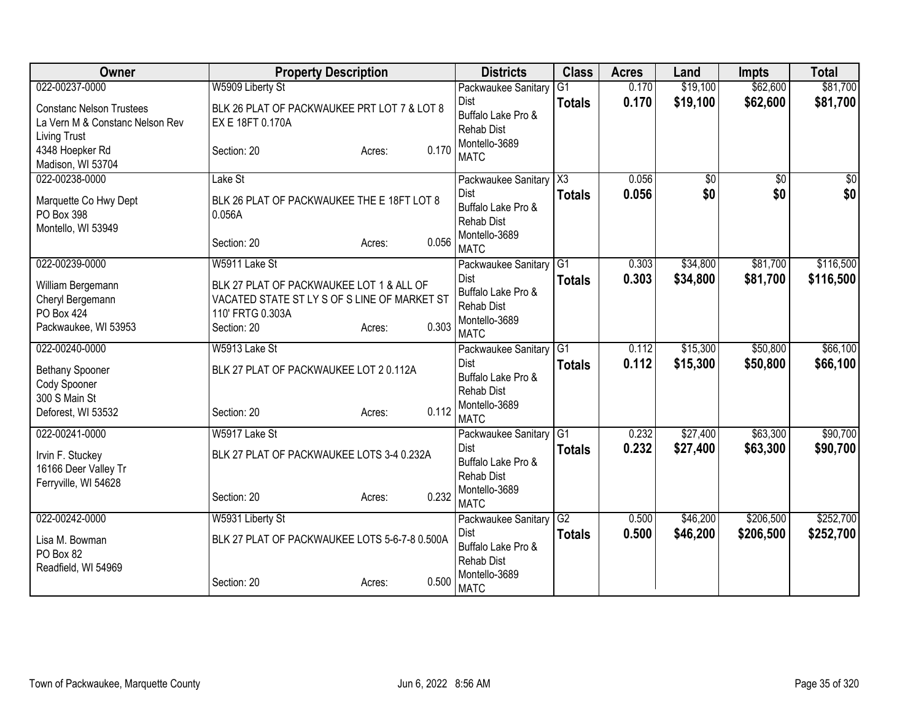| Owner                                                                                                | <b>Property Description</b>                                                                                                                            | <b>Districts</b>                                                                                                               | <b>Class</b>        | <b>Acres</b>   | Land                 | <b>Impts</b>           | <b>Total</b>           |
|------------------------------------------------------------------------------------------------------|--------------------------------------------------------------------------------------------------------------------------------------------------------|--------------------------------------------------------------------------------------------------------------------------------|---------------------|----------------|----------------------|------------------------|------------------------|
| 022-00237-0000                                                                                       | W5909 Liberty St                                                                                                                                       | Packwaukee Sanitary                                                                                                            | G <sub>1</sub>      | 0.170          | \$19,100             | \$62,600               | \$81,700               |
| <b>Constanc Nelson Trustees</b><br>La Vern M & Constanc Nelson Rev<br><b>Living Trust</b>            | BLK 26 PLAT OF PACKWAUKEE PRT LOT 7 & LOT 8<br>EX E 18FT 0.170A                                                                                        | Dist<br>Buffalo Lake Pro &<br><b>Rehab Dist</b>                                                                                | <b>Totals</b>       | 0.170          | \$19,100             | \$62,600               | \$81,700               |
| 4348 Hoepker Rd<br>Madison, WI 53704                                                                 | Section: 20<br>Acres:                                                                                                                                  | Montello-3689<br>0.170<br><b>MATC</b>                                                                                          |                     |                |                      |                        |                        |
| 022-00238-0000<br>Marquette Co Hwy Dept<br>PO Box 398<br>Montello, WI 53949                          | Lake St<br>BLK 26 PLAT OF PACKWAUKEE THE E 18FT LOT 8<br>0.056A<br>Section: 20<br>Acres:                                                               | Packwaukee Sanitary<br>Dist<br>Buffalo Lake Pro &<br><b>Rehab Dist</b><br>Montello-3689<br>0.056                               | X3<br><b>Totals</b> | 0.056<br>0.056 | \$0<br>\$0           | $\overline{50}$<br>\$0 | $\overline{50}$<br>\$0 |
| 022-00239-0000<br>William Bergemann<br>Cheryl Bergemann<br><b>PO Box 424</b><br>Packwaukee, WI 53953 | W5911 Lake St<br>BLK 27 PLAT OF PACKWAUKEE LOT 1 & ALL OF<br>VACATED STATE ST LY S OF S LINE OF MARKET ST<br>110' FRTG 0.303A<br>Section: 20<br>Acres: | <b>MATC</b><br>Packwaukee Sanitary<br>Dist<br>Buffalo Lake Pro &<br><b>Rehab Dist</b><br>Montello-3689<br>0.303<br><b>MATC</b> | G1<br><b>Totals</b> | 0.303<br>0.303 | \$34,800<br>\$34,800 | \$81,700<br>\$81,700   | \$116,500<br>\$116,500 |
| 022-00240-0000<br>Bethany Spooner<br>Cody Spooner<br>300 S Main St<br>Deforest, WI 53532             | W5913 Lake St<br>BLK 27 PLAT OF PACKWAUKEE LOT 2 0.112A<br>Section: 20<br>Acres:                                                                       | Packwaukee Sanitary<br>Dist<br>Buffalo Lake Pro &<br><b>Rehab Dist</b><br>Montello-3689<br>0.112<br><b>MATC</b>                | G1<br><b>Totals</b> | 0.112<br>0.112 | \$15,300<br>\$15,300 | \$50,800<br>\$50,800   | \$66,100<br>\$66,100   |
| 022-00241-0000<br>Irvin F. Stuckey<br>16166 Deer Valley Tr<br>Ferryville, WI 54628                   | W5917 Lake St<br>BLK 27 PLAT OF PACKWAUKEE LOTS 3-4 0.232A<br>Section: 20<br>Acres:                                                                    | Packwaukee Sanitary<br>Dist<br>Buffalo Lake Pro &<br><b>Rehab Dist</b><br>Montello-3689<br>0.232<br><b>MATC</b>                | G1<br><b>Totals</b> | 0.232<br>0.232 | \$27,400<br>\$27,400 | \$63,300<br>\$63,300   | \$90,700<br>\$90,700   |
| 022-00242-0000<br>Lisa M. Bowman<br>PO Box 82<br>Readfield, WI 54969                                 | W5931 Liberty St<br>BLK 27 PLAT OF PACKWAUKEE LOTS 5-6-7-8 0.500A<br>Section: 20<br>Acres:                                                             | Packwaukee Sanitary G2<br><b>Dist</b><br>Buffalo Lake Pro &<br><b>Rehab Dist</b><br>Montello-3689<br>0.500<br><b>MATC</b>      | <b>Totals</b>       | 0.500<br>0.500 | \$46,200<br>\$46,200 | \$206,500<br>\$206,500 | \$252,700<br>\$252,700 |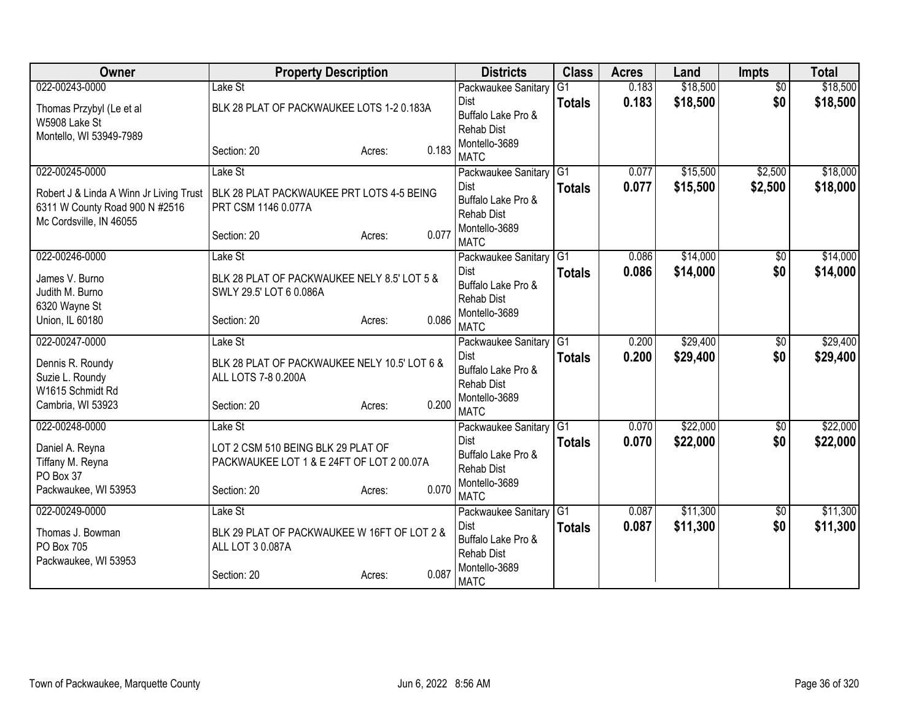| Owner                                   | <b>Property Description</b>                  |                 | <b>Districts</b>                        | <b>Class</b>    | <b>Acres</b> | Land     | <b>Impts</b>    | <b>Total</b> |
|-----------------------------------------|----------------------------------------------|-----------------|-----------------------------------------|-----------------|--------------|----------|-----------------|--------------|
| 022-00243-0000                          | Lake St                                      |                 | Packwaukee Sanitary                     | G1              | 0.183        | \$18,500 | $\overline{50}$ | \$18,500     |
| Thomas Przybyl (Le et al                | BLK 28 PLAT OF PACKWAUKEE LOTS 1-2 0.183A    |                 | Dist                                    | <b>Totals</b>   | 0.183        | \$18,500 | \$0             | \$18,500     |
| W5908 Lake St                           |                                              |                 | Buffalo Lake Pro &<br><b>Rehab Dist</b> |                 |              |          |                 |              |
| Montello, WI 53949-7989                 |                                              |                 | Montello-3689                           |                 |              |          |                 |              |
|                                         | Section: 20                                  | 0.183<br>Acres: | <b>MATC</b>                             |                 |              |          |                 |              |
| 022-00245-0000                          | Lake St                                      |                 | Packwaukee Sanitary                     | $\overline{G1}$ | 0.077        | \$15,500 | \$2,500         | \$18,000     |
| Robert J & Linda A Winn Jr Living Trust | BLK 28 PLAT PACKWAUKEE PRT LOTS 4-5 BEING    |                 | Dist                                    | <b>Totals</b>   | 0.077        | \$15,500 | \$2,500         | \$18,000     |
| 6311 W County Road 900 N #2516          | PRT CSM 1146 0.077A                          |                 | Buffalo Lake Pro &                      |                 |              |          |                 |              |
| Mc Cordsville, IN 46055                 |                                              |                 | <b>Rehab Dist</b><br>Montello-3689      |                 |              |          |                 |              |
|                                         | Section: 20                                  | 0.077<br>Acres: | <b>MATC</b>                             |                 |              |          |                 |              |
| 022-00246-0000                          | Lake St                                      |                 | Packwaukee Sanitary                     | $\overline{G1}$ | 0.086        | \$14,000 | \$0             | \$14,000     |
| James V. Burno                          | BLK 28 PLAT OF PACKWAUKEE NELY 8.5' LOT 5 &  |                 | Dist                                    | <b>Totals</b>   | 0.086        | \$14,000 | \$0             | \$14,000     |
| Judith M. Burno                         | SWLY 29.5' LOT 6 0.086A                      |                 | Buffalo Lake Pro &                      |                 |              |          |                 |              |
| 6320 Wayne St                           |                                              |                 | <b>Rehab Dist</b><br>Montello-3689      |                 |              |          |                 |              |
| Union, IL 60180                         | Section: 20                                  | 0.086<br>Acres: | <b>MATC</b>                             |                 |              |          |                 |              |
| 022-00247-0000                          | Lake St                                      |                 | Packwaukee Sanitary                     | G <sub>1</sub>  | 0.200        | \$29,400 | $\overline{50}$ | \$29,400     |
| Dennis R. Roundy                        | BLK 28 PLAT OF PACKWAUKEE NELY 10.5' LOT 6 & |                 | Dist                                    | <b>Totals</b>   | 0.200        | \$29,400 | \$0             | \$29,400     |
| Suzie L. Roundy                         | ALL LOTS 7-8 0.200A                          |                 | Buffalo Lake Pro &                      |                 |              |          |                 |              |
| W1615 Schmidt Rd                        |                                              |                 | <b>Rehab Dist</b><br>Montello-3689      |                 |              |          |                 |              |
| Cambria, WI 53923                       | Section: 20                                  | 0.200<br>Acres: | <b>MATC</b>                             |                 |              |          |                 |              |
| 022-00248-0000                          | Lake St                                      |                 | Packwaukee Sanitary                     | G1              | 0.070        | \$22,000 | $\sqrt{6}$      | \$22,000     |
| Daniel A. Reyna                         | LOT 2 CSM 510 BEING BLK 29 PLAT OF           |                 | Dist                                    | <b>Totals</b>   | 0.070        | \$22,000 | \$0             | \$22,000     |
| Tiffany M. Reyna                        | PACKWAUKEE LOT 1 & E 24FT OF LOT 2 00.07A    |                 | Buffalo Lake Pro &                      |                 |              |          |                 |              |
| PO Box 37                               |                                              |                 | <b>Rehab Dist</b>                       |                 |              |          |                 |              |
| Packwaukee, WI 53953                    | Section: 20                                  | 0.070<br>Acres: | Montello-3689<br><b>MATC</b>            |                 |              |          |                 |              |
| 022-00249-0000                          | Lake St                                      |                 | Packwaukee Sanitary                     | G1              | 0.087        | \$11,300 | \$0             | \$11,300     |
| Thomas J. Bowman                        | BLK 29 PLAT OF PACKWAUKEE W 16FT OF LOT 2 &  |                 | Dist                                    | <b>Totals</b>   | 0.087        | \$11,300 | \$0             | \$11,300     |
| <b>PO Box 705</b>                       | ALL LOT 3 0.087A                             |                 | Buffalo Lake Pro &                      |                 |              |          |                 |              |
| Packwaukee, WI 53953                    |                                              |                 | Rehab Dist<br>Montello-3689             |                 |              |          |                 |              |
|                                         | Section: 20                                  | 0.087<br>Acres: | <b>MATC</b>                             |                 |              |          |                 |              |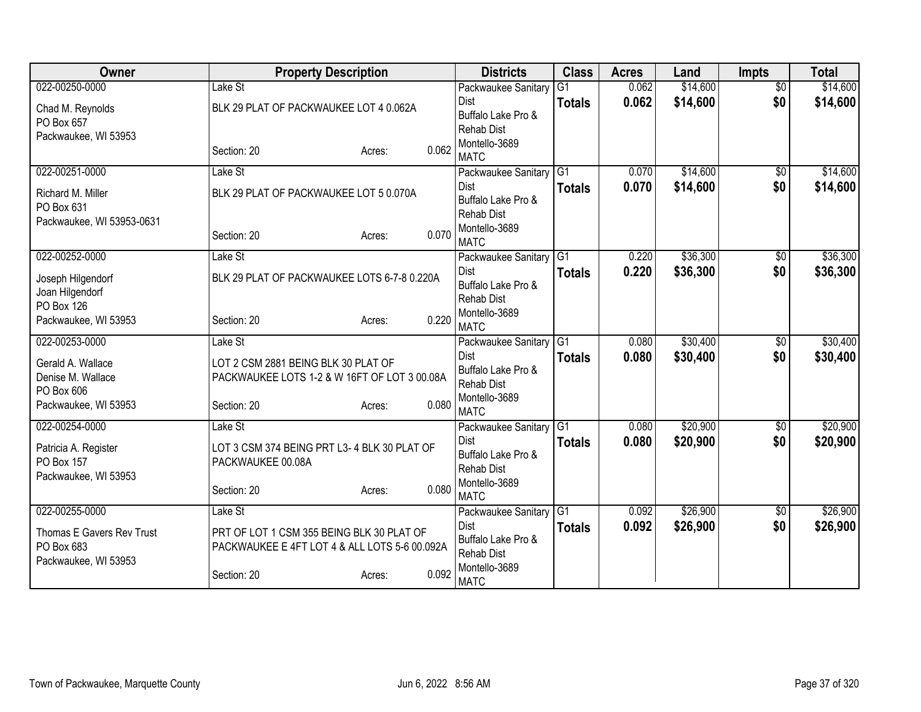| Owner                           | <b>Property Description</b>                   |                 | <b>Districts</b>                   | <b>Class</b>    | <b>Acres</b> | Land     | <b>Impts</b>    | <b>Total</b> |
|---------------------------------|-----------------------------------------------|-----------------|------------------------------------|-----------------|--------------|----------|-----------------|--------------|
| 022-00250-0000                  | Lake St                                       |                 | Packwaukee Sanitary                | G1              | 0.062        | \$14,600 | $\overline{50}$ | \$14,600     |
| Chad M. Reynolds                | BLK 29 PLAT OF PACKWAUKEE LOT 4 0.062A        |                 | <b>Dist</b>                        | <b>Totals</b>   | 0.062        | \$14,600 | \$0             | \$14,600     |
| PO Box 657                      |                                               |                 | Buffalo Lake Pro &                 |                 |              |          |                 |              |
| Packwaukee, WI 53953            |                                               |                 | <b>Rehab Dist</b><br>Montello-3689 |                 |              |          |                 |              |
|                                 | Section: 20                                   | 0.062<br>Acres: | <b>MATC</b>                        |                 |              |          |                 |              |
| 022-00251-0000                  | Lake St                                       |                 | Packwaukee Sanitary                | G1              | 0.070        | \$14,600 | $\overline{50}$ | \$14,600     |
| Richard M. Miller               | BLK 29 PLAT OF PACKWAUKEE LOT 5 0.070A        |                 | <b>Dist</b>                        | <b>Totals</b>   | 0.070        | \$14,600 | \$0             | \$14,600     |
| PO Box 631                      |                                               |                 | Buffalo Lake Pro &                 |                 |              |          |                 |              |
| Packwaukee, WI 53953-0631       |                                               |                 | <b>Rehab Dist</b>                  |                 |              |          |                 |              |
|                                 | Section: 20                                   | 0.070<br>Acres: | Montello-3689<br><b>MATC</b>       |                 |              |          |                 |              |
| 022-00252-0000                  | Lake St                                       |                 | Packwaukee Sanitary                | G1              | 0.220        | \$36,300 | \$0             | \$36,300     |
| Joseph Hilgendorf               | BLK 29 PLAT OF PACKWAUKEE LOTS 6-7-8 0.220A   |                 | <b>Dist</b>                        | <b>Totals</b>   | 0.220        | \$36,300 | \$0             | \$36,300     |
| Joan Hilgendorf                 |                                               |                 | Buffalo Lake Pro &                 |                 |              |          |                 |              |
| PO Box 126                      |                                               |                 | <b>Rehab Dist</b>                  |                 |              |          |                 |              |
| Packwaukee, WI 53953            | Section: 20                                   | 0.220<br>Acres: | Montello-3689<br><b>MATC</b>       |                 |              |          |                 |              |
| 022-00253-0000                  | Lake St                                       |                 | Packwaukee Sanitary                | $\overline{G1}$ | 0.080        | \$30,400 | $\sqrt{6}$      | \$30,400     |
|                                 |                                               |                 | Dist                               | <b>Totals</b>   | 0.080        | \$30,400 | \$0             | \$30,400     |
| Gerald A. Wallace               | LOT 2 CSM 2881 BEING BLK 30 PLAT OF           |                 | Buffalo Lake Pro &                 |                 |              |          |                 |              |
| Denise M. Wallace<br>PO Box 606 | PACKWAUKEE LOTS 1-2 & W 16FT OF LOT 3 00.08A  |                 | <b>Rehab Dist</b>                  |                 |              |          |                 |              |
| Packwaukee, WI 53953            | Section: 20                                   | 0.080<br>Acres: | Montello-3689                      |                 |              |          |                 |              |
|                                 |                                               |                 | <b>MATC</b>                        |                 |              |          |                 |              |
| 022-00254-0000                  | Lake St                                       |                 | Packwaukee Sanitary                | G <sub>1</sub>  | 0.080        | \$20,900 | $\sqrt{6}$      | \$20,900     |
| Patricia A. Register            | LOT 3 CSM 374 BEING PRT L3-4 BLK 30 PLAT OF   |                 | Dist<br>Buffalo Lake Pro &         | <b>Totals</b>   | 0.080        | \$20,900 | \$0             | \$20,900     |
| PO Box 157                      | PACKWAUKEE 00.08A                             |                 | <b>Rehab Dist</b>                  |                 |              |          |                 |              |
| Packwaukee, WI 53953            |                                               |                 | Montello-3689                      |                 |              |          |                 |              |
|                                 | Section: 20                                   | 0.080<br>Acres: | <b>MATC</b>                        |                 |              |          |                 |              |
| 022-00255-0000                  | Lake St                                       |                 | Packwaukee Sanitary                | IG <sub>1</sub> | 0.092        | \$26,900 | $\frac{1}{20}$  | \$26,900     |
| Thomas E Gavers Rev Trust       | PRT OF LOT 1 CSM 355 BEING BLK 30 PLAT OF     |                 | Dist                               | <b>Totals</b>   | 0.092        | \$26,900 | \$0             | \$26,900     |
| PO Box 683                      | PACKWAUKEE E 4FT LOT 4 & ALL LOTS 5-6 00.092A |                 | Buffalo Lake Pro &                 |                 |              |          |                 |              |
| Packwaukee, WI 53953            |                                               |                 | Rehab Dist<br>Montello-3689        |                 |              |          |                 |              |
|                                 | Section: 20                                   | 0.092<br>Acres: | <b>MATC</b>                        |                 |              |          |                 |              |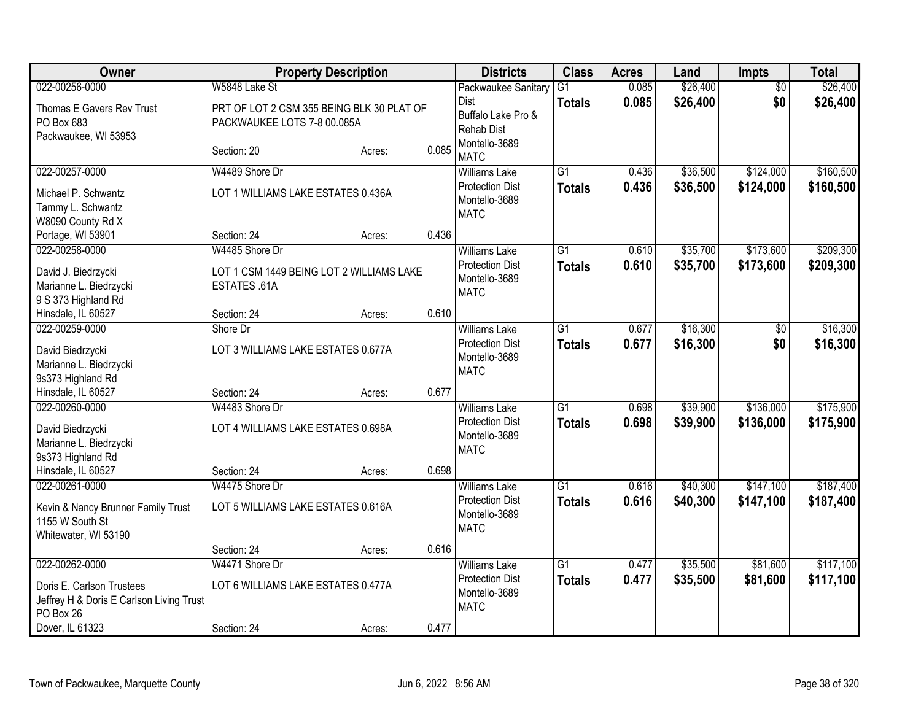| <b>Owner</b>                                                                       |                                                                          | <b>Property Description</b> |       | <b>Districts</b>                                       | <b>Class</b>    | <b>Acres</b> | Land     | Impts           | <b>Total</b> |
|------------------------------------------------------------------------------------|--------------------------------------------------------------------------|-----------------------------|-------|--------------------------------------------------------|-----------------|--------------|----------|-----------------|--------------|
| 022-00256-0000                                                                     | W5848 Lake St                                                            |                             |       | Packwaukee Sanitary                                    | $\overline{G1}$ | 0.085        | \$26,400 | $\overline{50}$ | \$26,400     |
| Thomas E Gavers Rev Trust<br>PO Box 683<br>Packwaukee, WI 53953                    | PRT OF LOT 2 CSM 355 BEING BLK 30 PLAT OF<br>PACKWAUKEE LOTS 7-8 00.085A |                             |       | Dist<br>Buffalo Lake Pro &<br><b>Rehab Dist</b>        | <b>Totals</b>   | 0.085        | \$26,400 | \$0             | \$26,400     |
|                                                                                    | Section: 20                                                              | Acres:                      | 0.085 | Montello-3689<br><b>MATC</b>                           |                 |              |          |                 |              |
| 022-00257-0000                                                                     | W4489 Shore Dr                                                           |                             |       | <b>Williams Lake</b>                                   | $\overline{G1}$ | 0.436        | \$36,500 | \$124,000       | \$160,500    |
| Michael P. Schwantz<br>Tammy L. Schwantz<br>W8090 County Rd X                      | LOT 1 WILLIAMS LAKE ESTATES 0.436A                                       |                             |       | <b>Protection Dist</b><br>Montello-3689<br><b>MATC</b> | <b>Totals</b>   | 0.436        | \$36,500 | \$124,000       | \$160,500    |
| Portage, WI 53901                                                                  | Section: 24                                                              | Acres:                      | 0.436 |                                                        |                 |              |          |                 |              |
| 022-00258-0000                                                                     | W4485 Shore Dr                                                           |                             |       | <b>Williams Lake</b>                                   | $\overline{G1}$ | 0.610        | \$35,700 | \$173,600       | \$209,300    |
| David J. Biedrzycki<br>Marianne L. Biedrzycki<br>9 S 373 Highland Rd               | LOT 1 CSM 1449 BEING LOT 2 WILLIAMS LAKE<br>ESTATES .61A                 |                             |       | <b>Protection Dist</b><br>Montello-3689<br><b>MATC</b> | <b>Totals</b>   | 0.610        | \$35,700 | \$173,600       | \$209,300    |
| Hinsdale, IL 60527                                                                 | Section: 24                                                              | Acres:                      | 0.610 |                                                        |                 |              |          |                 |              |
| 022-00259-0000                                                                     | Shore Dr                                                                 |                             |       | <b>Williams Lake</b>                                   | $\overline{G1}$ | 0.677        | \$16,300 | $\overline{60}$ | \$16,300     |
| David Biedrzycki<br>Marianne L. Biedrzycki                                         | LOT 3 WILLIAMS LAKE ESTATES 0.677A                                       |                             |       | <b>Protection Dist</b><br>Montello-3689<br><b>MATC</b> | <b>Totals</b>   | 0.677        | \$16,300 | \$0             | \$16,300     |
| 9s373 Highland Rd<br>Hinsdale, IL 60527                                            | Section: 24                                                              | Acres:                      | 0.677 |                                                        |                 |              |          |                 |              |
| 022-00260-0000                                                                     | W4483 Shore Dr                                                           |                             |       | <b>Williams Lake</b>                                   | G1              | 0.698        | \$39,900 | \$136,000       | \$175,900    |
| David Biedrzycki<br>Marianne L. Biedrzycki<br>9s373 Highland Rd                    | LOT 4 WILLIAMS LAKE ESTATES 0.698A                                       |                             |       | <b>Protection Dist</b><br>Montello-3689<br><b>MATC</b> | <b>Totals</b>   | 0.698        | \$39,900 | \$136,000       | \$175,900    |
| Hinsdale, IL 60527                                                                 | Section: 24                                                              | Acres:                      | 0.698 |                                                        |                 |              |          |                 |              |
| 022-00261-0000                                                                     | W4475 Shore Dr                                                           |                             |       | <b>Williams Lake</b>                                   | $\overline{G1}$ | 0.616        | \$40,300 | \$147,100       | \$187,400    |
| Kevin & Nancy Brunner Family Trust<br>1155 W South St<br>Whitewater, WI 53190      | LOT 5 WILLIAMS LAKE ESTATES 0.616A                                       |                             |       | <b>Protection Dist</b><br>Montello-3689<br><b>MATC</b> | <b>Totals</b>   | 0.616        | \$40,300 | \$147,100       | \$187,400    |
|                                                                                    | Section: 24                                                              | Acres:                      | 0.616 |                                                        |                 |              |          |                 |              |
| 022-00262-0000                                                                     | W4471 Shore Dr                                                           |                             |       | <b>Williams Lake</b>                                   | $\overline{G1}$ | 0.477        | \$35,500 | \$81,600        | \$117,100    |
| Doris E. Carlson Trustees<br>Jeffrey H & Doris E Carlson Living Trust<br>PO Box 26 | LOT 6 WILLIAMS LAKE ESTATES 0.477A                                       |                             |       | <b>Protection Dist</b><br>Montello-3689<br><b>MATC</b> | <b>Totals</b>   | 0.477        | \$35,500 | \$81,600        | \$117,100    |
| Dover, IL 61323                                                                    | Section: 24                                                              | Acres:                      | 0.477 |                                                        |                 |              |          |                 |              |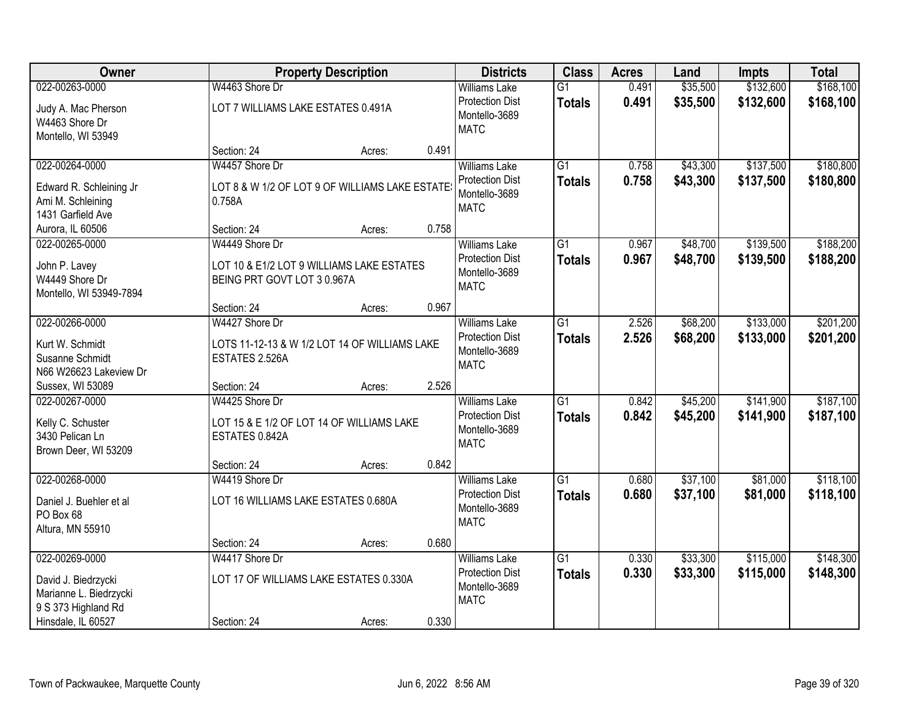| Owner                                                                                                        | <b>Property Description</b>                                                                |        |       | <b>Districts</b>                                                               | <b>Class</b>                     | <b>Acres</b>   | Land                 | <b>Impts</b>           | <b>Total</b>           |
|--------------------------------------------------------------------------------------------------------------|--------------------------------------------------------------------------------------------|--------|-------|--------------------------------------------------------------------------------|----------------------------------|----------------|----------------------|------------------------|------------------------|
| 022-00263-0000                                                                                               | W4463 Shore Dr                                                                             |        |       | <b>Williams Lake</b>                                                           | $\overline{G1}$                  | 0.491          | \$35,500             | \$132,600              | \$168,100              |
| Judy A. Mac Pherson<br>W4463 Shore Dr<br>Montello, WI 53949                                                  | LOT 7 WILLIAMS LAKE ESTATES 0.491A                                                         |        |       | <b>Protection Dist</b><br>Montello-3689<br><b>MATC</b>                         | <b>Totals</b>                    | 0.491          | \$35,500             | \$132,600              | \$168,100              |
|                                                                                                              | Section: 24                                                                                | Acres: | 0.491 |                                                                                |                                  |                |                      |                        |                        |
| 022-00264-0000<br>Edward R. Schleining Jr<br>Ami M. Schleining<br>1431 Garfield Ave                          | W4457 Shore Dr<br>LOT 8 & W 1/2 OF LOT 9 OF WILLIAMS LAKE ESTATE<br>0.758A                 |        |       | <b>Williams Lake</b><br><b>Protection Dist</b><br>Montello-3689<br><b>MATC</b> | $\overline{G1}$<br><b>Totals</b> | 0.758<br>0.758 | \$43,300<br>\$43,300 | \$137,500<br>\$137,500 | \$180,800<br>\$180,800 |
| Aurora, IL 60506                                                                                             | Section: 24                                                                                | Acres: | 0.758 |                                                                                |                                  |                |                      |                        |                        |
| 022-00265-0000<br>John P. Lavey<br>W4449 Shore Dr<br>Montello, WI 53949-7894                                 | W4449 Shore Dr<br>LOT 10 & E1/2 LOT 9 WILLIAMS LAKE ESTATES<br>BEING PRT GOVT LOT 3 0.967A |        |       | <b>Williams Lake</b><br><b>Protection Dist</b><br>Montello-3689<br><b>MATC</b> | G1<br><b>Totals</b>              | 0.967<br>0.967 | \$48,700<br>\$48,700 | \$139,500<br>\$139,500 | \$188,200<br>\$188,200 |
|                                                                                                              | Section: 24                                                                                | Acres: | 0.967 |                                                                                |                                  |                |                      |                        |                        |
| 022-00266-0000<br>Kurt W. Schmidt<br>Susanne Schmidt<br>N66 W26623 Lakeview Dr                               | W4427 Shore Dr<br>LOTS 11-12-13 & W 1/2 LOT 14 OF WILLIAMS LAKE<br>ESTATES 2.526A          |        |       | <b>Williams Lake</b><br><b>Protection Dist</b><br>Montello-3689<br><b>MATC</b> | G1<br><b>Totals</b>              | 2.526<br>2.526 | \$68,200<br>\$68,200 | \$133,000<br>\$133,000 | \$201,200<br>\$201,200 |
| Sussex, WI 53089                                                                                             | Section: 24                                                                                | Acres: | 2.526 |                                                                                |                                  |                |                      |                        |                        |
| 022-00267-0000<br>Kelly C. Schuster<br>3430 Pelican Ln<br>Brown Deer, WI 53209                               | W4425 Shore Dr<br>LOT 15 & E 1/2 OF LOT 14 OF WILLIAMS LAKE<br>ESTATES 0.842A              |        |       | <b>Williams Lake</b><br><b>Protection Dist</b><br>Montello-3689<br><b>MATC</b> | $\overline{G1}$<br><b>Totals</b> | 0.842<br>0.842 | \$45,200<br>\$45,200 | \$141,900<br>\$141,900 | \$187,100<br>\$187,100 |
|                                                                                                              | Section: 24                                                                                | Acres: | 0.842 |                                                                                |                                  |                |                      |                        |                        |
| 022-00268-0000<br>Daniel J. Buehler et al<br>PO Box 68<br>Altura, MN 55910                                   | W4419 Shore Dr<br>LOT 16 WILLIAMS LAKE ESTATES 0.680A                                      |        |       | <b>Williams Lake</b><br><b>Protection Dist</b><br>Montello-3689<br><b>MATC</b> | $\overline{G1}$<br><b>Totals</b> | 0.680<br>0.680 | \$37,100<br>\$37,100 | \$81,000<br>\$81,000   | \$118,100<br>\$118,100 |
|                                                                                                              | Section: 24                                                                                | Acres: | 0.680 |                                                                                |                                  |                |                      |                        |                        |
| 022-00269-0000<br>David J. Biedrzycki<br>Marianne L. Biedrzycki<br>9 S 373 Highland Rd<br>Hinsdale, IL 60527 | W4417 Shore Dr<br>LOT 17 OF WILLIAMS LAKE ESTATES 0.330A<br>Section: 24                    | Acres: | 0.330 | <b>Williams Lake</b><br><b>Protection Dist</b><br>Montello-3689<br><b>MATC</b> | $\overline{G1}$<br><b>Totals</b> | 0.330<br>0.330 | \$33,300<br>\$33,300 | \$115,000<br>\$115,000 | \$148,300<br>\$148,300 |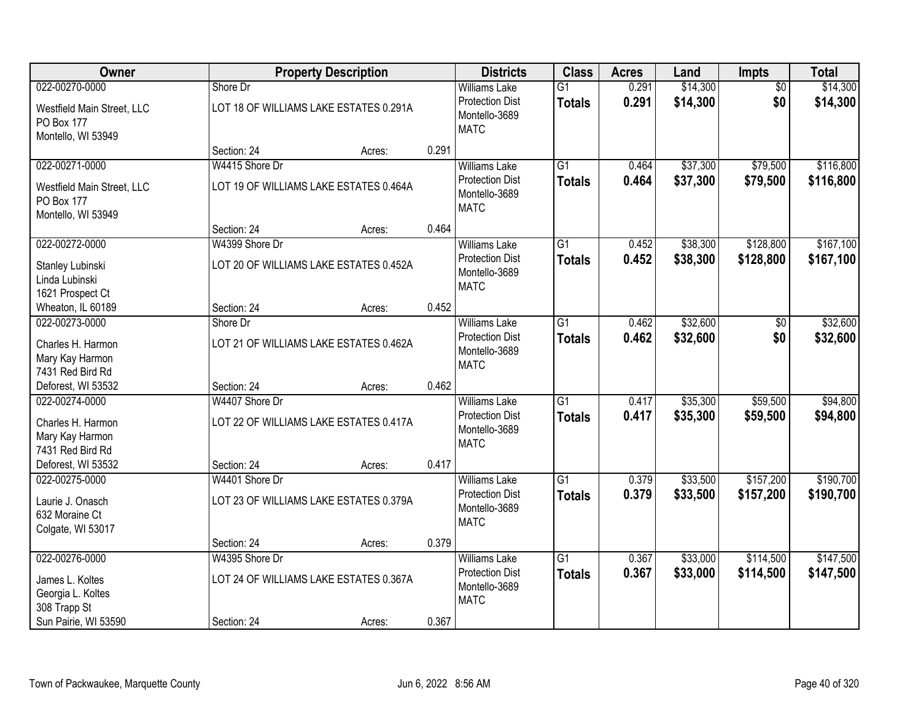| Owner                                                          |                | <b>Property Description</b>            |       | <b>Districts</b>                                                | <b>Class</b>              | <b>Acres</b>   | Land                 | <b>Impts</b>         | <b>Total</b>         |
|----------------------------------------------------------------|----------------|----------------------------------------|-------|-----------------------------------------------------------------|---------------------------|----------------|----------------------|----------------------|----------------------|
| 022-00270-0000                                                 | Shore Dr       |                                        |       | <b>Williams Lake</b>                                            | $\overline{G1}$           | 0.291          | \$14,300             | $\overline{50}$      | \$14,300             |
| Westfield Main Street, LLC<br>PO Box 177<br>Montello, WI 53949 |                | LOT 18 OF WILLIAMS LAKE ESTATES 0.291A |       | <b>Protection Dist</b><br>Montello-3689<br><b>MATC</b>          | <b>Totals</b>             | 0.291          | \$14,300             | \$0                  | \$14,300             |
|                                                                | Section: 24    | Acres:                                 | 0.291 |                                                                 |                           |                |                      |                      |                      |
| 022-00271-0000                                                 | W4415 Shore Dr |                                        |       | Williams Lake                                                   | $\overline{G1}$           | 0.464          | \$37,300             | \$79,500             | \$116,800            |
| Westfield Main Street, LLC<br>PO Box 177<br>Montello, WI 53949 |                | LOT 19 OF WILLIAMS LAKE ESTATES 0.464A |       | <b>Protection Dist</b><br>Montello-3689<br><b>MATC</b>          | <b>Totals</b>             | 0.464          | \$37,300             | \$79,500             | \$116,800            |
|                                                                | Section: 24    | Acres:                                 | 0.464 |                                                                 |                           |                |                      |                      |                      |
| 022-00272-0000                                                 | W4399 Shore Dr |                                        |       | <b>Williams Lake</b>                                            | G1                        | 0.452          | \$38,300             | \$128,800            | \$167,100            |
| Stanley Lubinski<br>Linda Lubinski<br>1621 Prospect Ct         |                | LOT 20 OF WILLIAMS LAKE ESTATES 0.452A |       | <b>Protection Dist</b><br>Montello-3689<br><b>MATC</b>          | <b>Totals</b>             | 0.452          | \$38,300             | \$128,800            | \$167,100            |
| Wheaton, IL 60189                                              | Section: 24    | Acres:                                 | 0.452 |                                                                 |                           |                |                      |                      |                      |
| 022-00273-0000                                                 | Shore Dr       |                                        |       | <b>Williams Lake</b>                                            | G1                        | 0.462          | \$32,600             | \$0                  | \$32,600             |
| Charles H. Harmon<br>Mary Kay Harmon<br>7431 Red Bird Rd       |                | LOT 21 OF WILLIAMS LAKE ESTATES 0.462A |       | <b>Protection Dist</b><br>Montello-3689<br><b>MATC</b>          | <b>Totals</b>             | 0.462          | \$32,600             | \$0                  | \$32,600             |
| Deforest, WI 53532                                             | Section: 24    | Acres:                                 | 0.462 |                                                                 |                           |                |                      |                      |                      |
| 022-00274-0000<br>Charles H. Harmon                            | W4407 Shore Dr | LOT 22 OF WILLIAMS LAKE ESTATES 0.417A |       | <b>Williams Lake</b><br><b>Protection Dist</b><br>Montello-3689 | $\overline{G1}$<br>Totals | 0.417<br>0.417 | \$35,300<br>\$35,300 | \$59,500<br>\$59,500 | \$94,800<br>\$94,800 |
| Mary Kay Harmon<br>7431 Red Bird Rd                            |                |                                        |       | <b>MATC</b>                                                     |                           |                |                      |                      |                      |
| Deforest, WI 53532                                             | Section: 24    | Acres:                                 | 0.417 |                                                                 |                           |                |                      |                      |                      |
| 022-00275-0000                                                 | W4401 Shore Dr |                                        |       | <b>Williams Lake</b>                                            | $\overline{G1}$           | 0.379          | \$33,500             | \$157,200            | \$190,700            |
| Laurie J. Onasch<br>632 Moraine Ct<br>Colgate, WI 53017        |                | LOT 23 OF WILLIAMS LAKE ESTATES 0.379A |       | <b>Protection Dist</b><br>Montello-3689<br><b>MATC</b>          | <b>Totals</b>             | 0.379          | \$33,500             | \$157,200            | \$190,700            |
|                                                                | Section: 24    | Acres:                                 | 0.379 |                                                                 |                           |                |                      |                      |                      |
| 022-00276-0000                                                 | W4395 Shore Dr |                                        |       | <b>Williams Lake</b>                                            | $\overline{G1}$           | 0.367          | \$33,000             | \$114,500            | \$147,500            |
| James L. Koltes<br>Georgia L. Koltes<br>308 Trapp St           |                | LOT 24 OF WILLIAMS LAKE ESTATES 0.367A |       | <b>Protection Dist</b><br>Montello-3689<br><b>MATC</b>          | <b>Totals</b>             | 0.367          | \$33,000             | \$114,500            | \$147,500            |
| Sun Pairie, WI 53590                                           | Section: 24    | Acres:                                 | 0.367 |                                                                 |                           |                |                      |                      |                      |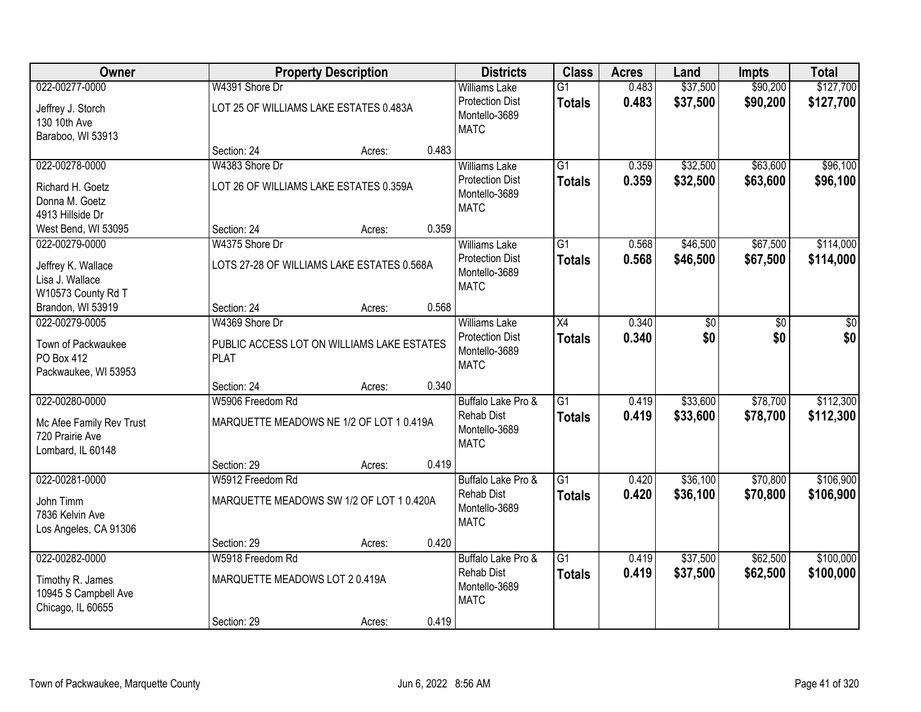| Owner                                                            |                                                           | <b>Property Description</b> |       | <b>Districts</b>                                       | <b>Class</b>    | <b>Acres</b> | Land            | <b>Impts</b> | <b>Total</b> |
|------------------------------------------------------------------|-----------------------------------------------------------|-----------------------------|-------|--------------------------------------------------------|-----------------|--------------|-----------------|--------------|--------------|
| 022-00277-0000                                                   | W4391 Shore Dr                                            |                             |       | <b>Williams Lake</b>                                   | $\overline{G1}$ | 0.483        | \$37,500        | \$90,200     | \$127,700    |
| Jeffrey J. Storch<br>130 10th Ave<br>Baraboo, WI 53913           | LOT 25 OF WILLIAMS LAKE ESTATES 0.483A                    |                             |       | <b>Protection Dist</b><br>Montello-3689<br><b>MATC</b> | <b>Totals</b>   | 0.483        | \$37,500        | \$90,200     | \$127,700    |
|                                                                  | Section: 24                                               | Acres:                      | 0.483 |                                                        |                 |              |                 |              |              |
| 022-00278-0000                                                   | W4383 Shore Dr                                            |                             |       | <b>Williams Lake</b>                                   | $\overline{G1}$ | 0.359        | \$32,500        | \$63,600     | \$96,100     |
| Richard H. Goetz<br>Donna M. Goetz<br>4913 Hillside Dr           | LOT 26 OF WILLIAMS LAKE ESTATES 0.359A                    |                             |       | <b>Protection Dist</b><br>Montello-3689<br><b>MATC</b> | <b>Totals</b>   | 0.359        | \$32,500        | \$63,600     | \$96,100     |
| West Bend, WI 53095                                              | Section: 24                                               | Acres:                      | 0.359 |                                                        |                 |              |                 |              |              |
| 022-00279-0000                                                   | W4375 Shore Dr                                            |                             |       | <b>Williams Lake</b>                                   | $\overline{G1}$ | 0.568        | \$46,500        | \$67,500     | \$114,000    |
| Jeffrey K. Wallace<br>Lisa J. Wallace<br>W10573 County Rd T      | LOTS 27-28 OF WILLIAMS LAKE ESTATES 0.568A                |                             |       | <b>Protection Dist</b><br>Montello-3689<br><b>MATC</b> | <b>Totals</b>   | 0.568        | \$46,500        | \$67,500     | \$114,000    |
| Brandon, WI 53919                                                | Section: 24                                               | Acres:                      | 0.568 |                                                        |                 |              |                 |              |              |
| 022-00279-0005                                                   | W4369 Shore Dr                                            |                             |       | <b>Williams Lake</b>                                   | $\overline{X4}$ | 0.340        | $\overline{30}$ | \$0          | \$0          |
| Town of Packwaukee<br>PO Box 412<br>Packwaukee, WI 53953         | PUBLIC ACCESS LOT ON WILLIAMS LAKE ESTATES<br><b>PLAT</b> |                             |       | <b>Protection Dist</b><br>Montello-3689<br><b>MATC</b> | <b>Totals</b>   | 0.340        | \$0             | \$0          | \$0          |
|                                                                  | Section: 24                                               | Acres:                      | 0.340 |                                                        |                 |              |                 |              |              |
| 022-00280-0000                                                   | W5906 Freedom Rd                                          |                             |       | Buffalo Lake Pro &                                     | $\overline{G1}$ | 0.419        | \$33,600        | \$78,700     | \$112,300    |
| Mc Afee Family Rev Trust<br>720 Prairie Ave<br>Lombard, IL 60148 | MARQUETTE MEADOWS NE 1/2 OF LOT 1 0.419A                  |                             |       | <b>Rehab Dist</b><br>Montello-3689<br><b>MATC</b>      | <b>Totals</b>   | 0.419        | \$33,600        | \$78,700     | \$112,300    |
|                                                                  | Section: 29                                               | Acres:                      | 0.419 |                                                        |                 |              |                 |              |              |
| 022-00281-0000                                                   | W5912 Freedom Rd                                          |                             |       | Buffalo Lake Pro &                                     | $\overline{G1}$ | 0.420        | \$36,100        | \$70,800     | \$106,900    |
| John Timm<br>7836 Kelvin Ave<br>Los Angeles, CA 91306            | MARQUETTE MEADOWS SW 1/2 OF LOT 1 0.420A                  |                             |       | <b>Rehab Dist</b><br>Montello-3689<br><b>MATC</b>      | <b>Totals</b>   | 0.420        | \$36,100        | \$70,800     | \$106,900    |
|                                                                  | Section: 29                                               | Acres:                      | 0.420 |                                                        |                 |              |                 |              |              |
| 022-00282-0000                                                   | W5918 Freedom Rd                                          |                             |       | Buffalo Lake Pro &                                     | $\overline{G1}$ | 0.419        | \$37,500        | \$62,500     | \$100,000    |
| Timothy R. James<br>10945 S Campbell Ave<br>Chicago, IL 60655    | MARQUETTE MEADOWS LOT 2 0.419A                            |                             |       | <b>Rehab Dist</b><br>Montello-3689<br><b>MATC</b>      | <b>Totals</b>   | 0.419        | \$37,500        | \$62,500     | \$100,000    |
|                                                                  | Section: 29                                               | Acres:                      | 0.419 |                                                        |                 |              |                 |              |              |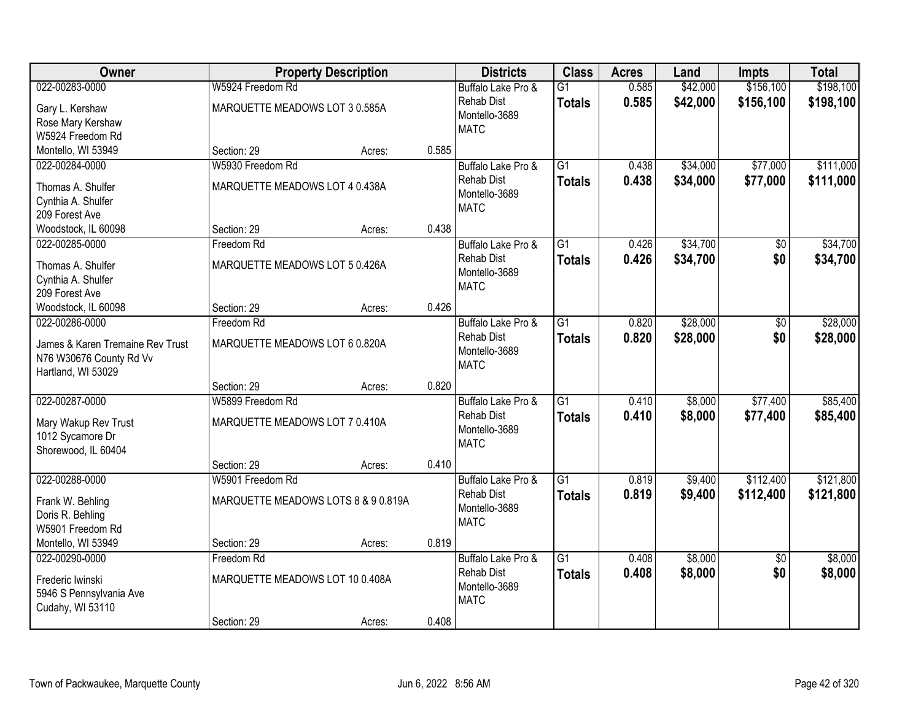| Owner                                       |                                     | <b>Property Description</b> |       | <b>Districts</b>                        | <b>Class</b>    | <b>Acres</b> | Land     | <b>Impts</b>    | <b>Total</b> |
|---------------------------------------------|-------------------------------------|-----------------------------|-------|-----------------------------------------|-----------------|--------------|----------|-----------------|--------------|
| 022-00283-0000                              | W5924 Freedom Rd                    |                             |       | Buffalo Lake Pro &                      | $\overline{G1}$ | 0.585        | \$42,000 | \$156,100       | \$198,100    |
| Gary L. Kershaw                             | MARQUETTE MEADOWS LOT 3 0.585A      |                             |       | <b>Rehab Dist</b>                       | <b>Totals</b>   | 0.585        | \$42,000 | \$156,100       | \$198,100    |
| Rose Mary Kershaw                           |                                     |                             |       | Montello-3689                           |                 |              |          |                 |              |
| W5924 Freedom Rd                            |                                     |                             |       | <b>MATC</b>                             |                 |              |          |                 |              |
| Montello, WI 53949                          | Section: 29                         | Acres:                      | 0.585 |                                         |                 |              |          |                 |              |
| 022-00284-0000                              | W5930 Freedom Rd                    |                             |       | Buffalo Lake Pro &                      | $\overline{G1}$ | 0.438        | \$34,000 | \$77,000        | \$111,000    |
| Thomas A. Shulfer                           | MARQUETTE MEADOWS LOT 4 0.438A      |                             |       | <b>Rehab Dist</b>                       | <b>Totals</b>   | 0.438        | \$34,000 | \$77,000        | \$111,000    |
| Cynthia A. Shulfer                          |                                     |                             |       | Montello-3689                           |                 |              |          |                 |              |
| 209 Forest Ave                              |                                     |                             |       | <b>MATC</b>                             |                 |              |          |                 |              |
| Woodstock, IL 60098                         | Section: 29                         | Acres:                      | 0.438 |                                         |                 |              |          |                 |              |
| 022-00285-0000                              | Freedom Rd                          |                             |       | Buffalo Lake Pro &                      | $\overline{G1}$ | 0.426        | \$34,700 | \$0             | \$34,700     |
|                                             |                                     |                             |       | <b>Rehab Dist</b>                       | <b>Totals</b>   | 0.426        | \$34,700 | \$0             | \$34,700     |
| Thomas A. Shulfer                           | MARQUETTE MEADOWS LOT 5 0.426A      |                             |       | Montello-3689                           |                 |              |          |                 |              |
| Cynthia A. Shulfer                          |                                     |                             |       | <b>MATC</b>                             |                 |              |          |                 |              |
| 209 Forest Ave                              |                                     |                             | 0.426 |                                         |                 |              |          |                 |              |
| Woodstock, IL 60098<br>022-00286-0000       | Section: 29<br>Freedom Rd           | Acres:                      |       |                                         | G1              |              | \$28,000 |                 | \$28,000     |
|                                             |                                     |                             |       | Buffalo Lake Pro &<br><b>Rehab Dist</b> |                 | 0.820        |          | \$0<br>\$0      |              |
| James & Karen Tremaine Rev Trust            | MARQUETTE MEADOWS LOT 6 0.820A      |                             |       | Montello-3689                           | <b>Totals</b>   | 0.820        | \$28,000 |                 | \$28,000     |
| N76 W30676 County Rd Vv                     |                                     |                             |       | <b>MATC</b>                             |                 |              |          |                 |              |
| Hartland, WI 53029                          |                                     |                             |       |                                         |                 |              |          |                 |              |
|                                             | Section: 29                         | Acres:                      | 0.820 |                                         |                 |              |          |                 |              |
| 022-00287-0000                              | W5899 Freedom Rd                    |                             |       | Buffalo Lake Pro &                      | $\overline{G1}$ | 0.410        | \$8,000  | \$77,400        | \$85,400     |
| Mary Wakup Rev Trust                        | MARQUETTE MEADOWS LOT 7 0.410A      |                             |       | <b>Rehab Dist</b>                       | <b>Totals</b>   | 0.410        | \$8,000  | \$77,400        | \$85,400     |
| 1012 Sycamore Dr                            |                                     |                             |       | Montello-3689                           |                 |              |          |                 |              |
| Shorewood, IL 60404                         |                                     |                             |       | <b>MATC</b>                             |                 |              |          |                 |              |
|                                             | Section: 29                         | Acres:                      | 0.410 |                                         |                 |              |          |                 |              |
| 022-00288-0000                              | W5901 Freedom Rd                    |                             |       | Buffalo Lake Pro &                      | $\overline{G1}$ | 0.819        | \$9,400  | \$112,400       | \$121,800    |
| Frank W. Behling                            | MARQUETTE MEADOWS LOTS 8 & 9 0.819A |                             |       | <b>Rehab Dist</b>                       | <b>Totals</b>   | 0.819        | \$9,400  | \$112,400       | \$121,800    |
| Doris R. Behling                            |                                     |                             |       | Montello-3689                           |                 |              |          |                 |              |
| W5901 Freedom Rd                            |                                     |                             |       | <b>MATC</b>                             |                 |              |          |                 |              |
| Montello, WI 53949                          | Section: 29                         | Acres:                      | 0.819 |                                         |                 |              |          |                 |              |
| 022-00290-0000                              | Freedom Rd                          |                             |       | Buffalo Lake Pro &                      | $\overline{G1}$ | 0.408        | \$8,000  | $\overline{50}$ | \$8,000      |
|                                             |                                     |                             |       | <b>Rehab Dist</b>                       | <b>Totals</b>   | 0.408        | \$8,000  | \$0             | \$8,000      |
| Frederic Iwinski<br>5946 S Pennsylvania Ave | MARQUETTE MEADOWS LOT 10 0.408A     |                             |       | Montello-3689                           |                 |              |          |                 |              |
| Cudahy, WI 53110                            |                                     |                             |       | <b>MATC</b>                             |                 |              |          |                 |              |
|                                             | Section: 29                         | Acres:                      | 0.408 |                                         |                 |              |          |                 |              |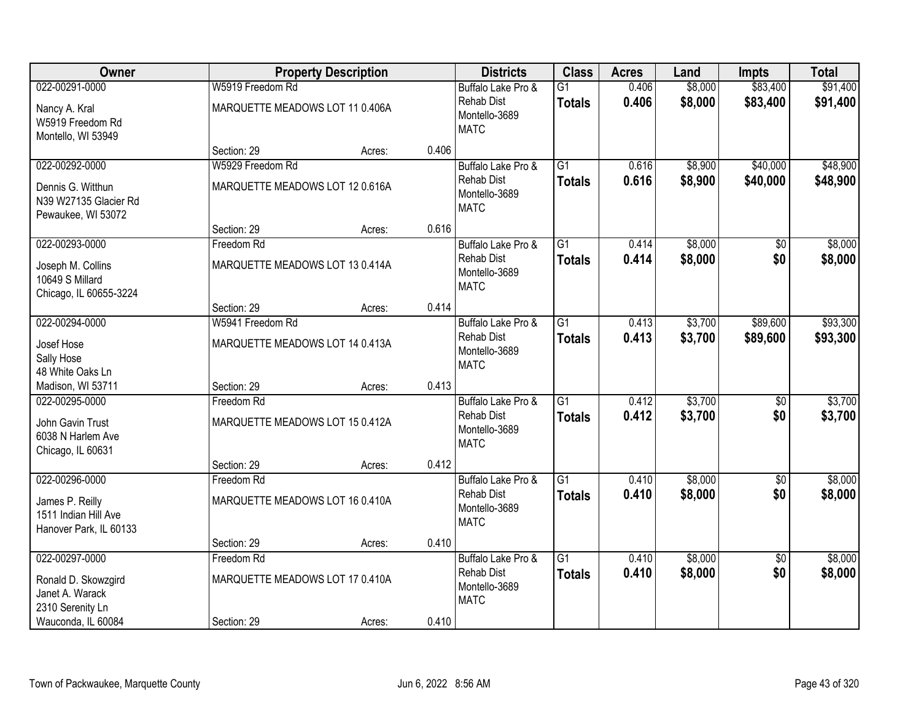| Owner                                                             |                                 | <b>Property Description</b> |       | <b>Districts</b>                                  | <b>Class</b>    | <b>Acres</b> | Land    | <b>Impts</b>    | <b>Total</b> |
|-------------------------------------------------------------------|---------------------------------|-----------------------------|-------|---------------------------------------------------|-----------------|--------------|---------|-----------------|--------------|
| 022-00291-0000                                                    | W5919 Freedom Rd                |                             |       | Buffalo Lake Pro &                                | $\overline{G1}$ | 0.406        | \$8,000 | \$83,400        | \$91,400     |
| Nancy A. Kral<br>W5919 Freedom Rd<br>Montello, WI 53949           | MARQUETTE MEADOWS LOT 11 0.406A |                             |       | <b>Rehab Dist</b><br>Montello-3689<br><b>MATC</b> | <b>Totals</b>   | 0.406        | \$8,000 | \$83,400        | \$91,400     |
|                                                                   | Section: 29                     | Acres:                      | 0.406 |                                                   |                 |              |         |                 |              |
| 022-00292-0000                                                    | W5929 Freedom Rd                |                             |       | Buffalo Lake Pro &                                | $\overline{G1}$ | 0.616        | \$8,900 | \$40,000        | \$48,900     |
| Dennis G. Witthun<br>N39 W27135 Glacier Rd<br>Pewaukee, WI 53072  | MARQUETTE MEADOWS LOT 12 0.616A |                             |       | <b>Rehab Dist</b><br>Montello-3689<br><b>MATC</b> | Totals          | 0.616        | \$8,900 | \$40,000        | \$48,900     |
|                                                                   | Section: 29                     | Acres:                      | 0.616 |                                                   |                 |              |         |                 |              |
| 022-00293-0000                                                    | Freedom Rd                      |                             |       | Buffalo Lake Pro &                                | $\overline{G1}$ | 0.414        | \$8,000 | $\sqrt[6]{30}$  | \$8,000      |
| Joseph M. Collins<br>10649 S Millard<br>Chicago, IL 60655-3224    | MARQUETTE MEADOWS LOT 13 0.414A |                             |       | <b>Rehab Dist</b><br>Montello-3689<br><b>MATC</b> | <b>Totals</b>   | 0.414        | \$8,000 | \$0             | \$8,000      |
|                                                                   | Section: 29                     | Acres:                      | 0.414 |                                                   |                 |              |         |                 |              |
| 022-00294-0000                                                    | W5941 Freedom Rd                |                             |       | Buffalo Lake Pro &                                | $\overline{G1}$ | 0.413        | \$3,700 | \$89,600        | \$93,300     |
| Josef Hose<br>Sally Hose<br>48 White Oaks Ln                      | MARQUETTE MEADOWS LOT 14 0.413A |                             |       | <b>Rehab Dist</b><br>Montello-3689<br><b>MATC</b> | <b>Totals</b>   | 0.413        | \$3,700 | \$89,600        | \$93,300     |
| Madison, WI 53711                                                 | Section: 29                     | Acres:                      | 0.413 |                                                   |                 |              |         |                 |              |
| 022-00295-0000                                                    | Freedom Rd                      |                             |       | Buffalo Lake Pro &                                | $\overline{G1}$ | 0.412        | \$3,700 | \$0             | \$3,700      |
| John Gavin Trust<br>6038 N Harlem Ave<br>Chicago, IL 60631        | MARQUETTE MEADOWS LOT 15 0.412A |                             |       | <b>Rehab Dist</b><br>Montello-3689<br><b>MATC</b> | <b>Totals</b>   | 0.412        | \$3,700 | \$0             | \$3,700      |
|                                                                   | Section: 29                     | Acres:                      | 0.412 |                                                   |                 |              |         |                 |              |
| 022-00296-0000                                                    | Freedom Rd                      |                             |       | Buffalo Lake Pro &                                | $\overline{G1}$ | 0.410        | \$8,000 | $\sqrt{6}$      | \$8,000      |
| James P. Reilly<br>1511 Indian Hill Ave<br>Hanover Park, IL 60133 | MARQUETTE MEADOWS LOT 16 0.410A |                             |       | <b>Rehab Dist</b><br>Montello-3689<br><b>MATC</b> | <b>Totals</b>   | 0.410        | \$8,000 | \$0             | \$8,000      |
|                                                                   | Section: 29                     | Acres:                      | 0.410 |                                                   |                 |              |         |                 |              |
| 022-00297-0000                                                    | Freedom Rd                      |                             |       | Buffalo Lake Pro &                                | $\overline{G1}$ | 0.410        | \$8,000 | $\overline{50}$ | \$8,000      |
| Ronald D. Skowzgird<br>Janet A. Warack<br>2310 Serenity Ln        | MARQUETTE MEADOWS LOT 17 0.410A |                             |       | <b>Rehab Dist</b><br>Montello-3689<br><b>MATC</b> | <b>Totals</b>   | 0.410        | \$8,000 | \$0             | \$8,000      |
| Wauconda, IL 60084                                                | Section: 29                     | Acres:                      | 0.410 |                                                   |                 |              |         |                 |              |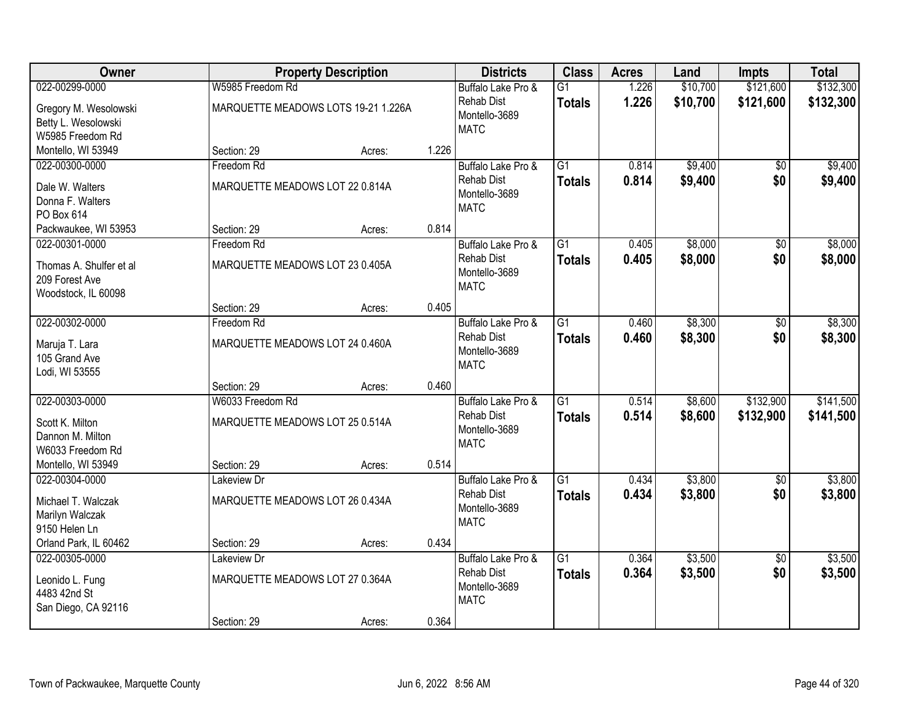| Owner                                                                    |                                                | <b>Property Description</b>         |       | <b>Districts</b>                                                        | <b>Class</b>                     | <b>Acres</b>   | Land               | <b>Impts</b>           | <b>Total</b>       |
|--------------------------------------------------------------------------|------------------------------------------------|-------------------------------------|-------|-------------------------------------------------------------------------|----------------------------------|----------------|--------------------|------------------------|--------------------|
| 022-00299-0000                                                           | W5985 Freedom Rd                               |                                     |       | Buffalo Lake Pro &                                                      | $\overline{G1}$                  | 1.226          | \$10,700           | \$121,600              | \$132,300          |
| Gregory M. Wesolowski<br>Betty L. Wesolowski<br>W5985 Freedom Rd         |                                                | MARQUETTE MEADOWS LOTS 19-21 1.226A |       | <b>Rehab Dist</b><br>Montello-3689<br><b>MATC</b>                       | <b>Totals</b>                    | 1.226          | \$10,700           | \$121,600              | \$132,300          |
| Montello, WI 53949                                                       | Section: 29                                    | Acres:                              | 1.226 |                                                                         |                                  |                |                    |                        |                    |
| 022-00300-0000<br>Dale W. Walters<br>Donna F. Walters                    | Freedom Rd<br>MARQUETTE MEADOWS LOT 22 0.814A  |                                     |       | Buffalo Lake Pro &<br><b>Rehab Dist</b><br>Montello-3689                | $\overline{G1}$<br><b>Totals</b> | 0.814<br>0.814 | \$9,400<br>\$9,400 | $\overline{50}$<br>\$0 | \$9,400<br>\$9,400 |
| PO Box 614                                                               |                                                |                                     |       | <b>MATC</b>                                                             |                                  |                |                    |                        |                    |
| Packwaukee, WI 53953                                                     | Section: 29                                    | Acres:                              | 0.814 |                                                                         |                                  |                |                    |                        |                    |
| 022-00301-0000                                                           | Freedom Rd                                     |                                     |       | Buffalo Lake Pro &                                                      | $\overline{G1}$                  | 0.405          | \$8,000            | \$0                    | \$8,000            |
| Thomas A. Shulfer et al<br>209 Forest Ave<br>Woodstock, IL 60098         | MARQUETTE MEADOWS LOT 23 0.405A                |                                     |       | <b>Rehab Dist</b><br>Montello-3689<br><b>MATC</b>                       | <b>Totals</b>                    | 0.405          | \$8,000            | \$0                    | \$8,000            |
|                                                                          | Section: 29                                    | Acres:                              | 0.405 |                                                                         |                                  |                |                    |                        |                    |
| 022-00302-0000<br>Maruja T. Lara<br>105 Grand Ave                        | Freedom Rd<br>MARQUETTE MEADOWS LOT 24 0.460A  |                                     |       | Buffalo Lake Pro &<br>Rehab Dist<br>Montello-3689                       | $\overline{G1}$<br><b>Totals</b> | 0.460<br>0.460 | \$8,300<br>\$8,300 | \$0<br>\$0             | \$8,300<br>\$8,300 |
| Lodi, WI 53555                                                           |                                                |                                     |       | <b>MATC</b>                                                             |                                  |                |                    |                        |                    |
| 022-00303-0000                                                           | Section: 29<br>W6033 Freedom Rd                | Acres:                              | 0.460 |                                                                         | $\overline{G1}$                  | 0.514          | \$8,600            | \$132,900              | \$141,500          |
| Scott K. Milton<br>Dannon M. Milton<br>W6033 Freedom Rd                  | MARQUETTE MEADOWS LOT 25 0.514A                |                                     |       | Buffalo Lake Pro &<br><b>Rehab Dist</b><br>Montello-3689<br><b>MATC</b> | <b>Totals</b>                    | 0.514          | \$8,600            | \$132,900              | \$141,500          |
| Montello, WI 53949                                                       | Section: 29                                    | Acres:                              | 0.514 |                                                                         |                                  |                |                    |                        |                    |
| 022-00304-0000                                                           | Lakeview Dr                                    |                                     |       | Buffalo Lake Pro &                                                      | $\overline{G1}$                  | 0.434          | \$3,800            | $\sqrt{6}$             | \$3,800            |
| Michael T. Walczak<br>Marilyn Walczak<br>9150 Helen Ln                   | MARQUETTE MEADOWS LOT 26 0.434A                |                                     |       | <b>Rehab Dist</b><br>Montello-3689<br><b>MATC</b>                       | <b>Totals</b>                    | 0.434          | \$3,800            | \$0                    | \$3,800            |
| Orland Park, IL 60462                                                    | Section: 29                                    | Acres:                              | 0.434 |                                                                         |                                  |                |                    |                        |                    |
| 022-00305-0000<br>Leonido L. Fung<br>4483 42nd St<br>San Diego, CA 92116 | Lakeview Dr<br>MARQUETTE MEADOWS LOT 27 0.364A |                                     |       | Buffalo Lake Pro &<br><b>Rehab Dist</b><br>Montello-3689<br><b>MATC</b> | $\overline{G1}$<br><b>Totals</b> | 0.364<br>0.364 | \$3,500<br>\$3,500 | $\overline{30}$<br>\$0 | \$3,500<br>\$3,500 |
|                                                                          | Section: 29                                    | Acres:                              | 0.364 |                                                                         |                                  |                |                    |                        |                    |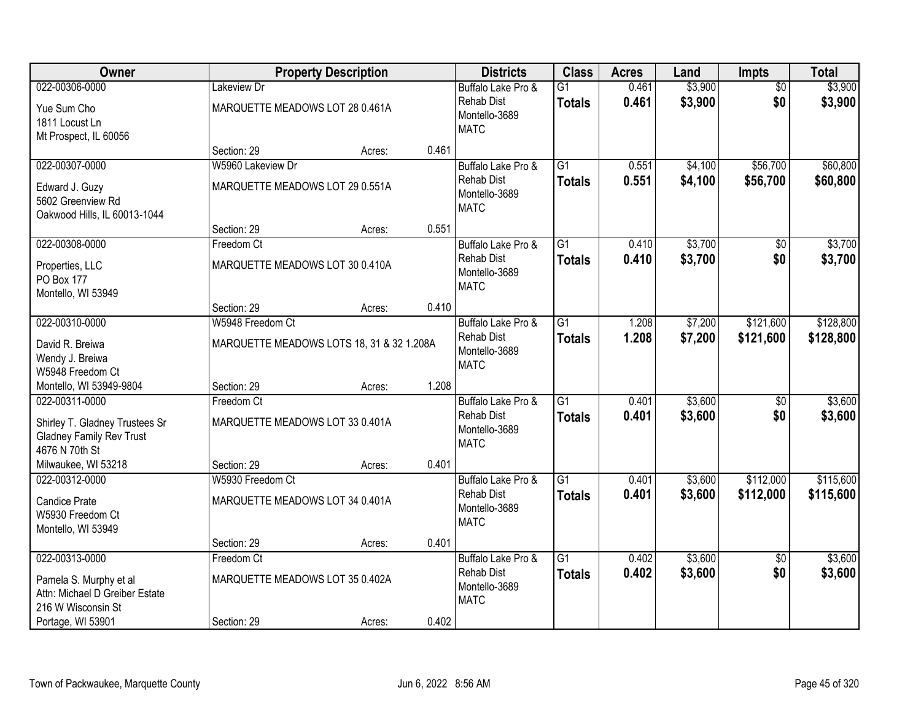| Owner                           |                                 | <b>Property Description</b>               |       | <b>Districts</b>                   | <b>Class</b>    | <b>Acres</b> | Land    | <b>Impts</b>    | <b>Total</b> |
|---------------------------------|---------------------------------|-------------------------------------------|-------|------------------------------------|-----------------|--------------|---------|-----------------|--------------|
| 022-00306-0000                  | Lakeview Dr                     |                                           |       | Buffalo Lake Pro &                 | $\overline{G1}$ | 0.461        | \$3,900 | $\overline{50}$ | \$3,900      |
| Yue Sum Cho                     | MARQUETTE MEADOWS LOT 28 0.461A |                                           |       | <b>Rehab Dist</b><br>Montello-3689 | <b>Totals</b>   | 0.461        | \$3,900 | \$0             | \$3,900      |
| 1811 Locust Ln                  |                                 |                                           |       | <b>MATC</b>                        |                 |              |         |                 |              |
| Mt Prospect, IL 60056           |                                 |                                           |       |                                    |                 |              |         |                 |              |
|                                 | Section: 29                     | Acres:                                    | 0.461 |                                    |                 |              |         |                 |              |
| 022-00307-0000                  | W5960 Lakeview Dr               |                                           |       | Buffalo Lake Pro &                 | $\overline{G1}$ | 0.551        | \$4,100 | \$56,700        | \$60,800     |
| Edward J. Guzy                  | MARQUETTE MEADOWS LOT 29 0.551A |                                           |       | <b>Rehab Dist</b><br>Montello-3689 | <b>Totals</b>   | 0.551        | \$4,100 | \$56,700        | \$60,800     |
| 5602 Greenview Rd               |                                 |                                           |       | <b>MATC</b>                        |                 |              |         |                 |              |
| Oakwood Hills, IL 60013-1044    |                                 |                                           |       |                                    |                 |              |         |                 |              |
|                                 | Section: 29                     | Acres:                                    | 0.551 |                                    |                 |              |         |                 |              |
| 022-00308-0000                  | Freedom Ct                      |                                           |       | Buffalo Lake Pro &                 | G1              | 0.410        | \$3,700 | \$0             | \$3,700      |
| Properties, LLC                 | MARQUETTE MEADOWS LOT 30 0.410A |                                           |       | <b>Rehab Dist</b><br>Montello-3689 | <b>Totals</b>   | 0.410        | \$3,700 | \$0             | \$3,700      |
| PO Box 177                      |                                 |                                           |       | <b>MATC</b>                        |                 |              |         |                 |              |
| Montello, WI 53949              |                                 |                                           |       |                                    |                 |              |         |                 |              |
|                                 | Section: 29                     | Acres:                                    | 0.410 |                                    |                 |              |         |                 |              |
| 022-00310-0000                  | W5948 Freedom Ct                |                                           |       | Buffalo Lake Pro &                 | $\overline{G1}$ | 1.208        | \$7,200 | \$121,600       | \$128,800    |
| David R. Breiwa                 |                                 | MARQUETTE MEADOWS LOTS 18, 31 & 32 1.208A |       | <b>Rehab Dist</b><br>Montello-3689 | <b>Totals</b>   | 1.208        | \$7,200 | \$121,600       | \$128,800    |
| Wendy J. Breiwa                 |                                 |                                           |       | <b>MATC</b>                        |                 |              |         |                 |              |
| W5948 Freedom Ct                |                                 |                                           |       |                                    |                 |              |         |                 |              |
| Montello, WI 53949-9804         | Section: 29                     | Acres:                                    | 1.208 |                                    |                 |              |         |                 |              |
| 022-00311-0000                  | Freedom Ct                      |                                           |       | Buffalo Lake Pro &                 | $\overline{G1}$ | 0.401        | \$3,600 | \$0             | \$3,600      |
| Shirley T. Gladney Trustees Sr  | MARQUETTE MEADOWS LOT 33 0.401A |                                           |       | <b>Rehab Dist</b><br>Montello-3689 | <b>Totals</b>   | 0.401        | \$3,600 | \$0             | \$3,600      |
| <b>Gladney Family Rev Trust</b> |                                 |                                           |       | <b>MATC</b>                        |                 |              |         |                 |              |
| 4676 N 70th St                  |                                 |                                           |       |                                    |                 |              |         |                 |              |
| Milwaukee, WI 53218             | Section: 29                     | Acres:                                    | 0.401 |                                    |                 |              |         |                 |              |
| 022-00312-0000                  | W5930 Freedom Ct                |                                           |       | Buffalo Lake Pro &                 | $\overline{G1}$ | 0.401        | \$3,600 | \$112,000       | \$115,600    |
| <b>Candice Prate</b>            | MARQUETTE MEADOWS LOT 34 0.401A |                                           |       | <b>Rehab Dist</b><br>Montello-3689 | <b>Totals</b>   | 0.401        | \$3,600 | \$112,000       | \$115,600    |
| W5930 Freedom Ct                |                                 |                                           |       | <b>MATC</b>                        |                 |              |         |                 |              |
| Montello, WI 53949              |                                 |                                           |       |                                    |                 |              |         |                 |              |
|                                 | Section: 29                     | Acres:                                    | 0.401 |                                    |                 |              |         |                 |              |
| 022-00313-0000                  | Freedom Ct                      |                                           |       | Buffalo Lake Pro &                 | $\overline{G1}$ | 0.402        | \$3,600 | $\overline{30}$ | \$3,600      |
| Pamela S. Murphy et al          | MARQUETTE MEADOWS LOT 35 0.402A |                                           |       | <b>Rehab Dist</b>                  | <b>Totals</b>   | 0.402        | \$3,600 | \$0             | \$3,600      |
| Attn: Michael D Greiber Estate  |                                 |                                           |       | Montello-3689<br><b>MATC</b>       |                 |              |         |                 |              |
| 216 W Wisconsin St              |                                 |                                           |       |                                    |                 |              |         |                 |              |
| Portage, WI 53901               | Section: 29                     | Acres:                                    | 0.402 |                                    |                 |              |         |                 |              |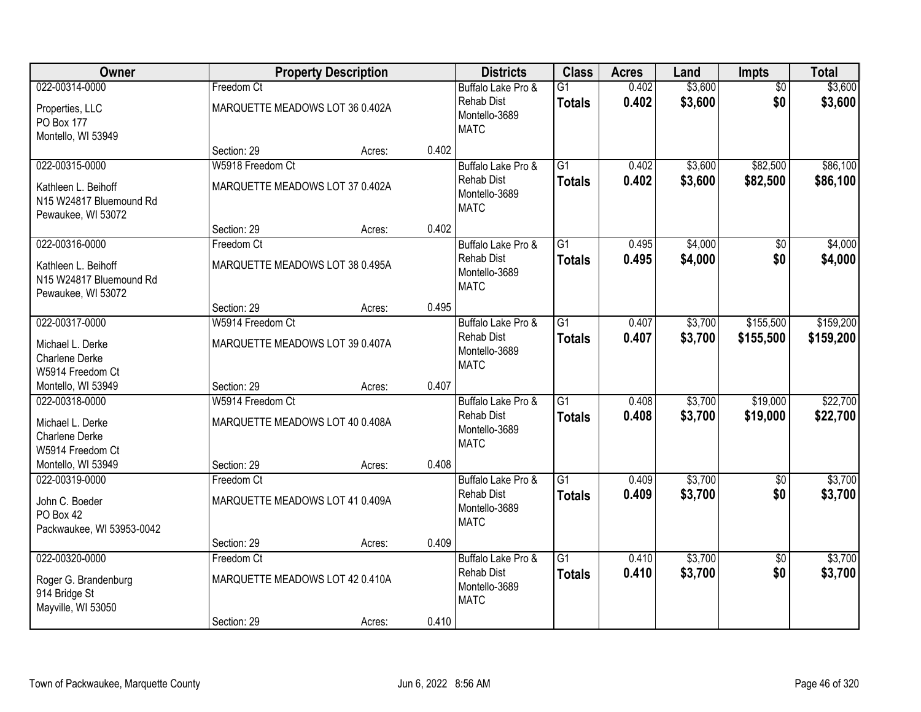| Owner                                                                    |                                                     | <b>Property Description</b> |       | <b>Districts</b>                                                        | <b>Class</b>                     | <b>Acres</b>   | Land               | <b>Impts</b>         | <b>Total</b>         |
|--------------------------------------------------------------------------|-----------------------------------------------------|-----------------------------|-------|-------------------------------------------------------------------------|----------------------------------|----------------|--------------------|----------------------|----------------------|
| 022-00314-0000                                                           | Freedom Ct                                          |                             |       | Buffalo Lake Pro &                                                      | $\overline{G1}$                  | 0.402          | \$3,600            | $\overline{50}$      | \$3,600              |
| Properties, LLC<br><b>PO Box 177</b><br>Montello, WI 53949               | MARQUETTE MEADOWS LOT 36 0.402A                     |                             |       | <b>Rehab Dist</b><br>Montello-3689<br><b>MATC</b>                       | <b>Totals</b>                    | 0.402          | \$3,600            | \$0                  | \$3,600              |
|                                                                          | Section: 29                                         | Acres:                      | 0.402 |                                                                         |                                  |                |                    |                      |                      |
| 022-00315-0000                                                           | W5918 Freedom Ct                                    |                             |       | Buffalo Lake Pro &                                                      | $\overline{G1}$                  | 0.402          | \$3,600            | \$82,500             | \$86,100             |
| Kathleen L. Beihoff<br>N15 W24817 Bluemound Rd<br>Pewaukee, WI 53072     | MARQUETTE MEADOWS LOT 37 0.402A                     |                             |       | <b>Rehab Dist</b><br>Montello-3689<br><b>MATC</b>                       | <b>Totals</b>                    | 0.402          | \$3,600            | \$82,500             | \$86,100             |
|                                                                          | Section: 29                                         | Acres:                      | 0.402 |                                                                         |                                  |                |                    |                      |                      |
| 022-00316-0000                                                           | Freedom Ct                                          |                             |       | Buffalo Lake Pro &                                                      | $\overline{G1}$                  | 0.495          | \$4,000            | \$0                  | \$4,000              |
| Kathleen L. Beihoff<br>N15 W24817 Bluemound Rd<br>Pewaukee, WI 53072     | MARQUETTE MEADOWS LOT 38 0.495A                     |                             |       | <b>Rehab Dist</b><br>Montello-3689<br><b>MATC</b>                       | <b>Totals</b>                    | 0.495          | \$4,000            | \$0                  | \$4,000              |
|                                                                          | Section: 29                                         | Acres:                      | 0.495 |                                                                         |                                  |                |                    |                      |                      |
| 022-00317-0000                                                           | W5914 Freedom Ct                                    |                             |       | Buffalo Lake Pro &                                                      | $\overline{G1}$                  | 0.407          | \$3,700            | \$155,500            | \$159,200            |
| Michael L. Derke<br><b>Charlene Derke</b><br>W5914 Freedom Ct            | MARQUETTE MEADOWS LOT 39 0.407A                     |                             |       | Rehab Dist<br>Montello-3689<br><b>MATC</b>                              | <b>Totals</b>                    | 0.407          | \$3,700            | \$155,500            | \$159,200            |
| Montello, WI 53949                                                       | Section: 29                                         | Acres:                      | 0.407 |                                                                         |                                  |                |                    |                      |                      |
| 022-00318-0000<br>Michael L. Derke<br>Charlene Derke<br>W5914 Freedom Ct | W5914 Freedom Ct<br>MARQUETTE MEADOWS LOT 40 0.408A |                             |       | Buffalo Lake Pro &<br><b>Rehab Dist</b><br>Montello-3689<br><b>MATC</b> | $\overline{G1}$<br><b>Totals</b> | 0.408<br>0.408 | \$3,700<br>\$3,700 | \$19,000<br>\$19,000 | \$22,700<br>\$22,700 |
| Montello, WI 53949                                                       | Section: 29                                         | Acres:                      | 0.408 |                                                                         |                                  |                |                    |                      |                      |
| 022-00319-0000                                                           | Freedom Ct                                          |                             |       | Buffalo Lake Pro &                                                      | $\overline{G1}$                  | 0.409          | \$3,700            | \$0                  | \$3,700              |
| John C. Boeder<br>PO Box 42<br>Packwaukee, WI 53953-0042                 | MARQUETTE MEADOWS LOT 41 0.409A                     |                             |       | <b>Rehab Dist</b><br>Montello-3689<br><b>MATC</b>                       | <b>Totals</b>                    | 0.409          | \$3,700            | \$0                  | \$3,700              |
|                                                                          | Section: 29                                         | Acres:                      | 0.409 |                                                                         |                                  |                |                    |                      |                      |
| 022-00320-0000                                                           | Freedom Ct                                          |                             |       | Buffalo Lake Pro &                                                      | $\overline{G1}$                  | 0.410          | \$3,700            | $\overline{50}$      | \$3,700              |
| Roger G. Brandenburg<br>914 Bridge St<br>Mayville, WI 53050              | MARQUETTE MEADOWS LOT 42 0.410A                     |                             |       | <b>Rehab Dist</b><br>Montello-3689<br><b>MATC</b>                       | <b>Totals</b>                    | 0.410          | \$3,700            | \$0                  | \$3,700              |
|                                                                          | Section: 29                                         | Acres:                      | 0.410 |                                                                         |                                  |                |                    |                      |                      |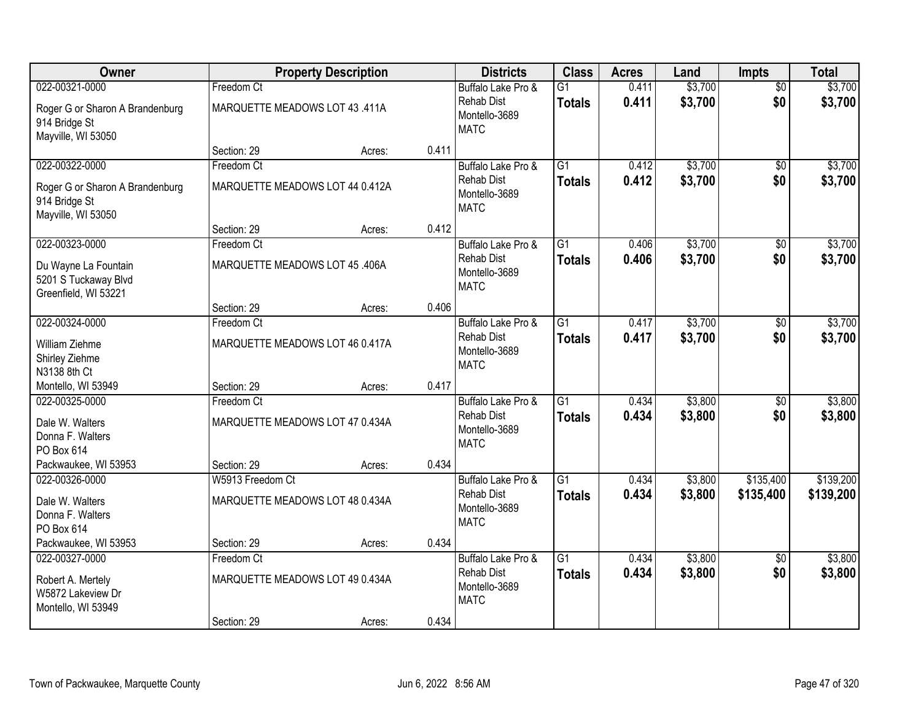| <b>Owner</b>                                                           |                                 | <b>Property Description</b> |       | <b>Districts</b>                                  | <b>Class</b>                     | <b>Acres</b>   | Land               | <b>Impts</b>           | <b>Total</b>       |
|------------------------------------------------------------------------|---------------------------------|-----------------------------|-------|---------------------------------------------------|----------------------------------|----------------|--------------------|------------------------|--------------------|
| 022-00321-0000                                                         | Freedom Ct                      |                             |       | Buffalo Lake Pro &                                | $\overline{G1}$                  | 0.411          | \$3,700            | $\overline{50}$        | \$3,700            |
| Roger G or Sharon A Brandenburg<br>914 Bridge St<br>Mayville, WI 53050 | MARQUETTE MEADOWS LOT 43 .411A  |                             |       | <b>Rehab Dist</b><br>Montello-3689<br><b>MATC</b> | <b>Totals</b>                    | 0.411          | \$3,700            | \$0                    | \$3,700            |
|                                                                        | Section: 29                     | Acres:                      | 0.411 |                                                   |                                  |                |                    |                        |                    |
| 022-00322-0000                                                         | Freedom Ct                      |                             |       | Buffalo Lake Pro &                                | $\overline{G1}$                  | 0.412          | \$3,700            | $\overline{50}$        | \$3,700            |
| Roger G or Sharon A Brandenburg<br>914 Bridge St<br>Mayville, WI 53050 | MARQUETTE MEADOWS LOT 44 0.412A |                             |       | <b>Rehab Dist</b><br>Montello-3689<br><b>MATC</b> | Totals                           | 0.412          | \$3,700            | \$0                    | \$3,700            |
|                                                                        | Section: 29                     | Acres:                      | 0.412 |                                                   |                                  |                |                    |                        |                    |
| 022-00323-0000                                                         | Freedom Ct                      |                             |       | Buffalo Lake Pro &                                | G1                               | 0.406          | \$3,700            | \$0                    | \$3,700            |
| Du Wayne La Fountain<br>5201 S Tuckaway Blvd<br>Greenfield, WI 53221   | MARQUETTE MEADOWS LOT 45 .406A  |                             |       | <b>Rehab Dist</b><br>Montello-3689<br><b>MATC</b> | <b>Totals</b>                    | 0.406          | \$3,700            | \$0                    | \$3,700            |
|                                                                        | Section: 29                     | Acres:                      | 0.406 |                                                   |                                  |                |                    |                        |                    |
| 022-00324-0000                                                         | Freedom Ct                      |                             |       | Buffalo Lake Pro &                                | $\overline{G1}$                  | 0.417          | \$3,700            | \$0                    | \$3,700            |
| William Ziehme<br>Shirley Ziehme<br>N3138 8th Ct                       | MARQUETTE MEADOWS LOT 46 0.417A |                             |       | <b>Rehab Dist</b><br>Montello-3689<br><b>MATC</b> | <b>Totals</b>                    | 0.417          | \$3,700            | \$0                    | \$3,700            |
| Montello, WI 53949                                                     | Section: 29                     | Acres:                      | 0.417 |                                                   |                                  |                |                    |                        |                    |
| 022-00325-0000                                                         | Freedom Ct                      |                             |       | Buffalo Lake Pro &<br><b>Rehab Dist</b>           | $\overline{G1}$<br><b>Totals</b> | 0.434<br>0.434 | \$3,800<br>\$3,800 | $\overline{50}$<br>\$0 | \$3,800<br>\$3,800 |
| Dale W. Walters<br>Donna F. Walters<br>PO Box 614                      | MARQUETTE MEADOWS LOT 47 0.434A |                             |       | Montello-3689<br><b>MATC</b>                      |                                  |                |                    |                        |                    |
| Packwaukee, WI 53953                                                   | Section: 29                     | Acres:                      | 0.434 |                                                   |                                  |                |                    |                        |                    |
| 022-00326-0000                                                         | W5913 Freedom Ct                |                             |       | Buffalo Lake Pro &                                | $\overline{G1}$                  | 0.434          | \$3,800            | \$135,400              | \$139,200          |
| Dale W. Walters<br>Donna F. Walters<br>PO Box 614                      | MARQUETTE MEADOWS LOT 48 0.434A |                             |       | <b>Rehab Dist</b><br>Montello-3689<br><b>MATC</b> | <b>Totals</b>                    | 0.434          | \$3,800            | \$135,400              | \$139,200          |
| Packwaukee, WI 53953                                                   | Section: 29                     | Acres:                      | 0.434 |                                                   |                                  |                |                    |                        |                    |
| 022-00327-0000                                                         | Freedom Ct                      |                             |       | Buffalo Lake Pro &                                | $\overline{G1}$                  | 0.434          | \$3,800            | $\overline{30}$        | \$3,800            |
| Robert A. Mertely<br>W5872 Lakeview Dr<br>Montello, WI 53949           | MARQUETTE MEADOWS LOT 49 0.434A |                             |       | Rehab Dist<br>Montello-3689<br><b>MATC</b>        | <b>Totals</b>                    | 0.434          | \$3,800            | \$0                    | \$3,800            |
|                                                                        | Section: 29                     | Acres:                      | 0.434 |                                                   |                                  |                |                    |                        |                    |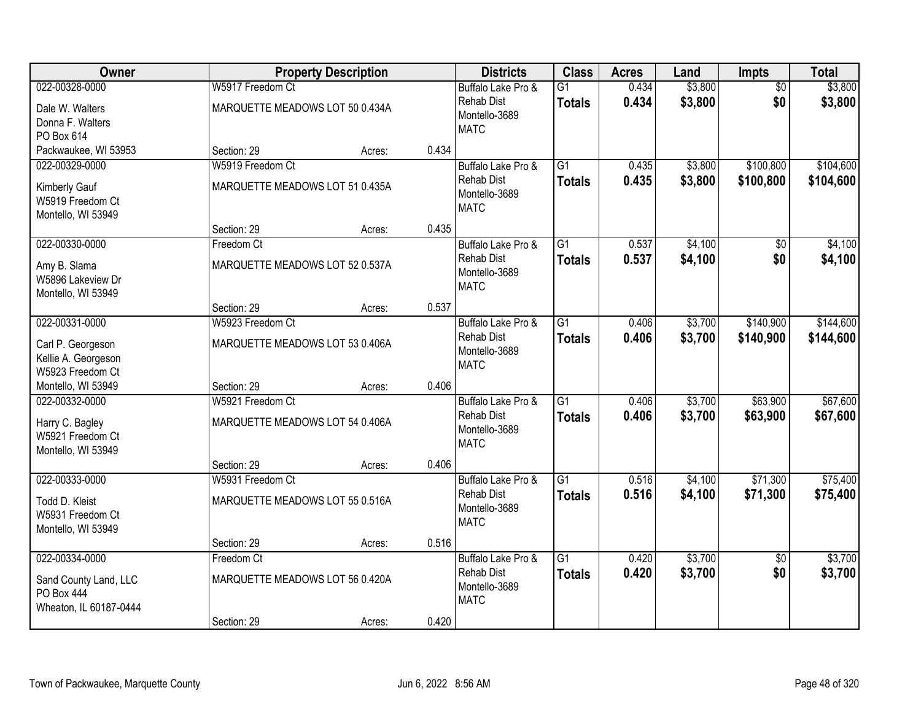| Owner                                                                            |                                                              | <b>Property Description</b> |       | <b>Districts</b>                                                        | <b>Class</b>                     | <b>Acres</b>   | Land               | <b>Impts</b>           | <b>Total</b>           |
|----------------------------------------------------------------------------------|--------------------------------------------------------------|-----------------------------|-------|-------------------------------------------------------------------------|----------------------------------|----------------|--------------------|------------------------|------------------------|
| 022-00328-0000                                                                   | W5917 Freedom Ct                                             |                             |       | Buffalo Lake Pro &                                                      | $\overline{G1}$                  | 0.434          | \$3,800            | $\overline{50}$        | \$3,800                |
| Dale W. Walters<br>Donna F. Walters<br>PO Box 614                                | MARQUETTE MEADOWS LOT 50 0.434A                              |                             |       | <b>Rehab Dist</b><br>Montello-3689<br><b>MATC</b>                       | <b>Totals</b>                    | 0.434          | \$3,800            | \$0                    | \$3,800                |
| Packwaukee, WI 53953                                                             | Section: 29                                                  | Acres:                      | 0.434 |                                                                         |                                  |                |                    |                        |                        |
| 022-00329-0000<br><b>Kimberly Gauf</b><br>W5919 Freedom Ct<br>Montello, WI 53949 | W5919 Freedom Ct<br>MARQUETTE MEADOWS LOT 51 0.435A          |                             |       | Buffalo Lake Pro &<br><b>Rehab Dist</b><br>Montello-3689<br><b>MATC</b> | $\overline{G1}$<br><b>Totals</b> | 0.435<br>0.435 | \$3,800<br>\$3,800 | \$100,800<br>\$100,800 | \$104,600<br>\$104,600 |
|                                                                                  | Section: 29                                                  | Acres:                      | 0.435 |                                                                         |                                  |                |                    |                        |                        |
| 022-00330-0000<br>Amy B. Slama<br>W5896 Lakeview Dr<br>Montello, WI 53949        | Freedom Ct<br>MARQUETTE MEADOWS LOT 52 0.537A                |                             |       | Buffalo Lake Pro &<br><b>Rehab Dist</b><br>Montello-3689<br><b>MATC</b> | $\overline{G1}$<br><b>Totals</b> | 0.537<br>0.537 | \$4,100<br>\$4,100 | \$0<br>\$0             | \$4,100<br>\$4,100     |
|                                                                                  | Section: 29                                                  | Acres:                      | 0.537 |                                                                         |                                  |                |                    |                        |                        |
| 022-00331-0000<br>Carl P. Georgeson<br>Kellie A. Georgeson<br>W5923 Freedom Ct   | W5923 Freedom Ct<br>MARQUETTE MEADOWS LOT 53 0.406A          |                             |       | Buffalo Lake Pro &<br><b>Rehab Dist</b><br>Montello-3689<br><b>MATC</b> | $\overline{G1}$<br><b>Totals</b> | 0.406<br>0.406 | \$3,700<br>\$3,700 | \$140,900<br>\$140,900 | \$144,600<br>\$144,600 |
| Montello, WI 53949                                                               | Section: 29                                                  | Acres:                      | 0.406 |                                                                         |                                  |                |                    |                        |                        |
| 022-00332-0000<br>Harry C. Bagley<br>W5921 Freedom Ct<br>Montello, WI 53949      | W5921 Freedom Ct<br>MARQUETTE MEADOWS LOT 54 0.406A          |                             |       | Buffalo Lake Pro &<br><b>Rehab Dist</b><br>Montello-3689<br><b>MATC</b> | $\overline{G1}$<br><b>Totals</b> | 0.406<br>0.406 | \$3,700<br>\$3,700 | \$63,900<br>\$63,900   | \$67,600<br>\$67,600   |
|                                                                                  | Section: 29                                                  | Acres:                      | 0.406 |                                                                         |                                  |                |                    |                        |                        |
| 022-00333-0000<br>Todd D. Kleist<br>W5931 Freedom Ct<br>Montello, WI 53949       | W5931 Freedom Ct<br>MARQUETTE MEADOWS LOT 55 0.516A          |                             |       | Buffalo Lake Pro &<br><b>Rehab Dist</b><br>Montello-3689<br><b>MATC</b> | $\overline{G1}$<br><b>Totals</b> | 0.516<br>0.516 | \$4,100<br>\$4,100 | \$71,300<br>\$71,300   | \$75,400<br>\$75,400   |
|                                                                                  | Section: 29                                                  | Acres:                      | 0.516 |                                                                         |                                  |                |                    |                        |                        |
| 022-00334-0000<br>Sand County Land, LLC<br>PO Box 444<br>Wheaton, IL 60187-0444  | Freedom Ct<br>MARQUETTE MEADOWS LOT 56 0.420A<br>Section: 29 | Acres:                      | 0.420 | Buffalo Lake Pro &<br><b>Rehab Dist</b><br>Montello-3689<br><b>MATC</b> | $\overline{G1}$<br><b>Totals</b> | 0.420<br>0.420 | \$3,700<br>\$3,700 | $\overline{30}$<br>\$0 | \$3,700<br>\$3,700     |
|                                                                                  |                                                              |                             |       |                                                                         |                                  |                |                    |                        |                        |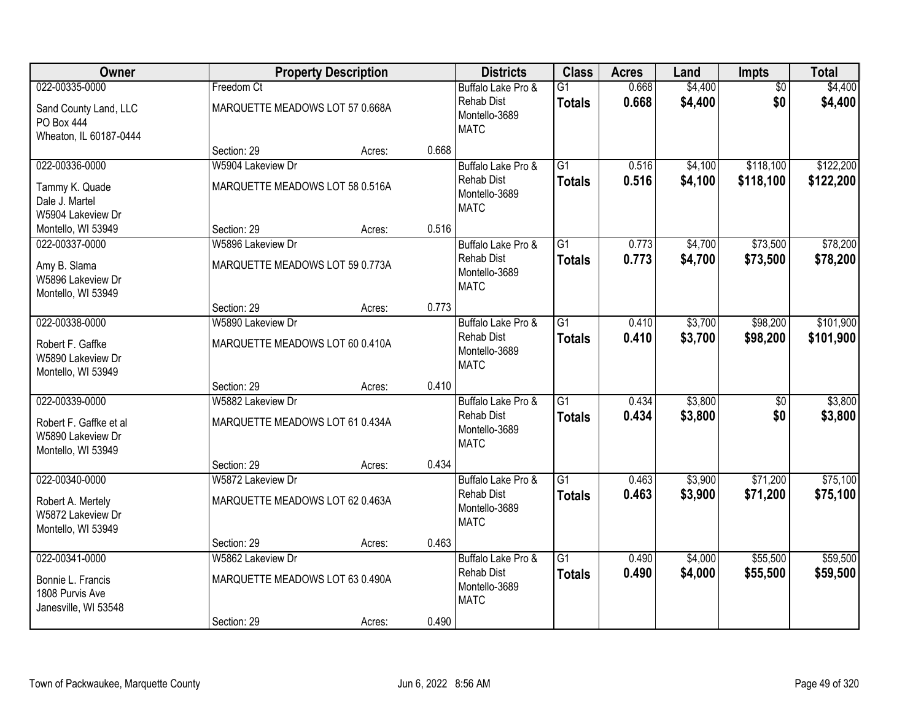| Owner                                                                               |                                                      | <b>Property Description</b> |       | <b>Districts</b>                                                        | <b>Class</b>                     | <b>Acres</b>   | Land               | Impts                  | <b>Total</b>           |
|-------------------------------------------------------------------------------------|------------------------------------------------------|-----------------------------|-------|-------------------------------------------------------------------------|----------------------------------|----------------|--------------------|------------------------|------------------------|
| 022-00335-0000<br>Sand County Land, LLC<br>PO Box 444<br>Wheaton, IL 60187-0444     | Freedom Ct<br>MARQUETTE MEADOWS LOT 57 0.668A        |                             |       | Buffalo Lake Pro &<br><b>Rehab Dist</b><br>Montello-3689<br><b>MATC</b> | $\overline{G1}$<br><b>Totals</b> | 0.668<br>0.668 | \$4,400<br>\$4,400 | $\overline{50}$<br>\$0 | \$4,400<br>\$4,400     |
|                                                                                     | Section: 29                                          | Acres:                      | 0.668 |                                                                         |                                  |                |                    |                        |                        |
| 022-00336-0000<br>Tammy K. Quade<br>Dale J. Martel<br>W5904 Lakeview Dr             | W5904 Lakeview Dr<br>MARQUETTE MEADOWS LOT 58 0.516A |                             |       | Buffalo Lake Pro &<br><b>Rehab Dist</b><br>Montello-3689<br><b>MATC</b> | $\overline{G1}$<br><b>Totals</b> | 0.516<br>0.516 | \$4,100<br>\$4,100 | \$118,100<br>\$118,100 | \$122,200<br>\$122,200 |
| Montello, WI 53949                                                                  | Section: 29                                          | Acres:                      | 0.516 |                                                                         |                                  |                |                    |                        |                        |
| 022-00337-0000<br>Amy B. Slama<br>W5896 Lakeview Dr<br>Montello, WI 53949           | W5896 Lakeview Dr<br>MARQUETTE MEADOWS LOT 59 0.773A |                             |       | Buffalo Lake Pro &<br><b>Rehab Dist</b><br>Montello-3689<br><b>MATC</b> | G1<br><b>Totals</b>              | 0.773<br>0.773 | \$4,700<br>\$4,700 | \$73,500<br>\$73,500   | \$78,200<br>\$78,200   |
|                                                                                     | Section: 29                                          | Acres:                      | 0.773 |                                                                         |                                  |                |                    |                        |                        |
| 022-00338-0000<br>Robert F. Gaffke<br>W5890 Lakeview Dr<br>Montello, WI 53949       | W5890 Lakeview Dr<br>MARQUETTE MEADOWS LOT 60 0.410A |                             |       | Buffalo Lake Pro &<br><b>Rehab Dist</b><br>Montello-3689<br><b>MATC</b> | $\overline{G1}$<br><b>Totals</b> | 0.410<br>0.410 | \$3,700<br>\$3,700 | \$98,200<br>\$98,200   | \$101,900<br>\$101,900 |
|                                                                                     | Section: 29                                          | Acres:                      | 0.410 |                                                                         |                                  |                |                    |                        |                        |
| 022-00339-0000<br>Robert F. Gaffke et al<br>W5890 Lakeview Dr<br>Montello, WI 53949 | W5882 Lakeview Dr<br>MARQUETTE MEADOWS LOT 61 0.434A |                             |       | Buffalo Lake Pro &<br><b>Rehab Dist</b><br>Montello-3689<br><b>MATC</b> | $\overline{G1}$<br><b>Totals</b> | 0.434<br>0.434 | \$3,800<br>\$3,800 | \$0<br>\$0             | \$3,800<br>\$3,800     |
|                                                                                     | Section: 29                                          | Acres:                      | 0.434 |                                                                         |                                  |                |                    |                        |                        |
| 022-00340-0000<br>Robert A. Mertely<br>W5872 Lakeview Dr<br>Montello, WI 53949      | W5872 Lakeview Dr<br>MARQUETTE MEADOWS LOT 62 0.463A |                             |       | Buffalo Lake Pro &<br><b>Rehab Dist</b><br>Montello-3689<br><b>MATC</b> | $\overline{G1}$<br><b>Totals</b> | 0.463<br>0.463 | \$3,900<br>\$3,900 | \$71,200<br>\$71,200   | \$75,100<br>\$75,100   |
|                                                                                     | Section: 29                                          | Acres:                      | 0.463 |                                                                         |                                  |                |                    |                        |                        |
| 022-00341-0000<br>Bonnie L. Francis<br>1808 Purvis Ave<br>Janesville, WI 53548      | W5862 Lakeview Dr<br>MARQUETTE MEADOWS LOT 63 0.490A |                             | 0.490 | Buffalo Lake Pro &<br><b>Rehab Dist</b><br>Montello-3689<br><b>MATC</b> | $\overline{G1}$<br><b>Totals</b> | 0.490<br>0.490 | \$4,000<br>\$4,000 | \$55,500<br>\$55,500   | \$59,500<br>\$59,500   |
|                                                                                     | Section: 29                                          | Acres:                      |       |                                                                         |                                  |                |                    |                        |                        |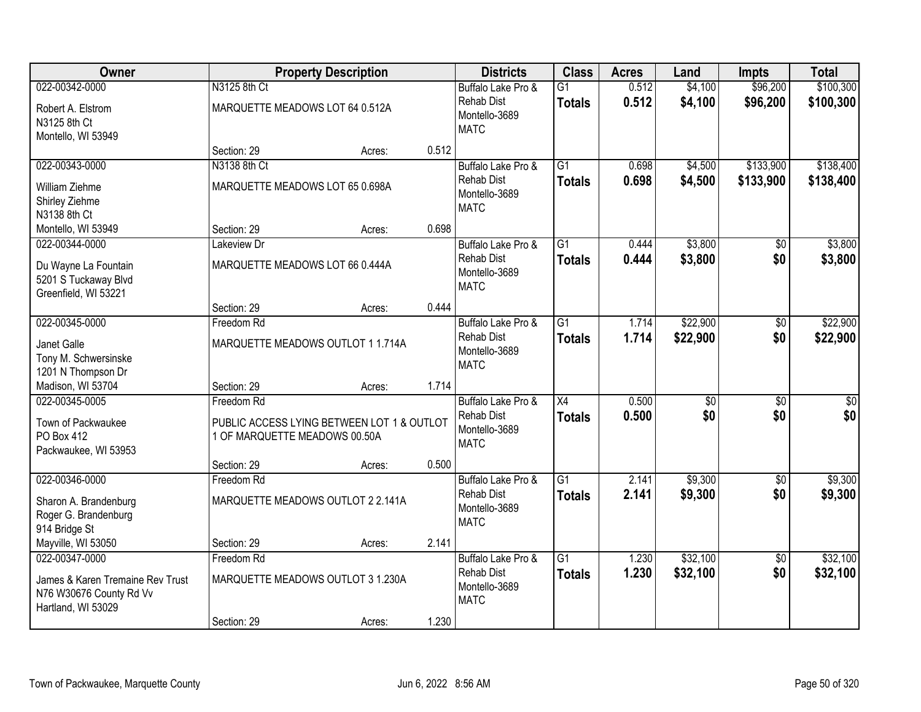| Owner                                                                                               |                                                 | <b>Property Description</b>                |       | <b>Districts</b>                                                        | <b>Class</b>                     | <b>Acres</b>   | Land                   | <b>Impts</b>           | <b>Total</b>           |
|-----------------------------------------------------------------------------------------------------|-------------------------------------------------|--------------------------------------------|-------|-------------------------------------------------------------------------|----------------------------------|----------------|------------------------|------------------------|------------------------|
| 022-00342-0000                                                                                      | N3125 8th Ct                                    |                                            |       | Buffalo Lake Pro &                                                      | $\overline{G1}$                  | 0.512          | \$4,100                | \$96,200               | \$100,300              |
| Robert A. Elstrom<br>N3125 8th Ct<br>Montello, WI 53949                                             | MARQUETTE MEADOWS LOT 64 0.512A                 |                                            |       | <b>Rehab Dist</b><br>Montello-3689<br><b>MATC</b>                       | <b>Totals</b>                    | 0.512          | \$4,100                | \$96,200               | \$100,300              |
|                                                                                                     | Section: 29                                     | Acres:                                     | 0.512 |                                                                         |                                  |                |                        |                        |                        |
| 022-00343-0000<br>William Ziehme<br>Shirley Ziehme<br>N3138 8th Ct                                  | N3138 8th Ct<br>MARQUETTE MEADOWS LOT 65 0.698A |                                            |       | Buffalo Lake Pro &<br>Rehab Dist<br>Montello-3689<br><b>MATC</b>        | $\overline{G1}$<br><b>Totals</b> | 0.698<br>0.698 | \$4,500<br>\$4,500     | \$133,900<br>\$133,900 | \$138,400<br>\$138,400 |
| Montello, WI 53949                                                                                  | Section: 29                                     | Acres:                                     | 0.698 |                                                                         |                                  |                |                        |                        |                        |
| 022-00344-0000<br>Du Wayne La Fountain<br>5201 S Tuckaway Blvd<br>Greenfield, WI 53221              | Lakeview Dr<br>MARQUETTE MEADOWS LOT 66 0.444A  |                                            |       | Buffalo Lake Pro &<br>Rehab Dist<br>Montello-3689<br><b>MATC</b>        | G <sub>1</sub><br><b>Totals</b>  | 0.444<br>0.444 | \$3,800<br>\$3,800     | \$0<br>\$0             | \$3,800<br>\$3,800     |
|                                                                                                     | Section: 29                                     | Acres:                                     | 0.444 |                                                                         |                                  |                |                        |                        |                        |
| 022-00345-0000<br>Janet Galle<br>Tony M. Schwersinske<br>1201 N Thompson Dr                         | Freedom Rd                                      | MARQUETTE MEADOWS OUTLOT 1 1.714A          |       | Buffalo Lake Pro &<br><b>Rehab Dist</b><br>Montello-3689<br><b>MATC</b> | $\overline{G1}$<br><b>Totals</b> | 1.714<br>1.714 | \$22,900<br>\$22,900   | \$0<br>\$0             | \$22,900<br>\$22,900   |
| Madison, WI 53704                                                                                   | Section: 29                                     | Acres:                                     | 1.714 |                                                                         |                                  |                |                        |                        |                        |
| 022-00345-0005<br>Town of Packwaukee<br><b>PO Box 412</b><br>Packwaukee, WI 53953                   | Freedom Rd<br>1 OF MARQUETTE MEADOWS 00.50A     | PUBLIC ACCESS LYING BETWEEN LOT 1 & OUTLOT |       | Buffalo Lake Pro &<br><b>Rehab Dist</b><br>Montello-3689<br><b>MATC</b> | $\overline{X4}$<br><b>Totals</b> | 0.500<br>0.500 | $\overline{50}$<br>\$0 | $\overline{50}$<br>\$0 | \$0<br>\$0             |
|                                                                                                     | Section: 29                                     | Acres:                                     | 0.500 |                                                                         |                                  |                |                        |                        |                        |
| 022-00346-0000<br>Sharon A. Brandenburg<br>Roger G. Brandenburg<br>914 Bridge St                    | Freedom Rd                                      | MARQUETTE MEADOWS OUTLOT 2 2.141A          |       | Buffalo Lake Pro &<br><b>Rehab Dist</b><br>Montello-3689<br><b>MATC</b> | $\overline{G1}$<br><b>Totals</b> | 2.141<br>2.141 | \$9,300<br>\$9,300     | $\overline{60}$<br>\$0 | \$9,300<br>\$9,300     |
| Mayville, WI 53050                                                                                  | Section: 29                                     | Acres:                                     | 2.141 |                                                                         |                                  |                |                        |                        |                        |
| 022-00347-0000<br>James & Karen Tremaine Rev Trust<br>N76 W30676 County Rd Vv<br>Hartland, WI 53029 | Freedom Rd                                      | MARQUETTE MEADOWS OUTLOT 3 1.230A          |       | Buffalo Lake Pro &<br><b>Rehab Dist</b><br>Montello-3689<br><b>MATC</b> | $\overline{G1}$<br><b>Totals</b> | 1.230<br>1.230 | \$32,100<br>\$32,100   | $\overline{50}$<br>\$0 | \$32,100<br>\$32,100   |
|                                                                                                     | Section: 29                                     | Acres:                                     | 1.230 |                                                                         |                                  |                |                        |                        |                        |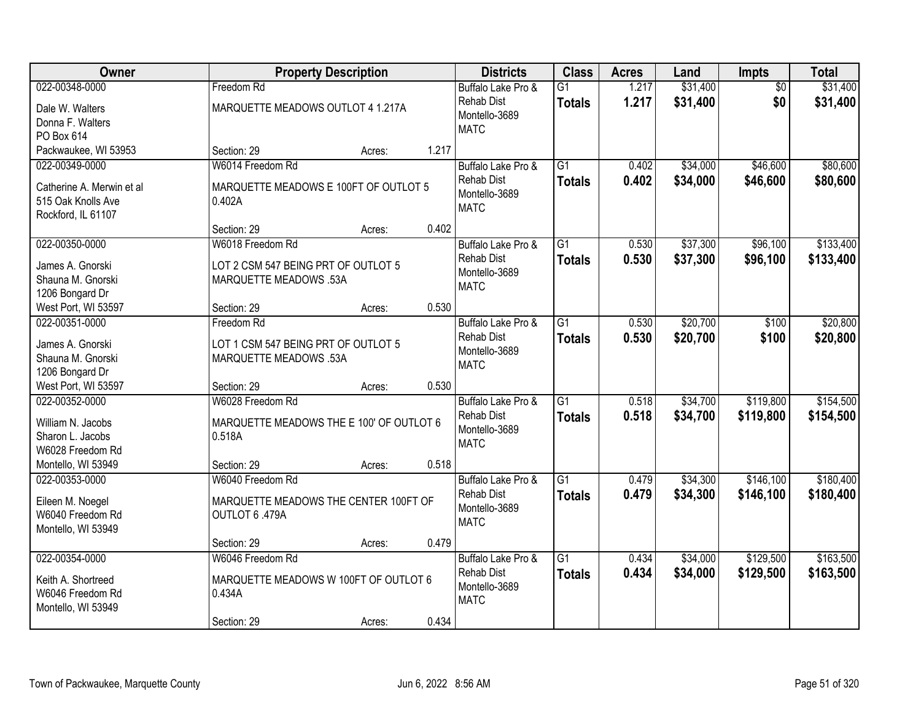| Owner                                 |                                                    | <b>Property Description</b> |       | <b>Districts</b>                   | <b>Class</b>    | <b>Acres</b> | Land     | Impts           | <b>Total</b> |
|---------------------------------------|----------------------------------------------------|-----------------------------|-------|------------------------------------|-----------------|--------------|----------|-----------------|--------------|
| 022-00348-0000                        | Freedom Rd                                         |                             |       | Buffalo Lake Pro &                 | $\overline{G1}$ | 1.217        | \$31,400 | $\overline{50}$ | \$31,400     |
| Dale W. Walters                       | MARQUETTE MEADOWS OUTLOT 4 1.217A                  |                             |       | <b>Rehab Dist</b><br>Montello-3689 | <b>Totals</b>   | 1.217        | \$31,400 | \$0             | \$31,400     |
| Donna F. Walters                      |                                                    |                             |       | <b>MATC</b>                        |                 |              |          |                 |              |
| PO Box 614                            |                                                    |                             |       |                                    |                 |              |          |                 |              |
| Packwaukee, WI 53953                  | Section: 29                                        | Acres:                      | 1.217 |                                    |                 |              |          |                 |              |
| 022-00349-0000                        | W6014 Freedom Rd                                   |                             |       | Buffalo Lake Pro &                 | $\overline{G1}$ | 0.402        | \$34,000 | \$46,600        | \$80,600     |
| Catherine A. Merwin et al             | MARQUETTE MEADOWS E 100FT OF OUTLOT 5              |                             |       | <b>Rehab Dist</b>                  | <b>Totals</b>   | 0.402        | \$34,000 | \$46,600        | \$80,600     |
| 515 Oak Knolls Ave                    | 0.402A                                             |                             |       | Montello-3689                      |                 |              |          |                 |              |
| Rockford, IL 61107                    |                                                    |                             |       | <b>MATC</b>                        |                 |              |          |                 |              |
|                                       | Section: 29                                        | Acres:                      | 0.402 |                                    |                 |              |          |                 |              |
| 022-00350-0000                        | W6018 Freedom Rd                                   |                             |       | Buffalo Lake Pro &                 | $\overline{G1}$ | 0.530        | \$37,300 | \$96,100        | \$133,400    |
| James A. Gnorski                      | LOT 2 CSM 547 BEING PRT OF OUTLOT 5                |                             |       | <b>Rehab Dist</b>                  | <b>Totals</b>   | 0.530        | \$37,300 | \$96,100        | \$133,400    |
| Shauna M. Gnorski                     | <b>MARQUETTE MEADOWS .53A</b>                      |                             |       | Montello-3689                      |                 |              |          |                 |              |
| 1206 Bongard Dr                       |                                                    |                             |       | <b>MATC</b>                        |                 |              |          |                 |              |
| West Port, WI 53597                   | Section: 29                                        | Acres:                      | 0.530 |                                    |                 |              |          |                 |              |
| 022-00351-0000                        | Freedom Rd                                         |                             |       | Buffalo Lake Pro &                 | $\overline{G1}$ | 0.530        | \$20,700 | \$100           | \$20,800     |
| James A. Gnorski                      | LOT 1 CSM 547 BEING PRT OF OUTLOT 5                |                             |       | <b>Rehab Dist</b>                  | <b>Totals</b>   | 0.530        | \$20,700 | \$100           | \$20,800     |
| Shauna M. Gnorski                     | <b>MARQUETTE MEADOWS .53A</b>                      |                             |       | Montello-3689                      |                 |              |          |                 |              |
| 1206 Bongard Dr                       |                                                    |                             |       | <b>MATC</b>                        |                 |              |          |                 |              |
| West Port, WI 53597                   | Section: 29                                        | Acres:                      | 0.530 |                                    |                 |              |          |                 |              |
| 022-00352-0000                        | W6028 Freedom Rd                                   |                             |       | Buffalo Lake Pro &                 | $\overline{G1}$ | 0.518        | \$34,700 | \$119,800       | \$154,500    |
|                                       |                                                    |                             |       | <b>Rehab Dist</b>                  | <b>Totals</b>   | 0.518        | \$34,700 | \$119,800       | \$154,500    |
| William N. Jacobs<br>Sharon L. Jacobs | MARQUETTE MEADOWS THE E 100' OF OUTLOT 6<br>0.518A |                             |       | Montello-3689                      |                 |              |          |                 |              |
| W6028 Freedom Rd                      |                                                    |                             |       | <b>MATC</b>                        |                 |              |          |                 |              |
| Montello, WI 53949                    | Section: 29                                        | Acres:                      | 0.518 |                                    |                 |              |          |                 |              |
| 022-00353-0000                        | W6040 Freedom Rd                                   |                             |       | Buffalo Lake Pro &                 | $\overline{G1}$ | 0.479        | \$34,300 | \$146,100       | \$180,400    |
|                                       |                                                    |                             |       | <b>Rehab Dist</b>                  | <b>Totals</b>   | 0.479        | \$34,300 | \$146,100       | \$180,400    |
| Eileen M. Noegel                      | MARQUETTE MEADOWS THE CENTER 100FT OF              |                             |       | Montello-3689                      |                 |              |          |                 |              |
| W6040 Freedom Rd                      | OUTLOT 6 .479A                                     |                             |       | <b>MATC</b>                        |                 |              |          |                 |              |
| Montello, WI 53949                    |                                                    |                             | 0.479 |                                    |                 |              |          |                 |              |
| 022-00354-0000                        | Section: 29<br>W6046 Freedom Rd                    | Acres:                      |       | Buffalo Lake Pro &                 | $\overline{G1}$ | 0.434        | \$34,000 | \$129,500       | \$163,500    |
|                                       |                                                    |                             |       | <b>Rehab Dist</b>                  | <b>Totals</b>   | 0.434        | \$34,000 | \$129,500       | \$163,500    |
| Keith A. Shortreed                    | MARQUETTE MEADOWS W 100FT OF OUTLOT 6              |                             |       | Montello-3689                      |                 |              |          |                 |              |
| W6046 Freedom Rd                      | 0.434A                                             |                             |       | <b>MATC</b>                        |                 |              |          |                 |              |
| Montello, WI 53949                    |                                                    |                             |       |                                    |                 |              |          |                 |              |
|                                       | Section: 29                                        | Acres:                      | 0.434 |                                    |                 |              |          |                 |              |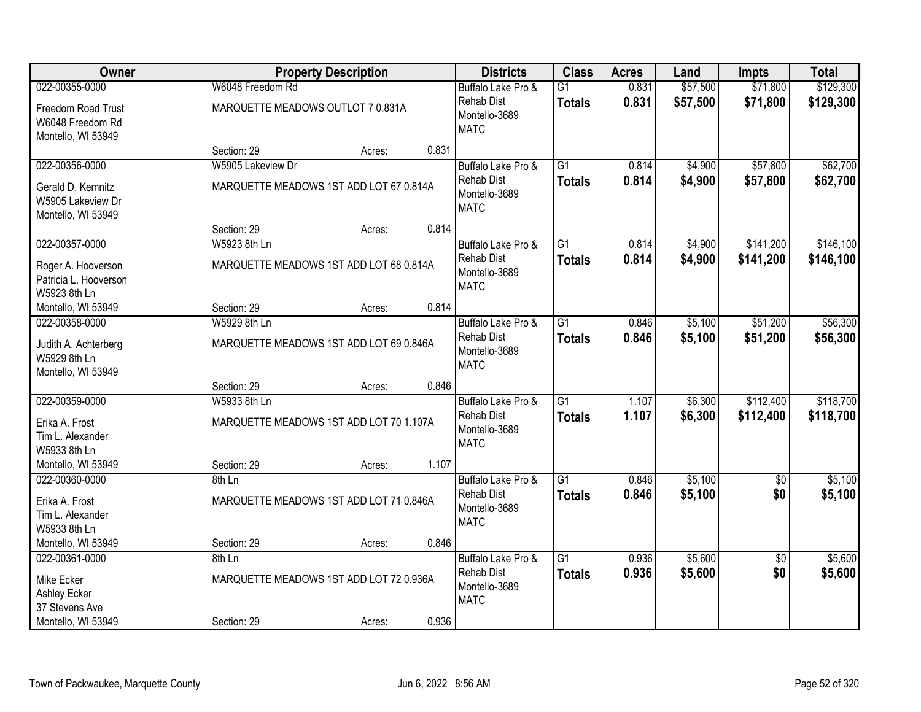| Owner                                                        |                                                         | <b>Property Description</b> |       | <b>Districts</b>                                         | <b>Class</b>                     | <b>Acres</b>   | Land               | <b>Impts</b>           | <b>Total</b>           |
|--------------------------------------------------------------|---------------------------------------------------------|-----------------------------|-------|----------------------------------------------------------|----------------------------------|----------------|--------------------|------------------------|------------------------|
| 022-00355-0000                                               | W6048 Freedom Rd                                        |                             |       | Buffalo Lake Pro &                                       | $\overline{G1}$                  | 0.831          | \$57,500           | \$71,800               | \$129,300              |
| Freedom Road Trust<br>W6048 Freedom Rd<br>Montello, WI 53949 | MARQUETTE MEADOWS OUTLOT 7 0.831A                       |                             |       | <b>Rehab Dist</b><br>Montello-3689<br><b>MATC</b>        | <b>Totals</b>                    | 0.831          | \$57,500           | \$71,800               | \$129,300              |
|                                                              | Section: 29                                             | Acres:                      | 0.831 |                                                          |                                  |                |                    |                        |                        |
| 022-00356-0000                                               | W5905 Lakeview Dr                                       |                             |       | Buffalo Lake Pro &                                       | $\overline{G1}$                  | 0.814          | \$4,900            | \$57,800               | \$62,700               |
| Gerald D. Kemnitz<br>W5905 Lakeview Dr<br>Montello, WI 53949 | MARQUETTE MEADOWS 1ST ADD LOT 67 0.814A                 |                             |       | <b>Rehab Dist</b><br>Montello-3689<br><b>MATC</b>        | <b>Totals</b>                    | 0.814          | \$4,900            | \$57,800               | \$62,700               |
|                                                              | Section: 29                                             | Acres:                      | 0.814 |                                                          |                                  |                |                    |                        |                        |
| 022-00357-0000                                               | W5923 8th Ln                                            |                             |       | Buffalo Lake Pro &                                       | G1                               | 0.814          | \$4,900            | \$141,200              | \$146,100              |
| Roger A. Hooverson<br>Patricia L. Hooverson<br>W5923 8th Ln  | MARQUETTE MEADOWS 1ST ADD LOT 68 0.814A                 |                             |       | <b>Rehab Dist</b><br>Montello-3689<br><b>MATC</b>        | <b>Totals</b>                    | 0.814          | \$4,900            | \$141,200              | \$146,100              |
| Montello, WI 53949                                           | Section: 29                                             | Acres:                      | 0.814 |                                                          |                                  |                |                    |                        |                        |
| 022-00358-0000                                               | W5929 8th Ln                                            |                             |       | Buffalo Lake Pro &                                       | G1                               | 0.846          | \$5,100            | \$51,200               | \$56,300               |
| Judith A. Achterberg<br>W5929 8th Ln<br>Montello, WI 53949   | MARQUETTE MEADOWS 1ST ADD LOT 69 0.846A                 |                             |       | <b>Rehab Dist</b><br>Montello-3689<br><b>MATC</b>        | <b>Totals</b>                    | 0.846          | \$5,100            | \$51,200               | \$56,300               |
|                                                              | Section: 29                                             | Acres:                      | 0.846 |                                                          |                                  |                |                    |                        |                        |
| 022-00359-0000<br>Erika A. Frost<br>Tim L. Alexander         | W5933 8th Ln<br>MARQUETTE MEADOWS 1ST ADD LOT 70 1.107A |                             |       | Buffalo Lake Pro &<br><b>Rehab Dist</b><br>Montello-3689 | $\overline{G1}$<br><b>Totals</b> | 1.107<br>1.107 | \$6,300<br>\$6,300 | \$112,400<br>\$112,400 | \$118,700<br>\$118,700 |
| W5933 8th Ln                                                 |                                                         |                             |       | <b>MATC</b>                                              |                                  |                |                    |                        |                        |
| Montello, WI 53949                                           | Section: 29                                             | Acres:                      | 1.107 |                                                          |                                  |                |                    |                        |                        |
| 022-00360-0000                                               | 8th Ln                                                  |                             |       | Buffalo Lake Pro &                                       | $\overline{G1}$                  | 0.846          | \$5,100            | $\overline{60}$        | \$5,100                |
| Erika A. Frost<br>Tim L. Alexander<br>W5933 8th Ln           | MARQUETTE MEADOWS 1ST ADD LOT 71 0.846A                 |                             |       | <b>Rehab Dist</b><br>Montello-3689<br><b>MATC</b>        | <b>Totals</b>                    | 0.846          | \$5,100            | \$0                    | \$5,100                |
| Montello, WI 53949                                           | Section: 29                                             | Acres:                      | 0.846 |                                                          |                                  |                |                    |                        |                        |
| 022-00361-0000                                               | 8th Ln                                                  |                             |       | Buffalo Lake Pro &                                       | $\overline{G1}$                  | 0.936          | \$5,600            | $\overline{50}$        | \$5,600                |
| Mike Ecker<br>Ashley Ecker<br>37 Stevens Ave                 | MARQUETTE MEADOWS 1ST ADD LOT 72 0.936A                 |                             |       | <b>Rehab Dist</b><br>Montello-3689<br><b>MATC</b>        | <b>Totals</b>                    | 0.936          | \$5,600            | \$0                    | \$5,600                |
| Montello, WI 53949                                           | Section: 29                                             | Acres:                      | 0.936 |                                                          |                                  |                |                    |                        |                        |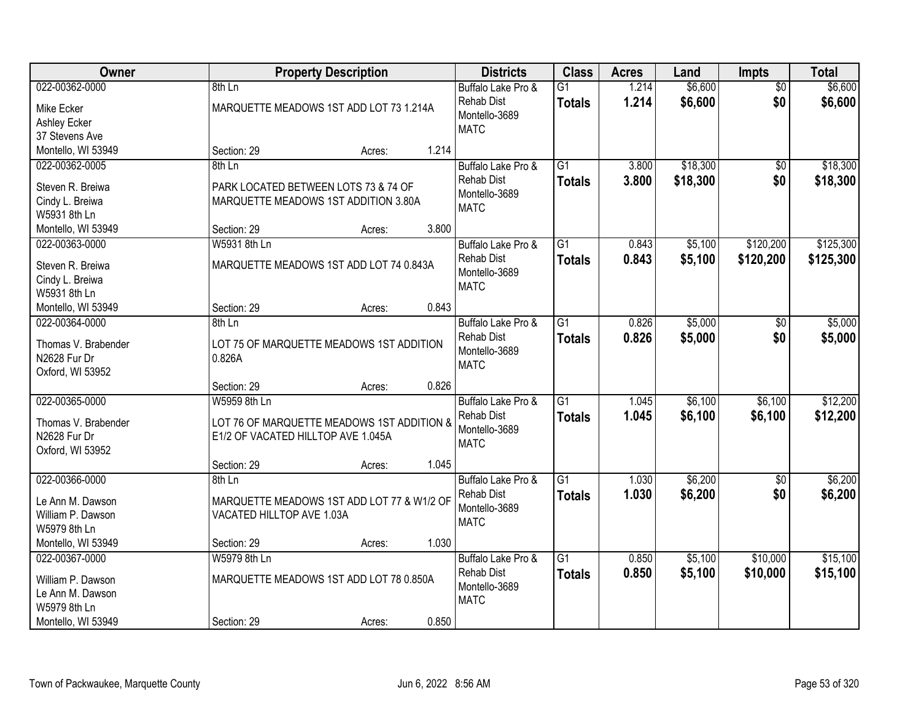| Owner               | <b>Property Description</b>                | <b>Districts</b>                        | <b>Class</b>    | <b>Acres</b>   | Land     | <b>Impts</b>           | <b>Total</b> |
|---------------------|--------------------------------------------|-----------------------------------------|-----------------|----------------|----------|------------------------|--------------|
| 022-00362-0000      | 8th Ln                                     | Buffalo Lake Pro &<br><b>Rehab Dist</b> | $\overline{G1}$ | 1.214<br>1.214 | \$6,600  | $\overline{50}$<br>\$0 | \$6,600      |
| Mike Ecker          | MARQUETTE MEADOWS 1ST ADD LOT 73 1.214A    | Montello-3689                           | <b>Totals</b>   |                | \$6,600  |                        | \$6,600      |
| Ashley Ecker        |                                            | <b>MATC</b>                             |                 |                |          |                        |              |
| 37 Stevens Ave      |                                            |                                         |                 |                |          |                        |              |
| Montello, WI 53949  | Section: 29<br>Acres:                      | 1.214                                   |                 |                |          |                        |              |
| 022-00362-0005      | 8th Ln                                     | Buffalo Lake Pro &                      | $\overline{G1}$ | 3.800          | \$18,300 | \$0                    | \$18,300     |
| Steven R. Breiwa    | PARK LOCATED BETWEEN LOTS 73 & 74 OF       | <b>Rehab Dist</b>                       | <b>Totals</b>   | 3.800          | \$18,300 | \$0                    | \$18,300     |
| Cindy L. Breiwa     | MARQUETTE MEADOWS 1ST ADDITION 3.80A       | Montello-3689                           |                 |                |          |                        |              |
| W5931 8th Ln        |                                            | <b>MATC</b>                             |                 |                |          |                        |              |
| Montello, WI 53949  | Section: 29<br>Acres:                      | 3.800                                   |                 |                |          |                        |              |
| 022-00363-0000      | W5931 8th Ln                               | Buffalo Lake Pro &                      | G1              | 0.843          | \$5,100  | \$120,200              | \$125,300    |
| Steven R. Breiwa    | MARQUETTE MEADOWS 1ST ADD LOT 74 0.843A    | <b>Rehab Dist</b>                       | <b>Totals</b>   | 0.843          | \$5,100  | \$120,200              | \$125,300    |
| Cindy L. Breiwa     |                                            | Montello-3689                           |                 |                |          |                        |              |
| W5931 8th Ln        |                                            | <b>MATC</b>                             |                 |                |          |                        |              |
| Montello, WI 53949  | Section: 29<br>Acres:                      | 0.843                                   |                 |                |          |                        |              |
| 022-00364-0000      | 8th Ln                                     | Buffalo Lake Pro &                      | $\overline{G1}$ | 0.826          | \$5,000  | \$0                    | \$5,000      |
|                     |                                            | <b>Rehab Dist</b>                       | <b>Totals</b>   | 0.826          | \$5,000  | \$0                    | \$5,000      |
| Thomas V. Brabender | LOT 75 OF MARQUETTE MEADOWS 1ST ADDITION   | Montello-3689                           |                 |                |          |                        |              |
| N2628 Fur Dr        | 0.826A                                     | <b>MATC</b>                             |                 |                |          |                        |              |
| Oxford, WI 53952    |                                            |                                         |                 |                |          |                        |              |
|                     | Section: 29<br>Acres:                      | 0.826                                   |                 |                |          |                        |              |
| 022-00365-0000      | W5959 8th Ln                               | Buffalo Lake Pro &                      | $\overline{G1}$ | 1.045          | \$6,100  | \$6,100                | \$12,200     |
| Thomas V. Brabender | LOT 76 OF MARQUETTE MEADOWS 1ST ADDITION & | <b>Rehab Dist</b>                       | <b>Totals</b>   | 1.045          | \$6,100  | \$6,100                | \$12,200     |
| N2628 Fur Dr        | E1/2 OF VACATED HILLTOP AVE 1.045A         | Montello-3689<br><b>MATC</b>            |                 |                |          |                        |              |
| Oxford, WI 53952    |                                            |                                         |                 |                |          |                        |              |
|                     | Section: 29<br>Acres:                      | 1.045                                   |                 |                |          |                        |              |
| 022-00366-0000      | 8th Ln                                     | Buffalo Lake Pro &                      | $\overline{G1}$ | 1.030          | \$6,200  | $\sqrt{6}$             | \$6,200      |
| Le Ann M. Dawson    | MARQUETTE MEADOWS 1ST ADD LOT 77 & W1/2 OF | <b>Rehab Dist</b>                       | <b>Totals</b>   | 1.030          | \$6,200  | \$0                    | \$6,200      |
| William P. Dawson   | VACATED HILLTOP AVE 1.03A                  | Montello-3689                           |                 |                |          |                        |              |
| W5979 8th Ln        |                                            | <b>MATC</b>                             |                 |                |          |                        |              |
| Montello, WI 53949  | Section: 29<br>Acres:                      | 1.030                                   |                 |                |          |                        |              |
| 022-00367-0000      | W5979 8th Ln                               | Buffalo Lake Pro &                      | $\overline{G1}$ | 0.850          | \$5,100  | \$10,000               | \$15,100     |
|                     |                                            | <b>Rehab Dist</b>                       | <b>Totals</b>   | 0.850          | \$5,100  | \$10,000               | \$15,100     |
| William P. Dawson   | MARQUETTE MEADOWS 1ST ADD LOT 78 0.850A    | Montello-3689                           |                 |                |          |                        |              |
| Le Ann M. Dawson    |                                            | <b>MATC</b>                             |                 |                |          |                        |              |
| W5979 8th Ln        |                                            | 0.850                                   |                 |                |          |                        |              |
| Montello, WI 53949  | Section: 29<br>Acres:                      |                                         |                 |                |          |                        |              |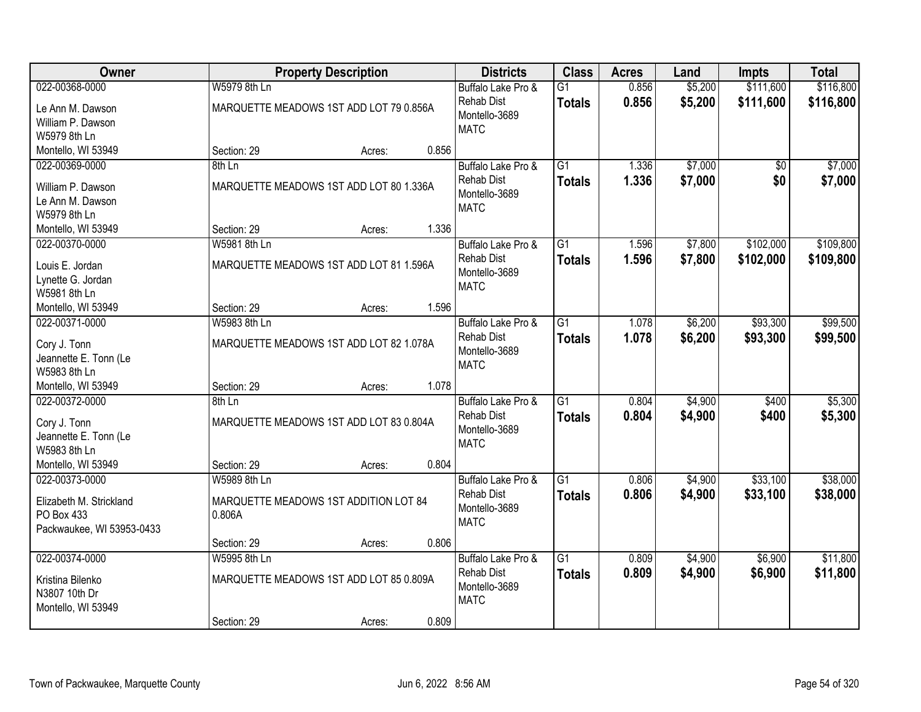| <b>Owner</b>              |                                         | <b>Property Description</b> |       | <b>Districts</b>   | <b>Class</b>    | <b>Acres</b> | Land    | <b>Impts</b>    | <b>Total</b> |
|---------------------------|-----------------------------------------|-----------------------------|-------|--------------------|-----------------|--------------|---------|-----------------|--------------|
| 022-00368-0000            | W5979 8th Ln                            |                             |       | Buffalo Lake Pro & | $\overline{G1}$ | 0.856        | \$5,200 | \$111,600       | \$116,800    |
| Le Ann M. Dawson          | MARQUETTE MEADOWS 1ST ADD LOT 79 0.856A |                             |       | <b>Rehab Dist</b>  | <b>Totals</b>   | 0.856        | \$5,200 | \$111,600       | \$116,800    |
| William P. Dawson         |                                         |                             |       | Montello-3689      |                 |              |         |                 |              |
| W5979 8th Ln              |                                         |                             |       | <b>MATC</b>        |                 |              |         |                 |              |
| Montello, WI 53949        | Section: 29                             | Acres:                      | 0.856 |                    |                 |              |         |                 |              |
| 022-00369-0000            | 8th Ln                                  |                             |       | Buffalo Lake Pro & | $\overline{G1}$ | 1.336        | \$7,000 | $\overline{50}$ | \$7,000      |
|                           |                                         |                             |       | <b>Rehab Dist</b>  | <b>Totals</b>   | 1.336        | \$7,000 | \$0             | \$7,000      |
| William P. Dawson         | MARQUETTE MEADOWS 1ST ADD LOT 80 1.336A |                             |       | Montello-3689      |                 |              |         |                 |              |
| Le Ann M. Dawson          |                                         |                             |       | <b>MATC</b>        |                 |              |         |                 |              |
| W5979 8th Ln              |                                         |                             |       |                    |                 |              |         |                 |              |
| Montello, WI 53949        | Section: 29                             | Acres:                      | 1.336 |                    |                 |              |         |                 |              |
| 022-00370-0000            | W5981 8th Ln                            |                             |       | Buffalo Lake Pro & | G1              | 1.596        | \$7,800 | \$102,000       | \$109,800    |
| Louis E. Jordan           | MARQUETTE MEADOWS 1ST ADD LOT 81 1.596A |                             |       | <b>Rehab Dist</b>  | <b>Totals</b>   | 1.596        | \$7,800 | \$102,000       | \$109,800    |
| Lynette G. Jordan         |                                         |                             |       | Montello-3689      |                 |              |         |                 |              |
| W5981 8th Ln              |                                         |                             |       | <b>MATC</b>        |                 |              |         |                 |              |
| Montello, WI 53949        | Section: 29                             | Acres:                      | 1.596 |                    |                 |              |         |                 |              |
| 022-00371-0000            | W5983 8th Ln                            |                             |       | Buffalo Lake Pro & | G1              | 1.078        | \$6,200 | \$93,300        | \$99,500     |
|                           |                                         |                             |       | <b>Rehab Dist</b>  | <b>Totals</b>   | 1.078        | \$6,200 | \$93,300        | \$99,500     |
| Cory J. Tonn              | MARQUETTE MEADOWS 1ST ADD LOT 82 1.078A |                             |       | Montello-3689      |                 |              |         |                 |              |
| Jeannette E. Tonn (Le     |                                         |                             |       | <b>MATC</b>        |                 |              |         |                 |              |
| W5983 8th Ln              |                                         |                             |       |                    |                 |              |         |                 |              |
| Montello, WI 53949        | Section: 29                             | Acres:                      | 1.078 |                    |                 |              |         |                 |              |
| 022-00372-0000            | 8th Ln                                  |                             |       | Buffalo Lake Pro & | $\overline{G1}$ | 0.804        | \$4,900 | \$400           | \$5,300      |
| Cory J. Tonn              | MARQUETTE MEADOWS 1ST ADD LOT 83 0.804A |                             |       | <b>Rehab Dist</b>  | <b>Totals</b>   | 0.804        | \$4,900 | \$400           | \$5,300      |
| Jeannette E. Tonn (Le     |                                         |                             |       | Montello-3689      |                 |              |         |                 |              |
| W5983 8th Ln              |                                         |                             |       | <b>MATC</b>        |                 |              |         |                 |              |
| Montello, WI 53949        | Section: 29                             | Acres:                      | 0.804 |                    |                 |              |         |                 |              |
| 022-00373-0000            | W5989 8th Ln                            |                             |       | Buffalo Lake Pro & | $\overline{G1}$ | 0.806        | \$4,900 | \$33,100        | \$38,000     |
|                           |                                         |                             |       | <b>Rehab Dist</b>  | <b>Totals</b>   | 0.806        | \$4,900 | \$33,100        | \$38,000     |
| Elizabeth M. Strickland   | MARQUETTE MEADOWS 1ST ADDITION LOT 84   |                             |       | Montello-3689      |                 |              |         |                 |              |
| PO Box 433                | 0.806A                                  |                             |       | <b>MATC</b>        |                 |              |         |                 |              |
| Packwaukee, WI 53953-0433 |                                         |                             |       |                    |                 |              |         |                 |              |
|                           | Section: 29                             | Acres:                      | 0.806 |                    |                 |              |         |                 |              |
| 022-00374-0000            | W5995 8th Ln                            |                             |       | Buffalo Lake Pro & | $\overline{G1}$ | 0.809        | \$4,900 | \$6,900         | \$11,800     |
| Kristina Bilenko          | MARQUETTE MEADOWS 1ST ADD LOT 85 0.809A |                             |       | <b>Rehab Dist</b>  | <b>Totals</b>   | 0.809        | \$4,900 | \$6,900         | \$11,800     |
| N3807 10th Dr             |                                         |                             |       | Montello-3689      |                 |              |         |                 |              |
| Montello, WI 53949        |                                         |                             |       | <b>MATC</b>        |                 |              |         |                 |              |
|                           | Section: 29                             | Acres:                      | 0.809 |                    |                 |              |         |                 |              |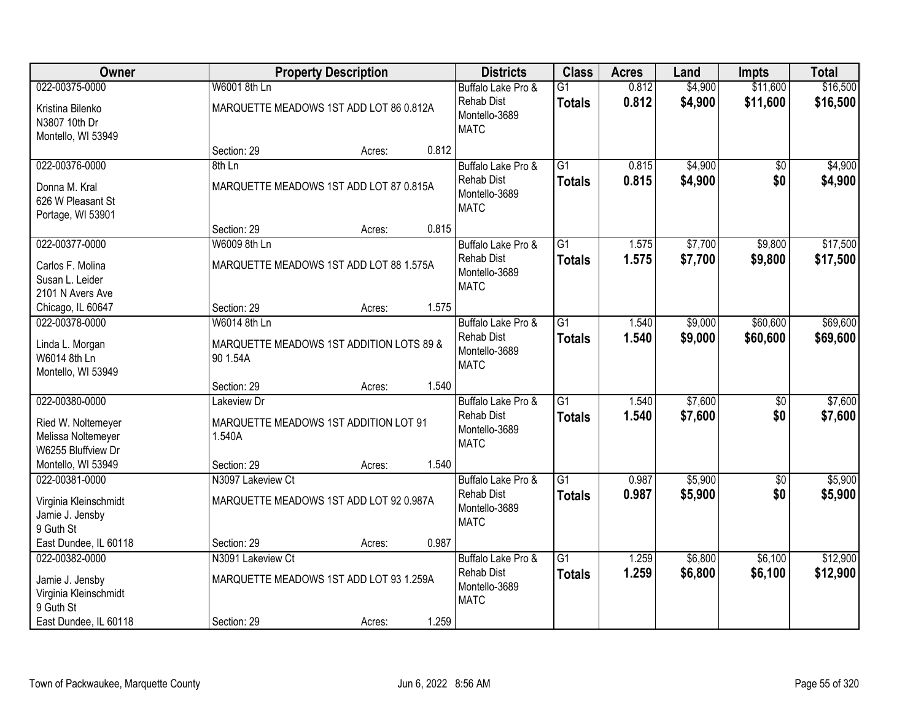| <b>Owner</b>                                                            |                                                                | <b>Property Description</b> |       | <b>Districts</b>                                                        | <b>Class</b>                     | <b>Acres</b>   | Land               | <b>Impts</b>       | <b>Total</b>         |
|-------------------------------------------------------------------------|----------------------------------------------------------------|-----------------------------|-------|-------------------------------------------------------------------------|----------------------------------|----------------|--------------------|--------------------|----------------------|
| 022-00375-0000                                                          | W6001 8th Ln                                                   |                             |       | Buffalo Lake Pro &                                                      | $\overline{G1}$                  | 0.812          | \$4,900            | \$11,600           | \$16,500             |
| Kristina Bilenko<br>N3807 10th Dr<br>Montello, WI 53949                 | MARQUETTE MEADOWS 1ST ADD LOT 86 0.812A                        |                             |       | <b>Rehab Dist</b><br>Montello-3689<br><b>MATC</b>                       | <b>Totals</b>                    | 0.812          | \$4,900            | \$11,600           | \$16,500             |
|                                                                         | Section: 29                                                    | Acres:                      | 0.812 |                                                                         |                                  |                |                    |                    |                      |
| 022-00376-0000                                                          | $8th$ Ln                                                       |                             |       | Buffalo Lake Pro &                                                      | $\overline{G1}$                  | 0.815          | \$4,900            | $\overline{50}$    | \$4,900              |
| Donna M. Kral<br>626 W Pleasant St<br>Portage, WI 53901                 | MARQUETTE MEADOWS 1ST ADD LOT 87 0.815A                        |                             |       | <b>Rehab Dist</b><br>Montello-3689<br><b>MATC</b>                       | Totals                           | 0.815          | \$4,900            | \$0                | \$4,900              |
|                                                                         | Section: 29                                                    | Acres:                      | 0.815 |                                                                         |                                  |                |                    |                    |                      |
| 022-00377-0000                                                          | W6009 8th Ln                                                   |                             |       | Buffalo Lake Pro &                                                      | $\overline{G1}$                  | 1.575          | \$7,700            | \$9,800            | \$17,500             |
| Carlos F. Molina<br>Susan L. Leider<br>2101 N Avers Ave                 | MARQUETTE MEADOWS 1ST ADD LOT 88 1.575A                        |                             |       | <b>Rehab Dist</b><br>Montello-3689<br><b>MATC</b>                       | <b>Totals</b>                    | 1.575          | \$7,700            | \$9,800            | \$17,500             |
| Chicago, IL 60647                                                       | Section: 29                                                    | Acres:                      | 1.575 |                                                                         |                                  |                |                    |                    |                      |
| 022-00378-0000                                                          | W6014 8th Ln                                                   |                             |       | Buffalo Lake Pro &                                                      | $\overline{G1}$                  | 1.540          | \$9,000            | \$60,600           | \$69,600             |
| Linda L. Morgan<br>W6014 8th Ln<br>Montello, WI 53949                   | MARQUETTE MEADOWS 1ST ADDITION LOTS 89 &<br>90 1.54A           |                             |       | <b>Rehab Dist</b><br>Montello-3689<br><b>MATC</b>                       | <b>Totals</b>                    | 1.540          | \$9,000            | \$60,600           | \$69,600             |
|                                                                         | Section: 29                                                    | Acres:                      | 1.540 |                                                                         |                                  |                |                    |                    |                      |
| 022-00380-0000<br>Ried W. Noltemeyer<br>Melissa Noltemeyer              | Lakeview Dr<br>MARQUETTE MEADOWS 1ST ADDITION LOT 91<br>1.540A |                             |       | Buffalo Lake Pro &<br><b>Rehab Dist</b><br>Montello-3689<br><b>MATC</b> | $\overline{G1}$<br><b>Totals</b> | 1.540<br>1.540 | \$7,600<br>\$7,600 | \$0<br>\$0         | \$7,600<br>\$7,600   |
| W6255 Bluffview Dr                                                      |                                                                |                             |       |                                                                         |                                  |                |                    |                    |                      |
| Montello, WI 53949                                                      | Section: 29                                                    | Acres:                      | 1.540 |                                                                         |                                  |                |                    |                    |                      |
| 022-00381-0000                                                          | N3097 Lakeview Ct                                              |                             |       | Buffalo Lake Pro &                                                      | $\overline{G1}$                  | 0.987          | \$5,900            | $\sqrt{6}$         | \$5,900              |
| Virginia Kleinschmidt<br>Jamie J. Jensby<br>9 Guth St                   | MARQUETTE MEADOWS 1ST ADD LOT 92 0.987A                        |                             |       | <b>Rehab Dist</b><br>Montello-3689<br><b>MATC</b>                       | <b>Totals</b>                    | 0.987          | \$5,900            | \$0                | \$5,900              |
| East Dundee, IL 60118                                                   | Section: 29                                                    | Acres:                      | 0.987 |                                                                         |                                  |                |                    |                    |                      |
| 022-00382-0000<br>Jamie J. Jensby<br>Virginia Kleinschmidt<br>9 Guth St | N3091 Lakeview Ct<br>MARQUETTE MEADOWS 1ST ADD LOT 93 1.259A   |                             |       | Buffalo Lake Pro &<br><b>Rehab Dist</b><br>Montello-3689<br><b>MATC</b> | $\overline{G1}$<br><b>Totals</b> | 1.259<br>1.259 | \$6,800<br>\$6,800 | \$6,100<br>\$6,100 | \$12,900<br>\$12,900 |
| East Dundee, IL 60118                                                   | Section: 29                                                    | Acres:                      | 1.259 |                                                                         |                                  |                |                    |                    |                      |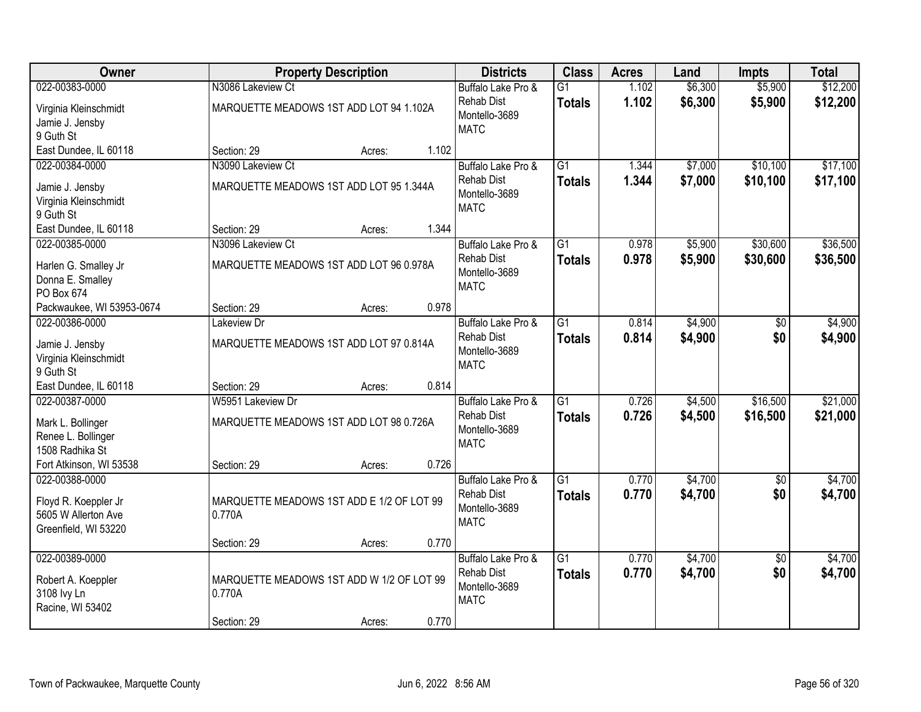| Owner                     | <b>Property Description</b>               | <b>Districts</b>   | <b>Class</b>    | <b>Acres</b> | Land    | <b>Impts</b>    | <b>Total</b> |
|---------------------------|-------------------------------------------|--------------------|-----------------|--------------|---------|-----------------|--------------|
| 022-00383-0000            | N3086 Lakeview Ct                         | Buffalo Lake Pro & | $\overline{G1}$ | 1.102        | \$6,300 | \$5,900         | \$12,200     |
| Virginia Kleinschmidt     | MARQUETTE MEADOWS 1ST ADD LOT 94 1.102A   | <b>Rehab Dist</b>  | <b>Totals</b>   | 1.102        | \$6,300 | \$5,900         | \$12,200     |
| Jamie J. Jensby           |                                           | Montello-3689      |                 |              |         |                 |              |
| 9 Guth St                 |                                           | <b>MATC</b>        |                 |              |         |                 |              |
| East Dundee, IL 60118     | 1.102<br>Section: 29<br>Acres:            |                    |                 |              |         |                 |              |
| 022-00384-0000            | N3090 Lakeview Ct                         | Buffalo Lake Pro & | $\overline{G1}$ | 1.344        | \$7,000 | \$10,100        | \$17,100     |
| Jamie J. Jensby           | MARQUETTE MEADOWS 1ST ADD LOT 95 1.344A   | <b>Rehab Dist</b>  | <b>Totals</b>   | 1.344        | \$7,000 | \$10,100        | \$17,100     |
| Virginia Kleinschmidt     |                                           | Montello-3689      |                 |              |         |                 |              |
| 9 Guth St                 |                                           | <b>MATC</b>        |                 |              |         |                 |              |
| East Dundee, IL 60118     | 1.344<br>Section: 29<br>Acres:            |                    |                 |              |         |                 |              |
| 022-00385-0000            | N3096 Lakeview Ct                         | Buffalo Lake Pro & | G1              | 0.978        | \$5,900 | \$30,600        | \$36,500     |
| Harlen G. Smalley Jr      | MARQUETTE MEADOWS 1ST ADD LOT 96 0.978A   | <b>Rehab Dist</b>  | <b>Totals</b>   | 0.978        | \$5,900 | \$30,600        | \$36,500     |
| Donna E. Smalley          |                                           | Montello-3689      |                 |              |         |                 |              |
| PO Box 674                |                                           | <b>MATC</b>        |                 |              |         |                 |              |
| Packwaukee, WI 53953-0674 | 0.978<br>Section: 29<br>Acres:            |                    |                 |              |         |                 |              |
| 022-00386-0000            | Lakeview Dr                               | Buffalo Lake Pro & | $\overline{G1}$ | 0.814        | \$4,900 | \$0             | \$4,900      |
| Jamie J. Jensby           | MARQUETTE MEADOWS 1ST ADD LOT 97 0.814A   | <b>Rehab Dist</b>  | <b>Totals</b>   | 0.814        | \$4,900 | \$0             | \$4,900      |
| Virginia Kleinschmidt     |                                           | Montello-3689      |                 |              |         |                 |              |
| 9 Guth St                 |                                           | <b>MATC</b>        |                 |              |         |                 |              |
| East Dundee, IL 60118     | 0.814<br>Section: 29<br>Acres:            |                    |                 |              |         |                 |              |
| 022-00387-0000            | W5951 Lakeview Dr                         | Buffalo Lake Pro & | $\overline{G1}$ | 0.726        | \$4,500 | \$16,500        | \$21,000     |
| Mark L. Bollinger         | MARQUETTE MEADOWS 1ST ADD LOT 98 0.726A   | <b>Rehab Dist</b>  | <b>Totals</b>   | 0.726        | \$4,500 | \$16,500        | \$21,000     |
| Renee L. Bollinger        |                                           | Montello-3689      |                 |              |         |                 |              |
| 1508 Radhika St           |                                           | <b>MATC</b>        |                 |              |         |                 |              |
| Fort Atkinson, WI 53538   | 0.726<br>Section: 29<br>Acres:            |                    |                 |              |         |                 |              |
| 022-00388-0000            |                                           | Buffalo Lake Pro & | $\overline{G1}$ | 0.770        | \$4,700 | $\overline{60}$ | \$4,700      |
| Floyd R. Koeppler Jr      | MARQUETTE MEADOWS 1ST ADD E 1/2 OF LOT 99 | <b>Rehab Dist</b>  | <b>Totals</b>   | 0.770        | \$4,700 | \$0             | \$4,700      |
| 5605 W Allerton Ave       | 0.770A                                    | Montello-3689      |                 |              |         |                 |              |
| Greenfield, WI 53220      |                                           | <b>MATC</b>        |                 |              |         |                 |              |
|                           | 0.770<br>Section: 29<br>Acres:            |                    |                 |              |         |                 |              |
| 022-00389-0000            |                                           | Buffalo Lake Pro & | $\overline{G1}$ | 0.770        | \$4,700 | $\overline{50}$ | \$4,700      |
| Robert A. Koeppler        | MARQUETTE MEADOWS 1ST ADD W 1/2 OF LOT 99 | <b>Rehab Dist</b>  | <b>Totals</b>   | 0.770        | \$4,700 | \$0             | \$4,700      |
| 3108 lvy Ln               | 0.770A                                    | Montello-3689      |                 |              |         |                 |              |
| Racine, WI 53402          |                                           | <b>MATC</b>        |                 |              |         |                 |              |
|                           | 0.770<br>Section: 29<br>Acres:            |                    |                 |              |         |                 |              |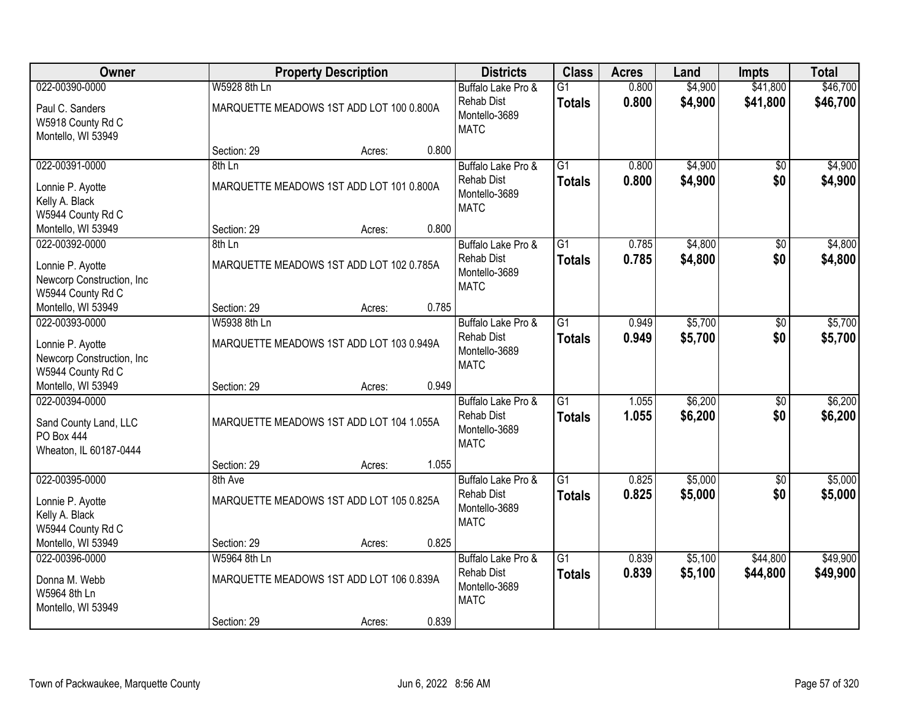| Owner                                                                                  |              | <b>Property Description</b>              |       | <b>Districts</b>                                                        | <b>Class</b>                     | <b>Acres</b>   | Land               | <b>Impts</b>           | <b>Total</b>         |
|----------------------------------------------------------------------------------------|--------------|------------------------------------------|-------|-------------------------------------------------------------------------|----------------------------------|----------------|--------------------|------------------------|----------------------|
| 022-00390-0000                                                                         | W5928 8th Ln |                                          |       | Buffalo Lake Pro &                                                      | $\overline{G1}$                  | 0.800          | \$4,900            | \$41,800               | \$46,700             |
| Paul C. Sanders<br>W5918 County Rd C<br>Montello, WI 53949                             |              | MARQUETTE MEADOWS 1ST ADD LOT 100 0.800A |       | <b>Rehab Dist</b><br>Montello-3689<br><b>MATC</b>                       | <b>Totals</b>                    | 0.800          | \$4,900            | \$41,800               | \$46,700             |
|                                                                                        | Section: 29  | Acres:                                   | 0.800 |                                                                         |                                  |                |                    |                        |                      |
| 022-00391-0000                                                                         | 8th Ln       |                                          |       | Buffalo Lake Pro &                                                      | $\overline{G1}$                  | 0.800          | \$4,900            | $\overline{50}$        | \$4,900              |
| Lonnie P. Ayotte<br>Kelly A. Black<br>W5944 County Rd C                                |              | MARQUETTE MEADOWS 1ST ADD LOT 101 0.800A |       | <b>Rehab Dist</b><br>Montello-3689<br><b>MATC</b>                       | <b>Totals</b>                    | 0.800          | \$4,900            | \$0                    | \$4,900              |
| Montello, WI 53949                                                                     | Section: 29  | Acres:                                   | 0.800 |                                                                         |                                  |                |                    |                        |                      |
| 022-00392-0000                                                                         | 8th Ln       |                                          |       | Buffalo Lake Pro &                                                      | G1                               | 0.785          | \$4,800            | \$0                    | \$4,800              |
| Lonnie P. Ayotte<br>Newcorp Construction, Inc<br>W5944 County Rd C                     |              | MARQUETTE MEADOWS 1ST ADD LOT 102 0.785A |       | <b>Rehab Dist</b><br>Montello-3689<br><b>MATC</b>                       | <b>Totals</b>                    | 0.785          | \$4,800            | \$0                    | \$4,800              |
| Montello, WI 53949                                                                     | Section: 29  | Acres:                                   | 0.785 |                                                                         |                                  |                |                    |                        |                      |
| 022-00393-0000                                                                         | W5938 8th Ln |                                          |       | Buffalo Lake Pro &                                                      | G1                               | 0.949          | \$5,700            | \$0                    | \$5,700              |
| Lonnie P. Ayotte<br>Newcorp Construction, Inc<br>W5944 County Rd C                     |              | MARQUETTE MEADOWS 1ST ADD LOT 103 0.949A |       | <b>Rehab Dist</b><br>Montello-3689<br><b>MATC</b>                       | <b>Totals</b>                    | 0.949          | \$5,700            | \$0                    | \$5,700              |
| Montello, WI 53949                                                                     | Section: 29  | Acres:                                   | 0.949 |                                                                         |                                  |                |                    |                        |                      |
| 022-00394-0000<br>Sand County Land, LLC<br><b>PO Box 444</b><br>Wheaton, IL 60187-0444 |              | MARQUETTE MEADOWS 1ST ADD LOT 104 1.055A |       | Buffalo Lake Pro &<br><b>Rehab Dist</b><br>Montello-3689<br><b>MATC</b> | $\overline{G1}$<br>Totals        | 1.055<br>1.055 | \$6,200<br>\$6,200 | $\overline{30}$<br>\$0 | \$6,200<br>\$6,200   |
|                                                                                        | Section: 29  | Acres:                                   | 1.055 |                                                                         |                                  |                |                    |                        |                      |
| 022-00395-0000                                                                         | 8th Ave      |                                          |       | Buffalo Lake Pro &                                                      | $\overline{G1}$                  | 0.825          | \$5,000            | $\sqrt{6}$             | \$5,000              |
| Lonnie P. Ayotte<br>Kelly A. Black<br>W5944 County Rd C                                |              | MARQUETTE MEADOWS 1ST ADD LOT 105 0.825A |       | <b>Rehab Dist</b><br>Montello-3689<br><b>MATC</b>                       | <b>Totals</b>                    | 0.825          | \$5,000            | \$0                    | \$5,000              |
| Montello, WI 53949                                                                     | Section: 29  | Acres:                                   | 0.825 |                                                                         |                                  |                |                    |                        |                      |
| 022-00396-0000<br>Donna M. Webb<br>W5964 8th Ln<br>Montello, WI 53949                  | W5964 8th Ln | MARQUETTE MEADOWS 1ST ADD LOT 106 0.839A |       | Buffalo Lake Pro &<br><b>Rehab Dist</b><br>Montello-3689<br><b>MATC</b> | $\overline{G1}$<br><b>Totals</b> | 0.839<br>0.839 | \$5,100<br>\$5,100 | \$44,800<br>\$44,800   | \$49,900<br>\$49,900 |
|                                                                                        | Section: 29  | Acres:                                   | 0.839 |                                                                         |                                  |                |                    |                        |                      |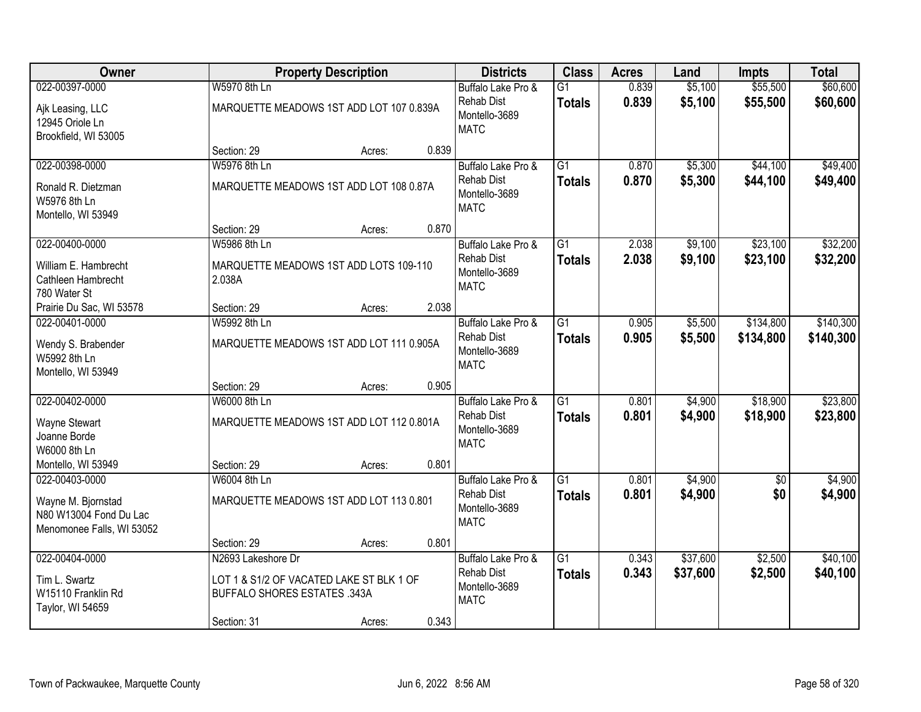| Owner                                  |                                          | <b>Property Description</b> |       | <b>Districts</b>                        | <b>Class</b>                     | <b>Acres</b>   | Land                 | <b>Impts</b>           | <b>Total</b>           |
|----------------------------------------|------------------------------------------|-----------------------------|-------|-----------------------------------------|----------------------------------|----------------|----------------------|------------------------|------------------------|
| 022-00397-0000                         | W5970 8th Ln                             |                             |       | Buffalo Lake Pro &                      | $\overline{G1}$                  | 0.839          | \$5,100              | \$55,500               | \$60,600               |
| Ajk Leasing, LLC                       | MARQUETTE MEADOWS 1ST ADD LOT 107 0.839A |                             |       | <b>Rehab Dist</b><br>Montello-3689      | <b>Totals</b>                    | 0.839          | \$5,100              | \$55,500               | \$60,600               |
| 12945 Oriole Ln                        |                                          |                             |       | <b>MATC</b>                             |                                  |                |                      |                        |                        |
| Brookfield, WI 53005                   | Section: 29                              | Acres:                      | 0.839 |                                         |                                  |                |                      |                        |                        |
| 022-00398-0000                         | W5976 8th Ln                             |                             |       | Buffalo Lake Pro &                      | $\overline{G1}$                  | 0.870          | \$5,300              | \$44,100               | \$49,400               |
| Ronald R. Dietzman                     | MARQUETTE MEADOWS 1ST ADD LOT 108 0.87A  |                             |       | <b>Rehab Dist</b>                       | <b>Totals</b>                    | 0.870          | \$5,300              | \$44,100               | \$49,400               |
| W5976 8th Ln                           |                                          |                             |       | Montello-3689                           |                                  |                |                      |                        |                        |
| Montello, WI 53949                     |                                          |                             |       | <b>MATC</b>                             |                                  |                |                      |                        |                        |
|                                        | Section: 29                              | Acres:                      | 0.870 |                                         |                                  |                |                      |                        |                        |
| 022-00400-0000                         | W5986 8th Ln                             |                             |       | Buffalo Lake Pro &                      | G1                               | 2.038          | \$9,100              | \$23,100               | \$32,200               |
| William E. Hambrecht                   | MARQUETTE MEADOWS 1ST ADD LOTS 109-110   |                             |       | <b>Rehab Dist</b>                       | <b>Totals</b>                    | 2.038          | \$9,100              | \$23,100               | \$32,200               |
| Cathleen Hambrecht                     | 2.038A                                   |                             |       | Montello-3689<br><b>MATC</b>            |                                  |                |                      |                        |                        |
| 780 Water St                           |                                          |                             |       |                                         |                                  |                |                      |                        |                        |
| Prairie Du Sac, WI 53578               | Section: 29                              | Acres:                      | 2.038 |                                         |                                  |                |                      |                        |                        |
| 022-00401-0000                         | W5992 8th Ln                             |                             |       | Buffalo Lake Pro &<br>Rehab Dist        | $\overline{G1}$<br><b>Totals</b> | 0.905<br>0.905 | \$5,500<br>\$5,500   | \$134,800<br>\$134,800 | \$140,300<br>\$140,300 |
| Wendy S. Brabender                     | MARQUETTE MEADOWS 1ST ADD LOT 111 0.905A |                             |       | Montello-3689                           |                                  |                |                      |                        |                        |
| W5992 8th Ln                           |                                          |                             |       | <b>MATC</b>                             |                                  |                |                      |                        |                        |
| Montello, WI 53949                     | Section: 29                              | Acres:                      | 0.905 |                                         |                                  |                |                      |                        |                        |
| 022-00402-0000                         | W6000 8th Ln                             |                             |       | Buffalo Lake Pro &                      | $\overline{G1}$                  | 0.801          | \$4,900              | \$18,900               | \$23,800               |
| Wayne Stewart                          | MARQUETTE MEADOWS 1ST ADD LOT 112 0.801A |                             |       | <b>Rehab Dist</b>                       | <b>Totals</b>                    | 0.801          | \$4,900              | \$18,900               | \$23,800               |
| Joanne Borde                           |                                          |                             |       | Montello-3689                           |                                  |                |                      |                        |                        |
| W6000 8th Ln                           |                                          |                             |       | <b>MATC</b>                             |                                  |                |                      |                        |                        |
| Montello, WI 53949                     | Section: 29                              | Acres:                      | 0.801 |                                         |                                  |                |                      |                        |                        |
| 022-00403-0000                         | W6004 8th Ln                             |                             |       | Buffalo Lake Pro &                      | $\overline{G1}$                  | 0.801          | \$4,900              | $\sqrt{6}$             | \$4,900                |
| Wayne M. Bjornstad                     | MARQUETTE MEADOWS 1ST ADD LOT 113 0.801  |                             |       | <b>Rehab Dist</b>                       | <b>Totals</b>                    | 0.801          | \$4,900              | \$0                    | \$4,900                |
| N80 W13004 Fond Du Lac                 |                                          |                             |       | Montello-3689<br><b>MATC</b>            |                                  |                |                      |                        |                        |
| Menomonee Falls, WI 53052              |                                          |                             |       |                                         |                                  |                |                      |                        |                        |
| 022-00404-0000                         | Section: 29                              | Acres:                      | 0.801 |                                         |                                  |                |                      |                        |                        |
|                                        | N2693 Lakeshore Dr                       |                             |       | Buffalo Lake Pro &<br><b>Rehab Dist</b> | $\overline{G1}$<br><b>Totals</b> | 0.343<br>0.343 | \$37,600<br>\$37,600 | \$2,500<br>\$2,500     | \$40,100<br>\$40,100   |
| Tim L. Swartz                          | LOT 1 & S1/2 OF VACATED LAKE ST BLK 1 OF |                             |       | Montello-3689                           |                                  |                |                      |                        |                        |
| W15110 Franklin Rd<br>Taylor, WI 54659 | <b>BUFFALO SHORES ESTATES .343A</b>      |                             |       | <b>MATC</b>                             |                                  |                |                      |                        |                        |
|                                        | Section: 31                              | Acres:                      | 0.343 |                                         |                                  |                |                      |                        |                        |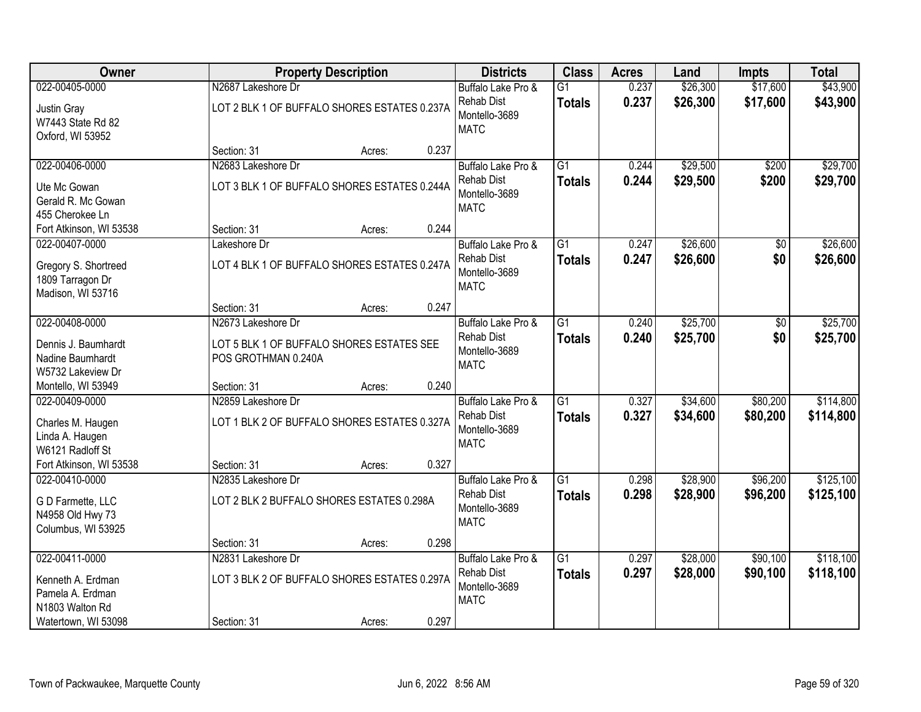| Owner                                                                      |                                                                    | <b>Property Description</b> |       | <b>Districts</b>                                                        | <b>Class</b>                     | <b>Acres</b>   | Land                 | <b>Impts</b>         | <b>Total</b>           |
|----------------------------------------------------------------------------|--------------------------------------------------------------------|-----------------------------|-------|-------------------------------------------------------------------------|----------------------------------|----------------|----------------------|----------------------|------------------------|
| 022-00405-0000                                                             | N2687 Lakeshore Dr                                                 |                             |       | Buffalo Lake Pro &                                                      | $\overline{G1}$                  | 0.237          | \$26,300             | \$17,600             | \$43,900               |
| Justin Gray<br>W7443 State Rd 82<br>Oxford, WI 53952                       | LOT 2 BLK 1 OF BUFFALO SHORES ESTATES 0.237A                       |                             |       | <b>Rehab Dist</b><br>Montello-3689<br><b>MATC</b>                       | <b>Totals</b>                    | 0.237          | \$26,300             | \$17,600             | \$43,900               |
|                                                                            | Section: 31                                                        | Acres:                      | 0.237 |                                                                         |                                  |                |                      |                      |                        |
| 022-00406-0000                                                             | N2683 Lakeshore Dr                                                 |                             |       | Buffalo Lake Pro &                                                      | $\overline{G1}$                  | 0.244          | \$29,500             | \$200                | \$29,700               |
| Ute Mc Gowan<br>Gerald R. Mc Gowan<br>455 Cherokee Ln                      | LOT 3 BLK 1 OF BUFFALO SHORES ESTATES 0.244A                       |                             |       | <b>Rehab Dist</b><br>Montello-3689<br><b>MATC</b>                       | <b>Totals</b>                    | 0.244          | \$29,500             | \$200                | \$29,700               |
| Fort Atkinson, WI 53538                                                    | Section: 31                                                        | Acres:                      | 0.244 |                                                                         |                                  |                |                      |                      |                        |
| 022-00407-0000                                                             | Lakeshore Dr                                                       |                             |       | Buffalo Lake Pro &                                                      | G1                               | 0.247          | \$26,600             | \$0                  | \$26,600               |
| Gregory S. Shortreed<br>1809 Tarragon Dr<br>Madison, WI 53716              | LOT 4 BLK 1 OF BUFFALO SHORES ESTATES 0.247A                       |                             |       | <b>Rehab Dist</b><br>Montello-3689<br><b>MATC</b>                       | <b>Totals</b>                    | 0.247          | \$26,600             | \$0                  | \$26,600               |
|                                                                            | Section: 31                                                        | Acres:                      | 0.247 |                                                                         |                                  |                |                      |                      |                        |
| 022-00408-0000                                                             | N2673 Lakeshore Dr                                                 |                             |       | Buffalo Lake Pro &                                                      | $\overline{G1}$                  | 0.240          | \$25,700             | \$0                  | \$25,700               |
| Dennis J. Baumhardt<br>Nadine Baumhardt<br>W5732 Lakeview Dr               | LOT 5 BLK 1 OF BUFFALO SHORES ESTATES SEE<br>POS GROTHMAN 0.240A   |                             |       | <b>Rehab Dist</b><br>Montello-3689<br><b>MATC</b>                       | <b>Totals</b>                    | 0.240          | \$25,700             | \$0                  | \$25,700               |
| Montello, WI 53949                                                         | Section: 31                                                        | Acres:                      | 0.240 |                                                                         |                                  |                |                      |                      |                        |
| 022-00409-0000<br>Charles M. Haugen<br>Linda A. Haugen<br>W6121 Radloff St | N2859 Lakeshore Dr<br>LOT 1 BLK 2 OF BUFFALO SHORES ESTATES 0.327A |                             |       | Buffalo Lake Pro &<br><b>Rehab Dist</b><br>Montello-3689<br><b>MATC</b> | $\overline{G1}$<br><b>Totals</b> | 0.327<br>0.327 | \$34,600<br>\$34,600 | \$80,200<br>\$80,200 | \$114,800<br>\$114,800 |
| Fort Atkinson, WI 53538                                                    | Section: 31                                                        | Acres:                      | 0.327 |                                                                         |                                  |                |                      |                      |                        |
| 022-00410-0000                                                             | N2835 Lakeshore Dr                                                 |                             |       | Buffalo Lake Pro &                                                      | $\overline{G1}$                  | 0.298          | \$28,900             | \$96,200             | \$125,100              |
| G D Farmette, LLC<br>N4958 Old Hwy 73<br>Columbus, WI 53925                | LOT 2 BLK 2 BUFFALO SHORES ESTATES 0.298A                          |                             |       | <b>Rehab Dist</b><br>Montello-3689<br><b>MATC</b>                       | <b>Totals</b>                    | 0.298          | \$28,900             | \$96,200             | \$125,100              |
|                                                                            | Section: 31                                                        | Acres:                      | 0.298 |                                                                         |                                  |                |                      |                      |                        |
| 022-00411-0000                                                             | N2831 Lakeshore Dr                                                 |                             |       | Buffalo Lake Pro &                                                      | $\overline{G1}$                  | 0.297          | \$28,000             | \$90,100             | \$118,100              |
| Kenneth A. Erdman<br>Pamela A. Erdman<br>N1803 Walton Rd                   | LOT 3 BLK 2 OF BUFFALO SHORES ESTATES 0.297A                       |                             |       | <b>Rehab Dist</b><br>Montello-3689<br><b>MATC</b>                       | <b>Totals</b>                    | 0.297          | \$28,000             | \$90,100             | \$118,100              |
| Watertown, WI 53098                                                        | Section: 31                                                        | Acres:                      | 0.297 |                                                                         |                                  |                |                      |                      |                        |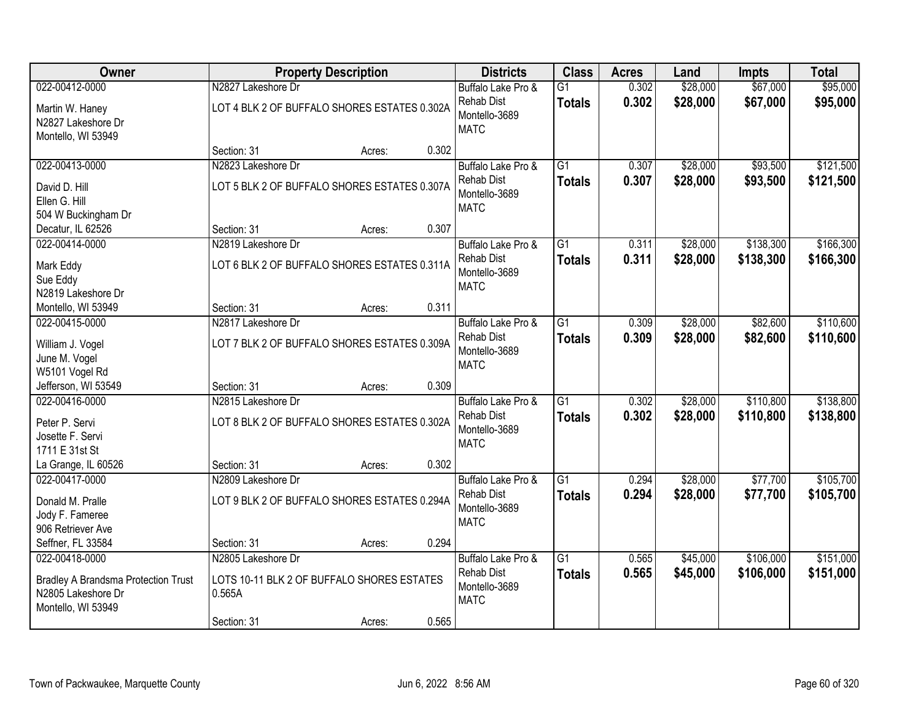| Owner                                                       |                                              | <b>Property Description</b> |       | <b>Districts</b>                   | <b>Class</b>                     | <b>Acres</b>   | Land                 | <b>Impts</b>         | <b>Total</b>         |
|-------------------------------------------------------------|----------------------------------------------|-----------------------------|-------|------------------------------------|----------------------------------|----------------|----------------------|----------------------|----------------------|
| 022-00412-0000                                              | N2827 Lakeshore Dr                           |                             |       | Buffalo Lake Pro &<br>Rehab Dist   | $\overline{G1}$<br><b>Totals</b> | 0.302<br>0.302 | \$28,000<br>\$28,000 | \$67,000<br>\$67,000 | \$95,000<br>\$95,000 |
| Martin W. Haney<br>N2827 Lakeshore Dr<br>Montello, WI 53949 | LOT 4 BLK 2 OF BUFFALO SHORES ESTATES 0.302A |                             |       | Montello-3689<br><b>MATC</b>       |                                  |                |                      |                      |                      |
|                                                             | Section: 31                                  | Acres:                      | 0.302 |                                    |                                  |                |                      |                      |                      |
| 022-00413-0000                                              | N2823 Lakeshore Dr                           |                             |       | Buffalo Lake Pro &                 | $\overline{G1}$                  | 0.307          | \$28,000             | \$93,500             | \$121,500            |
| David D. Hill                                               | LOT 5 BLK 2 OF BUFFALO SHORES ESTATES 0.307A |                             |       | <b>Rehab Dist</b><br>Montello-3689 | <b>Totals</b>                    | 0.307          | \$28,000             | \$93,500             | \$121,500            |
| Ellen G. Hill                                               |                                              |                             |       | <b>MATC</b>                        |                                  |                |                      |                      |                      |
| 504 W Buckingham Dr<br>Decatur, IL 62526                    | Section: 31                                  | Acres:                      | 0.307 |                                    |                                  |                |                      |                      |                      |
| 022-00414-0000                                              | N2819 Lakeshore Dr                           |                             |       | Buffalo Lake Pro &                 | $\overline{G1}$                  | 0.311          | \$28,000             | \$138,300            | \$166,300            |
| Mark Eddy                                                   | LOT 6 BLK 2 OF BUFFALO SHORES ESTATES 0.311A |                             |       | <b>Rehab Dist</b><br>Montello-3689 | <b>Totals</b>                    | 0.311          | \$28,000             | \$138,300            | \$166,300            |
| Sue Eddy                                                    |                                              |                             |       | <b>MATC</b>                        |                                  |                |                      |                      |                      |
| N2819 Lakeshore Dr<br>Montello, WI 53949                    | Section: 31                                  | Acres:                      | 0.311 |                                    |                                  |                |                      |                      |                      |
| 022-00415-0000                                              | N2817 Lakeshore Dr                           |                             |       | Buffalo Lake Pro &                 | $\overline{G1}$                  | 0.309          | \$28,000             | \$82,600             | \$110,600            |
| William J. Vogel                                            | LOT 7 BLK 2 OF BUFFALO SHORES ESTATES 0.309A |                             |       | Rehab Dist                         | <b>Totals</b>                    | 0.309          | \$28,000             | \$82,600             | \$110,600            |
| June M. Vogel                                               |                                              |                             |       | Montello-3689<br><b>MATC</b>       |                                  |                |                      |                      |                      |
| W5101 Vogel Rd                                              |                                              |                             |       |                                    |                                  |                |                      |                      |                      |
| Jefferson, WI 53549<br>022-00416-0000                       | Section: 31<br>N2815 Lakeshore Dr            | Acres:                      | 0.309 | Buffalo Lake Pro &                 | $\overline{G1}$                  | 0.302          | \$28,000             | \$110,800            | \$138,800            |
|                                                             |                                              |                             |       | Rehab Dist                         | <b>Totals</b>                    | 0.302          | \$28,000             | \$110,800            | \$138,800            |
| Peter P. Servi<br>Josette F. Servi                          | LOT 8 BLK 2 OF BUFFALO SHORES ESTATES 0.302A |                             |       | Montello-3689                      |                                  |                |                      |                      |                      |
| 1711 E 31st St                                              |                                              |                             |       | <b>MATC</b>                        |                                  |                |                      |                      |                      |
| La Grange, IL 60526                                         | Section: 31                                  | Acres:                      | 0.302 |                                    |                                  |                |                      |                      |                      |
| 022-00417-0000                                              | N2809 Lakeshore Dr                           |                             |       | Buffalo Lake Pro &                 | $\overline{G1}$                  | 0.294          | \$28,000             | \$77,700             | \$105,700            |
| Donald M. Pralle                                            | LOT 9 BLK 2 OF BUFFALO SHORES ESTATES 0.294A |                             |       | <b>Rehab Dist</b><br>Montello-3689 | <b>Totals</b>                    | 0.294          | \$28,000             | \$77,700             | \$105,700            |
| Jody F. Fameree                                             |                                              |                             |       | <b>MATC</b>                        |                                  |                |                      |                      |                      |
| 906 Retriever Ave<br>Seffner, FL 33584                      | Section: 31                                  | Acres:                      | 0.294 |                                    |                                  |                |                      |                      |                      |
| 022-00418-0000                                              | N2805 Lakeshore Dr                           |                             |       | Buffalo Lake Pro &                 | $\overline{G1}$                  | 0.565          | \$45,000             | \$106,000            | \$151,000            |
| <b>Bradley A Brandsma Protection Trust</b>                  | LOTS 10-11 BLK 2 OF BUFFALO SHORES ESTATES   |                             |       | <b>Rehab Dist</b>                  | <b>Totals</b>                    | 0.565          | \$45,000             | \$106,000            | \$151,000            |
| N2805 Lakeshore Dr                                          | 0.565A                                       |                             |       | Montello-3689                      |                                  |                |                      |                      |                      |
| Montello, WI 53949                                          |                                              |                             |       | <b>MATC</b>                        |                                  |                |                      |                      |                      |
|                                                             | Section: 31                                  | Acres:                      | 0.565 |                                    |                                  |                |                      |                      |                      |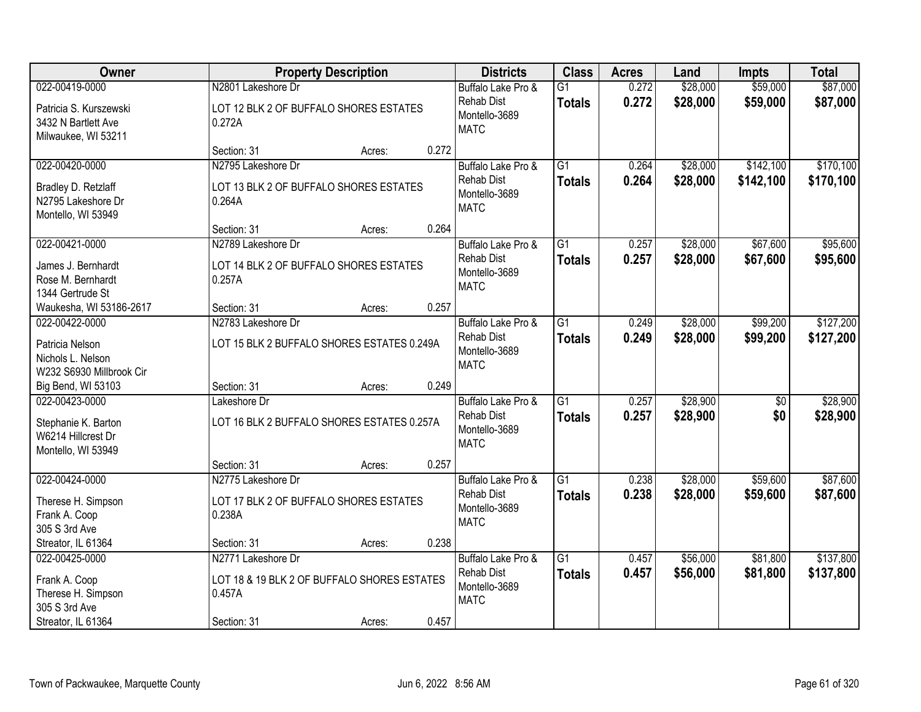| Owner                                                                             |                                                                             | <b>Property Description</b> |       | <b>Districts</b>                                                        | <b>Class</b>                     | <b>Acres</b>   | Land                 | <b>Impts</b>           | <b>Total</b>           |
|-----------------------------------------------------------------------------------|-----------------------------------------------------------------------------|-----------------------------|-------|-------------------------------------------------------------------------|----------------------------------|----------------|----------------------|------------------------|------------------------|
| 022-00419-0000                                                                    | N2801 Lakeshore Dr                                                          |                             |       | Buffalo Lake Pro &                                                      | $\overline{G1}$                  | 0.272          | \$28,000             | \$59,000               | \$87,000               |
| Patricia S. Kurszewski<br>3432 N Bartlett Ave<br>Milwaukee, WI 53211              | LOT 12 BLK 2 OF BUFFALO SHORES ESTATES<br>0.272A                            |                             |       | <b>Rehab Dist</b><br>Montello-3689<br><b>MATC</b>                       | <b>Totals</b>                    | 0.272          | \$28,000             | \$59,000               | \$87,000               |
|                                                                                   | Section: 31                                                                 | Acres:                      | 0.272 |                                                                         |                                  |                |                      |                        |                        |
| 022-00420-0000                                                                    | N2795 Lakeshore Dr                                                          |                             |       | Buffalo Lake Pro &                                                      | $\overline{G1}$                  | 0.264          | \$28,000             | \$142,100              | \$170,100              |
| Bradley D. Retzlaff<br>N2795 Lakeshore Dr<br>Montello, WI 53949                   | LOT 13 BLK 2 OF BUFFALO SHORES ESTATES<br>0.264A                            |                             |       | <b>Rehab Dist</b><br>Montello-3689<br><b>MATC</b>                       | <b>Totals</b>                    | 0.264          | \$28,000             | \$142,100              | \$170,100              |
|                                                                                   | Section: 31                                                                 | Acres:                      | 0.264 |                                                                         |                                  |                |                      |                        |                        |
| 022-00421-0000                                                                    | N2789 Lakeshore Dr                                                          |                             |       | Buffalo Lake Pro &                                                      | G1                               | 0.257          | \$28,000             | \$67,600               | \$95,600               |
| James J. Bernhardt<br>Rose M. Bernhardt<br>1344 Gertrude St                       | LOT 14 BLK 2 OF BUFFALO SHORES ESTATES<br>0.257A                            |                             |       | <b>Rehab Dist</b><br>Montello-3689<br><b>MATC</b>                       | <b>Totals</b>                    | 0.257          | \$28,000             | \$67,600               | \$95,600               |
| Waukesha, WI 53186-2617                                                           | Section: 31                                                                 | Acres:                      | 0.257 |                                                                         |                                  |                |                      |                        |                        |
| 022-00422-0000                                                                    | N2783 Lakeshore Dr                                                          |                             |       | Buffalo Lake Pro &                                                      | G1                               | 0.249          | \$28,000             | \$99,200               | \$127,200              |
| Patricia Nelson<br>Nichols L. Nelson<br>W232 S6930 Millbrook Cir                  | LOT 15 BLK 2 BUFFALO SHORES ESTATES 0.249A                                  |                             |       | <b>Rehab Dist</b><br>Montello-3689<br><b>MATC</b>                       | <b>Totals</b>                    | 0.249          | \$28,000             | \$99,200               | \$127,200              |
| Big Bend, WI 53103                                                                | Section: 31                                                                 | Acres:                      | 0.249 |                                                                         |                                  |                |                      |                        |                        |
| 022-00423-0000<br>Stephanie K. Barton<br>W6214 Hillcrest Dr<br>Montello, WI 53949 | Lakeshore Dr<br>LOT 16 BLK 2 BUFFALO SHORES ESTATES 0.257A                  |                             |       | Buffalo Lake Pro &<br><b>Rehab Dist</b><br>Montello-3689<br><b>MATC</b> | $\overline{G1}$<br><b>Totals</b> | 0.257<br>0.257 | \$28,900<br>\$28,900 | $\overline{50}$<br>\$0 | \$28,900<br>\$28,900   |
|                                                                                   | Section: 31                                                                 | Acres:                      | 0.257 |                                                                         |                                  |                |                      |                        |                        |
| 022-00424-0000                                                                    | N2775 Lakeshore Dr                                                          |                             |       | Buffalo Lake Pro &                                                      | $\overline{G1}$                  | 0.238          | \$28,000             | \$59,600               | \$87,600               |
| Therese H. Simpson<br>Frank A. Coop<br>305 S 3rd Ave                              | LOT 17 BLK 2 OF BUFFALO SHORES ESTATES<br>0.238A                            |                             |       | <b>Rehab Dist</b><br>Montello-3689<br><b>MATC</b>                       | <b>Totals</b>                    | 0.238          | \$28,000             | \$59,600               | \$87,600               |
| Streator, IL 61364                                                                | Section: 31                                                                 | Acres:                      | 0.238 |                                                                         |                                  |                |                      |                        |                        |
| 022-00425-0000<br>Frank A. Coop<br>Therese H. Simpson<br>305 S 3rd Ave            | N2771 Lakeshore Dr<br>LOT 18 & 19 BLK 2 OF BUFFALO SHORES ESTATES<br>0.457A |                             |       | Buffalo Lake Pro &<br><b>Rehab Dist</b><br>Montello-3689<br><b>MATC</b> | $\overline{G1}$<br><b>Totals</b> | 0.457<br>0.457 | \$56,000<br>\$56,000 | \$81,800<br>\$81,800   | \$137,800<br>\$137,800 |
| Streator, IL 61364                                                                | Section: 31                                                                 | Acres:                      | 0.457 |                                                                         |                                  |                |                      |                        |                        |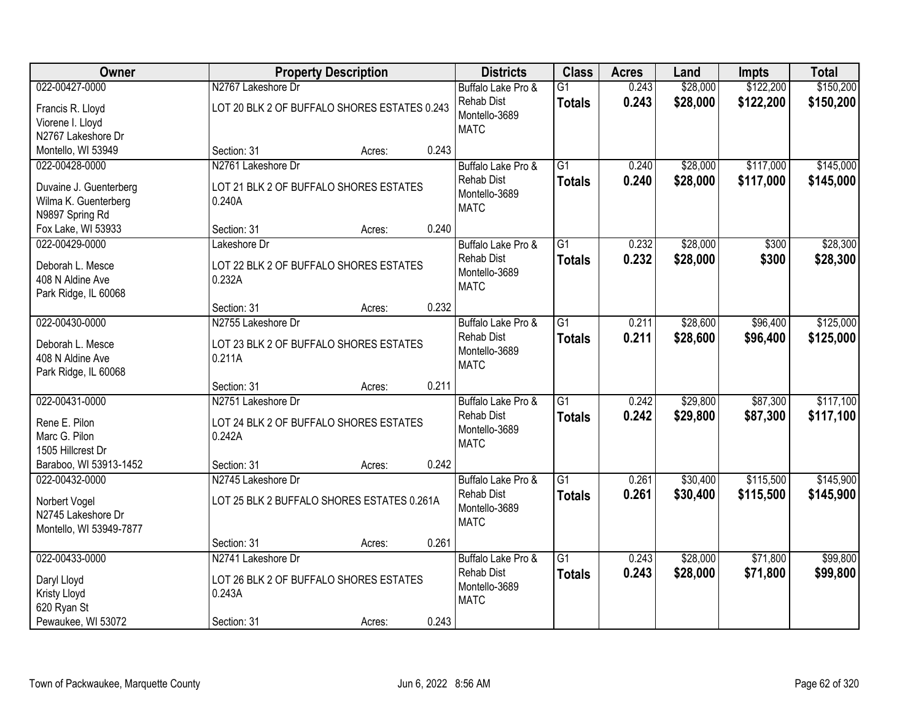| Owner                                          |                                              | <b>Property Description</b> |       | <b>Districts</b>                   | <b>Class</b>    | <b>Acres</b> | Land     | <b>Impts</b> | <b>Total</b> |
|------------------------------------------------|----------------------------------------------|-----------------------------|-------|------------------------------------|-----------------|--------------|----------|--------------|--------------|
| 022-00427-0000                                 | N2767 Lakeshore Dr                           |                             |       | Buffalo Lake Pro &                 | $\overline{G1}$ | 0.243        | \$28,000 | \$122,200    | \$150,200    |
| Francis R. Lloyd                               | LOT 20 BLK 2 OF BUFFALO SHORES ESTATES 0.243 |                             |       | Rehab Dist                         | <b>Totals</b>   | 0.243        | \$28,000 | \$122,200    | \$150,200    |
| Viorene I. Lloyd                               |                                              |                             |       | Montello-3689                      |                 |              |          |              |              |
| N2767 Lakeshore Dr                             |                                              |                             |       | <b>MATC</b>                        |                 |              |          |              |              |
| Montello, WI 53949                             | Section: 31                                  | Acres:                      | 0.243 |                                    |                 |              |          |              |              |
| 022-00428-0000                                 | N2761 Lakeshore Dr                           |                             |       | Buffalo Lake Pro &                 | $\overline{G1}$ | 0.240        | \$28,000 | \$117,000    | \$145,000    |
|                                                | LOT 21 BLK 2 OF BUFFALO SHORES ESTATES       |                             |       | <b>Rehab Dist</b>                  | <b>Totals</b>   | 0.240        | \$28,000 | \$117,000    | \$145,000    |
| Duvaine J. Guenterberg<br>Wilma K. Guenterberg | 0.240A                                       |                             |       | Montello-3689                      |                 |              |          |              |              |
| N9897 Spring Rd                                |                                              |                             |       | <b>MATC</b>                        |                 |              |          |              |              |
| Fox Lake, WI 53933                             | Section: 31                                  | Acres:                      | 0.240 |                                    |                 |              |          |              |              |
| 022-00429-0000                                 | Lakeshore Dr                                 |                             |       | Buffalo Lake Pro &                 | $\overline{G1}$ | 0.232        | \$28,000 | \$300        | \$28,300     |
|                                                |                                              |                             |       | <b>Rehab Dist</b>                  | <b>Totals</b>   | 0.232        | \$28,000 | \$300        | \$28,300     |
| Deborah L. Mesce                               | LOT 22 BLK 2 OF BUFFALO SHORES ESTATES       |                             |       | Montello-3689                      |                 |              |          |              |              |
| 408 N Aldine Ave                               | 0.232A                                       |                             |       | <b>MATC</b>                        |                 |              |          |              |              |
| Park Ridge, IL 60068                           |                                              |                             |       |                                    |                 |              |          |              |              |
|                                                | Section: 31                                  | Acres:                      | 0.232 |                                    |                 |              |          |              |              |
| 022-00430-0000                                 | N2755 Lakeshore Dr                           |                             |       | Buffalo Lake Pro &                 | G1              | 0.211        | \$28,600 | \$96,400     | \$125,000    |
| Deborah L. Mesce                               | LOT 23 BLK 2 OF BUFFALO SHORES ESTATES       |                             |       | <b>Rehab Dist</b><br>Montello-3689 | <b>Totals</b>   | 0.211        | \$28,600 | \$96,400     | \$125,000    |
| 408 N Aldine Ave                               | 0.211A                                       |                             |       | <b>MATC</b>                        |                 |              |          |              |              |
| Park Ridge, IL 60068                           |                                              |                             |       |                                    |                 |              |          |              |              |
|                                                | Section: 31                                  | Acres:                      | 0.211 |                                    |                 |              |          |              |              |
| 022-00431-0000                                 | N2751 Lakeshore Dr                           |                             |       | Buffalo Lake Pro &                 | $\overline{G1}$ | 0.242        | \$29,800 | \$87,300     | \$117,100    |
| Rene E. Pilon                                  | LOT 24 BLK 2 OF BUFFALO SHORES ESTATES       |                             |       | <b>Rehab Dist</b>                  | <b>Totals</b>   | 0.242        | \$29,800 | \$87,300     | \$117,100    |
| Marc G. Pilon                                  | 0.242A                                       |                             |       | Montello-3689                      |                 |              |          |              |              |
| 1505 Hillcrest Dr                              |                                              |                             |       | <b>MATC</b>                        |                 |              |          |              |              |
| Baraboo, WI 53913-1452                         | Section: 31                                  | Acres:                      | 0.242 |                                    |                 |              |          |              |              |
| 022-00432-0000                                 | N2745 Lakeshore Dr                           |                             |       | Buffalo Lake Pro &                 | $\overline{G1}$ | 0.261        | \$30,400 | \$115,500    | \$145,900    |
| Norbert Vogel                                  | LOT 25 BLK 2 BUFFALO SHORES ESTATES 0.261A   |                             |       | <b>Rehab Dist</b>                  | <b>Totals</b>   | 0.261        | \$30,400 | \$115,500    | \$145,900    |
| N2745 Lakeshore Dr                             |                                              |                             |       | Montello-3689                      |                 |              |          |              |              |
| Montello, WI 53949-7877                        |                                              |                             |       | <b>MATC</b>                        |                 |              |          |              |              |
|                                                | Section: 31                                  | Acres:                      | 0.261 |                                    |                 |              |          |              |              |
| 022-00433-0000                                 | N2741 Lakeshore Dr                           |                             |       | Buffalo Lake Pro &                 | $\overline{G1}$ | 0.243        | \$28,000 | \$71,800     | \$99,800     |
|                                                |                                              |                             |       | <b>Rehab Dist</b>                  | <b>Totals</b>   | 0.243        | \$28,000 | \$71,800     | \$99,800     |
| Daryl Lloyd                                    | LOT 26 BLK 2 OF BUFFALO SHORES ESTATES       |                             |       | Montello-3689                      |                 |              |          |              |              |
| Kristy Lloyd<br>620 Ryan St                    | 0.243A                                       |                             |       | <b>MATC</b>                        |                 |              |          |              |              |
| Pewaukee, WI 53072                             | Section: 31                                  | Acres:                      | 0.243 |                                    |                 |              |          |              |              |
|                                                |                                              |                             |       |                                    |                 |              |          |              |              |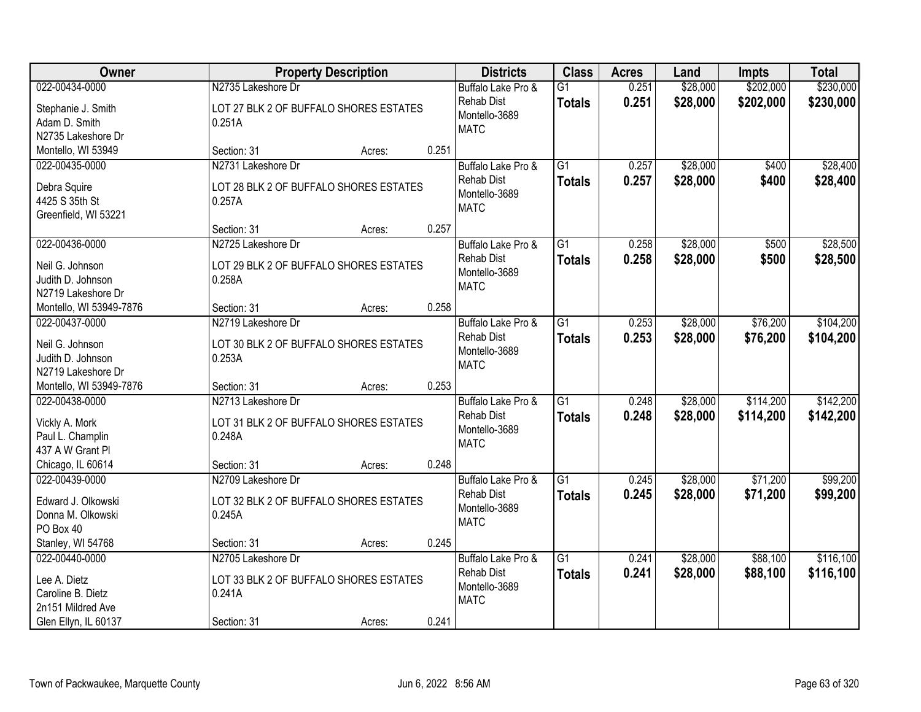| Owner                                | <b>Property Description</b>                      |        | <b>Districts</b>             | <b>Class</b>    | <b>Acres</b> | Land     | <b>Impts</b> | <b>Total</b> |
|--------------------------------------|--------------------------------------------------|--------|------------------------------|-----------------|--------------|----------|--------------|--------------|
| 022-00434-0000                       | N2735 Lakeshore Dr                               |        | Buffalo Lake Pro &           | $\overline{G1}$ | 0.251        | \$28,000 | \$202,000    | \$230,000    |
| Stephanie J. Smith                   | LOT 27 BLK 2 OF BUFFALO SHORES ESTATES           |        | <b>Rehab Dist</b>            | <b>Totals</b>   | 0.251        | \$28,000 | \$202,000    | \$230,000    |
| Adam D. Smith                        | 0.251A                                           |        | Montello-3689                |                 |              |          |              |              |
| N2735 Lakeshore Dr                   |                                                  |        | <b>MATC</b>                  |                 |              |          |              |              |
| Montello, WI 53949                   | Section: 31                                      | Acres: | 0.251                        |                 |              |          |              |              |
| 022-00435-0000                       | N2731 Lakeshore Dr                               |        | Buffalo Lake Pro &           | $\overline{G1}$ | 0.257        | \$28,000 | \$400        | \$28,400     |
|                                      | LOT 28 BLK 2 OF BUFFALO SHORES ESTATES           |        | <b>Rehab Dist</b>            | <b>Totals</b>   | 0.257        | \$28,000 | \$400        | \$28,400     |
| Debra Squire<br>4425 S 35th St       | 0.257A                                           |        | Montello-3689                |                 |              |          |              |              |
| Greenfield, WI 53221                 |                                                  |        | <b>MATC</b>                  |                 |              |          |              |              |
|                                      | Section: 31                                      | Acres: | 0.257                        |                 |              |          |              |              |
| 022-00436-0000                       | N2725 Lakeshore Dr                               |        | Buffalo Lake Pro &           | G1              | 0.258        | \$28,000 | \$500        | \$28,500     |
|                                      |                                                  |        | <b>Rehab Dist</b>            | <b>Totals</b>   | 0.258        | \$28,000 | \$500        | \$28,500     |
| Neil G. Johnson<br>Judith D. Johnson | LOT 29 BLK 2 OF BUFFALO SHORES ESTATES<br>0.258A |        | Montello-3689                |                 |              |          |              |              |
| N2719 Lakeshore Dr                   |                                                  |        | <b>MATC</b>                  |                 |              |          |              |              |
| Montello, WI 53949-7876              | Section: 31                                      | Acres: | 0.258                        |                 |              |          |              |              |
| 022-00437-0000                       | N2719 Lakeshore Dr                               |        | Buffalo Lake Pro &           | G1              | 0.253        | \$28,000 | \$76,200     | \$104,200    |
|                                      |                                                  |        | <b>Rehab Dist</b>            | <b>Totals</b>   | 0.253        | \$28,000 | \$76,200     | \$104,200    |
| Neil G. Johnson                      | LOT 30 BLK 2 OF BUFFALO SHORES ESTATES           |        | Montello-3689                |                 |              |          |              |              |
| Judith D. Johnson                    | 0.253A                                           |        | <b>MATC</b>                  |                 |              |          |              |              |
| N2719 Lakeshore Dr                   |                                                  |        |                              |                 |              |          |              |              |
| Montello, WI 53949-7876              | Section: 31                                      | Acres: | 0.253                        |                 |              |          |              |              |
| 022-00438-0000                       | N2713 Lakeshore Dr                               |        | Buffalo Lake Pro &           | $\overline{G1}$ | 0.248        | \$28,000 | \$114,200    | \$142,200    |
| Vickly A. Mork                       | LOT 31 BLK 2 OF BUFFALO SHORES ESTATES           |        | <b>Rehab Dist</b>            | <b>Totals</b>   | 0.248        | \$28,000 | \$114,200    | \$142,200    |
| Paul L. Champlin                     | 0.248A                                           |        | Montello-3689<br><b>MATC</b> |                 |              |          |              |              |
| 437 A W Grant Pl                     |                                                  |        |                              |                 |              |          |              |              |
| Chicago, IL 60614                    | Section: 31                                      | Acres: | 0.248                        |                 |              |          |              |              |
| 022-00439-0000                       | N2709 Lakeshore Dr                               |        | Buffalo Lake Pro &           | $\overline{G1}$ | 0.245        | \$28,000 | \$71,200     | \$99,200     |
| Edward J. Olkowski                   | LOT 32 BLK 2 OF BUFFALO SHORES ESTATES           |        | <b>Rehab Dist</b>            | <b>Totals</b>   | 0.245        | \$28,000 | \$71,200     | \$99,200     |
| Donna M. Olkowski                    | 0.245A                                           |        | Montello-3689                |                 |              |          |              |              |
| PO Box 40                            |                                                  |        | <b>MATC</b>                  |                 |              |          |              |              |
| Stanley, WI 54768                    | Section: 31                                      | Acres: | 0.245                        |                 |              |          |              |              |
| 022-00440-0000                       | N2705 Lakeshore Dr                               |        | Buffalo Lake Pro &           | G1              | 0.241        | \$28,000 | \$88,100     | \$116,100    |
| Lee A. Dietz                         | LOT 33 BLK 2 OF BUFFALO SHORES ESTATES           |        | <b>Rehab Dist</b>            | <b>Totals</b>   | 0.241        | \$28,000 | \$88,100     | \$116,100    |
| Caroline B. Dietz                    | 0.241A                                           |        | Montello-3689                |                 |              |          |              |              |
| 2n151 Mildred Ave                    |                                                  |        | <b>MATC</b>                  |                 |              |          |              |              |
| Glen Ellyn, IL 60137                 | Section: 31                                      | Acres: | 0.241                        |                 |              |          |              |              |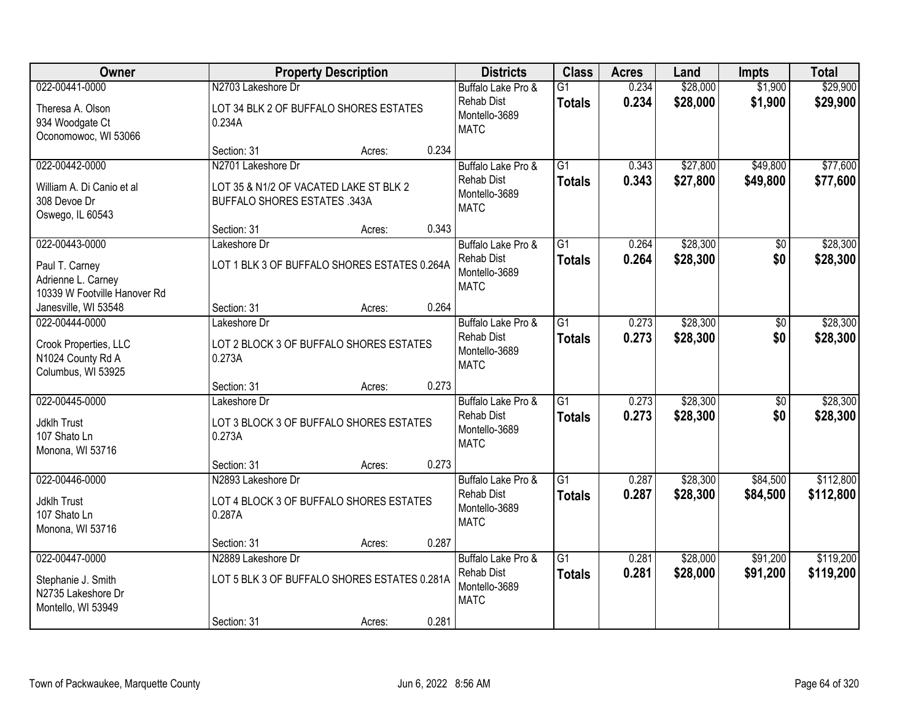| Owner                                                                                  | <b>Property Description</b>                                                                          | <b>Districts</b>                                                        | <b>Class</b>                     | <b>Acres</b>   | Land                 | <b>Impts</b>         | <b>Total</b>           |
|----------------------------------------------------------------------------------------|------------------------------------------------------------------------------------------------------|-------------------------------------------------------------------------|----------------------------------|----------------|----------------------|----------------------|------------------------|
| 022-00441-0000<br>Theresa A. Olson<br>934 Woodgate Ct<br>Oconomowoc, WI 53066          | N2703 Lakeshore Dr<br>LOT 34 BLK 2 OF BUFFALO SHORES ESTATES<br>0.234A                               | Buffalo Lake Pro &<br><b>Rehab Dist</b><br>Montello-3689<br><b>MATC</b> | $\overline{G1}$<br><b>Totals</b> | 0.234<br>0.234 | \$28,000<br>\$28,000 | \$1,900<br>\$1,900   | \$29,900<br>\$29,900   |
|                                                                                        | 0.234<br>Section: 31<br>Acres:                                                                       |                                                                         |                                  |                |                      |                      |                        |
| 022-00442-0000<br>William A. Di Canio et al<br>308 Devoe Dr<br>Oswego, IL 60543        | N2701 Lakeshore Dr<br>LOT 35 & N1/2 OF VACATED LAKE ST BLK 2<br><b>BUFFALO SHORES ESTATES .343A</b>  | Buffalo Lake Pro &<br><b>Rehab Dist</b><br>Montello-3689<br><b>MATC</b> | $\overline{G1}$<br><b>Totals</b> | 0.343<br>0.343 | \$27,800<br>\$27,800 | \$49,800<br>\$49,800 | \$77,600<br>\$77,600   |
|                                                                                        | 0.343<br>Section: 31<br>Acres:                                                                       |                                                                         |                                  |                |                      |                      |                        |
| 022-00443-0000<br>Paul T. Carney<br>Adrienne L. Carney<br>10339 W Footville Hanover Rd | Lakeshore Dr<br>LOT 1 BLK 3 OF BUFFALO SHORES ESTATES 0.264A                                         | Buffalo Lake Pro &<br><b>Rehab Dist</b><br>Montello-3689<br><b>MATC</b> | $\overline{G1}$<br><b>Totals</b> | 0.264<br>0.264 | \$28,300<br>\$28,300 | \$0<br>\$0           | \$28,300<br>\$28,300   |
| Janesville, WI 53548                                                                   | 0.264<br>Section: 31<br>Acres:                                                                       |                                                                         |                                  |                |                      |                      |                        |
| 022-00444-0000<br>Crook Properties, LLC<br>N1024 County Rd A<br>Columbus, WI 53925     | Lakeshore Dr<br>LOT 2 BLOCK 3 OF BUFFALO SHORES ESTATES<br>0.273A                                    | Buffalo Lake Pro &<br><b>Rehab Dist</b><br>Montello-3689<br><b>MATC</b> | $\overline{G1}$<br><b>Totals</b> | 0.273<br>0.273 | \$28,300<br>\$28,300 | \$0<br>\$0           | \$28,300<br>\$28,300   |
|                                                                                        | 0.273<br>Section: 31<br>Acres:                                                                       |                                                                         |                                  |                |                      |                      |                        |
| 022-00445-0000<br><b>Jdklh Trust</b><br>107 Shato Ln<br>Monona, WI 53716               | Lakeshore Dr<br>LOT 3 BLOCK 3 OF BUFFALO SHORES ESTATES<br>0.273A                                    | Buffalo Lake Pro &<br><b>Rehab Dist</b><br>Montello-3689<br><b>MATC</b> | $\overline{G1}$<br><b>Totals</b> | 0.273<br>0.273 | \$28,300<br>\$28,300 | \$0<br>\$0           | \$28,300<br>\$28,300   |
|                                                                                        | 0.273<br>Section: 31<br>Acres:                                                                       |                                                                         |                                  |                |                      |                      |                        |
| 022-00446-0000<br>Jdklh Trust<br>107 Shato Ln<br>Monona, WI 53716                      | N2893 Lakeshore Dr<br>LOT 4 BLOCK 3 OF BUFFALO SHORES ESTATES<br>0.287A                              | Buffalo Lake Pro &<br><b>Rehab Dist</b><br>Montello-3689<br><b>MATC</b> | $\overline{G1}$<br><b>Totals</b> | 0.287<br>0.287 | \$28,300<br>\$28,300 | \$84,500<br>\$84,500 | \$112,800<br>\$112,800 |
|                                                                                        | 0.287<br>Section: 31<br>Acres:                                                                       |                                                                         |                                  |                |                      |                      |                        |
| 022-00447-0000<br>Stephanie J. Smith<br>N2735 Lakeshore Dr<br>Montello, WI 53949       | N2889 Lakeshore Dr<br>LOT 5 BLK 3 OF BUFFALO SHORES ESTATES 0.281A<br>0.281<br>Section: 31<br>Acres: | Buffalo Lake Pro &<br><b>Rehab Dist</b><br>Montello-3689<br><b>MATC</b> | $\overline{G1}$<br><b>Totals</b> | 0.281<br>0.281 | \$28,000<br>\$28,000 | \$91,200<br>\$91,200 | \$119,200<br>\$119,200 |
|                                                                                        |                                                                                                      |                                                                         |                                  |                |                      |                      |                        |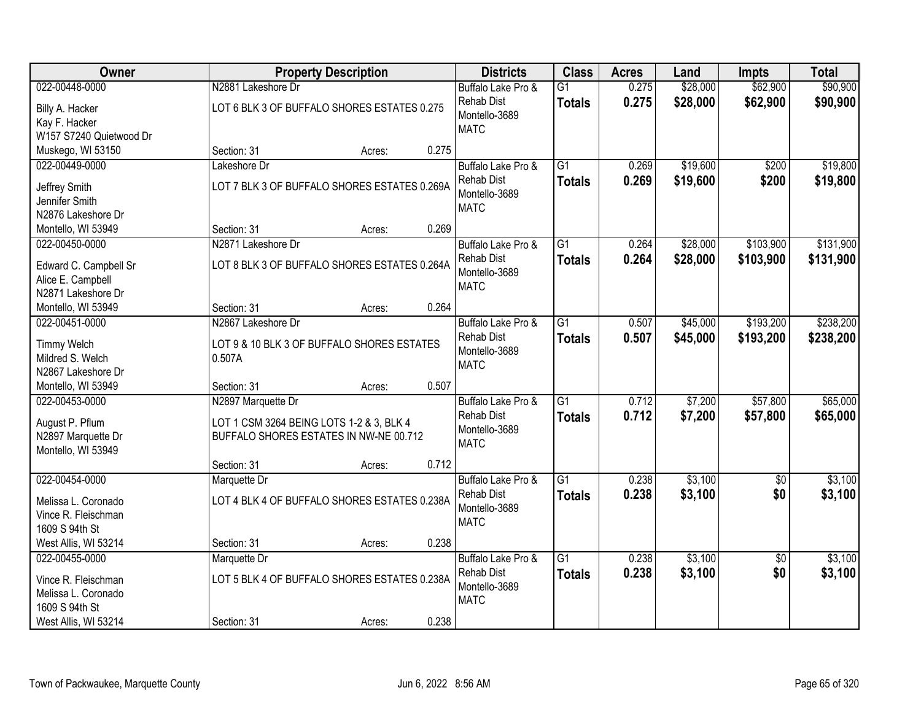| Owner                                 |                    | <b>Property Description</b>                  |       | <b>Districts</b>                   | <b>Class</b>    | <b>Acres</b> | Land     | <b>Impts</b>    | <b>Total</b> |
|---------------------------------------|--------------------|----------------------------------------------|-------|------------------------------------|-----------------|--------------|----------|-----------------|--------------|
| 022-00448-0000                        | N2881 Lakeshore Dr |                                              |       | Buffalo Lake Pro &                 | $\overline{G1}$ | 0.275        | \$28,000 | \$62,900        | \$90,900     |
| Billy A. Hacker                       |                    | LOT 6 BLK 3 OF BUFFALO SHORES ESTATES 0.275  |       | Rehab Dist                         | <b>Totals</b>   | 0.275        | \$28,000 | \$62,900        | \$90,900     |
| Kay F. Hacker                         |                    |                                              |       | Montello-3689                      |                 |              |          |                 |              |
| W157 S7240 Quietwood Dr               |                    |                                              |       | <b>MATC</b>                        |                 |              |          |                 |              |
| Muskego, WI 53150                     | Section: 31        | Acres:                                       | 0.275 |                                    |                 |              |          |                 |              |
| 022-00449-0000                        | Lakeshore Dr       |                                              |       | Buffalo Lake Pro &                 | $\overline{G1}$ | 0.269        | \$19,600 | \$200           | \$19,800     |
| Jeffrey Smith                         |                    | LOT 7 BLK 3 OF BUFFALO SHORES ESTATES 0.269A |       | Rehab Dist                         | <b>Totals</b>   | 0.269        | \$19,600 | \$200           | \$19,800     |
| Jennifer Smith                        |                    |                                              |       | Montello-3689                      |                 |              |          |                 |              |
| N2876 Lakeshore Dr                    |                    |                                              |       | <b>MATC</b>                        |                 |              |          |                 |              |
| Montello, WI 53949                    | Section: 31        | Acres:                                       | 0.269 |                                    |                 |              |          |                 |              |
| 022-00450-0000                        | N2871 Lakeshore Dr |                                              |       | Buffalo Lake Pro &                 | $\overline{G1}$ | 0.264        | \$28,000 | \$103,900       | \$131,900    |
|                                       |                    |                                              |       | <b>Rehab Dist</b>                  | <b>Totals</b>   | 0.264        | \$28,000 | \$103,900       | \$131,900    |
| Edward C. Campbell Sr                 |                    | LOT 8 BLK 3 OF BUFFALO SHORES ESTATES 0.264A |       | Montello-3689                      |                 |              |          |                 |              |
| Alice E. Campbell                     |                    |                                              |       | <b>MATC</b>                        |                 |              |          |                 |              |
| N2871 Lakeshore Dr                    |                    |                                              |       |                                    |                 |              |          |                 |              |
| Montello, WI 53949                    | Section: 31        | Acres:                                       | 0.264 |                                    |                 |              |          |                 |              |
| 022-00451-0000                        | N2867 Lakeshore Dr |                                              |       | Buffalo Lake Pro &                 | G1              | 0.507        | \$45,000 | \$193,200       | \$238,200    |
| <b>Timmy Welch</b>                    |                    | LOT 9 & 10 BLK 3 OF BUFFALO SHORES ESTATES   |       | <b>Rehab Dist</b><br>Montello-3689 | <b>Totals</b>   | 0.507        | \$45,000 | \$193,200       | \$238,200    |
| Mildred S. Welch                      | 0.507A             |                                              |       | <b>MATC</b>                        |                 |              |          |                 |              |
| N2867 Lakeshore Dr                    |                    |                                              |       |                                    |                 |              |          |                 |              |
| Montello, WI 53949                    | Section: 31        | Acres:                                       | 0.507 |                                    |                 |              |          |                 |              |
| 022-00453-0000                        | N2897 Marquette Dr |                                              |       | Buffalo Lake Pro &                 | $\overline{G1}$ | 0.712        | \$7,200  | \$57,800        | \$65,000     |
| August P. Pflum                       |                    | LOT 1 CSM 3264 BEING LOTS 1-2 & 3, BLK 4     |       | <b>Rehab Dist</b>                  | <b>Totals</b>   | 0.712        | \$7,200  | \$57,800        | \$65,000     |
| N2897 Marquette Dr                    |                    | BUFFALO SHORES ESTATES IN NW-NE 00.712       |       | Montello-3689                      |                 |              |          |                 |              |
| Montello, WI 53949                    |                    |                                              |       | <b>MATC</b>                        |                 |              |          |                 |              |
|                                       | Section: 31        | Acres:                                       | 0.712 |                                    |                 |              |          |                 |              |
| 022-00454-0000                        | Marquette Dr       |                                              |       | Buffalo Lake Pro &                 | G1              | 0.238        | \$3,100  | $\sqrt{6}$      | \$3,100      |
| Melissa L. Coronado                   |                    | LOT 4 BLK 4 OF BUFFALO SHORES ESTATES 0.238A |       | <b>Rehab Dist</b>                  | <b>Totals</b>   | 0.238        | \$3,100  | \$0             | \$3,100      |
| Vince R. Fleischman                   |                    |                                              |       | Montello-3689                      |                 |              |          |                 |              |
| 1609 S 94th St                        |                    |                                              |       | <b>MATC</b>                        |                 |              |          |                 |              |
| West Allis, WI 53214                  | Section: 31        | Acres:                                       | 0.238 |                                    |                 |              |          |                 |              |
| 022-00455-0000                        | Marquette Dr       |                                              |       | Buffalo Lake Pro &                 | $\overline{G1}$ | 0.238        | \$3,100  | $\overline{50}$ | \$3,100      |
|                                       |                    |                                              |       | <b>Rehab Dist</b>                  | <b>Totals</b>   | 0.238        | \$3,100  | \$0             | \$3,100      |
| Vince R. Fleischman                   |                    | LOT 5 BLK 4 OF BUFFALO SHORES ESTATES 0.238A |       | Montello-3689                      |                 |              |          |                 |              |
| Melissa L. Coronado<br>1609 S 94th St |                    |                                              |       | <b>MATC</b>                        |                 |              |          |                 |              |
| West Allis, WI 53214                  | Section: 31        | Acres:                                       | 0.238 |                                    |                 |              |          |                 |              |
|                                       |                    |                                              |       |                                    |                 |              |          |                 |              |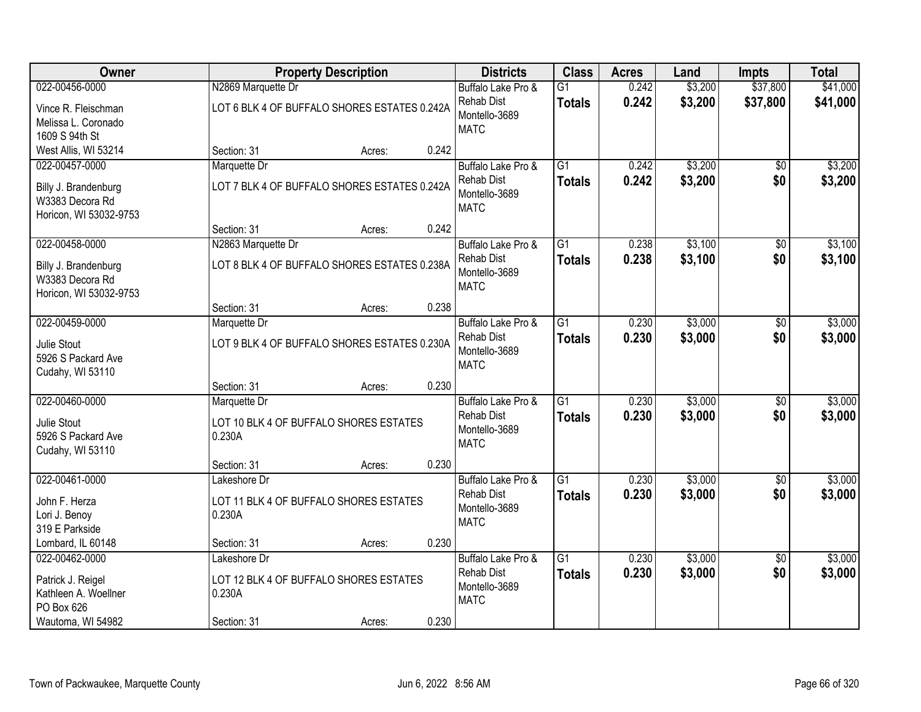| <b>Owner</b>           |                                              | <b>Property Description</b> |       | <b>Districts</b>             | <b>Class</b>    | <b>Acres</b> | Land    | <b>Impts</b>    | <b>Total</b> |
|------------------------|----------------------------------------------|-----------------------------|-------|------------------------------|-----------------|--------------|---------|-----------------|--------------|
| 022-00456-0000         | N2869 Marquette Dr                           |                             |       | Buffalo Lake Pro &           | $\overline{G1}$ | 0.242        | \$3,200 | \$37,800        | \$41,000     |
| Vince R. Fleischman    | LOT 6 BLK 4 OF BUFFALO SHORES ESTATES 0.242A |                             |       | <b>Rehab Dist</b>            | <b>Totals</b>   | 0.242        | \$3,200 | \$37,800        | \$41,000     |
| Melissa L. Coronado    |                                              |                             |       | Montello-3689                |                 |              |         |                 |              |
| 1609 S 94th St         |                                              |                             |       | <b>MATC</b>                  |                 |              |         |                 |              |
| West Allis, WI 53214   | Section: 31                                  | Acres:                      | 0.242 |                              |                 |              |         |                 |              |
| 022-00457-0000         | Marquette Dr                                 |                             |       | Buffalo Lake Pro &           | $\overline{G1}$ | 0.242        | \$3,200 | $\overline{50}$ | \$3,200      |
| Billy J. Brandenburg   | LOT 7 BLK 4 OF BUFFALO SHORES ESTATES 0.242A |                             |       | Rehab Dist                   | <b>Totals</b>   | 0.242        | \$3,200 | \$0             | \$3,200      |
| W3383 Decora Rd        |                                              |                             |       | Montello-3689<br><b>MATC</b> |                 |              |         |                 |              |
| Horicon, WI 53032-9753 |                                              |                             |       |                              |                 |              |         |                 |              |
|                        | Section: 31                                  | Acres:                      | 0.242 |                              |                 |              |         |                 |              |
| 022-00458-0000         | N2863 Marquette Dr                           |                             |       | Buffalo Lake Pro &           | G1              | 0.238        | \$3,100 | \$0             | \$3,100      |
| Billy J. Brandenburg   | LOT 8 BLK 4 OF BUFFALO SHORES ESTATES 0.238A |                             |       | <b>Rehab Dist</b>            | <b>Totals</b>   | 0.238        | \$3,100 | \$0             | \$3,100      |
| W3383 Decora Rd        |                                              |                             |       | Montello-3689<br><b>MATC</b> |                 |              |         |                 |              |
| Horicon, WI 53032-9753 |                                              |                             |       |                              |                 |              |         |                 |              |
|                        | Section: 31                                  | Acres:                      | 0.238 |                              |                 |              |         |                 |              |
| 022-00459-0000         | Marquette Dr                                 |                             |       | Buffalo Lake Pro &           | $\overline{G1}$ | 0.230        | \$3,000 | \$0             | \$3,000      |
| Julie Stout            | LOT 9 BLK 4 OF BUFFALO SHORES ESTATES 0.230A |                             |       | <b>Rehab Dist</b>            | <b>Totals</b>   | 0.230        | \$3,000 | \$0             | \$3,000      |
| 5926 S Packard Ave     |                                              |                             |       | Montello-3689<br><b>MATC</b> |                 |              |         |                 |              |
| Cudahy, WI 53110       |                                              |                             |       |                              |                 |              |         |                 |              |
|                        | Section: 31                                  | Acres:                      | 0.230 |                              |                 |              |         |                 |              |
| 022-00460-0000         | Marquette Dr                                 |                             |       | Buffalo Lake Pro &           | $\overline{G1}$ | 0.230        | \$3,000 | $\overline{30}$ | \$3,000      |
| Julie Stout            | LOT 10 BLK 4 OF BUFFALO SHORES ESTATES       |                             |       | <b>Rehab Dist</b>            | <b>Totals</b>   | 0.230        | \$3,000 | \$0             | \$3,000      |
| 5926 S Packard Ave     | 0.230A                                       |                             |       | Montello-3689<br><b>MATC</b> |                 |              |         |                 |              |
| Cudahy, WI 53110       |                                              |                             |       |                              |                 |              |         |                 |              |
|                        | Section: 31                                  | Acres:                      | 0.230 |                              |                 |              |         |                 |              |
| 022-00461-0000         | Lakeshore Dr                                 |                             |       | Buffalo Lake Pro &           | $\overline{G1}$ | 0.230        | \$3,000 | $\sqrt{6}$      | \$3,000      |
| John F. Herza          | LOT 11 BLK 4 OF BUFFALO SHORES ESTATES       |                             |       | <b>Rehab Dist</b>            | <b>Totals</b>   | 0.230        | \$3,000 | \$0             | \$3,000      |
| Lori J. Benoy          | 0.230A                                       |                             |       | Montello-3689<br><b>MATC</b> |                 |              |         |                 |              |
| 319 E Parkside         |                                              |                             |       |                              |                 |              |         |                 |              |
| Lombard, IL 60148      | Section: 31                                  | Acres:                      | 0.230 |                              |                 |              |         |                 |              |
| 022-00462-0000         | Lakeshore Dr                                 |                             |       | Buffalo Lake Pro &           | $\overline{G1}$ | 0.230        | \$3,000 | \$0             | \$3,000      |
| Patrick J. Reigel      | LOT 12 BLK 4 OF BUFFALO SHORES ESTATES       |                             |       | <b>Rehab Dist</b>            | <b>Totals</b>   | 0.230        | \$3,000 | \$0             | \$3,000      |
| Kathleen A. Woellner   | 0.230A                                       |                             |       | Montello-3689<br><b>MATC</b> |                 |              |         |                 |              |
| PO Box 626             |                                              |                             |       |                              |                 |              |         |                 |              |
| Wautoma, WI 54982      | Section: 31                                  | Acres:                      | 0.230 |                              |                 |              |         |                 |              |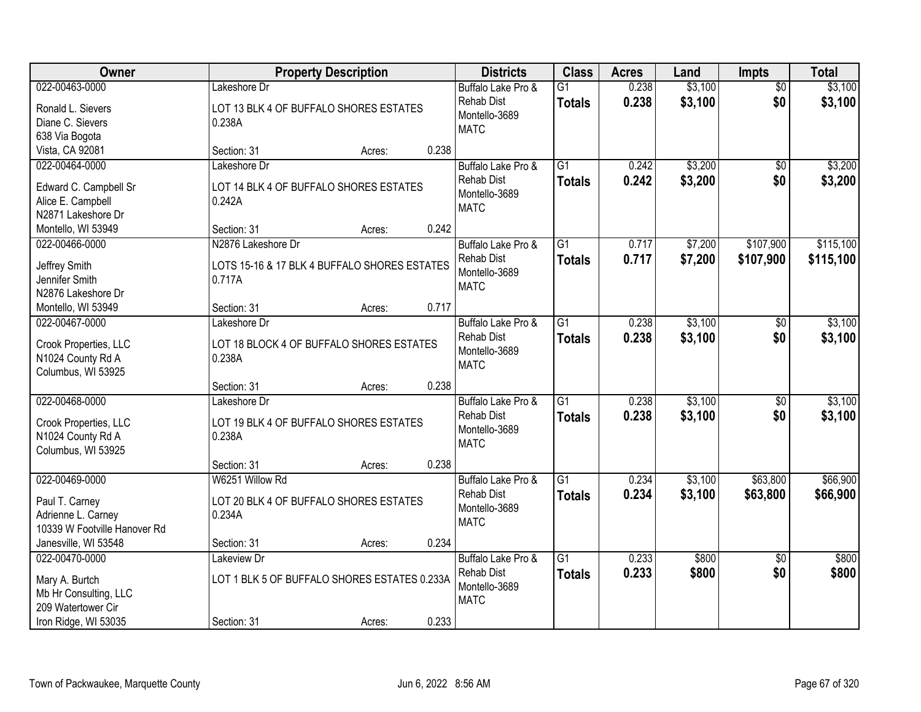| Owner                                                                                                   |                                                                              | <b>Property Description</b> |       | <b>Districts</b>                                                        | <b>Class</b>                     | <b>Acres</b>   | Land               | <b>Impts</b>           | <b>Total</b>           |
|---------------------------------------------------------------------------------------------------------|------------------------------------------------------------------------------|-----------------------------|-------|-------------------------------------------------------------------------|----------------------------------|----------------|--------------------|------------------------|------------------------|
| 022-00463-0000<br>Ronald L. Sievers<br>Diane C. Sievers                                                 | Lakeshore Dr<br>LOT 13 BLK 4 OF BUFFALO SHORES ESTATES<br>0.238A             |                             |       | Buffalo Lake Pro &<br><b>Rehab Dist</b><br>Montello-3689<br><b>MATC</b> | $\overline{G1}$<br><b>Totals</b> | 0.238<br>0.238 | \$3,100<br>\$3,100 | $\overline{50}$<br>\$0 | \$3,100<br>\$3,100     |
| 638 Via Bogota<br>Vista, CA 92081                                                                       | Section: 31                                                                  | Acres:                      | 0.238 |                                                                         |                                  |                |                    |                        |                        |
| 022-00464-0000<br>Edward C. Campbell Sr<br>Alice E. Campbell<br>N2871 Lakeshore Dr                      | Lakeshore Dr<br>LOT 14 BLK 4 OF BUFFALO SHORES ESTATES<br>0.242A             |                             |       | Buffalo Lake Pro &<br><b>Rehab Dist</b><br>Montello-3689<br><b>MATC</b> | $\overline{G1}$<br><b>Totals</b> | 0.242<br>0.242 | \$3,200<br>\$3,200 | \$0<br>\$0             | \$3,200<br>\$3,200     |
| Montello, WI 53949                                                                                      | Section: 31                                                                  | Acres:                      | 0.242 |                                                                         |                                  |                |                    |                        |                        |
| 022-00466-0000<br>Jeffrey Smith<br>Jennifer Smith<br>N2876 Lakeshore Dr                                 | N2876 Lakeshore Dr<br>LOTS 15-16 & 17 BLK 4 BUFFALO SHORES ESTATES<br>0.717A |                             |       | Buffalo Lake Pro &<br><b>Rehab Dist</b><br>Montello-3689<br><b>MATC</b> | $\overline{G1}$<br><b>Totals</b> | 0.717<br>0.717 | \$7,200<br>\$7,200 | \$107,900<br>\$107,900 | \$115,100<br>\$115,100 |
| Montello, WI 53949                                                                                      | Section: 31                                                                  | Acres:                      | 0.717 |                                                                         |                                  |                |                    |                        |                        |
| 022-00467-0000<br>Crook Properties, LLC<br>N1024 County Rd A<br>Columbus, WI 53925                      | Lakeshore Dr<br>LOT 18 BLOCK 4 OF BUFFALO SHORES ESTATES<br>0.238A           |                             |       | Buffalo Lake Pro &<br><b>Rehab Dist</b><br>Montello-3689<br><b>MATC</b> | $\overline{G1}$<br><b>Totals</b> | 0.238<br>0.238 | \$3,100<br>\$3,100 | \$0<br>\$0             | \$3,100<br>\$3,100     |
|                                                                                                         | Section: 31                                                                  | Acres:                      | 0.238 |                                                                         |                                  |                |                    |                        |                        |
| 022-00468-0000<br>Crook Properties, LLC<br>N1024 County Rd A<br>Columbus, WI 53925                      | Lakeshore Dr<br>LOT 19 BLK 4 OF BUFFALO SHORES ESTATES<br>0.238A             |                             |       | Buffalo Lake Pro &<br><b>Rehab Dist</b><br>Montello-3689<br><b>MATC</b> | $\overline{G1}$<br>Totals        | 0.238<br>0.238 | \$3,100<br>\$3,100 | $\overline{30}$<br>\$0 | \$3,100<br>\$3,100     |
|                                                                                                         | Section: 31                                                                  | Acres:                      | 0.238 |                                                                         |                                  |                |                    |                        |                        |
| 022-00469-0000<br>Paul T. Carney<br>Adrienne L. Carney<br>10339 W Footville Hanover Rd                  | W6251 Willow Rd<br>LOT 20 BLK 4 OF BUFFALO SHORES ESTATES<br>0.234A          |                             |       | Buffalo Lake Pro &<br><b>Rehab Dist</b><br>Montello-3689<br><b>MATC</b> | $\overline{G1}$<br><b>Totals</b> | 0.234<br>0.234 | \$3,100<br>\$3,100 | \$63,800<br>\$63,800   | \$66,900<br>\$66,900   |
| Janesville, WI 53548                                                                                    | Section: 31                                                                  | Acres:                      | 0.234 |                                                                         |                                  |                |                    |                        |                        |
| 022-00470-0000<br>Mary A. Burtch<br>Mb Hr Consulting, LLC<br>209 Watertower Cir<br>Iron Ridge, WI 53035 | Lakeview Dr<br>LOT 1 BLK 5 OF BUFFALO SHORES ESTATES 0.233A<br>Section: 31   |                             | 0.233 | Buffalo Lake Pro &<br><b>Rehab Dist</b><br>Montello-3689<br><b>MATC</b> | $\overline{G1}$<br><b>Totals</b> | 0.233<br>0.233 | \$800<br>\$800     | $\overline{50}$<br>\$0 | \$800<br>\$800         |
|                                                                                                         |                                                                              | Acres:                      |       |                                                                         |                                  |                |                    |                        |                        |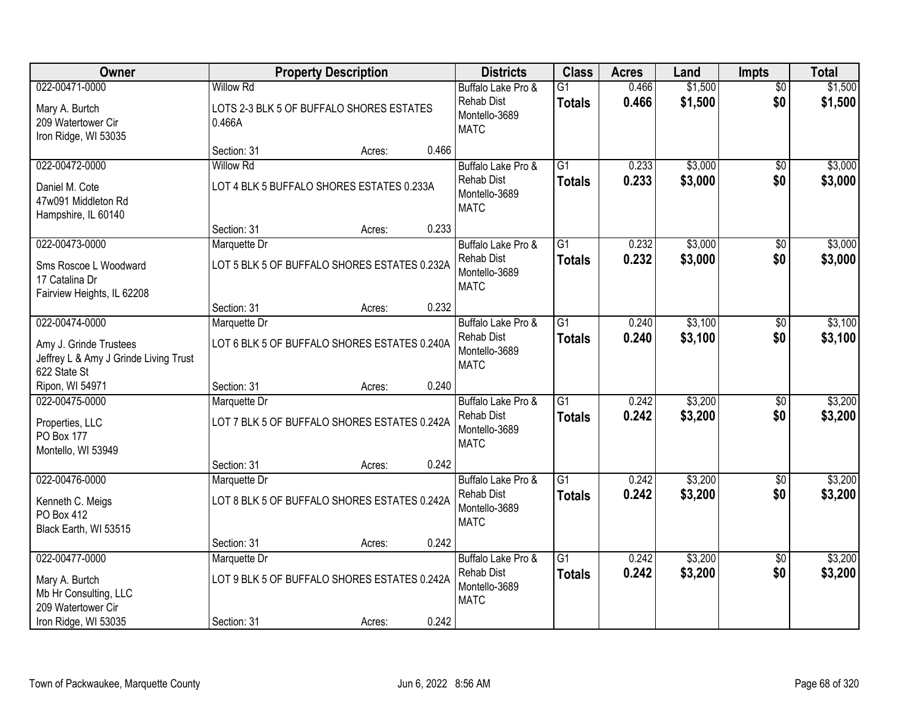| Owner                                                                           |                  | <b>Property Description</b>                  |       | <b>Districts</b>                                  | <b>Class</b>    | <b>Acres</b> | Land    | <b>Impts</b>    | <b>Total</b> |
|---------------------------------------------------------------------------------|------------------|----------------------------------------------|-------|---------------------------------------------------|-----------------|--------------|---------|-----------------|--------------|
| 022-00471-0000                                                                  | <b>Willow Rd</b> |                                              |       | Buffalo Lake Pro &                                | $\overline{G1}$ | 0.466        | \$1,500 | $\overline{50}$ | \$1,500      |
| Mary A. Burtch<br>209 Watertower Cir<br>Iron Ridge, WI 53035                    | 0.466A           | LOTS 2-3 BLK 5 OF BUFFALO SHORES ESTATES     |       | <b>Rehab Dist</b><br>Montello-3689<br><b>MATC</b> | <b>Totals</b>   | 0.466        | \$1,500 | \$0             | \$1,500      |
|                                                                                 | Section: 31      | Acres:                                       | 0.466 |                                                   |                 |              |         |                 |              |
| 022-00472-0000                                                                  | <b>Willow Rd</b> |                                              |       | Buffalo Lake Pro &                                | $\overline{G1}$ | 0.233        | \$3,000 | $\overline{50}$ | \$3,000      |
| Daniel M. Cote<br>47w091 Middleton Rd<br>Hampshire, IL 60140                    |                  | LOT 4 BLK 5 BUFFALO SHORES ESTATES 0.233A    |       | <b>Rehab Dist</b><br>Montello-3689<br><b>MATC</b> | <b>Totals</b>   | 0.233        | \$3,000 | \$0             | \$3,000      |
|                                                                                 | Section: 31      | Acres:                                       | 0.233 |                                                   |                 |              |         |                 |              |
| 022-00473-0000                                                                  | Marquette Dr     |                                              |       | Buffalo Lake Pro &                                | $\overline{G1}$ | 0.232        | \$3,000 | \$0             | \$3,000      |
| Sms Roscoe L Woodward<br>17 Catalina Dr<br>Fairview Heights, IL 62208           |                  | LOT 5 BLK 5 OF BUFFALO SHORES ESTATES 0.232A |       | <b>Rehab Dist</b><br>Montello-3689<br><b>MATC</b> | <b>Totals</b>   | 0.232        | \$3,000 | \$0             | \$3,000      |
|                                                                                 | Section: 31      | Acres:                                       | 0.232 |                                                   |                 |              |         |                 |              |
| 022-00474-0000                                                                  | Marquette Dr     |                                              |       | Buffalo Lake Pro &                                | G1              | 0.240        | \$3,100 | $\sqrt[6]{}$    | \$3,100      |
| Amy J. Grinde Trustees<br>Jeffrey L & Amy J Grinde Living Trust<br>622 State St |                  | LOT 6 BLK 5 OF BUFFALO SHORES ESTATES 0.240A |       | <b>Rehab Dist</b><br>Montello-3689<br><b>MATC</b> | <b>Totals</b>   | 0.240        | \$3,100 | \$0             | \$3,100      |
| Ripon, WI 54971                                                                 | Section: 31      | Acres:                                       | 0.240 |                                                   |                 |              |         |                 |              |
| 022-00475-0000                                                                  | Marquette Dr     |                                              |       | Buffalo Lake Pro &                                | $\overline{G1}$ | 0.242        | \$3,200 | $\overline{50}$ | \$3,200      |
| Properties, LLC<br>PO Box 177                                                   |                  | LOT 7 BLK 5 OF BUFFALO SHORES ESTATES 0.242A |       | <b>Rehab Dist</b><br>Montello-3689<br><b>MATC</b> | <b>Totals</b>   | 0.242        | \$3,200 | \$0             | \$3,200      |
| Montello, WI 53949                                                              | Section: 31      | Acres:                                       | 0.242 |                                                   |                 |              |         |                 |              |
| 022-00476-0000                                                                  | Marquette Dr     |                                              |       | Buffalo Lake Pro &                                | $\overline{G1}$ | 0.242        | \$3,200 | \$0             | \$3,200      |
| Kenneth C. Meigs<br>PO Box 412<br>Black Earth, WI 53515                         |                  | LOT 8 BLK 5 OF BUFFALO SHORES ESTATES 0.242A |       | <b>Rehab Dist</b><br>Montello-3689<br><b>MATC</b> | <b>Totals</b>   | 0.242        | \$3,200 | \$0             | \$3,200      |
|                                                                                 | Section: 31      | Acres:                                       | 0.242 |                                                   |                 |              |         |                 |              |
| 022-00477-0000                                                                  | Marquette Dr     |                                              |       | Buffalo Lake Pro &                                | $\overline{G1}$ | 0.242        | \$3,200 | $\overline{50}$ | \$3,200      |
| Mary A. Burtch<br>Mb Hr Consulting, LLC<br>209 Watertower Cir                   |                  | LOT 9 BLK 5 OF BUFFALO SHORES ESTATES 0.242A |       | <b>Rehab Dist</b><br>Montello-3689<br><b>MATC</b> | <b>Totals</b>   | 0.242        | \$3,200 | \$0             | \$3,200      |
| Iron Ridge, WI 53035                                                            | Section: 31      | Acres:                                       | 0.242 |                                                   |                 |              |         |                 |              |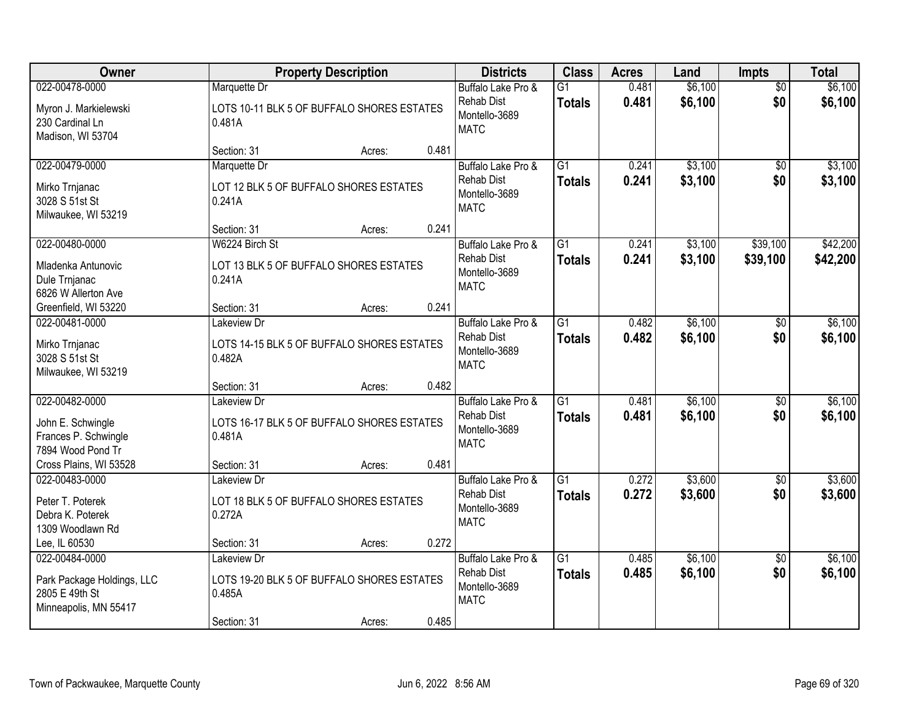| Owner                                                                                   |                                                                                    | <b>Property Description</b> |       | <b>Districts</b>                                                        | <b>Class</b>                     | <b>Acres</b>   | Land               | <b>Impts</b>           | <b>Total</b>         |
|-----------------------------------------------------------------------------------------|------------------------------------------------------------------------------------|-----------------------------|-------|-------------------------------------------------------------------------|----------------------------------|----------------|--------------------|------------------------|----------------------|
| 022-00478-0000<br>Myron J. Markielewski<br>230 Cardinal Ln<br>Madison, WI 53704         | Marquette Dr<br>LOTS 10-11 BLK 5 OF BUFFALO SHORES ESTATES<br>0.481A               |                             |       | Buffalo Lake Pro &<br><b>Rehab Dist</b><br>Montello-3689<br><b>MATC</b> | $\overline{G1}$<br><b>Totals</b> | 0.481<br>0.481 | \$6,100<br>\$6,100 | $\overline{50}$<br>\$0 | \$6,100<br>\$6,100   |
|                                                                                         | Section: 31                                                                        | Acres:                      | 0.481 |                                                                         |                                  |                |                    |                        |                      |
| 022-00479-0000<br>Mirko Trnjanac<br>3028 S 51st St<br>Milwaukee, WI 53219               | Marquette Dr<br>LOT 12 BLK 5 OF BUFFALO SHORES ESTATES<br>0.241A                   |                             |       | Buffalo Lake Pro &<br><b>Rehab Dist</b><br>Montello-3689<br><b>MATC</b> | $\overline{G1}$<br><b>Totals</b> | 0.241<br>0.241 | \$3,100<br>\$3,100 | $\overline{50}$<br>\$0 | \$3,100<br>\$3,100   |
|                                                                                         | Section: 31                                                                        | Acres:                      | 0.241 |                                                                         |                                  |                |                    |                        |                      |
| 022-00480-0000<br>Mladenka Antunovic<br>Dule Trnjanac<br>6826 W Allerton Ave            | W6224 Birch St<br>LOT 13 BLK 5 OF BUFFALO SHORES ESTATES<br>0.241A                 |                             |       | Buffalo Lake Pro &<br><b>Rehab Dist</b><br>Montello-3689<br><b>MATC</b> | $\overline{G1}$<br>Totals        | 0.241<br>0.241 | \$3,100<br>\$3,100 | \$39,100<br>\$39,100   | \$42,200<br>\$42,200 |
| Greenfield, WI 53220                                                                    | Section: 31                                                                        | Acres:                      | 0.241 |                                                                         |                                  |                |                    |                        |                      |
| 022-00481-0000<br>Mirko Trnjanac<br>3028 S 51st St<br>Milwaukee, WI 53219               | Lakeview Dr<br>LOTS 14-15 BLK 5 OF BUFFALO SHORES ESTATES<br>0.482A                |                             |       | Buffalo Lake Pro &<br><b>Rehab Dist</b><br>Montello-3689<br><b>MATC</b> | $\overline{G1}$<br><b>Totals</b> | 0.482<br>0.482 | \$6,100<br>\$6,100 | \$0<br>\$0             | \$6,100<br>\$6,100   |
|                                                                                         | Section: 31                                                                        | Acres:                      | 0.482 |                                                                         |                                  |                |                    |                        |                      |
| 022-00482-0000<br>John E. Schwingle<br>Frances P. Schwingle<br>7894 Wood Pond Tr        | Lakeview Dr<br>LOTS 16-17 BLK 5 OF BUFFALO SHORES ESTATES<br>0.481A                |                             |       | Buffalo Lake Pro &<br><b>Rehab Dist</b><br>Montello-3689<br><b>MATC</b> | $\overline{G1}$<br><b>Totals</b> | 0.481<br>0.481 | \$6,100<br>\$6,100 | \$0<br>\$0             | \$6,100<br>\$6,100   |
| Cross Plains, WI 53528                                                                  | Section: 31                                                                        | Acres:                      | 0.481 |                                                                         |                                  |                |                    |                        |                      |
| 022-00483-0000<br>Peter T. Poterek<br>Debra K. Poterek<br>1309 Woodlawn Rd              | Lakeview Dr<br>LOT 18 BLK 5 OF BUFFALO SHORES ESTATES<br>0.272A                    |                             |       | Buffalo Lake Pro &<br><b>Rehab Dist</b><br>Montello-3689<br><b>MATC</b> | $\overline{G1}$<br><b>Totals</b> | 0.272<br>0.272 | \$3,600<br>\$3,600 | $\overline{60}$<br>\$0 | \$3,600<br>\$3,600   |
| Lee, IL 60530                                                                           | Section: 31                                                                        | Acres:                      | 0.272 |                                                                         |                                  |                |                    |                        |                      |
| 022-00484-0000<br>Park Package Holdings, LLC<br>2805 E 49th St<br>Minneapolis, MN 55417 | Lakeview Dr<br>LOTS 19-20 BLK 5 OF BUFFALO SHORES ESTATES<br>0.485A<br>Section: 31 | Acres:                      | 0.485 | Buffalo Lake Pro &<br><b>Rehab Dist</b><br>Montello-3689<br><b>MATC</b> | $\overline{G1}$<br><b>Totals</b> | 0.485<br>0.485 | \$6,100<br>\$6,100 | \$0<br>\$0             | \$6,100<br>\$6,100   |
|                                                                                         |                                                                                    |                             |       |                                                                         |                                  |                |                    |                        |                      |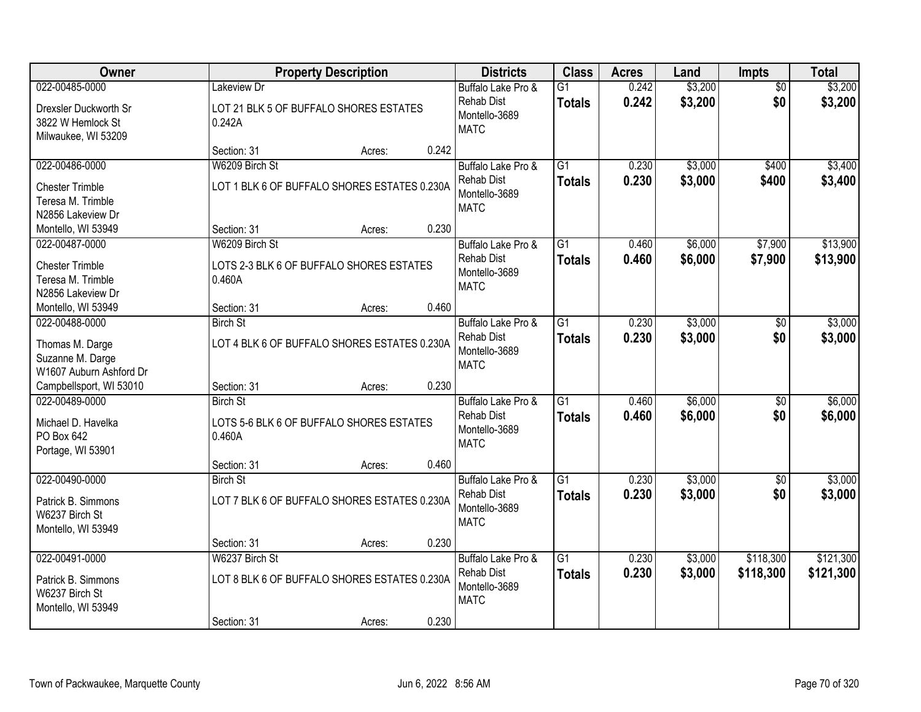| Owner                                                                        |                                                                       | <b>Property Description</b> |       | <b>Districts</b>                                                        | <b>Class</b>                     | <b>Acres</b>   | Land               | <b>Impts</b>           | <b>Total</b>           |
|------------------------------------------------------------------------------|-----------------------------------------------------------------------|-----------------------------|-------|-------------------------------------------------------------------------|----------------------------------|----------------|--------------------|------------------------|------------------------|
| 022-00485-0000                                                               | Lakeview Dr                                                           |                             |       | Buffalo Lake Pro &                                                      | $\overline{G1}$                  | 0.242          | \$3,200            | $\overline{50}$        | \$3,200                |
| Drexsler Duckworth Sr<br>3822 W Hemlock St<br>Milwaukee, WI 53209            | LOT 21 BLK 5 OF BUFFALO SHORES ESTATES<br>0.242A                      |                             |       | <b>Rehab Dist</b><br>Montello-3689<br><b>MATC</b>                       | <b>Totals</b>                    | 0.242          | \$3,200            | \$0                    | \$3,200                |
|                                                                              | Section: 31                                                           | Acres:                      | 0.242 |                                                                         |                                  |                |                    |                        |                        |
| 022-00486-0000                                                               | W6209 Birch St                                                        |                             |       | Buffalo Lake Pro &                                                      | $\overline{G1}$                  | 0.230          | \$3,000            | \$400                  | \$3,400                |
| <b>Chester Trimble</b><br>Teresa M. Trimble<br>N2856 Lakeview Dr             | LOT 1 BLK 6 OF BUFFALO SHORES ESTATES 0.230A                          |                             |       | <b>Rehab Dist</b><br>Montello-3689<br><b>MATC</b>                       | <b>Totals</b>                    | 0.230          | \$3,000            | \$400                  | \$3,400                |
| Montello, WI 53949                                                           | Section: 31                                                           | Acres:                      | 0.230 |                                                                         |                                  |                |                    |                        |                        |
| 022-00487-0000                                                               | W6209 Birch St                                                        |                             |       | Buffalo Lake Pro &                                                      | G1                               | 0.460          | \$6,000            | \$7,900                | \$13,900               |
| <b>Chester Trimble</b><br>Teresa M. Trimble<br>N2856 Lakeview Dr             | LOTS 2-3 BLK 6 OF BUFFALO SHORES ESTATES<br>0.460A                    |                             |       | <b>Rehab Dist</b><br>Montello-3689<br><b>MATC</b>                       | <b>Totals</b>                    | 0.460          | \$6,000            | \$7,900                | \$13,900               |
| Montello, WI 53949                                                           | Section: 31                                                           | Acres:                      | 0.460 |                                                                         |                                  |                |                    |                        |                        |
| 022-00488-0000                                                               | <b>Birch St</b>                                                       |                             |       | Buffalo Lake Pro &                                                      | G1                               | 0.230          | \$3,000            | \$0                    | \$3,000                |
| Thomas M. Darge<br>Suzanne M. Darge<br>W1607 Auburn Ashford Dr               | LOT 4 BLK 6 OF BUFFALO SHORES ESTATES 0.230A                          |                             |       | <b>Rehab Dist</b><br>Montello-3689<br><b>MATC</b>                       | <b>Totals</b>                    | 0.230          | \$3,000            | \$0                    | \$3,000                |
| Campbellsport, WI 53010                                                      | Section: 31                                                           | Acres:                      | 0.230 |                                                                         |                                  |                |                    |                        |                        |
| 022-00489-0000<br>Michael D. Havelka<br>PO Box 642<br>Portage, WI 53901      | <b>Birch St</b><br>LOTS 5-6 BLK 6 OF BUFFALO SHORES ESTATES<br>0.460A |                             |       | Buffalo Lake Pro &<br><b>Rehab Dist</b><br>Montello-3689<br><b>MATC</b> | $\overline{G1}$<br><b>Totals</b> | 0.460<br>0.460 | \$6,000<br>\$6,000 | $\overline{30}$<br>\$0 | \$6,000<br>\$6,000     |
|                                                                              | Section: 31                                                           | Acres:                      | 0.460 |                                                                         |                                  |                |                    |                        |                        |
| 022-00490-0000                                                               | <b>Birch St</b>                                                       |                             |       | Buffalo Lake Pro &                                                      | $\overline{G1}$                  | 0.230          | \$3,000            | $\sqrt{6}$             | \$3,000                |
| Patrick B. Simmons<br>W6237 Birch St<br>Montello, WI 53949                   | LOT 7 BLK 6 OF BUFFALO SHORES ESTATES 0.230A                          |                             |       | <b>Rehab Dist</b><br>Montello-3689<br><b>MATC</b>                       | <b>Totals</b>                    | 0.230          | \$3,000            | \$0                    | \$3,000                |
|                                                                              | Section: 31                                                           | Acres:                      | 0.230 |                                                                         |                                  |                |                    |                        |                        |
| 022-00491-0000<br>Patrick B. Simmons<br>W6237 Birch St<br>Montello, WI 53949 | W6237 Birch St<br>LOT 8 BLK 6 OF BUFFALO SHORES ESTATES 0.230A        |                             |       | Buffalo Lake Pro &<br><b>Rehab Dist</b><br>Montello-3689<br><b>MATC</b> | $\overline{G1}$<br><b>Totals</b> | 0.230<br>0.230 | \$3,000<br>\$3,000 | \$118,300<br>\$118,300 | \$121,300<br>\$121,300 |
|                                                                              | Section: 31                                                           | Acres:                      | 0.230 |                                                                         |                                  |                |                    |                        |                        |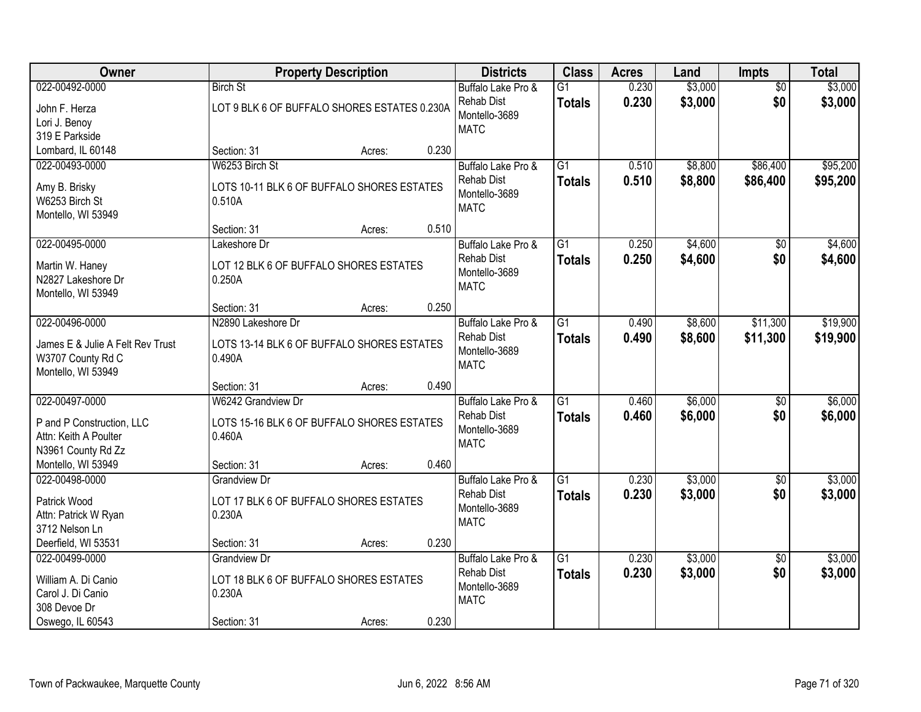| Owner                                                                                          | <b>Property Description</b>                                                            |        |       | <b>Districts</b>                                                        | <b>Class</b>                     | <b>Acres</b>   | Land               | <b>Impts</b>           | <b>Total</b>         |
|------------------------------------------------------------------------------------------------|----------------------------------------------------------------------------------------|--------|-------|-------------------------------------------------------------------------|----------------------------------|----------------|--------------------|------------------------|----------------------|
| 022-00492-0000<br>John F. Herza<br>Lori J. Benoy<br>319 E Parkside                             | <b>Birch St</b><br>LOT 9 BLK 6 OF BUFFALO SHORES ESTATES 0.230A                        |        |       | Buffalo Lake Pro &<br><b>Rehab Dist</b><br>Montello-3689<br><b>MATC</b> | $\overline{G1}$<br><b>Totals</b> | 0.230<br>0.230 | \$3,000<br>\$3,000 | $\overline{50}$<br>\$0 | \$3,000<br>\$3,000   |
| Lombard, IL 60148                                                                              | Section: 31                                                                            | Acres: | 0.230 |                                                                         |                                  |                |                    |                        |                      |
| 022-00493-0000<br>Amy B. Brisky<br>W6253 Birch St<br>Montello, WI 53949                        | W6253 Birch St<br>LOTS 10-11 BLK 6 OF BUFFALO SHORES ESTATES<br>0.510A                 |        |       | Buffalo Lake Pro &<br><b>Rehab Dist</b><br>Montello-3689<br><b>MATC</b> | $\overline{G1}$<br><b>Totals</b> | 0.510<br>0.510 | \$8,800<br>\$8,800 | \$86,400<br>\$86,400   | \$95,200<br>\$95,200 |
|                                                                                                | Section: 31                                                                            | Acres: | 0.510 |                                                                         |                                  |                |                    |                        |                      |
| 022-00495-0000<br>Martin W. Haney<br>N2827 Lakeshore Dr<br>Montello, WI 53949                  | Lakeshore Dr<br>LOT 12 BLK 6 OF BUFFALO SHORES ESTATES<br>0.250A                       |        |       | Buffalo Lake Pro &<br><b>Rehab Dist</b><br>Montello-3689<br><b>MATC</b> | $\overline{G1}$<br><b>Totals</b> | 0.250<br>0.250 | \$4,600<br>\$4,600 | $\sqrt[6]{}$<br>\$0    | \$4,600<br>\$4,600   |
|                                                                                                | Section: 31                                                                            | Acres: | 0.250 |                                                                         |                                  |                |                    |                        |                      |
| 022-00496-0000<br>James E & Julie A Felt Rev Trust<br>W3707 County Rd C<br>Montello, WI 53949  | N2890 Lakeshore Dr<br>LOTS 13-14 BLK 6 OF BUFFALO SHORES ESTATES<br>0.490A             |        |       | Buffalo Lake Pro &<br><b>Rehab Dist</b><br>Montello-3689<br><b>MATC</b> | $\overline{G1}$<br><b>Totals</b> | 0.490<br>0.490 | \$8,600<br>\$8,600 | \$11,300<br>\$11,300   | \$19,900<br>\$19,900 |
|                                                                                                | Section: 31                                                                            | Acres: | 0.490 |                                                                         |                                  |                |                    |                        |                      |
| 022-00497-0000<br>P and P Construction, LLC<br>Attn: Keith A Poulter<br>N3961 County Rd Zz     | W6242 Grandview Dr<br>LOTS 15-16 BLK 6 OF BUFFALO SHORES ESTATES<br>0.460A             |        |       | Buffalo Lake Pro &<br><b>Rehab Dist</b><br>Montello-3689<br><b>MATC</b> | $\overline{G1}$<br><b>Totals</b> | 0.460<br>0.460 | \$6,000<br>\$6,000 | \$0<br>\$0             | \$6,000<br>\$6,000   |
| Montello, WI 53949                                                                             | Section: 31                                                                            | Acres: | 0.460 |                                                                         |                                  |                |                    |                        |                      |
| 022-00498-0000<br>Patrick Wood<br>Attn: Patrick W Ryan<br>3712 Nelson Ln                       | <b>Grandview Dr</b><br>LOT 17 BLK 6 OF BUFFALO SHORES ESTATES<br>0.230A                |        |       | Buffalo Lake Pro &<br><b>Rehab Dist</b><br>Montello-3689<br><b>MATC</b> | $\overline{G1}$<br><b>Totals</b> | 0.230<br>0.230 | \$3,000<br>\$3,000 | $\overline{50}$<br>\$0 | \$3,000<br>\$3,000   |
| Deerfield, WI 53531                                                                            | Section: 31                                                                            | Acres: | 0.230 |                                                                         |                                  |                |                    |                        |                      |
| 022-00499-0000<br>William A. Di Canio<br>Carol J. Di Canio<br>308 Devoe Dr<br>Oswego, IL 60543 | <b>Grandview Dr</b><br>LOT 18 BLK 6 OF BUFFALO SHORES ESTATES<br>0.230A<br>Section: 31 |        | 0.230 | Buffalo Lake Pro &<br><b>Rehab Dist</b><br>Montello-3689<br><b>MATC</b> | $\overline{G1}$<br><b>Totals</b> | 0.230<br>0.230 | \$3,000<br>\$3,000 | \$0<br>\$0             | \$3,000<br>\$3,000   |
|                                                                                                |                                                                                        | Acres: |       |                                                                         |                                  |                |                    |                        |                      |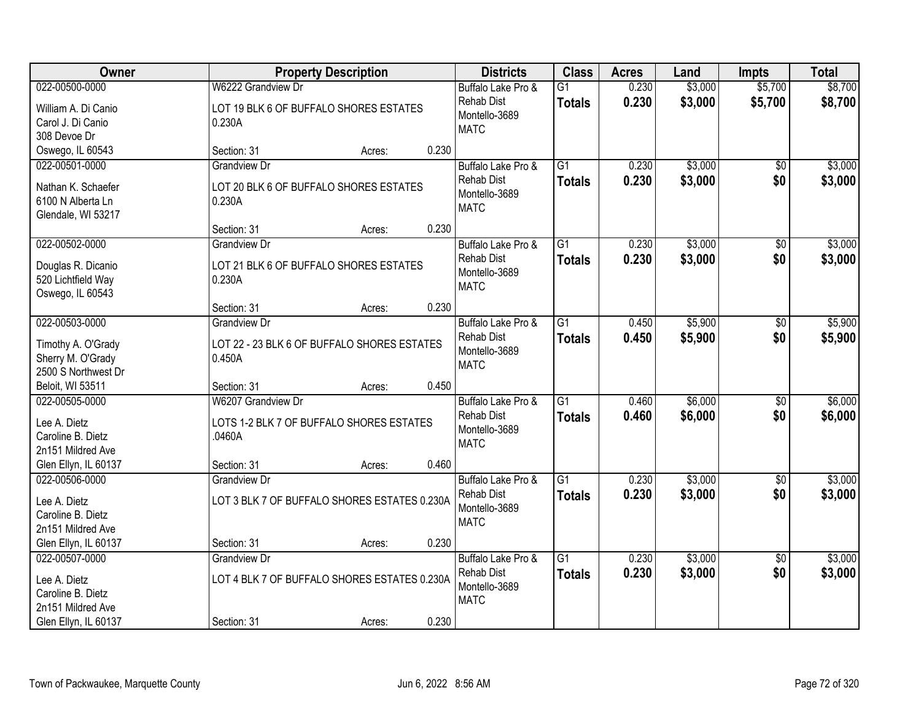| Owner                                   | <b>Property Description</b>                           |                 | <b>Districts</b>             | <b>Class</b>    | <b>Acres</b> | Land    | <b>Impts</b>    | <b>Total</b> |
|-----------------------------------------|-------------------------------------------------------|-----------------|------------------------------|-----------------|--------------|---------|-----------------|--------------|
| 022-00500-0000                          | W6222 Grandview Dr                                    |                 | Buffalo Lake Pro &           | $\overline{G1}$ | 0.230        | \$3,000 | \$5,700         | \$8,700      |
| William A. Di Canio                     | LOT 19 BLK 6 OF BUFFALO SHORES ESTATES                |                 | <b>Rehab Dist</b>            | <b>Totals</b>   | 0.230        | \$3,000 | \$5,700         | \$8,700      |
| Carol J. Di Canio                       | 0.230A                                                |                 | Montello-3689                |                 |              |         |                 |              |
| 308 Devoe Dr                            |                                                       |                 | <b>MATC</b>                  |                 |              |         |                 |              |
| Oswego, IL 60543                        | Section: 31                                           | 0.230<br>Acres: |                              |                 |              |         |                 |              |
| 022-00501-0000                          | <b>Grandview Dr</b>                                   |                 | Buffalo Lake Pro &           | $\overline{G1}$ | 0.230        | \$3,000 | $\overline{50}$ | \$3,000      |
| Nathan K. Schaefer                      | LOT 20 BLK 6 OF BUFFALO SHORES ESTATES                |                 | <b>Rehab Dist</b>            | <b>Totals</b>   | 0.230        | \$3,000 | \$0             | \$3,000      |
| 6100 N Alberta Ln                       | 0.230A                                                |                 | Montello-3689                |                 |              |         |                 |              |
| Glendale, WI 53217                      |                                                       |                 | <b>MATC</b>                  |                 |              |         |                 |              |
|                                         | Section: 31                                           | 0.230<br>Acres: |                              |                 |              |         |                 |              |
| 022-00502-0000                          | <b>Grandview Dr</b>                                   |                 | Buffalo Lake Pro &           | G1              | 0.230        | \$3,000 | \$0             | \$3,000      |
| Douglas R. Dicanio                      | LOT 21 BLK 6 OF BUFFALO SHORES ESTATES                |                 | <b>Rehab Dist</b>            | <b>Totals</b>   | 0.230        | \$3,000 | \$0             | \$3,000      |
| 520 Lichtfield Way                      | 0.230A                                                |                 | Montello-3689                |                 |              |         |                 |              |
| Oswego, IL 60543                        |                                                       |                 | <b>MATC</b>                  |                 |              |         |                 |              |
|                                         | Section: 31                                           | 0.230<br>Acres: |                              |                 |              |         |                 |              |
| 022-00503-0000                          | <b>Grandview Dr</b>                                   |                 | Buffalo Lake Pro &           | G1              | 0.450        | \$5,900 | \$0             | \$5,900      |
|                                         |                                                       |                 | <b>Rehab Dist</b>            | <b>Totals</b>   | 0.450        | \$5,900 | \$0             | \$5,900      |
| Timothy A. O'Grady<br>Sherry M. O'Grady | LOT 22 - 23 BLK 6 OF BUFFALO SHORES ESTATES<br>0.450A |                 | Montello-3689                |                 |              |         |                 |              |
| 2500 S Northwest Dr                     |                                                       |                 | <b>MATC</b>                  |                 |              |         |                 |              |
| Beloit, WI 53511                        | Section: 31                                           | 0.450<br>Acres: |                              |                 |              |         |                 |              |
| 022-00505-0000                          | W6207 Grandview Dr                                    |                 | Buffalo Lake Pro &           | $\overline{G1}$ | 0.460        | \$6,000 | $\overline{30}$ | \$6,000      |
|                                         |                                                       |                 | <b>Rehab Dist</b>            | <b>Totals</b>   | 0.460        | \$6,000 | \$0             | \$6,000      |
| Lee A. Dietz                            | LOTS 1-2 BLK 7 OF BUFFALO SHORES ESTATES              |                 | Montello-3689                |                 |              |         |                 |              |
| Caroline B. Dietz                       | .0460A                                                |                 | <b>MATC</b>                  |                 |              |         |                 |              |
| 2n151 Mildred Ave                       |                                                       |                 |                              |                 |              |         |                 |              |
| Glen Ellyn, IL 60137                    | Section: 31                                           | 0.460<br>Acres: |                              |                 |              |         |                 |              |
| 022-00506-0000                          | <b>Grandview Dr</b>                                   |                 | Buffalo Lake Pro &           | $\overline{G1}$ | 0.230        | \$3,000 | $\sqrt{6}$      | \$3,000      |
| Lee A. Dietz                            | LOT 3 BLK 7 OF BUFFALO SHORES ESTATES 0.230A          |                 | <b>Rehab Dist</b>            | <b>Totals</b>   | 0.230        | \$3,000 | \$0             | \$3,000      |
| Caroline B. Dietz                       |                                                       |                 | Montello-3689<br><b>MATC</b> |                 |              |         |                 |              |
| 2n151 Mildred Ave                       |                                                       |                 |                              |                 |              |         |                 |              |
| Glen Ellyn, IL 60137                    | Section: 31                                           | 0.230<br>Acres: |                              |                 |              |         |                 |              |
| 022-00507-0000                          | <b>Grandview Dr</b>                                   |                 | Buffalo Lake Pro &           | $\overline{G1}$ | 0.230        | \$3,000 | $\overline{50}$ | \$3,000      |
| Lee A. Dietz                            | LOT 4 BLK 7 OF BUFFALO SHORES ESTATES 0.230A          |                 | <b>Rehab Dist</b>            | <b>Totals</b>   | 0.230        | \$3,000 | \$0             | \$3,000      |
| Caroline B. Dietz                       |                                                       |                 | Montello-3689                |                 |              |         |                 |              |
| 2n151 Mildred Ave                       |                                                       |                 | <b>MATC</b>                  |                 |              |         |                 |              |
| Glen Ellyn, IL 60137                    | Section: 31                                           | 0.230<br>Acres: |                              |                 |              |         |                 |              |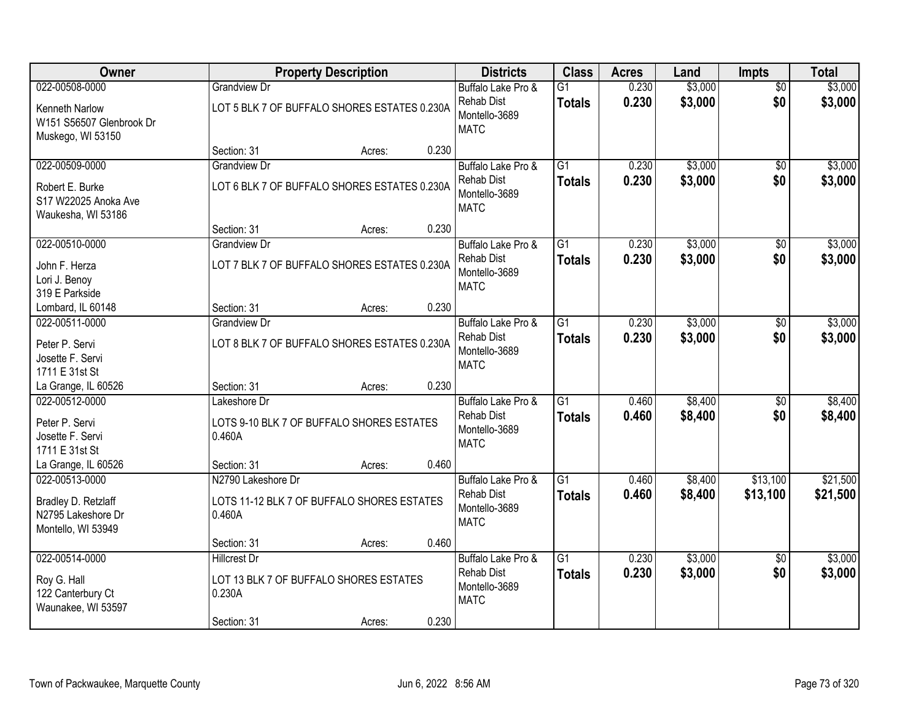| Owner                                                                             | <b>Property Description</b>                                                            |        | <b>Districts</b>                                                                 | <b>Class</b>                     | <b>Acres</b>   | Land               | <b>Impts</b>           | <b>Total</b>         |
|-----------------------------------------------------------------------------------|----------------------------------------------------------------------------------------|--------|----------------------------------------------------------------------------------|----------------------------------|----------------|--------------------|------------------------|----------------------|
| 022-00508-0000<br>Kenneth Narlow<br>W151 S56507 Glenbrook Dr<br>Muskego, WI 53150 | <b>Grandview Dr</b><br>LOT 5 BLK 7 OF BUFFALO SHORES ESTATES 0.230A                    |        | Buffalo Lake Pro &<br>Rehab Dist<br>Montello-3689<br><b>MATC</b>                 | $\overline{G1}$<br><b>Totals</b> | 0.230<br>0.230 | \$3,000<br>\$3,000 | $\overline{50}$<br>\$0 | \$3,000<br>\$3,000   |
|                                                                                   | Section: 31                                                                            | Acres: | 0.230                                                                            |                                  |                |                    |                        |                      |
| 022-00509-0000<br>Robert E. Burke<br>S17 W22025 Anoka Ave<br>Waukesha, WI 53186   | <b>Grandview Dr</b><br>LOT 6 BLK 7 OF BUFFALO SHORES ESTATES 0.230A                    |        | Buffalo Lake Pro &<br><b>Rehab Dist</b><br>Montello-3689<br><b>MATC</b>          | $\overline{G1}$<br><b>Totals</b> | 0.230<br>0.230 | \$3,000<br>\$3,000 | \$0<br>\$0             | \$3,000<br>\$3,000   |
|                                                                                   | Section: 31                                                                            | Acres: | 0.230                                                                            |                                  |                |                    |                        |                      |
| 022-00510-0000<br>John F. Herza<br>Lori J. Benoy<br>319 E Parkside                | <b>Grandview Dr</b><br>LOT 7 BLK 7 OF BUFFALO SHORES ESTATES 0.230A                    |        | Buffalo Lake Pro &<br>Rehab Dist<br>Montello-3689<br><b>MATC</b>                 | $\overline{G1}$<br><b>Totals</b> | 0.230<br>0.230 | \$3,000<br>\$3,000 | \$0<br>\$0             | \$3,000<br>\$3,000   |
| Lombard, IL 60148                                                                 | Section: 31                                                                            | Acres: | 0.230                                                                            |                                  |                |                    |                        |                      |
| 022-00511-0000<br>Peter P. Servi<br>Josette F. Servi<br>1711 E 31st St            | Grandview Dr<br>LOT 8 BLK 7 OF BUFFALO SHORES ESTATES 0.230A                           |        | Buffalo Lake Pro &<br><b>Rehab Dist</b><br>Montello-3689<br><b>MATC</b>          | G1<br><b>Totals</b>              | 0.230<br>0.230 | \$3,000<br>\$3,000 | \$0<br>\$0             | \$3,000<br>\$3,000   |
| La Grange, IL 60526                                                               | Section: 31                                                                            | Acres: | 0.230                                                                            |                                  |                |                    |                        |                      |
| 022-00512-0000<br>Peter P. Servi<br>Josette F. Servi<br>1711 E 31st St            | Lakeshore Dr<br>LOTS 9-10 BLK 7 OF BUFFALO SHORES ESTATES<br>0.460A                    |        | Buffalo Lake Pro &<br><b>Rehab Dist</b><br>Montello-3689<br><b>MATC</b>          | $\overline{G1}$<br><b>Totals</b> | 0.460<br>0.460 | \$8,400<br>\$8,400 | $\overline{50}$<br>\$0 | \$8,400<br>\$8,400   |
| La Grange, IL 60526                                                               | Section: 31                                                                            | Acres: | 0.460                                                                            |                                  |                |                    |                        |                      |
| 022-00513-0000<br>Bradley D. Retzlaff<br>N2795 Lakeshore Dr<br>Montello, WI 53949 | N2790 Lakeshore Dr<br>LOTS 11-12 BLK 7 OF BUFFALO SHORES ESTATES<br>0.460A             |        | Buffalo Lake Pro &<br><b>Rehab Dist</b><br>Montello-3689<br><b>MATC</b>          | $\overline{G1}$<br><b>Totals</b> | 0.460<br>0.460 | \$8,400<br>\$8,400 | \$13,100<br>\$13,100   | \$21,500<br>\$21,500 |
|                                                                                   | Section: 31                                                                            | Acres: | 0.460                                                                            |                                  |                |                    |                        |                      |
| 022-00514-0000<br>Roy G. Hall<br>122 Canterbury Ct<br>Waunakee, WI 53597          | <b>Hillcrest Dr</b><br>LOT 13 BLK 7 OF BUFFALO SHORES ESTATES<br>0.230A<br>Section: 31 | Acres: | Buffalo Lake Pro &<br><b>Rehab Dist</b><br>Montello-3689<br><b>MATC</b><br>0.230 | $\overline{G1}$<br><b>Totals</b> | 0.230<br>0.230 | \$3,000<br>\$3,000 | $\overline{50}$<br>\$0 | \$3,000<br>\$3,000   |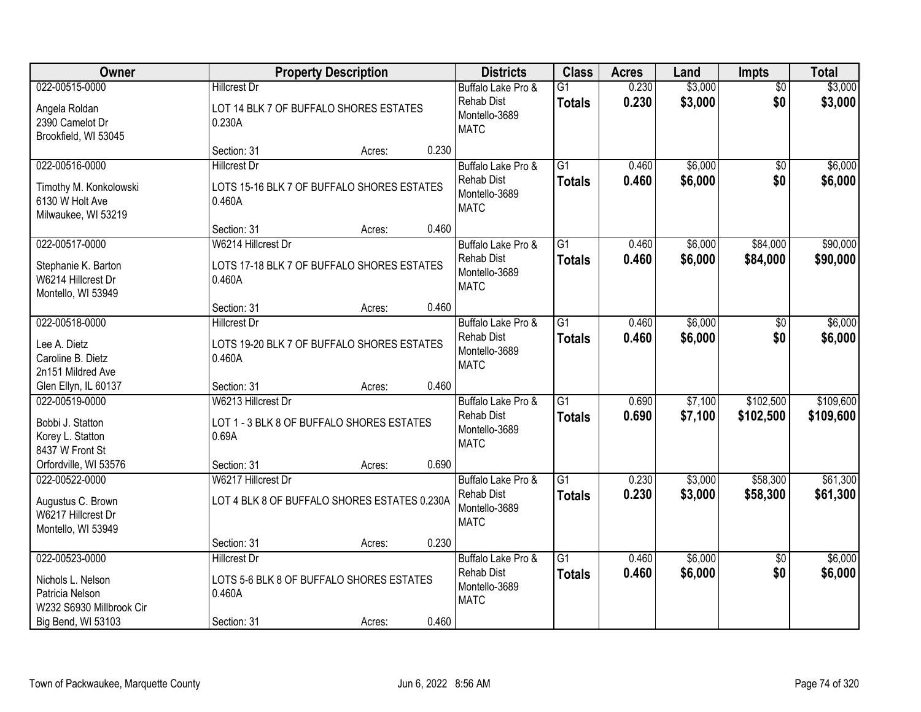| Owner                                                                                                    |                                                                                          | <b>Property Description</b> |       | <b>Districts</b>                                                        | <b>Class</b>                     | <b>Acres</b>   | Land               | <b>Impts</b>           | <b>Total</b>           |
|----------------------------------------------------------------------------------------------------------|------------------------------------------------------------------------------------------|-----------------------------|-------|-------------------------------------------------------------------------|----------------------------------|----------------|--------------------|------------------------|------------------------|
| 022-00515-0000<br>Angela Roldan<br>2390 Camelot Dr<br>Brookfield, WI 53045                               | <b>Hillcrest Dr</b><br>LOT 14 BLK 7 OF BUFFALO SHORES ESTATES<br>0.230A                  |                             |       | Buffalo Lake Pro &<br><b>Rehab Dist</b><br>Montello-3689<br><b>MATC</b> | $\overline{G1}$<br><b>Totals</b> | 0.230<br>0.230 | \$3,000<br>\$3,000 | $\overline{50}$<br>\$0 | \$3,000<br>\$3,000     |
|                                                                                                          | Section: 31                                                                              | Acres:                      | 0.230 |                                                                         |                                  |                |                    |                        |                        |
| 022-00516-0000<br>Timothy M. Konkolowski<br>6130 W Holt Ave<br>Milwaukee, WI 53219                       | <b>Hillcrest Dr</b><br>LOTS 15-16 BLK 7 OF BUFFALO SHORES ESTATES<br>0.460A              |                             |       | Buffalo Lake Pro &<br><b>Rehab Dist</b><br>Montello-3689<br><b>MATC</b> | $\overline{G1}$<br><b>Totals</b> | 0.460<br>0.460 | \$6,000<br>\$6,000 | \$0<br>\$0             | \$6,000<br>\$6,000     |
|                                                                                                          | Section: 31                                                                              | Acres:                      | 0.460 |                                                                         |                                  |                |                    |                        |                        |
| 022-00517-0000<br>Stephanie K. Barton<br>W6214 Hillcrest Dr<br>Montello, WI 53949                        | W6214 Hillcrest Dr<br>LOTS 17-18 BLK 7 OF BUFFALO SHORES ESTATES<br>0.460A               |                             |       | Buffalo Lake Pro &<br><b>Rehab Dist</b><br>Montello-3689<br><b>MATC</b> | $\overline{G1}$<br><b>Totals</b> | 0.460<br>0.460 | \$6,000<br>\$6,000 | \$84,000<br>\$84,000   | \$90,000<br>\$90,000   |
|                                                                                                          | Section: 31                                                                              | Acres:                      | 0.460 |                                                                         |                                  |                |                    |                        |                        |
| 022-00518-0000<br>Lee A. Dietz<br>Caroline B. Dietz<br>2n151 Mildred Ave                                 | <b>Hillcrest Dr</b><br>LOTS 19-20 BLK 7 OF BUFFALO SHORES ESTATES<br>0.460A              |                             |       | Buffalo Lake Pro &<br><b>Rehab Dist</b><br>Montello-3689<br><b>MATC</b> | $\overline{G1}$<br><b>Totals</b> | 0.460<br>0.460 | \$6,000<br>\$6,000 | $\frac{1}{20}$<br>\$0  | \$6,000<br>\$6,000     |
| Glen Ellyn, IL 60137                                                                                     | Section: 31                                                                              | Acres:                      | 0.460 |                                                                         |                                  |                |                    |                        |                        |
| 022-00519-0000<br>Bobbi J. Statton<br>Korey L. Statton<br>8437 W Front St                                | W6213 Hillcrest Dr<br>LOT 1 - 3 BLK 8 OF BUFFALO SHORES ESTATES<br>0.69A                 |                             |       | Buffalo Lake Pro &<br><b>Rehab Dist</b><br>Montello-3689<br><b>MATC</b> | $\overline{G1}$<br><b>Totals</b> | 0.690<br>0.690 | \$7,100<br>\$7,100 | \$102,500<br>\$102,500 | \$109,600<br>\$109,600 |
| Orfordville, WI 53576                                                                                    | Section: 31                                                                              | Acres:                      | 0.690 |                                                                         |                                  |                |                    |                        |                        |
| 022-00522-0000<br>Augustus C. Brown<br>W6217 Hillcrest Dr<br>Montello, WI 53949                          | W6217 Hillcrest Dr<br>LOT 4 BLK 8 OF BUFFALO SHORES ESTATES 0.230A                       |                             |       | Buffalo Lake Pro &<br><b>Rehab Dist</b><br>Montello-3689<br><b>MATC</b> | $\overline{G1}$<br><b>Totals</b> | 0.230<br>0.230 | \$3,000<br>\$3,000 | \$58,300<br>\$58,300   | \$61,300<br>\$61,300   |
|                                                                                                          | Section: 31                                                                              | Acres:                      | 0.230 |                                                                         |                                  |                |                    |                        |                        |
| 022-00523-0000<br>Nichols L. Nelson<br>Patricia Nelson<br>W232 S6930 Millbrook Cir<br>Big Bend, WI 53103 | <b>Hillcrest Dr</b><br>LOTS 5-6 BLK 8 OF BUFFALO SHORES ESTATES<br>0.460A<br>Section: 31 | Acres:                      | 0.460 | Buffalo Lake Pro &<br><b>Rehab Dist</b><br>Montello-3689<br><b>MATC</b> | $\overline{G1}$<br><b>Totals</b> | 0.460<br>0.460 | \$6,000<br>\$6,000 | $\overline{30}$<br>\$0 | \$6,000<br>\$6,000     |
|                                                                                                          |                                                                                          |                             |       |                                                                         |                                  |                |                    |                        |                        |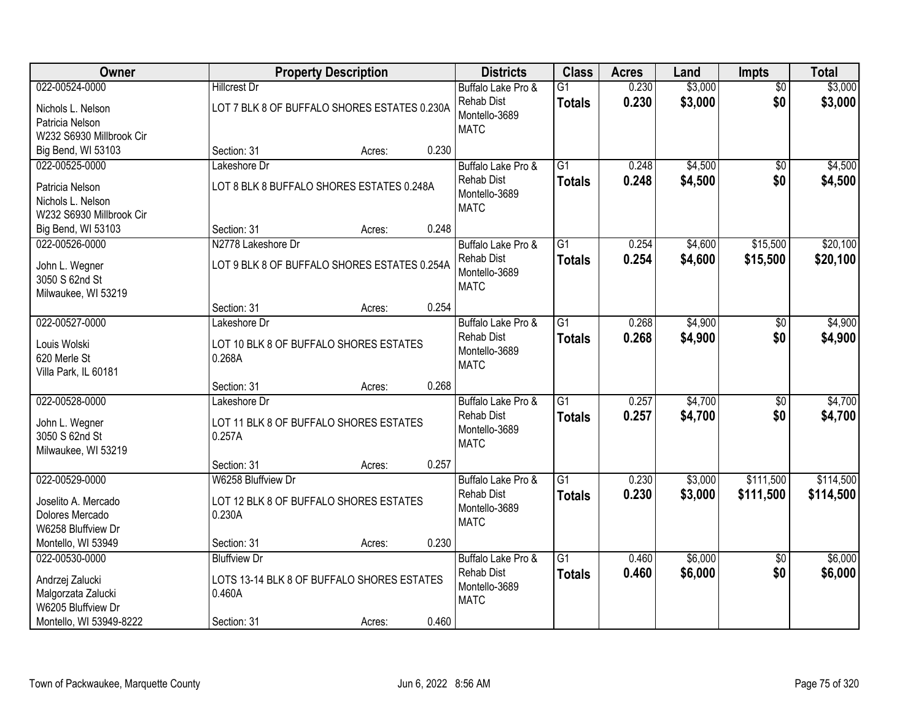| 022-00524-0000<br><b>Hillcrest Dr</b><br>0.230<br>Buffalo Lake Pro &<br>$\overline{G1}$<br>$\overline{50}$<br>\$3,000<br>\$0<br><b>Rehab Dist</b><br>0.230<br><b>Totals</b><br>LOT 7 BLK 8 OF BUFFALO SHORES ESTATES 0.230A<br>Nichols L. Nelson<br>Montello-3689<br>Patricia Nelson<br><b>MATC</b><br>W232 S6930 Millbrook Cir<br>0.230<br>Big Bend, WI 53103<br>Section: 31<br>Acres:<br>\$4,500<br>022-00525-0000<br>Lakeshore Dr<br>Buffalo Lake Pro &<br>$\overline{G1}$<br>0.248<br>$\overline{50}$<br><b>Rehab Dist</b><br>0.248<br>\$4,500<br>\$0<br><b>Totals</b><br>LOT 8 BLK 8 BUFFALO SHORES ESTATES 0.248A<br>Patricia Nelson<br>Montello-3689<br>Nichols L. Nelson<br><b>MATC</b><br>W232 S6930 Millbrook Cir<br>0.248<br>Section: 31<br>Big Bend, WI 53103<br>Acres:<br>022-00526-0000<br>$\overline{G1}$<br>\$15,500<br>N2778 Lakeshore Dr<br>0.254<br>\$4,600<br>Buffalo Lake Pro &<br><b>Rehab Dist</b><br>0.254<br>\$4,600<br>\$15,500<br><b>Totals</b><br>LOT 9 BLK 8 OF BUFFALO SHORES ESTATES 0.254A<br>John L. Wegner<br>Montello-3689<br>3050 S 62nd St<br><b>MATC</b><br>Milwaukee, WI 53219<br>0.254<br>Section: 31<br>Acres:<br>022-00527-0000<br>$\overline{G1}$<br>0.268<br>\$4,900<br>Lakeshore Dr<br>Buffalo Lake Pro &<br>\$0<br><b>Rehab Dist</b><br>0.268<br>\$4,900<br>\$0<br><b>Totals</b><br>Louis Wolski<br>LOT 10 BLK 8 OF BUFFALO SHORES ESTATES<br>Montello-3689<br>620 Merle St<br>0.268A<br><b>MATC</b><br>Villa Park, IL 60181<br>0.268<br>Section: 31<br>Acres:<br>\$4,700<br>022-00528-0000<br>$\overline{G1}$<br>0.257<br>Lakeshore Dr<br>\$0<br>Buffalo Lake Pro &<br>0.257<br>\$4,700<br>\$0<br><b>Rehab Dist</b><br><b>Totals</b><br>LOT 11 BLK 8 OF BUFFALO SHORES ESTATES<br>John L. Wegner<br>Montello-3689<br>3050 S 62nd St<br>0.257A<br><b>MATC</b><br>Milwaukee, WI 53219<br>0.257<br>Section: 31<br>Acres:<br>022-00529-0000<br>$\overline{G1}$<br>0.230<br>\$3,000<br>\$111,500<br>W6258 Bluffview Dr<br>Buffalo Lake Pro &<br><b>Rehab Dist</b><br>0.230<br>\$3,000<br>\$111,500<br><b>Totals</b><br>LOT 12 BLK 8 OF BUFFALO SHORES ESTATES<br>Joselito A. Mercado<br>Montello-3689<br>Dolores Mercado<br>0.230A<br><b>MATC</b><br>W6258 Bluffview Dr<br>0.230<br>Montello, WI 53949<br>Section: 31<br>Acres:<br>\$6,000<br>022-00530-0000<br><b>Bluffview Dr</b><br>$\overline{G1}$<br>Buffalo Lake Pro &<br>0.460<br>\$0<br><b>Rehab Dist</b><br>0.460<br>\$6,000<br>\$0<br><b>Totals</b><br>LOTS 13-14 BLK 8 OF BUFFALO SHORES ESTATES<br>Andrzej Zalucki<br>Montello-3689 | Owner              |        | <b>Property Description</b> | <b>Districts</b> | <b>Class</b> | <b>Acres</b> | Land    | <b>Impts</b> | <b>Total</b>           |
|-------------------------------------------------------------------------------------------------------------------------------------------------------------------------------------------------------------------------------------------------------------------------------------------------------------------------------------------------------------------------------------------------------------------------------------------------------------------------------------------------------------------------------------------------------------------------------------------------------------------------------------------------------------------------------------------------------------------------------------------------------------------------------------------------------------------------------------------------------------------------------------------------------------------------------------------------------------------------------------------------------------------------------------------------------------------------------------------------------------------------------------------------------------------------------------------------------------------------------------------------------------------------------------------------------------------------------------------------------------------------------------------------------------------------------------------------------------------------------------------------------------------------------------------------------------------------------------------------------------------------------------------------------------------------------------------------------------------------------------------------------------------------------------------------------------------------------------------------------------------------------------------------------------------------------------------------------------------------------------------------------------------------------------------------------------------------------------------------------------------------------------------------------------------------------------------------------------------------------------------------------------------------------------------------------------------------------------------------------------------------------------------------------------------------------------------------------------------------------------------------------------------------------------------|--------------------|--------|-----------------------------|------------------|--------------|--------------|---------|--------------|------------------------|
|                                                                                                                                                                                                                                                                                                                                                                                                                                                                                                                                                                                                                                                                                                                                                                                                                                                                                                                                                                                                                                                                                                                                                                                                                                                                                                                                                                                                                                                                                                                                                                                                                                                                                                                                                                                                                                                                                                                                                                                                                                                                                                                                                                                                                                                                                                                                                                                                                                                                                                                                           |                    |        |                             |                  |              |              | \$3,000 |              | \$3,000<br>\$3,000     |
|                                                                                                                                                                                                                                                                                                                                                                                                                                                                                                                                                                                                                                                                                                                                                                                                                                                                                                                                                                                                                                                                                                                                                                                                                                                                                                                                                                                                                                                                                                                                                                                                                                                                                                                                                                                                                                                                                                                                                                                                                                                                                                                                                                                                                                                                                                                                                                                                                                                                                                                                           |                    |        |                             |                  |              |              |         |              |                        |
|                                                                                                                                                                                                                                                                                                                                                                                                                                                                                                                                                                                                                                                                                                                                                                                                                                                                                                                                                                                                                                                                                                                                                                                                                                                                                                                                                                                                                                                                                                                                                                                                                                                                                                                                                                                                                                                                                                                                                                                                                                                                                                                                                                                                                                                                                                                                                                                                                                                                                                                                           |                    |        |                             |                  |              |              |         |              | \$4,500<br>\$4,500     |
|                                                                                                                                                                                                                                                                                                                                                                                                                                                                                                                                                                                                                                                                                                                                                                                                                                                                                                                                                                                                                                                                                                                                                                                                                                                                                                                                                                                                                                                                                                                                                                                                                                                                                                                                                                                                                                                                                                                                                                                                                                                                                                                                                                                                                                                                                                                                                                                                                                                                                                                                           |                    |        |                             |                  |              |              |         |              |                        |
|                                                                                                                                                                                                                                                                                                                                                                                                                                                                                                                                                                                                                                                                                                                                                                                                                                                                                                                                                                                                                                                                                                                                                                                                                                                                                                                                                                                                                                                                                                                                                                                                                                                                                                                                                                                                                                                                                                                                                                                                                                                                                                                                                                                                                                                                                                                                                                                                                                                                                                                                           |                    |        |                             |                  |              |              |         |              | \$20,100<br>\$20,100   |
|                                                                                                                                                                                                                                                                                                                                                                                                                                                                                                                                                                                                                                                                                                                                                                                                                                                                                                                                                                                                                                                                                                                                                                                                                                                                                                                                                                                                                                                                                                                                                                                                                                                                                                                                                                                                                                                                                                                                                                                                                                                                                                                                                                                                                                                                                                                                                                                                                                                                                                                                           |                    |        |                             |                  |              |              |         |              |                        |
|                                                                                                                                                                                                                                                                                                                                                                                                                                                                                                                                                                                                                                                                                                                                                                                                                                                                                                                                                                                                                                                                                                                                                                                                                                                                                                                                                                                                                                                                                                                                                                                                                                                                                                                                                                                                                                                                                                                                                                                                                                                                                                                                                                                                                                                                                                                                                                                                                                                                                                                                           |                    |        |                             |                  |              |              |         |              | \$4,900<br>\$4,900     |
|                                                                                                                                                                                                                                                                                                                                                                                                                                                                                                                                                                                                                                                                                                                                                                                                                                                                                                                                                                                                                                                                                                                                                                                                                                                                                                                                                                                                                                                                                                                                                                                                                                                                                                                                                                                                                                                                                                                                                                                                                                                                                                                                                                                                                                                                                                                                                                                                                                                                                                                                           |                    |        |                             |                  |              |              |         |              |                        |
|                                                                                                                                                                                                                                                                                                                                                                                                                                                                                                                                                                                                                                                                                                                                                                                                                                                                                                                                                                                                                                                                                                                                                                                                                                                                                                                                                                                                                                                                                                                                                                                                                                                                                                                                                                                                                                                                                                                                                                                                                                                                                                                                                                                                                                                                                                                                                                                                                                                                                                                                           |                    |        |                             |                  |              |              |         |              | \$4,700<br>\$4,700     |
|                                                                                                                                                                                                                                                                                                                                                                                                                                                                                                                                                                                                                                                                                                                                                                                                                                                                                                                                                                                                                                                                                                                                                                                                                                                                                                                                                                                                                                                                                                                                                                                                                                                                                                                                                                                                                                                                                                                                                                                                                                                                                                                                                                                                                                                                                                                                                                                                                                                                                                                                           |                    |        |                             |                  |              |              |         |              |                        |
|                                                                                                                                                                                                                                                                                                                                                                                                                                                                                                                                                                                                                                                                                                                                                                                                                                                                                                                                                                                                                                                                                                                                                                                                                                                                                                                                                                                                                                                                                                                                                                                                                                                                                                                                                                                                                                                                                                                                                                                                                                                                                                                                                                                                                                                                                                                                                                                                                                                                                                                                           |                    |        |                             |                  |              |              |         |              | \$114,500<br>\$114,500 |
|                                                                                                                                                                                                                                                                                                                                                                                                                                                                                                                                                                                                                                                                                                                                                                                                                                                                                                                                                                                                                                                                                                                                                                                                                                                                                                                                                                                                                                                                                                                                                                                                                                                                                                                                                                                                                                                                                                                                                                                                                                                                                                                                                                                                                                                                                                                                                                                                                                                                                                                                           |                    |        |                             |                  |              |              |         |              |                        |
| <b>MATC</b><br>W6205 Bluffview Dr<br>0.460<br>Montello, WI 53949-8222<br>Section: 31<br>Acres:                                                                                                                                                                                                                                                                                                                                                                                                                                                                                                                                                                                                                                                                                                                                                                                                                                                                                                                                                                                                                                                                                                                                                                                                                                                                                                                                                                                                                                                                                                                                                                                                                                                                                                                                                                                                                                                                                                                                                                                                                                                                                                                                                                                                                                                                                                                                                                                                                                            | Malgorzata Zalucki | 0.460A |                             |                  |              |              |         |              | \$6,000<br>\$6,000     |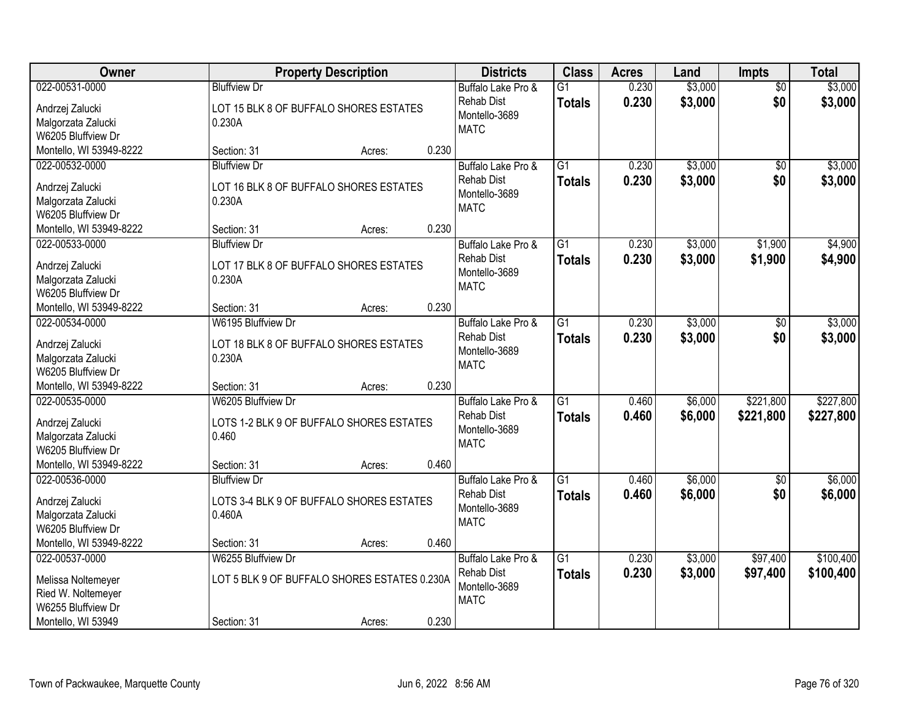| Owner                                                                                                  |                                                                                   | <b>Property Description</b> |       | <b>Districts</b>                                                        | <b>Class</b>                     | <b>Acres</b>   | Land               | <b>Impts</b>           | <b>Total</b>           |
|--------------------------------------------------------------------------------------------------------|-----------------------------------------------------------------------------------|-----------------------------|-------|-------------------------------------------------------------------------|----------------------------------|----------------|--------------------|------------------------|------------------------|
| 022-00531-0000<br>Andrzej Zalucki<br>Malgorzata Zalucki                                                | <b>Bluffview Dr</b><br>LOT 15 BLK 8 OF BUFFALO SHORES ESTATES<br>0.230A           |                             |       | Buffalo Lake Pro &<br><b>Rehab Dist</b><br>Montello-3689<br><b>MATC</b> | $\overline{G1}$<br><b>Totals</b> | 0.230<br>0.230 | \$3,000<br>\$3,000 | $\overline{50}$<br>\$0 | \$3,000<br>\$3,000     |
| W6205 Bluffview Dr                                                                                     |                                                                                   |                             |       |                                                                         |                                  |                |                    |                        |                        |
| Montello, WI 53949-8222<br>022-00532-0000                                                              | Section: 31<br><b>Bluffview Dr</b>                                                | Acres:                      | 0.230 | Buffalo Lake Pro &                                                      | $\overline{G1}$                  | 0.230          | \$3,000            | \$0                    | \$3,000                |
| Andrzej Zalucki<br>Malgorzata Zalucki<br>W6205 Bluffview Dr                                            | LOT 16 BLK 8 OF BUFFALO SHORES ESTATES<br>0.230A                                  |                             |       | <b>Rehab Dist</b><br>Montello-3689<br><b>MATC</b>                       | <b>Totals</b>                    | 0.230          | \$3,000            | \$0                    | \$3,000                |
| Montello, WI 53949-8222                                                                                | Section: 31                                                                       | Acres:                      | 0.230 |                                                                         |                                  |                |                    |                        |                        |
| 022-00533-0000<br>Andrzej Zalucki<br>Malgorzata Zalucki<br>W6205 Bluffview Dr                          | <b>Bluffview Dr</b><br>LOT 17 BLK 8 OF BUFFALO SHORES ESTATES<br>0.230A           |                             |       | Buffalo Lake Pro &<br><b>Rehab Dist</b><br>Montello-3689<br><b>MATC</b> | $\overline{G1}$<br><b>Totals</b> | 0.230<br>0.230 | \$3,000<br>\$3,000 | \$1,900<br>\$1,900     | \$4,900<br>\$4,900     |
| Montello, WI 53949-8222                                                                                | Section: 31                                                                       | Acres:                      | 0.230 |                                                                         |                                  |                |                    |                        |                        |
| 022-00534-0000<br>Andrzej Zalucki<br>Malgorzata Zalucki<br>W6205 Bluffview Dr                          | W6195 Bluffview Dr<br>LOT 18 BLK 8 OF BUFFALO SHORES ESTATES<br>0.230A            |                             |       | Buffalo Lake Pro &<br><b>Rehab Dist</b><br>Montello-3689<br><b>MATC</b> | $\overline{G1}$<br><b>Totals</b> | 0.230<br>0.230 | \$3,000<br>\$3,000 | \$0<br>\$0             | \$3,000<br>\$3,000     |
| Montello, WI 53949-8222                                                                                | Section: 31                                                                       | Acres:                      | 0.230 |                                                                         |                                  |                |                    |                        |                        |
| 022-00535-0000<br>Andrzej Zalucki<br>Malgorzata Zalucki<br>W6205 Bluffview Dr                          | W6205 Bluffview Dr<br>LOTS 1-2 BLK 9 OF BUFFALO SHORES ESTATES<br>0.460           |                             |       | Buffalo Lake Pro &<br><b>Rehab Dist</b><br>Montello-3689<br><b>MATC</b> | $\overline{G1}$<br><b>Totals</b> | 0.460<br>0.460 | \$6,000<br>\$6,000 | \$221,800<br>\$221,800 | \$227,800<br>\$227,800 |
| Montello, WI 53949-8222                                                                                | Section: 31                                                                       | Acres:                      | 0.460 |                                                                         |                                  |                |                    |                        |                        |
| 022-00536-0000<br>Andrzej Zalucki<br>Malgorzata Zalucki<br>W6205 Bluffview Dr                          | <b>Bluffview Dr</b><br>LOTS 3-4 BLK 9 OF BUFFALO SHORES ESTATES<br>0.460A         |                             |       | Buffalo Lake Pro &<br><b>Rehab Dist</b><br>Montello-3689<br><b>MATC</b> | $\overline{G1}$<br><b>Totals</b> | 0.460<br>0.460 | \$6,000<br>\$6,000 | \$0<br>\$0             | \$6,000<br>\$6,000     |
| Montello, WI 53949-8222                                                                                | Section: 31                                                                       | Acres:                      | 0.460 |                                                                         |                                  |                |                    |                        |                        |
| 022-00537-0000<br>Melissa Noltemeyer<br>Ried W. Noltemeyer<br>W6255 Bluffview Dr<br>Montello, WI 53949 | W6255 Bluffview Dr<br>LOT 5 BLK 9 OF BUFFALO SHORES ESTATES 0.230A<br>Section: 31 | Acres:                      | 0.230 | Buffalo Lake Pro &<br><b>Rehab Dist</b><br>Montello-3689<br><b>MATC</b> | $\overline{G1}$<br><b>Totals</b> | 0.230<br>0.230 | \$3,000<br>\$3,000 | \$97,400<br>\$97,400   | \$100,400<br>\$100,400 |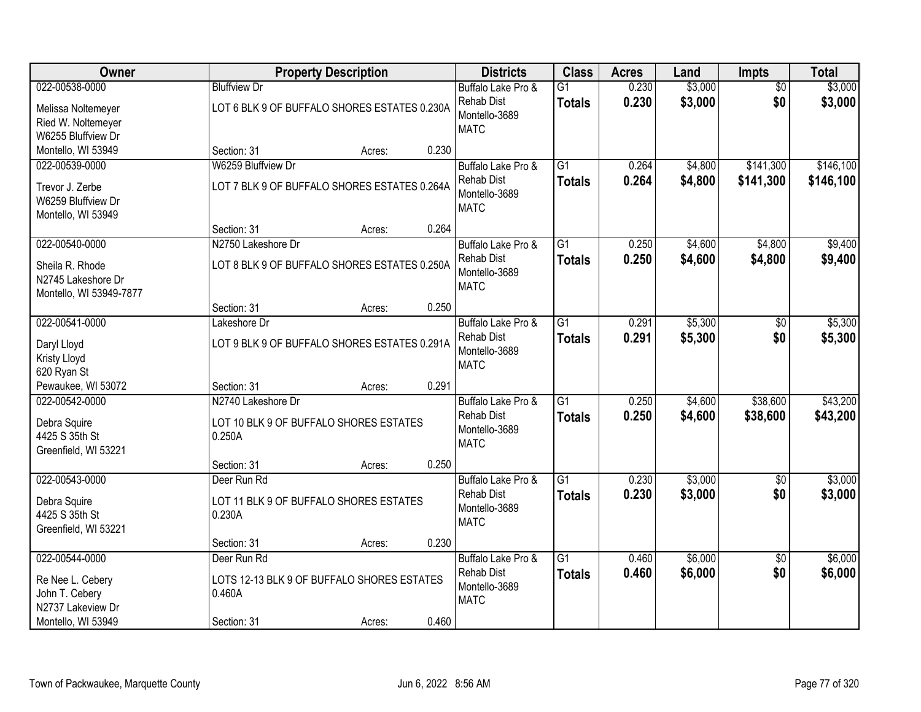| 022-00538-0000<br>\$3,000<br>\$3,000<br><b>Bluffview Dr</b><br>$\overline{G1}$<br>0.230<br>$\overline{50}$<br>Buffalo Lake Pro &<br>0.230<br>\$3,000<br>\$0<br>\$3,000<br><b>Rehab Dist</b><br><b>Totals</b><br>LOT 6 BLK 9 OF BUFFALO SHORES ESTATES 0.230A<br>Melissa Noltemeyer<br>Montello-3689<br>Ried W. Noltemeyer<br><b>MATC</b><br>W6255 Bluffview Dr<br>0.230<br>Montello, WI 53949<br>Section: 31<br>Acres:<br>W6259 Bluffview Dr<br>$\overline{G1}$<br>\$4,800<br>\$141,300<br>022-00539-0000<br>Buffalo Lake Pro &<br>0.264<br>0.264<br><b>Rehab Dist</b><br>\$4,800<br>\$141,300<br><b>Totals</b><br>LOT 7 BLK 9 OF BUFFALO SHORES ESTATES 0.264A<br>Trevor J. Zerbe<br>Montello-3689<br>W6259 Bluffview Dr<br><b>MATC</b><br>Montello, WI 53949<br>0.264<br>Section: 31<br>Acres:<br>\$4,800<br>022-00540-0000<br>N2750 Lakeshore Dr<br>$\overline{G1}$<br>0.250<br>\$4,600<br>Buffalo Lake Pro &<br><b>Rehab Dist</b><br>0.250<br>\$4,600<br>\$4,800<br><b>Totals</b><br>LOT 8 BLK 9 OF BUFFALO SHORES ESTATES 0.250A<br>Sheila R. Rhode<br>Montello-3689<br>N2745 Lakeshore Dr<br><b>MATC</b><br>Montello, WI 53949-7877<br>0.250<br>Section: 31<br>Acres:<br>022-00541-0000<br>$\overline{G1}$<br>\$5,300<br>Lakeshore Dr<br>Buffalo Lake Pro &<br>0.291<br>\$0<br>0.291<br>\$0<br>Rehab Dist<br>\$5,300<br><b>Totals</b><br>LOT 9 BLK 9 OF BUFFALO SHORES ESTATES 0.291A<br>Daryl Lloyd<br>Montello-3689<br>Kristy Lloyd<br><b>MATC</b><br>620 Ryan St<br>0.291<br>Pewaukee, WI 53072<br>Section: 31<br>Acres:<br>$\overline{G1}$<br>\$4,600<br>\$38,600<br>022-00542-0000<br>N2740 Lakeshore Dr<br>0.250<br>Buffalo Lake Pro &<br>0.250<br>\$4,600<br>\$38,600<br><b>Rehab Dist</b><br><b>Totals</b><br>Debra Squire<br>LOT 10 BLK 9 OF BUFFALO SHORES ESTATES<br>Montello-3689<br>4425 S 35th St<br>0.250A<br><b>MATC</b><br>Greenfield, WI 53221<br>0.250<br>Section: 31<br>Acres:<br>$\overline{G1}$<br>\$3,000<br>022-00543-0000<br>0.230<br>$\overline{60}$<br>Deer Run Rd<br>Buffalo Lake Pro &<br>0.230<br>\$3,000<br>\$0<br><b>Rehab Dist</b><br><b>Totals</b><br>LOT 11 BLK 9 OF BUFFALO SHORES ESTATES<br>Debra Squire<br>Montello-3689<br>0.230A<br>4425 S 35th St<br><b>MATC</b><br>Greenfield, WI 53221<br>0.230<br>Section: 31<br>Acres:<br>022-00544-0000<br>$\overline{G1}$<br>\$6,000<br>\$6,000<br>Deer Run Rd<br>Buffalo Lake Pro &<br>0.460<br>$\overline{50}$<br><b>Rehab Dist</b><br>0.460<br>\$6,000<br>\$0<br><b>Totals</b><br>Re Nee L. Cebery<br>LOTS 12-13 BLK 9 OF BUFFALO SHORES ESTATES<br>Montello-3689<br>John T. Cebery<br>0.460A<br><b>MATC</b><br>N2737 Lakeview Dr<br>Montello, WI 53949<br>0.460<br>Section: 31<br>Acres: | <b>Owner</b> | <b>Property Description</b> | <b>Districts</b> | <b>Class</b> | <b>Acres</b> | Land | <b>Impts</b> | <b>Total</b> |
|------------------------------------------------------------------------------------------------------------------------------------------------------------------------------------------------------------------------------------------------------------------------------------------------------------------------------------------------------------------------------------------------------------------------------------------------------------------------------------------------------------------------------------------------------------------------------------------------------------------------------------------------------------------------------------------------------------------------------------------------------------------------------------------------------------------------------------------------------------------------------------------------------------------------------------------------------------------------------------------------------------------------------------------------------------------------------------------------------------------------------------------------------------------------------------------------------------------------------------------------------------------------------------------------------------------------------------------------------------------------------------------------------------------------------------------------------------------------------------------------------------------------------------------------------------------------------------------------------------------------------------------------------------------------------------------------------------------------------------------------------------------------------------------------------------------------------------------------------------------------------------------------------------------------------------------------------------------------------------------------------------------------------------------------------------------------------------------------------------------------------------------------------------------------------------------------------------------------------------------------------------------------------------------------------------------------------------------------------------------------------------------------------------------------------------------------------------------------------------------------------------------------------------------------------------------------------------------------------------------------------------------------------------------------------------|--------------|-----------------------------|------------------|--------------|--------------|------|--------------|--------------|
|                                                                                                                                                                                                                                                                                                                                                                                                                                                                                                                                                                                                                                                                                                                                                                                                                                                                                                                                                                                                                                                                                                                                                                                                                                                                                                                                                                                                                                                                                                                                                                                                                                                                                                                                                                                                                                                                                                                                                                                                                                                                                                                                                                                                                                                                                                                                                                                                                                                                                                                                                                                                                                                                                    |              |                             |                  |              |              |      |              |              |
|                                                                                                                                                                                                                                                                                                                                                                                                                                                                                                                                                                                                                                                                                                                                                                                                                                                                                                                                                                                                                                                                                                                                                                                                                                                                                                                                                                                                                                                                                                                                                                                                                                                                                                                                                                                                                                                                                                                                                                                                                                                                                                                                                                                                                                                                                                                                                                                                                                                                                                                                                                                                                                                                                    |              |                             |                  |              |              |      |              |              |
| \$146,100<br>\$146,100<br>\$5,300<br>\$5,300<br>\$43,200<br>\$6,000                                                                                                                                                                                                                                                                                                                                                                                                                                                                                                                                                                                                                                                                                                                                                                                                                                                                                                                                                                                                                                                                                                                                                                                                                                                                                                                                                                                                                                                                                                                                                                                                                                                                                                                                                                                                                                                                                                                                                                                                                                                                                                                                                                                                                                                                                                                                                                                                                                                                                                                                                                                                                |              |                             |                  |              |              |      |              |              |
|                                                                                                                                                                                                                                                                                                                                                                                                                                                                                                                                                                                                                                                                                                                                                                                                                                                                                                                                                                                                                                                                                                                                                                                                                                                                                                                                                                                                                                                                                                                                                                                                                                                                                                                                                                                                                                                                                                                                                                                                                                                                                                                                                                                                                                                                                                                                                                                                                                                                                                                                                                                                                                                                                    |              |                             |                  |              |              |      |              |              |
| \$9,400<br>\$9,400<br>\$43,200<br>\$3,000<br>\$3,000                                                                                                                                                                                                                                                                                                                                                                                                                                                                                                                                                                                                                                                                                                                                                                                                                                                                                                                                                                                                                                                                                                                                                                                                                                                                                                                                                                                                                                                                                                                                                                                                                                                                                                                                                                                                                                                                                                                                                                                                                                                                                                                                                                                                                                                                                                                                                                                                                                                                                                                                                                                                                               |              |                             |                  |              |              |      |              |              |
|                                                                                                                                                                                                                                                                                                                                                                                                                                                                                                                                                                                                                                                                                                                                                                                                                                                                                                                                                                                                                                                                                                                                                                                                                                                                                                                                                                                                                                                                                                                                                                                                                                                                                                                                                                                                                                                                                                                                                                                                                                                                                                                                                                                                                                                                                                                                                                                                                                                                                                                                                                                                                                                                                    |              |                             |                  |              |              |      |              |              |
|                                                                                                                                                                                                                                                                                                                                                                                                                                                                                                                                                                                                                                                                                                                                                                                                                                                                                                                                                                                                                                                                                                                                                                                                                                                                                                                                                                                                                                                                                                                                                                                                                                                                                                                                                                                                                                                                                                                                                                                                                                                                                                                                                                                                                                                                                                                                                                                                                                                                                                                                                                                                                                                                                    |              |                             |                  |              |              |      |              |              |
|                                                                                                                                                                                                                                                                                                                                                                                                                                                                                                                                                                                                                                                                                                                                                                                                                                                                                                                                                                                                                                                                                                                                                                                                                                                                                                                                                                                                                                                                                                                                                                                                                                                                                                                                                                                                                                                                                                                                                                                                                                                                                                                                                                                                                                                                                                                                                                                                                                                                                                                                                                                                                                                                                    |              |                             |                  |              |              |      |              |              |
|                                                                                                                                                                                                                                                                                                                                                                                                                                                                                                                                                                                                                                                                                                                                                                                                                                                                                                                                                                                                                                                                                                                                                                                                                                                                                                                                                                                                                                                                                                                                                                                                                                                                                                                                                                                                                                                                                                                                                                                                                                                                                                                                                                                                                                                                                                                                                                                                                                                                                                                                                                                                                                                                                    |              |                             |                  |              |              |      |              |              |
|                                                                                                                                                                                                                                                                                                                                                                                                                                                                                                                                                                                                                                                                                                                                                                                                                                                                                                                                                                                                                                                                                                                                                                                                                                                                                                                                                                                                                                                                                                                                                                                                                                                                                                                                                                                                                                                                                                                                                                                                                                                                                                                                                                                                                                                                                                                                                                                                                                                                                                                                                                                                                                                                                    |              |                             |                  |              |              |      |              |              |
|                                                                                                                                                                                                                                                                                                                                                                                                                                                                                                                                                                                                                                                                                                                                                                                                                                                                                                                                                                                                                                                                                                                                                                                                                                                                                                                                                                                                                                                                                                                                                                                                                                                                                                                                                                                                                                                                                                                                                                                                                                                                                                                                                                                                                                                                                                                                                                                                                                                                                                                                                                                                                                                                                    |              |                             |                  |              |              |      |              |              |
|                                                                                                                                                                                                                                                                                                                                                                                                                                                                                                                                                                                                                                                                                                                                                                                                                                                                                                                                                                                                                                                                                                                                                                                                                                                                                                                                                                                                                                                                                                                                                                                                                                                                                                                                                                                                                                                                                                                                                                                                                                                                                                                                                                                                                                                                                                                                                                                                                                                                                                                                                                                                                                                                                    |              |                             |                  |              |              |      |              |              |
|                                                                                                                                                                                                                                                                                                                                                                                                                                                                                                                                                                                                                                                                                                                                                                                                                                                                                                                                                                                                                                                                                                                                                                                                                                                                                                                                                                                                                                                                                                                                                                                                                                                                                                                                                                                                                                                                                                                                                                                                                                                                                                                                                                                                                                                                                                                                                                                                                                                                                                                                                                                                                                                                                    |              |                             |                  |              |              |      |              |              |
|                                                                                                                                                                                                                                                                                                                                                                                                                                                                                                                                                                                                                                                                                                                                                                                                                                                                                                                                                                                                                                                                                                                                                                                                                                                                                                                                                                                                                                                                                                                                                                                                                                                                                                                                                                                                                                                                                                                                                                                                                                                                                                                                                                                                                                                                                                                                                                                                                                                                                                                                                                                                                                                                                    |              |                             |                  |              |              |      |              |              |
|                                                                                                                                                                                                                                                                                                                                                                                                                                                                                                                                                                                                                                                                                                                                                                                                                                                                                                                                                                                                                                                                                                                                                                                                                                                                                                                                                                                                                                                                                                                                                                                                                                                                                                                                                                                                                                                                                                                                                                                                                                                                                                                                                                                                                                                                                                                                                                                                                                                                                                                                                                                                                                                                                    |              |                             |                  |              |              |      |              |              |
|                                                                                                                                                                                                                                                                                                                                                                                                                                                                                                                                                                                                                                                                                                                                                                                                                                                                                                                                                                                                                                                                                                                                                                                                                                                                                                                                                                                                                                                                                                                                                                                                                                                                                                                                                                                                                                                                                                                                                                                                                                                                                                                                                                                                                                                                                                                                                                                                                                                                                                                                                                                                                                                                                    |              |                             |                  |              |              |      |              |              |
|                                                                                                                                                                                                                                                                                                                                                                                                                                                                                                                                                                                                                                                                                                                                                                                                                                                                                                                                                                                                                                                                                                                                                                                                                                                                                                                                                                                                                                                                                                                                                                                                                                                                                                                                                                                                                                                                                                                                                                                                                                                                                                                                                                                                                                                                                                                                                                                                                                                                                                                                                                                                                                                                                    |              |                             |                  |              |              |      |              |              |
|                                                                                                                                                                                                                                                                                                                                                                                                                                                                                                                                                                                                                                                                                                                                                                                                                                                                                                                                                                                                                                                                                                                                                                                                                                                                                                                                                                                                                                                                                                                                                                                                                                                                                                                                                                                                                                                                                                                                                                                                                                                                                                                                                                                                                                                                                                                                                                                                                                                                                                                                                                                                                                                                                    |              |                             |                  |              |              |      |              |              |
|                                                                                                                                                                                                                                                                                                                                                                                                                                                                                                                                                                                                                                                                                                                                                                                                                                                                                                                                                                                                                                                                                                                                                                                                                                                                                                                                                                                                                                                                                                                                                                                                                                                                                                                                                                                                                                                                                                                                                                                                                                                                                                                                                                                                                                                                                                                                                                                                                                                                                                                                                                                                                                                                                    |              |                             |                  |              |              |      |              |              |
|                                                                                                                                                                                                                                                                                                                                                                                                                                                                                                                                                                                                                                                                                                                                                                                                                                                                                                                                                                                                                                                                                                                                                                                                                                                                                                                                                                                                                                                                                                                                                                                                                                                                                                                                                                                                                                                                                                                                                                                                                                                                                                                                                                                                                                                                                                                                                                                                                                                                                                                                                                                                                                                                                    |              |                             |                  |              |              |      |              |              |
|                                                                                                                                                                                                                                                                                                                                                                                                                                                                                                                                                                                                                                                                                                                                                                                                                                                                                                                                                                                                                                                                                                                                                                                                                                                                                                                                                                                                                                                                                                                                                                                                                                                                                                                                                                                                                                                                                                                                                                                                                                                                                                                                                                                                                                                                                                                                                                                                                                                                                                                                                                                                                                                                                    |              |                             |                  |              |              |      |              |              |
|                                                                                                                                                                                                                                                                                                                                                                                                                                                                                                                                                                                                                                                                                                                                                                                                                                                                                                                                                                                                                                                                                                                                                                                                                                                                                                                                                                                                                                                                                                                                                                                                                                                                                                                                                                                                                                                                                                                                                                                                                                                                                                                                                                                                                                                                                                                                                                                                                                                                                                                                                                                                                                                                                    |              |                             |                  |              |              |      |              |              |
|                                                                                                                                                                                                                                                                                                                                                                                                                                                                                                                                                                                                                                                                                                                                                                                                                                                                                                                                                                                                                                                                                                                                                                                                                                                                                                                                                                                                                                                                                                                                                                                                                                                                                                                                                                                                                                                                                                                                                                                                                                                                                                                                                                                                                                                                                                                                                                                                                                                                                                                                                                                                                                                                                    |              |                             |                  |              |              |      |              |              |
|                                                                                                                                                                                                                                                                                                                                                                                                                                                                                                                                                                                                                                                                                                                                                                                                                                                                                                                                                                                                                                                                                                                                                                                                                                                                                                                                                                                                                                                                                                                                                                                                                                                                                                                                                                                                                                                                                                                                                                                                                                                                                                                                                                                                                                                                                                                                                                                                                                                                                                                                                                                                                                                                                    |              |                             |                  |              |              |      |              |              |
|                                                                                                                                                                                                                                                                                                                                                                                                                                                                                                                                                                                                                                                                                                                                                                                                                                                                                                                                                                                                                                                                                                                                                                                                                                                                                                                                                                                                                                                                                                                                                                                                                                                                                                                                                                                                                                                                                                                                                                                                                                                                                                                                                                                                                                                                                                                                                                                                                                                                                                                                                                                                                                                                                    |              |                             |                  |              |              |      |              |              |
|                                                                                                                                                                                                                                                                                                                                                                                                                                                                                                                                                                                                                                                                                                                                                                                                                                                                                                                                                                                                                                                                                                                                                                                                                                                                                                                                                                                                                                                                                                                                                                                                                                                                                                                                                                                                                                                                                                                                                                                                                                                                                                                                                                                                                                                                                                                                                                                                                                                                                                                                                                                                                                                                                    |              |                             |                  |              |              |      |              |              |
|                                                                                                                                                                                                                                                                                                                                                                                                                                                                                                                                                                                                                                                                                                                                                                                                                                                                                                                                                                                                                                                                                                                                                                                                                                                                                                                                                                                                                                                                                                                                                                                                                                                                                                                                                                                                                                                                                                                                                                                                                                                                                                                                                                                                                                                                                                                                                                                                                                                                                                                                                                                                                                                                                    |              |                             |                  |              |              |      |              |              |
|                                                                                                                                                                                                                                                                                                                                                                                                                                                                                                                                                                                                                                                                                                                                                                                                                                                                                                                                                                                                                                                                                                                                                                                                                                                                                                                                                                                                                                                                                                                                                                                                                                                                                                                                                                                                                                                                                                                                                                                                                                                                                                                                                                                                                                                                                                                                                                                                                                                                                                                                                                                                                                                                                    |              |                             |                  |              |              |      |              |              |
|                                                                                                                                                                                                                                                                                                                                                                                                                                                                                                                                                                                                                                                                                                                                                                                                                                                                                                                                                                                                                                                                                                                                                                                                                                                                                                                                                                                                                                                                                                                                                                                                                                                                                                                                                                                                                                                                                                                                                                                                                                                                                                                                                                                                                                                                                                                                                                                                                                                                                                                                                                                                                                                                                    |              |                             |                  |              |              |      |              |              |
|                                                                                                                                                                                                                                                                                                                                                                                                                                                                                                                                                                                                                                                                                                                                                                                                                                                                                                                                                                                                                                                                                                                                                                                                                                                                                                                                                                                                                                                                                                                                                                                                                                                                                                                                                                                                                                                                                                                                                                                                                                                                                                                                                                                                                                                                                                                                                                                                                                                                                                                                                                                                                                                                                    |              |                             |                  |              |              |      |              |              |
|                                                                                                                                                                                                                                                                                                                                                                                                                                                                                                                                                                                                                                                                                                                                                                                                                                                                                                                                                                                                                                                                                                                                                                                                                                                                                                                                                                                                                                                                                                                                                                                                                                                                                                                                                                                                                                                                                                                                                                                                                                                                                                                                                                                                                                                                                                                                                                                                                                                                                                                                                                                                                                                                                    |              |                             |                  |              |              |      |              |              |
|                                                                                                                                                                                                                                                                                                                                                                                                                                                                                                                                                                                                                                                                                                                                                                                                                                                                                                                                                                                                                                                                                                                                                                                                                                                                                                                                                                                                                                                                                                                                                                                                                                                                                                                                                                                                                                                                                                                                                                                                                                                                                                                                                                                                                                                                                                                                                                                                                                                                                                                                                                                                                                                                                    |              |                             |                  |              |              |      |              |              |
|                                                                                                                                                                                                                                                                                                                                                                                                                                                                                                                                                                                                                                                                                                                                                                                                                                                                                                                                                                                                                                                                                                                                                                                                                                                                                                                                                                                                                                                                                                                                                                                                                                                                                                                                                                                                                                                                                                                                                                                                                                                                                                                                                                                                                                                                                                                                                                                                                                                                                                                                                                                                                                                                                    |              |                             |                  |              |              |      |              |              |
|                                                                                                                                                                                                                                                                                                                                                                                                                                                                                                                                                                                                                                                                                                                                                                                                                                                                                                                                                                                                                                                                                                                                                                                                                                                                                                                                                                                                                                                                                                                                                                                                                                                                                                                                                                                                                                                                                                                                                                                                                                                                                                                                                                                                                                                                                                                                                                                                                                                                                                                                                                                                                                                                                    |              |                             |                  |              |              |      |              |              |
|                                                                                                                                                                                                                                                                                                                                                                                                                                                                                                                                                                                                                                                                                                                                                                                                                                                                                                                                                                                                                                                                                                                                                                                                                                                                                                                                                                                                                                                                                                                                                                                                                                                                                                                                                                                                                                                                                                                                                                                                                                                                                                                                                                                                                                                                                                                                                                                                                                                                                                                                                                                                                                                                                    |              |                             |                  |              |              |      |              |              |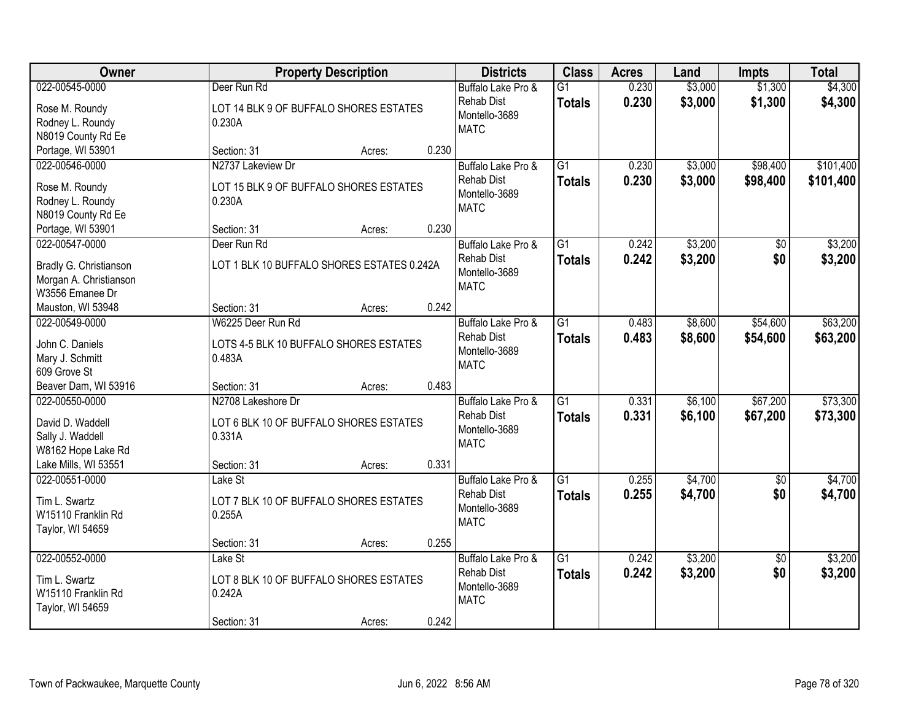| Owner                                                                                 | <b>Property Description</b>                                                                   | <b>Districts</b>                                                        | <b>Class</b>                     | <b>Acres</b>   | Land               | <b>Impts</b>           | <b>Total</b>           |
|---------------------------------------------------------------------------------------|-----------------------------------------------------------------------------------------------|-------------------------------------------------------------------------|----------------------------------|----------------|--------------------|------------------------|------------------------|
| 022-00545-0000<br>Rose M. Roundy<br>Rodney L. Roundy<br>N8019 County Rd Ee            | Deer Run Rd<br>LOT 14 BLK 9 OF BUFFALO SHORES ESTATES<br>0.230A                               | Buffalo Lake Pro &<br><b>Rehab Dist</b><br>Montello-3689<br><b>MATC</b> | $\overline{G1}$<br><b>Totals</b> | 0.230<br>0.230 | \$3,000<br>\$3,000 | \$1,300<br>\$1,300     | \$4,300<br>\$4,300     |
| Portage, WI 53901                                                                     | 0.230<br>Section: 31<br>Acres:                                                                |                                                                         |                                  |                |                    |                        |                        |
| 022-00546-0000<br>Rose M. Roundy<br>Rodney L. Roundy<br>N8019 County Rd Ee            | N2737 Lakeview Dr<br>LOT 15 BLK 9 OF BUFFALO SHORES ESTATES<br>0.230A                         | Buffalo Lake Pro &<br><b>Rehab Dist</b><br>Montello-3689<br><b>MATC</b> | $\overline{G1}$<br><b>Totals</b> | 0.230<br>0.230 | \$3,000<br>\$3,000 | \$98,400<br>\$98,400   | \$101,400<br>\$101,400 |
| Portage, WI 53901                                                                     | 0.230<br>Section: 31<br>Acres:                                                                |                                                                         |                                  |                |                    |                        |                        |
| 022-00547-0000<br>Bradly G. Christianson<br>Morgan A. Christianson<br>W3556 Emanee Dr | Deer Run Rd<br>LOT 1 BLK 10 BUFFALO SHORES ESTATES 0.242A                                     | Buffalo Lake Pro &<br><b>Rehab Dist</b><br>Montello-3689<br><b>MATC</b> | $\overline{G1}$<br><b>Totals</b> | 0.242<br>0.242 | \$3,200<br>\$3,200 | \$0<br>\$0             | \$3,200<br>\$3,200     |
| Mauston, WI 53948                                                                     | 0.242<br>Section: 31<br>Acres:                                                                |                                                                         |                                  |                |                    |                        |                        |
| 022-00549-0000<br>John C. Daniels<br>Mary J. Schmitt<br>609 Grove St                  | W6225 Deer Run Rd<br>LOTS 4-5 BLK 10 BUFFALO SHORES ESTATES<br>0.483A                         | Buffalo Lake Pro &<br><b>Rehab Dist</b><br>Montello-3689<br><b>MATC</b> | $\overline{G1}$<br><b>Totals</b> | 0.483<br>0.483 | \$8,600<br>\$8,600 | \$54,600<br>\$54,600   | \$63,200<br>\$63,200   |
| Beaver Dam, WI 53916                                                                  | 0.483<br>Section: 31<br>Acres:                                                                |                                                                         |                                  |                |                    |                        |                        |
| 022-00550-0000<br>David D. Waddell<br>Sally J. Waddell<br>W8162 Hope Lake Rd          | N2708 Lakeshore Dr<br>LOT 6 BLK 10 OF BUFFALO SHORES ESTATES<br>0.331A                        | Buffalo Lake Pro &<br><b>Rehab Dist</b><br>Montello-3689<br><b>MATC</b> | $\overline{G1}$<br><b>Totals</b> | 0.331<br>0.331 | \$6,100<br>\$6,100 | \$67,200<br>\$67,200   | \$73,300<br>\$73,300   |
| Lake Mills, WI 53551                                                                  | 0.331<br>Section: 31<br>Acres:                                                                |                                                                         |                                  |                |                    |                        |                        |
| 022-00551-0000<br>Tim L. Swartz<br>W15110 Franklin Rd<br>Taylor, WI 54659             | Lake St<br>LOT 7 BLK 10 OF BUFFALO SHORES ESTATES<br>0.255A                                   | Buffalo Lake Pro &<br><b>Rehab Dist</b><br>Montello-3689<br><b>MATC</b> | $\overline{G1}$<br><b>Totals</b> | 0.255<br>0.255 | \$4,700<br>\$4,700 | \$0<br>\$0             | \$4,700<br>\$4,700     |
|                                                                                       | 0.255<br>Section: 31<br>Acres:                                                                |                                                                         |                                  |                |                    |                        |                        |
| 022-00552-0000<br>Tim L. Swartz<br>W15110 Franklin Rd<br>Taylor, WI 54659             | Lake St<br>LOT 8 BLK 10 OF BUFFALO SHORES ESTATES<br>0.242A<br>0.242<br>Section: 31<br>Acres: | Buffalo Lake Pro &<br><b>Rehab Dist</b><br>Montello-3689<br><b>MATC</b> | $\overline{G1}$<br><b>Totals</b> | 0.242<br>0.242 | \$3,200<br>\$3,200 | $\overline{30}$<br>\$0 | \$3,200<br>\$3,200     |
|                                                                                       |                                                                                               |                                                                         |                                  |                |                    |                        |                        |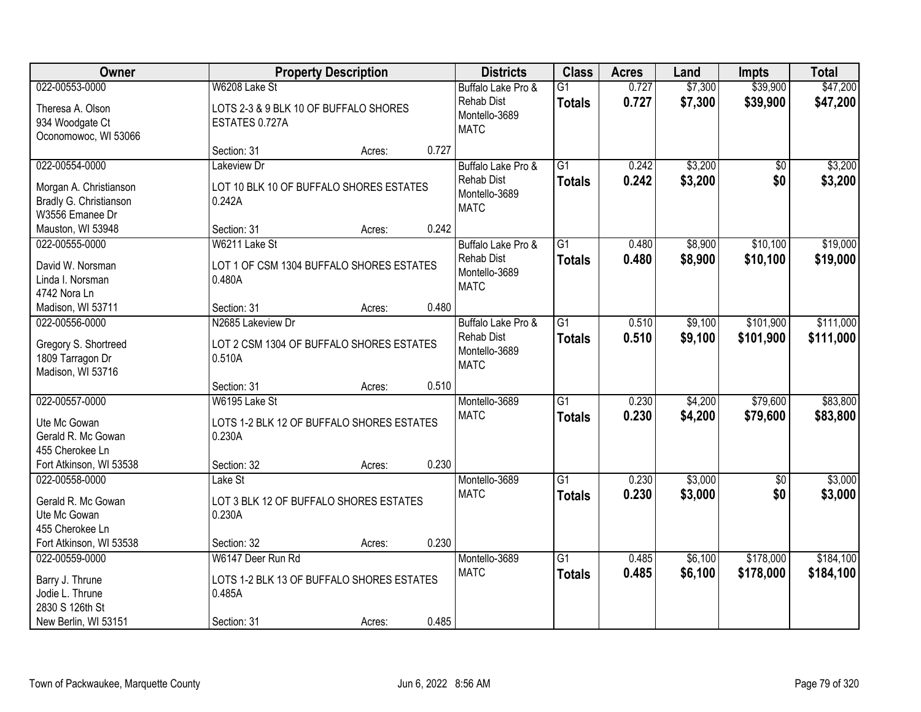| Owner                                                                                              |                                                                                         | <b>Property Description</b> |       | <b>Districts</b>                                                        | <b>Class</b>                     | <b>Acres</b>   | Land               | <b>Impts</b>           | <b>Total</b>           |
|----------------------------------------------------------------------------------------------------|-----------------------------------------------------------------------------------------|-----------------------------|-------|-------------------------------------------------------------------------|----------------------------------|----------------|--------------------|------------------------|------------------------|
| 022-00553-0000<br>Theresa A. Olson<br>934 Woodgate Ct<br>Oconomowoc, WI 53066                      | W6208 Lake St<br>LOTS 2-3 & 9 BLK 10 OF BUFFALO SHORES<br>ESTATES 0.727A                |                             |       | Buffalo Lake Pro &<br><b>Rehab Dist</b><br>Montello-3689<br><b>MATC</b> | $\overline{G1}$<br><b>Totals</b> | 0.727<br>0.727 | \$7,300<br>\$7,300 | \$39,900<br>\$39,900   | \$47,200<br>\$47,200   |
|                                                                                                    | Section: 31                                                                             | Acres:                      | 0.727 |                                                                         |                                  |                |                    |                        |                        |
| 022-00554-0000<br>Morgan A. Christianson<br>Bradly G. Christianson<br>W3556 Emanee Dr              | Lakeview Dr<br>LOT 10 BLK 10 OF BUFFALO SHORES ESTATES<br>0.242A                        |                             |       | Buffalo Lake Pro &<br><b>Rehab Dist</b><br>Montello-3689<br><b>MATC</b> | $\overline{G1}$<br><b>Totals</b> | 0.242<br>0.242 | \$3,200<br>\$3,200 | \$0<br>\$0             | \$3,200<br>\$3,200     |
| Mauston, WI 53948                                                                                  | Section: 31                                                                             | Acres:                      | 0.242 |                                                                         |                                  |                |                    |                        |                        |
| 022-00555-0000<br>David W. Norsman<br>Linda I. Norsman<br>4742 Nora Ln                             | W6211 Lake St<br>LOT 1 OF CSM 1304 BUFFALO SHORES ESTATES<br>0.480A                     |                             |       | Buffalo Lake Pro &<br><b>Rehab Dist</b><br>Montello-3689<br><b>MATC</b> | $\overline{G1}$<br><b>Totals</b> | 0.480<br>0.480 | \$8,900<br>\$8,900 | \$10,100<br>\$10,100   | \$19,000<br>\$19,000   |
| Madison, WI 53711                                                                                  | Section: 31                                                                             | Acres:                      | 0.480 |                                                                         |                                  |                |                    |                        |                        |
| 022-00556-0000<br>Gregory S. Shortreed<br>1809 Tarragon Dr<br>Madison, WI 53716                    | N2685 Lakeview Dr<br>LOT 2 CSM 1304 OF BUFFALO SHORES ESTATES<br>0.510A                 |                             |       | Buffalo Lake Pro &<br>Rehab Dist<br>Montello-3689<br><b>MATC</b>        | $\overline{G1}$<br><b>Totals</b> | 0.510<br>0.510 | \$9,100<br>\$9,100 | \$101,900<br>\$101,900 | \$111,000<br>\$111,000 |
|                                                                                                    | Section: 31                                                                             | Acres:                      | 0.510 |                                                                         |                                  |                |                    |                        |                        |
| 022-00557-0000<br>Ute Mc Gowan<br>Gerald R. Mc Gowan<br>455 Cherokee Ln<br>Fort Atkinson, WI 53538 | W6195 Lake St<br>LOTS 1-2 BLK 12 OF BUFFALO SHORES ESTATES<br>0.230A<br>Section: 32     | Acres:                      | 0.230 | Montello-3689<br><b>MATC</b>                                            | $\overline{G1}$<br><b>Totals</b> | 0.230<br>0.230 | \$4,200<br>\$4,200 | \$79,600<br>\$79,600   | \$83,800<br>\$83,800   |
| 022-00558-0000                                                                                     | Lake St                                                                                 |                             |       | Montello-3689                                                           | $\overline{G1}$                  | 0.230          | \$3,000            | $\overline{50}$        | \$3,000                |
| Gerald R. Mc Gowan<br>Ute Mc Gowan<br>455 Cherokee Ln                                              | LOT 3 BLK 12 OF BUFFALO SHORES ESTATES<br>0.230A                                        |                             |       | <b>MATC</b>                                                             | <b>Totals</b>                    | 0.230          | \$3,000            | \$0                    | \$3,000                |
| Fort Atkinson, WI 53538                                                                            | Section: 32                                                                             | Acres:                      | 0.230 |                                                                         |                                  |                |                    |                        |                        |
| 022-00559-0000<br>Barry J. Thrune<br>Jodie L. Thrune<br>2830 S 126th St<br>New Berlin, WI 53151    | W6147 Deer Run Rd<br>LOTS 1-2 BLK 13 OF BUFFALO SHORES ESTATES<br>0.485A<br>Section: 31 | Acres:                      | 0.485 | Montello-3689<br><b>MATC</b>                                            | $\overline{G1}$<br><b>Totals</b> | 0.485<br>0.485 | \$6,100<br>\$6,100 | \$178,000<br>\$178,000 | \$184,100<br>\$184,100 |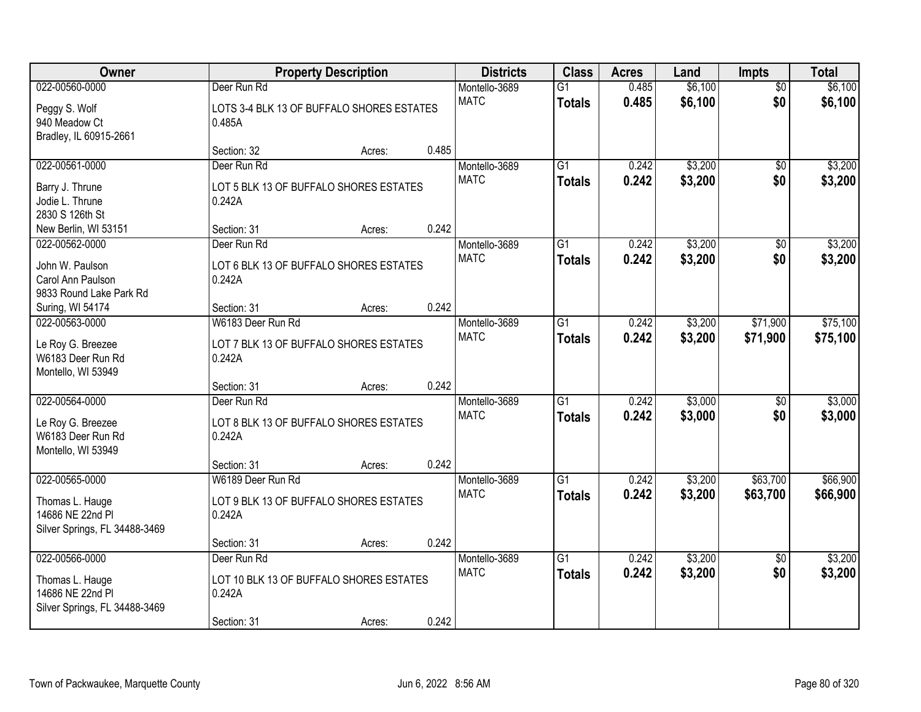| <b>Owner</b>                  |                                           | <b>Property Description</b> |       | <b>Districts</b> | <b>Class</b>    | <b>Acres</b> | Land    | Impts           | <b>Total</b> |
|-------------------------------|-------------------------------------------|-----------------------------|-------|------------------|-----------------|--------------|---------|-----------------|--------------|
| 022-00560-0000                | Deer Run Rd                               |                             |       | Montello-3689    | $\overline{G1}$ | 0.485        | \$6,100 | $\overline{50}$ | \$6,100      |
| Peggy S. Wolf                 | LOTS 3-4 BLK 13 OF BUFFALO SHORES ESTATES |                             |       | <b>MATC</b>      | <b>Totals</b>   | 0.485        | \$6,100 | \$0             | \$6,100      |
| 940 Meadow Ct                 | 0.485A                                    |                             |       |                  |                 |              |         |                 |              |
| Bradley, IL 60915-2661        |                                           |                             |       |                  |                 |              |         |                 |              |
|                               | Section: 32                               | Acres:                      | 0.485 |                  |                 |              |         |                 |              |
| 022-00561-0000                | Deer Run Rd                               |                             |       | Montello-3689    | $\overline{G1}$ | 0.242        | \$3,200 | \$0             | \$3,200      |
| Barry J. Thrune               | LOT 5 BLK 13 OF BUFFALO SHORES ESTATES    |                             |       | <b>MATC</b>      | <b>Totals</b>   | 0.242        | \$3,200 | \$0             | \$3,200      |
| Jodie L. Thrune               | 0.242A                                    |                             |       |                  |                 |              |         |                 |              |
| 2830 S 126th St               |                                           |                             |       |                  |                 |              |         |                 |              |
| New Berlin, WI 53151          | Section: 31                               | Acres:                      | 0.242 |                  |                 |              |         |                 |              |
| 022-00562-0000                | Deer Run Rd                               |                             |       | Montello-3689    | $\overline{G1}$ | 0.242        | \$3,200 | $\overline{50}$ | \$3,200      |
| John W. Paulson               | LOT 6 BLK 13 OF BUFFALO SHORES ESTATES    |                             |       | <b>MATC</b>      | <b>Totals</b>   | 0.242        | \$3,200 | \$0             | \$3,200      |
| Carol Ann Paulson             | 0.242A                                    |                             |       |                  |                 |              |         |                 |              |
| 9833 Round Lake Park Rd       |                                           |                             |       |                  |                 |              |         |                 |              |
| Suring, WI 54174              | Section: 31                               | Acres:                      | 0.242 |                  |                 |              |         |                 |              |
| 022-00563-0000                | W6183 Deer Run Rd                         |                             |       | Montello-3689    | $\overline{G1}$ | 0.242        | \$3,200 | \$71,900        | \$75,100     |
|                               |                                           |                             |       | <b>MATC</b>      | <b>Totals</b>   | 0.242        | \$3,200 | \$71,900        | \$75,100     |
| Le Roy G. Breezee             | LOT 7 BLK 13 OF BUFFALO SHORES ESTATES    |                             |       |                  |                 |              |         |                 |              |
| W6183 Deer Run Rd             | 0.242A                                    |                             |       |                  |                 |              |         |                 |              |
| Montello, WI 53949            |                                           |                             | 0.242 |                  |                 |              |         |                 |              |
| 022-00564-0000                | Section: 31<br>Deer Run Rd                | Acres:                      |       | Montello-3689    | $\overline{G1}$ | 0.242        | \$3,000 | $\overline{50}$ | \$3,000      |
|                               |                                           |                             |       | <b>MATC</b>      |                 | 0.242        |         |                 |              |
| Le Roy G. Breezee             | LOT 8 BLK 13 OF BUFFALO SHORES ESTATES    |                             |       |                  | <b>Totals</b>   |              | \$3,000 | \$0             | \$3,000      |
| W6183 Deer Run Rd             | 0.242A                                    |                             |       |                  |                 |              |         |                 |              |
| Montello, WI 53949            |                                           |                             |       |                  |                 |              |         |                 |              |
|                               | Section: 31                               | Acres:                      | 0.242 |                  |                 |              |         |                 |              |
| 022-00565-0000                | W6189 Deer Run Rd                         |                             |       | Montello-3689    | $\overline{G1}$ | 0.242        | \$3,200 | \$63,700        | \$66,900     |
| Thomas L. Hauge               | LOT 9 BLK 13 OF BUFFALO SHORES ESTATES    |                             |       | <b>MATC</b>      | <b>Totals</b>   | 0.242        | \$3,200 | \$63,700        | \$66,900     |
| 14686 NE 22nd Pl              | 0.242A                                    |                             |       |                  |                 |              |         |                 |              |
| Silver Springs, FL 34488-3469 |                                           |                             |       |                  |                 |              |         |                 |              |
|                               | Section: 31                               | Acres:                      | 0.242 |                  |                 |              |         |                 |              |
| 022-00566-0000                | Deer Run Rd                               |                             |       | Montello-3689    | $\overline{G1}$ | 0.242        | \$3,200 | $\overline{50}$ | \$3,200      |
| Thomas L. Hauge               | LOT 10 BLK 13 OF BUFFALO SHORES ESTATES   |                             |       | <b>MATC</b>      | <b>Totals</b>   | 0.242        | \$3,200 | \$0             | \$3,200      |
| 14686 NE 22nd Pl              | 0.242A                                    |                             |       |                  |                 |              |         |                 |              |
| Silver Springs, FL 34488-3469 |                                           |                             |       |                  |                 |              |         |                 |              |
|                               | Section: 31                               | Acres:                      | 0.242 |                  |                 |              |         |                 |              |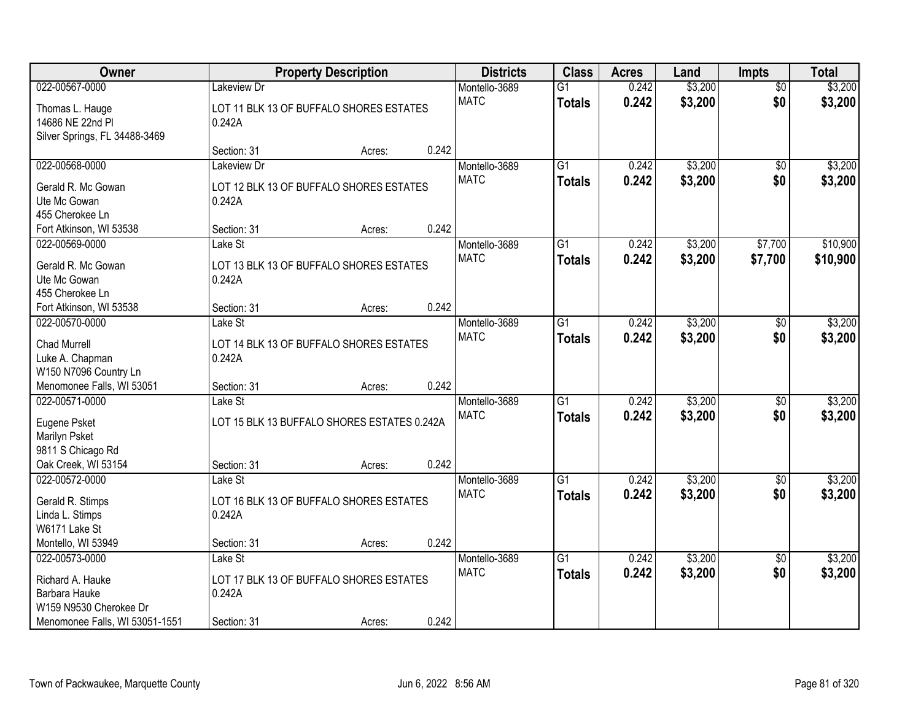| Owner                                                                |                                                   | <b>Property Description</b> |       | <b>Districts</b> | <b>Class</b>    | <b>Acres</b> | Land    | <b>Impts</b>    | <b>Total</b> |
|----------------------------------------------------------------------|---------------------------------------------------|-----------------------------|-------|------------------|-----------------|--------------|---------|-----------------|--------------|
| 022-00567-0000                                                       | Lakeview Dr                                       |                             |       | Montello-3689    | $\overline{G1}$ | 0.242        | \$3,200 | $\overline{50}$ | \$3,200      |
| Thomas L. Hauge<br>14686 NE 22nd Pl<br>Silver Springs, FL 34488-3469 | LOT 11 BLK 13 OF BUFFALO SHORES ESTATES<br>0.242A |                             |       | <b>MATC</b>      | <b>Totals</b>   | 0.242        | \$3,200 | \$0             | \$3,200      |
|                                                                      | Section: 31                                       | Acres:                      | 0.242 |                  |                 |              |         |                 |              |
| 022-00568-0000                                                       | Lakeview Dr                                       |                             |       | Montello-3689    | $\overline{G1}$ | 0.242        | \$3,200 | \$0             | \$3,200      |
| Gerald R. Mc Gowan                                                   | LOT 12 BLK 13 OF BUFFALO SHORES ESTATES           |                             |       | <b>MATC</b>      | <b>Totals</b>   | 0.242        | \$3,200 | \$0             | \$3,200      |
| Ute Mc Gowan                                                         | 0.242A                                            |                             |       |                  |                 |              |         |                 |              |
| 455 Cherokee Ln                                                      |                                                   |                             |       |                  |                 |              |         |                 |              |
| Fort Atkinson, WI 53538                                              | Section: 31                                       | Acres:                      | 0.242 |                  |                 |              |         |                 |              |
| 022-00569-0000                                                       | Lake St                                           |                             |       | Montello-3689    | $\overline{G1}$ | 0.242        | \$3,200 | \$7,700         | \$10,900     |
| Gerald R. Mc Gowan                                                   | LOT 13 BLK 13 OF BUFFALO SHORES ESTATES           |                             |       | <b>MATC</b>      | <b>Totals</b>   | 0.242        | \$3,200 | \$7,700         | \$10,900     |
| Ute Mc Gowan                                                         | 0.242A                                            |                             |       |                  |                 |              |         |                 |              |
| 455 Cherokee Ln                                                      |                                                   |                             |       |                  |                 |              |         |                 |              |
| Fort Atkinson, WI 53538                                              | Section: 31                                       | Acres:                      | 0.242 |                  |                 |              |         |                 |              |
| 022-00570-0000                                                       | Lake St                                           |                             |       | Montello-3689    | G1              | 0.242        | \$3,200 | $\sqrt[6]{}$    | \$3,200      |
| Chad Murrell                                                         | LOT 14 BLK 13 OF BUFFALO SHORES ESTATES           |                             |       | <b>MATC</b>      | <b>Totals</b>   | 0.242        | \$3,200 | \$0             | \$3,200      |
| Luke A. Chapman                                                      | 0.242A                                            |                             |       |                  |                 |              |         |                 |              |
| W150 N7096 Country Ln                                                |                                                   |                             |       |                  |                 |              |         |                 |              |
| Menomonee Falls, WI 53051                                            | Section: 31                                       | Acres:                      | 0.242 |                  |                 |              |         |                 |              |
| 022-00571-0000                                                       | Lake St                                           |                             |       | Montello-3689    | $\overline{G1}$ | 0.242        | \$3,200 | $\overline{50}$ | \$3,200      |
|                                                                      |                                                   |                             |       | <b>MATC</b>      | <b>Totals</b>   | 0.242        | \$3,200 | \$0             | \$3,200      |
| Eugene Psket                                                         | LOT 15 BLK 13 BUFFALO SHORES ESTATES 0.242A       |                             |       |                  |                 |              |         |                 |              |
| Marilyn Psket<br>9811 S Chicago Rd                                   |                                                   |                             |       |                  |                 |              |         |                 |              |
| Oak Creek, WI 53154                                                  | Section: 31                                       | Acres:                      | 0.242 |                  |                 |              |         |                 |              |
| 022-00572-0000                                                       | Lake St                                           |                             |       | Montello-3689    | $\overline{G1}$ | 0.242        | \$3,200 | $\sqrt{6}$      | \$3,200      |
|                                                                      |                                                   |                             |       | <b>MATC</b>      | <b>Totals</b>   | 0.242        | \$3,200 | \$0             | \$3,200      |
| Gerald R. Stimps                                                     | LOT 16 BLK 13 OF BUFFALO SHORES ESTATES           |                             |       |                  |                 |              |         |                 |              |
| Linda L. Stimps                                                      | 0.242A                                            |                             |       |                  |                 |              |         |                 |              |
| W6171 Lake St                                                        |                                                   |                             | 0.242 |                  |                 |              |         |                 |              |
| Montello, WI 53949<br>022-00573-0000                                 | Section: 31<br>Lake St                            | Acres:                      |       | Montello-3689    | $\overline{G1}$ | 0.242        | \$3,200 | $\overline{50}$ | \$3,200      |
|                                                                      |                                                   |                             |       | <b>MATC</b>      |                 | 0.242        | \$3,200 | \$0             | \$3,200      |
| Richard A. Hauke                                                     | LOT 17 BLK 13 OF BUFFALO SHORES ESTATES           |                             |       |                  | <b>Totals</b>   |              |         |                 |              |
| Barbara Hauke                                                        | 0.242A                                            |                             |       |                  |                 |              |         |                 |              |
| W159 N9530 Cherokee Dr                                               |                                                   |                             |       |                  |                 |              |         |                 |              |
| Menomonee Falls, WI 53051-1551                                       | Section: 31                                       | Acres:                      | 0.242 |                  |                 |              |         |                 |              |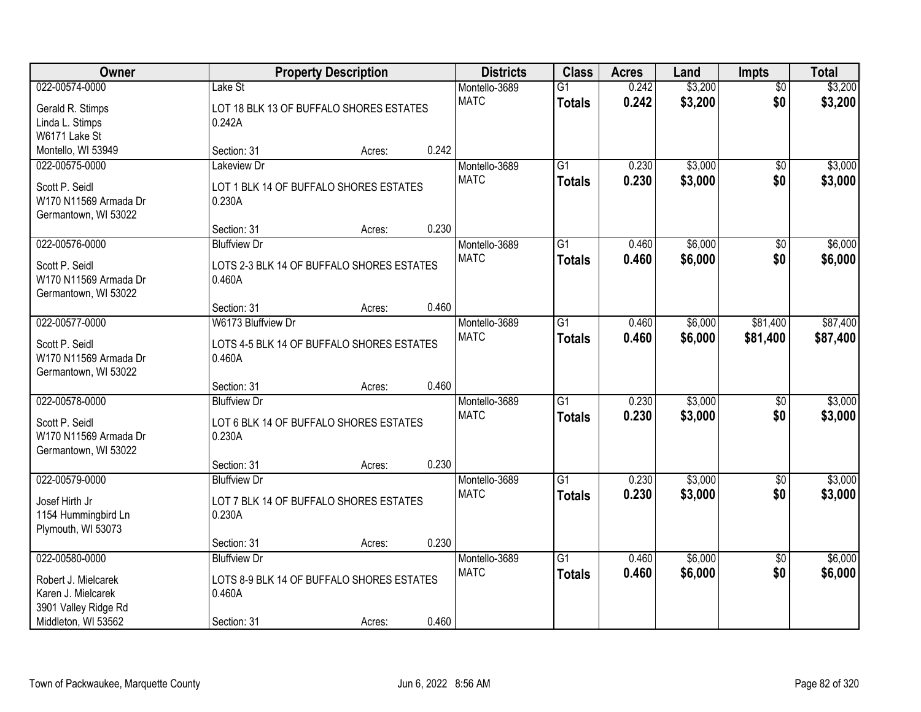| Owner                 |                                                  | <b>Property Description</b> |       | <b>Districts</b> | <b>Class</b>    | <b>Acres</b> | Land    | <b>Impts</b>    | <b>Total</b> |
|-----------------------|--------------------------------------------------|-----------------------------|-------|------------------|-----------------|--------------|---------|-----------------|--------------|
| 022-00574-0000        | Lake St                                          |                             |       | Montello-3689    | $\overline{G1}$ | 0.242        | \$3,200 | $\overline{50}$ | \$3,200      |
| Gerald R. Stimps      | LOT 18 BLK 13 OF BUFFALO SHORES ESTATES          |                             |       | <b>MATC</b>      | <b>Totals</b>   | 0.242        | \$3,200 | \$0             | \$3,200      |
| Linda L. Stimps       | 0.242A                                           |                             |       |                  |                 |              |         |                 |              |
| W6171 Lake St         |                                                  |                             |       |                  |                 |              |         |                 |              |
| Montello, WI 53949    | Section: 31                                      | Acres:                      | 0.242 |                  |                 |              |         |                 |              |
| 022-00575-0000        | <b>Lakeview Dr</b>                               |                             |       | Montello-3689    | $\overline{G1}$ | 0.230        | \$3,000 | $\overline{50}$ | \$3,000      |
| Scott P. Seidl        | LOT 1 BLK 14 OF BUFFALO SHORES ESTATES           |                             |       | <b>MATC</b>      | <b>Totals</b>   | 0.230        | \$3,000 | \$0             | \$3,000      |
| W170 N11569 Armada Dr | 0.230A                                           |                             |       |                  |                 |              |         |                 |              |
| Germantown, WI 53022  |                                                  |                             |       |                  |                 |              |         |                 |              |
|                       | Section: 31                                      | Acres:                      | 0.230 |                  |                 |              |         |                 |              |
| 022-00576-0000        | <b>Bluffview Dr</b>                              |                             |       | Montello-3689    | G1              | 0.460        | \$6,000 | \$0             | \$6,000      |
| Scott P. Seidl        | LOTS 2-3 BLK 14 OF BUFFALO SHORES ESTATES        |                             |       | <b>MATC</b>      | <b>Totals</b>   | 0.460        | \$6,000 | \$0             | \$6,000      |
| W170 N11569 Armada Dr | 0.460A                                           |                             |       |                  |                 |              |         |                 |              |
| Germantown, WI 53022  |                                                  |                             |       |                  |                 |              |         |                 |              |
|                       | Section: 31                                      | Acres:                      | 0.460 |                  |                 |              |         |                 |              |
| 022-00577-0000        | W6173 Bluffview Dr                               |                             |       | Montello-3689    | $\overline{G1}$ | 0.460        | \$6,000 | \$81,400        | \$87,400     |
| Scott P. Seidl        | LOTS 4-5 BLK 14 OF BUFFALO SHORES ESTATES        |                             |       | <b>MATC</b>      | <b>Totals</b>   | 0.460        | \$6,000 | \$81,400        | \$87,400     |
| W170 N11569 Armada Dr | 0.460A                                           |                             |       |                  |                 |              |         |                 |              |
| Germantown, WI 53022  |                                                  |                             |       |                  |                 |              |         |                 |              |
|                       | Section: 31                                      | Acres:                      | 0.460 |                  |                 |              |         |                 |              |
| 022-00578-0000        | <b>Bluffview Dr</b>                              |                             |       | Montello-3689    | $\overline{G1}$ | 0.230        | \$3,000 | $\overline{50}$ | \$3,000      |
| Scott P. Seidl        |                                                  |                             |       | <b>MATC</b>      | <b>Totals</b>   | 0.230        | \$3,000 | \$0             | \$3,000      |
| W170 N11569 Armada Dr | LOT 6 BLK 14 OF BUFFALO SHORES ESTATES<br>0.230A |                             |       |                  |                 |              |         |                 |              |
| Germantown, WI 53022  |                                                  |                             |       |                  |                 |              |         |                 |              |
|                       | Section: 31                                      | Acres:                      | 0.230 |                  |                 |              |         |                 |              |
| 022-00579-0000        | <b>Bluffview Dr</b>                              |                             |       | Montello-3689    | $\overline{G1}$ | 0.230        | \$3,000 | \$0             | \$3,000      |
| Josef Hirth Jr        | LOT 7 BLK 14 OF BUFFALO SHORES ESTATES           |                             |       | <b>MATC</b>      | <b>Totals</b>   | 0.230        | \$3,000 | \$0             | \$3,000      |
| 1154 Hummingbird Ln   | 0.230A                                           |                             |       |                  |                 |              |         |                 |              |
| Plymouth, WI 53073    |                                                  |                             |       |                  |                 |              |         |                 |              |
|                       | Section: 31                                      | Acres:                      | 0.230 |                  |                 |              |         |                 |              |
| 022-00580-0000        | <b>Bluffview Dr</b>                              |                             |       | Montello-3689    | $\overline{G1}$ | 0.460        | \$6,000 | $\overline{30}$ | \$6,000      |
| Robert J. Mielcarek   | LOTS 8-9 BLK 14 OF BUFFALO SHORES ESTATES        |                             |       | <b>MATC</b>      | <b>Totals</b>   | 0.460        | \$6,000 | \$0             | \$6,000      |
| Karen J. Mielcarek    | 0.460A                                           |                             |       |                  |                 |              |         |                 |              |
| 3901 Valley Ridge Rd  |                                                  |                             |       |                  |                 |              |         |                 |              |
| Middleton, WI 53562   | Section: 31                                      | Acres:                      | 0.460 |                  |                 |              |         |                 |              |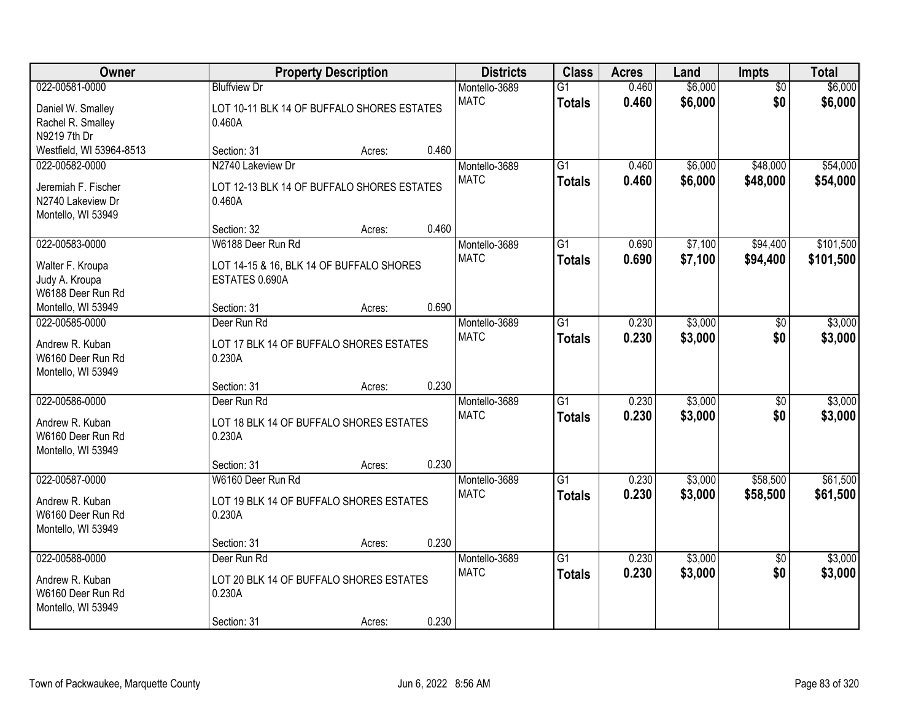| Owner                                |                                                   | <b>Property Description</b> |       | <b>Districts</b> | <b>Class</b>    | <b>Acres</b> | Land    | Impts           | <b>Total</b> |
|--------------------------------------|---------------------------------------------------|-----------------------------|-------|------------------|-----------------|--------------|---------|-----------------|--------------|
| 022-00581-0000                       | <b>Bluffview Dr</b>                               |                             |       | Montello-3689    | $\overline{G1}$ | 0.460        | \$6,000 | $\overline{50}$ | \$6,000      |
| Daniel W. Smalley                    | LOT 10-11 BLK 14 OF BUFFALO SHORES ESTATES        |                             |       | <b>MATC</b>      | <b>Totals</b>   | 0.460        | \$6,000 | \$0             | \$6,000      |
| Rachel R. Smalley                    | 0.460A                                            |                             |       |                  |                 |              |         |                 |              |
| N9219 7th Dr                         |                                                   |                             |       |                  |                 |              |         |                 |              |
| Westfield, WI 53964-8513             | Section: 31                                       | Acres:                      | 0.460 |                  |                 |              |         |                 |              |
| 022-00582-0000                       | N2740 Lakeview Dr                                 |                             |       | Montello-3689    | $\overline{G1}$ | 0.460        | \$6,000 | \$48,000        | \$54,000     |
| Jeremiah F. Fischer                  | LOT 12-13 BLK 14 OF BUFFALO SHORES ESTATES        |                             |       | <b>MATC</b>      | <b>Totals</b>   | 0.460        | \$6,000 | \$48,000        | \$54,000     |
| N2740 Lakeview Dr                    | 0.460A                                            |                             |       |                  |                 |              |         |                 |              |
| Montello, WI 53949                   |                                                   |                             |       |                  |                 |              |         |                 |              |
|                                      | Section: 32                                       | Acres:                      | 0.460 |                  |                 |              |         |                 |              |
| 022-00583-0000                       | W6188 Deer Run Rd                                 |                             |       | Montello-3689    | $\overline{G1}$ | 0.690        | \$7,100 | \$94,400        | \$101,500    |
| Walter F. Kroupa                     | LOT 14-15 & 16, BLK 14 OF BUFFALO SHORES          |                             |       | <b>MATC</b>      | <b>Totals</b>   | 0.690        | \$7,100 | \$94,400        | \$101,500    |
| Judy A. Kroupa                       | ESTATES 0.690A                                    |                             |       |                  |                 |              |         |                 |              |
| W6188 Deer Run Rd                    |                                                   |                             |       |                  |                 |              |         |                 |              |
| Montello, WI 53949                   | Section: 31                                       | Acres:                      | 0.690 |                  |                 |              |         |                 |              |
| 022-00585-0000                       | Deer Run Rd                                       |                             |       | Montello-3689    | $\overline{G1}$ | 0.230        | \$3,000 | \$0             | \$3,000      |
| Andrew R. Kuban                      |                                                   |                             |       | <b>MATC</b>      | <b>Totals</b>   | 0.230        | \$3,000 | \$0             | \$3,000      |
| W6160 Deer Run Rd                    | LOT 17 BLK 14 OF BUFFALO SHORES ESTATES<br>0.230A |                             |       |                  |                 |              |         |                 |              |
| Montello, WI 53949                   |                                                   |                             |       |                  |                 |              |         |                 |              |
|                                      | Section: 31                                       | Acres:                      | 0.230 |                  |                 |              |         |                 |              |
| 022-00586-0000                       | Deer Run Rd                                       |                             |       | Montello-3689    | $\overline{G1}$ | 0.230        | \$3,000 | $\overline{50}$ | \$3,000      |
|                                      |                                                   |                             |       | <b>MATC</b>      | <b>Totals</b>   | 0.230        | \$3,000 | \$0             | \$3,000      |
| Andrew R. Kuban<br>W6160 Deer Run Rd | LOT 18 BLK 14 OF BUFFALO SHORES ESTATES<br>0.230A |                             |       |                  |                 |              |         |                 |              |
| Montello, WI 53949                   |                                                   |                             |       |                  |                 |              |         |                 |              |
|                                      | Section: 31                                       | Acres:                      | 0.230 |                  |                 |              |         |                 |              |
| 022-00587-0000                       | W6160 Deer Run Rd                                 |                             |       | Montello-3689    | G1              | 0.230        | \$3,000 | \$58,500        | \$61,500     |
|                                      |                                                   |                             |       | <b>MATC</b>      | <b>Totals</b>   | 0.230        | \$3,000 | \$58,500        | \$61,500     |
| Andrew R. Kuban                      | LOT 19 BLK 14 OF BUFFALO SHORES ESTATES           |                             |       |                  |                 |              |         |                 |              |
| W6160 Deer Run Rd                    | 0.230A                                            |                             |       |                  |                 |              |         |                 |              |
| Montello, WI 53949                   | Section: 31                                       | Acres:                      | 0.230 |                  |                 |              |         |                 |              |
| 022-00588-0000                       | Deer Run Rd                                       |                             |       | Montello-3689    | $\overline{G1}$ | 0.230        | \$3,000 | $\overline{50}$ | \$3,000      |
|                                      |                                                   |                             |       | <b>MATC</b>      | <b>Totals</b>   | 0.230        | \$3,000 | \$0             | \$3,000      |
| Andrew R. Kuban                      | LOT 20 BLK 14 OF BUFFALO SHORES ESTATES           |                             |       |                  |                 |              |         |                 |              |
| W6160 Deer Run Rd                    | 0.230A                                            |                             |       |                  |                 |              |         |                 |              |
| Montello, WI 53949                   |                                                   |                             |       |                  |                 |              |         |                 |              |
|                                      | Section: 31                                       | Acres:                      | 0.230 |                  |                 |              |         |                 |              |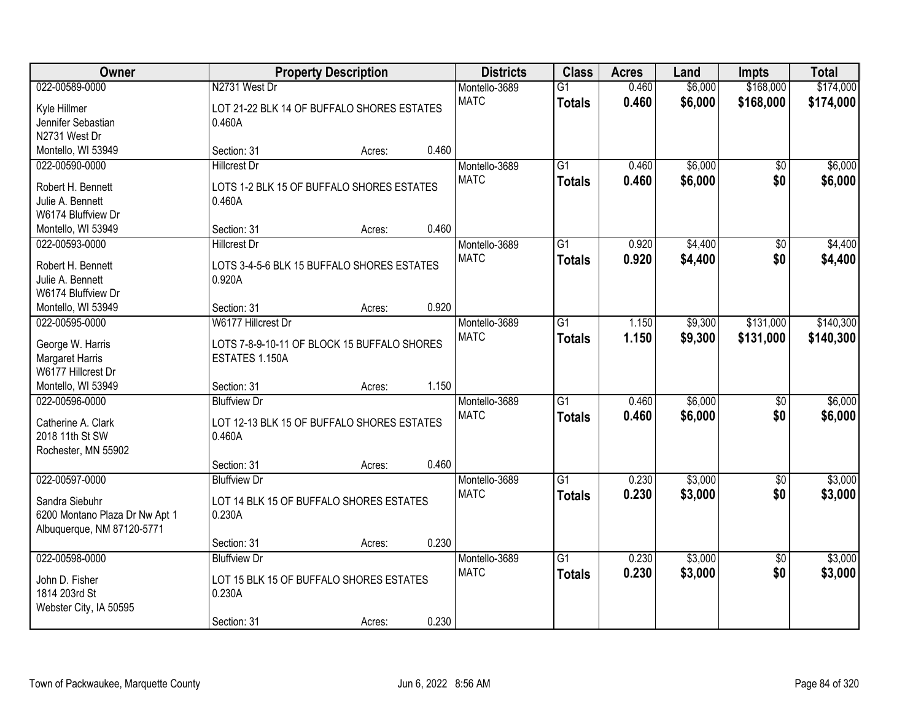| Owner                                 |                                                      | <b>Property Description</b> |       | <b>Districts</b> | <b>Class</b>    | <b>Acres</b> | Land    | <b>Impts</b>    | <b>Total</b> |
|---------------------------------------|------------------------------------------------------|-----------------------------|-------|------------------|-----------------|--------------|---------|-----------------|--------------|
| 022-00589-0000                        | N2731 West Dr                                        |                             |       | Montello-3689    | $\overline{G1}$ | 0.460        | \$6,000 | \$168,000       | \$174,000    |
| Kyle Hillmer                          | LOT 21-22 BLK 14 OF BUFFALO SHORES ESTATES           |                             |       | <b>MATC</b>      | <b>Totals</b>   | 0.460        | \$6,000 | \$168,000       | \$174,000    |
| Jennifer Sebastian                    | 0.460A                                               |                             |       |                  |                 |              |         |                 |              |
| N2731 West Dr                         |                                                      |                             |       |                  |                 |              |         |                 |              |
| Montello, WI 53949                    | Section: 31                                          | Acres:                      | 0.460 |                  |                 |              |         |                 |              |
| 022-00590-0000                        | <b>Hillcrest Dr</b>                                  |                             |       | Montello-3689    | $\overline{G1}$ | 0.460        | \$6,000 | \$0             | \$6,000      |
| Robert H. Bennett                     | LOTS 1-2 BLK 15 OF BUFFALO SHORES ESTATES            |                             |       | <b>MATC</b>      | <b>Totals</b>   | 0.460        | \$6,000 | \$0             | \$6,000      |
| Julie A. Bennett                      | 0.460A                                               |                             |       |                  |                 |              |         |                 |              |
| W6174 Bluffview Dr                    |                                                      |                             |       |                  |                 |              |         |                 |              |
| Montello, WI 53949                    | Section: 31                                          | Acres:                      | 0.460 |                  |                 |              |         |                 |              |
| 022-00593-0000                        | <b>Hillcrest Dr</b>                                  |                             |       | Montello-3689    | $\overline{G1}$ | 0.920        | \$4,400 | $\overline{50}$ | \$4,400      |
|                                       |                                                      |                             |       | <b>MATC</b>      | <b>Totals</b>   | 0.920        | \$4,400 | \$0             | \$4,400      |
| Robert H. Bennett                     | LOTS 3-4-5-6 BLK 15 BUFFALO SHORES ESTATES           |                             |       |                  |                 |              |         |                 |              |
| Julie A. Bennett                      | 0.920A                                               |                             |       |                  |                 |              |         |                 |              |
| W6174 Bluffview Dr                    |                                                      |                             |       |                  |                 |              |         |                 |              |
| Montello, WI 53949                    | Section: 31                                          | Acres:                      | 0.920 |                  |                 |              |         |                 |              |
| 022-00595-0000                        | W6177 Hillcrest Dr                                   |                             |       | Montello-3689    | $\overline{G1}$ | 1.150        | \$9,300 | \$131,000       | \$140,300    |
| George W. Harris                      | LOTS 7-8-9-10-11 OF BLOCK 15 BUFFALO SHORES          |                             |       | <b>MATC</b>      | <b>Totals</b>   | 1.150        | \$9,300 | \$131,000       | \$140,300    |
| Margaret Harris                       | ESTATES 1.150A                                       |                             |       |                  |                 |              |         |                 |              |
| W6177 Hillcrest Dr                    |                                                      |                             |       |                  |                 |              |         |                 |              |
| Montello, WI 53949                    | Section: 31                                          | Acres:                      | 1.150 |                  |                 |              |         |                 |              |
| 022-00596-0000                        | <b>Bluffview Dr</b>                                  |                             |       | Montello-3689    | $\overline{G1}$ | 0.460        | \$6,000 | \$0             | \$6,000      |
|                                       |                                                      |                             |       | <b>MATC</b>      | <b>Totals</b>   | 0.460        | \$6,000 | \$0             | \$6,000      |
| Catherine A. Clark<br>2018 11th St SW | LOT 12-13 BLK 15 OF BUFFALO SHORES ESTATES<br>0.460A |                             |       |                  |                 |              |         |                 |              |
| Rochester, MN 55902                   |                                                      |                             |       |                  |                 |              |         |                 |              |
|                                       | Section: 31                                          | Acres:                      | 0.460 |                  |                 |              |         |                 |              |
| 022-00597-0000                        | <b>Bluffview Dr</b>                                  |                             |       | Montello-3689    | $\overline{G1}$ | 0.230        | \$3,000 | $\overline{60}$ | \$3,000      |
|                                       |                                                      |                             |       | <b>MATC</b>      |                 | 0.230        |         | \$0             |              |
| Sandra Siebuhr                        | LOT 14 BLK 15 OF BUFFALO SHORES ESTATES              |                             |       |                  | <b>Totals</b>   |              | \$3,000 |                 | \$3,000      |
| 6200 Montano Plaza Dr Nw Apt 1        | 0.230A                                               |                             |       |                  |                 |              |         |                 |              |
| Albuquerque, NM 87120-5771            |                                                      |                             |       |                  |                 |              |         |                 |              |
|                                       | Section: 31                                          | Acres:                      | 0.230 |                  |                 |              |         |                 |              |
| 022-00598-0000                        | <b>Bluffview Dr</b>                                  |                             |       | Montello-3689    | $\overline{G1}$ | 0.230        | \$3,000 | $\overline{30}$ | \$3,000      |
| John D. Fisher                        | LOT 15 BLK 15 OF BUFFALO SHORES ESTATES              |                             |       | <b>MATC</b>      | <b>Totals</b>   | 0.230        | \$3,000 | \$0             | \$3,000      |
| 1814 203rd St                         | 0.230A                                               |                             |       |                  |                 |              |         |                 |              |
| Webster City, IA 50595                |                                                      |                             |       |                  |                 |              |         |                 |              |
|                                       | Section: 31                                          | Acres:                      | 0.230 |                  |                 |              |         |                 |              |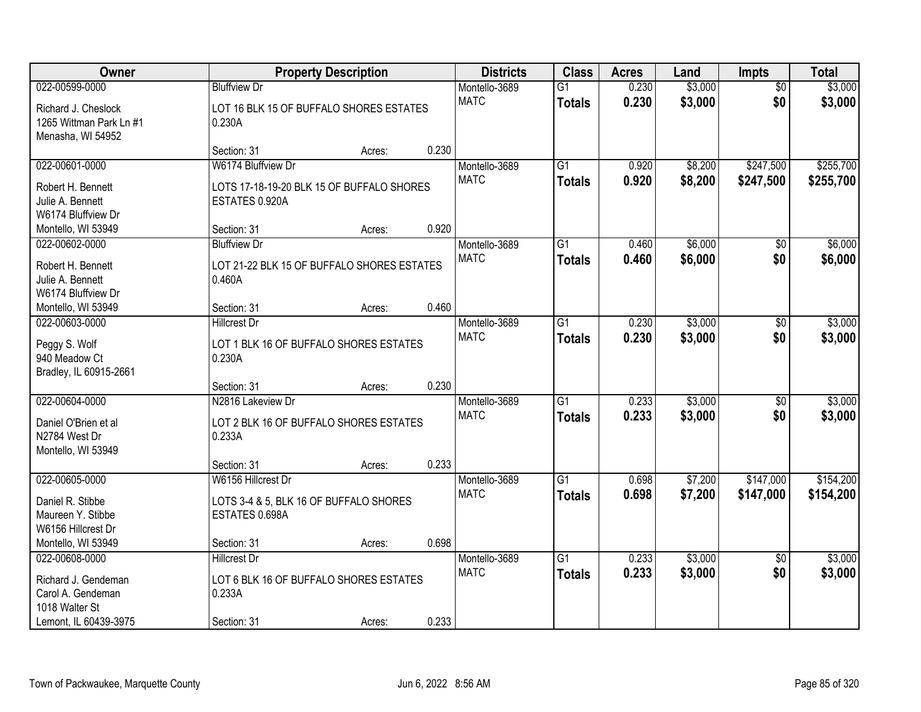| Owner                          | <b>Property Description</b>                      |        |       | <b>Districts</b> | <b>Class</b>    | <b>Acres</b> | Land    | <b>Impts</b>    | <b>Total</b> |
|--------------------------------|--------------------------------------------------|--------|-------|------------------|-----------------|--------------|---------|-----------------|--------------|
| 022-00599-0000                 | <b>Bluffview Dr</b>                              |        |       | Montello-3689    | $\overline{G1}$ | 0.230        | \$3,000 | \$0             | \$3,000      |
| Richard J. Cheslock            | LOT 16 BLK 15 OF BUFFALO SHORES ESTATES          |        |       | <b>MATC</b>      | <b>Totals</b>   | 0.230        | \$3,000 | \$0             | \$3,000      |
| 1265 Wittman Park Ln #1        | 0.230A                                           |        |       |                  |                 |              |         |                 |              |
| Menasha, WI 54952              |                                                  |        |       |                  |                 |              |         |                 |              |
|                                | Section: 31                                      | Acres: | 0.230 |                  |                 |              |         |                 |              |
| 022-00601-0000                 | W6174 Bluffview Dr                               |        |       | Montello-3689    | $\overline{G1}$ | 0.920        | \$8,200 | \$247,500       | \$255,700    |
| Robert H. Bennett              | LOTS 17-18-19-20 BLK 15 OF BUFFALO SHORES        |        |       | <b>MATC</b>      | <b>Totals</b>   | 0.920        | \$8,200 | \$247,500       | \$255,700    |
| Julie A. Bennett               | ESTATES 0.920A                                   |        |       |                  |                 |              |         |                 |              |
| W6174 Bluffview Dr             |                                                  |        |       |                  |                 |              |         |                 |              |
| Montello, WI 53949             | Section: 31                                      | Acres: | 0.920 |                  |                 |              |         |                 |              |
| 022-00602-0000                 | <b>Bluffview Dr</b>                              |        |       | Montello-3689    | G1              | 0.460        | \$6,000 | \$0             | \$6,000      |
| Robert H. Bennett              | LOT 21-22 BLK 15 OF BUFFALO SHORES ESTATES       |        |       | <b>MATC</b>      | <b>Totals</b>   | 0.460        | \$6,000 | \$0             | \$6,000      |
| Julie A. Bennett               | 0.460A                                           |        |       |                  |                 |              |         |                 |              |
| W6174 Bluffview Dr             |                                                  |        |       |                  |                 |              |         |                 |              |
| Montello, WI 53949             | Section: 31                                      | Acres: | 0.460 |                  |                 |              |         |                 |              |
| 022-00603-0000                 | <b>Hillcrest Dr</b>                              |        |       | Montello-3689    | $\overline{G1}$ | 0.230        | \$3,000 | $\sqrt[6]{3}$   | \$3,000      |
|                                |                                                  |        |       | <b>MATC</b>      | <b>Totals</b>   | 0.230        | \$3,000 | \$0             | \$3,000      |
| Peggy S. Wolf<br>940 Meadow Ct | LOT 1 BLK 16 OF BUFFALO SHORES ESTATES<br>0.230A |        |       |                  |                 |              |         |                 |              |
| Bradley, IL 60915-2661         |                                                  |        |       |                  |                 |              |         |                 |              |
|                                | Section: 31                                      | Acres: | 0.230 |                  |                 |              |         |                 |              |
| 022-00604-0000                 | N2816 Lakeview Dr                                |        |       | Montello-3689    | $\overline{G1}$ | 0.233        | \$3,000 | \$0             | \$3,000      |
|                                |                                                  |        |       | <b>MATC</b>      | <b>Totals</b>   | 0.233        | \$3,000 | \$0             | \$3,000      |
| Daniel O'Brien et al           | LOT 2 BLK 16 OF BUFFALO SHORES ESTATES           |        |       |                  |                 |              |         |                 |              |
| N2784 West Dr                  | 0.233A                                           |        |       |                  |                 |              |         |                 |              |
| Montello, WI 53949             | Section: 31                                      |        | 0.233 |                  |                 |              |         |                 |              |
| 022-00605-0000                 | W6156 Hillcrest Dr                               | Acres: |       | Montello-3689    | $\overline{G1}$ | 0.698        | \$7,200 | \$147,000       | \$154,200    |
|                                |                                                  |        |       | <b>MATC</b>      | <b>Totals</b>   | 0.698        | \$7,200 | \$147,000       | \$154,200    |
| Daniel R. Stibbe               | LOTS 3-4 & 5, BLK 16 OF BUFFALO SHORES           |        |       |                  |                 |              |         |                 |              |
| Maureen Y. Stibbe              | ESTATES 0.698A                                   |        |       |                  |                 |              |         |                 |              |
| W6156 Hillcrest Dr             |                                                  |        |       |                  |                 |              |         |                 |              |
| Montello, WI 53949             | Section: 31                                      | Acres: | 0.698 |                  |                 |              |         |                 |              |
| 022-00608-0000                 | <b>Hillcrest Dr</b>                              |        |       | Montello-3689    | G1              | 0.233        | \$3,000 | $\overline{50}$ | \$3,000      |
| Richard J. Gendeman            | LOT 6 BLK 16 OF BUFFALO SHORES ESTATES           |        |       | <b>MATC</b>      | <b>Totals</b>   | 0.233        | \$3,000 | \$0             | \$3,000      |
| Carol A. Gendeman              | 0.233A                                           |        |       |                  |                 |              |         |                 |              |
| 1018 Walter St                 |                                                  |        |       |                  |                 |              |         |                 |              |
| Lemont, IL 60439-3975          | Section: 31                                      | Acres: | 0.233 |                  |                 |              |         |                 |              |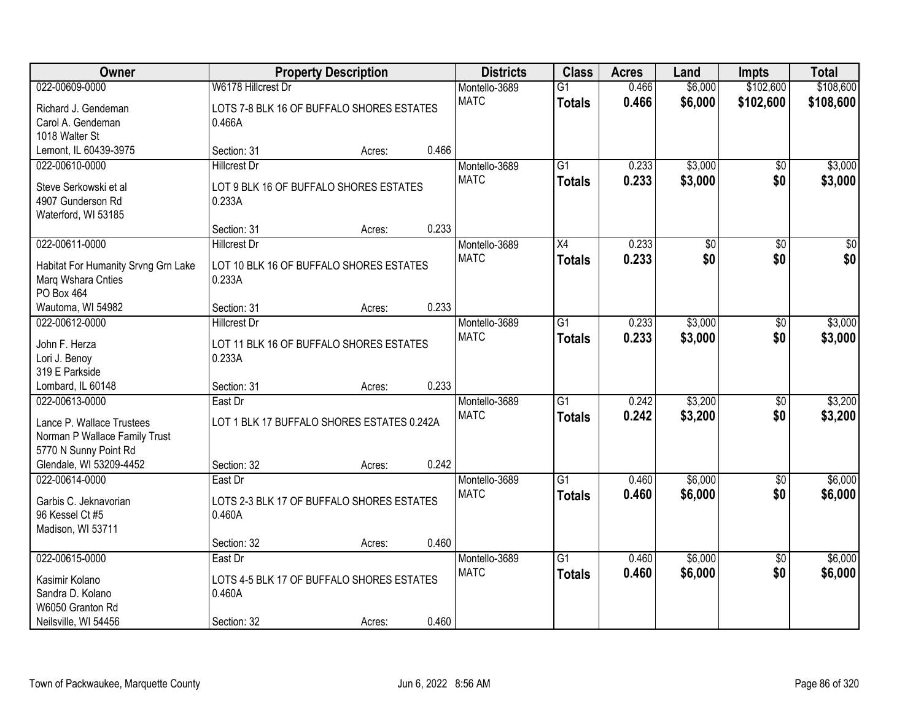| Owner                                    |                                                     | <b>Property Description</b> |       | <b>Districts</b> | <b>Class</b>    | <b>Acres</b> | Land    | <b>Impts</b>    | <b>Total</b> |
|------------------------------------------|-----------------------------------------------------|-----------------------------|-------|------------------|-----------------|--------------|---------|-----------------|--------------|
| 022-00609-0000                           | W6178 Hillcrest Dr                                  |                             |       | Montello-3689    | $\overline{G1}$ | 0.466        | \$6,000 | \$102,600       | \$108,600    |
| Richard J. Gendeman                      | LOTS 7-8 BLK 16 OF BUFFALO SHORES ESTATES           |                             |       | <b>MATC</b>      | <b>Totals</b>   | 0.466        | \$6,000 | \$102,600       | \$108,600    |
| Carol A. Gendeman                        | 0.466A                                              |                             |       |                  |                 |              |         |                 |              |
| 1018 Walter St                           |                                                     |                             |       |                  |                 |              |         |                 |              |
| Lemont, IL 60439-3975                    | Section: 31                                         | Acres:                      | 0.466 |                  |                 |              |         |                 |              |
| 022-00610-0000                           | <b>Hillcrest Dr</b>                                 |                             |       | Montello-3689    | $\overline{G1}$ | 0.233        | \$3,000 | $\overline{50}$ | \$3,000      |
| Steve Serkowski et al                    | LOT 9 BLK 16 OF BUFFALO SHORES ESTATES              |                             |       | <b>MATC</b>      | <b>Totals</b>   | 0.233        | \$3,000 | \$0             | \$3,000      |
| 4907 Gunderson Rd                        | 0.233A                                              |                             |       |                  |                 |              |         |                 |              |
| Waterford, WI 53185                      |                                                     |                             |       |                  |                 |              |         |                 |              |
|                                          | Section: 31                                         | Acres:                      | 0.233 |                  |                 |              |         |                 |              |
| 022-00611-0000                           | <b>Hillcrest Dr</b>                                 |                             |       | Montello-3689    | X4              | 0.233        | \$0     | \$0             | \$0          |
| Habitat For Humanity Srvng Grn Lake      | LOT 10 BLK 16 OF BUFFALO SHORES ESTATES             |                             |       | <b>MATC</b>      | <b>Totals</b>   | 0.233        | \$0     | \$0             | \$0          |
| Marq Wshara Cnties                       | 0.233A                                              |                             |       |                  |                 |              |         |                 |              |
| PO Box 464                               |                                                     |                             |       |                  |                 |              |         |                 |              |
| Wautoma, WI 54982                        | Section: 31                                         | Acres:                      | 0.233 |                  |                 |              |         |                 |              |
| 022-00612-0000                           | <b>Hillcrest Dr</b>                                 |                             |       | Montello-3689    | $\overline{G1}$ | 0.233        | \$3,000 | \$0             | \$3,000      |
| John F. Herza                            | LOT 11 BLK 16 OF BUFFALO SHORES ESTATES             |                             |       | <b>MATC</b>      | <b>Totals</b>   | 0.233        | \$3,000 | \$0             | \$3,000      |
| Lori J. Benoy                            | 0.233A                                              |                             |       |                  |                 |              |         |                 |              |
| 319 E Parkside                           |                                                     |                             |       |                  |                 |              |         |                 |              |
| Lombard, IL 60148                        | Section: 31                                         | Acres:                      | 0.233 |                  |                 |              |         |                 |              |
| 022-00613-0000                           | East Dr                                             |                             |       | Montello-3689    | $\overline{G1}$ | 0.242        | \$3,200 | \$0             | \$3,200      |
| Lance P. Wallace Trustees                | LOT 1 BLK 17 BUFFALO SHORES ESTATES 0.242A          |                             |       | <b>MATC</b>      | <b>Totals</b>   | 0.242        | \$3,200 | \$0             | \$3,200      |
| Norman P Wallace Family Trust            |                                                     |                             |       |                  |                 |              |         |                 |              |
| 5770 N Sunny Point Rd                    |                                                     |                             |       |                  |                 |              |         |                 |              |
| Glendale, WI 53209-4452                  | Section: 32                                         | Acres:                      | 0.242 |                  |                 |              |         |                 |              |
| 022-00614-0000                           | East Dr                                             |                             |       | Montello-3689    | $\overline{G1}$ | 0.460        | \$6,000 | \$0             | \$6,000      |
|                                          |                                                     |                             |       | <b>MATC</b>      | <b>Totals</b>   | 0.460        | \$6,000 | \$0             | \$6,000      |
| Garbis C. Jeknavorian<br>96 Kessel Ct #5 | LOTS 2-3 BLK 17 OF BUFFALO SHORES ESTATES<br>0.460A |                             |       |                  |                 |              |         |                 |              |
| Madison, WI 53711                        |                                                     |                             |       |                  |                 |              |         |                 |              |
|                                          | Section: 32                                         | Acres:                      | 0.460 |                  |                 |              |         |                 |              |
| 022-00615-0000                           | East Dr                                             |                             |       | Montello-3689    | $\overline{G1}$ | 0.460        | \$6,000 | $\overline{30}$ | \$6,000      |
|                                          |                                                     |                             |       | <b>MATC</b>      | <b>Totals</b>   | 0.460        | \$6,000 | \$0             | \$6,000      |
| Kasimir Kolano                           | LOTS 4-5 BLK 17 OF BUFFALO SHORES ESTATES           |                             |       |                  |                 |              |         |                 |              |
| Sandra D. Kolano<br>W6050 Granton Rd     | 0.460A                                              |                             |       |                  |                 |              |         |                 |              |
| Neilsville, WI 54456                     | Section: 32                                         | Acres:                      | 0.460 |                  |                 |              |         |                 |              |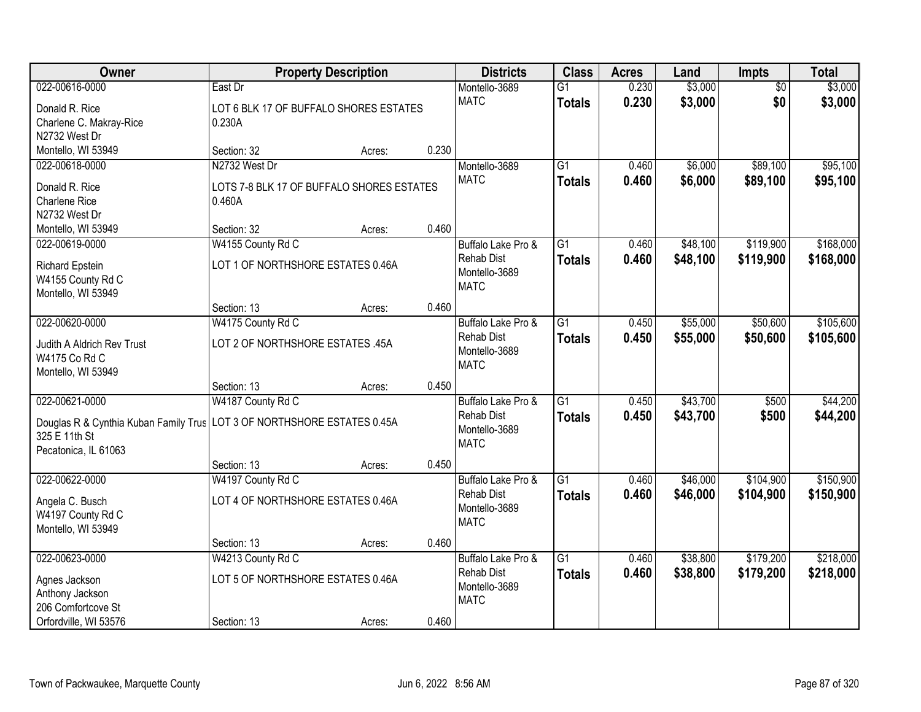| Owner                                                                     |                                           | <b>Property Description</b> |       | <b>Districts</b>   | <b>Class</b>    | <b>Acres</b> | Land     | Impts           | <b>Total</b> |
|---------------------------------------------------------------------------|-------------------------------------------|-----------------------------|-------|--------------------|-----------------|--------------|----------|-----------------|--------------|
| 022-00616-0000                                                            | East Dr                                   |                             |       | Montello-3689      | $\overline{G1}$ | 0.230        | \$3,000  | $\overline{50}$ | \$3,000      |
| Donald R. Rice                                                            | LOT 6 BLK 17 OF BUFFALO SHORES ESTATES    |                             |       | <b>MATC</b>        | <b>Totals</b>   | 0.230        | \$3,000  | \$0             | \$3,000      |
| Charlene C. Makray-Rice                                                   | 0.230A                                    |                             |       |                    |                 |              |          |                 |              |
| N2732 West Dr                                                             |                                           |                             |       |                    |                 |              |          |                 |              |
| Montello, WI 53949                                                        | Section: 32                               | Acres:                      | 0.230 |                    |                 |              |          |                 |              |
| 022-00618-0000                                                            | N2732 West Dr                             |                             |       | Montello-3689      | $\overline{G1}$ | 0.460        | \$6,000  | \$89,100        | \$95,100     |
| Donald R. Rice                                                            | LOTS 7-8 BLK 17 OF BUFFALO SHORES ESTATES |                             |       | <b>MATC</b>        | <b>Totals</b>   | 0.460        | \$6,000  | \$89,100        | \$95,100     |
| Charlene Rice                                                             | 0.460A                                    |                             |       |                    |                 |              |          |                 |              |
| N2732 West Dr                                                             |                                           |                             |       |                    |                 |              |          |                 |              |
| Montello, WI 53949                                                        | Section: 32                               | Acres:                      | 0.460 |                    |                 |              |          |                 |              |
| 022-00619-0000                                                            | W4155 County Rd C                         |                             |       | Buffalo Lake Pro & | G1              | 0.460        | \$48,100 | \$119,900       | \$168,000    |
| <b>Richard Epstein</b>                                                    | LOT 1 OF NORTHSHORE ESTATES 0.46A         |                             |       | <b>Rehab Dist</b>  | <b>Totals</b>   | 0.460        | \$48,100 | \$119,900       | \$168,000    |
| W4155 County Rd C                                                         |                                           |                             |       | Montello-3689      |                 |              |          |                 |              |
| Montello, WI 53949                                                        |                                           |                             |       | <b>MATC</b>        |                 |              |          |                 |              |
|                                                                           | Section: 13                               | Acres:                      | 0.460 |                    |                 |              |          |                 |              |
| 022-00620-0000                                                            | W4175 County Rd C                         |                             |       | Buffalo Lake Pro & | G1              | 0.450        | \$55,000 | \$50,600        | \$105,600    |
|                                                                           | LOT 2 OF NORTHSHORE ESTATES .45A          |                             |       | <b>Rehab Dist</b>  | <b>Totals</b>   | 0.450        | \$55,000 | \$50,600        | \$105,600    |
| Judith A Aldrich Rev Trust<br>W4175 Co Rd C                               |                                           |                             |       | Montello-3689      |                 |              |          |                 |              |
| Montello, WI 53949                                                        |                                           |                             |       | <b>MATC</b>        |                 |              |          |                 |              |
|                                                                           | Section: 13                               | Acres:                      | 0.450 |                    |                 |              |          |                 |              |
| 022-00621-0000                                                            | W4187 County Rd C                         |                             |       | Buffalo Lake Pro & | $\overline{G1}$ | 0.450        | \$43,700 | \$500           | \$44,200     |
|                                                                           |                                           |                             |       | <b>Rehab Dist</b>  | <b>Totals</b>   | 0.450        | \$43,700 | \$500           | \$44,200     |
| Douglas R & Cynthia Kuban Family Trus   LOT 3 OF NORTHSHORE ESTATES 0.45A |                                           |                             |       | Montello-3689      |                 |              |          |                 |              |
| 325 E 11th St<br>Pecatonica, IL 61063                                     |                                           |                             |       | <b>MATC</b>        |                 |              |          |                 |              |
|                                                                           | Section: 13                               | Acres:                      | 0.450 |                    |                 |              |          |                 |              |
| 022-00622-0000                                                            | W4197 County Rd C                         |                             |       | Buffalo Lake Pro & | $\overline{G1}$ | 0.460        | \$46,000 | \$104,900       | \$150,900    |
|                                                                           |                                           |                             |       | <b>Rehab Dist</b>  | <b>Totals</b>   | 0.460        | \$46,000 | \$104,900       | \$150,900    |
| Angela C. Busch                                                           | LOT 4 OF NORTHSHORE ESTATES 0.46A         |                             |       | Montello-3689      |                 |              |          |                 |              |
| W4197 County Rd C                                                         |                                           |                             |       | <b>MATC</b>        |                 |              |          |                 |              |
| Montello, WI 53949                                                        |                                           |                             | 0.460 |                    |                 |              |          |                 |              |
| 022-00623-0000                                                            | Section: 13<br>W4213 County Rd C          | Acres:                      |       | Buffalo Lake Pro & | $\overline{G1}$ | 0.460        | \$38,800 | \$179,200       | \$218,000    |
|                                                                           |                                           |                             |       | <b>Rehab Dist</b>  |                 | 0.460        | \$38,800 | \$179,200       | \$218,000    |
| Agnes Jackson                                                             | LOT 5 OF NORTHSHORE ESTATES 0.46A         |                             |       | Montello-3689      | <b>Totals</b>   |              |          |                 |              |
| Anthony Jackson                                                           |                                           |                             |       | <b>MATC</b>        |                 |              |          |                 |              |
| 206 Comfortcove St                                                        |                                           |                             |       |                    |                 |              |          |                 |              |
| Orfordville, WI 53576                                                     | Section: 13                               | Acres:                      | 0.460 |                    |                 |              |          |                 |              |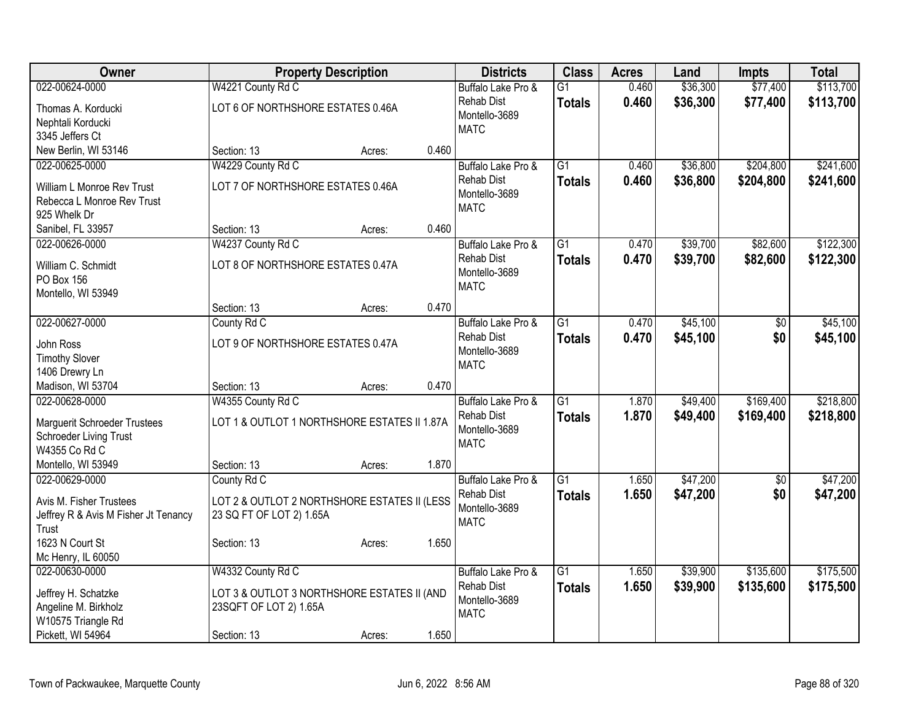| Owner                                |                                              | <b>Property Description</b> |       | <b>Districts</b>                        | <b>Class</b>    | <b>Acres</b> | Land     | <b>Impts</b>    | <b>Total</b> |
|--------------------------------------|----------------------------------------------|-----------------------------|-------|-----------------------------------------|-----------------|--------------|----------|-----------------|--------------|
| 022-00624-0000                       | W4221 County Rd C                            |                             |       | Buffalo Lake Pro &                      | $\overline{G1}$ | 0.460        | \$36,300 | \$77,400        | \$113,700    |
| Thomas A. Korducki                   | LOT 6 OF NORTHSHORE ESTATES 0.46A            |                             |       | <b>Rehab Dist</b>                       | <b>Totals</b>   | 0.460        | \$36,300 | \$77,400        | \$113,700    |
| Nephtali Korducki                    |                                              |                             |       | Montello-3689                           |                 |              |          |                 |              |
| 3345 Jeffers Ct                      |                                              |                             |       | <b>MATC</b>                             |                 |              |          |                 |              |
| New Berlin, WI 53146                 | Section: 13                                  | Acres:                      | 0.460 |                                         |                 |              |          |                 |              |
| 022-00625-0000                       | W4229 County Rd C                            |                             |       | Buffalo Lake Pro &                      | $\overline{G1}$ | 0.460        | \$36,800 | \$204,800       | \$241,600    |
| William L Monroe Rev Trust           | LOT 7 OF NORTHSHORE ESTATES 0.46A            |                             |       | <b>Rehab Dist</b>                       | <b>Totals</b>   | 0.460        | \$36,800 | \$204,800       | \$241,600    |
| Rebecca L Monroe Rev Trust           |                                              |                             |       | Montello-3689                           |                 |              |          |                 |              |
| 925 Whelk Dr                         |                                              |                             |       | <b>MATC</b>                             |                 |              |          |                 |              |
| Sanibel, FL 33957                    | Section: 13                                  | Acres:                      | 0.460 |                                         |                 |              |          |                 |              |
| 022-00626-0000                       | W4237 County Rd C                            |                             |       | Buffalo Lake Pro &                      | $\overline{G1}$ | 0.470        | \$39,700 | \$82,600        | \$122,300    |
|                                      |                                              |                             |       | <b>Rehab Dist</b>                       | <b>Totals</b>   | 0.470        | \$39,700 | \$82,600        | \$122,300    |
| William C. Schmidt<br>PO Box 156     | LOT 8 OF NORTHSHORE ESTATES 0.47A            |                             |       | Montello-3689                           |                 |              |          |                 |              |
| Montello, WI 53949                   |                                              |                             |       | <b>MATC</b>                             |                 |              |          |                 |              |
|                                      | Section: 13                                  | Acres:                      | 0.470 |                                         |                 |              |          |                 |              |
| 022-00627-0000                       | County Rd C                                  |                             |       | Buffalo Lake Pro &                      | $\overline{G1}$ | 0.470        | \$45,100 | \$0             | \$45,100     |
|                                      |                                              |                             |       | <b>Rehab Dist</b>                       | <b>Totals</b>   | 0.470        | \$45,100 | \$0             | \$45,100     |
| John Ross                            | LOT 9 OF NORTHSHORE ESTATES 0.47A            |                             |       | Montello-3689                           |                 |              |          |                 |              |
| <b>Timothy Slover</b>                |                                              |                             |       | <b>MATC</b>                             |                 |              |          |                 |              |
| 1406 Drewry Ln                       |                                              |                             |       |                                         |                 |              |          |                 |              |
| Madison, WI 53704<br>022-00628-0000  | Section: 13                                  | Acres:                      | 0.470 |                                         | $\overline{G1}$ | 1.870        | \$49,400 | \$169,400       | \$218,800    |
|                                      | W4355 County Rd C                            |                             |       | Buffalo Lake Pro &<br><b>Rehab Dist</b> |                 |              |          |                 |              |
| <b>Marguerit Schroeder Trustees</b>  | LOT 1 & OUTLOT 1 NORTHSHORE ESTATES II 1.87A |                             |       | Montello-3689                           | <b>Totals</b>   | 1.870        | \$49,400 | \$169,400       | \$218,800    |
| Schroeder Living Trust               |                                              |                             |       | <b>MATC</b>                             |                 |              |          |                 |              |
| W4355 Co Rd C                        |                                              |                             |       |                                         |                 |              |          |                 |              |
| Montello, WI 53949                   | Section: 13                                  | Acres:                      | 1.870 |                                         |                 |              |          |                 |              |
| 022-00629-0000                       | County Rd C                                  |                             |       | Buffalo Lake Pro &                      | $\overline{G1}$ | 1.650        | \$47,200 | $\overline{50}$ | \$47,200     |
| Avis M. Fisher Trustees              | LOT 2 & OUTLOT 2 NORTHSHORE ESTATES II (LESS |                             |       | Rehab Dist                              | <b>Totals</b>   | 1.650        | \$47,200 | \$0             | \$47,200     |
| Jeffrey R & Avis M Fisher Jt Tenancy | 23 SQ FT OF LOT 2) 1.65A                     |                             |       | Montello-3689                           |                 |              |          |                 |              |
| Trust                                |                                              |                             |       | <b>MATC</b>                             |                 |              |          |                 |              |
| 1623 N Court St                      | Section: 13                                  | Acres:                      | 1.650 |                                         |                 |              |          |                 |              |
| Mc Henry, IL 60050                   |                                              |                             |       |                                         |                 |              |          |                 |              |
| 022-00630-0000                       | W4332 County Rd C                            |                             |       | Buffalo Lake Pro &                      | $\overline{G1}$ | 1.650        | \$39,900 | \$135,600       | \$175,500    |
| Jeffrey H. Schatzke                  | LOT 3 & OUTLOT 3 NORTHSHORE ESTATES II (AND  |                             |       | <b>Rehab Dist</b>                       | <b>Totals</b>   | 1.650        | \$39,900 | \$135,600       | \$175,500    |
| Angeline M. Birkholz                 | 23SQFT OF LOT 2) 1.65A                       |                             |       | Montello-3689                           |                 |              |          |                 |              |
| W10575 Triangle Rd                   |                                              |                             |       | <b>MATC</b>                             |                 |              |          |                 |              |
| Pickett, WI 54964                    | Section: 13                                  | Acres:                      | 1.650 |                                         |                 |              |          |                 |              |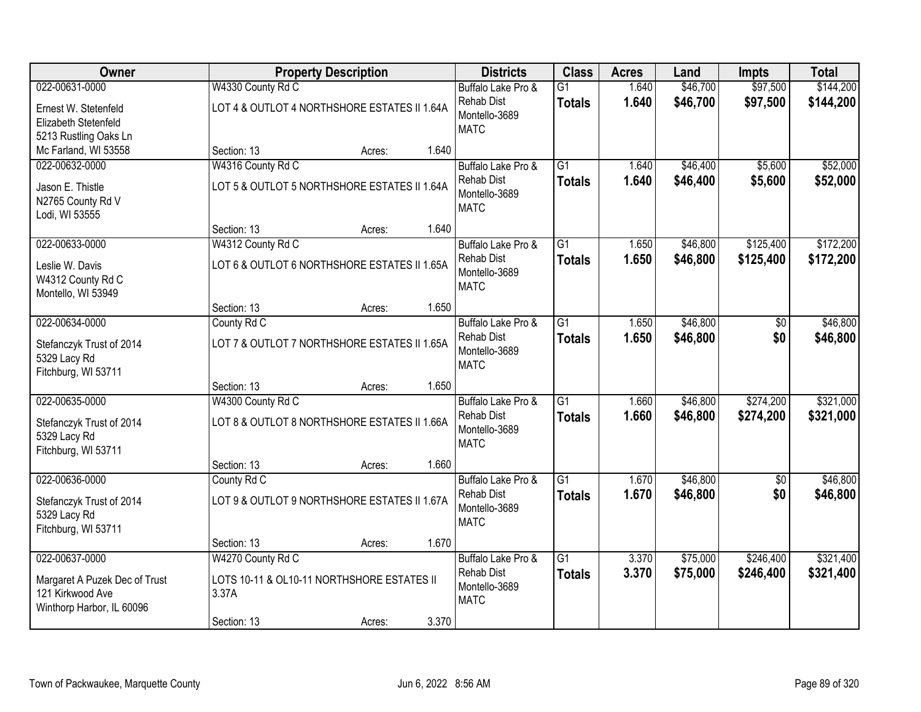| <b>Owner</b>                  |                                              | <b>Property Description</b> |       | <b>Districts</b>             | <b>Class</b>    | <b>Acres</b> | Land     | <b>Impts</b>    | <b>Total</b> |
|-------------------------------|----------------------------------------------|-----------------------------|-------|------------------------------|-----------------|--------------|----------|-----------------|--------------|
| 022-00631-0000                | W4330 County Rd C                            |                             |       | Buffalo Lake Pro &           | $\overline{G1}$ | 1.640        | \$46,700 | \$97,500        | \$144,200    |
| Ernest W. Stetenfeld          | LOT 4 & OUTLOT 4 NORTHSHORE ESTATES II 1.64A |                             |       | <b>Rehab Dist</b>            | <b>Totals</b>   | 1.640        | \$46,700 | \$97,500        | \$144,200    |
| Elizabeth Stetenfeld          |                                              |                             |       | Montello-3689                |                 |              |          |                 |              |
| 5213 Rustling Oaks Ln         |                                              |                             |       | <b>MATC</b>                  |                 |              |          |                 |              |
| Mc Farland, WI 53558          | Section: 13                                  | Acres:                      | 1.640 |                              |                 |              |          |                 |              |
| 022-00632-0000                | W4316 County Rd C                            |                             |       | Buffalo Lake Pro &           | $\overline{G1}$ | 1.640        | \$46,400 | \$5,600         | \$52,000     |
| Jason E. Thistle              | LOT 5 & OUTLOT 5 NORTHSHORE ESTATES II 1.64A |                             |       | <b>Rehab Dist</b>            | <b>Totals</b>   | 1.640        | \$46,400 | \$5,600         | \$52,000     |
| N2765 County Rd V             |                                              |                             |       | Montello-3689                |                 |              |          |                 |              |
| Lodi, WI 53555                |                                              |                             |       | <b>MATC</b>                  |                 |              |          |                 |              |
|                               | Section: 13                                  | Acres:                      | 1.640 |                              |                 |              |          |                 |              |
| 022-00633-0000                | W4312 County Rd C                            |                             |       | Buffalo Lake Pro &           | G1              | 1.650        | \$46,800 | \$125,400       | \$172,200    |
| Leslie W. Davis               | LOT 6 & OUTLOT 6 NORTHSHORE ESTATES II 1.65A |                             |       | <b>Rehab Dist</b>            | <b>Totals</b>   | 1.650        | \$46,800 | \$125,400       | \$172,200    |
| W4312 County Rd C             |                                              |                             |       | Montello-3689                |                 |              |          |                 |              |
| Montello, WI 53949            |                                              |                             |       | <b>MATC</b>                  |                 |              |          |                 |              |
|                               | Section: 13                                  | Acres:                      | 1.650 |                              |                 |              |          |                 |              |
| 022-00634-0000                | County Rd C                                  |                             |       | Buffalo Lake Pro &           | $\overline{G1}$ | 1.650        | \$46,800 | \$0             | \$46,800     |
| Stefanczyk Trust of 2014      | LOT 7 & OUTLOT 7 NORTHSHORE ESTATES II 1.65A |                             |       | <b>Rehab Dist</b>            | <b>Totals</b>   | 1.650        | \$46,800 | \$0             | \$46,800     |
| 5329 Lacy Rd                  |                                              |                             |       | Montello-3689                |                 |              |          |                 |              |
| Fitchburg, WI 53711           |                                              |                             |       | <b>MATC</b>                  |                 |              |          |                 |              |
|                               | Section: 13                                  | Acres:                      | 1.650 |                              |                 |              |          |                 |              |
| 022-00635-0000                | W4300 County Rd C                            |                             |       | Buffalo Lake Pro &           | $\overline{G1}$ | 1.660        | \$46,800 | \$274,200       | \$321,000    |
| Stefanczyk Trust of 2014      | LOT 8 & OUTLOT 8 NORTHSHORE ESTATES II 1.66A |                             |       | Rehab Dist                   | <b>Totals</b>   | 1.660        | \$46,800 | \$274,200       | \$321,000    |
| 5329 Lacy Rd                  |                                              |                             |       | Montello-3689                |                 |              |          |                 |              |
| Fitchburg, WI 53711           |                                              |                             |       | <b>MATC</b>                  |                 |              |          |                 |              |
|                               | Section: 13                                  | Acres:                      | 1.660 |                              |                 |              |          |                 |              |
| 022-00636-0000                | County Rd C                                  |                             |       | Buffalo Lake Pro &           | $\overline{G1}$ | 1.670        | \$46,800 | $\overline{60}$ | \$46,800     |
| Stefanczyk Trust of 2014      | LOT 9 & OUTLOT 9 NORTHSHORE ESTATES II 1.67A |                             |       | <b>Rehab Dist</b>            | <b>Totals</b>   | 1.670        | \$46,800 | \$0             | \$46,800     |
| 5329 Lacy Rd                  |                                              |                             |       | Montello-3689<br><b>MATC</b> |                 |              |          |                 |              |
| Fitchburg, WI 53711           |                                              |                             |       |                              |                 |              |          |                 |              |
|                               | Section: 13                                  | Acres:                      | 1.670 |                              |                 |              |          |                 |              |
| 022-00637-0000                | W4270 County Rd C                            |                             |       | Buffalo Lake Pro &           | $\overline{G1}$ | 3.370        | \$75,000 | \$246,400       | \$321,400    |
| Margaret A Puzek Dec of Trust | LOTS 10-11 & OL10-11 NORTHSHORE ESTATES II   |                             |       | Rehab Dist                   | <b>Totals</b>   | 3.370        | \$75,000 | \$246,400       | \$321,400    |
| 121 Kirkwood Ave              | 3.37A                                        |                             |       | Montello-3689<br><b>MATC</b> |                 |              |          |                 |              |
| Winthorp Harbor, IL 60096     |                                              |                             |       |                              |                 |              |          |                 |              |
|                               | Section: 13                                  | Acres:                      | 3.370 |                              |                 |              |          |                 |              |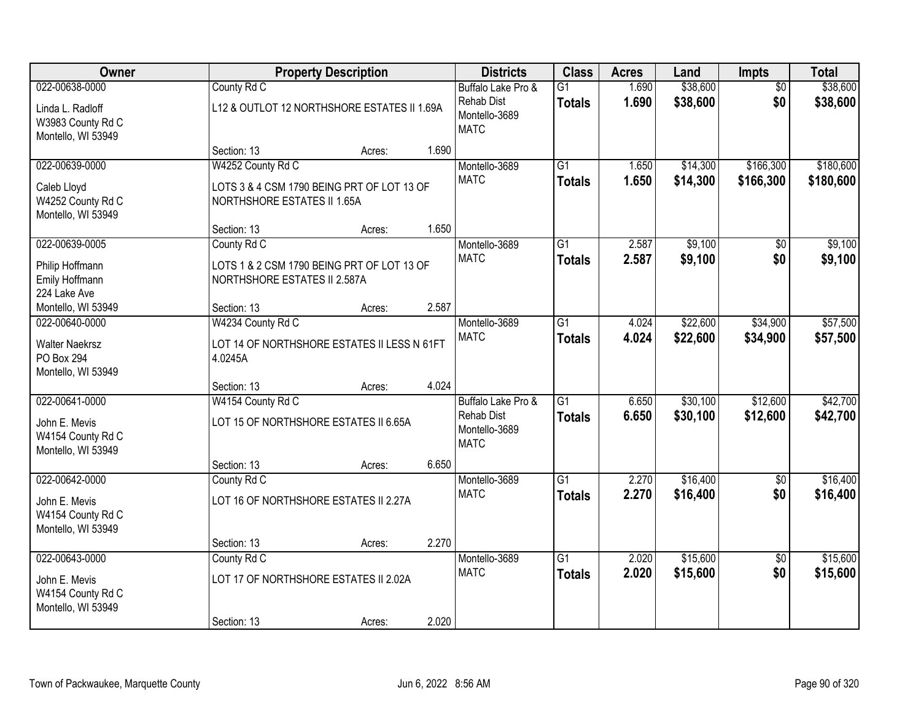| <b>Owner</b>                                                                       |                                                                                                | <b>Property Description</b> |       | <b>Districts</b>                                                        | <b>Class</b>                     | <b>Acres</b>   | Land                 | <b>Impts</b>           | <b>Total</b>           |
|------------------------------------------------------------------------------------|------------------------------------------------------------------------------------------------|-----------------------------|-------|-------------------------------------------------------------------------|----------------------------------|----------------|----------------------|------------------------|------------------------|
| 022-00638-0000<br>Linda L. Radloff<br>W3983 County Rd C<br>Montello, WI 53949      | County Rd C<br>L12 & OUTLOT 12 NORTHSHORE ESTATES II 1.69A                                     |                             |       | Buffalo Lake Pro &<br><b>Rehab Dist</b><br>Montello-3689<br><b>MATC</b> | $\overline{G1}$<br><b>Totals</b> | 1.690<br>1.690 | \$38,600<br>\$38,600 | $\overline{50}$<br>\$0 | \$38,600<br>\$38,600   |
|                                                                                    | Section: 13                                                                                    | Acres:                      | 1.690 |                                                                         |                                  |                |                      |                        |                        |
| 022-00639-0000<br>Caleb Lloyd<br>W4252 County Rd C<br>Montello, WI 53949           | W4252 County Rd C<br>LOTS 3 & 4 CSM 1790 BEING PRT OF LOT 13 OF<br>NORTHSHORE ESTATES II 1.65A |                             |       | Montello-3689<br><b>MATC</b>                                            | $\overline{G1}$<br><b>Totals</b> | 1.650<br>1.650 | \$14,300<br>\$14,300 | \$166,300<br>\$166,300 | \$180,600<br>\$180,600 |
|                                                                                    | Section: 13                                                                                    | Acres:                      | 1.650 |                                                                         |                                  |                |                      |                        |                        |
| 022-00639-0005<br>Philip Hoffmann<br>Emily Hoffmann<br>224 Lake Ave                | County Rd C<br>LOTS 1 & 2 CSM 1790 BEING PRT OF LOT 13 OF<br>NORTHSHORE ESTATES II 2.587A      |                             |       | Montello-3689<br><b>MATC</b>                                            | $\overline{G1}$<br><b>Totals</b> | 2.587<br>2.587 | \$9,100<br>\$9,100   | \$0<br>\$0             | \$9,100<br>\$9,100     |
| Montello, WI 53949                                                                 | Section: 13                                                                                    | Acres:                      | 2.587 |                                                                         |                                  |                |                      |                        |                        |
| 022-00640-0000<br><b>Walter Naekrsz</b><br><b>PO Box 294</b><br>Montello, WI 53949 | W4234 County Rd C<br>LOT 14 OF NORTHSHORE ESTATES II LESS N 61FT<br>4.0245A                    |                             |       | Montello-3689<br><b>MATC</b>                                            | $\overline{G1}$<br><b>Totals</b> | 4.024<br>4.024 | \$22,600<br>\$22,600 | \$34,900<br>\$34,900   | \$57,500<br>\$57,500   |
|                                                                                    | Section: 13                                                                                    | Acres:                      | 4.024 |                                                                         |                                  |                |                      |                        |                        |
| 022-00641-0000<br>John E. Mevis<br>W4154 County Rd C<br>Montello, WI 53949         | W4154 County Rd C<br>LOT 15 OF NORTHSHORE ESTATES II 6.65A<br>Section: 13                      | Acres:                      | 6.650 | Buffalo Lake Pro &<br><b>Rehab Dist</b><br>Montello-3689<br><b>MATC</b> | $\overline{G1}$<br><b>Totals</b> | 6.650<br>6.650 | \$30,100<br>\$30,100 | \$12,600<br>\$12,600   | \$42,700<br>\$42,700   |
| 022-00642-0000                                                                     | County Rd C                                                                                    |                             |       | Montello-3689                                                           | $\overline{G1}$                  | 2.270          | \$16,400             | $\overline{50}$        | \$16,400               |
| John E. Mevis<br>W4154 County Rd C<br>Montello, WI 53949                           | LOT 16 OF NORTHSHORE ESTATES II 2.27A                                                          |                             |       | <b>MATC</b>                                                             | <b>Totals</b>                    | 2.270          | \$16,400             | \$0                    | \$16,400               |
|                                                                                    | Section: 13                                                                                    | Acres:                      | 2.270 |                                                                         |                                  |                |                      |                        |                        |
| 022-00643-0000<br>John E. Mevis<br>W4154 County Rd C<br>Montello, WI 53949         | County Rd C<br>LOT 17 OF NORTHSHORE ESTATES II 2.02A<br>Section: 13                            | Acres:                      | 2.020 | Montello-3689<br><b>MATC</b>                                            | $\overline{G1}$<br><b>Totals</b> | 2.020<br>2.020 | \$15,600<br>\$15,600 | $\overline{50}$<br>\$0 | \$15,600<br>\$15,600   |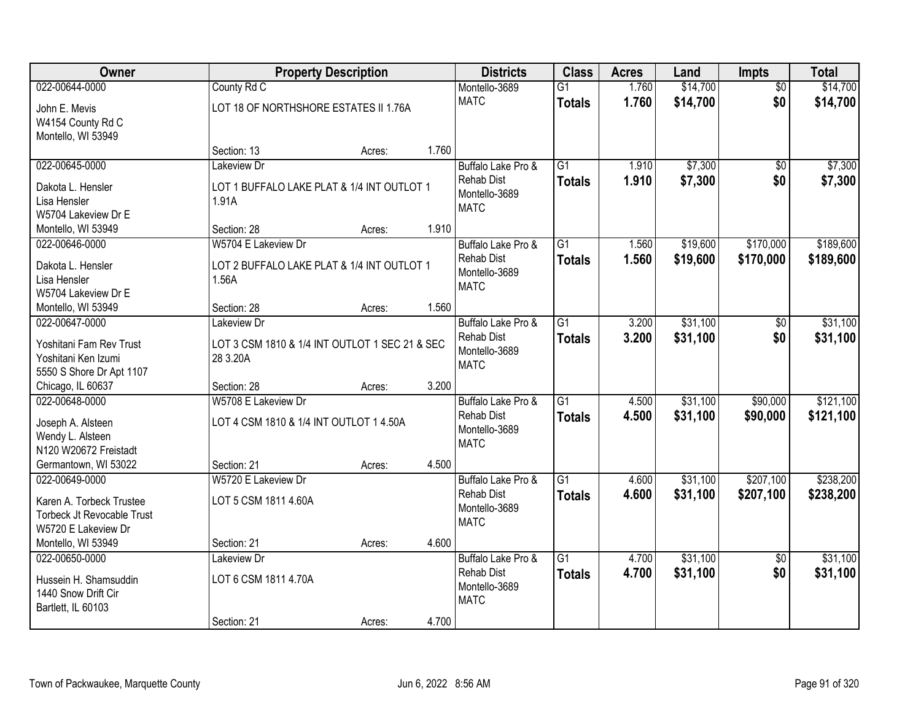| <b>Owner</b>                      |                                                | <b>Property Description</b> |       | <b>Districts</b>   | <b>Class</b>    | <b>Acres</b> | Land     | Impts           | <b>Total</b> |
|-----------------------------------|------------------------------------------------|-----------------------------|-------|--------------------|-----------------|--------------|----------|-----------------|--------------|
| 022-00644-0000                    | County Rd C                                    |                             |       | Montello-3689      | $\overline{G1}$ | 1.760        | \$14,700 | $\overline{50}$ | \$14,700     |
| John E. Mevis                     | LOT 18 OF NORTHSHORE ESTATES II 1.76A          |                             |       | <b>MATC</b>        | <b>Totals</b>   | 1.760        | \$14,700 | \$0             | \$14,700     |
| W4154 County Rd C                 |                                                |                             |       |                    |                 |              |          |                 |              |
| Montello, WI 53949                |                                                |                             |       |                    |                 |              |          |                 |              |
|                                   | Section: 13                                    | Acres:                      | 1.760 |                    |                 |              |          |                 |              |
| 022-00645-0000                    | Lakeview Dr                                    |                             |       | Buffalo Lake Pro & | $\overline{G1}$ | 1.910        | \$7,300  | $\overline{50}$ | \$7,300      |
| Dakota L. Hensler                 | LOT 1 BUFFALO LAKE PLAT & 1/4 INT OUTLOT 1     |                             |       | <b>Rehab Dist</b>  | <b>Totals</b>   | 1.910        | \$7,300  | \$0             | \$7,300      |
| Lisa Hensler                      | 1.91A                                          |                             |       | Montello-3689      |                 |              |          |                 |              |
| W5704 Lakeview Dr E               |                                                |                             |       | <b>MATC</b>        |                 |              |          |                 |              |
| Montello, WI 53949                | Section: 28                                    | Acres:                      | 1.910 |                    |                 |              |          |                 |              |
| 022-00646-0000                    | W5704 E Lakeview Dr                            |                             |       | Buffalo Lake Pro & | $\overline{G1}$ | 1.560        | \$19,600 | \$170,000       | \$189,600    |
| Dakota L. Hensler                 | LOT 2 BUFFALO LAKE PLAT & 1/4 INT OUTLOT 1     |                             |       | <b>Rehab Dist</b>  | <b>Totals</b>   | 1.560        | \$19,600 | \$170,000       | \$189,600    |
| Lisa Hensler                      | 1.56A                                          |                             |       | Montello-3689      |                 |              |          |                 |              |
| W5704 Lakeview Dr E               |                                                |                             |       | <b>MATC</b>        |                 |              |          |                 |              |
| Montello, WI 53949                | Section: 28                                    | Acres:                      | 1.560 |                    |                 |              |          |                 |              |
| 022-00647-0000                    | Lakeview Dr                                    |                             |       | Buffalo Lake Pro & | $\overline{G1}$ | 3.200        | \$31,100 | \$0             | \$31,100     |
| Yoshitani Fam Rev Trust           | LOT 3 CSM 1810 & 1/4 INT OUTLOT 1 SEC 21 & SEC |                             |       | <b>Rehab Dist</b>  | <b>Totals</b>   | 3.200        | \$31,100 | \$0             | \$31,100     |
| Yoshitani Ken Izumi               | 28 3.20A                                       |                             |       | Montello-3689      |                 |              |          |                 |              |
| 5550 S Shore Dr Apt 1107          |                                                |                             |       | <b>MATC</b>        |                 |              |          |                 |              |
| Chicago, IL 60637                 | Section: 28                                    | Acres:                      | 3.200 |                    |                 |              |          |                 |              |
| 022-00648-0000                    | W5708 E Lakeview Dr                            |                             |       | Buffalo Lake Pro & | $\overline{G1}$ | 4.500        | \$31,100 | \$90,000        | \$121,100    |
| Joseph A. Alsteen                 | LOT 4 CSM 1810 & 1/4 INT OUTLOT 1 4.50A        |                             |       | <b>Rehab Dist</b>  | <b>Totals</b>   | 4.500        | \$31,100 | \$90,000        | \$121,100    |
| Wendy L. Alsteen                  |                                                |                             |       | Montello-3689      |                 |              |          |                 |              |
| N120 W20672 Freistadt             |                                                |                             |       | <b>MATC</b>        |                 |              |          |                 |              |
| Germantown, WI 53022              | Section: 21                                    | Acres:                      | 4.500 |                    |                 |              |          |                 |              |
| 022-00649-0000                    | W5720 E Lakeview Dr                            |                             |       | Buffalo Lake Pro & | $\overline{G1}$ | 4.600        | \$31,100 | \$207,100       | \$238,200    |
| Karen A. Torbeck Trustee          | LOT 5 CSM 1811 4.60A                           |                             |       | <b>Rehab Dist</b>  | <b>Totals</b>   | 4.600        | \$31,100 | \$207,100       | \$238,200    |
| <b>Torbeck Jt Revocable Trust</b> |                                                |                             |       | Montello-3689      |                 |              |          |                 |              |
| W5720 E Lakeview Dr               |                                                |                             |       | <b>MATC</b>        |                 |              |          |                 |              |
| Montello, WI 53949                | Section: 21                                    | Acres:                      | 4.600 |                    |                 |              |          |                 |              |
| 022-00650-0000                    | Lakeview Dr                                    |                             |       | Buffalo Lake Pro & | $\overline{G1}$ | 4.700        | \$31,100 | $\overline{50}$ | \$31,100     |
| Hussein H. Shamsuddin             | LOT 6 CSM 1811 4.70A                           |                             |       | <b>Rehab Dist</b>  | <b>Totals</b>   | 4.700        | \$31,100 | \$0             | \$31,100     |
| 1440 Snow Drift Cir               |                                                |                             |       | Montello-3689      |                 |              |          |                 |              |
| Bartlett, IL 60103                |                                                |                             |       | <b>MATC</b>        |                 |              |          |                 |              |
|                                   | Section: 21                                    | Acres:                      | 4.700 |                    |                 |              |          |                 |              |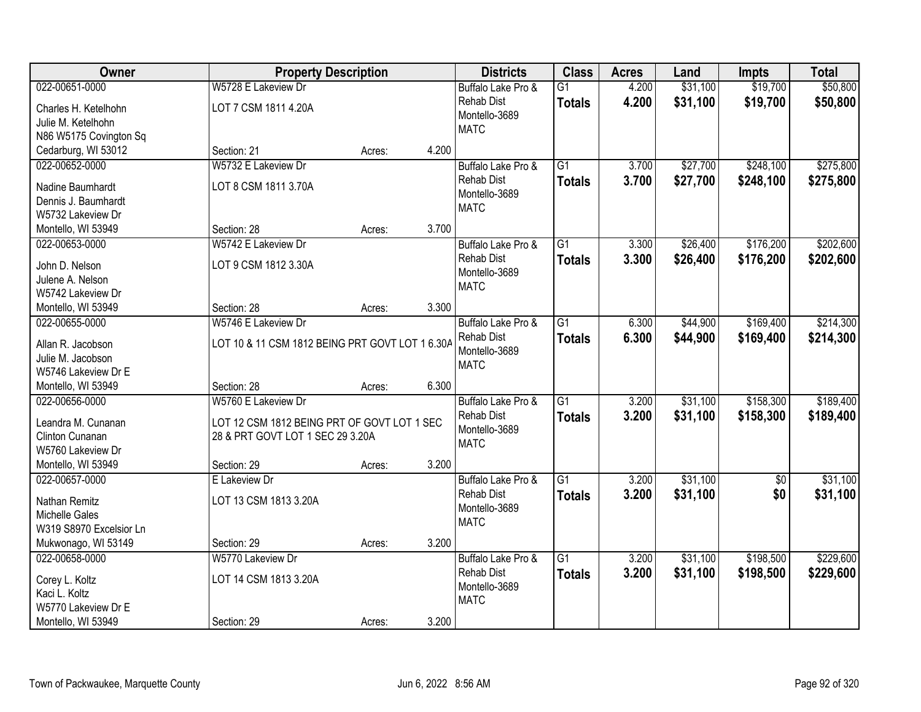| Owner                   |                                                 | <b>Property Description</b> |       | <b>Districts</b>   | <b>Class</b>    | <b>Acres</b> | Land     | <b>Impts</b>    | <b>Total</b> |
|-------------------------|-------------------------------------------------|-----------------------------|-------|--------------------|-----------------|--------------|----------|-----------------|--------------|
| 022-00651-0000          | W5728 E Lakeview Dr                             |                             |       | Buffalo Lake Pro & | $\overline{G1}$ | 4.200        | \$31,100 | \$19,700        | \$50,800     |
| Charles H. Ketelhohn    | LOT 7 CSM 1811 4.20A                            |                             |       | <b>Rehab Dist</b>  | <b>Totals</b>   | 4.200        | \$31,100 | \$19,700        | \$50,800     |
| Julie M. Ketelhohn      |                                                 |                             |       | Montello-3689      |                 |              |          |                 |              |
| N86 W5175 Covington Sq  |                                                 |                             |       | <b>MATC</b>        |                 |              |          |                 |              |
| Cedarburg, WI 53012     | Section: 21                                     | Acres:                      | 4.200 |                    |                 |              |          |                 |              |
| 022-00652-0000          | W5732 E Lakeview Dr                             |                             |       | Buffalo Lake Pro & | $\overline{G1}$ | 3.700        | \$27,700 | \$248,100       | \$275,800    |
|                         |                                                 |                             |       | <b>Rehab Dist</b>  | <b>Totals</b>   | 3.700        | \$27,700 | \$248,100       | \$275,800    |
| Nadine Baumhardt        | LOT 8 CSM 1811 3.70A                            |                             |       | Montello-3689      |                 |              |          |                 |              |
| Dennis J. Baumhardt     |                                                 |                             |       | <b>MATC</b>        |                 |              |          |                 |              |
| W5732 Lakeview Dr       |                                                 |                             |       |                    |                 |              |          |                 |              |
| Montello, WI 53949      | Section: 28                                     | Acres:                      | 3.700 |                    |                 |              |          |                 |              |
| 022-00653-0000          | W5742 E Lakeview Dr                             |                             |       | Buffalo Lake Pro & | G1              | 3.300        | \$26,400 | \$176,200       | \$202,600    |
| John D. Nelson          | LOT 9 CSM 1812 3.30A                            |                             |       | <b>Rehab Dist</b>  | <b>Totals</b>   | 3.300        | \$26,400 | \$176,200       | \$202,600    |
| Julene A. Nelson        |                                                 |                             |       | Montello-3689      |                 |              |          |                 |              |
| W5742 Lakeview Dr       |                                                 |                             |       | <b>MATC</b>        |                 |              |          |                 |              |
| Montello, WI 53949      | Section: 28                                     | Acres:                      | 3.300 |                    |                 |              |          |                 |              |
| 022-00655-0000          | W5746 E Lakeview Dr                             |                             |       | Buffalo Lake Pro & | G1              | 6.300        | \$44,900 | \$169,400       | \$214,300    |
|                         |                                                 |                             |       | <b>Rehab Dist</b>  | <b>Totals</b>   | 6.300        | \$44,900 | \$169,400       | \$214,300    |
| Allan R. Jacobson       | LOT 10 & 11 CSM 1812 BEING PRT GOVT LOT 1 6.30A |                             |       | Montello-3689      |                 |              |          |                 |              |
| Julie M. Jacobson       |                                                 |                             |       | <b>MATC</b>        |                 |              |          |                 |              |
| W5746 Lakeview Dr E     |                                                 |                             |       |                    |                 |              |          |                 |              |
| Montello, WI 53949      | Section: 28                                     | Acres:                      | 6.300 |                    |                 |              |          |                 |              |
| 022-00656-0000          | W5760 E Lakeview Dr                             |                             |       | Buffalo Lake Pro & | $\overline{G1}$ | 3.200        | \$31,100 | \$158,300       | \$189,400    |
| Leandra M. Cunanan      | LOT 12 CSM 1812 BEING PRT OF GOVT LOT 1 SEC     |                             |       | <b>Rehab Dist</b>  | <b>Totals</b>   | 3.200        | \$31,100 | \$158,300       | \$189,400    |
| Clinton Cunanan         | 28 & PRT GOVT LOT 1 SEC 29 3.20A                |                             |       | Montello-3689      |                 |              |          |                 |              |
| W5760 Lakeview Dr       |                                                 |                             |       | <b>MATC</b>        |                 |              |          |                 |              |
| Montello, WI 53949      | Section: 29                                     | Acres:                      | 3.200 |                    |                 |              |          |                 |              |
| 022-00657-0000          | E Lakeview Dr                                   |                             |       | Buffalo Lake Pro & | $\overline{G1}$ | 3.200        | \$31,100 | $\overline{60}$ | \$31,100     |
|                         |                                                 |                             |       | <b>Rehab Dist</b>  |                 | 3.200        | \$31,100 | \$0             | \$31,100     |
| Nathan Remitz           | LOT 13 CSM 1813 3.20A                           |                             |       | Montello-3689      | <b>Totals</b>   |              |          |                 |              |
| Michelle Gales          |                                                 |                             |       | <b>MATC</b>        |                 |              |          |                 |              |
| W319 S8970 Excelsior Ln |                                                 |                             |       |                    |                 |              |          |                 |              |
| Mukwonago, WI 53149     | Section: 29                                     | Acres:                      | 3.200 |                    |                 |              |          |                 |              |
| 022-00658-0000          | W5770 Lakeview Dr                               |                             |       | Buffalo Lake Pro & | $\overline{G1}$ | 3.200        | \$31,100 | \$198,500       | \$229,600    |
| Corey L. Koltz          | LOT 14 CSM 1813 3.20A                           |                             |       | <b>Rehab Dist</b>  | <b>Totals</b>   | 3.200        | \$31,100 | \$198,500       | \$229,600    |
| Kaci L. Koltz           |                                                 |                             |       | Montello-3689      |                 |              |          |                 |              |
| W5770 Lakeview Dr E     |                                                 |                             |       | <b>MATC</b>        |                 |              |          |                 |              |
|                         |                                                 |                             | 3.200 |                    |                 |              |          |                 |              |
| Montello, WI 53949      | Section: 29                                     | Acres:                      |       |                    |                 |              |          |                 |              |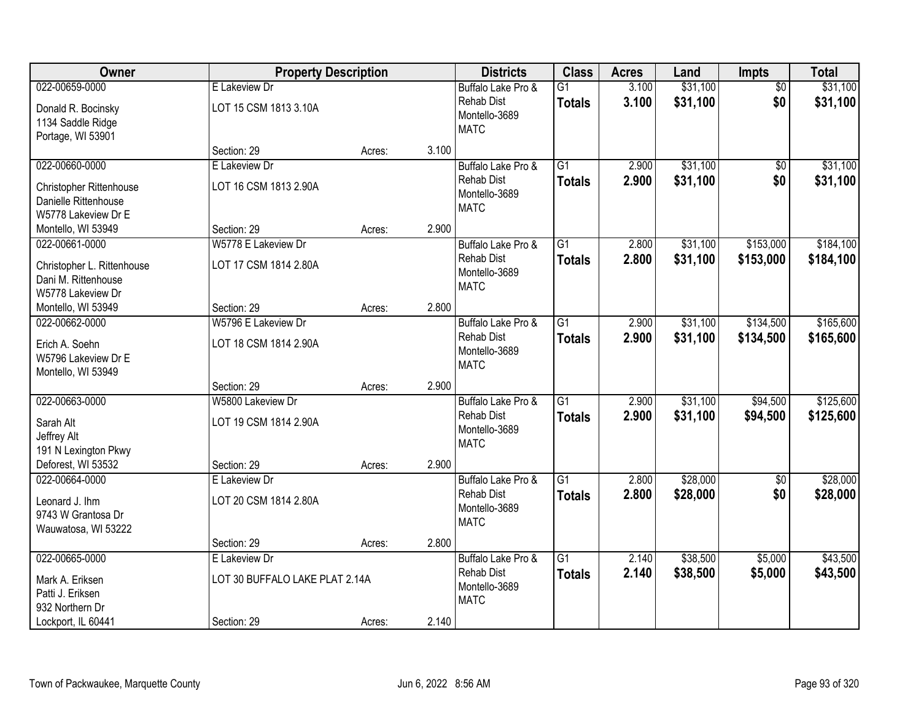| Owner                                                                         | <b>Property Description</b>                     |        |       | <b>Districts</b>                                                        | <b>Class</b>                     | <b>Acres</b>   | Land                 | Impts                  | <b>Total</b>           |
|-------------------------------------------------------------------------------|-------------------------------------------------|--------|-------|-------------------------------------------------------------------------|----------------------------------|----------------|----------------------|------------------------|------------------------|
| 022-00659-0000                                                                | E Lakeview Dr                                   |        |       | Buffalo Lake Pro &                                                      | $\overline{G1}$                  | 3.100          | \$31,100             | $\overline{50}$        | \$31,100               |
| Donald R. Bocinsky<br>1134 Saddle Ridge<br>Portage, WI 53901                  | LOT 15 CSM 1813 3.10A                           |        |       | <b>Rehab Dist</b><br>Montello-3689<br><b>MATC</b>                       | <b>Totals</b>                    | 3.100          | \$31,100             | \$0                    | \$31,100               |
|                                                                               | Section: 29                                     | Acres: | 3.100 |                                                                         |                                  |                |                      |                        |                        |
| 022-00660-0000<br>Christopher Rittenhouse<br>Danielle Rittenhouse             | E Lakeview Dr<br>LOT 16 CSM 1813 2.90A          |        |       | Buffalo Lake Pro &<br>Rehab Dist<br>Montello-3689<br><b>MATC</b>        | $\overline{G1}$<br><b>Totals</b> | 2.900<br>2.900 | \$31,100<br>\$31,100 | \$0<br>\$0             | \$31,100<br>\$31,100   |
| W5778 Lakeview Dr E<br>Montello, WI 53949                                     | Section: 29                                     | Acres: | 2.900 |                                                                         |                                  |                |                      |                        |                        |
| 022-00661-0000                                                                | W5778 E Lakeview Dr                             |        |       | Buffalo Lake Pro &                                                      | G <sub>1</sub>                   | 2.800          | \$31,100             | \$153,000              | \$184,100              |
| Christopher L. Rittenhouse<br>Dani M. Rittenhouse<br>W5778 Lakeview Dr        | LOT 17 CSM 1814 2.80A                           |        |       | <b>Rehab Dist</b><br>Montello-3689<br><b>MATC</b>                       | <b>Totals</b>                    | 2.800          | \$31,100             | \$153,000              | \$184,100              |
| Montello, WI 53949                                                            | Section: 29                                     | Acres: | 2.800 |                                                                         |                                  |                |                      |                        |                        |
| 022-00662-0000<br>Erich A. Soehn<br>W5796 Lakeview Dr E<br>Montello, WI 53949 | W5796 E Lakeview Dr<br>LOT 18 CSM 1814 2.90A    |        |       | Buffalo Lake Pro &<br><b>Rehab Dist</b><br>Montello-3689<br><b>MATC</b> | $\overline{G1}$<br><b>Totals</b> | 2.900<br>2.900 | \$31,100<br>\$31,100 | \$134,500<br>\$134,500 | \$165,600<br>\$165,600 |
|                                                                               | Section: 29                                     | Acres: | 2.900 |                                                                         |                                  |                |                      |                        |                        |
| 022-00663-0000<br>Sarah Alt<br>Jeffrey Alt<br>191 N Lexington Pkwy            | W5800 Lakeview Dr<br>LOT 19 CSM 1814 2.90A      |        |       | Buffalo Lake Pro &<br><b>Rehab Dist</b><br>Montello-3689<br><b>MATC</b> | $\overline{G1}$<br><b>Totals</b> | 2.900<br>2.900 | \$31,100<br>\$31,100 | \$94,500<br>\$94,500   | \$125,600<br>\$125,600 |
| Deforest, WI 53532                                                            | Section: 29                                     | Acres: | 2.900 |                                                                         |                                  |                |                      |                        |                        |
| 022-00664-0000<br>Leonard J. Ihm<br>9743 W Grantosa Dr<br>Wauwatosa, WI 53222 | E Lakeview Dr<br>LOT 20 CSM 1814 2.80A          |        |       | Buffalo Lake Pro &<br><b>Rehab Dist</b><br>Montello-3689<br><b>MATC</b> | $\overline{G1}$<br><b>Totals</b> | 2.800<br>2.800 | \$28,000<br>\$28,000 | $\overline{60}$<br>\$0 | \$28,000<br>\$28,000   |
|                                                                               | Section: 29                                     | Acres: | 2.800 |                                                                         |                                  |                |                      |                        |                        |
| 022-00665-0000<br>Mark A. Eriksen<br>Patti J. Eriksen<br>932 Northern Dr      | E Lakeview Dr<br>LOT 30 BUFFALO LAKE PLAT 2.14A |        |       | Buffalo Lake Pro &<br><b>Rehab Dist</b><br>Montello-3689<br><b>MATC</b> | $\overline{G1}$<br><b>Totals</b> | 2.140<br>2.140 | \$38,500<br>\$38,500 | \$5,000<br>\$5,000     | \$43,500<br>\$43,500   |
| Lockport, IL 60441                                                            | Section: 29                                     | Acres: | 2.140 |                                                                         |                                  |                |                      |                        |                        |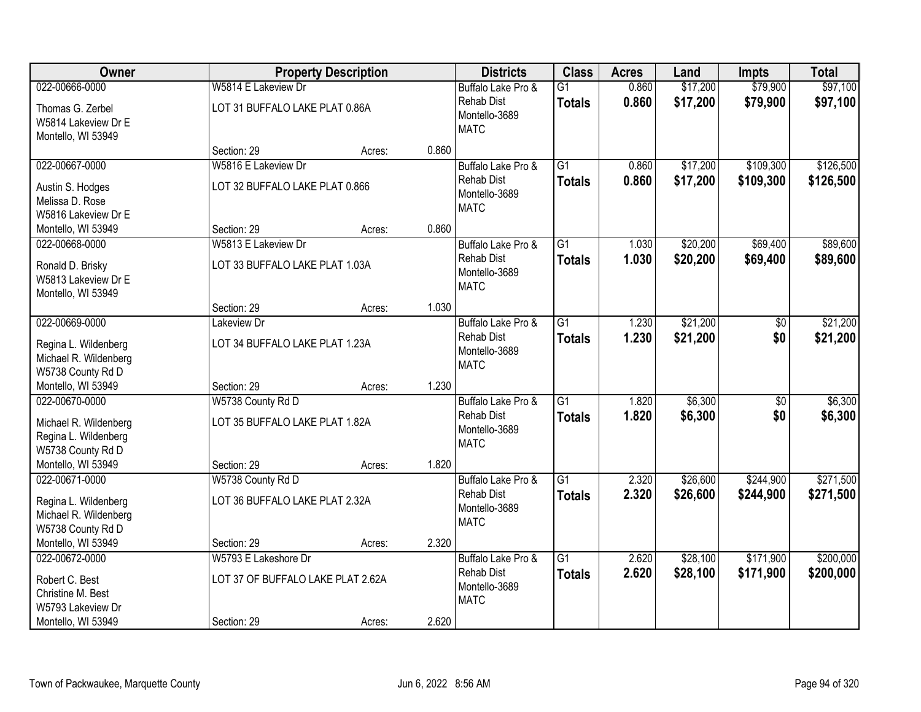| Owner                                                              |                                                     | <b>Property Description</b> |       | <b>Districts</b>                                         | <b>Class</b>                     | <b>Acres</b>   | Land               | <b>Impts</b> | <b>Total</b>       |
|--------------------------------------------------------------------|-----------------------------------------------------|-----------------------------|-------|----------------------------------------------------------|----------------------------------|----------------|--------------------|--------------|--------------------|
| 022-00666-0000                                                     | W5814 E Lakeview Dr                                 |                             |       | Buffalo Lake Pro &                                       | $\overline{G1}$                  | 0.860          | \$17,200           | \$79,900     | \$97,100           |
| Thomas G. Zerbel<br>W5814 Lakeview Dr E<br>Montello, WI 53949      | LOT 31 BUFFALO LAKE PLAT 0.86A                      |                             |       | <b>Rehab Dist</b><br>Montello-3689<br><b>MATC</b>        | <b>Totals</b>                    | 0.860          | \$17,200           | \$79,900     | \$97,100           |
|                                                                    | Section: 29                                         | Acres:                      | 0.860 |                                                          |                                  |                |                    |              |                    |
| 022-00667-0000                                                     | W5816 E Lakeview Dr                                 |                             |       | Buffalo Lake Pro &                                       | $\overline{G1}$                  | 0.860          | \$17,200           | \$109,300    | \$126,500          |
| Austin S. Hodges<br>Melissa D. Rose<br>W5816 Lakeview Dr E         | LOT 32 BUFFALO LAKE PLAT 0.866                      |                             |       | <b>Rehab Dist</b><br>Montello-3689<br><b>MATC</b>        | <b>Totals</b>                    | 0.860          | \$17,200           | \$109,300    | \$126,500          |
| Montello, WI 53949                                                 | Section: 29                                         | Acres:                      | 0.860 |                                                          |                                  |                |                    |              |                    |
| 022-00668-0000                                                     | W5813 E Lakeview Dr                                 |                             |       | Buffalo Lake Pro &                                       | G1                               | 1.030          | \$20,200           | \$69,400     | \$89,600           |
| Ronald D. Brisky<br>W5813 Lakeview Dr E<br>Montello, WI 53949      | LOT 33 BUFFALO LAKE PLAT 1.03A                      |                             |       | <b>Rehab Dist</b><br>Montello-3689<br><b>MATC</b>        | <b>Totals</b>                    | 1.030          | \$20,200           | \$69,400     | \$89,600           |
|                                                                    | Section: 29                                         | Acres:                      | 1.030 |                                                          |                                  |                |                    |              |                    |
| 022-00669-0000                                                     | Lakeview Dr                                         |                             |       | Buffalo Lake Pro &                                       | $\overline{G1}$                  | 1.230          | \$21,200           | \$0          | \$21,200           |
| Regina L. Wildenberg<br>Michael R. Wildenberg<br>W5738 County Rd D | LOT 34 BUFFALO LAKE PLAT 1.23A                      |                             |       | <b>Rehab Dist</b><br>Montello-3689<br><b>MATC</b>        | <b>Totals</b>                    | 1.230          | \$21,200           | \$0          | \$21,200           |
| Montello, WI 53949                                                 | Section: 29                                         | Acres:                      | 1.230 |                                                          |                                  |                |                    |              |                    |
| 022-00670-0000<br>Michael R. Wildenberg                            | W5738 County Rd D<br>LOT 35 BUFFALO LAKE PLAT 1.82A |                             |       | Buffalo Lake Pro &<br><b>Rehab Dist</b><br>Montello-3689 | $\overline{G1}$<br><b>Totals</b> | 1.820<br>1.820 | \$6,300<br>\$6,300 | \$0<br>\$0   | \$6,300<br>\$6,300 |
| Regina L. Wildenberg                                               |                                                     |                             |       | <b>MATC</b>                                              |                                  |                |                    |              |                    |
| W5738 County Rd D<br>Montello, WI 53949                            | Section: 29                                         | Acres:                      | 1.820 |                                                          |                                  |                |                    |              |                    |
| 022-00671-0000                                                     | W5738 County Rd D                                   |                             |       | Buffalo Lake Pro &                                       | $\overline{G1}$                  | 2.320          | \$26,600           | \$244,900    | \$271,500          |
| Regina L. Wildenberg<br>Michael R. Wildenberg<br>W5738 County Rd D | LOT 36 BUFFALO LAKE PLAT 2.32A                      |                             |       | <b>Rehab Dist</b><br>Montello-3689<br><b>MATC</b>        | <b>Totals</b>                    | 2.320          | \$26,600           | \$244,900    | \$271,500          |
| Montello, WI 53949                                                 | Section: 29                                         | Acres:                      | 2.320 |                                                          |                                  |                |                    |              |                    |
| 022-00672-0000                                                     | W5793 E Lakeshore Dr                                |                             |       | Buffalo Lake Pro &                                       | $\overline{G1}$                  | 2.620          | \$28,100           | \$171,900    | \$200,000          |
| Robert C. Best<br>Christine M. Best<br>W5793 Lakeview Dr           | LOT 37 OF BUFFALO LAKE PLAT 2.62A                   |                             |       | Rehab Dist<br>Montello-3689<br><b>MATC</b>               | <b>Totals</b>                    | 2.620          | \$28,100           | \$171,900    | \$200,000          |
| Montello, WI 53949                                                 | Section: 29                                         | Acres:                      | 2.620 |                                                          |                                  |                |                    |              |                    |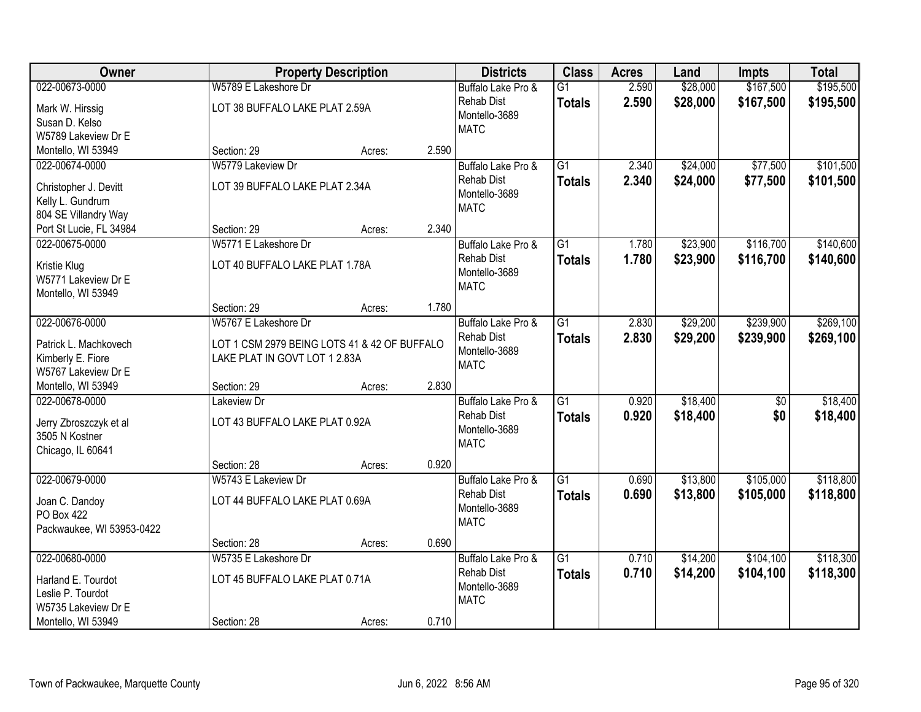| Owner                                    |                                | <b>Property Description</b>                  |       | <b>Districts</b>   | <b>Class</b>    | <b>Acres</b> | Land     | <b>Impts</b> | <b>Total</b> |
|------------------------------------------|--------------------------------|----------------------------------------------|-------|--------------------|-----------------|--------------|----------|--------------|--------------|
| 022-00673-0000                           | W5789 E Lakeshore Dr           |                                              |       | Buffalo Lake Pro & | $\overline{G1}$ | 2.590        | \$28,000 | \$167,500    | \$195,500    |
| Mark W. Hirssig                          | LOT 38 BUFFALO LAKE PLAT 2.59A |                                              |       | <b>Rehab Dist</b>  | <b>Totals</b>   | 2.590        | \$28,000 | \$167,500    | \$195,500    |
| Susan D. Kelso                           |                                |                                              |       | Montello-3689      |                 |              |          |              |              |
| W5789 Lakeview Dr E                      |                                |                                              |       | <b>MATC</b>        |                 |              |          |              |              |
| Montello, WI 53949                       | Section: 29                    | Acres:                                       | 2.590 |                    |                 |              |          |              |              |
| 022-00674-0000                           | W5779 Lakeview Dr              |                                              |       | Buffalo Lake Pro & | $\overline{G1}$ | 2.340        | \$24,000 | \$77,500     | \$101,500    |
| Christopher J. Devitt                    | LOT 39 BUFFALO LAKE PLAT 2.34A |                                              |       | <b>Rehab Dist</b>  | <b>Totals</b>   | 2.340        | \$24,000 | \$77,500     | \$101,500    |
| Kelly L. Gundrum                         |                                |                                              |       | Montello-3689      |                 |              |          |              |              |
| 804 SE Villandry Way                     |                                |                                              |       | <b>MATC</b>        |                 |              |          |              |              |
| Port St Lucie, FL 34984                  | Section: 29                    | Acres:                                       | 2.340 |                    |                 |              |          |              |              |
| 022-00675-0000                           | W5771 E Lakeshore Dr           |                                              |       | Buffalo Lake Pro & | $\overline{G1}$ | 1.780        | \$23,900 | \$116,700    | \$140,600    |
| Kristie Klug                             | LOT 40 BUFFALO LAKE PLAT 1.78A |                                              |       | <b>Rehab Dist</b>  | <b>Totals</b>   | 1.780        | \$23,900 | \$116,700    | \$140,600    |
| W5771 Lakeview Dr E                      |                                |                                              |       | Montello-3689      |                 |              |          |              |              |
| Montello, WI 53949                       |                                |                                              |       | <b>MATC</b>        |                 |              |          |              |              |
|                                          | Section: 29                    | Acres:                                       | 1.780 |                    |                 |              |          |              |              |
| 022-00676-0000                           | W5767 E Lakeshore Dr           |                                              |       | Buffalo Lake Pro & | $\overline{G1}$ | 2.830        | \$29,200 | \$239,900    | \$269,100    |
| Patrick L. Machkovech                    |                                | LOT 1 CSM 2979 BEING LOTS 41 & 42 OF BUFFALO |       | <b>Rehab Dist</b>  | <b>Totals</b>   | 2.830        | \$29,200 | \$239,900    | \$269,100    |
| Kimberly E. Fiore                        | LAKE PLAT IN GOVT LOT 1 2.83A  |                                              |       | Montello-3689      |                 |              |          |              |              |
| W5767 Lakeview Dr E                      |                                |                                              |       | <b>MATC</b>        |                 |              |          |              |              |
| Montello, WI 53949                       | Section: 29                    | Acres:                                       | 2.830 |                    |                 |              |          |              |              |
| 022-00678-0000                           | Lakeview Dr                    |                                              |       | Buffalo Lake Pro & | $\overline{G1}$ | 0.920        | \$18,400 | \$0          | \$18,400     |
|                                          |                                |                                              |       | <b>Rehab Dist</b>  | <b>Totals</b>   | 0.920        | \$18,400 | \$0          | \$18,400     |
| Jerry Zbroszczyk et al<br>3505 N Kostner | LOT 43 BUFFALO LAKE PLAT 0.92A |                                              |       | Montello-3689      |                 |              |          |              |              |
| Chicago, IL 60641                        |                                |                                              |       | <b>MATC</b>        |                 |              |          |              |              |
|                                          | Section: 28                    | Acres:                                       | 0.920 |                    |                 |              |          |              |              |
| 022-00679-0000                           | W5743 E Lakeview Dr            |                                              |       | Buffalo Lake Pro & | $\overline{G1}$ | 0.690        | \$13,800 | \$105,000    | \$118,800    |
| Joan C. Dandoy                           | LOT 44 BUFFALO LAKE PLAT 0.69A |                                              |       | <b>Rehab Dist</b>  | <b>Totals</b>   | 0.690        | \$13,800 | \$105,000    | \$118,800    |
| <b>PO Box 422</b>                        |                                |                                              |       | Montello-3689      |                 |              |          |              |              |
| Packwaukee, WI 53953-0422                |                                |                                              |       | <b>MATC</b>        |                 |              |          |              |              |
|                                          | Section: 28                    | Acres:                                       | 0.690 |                    |                 |              |          |              |              |
| 022-00680-0000                           | W5735 E Lakeshore Dr           |                                              |       | Buffalo Lake Pro & | $\overline{G1}$ | 0.710        | \$14,200 | \$104,100    | \$118,300    |
| Harland E. Tourdot                       | LOT 45 BUFFALO LAKE PLAT 0.71A |                                              |       | <b>Rehab Dist</b>  | <b>Totals</b>   | 0.710        | \$14,200 | \$104,100    | \$118,300    |
| Leslie P. Tourdot                        |                                |                                              |       | Montello-3689      |                 |              |          |              |              |
| W5735 Lakeview Dr E                      |                                |                                              |       | <b>MATC</b>        |                 |              |          |              |              |
| Montello, WI 53949                       | Section: 28                    | Acres:                                       | 0.710 |                    |                 |              |          |              |              |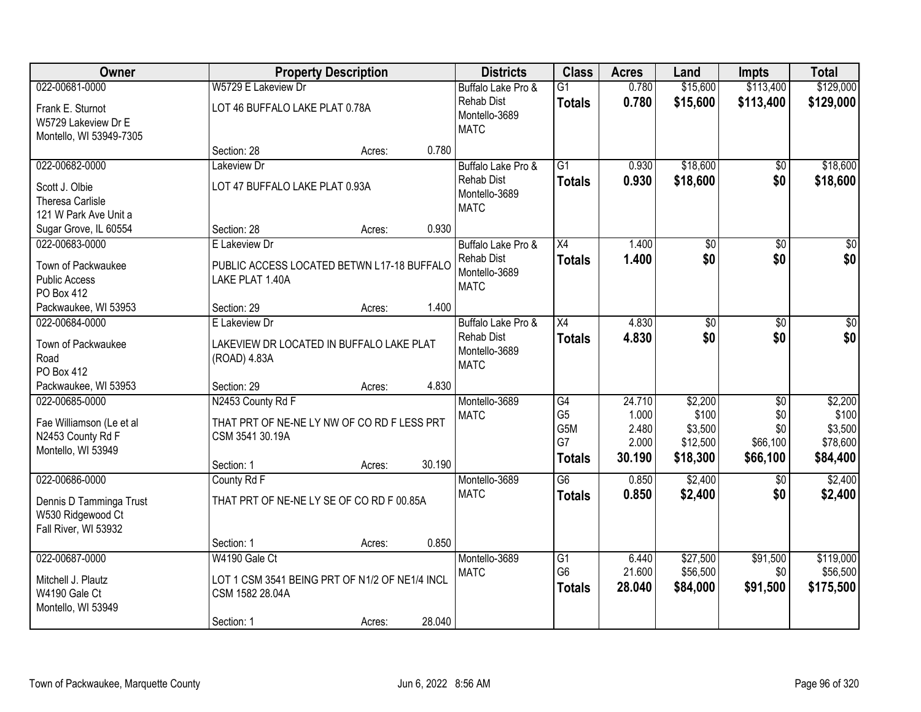| Owner                                                                                 |                                                                                                   | <b>Property Description</b> |        | <b>Districts</b>                                         | <b>Class</b>                                                    | <b>Acres</b>                                | Land                                                | <b>Impts</b>                                          | <b>Total</b>                                        |
|---------------------------------------------------------------------------------------|---------------------------------------------------------------------------------------------------|-----------------------------|--------|----------------------------------------------------------|-----------------------------------------------------------------|---------------------------------------------|-----------------------------------------------------|-------------------------------------------------------|-----------------------------------------------------|
| 022-00681-0000                                                                        | W5729 E Lakeview Dr                                                                               |                             |        | Buffalo Lake Pro &                                       | $\overline{G1}$                                                 | 0.780                                       | \$15,600                                            | \$113,400                                             | \$129,000                                           |
| Frank E. Sturnot<br>W5729 Lakeview Dr E<br>Montello, WI 53949-7305                    | LOT 46 BUFFALO LAKE PLAT 0.78A                                                                    |                             |        | <b>Rehab Dist</b><br>Montello-3689<br><b>MATC</b>        | <b>Totals</b>                                                   | 0.780                                       | \$15,600                                            | \$113,400                                             | \$129,000                                           |
|                                                                                       | Section: 28                                                                                       | Acres:                      | 0.780  |                                                          |                                                                 |                                             |                                                     |                                                       |                                                     |
| 022-00682-0000                                                                        | Lakeview Dr                                                                                       |                             |        | Buffalo Lake Pro &                                       | $\overline{G1}$                                                 | 0.930                                       | \$18,600                                            | \$0                                                   | \$18,600                                            |
| Scott J. Olbie<br><b>Theresa Carlisle</b><br>121 W Park Ave Unit a                    | LOT 47 BUFFALO LAKE PLAT 0.93A                                                                    |                             |        | <b>Rehab Dist</b><br>Montello-3689<br><b>MATC</b>        | <b>Totals</b>                                                   | 0.930                                       | \$18,600                                            | \$0                                                   | \$18,600                                            |
| Sugar Grove, IL 60554                                                                 | Section: 28                                                                                       | Acres:                      | 0.930  |                                                          |                                                                 |                                             |                                                     |                                                       |                                                     |
| 022-00683-0000                                                                        | E Lakeview Dr                                                                                     |                             |        | Buffalo Lake Pro &                                       | $\overline{X4}$                                                 | 1.400                                       | $\overline{50}$                                     | \$0                                                   | $\overline{50}$                                     |
| Town of Packwaukee<br><b>Public Access</b><br>PO Box 412                              | PUBLIC ACCESS LOCATED BETWN L17-18 BUFFALO<br>LAKE PLAT 1.40A                                     |                             |        | <b>Rehab Dist</b><br>Montello-3689<br><b>MATC</b>        | <b>Totals</b>                                                   | 1.400                                       | \$0                                                 | \$0                                                   | \$0                                                 |
| Packwaukee, WI 53953                                                                  | Section: 29                                                                                       | Acres:                      | 1.400  |                                                          |                                                                 |                                             |                                                     |                                                       |                                                     |
| 022-00684-0000<br>Town of Packwaukee<br>Road                                          | E Lakeview Dr<br>LAKEVIEW DR LOCATED IN BUFFALO LAKE PLAT<br>(ROAD) 4.83A                         |                             |        | Buffalo Lake Pro &<br><b>Rehab Dist</b><br>Montello-3689 | X4<br><b>Totals</b>                                             | 4.830<br>4.830                              | \$0<br>\$0                                          | $\sqrt[6]{3}$<br>\$0                                  | $\sqrt{50}$<br>\$0                                  |
| PO Box 412                                                                            |                                                                                                   |                             |        | <b>MATC</b>                                              |                                                                 |                                             |                                                     |                                                       |                                                     |
| Packwaukee, WI 53953                                                                  | Section: 29                                                                                       | Acres:                      | 4.830  |                                                          |                                                                 |                                             |                                                     |                                                       |                                                     |
| 022-00685-0000<br>Fae Williamson (Le et al<br>N2453 County Rd F<br>Montello, WI 53949 | N2453 County Rd F<br>THAT PRT OF NE-NE LY NW OF CO RD F LESS PRT<br>CSM 3541 30.19A<br>Section: 1 | Acres:                      | 30.190 | Montello-3689<br><b>MATC</b>                             | $\overline{G4}$<br>G <sub>5</sub><br>G5M<br>G7<br><b>Totals</b> | 24.710<br>1.000<br>2.480<br>2.000<br>30.190 | \$2,200<br>\$100<br>\$3,500<br>\$12,500<br>\$18,300 | $\overline{50}$<br>\$0<br>\$0<br>\$66,100<br>\$66,100 | \$2,200<br>\$100<br>\$3,500<br>\$78,600<br>\$84,400 |
| 022-00686-0000                                                                        | County Rd F                                                                                       |                             |        | Montello-3689                                            | $\overline{G6}$                                                 | 0.850                                       | \$2,400                                             | \$0                                                   | \$2,400                                             |
| Dennis D Tamminga Trust<br>W530 Ridgewood Ct<br>Fall River, WI 53932                  | THAT PRT OF NE-NE LY SE OF CO RD F 00.85A                                                         |                             |        | <b>MATC</b>                                              | <b>Totals</b>                                                   | 0.850                                       | \$2,400                                             | \$0                                                   | \$2,400                                             |
|                                                                                       | Section: 1                                                                                        | Acres:                      | 0.850  |                                                          |                                                                 |                                             |                                                     |                                                       |                                                     |
| 022-00687-0000                                                                        | W4190 Gale Ct                                                                                     |                             |        | Montello-3689<br><b>MATC</b>                             | $\overline{G1}$<br>G <sub>6</sub>                               | 6.440<br>21.600                             | \$27,500<br>\$56,500                                | \$91,500<br>\$0                                       | \$119,000<br>\$56,500                               |
| Mitchell J. Plautz<br>W4190 Gale Ct<br>Montello, WI 53949                             | LOT 1 CSM 3541 BEING PRT OF N1/2 OF NE1/4 INCL<br>CSM 1582 28.04A                                 |                             |        |                                                          | <b>Totals</b>                                                   | 28.040                                      | \$84,000                                            | \$91,500                                              | \$175,500                                           |
|                                                                                       | Section: 1                                                                                        | Acres:                      | 28.040 |                                                          |                                                                 |                                             |                                                     |                                                       |                                                     |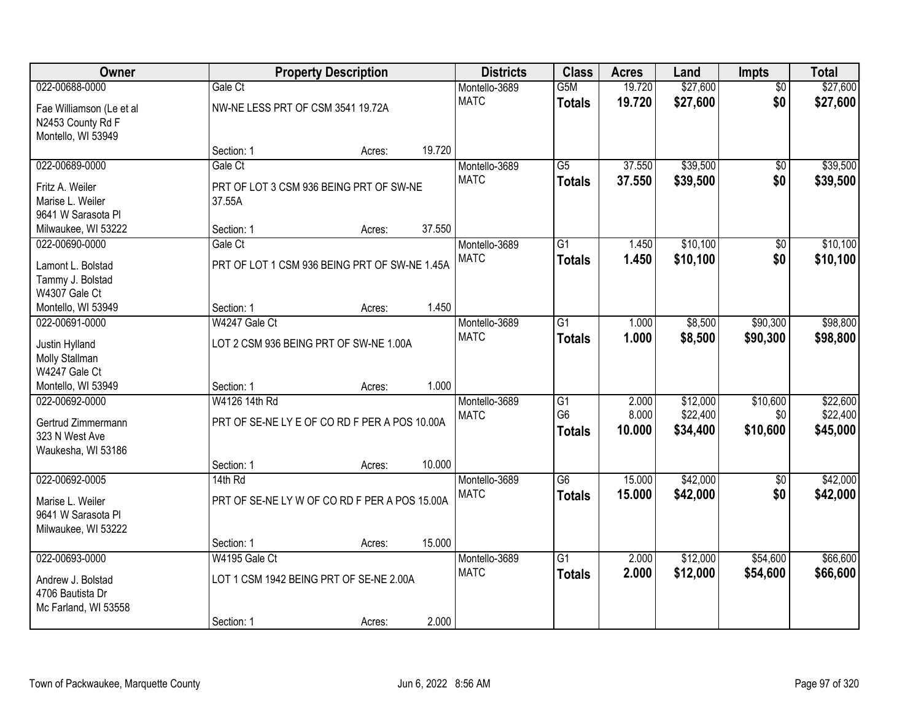| Owner                    |                                   | <b>Property Description</b>                   |        | <b>Districts</b> | <b>Class</b>     | <b>Acres</b> | Land     | <b>Impts</b>    | <b>Total</b> |
|--------------------------|-----------------------------------|-----------------------------------------------|--------|------------------|------------------|--------------|----------|-----------------|--------------|
| 022-00688-0000           | Gale Ct                           |                                               |        | Montello-3689    | G <sub>5</sub> M | 19.720       | \$27,600 | $\overline{50}$ | \$27,600     |
| Fae Williamson (Le et al | NW-NE LESS PRT OF CSM 3541 19.72A |                                               |        | <b>MATC</b>      | <b>Totals</b>    | 19.720       | \$27,600 | \$0             | \$27,600     |
| N2453 County Rd F        |                                   |                                               |        |                  |                  |              |          |                 |              |
| Montello, WI 53949       |                                   |                                               |        |                  |                  |              |          |                 |              |
|                          | Section: 1                        | Acres:                                        | 19.720 |                  |                  |              |          |                 |              |
| 022-00689-0000           | Gale Ct                           |                                               |        | Montello-3689    | $\overline{G5}$  | 37.550       | \$39,500 | \$0             | \$39,500     |
| Fritz A. Weiler          |                                   | PRT OF LOT 3 CSM 936 BEING PRT OF SW-NE       |        | <b>MATC</b>      | <b>Totals</b>    | 37.550       | \$39,500 | \$0             | \$39,500     |
| Marise L. Weiler         | 37.55A                            |                                               |        |                  |                  |              |          |                 |              |
| 9641 W Sarasota PI       |                                   |                                               |        |                  |                  |              |          |                 |              |
| Milwaukee, WI 53222      | Section: 1                        | Acres:                                        | 37.550 |                  |                  |              |          |                 |              |
| 022-00690-0000           | Gale Ct                           |                                               |        | Montello-3689    | $\overline{G1}$  | 1.450        | \$10,100 | \$0             | \$10,100     |
| Lamont L. Bolstad        |                                   | PRT OF LOT 1 CSM 936 BEING PRT OF SW-NE 1.45A |        | <b>MATC</b>      | <b>Totals</b>    | 1.450        | \$10,100 | \$0             | \$10,100     |
| Tammy J. Bolstad         |                                   |                                               |        |                  |                  |              |          |                 |              |
| W4307 Gale Ct            |                                   |                                               |        |                  |                  |              |          |                 |              |
| Montello, WI 53949       | Section: 1                        | Acres:                                        | 1.450  |                  |                  |              |          |                 |              |
| 022-00691-0000           | W4247 Gale Ct                     |                                               |        | Montello-3689    | $\overline{G1}$  | 1.000        | \$8,500  | \$90,300        | \$98,800     |
| Justin Hylland           |                                   | LOT 2 CSM 936 BEING PRT OF SW-NE 1.00A        |        | <b>MATC</b>      | <b>Totals</b>    | 1.000        | \$8,500  | \$90,300        | \$98,800     |
| Molly Stallman           |                                   |                                               |        |                  |                  |              |          |                 |              |
| W4247 Gale Ct            |                                   |                                               |        |                  |                  |              |          |                 |              |
| Montello, WI 53949       | Section: 1                        | Acres:                                        | 1.000  |                  |                  |              |          |                 |              |
| 022-00692-0000           | W4126 14th Rd                     |                                               |        | Montello-3689    | $\overline{G1}$  | 2.000        | \$12,000 | \$10,600        | \$22,600     |
| Gertrud Zimmermann       |                                   | PRT OF SE-NE LY E OF CO RD F PER A POS 10.00A |        | <b>MATC</b>      | G <sub>6</sub>   | 8.000        | \$22,400 | \$0             | \$22,400     |
| 323 N West Ave           |                                   |                                               |        |                  | <b>Totals</b>    | 10.000       | \$34,400 | \$10,600        | \$45,000     |
| Waukesha, WI 53186       |                                   |                                               |        |                  |                  |              |          |                 |              |
|                          | Section: 1                        | Acres:                                        | 10.000 |                  |                  |              |          |                 |              |
| 022-00692-0005           | $14th$ Rd                         |                                               |        | Montello-3689    | $\overline{G6}$  | 15.000       | \$42,000 | \$0             | \$42,000     |
| Marise L. Weiler         |                                   | PRT OF SE-NE LY W OF CO RD F PER A POS 15.00A |        | <b>MATC</b>      | <b>Totals</b>    | 15.000       | \$42,000 | \$0             | \$42,000     |
| 9641 W Sarasota Pl       |                                   |                                               |        |                  |                  |              |          |                 |              |
| Milwaukee, WI 53222      |                                   |                                               |        |                  |                  |              |          |                 |              |
|                          | Section: 1                        | Acres:                                        | 15.000 |                  |                  |              |          |                 |              |
| 022-00693-0000           | W4195 Gale Ct                     |                                               |        | Montello-3689    | $\overline{G1}$  | 2.000        | \$12,000 | \$54,600        | \$66,600     |
| Andrew J. Bolstad        |                                   | LOT 1 CSM 1942 BEING PRT OF SE-NE 2.00A       |        | <b>MATC</b>      | <b>Totals</b>    | 2.000        | \$12,000 | \$54,600        | \$66,600     |
| 4706 Bautista Dr         |                                   |                                               |        |                  |                  |              |          |                 |              |
| Mc Farland, WI 53558     |                                   |                                               |        |                  |                  |              |          |                 |              |
|                          | Section: 1                        | Acres:                                        | 2.000  |                  |                  |              |          |                 |              |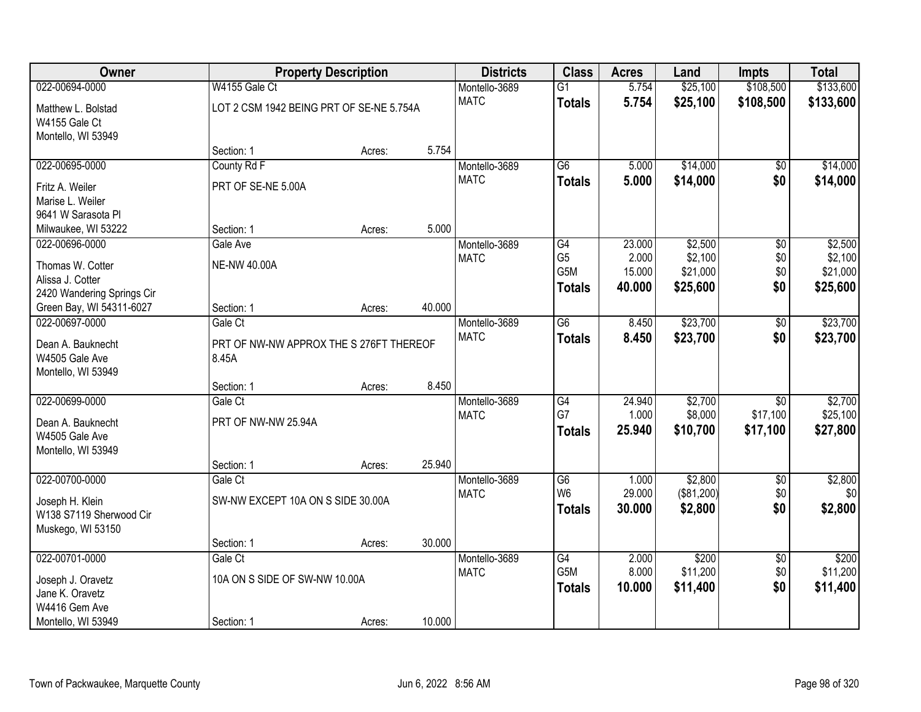| Owner                      |                                          | <b>Property Description</b> |        | <b>Districts</b> | <b>Class</b>                        | <b>Acres</b>    | Land                | <b>Impts</b>         | <b>Total</b>        |
|----------------------------|------------------------------------------|-----------------------------|--------|------------------|-------------------------------------|-----------------|---------------------|----------------------|---------------------|
| 022-00694-0000             | W4155 Gale Ct                            |                             |        | Montello-3689    | $\overline{G1}$                     | 5.754           | \$25,100            | \$108,500            | \$133,600           |
| Matthew L. Bolstad         | LOT 2 CSM 1942 BEING PRT OF SE-NE 5.754A |                             |        | <b>MATC</b>      | <b>Totals</b>                       | 5.754           | \$25,100            | \$108,500            | \$133,600           |
| W4155 Gale Ct              |                                          |                             |        |                  |                                     |                 |                     |                      |                     |
| Montello, WI 53949         |                                          |                             |        |                  |                                     |                 |                     |                      |                     |
|                            | Section: 1                               | Acres:                      | 5.754  |                  |                                     |                 |                     |                      |                     |
| 022-00695-0000             | County Rd F                              |                             |        | Montello-3689    | $\overline{G6}$                     | 5.000           | \$14,000            | $\overline{50}$      | \$14,000            |
| Fritz A. Weiler            | PRT OF SE-NE 5.00A                       |                             |        | <b>MATC</b>      | <b>Totals</b>                       | 5.000           | \$14,000            | \$0                  | \$14,000            |
| Marise L. Weiler           |                                          |                             |        |                  |                                     |                 |                     |                      |                     |
| 9641 W Sarasota PI         |                                          |                             |        |                  |                                     |                 |                     |                      |                     |
| Milwaukee, WI 53222        | Section: 1                               | Acres:                      | 5.000  |                  |                                     |                 |                     |                      |                     |
| 022-00696-0000             | Gale Ave                                 |                             |        | Montello-3689    | G4                                  | 23.000          | \$2,500             | \$0                  | \$2,500             |
| Thomas W. Cotter           | <b>NE-NW 40.00A</b>                      |                             |        | <b>MATC</b>      | G <sub>5</sub><br>G5M               | 2.000<br>15.000 | \$2,100<br>\$21,000 | \$0<br>\$0           | \$2,100<br>\$21,000 |
| Alissa J. Cotter           |                                          |                             |        |                  | <b>Totals</b>                       | 40.000          | \$25,600            | \$0                  | \$25,600            |
| 2420 Wandering Springs Cir |                                          |                             |        |                  |                                     |                 |                     |                      |                     |
| Green Bay, WI 54311-6027   | Section: 1                               | Acres:                      | 40.000 |                  |                                     |                 |                     |                      |                     |
| 022-00697-0000             | Gale Ct                                  |                             |        | Montello-3689    | $\overline{G6}$                     | 8.450           | \$23,700            | \$0                  | \$23,700            |
| Dean A. Bauknecht          | PRT OF NW-NW APPROX THE S 276FT THEREOF  |                             |        | <b>MATC</b>      | <b>Totals</b>                       | 8.450           | \$23,700            | \$0                  | \$23,700            |
| W4505 Gale Ave             | 8.45A                                    |                             |        |                  |                                     |                 |                     |                      |                     |
| Montello, WI 53949         |                                          |                             |        |                  |                                     |                 |                     |                      |                     |
|                            | Section: 1                               | Acres:                      | 8.450  |                  |                                     |                 |                     |                      |                     |
| 022-00699-0000             | Gale Ct                                  |                             |        | Montello-3689    | G4<br>G7                            | 24.940          | \$2,700             | $\overline{50}$      | \$2,700             |
| Dean A. Bauknecht          | PRT OF NW-NW 25.94A                      |                             |        | <b>MATC</b>      |                                     | 1.000<br>25.940 | \$8,000<br>\$10,700 | \$17,100<br>\$17,100 | \$25,100            |
| W4505 Gale Ave             |                                          |                             |        |                  | <b>Totals</b>                       |                 |                     |                      | \$27,800            |
| Montello, WI 53949         |                                          |                             |        |                  |                                     |                 |                     |                      |                     |
|                            | Section: 1                               | Acres:                      | 25.940 |                  |                                     |                 |                     |                      |                     |
| 022-00700-0000             | Gale Ct                                  |                             |        | Montello-3689    | $\overline{G6}$<br>W <sub>6</sub>   | 1.000<br>29.000 | \$2,800             | $\sqrt{6}$<br>\$0    | \$2,800<br>\$0      |
| Joseph H. Klein            | SW-NW EXCEPT 10A ON S SIDE 30.00A        |                             |        | <b>MATC</b>      |                                     | 30.000          | (\$81,200)          | \$0                  |                     |
| W138 S7119 Sherwood Cir    |                                          |                             |        |                  | <b>Totals</b>                       |                 | \$2,800             |                      | \$2,800             |
| Muskego, WI 53150          |                                          |                             |        |                  |                                     |                 |                     |                      |                     |
|                            | Section: 1                               | Acres:                      | 30.000 |                  |                                     |                 |                     |                      |                     |
| 022-00701-0000             | Gale Ct                                  |                             |        | Montello-3689    | $\overline{G4}$<br>G <sub>5</sub> M | 2.000<br>8.000  | \$200<br>\$11,200   | $\overline{50}$      | \$200<br>\$11,200   |
| Joseph J. Oravetz          | 10A ON S SIDE OF SW-NW 10.00A            |                             |        | <b>MATC</b>      |                                     |                 |                     | \$0<br>\$0           |                     |
| Jane K. Oravetz            |                                          |                             |        |                  | <b>Totals</b>                       | 10.000          | \$11,400            |                      | \$11,400            |
| W4416 Gem Ave              |                                          |                             |        |                  |                                     |                 |                     |                      |                     |
| Montello, WI 53949         | Section: 1                               | Acres:                      | 10.000 |                  |                                     |                 |                     |                      |                     |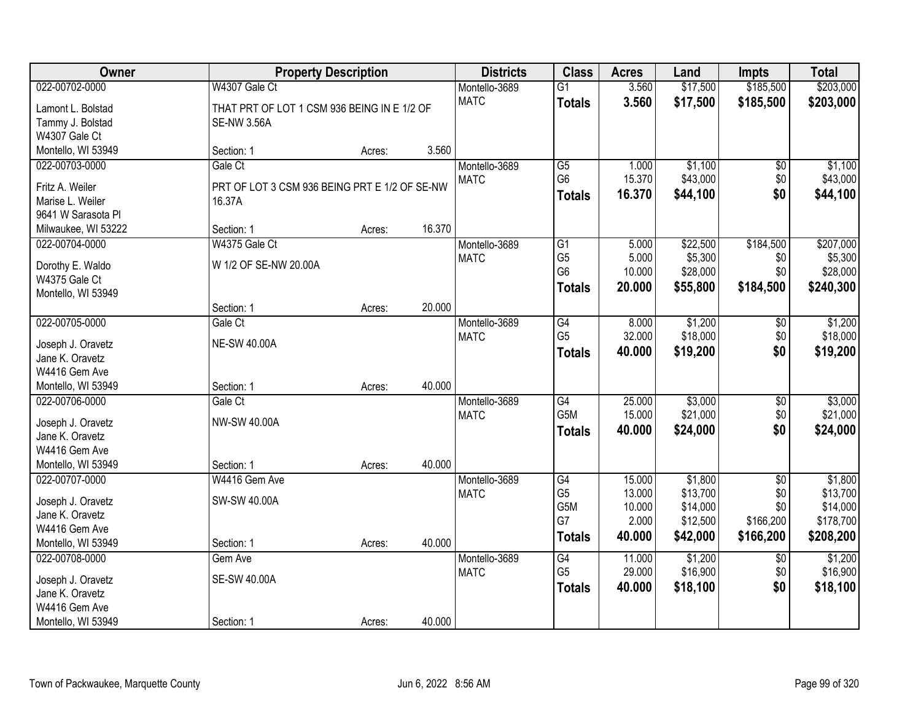| Owner                                | <b>Property Description</b>                   |        |        | <b>Districts</b> | <b>Class</b>                     | <b>Acres</b>    | Land                | <b>Impts</b>    | <b>Total</b>        |
|--------------------------------------|-----------------------------------------------|--------|--------|------------------|----------------------------------|-----------------|---------------------|-----------------|---------------------|
| 022-00702-0000                       | W4307 Gale Ct                                 |        |        | Montello-3689    | $\overline{G1}$                  | 3.560           | \$17,500            | \$185,500       | \$203,000           |
| Lamont L. Bolstad                    | THAT PRT OF LOT 1 CSM 936 BEING IN E 1/2 OF   |        |        | <b>MATC</b>      | <b>Totals</b>                    | 3.560           | \$17,500            | \$185,500       | \$203,000           |
| Tammy J. Bolstad                     | <b>SE-NW 3.56A</b>                            |        |        |                  |                                  |                 |                     |                 |                     |
| W4307 Gale Ct                        |                                               |        |        |                  |                                  |                 |                     |                 |                     |
| Montello, WI 53949                   | Section: 1                                    | Acres: | 3.560  |                  |                                  |                 |                     |                 |                     |
| 022-00703-0000                       | Gale Ct                                       |        |        | Montello-3689    | $\overline{G5}$                  | 1.000           | \$1,100             | \$0             | \$1,100             |
|                                      |                                               |        |        | <b>MATC</b>      | G <sub>6</sub>                   | 15.370          | \$43,000            | \$0             | \$43,000            |
| Fritz A. Weiler                      | PRT OF LOT 3 CSM 936 BEING PRT E 1/2 OF SE-NW |        |        |                  | <b>Totals</b>                    | 16.370          | \$44,100            | \$0             | \$44,100            |
| Marise L. Weiler                     | 16.37A                                        |        |        |                  |                                  |                 |                     |                 |                     |
| 9641 W Sarasota Pl                   |                                               |        | 16.370 |                  |                                  |                 |                     |                 |                     |
| Milwaukee, WI 53222                  | Section: 1                                    | Acres: |        |                  |                                  |                 |                     |                 |                     |
| 022-00704-0000                       | W4375 Gale Ct                                 |        |        | Montello-3689    | G1                               | 5.000           | \$22,500            | \$184,500       | \$207,000           |
| Dorothy E. Waldo                     | W 1/2 OF SE-NW 20.00A                         |        |        | <b>MATC</b>      | G <sub>5</sub><br>G <sub>6</sub> | 5.000<br>10.000 | \$5,300<br>\$28,000 | \$0<br>\$0      | \$5,300<br>\$28,000 |
| W4375 Gale Ct                        |                                               |        |        |                  |                                  |                 |                     |                 |                     |
| Montello, WI 53949                   |                                               |        |        |                  | <b>Totals</b>                    | 20.000          | \$55,800            | \$184,500       | \$240,300           |
|                                      | Section: 1                                    | Acres: | 20.000 |                  |                                  |                 |                     |                 |                     |
| 022-00705-0000                       | Gale Ct                                       |        |        | Montello-3689    | G4                               | 8.000           | \$1,200             | \$0             | \$1,200             |
|                                      | <b>NE-SW 40.00A</b>                           |        |        | <b>MATC</b>      | G <sub>5</sub>                   | 32.000          | \$18,000            | \$0             | \$18,000            |
| Joseph J. Oravetz<br>Jane K. Oravetz |                                               |        |        |                  | <b>Totals</b>                    | 40.000          | \$19,200            | \$0             | \$19,200            |
| W4416 Gem Ave                        |                                               |        |        |                  |                                  |                 |                     |                 |                     |
| Montello, WI 53949                   | Section: 1                                    | Acres: | 40.000 |                  |                                  |                 |                     |                 |                     |
| 022-00706-0000                       | Gale Ct                                       |        |        | Montello-3689    | $\overline{G4}$                  | 25.000          | \$3,000             | $\overline{50}$ | \$3,000             |
|                                      |                                               |        |        | <b>MATC</b>      | G <sub>5</sub> M                 | 15.000          | \$21,000            | \$0             | \$21,000            |
| Joseph J. Oravetz                    | NW-SW 40.00A                                  |        |        |                  | <b>Totals</b>                    | 40.000          | \$24,000            | \$0             | \$24,000            |
| Jane K. Oravetz                      |                                               |        |        |                  |                                  |                 |                     |                 |                     |
| W4416 Gem Ave                        |                                               |        |        |                  |                                  |                 |                     |                 |                     |
| Montello, WI 53949                   | Section: 1                                    | Acres: | 40.000 |                  |                                  |                 |                     |                 |                     |
| 022-00707-0000                       | W4416 Gem Ave                                 |        |        | Montello-3689    | G4                               | 15.000          | \$1,800             | $\overline{60}$ | \$1,800             |
| Joseph J. Oravetz                    | SW-SW 40.00A                                  |        |        | <b>MATC</b>      | G <sub>5</sub>                   | 13.000          | \$13,700            | \$0             | \$13,700            |
| Jane K. Oravetz                      |                                               |        |        |                  | G5M                              | 10.000          | \$14,000            | \$0             | \$14,000            |
| W4416 Gem Ave                        |                                               |        |        |                  | G7                               | 2.000           | \$12,500            | \$166,200       | \$178,700           |
| Montello, WI 53949                   | Section: 1                                    | Acres: | 40.000 |                  | <b>Totals</b>                    | 40.000          | \$42,000            | \$166,200       | \$208,200           |
| 022-00708-0000                       | Gem Ave                                       |        |        | Montello-3689    | G4                               | 11.000          | \$1,200             | $\overline{30}$ | \$1,200             |
|                                      |                                               |        |        | <b>MATC</b>      | G <sub>5</sub>                   | 29.000          | \$16,900            | \$0             | \$16,900            |
| Joseph J. Oravetz                    | <b>SE-SW 40.00A</b>                           |        |        |                  | <b>Totals</b>                    | 40.000          | \$18,100            | \$0             | \$18,100            |
| Jane K. Oravetz                      |                                               |        |        |                  |                                  |                 |                     |                 |                     |
| W4416 Gem Ave                        |                                               |        |        |                  |                                  |                 |                     |                 |                     |
| Montello, WI 53949                   | Section: 1                                    | Acres: | 40.000 |                  |                                  |                 |                     |                 |                     |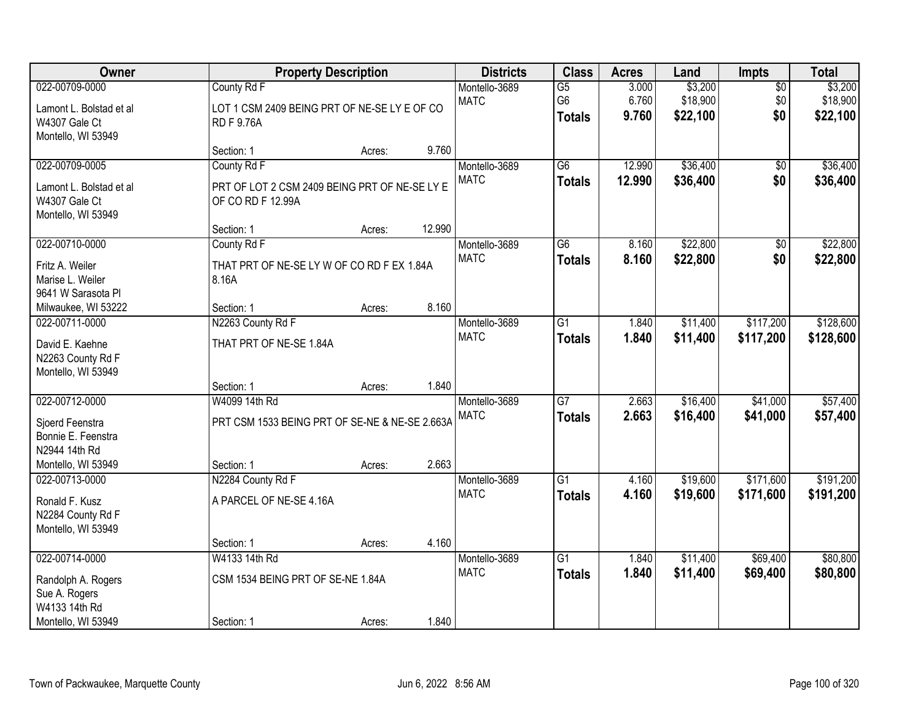| Owner                                                                                          |                                                                                   | <b>Property Description</b> |        | <b>Districts</b>             | <b>Class</b>                           | <b>Acres</b>            | Land                            | Impts                         | <b>Total</b>                    |
|------------------------------------------------------------------------------------------------|-----------------------------------------------------------------------------------|-----------------------------|--------|------------------------------|----------------------------------------|-------------------------|---------------------------------|-------------------------------|---------------------------------|
| 022-00709-0000<br>Lamont L. Bolstad et al<br>W4307 Gale Ct<br>Montello, WI 53949               | County Rd F<br>LOT 1 CSM 2409 BEING PRT OF NE-SE LY E OF CO<br><b>RDF9.76A</b>    |                             |        | Montello-3689<br><b>MATC</b> | $\overline{G5}$<br>G6<br><b>Totals</b> | 3.000<br>6.760<br>9.760 | \$3,200<br>\$18,900<br>\$22,100 | $\overline{50}$<br>\$0<br>\$0 | \$3,200<br>\$18,900<br>\$22,100 |
|                                                                                                | Section: 1                                                                        | Acres:                      | 9.760  |                              |                                        |                         |                                 |                               |                                 |
| 022-00709-0005<br>Lamont L. Bolstad et al<br>W4307 Gale Ct<br>Montello, WI 53949               | County Rd F<br>PRT OF LOT 2 CSM 2409 BEING PRT OF NE-SE LY E<br>OF CO RD F 12.99A |                             |        | Montello-3689<br><b>MATC</b> | $\overline{G6}$<br><b>Totals</b>       | 12.990<br>12.990        | \$36,400<br>\$36,400            | $\overline{50}$<br>\$0        | \$36,400<br>\$36,400            |
|                                                                                                | Section: 1                                                                        | Acres:                      | 12.990 |                              |                                        |                         |                                 |                               |                                 |
| 022-00710-0000<br>Fritz A. Weiler<br>Marise L. Weiler<br>9641 W Sarasota PI                    | County Rd F<br>THAT PRT OF NE-SELY W OF CO RD F EX 1.84A<br>8.16A                 |                             |        | Montello-3689<br><b>MATC</b> | G6<br><b>Totals</b>                    | 8.160<br>8.160          | \$22,800<br>\$22,800            | \$0<br>\$0                    | \$22,800<br>\$22,800            |
| Milwaukee, WI 53222                                                                            | Section: 1                                                                        | Acres:                      | 8.160  |                              |                                        |                         |                                 |                               |                                 |
| 022-00711-0000<br>David E. Kaehne<br>N2263 County Rd F<br>Montello, WI 53949                   | N2263 County Rd F<br>THAT PRT OF NE-SE 1.84A                                      |                             |        | Montello-3689<br><b>MATC</b> | G1<br><b>Totals</b>                    | 1.840<br>1.840          | \$11,400<br>\$11,400            | \$117,200<br>\$117,200        | \$128,600<br>\$128,600          |
|                                                                                                | Section: 1                                                                        | Acres:                      | 1.840  |                              |                                        |                         |                                 |                               |                                 |
| 022-00712-0000<br>Sjoerd Feenstra<br>Bonnie E. Feenstra<br>N2944 14th Rd<br>Montello, WI 53949 | W4099 14th Rd<br>PRT CSM 1533 BEING PRT OF SE-NE & NE-SE 2.663A<br>Section: 1     | Acres:                      | 2.663  | Montello-3689<br><b>MATC</b> | $\overline{G7}$<br><b>Totals</b>       | 2.663<br>2.663          | \$16,400<br>\$16,400            | \$41,000<br>\$41,000          | \$57,400<br>\$57,400            |
| 022-00713-0000<br>Ronald F. Kusz<br>N2284 County Rd F<br>Montello, WI 53949                    | N2284 County Rd F<br>A PARCEL OF NE-SE 4.16A                                      |                             |        | Montello-3689<br><b>MATC</b> | $\overline{G1}$<br><b>Totals</b>       | 4.160<br>4.160          | \$19,600<br>\$19,600            | \$171,600<br>\$171,600        | \$191,200<br>\$191,200          |
|                                                                                                | Section: 1                                                                        | Acres:                      | 4.160  |                              |                                        |                         |                                 |                               |                                 |
| 022-00714-0000<br>Randolph A. Rogers<br>Sue A. Rogers<br>W4133 14th Rd<br>Montello, WI 53949   | W4133 14th Rd<br>CSM 1534 BEING PRT OF SE-NE 1.84A<br>Section: 1                  | Acres:                      | 1.840  | Montello-3689<br><b>MATC</b> | $\overline{G1}$<br><b>Totals</b>       | 1.840<br>1.840          | \$11,400<br>\$11,400            | \$69,400<br>\$69,400          | \$80,800<br>\$80,800            |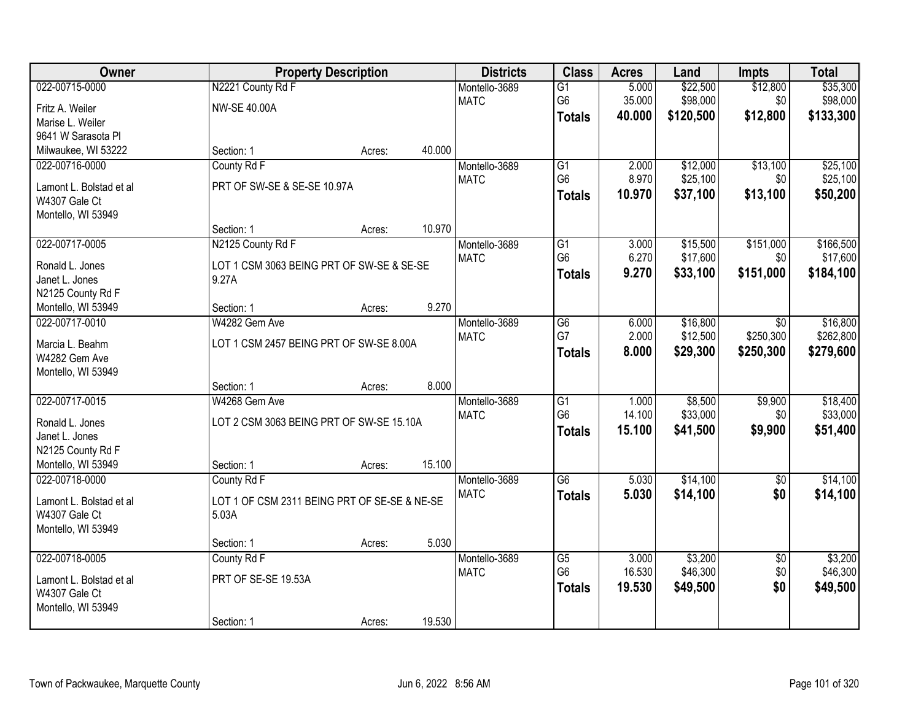| Owner                                    |                                              | <b>Property Description</b> |        | <b>Districts</b> | <b>Class</b>    | <b>Acres</b> | Land      | <b>Impts</b>    | <b>Total</b> |
|------------------------------------------|----------------------------------------------|-----------------------------|--------|------------------|-----------------|--------------|-----------|-----------------|--------------|
| 022-00715-0000                           | N2221 County Rd F                            |                             |        | Montello-3689    | $\overline{G1}$ | 5.000        | \$22,500  | \$12,800        | \$35,300     |
| Fritz A. Weiler                          | <b>NW-SE 40.00A</b>                          |                             |        | <b>MATC</b>      | G <sub>6</sub>  | 35.000       | \$98,000  | \$0             | \$98,000     |
| Marise L. Weiler                         |                                              |                             |        |                  | <b>Totals</b>   | 40.000       | \$120,500 | \$12,800        | \$133,300    |
| 9641 W Sarasota Pl                       |                                              |                             |        |                  |                 |              |           |                 |              |
| Milwaukee, WI 53222                      | Section: 1                                   | Acres:                      | 40.000 |                  |                 |              |           |                 |              |
| 022-00716-0000                           | County Rd F                                  |                             |        | Montello-3689    | $\overline{G1}$ | 2.000        | \$12,000  | \$13,100        | \$25,100     |
|                                          | PRT OF SW-SE & SE-SE 10.97A                  |                             |        | <b>MATC</b>      | G <sub>6</sub>  | 8.970        | \$25,100  | \$0             | \$25,100     |
| Lamont L. Bolstad et al<br>W4307 Gale Ct |                                              |                             |        |                  | <b>Totals</b>   | 10.970       | \$37,100  | \$13,100        | \$50,200     |
| Montello, WI 53949                       |                                              |                             |        |                  |                 |              |           |                 |              |
|                                          | Section: 1                                   | Acres:                      | 10.970 |                  |                 |              |           |                 |              |
| 022-00717-0005                           | N2125 County Rd F                            |                             |        | Montello-3689    | G1              | 3.000        | \$15,500  | \$151,000       | \$166,500    |
|                                          |                                              |                             |        | <b>MATC</b>      | G <sub>6</sub>  | 6.270        | \$17,600  | \$0             | \$17,600     |
| Ronald L. Jones                          | LOT 1 CSM 3063 BEING PRT OF SW-SE & SE-SE    |                             |        |                  | <b>Totals</b>   | 9.270        | \$33,100  | \$151,000       | \$184,100    |
| Janet L. Jones                           | 9.27A                                        |                             |        |                  |                 |              |           |                 |              |
| N2125 County Rd F                        |                                              |                             |        |                  |                 |              |           |                 |              |
| Montello, WI 53949                       | Section: 1                                   | Acres:                      | 9.270  |                  |                 |              |           |                 |              |
| 022-00717-0010                           | W4282 Gem Ave                                |                             |        | Montello-3689    | G <sub>6</sub>  | 6.000        | \$16,800  | \$0             | \$16,800     |
| Marcia L. Beahm                          | LOT 1 CSM 2457 BEING PRT OF SW-SE 8.00A      |                             |        | <b>MATC</b>      | G7              | 2.000        | \$12,500  | \$250,300       | \$262,800    |
| W4282 Gem Ave                            |                                              |                             |        |                  | <b>Totals</b>   | 8.000        | \$29,300  | \$250,300       | \$279,600    |
| Montello, WI 53949                       |                                              |                             |        |                  |                 |              |           |                 |              |
|                                          | Section: 1                                   | Acres:                      | 8.000  |                  |                 |              |           |                 |              |
| 022-00717-0015                           | W4268 Gem Ave                                |                             |        | Montello-3689    | $\overline{G1}$ | 1.000        | \$8,500   | \$9,900         | \$18,400     |
| Ronald L. Jones                          | LOT 2 CSM 3063 BEING PRT OF SW-SE 15.10A     |                             |        | <b>MATC</b>      | G <sub>6</sub>  | 14.100       | \$33,000  | \$0             | \$33,000     |
| Janet L. Jones                           |                                              |                             |        |                  | <b>Totals</b>   | 15.100       | \$41,500  | \$9,900         | \$51,400     |
| N2125 County Rd F                        |                                              |                             |        |                  |                 |              |           |                 |              |
| Montello, WI 53949                       | Section: 1                                   | Acres:                      | 15.100 |                  |                 |              |           |                 |              |
| 022-00718-0000                           | County Rd F                                  |                             |        | Montello-3689    | $\overline{G6}$ | 5.030        | \$14,100  | $\overline{50}$ | \$14,100     |
|                                          |                                              |                             |        | <b>MATC</b>      | <b>Totals</b>   | 5.030        | \$14,100  | \$0             | \$14,100     |
| Lamont L. Bolstad et al                  | LOT 1 OF CSM 2311 BEING PRT OF SE-SE & NE-SE |                             |        |                  |                 |              |           |                 |              |
| W4307 Gale Ct                            | 5.03A                                        |                             |        |                  |                 |              |           |                 |              |
| Montello, WI 53949                       | Section: 1                                   | Acres:                      | 5.030  |                  |                 |              |           |                 |              |
| 022-00718-0005                           | County Rd F                                  |                             |        | Montello-3689    | $\overline{G5}$ | 3.000        | \$3,200   | $\overline{50}$ | \$3,200      |
|                                          |                                              |                             |        | <b>MATC</b>      | G <sub>6</sub>  | 16.530       | \$46,300  | \$0             | \$46,300     |
| Lamont L. Bolstad et al                  | PRT OF SE-SE 19.53A                          |                             |        |                  | <b>Totals</b>   | 19.530       | \$49,500  | \$0             | \$49,500     |
| W4307 Gale Ct                            |                                              |                             |        |                  |                 |              |           |                 |              |
| Montello, WI 53949                       |                                              |                             |        |                  |                 |              |           |                 |              |
|                                          | Section: 1                                   | Acres:                      | 19.530 |                  |                 |              |           |                 |              |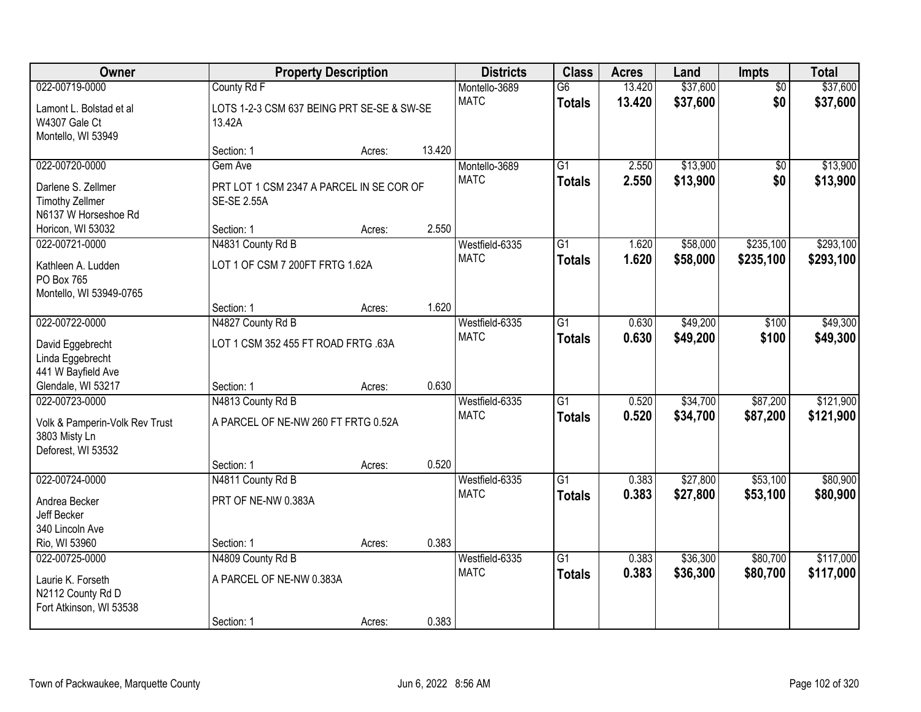| Owner                                                                                   | <b>Property Description</b>                                               | <b>Districts</b>                           | <b>Class</b>                 | <b>Acres</b>                     | Land                             | Impts                | <b>Total</b>           |                      |                        |
|-----------------------------------------------------------------------------------------|---------------------------------------------------------------------------|--------------------------------------------|------------------------------|----------------------------------|----------------------------------|----------------------|------------------------|----------------------|------------------------|
| 022-00719-0000<br>Lamont L. Bolstad et al<br>W4307 Gale Ct<br>Montello, WI 53949        | County Rd F<br>13.42A                                                     | LOTS 1-2-3 CSM 637 BEING PRT SE-SE & SW-SE | Montello-3689<br><b>MATC</b> | $\overline{G6}$<br><b>Totals</b> | 13.420<br>13.420                 | \$37,600<br>\$37,600 | $\overline{50}$<br>\$0 | \$37,600<br>\$37,600 |                        |
|                                                                                         | Section: 1                                                                | Acres:                                     | 13.420                       |                                  |                                  |                      |                        |                      |                        |
| 022-00720-0000<br>Darlene S. Zellmer<br><b>Timothy Zellmer</b><br>N6137 W Horseshoe Rd  | Gem Ave<br>PRT LOT 1 CSM 2347 A PARCEL IN SE COR OF<br><b>SE-SE 2.55A</b> |                                            |                              | Montello-3689<br><b>MATC</b>     | $\overline{G1}$<br><b>Totals</b> | 2.550<br>2.550       | \$13,900<br>\$13,900   | \$0<br>\$0           | \$13,900<br>\$13,900   |
| Horicon, WI 53032<br>022-00721-0000                                                     | Section: 1<br>N4831 County Rd B                                           | Acres:                                     | 2.550                        | Westfield-6335                   | $\overline{G1}$                  | 1.620                | \$58,000               | \$235,100            | \$293,100              |
| Kathleen A. Ludden<br>PO Box 765<br>Montello, WI 53949-0765                             | LOT 1 OF CSM 7 200FT FRTG 1.62A                                           |                                            |                              | <b>MATC</b>                      | <b>Totals</b>                    | 1.620                | \$58,000               | \$235,100            | \$293,100              |
|                                                                                         | Section: 1                                                                | Acres:                                     | 1.620                        |                                  |                                  |                      |                        |                      |                        |
| 022-00722-0000<br>David Eggebrecht<br>Linda Eggebrecht<br>441 W Bayfield Ave            | N4827 County Rd B<br>LOT 1 CSM 352 455 FT ROAD FRTG .63A                  |                                            |                              | Westfield-6335<br><b>MATC</b>    | $\overline{G1}$<br><b>Totals</b> | 0.630<br>0.630       | \$49,200<br>\$49,200   | \$100<br>\$100       | \$49,300<br>\$49,300   |
| Glendale, WI 53217                                                                      | Section: 1                                                                | Acres:                                     | 0.630                        |                                  |                                  |                      |                        |                      |                        |
| 022-00723-0000<br>Volk & Pamperin-Volk Rev Trust<br>3803 Misty Ln<br>Deforest, WI 53532 | N4813 County Rd B<br>A PARCEL OF NE-NW 260 FT FRTG 0.52A<br>Section: 1    | Acres:                                     | 0.520                        | Westfield-6335<br><b>MATC</b>    | $\overline{G1}$<br><b>Totals</b> | 0.520<br>0.520       | \$34,700<br>\$34,700   | \$87,200<br>\$87,200 | \$121,900<br>\$121,900 |
| 022-00724-0000                                                                          | N4811 County Rd B                                                         |                                            |                              | Westfield-6335                   | $\overline{G1}$                  | 0.383                | \$27,800               | \$53,100             | \$80,900               |
| Andrea Becker<br>Jeff Becker<br>340 Lincoln Ave                                         | PRT OF NE-NW 0.383A                                                       |                                            |                              | <b>MATC</b>                      | <b>Totals</b>                    | 0.383                | \$27,800               | \$53,100             | \$80,900               |
| Rio, WI 53960                                                                           | Section: 1                                                                | Acres:                                     | 0.383                        |                                  |                                  |                      |                        |                      |                        |
| 022-00725-0000<br>Laurie K. Forseth<br>N2112 County Rd D<br>Fort Atkinson, WI 53538     | N4809 County Rd B<br>A PARCEL OF NE-NW 0.383A<br>Section: 1               | Acres:                                     | 0.383                        | Westfield-6335<br><b>MATC</b>    | $\overline{G1}$<br><b>Totals</b> | 0.383<br>0.383       | \$36,300<br>\$36,300   | \$80,700<br>\$80,700 | \$117,000<br>\$117,000 |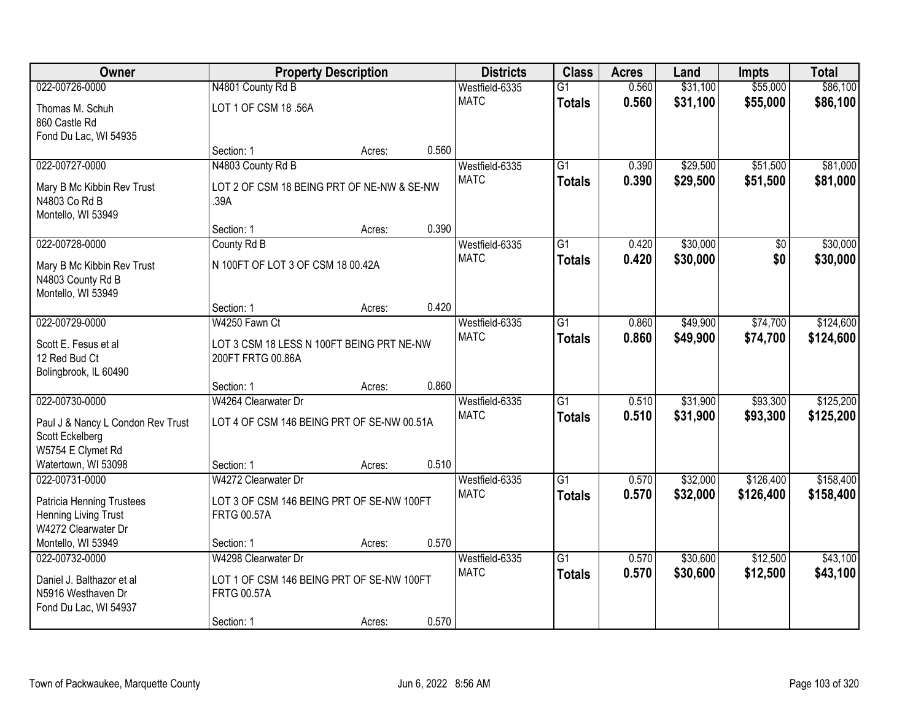| Owner                                                | <b>Property Description</b>                |        |       | <b>Districts</b> | <b>Class</b>    | <b>Acres</b> | Land     | <b>Impts</b> | <b>Total</b> |
|------------------------------------------------------|--------------------------------------------|--------|-------|------------------|-----------------|--------------|----------|--------------|--------------|
| 022-00726-0000                                       | N4801 County Rd B                          |        |       | Westfield-6335   | $\overline{G1}$ | 0.560        | \$31,100 | \$55,000     | \$86,100     |
| Thomas M. Schuh                                      | LOT 1 OF CSM 18 .56A                       |        |       | <b>MATC</b>      | <b>Totals</b>   | 0.560        | \$31,100 | \$55,000     | \$86,100     |
| 860 Castle Rd                                        |                                            |        |       |                  |                 |              |          |              |              |
| Fond Du Lac, WI 54935                                |                                            |        |       |                  |                 |              |          |              |              |
|                                                      | Section: 1                                 | Acres: | 0.560 |                  |                 |              |          |              |              |
| 022-00727-0000                                       | N4803 County Rd B                          |        |       | Westfield-6335   | $\overline{G1}$ | 0.390        | \$29,500 | \$51,500     | \$81,000     |
| Mary B Mc Kibbin Rev Trust                           | LOT 2 OF CSM 18 BEING PRT OF NE-NW & SE-NW |        |       | <b>MATC</b>      | <b>Totals</b>   | 0.390        | \$29,500 | \$51,500     | \$81,000     |
| N4803 Co Rd B                                        | .39A                                       |        |       |                  |                 |              |          |              |              |
| Montello, WI 53949                                   |                                            |        |       |                  |                 |              |          |              |              |
|                                                      | Section: 1                                 | Acres: | 0.390 |                  |                 |              |          |              |              |
| 022-00728-0000                                       | County Rd B                                |        |       | Westfield-6335   | $\overline{G1}$ | 0.420        | \$30,000 | \$0          | \$30,000     |
| Mary B Mc Kibbin Rev Trust                           | N 100FT OF LOT 3 OF CSM 18 00.42A          |        |       | <b>MATC</b>      | <b>Totals</b>   | 0.420        | \$30,000 | \$0          | \$30,000     |
| N4803 County Rd B                                    |                                            |        |       |                  |                 |              |          |              |              |
| Montello, WI 53949                                   |                                            |        |       |                  |                 |              |          |              |              |
|                                                      | Section: 1                                 | Acres: | 0.420 |                  |                 |              |          |              |              |
| 022-00729-0000                                       | W4250 Fawn Ct                              |        |       | Westfield-6335   | $\overline{G1}$ | 0.860        | \$49,900 | \$74,700     | \$124,600    |
| Scott E. Fesus et al                                 | LOT 3 CSM 18 LESS N 100FT BEING PRT NE-NW  |        |       | <b>MATC</b>      | <b>Totals</b>   | 0.860        | \$49,900 | \$74,700     | \$124,600    |
| 12 Red Bud Ct                                        | 200FT FRTG 00.86A                          |        |       |                  |                 |              |          |              |              |
| Bolingbrook, IL 60490                                |                                            |        |       |                  |                 |              |          |              |              |
|                                                      | Section: 1                                 | Acres: | 0.860 |                  |                 |              |          |              |              |
| 022-00730-0000                                       | W4264 Clearwater Dr                        |        |       | Westfield-6335   | $\overline{G1}$ | 0.510        | \$31,900 | \$93,300     | \$125,200    |
|                                                      | LOT 4 OF CSM 146 BEING PRT OF SE-NW 00.51A |        |       | <b>MATC</b>      | <b>Totals</b>   | 0.510        | \$31,900 | \$93,300     | \$125,200    |
| Paul J & Nancy L Condon Rev Trust<br>Scott Eckelberg |                                            |        |       |                  |                 |              |          |              |              |
| W5754 E Clymet Rd                                    |                                            |        |       |                  |                 |              |          |              |              |
| Watertown, WI 53098                                  | Section: 1                                 | Acres: | 0.510 |                  |                 |              |          |              |              |
| 022-00731-0000                                       | W4272 Clearwater Dr                        |        |       | Westfield-6335   | $\overline{G1}$ | 0.570        | \$32,000 | \$126,400    | \$158,400    |
|                                                      | LOT 3 OF CSM 146 BEING PRT OF SE-NW 100FT  |        |       | <b>MATC</b>      | <b>Totals</b>   | 0.570        | \$32,000 | \$126,400    | \$158,400    |
| Patricia Henning Trustees<br>Henning Living Trust    | <b>FRTG 00.57A</b>                         |        |       |                  |                 |              |          |              |              |
| W4272 Clearwater Dr                                  |                                            |        |       |                  |                 |              |          |              |              |
| Montello, WI 53949                                   | Section: 1                                 | Acres: | 0.570 |                  |                 |              |          |              |              |
| 022-00732-0000                                       | W4298 Clearwater Dr                        |        |       | Westfield-6335   | $\overline{G1}$ | 0.570        | \$30,600 | \$12,500     | \$43,100     |
| Daniel J. Balthazor et al                            | LOT 1 OF CSM 146 BEING PRT OF SE-NW 100FT  |        |       | <b>MATC</b>      | <b>Totals</b>   | 0.570        | \$30,600 | \$12,500     | \$43,100     |
| N5916 Westhaven Dr                                   | <b>FRTG 00.57A</b>                         |        |       |                  |                 |              |          |              |              |
| Fond Du Lac, WI 54937                                |                                            |        |       |                  |                 |              |          |              |              |
|                                                      | Section: 1                                 | Acres: | 0.570 |                  |                 |              |          |              |              |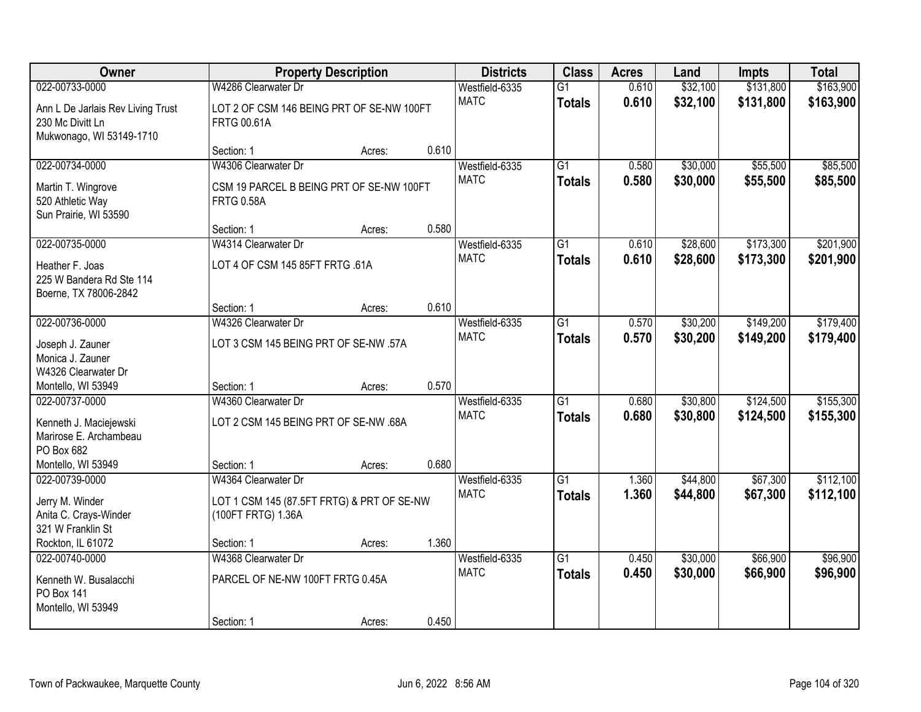| <b>Owner</b>                                                                      |                                                                                         | <b>Property Description</b> |       | <b>Districts</b>              | <b>Class</b>                     | <b>Acres</b>   | Land                 | <b>Impts</b>           | <b>Total</b>           |
|-----------------------------------------------------------------------------------|-----------------------------------------------------------------------------------------|-----------------------------|-------|-------------------------------|----------------------------------|----------------|----------------------|------------------------|------------------------|
| 022-00733-0000                                                                    | W4286 Clearwater Dr                                                                     |                             |       | Westfield-6335                | $\overline{G1}$                  | 0.610          | \$32,100             | \$131,800              | \$163,900              |
| Ann L De Jarlais Rev Living Trust<br>230 Mc Divitt Ln<br>Mukwonago, WI 53149-1710 | LOT 2 OF CSM 146 BEING PRT OF SE-NW 100FT<br><b>FRTG 00.61A</b>                         |                             |       | <b>MATC</b>                   | <b>Totals</b>                    | 0.610          | \$32,100             | \$131,800              | \$163,900              |
|                                                                                   | Section: 1                                                                              | Acres:                      | 0.610 |                               |                                  |                |                      |                        |                        |
| 022-00734-0000<br>Martin T. Wingrove<br>520 Athletic Way                          | W4306 Clearwater Dr<br>CSM 19 PARCEL B BEING PRT OF SE-NW 100FT<br><b>FRTG 0.58A</b>    |                             |       | Westfield-6335<br><b>MATC</b> | G1<br><b>Totals</b>              | 0.580<br>0.580 | \$30,000<br>\$30,000 | \$55,500<br>\$55,500   | \$85,500<br>\$85,500   |
| Sun Prairie, WI 53590                                                             | Section: 1                                                                              | Acres:                      | 0.580 |                               |                                  |                |                      |                        |                        |
| 022-00735-0000                                                                    | W4314 Clearwater Dr                                                                     |                             |       | Westfield-6335                | $\overline{G1}$                  | 0.610          | \$28,600             | \$173,300              | \$201,900              |
| Heather F. Joas<br>225 W Bandera Rd Ste 114<br>Boerne, TX 78006-2842              | LOT 4 OF CSM 145 85FT FRTG .61A                                                         |                             |       | <b>MATC</b>                   | <b>Totals</b>                    | 0.610          | \$28,600             | \$173,300              | \$201,900              |
|                                                                                   | Section: 1                                                                              | Acres:                      | 0.610 |                               |                                  |                |                      |                        |                        |
| 022-00736-0000                                                                    | W4326 Clearwater Dr                                                                     |                             |       | Westfield-6335                | $\overline{G1}$                  | 0.570          | \$30,200             | \$149,200              | \$179,400              |
| Joseph J. Zauner<br>Monica J. Zauner<br>W4326 Clearwater Dr                       | LOT 3 CSM 145 BEING PRT OF SE-NW .57A                                                   |                             |       | <b>MATC</b>                   | <b>Totals</b>                    | 0.570          | \$30,200             | \$149,200              | \$179,400              |
| Montello, WI 53949                                                                | Section: 1                                                                              | Acres:                      | 0.570 |                               |                                  |                |                      |                        |                        |
| 022-00737-0000<br>Kenneth J. Maciejewski<br>Marirose E. Archambeau<br>PO Box 682  | W4360 Clearwater Dr<br>LOT 2 CSM 145 BEING PRT OF SE-NW .68A                            |                             |       | Westfield-6335<br><b>MATC</b> | $\overline{G1}$<br><b>Totals</b> | 0.680<br>0.680 | \$30,800<br>\$30,800 | \$124,500<br>\$124,500 | \$155,300<br>\$155,300 |
| Montello, WI 53949                                                                | Section: 1                                                                              | Acres:                      | 0.680 |                               |                                  |                |                      |                        |                        |
| 022-00739-0000<br>Jerry M. Winder<br>Anita C. Crays-Winder<br>321 W Franklin St   | W4364 Clearwater Dr<br>LOT 1 CSM 145 (87.5FT FRTG) & PRT OF SE-NW<br>(100FT FRTG) 1.36A |                             |       | Westfield-6335<br><b>MATC</b> | $\overline{G1}$<br><b>Totals</b> | 1.360<br>1.360 | \$44,800<br>\$44,800 | \$67,300<br>\$67,300   | \$112,100<br>\$112,100 |
| Rockton, IL 61072                                                                 | Section: 1                                                                              | Acres:                      | 1.360 |                               |                                  |                |                      |                        |                        |
| 022-00740-0000<br>Kenneth W. Busalacchi<br>PO Box 141<br>Montello, WI 53949       | W4368 Clearwater Dr<br>PARCEL OF NE-NW 100FT FRTG 0.45A<br>Section: 1                   | Acres:                      | 0.450 | Westfield-6335<br><b>MATC</b> | $\overline{G1}$<br><b>Totals</b> | 0.450<br>0.450 | \$30,000<br>\$30,000 | \$66,900<br>\$66,900   | \$96,900<br>\$96,900   |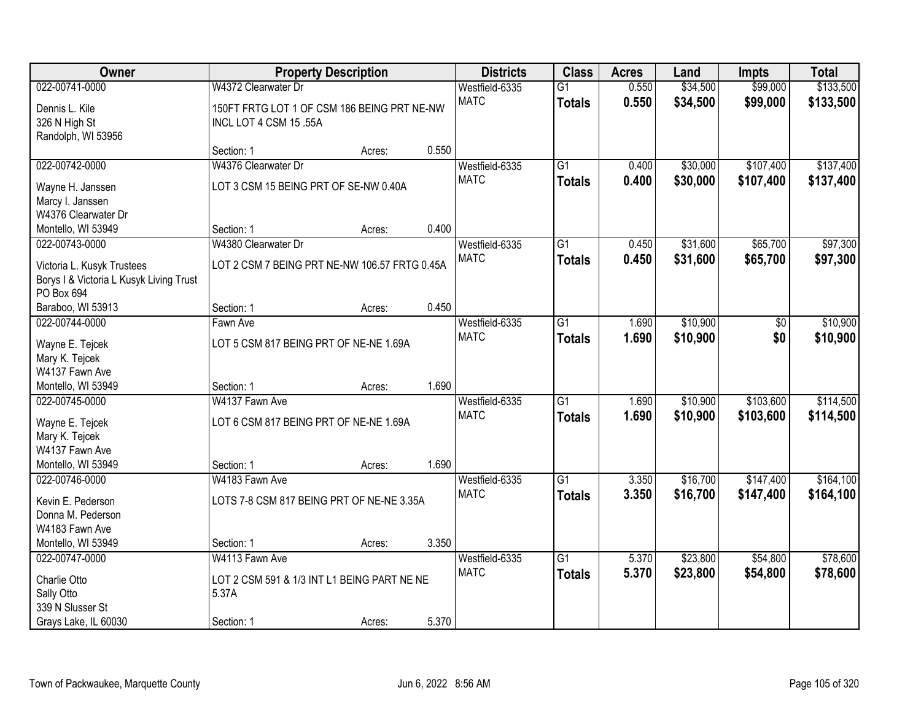| Owner                                                                 |                                               | <b>Property Description</b> |       | <b>Districts</b> | <b>Class</b>    | <b>Acres</b> | Land     | <b>Impts</b> | <b>Total</b> |
|-----------------------------------------------------------------------|-----------------------------------------------|-----------------------------|-------|------------------|-----------------|--------------|----------|--------------|--------------|
| 022-00741-0000                                                        | W4372 Clearwater Dr                           |                             |       | Westfield-6335   | $\overline{G1}$ | 0.550        | \$34,500 | \$99,000     | \$133,500    |
| Dennis L. Kile                                                        | 150FT FRTG LOT 1 OF CSM 186 BEING PRT NE-NW   |                             |       | <b>MATC</b>      | <b>Totals</b>   | 0.550        | \$34,500 | \$99,000     | \$133,500    |
| 326 N High St                                                         | INCL LOT 4 CSM 15 .55A                        |                             |       |                  |                 |              |          |              |              |
| Randolph, WI 53956                                                    |                                               |                             |       |                  |                 |              |          |              |              |
|                                                                       | Section: 1                                    | Acres:                      | 0.550 |                  |                 |              |          |              |              |
| 022-00742-0000                                                        | W4376 Clearwater Dr                           |                             |       | Westfield-6335   | $\overline{G1}$ | 0.400        | \$30,000 | \$107,400    | \$137,400    |
| Wayne H. Janssen                                                      | LOT 3 CSM 15 BEING PRT OF SE-NW 0.40A         |                             |       | <b>MATC</b>      | <b>Totals</b>   | 0.400        | \$30,000 | \$107,400    | \$137,400    |
| Marcy I. Janssen                                                      |                                               |                             |       |                  |                 |              |          |              |              |
| W4376 Clearwater Dr                                                   |                                               |                             |       |                  |                 |              |          |              |              |
| Montello, WI 53949                                                    | Section: 1                                    | Acres:                      | 0.400 |                  |                 |              |          |              |              |
| 022-00743-0000                                                        | W4380 Clearwater Dr                           |                             |       | Westfield-6335   | G1              | 0.450        | \$31,600 | \$65,700     | \$97,300     |
|                                                                       | LOT 2 CSM 7 BEING PRT NE-NW 106.57 FRTG 0.45A |                             |       | <b>MATC</b>      | <b>Totals</b>   | 0.450        | \$31,600 | \$65,700     | \$97,300     |
| Victoria L. Kusyk Trustees<br>Borys I & Victoria L Kusyk Living Trust |                                               |                             |       |                  |                 |              |          |              |              |
| PO Box 694                                                            |                                               |                             |       |                  |                 |              |          |              |              |
| Baraboo, WI 53913                                                     | Section: 1                                    | Acres:                      | 0.450 |                  |                 |              |          |              |              |
| 022-00744-0000                                                        | Fawn Ave                                      |                             |       | Westfield-6335   | $\overline{G1}$ | 1.690        | \$10,900 | \$0          | \$10,900     |
|                                                                       |                                               |                             |       | <b>MATC</b>      | <b>Totals</b>   | 1.690        | \$10,900 | \$0          | \$10,900     |
| Wayne E. Tejcek                                                       | LOT 5 CSM 817 BEING PRT OF NE-NE 1.69A        |                             |       |                  |                 |              |          |              |              |
| Mary K. Tejcek<br>W4137 Fawn Ave                                      |                                               |                             |       |                  |                 |              |          |              |              |
| Montello, WI 53949                                                    | Section: 1                                    | Acres:                      | 1.690 |                  |                 |              |          |              |              |
| 022-00745-0000                                                        | W4137 Fawn Ave                                |                             |       | Westfield-6335   | $\overline{G1}$ | 1.690        | \$10,900 | \$103,600    | \$114,500    |
|                                                                       |                                               |                             |       | <b>MATC</b>      | <b>Totals</b>   | 1.690        | \$10,900 | \$103,600    | \$114,500    |
| Wayne E. Tejcek                                                       | LOT 6 CSM 817 BEING PRT OF NE-NE 1.69A        |                             |       |                  |                 |              |          |              |              |
| Mary K. Tejcek                                                        |                                               |                             |       |                  |                 |              |          |              |              |
| W4137 Fawn Ave                                                        |                                               |                             |       |                  |                 |              |          |              |              |
| Montello, WI 53949                                                    | Section: 1                                    | Acres:                      | 1.690 |                  |                 |              |          |              |              |
| 022-00746-0000                                                        | W4183 Fawn Ave                                |                             |       | Westfield-6335   | $\overline{G1}$ | 3.350        | \$16,700 | \$147,400    | \$164,100    |
| Kevin E. Pederson                                                     | LOTS 7-8 CSM 817 BEING PRT OF NE-NE 3.35A     |                             |       | <b>MATC</b>      | <b>Totals</b>   | 3.350        | \$16,700 | \$147,400    | \$164,100    |
| Donna M. Pederson                                                     |                                               |                             |       |                  |                 |              |          |              |              |
| W4183 Fawn Ave                                                        |                                               |                             |       |                  |                 |              |          |              |              |
| Montello, WI 53949                                                    | Section: 1                                    | Acres:                      | 3.350 |                  |                 |              |          |              |              |
| 022-00747-0000                                                        | W4113 Fawn Ave                                |                             |       | Westfield-6335   | $\overline{G1}$ | 5.370        | \$23,800 | \$54,800     | \$78,600     |
| Charlie Otto                                                          | LOT 2 CSM 591 & 1/3 INT L1 BEING PART NE NE   |                             |       | <b>MATC</b>      | <b>Totals</b>   | 5.370        | \$23,800 | \$54,800     | \$78,600     |
| Sally Otto                                                            | 5.37A                                         |                             |       |                  |                 |              |          |              |              |
| 339 N Slusser St                                                      |                                               |                             |       |                  |                 |              |          |              |              |
| Grays Lake, IL 60030                                                  | Section: 1                                    | Acres:                      | 5.370 |                  |                 |              |          |              |              |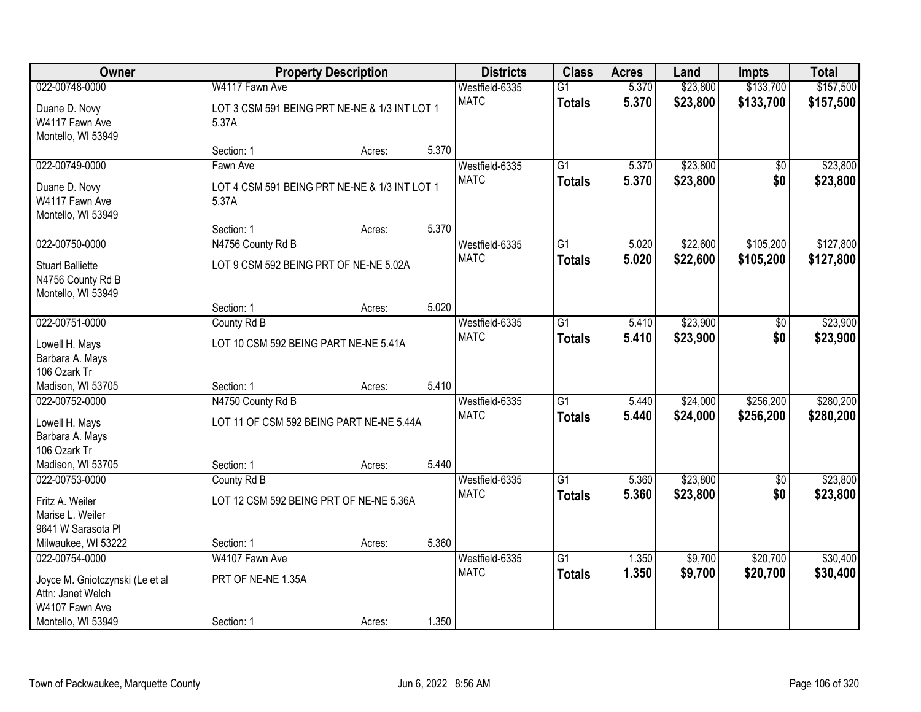| Owner                                                              |                                                        | <b>Property Description</b> |       | <b>Districts</b> | <b>Class</b>    | <b>Acres</b> | Land     | <b>Impts</b> | <b>Total</b> |
|--------------------------------------------------------------------|--------------------------------------------------------|-----------------------------|-------|------------------|-----------------|--------------|----------|--------------|--------------|
| 022-00748-0000                                                     | W4117 Fawn Ave                                         |                             |       | Westfield-6335   | $\overline{G1}$ | 5.370        | \$23,800 | \$133,700    | \$157,500    |
| Duane D. Novy<br>W4117 Fawn Ave<br>Montello, WI 53949              | LOT 3 CSM 591 BEING PRT NE-NE & 1/3 INT LOT 1<br>5.37A |                             |       | <b>MATC</b>      | <b>Totals</b>   | 5.370        | \$23,800 | \$133,700    | \$157,500    |
|                                                                    | Section: 1                                             | Acres:                      | 5.370 |                  |                 |              |          |              |              |
| 022-00749-0000                                                     | Fawn Ave                                               |                             |       | Westfield-6335   | $\overline{G1}$ | 5.370        | \$23,800 | \$0          | \$23,800     |
| Duane D. Novy<br>W4117 Fawn Ave<br>Montello, WI 53949              | LOT 4 CSM 591 BEING PRT NE-NE & 1/3 INT LOT 1<br>5.37A |                             |       | <b>MATC</b>      | <b>Totals</b>   | 5.370        | \$23,800 | \$0          | \$23,800     |
|                                                                    | Section: 1                                             | Acres:                      | 5.370 |                  |                 |              |          |              |              |
| 022-00750-0000                                                     | N4756 County Rd B                                      |                             |       | Westfield-6335   | $\overline{G1}$ | 5.020        | \$22,600 | \$105,200    | \$127,800    |
| <b>Stuart Balliette</b><br>N4756 County Rd B<br>Montello, WI 53949 | LOT 9 CSM 592 BEING PRT OF NE-NE 5.02A                 |                             |       | <b>MATC</b>      | <b>Totals</b>   | 5.020        | \$22,600 | \$105,200    | \$127,800    |
|                                                                    | Section: 1                                             | Acres:                      | 5.020 |                  |                 |              |          |              |              |
| 022-00751-0000                                                     | County Rd B                                            |                             |       | Westfield-6335   | $\overline{G1}$ | 5.410        | \$23,900 | \$0          | \$23,900     |
| Lowell H. Mays<br>Barbara A. Mays                                  | LOT 10 CSM 592 BEING PART NE-NE 5.41A                  |                             |       | <b>MATC</b>      | <b>Totals</b>   | 5.410        | \$23,900 | \$0          | \$23,900     |
| 106 Ozark Tr                                                       |                                                        |                             |       |                  |                 |              |          |              |              |
| Madison, WI 53705                                                  | Section: 1                                             | Acres:                      | 5.410 |                  |                 |              |          |              |              |
| 022-00752-0000                                                     | N4750 County Rd B                                      |                             |       | Westfield-6335   | $\overline{G1}$ | 5.440        | \$24,000 | \$256,200    | \$280,200    |
| Lowell H. Mays                                                     | LOT 11 OF CSM 592 BEING PART NE-NE 5.44A               |                             |       | <b>MATC</b>      | <b>Totals</b>   | 5.440        | \$24,000 | \$256,200    | \$280,200    |
| Barbara A. Mays                                                    |                                                        |                             |       |                  |                 |              |          |              |              |
| 106 Ozark Tr                                                       |                                                        |                             |       |                  |                 |              |          |              |              |
| Madison, WI 53705                                                  | Section: 1                                             | Acres:                      | 5.440 |                  |                 |              |          |              |              |
| 022-00753-0000                                                     | County Rd B                                            |                             |       | Westfield-6335   | $\overline{G1}$ | 5.360        | \$23,800 | $\sqrt{6}$   | \$23,800     |
| Fritz A. Weiler                                                    | LOT 12 CSM 592 BEING PRT OF NE-NE 5.36A                |                             |       | <b>MATC</b>      | <b>Totals</b>   | 5.360        | \$23,800 | \$0          | \$23,800     |
| Marise L. Weiler                                                   |                                                        |                             |       |                  |                 |              |          |              |              |
| 9641 W Sarasota PI                                                 |                                                        |                             |       |                  |                 |              |          |              |              |
| Milwaukee, WI 53222                                                | Section: 1                                             | Acres:                      | 5.360 |                  |                 |              |          |              |              |
| 022-00754-0000                                                     | W4107 Fawn Ave                                         |                             |       | Westfield-6335   | $\overline{G1}$ | 1.350        | \$9,700  | \$20,700     | \$30,400     |
| Joyce M. Gniotczynski (Le et al                                    | PRT OF NE-NE 1.35A                                     |                             |       | <b>MATC</b>      | <b>Totals</b>   | 1.350        | \$9,700  | \$20,700     | \$30,400     |
| Attn: Janet Welch                                                  |                                                        |                             |       |                  |                 |              |          |              |              |
| W4107 Fawn Ave                                                     |                                                        |                             |       |                  |                 |              |          |              |              |
| Montello, WI 53949                                                 | Section: 1                                             | Acres:                      | 1.350 |                  |                 |              |          |              |              |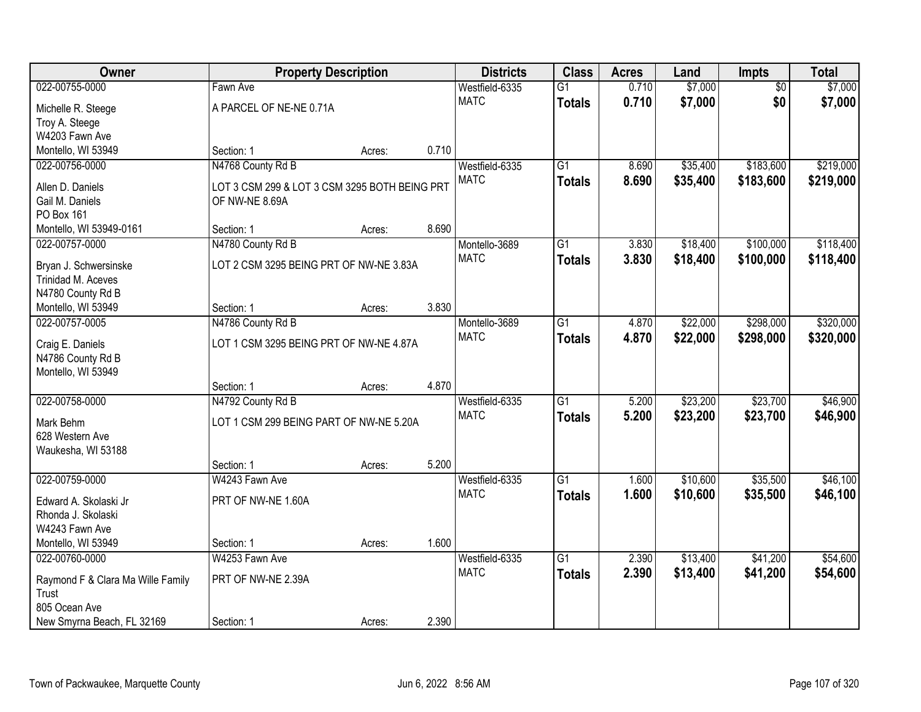| 022-00755-0000<br>$\overline{G1}$<br>0.710<br>\$7,000<br>\$7,000<br>Westfield-6335<br>$\overline{50}$<br>Fawn Ave<br>\$0<br><b>MATC</b><br>0.710<br>\$7,000<br>\$7,000<br><b>Totals</b><br>A PARCEL OF NE-NE 0.71A<br>Michelle R. Steege<br>Troy A. Steege<br>W4203 Fawn Ave<br>0.710<br>Montello, WI 53949<br>Section: 1<br>Acres:<br>N4768 County Rd B<br>$\overline{G1}$<br>\$35,400<br>\$183,600<br>022-00756-0000<br>Westfield-6335<br>8.690<br>8.690<br><b>MATC</b><br>\$35,400<br>\$183,600<br><b>Totals</b><br>Allen D. Daniels<br>LOT 3 CSM 299 & LOT 3 CSM 3295 BOTH BEING PRT<br>Gail M. Daniels<br>OF NW-NE 8.69A<br>PO Box 161<br>8.690<br>Montello, WI 53949-0161<br>Section: 1<br>Acres:<br>022-00757-0000<br>\$18,400<br>\$100,000<br>N4780 County Rd B<br>Montello-3689<br>G1<br>3.830<br><b>MATC</b><br>3.830<br>\$18,400<br>\$100,000<br><b>Totals</b><br>LOT 2 CSM 3295 BEING PRT OF NW-NE 3.83A<br>Bryan J. Schwersinske<br>Trinidad M. Aceves<br>N4780 County Rd B<br>3.830<br>Montello, WI 53949<br>Section: 1<br>Acres:<br>\$298,000<br>022-00757-0005<br>N4786 County Rd B<br>$\overline{G1}$<br>\$22,000<br>Montello-3689<br>4.870<br><b>MATC</b><br>4.870<br>\$22,000<br>\$298,000<br><b>Totals</b><br>LOT 1 CSM 3295 BEING PRT OF NW-NE 4.87A<br>Craig E. Daniels<br>N4786 County Rd B<br>Montello, WI 53949<br>4.870<br>Section: 1<br>Acres:<br>\$23,700<br>022-00758-0000<br>$\overline{G1}$<br>5.200<br>\$23,200<br>N4792 County Rd B<br>Westfield-6335<br><b>MATC</b><br>5.200<br>\$23,200<br>\$23,700<br><b>Totals</b><br>LOT 1 CSM 299 BEING PART OF NW-NE 5.20A<br>Mark Behm<br>628 Western Ave<br>Waukesha, WI 53188<br>5.200<br>Section: 1<br>Acres:<br>$\overline{G1}$<br>\$35,500<br>022-00759-0000<br>W4243 Fawn Ave<br>Westfield-6335<br>\$10,600<br>1.600<br><b>MATC</b><br>1.600<br>\$10,600<br>\$35,500<br><b>Totals</b><br>PRT OF NW-NE 1.60A<br>Edward A. Skolaski Jr<br>Rhonda J. Skolaski<br>W4243 Fawn Ave<br>1.600<br>Montello, WI 53949<br>Section: 1<br>Acres:<br>\$13,400<br>\$41,200<br>022-00760-0000<br>W4253 Fawn Ave<br>Westfield-6335<br>$\overline{G1}$<br>2.390<br><b>MATC</b><br>2.390<br>\$13,400<br>\$41,200<br><b>Totals</b><br>PRT OF NW-NE 2.39A<br>Raymond F & Clara Ma Wille Family<br>Trust | Owner | <b>Property Description</b> |  | <b>Districts</b> | <b>Class</b> | <b>Acres</b> | Land | Impts | <b>Total</b> |
|-------------------------------------------------------------------------------------------------------------------------------------------------------------------------------------------------------------------------------------------------------------------------------------------------------------------------------------------------------------------------------------------------------------------------------------------------------------------------------------------------------------------------------------------------------------------------------------------------------------------------------------------------------------------------------------------------------------------------------------------------------------------------------------------------------------------------------------------------------------------------------------------------------------------------------------------------------------------------------------------------------------------------------------------------------------------------------------------------------------------------------------------------------------------------------------------------------------------------------------------------------------------------------------------------------------------------------------------------------------------------------------------------------------------------------------------------------------------------------------------------------------------------------------------------------------------------------------------------------------------------------------------------------------------------------------------------------------------------------------------------------------------------------------------------------------------------------------------------------------------------------------------------------------------------------------------------------------------------------------------------------------------------------------------------------------------------------------------------------------------------------------------------------------------------------------------------------------------------------------------------------------------|-------|-----------------------------|--|------------------|--------------|--------------|------|-------|--------------|
|                                                                                                                                                                                                                                                                                                                                                                                                                                                                                                                                                                                                                                                                                                                                                                                                                                                                                                                                                                                                                                                                                                                                                                                                                                                                                                                                                                                                                                                                                                                                                                                                                                                                                                                                                                                                                                                                                                                                                                                                                                                                                                                                                                                                                                                                   |       |                             |  |                  |              |              |      |       |              |
| \$219,000                                                                                                                                                                                                                                                                                                                                                                                                                                                                                                                                                                                                                                                                                                                                                                                                                                                                                                                                                                                                                                                                                                                                                                                                                                                                                                                                                                                                                                                                                                                                                                                                                                                                                                                                                                                                                                                                                                                                                                                                                                                                                                                                                                                                                                                         |       |                             |  |                  |              |              |      |       |              |
|                                                                                                                                                                                                                                                                                                                                                                                                                                                                                                                                                                                                                                                                                                                                                                                                                                                                                                                                                                                                                                                                                                                                                                                                                                                                                                                                                                                                                                                                                                                                                                                                                                                                                                                                                                                                                                                                                                                                                                                                                                                                                                                                                                                                                                                                   |       |                             |  |                  |              |              |      |       |              |
|                                                                                                                                                                                                                                                                                                                                                                                                                                                                                                                                                                                                                                                                                                                                                                                                                                                                                                                                                                                                                                                                                                                                                                                                                                                                                                                                                                                                                                                                                                                                                                                                                                                                                                                                                                                                                                                                                                                                                                                                                                                                                                                                                                                                                                                                   |       |                             |  |                  |              |              |      |       |              |
|                                                                                                                                                                                                                                                                                                                                                                                                                                                                                                                                                                                                                                                                                                                                                                                                                                                                                                                                                                                                                                                                                                                                                                                                                                                                                                                                                                                                                                                                                                                                                                                                                                                                                                                                                                                                                                                                                                                                                                                                                                                                                                                                                                                                                                                                   |       |                             |  |                  |              |              |      |       |              |
| \$219,000<br>\$118,400<br>\$118,400<br>\$320,000<br>\$320,000<br>\$46,900<br>\$54,600                                                                                                                                                                                                                                                                                                                                                                                                                                                                                                                                                                                                                                                                                                                                                                                                                                                                                                                                                                                                                                                                                                                                                                                                                                                                                                                                                                                                                                                                                                                                                                                                                                                                                                                                                                                                                                                                                                                                                                                                                                                                                                                                                                             |       |                             |  |                  |              |              |      |       |              |
|                                                                                                                                                                                                                                                                                                                                                                                                                                                                                                                                                                                                                                                                                                                                                                                                                                                                                                                                                                                                                                                                                                                                                                                                                                                                                                                                                                                                                                                                                                                                                                                                                                                                                                                                                                                                                                                                                                                                                                                                                                                                                                                                                                                                                                                                   |       |                             |  |                  |              |              |      |       |              |
|                                                                                                                                                                                                                                                                                                                                                                                                                                                                                                                                                                                                                                                                                                                                                                                                                                                                                                                                                                                                                                                                                                                                                                                                                                                                                                                                                                                                                                                                                                                                                                                                                                                                                                                                                                                                                                                                                                                                                                                                                                                                                                                                                                                                                                                                   |       |                             |  |                  |              |              |      |       |              |
|                                                                                                                                                                                                                                                                                                                                                                                                                                                                                                                                                                                                                                                                                                                                                                                                                                                                                                                                                                                                                                                                                                                                                                                                                                                                                                                                                                                                                                                                                                                                                                                                                                                                                                                                                                                                                                                                                                                                                                                                                                                                                                                                                                                                                                                                   |       |                             |  |                  |              |              |      |       |              |
|                                                                                                                                                                                                                                                                                                                                                                                                                                                                                                                                                                                                                                                                                                                                                                                                                                                                                                                                                                                                                                                                                                                                                                                                                                                                                                                                                                                                                                                                                                                                                                                                                                                                                                                                                                                                                                                                                                                                                                                                                                                                                                                                                                                                                                                                   |       |                             |  |                  |              |              |      |       |              |
|                                                                                                                                                                                                                                                                                                                                                                                                                                                                                                                                                                                                                                                                                                                                                                                                                                                                                                                                                                                                                                                                                                                                                                                                                                                                                                                                                                                                                                                                                                                                                                                                                                                                                                                                                                                                                                                                                                                                                                                                                                                                                                                                                                                                                                                                   |       |                             |  |                  |              |              |      |       |              |
| \$46,900<br>\$46,100<br>\$46,100<br>\$54,600                                                                                                                                                                                                                                                                                                                                                                                                                                                                                                                                                                                                                                                                                                                                                                                                                                                                                                                                                                                                                                                                                                                                                                                                                                                                                                                                                                                                                                                                                                                                                                                                                                                                                                                                                                                                                                                                                                                                                                                                                                                                                                                                                                                                                      |       |                             |  |                  |              |              |      |       |              |
|                                                                                                                                                                                                                                                                                                                                                                                                                                                                                                                                                                                                                                                                                                                                                                                                                                                                                                                                                                                                                                                                                                                                                                                                                                                                                                                                                                                                                                                                                                                                                                                                                                                                                                                                                                                                                                                                                                                                                                                                                                                                                                                                                                                                                                                                   |       |                             |  |                  |              |              |      |       |              |
|                                                                                                                                                                                                                                                                                                                                                                                                                                                                                                                                                                                                                                                                                                                                                                                                                                                                                                                                                                                                                                                                                                                                                                                                                                                                                                                                                                                                                                                                                                                                                                                                                                                                                                                                                                                                                                                                                                                                                                                                                                                                                                                                                                                                                                                                   |       |                             |  |                  |              |              |      |       |              |
|                                                                                                                                                                                                                                                                                                                                                                                                                                                                                                                                                                                                                                                                                                                                                                                                                                                                                                                                                                                                                                                                                                                                                                                                                                                                                                                                                                                                                                                                                                                                                                                                                                                                                                                                                                                                                                                                                                                                                                                                                                                                                                                                                                                                                                                                   |       |                             |  |                  |              |              |      |       |              |
|                                                                                                                                                                                                                                                                                                                                                                                                                                                                                                                                                                                                                                                                                                                                                                                                                                                                                                                                                                                                                                                                                                                                                                                                                                                                                                                                                                                                                                                                                                                                                                                                                                                                                                                                                                                                                                                                                                                                                                                                                                                                                                                                                                                                                                                                   |       |                             |  |                  |              |              |      |       |              |
|                                                                                                                                                                                                                                                                                                                                                                                                                                                                                                                                                                                                                                                                                                                                                                                                                                                                                                                                                                                                                                                                                                                                                                                                                                                                                                                                                                                                                                                                                                                                                                                                                                                                                                                                                                                                                                                                                                                                                                                                                                                                                                                                                                                                                                                                   |       |                             |  |                  |              |              |      |       |              |
|                                                                                                                                                                                                                                                                                                                                                                                                                                                                                                                                                                                                                                                                                                                                                                                                                                                                                                                                                                                                                                                                                                                                                                                                                                                                                                                                                                                                                                                                                                                                                                                                                                                                                                                                                                                                                                                                                                                                                                                                                                                                                                                                                                                                                                                                   |       |                             |  |                  |              |              |      |       |              |
|                                                                                                                                                                                                                                                                                                                                                                                                                                                                                                                                                                                                                                                                                                                                                                                                                                                                                                                                                                                                                                                                                                                                                                                                                                                                                                                                                                                                                                                                                                                                                                                                                                                                                                                                                                                                                                                                                                                                                                                                                                                                                                                                                                                                                                                                   |       |                             |  |                  |              |              |      |       |              |
|                                                                                                                                                                                                                                                                                                                                                                                                                                                                                                                                                                                                                                                                                                                                                                                                                                                                                                                                                                                                                                                                                                                                                                                                                                                                                                                                                                                                                                                                                                                                                                                                                                                                                                                                                                                                                                                                                                                                                                                                                                                                                                                                                                                                                                                                   |       |                             |  |                  |              |              |      |       |              |
|                                                                                                                                                                                                                                                                                                                                                                                                                                                                                                                                                                                                                                                                                                                                                                                                                                                                                                                                                                                                                                                                                                                                                                                                                                                                                                                                                                                                                                                                                                                                                                                                                                                                                                                                                                                                                                                                                                                                                                                                                                                                                                                                                                                                                                                                   |       |                             |  |                  |              |              |      |       |              |
|                                                                                                                                                                                                                                                                                                                                                                                                                                                                                                                                                                                                                                                                                                                                                                                                                                                                                                                                                                                                                                                                                                                                                                                                                                                                                                                                                                                                                                                                                                                                                                                                                                                                                                                                                                                                                                                                                                                                                                                                                                                                                                                                                                                                                                                                   |       |                             |  |                  |              |              |      |       |              |
|                                                                                                                                                                                                                                                                                                                                                                                                                                                                                                                                                                                                                                                                                                                                                                                                                                                                                                                                                                                                                                                                                                                                                                                                                                                                                                                                                                                                                                                                                                                                                                                                                                                                                                                                                                                                                                                                                                                                                                                                                                                                                                                                                                                                                                                                   |       |                             |  |                  |              |              |      |       |              |
|                                                                                                                                                                                                                                                                                                                                                                                                                                                                                                                                                                                                                                                                                                                                                                                                                                                                                                                                                                                                                                                                                                                                                                                                                                                                                                                                                                                                                                                                                                                                                                                                                                                                                                                                                                                                                                                                                                                                                                                                                                                                                                                                                                                                                                                                   |       |                             |  |                  |              |              |      |       |              |
|                                                                                                                                                                                                                                                                                                                                                                                                                                                                                                                                                                                                                                                                                                                                                                                                                                                                                                                                                                                                                                                                                                                                                                                                                                                                                                                                                                                                                                                                                                                                                                                                                                                                                                                                                                                                                                                                                                                                                                                                                                                                                                                                                                                                                                                                   |       |                             |  |                  |              |              |      |       |              |
|                                                                                                                                                                                                                                                                                                                                                                                                                                                                                                                                                                                                                                                                                                                                                                                                                                                                                                                                                                                                                                                                                                                                                                                                                                                                                                                                                                                                                                                                                                                                                                                                                                                                                                                                                                                                                                                                                                                                                                                                                                                                                                                                                                                                                                                                   |       |                             |  |                  |              |              |      |       |              |
|                                                                                                                                                                                                                                                                                                                                                                                                                                                                                                                                                                                                                                                                                                                                                                                                                                                                                                                                                                                                                                                                                                                                                                                                                                                                                                                                                                                                                                                                                                                                                                                                                                                                                                                                                                                                                                                                                                                                                                                                                                                                                                                                                                                                                                                                   |       |                             |  |                  |              |              |      |       |              |
|                                                                                                                                                                                                                                                                                                                                                                                                                                                                                                                                                                                                                                                                                                                                                                                                                                                                                                                                                                                                                                                                                                                                                                                                                                                                                                                                                                                                                                                                                                                                                                                                                                                                                                                                                                                                                                                                                                                                                                                                                                                                                                                                                                                                                                                                   |       |                             |  |                  |              |              |      |       |              |
|                                                                                                                                                                                                                                                                                                                                                                                                                                                                                                                                                                                                                                                                                                                                                                                                                                                                                                                                                                                                                                                                                                                                                                                                                                                                                                                                                                                                                                                                                                                                                                                                                                                                                                                                                                                                                                                                                                                                                                                                                                                                                                                                                                                                                                                                   |       |                             |  |                  |              |              |      |       |              |
|                                                                                                                                                                                                                                                                                                                                                                                                                                                                                                                                                                                                                                                                                                                                                                                                                                                                                                                                                                                                                                                                                                                                                                                                                                                                                                                                                                                                                                                                                                                                                                                                                                                                                                                                                                                                                                                                                                                                                                                                                                                                                                                                                                                                                                                                   |       |                             |  |                  |              |              |      |       |              |
|                                                                                                                                                                                                                                                                                                                                                                                                                                                                                                                                                                                                                                                                                                                                                                                                                                                                                                                                                                                                                                                                                                                                                                                                                                                                                                                                                                                                                                                                                                                                                                                                                                                                                                                                                                                                                                                                                                                                                                                                                                                                                                                                                                                                                                                                   |       |                             |  |                  |              |              |      |       |              |
|                                                                                                                                                                                                                                                                                                                                                                                                                                                                                                                                                                                                                                                                                                                                                                                                                                                                                                                                                                                                                                                                                                                                                                                                                                                                                                                                                                                                                                                                                                                                                                                                                                                                                                                                                                                                                                                                                                                                                                                                                                                                                                                                                                                                                                                                   |       |                             |  |                  |              |              |      |       |              |
|                                                                                                                                                                                                                                                                                                                                                                                                                                                                                                                                                                                                                                                                                                                                                                                                                                                                                                                                                                                                                                                                                                                                                                                                                                                                                                                                                                                                                                                                                                                                                                                                                                                                                                                                                                                                                                                                                                                                                                                                                                                                                                                                                                                                                                                                   |       |                             |  |                  |              |              |      |       |              |
| 805 Ocean Ave                                                                                                                                                                                                                                                                                                                                                                                                                                                                                                                                                                                                                                                                                                                                                                                                                                                                                                                                                                                                                                                                                                                                                                                                                                                                                                                                                                                                                                                                                                                                                                                                                                                                                                                                                                                                                                                                                                                                                                                                                                                                                                                                                                                                                                                     |       |                             |  |                  |              |              |      |       |              |
| 2.390<br>New Smyrna Beach, FL 32169<br>Section: 1<br>Acres:                                                                                                                                                                                                                                                                                                                                                                                                                                                                                                                                                                                                                                                                                                                                                                                                                                                                                                                                                                                                                                                                                                                                                                                                                                                                                                                                                                                                                                                                                                                                                                                                                                                                                                                                                                                                                                                                                                                                                                                                                                                                                                                                                                                                       |       |                             |  |                  |              |              |      |       |              |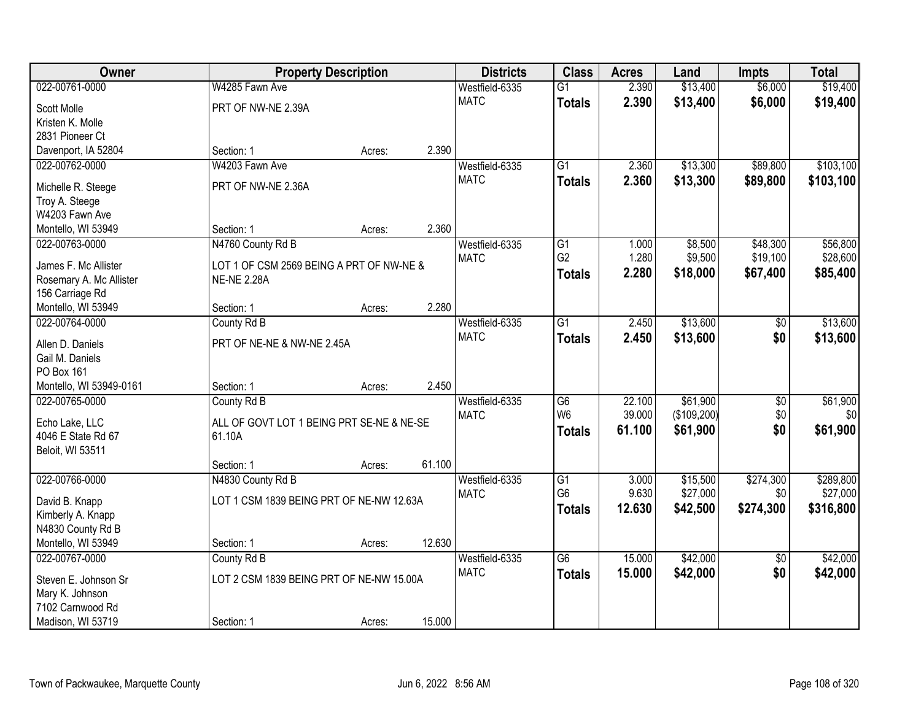| Owner                                |                                           | <b>Property Description</b> |        | <b>Districts</b> | <b>Class</b>    | <b>Acres</b> | Land        | <b>Impts</b>    | <b>Total</b> |
|--------------------------------------|-------------------------------------------|-----------------------------|--------|------------------|-----------------|--------------|-------------|-----------------|--------------|
| 022-00761-0000                       | W4285 Fawn Ave                            |                             |        | Westfield-6335   | $\overline{G1}$ | 2.390        | \$13,400    | \$6,000         | \$19,400     |
| Scott Molle                          | PRT OF NW-NE 2.39A                        |                             |        | <b>MATC</b>      | <b>Totals</b>   | 2.390        | \$13,400    | \$6,000         | \$19,400     |
| Kristen K. Molle                     |                                           |                             |        |                  |                 |              |             |                 |              |
| 2831 Pioneer Ct                      |                                           |                             |        |                  |                 |              |             |                 |              |
| Davenport, IA 52804                  | Section: 1                                | Acres:                      | 2.390  |                  |                 |              |             |                 |              |
| 022-00762-0000                       | W4203 Fawn Ave                            |                             |        | Westfield-6335   | $\overline{G1}$ | 2.360        | \$13,300    | \$89,800        | \$103,100    |
|                                      | PRT OF NW-NE 2.36A                        |                             |        | <b>MATC</b>      | <b>Totals</b>   | 2.360        | \$13,300    | \$89,800        | \$103,100    |
| Michelle R. Steege<br>Troy A. Steege |                                           |                             |        |                  |                 |              |             |                 |              |
| W4203 Fawn Ave                       |                                           |                             |        |                  |                 |              |             |                 |              |
| Montello, WI 53949                   | Section: 1                                | Acres:                      | 2.360  |                  |                 |              |             |                 |              |
| 022-00763-0000                       | N4760 County Rd B                         |                             |        | Westfield-6335   | G1              | 1.000        | \$8,500     | \$48,300        | \$56,800     |
|                                      |                                           |                             |        | <b>MATC</b>      | G <sub>2</sub>  | 1.280        | \$9,500     | \$19,100        | \$28,600     |
| James F. Mc Allister                 | LOT 1 OF CSM 2569 BEING A PRT OF NW-NE &  |                             |        |                  | <b>Totals</b>   | 2.280        | \$18,000    | \$67,400        | \$85,400     |
| Rosemary A. Mc Allister              | <b>NE-NE 2.28A</b>                        |                             |        |                  |                 |              |             |                 |              |
| 156 Carriage Rd                      |                                           |                             |        |                  |                 |              |             |                 |              |
| Montello, WI 53949                   | Section: 1                                | Acres:                      | 2.280  |                  |                 |              |             |                 |              |
| 022-00764-0000                       | County Rd B                               |                             |        | Westfield-6335   | $\overline{G1}$ | 2.450        | \$13,600    | \$0             | \$13,600     |
| Allen D. Daniels                     | PRT OF NE-NE & NW-NE 2.45A                |                             |        | <b>MATC</b>      | <b>Totals</b>   | 2.450        | \$13,600    | \$0             | \$13,600     |
| Gail M. Daniels                      |                                           |                             |        |                  |                 |              |             |                 |              |
| PO Box 161                           |                                           |                             |        |                  |                 |              |             |                 |              |
| Montello, WI 53949-0161              | Section: 1                                | Acres:                      | 2.450  |                  |                 |              |             |                 |              |
| 022-00765-0000                       | County Rd B                               |                             |        | Westfield-6335   | $\overline{G6}$ | 22.100       | \$61,900    | $\overline{50}$ | \$61,900     |
| Echo Lake, LLC                       | ALL OF GOVT LOT 1 BEING PRT SE-NE & NE-SE |                             |        | <b>MATC</b>      | W <sub>6</sub>  | 39.000       | (\$109,200) | \$0             | \$0          |
| 4046 E State Rd 67                   | 61.10A                                    |                             |        |                  | <b>Totals</b>   | 61.100       | \$61,900    | \$0             | \$61,900     |
| Beloit, WI 53511                     |                                           |                             |        |                  |                 |              |             |                 |              |
|                                      | Section: 1                                | Acres:                      | 61.100 |                  |                 |              |             |                 |              |
| 022-00766-0000                       | N4830 County Rd B                         |                             |        | Westfield-6335   | $\overline{G1}$ | 3.000        | \$15,500    | \$274,300       | \$289,800    |
| David B. Knapp                       | LOT 1 CSM 1839 BEING PRT OF NE-NW 12.63A  |                             |        | <b>MATC</b>      | G <sub>6</sub>  | 9.630        | \$27,000    | \$0             | \$27,000     |
| Kimberly A. Knapp                    |                                           |                             |        |                  | <b>Totals</b>   | 12.630       | \$42,500    | \$274,300       | \$316,800    |
| N4830 County Rd B                    |                                           |                             |        |                  |                 |              |             |                 |              |
| Montello, WI 53949                   | Section: 1                                | Acres:                      | 12.630 |                  |                 |              |             |                 |              |
| 022-00767-0000                       | County Rd B                               |                             |        | Westfield-6335   | $\overline{G6}$ | 15,000       | \$42,000    | $\overline{50}$ | \$42,000     |
|                                      |                                           |                             |        | <b>MATC</b>      | <b>Totals</b>   | 15.000       | \$42,000    | \$0             | \$42,000     |
| Steven E. Johnson Sr                 | LOT 2 CSM 1839 BEING PRT OF NE-NW 15.00A  |                             |        |                  |                 |              |             |                 |              |
| Mary K. Johnson                      |                                           |                             |        |                  |                 |              |             |                 |              |
| 7102 Carnwood Rd                     |                                           |                             |        |                  |                 |              |             |                 |              |
| Madison, WI 53719                    | Section: 1                                | Acres:                      | 15.000 |                  |                 |              |             |                 |              |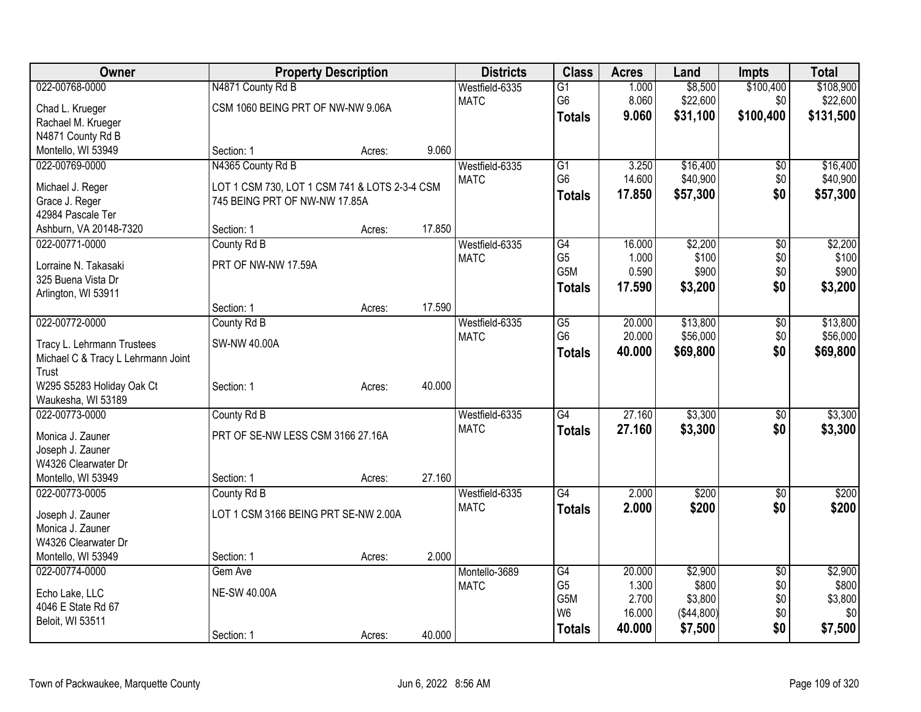| Owner                              |                                               | <b>Property Description</b> |        | <b>Districts</b> | <b>Class</b>    | <b>Acres</b> | Land       | <b>Impts</b>    | <b>Total</b> |
|------------------------------------|-----------------------------------------------|-----------------------------|--------|------------------|-----------------|--------------|------------|-----------------|--------------|
| 022-00768-0000                     | N4871 County Rd B                             |                             |        | Westfield-6335   | G1              | 1.000        | \$8,500    | \$100,400       | \$108,900    |
| Chad L. Krueger                    | CSM 1060 BEING PRT OF NW-NW 9.06A             |                             |        | <b>MATC</b>      | G <sub>6</sub>  | 8.060        | \$22,600   | \$0             | \$22,600     |
| Rachael M. Krueger                 |                                               |                             |        |                  | <b>Totals</b>   | 9.060        | \$31,100   | \$100,400       | \$131,500    |
| N4871 County Rd B                  |                                               |                             |        |                  |                 |              |            |                 |              |
| Montello, WI 53949                 | Section: 1                                    | Acres:                      | 9.060  |                  |                 |              |            |                 |              |
| 022-00769-0000                     | N4365 County Rd B                             |                             |        | Westfield-6335   | $\overline{G1}$ | 3.250        | \$16,400   | $\sqrt{6}$      | \$16,400     |
| Michael J. Reger                   | LOT 1 CSM 730, LOT 1 CSM 741 & LOTS 2-3-4 CSM |                             |        | <b>MATC</b>      | G <sub>6</sub>  | 14.600       | \$40,900   | \$0             | \$40,900     |
| Grace J. Reger                     | 745 BEING PRT OF NW-NW 17.85A                 |                             |        |                  | <b>Totals</b>   | 17.850       | \$57,300   | \$0             | \$57,300     |
| 42984 Pascale Ter                  |                                               |                             |        |                  |                 |              |            |                 |              |
| Ashburn, VA 20148-7320             | Section: 1                                    | Acres:                      | 17.850 |                  |                 |              |            |                 |              |
| 022-00771-0000                     | County Rd B                                   |                             |        | Westfield-6335   | G4              | 16.000       | \$2,200    | \$0             | \$2,200      |
| Lorraine N. Takasaki               | PRT OF NW-NW 17.59A                           |                             |        | <b>MATC</b>      | G <sub>5</sub>  | 1.000        | \$100      | \$0             | \$100        |
| 325 Buena Vista Dr                 |                                               |                             |        |                  | G5M             | 0.590        | \$900      | \$0             | \$900        |
| Arlington, WI 53911                |                                               |                             |        |                  | <b>Totals</b>   | 17.590       | \$3,200    | \$0             | \$3,200      |
|                                    | Section: 1                                    | Acres:                      | 17.590 |                  |                 |              |            |                 |              |
| 022-00772-0000                     | County Rd B                                   |                             |        | Westfield-6335   | $\overline{G5}$ | 20.000       | \$13,800   | $\overline{50}$ | \$13,800     |
| Tracy L. Lehrmann Trustees         | <b>SW-NW 40.00A</b>                           |                             |        | <b>MATC</b>      | G <sub>6</sub>  | 20.000       | \$56,000   | \$0             | \$56,000     |
| Michael C & Tracy L Lehrmann Joint |                                               |                             |        |                  | <b>Totals</b>   | 40.000       | \$69,800   | \$0             | \$69,800     |
| Trust                              |                                               |                             |        |                  |                 |              |            |                 |              |
| W295 S5283 Holiday Oak Ct          | Section: 1                                    | Acres:                      | 40.000 |                  |                 |              |            |                 |              |
| Waukesha, WI 53189                 |                                               |                             |        |                  |                 |              |            |                 |              |
| 022-00773-0000                     | County Rd B                                   |                             |        | Westfield-6335   | G4              | 27.160       | \$3,300    | $\sqrt{6}$      | \$3,300      |
| Monica J. Zauner                   | PRT OF SE-NW LESS CSM 3166 27.16A             |                             |        | <b>MATC</b>      | <b>Totals</b>   | 27.160       | \$3,300    | \$0             | \$3,300      |
| Joseph J. Zauner                   |                                               |                             |        |                  |                 |              |            |                 |              |
| W4326 Clearwater Dr                |                                               |                             |        |                  |                 |              |            |                 |              |
| Montello, WI 53949                 | Section: 1                                    | Acres:                      | 27.160 |                  |                 |              |            |                 |              |
| 022-00773-0005                     | County Rd B                                   |                             |        | Westfield-6335   | $\overline{G4}$ | 2.000        | \$200      | $\overline{50}$ | \$200        |
| Joseph J. Zauner                   | LOT 1 CSM 3166 BEING PRT SE-NW 2.00A          |                             |        | <b>MATC</b>      | <b>Totals</b>   | 2.000        | \$200      | \$0             | \$200        |
| Monica J. Zauner                   |                                               |                             |        |                  |                 |              |            |                 |              |
| W4326 Clearwater Dr                |                                               |                             |        |                  |                 |              |            |                 |              |
| Montello, WI 53949                 | Section: 1                                    | Acres:                      | 2.000  |                  |                 |              |            |                 |              |
| 022-00774-0000                     | Gem Ave                                       |                             |        | Montello-3689    | $\overline{G4}$ | 20.000       | \$2,900    | $\overline{50}$ | \$2,900      |
| Echo Lake, LLC                     | <b>NE-SW 40.00A</b>                           |                             |        | <b>MATC</b>      | G <sub>5</sub>  | 1.300        | \$800      | \$0             | \$800        |
| 4046 E State Rd 67                 |                                               |                             |        |                  | G5M             | 2.700        | \$3,800    | \$0             | \$3,800      |
| Beloit, WI 53511                   |                                               |                             |        |                  | W <sub>6</sub>  | 16.000       | (\$44,800) | \$0             | \$0          |
|                                    | Section: 1                                    | Acres:                      | 40.000 |                  | <b>Totals</b>   | 40.000       | \$7,500    | \$0             | \$7,500      |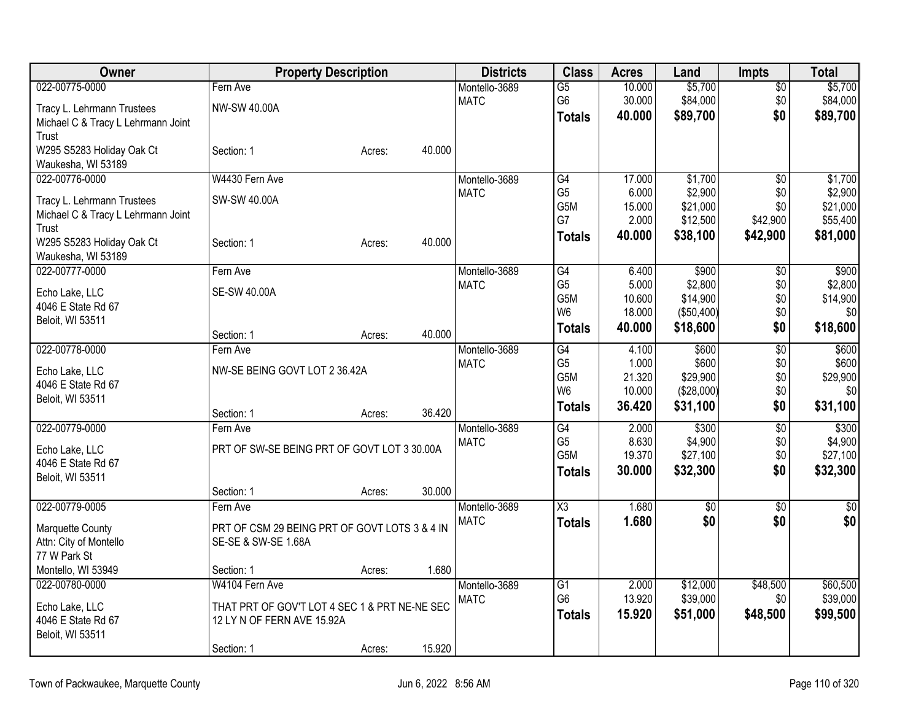| Owner                              | <b>Property Description</b>                   |        |        | <b>Districts</b> | <b>Class</b>           | <b>Acres</b> | Land            | <b>Impts</b>    | <b>Total</b> |
|------------------------------------|-----------------------------------------------|--------|--------|------------------|------------------------|--------------|-----------------|-----------------|--------------|
| 022-00775-0000                     | Fern Ave                                      |        |        | Montello-3689    | $\overline{G5}$        | 10.000       | \$5,700         | $\overline{50}$ | \$5,700      |
| Tracy L. Lehrmann Trustees         | NW-SW 40.00A                                  |        |        | <b>MATC</b>      | G <sub>6</sub>         | 30.000       | \$84,000        | \$0             | \$84,000     |
| Michael C & Tracy L Lehrmann Joint |                                               |        |        |                  | <b>Totals</b>          | 40.000       | \$89,700        | \$0             | \$89,700     |
| Trust                              |                                               |        |        |                  |                        |              |                 |                 |              |
| W295 S5283 Holiday Oak Ct          | Section: 1                                    | Acres: | 40.000 |                  |                        |              |                 |                 |              |
| Waukesha, WI 53189                 |                                               |        |        |                  |                        |              |                 |                 |              |
| 022-00776-0000                     | W4430 Fern Ave                                |        |        | Montello-3689    | $\overline{G4}$        | 17.000       | \$1,700         | $\overline{30}$ | \$1,700      |
| Tracy L. Lehrmann Trustees         | SW-SW 40.00A                                  |        |        | <b>MATC</b>      | G <sub>5</sub>         | 6.000        | \$2,900         | \$0             | \$2,900      |
| Michael C & Tracy L Lehrmann Joint |                                               |        |        |                  | G5M                    | 15.000       | \$21,000        | \$0             | \$21,000     |
| Trust                              |                                               |        |        |                  | G7                     | 2.000        | \$12,500        | \$42,900        | \$55,400     |
| W295 S5283 Holiday Oak Ct          | Section: 1                                    | Acres: | 40.000 |                  | <b>Totals</b>          | 40.000       | \$38,100        | \$42,900        | \$81,000     |
| Waukesha, WI 53189                 |                                               |        |        |                  |                        |              |                 |                 |              |
| 022-00777-0000                     | Fern Ave                                      |        |        | Montello-3689    | G4                     | 6.400        | \$900           | \$0             | \$900        |
| Echo Lake, LLC                     | SE-SW 40.00A                                  |        |        | <b>MATC</b>      | G <sub>5</sub>         | 5.000        | \$2,800         | \$0             | \$2,800      |
| 4046 E State Rd 67                 |                                               |        |        |                  | G5M                    | 10.600       | \$14,900        | \$0             | \$14,900     |
| Beloit, WI 53511                   |                                               |        |        |                  | W <sub>6</sub>         | 18.000       | (\$50,400)      | \$0             | 30           |
|                                    | Section: 1                                    | Acres: | 40.000 |                  | <b>Totals</b>          | 40.000       | \$18,600        | \$0             | \$18,600     |
| 022-00778-0000                     | Fern Ave                                      |        |        | Montello-3689    | G4                     | 4.100        | \$600           | $\overline{50}$ | \$600        |
| Echo Lake, LLC                     | NW-SE BEING GOVT LOT 2 36.42A                 |        |        | <b>MATC</b>      | G <sub>5</sub>         | 1.000        | \$600           | \$0             | \$600        |
| 4046 E State Rd 67                 |                                               |        |        |                  | G5M                    | 21.320       | \$29,900        | \$0             | \$29,900     |
| Beloit, WI 53511                   |                                               |        |        |                  | W <sub>6</sub>         | 10.000       | (\$28,000)      | \$0             | \$0          |
|                                    | Section: 1                                    | Acres: | 36.420 |                  | <b>Totals</b>          | 36.420       | \$31,100        | \$0             | \$31,100     |
| 022-00779-0000                     | Fern Ave                                      |        |        | Montello-3689    | G4                     | 2.000        | \$300           | $\overline{60}$ | \$300        |
| Echo Lake, LLC                     | PRT OF SW-SE BEING PRT OF GOVT LOT 3 30.00A   |        |        | <b>MATC</b>      | G <sub>5</sub>         | 8.630        | \$4,900         | \$0             | \$4,900      |
| 4046 E State Rd 67                 |                                               |        |        |                  | G <sub>5</sub> M       | 19.370       | \$27,100        | \$0             | \$27,100     |
| Beloit, WI 53511                   |                                               |        |        |                  | <b>Totals</b>          | 30.000       | \$32,300        | \$0             | \$32,300     |
|                                    | Section: 1                                    | Acres: | 30.000 |                  |                        |              |                 |                 |              |
| 022-00779-0005                     | Fern Ave                                      |        |        | Montello-3689    | $\overline{\text{X3}}$ | 1.680        | $\overline{50}$ | $\overline{50}$ | $\sqrt{50}$  |
| Marquette County                   | PRT OF CSM 29 BEING PRT OF GOVT LOTS 3 & 4 IN |        |        | <b>MATC</b>      | <b>Totals</b>          | 1.680        | \$0             | \$0             | \$0          |
| Attn: City of Montello             | SE-SE & SW-SE 1.68A                           |        |        |                  |                        |              |                 |                 |              |
| 77 W Park St                       |                                               |        |        |                  |                        |              |                 |                 |              |
| Montello, WI 53949                 | Section: 1                                    | Acres: | 1.680  |                  |                        |              |                 |                 |              |
| 022-00780-0000                     | W4104 Fern Ave                                |        |        | Montello-3689    | G1                     | 2.000        | \$12,000        | \$48,500        | \$60,500     |
| Echo Lake, LLC                     | THAT PRT OF GOV'T LOT 4 SEC 1 & PRT NE-NE SEC |        |        | <b>MATC</b>      | G <sub>6</sub>         | 13.920       | \$39,000        | \$0             | \$39,000     |
| 4046 E State Rd 67                 | 12 LY N OF FERN AVE 15.92A                    |        |        |                  | <b>Totals</b>          | 15.920       | \$51,000        | \$48,500        | \$99,500     |
| Beloit, WI 53511                   |                                               |        |        |                  |                        |              |                 |                 |              |
|                                    | Section: 1                                    | Acres: | 15.920 |                  |                        |              |                 |                 |              |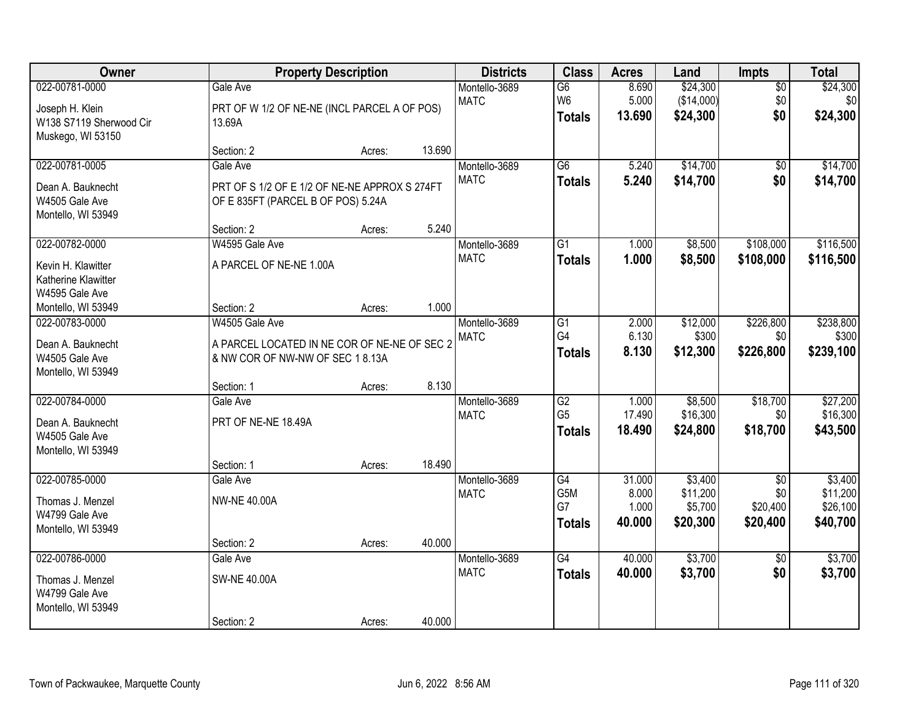| Owner                                                                             |                                                                                                   | <b>Property Description</b> |        | <b>Districts</b>             | <b>Class</b>                                       | <b>Acres</b>                       | Land                                       | Impts                                          | <b>Total</b>                                |
|-----------------------------------------------------------------------------------|---------------------------------------------------------------------------------------------------|-----------------------------|--------|------------------------------|----------------------------------------------------|------------------------------------|--------------------------------------------|------------------------------------------------|---------------------------------------------|
| 022-00781-0000<br>Joseph H. Klein<br>W138 S7119 Sherwood Cir<br>Muskego, WI 53150 | Gale Ave<br>PRT OF W 1/2 OF NE-NE (INCL PARCEL A OF POS)<br>13.69A                                |                             |        | Montello-3689<br><b>MATC</b> | $\overline{G6}$<br>W <sub>6</sub><br><b>Totals</b> | 8.690<br>5.000<br>13.690           | \$24,300<br>(\$14,000)<br>\$24,300         | $\overline{50}$<br>\$0<br>\$0                  | \$24,300<br>\$0<br>\$24,300                 |
|                                                                                   | Section: 2                                                                                        | Acres:                      | 13.690 |                              |                                                    |                                    |                                            |                                                |                                             |
| 022-00781-0005<br>Dean A. Bauknecht<br>W4505 Gale Ave<br>Montello, WI 53949       | Gale Ave<br>PRT OF S 1/2 OF E 1/2 OF NE-NE APPROX S 274FT<br>OF E 835FT (PARCEL B OF POS) 5.24A   |                             |        | Montello-3689<br><b>MATC</b> | $\overline{G6}$<br><b>Totals</b>                   | 5.240<br>5.240                     | \$14,700<br>\$14,700                       | $\overline{50}$<br>\$0                         | \$14,700<br>\$14,700                        |
|                                                                                   | Section: 2                                                                                        | Acres:                      | 5.240  |                              |                                                    |                                    |                                            |                                                |                                             |
| 022-00782-0000<br>Kevin H. Klawitter<br>Katherine Klawitter<br>W4595 Gale Ave     | W4595 Gale Ave<br>A PARCEL OF NE-NE 1.00A                                                         |                             |        | Montello-3689<br><b>MATC</b> | G1<br><b>Totals</b>                                | 1.000<br>1.000                     | \$8,500<br>\$8,500                         | \$108,000<br>\$108,000                         | \$116,500<br>\$116,500                      |
| Montello, WI 53949                                                                | Section: 2                                                                                        | Acres:                      | 1.000  |                              |                                                    |                                    |                                            |                                                |                                             |
| 022-00783-0000<br>Dean A. Bauknecht<br>W4505 Gale Ave<br>Montello, WI 53949       | W4505 Gale Ave<br>A PARCEL LOCATED IN NE COR OF NE-NE OF SEC 2<br>& NW COR OF NW-NW OF SEC 18.13A |                             |        | Montello-3689<br><b>MATC</b> | G1<br>G4<br><b>Totals</b>                          | 2.000<br>6.130<br>8.130            | \$12,000<br>\$300<br>\$12,300              | \$226,800<br>\$0<br>\$226,800                  | \$238,800<br>\$300<br>\$239,100             |
|                                                                                   | Section: 1                                                                                        | Acres:                      | 8.130  |                              |                                                    |                                    |                                            |                                                |                                             |
| 022-00784-0000<br>Dean A. Bauknecht<br>W4505 Gale Ave<br>Montello, WI 53949       | Gale Ave<br>PRT OF NE-NE 18.49A<br>Section: 1                                                     | Acres:                      | 18.490 | Montello-3689<br><b>MATC</b> | $\overline{G2}$<br>G <sub>5</sub><br><b>Totals</b> | 1.000<br>17.490<br>18.490          | \$8,500<br>\$16,300<br>\$24,800            | \$18,700<br>\$0<br>\$18,700                    | \$27,200<br>\$16,300<br>\$43,500            |
| 022-00785-0000<br>Thomas J. Menzel<br>W4799 Gale Ave<br>Montello, WI 53949        | Gale Ave<br><b>NW-NE 40.00A</b><br>Section: 2                                                     | Acres:                      | 40.000 | Montello-3689<br><b>MATC</b> | $\overline{G4}$<br>G5M<br>G7<br><b>Totals</b>      | 31.000<br>8.000<br>1.000<br>40.000 | \$3,400<br>\$11,200<br>\$5,700<br>\$20,300 | $\overline{50}$<br>\$0<br>\$20,400<br>\$20,400 | \$3,400<br>\$11,200<br>\$26,100<br>\$40,700 |
| 022-00786-0000<br>Thomas J. Menzel<br>W4799 Gale Ave<br>Montello, WI 53949        | Gale Ave<br><b>SW-NE 40.00A</b><br>Section: 2                                                     | Acres:                      | 40.000 | Montello-3689<br><b>MATC</b> | $\overline{G4}$<br><b>Totals</b>                   | 40.000<br>40.000                   | \$3,700<br>\$3,700                         | $\overline{50}$<br>\$0                         | \$3,700<br>\$3,700                          |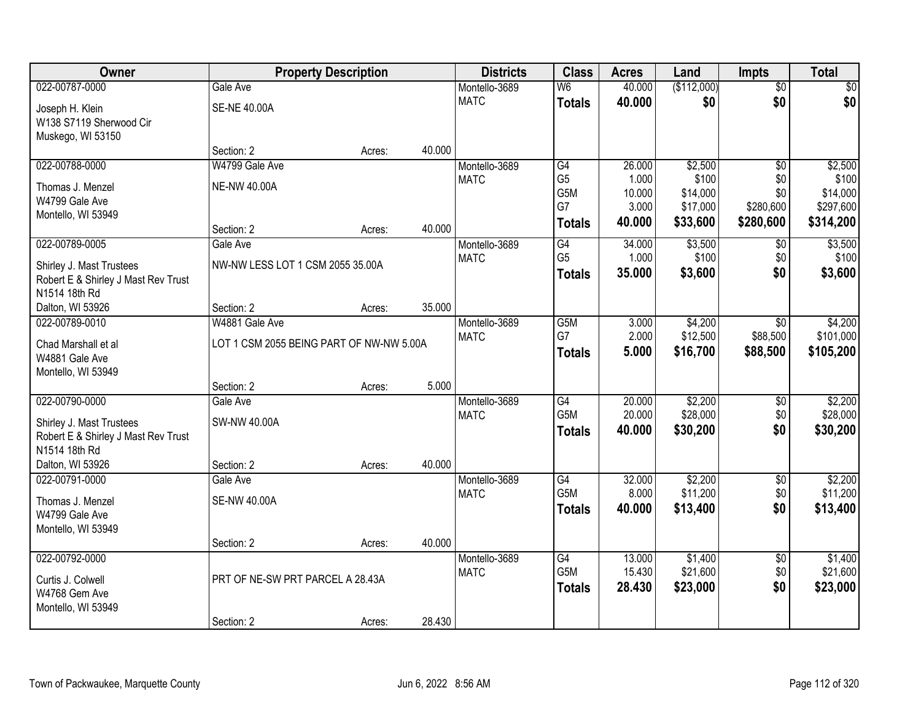| <b>Owner</b>                        |                                          | <b>Property Description</b> |        | <b>Districts</b> | <b>Class</b>     | <b>Acres</b>     | Land                 | <b>Impts</b>           | <b>Total</b>          |
|-------------------------------------|------------------------------------------|-----------------------------|--------|------------------|------------------|------------------|----------------------|------------------------|-----------------------|
| 022-00787-0000                      | Gale Ave                                 |                             |        | Montello-3689    | W <sub>6</sub>   | 40.000           | (\$112,000)          | $\overline{50}$        | \$0                   |
| Joseph H. Klein                     | <b>SE-NE 40.00A</b>                      |                             |        | <b>MATC</b>      | <b>Totals</b>    | 40.000           | \$0                  | \$0                    | \$0                   |
| W138 S7119 Sherwood Cir             |                                          |                             |        |                  |                  |                  |                      |                        |                       |
| Muskego, WI 53150                   |                                          |                             |        |                  |                  |                  |                      |                        |                       |
|                                     | Section: 2                               | Acres:                      | 40.000 |                  |                  |                  |                      |                        |                       |
| 022-00788-0000                      | W4799 Gale Ave                           |                             |        | Montello-3689    | G4               | 26.000           | \$2,500              | $\overline{50}$        | \$2,500               |
| Thomas J. Menzel                    | <b>NE-NW 40.00A</b>                      |                             |        | <b>MATC</b>      | G <sub>5</sub>   | 1.000            | \$100                | \$0                    | \$100                 |
| W4799 Gale Ave                      |                                          |                             |        |                  | G5M<br>G7        | 10.000<br>3.000  | \$14,000<br>\$17,000 | \$0<br>\$280,600       | \$14,000<br>\$297,600 |
| Montello, WI 53949                  |                                          |                             |        |                  |                  | 40.000           | \$33,600             | \$280,600              | \$314,200             |
|                                     | Section: 2                               | Acres:                      | 40.000 |                  | <b>Totals</b>    |                  |                      |                        |                       |
| 022-00789-0005                      | Gale Ave                                 |                             |        | Montello-3689    | G4               | 34.000           | \$3,500              | \$0                    | \$3,500               |
| Shirley J. Mast Trustees            | NW-NW LESS LOT 1 CSM 2055 35.00A         |                             |        | <b>MATC</b>      | G <sub>5</sub>   | 1.000            | \$100                | \$0                    | \$100                 |
| Robert E & Shirley J Mast Rev Trust |                                          |                             |        |                  | <b>Totals</b>    | 35.000           | \$3,600              | \$0                    | \$3,600               |
| N1514 18th Rd                       |                                          |                             |        |                  |                  |                  |                      |                        |                       |
| Dalton, WI 53926                    | Section: 2                               | Acres:                      | 35.000 |                  |                  |                  |                      |                        |                       |
| 022-00789-0010                      | W4881 Gale Ave                           |                             |        | Montello-3689    | G <sub>5</sub> M | 3.000            | \$4,200              | $\sqrt{6}$             | \$4,200               |
| Chad Marshall et al                 | LOT 1 CSM 2055 BEING PART OF NW-NW 5.00A |                             |        | <b>MATC</b>      | G7               | 2.000            | \$12,500             | \$88,500               | \$101,000             |
| W4881 Gale Ave                      |                                          |                             |        |                  | <b>Totals</b>    | 5.000            | \$16,700             | \$88,500               | \$105,200             |
| Montello, WI 53949                  |                                          |                             |        |                  |                  |                  |                      |                        |                       |
|                                     | Section: 2                               | Acres:                      | 5.000  |                  |                  |                  |                      |                        |                       |
| 022-00790-0000                      | Gale Ave                                 |                             |        | Montello-3689    | $\overline{G4}$  | 20.000           | \$2,200              | \$0                    | \$2,200               |
| Shirley J. Mast Trustees            | <b>SW-NW 40.00A</b>                      |                             |        | <b>MATC</b>      | G <sub>5</sub> M | 20.000           | \$28,000             | \$0                    | \$28,000              |
| Robert E & Shirley J Mast Rev Trust |                                          |                             |        |                  | <b>Totals</b>    | 40.000           | \$30,200             | \$0                    | \$30,200              |
| N1514 18th Rd                       |                                          |                             |        |                  |                  |                  |                      |                        |                       |
| Dalton, WI 53926                    | Section: 2                               | Acres:                      | 40.000 |                  |                  |                  |                      |                        |                       |
| 022-00791-0000                      | Gale Ave                                 |                             |        | Montello-3689    | G4<br>G5M        | 32.000           | \$2,200              | $\sqrt{$0}$            | \$2,200               |
| Thomas J. Menzel                    | <b>SE-NW 40.00A</b>                      |                             |        | <b>MATC</b>      |                  | 8.000<br>40.000  | \$11,200<br>\$13,400 | \$0<br>\$0             | \$11,200<br>\$13,400  |
| W4799 Gale Ave                      |                                          |                             |        |                  | <b>Totals</b>    |                  |                      |                        |                       |
| Montello, WI 53949                  |                                          |                             |        |                  |                  |                  |                      |                        |                       |
|                                     | Section: 2                               | Acres:                      | 40.000 |                  |                  |                  |                      |                        |                       |
| 022-00792-0000                      |                                          |                             |        | Montello-3689    | G4<br>G5M        | 13.000<br>15.430 | \$1,400<br>\$21,600  | $\overline{50}$<br>\$0 | \$1,400<br>\$21,600   |
| Curtis J. Colwell                   | PRT OF NE-SW PRT PARCEL A 28.43A         |                             |        | <b>MATC</b>      |                  | 28.430           |                      | \$0                    |                       |
| W4768 Gem Ave                       |                                          |                             |        |                  | <b>Totals</b>    |                  | \$23,000             |                        | \$23,000              |
| Montello, WI 53949                  |                                          |                             |        |                  |                  |                  |                      |                        |                       |
|                                     | Section: 2                               | Acres:                      | 28.430 |                  |                  |                  |                      |                        |                       |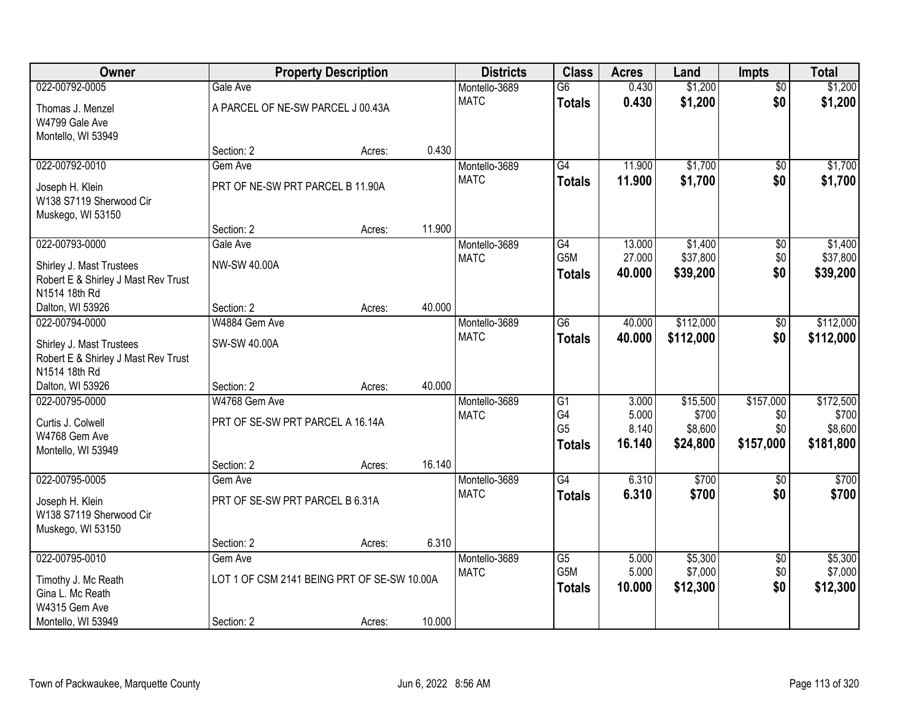| Owner                               |                                             | <b>Property Description</b> |        | <b>Districts</b> | <b>Class</b>    | <b>Acres</b> | Land      | <b>Impts</b>    | <b>Total</b> |
|-------------------------------------|---------------------------------------------|-----------------------------|--------|------------------|-----------------|--------------|-----------|-----------------|--------------|
| 022-00792-0005                      | Gale Ave                                    |                             |        | Montello-3689    | $\overline{G6}$ | 0.430        | \$1,200   | $\overline{50}$ | \$1,200      |
| Thomas J. Menzel                    | A PARCEL OF NE-SW PARCEL J 00.43A           |                             |        | <b>MATC</b>      | <b>Totals</b>   | 0.430        | \$1,200   | \$0             | \$1,200      |
| W4799 Gale Ave                      |                                             |                             |        |                  |                 |              |           |                 |              |
| Montello, WI 53949                  |                                             |                             |        |                  |                 |              |           |                 |              |
|                                     | Section: 2                                  | Acres:                      | 0.430  |                  |                 |              |           |                 |              |
| 022-00792-0010                      | Gem Ave                                     |                             |        | Montello-3689    | $\overline{G4}$ | 11.900       | \$1,700   | $\overline{50}$ | \$1,700      |
| Joseph H. Klein                     | PRT OF NE-SW PRT PARCEL B 11.90A            |                             |        | <b>MATC</b>      | <b>Totals</b>   | 11.900       | \$1,700   | \$0             | \$1,700      |
| W138 S7119 Sherwood Cir             |                                             |                             |        |                  |                 |              |           |                 |              |
| Muskego, WI 53150                   |                                             |                             |        |                  |                 |              |           |                 |              |
|                                     | Section: 2                                  | Acres:                      | 11.900 |                  |                 |              |           |                 |              |
| 022-00793-0000                      | Gale Ave                                    |                             |        | Montello-3689    | $\overline{G4}$ | 13.000       | \$1,400   | \$0             | \$1,400      |
| Shirley J. Mast Trustees            | NW-SW 40.00A                                |                             |        | <b>MATC</b>      | G5M             | 27.000       | \$37,800  | \$0             | \$37,800     |
| Robert E & Shirley J Mast Rev Trust |                                             |                             |        |                  | <b>Totals</b>   | 40.000       | \$39,200  | \$0             | \$39,200     |
| N1514 18th Rd                       |                                             |                             |        |                  |                 |              |           |                 |              |
| Dalton, WI 53926                    | Section: 2                                  | Acres:                      | 40.000 |                  |                 |              |           |                 |              |
| 022-00794-0000                      | W4884 Gem Ave                               |                             |        | Montello-3689    | $\overline{G6}$ | 40.000       | \$112,000 | $\sqrt[6]{3}$   | \$112,000    |
| Shirley J. Mast Trustees            | SW-SW 40.00A                                |                             |        | <b>MATC</b>      | <b>Totals</b>   | 40.000       | \$112,000 | \$0             | \$112,000    |
| Robert E & Shirley J Mast Rev Trust |                                             |                             |        |                  |                 |              |           |                 |              |
| N1514 18th Rd                       |                                             |                             |        |                  |                 |              |           |                 |              |
| Dalton, WI 53926                    | Section: 2                                  | Acres:                      | 40.000 |                  |                 |              |           |                 |              |
| 022-00795-0000                      | W4768 Gem Ave                               |                             |        | Montello-3689    | $\overline{G1}$ | 3.000        | \$15,500  | \$157,000       | \$172,500    |
| Curtis J. Colwell                   | PRT OF SE-SW PRT PARCEL A 16.14A            |                             |        | <b>MATC</b>      | G4              | 5.000        | \$700     | \$0             | \$700        |
| W4768 Gem Ave                       |                                             |                             |        |                  | G <sub>5</sub>  | 8.140        | \$8,600   | \$0             | \$8,600      |
| Montello, WI 53949                  |                                             |                             |        |                  | <b>Totals</b>   | 16.140       | \$24,800  | \$157,000       | \$181,800    |
|                                     | Section: 2                                  | Acres:                      | 16.140 |                  |                 |              |           |                 |              |
| 022-00795-0005                      | Gem Ave                                     |                             |        | Montello-3689    | $\overline{G4}$ | 6.310        | \$700     | \$0             | \$700        |
| Joseph H. Klein                     | PRT OF SE-SW PRT PARCEL B 6.31A             |                             |        | <b>MATC</b>      | <b>Totals</b>   | 6.310        | \$700     | \$0             | \$700        |
| W138 S7119 Sherwood Cir             |                                             |                             |        |                  |                 |              |           |                 |              |
| Muskego, WI 53150                   |                                             |                             |        |                  |                 |              |           |                 |              |
|                                     | Section: 2                                  | Acres:                      | 6.310  |                  |                 |              |           |                 |              |
| 022-00795-0010                      | Gem Ave                                     |                             |        | Montello-3689    | $\overline{G5}$ | 5.000        | \$5,300   | $\overline{30}$ | \$5,300      |
| Timothy J. Mc Reath                 | LOT 1 OF CSM 2141 BEING PRT OF SE-SW 10.00A |                             |        | <b>MATC</b>      | G5M             | 5.000        | \$7,000   | \$0             | \$7,000      |
| Gina L. Mc Reath                    |                                             |                             |        |                  | <b>Totals</b>   | 10.000       | \$12,300  | \$0             | \$12,300     |
| W4315 Gem Ave                       |                                             |                             |        |                  |                 |              |           |                 |              |
| Montello, WI 53949                  | Section: 2                                  | Acres:                      | 10.000 |                  |                 |              |           |                 |              |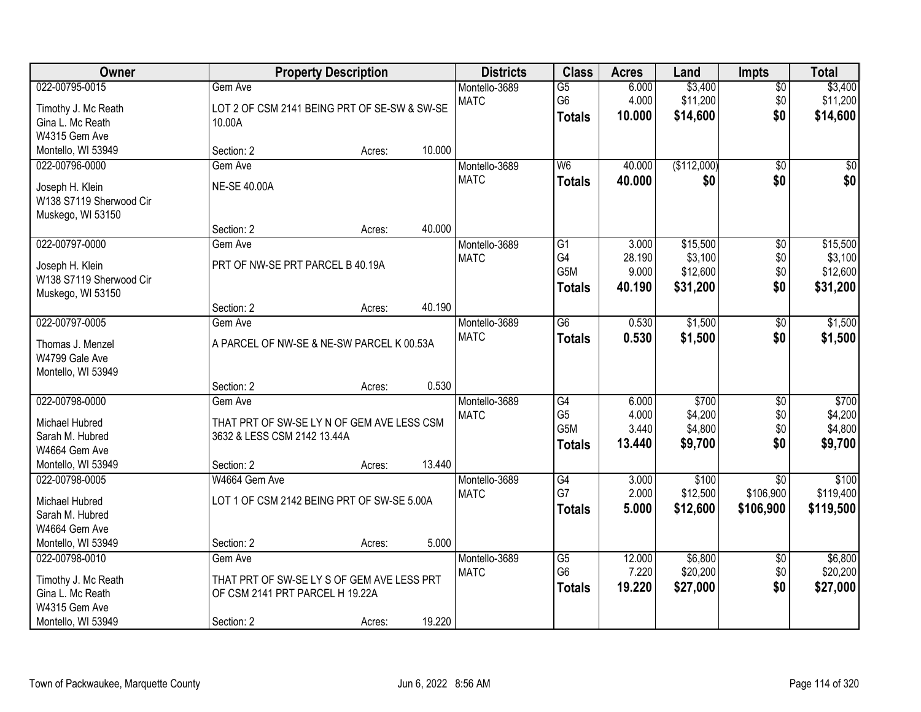| Owner                            |                                                                           | <b>Property Description</b> |        | <b>Districts</b>             | <b>Class</b>                      | <b>Acres</b>   | Land                | <b>Impts</b>           | <b>Total</b>        |
|----------------------------------|---------------------------------------------------------------------------|-----------------------------|--------|------------------------------|-----------------------------------|----------------|---------------------|------------------------|---------------------|
| 022-00795-0015                   | Gem Ave                                                                   |                             |        | Montello-3689<br><b>MATC</b> | $\overline{G5}$<br>G <sub>6</sub> | 6.000<br>4.000 | \$3,400<br>\$11,200 | $\overline{50}$<br>\$0 | \$3,400<br>\$11,200 |
| Timothy J. Mc Reath              | LOT 2 OF CSM 2141 BEING PRT OF SE-SW & SW-SE                              |                             |        |                              | <b>Totals</b>                     | 10.000         | \$14,600            | \$0                    | \$14,600            |
| Gina L. Mc Reath                 | 10.00A                                                                    |                             |        |                              |                                   |                |                     |                        |                     |
| W4315 Gem Ave                    |                                                                           |                             |        |                              |                                   |                |                     |                        |                     |
| Montello, WI 53949               | Section: 2                                                                | Acres:                      | 10.000 |                              |                                   |                |                     |                        |                     |
| 022-00796-0000                   | Gem Ave                                                                   |                             |        | Montello-3689                | W <sub>6</sub>                    | 40.000         | (\$112,000)         | $\overline{50}$        | $\sqrt{50}$         |
| Joseph H. Klein                  | <b>NE-SE 40.00A</b>                                                       |                             |        | <b>MATC</b>                  | <b>Totals</b>                     | 40.000         | \$0                 | \$0                    | \$0                 |
| W138 S7119 Sherwood Cir          |                                                                           |                             |        |                              |                                   |                |                     |                        |                     |
| Muskego, WI 53150                |                                                                           |                             |        |                              |                                   |                |                     |                        |                     |
|                                  | Section: 2                                                                | Acres:                      | 40.000 |                              |                                   |                |                     |                        |                     |
| 022-00797-0000                   | Gem Ave                                                                   |                             |        | Montello-3689                | $\overline{G1}$                   | 3.000          | \$15,500            | $\overline{50}$        | \$15,500            |
| Joseph H. Klein                  | PRT OF NW-SE PRT PARCEL B 40.19A                                          |                             |        | <b>MATC</b>                  | G4                                | 28.190         | \$3,100             | \$0                    | \$3,100             |
| W138 S7119 Sherwood Cir          |                                                                           |                             |        |                              | G <sub>5</sub> M                  | 9.000          | \$12,600            | \$0                    | \$12,600            |
| Muskego, WI 53150                |                                                                           |                             |        |                              | <b>Totals</b>                     | 40.190         | \$31,200            | \$0                    | \$31,200            |
|                                  | Section: 2                                                                | Acres:                      | 40.190 |                              |                                   |                |                     |                        |                     |
| 022-00797-0005                   | Gem Ave                                                                   |                             |        | Montello-3689                | $\overline{G6}$                   | 0.530          | \$1,500             | \$0                    | \$1,500             |
| Thomas J. Menzel                 | A PARCEL OF NW-SE & NE-SW PARCEL K 00.53A                                 |                             |        | <b>MATC</b>                  | <b>Totals</b>                     | 0.530          | \$1,500             | \$0                    | \$1,500             |
| W4799 Gale Ave                   |                                                                           |                             |        |                              |                                   |                |                     |                        |                     |
| Montello, WI 53949               |                                                                           |                             |        |                              |                                   |                |                     |                        |                     |
|                                  | Section: 2                                                                | Acres:                      | 0.530  |                              |                                   |                |                     |                        |                     |
| 022-00798-0000                   | Gem Ave                                                                   |                             |        | Montello-3689                | G4                                | 6.000          | \$700               | $\overline{30}$        | \$700               |
| Michael Hubred                   |                                                                           |                             |        | <b>MATC</b>                  | G <sub>5</sub>                    | 4.000          | \$4,200             | \$0                    | \$4,200             |
| Sarah M. Hubred                  | THAT PRT OF SW-SE LY N OF GEM AVE LESS CSM<br>3632 & LESS CSM 2142 13.44A |                             |        |                              | G5M                               | 3.440          | \$4,800             | \$0                    | \$4,800             |
| W4664 Gem Ave                    |                                                                           |                             |        |                              | <b>Totals</b>                     | 13.440         | \$9,700             | \$0                    | \$9,700             |
| Montello, WI 53949               | Section: 2                                                                | Acres:                      | 13.440 |                              |                                   |                |                     |                        |                     |
| 022-00798-0005                   | W4664 Gem Ave                                                             |                             |        | Montello-3689                | G4                                | 3.000          | \$100               | $\overline{50}$        | \$100               |
|                                  |                                                                           |                             |        | <b>MATC</b>                  | G7                                | 2.000          | \$12,500            | \$106,900              | \$119,400           |
| Michael Hubred                   | LOT 1 OF CSM 2142 BEING PRT OF SW-SE 5.00A                                |                             |        |                              | <b>Totals</b>                     | 5.000          | \$12,600            | \$106,900              | \$119,500           |
| Sarah M. Hubred<br>W4664 Gem Ave |                                                                           |                             |        |                              |                                   |                |                     |                        |                     |
| Montello, WI 53949               | Section: 2                                                                | Acres:                      | 5.000  |                              |                                   |                |                     |                        |                     |
| 022-00798-0010                   | Gem Ave                                                                   |                             |        | Montello-3689                | $\overline{G5}$                   | 12.000         | \$6,800             | \$0                    | \$6,800             |
|                                  |                                                                           |                             |        | <b>MATC</b>                  | G <sub>6</sub>                    | 7.220          | \$20,200            | \$0                    | \$20,200            |
| Timothy J. Mc Reath              | THAT PRT OF SW-SE LY S OF GEM AVE LESS PRT                                |                             |        |                              | <b>Totals</b>                     | 19.220         | \$27,000            | \$0                    | \$27,000            |
| Gina L. Mc Reath                 | OF CSM 2141 PRT PARCEL H 19.22A                                           |                             |        |                              |                                   |                |                     |                        |                     |
| W4315 Gem Ave                    |                                                                           |                             |        |                              |                                   |                |                     |                        |                     |
| Montello, WI 53949               | Section: 2                                                                | Acres:                      | 19.220 |                              |                                   |                |                     |                        |                     |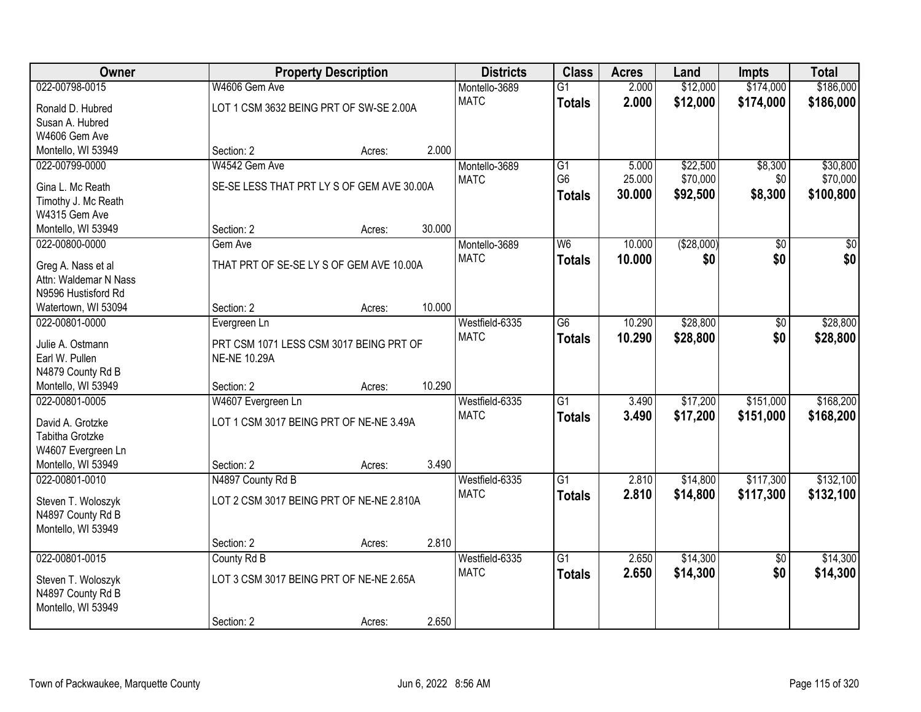| Owner                                   |                                            | <b>Property Description</b> |        | <b>Districts</b>              | <b>Class</b>    | <b>Acres</b> | Land        | <b>Impts</b>    | <b>Total</b> |
|-----------------------------------------|--------------------------------------------|-----------------------------|--------|-------------------------------|-----------------|--------------|-------------|-----------------|--------------|
| 022-00798-0015                          | W4606 Gem Ave                              |                             |        | Montello-3689                 | $\overline{G1}$ | 2.000        | \$12,000    | \$174,000       | \$186,000    |
| Ronald D. Hubred                        | LOT 1 CSM 3632 BEING PRT OF SW-SE 2.00A    |                             |        | <b>MATC</b>                   | <b>Totals</b>   | 2.000        | \$12,000    | \$174,000       | \$186,000    |
| Susan A. Hubred                         |                                            |                             |        |                               |                 |              |             |                 |              |
| W4606 Gem Ave                           |                                            |                             |        |                               |                 |              |             |                 |              |
| Montello, WI 53949                      | Section: 2                                 | Acres:                      | 2.000  |                               |                 |              |             |                 |              |
| 022-00799-0000                          | W4542 Gem Ave                              |                             |        | Montello-3689                 | $\overline{G1}$ | 5.000        | \$22,500    | \$8,300         | \$30,800     |
| Gina L. Mc Reath                        | SE-SE LESS THAT PRT LY S OF GEM AVE 30.00A |                             |        | <b>MATC</b>                   | G <sub>6</sub>  | 25.000       | \$70,000    | \$0             | \$70,000     |
| Timothy J. Mc Reath                     |                                            |                             |        |                               | <b>Totals</b>   | 30.000       | \$92,500    | \$8,300         | \$100,800    |
| W4315 Gem Ave                           |                                            |                             |        |                               |                 |              |             |                 |              |
| Montello, WI 53949                      | Section: 2                                 | Acres:                      | 30.000 |                               |                 |              |             |                 |              |
| 022-00800-0000                          | Gem Ave                                    |                             |        | Montello-3689                 | W <sub>6</sub>  | 10.000       | ( \$28,000) | \$0             | \$0          |
|                                         |                                            |                             |        | <b>MATC</b>                   | <b>Totals</b>   | 10.000       | \$0         | \$0             | \$0          |
| Greg A. Nass et al                      | THAT PRT OF SE-SE LY S OF GEM AVE 10.00A   |                             |        |                               |                 |              |             |                 |              |
| Attn: Waldemar N Nass                   |                                            |                             |        |                               |                 |              |             |                 |              |
| N9596 Hustisford Rd                     |                                            |                             |        |                               |                 |              |             |                 |              |
| Watertown, WI 53094                     | Section: 2                                 | Acres:                      | 10.000 |                               |                 |              |             |                 |              |
| 022-00801-0000                          | Evergreen Ln                               |                             |        | Westfield-6335<br><b>MATC</b> | G <sub>6</sub>  | 10.290       | \$28,800    | \$0             | \$28,800     |
| Julie A. Ostmann                        | PRT CSM 1071 LESS CSM 3017 BEING PRT OF    |                             |        |                               | <b>Totals</b>   | 10.290       | \$28,800    | \$0             | \$28,800     |
| Earl W. Pullen                          | <b>NE-NE 10.29A</b>                        |                             |        |                               |                 |              |             |                 |              |
| N4879 County Rd B                       |                                            |                             |        |                               |                 |              |             |                 |              |
| Montello, WI 53949                      | Section: 2                                 | Acres:                      | 10.290 |                               |                 |              |             |                 |              |
| 022-00801-0005                          | W4607 Evergreen Ln                         |                             |        | Westfield-6335                | $\overline{G1}$ | 3.490        | \$17,200    | \$151,000       | \$168,200    |
| David A. Grotzke                        | LOT 1 CSM 3017 BEING PRT OF NE-NE 3.49A    |                             |        | <b>MATC</b>                   | Totals          | 3.490        | \$17,200    | \$151,000       | \$168,200    |
| Tabitha Grotzke                         |                                            |                             |        |                               |                 |              |             |                 |              |
| W4607 Evergreen Ln                      |                                            |                             |        |                               |                 |              |             |                 |              |
| Montello, WI 53949                      | Section: 2                                 | Acres:                      | 3.490  |                               |                 |              |             |                 |              |
| 022-00801-0010                          | N4897 County Rd B                          |                             |        | Westfield-6335                | $\overline{G1}$ | 2.810        | \$14,800    | \$117,300       | \$132,100    |
|                                         | LOT 2 CSM 3017 BEING PRT OF NE-NE 2.810A   |                             |        | <b>MATC</b>                   | <b>Totals</b>   | 2.810        | \$14,800    | \$117,300       | \$132,100    |
| Steven T. Woloszyk<br>N4897 County Rd B |                                            |                             |        |                               |                 |              |             |                 |              |
| Montello, WI 53949                      |                                            |                             |        |                               |                 |              |             |                 |              |
|                                         | Section: 2                                 | Acres:                      | 2.810  |                               |                 |              |             |                 |              |
| 022-00801-0015                          | County Rd B                                |                             |        | Westfield-6335                | $\overline{G1}$ | 2.650        | \$14,300    | $\overline{50}$ | \$14,300     |
|                                         |                                            |                             |        | <b>MATC</b>                   | <b>Totals</b>   | 2.650        | \$14,300    | \$0             | \$14,300     |
| Steven T. Woloszyk                      | LOT 3 CSM 3017 BEING PRT OF NE-NE 2.65A    |                             |        |                               |                 |              |             |                 |              |
| N4897 County Rd B                       |                                            |                             |        |                               |                 |              |             |                 |              |
| Montello, WI 53949                      |                                            |                             |        |                               |                 |              |             |                 |              |
|                                         | Section: 2                                 | Acres:                      | 2.650  |                               |                 |              |             |                 |              |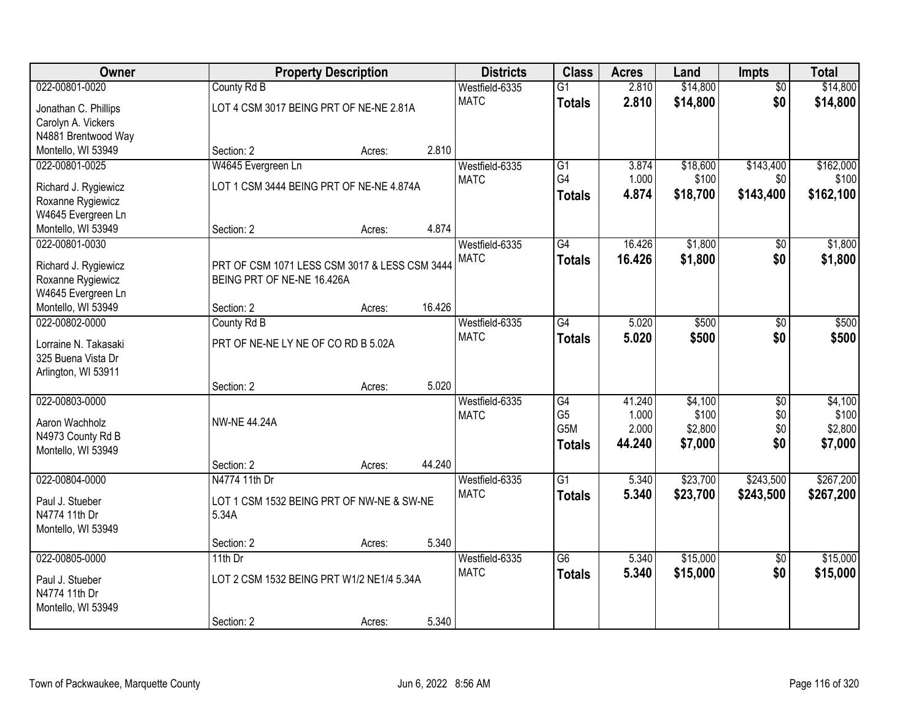| Owner                |                                               | <b>Property Description</b> |        | <b>Districts</b> | <b>Class</b>     | <b>Acres</b> | Land     | <b>Impts</b>    | <b>Total</b> |
|----------------------|-----------------------------------------------|-----------------------------|--------|------------------|------------------|--------------|----------|-----------------|--------------|
| 022-00801-0020       | County Rd B                                   |                             |        | Westfield-6335   | $\overline{G1}$  | 2.810        | \$14,800 | $\overline{50}$ | \$14,800     |
| Jonathan C. Phillips | LOT 4 CSM 3017 BEING PRT OF NE-NE 2.81A       |                             |        | <b>MATC</b>      | <b>Totals</b>    | 2.810        | \$14,800 | \$0             | \$14,800     |
| Carolyn A. Vickers   |                                               |                             |        |                  |                  |              |          |                 |              |
| N4881 Brentwood Way  |                                               |                             |        |                  |                  |              |          |                 |              |
| Montello, WI 53949   | Section: 2                                    | Acres:                      | 2.810  |                  |                  |              |          |                 |              |
| 022-00801-0025       | W4645 Evergreen Ln                            |                             |        | Westfield-6335   | G1               | 3.874        | \$18,600 | \$143,400       | \$162,000    |
| Richard J. Rygiewicz | LOT 1 CSM 3444 BEING PRT OF NE-NE 4.874A      |                             |        | <b>MATC</b>      | G4               | 1.000        | \$100    | \$0             | \$100        |
| Roxanne Rygiewicz    |                                               |                             |        |                  | <b>Totals</b>    | 4.874        | \$18,700 | \$143,400       | \$162,100    |
| W4645 Evergreen Ln   |                                               |                             |        |                  |                  |              |          |                 |              |
| Montello, WI 53949   | Section: 2                                    | Acres:                      | 4.874  |                  |                  |              |          |                 |              |
| 022-00801-0030       |                                               |                             |        | Westfield-6335   | G4               | 16.426       | \$1,800  | \$0             | \$1,800      |
| Richard J. Rygiewicz | PRT OF CSM 1071 LESS CSM 3017 & LESS CSM 3444 |                             |        | <b>MATC</b>      | <b>Totals</b>    | 16.426       | \$1,800  | \$0             | \$1,800      |
| Roxanne Rygiewicz    | BEING PRT OF NE-NE 16.426A                    |                             |        |                  |                  |              |          |                 |              |
| W4645 Evergreen Ln   |                                               |                             |        |                  |                  |              |          |                 |              |
| Montello, WI 53949   | Section: 2                                    | Acres:                      | 16.426 |                  |                  |              |          |                 |              |
| 022-00802-0000       | County Rd B                                   |                             |        | Westfield-6335   | $\overline{G4}$  | 5.020        | \$500    | \$0             | \$500        |
| Lorraine N. Takasaki | PRT OF NE-NE LY NE OF CO RD B 5.02A           |                             |        | <b>MATC</b>      | <b>Totals</b>    | 5.020        | \$500    | \$0             | \$500        |
| 325 Buena Vista Dr   |                                               |                             |        |                  |                  |              |          |                 |              |
| Arlington, WI 53911  |                                               |                             |        |                  |                  |              |          |                 |              |
|                      | Section: 2                                    | Acres:                      | 5.020  |                  |                  |              |          |                 |              |
| 022-00803-0000       |                                               |                             |        | Westfield-6335   | G4               | 41.240       | \$4,100  | \$0             | \$4,100      |
| Aaron Wachholz       | <b>NW-NE 44.24A</b>                           |                             |        | <b>MATC</b>      | G <sub>5</sub>   | 1.000        | \$100    | \$0             | \$100        |
| N4973 County Rd B    |                                               |                             |        |                  | G <sub>5</sub> M | 2.000        | \$2,800  | \$0             | \$2,800      |
| Montello, WI 53949   |                                               |                             |        |                  | <b>Totals</b>    | 44.240       | \$7,000  | \$0             | \$7,000      |
|                      | Section: 2                                    | Acres:                      | 44.240 |                  |                  |              |          |                 |              |
| 022-00804-0000       | N4774 11th Dr                                 |                             |        | Westfield-6335   | $\overline{G1}$  | 5.340        | \$23,700 | \$243,500       | \$267,200    |
| Paul J. Stueber      | LOT 1 CSM 1532 BEING PRT OF NW-NE & SW-NE     |                             |        | <b>MATC</b>      | <b>Totals</b>    | 5.340        | \$23,700 | \$243,500       | \$267,200    |
| N4774 11th Dr        | 5.34A                                         |                             |        |                  |                  |              |          |                 |              |
| Montello, WI 53949   |                                               |                             |        |                  |                  |              |          |                 |              |
|                      | Section: 2                                    | Acres:                      | 5.340  |                  |                  |              |          |                 |              |
| 022-00805-0000       | $11th$ Dr                                     |                             |        | Westfield-6335   | $\overline{G6}$  | 5.340        | \$15,000 | $\overline{50}$ | \$15,000     |
| Paul J. Stueber      | LOT 2 CSM 1532 BEING PRT W1/2 NE1/4 5.34A     |                             |        | <b>MATC</b>      | <b>Totals</b>    | 5.340        | \$15,000 | \$0             | \$15,000     |
| N4774 11th Dr        |                                               |                             |        |                  |                  |              |          |                 |              |
| Montello, WI 53949   |                                               |                             |        |                  |                  |              |          |                 |              |
|                      | Section: 2                                    | Acres:                      | 5.340  |                  |                  |              |          |                 |              |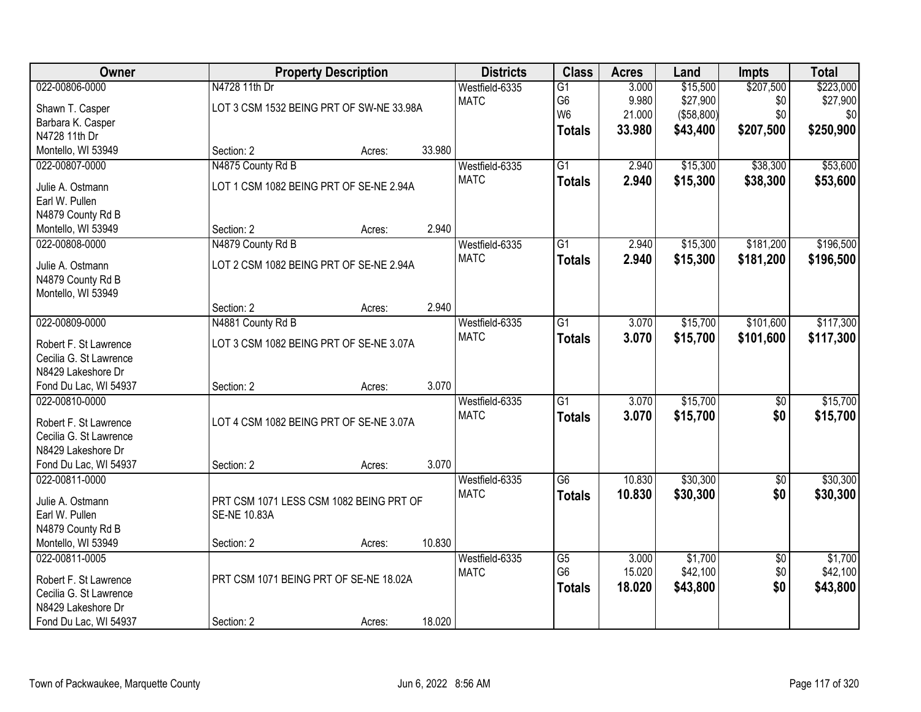| Owner                                        |                                          | <b>Property Description</b> |        |                | <b>Class</b>    | <b>Acres</b> | Land       | <b>Impts</b>    | <b>Total</b> |
|----------------------------------------------|------------------------------------------|-----------------------------|--------|----------------|-----------------|--------------|------------|-----------------|--------------|
| 022-00806-0000                               | N4728 11th Dr                            |                             |        | Westfield-6335 | $\overline{G1}$ | 3.000        | \$15,500   | \$207,500       | \$223,000    |
| Shawn T. Casper                              | LOT 3 CSM 1532 BEING PRT OF SW-NE 33.98A |                             |        | <b>MATC</b>    | G6              | 9.980        | \$27,900   | \$0             | \$27,900     |
| Barbara K. Casper                            |                                          |                             |        |                | W <sub>6</sub>  | 21.000       | (\$58,800) | \$0             | \$0          |
| N4728 11th Dr                                |                                          |                             |        |                | <b>Totals</b>   | 33.980       | \$43,400   | \$207,500       | \$250,900    |
| Montello, WI 53949                           | Section: 2                               | Acres:                      | 33.980 |                |                 |              |            |                 |              |
| 022-00807-0000                               | N4875 County Rd B                        |                             |        | Westfield-6335 | $\overline{G1}$ | 2.940        | \$15,300   | \$38,300        | \$53,600     |
| Julie A. Ostmann                             | LOT 1 CSM 1082 BEING PRT OF SE-NE 2.94A  |                             |        | <b>MATC</b>    | <b>Totals</b>   | 2.940        | \$15,300   | \$38,300        | \$53,600     |
| Earl W. Pullen                               |                                          |                             |        |                |                 |              |            |                 |              |
| N4879 County Rd B                            |                                          |                             |        |                |                 |              |            |                 |              |
| Montello, WI 53949                           | Section: 2                               | Acres:                      | 2.940  |                |                 |              |            |                 |              |
| 022-00808-0000                               | N4879 County Rd B                        |                             |        | Westfield-6335 | $\overline{G1}$ | 2.940        | \$15,300   | \$181,200       | \$196,500    |
|                                              |                                          |                             |        | <b>MATC</b>    | <b>Totals</b>   | 2.940        | \$15,300   | \$181,200       | \$196,500    |
| Julie A. Ostmann                             | LOT 2 CSM 1082 BEING PRT OF SE-NE 2.94A  |                             |        |                |                 |              |            |                 |              |
| N4879 County Rd B                            |                                          |                             |        |                |                 |              |            |                 |              |
| Montello, WI 53949                           | Section: 2                               | Acres:                      | 2.940  |                |                 |              |            |                 |              |
| 022-00809-0000                               | N4881 County Rd B                        |                             |        | Westfield-6335 | $\overline{G1}$ | 3.070        | \$15,700   | \$101,600       | \$117,300    |
|                                              |                                          |                             |        | <b>MATC</b>    |                 | 3.070        | \$15,700   | \$101,600       | \$117,300    |
| Robert F. St Lawrence                        | LOT 3 CSM 1082 BEING PRT OF SE-NE 3.07A  |                             |        |                | <b>Totals</b>   |              |            |                 |              |
| Cecilia G. St Lawrence                       |                                          |                             |        |                |                 |              |            |                 |              |
| N8429 Lakeshore Dr                           |                                          |                             |        |                |                 |              |            |                 |              |
| Fond Du Lac, WI 54937                        | Section: 2                               | Acres:                      | 3.070  |                |                 |              |            |                 |              |
| 022-00810-0000                               |                                          |                             |        | Westfield-6335 | $\overline{G1}$ | 3.070        | \$15,700   | $\overline{50}$ | \$15,700     |
| Robert F. St Lawrence                        | LOT 4 CSM 1082 BEING PRT OF SE-NE 3.07A  |                             |        | <b>MATC</b>    | <b>Totals</b>   | 3.070        | \$15,700   | \$0             | \$15,700     |
| Cecilia G. St Lawrence                       |                                          |                             |        |                |                 |              |            |                 |              |
| N8429 Lakeshore Dr                           |                                          |                             |        |                |                 |              |            |                 |              |
| Fond Du Lac, WI 54937                        | Section: 2                               | Acres:                      | 3.070  |                |                 |              |            |                 |              |
| 022-00811-0000                               |                                          |                             |        | Westfield-6335 | $\overline{G6}$ | 10.830       | \$30,300   | $\sqrt{6}$      | \$30,300     |
| Julie A. Ostmann                             | PRT CSM 1071 LESS CSM 1082 BEING PRT OF  |                             |        | <b>MATC</b>    | <b>Totals</b>   | 10.830       | \$30,300   | \$0             | \$30,300     |
| Earl W. Pullen                               | <b>SE-NE 10.83A</b>                      |                             |        |                |                 |              |            |                 |              |
| N4879 County Rd B                            |                                          |                             |        |                |                 |              |            |                 |              |
| Montello, WI 53949                           | Section: 2                               | Acres:                      | 10.830 |                |                 |              |            |                 |              |
| 022-00811-0005                               |                                          |                             |        | Westfield-6335 | $\overline{G5}$ | 3.000        | \$1,700    | $\overline{50}$ | \$1,700      |
|                                              |                                          |                             |        | <b>MATC</b>    | G <sub>6</sub>  | 15.020       | \$42,100   | \$0             | \$42,100     |
| Robert F. St Lawrence                        | PRT CSM 1071 BEING PRT OF SE-NE 18.02A   |                             |        |                | <b>Totals</b>   | 18.020       | \$43,800   | \$0             | \$43,800     |
| Cecilia G. St Lawrence<br>N8429 Lakeshore Dr |                                          |                             |        |                |                 |              |            |                 |              |
| Fond Du Lac, WI 54937                        | Section: 2                               |                             | 18.020 |                |                 |              |            |                 |              |
|                                              |                                          | Acres:                      |        |                |                 |              |            |                 |              |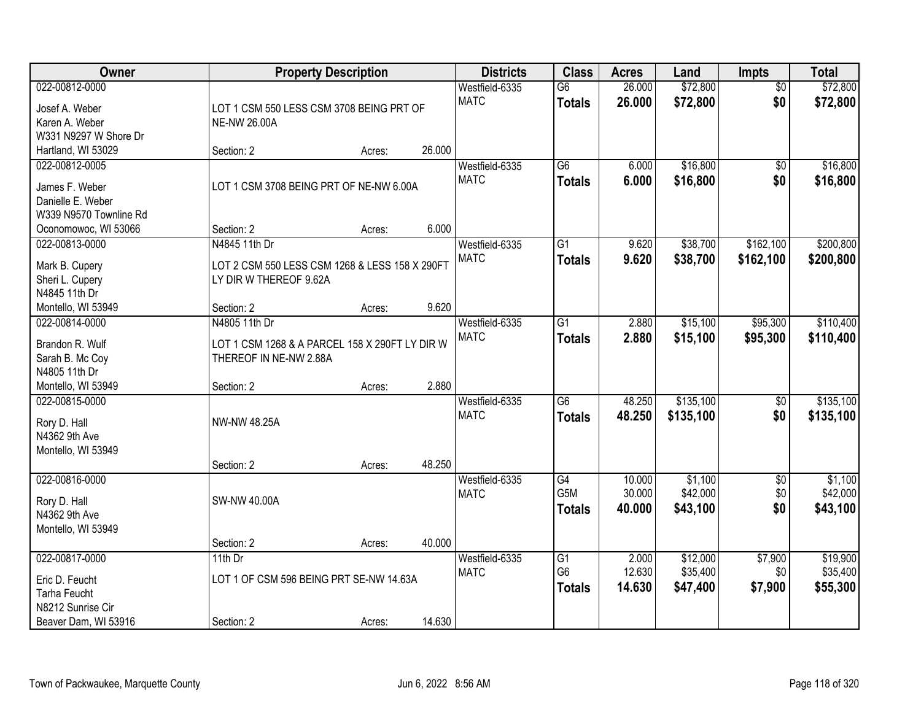| Owner                                                                                                   |                                                                                                         | <b>Property Description</b> |        | <b>Districts</b>              | <b>Class</b>                                       | <b>Acres</b>               | Land                             | Impts                         | <b>Total</b>                     |
|---------------------------------------------------------------------------------------------------------|---------------------------------------------------------------------------------------------------------|-----------------------------|--------|-------------------------------|----------------------------------------------------|----------------------------|----------------------------------|-------------------------------|----------------------------------|
| 022-00812-0000<br>Josef A. Weber<br>Karen A. Weber<br>W331 N9297 W Shore Dr                             | LOT 1 CSM 550 LESS CSM 3708 BEING PRT OF<br><b>NE-NW 26.00A</b>                                         |                             |        | Westfield-6335<br><b>MATC</b> | $\overline{G6}$<br><b>Totals</b>                   | 26.000<br>26.000           | \$72,800<br>\$72,800             | $\overline{50}$<br>\$0        | \$72,800<br>\$72,800             |
| Hartland, WI 53029                                                                                      | Section: 2                                                                                              | Acres:                      | 26.000 |                               |                                                    |                            |                                  |                               |                                  |
| 022-00812-0005<br>James F. Weber<br>Danielle E. Weber<br>W339 N9570 Townline Rd<br>Oconomowoc, WI 53066 | LOT 1 CSM 3708 BEING PRT OF NE-NW 6.00A<br>Section: 2                                                   | Acres:                      | 6.000  | Westfield-6335<br><b>MATC</b> | $\overline{G6}$<br><b>Totals</b>                   | 6.000<br>6.000             | \$16,800<br>\$16,800             | $\overline{50}$<br>\$0        | \$16,800<br>\$16,800             |
| 022-00813-0000<br>Mark B. Cupery<br>Sheri L. Cupery<br>N4845 11th Dr<br>Montello, WI 53949              | N4845 11th Dr<br>LOT 2 CSM 550 LESS CSM 1268 & LESS 158 X 290FT<br>LY DIR W THEREOF 9.62A<br>Section: 2 | Acres:                      | 9.620  | Westfield-6335<br><b>MATC</b> | $\overline{G1}$<br><b>Totals</b>                   | 9.620<br>9.620             | \$38,700<br>\$38,700             | \$162,100<br>\$162,100        | \$200,800<br>\$200,800           |
| 022-00814-0000<br>Brandon R. Wulf<br>Sarah B. Mc Coy<br>N4805 11th Dr<br>Montello, WI 53949             | N4805 11th Dr<br>LOT 1 CSM 1268 & A PARCEL 158 X 290FT LY DIR W<br>THEREOF IN NE-NW 2.88A<br>Section: 2 | Acres:                      | 2.880  | Westfield-6335<br><b>MATC</b> | $\overline{G1}$<br><b>Totals</b>                   | 2.880<br>2.880             | \$15,100<br>\$15,100             | \$95,300<br>\$95,300          | \$110,400<br>\$110,400           |
| 022-00815-0000<br>Rory D. Hall<br>N4362 9th Ave<br>Montello, WI 53949                                   | <b>NW-NW 48.25A</b><br>Section: 2                                                                       | Acres:                      | 48.250 | Westfield-6335<br><b>MATC</b> | $\overline{G6}$<br><b>Totals</b>                   | 48.250<br>48.250           | \$135,100<br>\$135,100           | $\overline{50}$<br>\$0        | \$135,100<br>\$135,100           |
| 022-00816-0000<br>Rory D. Hall<br>N4362 9th Ave<br>Montello, WI 53949                                   | SW-NW 40.00A<br>Section: 2                                                                              | Acres:                      | 40.000 | Westfield-6335<br><b>MATC</b> | G4<br>G5M<br><b>Totals</b>                         | 10.000<br>30.000<br>40.000 | \$1,100<br>\$42,000<br>\$43,100  | $\overline{60}$<br>\$0<br>\$0 | \$1,100<br>\$42,000<br>\$43,100  |
| 022-00817-0000<br>Eric D. Feucht<br><b>Tarha Feucht</b><br>N8212 Sunrise Cir<br>Beaver Dam, WI 53916    | 11th $Dr$<br>LOT 1 OF CSM 596 BEING PRT SE-NW 14.63A<br>Section: 2                                      | Acres:                      | 14.630 | Westfield-6335<br><b>MATC</b> | $\overline{G1}$<br>G <sub>6</sub><br><b>Totals</b> | 2.000<br>12.630<br>14.630  | \$12,000<br>\$35,400<br>\$47,400 | \$7,900<br>\$0<br>\$7,900     | \$19,900<br>\$35,400<br>\$55,300 |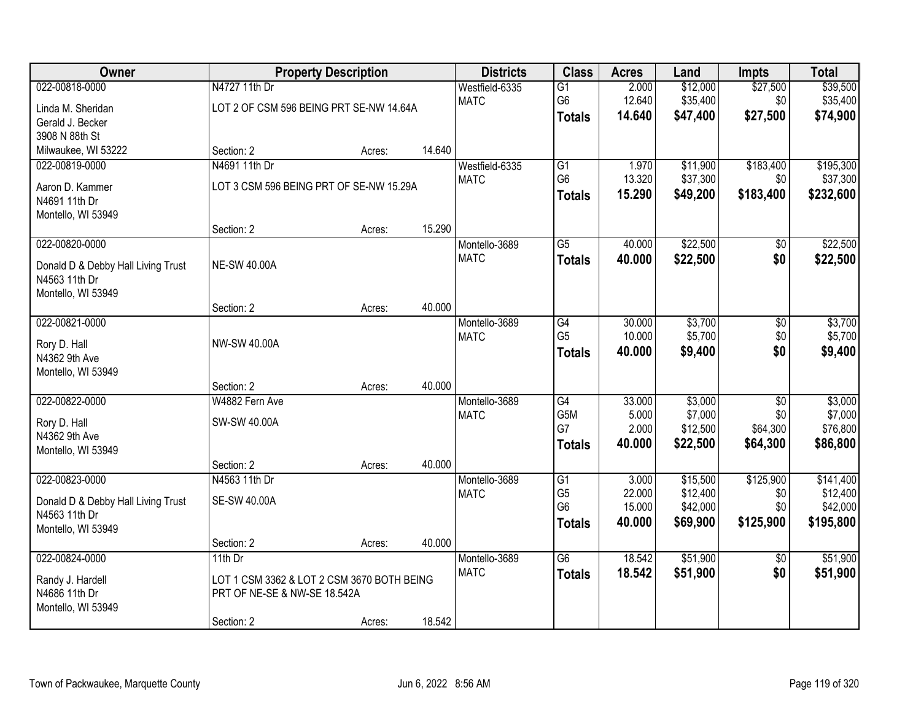| Owner                              |                                            | <b>Property Description</b> |        | <b>Districts</b> | <b>Class</b>    | <b>Acres</b> | Land     | <b>Impts</b>    | <b>Total</b> |
|------------------------------------|--------------------------------------------|-----------------------------|--------|------------------|-----------------|--------------|----------|-----------------|--------------|
| 022-00818-0000                     | N4727 11th Dr                              |                             |        | Westfield-6335   | $\overline{G1}$ | 2.000        | \$12,000 | \$27,500        | \$39,500     |
| Linda M. Sheridan                  | LOT 2 OF CSM 596 BEING PRT SE-NW 14.64A    |                             |        | <b>MATC</b>      | G6              | 12.640       | \$35,400 | \$0             | \$35,400     |
| Gerald J. Becker                   |                                            |                             |        |                  | <b>Totals</b>   | 14.640       | \$47,400 | \$27,500        | \$74,900     |
| 3908 N 88th St                     |                                            |                             |        |                  |                 |              |          |                 |              |
| Milwaukee, WI 53222                | Section: 2                                 | Acres:                      | 14.640 |                  |                 |              |          |                 |              |
| 022-00819-0000                     | N4691 11th Dr                              |                             |        | Westfield-6335   | G1              | 1.970        | \$11,900 | \$183,400       | \$195,300    |
| Aaron D. Kammer                    | LOT 3 CSM 596 BEING PRT OF SE-NW 15.29A    |                             |        | <b>MATC</b>      | G <sub>6</sub>  | 13.320       | \$37,300 | \$0             | \$37,300     |
| N4691 11th Dr                      |                                            |                             |        |                  | <b>Totals</b>   | 15.290       | \$49,200 | \$183,400       | \$232,600    |
| Montello, WI 53949                 |                                            |                             |        |                  |                 |              |          |                 |              |
|                                    | Section: 2                                 | Acres:                      | 15.290 |                  |                 |              |          |                 |              |
| 022-00820-0000                     |                                            |                             |        | Montello-3689    | $\overline{G5}$ | 40.000       | \$22,500 | $\overline{50}$ | \$22,500     |
| Donald D & Debby Hall Living Trust | <b>NE-SW 40.00A</b>                        |                             |        | <b>MATC</b>      | <b>Totals</b>   | 40.000       | \$22,500 | \$0             | \$22,500     |
| N4563 11th Dr                      |                                            |                             |        |                  |                 |              |          |                 |              |
| Montello, WI 53949                 |                                            |                             |        |                  |                 |              |          |                 |              |
|                                    | Section: 2                                 | Acres:                      | 40.000 |                  |                 |              |          |                 |              |
| 022-00821-0000                     |                                            |                             |        | Montello-3689    | G4              | 30.000       | \$3,700  | \$0             | \$3,700      |
| Rory D. Hall                       | <b>NW-SW 40.00A</b>                        |                             |        | <b>MATC</b>      | G <sub>5</sub>  | 10.000       | \$5,700  | \$0             | \$5,700      |
| N4362 9th Ave                      |                                            |                             |        |                  | <b>Totals</b>   | 40.000       | \$9,400  | \$0             | \$9,400      |
| Montello, WI 53949                 |                                            |                             |        |                  |                 |              |          |                 |              |
|                                    | Section: 2                                 | Acres:                      | 40.000 |                  |                 |              |          |                 |              |
| 022-00822-0000                     | W4882 Fern Ave                             |                             |        | Montello-3689    | $\overline{G4}$ | 33.000       | \$3,000  | $\overline{50}$ | \$3,000      |
| Rory D. Hall                       | SW-SW 40.00A                               |                             |        | <b>MATC</b>      | G5M             | 5.000        | \$7,000  | \$0             | \$7,000      |
| N4362 9th Ave                      |                                            |                             |        |                  | G7              | 2.000        | \$12,500 | \$64,300        | \$76,800     |
| Montello, WI 53949                 |                                            |                             |        |                  | <b>Totals</b>   | 40.000       | \$22,500 | \$64,300        | \$86,800     |
|                                    | Section: 2                                 | Acres:                      | 40.000 |                  |                 |              |          |                 |              |
| 022-00823-0000                     | N4563 11th Dr                              |                             |        | Montello-3689    | G1              | 3.000        | \$15,500 | \$125,900       | \$141,400    |
| Donald D & Debby Hall Living Trust | <b>SE-SW 40.00A</b>                        |                             |        | <b>MATC</b>      | G <sub>5</sub>  | 22.000       | \$12,400 | \$0             | \$12,400     |
| N4563 11th Dr                      |                                            |                             |        |                  | G <sub>6</sub>  | 15.000       | \$42,000 | \$0             | \$42,000     |
| Montello, WI 53949                 |                                            |                             |        |                  | <b>Totals</b>   | 40.000       | \$69,900 | \$125,900       | \$195,800    |
|                                    | Section: 2                                 | Acres:                      | 40.000 |                  |                 |              |          |                 |              |
| 022-00824-0000                     | 11th $Dr$                                  |                             |        | Montello-3689    | $\overline{G6}$ | 18.542       | \$51,900 | $\overline{50}$ | \$51,900     |
| Randy J. Hardell                   | LOT 1 CSM 3362 & LOT 2 CSM 3670 BOTH BEING |                             |        | <b>MATC</b>      | <b>Totals</b>   | 18.542       | \$51,900 | \$0             | \$51,900     |
| N4686 11th Dr                      | PRT OF NE-SE & NW-SE 18.542A               |                             |        |                  |                 |              |          |                 |              |
| Montello, WI 53949                 |                                            |                             |        |                  |                 |              |          |                 |              |
|                                    | Section: 2                                 | Acres:                      | 18.542 |                  |                 |              |          |                 |              |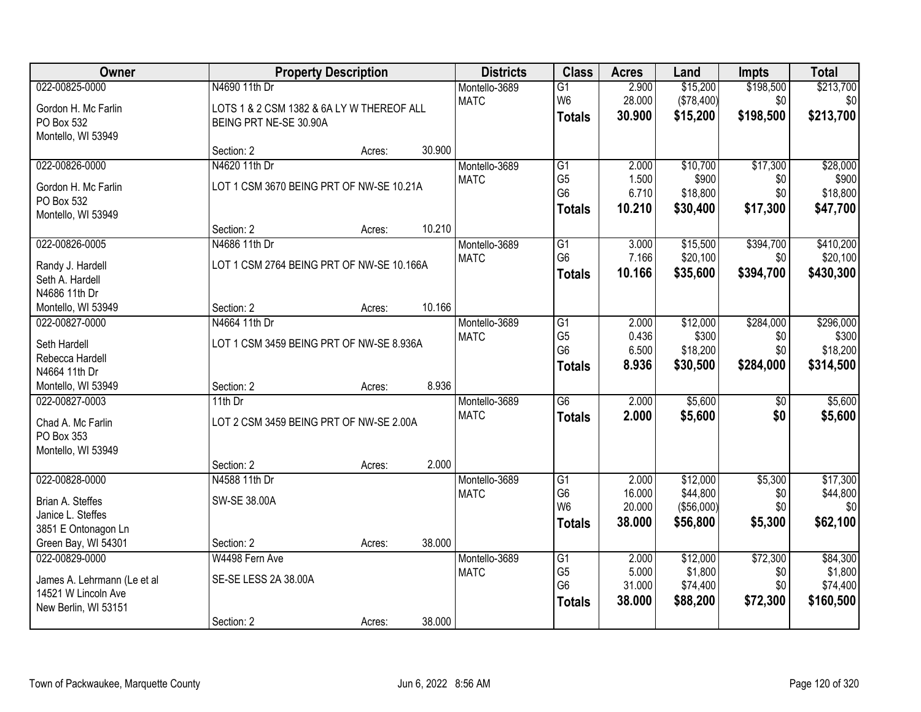| Owner                       |                                           | <b>Property Description</b> |        | <b>Districts</b> | <b>Class</b>                     | <b>Acres</b>     | Land                    | <b>Impts</b>    | <b>Total</b>        |
|-----------------------------|-------------------------------------------|-----------------------------|--------|------------------|----------------------------------|------------------|-------------------------|-----------------|---------------------|
| 022-00825-0000              | N4690 11th Dr                             |                             |        | Montello-3689    | $\overline{G1}$                  | 2.900            | \$15,200                | \$198,500       | \$213,700           |
| Gordon H. Mc Farlin         | LOTS 1 & 2 CSM 1382 & 6A LY W THEREOF ALL |                             |        | <b>MATC</b>      | W <sub>6</sub>                   | 28.000           | (\$78,400)              | \$0             | \$0                 |
| PO Box 532                  | BEING PRT NE-SE 30.90A                    |                             |        |                  | <b>Totals</b>                    | 30.900           | \$15,200                | \$198,500       | \$213,700           |
| Montello, WI 53949          |                                           |                             |        |                  |                                  |                  |                         |                 |                     |
|                             | Section: 2                                | Acres:                      | 30.900 |                  |                                  |                  |                         |                 |                     |
| 022-00826-0000              | N4620 11th Dr                             |                             |        | Montello-3689    | G1                               | 2.000            | \$10,700                | \$17,300        | \$28,000            |
| Gordon H. Mc Farlin         | LOT 1 CSM 3670 BEING PRT OF NW-SE 10.21A  |                             |        | <b>MATC</b>      | G <sub>5</sub><br>G <sub>6</sub> | 1.500<br>6.710   | \$900<br>\$18,800       | \$0<br>\$0      | \$900<br>\$18,800   |
| PO Box 532                  |                                           |                             |        |                  |                                  | 10.210           |                         | \$17,300        |                     |
| Montello, WI 53949          |                                           |                             |        |                  | <b>Totals</b>                    |                  | \$30,400                |                 | \$47,700            |
|                             | Section: 2                                | Acres:                      | 10.210 |                  |                                  |                  |                         |                 |                     |
| 022-00826-0005              | N4686 11th Dr                             |                             |        | Montello-3689    | G1                               | 3.000            | \$15,500                | \$394,700       | \$410,200           |
| Randy J. Hardell            | LOT 1 CSM 2764 BEING PRT OF NW-SE 10.166A |                             |        | <b>MATC</b>      | G <sub>6</sub>                   | 7.166            | \$20,100                | \$0             | \$20,100            |
| Seth A. Hardell             |                                           |                             |        |                  | <b>Totals</b>                    | 10.166           | \$35,600                | \$394,700       | \$430,300           |
| N4686 11th Dr               |                                           |                             |        |                  |                                  |                  |                         |                 |                     |
| Montello, WI 53949          | Section: 2                                | Acres:                      | 10.166 |                  |                                  |                  |                         |                 |                     |
| 022-00827-0000              | N4664 11th Dr                             |                             |        | Montello-3689    | G1                               | 2.000            | \$12,000                | \$284,000       | \$296,000           |
| Seth Hardell                | LOT 1 CSM 3459 BEING PRT OF NW-SE 8.936A  |                             |        | <b>MATC</b>      | G <sub>5</sub>                   | 0.436            | \$300                   | \$0             | \$300               |
| Rebecca Hardell             |                                           |                             |        |                  | G <sub>6</sub>                   | 6.500<br>8.936   | \$18,200                | \$0             | \$18,200            |
| N4664 11th Dr               |                                           |                             |        |                  | <b>Totals</b>                    |                  | \$30,500                | \$284,000       | \$314,500           |
| Montello, WI 53949          | Section: 2                                | Acres:                      | 8.936  |                  |                                  |                  |                         |                 |                     |
| 022-00827-0003              | $11th$ Dr                                 |                             |        | Montello-3689    | $\overline{G6}$                  | 2.000            | \$5,600                 | $\overline{50}$ | \$5,600             |
| Chad A. Mc Farlin           | LOT 2 CSM 3459 BEING PRT OF NW-SE 2.00A   |                             |        | <b>MATC</b>      | <b>Totals</b>                    | 2.000            | \$5,600                 | \$0             | \$5,600             |
| PO Box 353                  |                                           |                             |        |                  |                                  |                  |                         |                 |                     |
| Montello, WI 53949          |                                           |                             |        |                  |                                  |                  |                         |                 |                     |
|                             | Section: 2                                | Acres:                      | 2.000  |                  |                                  |                  |                         |                 |                     |
| 022-00828-0000              | N4588 11th Dr                             |                             |        | Montello-3689    | G1                               | 2.000            | \$12,000                | \$5,300         | \$17,300            |
| Brian A. Steffes            | SW-SE 38.00A                              |                             |        | <b>MATC</b>      | G <sub>6</sub><br>W <sub>6</sub> | 16.000<br>20.000 | \$44,800<br>( \$56,000] | \$0<br>\$0      | \$44,800<br>\$0     |
| Janice L. Steffes           |                                           |                             |        |                  | <b>Totals</b>                    | 38.000           | \$56,800                | \$5,300         | \$62,100            |
| 3851 E Ontonagon Ln         |                                           |                             |        |                  |                                  |                  |                         |                 |                     |
| Green Bay, WI 54301         | Section: 2                                | Acres:                      | 38.000 |                  |                                  |                  |                         |                 |                     |
| 022-00829-0000              | W4498 Fern Ave                            |                             |        | Montello-3689    | G1                               | 2.000            | \$12,000                | \$72,300        | \$84,300            |
| James A. Lehrmann (Le et al | SE-SE LESS 2A 38.00A                      |                             |        | <b>MATC</b>      | G <sub>5</sub><br>G <sub>6</sub> | 5.000<br>31.000  | \$1,800<br>\$74,400     | \$0<br>\$0      | \$1,800<br>\$74,400 |
| 14521 W Lincoln Ave         |                                           |                             |        |                  | <b>Totals</b>                    | 38.000           | \$88,200                | \$72,300        | \$160,500           |
| New Berlin, WI 53151        |                                           |                             |        |                  |                                  |                  |                         |                 |                     |
|                             | Section: 2                                | Acres:                      | 38.000 |                  |                                  |                  |                         |                 |                     |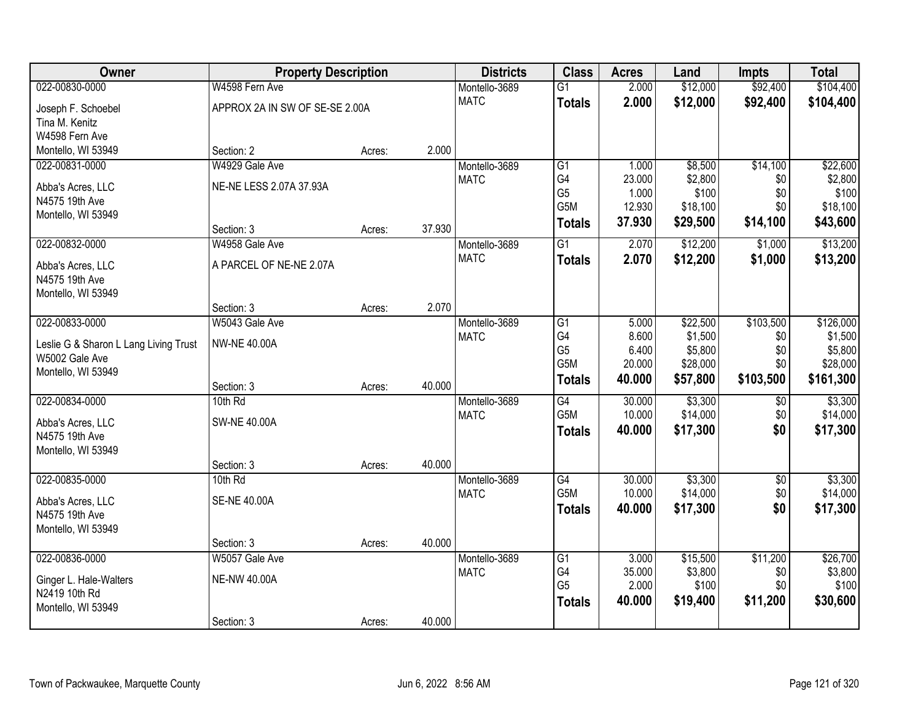| Owner                                 | <b>Property Description</b>    |        |        | <b>Districts</b> | <b>Class</b>     | <b>Acres</b> | Land     | <b>Impts</b> | <b>Total</b> |
|---------------------------------------|--------------------------------|--------|--------|------------------|------------------|--------------|----------|--------------|--------------|
| 022-00830-0000                        | W4598 Fern Ave                 |        |        | Montello-3689    | $\overline{G1}$  | 2.000        | \$12,000 | \$92,400     | \$104,400    |
| Joseph F. Schoebel                    | APPROX 2A IN SW OF SE-SE 2.00A |        |        | <b>MATC</b>      | <b>Totals</b>    | 2.000        | \$12,000 | \$92,400     | \$104,400    |
| Tina M. Kenitz                        |                                |        |        |                  |                  |              |          |              |              |
| W4598 Fern Ave                        |                                |        |        |                  |                  |              |          |              |              |
| Montello, WI 53949                    | Section: 2                     | Acres: | 2.000  |                  |                  |              |          |              |              |
| 022-00831-0000                        | W4929 Gale Ave                 |        |        | Montello-3689    | G1               | 1.000        | \$8,500  | \$14,100     | \$22,600     |
| Abba's Acres, LLC                     | NE-NE LESS 2.07A 37.93A        |        |        | <b>MATC</b>      | G4               | 23.000       | \$2,800  | \$0          | \$2,800      |
| N4575 19th Ave                        |                                |        |        |                  | G <sub>5</sub>   | 1.000        | \$100    | \$0          | \$100        |
| Montello, WI 53949                    |                                |        |        |                  | G5M              | 12.930       | \$18,100 | \$0          | \$18,100     |
|                                       | Section: 3                     | Acres: | 37.930 |                  | <b>Totals</b>    | 37.930       | \$29,500 | \$14,100     | \$43,600     |
| 022-00832-0000                        | W4958 Gale Ave                 |        |        | Montello-3689    | $\overline{G1}$  | 2.070        | \$12,200 | \$1,000      | \$13,200     |
| Abba's Acres, LLC                     | A PARCEL OF NE-NE 2.07A        |        |        | <b>MATC</b>      | <b>Totals</b>    | 2.070        | \$12,200 | \$1,000      | \$13,200     |
| N4575 19th Ave                        |                                |        |        |                  |                  |              |          |              |              |
| Montello, WI 53949                    |                                |        |        |                  |                  |              |          |              |              |
|                                       | Section: 3                     | Acres: | 2.070  |                  |                  |              |          |              |              |
| 022-00833-0000                        | W5043 Gale Ave                 |        |        | Montello-3689    | G1               | 5.000        | \$22,500 | \$103,500    | \$126,000    |
| Leslie G & Sharon L Lang Living Trust | <b>NW-NE 40.00A</b>            |        |        | <b>MATC</b>      | G4               | 8.600        | \$1,500  | \$0          | \$1,500      |
| W5002 Gale Ave                        |                                |        |        |                  | G <sub>5</sub>   | 6.400        | \$5,800  | \$0          | \$5,800      |
| Montello, WI 53949                    |                                |        |        |                  | G5M              | 20.000       | \$28,000 | \$0          | \$28,000     |
|                                       | Section: 3                     | Acres: | 40.000 |                  | <b>Totals</b>    | 40.000       | \$57,800 | \$103,500    | \$161,300    |
| 022-00834-0000                        | 10th Rd                        |        |        | Montello-3689    | $\overline{G4}$  | 30.000       | \$3,300  | \$0          | \$3,300      |
| Abba's Acres, LLC                     | <b>SW-NE 40.00A</b>            |        |        | <b>MATC</b>      | G <sub>5</sub> M | 10.000       | \$14,000 | \$0          | \$14,000     |
| N4575 19th Ave                        |                                |        |        |                  | <b>Totals</b>    | 40.000       | \$17,300 | \$0          | \$17,300     |
| Montello, WI 53949                    |                                |        |        |                  |                  |              |          |              |              |
|                                       | Section: 3                     | Acres: | 40.000 |                  |                  |              |          |              |              |
| 022-00835-0000                        | 10th Rd                        |        |        | Montello-3689    | G4               | 30.000       | \$3,300  | $\sqrt{6}$   | \$3,300      |
| Abba's Acres, LLC                     | <b>SE-NE 40.00A</b>            |        |        | <b>MATC</b>      | G5M              | 10.000       | \$14,000 | \$0          | \$14,000     |
| N4575 19th Ave                        |                                |        |        |                  | <b>Totals</b>    | 40.000       | \$17,300 | \$0          | \$17,300     |
| Montello, WI 53949                    |                                |        |        |                  |                  |              |          |              |              |
|                                       | Section: 3                     | Acres: | 40.000 |                  |                  |              |          |              |              |
| 022-00836-0000                        | W5057 Gale Ave                 |        |        | Montello-3689    | G1               | 3.000        | \$15,500 | \$11,200     | \$26,700     |
| Ginger L. Hale-Walters                | <b>NE-NW 40.00A</b>            |        |        | <b>MATC</b>      | G4               | 35.000       | \$3,800  | \$0          | \$3,800      |
| N2419 10th Rd                         |                                |        |        |                  | G <sub>5</sub>   | 2.000        | \$100    | \$0          | \$100        |
| Montello, WI 53949                    |                                |        |        |                  | <b>Totals</b>    | 40.000       | \$19,400 | \$11,200     | \$30,600     |
|                                       | Section: 3                     | Acres: | 40.000 |                  |                  |              |          |              |              |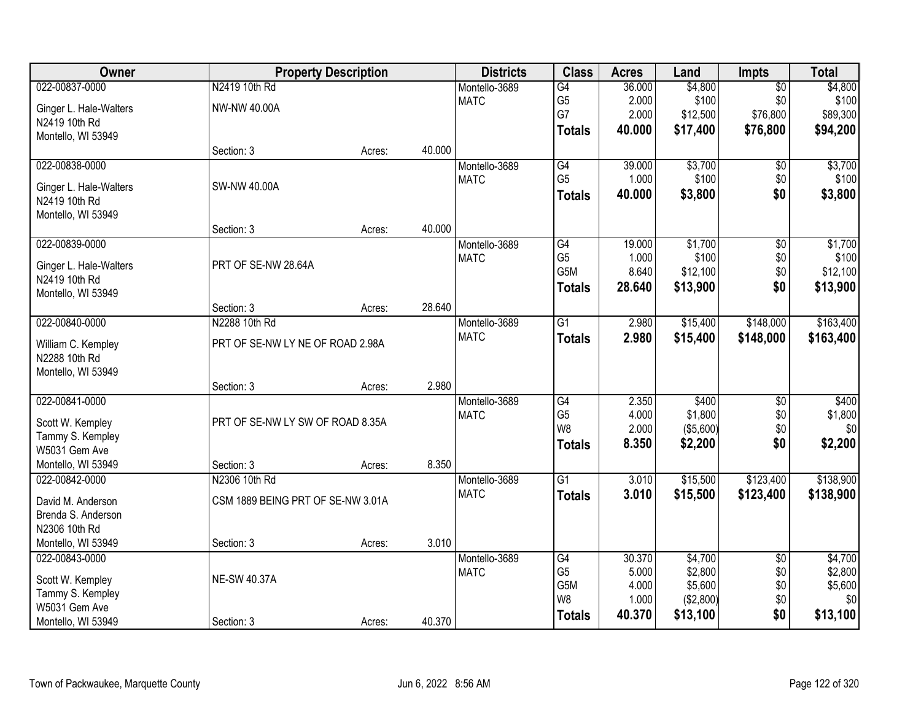| Owner                  |                                   | <b>Property Description</b> |        | <b>Districts</b> | <b>Class</b>     | <b>Acres</b> | Land      | <b>Impts</b>    | <b>Total</b> |
|------------------------|-----------------------------------|-----------------------------|--------|------------------|------------------|--------------|-----------|-----------------|--------------|
| 022-00837-0000         | N2419 10th Rd                     |                             |        | Montello-3689    | G4               | 36.000       | \$4,800   | $\overline{50}$ | \$4,800      |
| Ginger L. Hale-Walters | NW-NW 40.00A                      |                             |        | <b>MATC</b>      | G <sub>5</sub>   | 2.000        | \$100     | \$0             | \$100        |
| N2419 10th Rd          |                                   |                             |        |                  | G7               | 2.000        | \$12,500  | \$76,800        | \$89,300     |
| Montello, WI 53949     |                                   |                             |        |                  | <b>Totals</b>    | 40.000       | \$17,400  | \$76,800        | \$94,200     |
|                        | Section: 3                        | Acres:                      | 40.000 |                  |                  |              |           |                 |              |
| 022-00838-0000         |                                   |                             |        | Montello-3689    | G4               | 39.000       | \$3,700   | \$0             | \$3,700      |
| Ginger L. Hale-Walters | SW-NW 40.00A                      |                             |        | <b>MATC</b>      | G <sub>5</sub>   | 1.000        | \$100     | \$0             | \$100        |
| N2419 10th Rd          |                                   |                             |        |                  | <b>Totals</b>    | 40.000       | \$3,800   | \$0             | \$3,800      |
| Montello, WI 53949     |                                   |                             |        |                  |                  |              |           |                 |              |
|                        | Section: 3                        | Acres:                      | 40.000 |                  |                  |              |           |                 |              |
| 022-00839-0000         |                                   |                             |        | Montello-3689    | G4               | 19.000       | \$1,700   | $\overline{50}$ | \$1,700      |
| Ginger L. Hale-Walters | PRT OF SE-NW 28.64A               |                             |        | <b>MATC</b>      | G <sub>5</sub>   | 1.000        | \$100     | \$0             | \$100        |
| N2419 10th Rd          |                                   |                             |        |                  | G <sub>5</sub> M | 8.640        | \$12,100  | \$0             | \$12,100     |
| Montello, WI 53949     |                                   |                             |        |                  | <b>Totals</b>    | 28.640       | \$13,900  | \$0             | \$13,900     |
|                        | Section: 3                        | Acres:                      | 28.640 |                  |                  |              |           |                 |              |
| 022-00840-0000         | N2288 10th Rd                     |                             |        | Montello-3689    | G1               | 2.980        | \$15,400  | \$148,000       | \$163,400    |
| William C. Kempley     | PRT OF SE-NW LY NE OF ROAD 2.98A  |                             |        | <b>MATC</b>      | <b>Totals</b>    | 2.980        | \$15,400  | \$148,000       | \$163,400    |
| N2288 10th Rd          |                                   |                             |        |                  |                  |              |           |                 |              |
| Montello, WI 53949     |                                   |                             |        |                  |                  |              |           |                 |              |
|                        | Section: 3                        | Acres:                      | 2.980  |                  |                  |              |           |                 |              |
| 022-00841-0000         |                                   |                             |        | Montello-3689    | $\overline{G4}$  | 2.350        | \$400     | \$0             | \$400        |
| Scott W. Kempley       | PRT OF SE-NW LY SW OF ROAD 8.35A  |                             |        | <b>MATC</b>      | G <sub>5</sub>   | 4.000        | \$1,800   | \$0             | \$1,800      |
| Tammy S. Kempley       |                                   |                             |        |                  | W8               | 2.000        | (\$5,600) | \$0             | \$0          |
| W5031 Gem Ave          |                                   |                             |        |                  | <b>Totals</b>    | 8.350        | \$2,200   | \$0             | \$2,200      |
| Montello, WI 53949     | Section: 3                        | Acres:                      | 8.350  |                  |                  |              |           |                 |              |
| 022-00842-0000         | N2306 10th Rd                     |                             |        | Montello-3689    | $\overline{G1}$  | 3.010        | \$15,500  | \$123,400       | \$138,900    |
| David M. Anderson      | CSM 1889 BEING PRT OF SE-NW 3.01A |                             |        | <b>MATC</b>      | <b>Totals</b>    | 3.010        | \$15,500  | \$123,400       | \$138,900    |
| Brenda S. Anderson     |                                   |                             |        |                  |                  |              |           |                 |              |
| N2306 10th Rd          |                                   |                             |        |                  |                  |              |           |                 |              |
| Montello, WI 53949     | Section: 3                        | Acres:                      | 3.010  |                  |                  |              |           |                 |              |
| 022-00843-0000         |                                   |                             |        | Montello-3689    | G4               | 30.370       | \$4,700   | $\overline{50}$ | \$4,700      |
| Scott W. Kempley       | <b>NE-SW 40.37A</b>               |                             |        | <b>MATC</b>      | G <sub>5</sub>   | 5.000        | \$2,800   | \$0             | \$2,800      |
| Tammy S. Kempley       |                                   |                             |        |                  | G5M              | 4.000        | \$5,600   | \$0             | \$5,600      |
| W5031 Gem Ave          |                                   |                             |        |                  | W8               | 1.000        | (\$2,800) | \$0             | \$0          |
| Montello, WI 53949     | Section: 3                        | Acres:                      | 40.370 |                  | <b>Totals</b>    | 40.370       | \$13,100  | \$0             | \$13,100     |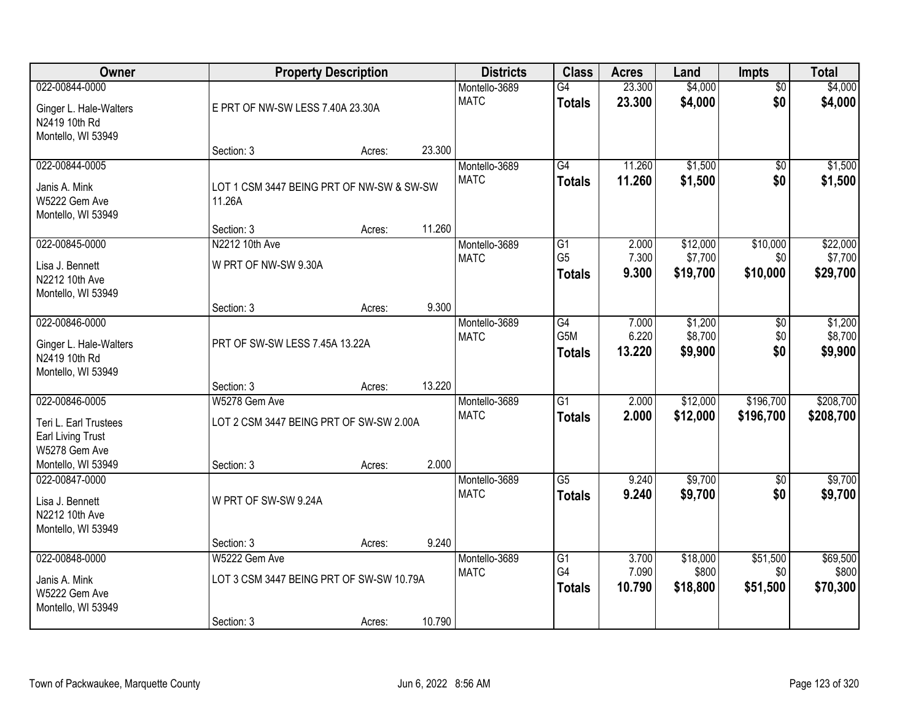| Owner                                                                                                      |                                                                        | <b>Property Description</b> |        | <b>Districts</b>             | <b>Class</b>                            | <b>Acres</b>             | Land                          | Impts                  | <b>Total</b>                  |
|------------------------------------------------------------------------------------------------------------|------------------------------------------------------------------------|-----------------------------|--------|------------------------------|-----------------------------------------|--------------------------|-------------------------------|------------------------|-------------------------------|
| 022-00844-0000<br>Ginger L. Hale-Walters<br>N2419 10th Rd<br>Montello, WI 53949                            | E PRT OF NW-SW LESS 7.40A 23.30A                                       |                             |        | Montello-3689<br><b>MATC</b> | G4<br><b>Totals</b>                     | 23.300<br>23.300         | \$4,000<br>\$4,000            | $\overline{50}$<br>\$0 | \$4,000<br>\$4,000            |
|                                                                                                            | Section: 3                                                             | Acres:                      | 23.300 |                              |                                         |                          |                               |                        |                               |
| 022-00844-0005<br>Janis A. Mink<br>W5222 Gem Ave<br>Montello, WI 53949                                     | LOT 1 CSM 3447 BEING PRT OF NW-SW & SW-SW<br>11.26A                    |                             |        | Montello-3689<br><b>MATC</b> | G4<br><b>Totals</b>                     | 11.260<br>11.260         | \$1,500<br>\$1,500            | $\overline{50}$<br>\$0 | \$1,500<br>\$1,500            |
| 022-00845-0000                                                                                             | Section: 3<br>N2212 10th Ave                                           | Acres:                      | 11.260 | Montello-3689                | $\overline{G1}$                         | 2.000                    | \$12,000                      | \$10,000               | \$22,000                      |
| Lisa J. Bennett<br>N2212 10th Ave<br>Montello, WI 53949                                                    | W PRT OF NW-SW 9.30A                                                   |                             |        | <b>MATC</b>                  | G <sub>5</sub><br><b>Totals</b>         | 7.300<br>9.300           | \$7,700<br>\$19,700           | \$0<br>\$10,000        | \$7,700<br>\$29,700           |
|                                                                                                            | Section: 3                                                             | Acres:                      | 9.300  |                              |                                         |                          |                               |                        |                               |
| 022-00846-0000<br>Ginger L. Hale-Walters<br>N2419 10th Rd<br>Montello, WI 53949                            | PRT OF SW-SW LESS 7.45A 13.22A                                         |                             |        | Montello-3689<br><b>MATC</b> | $\overline{G4}$<br>G5M<br><b>Totals</b> | 7.000<br>6.220<br>13.220 | \$1,200<br>\$8,700<br>\$9,900 | \$0<br>\$0<br>\$0      | \$1,200<br>\$8,700<br>\$9,900 |
|                                                                                                            | Section: 3                                                             | Acres:                      | 13.220 |                              |                                         |                          |                               |                        |                               |
| 022-00846-0005<br>Teri L. Earl Trustees<br><b>Earl Living Trust</b><br>W5278 Gem Ave<br>Montello, WI 53949 | W5278 Gem Ave<br>LOT 2 CSM 3447 BEING PRT OF SW-SW 2.00A<br>Section: 3 | Acres:                      | 2.000  | Montello-3689<br><b>MATC</b> | $\overline{G1}$<br><b>Totals</b>        | 2.000<br>2.000           | \$12,000<br>\$12,000          | \$196,700<br>\$196,700 | \$208,700<br>\$208,700        |
| 022-00847-0000<br>Lisa J. Bennett<br>N2212 10th Ave<br>Montello, WI 53949                                  | W PRT OF SW-SW 9.24A                                                   |                             |        | Montello-3689<br><b>MATC</b> | $\overline{G5}$<br><b>Totals</b>        | 9.240<br>9.240           | \$9,700<br>\$9,700            | $\sqrt{6}$<br>\$0      | \$9,700<br>\$9,700            |
| 022-00848-0000                                                                                             | Section: 3<br>W5222 Gem Ave                                            | Acres:                      | 9.240  | Montello-3689                | G1                                      | 3.700                    | \$18,000                      | \$51,500               | \$69,500                      |
| Janis A. Mink<br>W5222 Gem Ave<br>Montello, WI 53949                                                       | LOT 3 CSM 3447 BEING PRT OF SW-SW 10.79A<br>Section: 3                 | Acres:                      | 10.790 | <b>MATC</b>                  | G4<br><b>Totals</b>                     | 7.090<br>10.790          | \$800<br>\$18,800             | \$0<br>\$51,500        | \$800<br>\$70,300             |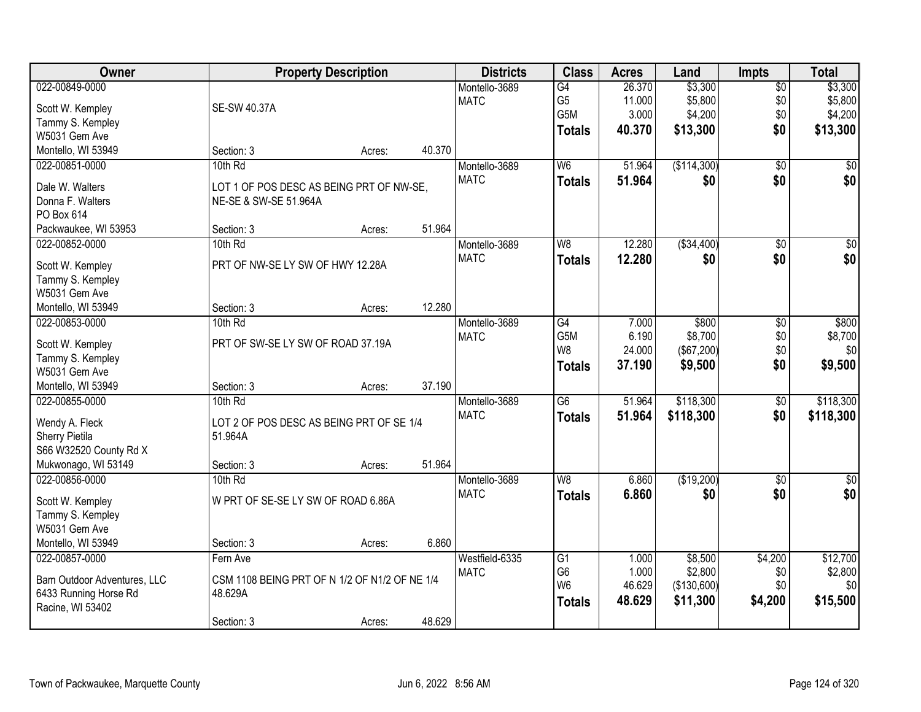| Owner                                     |                                               | <b>Property Description</b> |        | <b>Districts</b> | <b>Class</b>    | <b>Acres</b> | Land        | <b>Impts</b>    | <b>Total</b>     |
|-------------------------------------------|-----------------------------------------------|-----------------------------|--------|------------------|-----------------|--------------|-------------|-----------------|------------------|
| 022-00849-0000                            |                                               |                             |        | Montello-3689    | $\overline{G4}$ | 26.370       | \$3,300     | $\sqrt{$0}$     | \$3,300          |
| Scott W. Kempley                          | <b>SE-SW 40.37A</b>                           |                             |        | <b>MATC</b>      | G <sub>5</sub>  | 11.000       | \$5,800     | \$0             | \$5,800          |
| Tammy S. Kempley                          |                                               |                             |        |                  | G5M             | 3.000        | \$4,200     | \$0             | \$4,200          |
| W5031 Gem Ave                             |                                               |                             |        |                  | Totals          | 40.370       | \$13,300    | \$0             | \$13,300         |
| Montello, WI 53949                        | Section: 3                                    | Acres:                      | 40.370 |                  |                 |              |             |                 |                  |
| 022-00851-0000                            | 10th Rd                                       |                             |        | Montello-3689    | W <sub>6</sub>  | 51.964       | (\$114,300) | $\overline{50}$ | \$0              |
|                                           |                                               |                             |        | <b>MATC</b>      | <b>Totals</b>   | 51.964       | \$0         | \$0             | \$0              |
| Dale W. Walters                           | LOT 1 OF POS DESC AS BEING PRT OF NW-SE,      |                             |        |                  |                 |              |             |                 |                  |
| Donna F. Walters                          | NE-SE & SW-SE 51.964A                         |                             |        |                  |                 |              |             |                 |                  |
| PO Box 614                                |                                               |                             | 51.964 |                  |                 |              |             |                 |                  |
| Packwaukee, WI 53953<br>022-00852-0000    | Section: 3<br>10th Rd                         | Acres:                      |        | Montello-3689    | W <sub>8</sub>  | 12.280       |             |                 | $\overline{\$0}$ |
|                                           |                                               |                             |        |                  |                 |              | ( \$34,400) | $\overline{50}$ |                  |
| Scott W. Kempley                          | PRT OF NW-SE LY SW OF HWY 12.28A              |                             |        | <b>MATC</b>      | <b>Totals</b>   | 12.280       | \$0         | \$0             | \$0              |
| Tammy S. Kempley                          |                                               |                             |        |                  |                 |              |             |                 |                  |
| W5031 Gem Ave                             |                                               |                             |        |                  |                 |              |             |                 |                  |
| Montello, WI 53949                        | Section: 3                                    | Acres:                      | 12.280 |                  |                 |              |             |                 |                  |
| 022-00853-0000                            | 10th Rd                                       |                             |        | Montello-3689    | $\overline{G4}$ | 7.000        | \$800       | \$0             | \$800            |
| Scott W. Kempley                          | PRT OF SW-SE LY SW OF ROAD 37.19A             |                             |        | <b>MATC</b>      | G5M             | 6.190        | \$8,700     | \$0             | \$8,700          |
| Tammy S. Kempley                          |                                               |                             |        |                  | W <sub>8</sub>  | 24.000       | (\$67,200)  | \$0             | \$0              |
| W5031 Gem Ave                             |                                               |                             |        |                  | <b>Totals</b>   | 37.190       | \$9,500     | \$0             | \$9,500          |
| Montello, WI 53949                        | Section: 3                                    | Acres:                      | 37.190 |                  |                 |              |             |                 |                  |
| 022-00855-0000                            | 10th Rd                                       |                             |        | Montello-3689    | $\overline{G6}$ | 51.964       | \$118,300   | $\overline{50}$ | \$118,300        |
|                                           |                                               |                             |        | <b>MATC</b>      | <b>Totals</b>   | 51.964       | \$118,300   | \$0             | \$118,300        |
| Wendy A. Fleck                            | LOT 2 OF POS DESC AS BEING PRT OF SE 1/4      |                             |        |                  |                 |              |             |                 |                  |
| Sherry Pietila                            | 51.964A                                       |                             |        |                  |                 |              |             |                 |                  |
| S66 W32520 County Rd X                    |                                               |                             |        |                  |                 |              |             |                 |                  |
| Mukwonago, WI 53149                       | Section: 3                                    | Acres:                      | 51.964 |                  |                 |              |             |                 |                  |
| 022-00856-0000                            | 10th Rd                                       |                             |        | Montello-3689    | W <sub>8</sub>  | 6.860        | (\$19,200)  | $\overline{50}$ | $\overline{\$0}$ |
| Scott W. Kempley                          | W PRT OF SE-SE LY SW OF ROAD 6.86A            |                             |        | <b>MATC</b>      | <b>Totals</b>   | 6.860        | \$0         | \$0             | \$0              |
| Tammy S. Kempley                          |                                               |                             |        |                  |                 |              |             |                 |                  |
| W5031 Gem Ave                             |                                               |                             |        |                  |                 |              |             |                 |                  |
| Montello, WI 53949                        | Section: 3                                    | Acres:                      | 6.860  |                  |                 |              |             |                 |                  |
| 022-00857-0000                            | Fern Ave                                      |                             |        | Westfield-6335   | G1              | 1.000        | \$8,500     | \$4,200         | \$12,700         |
|                                           | CSM 1108 BEING PRT OF N 1/2 OF N1/2 OF NE 1/4 |                             |        | <b>MATC</b>      | G <sub>6</sub>  | 1.000        | \$2,800     | \$0             | \$2,800          |
| Bam Outdoor Adventures, LLC               | 48.629A                                       |                             |        |                  | W <sub>6</sub>  | 46.629       | (\$130,600) | \$0             | \$0              |
| 6433 Running Horse Rd<br>Racine, WI 53402 |                                               |                             |        |                  | <b>Totals</b>   | 48.629       | \$11,300    | \$4,200         | \$15,500         |
|                                           | Section: 3                                    | Acres:                      | 48.629 |                  |                 |              |             |                 |                  |
|                                           |                                               |                             |        |                  |                 |              |             |                 |                  |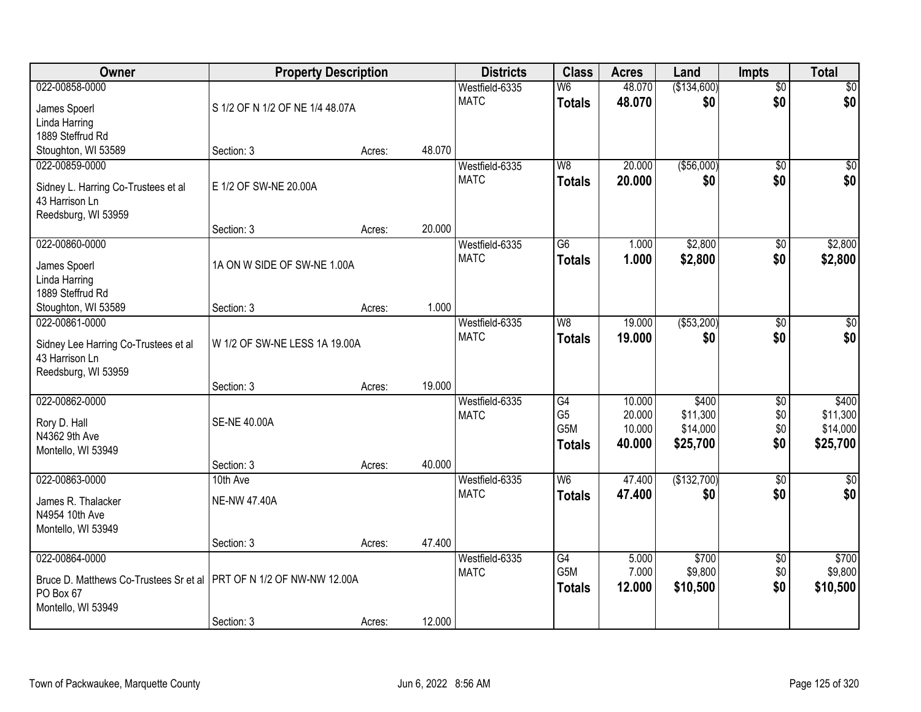| Owner                                                               | <b>Property Description</b>     |                  | <b>Districts</b>              | <b>Class</b>                      | <b>Acres</b>     | Land              | <b>Impts</b>           | <b>Total</b>       |
|---------------------------------------------------------------------|---------------------------------|------------------|-------------------------------|-----------------------------------|------------------|-------------------|------------------------|--------------------|
| 022-00858-0000                                                      |                                 |                  | Westfield-6335                | W6                                | 48.070           | (\$134,600)       | $\overline{60}$        | $\sqrt{50}$        |
| James Spoerl                                                        | S 1/2 OF N 1/2 OF NE 1/4 48.07A |                  | <b>MATC</b>                   | <b>Totals</b>                     | 48.070           | \$0               | \$0                    | \$0                |
| Linda Harring                                                       |                                 |                  |                               |                                   |                  |                   |                        |                    |
| 1889 Steffrud Rd                                                    |                                 |                  |                               |                                   |                  |                   |                        |                    |
| Stoughton, WI 53589                                                 | Section: 3                      | 48.070<br>Acres: |                               |                                   |                  |                   |                        |                    |
| 022-00859-0000                                                      |                                 |                  | Westfield-6335                | W8                                | 20.000           | ( \$56,000)       | \$0                    | \$0                |
| Sidney L. Harring Co-Trustees et al                                 | E 1/2 OF SW-NE 20.00A           |                  | <b>MATC</b>                   | <b>Totals</b>                     | 20,000           | \$0               | \$0                    | \$0                |
| 43 Harrison Ln                                                      |                                 |                  |                               |                                   |                  |                   |                        |                    |
| Reedsburg, WI 53959                                                 |                                 |                  |                               |                                   |                  |                   |                        |                    |
|                                                                     | Section: 3                      | 20.000<br>Acres: |                               |                                   |                  |                   |                        |                    |
| 022-00860-0000                                                      |                                 |                  | Westfield-6335                | $\overline{G6}$                   | 1.000            | \$2,800           | \$0                    | \$2,800            |
| James Spoerl                                                        | 1A ON W SIDE OF SW-NE 1.00A     |                  | <b>MATC</b>                   | <b>Totals</b>                     | 1.000            | \$2,800           | \$0                    | \$2,800            |
| Linda Harring                                                       |                                 |                  |                               |                                   |                  |                   |                        |                    |
| 1889 Steffrud Rd                                                    |                                 |                  |                               |                                   |                  |                   |                        |                    |
| Stoughton, WI 53589                                                 | Section: 3                      | 1.000<br>Acres:  |                               |                                   |                  |                   |                        |                    |
| 022-00861-0000                                                      |                                 |                  | Westfield-6335<br><b>MATC</b> | W <sub>8</sub>                    | 19.000           | ( \$53,200)       | $\sqrt[6]{3}$          | $\sqrt{50}$        |
| Sidney Lee Harring Co-Trustees et al                                | W 1/2 OF SW-NE LESS 1A 19.00A   |                  |                               | <b>Totals</b>                     | 19,000           | \$0               | \$0                    | \$0                |
| 43 Harrison Ln                                                      |                                 |                  |                               |                                   |                  |                   |                        |                    |
| Reedsburg, WI 53959                                                 |                                 |                  |                               |                                   |                  |                   |                        |                    |
|                                                                     | Section: 3                      | 19.000<br>Acres: |                               |                                   |                  |                   |                        |                    |
| 022-00862-0000                                                      |                                 |                  | Westfield-6335<br><b>MATC</b> | $\overline{G4}$<br>G <sub>5</sub> | 10.000<br>20.000 | \$400<br>\$11,300 | $\overline{50}$<br>\$0 | \$400<br>\$11,300  |
| Rory D. Hall                                                        | <b>SE-NE 40.00A</b>             |                  |                               | G <sub>5</sub> M                  | 10.000           | \$14,000          | \$0                    | \$14,000           |
| N4362 9th Ave                                                       |                                 |                  |                               | <b>Totals</b>                     | 40.000           | \$25,700          | \$0                    | \$25,700           |
| Montello, WI 53949                                                  |                                 |                  |                               |                                   |                  |                   |                        |                    |
| 022-00863-0000                                                      | Section: 3                      | 40.000<br>Acres: |                               | W <sub>6</sub>                    | 47.400           | (\$132,700)       |                        |                    |
|                                                                     | 10th Ave                        |                  | Westfield-6335<br><b>MATC</b> | <b>Totals</b>                     | 47.400           | \$0               | $\overline{50}$<br>\$0 | $\sqrt{30}$<br>\$0 |
| James R. Thalacker                                                  | <b>NE-NW 47.40A</b>             |                  |                               |                                   |                  |                   |                        |                    |
| N4954 10th Ave                                                      |                                 |                  |                               |                                   |                  |                   |                        |                    |
| Montello, WI 53949                                                  |                                 | 47.400           |                               |                                   |                  |                   |                        |                    |
| 022-00864-0000                                                      | Section: 3                      | Acres:           | Westfield-6335                | $\overline{G4}$                   | 5.000            | \$700             | $\overline{50}$        | \$700              |
|                                                                     |                                 |                  | <b>MATC</b>                   | G <sub>5</sub> M                  | 7.000            | \$9,800           | \$0                    | \$9,800            |
| Bruce D. Matthews Co-Trustees Sr et al PRT OF N 1/2 OF NW-NW 12.00A |                                 |                  |                               | <b>Totals</b>                     | 12.000           | \$10,500          | \$0                    | \$10,500           |
| PO Box 67                                                           |                                 |                  |                               |                                   |                  |                   |                        |                    |
| Montello, WI 53949                                                  | Section: 3                      | 12.000           |                               |                                   |                  |                   |                        |                    |
|                                                                     |                                 | Acres:           |                               |                                   |                  |                   |                        |                    |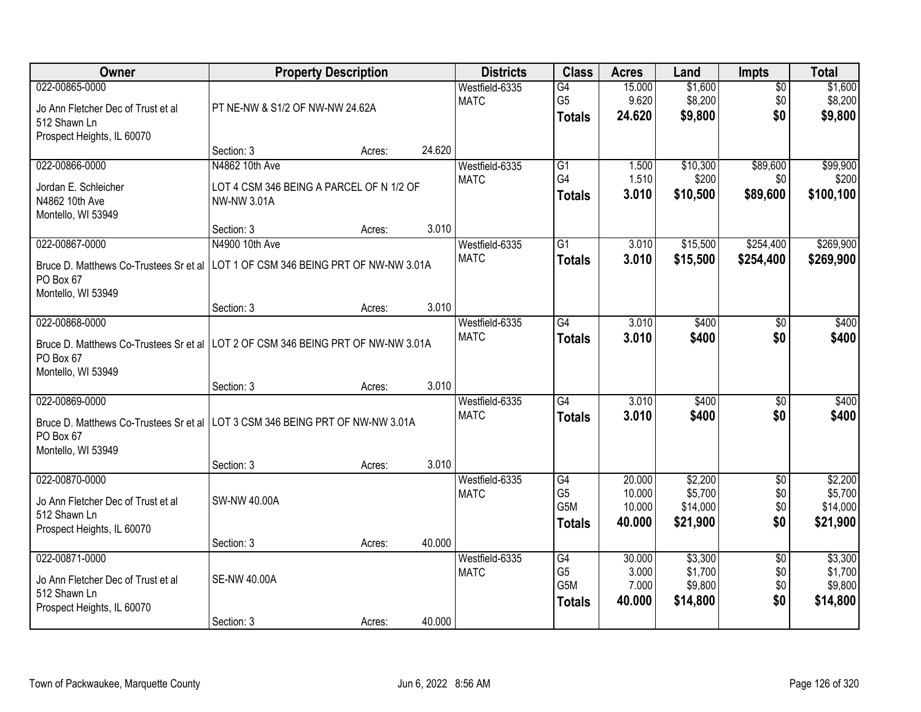| Owner                                                                                                                                |                                                                                  | <b>Property Description</b> |        | <b>Districts</b>              | <b>Class</b>                                              | <b>Acres</b>                         | Land                                       | Impts                                | <b>Total</b>                               |
|--------------------------------------------------------------------------------------------------------------------------------------|----------------------------------------------------------------------------------|-----------------------------|--------|-------------------------------|-----------------------------------------------------------|--------------------------------------|--------------------------------------------|--------------------------------------|--------------------------------------------|
| 022-00865-0000<br>Jo Ann Fletcher Dec of Trust et al<br>512 Shawn Ln<br>Prospect Heights, IL 60070                                   | PT NE-NW & S1/2 OF NW-NW 24.62A                                                  |                             |        | Westfield-6335<br><b>MATC</b> | G4<br>G <sub>5</sub><br><b>Totals</b>                     | 15.000<br>9.620<br>24.620            | \$1,600<br>\$8,200<br>\$9,800              | $\overline{50}$<br>\$0<br>\$0        | \$1,600<br>\$8,200<br>\$9,800              |
|                                                                                                                                      | Section: 3                                                                       | Acres:                      | 24.620 |                               |                                                           |                                      |                                            |                                      |                                            |
| 022-00866-0000<br>Jordan E. Schleicher<br>N4862 10th Ave<br>Montello, WI 53949                                                       | N4862 10th Ave<br>LOT 4 CSM 346 BEING A PARCEL OF N 1/2 OF<br><b>NW-NW 3.01A</b> |                             |        | Westfield-6335<br><b>MATC</b> | G1<br>G4<br><b>Totals</b>                                 | 1.500<br>1.510<br>3.010              | \$10,300<br>\$200<br>\$10,500              | \$89,600<br>\$0<br>\$89,600          | \$99,900<br>\$200<br>\$100,100             |
|                                                                                                                                      | Section: 3                                                                       | Acres:                      | 3.010  |                               |                                                           |                                      |                                            |                                      |                                            |
| 022-00867-0000<br>Bruce D. Matthews Co-Trustees Sr et al<br>PO Box 67<br>Montello, WI 53949                                          | N4900 10th Ave<br>LOT 1 OF CSM 346 BEING PRT OF NW-NW 3.01A                      |                             |        | Westfield-6335<br><b>MATC</b> | $\overline{G1}$<br><b>Totals</b>                          | 3.010<br>3.010                       | \$15,500<br>\$15,500                       | \$254,400<br>\$254,400               | \$269,900<br>\$269,900                     |
|                                                                                                                                      | Section: 3                                                                       | Acres:                      | 3.010  |                               |                                                           |                                      |                                            |                                      |                                            |
| 022-00868-0000<br>Bruce D. Matthews Co-Trustees Sr et al<br>PO Box 67<br>Montello, WI 53949                                          | LOT 2 OF CSM 346 BEING PRT OF NW-NW 3.01A                                        |                             |        | Westfield-6335<br><b>MATC</b> | G4<br><b>Totals</b>                                       | 3.010<br>3.010                       | \$400<br>\$400                             | \$0<br>\$0                           | \$400<br>\$400                             |
|                                                                                                                                      | Section: 3                                                                       | Acres:                      | 3.010  |                               |                                                           |                                      |                                            |                                      |                                            |
| 022-00869-0000<br>Bruce D. Matthews Co-Trustees Sr et al   LOT 3 CSM 346 BEING PRT OF NW-NW 3.01A<br>PO Box 67<br>Montello, WI 53949 |                                                                                  |                             |        | Westfield-6335<br><b>MATC</b> | $\overline{G4}$<br><b>Totals</b>                          | 3.010<br>3.010                       | \$400<br>\$400                             | $\overline{50}$<br>\$0               | \$400<br>\$400                             |
|                                                                                                                                      | Section: 3                                                                       | Acres:                      | 3.010  |                               |                                                           |                                      |                                            |                                      |                                            |
| 022-00870-0000<br>Jo Ann Fletcher Dec of Trust et al<br>512 Shawn Ln<br>Prospect Heights, IL 60070                                   | SW-NW 40.00A                                                                     |                             |        | Westfield-6335<br><b>MATC</b> | G4<br>G <sub>5</sub><br>G5M<br><b>Totals</b>              | 20.000<br>10.000<br>10.000<br>40.000 | \$2,200<br>\$5,700<br>\$14,000<br>\$21,900 | $\overline{60}$<br>\$0<br>\$0<br>\$0 | \$2,200<br>\$5,700<br>\$14,000<br>\$21,900 |
|                                                                                                                                      | Section: 3                                                                       | Acres:                      | 40.000 |                               |                                                           |                                      |                                            |                                      |                                            |
| 022-00871-0000<br>Jo Ann Fletcher Dec of Trust et al<br>512 Shawn Ln<br>Prospect Heights, IL 60070                                   | <b>SE-NW 40.00A</b><br>Section: 3                                                | Acres:                      | 40.000 | Westfield-6335<br><b>MATC</b> | G4<br>G <sub>5</sub><br>G <sub>5</sub> M<br><b>Totals</b> | 30.000<br>3.000<br>7.000<br>40.000   | \$3,300<br>\$1,700<br>\$9,800<br>\$14,800  | $\overline{50}$<br>\$0<br>\$0<br>\$0 | \$3,300<br>\$1,700<br>\$9,800<br>\$14,800  |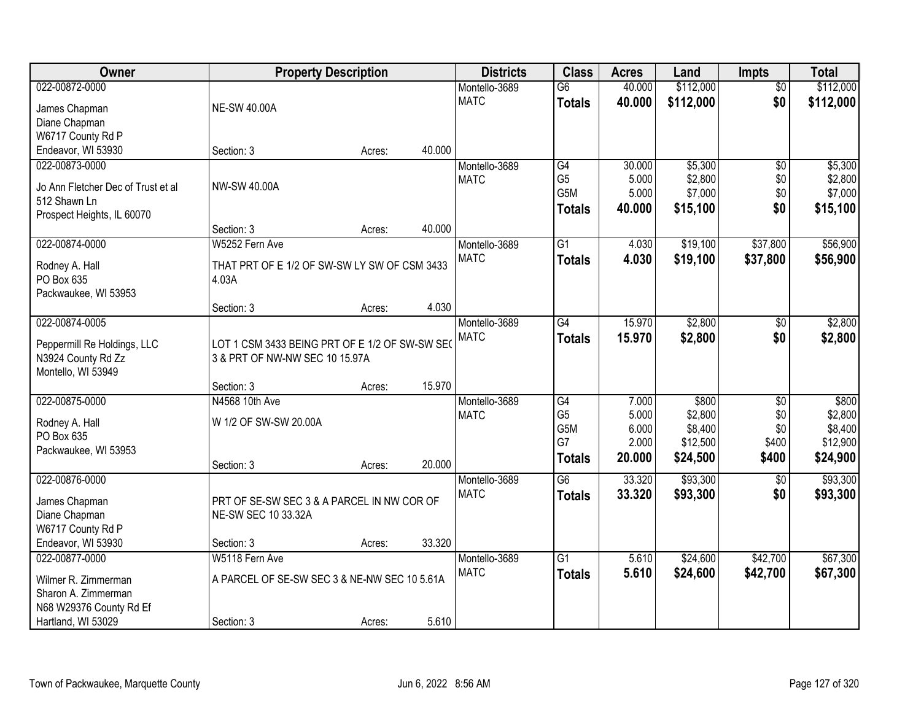| Owner                                              | <b>Property Description</b>                    |        |        | <b>Districts</b> | <b>Class</b>     | <b>Acres</b> | Land      | <b>Impts</b>    | <b>Total</b> |
|----------------------------------------------------|------------------------------------------------|--------|--------|------------------|------------------|--------------|-----------|-----------------|--------------|
| 022-00872-0000                                     |                                                |        |        | Montello-3689    | $\overline{G6}$  | 40.000       | \$112,000 | $\overline{50}$ | \$112,000    |
| James Chapman                                      | <b>NE-SW 40.00A</b>                            |        |        | <b>MATC</b>      | <b>Totals</b>    | 40.000       | \$112,000 | \$0             | \$112,000    |
| Diane Chapman                                      |                                                |        |        |                  |                  |              |           |                 |              |
| W6717 County Rd P                                  |                                                |        |        |                  |                  |              |           |                 |              |
| Endeavor, WI 53930                                 | Section: 3                                     | Acres: | 40.000 |                  |                  |              |           |                 |              |
| 022-00873-0000                                     |                                                |        |        | Montello-3689    | G4               | 30.000       | \$5,300   | $\overline{50}$ | \$5,300      |
|                                                    | <b>NW-SW 40.00A</b>                            |        |        | <b>MATC</b>      | G <sub>5</sub>   | 5.000        | \$2,800   | \$0             | \$2,800      |
| Jo Ann Fletcher Dec of Trust et al<br>512 Shawn Ln |                                                |        |        |                  | G <sub>5</sub> M | 5.000        | \$7,000   | \$0             | \$7,000      |
| Prospect Heights, IL 60070                         |                                                |        |        |                  | <b>Totals</b>    | 40.000       | \$15,100  | \$0             | \$15,100     |
|                                                    | Section: 3                                     | Acres: | 40.000 |                  |                  |              |           |                 |              |
| 022-00874-0000                                     | W5252 Fern Ave                                 |        |        | Montello-3689    | G1               | 4.030        | \$19,100  | \$37,800        | \$56,900     |
|                                                    |                                                |        |        | <b>MATC</b>      | <b>Totals</b>    | 4.030        | \$19,100  | \$37,800        | \$56,900     |
| Rodney A. Hall                                     | THAT PRT OF E 1/2 OF SW-SW LY SW OF CSM 3433   |        |        |                  |                  |              |           |                 |              |
| PO Box 635                                         | 4.03A                                          |        |        |                  |                  |              |           |                 |              |
| Packwaukee, WI 53953                               |                                                |        |        |                  |                  |              |           |                 |              |
|                                                    | Section: 3                                     | Acres: | 4.030  |                  |                  |              |           |                 |              |
| 022-00874-0005                                     |                                                |        |        | Montello-3689    | G4               | 15.970       | \$2,800   | $\sqrt[6]{3}$   | \$2,800      |
| Peppermill Re Holdings, LLC                        | LOT 1 CSM 3433 BEING PRT OF E 1/2 OF SW-SW SEO |        |        | <b>MATC</b>      | <b>Totals</b>    | 15.970       | \$2,800   | \$0             | \$2,800      |
| N3924 County Rd Zz                                 | 3 & PRT OF NW-NW SEC 10 15.97A                 |        |        |                  |                  |              |           |                 |              |
| Montello, WI 53949                                 |                                                |        |        |                  |                  |              |           |                 |              |
|                                                    | Section: 3                                     | Acres: | 15.970 |                  |                  |              |           |                 |              |
| 022-00875-0000                                     | N4568 10th Ave                                 |        |        | Montello-3689    | $\overline{G4}$  | 7.000        | \$800     | $\overline{50}$ | \$800        |
| Rodney A. Hall                                     | W 1/2 OF SW-SW 20.00A                          |        |        | <b>MATC</b>      | G <sub>5</sub>   | 5.000        | \$2,800   | \$0             | \$2,800      |
| PO Box 635                                         |                                                |        |        |                  | G5M              | 6.000        | \$8,400   | \$0             | \$8,400      |
| Packwaukee, WI 53953                               |                                                |        |        |                  | G7               | 2.000        | \$12,500  | \$400           | \$12,900     |
|                                                    | Section: 3                                     | Acres: | 20.000 |                  | <b>Totals</b>    | 20.000       | \$24,500  | \$400           | \$24,900     |
| 022-00876-0000                                     |                                                |        |        | Montello-3689    | $\overline{G6}$  | 33.320       | \$93,300  | $\overline{30}$ | \$93,300     |
| James Chapman                                      | PRT OF SE-SW SEC 3 & A PARCEL IN NW COR OF     |        |        | <b>MATC</b>      | <b>Totals</b>    | 33.320       | \$93,300  | \$0             | \$93,300     |
| Diane Chapman                                      | NE-SW SEC 10 33.32A                            |        |        |                  |                  |              |           |                 |              |
| W6717 County Rd P                                  |                                                |        |        |                  |                  |              |           |                 |              |
| Endeavor, WI 53930                                 | Section: 3                                     | Acres: | 33.320 |                  |                  |              |           |                 |              |
| 022-00877-0000                                     | W5118 Fern Ave                                 |        |        | Montello-3689    | $\overline{G1}$  | 5.610        | \$24,600  | \$42,700        | \$67,300     |
|                                                    |                                                |        |        | <b>MATC</b>      | <b>Totals</b>    | 5.610        | \$24,600  | \$42,700        | \$67,300     |
| Wilmer R. Zimmerman                                | A PARCEL OF SE-SW SEC 3 & NE-NW SEC 10 5.61A   |        |        |                  |                  |              |           |                 |              |
| Sharon A. Zimmerman                                |                                                |        |        |                  |                  |              |           |                 |              |
| N68 W29376 County Rd Ef                            |                                                |        |        |                  |                  |              |           |                 |              |
| Hartland, WI 53029                                 | Section: 3                                     | Acres: | 5.610  |                  |                  |              |           |                 |              |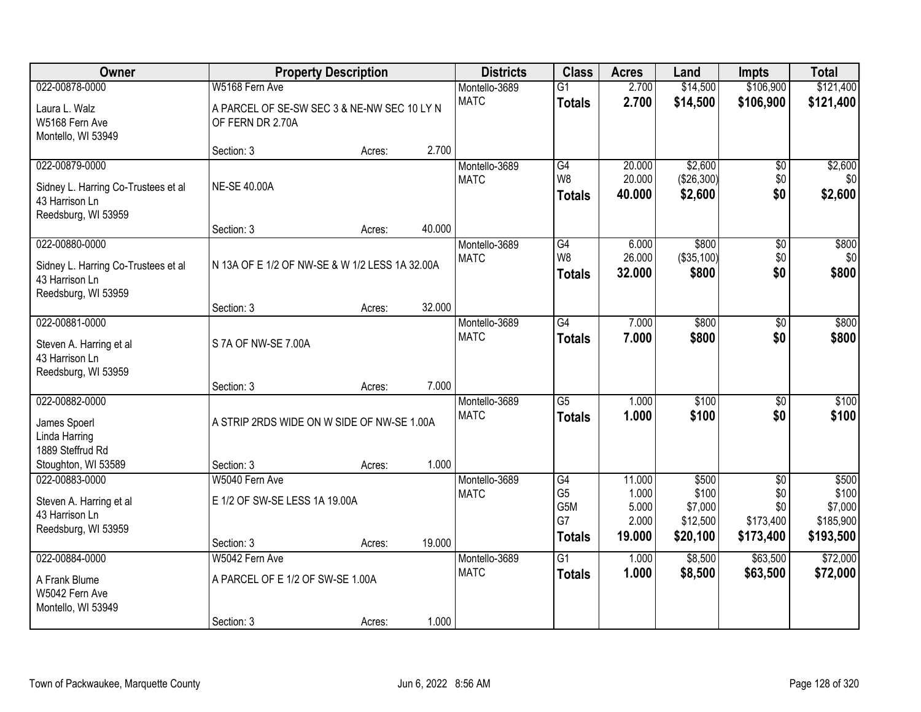| Owner                                                                                          |                                                                 | <b>Property Description</b> |        | <b>Districts</b>             | <b>Class</b>                                       | <b>Acres</b>                                | Land                                              | Impts                                                   | <b>Total</b>                                        |
|------------------------------------------------------------------------------------------------|-----------------------------------------------------------------|-----------------------------|--------|------------------------------|----------------------------------------------------|---------------------------------------------|---------------------------------------------------|---------------------------------------------------------|-----------------------------------------------------|
| 022-00878-0000                                                                                 | W5168 Fern Ave                                                  |                             |        | Montello-3689                | $\overline{G1}$                                    | 2.700                                       | \$14,500                                          | \$106,900                                               | \$121,400                                           |
| Laura L. Walz<br>W5168 Fern Ave<br>Montello, WI 53949                                          | A PARCEL OF SE-SW SEC 3 & NE-NW SEC 10 LY N<br>OF FERN DR 2.70A |                             |        | <b>MATC</b>                  | <b>Totals</b>                                      | 2.700                                       | \$14,500                                          | \$106,900                                               | \$121,400                                           |
|                                                                                                | Section: 3                                                      | Acres:                      | 2.700  |                              |                                                    |                                             |                                                   |                                                         |                                                     |
| 022-00879-0000<br>Sidney L. Harring Co-Trustees et al<br>43 Harrison Ln<br>Reedsburg, WI 53959 | <b>NE-SE 40.00A</b>                                             |                             |        | Montello-3689<br><b>MATC</b> | G4<br>W <sub>8</sub><br><b>Totals</b>              | 20.000<br>20.000<br>40.000                  | \$2,600<br>(\$26,300)<br>\$2,600                  | \$0<br>\$0<br>\$0                                       | \$2,600<br>\$0<br>\$2,600                           |
|                                                                                                | Section: 3                                                      | Acres:                      | 40.000 |                              |                                                    |                                             |                                                   |                                                         |                                                     |
| 022-00880-0000<br>Sidney L. Harring Co-Trustees et al<br>43 Harrison Ln<br>Reedsburg, WI 53959 | N 13A OF E 1/2 OF NW-SE & W 1/2 LESS 1A 32.00A                  |                             |        | Montello-3689<br><b>MATC</b> | G4<br>W8<br><b>Totals</b>                          | 6.000<br>26.000<br>32.000                   | \$800<br>(\$35,100)<br>\$800                      | \$0<br>\$0<br>\$0                                       | \$800<br>\$0<br>\$800                               |
|                                                                                                | Section: 3                                                      | Acres:                      | 32.000 |                              |                                                    |                                             |                                                   |                                                         |                                                     |
| 022-00881-0000<br>Steven A. Harring et al<br>43 Harrison Ln                                    | S 7A OF NW-SE 7.00A                                             |                             |        | Montello-3689<br><b>MATC</b> | $\overline{G4}$<br><b>Totals</b>                   | 7.000<br>7.000                              | \$800<br>\$800                                    | \$0<br>\$0                                              | \$800<br>\$800                                      |
| Reedsburg, WI 53959                                                                            | Section: 3                                                      | Acres:                      | 7.000  |                              |                                                    |                                             |                                                   |                                                         |                                                     |
| 022-00882-0000<br>James Spoerl<br>Linda Harring<br>1889 Steffrud Rd                            | A STRIP 2RDS WIDE ON W SIDE OF NW-SE 1.00A                      |                             |        | Montello-3689<br><b>MATC</b> | $\overline{G5}$<br><b>Totals</b>                   | 1.000<br>1.000                              | \$100<br>\$100                                    | \$0<br>\$0                                              | \$100<br>\$100                                      |
| Stoughton, WI 53589                                                                            | Section: 3                                                      | Acres:                      | 1.000  |                              |                                                    |                                             |                                                   |                                                         |                                                     |
| 022-00883-0000<br>Steven A. Harring et al<br>43 Harrison Ln<br>Reedsburg, WI 53959             | W5040 Fern Ave<br>E 1/2 OF SW-SE LESS 1A 19.00A<br>Section: 3   | Acres:                      | 19.000 | Montello-3689<br><b>MATC</b> | G4<br>G <sub>5</sub><br>G5M<br>G7<br><b>Totals</b> | 11.000<br>1.000<br>5.000<br>2.000<br>19.000 | \$500<br>\$100<br>\$7,000<br>\$12,500<br>\$20,100 | $\overline{50}$<br>\$0<br>\$0<br>\$173,400<br>\$173,400 | \$500<br>\$100<br>\$7,000<br>\$185,900<br>\$193,500 |
| 022-00884-0000                                                                                 | W5042 Fern Ave                                                  |                             |        | Montello-3689                | $\overline{G1}$                                    | 1.000                                       | \$8,500                                           | \$63,500                                                | \$72,000                                            |
| A Frank Blume<br>W5042 Fern Ave<br>Montello, WI 53949                                          | A PARCEL OF E 1/2 OF SW-SE 1.00A<br>Section: 3                  | Acres:                      | 1.000  | <b>MATC</b>                  | <b>Totals</b>                                      | 1.000                                       | \$8,500                                           | \$63,500                                                | \$72,000                                            |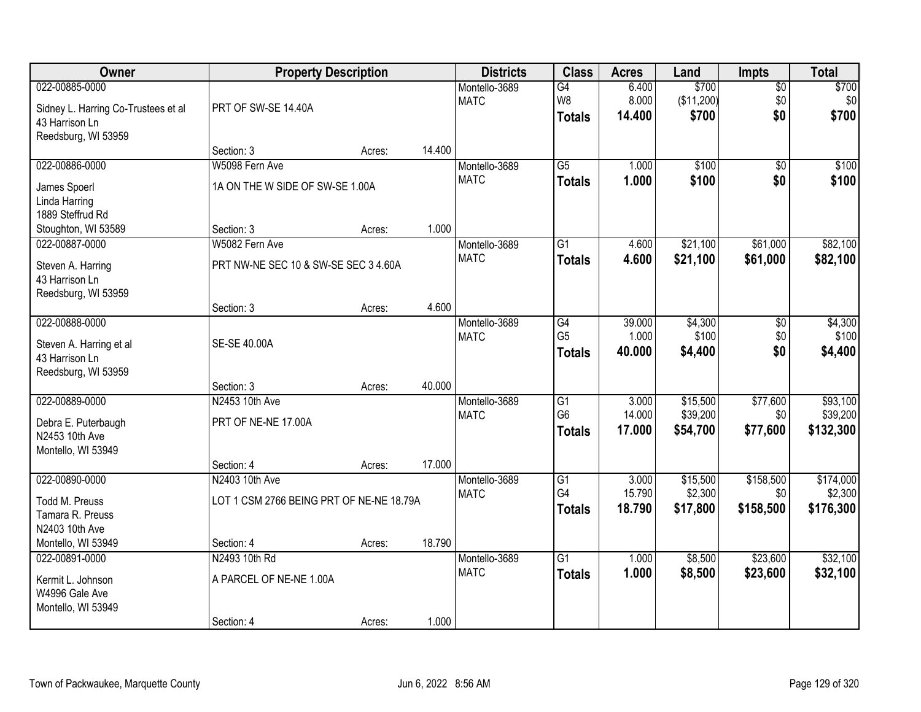| Owner                                                                                          | <b>Property Description</b>                                |        |        | <b>Districts</b>             | <b>Class</b>                                       | <b>Acres</b>              | Land                             | <b>Impts</b>                  | <b>Total</b>                      |
|------------------------------------------------------------------------------------------------|------------------------------------------------------------|--------|--------|------------------------------|----------------------------------------------------|---------------------------|----------------------------------|-------------------------------|-----------------------------------|
| 022-00885-0000<br>Sidney L. Harring Co-Trustees et al<br>43 Harrison Ln<br>Reedsburg, WI 53959 | PRT OF SW-SE 14.40A                                        |        |        | Montello-3689<br><b>MATC</b> | G4<br>W8<br><b>Totals</b>                          | 6.400<br>8.000<br>14.400  | \$700<br>(\$11,200)<br>\$700     | $\overline{50}$<br>\$0<br>\$0 | \$700<br>\$0<br>\$700             |
|                                                                                                | Section: 3                                                 | Acres: | 14.400 |                              |                                                    |                           |                                  |                               |                                   |
| 022-00886-0000<br>James Spoerl<br>Linda Harring<br>1889 Steffrud Rd                            | W5098 Fern Ave<br>1A ON THE W SIDE OF SW-SE 1.00A          |        |        | Montello-3689<br><b>MATC</b> | $\overline{G5}$<br><b>Totals</b>                   | 1.000<br>1.000            | \$100<br>\$100                   | $\overline{50}$<br>\$0        | \$100<br>\$100                    |
| Stoughton, WI 53589                                                                            | Section: 3                                                 | Acres: | 1.000  |                              |                                                    |                           |                                  |                               |                                   |
| 022-00887-0000<br>Steven A. Harring<br>43 Harrison Ln<br>Reedsburg, WI 53959                   | W5082 Fern Ave<br>PRT NW-NE SEC 10 & SW-SE SEC 3 4.60A     |        |        | Montello-3689<br><b>MATC</b> | G1<br><b>Totals</b>                                | 4.600<br>4.600            | \$21,100<br>\$21,100             | \$61,000<br>\$61,000          | \$82,100<br>\$82,100              |
|                                                                                                | Section: 3                                                 | Acres: | 4.600  |                              |                                                    |                           |                                  |                               |                                   |
| 022-00888-0000<br>Steven A. Harring et al<br>43 Harrison Ln<br>Reedsburg, WI 53959             | SE-SE 40.00A                                               |        |        | Montello-3689<br><b>MATC</b> | G4<br>G <sub>5</sub><br><b>Totals</b>              | 39.000<br>1.000<br>40.000 | \$4,300<br>\$100<br>\$4,400      | \$0<br>\$0<br>\$0             | \$4,300<br>\$100<br>\$4,400       |
|                                                                                                | Section: 3                                                 | Acres: | 40.000 |                              |                                                    |                           |                                  |                               |                                   |
| 022-00889-0000<br>Debra E. Puterbaugh<br>N2453 10th Ave<br>Montello, WI 53949                  | N2453 10th Ave<br>PRT OF NE-NE 17.00A                      |        |        | Montello-3689<br><b>MATC</b> | $\overline{G1}$<br>G <sub>6</sub><br><b>Totals</b> | 3.000<br>14.000<br>17.000 | \$15,500<br>\$39,200<br>\$54,700 | \$77,600<br>\$0<br>\$77,600   | \$93,100<br>\$39,200<br>\$132,300 |
|                                                                                                | Section: 4                                                 | Acres: | 17.000 |                              |                                                    |                           |                                  |                               |                                   |
| 022-00890-0000<br>Todd M. Preuss<br>Tamara R. Preuss<br>N2403 10th Ave                         | N2403 10th Ave<br>LOT 1 CSM 2766 BEING PRT OF NE-NE 18.79A |        |        | Montello-3689<br><b>MATC</b> | $\overline{G1}$<br>G4<br><b>Totals</b>             | 3.000<br>15.790<br>18.790 | \$15,500<br>\$2,300<br>\$17,800  | \$158,500<br>\$0<br>\$158,500 | \$174,000<br>\$2,300<br>\$176,300 |
| Montello, WI 53949                                                                             | Section: 4                                                 | Acres: | 18.790 |                              |                                                    |                           |                                  |                               |                                   |
| 022-00891-0000<br>Kermit L. Johnson<br>W4996 Gale Ave<br>Montello, WI 53949                    | N2493 10th Rd<br>A PARCEL OF NE-NE 1.00A<br>Section: 4     | Acres: | 1.000  | Montello-3689<br><b>MATC</b> | $\overline{G1}$<br><b>Totals</b>                   | 1.000<br>1.000            | \$8,500<br>\$8,500               | \$23,600<br>\$23,600          | \$32,100<br>\$32,100              |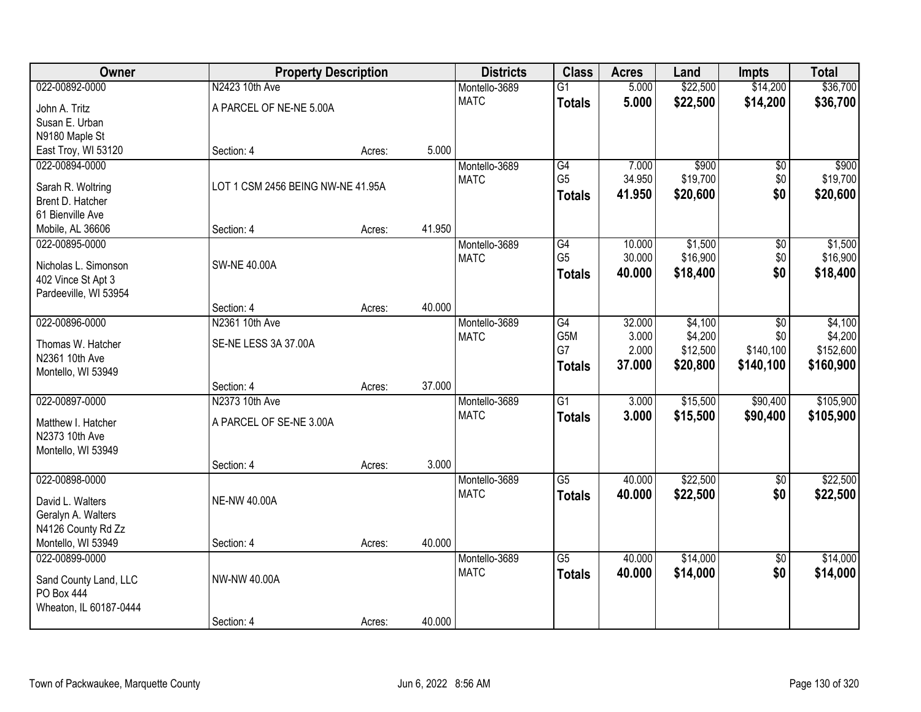| 022-00892-0000<br>N2423 10th Ave<br>\$14,200<br>Montello-3689<br>$\overline{G1}$<br>5.000<br><b>MATC</b><br>5.000<br>\$22,500<br>\$14,200<br><b>Totals</b><br>A PARCEL OF NE-NE 5.00A<br>John A. Tritz<br>Susan E. Urban<br>N9180 Maple St<br>5.000<br>East Troy, WI 53120<br>Section: 4<br>Acres:<br>\$900<br>022-00894-0000<br>Montello-3689<br>G4<br>7.000<br>$\overline{50}$<br>G <sub>5</sub><br><b>MATC</b><br>34.950<br>\$19,700<br>\$0<br>LOT 1 CSM 2456 BEING NW-NE 41.95A<br>Sarah R. Woltring<br>\$0<br>\$20,600<br>41.950<br>\$20,600<br><b>Totals</b><br>Brent D. Hatcher<br>61 Bienville Ave<br>41.950<br>Section: 4<br>Mobile, AL 36606<br>Acres:<br>\$1,500<br>022-00895-0000<br>G4<br>10.000<br>\$0<br>Montello-3689 | Owner | <b>Property Description</b> |  | <b>Districts</b> | <b>Class</b>   | <b>Acres</b> | Land     | <b>Impts</b> | <b>Total</b> |
|---------------------------------------------------------------------------------------------------------------------------------------------------------------------------------------------------------------------------------------------------------------------------------------------------------------------------------------------------------------------------------------------------------------------------------------------------------------------------------------------------------------------------------------------------------------------------------------------------------------------------------------------------------------------------------------------------------------------------------------|-------|-----------------------------|--|------------------|----------------|--------------|----------|--------------|--------------|
|                                                                                                                                                                                                                                                                                                                                                                                                                                                                                                                                                                                                                                                                                                                                       |       |                             |  |                  |                |              | \$22,500 |              | \$36,700     |
|                                                                                                                                                                                                                                                                                                                                                                                                                                                                                                                                                                                                                                                                                                                                       |       |                             |  |                  |                |              |          |              | \$36,700     |
|                                                                                                                                                                                                                                                                                                                                                                                                                                                                                                                                                                                                                                                                                                                                       |       |                             |  |                  |                |              |          |              |              |
|                                                                                                                                                                                                                                                                                                                                                                                                                                                                                                                                                                                                                                                                                                                                       |       |                             |  |                  |                |              |          |              |              |
|                                                                                                                                                                                                                                                                                                                                                                                                                                                                                                                                                                                                                                                                                                                                       |       |                             |  |                  |                |              |          |              |              |
|                                                                                                                                                                                                                                                                                                                                                                                                                                                                                                                                                                                                                                                                                                                                       |       |                             |  |                  |                |              |          |              | \$900        |
|                                                                                                                                                                                                                                                                                                                                                                                                                                                                                                                                                                                                                                                                                                                                       |       |                             |  |                  |                |              |          |              | \$19,700     |
|                                                                                                                                                                                                                                                                                                                                                                                                                                                                                                                                                                                                                                                                                                                                       |       |                             |  |                  |                |              |          |              |              |
|                                                                                                                                                                                                                                                                                                                                                                                                                                                                                                                                                                                                                                                                                                                                       |       |                             |  |                  |                |              |          |              |              |
|                                                                                                                                                                                                                                                                                                                                                                                                                                                                                                                                                                                                                                                                                                                                       |       |                             |  |                  |                |              |          |              |              |
|                                                                                                                                                                                                                                                                                                                                                                                                                                                                                                                                                                                                                                                                                                                                       |       |                             |  |                  |                |              |          |              | \$1,500      |
| <b>SW-NE 40.00A</b><br>Nicholas L. Simonson                                                                                                                                                                                                                                                                                                                                                                                                                                                                                                                                                                                                                                                                                           |       |                             |  | <b>MATC</b>      | G <sub>5</sub> | 30.000       | \$16,900 | \$0          | \$16,900     |
| \$18,400<br>\$0<br>40.000<br><b>Totals</b><br>402 Vince St Apt 3                                                                                                                                                                                                                                                                                                                                                                                                                                                                                                                                                                                                                                                                      |       |                             |  |                  |                |              |          |              | \$18,400     |
| Pardeeville, WI 53954                                                                                                                                                                                                                                                                                                                                                                                                                                                                                                                                                                                                                                                                                                                 |       |                             |  |                  |                |              |          |              |              |
| 40.000<br>Section: 4<br>Acres:                                                                                                                                                                                                                                                                                                                                                                                                                                                                                                                                                                                                                                                                                                        |       |                             |  |                  |                |              |          |              |              |
| 022-00896-0000<br>\$4,100<br>N2361 10th Ave<br>Montello-3689<br>G4<br>32.000<br>\$0                                                                                                                                                                                                                                                                                                                                                                                                                                                                                                                                                                                                                                                   |       |                             |  |                  |                |              |          |              | \$4,100      |
| G5M<br>3.000<br>\$4,200<br>\$0<br><b>MATC</b><br>SE-NE LESS 3A 37.00A<br>Thomas W. Hatcher                                                                                                                                                                                                                                                                                                                                                                                                                                                                                                                                                                                                                                            |       |                             |  |                  |                |              |          |              | \$4,200      |
| G7<br>2.000<br>\$12,500<br>\$140,100<br>N2361 10th Ave                                                                                                                                                                                                                                                                                                                                                                                                                                                                                                                                                                                                                                                                                |       |                             |  |                  |                |              |          |              | \$152,600    |
| 37.000<br>\$20,800<br>\$140,100<br><b>Totals</b><br>Montello, WI 53949                                                                                                                                                                                                                                                                                                                                                                                                                                                                                                                                                                                                                                                                |       |                             |  |                  |                |              |          |              | \$160,900    |
| 37.000<br>Section: 4<br>Acres:                                                                                                                                                                                                                                                                                                                                                                                                                                                                                                                                                                                                                                                                                                        |       |                             |  |                  |                |              |          |              |              |
| $\overline{G1}$<br>\$90,400<br>022-00897-0000<br>N2373 10th Ave<br>3.000<br>\$15,500<br>Montello-3689                                                                                                                                                                                                                                                                                                                                                                                                                                                                                                                                                                                                                                 |       |                             |  |                  |                |              |          |              | \$105,900    |
| <b>MATC</b><br>3.000<br>\$15,500<br>\$90,400<br><b>Totals</b><br>A PARCEL OF SE-NE 3.00A                                                                                                                                                                                                                                                                                                                                                                                                                                                                                                                                                                                                                                              |       |                             |  |                  |                |              |          |              | \$105,900    |
| Matthew I. Hatcher<br>N2373 10th Ave                                                                                                                                                                                                                                                                                                                                                                                                                                                                                                                                                                                                                                                                                                  |       |                             |  |                  |                |              |          |              |              |
| Montello, WI 53949                                                                                                                                                                                                                                                                                                                                                                                                                                                                                                                                                                                                                                                                                                                    |       |                             |  |                  |                |              |          |              |              |
| 3.000<br>Section: 4<br>Acres:                                                                                                                                                                                                                                                                                                                                                                                                                                                                                                                                                                                                                                                                                                         |       |                             |  |                  |                |              |          |              |              |
| 022-00898-0000<br>$\overline{G5}$<br>\$22,500<br>Montello-3689<br>40.000<br>$\overline{50}$                                                                                                                                                                                                                                                                                                                                                                                                                                                                                                                                                                                                                                           |       |                             |  |                  |                |              |          |              | \$22,500     |
| \$0<br><b>MATC</b><br>40.000<br>\$22,500<br><b>Totals</b><br><b>NE-NW 40.00A</b>                                                                                                                                                                                                                                                                                                                                                                                                                                                                                                                                                                                                                                                      |       |                             |  |                  |                |              |          |              | \$22,500     |
| David L. Walters<br>Geralyn A. Walters                                                                                                                                                                                                                                                                                                                                                                                                                                                                                                                                                                                                                                                                                                |       |                             |  |                  |                |              |          |              |              |
| N4126 County Rd Zz                                                                                                                                                                                                                                                                                                                                                                                                                                                                                                                                                                                                                                                                                                                    |       |                             |  |                  |                |              |          |              |              |
| 40.000<br>Montello, WI 53949<br>Section: 4<br>Acres:                                                                                                                                                                                                                                                                                                                                                                                                                                                                                                                                                                                                                                                                                  |       |                             |  |                  |                |              |          |              |              |
| $\overline{G5}$<br>\$14,000<br>022-00899-0000<br>40.000<br>$\overline{50}$<br>Montello-3689                                                                                                                                                                                                                                                                                                                                                                                                                                                                                                                                                                                                                                           |       |                             |  |                  |                |              |          |              | \$14,000     |
| \$0<br><b>MATC</b><br>40.000<br>\$14,000<br><b>Totals</b>                                                                                                                                                                                                                                                                                                                                                                                                                                                                                                                                                                                                                                                                             |       |                             |  |                  |                |              |          |              | \$14,000     |
| NW-NW 40.00A<br>Sand County Land, LLC                                                                                                                                                                                                                                                                                                                                                                                                                                                                                                                                                                                                                                                                                                 |       |                             |  |                  |                |              |          |              |              |
| PO Box 444<br>Wheaton, IL 60187-0444                                                                                                                                                                                                                                                                                                                                                                                                                                                                                                                                                                                                                                                                                                  |       |                             |  |                  |                |              |          |              |              |
| 40.000<br>Section: 4<br>Acres:                                                                                                                                                                                                                                                                                                                                                                                                                                                                                                                                                                                                                                                                                                        |       |                             |  |                  |                |              |          |              |              |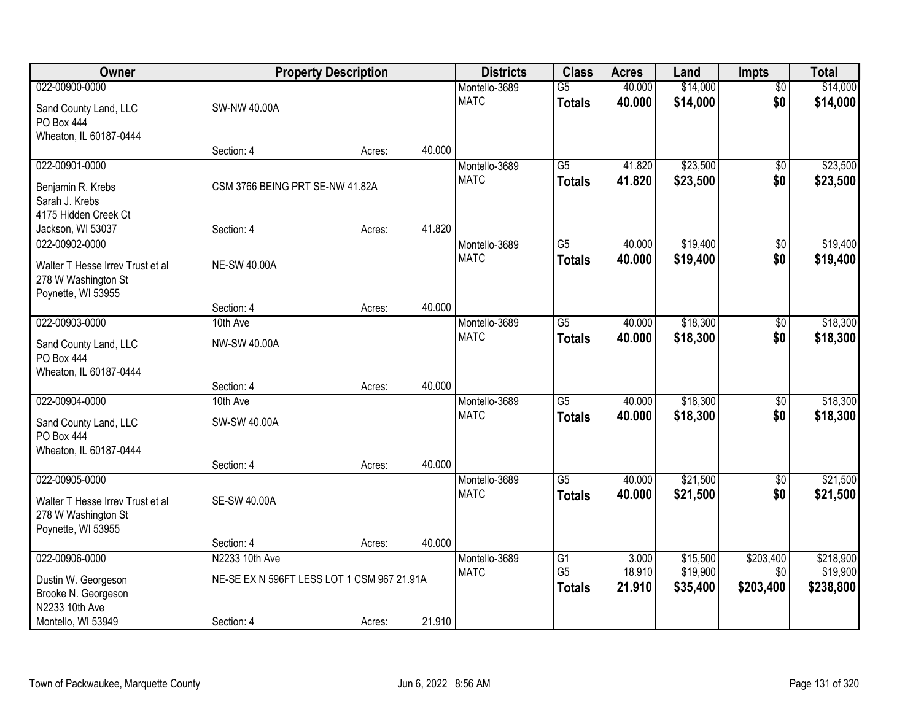| Owner                                 | <b>Property Description</b>                |        |        | <b>Districts</b>             | <b>Class</b>    | <b>Acres</b> | Land     | <b>Impts</b>    | <b>Total</b> |
|---------------------------------------|--------------------------------------------|--------|--------|------------------------------|-----------------|--------------|----------|-----------------|--------------|
| 022-00900-0000                        |                                            |        |        | Montello-3689                | $\overline{G5}$ | 40.000       | \$14,000 | $\overline{50}$ | \$14,000     |
| Sand County Land, LLC                 | <b>SW-NW 40.00A</b>                        |        |        | <b>MATC</b>                  | <b>Totals</b>   | 40.000       | \$14,000 | \$0             | \$14,000     |
| PO Box 444                            |                                            |        |        |                              |                 |              |          |                 |              |
| Wheaton, IL 60187-0444                |                                            |        |        |                              |                 |              |          |                 |              |
|                                       | Section: 4                                 | Acres: | 40.000 |                              |                 |              |          |                 |              |
| 022-00901-0000                        |                                            |        |        | Montello-3689                | $\overline{G5}$ | 41.820       | \$23,500 | \$0             | \$23,500     |
| Benjamin R. Krebs                     | CSM 3766 BEING PRT SE-NW 41.82A            |        |        | <b>MATC</b>                  | <b>Totals</b>   | 41.820       | \$23,500 | \$0             | \$23,500     |
| Sarah J. Krebs                        |                                            |        |        |                              |                 |              |          |                 |              |
| 4175 Hidden Creek Ct                  |                                            |        |        |                              |                 |              |          |                 |              |
| Jackson, WI 53037                     | Section: 4                                 | Acres: | 41.820 |                              |                 |              |          |                 |              |
| 022-00902-0000                        |                                            |        |        | Montello-3689                | G5              | 40.000       | \$19,400 | \$0             | \$19,400     |
| Walter T Hesse Irrev Trust et al      | <b>NE-SW 40.00A</b>                        |        |        | <b>MATC</b>                  | <b>Totals</b>   | 40.000       | \$19,400 | \$0             | \$19,400     |
| 278 W Washington St                   |                                            |        |        |                              |                 |              |          |                 |              |
| Poynette, WI 53955                    |                                            |        |        |                              |                 |              |          |                 |              |
|                                       | Section: 4                                 | Acres: | 40.000 |                              |                 |              |          |                 |              |
| 022-00903-0000                        | 10th Ave                                   |        |        | Montello-3689<br><b>MATC</b> | $\overline{G5}$ | 40.000       | \$18,300 | \$0             | \$18,300     |
| Sand County Land, LLC                 | NW-SW 40.00A                               |        |        |                              | <b>Totals</b>   | 40.000       | \$18,300 | \$0             | \$18,300     |
| PO Box 444                            |                                            |        |        |                              |                 |              |          |                 |              |
| Wheaton, IL 60187-0444                |                                            |        |        |                              |                 |              |          |                 |              |
| 022-00904-0000                        | Section: 4<br>10th Ave                     | Acres: | 40.000 |                              | $\overline{G5}$ | 40.000       | \$18,300 | \$0             | \$18,300     |
|                                       |                                            |        |        | Montello-3689<br><b>MATC</b> | <b>Totals</b>   | 40.000       | \$18,300 | \$0             | \$18,300     |
| Sand County Land, LLC                 | SW-SW 40.00A                               |        |        |                              |                 |              |          |                 |              |
| <b>PO Box 444</b>                     |                                            |        |        |                              |                 |              |          |                 |              |
| Wheaton, IL 60187-0444                |                                            |        | 40.000 |                              |                 |              |          |                 |              |
| 022-00905-0000                        | Section: 4                                 | Acres: |        | Montello-3689                | $\overline{G5}$ | 40.000       | \$21,500 | $\overline{60}$ | \$21,500     |
|                                       |                                            |        |        | <b>MATC</b>                  | <b>Totals</b>   | 40.000       | \$21,500 | \$0             | \$21,500     |
| Walter T Hesse Irrev Trust et al      | <b>SE-SW 40.00A</b>                        |        |        |                              |                 |              |          |                 |              |
| 278 W Washington St                   |                                            |        |        |                              |                 |              |          |                 |              |
| Poynette, WI 53955                    | Section: 4                                 | Acres: | 40.000 |                              |                 |              |          |                 |              |
| 022-00906-0000                        | N2233 10th Ave                             |        |        | Montello-3689                | $\overline{G1}$ | 3.000        | \$15,500 | \$203,400       | \$218,900    |
|                                       |                                            |        |        | <b>MATC</b>                  | G <sub>5</sub>  | 18.910       | \$19,900 | \$0             | \$19,900     |
| Dustin W. Georgeson                   | NE-SE EX N 596FT LESS LOT 1 CSM 967 21.91A |        |        |                              | <b>Totals</b>   | 21.910       | \$35,400 | \$203,400       | \$238,800    |
| Brooke N. Georgeson<br>N2233 10th Ave |                                            |        |        |                              |                 |              |          |                 |              |
| Montello, WI 53949                    | Section: 4                                 | Acres: | 21.910 |                              |                 |              |          |                 |              |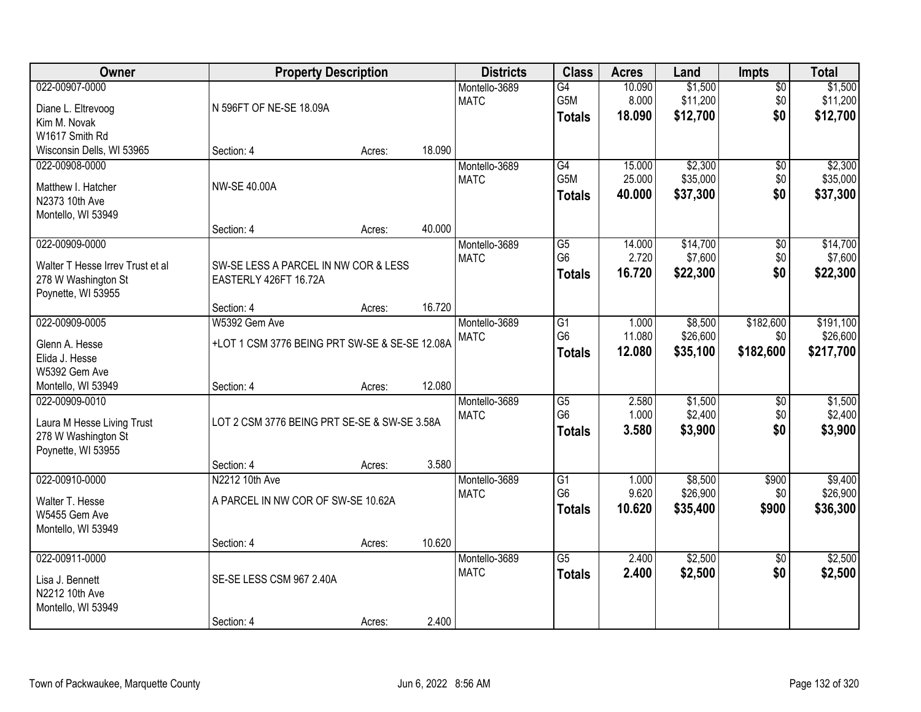| Owner                                                                                           | <b>Property Description</b>                                                                 |                  |                  | <b>Districts</b>             | <b>Class</b>                                       | <b>Acres</b>               | Land                            | <b>Impts</b>                  | <b>Total</b>                       |
|-------------------------------------------------------------------------------------------------|---------------------------------------------------------------------------------------------|------------------|------------------|------------------------------|----------------------------------------------------|----------------------------|---------------------------------|-------------------------------|------------------------------------|
| 022-00907-0000<br>Diane L. Eltrevoog<br>Kim M. Novak<br>W1617 Smith Rd                          | N 596FT OF NE-SE 18.09A                                                                     |                  |                  | Montello-3689<br><b>MATC</b> | G4<br>G5M<br><b>Totals</b>                         | 10.090<br>8.000<br>18.090  | \$1,500<br>\$11,200<br>\$12,700 | $\overline{50}$<br>\$0<br>\$0 | \$1,500<br>\$11,200<br>\$12,700    |
| Wisconsin Dells, WI 53965                                                                       | Section: 4                                                                                  | Acres:           | 18.090           |                              |                                                    |                            |                                 |                               |                                    |
| 022-00908-0000<br>Matthew I. Hatcher<br>N2373 10th Ave<br>Montello, WI 53949                    | <b>NW-SE 40.00A</b>                                                                         |                  |                  | Montello-3689<br><b>MATC</b> | G4<br>G <sub>5</sub> M<br><b>Totals</b>            | 15.000<br>25.000<br>40.000 | \$2,300<br>\$35,000<br>\$37,300 | \$0<br>\$0<br>\$0             | \$2,300<br>\$35,000<br>\$37,300    |
| 022-00909-0000<br>Walter T Hesse Irrev Trust et al<br>278 W Washington St<br>Poynette, WI 53955 | Section: 4<br>SW-SE LESS A PARCEL IN NW COR & LESS<br>EASTERLY 426FT 16.72A                 | Acres:           | 40.000           | Montello-3689<br><b>MATC</b> | $\overline{G5}$<br>G <sub>6</sub><br><b>Totals</b> | 14.000<br>2.720<br>16.720  | \$14,700<br>\$7,600<br>\$22,300 | \$0<br>\$0<br>\$0             | \$14,700<br>\$7,600<br>\$22,300    |
| 022-00909-0005<br>Glenn A. Hesse<br>Elida J. Hesse<br>W5392 Gem Ave<br>Montello, WI 53949       | Section: 4<br>W5392 Gem Ave<br>+LOT 1 CSM 3776 BEING PRT SW-SE & SE-SE 12.08A<br>Section: 4 | Acres:<br>Acres: | 16.720<br>12.080 | Montello-3689<br><b>MATC</b> | $\overline{G1}$<br>G <sub>6</sub><br><b>Totals</b> | 1.000<br>11.080<br>12.080  | \$8,500<br>\$26,600<br>\$35,100 | \$182,600<br>\$0<br>\$182,600 | \$191,100<br>\$26,600<br>\$217,700 |
| 022-00909-0010<br>Laura M Hesse Living Trust<br>278 W Washington St<br>Poynette, WI 53955       | LOT 2 CSM 3776 BEING PRT SE-SE & SW-SE 3.58A<br>Section: 4                                  | Acres:           | 3.580            | Montello-3689<br><b>MATC</b> | G5<br>G <sub>6</sub><br><b>Totals</b>              | 2.580<br>1.000<br>3.580    | \$1,500<br>\$2,400<br>\$3,900   | \$0<br>\$0<br>\$0             | \$1,500<br>\$2,400<br>\$3,900      |
| 022-00910-0000<br>Walter T. Hesse<br>W5455 Gem Ave<br>Montello, WI 53949                        | N2212 10th Ave<br>A PARCEL IN NW COR OF SW-SE 10.62A<br>Section: 4                          | Acres:           | 10.620           | Montello-3689<br><b>MATC</b> | $\overline{G1}$<br>G <sub>6</sub><br><b>Totals</b> | 1.000<br>9.620<br>10.620   | \$8,500<br>\$26,900<br>\$35,400 | \$900<br>\$0<br>\$900         | \$9,400<br>\$26,900<br>\$36,300    |
| 022-00911-0000<br>Lisa J. Bennett<br>N2212 10th Ave<br>Montello, WI 53949                       | SE-SE LESS CSM 967 2.40A<br>Section: 4                                                      | Acres:           | 2.400            | Montello-3689<br><b>MATC</b> | $\overline{G5}$<br><b>Totals</b>                   | 2.400<br>2.400             | \$2,500<br>\$2,500              | $\overline{50}$<br>\$0        | \$2,500<br>\$2,500                 |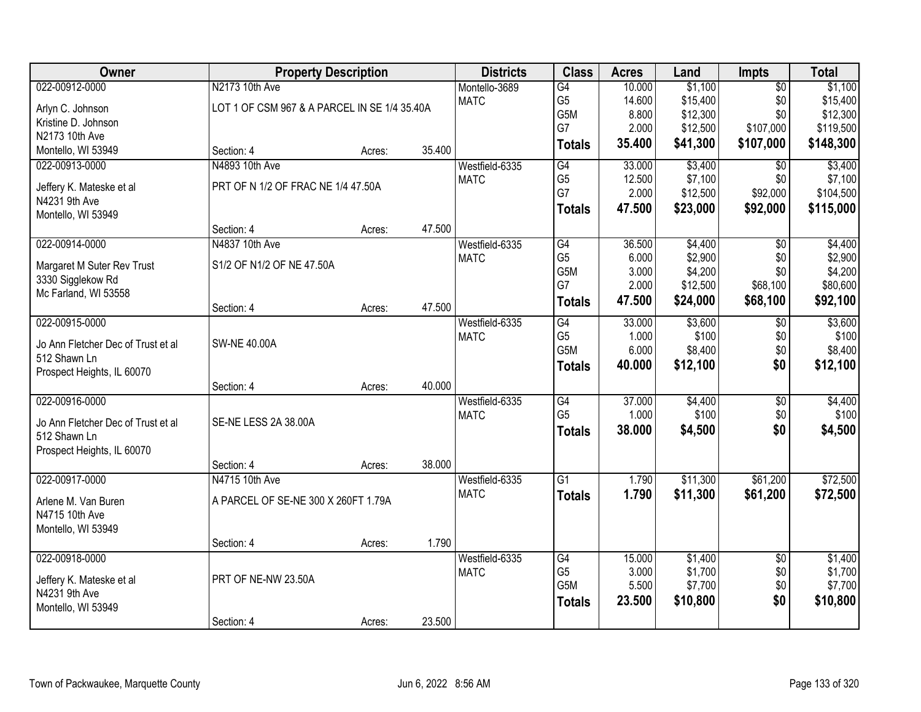| Owner                                     |                                              | <b>Property Description</b> |        | <b>Districts</b>              | <b>Class</b>     | <b>Acres</b> | Land             | <b>Impts</b>           | <b>Total</b>     |
|-------------------------------------------|----------------------------------------------|-----------------------------|--------|-------------------------------|------------------|--------------|------------------|------------------------|------------------|
| 022-00912-0000                            | N2173 10th Ave                               |                             |        | Montello-3689                 | G4               | 10.000       | \$1,100          | $\overline{50}$        | \$1,100          |
| Arlyn C. Johnson                          | LOT 1 OF CSM 967 & A PARCEL IN SE 1/4 35.40A |                             |        | <b>MATC</b>                   | G <sub>5</sub>   | 14.600       | \$15,400         | \$0                    | \$15,400         |
| Kristine D. Johnson                       |                                              |                             |        |                               | G <sub>5</sub> M | 8.800        | \$12,300         | \$0                    | \$12,300         |
| N2173 10th Ave                            |                                              |                             |        |                               | G7               | 2.000        | \$12,500         | \$107,000              | \$119,500        |
| Montello, WI 53949                        | Section: 4                                   | Acres:                      | 35.400 |                               | <b>Totals</b>    | 35.400       | \$41,300         | \$107,000              | \$148,300        |
| 022-00913-0000                            | N4893 10th Ave                               |                             |        | Westfield-6335                | G4               | 33.000       | \$3,400          | \$0                    | \$3,400          |
|                                           | PRT OF N 1/2 OF FRAC NE 1/4 47.50A           |                             |        | <b>MATC</b>                   | G <sub>5</sub>   | 12.500       | \$7,100          | \$0                    | \$7,100          |
| Jeffery K. Mateske et al<br>N4231 9th Ave |                                              |                             |        |                               | G7               | 2.000        | \$12,500         | \$92,000               | \$104,500        |
| Montello, WI 53949                        |                                              |                             |        |                               | <b>Totals</b>    | 47.500       | \$23,000         | \$92,000               | \$115,000        |
|                                           | Section: 4                                   | Acres:                      | 47.500 |                               |                  |              |                  |                        |                  |
| 022-00914-0000                            | N4837 10th Ave                               |                             |        | Westfield-6335                | G4               | 36.500       | \$4,400          | \$0                    | \$4,400          |
|                                           |                                              |                             |        | <b>MATC</b>                   | G <sub>5</sub>   | 6.000        | \$2,900          | \$0                    | \$2,900          |
| Margaret M Suter Rev Trust                | S1/2 OF N1/2 OF NE 47.50A                    |                             |        |                               | G5M              | 3.000        | \$4,200          | \$0                    | \$4,200          |
| 3330 Sigglekow Rd<br>Mc Farland, WI 53558 |                                              |                             |        |                               | G7               | 2.000        | \$12,500         | \$68,100               | \$80,600         |
|                                           | Section: 4                                   | Acres:                      | 47.500 |                               | <b>Totals</b>    | 47.500       | \$24,000         | \$68,100               | \$92,100         |
| 022-00915-0000                            |                                              |                             |        | Westfield-6335                | $\overline{G4}$  | 33.000       | \$3,600          | \$0                    | \$3,600          |
|                                           |                                              |                             |        | <b>MATC</b>                   | G <sub>5</sub>   | 1.000        | \$100            | \$0                    | \$100            |
| Jo Ann Fletcher Dec of Trust et al        | <b>SW-NE 40.00A</b>                          |                             |        |                               | G5M              | 6.000        | \$8,400          | \$0                    | \$8,400          |
| 512 Shawn Ln                              |                                              |                             |        |                               | <b>Totals</b>    | 40.000       | \$12,100         | \$0                    | \$12,100         |
| Prospect Heights, IL 60070                |                                              |                             | 40.000 |                               |                  |              |                  |                        |                  |
| 022-00916-0000                            | Section: 4                                   | Acres:                      |        |                               | $\overline{G4}$  | 37.000       |                  |                        |                  |
|                                           |                                              |                             |        | Westfield-6335<br><b>MATC</b> | G <sub>5</sub>   | 1.000        | \$4,400<br>\$100 | $\overline{50}$<br>\$0 | \$4,400<br>\$100 |
| Jo Ann Fletcher Dec of Trust et al        | SE-NE LESS 2A 38.00A                         |                             |        |                               |                  | 38.000       | \$4,500          | \$0                    | \$4,500          |
| 512 Shawn Ln                              |                                              |                             |        |                               | <b>Totals</b>    |              |                  |                        |                  |
| Prospect Heights, IL 60070                |                                              |                             |        |                               |                  |              |                  |                        |                  |
|                                           | Section: 4                                   | Acres:                      | 38.000 |                               |                  |              |                  |                        |                  |
| 022-00917-0000                            | N4715 10th Ave                               |                             |        | Westfield-6335                | $\overline{G1}$  | 1.790        | \$11,300         | \$61,200               | \$72,500         |
| Arlene M. Van Buren                       | A PARCEL OF SE-NE 300 X 260FT 1.79A          |                             |        | <b>MATC</b>                   | <b>Totals</b>    | 1.790        | \$11,300         | \$61,200               | \$72,500         |
| N4715 10th Ave                            |                                              |                             |        |                               |                  |              |                  |                        |                  |
| Montello, WI 53949                        |                                              |                             |        |                               |                  |              |                  |                        |                  |
|                                           | Section: 4                                   | Acres:                      | 1.790  |                               |                  |              |                  |                        |                  |
| 022-00918-0000                            |                                              |                             |        | Westfield-6335                | G4               | 15.000       | \$1,400          | $\overline{30}$        | \$1,400          |
| Jeffery K. Mateske et al                  | PRT OF NE-NW 23.50A                          |                             |        | <b>MATC</b>                   | G <sub>5</sub>   | 3.000        | \$1,700          | \$0                    | \$1,700          |
| N4231 9th Ave                             |                                              |                             |        |                               | G5M              | 5.500        | \$7,700          | \$0                    | \$7,700          |
| Montello, WI 53949                        |                                              |                             |        |                               | <b>Totals</b>    | 23.500       | \$10,800         | \$0                    | \$10,800         |
|                                           | Section: 4                                   | Acres:                      | 23.500 |                               |                  |              |                  |                        |                  |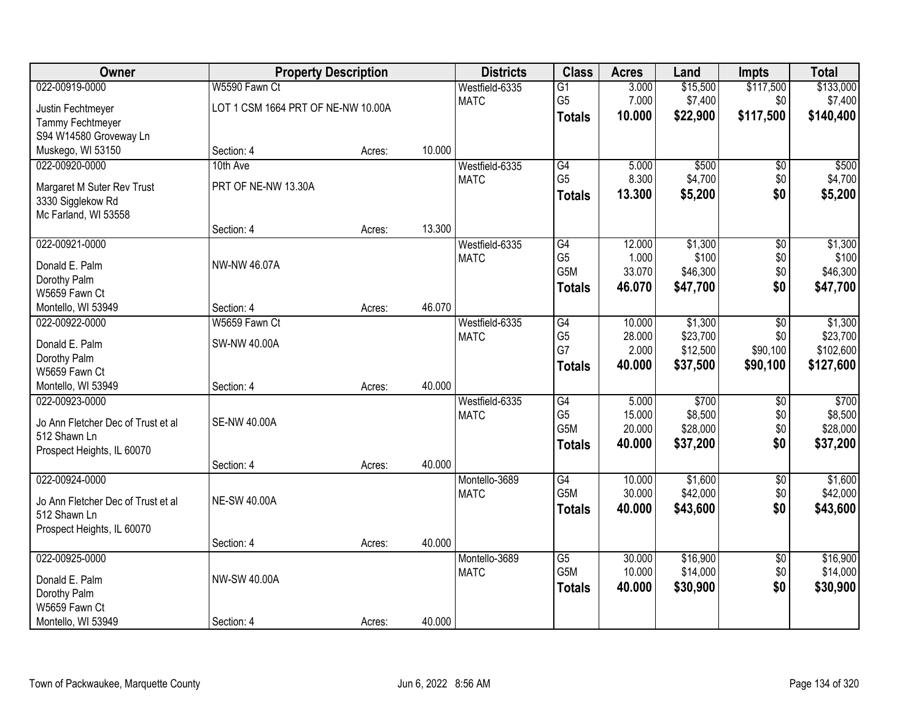| Owner                              | <b>Property Description</b>        |        |        | <b>Districts</b> | <b>Class</b>          | <b>Acres</b>     | Land                | <b>Impts</b>    | <b>Total</b>        |
|------------------------------------|------------------------------------|--------|--------|------------------|-----------------------|------------------|---------------------|-----------------|---------------------|
| 022-00919-0000                     | W5590 Fawn Ct                      |        |        | Westfield-6335   | $\overline{G1}$       | 3.000            | \$15,500            | \$117,500       | \$133,000           |
| Justin Fechtmeyer                  | LOT 1 CSM 1664 PRT OF NE-NW 10.00A |        |        | <b>MATC</b>      | G <sub>5</sub>        | 7.000            | \$7,400             | \$0             | \$7,400             |
| Tammy Fechtmeyer                   |                                    |        |        |                  | <b>Totals</b>         | 10.000           | \$22,900            | \$117,500       | \$140,400           |
| S94 W14580 Groveway Ln             |                                    |        |        |                  |                       |                  |                     |                 |                     |
| Muskego, WI 53150                  | Section: 4                         | Acres: | 10.000 |                  |                       |                  |                     |                 |                     |
| 022-00920-0000                     | 10th Ave                           |        |        | Westfield-6335   | G4                    | 5.000            | \$500               | \$0             | \$500               |
| Margaret M Suter Rev Trust         | PRT OF NE-NW 13.30A                |        |        | <b>MATC</b>      | G <sub>5</sub>        | 8.300            | \$4,700             | \$0             | \$4,700             |
| 3330 Sigglekow Rd                  |                                    |        |        |                  | <b>Totals</b>         | 13.300           | \$5,200             | \$0             | \$5,200             |
| Mc Farland, WI 53558               |                                    |        |        |                  |                       |                  |                     |                 |                     |
|                                    | Section: 4                         | Acres: | 13.300 |                  |                       |                  |                     |                 |                     |
| 022-00921-0000                     |                                    |        |        | Westfield-6335   | G4                    | 12.000           | \$1,300             | $\overline{50}$ | \$1,300             |
|                                    | NW-NW 46.07A                       |        |        | <b>MATC</b>      | G <sub>5</sub>        | 1.000            | \$100               | \$0             | \$100               |
| Donald E. Palm<br>Dorothy Palm     |                                    |        |        |                  | G <sub>5</sub> M      | 33.070           | \$46,300            | \$0             | \$46,300            |
| W5659 Fawn Ct                      |                                    |        |        |                  | <b>Totals</b>         | 46.070           | \$47,700            | \$0             | \$47,700            |
| Montello, WI 53949                 | Section: 4                         | Acres: | 46.070 |                  |                       |                  |                     |                 |                     |
| 022-00922-0000                     | W5659 Fawn Ct                      |        |        | Westfield-6335   | G4                    | 10.000           | \$1,300             | \$0             | \$1,300             |
|                                    |                                    |        |        | <b>MATC</b>      | G <sub>5</sub>        | 28.000           | \$23,700            | \$0             | \$23,700            |
| Donald E. Palm                     | SW-NW 40.00A                       |        |        |                  | G7                    | 2.000            | \$12,500            | \$90,100        | \$102,600           |
| Dorothy Palm                       |                                    |        |        |                  | <b>Totals</b>         | 40.000           | \$37,500            | \$90,100        | \$127,600           |
| W5659 Fawn Ct                      |                                    |        |        |                  |                       |                  |                     |                 |                     |
| Montello, WI 53949                 | Section: 4                         | Acres: | 40.000 |                  |                       |                  |                     |                 |                     |
| 022-00923-0000                     |                                    |        |        | Westfield-6335   | G4                    | 5.000            | \$700               | $\overline{50}$ | \$700               |
| Jo Ann Fletcher Dec of Trust et al | <b>SE-NW 40.00A</b>                |        |        | <b>MATC</b>      | G <sub>5</sub><br>G5M | 15.000<br>20.000 | \$8,500<br>\$28,000 | \$0<br>\$0      | \$8,500<br>\$28,000 |
| 512 Shawn Ln                       |                                    |        |        |                  |                       | 40.000           | \$37,200            | \$0             | \$37,200            |
| Prospect Heights, IL 60070         |                                    |        |        |                  | <b>Totals</b>         |                  |                     |                 |                     |
|                                    | Section: 4                         | Acres: | 40.000 |                  |                       |                  |                     |                 |                     |
| 022-00924-0000                     |                                    |        |        | Montello-3689    | G4                    | 10.000           | \$1,600             | $\sqrt{6}$      | \$1,600             |
| Jo Ann Fletcher Dec of Trust et al | <b>NE-SW 40.00A</b>                |        |        | <b>MATC</b>      | G5M                   | 30.000           | \$42,000            | \$0             | \$42,000            |
| 512 Shawn Ln                       |                                    |        |        |                  | <b>Totals</b>         | 40.000           | \$43,600            | \$0             | \$43,600            |
| Prospect Heights, IL 60070         |                                    |        |        |                  |                       |                  |                     |                 |                     |
|                                    | Section: 4                         | Acres: | 40.000 |                  |                       |                  |                     |                 |                     |
| 022-00925-0000                     |                                    |        |        | Montello-3689    | $\overline{G5}$       | 30.000           | \$16,900            | $\overline{30}$ | \$16,900            |
| Donald E. Palm                     | NW-SW 40.00A                       |        |        | <b>MATC</b>      | G5M                   | 10.000           | \$14,000            | \$0             | \$14,000            |
| Dorothy Palm                       |                                    |        |        |                  | <b>Totals</b>         | 40.000           | \$30,900            | \$0             | \$30,900            |
| W5659 Fawn Ct                      |                                    |        |        |                  |                       |                  |                     |                 |                     |
| Montello, WI 53949                 | Section: 4                         | Acres: | 40.000 |                  |                       |                  |                     |                 |                     |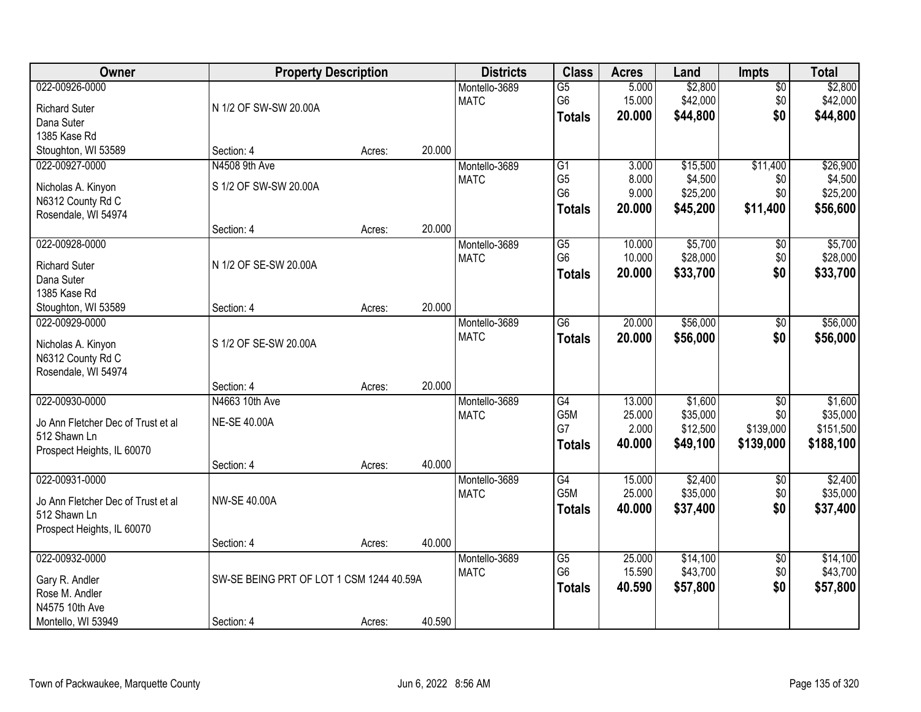| Owner                                                                                              | <b>Property Description</b>                            |                  |        | <b>Districts</b>             | <b>Class</b>                                                         | <b>Acres</b>                        | Land                                        | <b>Impts</b>                                     | <b>Total</b>                                  |
|----------------------------------------------------------------------------------------------------|--------------------------------------------------------|------------------|--------|------------------------------|----------------------------------------------------------------------|-------------------------------------|---------------------------------------------|--------------------------------------------------|-----------------------------------------------|
| 022-00926-0000<br><b>Richard Suter</b><br>Dana Suter<br>1385 Kase Rd                               | N 1/2 OF SW-SW 20.00A                                  |                  |        | Montello-3689<br><b>MATC</b> | $\overline{G5}$<br>G <sub>6</sub><br><b>Totals</b>                   | 5.000<br>15.000<br>20.000           | \$2,800<br>\$42,000<br>\$44,800             | \$0<br>\$0<br>\$0                                | \$2,800<br>\$42,000<br>\$44,800               |
| Stoughton, WI 53589                                                                                | Section: 4                                             | Acres:           | 20.000 |                              |                                                                      |                                     |                                             |                                                  |                                               |
| 022-00927-0000<br>Nicholas A. Kinyon<br>N6312 County Rd C<br>Rosendale, WI 54974                   | N4508 9th Ave<br>S 1/2 OF SW-SW 20.00A                 |                  | 20.000 | Montello-3689<br><b>MATC</b> | $\overline{G1}$<br>G <sub>5</sub><br>G <sub>6</sub><br><b>Totals</b> | 3.000<br>8.000<br>9.000<br>20.000   | \$15,500<br>\$4,500<br>\$25,200<br>\$45,200 | \$11,400<br>\$0<br>\$0<br>\$11,400               | \$26,900<br>\$4,500<br>\$25,200<br>\$56,600   |
| 022-00928-0000<br><b>Richard Suter</b><br>Dana Suter<br>1385 Kase Rd<br>Stoughton, WI 53589        | Section: 4<br>N 1/2 OF SE-SW 20.00A<br>Section: 4      | Acres:<br>Acres: | 20.000 | Montello-3689<br><b>MATC</b> | $\overline{G5}$<br>G <sub>6</sub><br><b>Totals</b>                   | 10.000<br>10.000<br>20.000          | \$5,700<br>\$28,000<br>\$33,700             | \$0<br>\$0<br>\$0                                | \$5,700<br>\$28,000<br>\$33,700               |
| 022-00929-0000<br>Nicholas A. Kinyon<br>N6312 County Rd C<br>Rosendale, WI 54974                   | S 1/2 OF SE-SW 20.00A<br>Section: 4                    | Acres:           | 20.000 | Montello-3689<br><b>MATC</b> | $\overline{G6}$<br><b>Totals</b>                                     | 20.000<br>20.000                    | \$56,000<br>\$56,000                        | $\sqrt[6]{3}$<br>\$0                             | \$56,000<br>\$56,000                          |
| 022-00930-0000<br>Jo Ann Fletcher Dec of Trust et al<br>512 Shawn Ln<br>Prospect Heights, IL 60070 | N4663 10th Ave<br><b>NE-SE 40.00A</b><br>Section: 4    | Acres:           | 40.000 | Montello-3689<br><b>MATC</b> | G4<br>G <sub>5</sub> M<br>G7<br><b>Totals</b>                        | 13.000<br>25.000<br>2.000<br>40.000 | \$1,600<br>\$35,000<br>\$12,500<br>\$49,100 | $\overline{50}$<br>\$0<br>\$139,000<br>\$139,000 | \$1,600<br>\$35,000<br>\$151,500<br>\$188,100 |
| 022-00931-0000<br>Jo Ann Fletcher Dec of Trust et al<br>512 Shawn Ln<br>Prospect Heights, IL 60070 | <b>NW-SE 40.00A</b><br>Section: 4                      | Acres:           | 40.000 | Montello-3689<br><b>MATC</b> | G4<br>G5M<br><b>Totals</b>                                           | 15.000<br>25.000<br>40.000          | \$2,400<br>\$35,000<br>\$37,400             | \$0<br>\$0<br>\$0                                | \$2,400<br>\$35,000<br>\$37,400               |
| 022-00932-0000<br>Gary R. Andler<br>Rose M. Andler<br>N4575 10th Ave<br>Montello, WI 53949         | SW-SE BEING PRT OF LOT 1 CSM 1244 40.59A<br>Section: 4 | Acres:           | 40.590 | Montello-3689<br><b>MATC</b> | G5<br>G <sub>6</sub><br><b>Totals</b>                                | 25.000<br>15.590<br>40.590          | \$14,100<br>\$43,700<br>\$57,800            | $\overline{60}$<br>\$0<br>\$0                    | \$14,100<br>\$43,700<br>\$57,800              |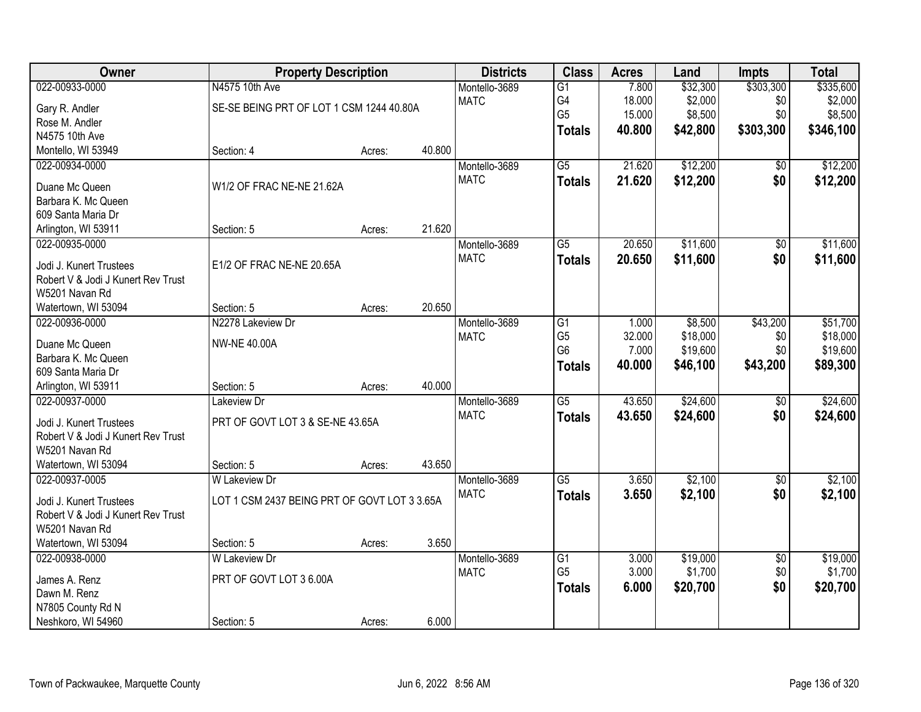| Owner                                 | <b>Property Description</b>                  |        |        | <b>Districts</b> | <b>Class</b>    | <b>Acres</b> | Land     | <b>Impts</b>    | <b>Total</b> |
|---------------------------------------|----------------------------------------------|--------|--------|------------------|-----------------|--------------|----------|-----------------|--------------|
| 022-00933-0000                        | N4575 10th Ave                               |        |        | Montello-3689    | $\overline{G1}$ | 7.800        | \$32,300 | \$303,300       | \$335,600    |
| Gary R. Andler                        | SE-SE BEING PRT OF LOT 1 CSM 1244 40.80A     |        |        | <b>MATC</b>      | G4              | 18.000       | \$2,000  | \$0             | \$2,000      |
| Rose M. Andler                        |                                              |        |        |                  | G <sub>5</sub>  | 15.000       | \$8,500  | \$0             | \$8,500      |
| N4575 10th Ave                        |                                              |        |        |                  | <b>Totals</b>   | 40.800       | \$42,800 | \$303,300       | \$346,100    |
| Montello, WI 53949                    | Section: 4                                   | Acres: | 40.800 |                  |                 |              |          |                 |              |
| 022-00934-0000                        |                                              |        |        | Montello-3689    | $\overline{G5}$ | 21.620       | \$12,200 | \$0             | \$12,200     |
|                                       |                                              |        |        | <b>MATC</b>      | <b>Totals</b>   | 21.620       | \$12,200 | \$0             | \$12,200     |
| Duane Mc Queen                        | W1/2 OF FRAC NE-NE 21.62A                    |        |        |                  |                 |              |          |                 |              |
| Barbara K. Mc Queen                   |                                              |        |        |                  |                 |              |          |                 |              |
| 609 Santa Maria Dr                    |                                              |        |        |                  |                 |              |          |                 |              |
| Arlington, WI 53911                   | Section: 5                                   | Acres: | 21.620 |                  |                 |              |          |                 |              |
| 022-00935-0000                        |                                              |        |        | Montello-3689    | G5              | 20.650       | \$11,600 | \$0             | \$11,600     |
| Jodi J. Kunert Trustees               | E1/2 OF FRAC NE-NE 20.65A                    |        |        | <b>MATC</b>      | <b>Totals</b>   | 20.650       | \$11,600 | \$0             | \$11,600     |
| Robert V & Jodi J Kunert Rev Trust    |                                              |        |        |                  |                 |              |          |                 |              |
| W5201 Navan Rd                        |                                              |        |        |                  |                 |              |          |                 |              |
| Watertown, WI 53094                   | Section: 5                                   | Acres: | 20.650 |                  |                 |              |          |                 |              |
| 022-00936-0000                        | N2278 Lakeview Dr                            |        |        | Montello-3689    | G1              | 1.000        | \$8,500  | \$43,200        | \$51,700     |
|                                       | <b>NW-NE 40.00A</b>                          |        |        | <b>MATC</b>      | G <sub>5</sub>  | 32.000       | \$18,000 | \$0             | \$18,000     |
| Duane Mc Queen<br>Barbara K. Mc Queen |                                              |        |        |                  | G <sub>6</sub>  | 7.000        | \$19,600 | \$0             | \$19,600     |
| 609 Santa Maria Dr                    |                                              |        |        |                  | <b>Totals</b>   | 40.000       | \$46,100 | \$43,200        | \$89,300     |
| Arlington, WI 53911                   | Section: 5                                   | Acres: | 40.000 |                  |                 |              |          |                 |              |
| 022-00937-0000                        | Lakeview Dr                                  |        |        | Montello-3689    | $\overline{G5}$ | 43.650       | \$24,600 | \$0             | \$24,600     |
|                                       |                                              |        |        | <b>MATC</b>      |                 | 43.650       |          |                 |              |
| Jodi J. Kunert Trustees               | PRT OF GOVT LOT 3 & SE-NE 43.65A             |        |        |                  | <b>Totals</b>   |              | \$24,600 | \$0             | \$24,600     |
| Robert V & Jodi J Kunert Rev Trust    |                                              |        |        |                  |                 |              |          |                 |              |
| W5201 Navan Rd                        |                                              |        |        |                  |                 |              |          |                 |              |
| Watertown, WI 53094                   | Section: 5                                   | Acres: | 43.650 |                  |                 |              |          |                 |              |
| 022-00937-0005                        | W Lakeview Dr                                |        |        | Montello-3689    | $\overline{G5}$ | 3.650        | \$2,100  | $\overline{60}$ | \$2,100      |
| Jodi J. Kunert Trustees               | LOT 1 CSM 2437 BEING PRT OF GOVT LOT 3 3.65A |        |        | <b>MATC</b>      | <b>Totals</b>   | 3.650        | \$2,100  | \$0             | \$2,100      |
| Robert V & Jodi J Kunert Rev Trust    |                                              |        |        |                  |                 |              |          |                 |              |
| W5201 Navan Rd                        |                                              |        |        |                  |                 |              |          |                 |              |
| Watertown, WI 53094                   | Section: 5                                   | Acres: | 3.650  |                  |                 |              |          |                 |              |
| 022-00938-0000                        | <b>W Lakeview Dr</b>                         |        |        | Montello-3689    | $\overline{G1}$ | 3.000        | \$19,000 | $\overline{50}$ | \$19,000     |
|                                       |                                              |        |        | <b>MATC</b>      | G <sub>5</sub>  | 3.000        | \$1,700  | \$0             | \$1,700      |
| James A. Renz                         | PRT OF GOVT LOT 3 6.00A                      |        |        |                  | <b>Totals</b>   | 6.000        | \$20,700 | \$0             | \$20,700     |
| Dawn M. Renz                          |                                              |        |        |                  |                 |              |          |                 |              |
| N7805 County Rd N                     |                                              |        |        |                  |                 |              |          |                 |              |
| Neshkoro, WI 54960                    | Section: 5                                   | Acres: | 6.000  |                  |                 |              |          |                 |              |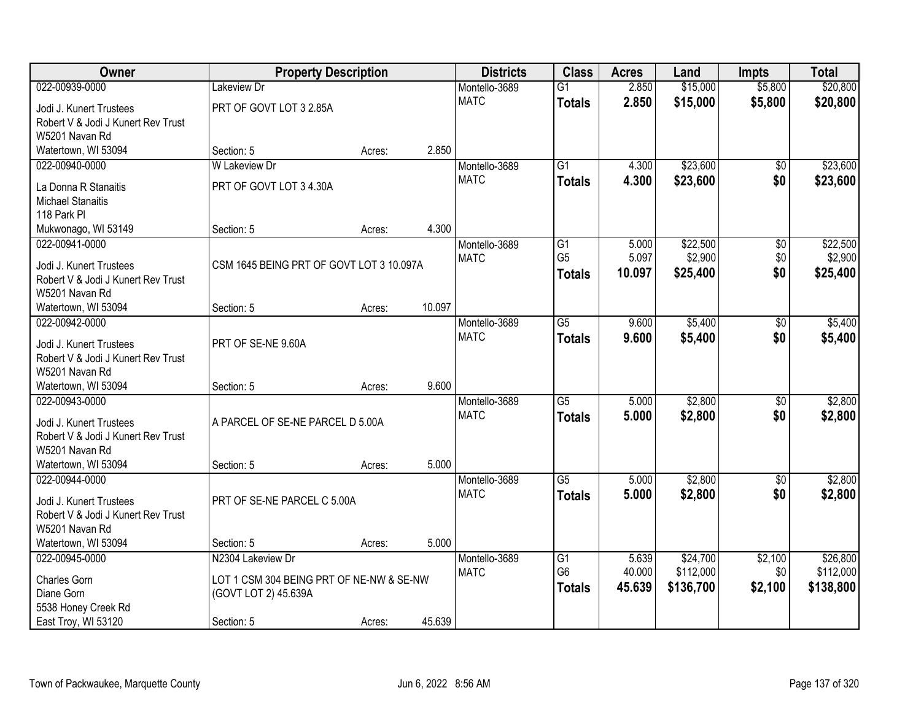| Owner                                                | <b>Property Description</b>              |        |        | <b>Districts</b> | <b>Class</b>    | <b>Acres</b> | Land      | <b>Impts</b>    | <b>Total</b> |
|------------------------------------------------------|------------------------------------------|--------|--------|------------------|-----------------|--------------|-----------|-----------------|--------------|
| 022-00939-0000                                       | Lakeview Dr                              |        |        | Montello-3689    | $\overline{G1}$ | 2.850        | \$15,000  | \$5,800         | \$20,800     |
| Jodi J. Kunert Trustees                              | PRT OF GOVT LOT 3 2.85A                  |        |        | <b>MATC</b>      | <b>Totals</b>   | 2.850        | \$15,000  | \$5,800         | \$20,800     |
| Robert V & Jodi J Kunert Rev Trust                   |                                          |        |        |                  |                 |              |           |                 |              |
| W5201 Navan Rd                                       |                                          |        |        |                  |                 |              |           |                 |              |
| Watertown, WI 53094                                  | Section: 5                               | Acres: | 2.850  |                  |                 |              |           |                 |              |
| 022-00940-0000                                       | <b>W Lakeview Dr</b>                     |        |        | Montello-3689    | $\overline{G1}$ | 4.300        | \$23,600  | \$0             | \$23,600     |
|                                                      | PRT OF GOVT LOT 3 4.30A                  |        |        | <b>MATC</b>      | <b>Totals</b>   | 4.300        | \$23,600  | \$0             | \$23,600     |
| La Donna R Stanaitis<br><b>Michael Stanaitis</b>     |                                          |        |        |                  |                 |              |           |                 |              |
| 118 Park PI                                          |                                          |        |        |                  |                 |              |           |                 |              |
| Mukwonago, WI 53149                                  | Section: 5                               | Acres: | 4.300  |                  |                 |              |           |                 |              |
| 022-00941-0000                                       |                                          |        |        | Montello-3689    | $\overline{G1}$ | 5.000        | \$22,500  | $\overline{50}$ | \$22,500     |
|                                                      |                                          |        |        | <b>MATC</b>      | G <sub>5</sub>  | 5.097        | \$2,900   | \$0             | \$2,900      |
| Jodi J. Kunert Trustees                              | CSM 1645 BEING PRT OF GOVT LOT 3 10.097A |        |        |                  | <b>Totals</b>   | 10.097       | \$25,400  | \$0             | \$25,400     |
| Robert V & Jodi J Kunert Rev Trust                   |                                          |        |        |                  |                 |              |           |                 |              |
| W5201 Navan Rd                                       |                                          |        |        |                  |                 |              |           |                 |              |
| Watertown, WI 53094                                  | Section: 5                               | Acres: | 10.097 |                  |                 |              |           |                 |              |
| 022-00942-0000                                       |                                          |        |        | Montello-3689    | $\overline{G5}$ | 9.600        | \$5,400   | \$0             | \$5,400      |
| Jodi J. Kunert Trustees                              | PRT OF SE-NE 9.60A                       |        |        | <b>MATC</b>      | <b>Totals</b>   | 9.600        | \$5,400   | \$0             | \$5,400      |
| Robert V & Jodi J Kunert Rev Trust                   |                                          |        |        |                  |                 |              |           |                 |              |
| W5201 Navan Rd                                       |                                          |        |        |                  |                 |              |           |                 |              |
| Watertown, WI 53094                                  | Section: 5                               | Acres: | 9.600  |                  |                 |              |           |                 |              |
| 022-00943-0000                                       |                                          |        |        | Montello-3689    | $\overline{G5}$ | 5.000        | \$2,800   | $\overline{50}$ | \$2,800      |
|                                                      | A PARCEL OF SE-NE PARCEL D 5.00A         |        |        | <b>MATC</b>      | <b>Totals</b>   | 5.000        | \$2,800   | \$0             | \$2,800      |
| Jodi J. Kunert Trustees                              |                                          |        |        |                  |                 |              |           |                 |              |
| Robert V & Jodi J Kunert Rev Trust<br>W5201 Navan Rd |                                          |        |        |                  |                 |              |           |                 |              |
| Watertown, WI 53094                                  | Section: 5                               | Acres: | 5.000  |                  |                 |              |           |                 |              |
| 022-00944-0000                                       |                                          |        |        | Montello-3689    | $\overline{G5}$ | 5.000        | \$2,800   | \$0             | \$2,800      |
|                                                      |                                          |        |        | <b>MATC</b>      | <b>Totals</b>   | 5.000        | \$2,800   | \$0             | \$2,800      |
| Jodi J. Kunert Trustees                              | PRT OF SE-NE PARCEL C 5.00A              |        |        |                  |                 |              |           |                 |              |
| Robert V & Jodi J Kunert Rev Trust                   |                                          |        |        |                  |                 |              |           |                 |              |
| W5201 Navan Rd                                       |                                          |        |        |                  |                 |              |           |                 |              |
| Watertown, WI 53094                                  | Section: 5                               | Acres: | 5.000  |                  |                 |              |           |                 |              |
| 022-00945-0000                                       | N2304 Lakeview Dr                        |        |        | Montello-3689    | G1              | 5.639        | \$24,700  | \$2,100         | \$26,800     |
| Charles Gorn                                         | LOT 1 CSM 304 BEING PRT OF NE-NW & SE-NW |        |        | <b>MATC</b>      | G <sub>6</sub>  | 40.000       | \$112,000 | \$0             | \$112,000    |
| Diane Gorn                                           | (GOVT LOT 2) 45.639A                     |        |        |                  | <b>Totals</b>   | 45.639       | \$136,700 | \$2,100         | \$138,800    |
| 5538 Honey Creek Rd                                  |                                          |        |        |                  |                 |              |           |                 |              |
| East Troy, WI 53120                                  | Section: 5                               | Acres: | 45.639 |                  |                 |              |           |                 |              |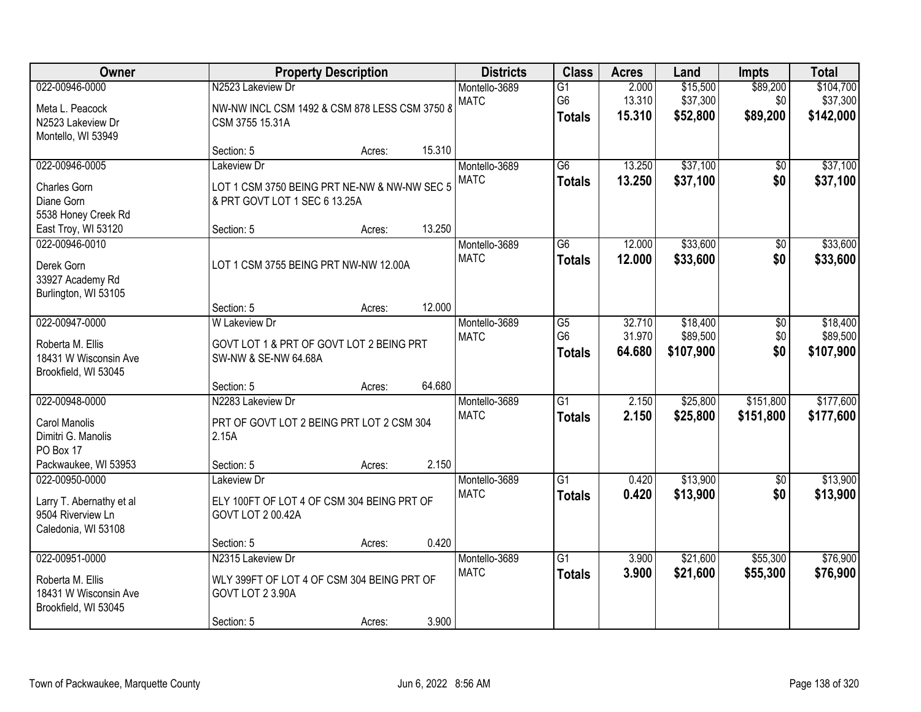| Owner                                                                                             |                                                                                                   | <b>Property Description</b> |        | <b>Districts</b>             | <b>Class</b>                           | <b>Acres</b>               | Land                              | <b>Impts</b>                | <b>Total</b>                       |
|---------------------------------------------------------------------------------------------------|---------------------------------------------------------------------------------------------------|-----------------------------|--------|------------------------------|----------------------------------------|----------------------------|-----------------------------------|-----------------------------|------------------------------------|
| 022-00946-0000<br>Meta L. Peacock<br>N2523 Lakeview Dr<br>Montello, WI 53949                      | N2523 Lakeview Dr<br>NW-NW INCL CSM 1492 & CSM 878 LESS CSM 3750 8<br>CSM 3755 15.31A             |                             |        | Montello-3689<br><b>MATC</b> | $\overline{G1}$<br>G6<br><b>Totals</b> | 2.000<br>13.310<br>15.310  | \$15,500<br>\$37,300<br>\$52,800  | \$89,200<br>\$0<br>\$89,200 | \$104,700<br>\$37,300<br>\$142,000 |
|                                                                                                   | Section: 5                                                                                        | Acres:                      | 15.310 |                              |                                        |                            |                                   |                             |                                    |
| 022-00946-0005<br><b>Charles Gorn</b><br>Diane Gorn<br>5538 Honey Creek Rd                        | Lakeview Dr<br>LOT 1 CSM 3750 BEING PRT NE-NW & NW-NW SEC 5<br>& PRT GOVT LOT 1 SEC 6 13.25A      |                             |        | Montello-3689<br><b>MATC</b> | $\overline{G6}$<br><b>Totals</b>       | 13.250<br>13.250           | \$37,100<br>\$37,100              | \$0<br>\$0                  | \$37,100<br>\$37,100               |
| East Troy, WI 53120                                                                               | Section: 5                                                                                        | Acres:                      | 13.250 |                              |                                        |                            |                                   |                             |                                    |
| 022-00946-0010<br>Derek Gorn<br>33927 Academy Rd<br>Burlington, WI 53105                          | LOT 1 CSM 3755 BEING PRT NW-NW 12.00A                                                             |                             |        | Montello-3689<br><b>MATC</b> | G6<br><b>Totals</b>                    | 12.000<br>12.000           | \$33,600<br>\$33,600              | \$0<br>\$0                  | \$33,600<br>\$33,600               |
|                                                                                                   | Section: 5                                                                                        | Acres:                      | 12.000 |                              |                                        |                            |                                   |                             |                                    |
| 022-00947-0000<br>Roberta M. Ellis<br>18431 W Wisconsin Ave<br>Brookfield, WI 53045               | <b>W</b> Lakeview Dr<br>GOVT LOT 1 & PRT OF GOVT LOT 2 BEING PRT<br>SW-NW & SE-NW 64.68A          |                             |        | Montello-3689<br><b>MATC</b> | G5<br>G <sub>6</sub><br><b>Totals</b>  | 32.710<br>31.970<br>64.680 | \$18,400<br>\$89,500<br>\$107,900 | \$0<br>\$0<br>\$0           | \$18,400<br>\$89,500<br>\$107,900  |
|                                                                                                   | Section: 5                                                                                        | Acres:                      | 64.680 |                              |                                        |                            |                                   |                             |                                    |
| 022-00948-0000<br><b>Carol Manolis</b><br>Dimitri G. Manolis<br>PO Box 17<br>Packwaukee, WI 53953 | N2283 Lakeview Dr<br>PRT OF GOVT LOT 2 BEING PRT LOT 2 CSM 304<br>2.15A<br>Section: 5             | Acres:                      | 2.150  | Montello-3689<br><b>MATC</b> | $\overline{G1}$<br><b>Totals</b>       | 2.150<br>2.150             | \$25,800<br>\$25,800              | \$151,800<br>\$151,800      | \$177,600<br>\$177,600             |
| 022-00950-0000                                                                                    | Lakeview Dr                                                                                       |                             |        | Montello-3689                | $\overline{G1}$                        | 0.420                      | \$13,900                          | $\overline{50}$             | \$13,900                           |
| Larry T. Abernathy et al<br>9504 Riverview Ln<br>Caledonia, WI 53108                              | ELY 100FT OF LOT 4 OF CSM 304 BEING PRT OF<br>GOVT LOT 2 00.42A                                   |                             |        | <b>MATC</b>                  | <b>Totals</b>                          | 0.420                      | \$13,900                          | \$0                         | \$13,900                           |
|                                                                                                   | Section: 5                                                                                        | Acres:                      | 0.420  |                              |                                        |                            |                                   |                             |                                    |
| 022-00951-0000<br>Roberta M. Ellis<br>18431 W Wisconsin Ave<br>Brookfield, WI 53045               | N2315 Lakeview Dr<br>WLY 399FT OF LOT 4 OF CSM 304 BEING PRT OF<br>GOVT LOT 2 3.90A<br>Section: 5 | Acres:                      | 3.900  | Montello-3689<br><b>MATC</b> | $\overline{G1}$<br><b>Totals</b>       | 3.900<br>3.900             | \$21,600<br>\$21,600              | \$55,300<br>\$55,300        | \$76,900<br>\$76,900               |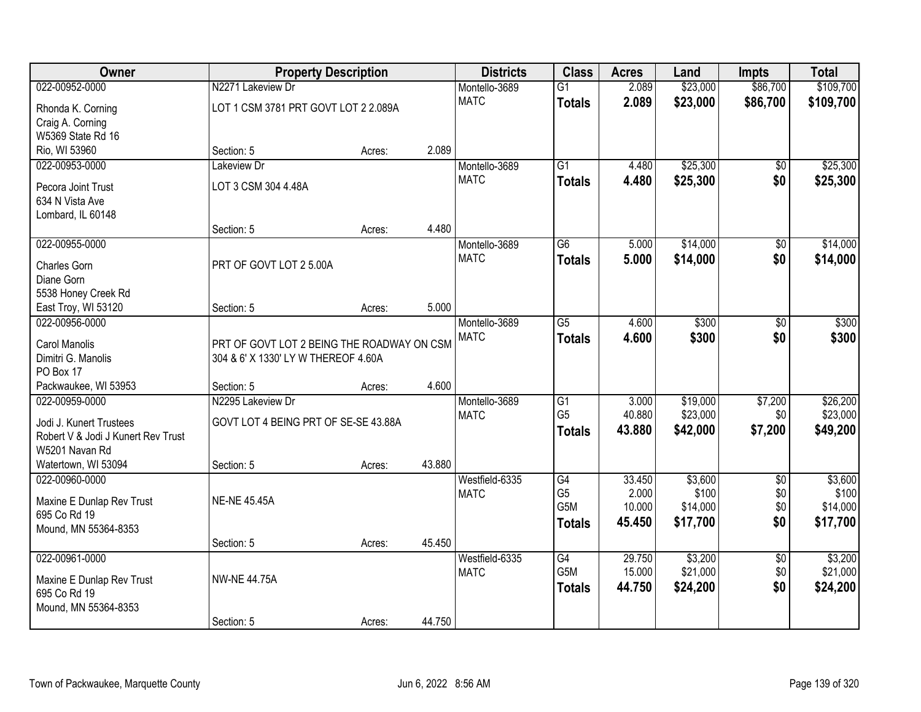| Owner                              |                                            | <b>Property Description</b> |        | <b>Districts</b>             | <b>Class</b>                      | <b>Acres</b>    | Land                 | <b>Impts</b>    | <b>Total</b>         |
|------------------------------------|--------------------------------------------|-----------------------------|--------|------------------------------|-----------------------------------|-----------------|----------------------|-----------------|----------------------|
| 022-00952-0000                     | N2271 Lakeview Dr                          |                             |        | Montello-3689                | $\overline{G1}$                   | 2.089           | \$23,000             | \$86,700        | \$109,700            |
| Rhonda K. Corning                  | LOT 1 CSM 3781 PRT GOVT LOT 2 2.089A       |                             |        | <b>MATC</b>                  | <b>Totals</b>                     | 2.089           | \$23,000             | \$86,700        | \$109,700            |
| Craig A. Corning                   |                                            |                             |        |                              |                                   |                 |                      |                 |                      |
| W5369 State Rd 16                  |                                            |                             |        |                              |                                   |                 |                      |                 |                      |
| Rio, WI 53960                      | Section: 5                                 | Acres:                      | 2.089  |                              |                                   |                 |                      |                 |                      |
| 022-00953-0000                     | Lakeview Dr                                |                             |        | Montello-3689                | $\overline{G1}$                   | 4.480           | \$25,300             | \$0             | \$25,300             |
| Pecora Joint Trust                 | LOT 3 CSM 304 4.48A                        |                             |        | <b>MATC</b>                  | <b>Totals</b>                     | 4.480           | \$25,300             | \$0             | \$25,300             |
| 634 N Vista Ave                    |                                            |                             |        |                              |                                   |                 |                      |                 |                      |
| Lombard, IL 60148                  |                                            |                             |        |                              |                                   |                 |                      |                 |                      |
|                                    | Section: 5                                 | Acres:                      | 4.480  |                              |                                   |                 |                      |                 |                      |
| 022-00955-0000                     |                                            |                             |        | Montello-3689                | G6                                | 5.000           | \$14,000             | \$0             | \$14,000             |
|                                    | PRT OF GOVT LOT 2 5.00A                    |                             |        | <b>MATC</b>                  | <b>Totals</b>                     | 5.000           | \$14,000             | \$0             | \$14,000             |
| <b>Charles Gorn</b><br>Diane Gorn  |                                            |                             |        |                              |                                   |                 |                      |                 |                      |
| 5538 Honey Creek Rd                |                                            |                             |        |                              |                                   |                 |                      |                 |                      |
| East Troy, WI 53120                | Section: 5                                 | Acres:                      | 5.000  |                              |                                   |                 |                      |                 |                      |
| 022-00956-0000                     |                                            |                             |        | Montello-3689                | G5                                | 4.600           | \$300                | \$0             | \$300                |
|                                    |                                            |                             |        | <b>MATC</b>                  | <b>Totals</b>                     | 4.600           | \$300                | \$0             | \$300                |
| Carol Manolis                      | PRT OF GOVT LOT 2 BEING THE ROADWAY ON CSM |                             |        |                              |                                   |                 |                      |                 |                      |
| Dimitri G. Manolis                 | 304 & 6' X 1330' LY W THEREOF 4.60A        |                             |        |                              |                                   |                 |                      |                 |                      |
| PO Box 17                          |                                            |                             | 4.600  |                              |                                   |                 |                      |                 |                      |
| Packwaukee, WI 53953               | Section: 5                                 | Acres:                      |        |                              |                                   |                 |                      |                 |                      |
| 022-00959-0000                     | N2295 Lakeview Dr                          |                             |        | Montello-3689<br><b>MATC</b> | $\overline{G1}$<br>G <sub>5</sub> | 3.000<br>40.880 | \$19,000<br>\$23,000 | \$7,200<br>\$0  | \$26,200<br>\$23,000 |
| Jodi J. Kunert Trustees            | GOVT LOT 4 BEING PRT OF SE-SE 43.88A       |                             |        |                              |                                   | 43.880          | \$42,000             | \$7,200         |                      |
| Robert V & Jodi J Kunert Rev Trust |                                            |                             |        |                              | <b>Totals</b>                     |                 |                      |                 | \$49,200             |
| W5201 Navan Rd                     |                                            |                             |        |                              |                                   |                 |                      |                 |                      |
| Watertown, WI 53094                | Section: 5                                 | Acres:                      | 43.880 |                              |                                   |                 |                      |                 |                      |
| 022-00960-0000                     |                                            |                             |        | Westfield-6335               | $\overline{G4}$                   | 33.450          | \$3,600              | $\overline{50}$ | \$3,600              |
| Maxine E Dunlap Rev Trust          | <b>NE-NE 45.45A</b>                        |                             |        | <b>MATC</b>                  | G <sub>5</sub>                    | 2.000           | \$100                | \$0             | \$100                |
| 695 Co Rd 19                       |                                            |                             |        |                              | G <sub>5</sub> M                  | 10.000          | \$14,000             | \$0             | \$14,000             |
| Mound, MN 55364-8353               |                                            |                             |        |                              | <b>Totals</b>                     | 45.450          | \$17,700             | \$0             | \$17,700             |
|                                    | Section: 5                                 | Acres:                      | 45.450 |                              |                                   |                 |                      |                 |                      |
| 022-00961-0000                     |                                            |                             |        | Westfield-6335               | $\overline{G4}$                   | 29.750          | \$3,200              | $\overline{50}$ | \$3,200              |
| Maxine E Dunlap Rev Trust          | <b>NW-NE 44.75A</b>                        |                             |        | <b>MATC</b>                  | G <sub>5</sub> M                  | 15.000          | \$21,000             | \$0             | \$21,000             |
| 695 Co Rd 19                       |                                            |                             |        |                              | <b>Totals</b>                     | 44.750          | \$24,200             | \$0             | \$24,200             |
| Mound, MN 55364-8353               |                                            |                             |        |                              |                                   |                 |                      |                 |                      |
|                                    | Section: 5                                 | Acres:                      | 44.750 |                              |                                   |                 |                      |                 |                      |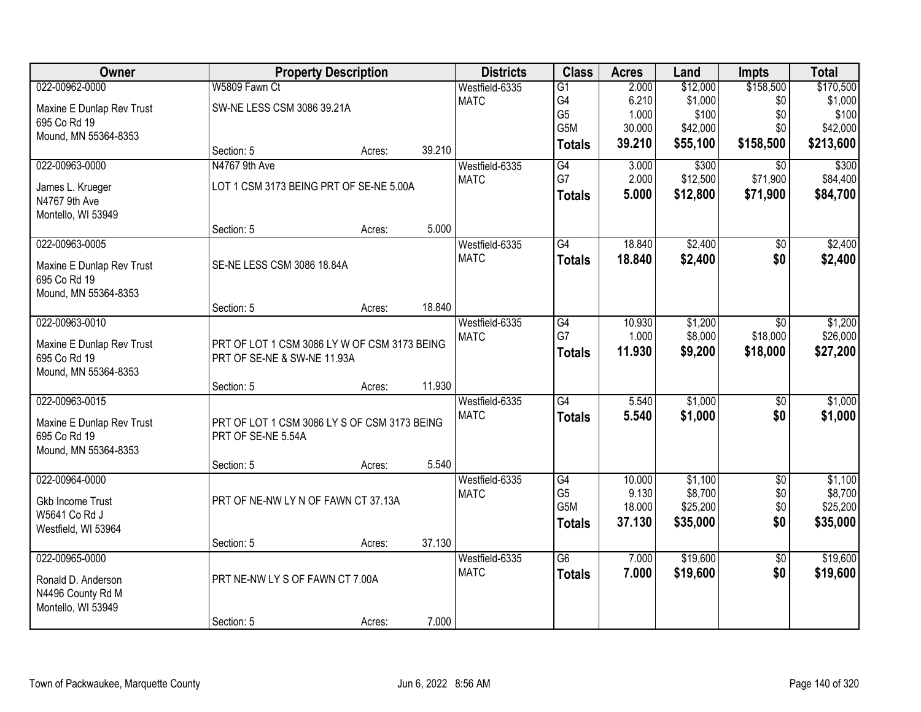| Owner                     |                                              | <b>Property Description</b> |        | <b>Districts</b> | <b>Class</b>          | <b>Acres</b>    | Land                | <b>Impts</b>    | <b>Total</b>        |
|---------------------------|----------------------------------------------|-----------------------------|--------|------------------|-----------------------|-----------------|---------------------|-----------------|---------------------|
| 022-00962-0000            | W5809 Fawn Ct                                |                             |        | Westfield-6335   | $\overline{G1}$       | 2.000           | \$12,000            | \$158,500       | \$170,500           |
| Maxine E Dunlap Rev Trust | SW-NE LESS CSM 3086 39.21A                   |                             |        | <b>MATC</b>      | G4                    | 6.210           | \$1,000             | \$0             | \$1,000             |
| 695 Co Rd 19              |                                              |                             |        |                  | G <sub>5</sub>        | 1.000           | \$100               | \$0             | \$100               |
| Mound, MN 55364-8353      |                                              |                             |        |                  | G5M                   | 30.000          | \$42,000            | \$0             | \$42,000            |
|                           | Section: 5                                   | Acres:                      | 39.210 |                  | <b>Totals</b>         | 39.210          | \$55,100            | \$158,500       | \$213,600           |
| 022-00963-0000            | N4767 9th Ave                                |                             |        | Westfield-6335   | G4                    | 3.000           | \$300               | $\overline{30}$ | \$300               |
| James L. Krueger          | LOT 1 CSM 3173 BEING PRT OF SE-NE 5.00A      |                             |        | <b>MATC</b>      | G7                    | 2.000           | \$12,500            | \$71,900        | \$84,400            |
| N4767 9th Ave             |                                              |                             |        |                  | <b>Totals</b>         | 5.000           | \$12,800            | \$71,900        | \$84,700            |
| Montello, WI 53949        |                                              |                             |        |                  |                       |                 |                     |                 |                     |
|                           | Section: 5                                   | Acres:                      | 5.000  |                  |                       |                 |                     |                 |                     |
| 022-00963-0005            |                                              |                             |        | Westfield-6335   | G4                    | 18.840          | \$2,400             | \$0             | \$2,400             |
| Maxine E Dunlap Rev Trust | SE-NE LESS CSM 3086 18.84A                   |                             |        | <b>MATC</b>      | <b>Totals</b>         | 18.840          | \$2,400             | \$0             | \$2,400             |
| 695 Co Rd 19              |                                              |                             |        |                  |                       |                 |                     |                 |                     |
| Mound, MN 55364-8353      |                                              |                             |        |                  |                       |                 |                     |                 |                     |
|                           | Section: 5                                   | Acres:                      | 18.840 |                  |                       |                 |                     |                 |                     |
| 022-00963-0010            |                                              |                             |        | Westfield-6335   | G4                    | 10.930          | \$1,200             | \$0             | \$1,200             |
| Maxine E Dunlap Rev Trust | PRT OF LOT 1 CSM 3086 LY W OF CSM 3173 BEING |                             |        | <b>MATC</b>      | G7                    | 1.000           | \$8,000             | \$18,000        | \$26,000            |
| 695 Co Rd 19              | PRT OF SE-NE & SW-NE 11.93A                  |                             |        |                  | <b>Totals</b>         | 11.930          | \$9,200             | \$18,000        | \$27,200            |
| Mound, MN 55364-8353      |                                              |                             |        |                  |                       |                 |                     |                 |                     |
|                           | Section: 5                                   | Acres:                      | 11.930 |                  |                       |                 |                     |                 |                     |
| 022-00963-0015            |                                              |                             |        | Westfield-6335   | $\overline{G4}$       | 5.540           | \$1,000             | $\overline{50}$ | \$1,000             |
| Maxine E Dunlap Rev Trust | PRT OF LOT 1 CSM 3086 LY S OF CSM 3173 BEING |                             |        | <b>MATC</b>      | <b>Totals</b>         | 5.540           | \$1,000             | \$0             | \$1,000             |
| 695 Co Rd 19              | PRT OF SE-NE 5.54A                           |                             |        |                  |                       |                 |                     |                 |                     |
| Mound, MN 55364-8353      |                                              |                             |        |                  |                       |                 |                     |                 |                     |
|                           | Section: 5                                   | Acres:                      | 5.540  |                  |                       |                 |                     |                 |                     |
| 022-00964-0000            |                                              |                             |        | Westfield-6335   | G4                    | 10.000          | \$1,100             | $\overline{50}$ | \$1,100             |
| <b>Gkb Income Trust</b>   | PRT OF NE-NW LY N OF FAWN CT 37.13A          |                             |        | <b>MATC</b>      | G <sub>5</sub><br>G5M | 9.130<br>18.000 | \$8,700<br>\$25,200 | \$0<br>\$0      | \$8,700<br>\$25,200 |
| W5641 Co Rd J             |                                              |                             |        |                  | <b>Totals</b>         | 37.130          | \$35,000            | \$0             | \$35,000            |
| Westfield, WI 53964       |                                              |                             |        |                  |                       |                 |                     |                 |                     |
|                           | Section: 5                                   | Acres:                      | 37.130 |                  |                       |                 |                     |                 |                     |
| 022-00965-0000            |                                              |                             |        | Westfield-6335   | $\overline{G6}$       | 7.000           | \$19,600            | $\overline{50}$ | \$19,600            |
| Ronald D. Anderson        | PRT NE-NW LY S OF FAWN CT 7.00A              |                             |        | <b>MATC</b>      | <b>Totals</b>         | 7.000           | \$19,600            | \$0             | \$19,600            |
| N4496 County Rd M         |                                              |                             |        |                  |                       |                 |                     |                 |                     |
| Montello, WI 53949        |                                              |                             |        |                  |                       |                 |                     |                 |                     |
|                           | Section: 5                                   | Acres:                      | 7.000  |                  |                       |                 |                     |                 |                     |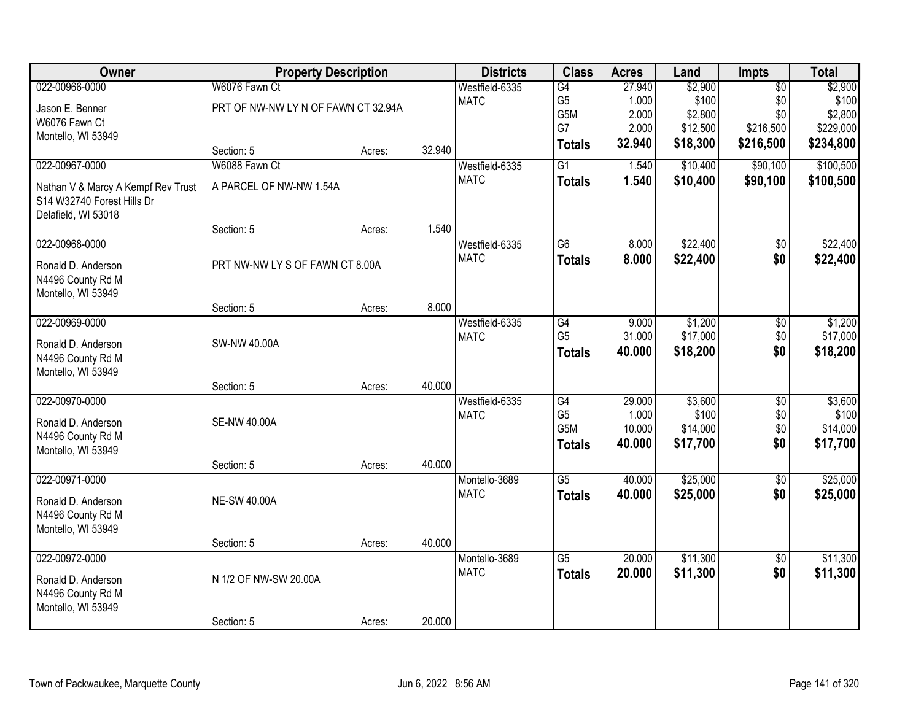| <b>Owner</b>                       | <b>Property Description</b>         |        |        | <b>Districts</b> | <b>Class</b>    | <b>Acres</b>     | Land     | <b>Impts</b>    | <b>Total</b> |
|------------------------------------|-------------------------------------|--------|--------|------------------|-----------------|------------------|----------|-----------------|--------------|
| 022-00966-0000                     | W6076 Fawn Ct                       |        |        | Westfield-6335   | G4              | 27.940           | \$2,900  | $\overline{50}$ | \$2,900      |
| Jason E. Benner                    | PRT OF NW-NW LY N OF FAWN CT 32.94A |        |        | <b>MATC</b>      | G <sub>5</sub>  | 1.000            | \$100    | \$0             | \$100        |
| W6076 Fawn Ct                      |                                     |        |        |                  | G5M             | 2.000            | \$2,800  | \$0             | \$2,800      |
| Montello, WI 53949                 |                                     |        |        |                  | G7              | 2.000            | \$12,500 | \$216,500       | \$229,000    |
|                                    | Section: 5                          | Acres: | 32.940 |                  | <b>Totals</b>   | 32.940           | \$18,300 | \$216,500       | \$234,800    |
| 022-00967-0000                     | W6088 Fawn Ct                       |        |        | Westfield-6335   | $\overline{G1}$ | 1.540            | \$10,400 | \$90,100        | \$100,500    |
| Nathan V & Marcy A Kempf Rev Trust | A PARCEL OF NW-NW 1.54A             |        |        | <b>MATC</b>      | <b>Totals</b>   | 1.540            | \$10,400 | \$90,100        | \$100,500    |
| S14 W32740 Forest Hills Dr         |                                     |        |        |                  |                 |                  |          |                 |              |
| Delafield, WI 53018                |                                     |        |        |                  |                 |                  |          |                 |              |
|                                    | Section: 5                          | Acres: | 1.540  |                  |                 |                  |          |                 |              |
| 022-00968-0000                     |                                     |        |        | Westfield-6335   | G6              | 8.000            | \$22,400 | \$0             | \$22,400     |
| Ronald D. Anderson                 | PRT NW-NW LY S OF FAWN CT 8.00A     |        |        | <b>MATC</b>      | <b>Totals</b>   | 8.000            | \$22,400 | \$0             | \$22,400     |
| N4496 County Rd M                  |                                     |        |        |                  |                 |                  |          |                 |              |
| Montello, WI 53949                 |                                     |        |        |                  |                 |                  |          |                 |              |
|                                    | Section: 5                          | Acres: | 8.000  |                  |                 |                  |          |                 |              |
| 022-00969-0000                     |                                     |        |        | Westfield-6335   | G4              | 9.000            | \$1,200  | \$0             | \$1,200      |
| Ronald D. Anderson                 | SW-NW 40.00A                        |        |        | <b>MATC</b>      | G <sub>5</sub>  | 31.000           | \$17,000 | \$0             | \$17,000     |
| N4496 County Rd M                  |                                     |        |        |                  | <b>Totals</b>   | 40.000           | \$18,200 | \$0             | \$18,200     |
| Montello, WI 53949                 |                                     |        |        |                  |                 |                  |          |                 |              |
|                                    | Section: 5                          | Acres: | 40.000 |                  |                 |                  |          |                 |              |
| 022-00970-0000                     |                                     |        |        | Westfield-6335   | $\overline{G4}$ | 29.000           | \$3,600  | $\overline{50}$ | \$3,600      |
| Ronald D. Anderson                 | <b>SE-NW 40.00A</b>                 |        |        | <b>MATC</b>      | G <sub>5</sub>  | 1.000            | \$100    | \$0             | \$100        |
| N4496 County Rd M                  |                                     |        |        |                  | G5M             | 10.000<br>40.000 | \$14,000 | \$0<br>\$0      | \$14,000     |
| Montello, WI 53949                 |                                     |        |        |                  | <b>Totals</b>   |                  | \$17,700 |                 | \$17,700     |
|                                    | Section: 5                          | Acres: | 40.000 |                  |                 |                  |          |                 |              |
| 022-00971-0000                     |                                     |        |        | Montello-3689    | $\overline{G5}$ | 40.000           | \$25,000 | $\overline{50}$ | \$25,000     |
| Ronald D. Anderson                 | <b>NE-SW 40.00A</b>                 |        |        | <b>MATC</b>      | <b>Totals</b>   | 40.000           | \$25,000 | \$0             | \$25,000     |
| N4496 County Rd M                  |                                     |        |        |                  |                 |                  |          |                 |              |
| Montello, WI 53949                 |                                     |        |        |                  |                 |                  |          |                 |              |
|                                    | Section: 5                          | Acres: | 40.000 |                  |                 |                  |          |                 |              |
| 022-00972-0000                     |                                     |        |        | Montello-3689    | G5              | 20.000           | \$11,300 | $\overline{30}$ | \$11,300     |
| Ronald D. Anderson                 | N 1/2 OF NW-SW 20.00A               |        |        | <b>MATC</b>      | <b>Totals</b>   | 20.000           | \$11,300 | \$0             | \$11,300     |
| N4496 County Rd M                  |                                     |        |        |                  |                 |                  |          |                 |              |
| Montello, WI 53949                 |                                     |        |        |                  |                 |                  |          |                 |              |
|                                    | Section: 5                          | Acres: | 20.000 |                  |                 |                  |          |                 |              |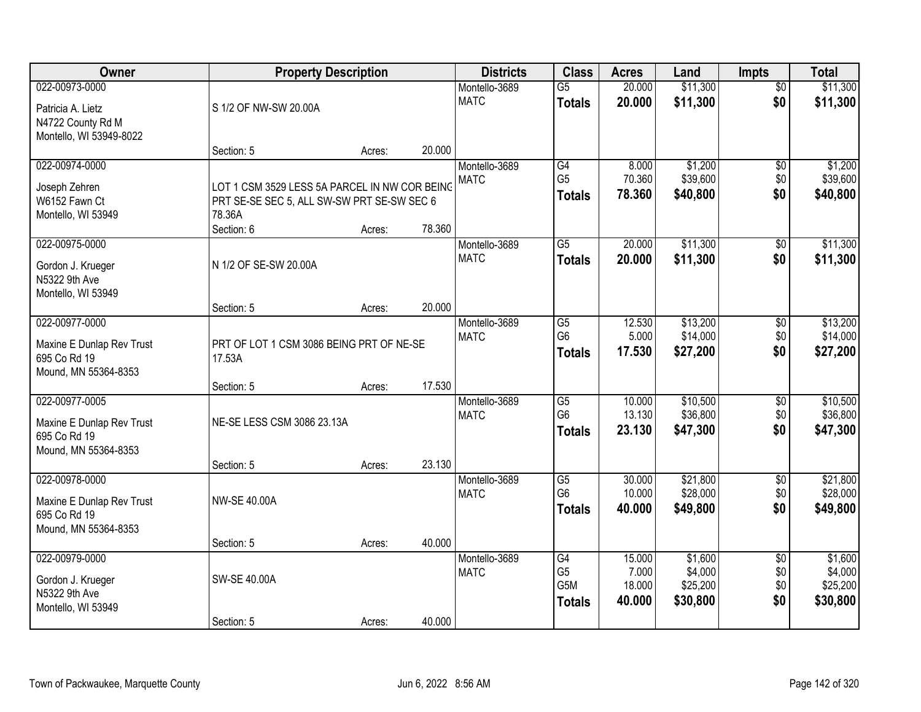| Owner                                                                               | <b>Property Description</b>                                                                                         |                  |                  | <b>Districts</b>             | <b>Class</b>                                       | <b>Acres</b>                        | Land                                       | <b>Impts</b>                         | <b>Total</b>                               |
|-------------------------------------------------------------------------------------|---------------------------------------------------------------------------------------------------------------------|------------------|------------------|------------------------------|----------------------------------------------------|-------------------------------------|--------------------------------------------|--------------------------------------|--------------------------------------------|
| 022-00973-0000<br>Patricia A. Lietz<br>N4722 County Rd M                            | S 1/2 OF NW-SW 20.00A                                                                                               |                  |                  | Montello-3689<br><b>MATC</b> | $\overline{G5}$<br><b>Totals</b>                   | 20.000<br>20.000                    | \$11,300<br>\$11,300                       | $\overline{50}$<br>\$0               | \$11,300<br>\$11,300                       |
| Montello, WI 53949-8022                                                             | Section: 5                                                                                                          | Acres:           | 20.000           |                              |                                                    |                                     |                                            |                                      |                                            |
| 022-00974-0000<br>Joseph Zehren<br>W6152 Fawn Ct<br>Montello, WI 53949              | LOT 1 CSM 3529 LESS 5A PARCEL IN NW COR BEING<br>PRT SE-SE SEC 5, ALL SW-SW PRT SE-SW SEC 6<br>78.36A<br>Section: 6 | Acres:           | 78.360           | Montello-3689<br><b>MATC</b> | G4<br>G <sub>5</sub><br><b>Totals</b>              | 8.000<br>70.360<br>78.360           | \$1,200<br>\$39,600<br>\$40,800            | \$0<br>\$0<br>\$0                    | \$1,200<br>\$39,600<br>\$40,800            |
| 022-00975-0000<br>Gordon J. Krueger<br>N5322 9th Ave<br>Montello, WI 53949          | N 1/2 OF SE-SW 20.00A<br>Section: 5                                                                                 | Acres:           | 20.000           | Montello-3689<br><b>MATC</b> | $\overline{G5}$<br><b>Totals</b>                   | 20.000<br>20.000                    | \$11,300<br>\$11,300                       | \$0<br>\$0                           | \$11,300<br>\$11,300                       |
| 022-00977-0000<br>Maxine E Dunlap Rev Trust<br>695 Co Rd 19<br>Mound, MN 55364-8353 | PRT OF LOT 1 CSM 3086 BEING PRT OF NE-SE<br>17.53A                                                                  |                  |                  | Montello-3689<br><b>MATC</b> | $\overline{G5}$<br>G <sub>6</sub><br><b>Totals</b> | 12.530<br>5.000<br>17.530           | \$13,200<br>\$14,000<br>\$27,200           | $\sqrt[6]{3}$<br>\$0<br>\$0          | \$13,200<br>\$14,000<br>\$27,200           |
| 022-00977-0005<br>Maxine E Dunlap Rev Trust<br>695 Co Rd 19<br>Mound, MN 55364-8353 | Section: 5<br>NE-SE LESS CSM 3086 23.13A<br>Section: 5                                                              | Acres:<br>Acres: | 17.530<br>23.130 | Montello-3689<br><b>MATC</b> | $\overline{G5}$<br>G <sub>6</sub><br><b>Totals</b> | 10.000<br>13.130<br>23.130          | \$10,500<br>\$36,800<br>\$47,300           | $\overline{50}$<br>\$0<br>\$0        | \$10,500<br>\$36,800<br>\$47,300           |
| 022-00978-0000<br>Maxine E Dunlap Rev Trust<br>695 Co Rd 19<br>Mound, MN 55364-8353 | <b>NW-SE 40.00A</b><br>Section: 5                                                                                   | Acres:           | 40.000           | Montello-3689<br><b>MATC</b> | $\overline{G5}$<br>G <sub>6</sub><br><b>Totals</b> | 30.000<br>10.000<br>40.000          | \$21,800<br>\$28,000<br>\$49,800           | $\sqrt{6}$<br>\$0<br>\$0             | \$21,800<br>\$28,000<br>\$49,800           |
| 022-00979-0000<br>Gordon J. Krueger<br>N5322 9th Ave<br>Montello, WI 53949          | SW-SE 40.00A<br>Section: 5                                                                                          | Acres:           | 40.000           | Montello-3689<br><b>MATC</b> | G4<br>G <sub>5</sub><br>G5M<br><b>Totals</b>       | 15.000<br>7.000<br>18.000<br>40.000 | \$1,600<br>\$4,000<br>\$25,200<br>\$30,800 | $\overline{50}$<br>\$0<br>\$0<br>\$0 | \$1,600<br>\$4,000<br>\$25,200<br>\$30,800 |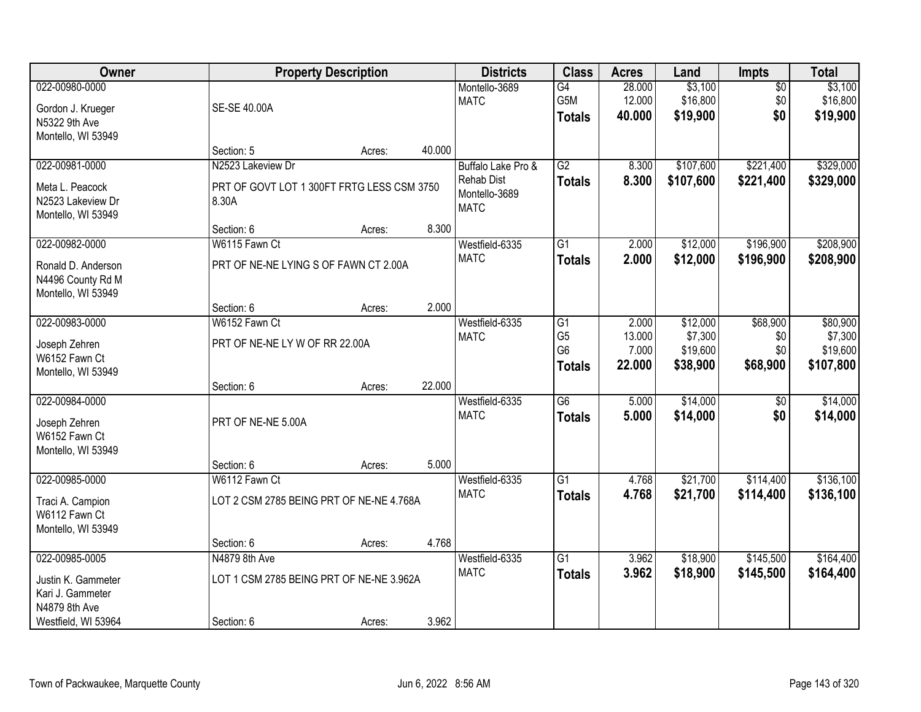| Owner                                                                                            |                                                                          | <b>Property Description</b> |        | <b>Districts</b>                                                        | <b>Class</b>                                            | <b>Acres</b>                       | Land                                        | Impts                              | <b>Total</b>                                 |
|--------------------------------------------------------------------------------------------------|--------------------------------------------------------------------------|-----------------------------|--------|-------------------------------------------------------------------------|---------------------------------------------------------|------------------------------------|---------------------------------------------|------------------------------------|----------------------------------------------|
| 022-00980-0000<br>Gordon J. Krueger<br>N5322 9th Ave<br>Montello, WI 53949                       | SE-SE 40.00A                                                             |                             |        | Montello-3689<br><b>MATC</b>                                            | G4<br>G5M<br><b>Totals</b>                              | 28.000<br>12.000<br>40.000         | \$3,100<br>\$16,800<br>\$19,900             | $\overline{50}$<br>\$0<br>\$0      | \$3,100<br>\$16,800<br>\$19,900              |
|                                                                                                  | Section: 5                                                               | Acres:                      | 40.000 |                                                                         |                                                         |                                    |                                             |                                    |                                              |
| 022-00981-0000<br>Meta L. Peacock<br>N2523 Lakeview Dr<br>Montello, WI 53949                     | N2523 Lakeview Dr<br>PRT OF GOVT LOT 1 300FT FRTG LESS CSM 3750<br>8.30A |                             |        | Buffalo Lake Pro &<br><b>Rehab Dist</b><br>Montello-3689<br><b>MATC</b> | G2<br><b>Totals</b>                                     | 8.300<br>8.300                     | \$107,600<br>\$107,600                      | \$221,400<br>\$221,400             | \$329,000<br>\$329,000                       |
|                                                                                                  | Section: 6                                                               | Acres:                      | 8.300  |                                                                         |                                                         |                                    |                                             |                                    |                                              |
| 022-00982-0000<br>Ronald D. Anderson<br>N4496 County Rd M<br>Montello, WI 53949                  | W6115 Fawn Ct<br>PRT OF NE-NE LYING S OF FAWN CT 2.00A                   |                             |        | Westfield-6335<br><b>MATC</b>                                           | G1<br><b>Totals</b>                                     | 2.000<br>2.000                     | \$12,000<br>\$12,000                        | \$196,900<br>\$196,900             | \$208,900<br>\$208,900                       |
|                                                                                                  | Section: 6                                                               | Acres:                      | 2.000  |                                                                         |                                                         |                                    |                                             |                                    |                                              |
| 022-00983-0000<br>Joseph Zehren<br>W6152 Fawn Ct<br>Montello, WI 53949                           | W6152 Fawn Ct<br>PRT OF NE-NE LY W OF RR 22.00A                          |                             |        | Westfield-6335<br><b>MATC</b>                                           | G1<br>G <sub>5</sub><br>G <sub>6</sub><br><b>Totals</b> | 2.000<br>13.000<br>7.000<br>22.000 | \$12,000<br>\$7,300<br>\$19,600<br>\$38,900 | \$68,900<br>\$0<br>\$0<br>\$68,900 | \$80,900<br>\$7,300<br>\$19,600<br>\$107,800 |
|                                                                                                  | Section: 6                                                               | Acres:                      | 22.000 |                                                                         |                                                         |                                    |                                             |                                    |                                              |
| 022-00984-0000<br>Joseph Zehren<br>W6152 Fawn Ct<br>Montello, WI 53949                           | PRT OF NE-NE 5.00A                                                       |                             |        | Westfield-6335<br><b>MATC</b>                                           | $\overline{G6}$<br><b>Totals</b>                        | 5.000<br>5.000                     | \$14,000<br>\$14,000                        | $\overline{50}$<br>\$0             | \$14,000<br>\$14,000                         |
| 022-00985-0000                                                                                   | Section: 6<br>W6112 Fawn Ct                                              | Acres:                      | 5.000  | Westfield-6335                                                          | $\overline{G1}$                                         | 4.768                              | \$21,700                                    | \$114,400                          | \$136,100                                    |
| Traci A. Campion<br>W6112 Fawn Ct<br>Montello, WI 53949                                          | LOT 2 CSM 2785 BEING PRT OF NE-NE 4.768A                                 |                             |        | <b>MATC</b>                                                             | <b>Totals</b>                                           | 4.768                              | \$21,700                                    | \$114,400                          | \$136,100                                    |
|                                                                                                  | Section: 6                                                               | Acres:                      | 4.768  |                                                                         |                                                         |                                    |                                             |                                    |                                              |
| 022-00985-0005<br>Justin K. Gammeter<br>Kari J. Gammeter<br>N4879 8th Ave<br>Westfield, WI 53964 | N4879 8th Ave<br>LOT 1 CSM 2785 BEING PRT OF NE-NE 3.962A<br>Section: 6  | Acres:                      | 3.962  | Westfield-6335<br><b>MATC</b>                                           | $\overline{G1}$<br><b>Totals</b>                        | 3.962<br>3.962                     | \$18,900<br>\$18,900                        | \$145,500<br>\$145,500             | \$164,400<br>\$164,400                       |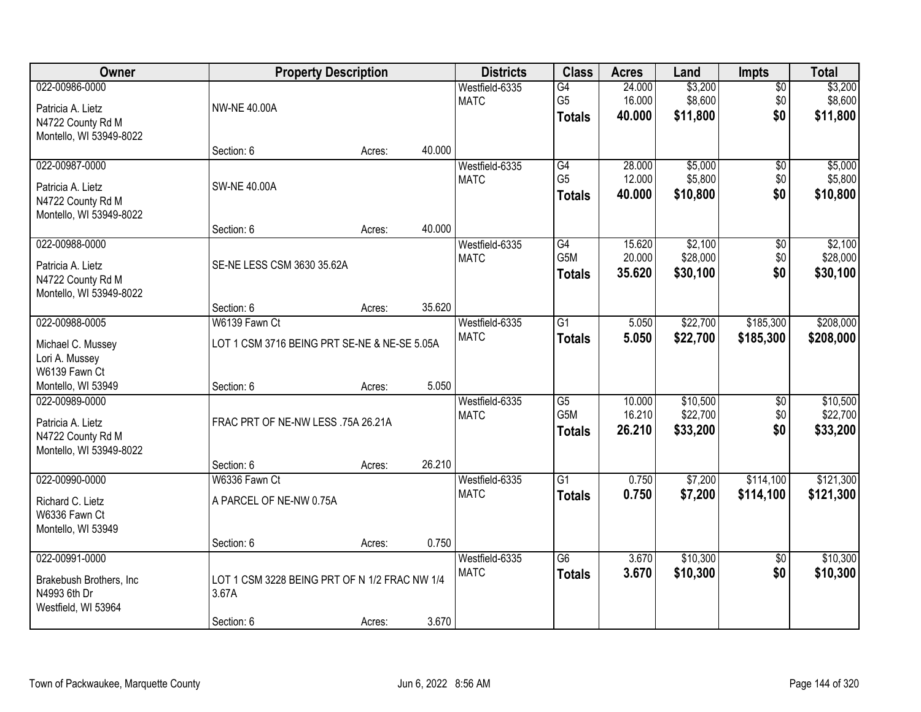| Owner                                                                               |                                                               | <b>Property Description</b> |        | <b>Districts</b>              | <b>Class</b>                                         | <b>Acres</b>               | Land                             | <b>Impts</b>                  | <b>Total</b>                     |
|-------------------------------------------------------------------------------------|---------------------------------------------------------------|-----------------------------|--------|-------------------------------|------------------------------------------------------|----------------------------|----------------------------------|-------------------------------|----------------------------------|
| 022-00986-0000<br>Patricia A. Lietz<br>N4722 County Rd M<br>Montello, WI 53949-8022 | <b>NW-NE 40.00A</b>                                           |                             |        | Westfield-6335<br><b>MATC</b> | G4<br>G <sub>5</sub><br><b>Totals</b>                | 24.000<br>16.000<br>40.000 | \$3,200<br>\$8,600<br>\$11,800   | $\overline{50}$<br>\$0<br>\$0 | \$3,200<br>\$8,600<br>\$11,800   |
|                                                                                     | Section: 6                                                    | Acres:                      | 40.000 |                               |                                                      |                            |                                  |                               |                                  |
| 022-00987-0000<br>Patricia A. Lietz<br>N4722 County Rd M<br>Montello, WI 53949-8022 | <b>SW-NE 40.00A</b>                                           |                             |        | Westfield-6335<br><b>MATC</b> | G4<br>G <sub>5</sub><br><b>Totals</b>                | 28,000<br>12.000<br>40.000 | \$5,000<br>\$5,800<br>\$10,800   | \$0<br>\$0<br>\$0             | \$5,000<br>\$5,800<br>\$10,800   |
|                                                                                     | Section: 6                                                    | Acres:                      | 40.000 |                               |                                                      |                            |                                  |                               |                                  |
| 022-00988-0000<br>Patricia A. Lietz<br>N4722 County Rd M<br>Montello, WI 53949-8022 | SE-NE LESS CSM 3630 35.62A                                    |                             |        | Westfield-6335<br><b>MATC</b> | $\overline{G4}$<br>G5M<br><b>Totals</b>              | 15.620<br>20.000<br>35.620 | \$2,100<br>\$28,000<br>\$30,100  | $\overline{50}$<br>\$0<br>\$0 | \$2,100<br>\$28,000<br>\$30,100  |
|                                                                                     | Section: 6                                                    | Acres:                      | 35.620 |                               |                                                      |                            |                                  |                               |                                  |
| 022-00988-0005<br>Michael C. Mussey<br>Lori A. Mussey                               | W6139 Fawn Ct<br>LOT 1 CSM 3716 BEING PRT SE-NE & NE-SE 5.05A |                             |        | Westfield-6335<br><b>MATC</b> | $\overline{G1}$<br><b>Totals</b>                     | 5.050<br>5.050             | \$22,700<br>\$22,700             | \$185,300<br>\$185,300        | \$208,000<br>\$208,000           |
| W6139 Fawn Ct<br>Montello, WI 53949                                                 | Section: 6                                                    | Acres:                      | 5.050  |                               |                                                      |                            |                                  |                               |                                  |
| 022-00989-0000<br>Patricia A. Lietz<br>N4722 County Rd M<br>Montello, WI 53949-8022 | FRAC PRT OF NE-NW LESS .75A 26.21A                            |                             |        | Westfield-6335<br><b>MATC</b> | $\overline{G5}$<br>G <sub>5</sub> M<br><b>Totals</b> | 10.000<br>16.210<br>26.210 | \$10,500<br>\$22,700<br>\$33,200 | $\overline{30}$<br>\$0<br>\$0 | \$10,500<br>\$22,700<br>\$33,200 |
| 022-00990-0000                                                                      | Section: 6                                                    | Acres:                      | 26.210 |                               | $\overline{G1}$                                      |                            |                                  |                               |                                  |
| Richard C. Lietz<br>W6336 Fawn Ct<br>Montello, WI 53949                             | W6336 Fawn Ct<br>A PARCEL OF NE-NW 0.75A                      |                             |        | Westfield-6335<br><b>MATC</b> | <b>Totals</b>                                        | 0.750<br>0.750             | \$7,200<br>\$7,200               | \$114,100<br>\$114,100        | \$121,300<br>\$121,300           |
|                                                                                     | Section: 6                                                    | Acres:                      | 0.750  |                               |                                                      |                            |                                  |                               |                                  |
| 022-00991-0000<br>Brakebush Brothers, Inc<br>N4993 6th Dr<br>Westfield, WI 53964    | LOT 1 CSM 3228 BEING PRT OF N 1/2 FRAC NW 1/4<br>3.67A        |                             |        | Westfield-6335<br><b>MATC</b> | $\overline{G6}$<br><b>Totals</b>                     | 3.670<br>3.670             | \$10,300<br>\$10,300             | $\overline{50}$<br>\$0        | \$10,300<br>\$10,300             |
|                                                                                     | Section: 6                                                    | Acres:                      | 3.670  |                               |                                                      |                            |                                  |                               |                                  |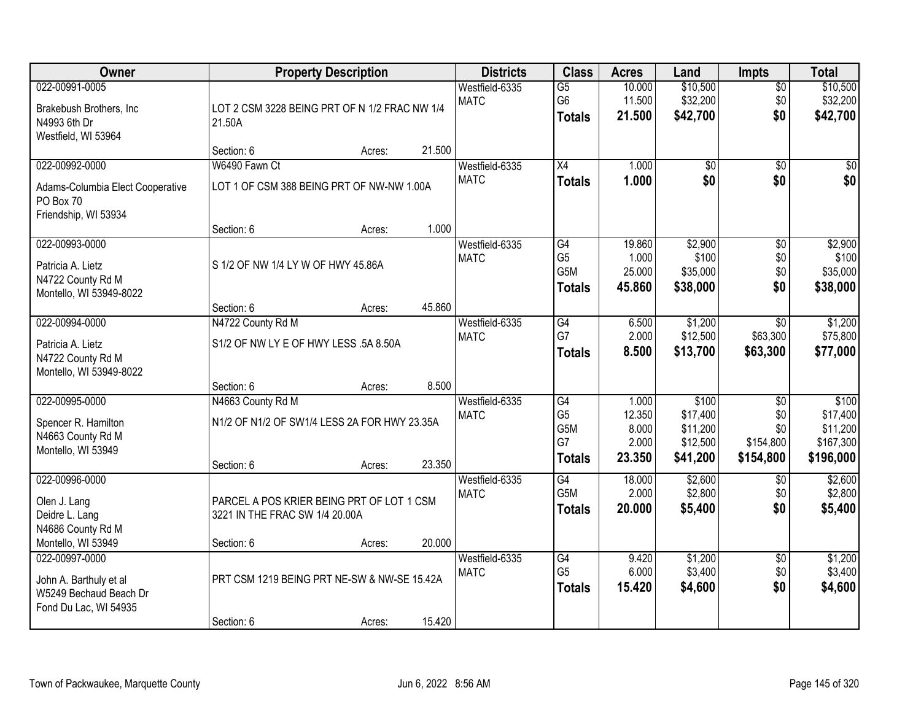| Owner                                                                                       |                                                                                           | <b>Property Description</b> |        | <b>Districts</b>              | <b>Class</b>                                                    | <b>Acres</b>                                | Land                                                  | Impts                                                   | <b>Total</b>                                            |
|---------------------------------------------------------------------------------------------|-------------------------------------------------------------------------------------------|-----------------------------|--------|-------------------------------|-----------------------------------------------------------------|---------------------------------------------|-------------------------------------------------------|---------------------------------------------------------|---------------------------------------------------------|
| 022-00991-0005<br>Brakebush Brothers, Inc<br>N4993 6th Dr<br>Westfield, WI 53964            | LOT 2 CSM 3228 BEING PRT OF N 1/2 FRAC NW 1/4<br>21.50A                                   |                             |        | Westfield-6335<br><b>MATC</b> | $\overline{G5}$<br>G <sub>6</sub><br><b>Totals</b>              | 10.000<br>11.500<br>21.500                  | \$10,500<br>\$32,200<br>\$42,700                      | $\overline{50}$<br>\$0<br>\$0                           | \$10,500<br>\$32,200<br>\$42,700                        |
|                                                                                             | Section: 6                                                                                | Acres:                      | 21.500 |                               |                                                                 |                                             |                                                       |                                                         |                                                         |
| 022-00992-0000<br>Adams-Columbia Elect Cooperative<br>PO Box 70<br>Friendship, WI 53934     | W6490 Fawn Ct<br>LOT 1 OF CSM 388 BEING PRT OF NW-NW 1.00A                                |                             |        | Westfield-6335<br><b>MATC</b> | $\overline{X4}$<br><b>Totals</b>                                | 1.000<br>1.000                              | $\overline{50}$<br>\$0                                | $\overline{50}$<br>\$0                                  | $\overline{50}$<br>\$0                                  |
| 022-00993-0000                                                                              | Section: 6                                                                                | Acres:                      | 1.000  | Westfield-6335                | G4                                                              | 19.860                                      | \$2,900                                               | \$0                                                     | \$2,900                                                 |
| Patricia A. Lietz<br>N4722 County Rd M<br>Montello, WI 53949-8022                           | S 1/2 OF NW 1/4 LY W OF HWY 45.86A                                                        |                             |        | <b>MATC</b>                   | G <sub>5</sub><br>G <sub>5</sub> M<br><b>Totals</b>             | 1.000<br>25.000<br>45.860                   | \$100<br>\$35,000<br>\$38,000                         | \$0<br>\$0<br>\$0                                       | \$100<br>\$35,000<br>\$38,000                           |
|                                                                                             | Section: 6                                                                                | Acres:                      | 45.860 |                               |                                                                 |                                             |                                                       |                                                         |                                                         |
| 022-00994-0000<br>Patricia A. Lietz<br>N4722 County Rd M<br>Montello, WI 53949-8022         | N4722 County Rd M<br>S1/2 OF NW LY E OF HWY LESS .5A 8.50A                                |                             |        | Westfield-6335<br><b>MATC</b> | G4<br>G7<br><b>Totals</b>                                       | 6.500<br>2.000<br>8.500                     | \$1,200<br>\$12,500<br>\$13,700                       | \$0<br>\$63,300<br>\$63,300                             | \$1,200<br>\$75,800<br>\$77,000                         |
|                                                                                             | Section: 6                                                                                | Acres:                      | 8.500  |                               |                                                                 |                                             |                                                       |                                                         |                                                         |
| 022-00995-0000<br>Spencer R. Hamilton<br>N4663 County Rd M<br>Montello, WI 53949            | N4663 County Rd M<br>N1/2 OF N1/2 OF SW1/4 LESS 2A FOR HWY 23.35A<br>Section: 6           | Acres:                      | 23.350 | Westfield-6335<br><b>MATC</b> | $\overline{G4}$<br>G <sub>5</sub><br>G5M<br>G7<br><b>Totals</b> | 1.000<br>12.350<br>8.000<br>2.000<br>23.350 | \$100<br>\$17,400<br>\$11,200<br>\$12,500<br>\$41,200 | $\overline{50}$<br>\$0<br>\$0<br>\$154,800<br>\$154,800 | \$100<br>\$17,400<br>\$11,200<br>\$167,300<br>\$196,000 |
| 022-00996-0000<br>Olen J. Lang<br>Deidre L. Lang<br>N4686 County Rd M<br>Montello, WI 53949 | PARCEL A POS KRIER BEING PRT OF LOT 1 CSM<br>3221 IN THE FRAC SW 1/4 20.00A<br>Section: 6 | Acres:                      | 20.000 | Westfield-6335<br><b>MATC</b> | $\overline{G4}$<br>G5M<br><b>Totals</b>                         | 18.000<br>2.000<br>20,000                   | \$2,600<br>\$2,800<br>\$5,400                         | $\overline{50}$<br>\$0<br>\$0                           | \$2,600<br>\$2,800<br>\$5,400                           |
| 022-00997-0000<br>John A. Barthuly et al<br>W5249 Bechaud Beach Dr<br>Fond Du Lac, WI 54935 | PRT CSM 1219 BEING PRT NE-SW & NW-SE 15.42A<br>Section: 6                                 | Acres:                      | 15.420 | Westfield-6335<br><b>MATC</b> | G4<br>G <sub>5</sub><br><b>Totals</b>                           | 9.420<br>6.000<br>15.420                    | \$1,200<br>\$3,400<br>\$4,600                         | $\overline{50}$<br>\$0<br>\$0                           | \$1,200<br>\$3,400<br>\$4,600                           |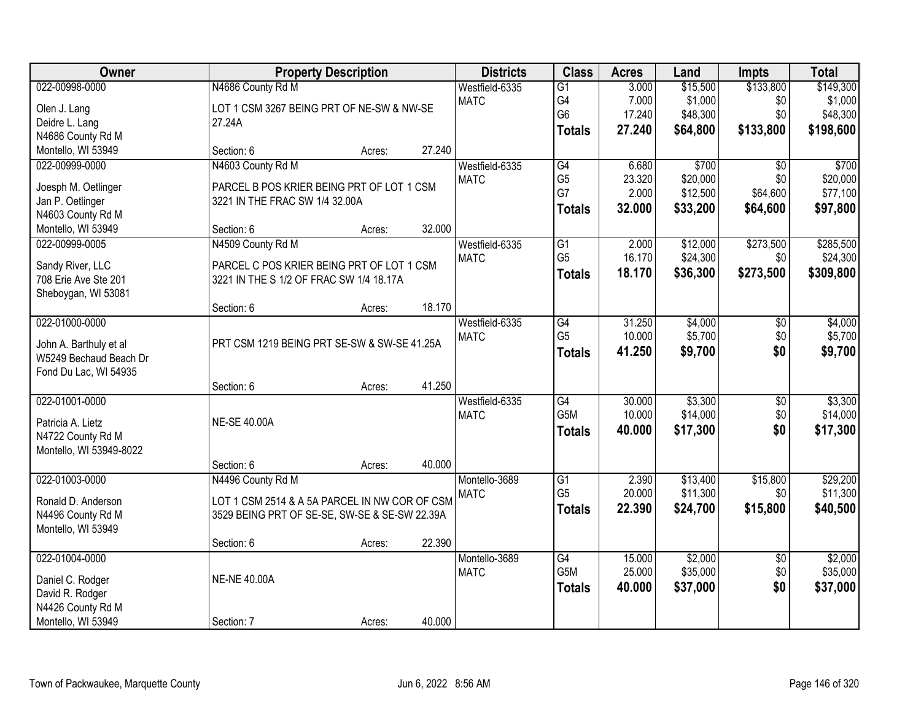| Owner                                                                                                |                                                                                                                                   | <b>Property Description</b> |                  |                               | <b>Class</b>                                             | <b>Acres</b>                       | Land                                        | <b>Impts</b>                                   | <b>Total</b>                                  |
|------------------------------------------------------------------------------------------------------|-----------------------------------------------------------------------------------------------------------------------------------|-----------------------------|------------------|-------------------------------|----------------------------------------------------------|------------------------------------|---------------------------------------------|------------------------------------------------|-----------------------------------------------|
| 022-00998-0000<br>Olen J. Lang<br>Deidre L. Lang<br>N4686 County Rd M                                | N4686 County Rd M<br>LOT 1 CSM 3267 BEING PRT OF NE-SW & NW-SE<br>27.24A                                                          |                             |                  | Westfield-6335<br><b>MATC</b> | $\overline{G1}$<br>G4<br>G <sub>6</sub><br><b>Totals</b> | 3.000<br>7.000<br>17.240<br>27.240 | \$15,500<br>\$1,000<br>\$48,300<br>\$64,800 | \$133,800<br>\$0<br>\$0<br>\$133,800           | \$149,300<br>\$1,000<br>\$48,300<br>\$198,600 |
| Montello, WI 53949                                                                                   | Section: 6                                                                                                                        | Acres:                      | 27.240           |                               |                                                          |                                    |                                             |                                                |                                               |
| 022-00999-0000<br>Joesph M. Oetlinger<br>Jan P. Oetlinger<br>N4603 County Rd M<br>Montello, WI 53949 | N4603 County Rd M<br>PARCEL B POS KRIER BEING PRT OF LOT 1 CSM<br>3221 IN THE FRAC SW 1/4 32.00A<br>Section: 6                    | Acres:                      | 32.000           | Westfield-6335<br><b>MATC</b> | $\overline{G4}$<br>G <sub>5</sub><br>G7<br><b>Totals</b> | 6.680<br>23.320<br>2.000<br>32.000 | \$700<br>\$20,000<br>\$12,500<br>\$33,200   | $\overline{30}$<br>\$0<br>\$64,600<br>\$64,600 | \$700<br>\$20,000<br>\$77,100<br>\$97,800     |
| 022-00999-0005<br>Sandy River, LLC<br>708 Erie Ave Ste 201<br>Sheboygan, WI 53081                    | N4509 County Rd M<br>PARCEL C POS KRIER BEING PRT OF LOT 1 CSM<br>3221 IN THE S 1/2 OF FRAC SW 1/4 18.17A<br>Section: 6           | Acres:                      | 18.170           | Westfield-6335<br><b>MATC</b> | $\overline{G1}$<br>G <sub>5</sub><br><b>Totals</b>       | 2.000<br>16.170<br>18.170          | \$12,000<br>\$24,300<br>\$36,300            | \$273,500<br>\$0<br>\$273,500                  | \$285,500<br>\$24,300<br>\$309,800            |
| 022-01000-0000<br>John A. Barthuly et al<br>W5249 Bechaud Beach Dr<br>Fond Du Lac, WI 54935          | PRT CSM 1219 BEING PRT SE-SW & SW-SE 41.25A                                                                                       |                             |                  | Westfield-6335<br><b>MATC</b> | $\overline{G4}$<br>G <sub>5</sub><br><b>Totals</b>       | 31.250<br>10.000<br>41.250         | \$4,000<br>\$5,700<br>\$9,700               | \$0<br>\$0<br>\$0                              | \$4,000<br>\$5,700<br>\$9,700                 |
| 022-01001-0000<br>Patricia A. Lietz<br>N4722 County Rd M<br>Montello, WI 53949-8022                  | Section: 6<br><b>NE-SE 40.00A</b><br>Section: 6                                                                                   | Acres:<br>Acres:            | 41.250<br>40.000 | Westfield-6335<br><b>MATC</b> | G4<br>G <sub>5</sub> M<br><b>Totals</b>                  | 30.000<br>10.000<br>40.000         | \$3,300<br>\$14,000<br>\$17,300             | $\overline{50}$<br>\$0<br>\$0                  | \$3,300<br>\$14,000<br>\$17,300               |
| 022-01003-0000<br>Ronald D. Anderson<br>N4496 County Rd M<br>Montello, WI 53949                      | N4496 County Rd M<br>LOT 1 CSM 2514 & A 5A PARCEL IN NW COR OF CSM<br>3529 BEING PRT OF SE-SE, SW-SE & SE-SW 22.39A<br>Section: 6 | Acres:                      | 22.390           | Montello-3689<br><b>MATC</b>  | $\overline{G1}$<br>G <sub>5</sub><br><b>Totals</b>       | 2.390<br>20.000<br>22.390          | \$13,400<br>\$11,300<br>\$24,700            | \$15,800<br>\$0<br>\$15,800                    | \$29,200<br>\$11,300<br>\$40,500              |
| 022-01004-0000<br>Daniel C. Rodger<br>David R. Rodger<br>N4426 County Rd M<br>Montello, WI 53949     | <b>NE-NE 40.00A</b><br>Section: 7                                                                                                 | Acres:                      | 40.000           | Montello-3689<br><b>MATC</b>  | $\overline{G4}$<br>G <sub>5</sub> M<br><b>Totals</b>     | 15.000<br>25.000<br>40.000         | \$2,000<br>\$35,000<br>\$37,000             | $\overline{50}$<br>\$0<br>\$0                  | \$2,000<br>\$35,000<br>\$37,000               |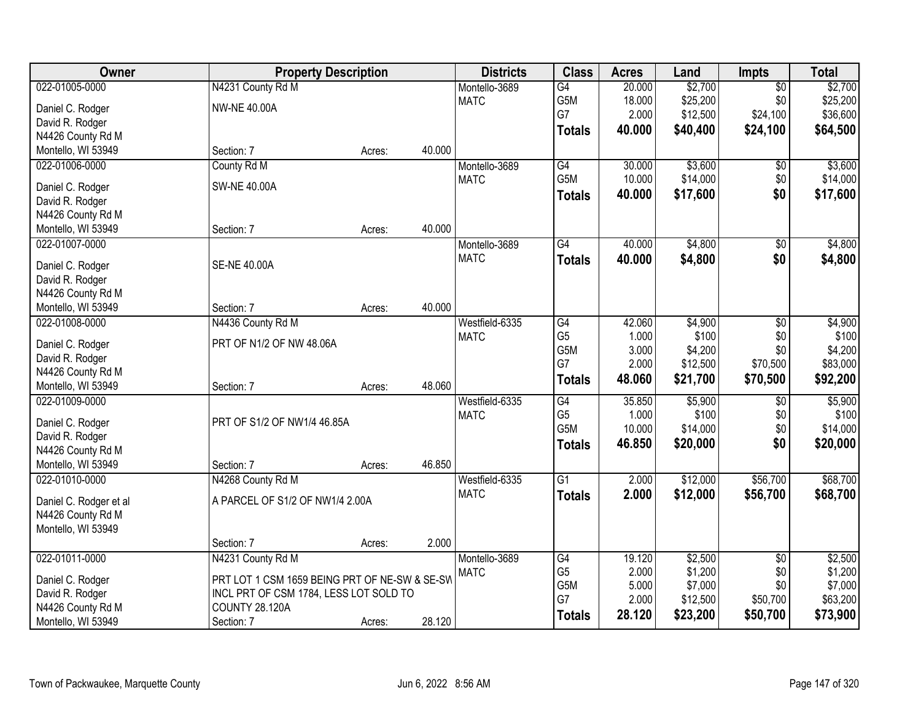| Owner                  | <b>Property Description</b>                   |        |        | <b>Districts</b> | <b>Class</b>     | <b>Acres</b> | Land     | <b>Impts</b>           | <b>Total</b> |
|------------------------|-----------------------------------------------|--------|--------|------------------|------------------|--------------|----------|------------------------|--------------|
| 022-01005-0000         | N4231 County Rd M                             |        |        | Montello-3689    | $\overline{G4}$  | 20.000       | \$2,700  | $\overline{50}$        | \$2,700      |
| Daniel C. Rodger       | <b>NW-NE 40.00A</b>                           |        |        | <b>MATC</b>      | G5M              | 18.000       | \$25,200 | \$0                    | \$25,200     |
| David R. Rodger        |                                               |        |        |                  | G7               | 2.000        | \$12,500 | \$24,100               | \$36,600     |
| N4426 County Rd M      |                                               |        |        |                  | <b>Totals</b>    | 40.000       | \$40,400 | \$24,100               | \$64,500     |
| Montello, WI 53949     | Section: 7                                    | Acres: | 40.000 |                  |                  |              |          |                        |              |
| 022-01006-0000         | County Rd M                                   |        |        | Montello-3689    | G4               | 30.000       | \$3,600  | \$0                    | \$3,600      |
|                        |                                               |        |        | <b>MATC</b>      | G <sub>5</sub> M | 10.000       | \$14,000 | \$0                    | \$14,000     |
| Daniel C. Rodger       | <b>SW-NE 40.00A</b>                           |        |        |                  | <b>Totals</b>    | 40.000       | \$17,600 | \$0                    | \$17,600     |
| David R. Rodger        |                                               |        |        |                  |                  |              |          |                        |              |
| N4426 County Rd M      |                                               |        |        |                  |                  |              |          |                        |              |
| Montello, WI 53949     | Section: 7                                    | Acres: | 40.000 |                  |                  |              |          |                        |              |
| 022-01007-0000         |                                               |        |        | Montello-3689    | $\overline{G4}$  | 40.000       | \$4,800  | $\sqrt[6]{3}$          | \$4,800      |
| Daniel C. Rodger       | <b>SE-NE 40.00A</b>                           |        |        | <b>MATC</b>      | <b>Totals</b>    | 40.000       | \$4,800  | \$0                    | \$4,800      |
| David R. Rodger        |                                               |        |        |                  |                  |              |          |                        |              |
| N4426 County Rd M      |                                               |        |        |                  |                  |              |          |                        |              |
| Montello, WI 53949     | Section: 7                                    | Acres: | 40.000 |                  |                  |              |          |                        |              |
| 022-01008-0000         | N4436 County Rd M                             |        |        | Westfield-6335   | G4               | 42.060       | \$4,900  | \$0                    | \$4,900      |
|                        |                                               |        |        | <b>MATC</b>      | G <sub>5</sub>   | 1.000        | \$100    | \$0                    | \$100        |
| Daniel C. Rodger       | PRT OF N1/2 OF NW 48.06A                      |        |        |                  | G5M              | 3.000        | \$4,200  | \$0                    | \$4,200      |
| David R. Rodger        |                                               |        |        |                  | G7               | 2.000        | \$12,500 | \$70,500               | \$83,000     |
| N4426 County Rd M      |                                               |        |        |                  | <b>Totals</b>    | 48.060       | \$21,700 | \$70,500               | \$92,200     |
| Montello, WI 53949     | Section: 7                                    | Acres: | 48.060 |                  |                  |              |          |                        |              |
| 022-01009-0000         |                                               |        |        | Westfield-6335   | $\overline{G4}$  | 35.850       | \$5,900  | \$0                    | \$5,900      |
| Daniel C. Rodger       | PRT OF S1/2 OF NW1/4 46.85A                   |        |        | <b>MATC</b>      | G <sub>5</sub>   | 1.000        | \$100    | \$0                    | \$100        |
| David R. Rodger        |                                               |        |        |                  | G5M              | 10.000       | \$14,000 | \$0                    | \$14,000     |
| N4426 County Rd M      |                                               |        |        |                  | <b>Totals</b>    | 46.850       | \$20,000 | \$0                    | \$20,000     |
| Montello, WI 53949     | Section: 7                                    | Acres: | 46.850 |                  |                  |              |          |                        |              |
| 022-01010-0000         | N4268 County Rd M                             |        |        | Westfield-6335   | $\overline{G1}$  | 2.000        | \$12,000 | \$56,700               | \$68,700     |
|                        | A PARCEL OF S1/2 OF NW1/4 2.00A               |        |        | <b>MATC</b>      | <b>Totals</b>    | 2.000        | \$12,000 | \$56,700               | \$68,700     |
| Daniel C. Rodger et al |                                               |        |        |                  |                  |              |          |                        |              |
| N4426 County Rd M      |                                               |        |        |                  |                  |              |          |                        |              |
| Montello, WI 53949     | Section: 7                                    |        | 2.000  |                  |                  |              |          |                        |              |
| 022-01011-0000         | N4231 County Rd M                             | Acres: |        | Montello-3689    | G4               | 19.120       | \$2,500  |                        | \$2,500      |
|                        |                                               |        |        | <b>MATC</b>      | G <sub>5</sub>   | 2.000        | \$1,200  | $\overline{50}$<br>\$0 | \$1,200      |
| Daniel C. Rodger       | PRT LOT 1 CSM 1659 BEING PRT OF NE-SW & SE-SW |        |        |                  | G5M              | 5.000        | \$7,000  | \$0                    | \$7,000      |
| David R. Rodger        | INCL PRT OF CSM 1784, LESS LOT SOLD TO        |        |        |                  | G7               | 2.000        | \$12,500 | \$50,700               | \$63,200     |
| N4426 County Rd M      | <b>COUNTY 28.120A</b>                         |        |        |                  |                  | 28.120       | \$23,200 | \$50,700               | \$73,900     |
| Montello, WI 53949     | Section: 7                                    | Acres: | 28.120 |                  | <b>Totals</b>    |              |          |                        |              |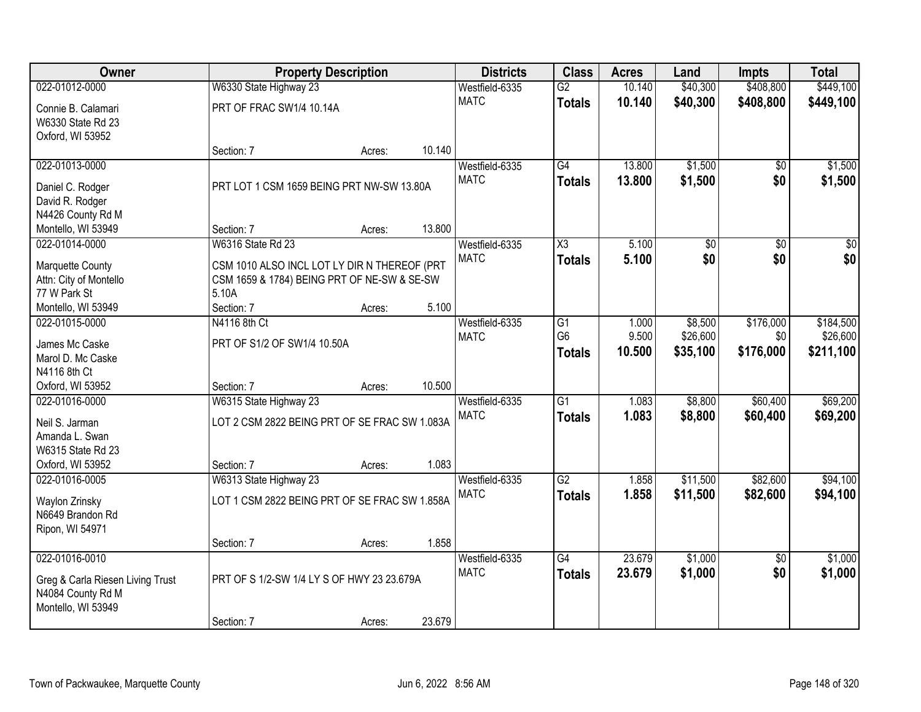| Owner                            |                                               | <b>Property Description</b> |        | <b>Districts</b> | <b>Class</b>        | <b>Acres</b> | Land            | <b>Impts</b>    | <b>Total</b>    |
|----------------------------------|-----------------------------------------------|-----------------------------|--------|------------------|---------------------|--------------|-----------------|-----------------|-----------------|
| 022-01012-0000                   | W6330 State Highway 23                        |                             |        | Westfield-6335   | $\overline{G2}$     | 10.140       | \$40,300        | \$408,800       | \$449,100       |
| Connie B. Calamari               | PRT OF FRAC SW1/4 10.14A                      |                             |        | <b>MATC</b>      | <b>Totals</b>       | 10.140       | \$40,300        | \$408,800       | \$449,100       |
| W6330 State Rd 23                |                                               |                             |        |                  |                     |              |                 |                 |                 |
| Oxford, WI 53952                 |                                               |                             |        |                  |                     |              |                 |                 |                 |
|                                  | Section: 7                                    | Acres:                      | 10.140 |                  |                     |              |                 |                 |                 |
| 022-01013-0000                   |                                               |                             |        | Westfield-6335   | $\overline{G4}$     | 13.800       | \$1,500         | $\overline{50}$ | \$1,500         |
| Daniel C. Rodger                 | PRT LOT 1 CSM 1659 BEING PRT NW-SW 13.80A     |                             |        | <b>MATC</b>      | <b>Totals</b>       | 13.800       | \$1,500         | \$0             | \$1,500         |
| David R. Rodger                  |                                               |                             |        |                  |                     |              |                 |                 |                 |
| N4426 County Rd M                |                                               |                             |        |                  |                     |              |                 |                 |                 |
| Montello, WI 53949               | Section: 7                                    | Acres:                      | 13.800 |                  |                     |              |                 |                 |                 |
| 022-01014-0000                   | <b>W6316 State Rd 23</b>                      |                             |        | Westfield-6335   | $\overline{\chi_3}$ | 5.100        | $\overline{50}$ | $\overline{50}$ | $\overline{30}$ |
|                                  |                                               |                             |        | <b>MATC</b>      | Totals              | 5.100        | \$0             | \$0             | \$0             |
| Marquette County                 | CSM 1010 ALSO INCL LOT LY DIR N THEREOF (PRT  |                             |        |                  |                     |              |                 |                 |                 |
| Attn: City of Montello           | CSM 1659 & 1784) BEING PRT OF NE-SW & SE-SW   |                             |        |                  |                     |              |                 |                 |                 |
| 77 W Park St                     | 5.10A                                         |                             |        |                  |                     |              |                 |                 |                 |
| Montello, WI 53949               | Section: 7                                    | Acres:                      | 5.100  |                  |                     |              |                 |                 |                 |
| 022-01015-0000                   | N4116 8th Ct                                  |                             |        | Westfield-6335   | G1                  | 1.000        | \$8,500         | \$176,000       | \$184,500       |
| James Mc Caske                   | PRT OF S1/2 OF SW1/4 10.50A                   |                             |        | <b>MATC</b>      | G <sub>6</sub>      | 9.500        | \$26,600        | \$0             | \$26,600        |
| Marol D. Mc Caske                |                                               |                             |        |                  | <b>Totals</b>       | 10.500       | \$35,100        | \$176,000       | \$211,100       |
| N4116 8th Ct                     |                                               |                             |        |                  |                     |              |                 |                 |                 |
| Oxford, WI 53952                 | Section: 7                                    | Acres:                      | 10.500 |                  |                     |              |                 |                 |                 |
| 022-01016-0000                   | W6315 State Highway 23                        |                             |        | Westfield-6335   | $\overline{G1}$     | 1.083        | \$8,800         | \$60,400        | \$69,200        |
|                                  | LOT 2 CSM 2822 BEING PRT OF SE FRAC SW 1.083A |                             |        | <b>MATC</b>      | <b>Totals</b>       | 1.083        | \$8,800         | \$60,400        | \$69,200        |
| Neil S. Jarman<br>Amanda L. Swan |                                               |                             |        |                  |                     |              |                 |                 |                 |
| W6315 State Rd 23                |                                               |                             |        |                  |                     |              |                 |                 |                 |
| Oxford, WI 53952                 | Section: 7                                    | Acres:                      | 1.083  |                  |                     |              |                 |                 |                 |
| 022-01016-0005                   | W6313 State Highway 23                        |                             |        | Westfield-6335   | G2                  | 1.858        | \$11,500        | \$82,600        | \$94,100        |
|                                  |                                               |                             |        | <b>MATC</b>      |                     | 1.858        | \$11,500        | \$82,600        | \$94,100        |
| Waylon Zrinsky                   | LOT 1 CSM 2822 BEING PRT OF SE FRAC SW 1.858A |                             |        |                  | <b>Totals</b>       |              |                 |                 |                 |
| N6649 Brandon Rd                 |                                               |                             |        |                  |                     |              |                 |                 |                 |
| Ripon, WI 54971                  |                                               |                             |        |                  |                     |              |                 |                 |                 |
|                                  | Section: 7                                    | Acres:                      | 1.858  |                  |                     |              |                 |                 |                 |
| 022-01016-0010                   |                                               |                             |        | Westfield-6335   | G4                  | 23.679       | \$1,000         | $\overline{30}$ | \$1,000         |
| Greg & Carla Riesen Living Trust | PRT OF S 1/2-SW 1/4 LY S OF HWY 23 23.679A    |                             |        | <b>MATC</b>      | <b>Totals</b>       | 23.679       | \$1,000         | \$0             | \$1,000         |
| N4084 County Rd M                |                                               |                             |        |                  |                     |              |                 |                 |                 |
| Montello, WI 53949               |                                               |                             |        |                  |                     |              |                 |                 |                 |
|                                  | Section: 7                                    | Acres:                      | 23.679 |                  |                     |              |                 |                 |                 |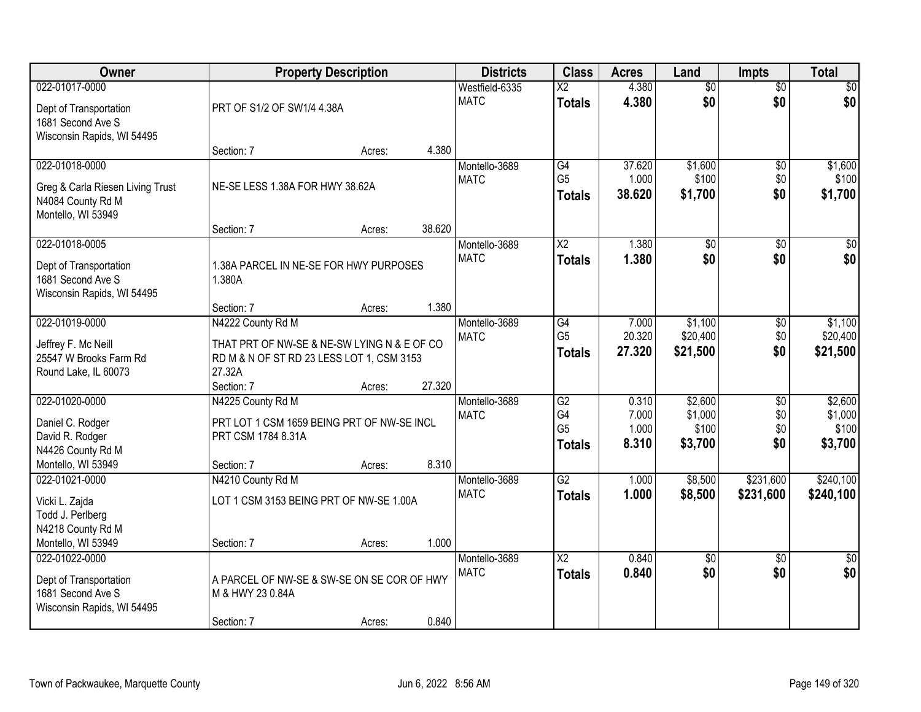| Owner                            |                                             | <b>Property Description</b> |        | <b>Districts</b> | <b>Class</b>           | <b>Acres</b>    | Land             | <b>Impts</b>    | <b>Total</b>    |
|----------------------------------|---------------------------------------------|-----------------------------|--------|------------------|------------------------|-----------------|------------------|-----------------|-----------------|
| 022-01017-0000                   |                                             |                             |        | Westfield-6335   | $\overline{X2}$        | 4.380           | $\overline{50}$  | $\overline{50}$ | $\overline{30}$ |
| Dept of Transportation           | PRT OF S1/2 OF SW1/4 4.38A                  |                             |        | <b>MATC</b>      | <b>Totals</b>          | 4.380           | \$0              | \$0             | \$0             |
| 1681 Second Ave S                |                                             |                             |        |                  |                        |                 |                  |                 |                 |
| Wisconsin Rapids, WI 54495       |                                             |                             |        |                  |                        |                 |                  |                 |                 |
|                                  | Section: 7                                  | Acres:                      | 4.380  |                  |                        |                 |                  |                 |                 |
| 022-01018-0000                   |                                             |                             |        | Montello-3689    | G4<br>G <sub>5</sub>   | 37.620<br>1.000 | \$1,600<br>\$100 | \$0             | \$1,600         |
| Greg & Carla Riesen Living Trust | NE-SE LESS 1.38A FOR HWY 38.62A             |                             |        | <b>MATC</b>      |                        | 38.620          | \$1,700          | \$0<br>\$0      | \$100           |
| N4084 County Rd M                |                                             |                             |        |                  | <b>Totals</b>          |                 |                  |                 | \$1,700         |
| Montello, WI 53949               |                                             |                             |        |                  |                        |                 |                  |                 |                 |
|                                  | Section: 7                                  | Acres:                      | 38.620 |                  |                        |                 |                  |                 |                 |
| 022-01018-0005                   |                                             |                             |        | Montello-3689    | $\overline{\text{X2}}$ | 1.380           | $\overline{50}$  | $\overline{50}$ | $\overline{30}$ |
| Dept of Transportation           | 1.38A PARCEL IN NE-SE FOR HWY PURPOSES      |                             |        | <b>MATC</b>      | <b>Totals</b>          | 1.380           | \$0              | \$0             | \$0             |
| 1681 Second Ave S                | 1.380A                                      |                             |        |                  |                        |                 |                  |                 |                 |
| Wisconsin Rapids, WI 54495       |                                             |                             |        |                  |                        |                 |                  |                 |                 |
|                                  | Section: 7                                  | Acres:                      | 1.380  |                  |                        |                 |                  |                 |                 |
| 022-01019-0000                   | N4222 County Rd M                           |                             |        | Montello-3689    | G4                     | 7.000           | \$1,100          | $\sqrt[6]{3}$   | \$1,100         |
| Jeffrey F. Mc Neill              | THAT PRT OF NW-SE & NE-SW LYING N & E OF CO |                             |        | <b>MATC</b>      | G <sub>5</sub>         | 20.320          | \$20,400         | \$0             | \$20,400        |
| 25547 W Brooks Farm Rd           | RD M & N OF ST RD 23 LESS LOT 1, CSM 3153   |                             |        |                  | <b>Totals</b>          | 27.320          | \$21,500         | \$0             | \$21,500        |
| Round Lake, IL 60073             | 27.32A                                      |                             |        |                  |                        |                 |                  |                 |                 |
|                                  | Section: 7                                  | Acres:                      | 27.320 |                  |                        |                 |                  |                 |                 |
| 022-01020-0000                   | N4225 County Rd M                           |                             |        | Montello-3689    | $\overline{G2}$        | 0.310           | \$2,600          | $\overline{30}$ | \$2,600         |
| Daniel C. Rodger                 | PRT LOT 1 CSM 1659 BEING PRT OF NW-SE INCL  |                             |        | <b>MATC</b>      | G4                     | 7.000           | \$1,000          | \$0             | \$1,000         |
| David R. Rodger                  | PRT CSM 1784 8.31A                          |                             |        |                  | G <sub>5</sub>         | 1.000           | \$100            | \$0             | \$100           |
| N4426 County Rd M                |                                             |                             |        |                  | <b>Totals</b>          | 8.310           | \$3,700          | \$0             | \$3,700         |
| Montello, WI 53949               | Section: 7                                  | Acres:                      | 8.310  |                  |                        |                 |                  |                 |                 |
| 022-01021-0000                   | N4210 County Rd M                           |                             |        | Montello-3689    | $\overline{G2}$        | 1.000           | \$8,500          | \$231,600       | \$240,100       |
| Vicki L. Zajda                   | LOT 1 CSM 3153 BEING PRT OF NW-SE 1.00A     |                             |        | <b>MATC</b>      | <b>Totals</b>          | 1.000           | \$8,500          | \$231,600       | \$240,100       |
| Todd J. Perlberg                 |                                             |                             |        |                  |                        |                 |                  |                 |                 |
| N4218 County Rd M                |                                             |                             |        |                  |                        |                 |                  |                 |                 |
| Montello, WI 53949               | Section: 7                                  | Acres:                      | 1.000  |                  |                        |                 |                  |                 |                 |
| 022-01022-0000                   |                                             |                             |        | Montello-3689    | $\overline{\text{X2}}$ | 0.840           | $\overline{50}$  | $\overline{50}$ | $\overline{50}$ |
| Dept of Transportation           | A PARCEL OF NW-SE & SW-SE ON SE COR OF HWY  |                             |        | <b>MATC</b>      | <b>Totals</b>          | 0.840           | \$0              | \$0             | \$0             |
| 1681 Second Ave S                | M & HWY 23 0.84A                            |                             |        |                  |                        |                 |                  |                 |                 |
| Wisconsin Rapids, WI 54495       |                                             |                             |        |                  |                        |                 |                  |                 |                 |
|                                  | Section: 7                                  | Acres:                      | 0.840  |                  |                        |                 |                  |                 |                 |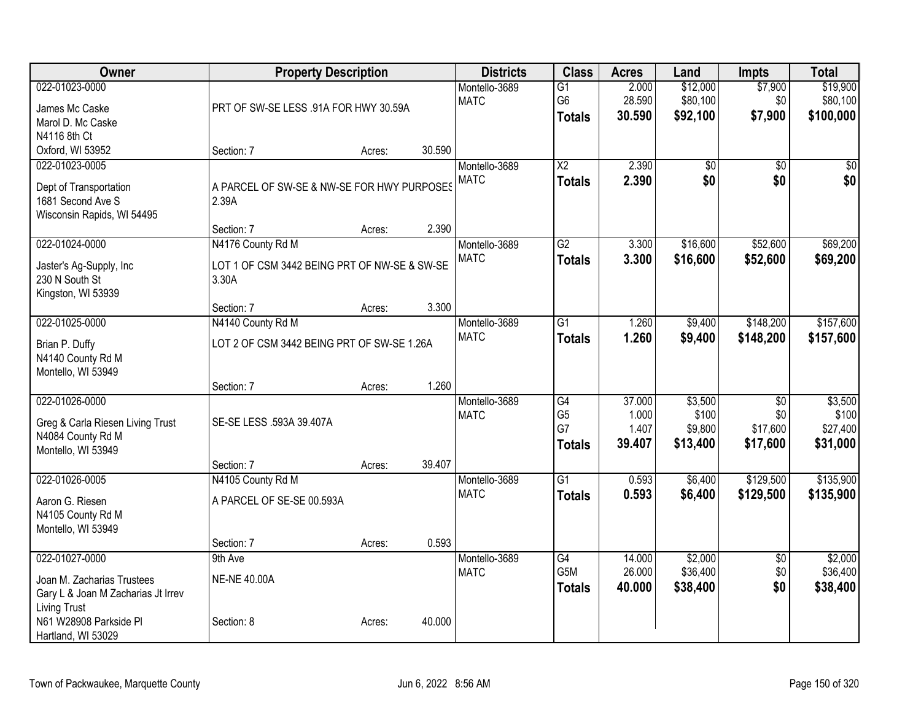| Owner                                                                                                                               | <b>Property Description</b>                                       |        |        | <b>Districts</b>             | <b>Class</b>                                       | <b>Acres</b>                       | Land                                    | <b>Impts</b>                       | <b>Total</b>                             |
|-------------------------------------------------------------------------------------------------------------------------------------|-------------------------------------------------------------------|--------|--------|------------------------------|----------------------------------------------------|------------------------------------|-----------------------------------------|------------------------------------|------------------------------------------|
| 022-01023-0000<br>James Mc Caske<br>Marol D. Mc Caske<br>N4116 8th Ct                                                               | PRT OF SW-SE LESS .91A FOR HWY 30.59A                             |        |        | Montello-3689<br><b>MATC</b> | $\overline{G1}$<br>G <sub>6</sub><br><b>Totals</b> | 2.000<br>28.590<br>30.590          | \$12,000<br>\$80,100<br>\$92,100        | \$7,900<br>\$0<br>\$7,900          | \$19,900<br>\$80,100<br>\$100,000        |
| Oxford, WI 53952                                                                                                                    | Section: 7                                                        | Acres: | 30.590 |                              |                                                    |                                    |                                         |                                    |                                          |
| 022-01023-0005<br>Dept of Transportation<br>1681 Second Ave S<br>Wisconsin Rapids, WI 54495                                         | A PARCEL OF SW-SE & NW-SE FOR HWY PURPOSES<br>2.39A<br>Section: 7 |        | 2.390  | Montello-3689<br><b>MATC</b> | $\overline{\text{X2}}$<br><b>Totals</b>            | 2.390<br>2.390                     | \$0<br>\$0                              | \$0<br>\$0                         | \$0<br>\$0                               |
| 022-01024-0000                                                                                                                      | N4176 County Rd M                                                 | Acres: |        | Montello-3689                | $\overline{G2}$                                    | 3.300                              | \$16,600                                | \$52,600                           | \$69,200                                 |
| Jaster's Ag-Supply, Inc<br>230 N South St<br>Kingston, WI 53939                                                                     | LOT 1 OF CSM 3442 BEING PRT OF NW-SE & SW-SE<br>3.30A             |        |        | <b>MATC</b>                  | <b>Totals</b>                                      | 3.300                              | \$16,600                                | \$52,600                           | \$69,200                                 |
| 022-01025-0000                                                                                                                      | Section: 7                                                        | Acres: | 3.300  |                              |                                                    |                                    |                                         |                                    |                                          |
| Brian P. Duffy<br>N4140 County Rd M<br>Montello, WI 53949                                                                           | N4140 County Rd M<br>LOT 2 OF CSM 3442 BEING PRT OF SW-SE 1.26A   |        |        | Montello-3689<br><b>MATC</b> | G1<br><b>Totals</b>                                | 1.260<br>1.260                     | \$9,400<br>\$9,400                      | \$148,200<br>\$148,200             | \$157,600<br>\$157,600                   |
|                                                                                                                                     | Section: 7                                                        | Acres: | 1.260  |                              |                                                    |                                    |                                         |                                    |                                          |
| 022-01026-0000<br>Greg & Carla Riesen Living Trust<br>N4084 County Rd M<br>Montello, WI 53949                                       | SE-SE LESS .593A 39.407A                                          |        |        | Montello-3689<br><b>MATC</b> | G4<br>G <sub>5</sub><br>G7<br><b>Totals</b>        | 37.000<br>1.000<br>1.407<br>39.407 | \$3,500<br>\$100<br>\$9,800<br>\$13,400 | \$0<br>\$0<br>\$17,600<br>\$17,600 | \$3,500<br>\$100<br>\$27,400<br>\$31,000 |
|                                                                                                                                     | Section: 7                                                        | Acres: | 39.407 |                              |                                                    |                                    |                                         |                                    |                                          |
| 022-01026-0005<br>Aaron G. Riesen<br>N4105 County Rd M<br>Montello, WI 53949                                                        | N4105 County Rd M<br>A PARCEL OF SE-SE 00.593A                    |        |        | Montello-3689<br><b>MATC</b> | $\overline{G1}$<br><b>Totals</b>                   | 0.593<br>0.593                     | \$6,400<br>\$6,400                      | \$129,500<br>\$129,500             | \$135,900<br>\$135,900                   |
|                                                                                                                                     | Section: 7                                                        | Acres: | 0.593  |                              |                                                    |                                    |                                         |                                    |                                          |
| 022-01027-0000<br>Joan M. Zacharias Trustees<br>Gary L & Joan M Zacharias Jt Irrev<br><b>Living Trust</b><br>N61 W28908 Parkside Pl | 9th Ave<br><b>NE-NE 40.00A</b><br>Section: 8                      | Acres: | 40.000 | Montello-3689<br><b>MATC</b> | G4<br>G <sub>5</sub> M<br><b>Totals</b>            | 14.000<br>26.000<br>40.000         | \$2,000<br>\$36,400<br>\$38,400         | $\overline{60}$<br>\$0<br>\$0      | \$2,000<br>\$36,400<br>\$38,400          |
| Hartland, WI 53029                                                                                                                  |                                                                   |        |        |                              |                                                    |                                    |                                         |                                    |                                          |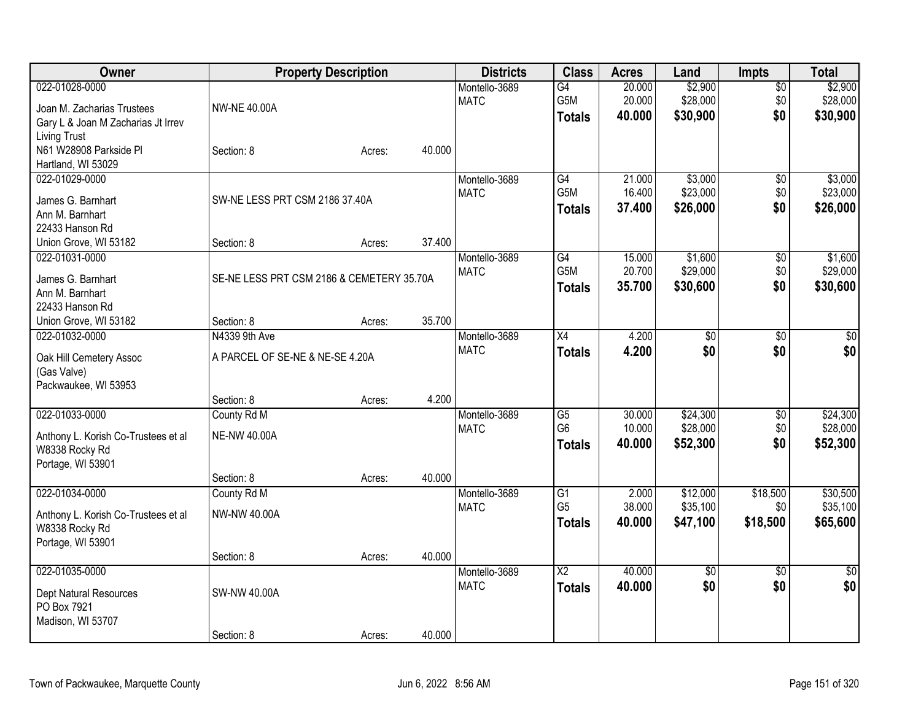| Owner                                                                                              |                                                  | <b>Property Description</b> |        | <b>Districts</b>             | <b>Class</b>                            | <b>Acres</b>               | Land                             | <b>Impts</b>              | <b>Total</b>                     |
|----------------------------------------------------------------------------------------------------|--------------------------------------------------|-----------------------------|--------|------------------------------|-----------------------------------------|----------------------------|----------------------------------|---------------------------|----------------------------------|
| 022-01028-0000<br>Joan M. Zacharias Trustees<br>Gary L & Joan M Zacharias Jt Irrev                 | <b>NW-NE 40.00A</b>                              |                             |        | Montello-3689<br><b>MATC</b> | $\overline{G4}$<br>G5M<br><b>Totals</b> | 20.000<br>20.000<br>40.000 | \$2,900<br>\$28,000<br>\$30,900  | $\sqrt{$0}$<br>\$0<br>\$0 | \$2,900<br>\$28,000<br>\$30,900  |
| <b>Living Trust</b><br>N61 W28908 Parkside Pl<br>Hartland, WI 53029                                | Section: 8                                       | Acres:                      | 40.000 |                              |                                         |                            |                                  |                           |                                  |
| 022-01029-0000<br>James G. Barnhart<br>Ann M. Barnhart<br>22433 Hanson Rd<br>Union Grove, WI 53182 | SW-NE LESS PRT CSM 2186 37.40A<br>Section: 8     | Acres:                      | 37.400 | Montello-3689<br><b>MATC</b> | G4<br>G5M<br><b>Totals</b>              | 21.000<br>16.400<br>37.400 | \$3,000<br>\$23,000<br>\$26,000  | \$0<br>\$0<br>\$0         | \$3,000<br>\$23,000<br>\$26,000  |
| 022-01031-0000<br>James G. Barnhart<br>Ann M. Barnhart<br>22433 Hanson Rd                          | SE-NE LESS PRT CSM 2186 & CEMETERY 35.70A        |                             |        | Montello-3689<br><b>MATC</b> | G4<br>G5M<br><b>Totals</b>              | 15.000<br>20.700<br>35.700 | \$1,600<br>\$29,000<br>\$30,600  | \$0<br>\$0<br>\$0         | \$1,600<br>\$29,000<br>\$30,600  |
| Union Grove, WI 53182                                                                              | Section: 8                                       | Acres:                      | 35.700 |                              |                                         |                            |                                  |                           |                                  |
| 022-01032-0000<br>Oak Hill Cemetery Assoc<br>(Gas Valve)<br>Packwaukee, WI 53953                   | N4339 9th Ave<br>A PARCEL OF SE-NE & NE-SE 4.20A |                             |        | Montello-3689<br><b>MATC</b> | $\overline{X4}$<br><b>Totals</b>        | 4.200<br>4.200             | $\overline{50}$<br>\$0           | \$0<br>\$0                | $\sqrt{50}$<br>\$0               |
|                                                                                                    | Section: 8                                       | Acres:                      | 4.200  |                              |                                         |                            |                                  |                           |                                  |
| 022-01033-0000<br>Anthony L. Korish Co-Trustees et al<br>W8338 Rocky Rd<br>Portage, WI 53901       | County Rd M<br><b>NE-NW 40.00A</b>               |                             |        | Montello-3689<br><b>MATC</b> | G5<br>G <sub>6</sub><br><b>Totals</b>   | 30.000<br>10.000<br>40.000 | \$24,300<br>\$28,000<br>\$52,300 | \$0<br>\$0<br>\$0         | \$24,300<br>\$28,000<br>\$52,300 |
| 022-01034-0000                                                                                     | Section: 8<br>County Rd M                        | Acres:                      | 40.000 | Montello-3689                | $\overline{G1}$                         | 2.000                      | \$12,000                         | \$18,500                  | \$30,500                         |
| Anthony L. Korish Co-Trustees et al<br>W8338 Rocky Rd<br>Portage, WI 53901                         | NW-NW 40.00A                                     |                             |        | <b>MATC</b>                  | G <sub>5</sub><br><b>Totals</b>         | 38.000<br>40.000           | \$35,100<br>\$47,100             | \$0<br>\$18,500           | \$35,100<br>\$65,600             |
|                                                                                                    | Section: 8                                       | Acres:                      | 40.000 |                              |                                         |                            |                                  |                           |                                  |
| 022-01035-0000<br>Dept Natural Resources<br>PO Box 7921<br>Madison, WI 53707                       | SW-NW 40.00A                                     |                             |        | Montello-3689<br><b>MATC</b> | $\overline{X2}$<br><b>Totals</b>        | 40.000<br>40.000           | $\overline{50}$<br>\$0           | $\overline{50}$<br>\$0    | $\sqrt{50}$<br>\$0               |
|                                                                                                    | Section: 8                                       | Acres:                      | 40.000 |                              |                                         |                            |                                  |                           |                                  |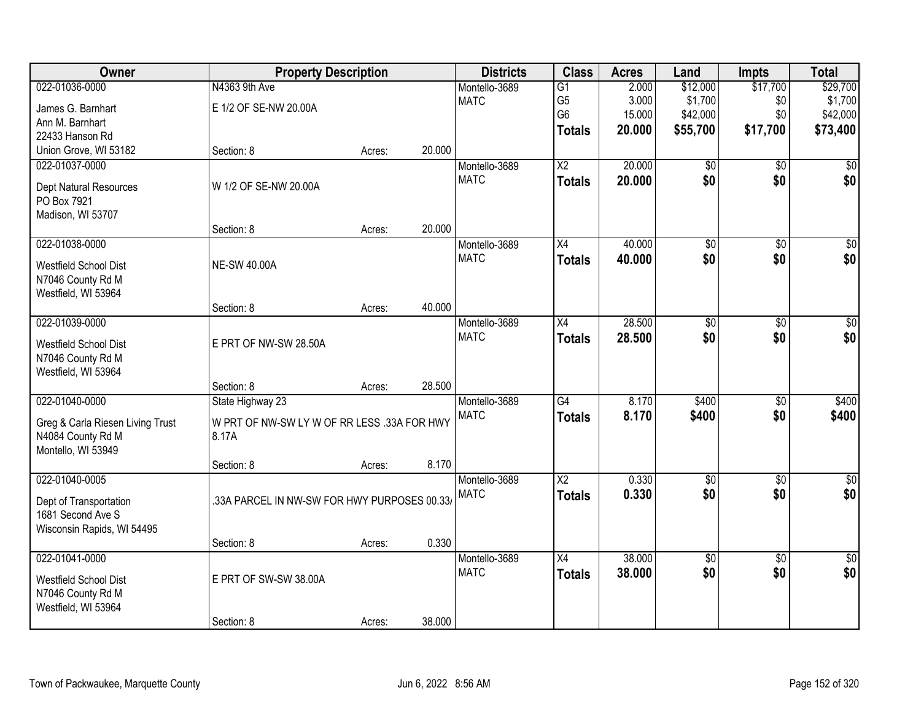| Owner                            | <b>Property Description</b>                 |        |        | <b>Districts</b> | <b>Class</b>           | <b>Acres</b> | Land            | <b>Impts</b>    | <b>Total</b>     |
|----------------------------------|---------------------------------------------|--------|--------|------------------|------------------------|--------------|-----------------|-----------------|------------------|
| 022-01036-0000                   | N4363 9th Ave                               |        |        | Montello-3689    | $\overline{G1}$        | 2.000        | \$12,000        | \$17,700        | \$29,700         |
| James G. Barnhart                | E 1/2 OF SE-NW 20.00A                       |        |        | <b>MATC</b>      | G <sub>5</sub>         | 3.000        | \$1,700         | \$0             | \$1,700          |
| Ann M. Barnhart                  |                                             |        |        |                  | G <sub>6</sub>         | 15.000       | \$42,000        | \$0             | \$42,000         |
| 22433 Hanson Rd                  |                                             |        |        |                  | <b>Totals</b>          | 20.000       | \$55,700        | \$17,700        | \$73,400         |
| Union Grove, WI 53182            | Section: 8                                  | Acres: | 20.000 |                  |                        |              |                 |                 |                  |
| 022-01037-0000                   |                                             |        |        | Montello-3689    | $\overline{\text{X2}}$ | 20.000       | $\overline{50}$ | $\overline{50}$ | \$0              |
| Dept Natural Resources           | W 1/2 OF SE-NW 20.00A                       |        |        | <b>MATC</b>      | <b>Totals</b>          | 20,000       | \$0             | \$0             | \$0              |
| PO Box 7921                      |                                             |        |        |                  |                        |              |                 |                 |                  |
| Madison, WI 53707                |                                             |        |        |                  |                        |              |                 |                 |                  |
|                                  | Section: 8                                  | Acres: | 20.000 |                  |                        |              |                 |                 |                  |
| 022-01038-0000                   |                                             |        |        | Montello-3689    | $\overline{X4}$        | 40.000       | $\overline{60}$ | \$0             | $\overline{\$0}$ |
| <b>Westfield School Dist</b>     | <b>NE-SW 40.00A</b>                         |        |        | <b>MATC</b>      | <b>Totals</b>          | 40.000       | \$0             | \$0             | \$0              |
| N7046 County Rd M                |                                             |        |        |                  |                        |              |                 |                 |                  |
| Westfield, WI 53964              |                                             |        |        |                  |                        |              |                 |                 |                  |
|                                  | Section: 8                                  | Acres: | 40.000 |                  |                        |              |                 |                 |                  |
| 022-01039-0000                   |                                             |        |        | Montello-3689    | $\overline{X4}$        | 28.500       | $\overline{50}$ | \$0             | $\overline{30}$  |
| Westfield School Dist            | E PRT OF NW-SW 28.50A                       |        |        | <b>MATC</b>      | <b>Totals</b>          | 28.500       | \$0             | \$0             | \$0              |
| N7046 County Rd M                |                                             |        |        |                  |                        |              |                 |                 |                  |
| Westfield, WI 53964              |                                             |        |        |                  |                        |              |                 |                 |                  |
|                                  | Section: 8                                  | Acres: | 28.500 |                  |                        |              |                 |                 |                  |
| 022-01040-0000                   | State Highway 23                            |        |        | Montello-3689    | $\overline{G4}$        | 8.170        | \$400           | \$0             | \$400            |
| Greg & Carla Riesen Living Trust | W PRT OF NW-SW LY W OF RR LESS .33A FOR HWY |        |        | <b>MATC</b>      | <b>Totals</b>          | 8.170        | \$400           | \$0             | \$400            |
| N4084 County Rd M                | 8.17A                                       |        |        |                  |                        |              |                 |                 |                  |
| Montello, WI 53949               |                                             |        |        |                  |                        |              |                 |                 |                  |
|                                  | Section: 8                                  | Acres: | 8.170  |                  |                        |              |                 |                 |                  |
| 022-01040-0005                   |                                             |        |        | Montello-3689    | $\overline{X2}$        | 0.330        | $\overline{60}$ | $\overline{50}$ | $\sqrt{50}$      |
| Dept of Transportation           | 33A PARCEL IN NW-SW FOR HWY PURPOSES 00.33/ |        |        | <b>MATC</b>      | <b>Totals</b>          | 0.330        | \$0             | \$0             | \$0              |
| 1681 Second Ave S                |                                             |        |        |                  |                        |              |                 |                 |                  |
| Wisconsin Rapids, WI 54495       |                                             |        |        |                  |                        |              |                 |                 |                  |
|                                  | Section: 8                                  | Acres: | 0.330  |                  |                        |              |                 |                 |                  |
| 022-01041-0000                   |                                             |        |        | Montello-3689    | $\overline{X4}$        | 38,000       | $\overline{50}$ | $\overline{50}$ | $\sqrt{30}$      |
| Westfield School Dist            | E PRT OF SW-SW 38.00A                       |        |        | <b>MATC</b>      | <b>Totals</b>          | 38.000       | \$0             | \$0             | \$0              |
| N7046 County Rd M                |                                             |        |        |                  |                        |              |                 |                 |                  |
| Westfield, WI 53964              |                                             |        |        |                  |                        |              |                 |                 |                  |
|                                  | Section: 8                                  | Acres: | 38.000 |                  |                        |              |                 |                 |                  |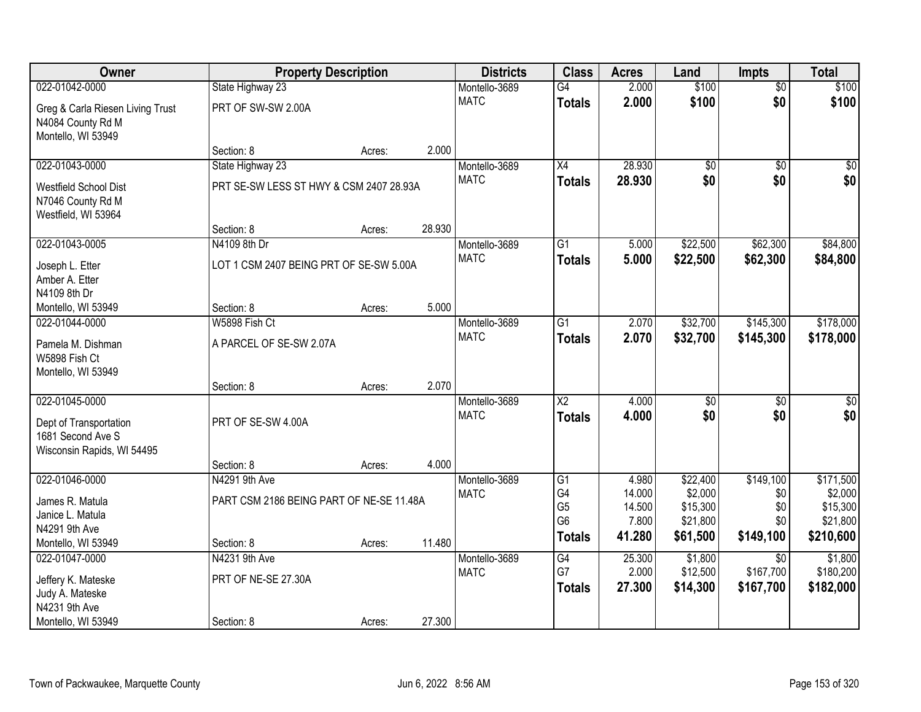| Owner                                                                       | <b>Property Description</b>              |        |        | <b>Districts</b>             | <b>Class</b>                           | <b>Acres</b>              | Land                            | <b>Impts</b>                              | <b>Total</b>                      |
|-----------------------------------------------------------------------------|------------------------------------------|--------|--------|------------------------------|----------------------------------------|---------------------------|---------------------------------|-------------------------------------------|-----------------------------------|
| 022-01042-0000                                                              | State Highway 23                         |        |        | Montello-3689                | $\overline{G4}$                        | 2.000                     | \$100                           | $\overline{50}$                           | \$100                             |
| Greg & Carla Riesen Living Trust<br>N4084 County Rd M<br>Montello, WI 53949 | PRT OF SW-SW 2.00A                       |        |        | <b>MATC</b>                  | <b>Totals</b>                          | 2.000                     | \$100                           | \$0                                       | \$100                             |
|                                                                             | Section: 8                               | Acres: | 2.000  |                              |                                        |                           |                                 |                                           |                                   |
| 022-01043-0000                                                              | State Highway 23                         |        |        | Montello-3689                | $\overline{X4}$                        | 28.930                    | $\overline{50}$                 | $\overline{50}$                           | $\sqrt{50}$                       |
| Westfield School Dist<br>N7046 County Rd M<br>Westfield, WI 53964           | PRT SE-SW LESS ST HWY & CSM 2407 28.93A  |        |        | <b>MATC</b>                  | <b>Totals</b>                          | 28.930                    | \$0                             | \$0                                       | \$0                               |
|                                                                             | Section: 8                               | Acres: | 28.930 |                              |                                        |                           |                                 |                                           |                                   |
| 022-01043-0005                                                              | N4109 8th Dr                             |        |        | Montello-3689                | $\overline{G1}$                        | 5.000                     | \$22,500                        | \$62,300                                  | \$84,800                          |
| Joseph L. Etter<br>Amber A. Etter<br>N4109 8th Dr                           | LOT 1 CSM 2407 BEING PRT OF SE-SW 5.00A  |        |        | <b>MATC</b>                  | <b>Totals</b>                          | 5.000                     | \$22,500                        | \$62,300                                  | \$84,800                          |
| Montello, WI 53949                                                          | Section: 8                               | Acres: | 5.000  |                              |                                        |                           |                                 |                                           |                                   |
| 022-01044-0000                                                              | W5898 Fish Ct                            |        |        | Montello-3689                | G1                                     | 2.070                     | \$32,700                        | \$145,300                                 | \$178,000                         |
| Pamela M. Dishman<br>W5898 Fish Ct<br>Montello, WI 53949                    | A PARCEL OF SE-SW 2.07A                  |        |        | <b>MATC</b>                  | <b>Totals</b>                          | 2.070                     | \$32,700                        | \$145,300                                 | \$178,000                         |
|                                                                             | Section: 8                               | Acres: | 2.070  |                              |                                        |                           |                                 |                                           |                                   |
| 022-01045-0000<br>Dept of Transportation                                    | PRT OF SE-SW 4.00A                       |        |        | Montello-3689<br><b>MATC</b> | $\overline{X2}$<br><b>Totals</b>       | 4.000<br>4.000            | $\overline{50}$<br>\$0          | \$0<br>\$0                                | $\overline{\$0}$<br>\$0           |
| 1681 Second Ave S<br>Wisconsin Rapids, WI 54495                             |                                          |        |        |                              |                                        |                           |                                 |                                           |                                   |
|                                                                             | Section: 8                               | Acres: | 4.000  |                              |                                        |                           |                                 |                                           |                                   |
| 022-01046-0000                                                              | N4291 9th Ave                            |        |        | Montello-3689                | G1                                     | 4.980                     | \$22,400                        | \$149,100                                 | \$171,500                         |
| James R. Matula<br>Janice L. Matula<br>N4291 9th Ave                        | PART CSM 2186 BEING PART OF NE-SE 11.48A |        |        | <b>MATC</b>                  | G4<br>G <sub>5</sub><br>G <sub>6</sub> | 14.000<br>14.500<br>7.800 | \$2,000<br>\$15,300<br>\$21,800 | \$0<br>\$0<br>\$0                         | \$2,000<br>\$15,300<br>\$21,800   |
| Montello, WI 53949                                                          | Section: 8                               | Acres: | 11.480 |                              | <b>Totals</b>                          | 41.280                    | \$61,500                        | \$149,100                                 | \$210,600                         |
| 022-01047-0000<br>Jeffery K. Mateske<br>Judy A. Mateske                     | N4231 9th Ave<br>PRT OF NE-SE 27.30A     |        |        | Montello-3689<br><b>MATC</b> | G4<br>G7<br><b>Totals</b>              | 25.300<br>2.000<br>27.300 | \$1,800<br>\$12,500<br>\$14,300 | $\overline{30}$<br>\$167,700<br>\$167,700 | \$1,800<br>\$180,200<br>\$182,000 |
| N4231 9th Ave<br>Montello, WI 53949                                         | Section: 8                               | Acres: | 27.300 |                              |                                        |                           |                                 |                                           |                                   |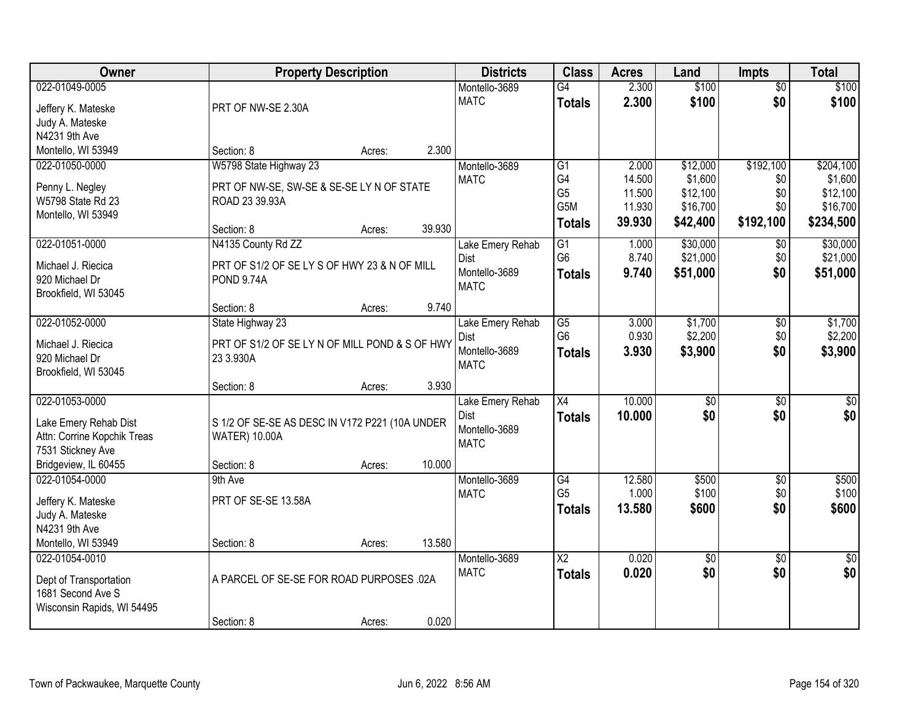| Owner                       | <b>Property Description</b>                    |        |        | <b>Districts</b> | <b>Class</b>           | <b>Acres</b> | Land            | <b>Impts</b>    | <b>Total</b>    |
|-----------------------------|------------------------------------------------|--------|--------|------------------|------------------------|--------------|-----------------|-----------------|-----------------|
| 022-01049-0005              |                                                |        |        | Montello-3689    | $\overline{G4}$        | 2.300        | \$100           | \$0             | \$100           |
| Jeffery K. Mateske          | PRT OF NW-SE 2.30A                             |        |        | <b>MATC</b>      | <b>Totals</b>          | 2.300        | \$100           | \$0             | \$100           |
| Judy A. Mateske             |                                                |        |        |                  |                        |              |                 |                 |                 |
| N4231 9th Ave               |                                                |        |        |                  |                        |              |                 |                 |                 |
| Montello, WI 53949          | Section: 8                                     | Acres: | 2.300  |                  |                        |              |                 |                 |                 |
| 022-01050-0000              | W5798 State Highway 23                         |        |        | Montello-3689    | $\overline{G1}$        | 2.000        | \$12,000        | \$192,100       | \$204,100       |
|                             |                                                |        |        | <b>MATC</b>      | G4                     | 14.500       | \$1,600         | \$0             | \$1,600         |
| Penny L. Negley             | PRT OF NW-SE, SW-SE & SE-SE LY N OF STATE      |        |        |                  | G <sub>5</sub>         | 11.500       | \$12,100        | \$0             | \$12,100        |
| W5798 State Rd 23           | ROAD 23 39.93A                                 |        |        |                  | G5M                    | 11.930       | \$16,700        | \$0             | \$16,700        |
| Montello, WI 53949          | Section: 8                                     | Acres: | 39.930 |                  | <b>Totals</b>          | 39.930       | \$42,400        | \$192,100       | \$234,500       |
| 022-01051-0000              | N4135 County Rd ZZ                             |        |        | Lake Emery Rehab | G1                     | 1.000        | \$30,000        | \$0             | \$30,000        |
|                             |                                                |        |        | <b>Dist</b>      | G <sub>6</sub>         | 8.740        | \$21,000        | \$0             | \$21,000        |
| Michael J. Riecica          | PRT OF S1/2 OF SE LY S OF HWY 23 & N OF MILL   |        |        | Montello-3689    | <b>Totals</b>          | 9.740        | \$51,000        | \$0             | \$51,000        |
| 920 Michael Dr              | <b>POND 9.74A</b>                              |        |        | <b>MATC</b>      |                        |              |                 |                 |                 |
| Brookfield, WI 53045        |                                                |        |        |                  |                        |              |                 |                 |                 |
|                             | Section: 8                                     | Acres: | 9.740  |                  |                        |              |                 |                 |                 |
| 022-01052-0000              | State Highway 23                               |        |        | Lake Emery Rehab | G5                     | 3.000        | \$1,700         | \$0             | \$1,700         |
| Michael J. Riecica          | PRT OF S1/2 OF SE LY N OF MILL POND & S OF HWY |        |        | Dist             | G <sub>6</sub>         | 0.930        | \$2,200         | \$0             | \$2,200         |
| 920 Michael Dr              | 23 3.930A                                      |        |        | Montello-3689    | <b>Totals</b>          | 3.930        | \$3,900         | \$0             | \$3,900         |
| Brookfield, WI 53045        |                                                |        |        | <b>MATC</b>      |                        |              |                 |                 |                 |
|                             | Section: 8                                     | Acres: | 3.930  |                  |                        |              |                 |                 |                 |
| 022-01053-0000              |                                                |        |        | Lake Emery Rehab | $\overline{X4}$        | 10.000       | $\overline{50}$ | $\overline{50}$ | $\sqrt{50}$     |
| Lake Emery Rehab Dist       | S 1/2 OF SE-SE AS DESC IN V172 P221 (10A UNDER |        |        | Dist             | <b>Totals</b>          | 10.000       | \$0             | \$0             | \$0             |
| Attn: Corrine Kopchik Treas | <b>WATER) 10.00A</b>                           |        |        | Montello-3689    |                        |              |                 |                 |                 |
| 7531 Stickney Ave           |                                                |        |        | <b>MATC</b>      |                        |              |                 |                 |                 |
| Bridgeview, IL 60455        | Section: 8                                     | Acres: | 10.000 |                  |                        |              |                 |                 |                 |
| 022-01054-0000              | 9th Ave                                        |        |        | Montello-3689    | G4                     | 12.580       | \$500           | $\overline{50}$ | \$500           |
|                             |                                                |        |        | <b>MATC</b>      | G <sub>5</sub>         | 1.000        | \$100           | \$0             | \$100           |
| Jeffery K. Mateske          | PRT OF SE-SE 13.58A                            |        |        |                  | <b>Totals</b>          | 13.580       | \$600           | \$0             | \$600           |
| Judy A. Mateske             |                                                |        |        |                  |                        |              |                 |                 |                 |
| N4231 9th Ave               |                                                |        |        |                  |                        |              |                 |                 |                 |
| Montello, WI 53949          | Section: 8                                     | Acres: | 13.580 |                  |                        |              |                 |                 |                 |
| 022-01054-0010              |                                                |        |        | Montello-3689    | $\overline{\text{X2}}$ | 0.020        | $\overline{50}$ | $\overline{50}$ | $\overline{50}$ |
| Dept of Transportation      | A PARCEL OF SE-SE FOR ROAD PURPOSES .02A       |        |        | <b>MATC</b>      | <b>Totals</b>          | 0.020        | \$0             | \$0             | \$0             |
| 1681 Second Ave S           |                                                |        |        |                  |                        |              |                 |                 |                 |
| Wisconsin Rapids, WI 54495  |                                                |        |        |                  |                        |              |                 |                 |                 |
|                             | Section: 8                                     | Acres: | 0.020  |                  |                        |              |                 |                 |                 |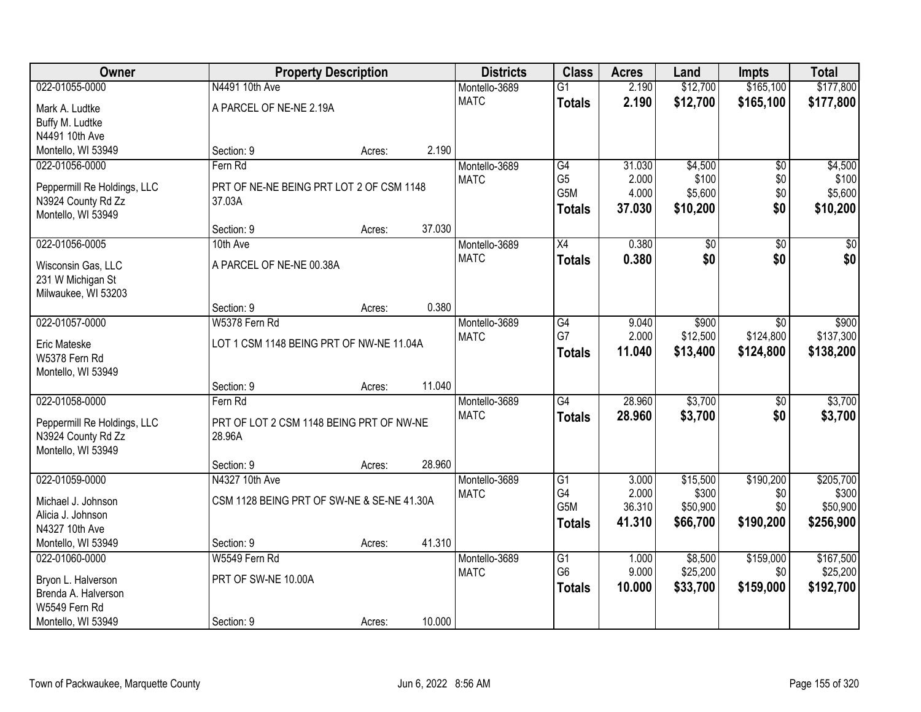| Owner                                             | <b>Property Description</b>                        |        |        | <b>Districts</b> | <b>Class</b>    | <b>Acres</b> | Land        | <b>Impts</b>    | <b>Total</b>    |
|---------------------------------------------------|----------------------------------------------------|--------|--------|------------------|-----------------|--------------|-------------|-----------------|-----------------|
| 022-01055-0000                                    | N4491 10th Ave                                     |        |        | Montello-3689    | $\overline{G1}$ | 2.190        | \$12,700    | \$165,100       | \$177,800       |
| Mark A. Ludtke                                    | A PARCEL OF NE-NE 2.19A                            |        |        | <b>MATC</b>      | <b>Totals</b>   | 2.190        | \$12,700    | \$165,100       | \$177,800       |
| Buffy M. Ludtke                                   |                                                    |        |        |                  |                 |              |             |                 |                 |
| N4491 10th Ave                                    |                                                    |        |        |                  |                 |              |             |                 |                 |
| Montello, WI 53949                                | Section: 9                                         | Acres: | 2.190  |                  |                 |              |             |                 |                 |
| 022-01056-0000                                    | Fern Rd                                            |        |        | Montello-3689    | G4              | 31.030       | \$4,500     | $\overline{50}$ | \$4,500         |
| Peppermill Re Holdings, LLC                       | PRT OF NE-NE BEING PRT LOT 2 OF CSM 1148           |        |        | <b>MATC</b>      | G <sub>5</sub>  | 2.000        | \$100       | \$0             | \$100           |
| N3924 County Rd Zz                                | 37.03A                                             |        |        |                  | G5M             | 4.000        | \$5,600     | \$0             | \$5,600         |
| Montello, WI 53949                                |                                                    |        |        |                  | <b>Totals</b>   | 37.030       | \$10,200    | \$0             | \$10,200        |
|                                                   | Section: 9                                         | Acres: | 37.030 |                  |                 |              |             |                 |                 |
| 022-01056-0005                                    | 10th Ave                                           |        |        | Montello-3689    | X4              | 0.380        | $\sqrt{50}$ | $\overline{50}$ | $\overline{50}$ |
| Wisconsin Gas, LLC                                | A PARCEL OF NE-NE 00.38A                           |        |        | <b>MATC</b>      | <b>Totals</b>   | 0.380        | \$0         | \$0             | \$0             |
| 231 W Michigan St                                 |                                                    |        |        |                  |                 |              |             |                 |                 |
| Milwaukee, WI 53203                               |                                                    |        |        |                  |                 |              |             |                 |                 |
|                                                   | Section: 9                                         | Acres: | 0.380  |                  |                 |              |             |                 |                 |
| 022-01057-0000                                    | W5378 Fern Rd                                      |        |        | Montello-3689    | $\overline{G4}$ | 9.040        | \$900       | \$0             | \$900           |
| <b>Eric Mateske</b>                               | LOT 1 CSM 1148 BEING PRT OF NW-NE 11.04A           |        |        | <b>MATC</b>      | G7              | 2.000        | \$12,500    | \$124,800       | \$137,300       |
| W5378 Fern Rd                                     |                                                    |        |        |                  | <b>Totals</b>   | 11.040       | \$13,400    | \$124,800       | \$138,200       |
| Montello, WI 53949                                |                                                    |        |        |                  |                 |              |             |                 |                 |
|                                                   | Section: 9                                         | Acres: | 11.040 |                  |                 |              |             |                 |                 |
| 022-01058-0000                                    | Fern Rd                                            |        |        | Montello-3689    | $\overline{G4}$ | 28.960       | \$3,700     | $\overline{50}$ | \$3,700         |
|                                                   |                                                    |        |        | <b>MATC</b>      | <b>Totals</b>   | 28.960       | \$3,700     | \$0             | \$3,700         |
| Peppermill Re Holdings, LLC<br>N3924 County Rd Zz | PRT OF LOT 2 CSM 1148 BEING PRT OF NW-NE<br>28.96A |        |        |                  |                 |              |             |                 |                 |
| Montello, WI 53949                                |                                                    |        |        |                  |                 |              |             |                 |                 |
|                                                   | Section: 9                                         | Acres: | 28.960 |                  |                 |              |             |                 |                 |
| 022-01059-0000                                    | N4327 10th Ave                                     |        |        | Montello-3689    | G1              | 3.000        | \$15,500    | \$190,200       | \$205,700       |
|                                                   |                                                    |        |        | <b>MATC</b>      | G4              | 2.000        | \$300       | \$0             | \$300           |
| Michael J. Johnson<br>Alicia J. Johnson           | CSM 1128 BEING PRT OF SW-NE & SE-NE 41.30A         |        |        |                  | G5M             | 36.310       | \$50,900    | \$0             | \$50,900        |
| N4327 10th Ave                                    |                                                    |        |        |                  | <b>Totals</b>   | 41.310       | \$66,700    | \$190,200       | \$256,900       |
| Montello, WI 53949                                | Section: 9                                         | Acres: | 41.310 |                  |                 |              |             |                 |                 |
| 022-01060-0000                                    | W5549 Fern Rd                                      |        |        | Montello-3689    | G1              | 1.000        | \$8,500     | \$159,000       | \$167,500       |
|                                                   |                                                    |        |        | <b>MATC</b>      | G <sub>6</sub>  | 9.000        | \$25,200    | \$0             | \$25,200        |
| Bryon L. Halverson                                | PRT OF SW-NE 10.00A                                |        |        |                  | <b>Totals</b>   | 10.000       | \$33,700    | \$159,000       | \$192,700       |
| Brenda A. Halverson<br>W5549 Fern Rd              |                                                    |        |        |                  |                 |              |             |                 |                 |
| Montello, WI 53949                                | Section: 9                                         | Acres: | 10.000 |                  |                 |              |             |                 |                 |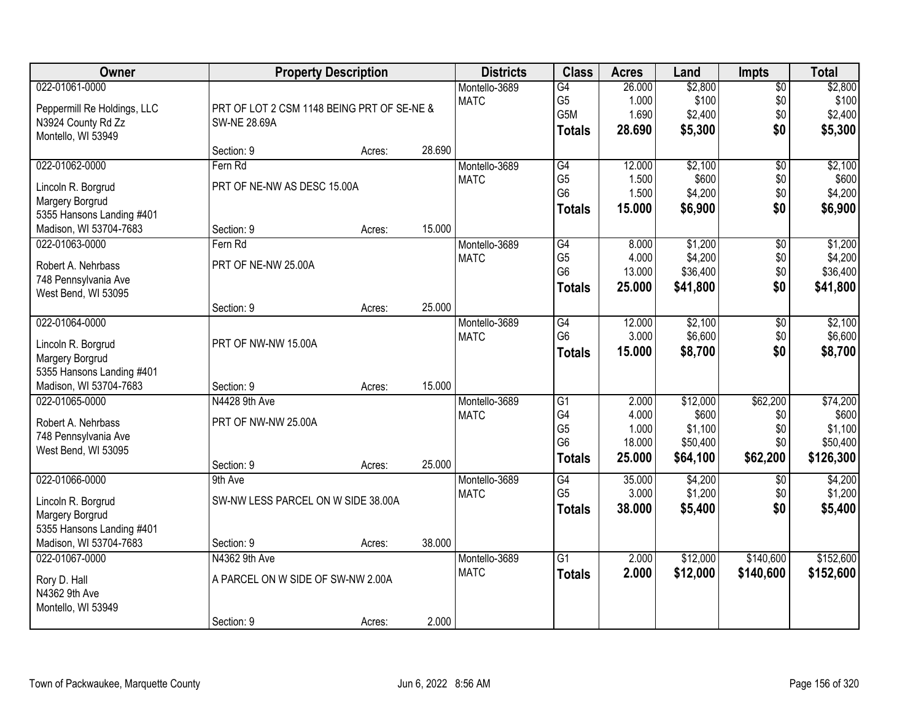| Owner                               |                                            | <b>Property Description</b> |        | <b>Districts</b>             | <b>Class</b>         | <b>Acres</b>    | Land               | <b>Impts</b>         | <b>Total</b>       |
|-------------------------------------|--------------------------------------------|-----------------------------|--------|------------------------------|----------------------|-----------------|--------------------|----------------------|--------------------|
| 022-01061-0000                      |                                            |                             |        | Montello-3689                | $\overline{G4}$      | 26.000          | \$2,800            | \$0                  | \$2,800            |
| Peppermill Re Holdings, LLC         | PRT OF LOT 2 CSM 1148 BEING PRT OF SE-NE & |                             |        | <b>MATC</b>                  | G <sub>5</sub>       | 1.000           | \$100              | \$0                  | \$100              |
| N3924 County Rd Zz                  | <b>SW-NE 28.69A</b>                        |                             |        |                              | G5M                  | 1.690           | \$2,400            | \$0                  | \$2,400            |
| Montello, WI 53949                  |                                            |                             |        |                              | <b>Totals</b>        | 28.690          | \$5,300            | \$0                  | \$5,300            |
|                                     | Section: 9                                 | Acres:                      | 28.690 |                              |                      |                 |                    |                      |                    |
| 022-01062-0000                      | Fern Rd                                    |                             |        | Montello-3689                | G4                   | 12.000          | \$2,100            | $\overline{50}$      | \$2,100            |
| Lincoln R. Borgrud                  | PRT OF NE-NW AS DESC 15.00A                |                             |        | <b>MATC</b>                  | G <sub>5</sub>       | 1.500           | \$600              | \$0                  | \$600              |
| Margery Borgrud                     |                                            |                             |        |                              | G <sub>6</sub>       | 1.500           | \$4,200            | \$0                  | \$4,200            |
| 5355 Hansons Landing #401           |                                            |                             |        |                              | <b>Totals</b>        | 15.000          | \$6,900            | \$0                  | \$6,900            |
| Madison, WI 53704-7683              | Section: 9                                 | Acres:                      | 15.000 |                              |                      |                 |                    |                      |                    |
| 022-01063-0000                      | Fern Rd                                    |                             |        | Montello-3689                | G4                   | 8.000           | \$1,200            | \$0                  | \$1,200            |
|                                     |                                            |                             |        | <b>MATC</b>                  | G <sub>5</sub>       | 4.000           | \$4,200            | \$0                  | \$4,200            |
| Robert A. Nehrbass                  | PRT OF NE-NW 25.00A                        |                             |        |                              | G <sub>6</sub>       | 13.000          | \$36,400           | \$0                  | \$36,400           |
| 748 Pennsylvania Ave                |                                            |                             |        |                              | <b>Totals</b>        | 25,000          | \$41,800           | \$0                  | \$41,800           |
| West Bend, WI 53095                 |                                            |                             |        |                              |                      |                 |                    |                      |                    |
|                                     | Section: 9                                 | Acres:                      | 25.000 |                              |                      |                 |                    |                      |                    |
| 022-01064-0000                      |                                            |                             |        | Montello-3689<br><b>MATC</b> | G4<br>G <sub>6</sub> | 12.000<br>3.000 | \$2,100<br>\$6,600 | $\sqrt[6]{3}$<br>\$0 | \$2,100<br>\$6,600 |
| Lincoln R. Borgrud                  | PRT OF NW-NW 15.00A                        |                             |        |                              |                      |                 |                    | \$0                  |                    |
| Margery Borgrud                     |                                            |                             |        |                              | <b>Totals</b>        | 15.000          | \$8,700            |                      | \$8,700            |
| 5355 Hansons Landing #401           |                                            |                             |        |                              |                      |                 |                    |                      |                    |
| Madison, WI 53704-7683              | Section: 9                                 | Acres:                      | 15.000 |                              |                      |                 |                    |                      |                    |
| 022-01065-0000                      | N4428 9th Ave                              |                             |        | Montello-3689                | $\overline{G1}$      | 2.000           | \$12,000           | \$62,200             | \$74,200           |
| Robert A. Nehrbass                  | PRT OF NW-NW 25.00A                        |                             |        | <b>MATC</b>                  | G4                   | 4.000           | \$600              | \$0                  | \$600              |
| 748 Pennsylvania Ave                |                                            |                             |        |                              | G <sub>5</sub>       | 1.000           | \$1,100            | \$0                  | \$1,100            |
| West Bend, WI 53095                 |                                            |                             |        |                              | G <sub>6</sub>       | 18.000          | \$50,400           | \$0                  | \$50,400           |
|                                     | Section: 9                                 | Acres:                      | 25.000 |                              | <b>Totals</b>        | 25.000          | \$64,100           | \$62,200             | \$126,300          |
| 022-01066-0000                      | 9th Ave                                    |                             |        | Montello-3689                | G4                   | 35.000          | \$4,200            | $\overline{50}$      | \$4,200            |
| Lincoln R. Borgrud                  | SW-NW LESS PARCEL ON W SIDE 38.00A         |                             |        | <b>MATC</b>                  | G <sub>5</sub>       | 3.000           | \$1,200            | \$0                  | \$1,200            |
| Margery Borgrud                     |                                            |                             |        |                              | Totals               | 38,000          | \$5,400            | \$0                  | \$5,400            |
| 5355 Hansons Landing #401           |                                            |                             |        |                              |                      |                 |                    |                      |                    |
| Madison, WI 53704-7683              | Section: 9                                 | Acres:                      | 38.000 |                              |                      |                 |                    |                      |                    |
| 022-01067-0000                      | N4362 9th Ave                              |                             |        | Montello-3689                | $\overline{G1}$      | 2.000           | \$12,000           | \$140,600            | \$152,600          |
|                                     |                                            |                             |        | <b>MATC</b>                  | <b>Totals</b>        | 2.000           | \$12,000           | \$140,600            | \$152,600          |
| Rory D. Hall                        | A PARCEL ON W SIDE OF SW-NW 2.00A          |                             |        |                              |                      |                 |                    |                      |                    |
| N4362 9th Ave<br>Montello, WI 53949 |                                            |                             |        |                              |                      |                 |                    |                      |                    |
|                                     | Section: 9                                 | Acres:                      | 2.000  |                              |                      |                 |                    |                      |                    |
|                                     |                                            |                             |        |                              |                      |                 |                    |                      |                    |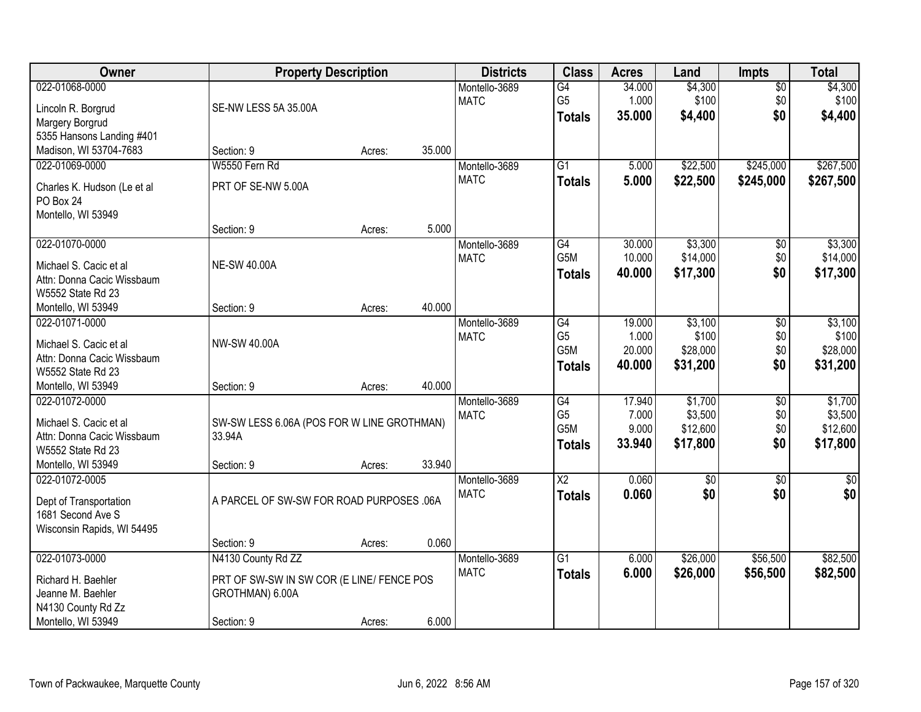| Owner                                       | <b>Property Description</b>                |        |        | <b>Districts</b> | <b>Class</b>          | <b>Acres</b>    | Land              | <b>Impts</b>    | <b>Total</b>      |
|---------------------------------------------|--------------------------------------------|--------|--------|------------------|-----------------------|-----------------|-------------------|-----------------|-------------------|
| 022-01068-0000                              |                                            |        |        | Montello-3689    | $\overline{G4}$       | 34.000          | \$4,300           | \$0             | \$4,300           |
| Lincoln R. Borgrud                          | SE-NW LESS 5A 35.00A                       |        |        | <b>MATC</b>      | G <sub>5</sub>        | 1.000           | \$100             | \$0             | \$100             |
| Margery Borgrud                             |                                            |        |        |                  | <b>Totals</b>         | 35.000          | \$4,400           | \$0             | \$4,400           |
| 5355 Hansons Landing #401                   |                                            |        |        |                  |                       |                 |                   |                 |                   |
| Madison, WI 53704-7683                      | Section: 9                                 | Acres: | 35.000 |                  |                       |                 |                   |                 |                   |
| 022-01069-0000                              | W5550 Fern Rd                              |        |        | Montello-3689    | $\overline{G1}$       | 5.000           | \$22,500          | \$245,000       | \$267,500         |
|                                             | PRT OF SE-NW 5.00A                         |        |        | <b>MATC</b>      | <b>Totals</b>         | 5.000           | \$22,500          | \$245,000       | \$267,500         |
| Charles K. Hudson (Le et al<br>PO Box 24    |                                            |        |        |                  |                       |                 |                   |                 |                   |
| Montello, WI 53949                          |                                            |        |        |                  |                       |                 |                   |                 |                   |
|                                             | Section: 9                                 | Acres: | 5.000  |                  |                       |                 |                   |                 |                   |
| 022-01070-0000                              |                                            |        |        | Montello-3689    | G4                    | 30.000          | \$3,300           | \$0             | \$3,300           |
|                                             |                                            |        |        | <b>MATC</b>      | G5M                   | 10.000          | \$14,000          | \$0             | \$14,000          |
| Michael S. Cacic et al                      | <b>NE-SW 40.00A</b>                        |        |        |                  | <b>Totals</b>         | 40.000          | \$17,300          | \$0             | \$17,300          |
| Attn: Donna Cacic Wissbaum                  |                                            |        |        |                  |                       |                 |                   |                 |                   |
| W5552 State Rd 23                           |                                            |        |        |                  |                       |                 |                   |                 |                   |
| Montello, WI 53949                          | Section: 9                                 | Acres: | 40.000 |                  |                       |                 |                   |                 |                   |
| 022-01071-0000                              |                                            |        |        | Montello-3689    | $\overline{G4}$       | 19.000          | \$3,100           | \$0             | \$3,100           |
| Michael S. Cacic et al                      | NW-SW 40.00A                               |        |        | <b>MATC</b>      | G <sub>5</sub><br>G5M | 1.000<br>20.000 | \$100<br>\$28,000 | \$0<br>\$0      | \$100<br>\$28,000 |
| Attn: Donna Cacic Wissbaum                  |                                            |        |        |                  |                       |                 |                   | \$0             |                   |
| W5552 State Rd 23                           |                                            |        |        |                  | <b>Totals</b>         | 40.000          | \$31,200          |                 | \$31,200          |
| Montello, WI 53949                          | Section: 9                                 | Acres: | 40.000 |                  |                       |                 |                   |                 |                   |
| 022-01072-0000                              |                                            |        |        | Montello-3689    | G4                    | 17.940          | \$1,700           | $\overline{50}$ | \$1,700           |
| Michael S. Cacic et al                      | SW-SW LESS 6.06A (POS FOR W LINE GROTHMAN) |        |        | <b>MATC</b>      | G <sub>5</sub>        | 7.000           | \$3,500           | \$0             | \$3,500           |
| Attn: Donna Cacic Wissbaum                  | 33.94A                                     |        |        |                  | G5M                   | 9.000           | \$12,600          | \$0             | \$12,600          |
| W5552 State Rd 23                           |                                            |        |        |                  | <b>Totals</b>         | 33.940          | \$17,800          | \$0             | \$17,800          |
| Montello, WI 53949                          | Section: 9                                 | Acres: | 33.940 |                  |                       |                 |                   |                 |                   |
| 022-01072-0005                              |                                            |        |        | Montello-3689    | $\overline{X2}$       | 0.060           | $\overline{50}$   | $\overline{50}$ | \$0               |
|                                             |                                            |        |        | <b>MATC</b>      | <b>Totals</b>         | 0.060           | \$0               | \$0             | \$0               |
| Dept of Transportation<br>1681 Second Ave S | A PARCEL OF SW-SW FOR ROAD PURPOSES .06A   |        |        |                  |                       |                 |                   |                 |                   |
| Wisconsin Rapids, WI 54495                  |                                            |        |        |                  |                       |                 |                   |                 |                   |
|                                             | Section: 9                                 | Acres: | 0.060  |                  |                       |                 |                   |                 |                   |
| 022-01073-0000                              | N4130 County Rd ZZ                         |        |        | Montello-3689    | $\overline{G1}$       | 6.000           | \$26,000          | \$56,500        | \$82,500          |
|                                             |                                            |        |        | <b>MATC</b>      | <b>Totals</b>         | 6.000           | \$26,000          | \$56,500        | \$82,500          |
| Richard H. Baehler                          | PRT OF SW-SW IN SW COR (E LINE/ FENCE POS  |        |        |                  |                       |                 |                   |                 |                   |
| Jeanne M. Baehler                           | GROTHMAN) 6.00A                            |        |        |                  |                       |                 |                   |                 |                   |
| N4130 County Rd Zz                          |                                            |        |        |                  |                       |                 |                   |                 |                   |
| Montello, WI 53949                          | Section: 9                                 | Acres: | 6.000  |                  |                       |                 |                   |                 |                   |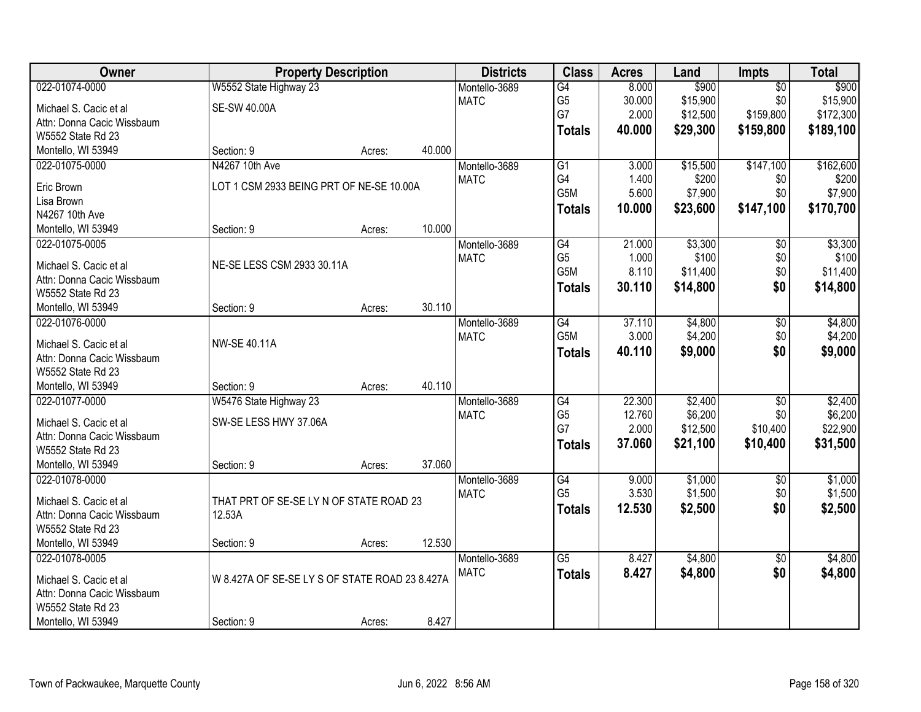| Owner                        | <b>Property Description</b>                    |        |        | <b>Districts</b> | <b>Class</b>    | <b>Acres</b> | Land     | <b>Impts</b>    | <b>Total</b> |
|------------------------------|------------------------------------------------|--------|--------|------------------|-----------------|--------------|----------|-----------------|--------------|
| 022-01074-0000               | W5552 State Highway 23                         |        |        | Montello-3689    | $\overline{G4}$ | 8.000        | \$900    | $\overline{50}$ | \$900        |
| Michael S. Cacic et al       | <b>SE-SW 40.00A</b>                            |        |        | <b>MATC</b>      | G <sub>5</sub>  | 30.000       | \$15,900 | \$0             | \$15,900     |
| Attn: Donna Cacic Wissbaum   |                                                |        |        |                  | G7              | 2.000        | \$12,500 | \$159,800       | \$172,300    |
| W5552 State Rd 23            |                                                |        |        |                  | <b>Totals</b>   | 40.000       | \$29,300 | \$159,800       | \$189,100    |
| Montello, WI 53949           | Section: 9                                     | Acres: | 40.000 |                  |                 |              |          |                 |              |
| 022-01075-0000               | N4267 10th Ave                                 |        |        | Montello-3689    | $\overline{G1}$ | 3.000        | \$15,500 | \$147,100       | \$162,600    |
|                              | LOT 1 CSM 2933 BEING PRT OF NE-SE 10.00A       |        |        | <b>MATC</b>      | G4              | 1.400        | \$200    | \$0             | \$200        |
| Eric Brown                   |                                                |        |        |                  | G5M             | 5.600        | \$7,900  | \$0             | \$7,900      |
| Lisa Brown<br>N4267 10th Ave |                                                |        |        |                  | <b>Totals</b>   | 10.000       | \$23,600 | \$147,100       | \$170,700    |
| Montello, WI 53949           | Section: 9                                     |        | 10.000 |                  |                 |              |          |                 |              |
| 022-01075-0005               |                                                | Acres: |        | Montello-3689    | G4              | 21.000       | \$3,300  |                 | \$3,300      |
|                              |                                                |        |        | <b>MATC</b>      | G <sub>5</sub>  | 1.000        | \$100    | \$0<br>\$0      | \$100        |
| Michael S. Cacic et al       | NE-SE LESS CSM 2933 30.11A                     |        |        |                  | G5M             | 8.110        | \$11,400 | \$0             | \$11,400     |
| Attn: Donna Cacic Wissbaum   |                                                |        |        |                  |                 | 30.110       |          |                 |              |
| W5552 State Rd 23            |                                                |        |        |                  | <b>Totals</b>   |              | \$14,800 | \$0             | \$14,800     |
| Montello, WI 53949           | Section: 9                                     | Acres: | 30.110 |                  |                 |              |          |                 |              |
| 022-01076-0000               |                                                |        |        | Montello-3689    | G4              | 37.110       | \$4,800  | \$0             | \$4,800      |
| Michael S. Cacic et al       | <b>NW-SE 40.11A</b>                            |        |        | <b>MATC</b>      | G5M             | 3.000        | \$4,200  | \$0             | \$4,200      |
| Attn: Donna Cacic Wissbaum   |                                                |        |        |                  | <b>Totals</b>   | 40.110       | \$9,000  | \$0             | \$9,000      |
| W5552 State Rd 23            |                                                |        |        |                  |                 |              |          |                 |              |
| Montello, WI 53949           | Section: 9                                     | Acres: | 40.110 |                  |                 |              |          |                 |              |
| 022-01077-0000               | W5476 State Highway 23                         |        |        | Montello-3689    | $\overline{G4}$ | 22.300       | \$2,400  | $\overline{30}$ | \$2,400      |
|                              |                                                |        |        | <b>MATC</b>      | G <sub>5</sub>  | 12.760       | \$6,200  | \$0             | \$6,200      |
| Michael S. Cacic et al       | SW-SE LESS HWY 37.06A                          |        |        |                  | G7              | 2.000        | \$12,500 | \$10,400        | \$22,900     |
| Attn: Donna Cacic Wissbaum   |                                                |        |        |                  | <b>Totals</b>   | 37.060       | \$21,100 | \$10,400        | \$31,500     |
| W5552 State Rd 23            |                                                |        |        |                  |                 |              |          |                 |              |
| Montello, WI 53949           | Section: 9                                     | Acres: | 37.060 |                  |                 |              |          |                 |              |
| 022-01078-0000               |                                                |        |        | Montello-3689    | G4              | 9.000        | \$1,000  | $\sqrt{6}$      | \$1,000      |
| Michael S. Cacic et al       | THAT PRT OF SE-SE LY N OF STATE ROAD 23        |        |        | <b>MATC</b>      | G <sub>5</sub>  | 3.530        | \$1,500  | \$0             | \$1,500      |
| Attn: Donna Cacic Wissbaum   | 12.53A                                         |        |        |                  | <b>Totals</b>   | 12.530       | \$2,500  | \$0             | \$2,500      |
| W5552 State Rd 23            |                                                |        |        |                  |                 |              |          |                 |              |
| Montello, WI 53949           | Section: 9                                     | Acres: | 12.530 |                  |                 |              |          |                 |              |
| 022-01078-0005               |                                                |        |        | Montello-3689    | $\overline{G5}$ | 8.427        | \$4,800  | $\overline{30}$ | \$4,800      |
|                              |                                                |        |        | <b>MATC</b>      | <b>Totals</b>   | 8.427        | \$4,800  | \$0             | \$4,800      |
| Michael S. Cacic et al       | W 8.427A OF SE-SE LY S OF STATE ROAD 23 8.427A |        |        |                  |                 |              |          |                 |              |
| Attn: Donna Cacic Wissbaum   |                                                |        |        |                  |                 |              |          |                 |              |
| W5552 State Rd 23            |                                                |        |        |                  |                 |              |          |                 |              |
| Montello, WI 53949           | Section: 9                                     | Acres: | 8.427  |                  |                 |              |          |                 |              |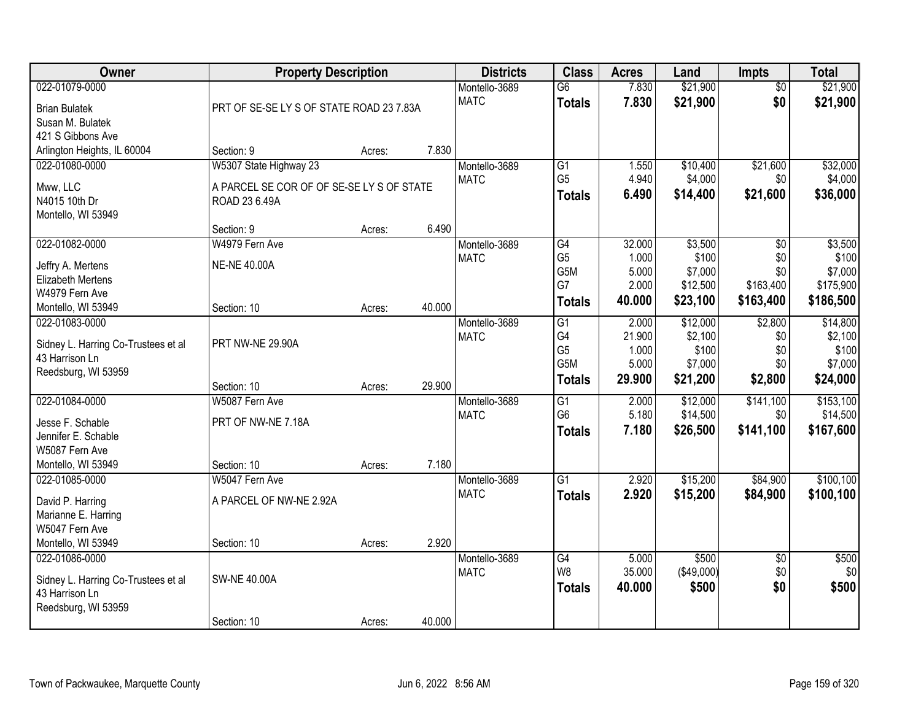| Owner                                                 | <b>Property Description</b>               |        |        | <b>Districts</b> | <b>Class</b>    | <b>Acres</b> | Land       | <b>Impts</b>    | <b>Total</b> |
|-------------------------------------------------------|-------------------------------------------|--------|--------|------------------|-----------------|--------------|------------|-----------------|--------------|
| 022-01079-0000                                        |                                           |        |        | Montello-3689    | $\overline{G6}$ | 7.830        | \$21,900   | $\overline{50}$ | \$21,900     |
| <b>Brian Bulatek</b>                                  | PRT OF SE-SE LY S OF STATE ROAD 23 7.83A  |        |        | <b>MATC</b>      | <b>Totals</b>   | 7.830        | \$21,900   | \$0             | \$21,900     |
| Susan M. Bulatek                                      |                                           |        |        |                  |                 |              |            |                 |              |
| 421 S Gibbons Ave                                     |                                           |        |        |                  |                 |              |            |                 |              |
| Arlington Heights, IL 60004                           | Section: 9                                | Acres: | 7.830  |                  |                 |              |            |                 |              |
| 022-01080-0000                                        | W5307 State Highway 23                    |        |        | Montello-3689    | $\overline{G1}$ | 1.550        | \$10,400   | \$21,600        | \$32,000     |
| Mww, LLC                                              | A PARCEL SE COR OF OF SE-SE LY S OF STATE |        |        | <b>MATC</b>      | G <sub>5</sub>  | 4.940        | \$4,000    | \$0             | \$4,000      |
| N4015 10th Dr                                         | ROAD 23 6.49A                             |        |        |                  | <b>Totals</b>   | 6.490        | \$14,400   | \$21,600        | \$36,000     |
| Montello, WI 53949                                    |                                           |        |        |                  |                 |              |            |                 |              |
|                                                       | Section: 9                                | Acres: | 6.490  |                  |                 |              |            |                 |              |
| 022-01082-0000                                        | W4979 Fern Ave                            |        |        | Montello-3689    | G4              | 32.000       | \$3,500    | \$0             | \$3,500      |
| Jeffry A. Mertens                                     | <b>NE-NE 40.00A</b>                       |        |        | <b>MATC</b>      | G <sub>5</sub>  | 1.000        | \$100      | \$0             | \$100        |
| Elizabeth Mertens                                     |                                           |        |        |                  | G5M             | 5.000        | \$7,000    | \$0             | \$7,000      |
| W4979 Fern Ave                                        |                                           |        |        |                  | G7              | 2.000        | \$12,500   | \$163,400       | \$175,900    |
| Montello, WI 53949                                    | Section: 10                               | Acres: | 40.000 |                  | <b>Totals</b>   | 40.000       | \$23,100   | \$163,400       | \$186,500    |
| 022-01083-0000                                        |                                           |        |        | Montello-3689    | G1              | 2.000        | \$12,000   | \$2,800         | \$14,800     |
|                                                       | PRT NW-NE 29.90A                          |        |        | <b>MATC</b>      | G4              | 21.900       | \$2,100    | \$0             | \$2,100      |
| Sidney L. Harring Co-Trustees et al<br>43 Harrison Ln |                                           |        |        |                  | G <sub>5</sub>  | 1.000        | \$100      | \$0             | \$100        |
| Reedsburg, WI 53959                                   |                                           |        |        |                  | G5M             | 5.000        | \$7,000    | \$0             | \$7,000      |
|                                                       | Section: 10                               | Acres: | 29.900 |                  | <b>Totals</b>   | 29.900       | \$21,200   | \$2,800         | \$24,000     |
| 022-01084-0000                                        | W5087 Fern Ave                            |        |        | Montello-3689    | $\overline{G1}$ | 2.000        | \$12,000   | \$141,100       | \$153,100    |
|                                                       |                                           |        |        | <b>MATC</b>      | G <sub>6</sub>  | 5.180        | \$14,500   | \$0             | \$14,500     |
| Jesse F. Schable<br>Jennifer E. Schable               | PRT OF NW-NE 7.18A                        |        |        |                  | <b>Totals</b>   | 7.180        | \$26,500   | \$141,100       | \$167,600    |
| W5087 Fern Ave                                        |                                           |        |        |                  |                 |              |            |                 |              |
| Montello, WI 53949                                    | Section: 10                               | Acres: | 7.180  |                  |                 |              |            |                 |              |
| 022-01085-0000                                        | W5047 Fern Ave                            |        |        | Montello-3689    | $\overline{G1}$ | 2.920        | \$15,200   | \$84,900        | \$100, 100   |
|                                                       |                                           |        |        | <b>MATC</b>      | <b>Totals</b>   | 2.920        | \$15,200   | \$84,900        | \$100,100    |
| David P. Harring                                      | A PARCEL OF NW-NE 2.92A                   |        |        |                  |                 |              |            |                 |              |
| Marianne E. Harring                                   |                                           |        |        |                  |                 |              |            |                 |              |
| W5047 Fern Ave<br>Montello, WI 53949                  | Section: 10                               | Acres: | 2.920  |                  |                 |              |            |                 |              |
| 022-01086-0000                                        |                                           |        |        | Montello-3689    | $\overline{G4}$ | 5.000        | \$500      | $\overline{30}$ | \$500        |
|                                                       |                                           |        |        | <b>MATC</b>      | W8              | 35.000       | (\$49,000) | \$0             | \$0          |
| Sidney L. Harring Co-Trustees et al                   | <b>SW-NE 40.00A</b>                       |        |        |                  | <b>Totals</b>   | 40.000       | \$500      | \$0             | \$500        |
| 43 Harrison Ln                                        |                                           |        |        |                  |                 |              |            |                 |              |
| Reedsburg, WI 53959                                   |                                           |        |        |                  |                 |              |            |                 |              |
|                                                       | Section: 10                               | Acres: | 40.000 |                  |                 |              |            |                 |              |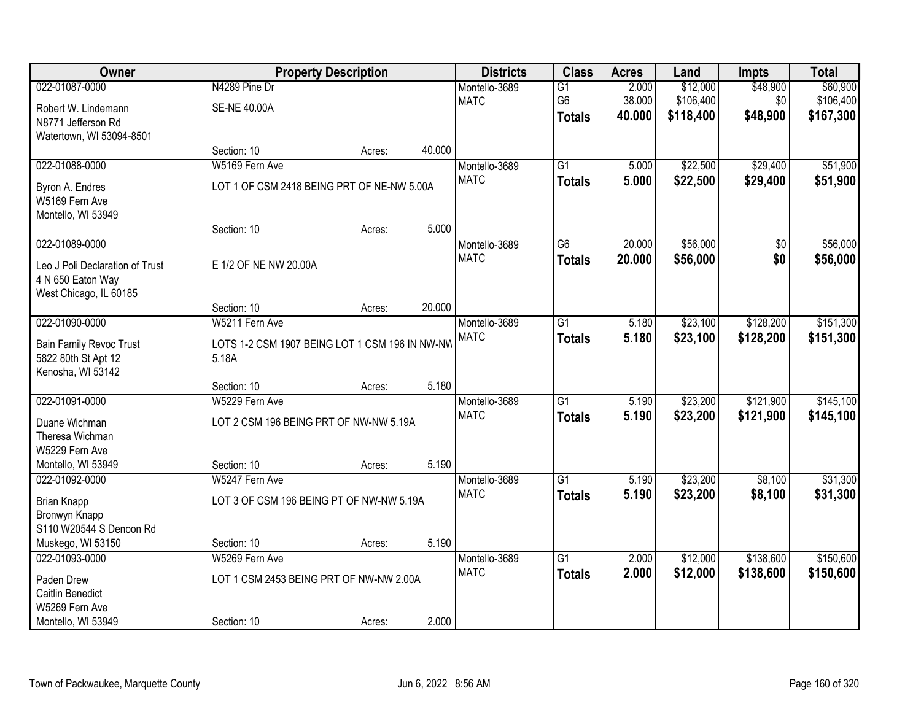| Owner                                 |                                                | <b>Property Description</b> |        | <b>Districts</b> | <b>Class</b>    | <b>Acres</b> | Land      | <b>Impts</b> | <b>Total</b> |
|---------------------------------------|------------------------------------------------|-----------------------------|--------|------------------|-----------------|--------------|-----------|--------------|--------------|
| 022-01087-0000                        | N4289 Pine Dr                                  |                             |        | Montello-3689    | $\overline{G1}$ | 2.000        | \$12,000  | \$48,900     | \$60,900     |
| Robert W. Lindemann                   | <b>SE-NE 40.00A</b>                            |                             |        | <b>MATC</b>      | G6              | 38.000       | \$106,400 | \$0          | \$106,400    |
| N8771 Jefferson Rd                    |                                                |                             |        |                  | <b>Totals</b>   | 40.000       | \$118,400 | \$48,900     | \$167,300    |
| Watertown, WI 53094-8501              |                                                |                             |        |                  |                 |              |           |              |              |
|                                       | Section: 10                                    | Acres:                      | 40.000 |                  |                 |              |           |              |              |
| 022-01088-0000                        | W5169 Fern Ave                                 |                             |        | Montello-3689    | $\overline{G1}$ | 5.000        | \$22,500  | \$29,400     | \$51,900     |
| Byron A. Endres                       | LOT 1 OF CSM 2418 BEING PRT OF NE-NW 5.00A     |                             |        | <b>MATC</b>      | <b>Totals</b>   | 5.000        | \$22,500  | \$29,400     | \$51,900     |
| W5169 Fern Ave                        |                                                |                             |        |                  |                 |              |           |              |              |
| Montello, WI 53949                    |                                                |                             |        |                  |                 |              |           |              |              |
|                                       | Section: 10                                    | Acres:                      | 5.000  |                  |                 |              |           |              |              |
| 022-01089-0000                        |                                                |                             |        | Montello-3689    | G6              | 20.000       | \$56,000  | \$0          | \$56,000     |
| Leo J Poli Declaration of Trust       | E 1/2 OF NE NW 20.00A                          |                             |        | <b>MATC</b>      | <b>Totals</b>   | 20.000       | \$56,000  | \$0          | \$56,000     |
| 4 N 650 Eaton Way                     |                                                |                             |        |                  |                 |              |           |              |              |
| West Chicago, IL 60185                |                                                |                             |        |                  |                 |              |           |              |              |
|                                       | Section: 10                                    | Acres:                      | 20.000 |                  |                 |              |           |              |              |
| 022-01090-0000                        | W5211 Fern Ave                                 |                             |        | Montello-3689    | G1              | 5.180        | \$23,100  | \$128,200    | \$151,300    |
| <b>Bain Family Revoc Trust</b>        | LOTS 1-2 CSM 1907 BEING LOT 1 CSM 196 IN NW-NW |                             |        | <b>MATC</b>      | <b>Totals</b>   | 5.180        | \$23,100  | \$128,200    | \$151,300    |
| 5822 80th St Apt 12                   | 5.18A                                          |                             |        |                  |                 |              |           |              |              |
| Kenosha, WI 53142                     |                                                |                             |        |                  |                 |              |           |              |              |
|                                       | Section: 10                                    | Acres:                      | 5.180  |                  |                 |              |           |              |              |
| 022-01091-0000                        | W5229 Fern Ave                                 |                             |        | Montello-3689    | $\overline{G1}$ | 5.190        | \$23,200  | \$121,900    | \$145,100    |
| Duane Wichman                         | LOT 2 CSM 196 BEING PRT OF NW-NW 5.19A         |                             |        | <b>MATC</b>      | <b>Totals</b>   | 5.190        | \$23,200  | \$121,900    | \$145,100    |
| Theresa Wichman                       |                                                |                             |        |                  |                 |              |           |              |              |
| W5229 Fern Ave                        |                                                |                             |        |                  |                 |              |           |              |              |
| Montello, WI 53949                    | Section: 10                                    | Acres:                      | 5.190  |                  |                 |              |           |              |              |
| 022-01092-0000                        | W5247 Fern Ave                                 |                             |        | Montello-3689    | $\overline{G1}$ | 5.190        | \$23,200  | \$8,100      | \$31,300     |
|                                       | LOT 3 OF CSM 196 BEING PT OF NW-NW 5.19A       |                             |        | <b>MATC</b>      | <b>Totals</b>   | 5.190        | \$23,200  | \$8,100      | \$31,300     |
| Brian Knapp<br>Bronwyn Knapp          |                                                |                             |        |                  |                 |              |           |              |              |
| S110 W20544 S Denoon Rd               |                                                |                             |        |                  |                 |              |           |              |              |
| Muskego, WI 53150                     | Section: 10                                    | Acres:                      | 5.190  |                  |                 |              |           |              |              |
| 022-01093-0000                        | W5269 Fern Ave                                 |                             |        | Montello-3689    | $\overline{G1}$ | 2.000        | \$12,000  | \$138,600    | \$150,600    |
|                                       | LOT 1 CSM 2453 BEING PRT OF NW-NW 2.00A        |                             |        | <b>MATC</b>      | <b>Totals</b>   | 2.000        | \$12,000  | \$138,600    | \$150,600    |
| Paden Drew<br><b>Caitlin Benedict</b> |                                                |                             |        |                  |                 |              |           |              |              |
| W5269 Fern Ave                        |                                                |                             |        |                  |                 |              |           |              |              |
| Montello, WI 53949                    | Section: 10                                    | Acres:                      | 2.000  |                  |                 |              |           |              |              |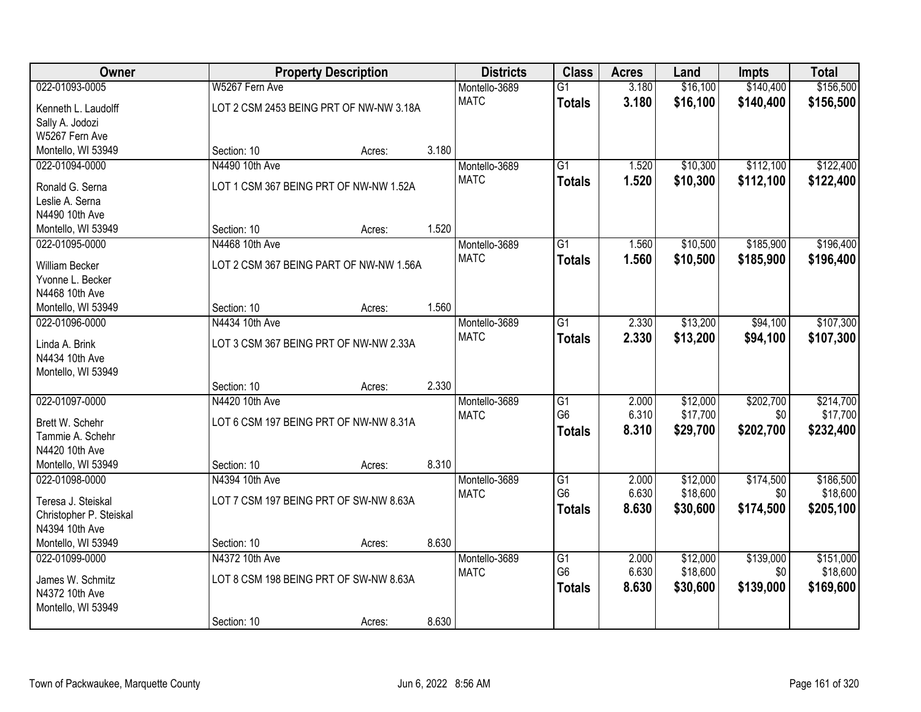| Owner                   |                                         | <b>Property Description</b> |       | <b>Districts</b> | <b>Class</b>                      | <b>Acres</b>   | Land     | <b>Impts</b> | <b>Total</b> |
|-------------------------|-----------------------------------------|-----------------------------|-------|------------------|-----------------------------------|----------------|----------|--------------|--------------|
| 022-01093-0005          | W5267 Fern Ave                          |                             |       | Montello-3689    | $\overline{G1}$                   | 3.180          | \$16,100 | \$140,400    | \$156,500    |
| Kenneth L. Laudolff     | LOT 2 CSM 2453 BEING PRT OF NW-NW 3.18A |                             |       | <b>MATC</b>      | <b>Totals</b>                     | 3.180          | \$16,100 | \$140,400    | \$156,500    |
| Sally A. Jodozi         |                                         |                             |       |                  |                                   |                |          |              |              |
| W5267 Fern Ave          |                                         |                             |       |                  |                                   |                |          |              |              |
| Montello, WI 53949      | Section: 10                             | Acres:                      | 3.180 |                  |                                   |                |          |              |              |
| 022-01094-0000          | N4490 10th Ave                          |                             |       | Montello-3689    | $\overline{G1}$                   | 1.520          | \$10,300 | \$112,100    | \$122,400    |
|                         |                                         |                             |       | <b>MATC</b>      | <b>Totals</b>                     | 1.520          | \$10,300 | \$112,100    | \$122,400    |
| Ronald G. Serna         | LOT 1 CSM 367 BEING PRT OF NW-NW 1.52A  |                             |       |                  |                                   |                |          |              |              |
| Leslie A. Serna         |                                         |                             |       |                  |                                   |                |          |              |              |
| N4490 10th Ave          |                                         |                             |       |                  |                                   |                |          |              |              |
| Montello, WI 53949      | Section: 10                             | Acres:                      | 1.520 |                  |                                   |                |          |              |              |
| 022-01095-0000          | N4468 10th Ave                          |                             |       | Montello-3689    | G1                                | 1.560          | \$10,500 | \$185,900    | \$196,400    |
| William Becker          | LOT 2 CSM 367 BEING PART OF NW-NW 1.56A |                             |       | <b>MATC</b>      | <b>Totals</b>                     | 1.560          | \$10,500 | \$185,900    | \$196,400    |
| Yvonne L. Becker        |                                         |                             |       |                  |                                   |                |          |              |              |
| N4468 10th Ave          |                                         |                             |       |                  |                                   |                |          |              |              |
| Montello, WI 53949      | Section: 10                             | Acres:                      | 1.560 |                  |                                   |                |          |              |              |
| 022-01096-0000          | N4434 10th Ave                          |                             |       | Montello-3689    | G1                                | 2.330          | \$13,200 | \$94,100     | \$107,300    |
|                         |                                         |                             |       | <b>MATC</b>      | <b>Totals</b>                     | 2.330          | \$13,200 | \$94,100     | \$107,300    |
| Linda A. Brink          | LOT 3 CSM 367 BEING PRT OF NW-NW 2.33A  |                             |       |                  |                                   |                |          |              |              |
| N4434 10th Ave          |                                         |                             |       |                  |                                   |                |          |              |              |
| Montello, WI 53949      |                                         |                             |       |                  |                                   |                |          |              |              |
|                         | Section: 10                             | Acres:                      | 2.330 |                  |                                   |                |          |              |              |
| 022-01097-0000          | N4420 10th Ave                          |                             |       | Montello-3689    | $\overline{G1}$                   | 2.000          | \$12,000 | \$202,700    | \$214,700    |
| Brett W. Schehr         | LOT 6 CSM 197 BEING PRT OF NW-NW 8.31A  |                             |       | <b>MATC</b>      | G <sub>6</sub>                    | 6.310          | \$17,700 | \$0          | \$17,700     |
| Tammie A. Schehr        |                                         |                             |       |                  | <b>Totals</b>                     | 8.310          | \$29,700 | \$202,700    | \$232,400    |
| N4420 10th Ave          |                                         |                             |       |                  |                                   |                |          |              |              |
| Montello, WI 53949      | Section: 10                             |                             | 8.310 |                  |                                   |                |          |              |              |
| 022-01098-0000          | N4394 10th Ave                          | Acres:                      |       |                  |                                   |                | \$12,000 | \$174,500    | \$186,500    |
|                         |                                         |                             |       | Montello-3689    | $\overline{G1}$<br>G <sub>6</sub> | 2.000<br>6.630 | \$18,600 | \$0          | \$18,600     |
| Teresa J. Steiskal      | LOT 7 CSM 197 BEING PRT OF SW-NW 8.63A  |                             |       | <b>MATC</b>      |                                   |                |          |              |              |
| Christopher P. Steiskal |                                         |                             |       |                  | <b>Totals</b>                     | 8.630          | \$30,600 | \$174,500    | \$205,100    |
| N4394 10th Ave          |                                         |                             |       |                  |                                   |                |          |              |              |
| Montello, WI 53949      | Section: 10                             | Acres:                      | 8.630 |                  |                                   |                |          |              |              |
| 022-01099-0000          | N4372 10th Ave                          |                             |       | Montello-3689    | $\overline{G1}$                   | 2.000          | \$12,000 | \$139,000    | \$151,000    |
|                         |                                         |                             |       | <b>MATC</b>      | G <sub>6</sub>                    | 6.630          | \$18,600 | \$0          | \$18,600     |
| James W. Schmitz        | LOT 8 CSM 198 BEING PRT OF SW-NW 8.63A  |                             |       |                  | <b>Totals</b>                     | 8.630          | \$30,600 | \$139,000    | \$169,600    |
| N4372 10th Ave          |                                         |                             |       |                  |                                   |                |          |              |              |
| Montello, WI 53949      |                                         |                             |       |                  |                                   |                |          |              |              |
|                         | Section: 10                             | Acres:                      | 8.630 |                  |                                   |                |          |              |              |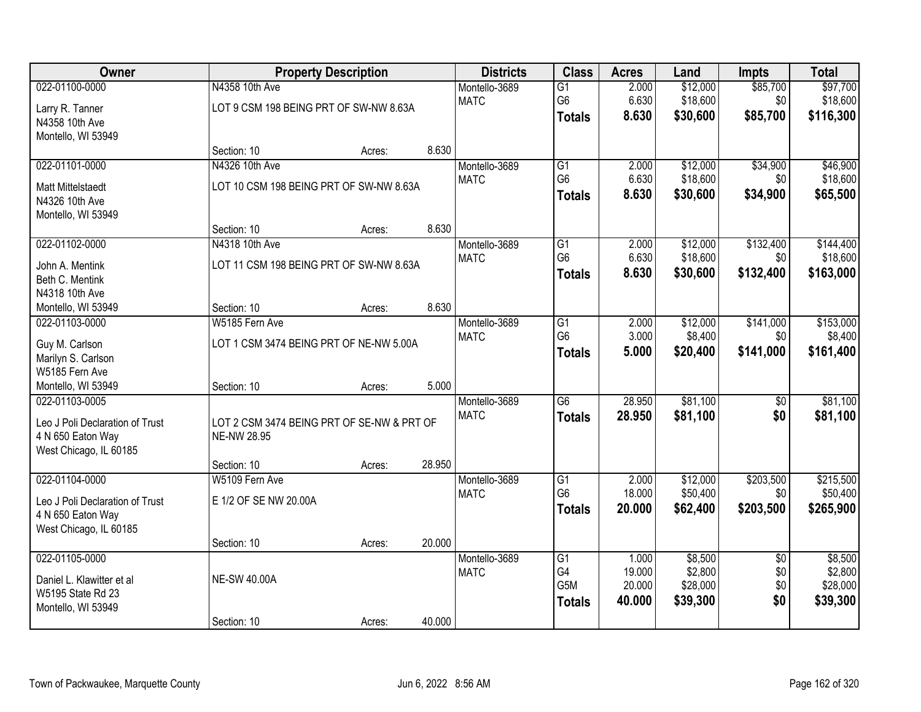| Owner                           |                                            | <b>Property Description</b> |        | <b>Districts</b> | <b>Class</b>     | <b>Acres</b> | Land     | <b>Impts</b>    | <b>Total</b> |
|---------------------------------|--------------------------------------------|-----------------------------|--------|------------------|------------------|--------------|----------|-----------------|--------------|
| 022-01100-0000                  | N4358 10th Ave                             |                             |        | Montello-3689    | $\overline{G1}$  | 2.000        | \$12,000 | \$85,700        | \$97,700     |
| Larry R. Tanner                 | LOT 9 CSM 198 BEING PRT OF SW-NW 8.63A     |                             |        | <b>MATC</b>      | G <sub>6</sub>   | 6.630        | \$18,600 | \$0             | \$18,600     |
| N4358 10th Ave                  |                                            |                             |        |                  | <b>Totals</b>    | 8.630        | \$30,600 | \$85,700        | \$116,300    |
| Montello, WI 53949              |                                            |                             |        |                  |                  |              |          |                 |              |
|                                 | Section: 10                                | Acres:                      | 8.630  |                  |                  |              |          |                 |              |
| 022-01101-0000                  | N4326 10th Ave                             |                             |        | Montello-3689    | $\overline{G1}$  | 2.000        | \$12,000 | \$34,900        | \$46,900     |
| <b>Matt Mittelstaedt</b>        | LOT 10 CSM 198 BEING PRT OF SW-NW 8.63A    |                             |        | <b>MATC</b>      | G <sub>6</sub>   | 6.630        | \$18,600 | \$0             | \$18,600     |
| N4326 10th Ave                  |                                            |                             |        |                  | <b>Totals</b>    | 8.630        | \$30,600 | \$34,900        | \$65,500     |
| Montello, WI 53949              |                                            |                             |        |                  |                  |              |          |                 |              |
|                                 | Section: 10                                | Acres:                      | 8.630  |                  |                  |              |          |                 |              |
| 022-01102-0000                  | N4318 10th Ave                             |                             |        | Montello-3689    | $\overline{G1}$  | 2.000        | \$12,000 | \$132,400       | \$144,400    |
| John A. Mentink                 | LOT 11 CSM 198 BEING PRT OF SW-NW 8.63A    |                             |        | <b>MATC</b>      | G <sub>6</sub>   | 6.630        | \$18,600 | \$0             | \$18,600     |
| Beth C. Mentink                 |                                            |                             |        |                  | <b>Totals</b>    | 8.630        | \$30,600 | \$132,400       | \$163,000    |
| N4318 10th Ave                  |                                            |                             |        |                  |                  |              |          |                 |              |
| Montello, WI 53949              | Section: 10                                | Acres:                      | 8.630  |                  |                  |              |          |                 |              |
| 022-01103-0000                  | W5185 Fern Ave                             |                             |        | Montello-3689    | G1               | 2.000        | \$12,000 | \$141,000       | \$153,000    |
| Guy M. Carlson                  | LOT 1 CSM 3474 BEING PRT OF NE-NW 5.00A    |                             |        | <b>MATC</b>      | G <sub>6</sub>   | 3.000        | \$8,400  | \$0             | \$8,400      |
| Marilyn S. Carlson              |                                            |                             |        |                  | <b>Totals</b>    | 5.000        | \$20,400 | \$141,000       | \$161,400    |
| W5185 Fern Ave                  |                                            |                             |        |                  |                  |              |          |                 |              |
| Montello, WI 53949              | Section: 10                                | Acres:                      | 5.000  |                  |                  |              |          |                 |              |
| 022-01103-0005                  |                                            |                             |        | Montello-3689    | $\overline{G6}$  | 28.950       | \$81,100 | $\overline{50}$ | \$81,100     |
| Leo J Poli Declaration of Trust | LOT 2 CSM 3474 BEING PRT OF SE-NW & PRT OF |                             |        | <b>MATC</b>      | <b>Totals</b>    | 28.950       | \$81,100 | \$0             | \$81,100     |
| 4 N 650 Eaton Way               | NE-NW 28.95                                |                             |        |                  |                  |              |          |                 |              |
| West Chicago, IL 60185          |                                            |                             |        |                  |                  |              |          |                 |              |
|                                 | Section: 10                                | Acres:                      | 28.950 |                  |                  |              |          |                 |              |
| 022-01104-0000                  | W5109 Fern Ave                             |                             |        | Montello-3689    | $\overline{G1}$  | 2.000        | \$12,000 | \$203,500       | \$215,500    |
| Leo J Poli Declaration of Trust | E 1/2 OF SE NW 20.00A                      |                             |        | <b>MATC</b>      | G <sub>6</sub>   | 18.000       | \$50,400 | \$0             | \$50,400     |
| 4 N 650 Eaton Way               |                                            |                             |        |                  | <b>Totals</b>    | 20.000       | \$62,400 | \$203,500       | \$265,900    |
| West Chicago, IL 60185          |                                            |                             |        |                  |                  |              |          |                 |              |
|                                 | Section: 10                                | Acres:                      | 20.000 |                  |                  |              |          |                 |              |
| 022-01105-0000                  |                                            |                             |        | Montello-3689    | $\overline{G1}$  | 1.000        | \$8,500  | $\overline{50}$ | \$8,500      |
| Daniel L. Klawitter et al       | <b>NE-SW 40.00A</b>                        |                             |        | <b>MATC</b>      | G4               | 19.000       | \$2,800  | \$0             | \$2,800      |
| W5195 State Rd 23               |                                            |                             |        |                  | G <sub>5</sub> M | 20.000       | \$28,000 | \$0             | \$28,000     |
| Montello, WI 53949              |                                            |                             |        |                  | <b>Totals</b>    | 40.000       | \$39,300 | \$0             | \$39,300     |
|                                 | Section: 10                                | Acres:                      | 40.000 |                  |                  |              |          |                 |              |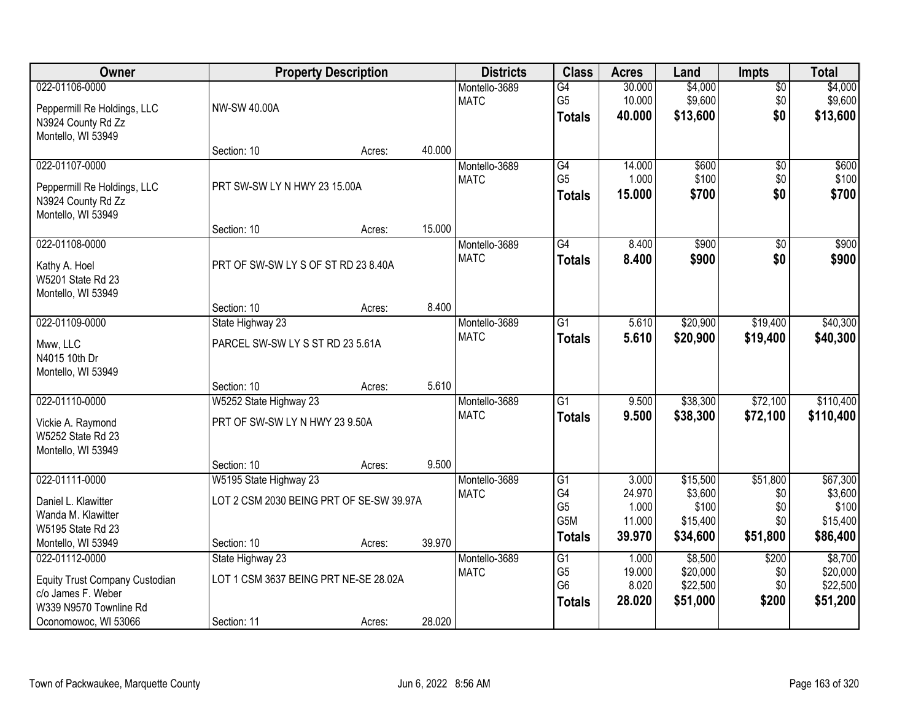| Owner                          |                                          | <b>Property Description</b> |        | <b>Districts</b> | <b>Class</b>         | <b>Acres</b>    | Land                | <b>Impts</b> | <b>Total</b>        |
|--------------------------------|------------------------------------------|-----------------------------|--------|------------------|----------------------|-----------------|---------------------|--------------|---------------------|
| 022-01106-0000                 |                                          |                             |        | Montello-3689    | $\overline{G4}$      | 30.000          | \$4,000             | $\sqrt{$0}$  | \$4,000             |
| Peppermill Re Holdings, LLC    | NW-SW 40.00A                             |                             |        | <b>MATC</b>      | G <sub>5</sub>       | 10.000          | \$9,600             | \$0          | \$9,600             |
| N3924 County Rd Zz             |                                          |                             |        |                  | <b>Totals</b>        | 40.000          | \$13,600            | \$0          | \$13,600            |
| Montello, WI 53949             |                                          |                             |        |                  |                      |                 |                     |              |                     |
|                                | Section: 10                              | Acres:                      | 40.000 |                  |                      |                 |                     |              |                     |
| 022-01107-0000                 |                                          |                             |        | Montello-3689    | G4                   | 14.000          | \$600               | \$0          | \$600               |
| Peppermill Re Holdings, LLC    | PRT SW-SW LY N HWY 23 15.00A             |                             |        | <b>MATC</b>      | G <sub>5</sub>       | 1.000           | \$100               | \$0          | \$100               |
| N3924 County Rd Zz             |                                          |                             |        |                  | <b>Totals</b>        | 15.000          | \$700               | \$0          | \$700               |
| Montello, WI 53949             |                                          |                             |        |                  |                      |                 |                     |              |                     |
|                                | Section: 10                              | Acres:                      | 15.000 |                  |                      |                 |                     |              |                     |
| 022-01108-0000                 |                                          |                             |        | Montello-3689    | $\overline{G4}$      | 8.400           | \$900               | \$0          | \$900               |
| Kathy A. Hoel                  | PRT OF SW-SW LY S OF ST RD 23 8.40A      |                             |        | <b>MATC</b>      | <b>Totals</b>        | 8.400           | \$900               | \$0          | \$900               |
| W5201 State Rd 23              |                                          |                             |        |                  |                      |                 |                     |              |                     |
| Montello, WI 53949             |                                          |                             |        |                  |                      |                 |                     |              |                     |
|                                | Section: 10                              | Acres:                      | 8.400  |                  |                      |                 |                     |              |                     |
| 022-01109-0000                 | State Highway 23                         |                             |        | Montello-3689    | $\overline{G1}$      | 5.610           | \$20,900            | \$19,400     | \$40,300            |
| Mww, LLC                       | PARCEL SW-SW LY S ST RD 23 5.61A         |                             |        | <b>MATC</b>      | <b>Totals</b>        | 5.610           | \$20,900            | \$19,400     | \$40,300            |
| N4015 10th Dr                  |                                          |                             |        |                  |                      |                 |                     |              |                     |
| Montello, WI 53949             |                                          |                             |        |                  |                      |                 |                     |              |                     |
|                                | Section: 10                              | Acres:                      | 5.610  |                  |                      |                 |                     |              |                     |
| 022-01110-0000                 | W5252 State Highway 23                   |                             |        | Montello-3689    | $\overline{G1}$      | 9.500           | \$38,300            | \$72,100     | \$110,400           |
| Vickie A. Raymond              | PRT OF SW-SW LY N HWY 23 9.50A           |                             |        | <b>MATC</b>      | Totals               | 9.500           | \$38,300            | \$72,100     | \$110,400           |
| W5252 State Rd 23              |                                          |                             |        |                  |                      |                 |                     |              |                     |
| Montello, WI 53949             |                                          |                             |        |                  |                      |                 |                     |              |                     |
|                                | Section: 10                              | Acres:                      | 9.500  |                  |                      |                 |                     |              |                     |
| 022-01111-0000                 | W5195 State Highway 23                   |                             |        | Montello-3689    | G1<br>G4             | 3.000<br>24.970 | \$15,500<br>\$3,600 | \$51,800     | \$67,300<br>\$3,600 |
| Daniel L. Klawitter            | LOT 2 CSM 2030 BEING PRT OF SE-SW 39.97A |                             |        | <b>MATC</b>      | G <sub>5</sub>       | 1.000           | \$100               | \$0<br>\$0   | \$100               |
| Wanda M. Klawitter             |                                          |                             |        |                  | G5M                  | 11.000          | \$15,400            | \$0          | \$15,400            |
| W5195 State Rd 23              |                                          |                             |        |                  | <b>Totals</b>        | 39.970          | \$34,600            | \$51,800     | \$86,400            |
| Montello, WI 53949             | Section: 10                              | Acres:                      | 39.970 |                  |                      |                 |                     |              |                     |
| 022-01112-0000                 | State Highway 23                         |                             |        | Montello-3689    | G1<br>G <sub>5</sub> | 1.000<br>19.000 | \$8,500<br>\$20,000 | \$200        | \$8,700<br>\$20,000 |
| Equity Trust Company Custodian | LOT 1 CSM 3637 BEING PRT NE-SE 28.02A    |                             |        | <b>MATC</b>      | G <sub>6</sub>       | 8.020           | \$22,500            | \$0<br>\$0   | \$22,500            |
| c/o James F. Weber             |                                          |                             |        |                  | <b>Totals</b>        | 28.020          | \$51,000            | \$200        | \$51,200            |
| W339 N9570 Townline Rd         |                                          |                             |        |                  |                      |                 |                     |              |                     |
| Oconomowoc, WI 53066           | Section: 11                              | Acres:                      | 28.020 |                  |                      |                 |                     |              |                     |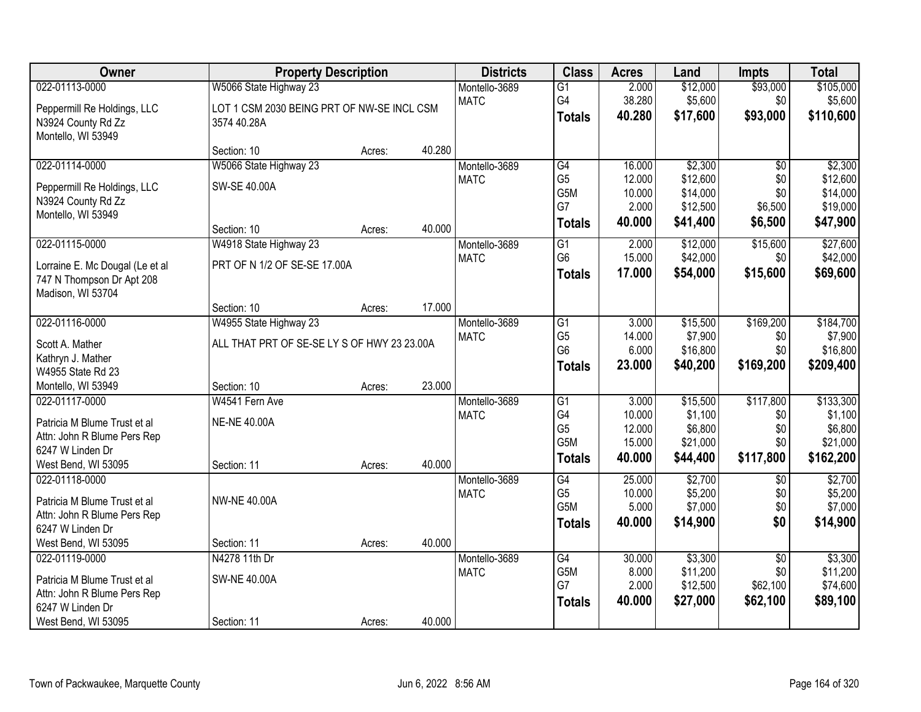| Owner                                             |                                             | <b>Property Description</b> |        | <b>Districts</b> | <b>Class</b>                       | <b>Acres</b>     | Land                 | <b>Impts</b>    | <b>Total</b>         |
|---------------------------------------------------|---------------------------------------------|-----------------------------|--------|------------------|------------------------------------|------------------|----------------------|-----------------|----------------------|
| 022-01113-0000                                    | W5066 State Highway 23                      |                             |        | Montello-3689    | $\overline{G1}$                    | 2.000            | \$12,000             | \$93,000        | \$105,000            |
| Peppermill Re Holdings, LLC                       | LOT 1 CSM 2030 BEING PRT OF NW-SE INCL CSM  |                             |        | <b>MATC</b>      | G4<br><b>Totals</b>                | 38.280<br>40.280 | \$5,600<br>\$17,600  | \$0<br>\$93,000 | \$5,600<br>\$110,600 |
| N3924 County Rd Zz<br>Montello, WI 53949          | 3574 40.28A                                 |                             |        |                  |                                    |                  |                      |                 |                      |
|                                                   | Section: 10                                 | Acres:                      | 40.280 |                  |                                    |                  |                      |                 |                      |
| 022-01114-0000                                    | W5066 State Highway 23                      |                             |        | Montello-3689    | G4                                 | 16.000           | \$2,300              | $\overline{50}$ | \$2,300              |
|                                                   |                                             |                             |        | <b>MATC</b>      | G <sub>5</sub>                     | 12.000           | \$12,600             | \$0             | \$12,600             |
| Peppermill Re Holdings, LLC<br>N3924 County Rd Zz | SW-SE 40.00A                                |                             |        |                  | G5M                                | 10.000           | \$14,000             | \$0             | \$14,000             |
| Montello, WI 53949                                |                                             |                             |        |                  | G7                                 | 2.000            | \$12,500             | \$6,500         | \$19,000             |
|                                                   | Section: 10                                 | Acres:                      | 40.000 |                  | <b>Totals</b>                      | 40.000           | \$41,400             | \$6,500         | \$47,900             |
| 022-01115-0000                                    | W4918 State Highway 23                      |                             |        | Montello-3689    | $\overline{G1}$                    | 2.000            | \$12,000             | \$15,600        | \$27,600             |
| Lorraine E. Mc Dougal (Le et al                   | PRT OF N 1/2 OF SE-SE 17.00A                |                             |        | <b>MATC</b>      | G <sub>6</sub>                     | 15.000           | \$42,000             | \$0             | \$42,000             |
| 747 N Thompson Dr Apt 208                         |                                             |                             |        |                  | Totals                             | 17.000           | \$54,000             | \$15,600        | \$69,600             |
| Madison, WI 53704                                 |                                             |                             |        |                  |                                    |                  |                      |                 |                      |
|                                                   | Section: 10                                 | Acres:                      | 17.000 |                  |                                    |                  |                      |                 |                      |
| 022-01116-0000                                    | W4955 State Highway 23                      |                             |        | Montello-3689    | $\overline{G1}$                    | 3.000            | \$15,500             | \$169,200       | \$184,700            |
| Scott A. Mather                                   | ALL THAT PRT OF SE-SE LY S OF HWY 23 23.00A |                             |        | <b>MATC</b>      | G <sub>5</sub>                     | 14.000           | \$7,900              | \$0             | \$7,900              |
| Kathryn J. Mather                                 |                                             |                             |        |                  | G <sub>6</sub>                     | 6.000            | \$16,800             | \$0             | \$16,800             |
| W4955 State Rd 23                                 |                                             |                             |        |                  | <b>Totals</b>                      | 23.000           | \$40,200             | \$169,200       | \$209,400            |
| Montello, WI 53949                                | Section: 10                                 | Acres:                      | 23.000 |                  |                                    |                  |                      |                 |                      |
| 022-01117-0000                                    | W4541 Fern Ave                              |                             |        | Montello-3689    | $\overline{G1}$                    | 3.000            | \$15,500             | \$117,800       | \$133,300            |
| Patricia M Blume Trust et al                      | <b>NE-NE 40.00A</b>                         |                             |        | <b>MATC</b>      | G4                                 | 10.000           | \$1,100              | \$0             | \$1,100              |
| Attn: John R Blume Pers Rep                       |                                             |                             |        |                  | G <sub>5</sub><br>G5M              | 12.000<br>15.000 | \$6,800<br>\$21,000  | \$0<br>\$0      | \$6,800<br>\$21,000  |
| 6247 W Linden Dr                                  |                                             |                             |        |                  | <b>Totals</b>                      | 40.000           | \$44,400             | \$117,800       | \$162,200            |
| West Bend, WI 53095                               | Section: 11                                 | Acres:                      | 40.000 |                  |                                    |                  |                      |                 |                      |
| 022-01118-0000                                    |                                             |                             |        | Montello-3689    | $\overline{G4}$                    | 25.000           | \$2,700              | $\overline{50}$ | \$2,700              |
| Patricia M Blume Trust et al                      | <b>NW-NE 40.00A</b>                         |                             |        | <b>MATC</b>      | G <sub>5</sub><br>G <sub>5</sub> M | 10.000<br>5.000  | \$5,200<br>\$7,000   | \$0<br>\$0      | \$5,200<br>\$7,000   |
| Attn: John R Blume Pers Rep                       |                                             |                             |        |                  | <b>Totals</b>                      | 40.000           | \$14,900             | \$0             | \$14,900             |
| 6247 W Linden Dr                                  |                                             |                             |        |                  |                                    |                  |                      |                 |                      |
| West Bend, WI 53095                               | Section: 11                                 | Acres:                      | 40.000 |                  |                                    |                  |                      |                 |                      |
| 022-01119-0000                                    | N4278 11th Dr                               |                             |        | Montello-3689    | G4                                 | 30.000           | \$3,300              | $\overline{50}$ | \$3,300              |
| Patricia M Blume Trust et al                      | <b>SW-NE 40.00A</b>                         |                             |        | <b>MATC</b>      | G5M<br>G7                          | 8.000<br>2.000   | \$11,200<br>\$12,500 | \$0<br>\$62,100 | \$11,200<br>\$74,600 |
| Attn: John R Blume Pers Rep                       |                                             |                             |        |                  |                                    | 40.000           | \$27,000             |                 |                      |
| 6247 W Linden Dr                                  |                                             |                             |        |                  | <b>Totals</b>                      |                  |                      | \$62,100        | \$89,100             |
| West Bend, WI 53095                               | Section: 11                                 | Acres:                      | 40.000 |                  |                                    |                  |                      |                 |                      |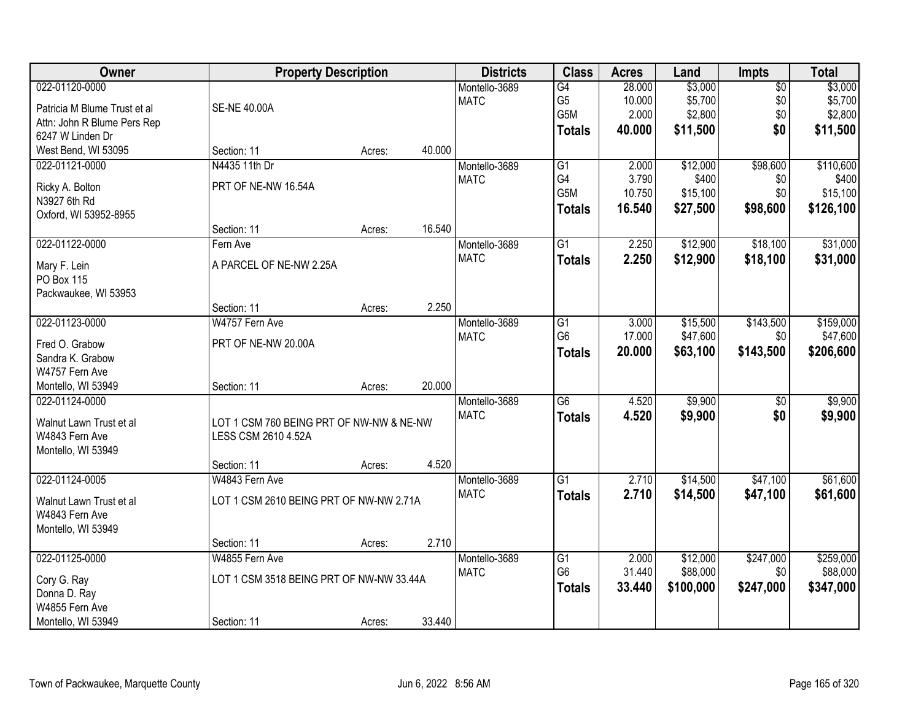| Owner                        | <b>Property Description</b>              |        |        | <b>Districts</b> | <b>Class</b>    | <b>Acres</b> | Land      | <b>Impts</b>    | <b>Total</b> |
|------------------------------|------------------------------------------|--------|--------|------------------|-----------------|--------------|-----------|-----------------|--------------|
| 022-01120-0000               |                                          |        |        | Montello-3689    | G4              | 28.000       | \$3,000   | $\sqrt{$0}$     | \$3,000      |
| Patricia M Blume Trust et al | <b>SE-NE 40.00A</b>                      |        |        | <b>MATC</b>      | G <sub>5</sub>  | 10.000       | \$5,700   | \$0             | \$5,700      |
| Attn: John R Blume Pers Rep  |                                          |        |        |                  | G5M             | 2.000        | \$2,800   | \$0             | \$2,800      |
| 6247 W Linden Dr             |                                          |        |        |                  | <b>Totals</b>   | 40.000       | \$11,500  | \$0             | \$11,500     |
| West Bend, WI 53095          | Section: 11                              | Acres: | 40.000 |                  |                 |              |           |                 |              |
| 022-01121-0000               | N4435 11th Dr                            |        |        | Montello-3689    | $\overline{G1}$ | 2.000        | \$12,000  | \$98,600        | \$110,600    |
|                              |                                          |        |        | <b>MATC</b>      | G4              | 3.790        | \$400     | \$0             | \$400        |
| Ricky A. Bolton              | PRT OF NE-NW 16.54A                      |        |        |                  | G5M             | 10.750       | \$15,100  | \$0             | \$15,100     |
| N3927 6th Rd                 |                                          |        |        |                  | <b>Totals</b>   | 16.540       | \$27,500  | \$98,600        | \$126,100    |
| Oxford, WI 53952-8955        |                                          |        |        |                  |                 |              |           |                 |              |
|                              | Section: 11                              | Acres: | 16.540 |                  |                 |              |           |                 |              |
| 022-01122-0000               | Fern Ave                                 |        |        | Montello-3689    | G1              | 2.250        | \$12,900  | \$18,100        | \$31,000     |
| Mary F. Lein                 | A PARCEL OF NE-NW 2.25A                  |        |        | <b>MATC</b>      | <b>Totals</b>   | 2.250        | \$12,900  | \$18,100        | \$31,000     |
| PO Box 115                   |                                          |        |        |                  |                 |              |           |                 |              |
| Packwaukee, WI 53953         |                                          |        |        |                  |                 |              |           |                 |              |
|                              | Section: 11                              | Acres: | 2.250  |                  |                 |              |           |                 |              |
| 022-01123-0000               | W4757 Fern Ave                           |        |        | Montello-3689    | $\overline{G1}$ | 3.000        | \$15,500  | \$143,500       | \$159,000    |
|                              |                                          |        |        | <b>MATC</b>      | G <sub>6</sub>  | 17.000       | \$47,600  | \$0             | \$47,600     |
| Fred O. Grabow               | PRT OF NE-NW 20.00A                      |        |        |                  | <b>Totals</b>   | 20.000       | \$63,100  | \$143,500       | \$206,600    |
| Sandra K. Grabow             |                                          |        |        |                  |                 |              |           |                 |              |
| W4757 Fern Ave               |                                          |        |        |                  |                 |              |           |                 |              |
| Montello, WI 53949           | Section: 11                              | Acres: | 20.000 |                  |                 |              |           |                 |              |
| 022-01124-0000               |                                          |        |        | Montello-3689    | $\overline{G6}$ | 4.520        | \$9,900   | $\overline{50}$ | \$9,900      |
| Walnut Lawn Trust et al      | LOT 1 CSM 760 BEING PRT OF NW-NW & NE-NW |        |        | <b>MATC</b>      | <b>Totals</b>   | 4.520        | \$9,900   | \$0             | \$9,900      |
| W4843 Fern Ave               | LESS CSM 2610 4.52A                      |        |        |                  |                 |              |           |                 |              |
| Montello, WI 53949           |                                          |        |        |                  |                 |              |           |                 |              |
|                              | Section: 11                              | Acres: | 4.520  |                  |                 |              |           |                 |              |
| 022-01124-0005               | W4843 Fern Ave                           |        |        | Montello-3689    | $\overline{G1}$ | 2.710        | \$14,500  | \$47,100        | \$61,600     |
| Walnut Lawn Trust et al      | LOT 1 CSM 2610 BEING PRT OF NW-NW 2.71A  |        |        | <b>MATC</b>      | <b>Totals</b>   | 2.710        | \$14,500  | \$47,100        | \$61,600     |
| W4843 Fern Ave               |                                          |        |        |                  |                 |              |           |                 |              |
| Montello, WI 53949           |                                          |        |        |                  |                 |              |           |                 |              |
|                              | Section: 11                              | Acres: | 2.710  |                  |                 |              |           |                 |              |
| 022-01125-0000               | W4855 Fern Ave                           |        |        | Montello-3689    | $\overline{G1}$ | 2.000        | \$12,000  | \$247,000       | \$259,000    |
|                              |                                          |        |        | <b>MATC</b>      | G <sub>6</sub>  | 31.440       | \$88,000  | \$0             | \$88,000     |
| Cory G. Ray                  | LOT 1 CSM 3518 BEING PRT OF NW-NW 33.44A |        |        |                  | <b>Totals</b>   | 33.440       | \$100,000 | \$247,000       | \$347,000    |
| Donna D. Ray                 |                                          |        |        |                  |                 |              |           |                 |              |
| W4855 Fern Ave               |                                          |        |        |                  |                 |              |           |                 |              |
| Montello, WI 53949           | Section: 11                              | Acres: | 33.440 |                  |                 |              |           |                 |              |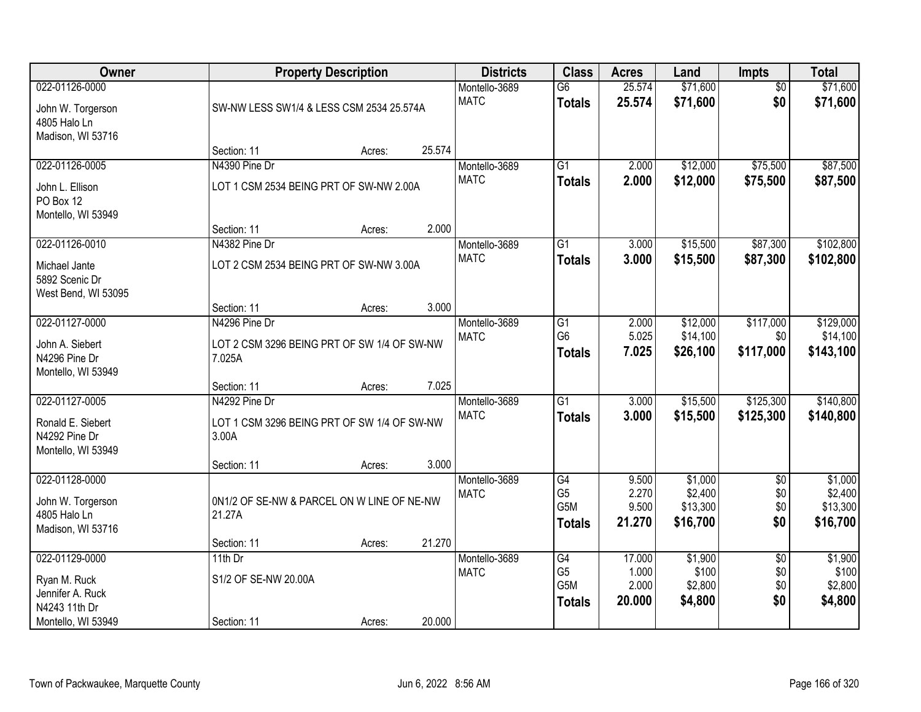| Owner                                                                                     |                                                                        | <b>Property Description</b> |        | <b>Districts</b>             | <b>Class</b>                                 | <b>Acres</b>                       | Land                                   | Impts                                | <b>Total</b>                           |
|-------------------------------------------------------------------------------------------|------------------------------------------------------------------------|-----------------------------|--------|------------------------------|----------------------------------------------|------------------------------------|----------------------------------------|--------------------------------------|----------------------------------------|
| 022-01126-0000<br>John W. Torgerson<br>4805 Halo Ln<br>Madison, WI 53716                  | SW-NW LESS SW1/4 & LESS CSM 2534 25.574A                               |                             |        | Montello-3689<br><b>MATC</b> | $\overline{G6}$<br><b>Totals</b>             | 25.574<br>25.574                   | \$71,600<br>\$71,600                   | $\overline{50}$<br>\$0               | \$71,600<br>\$71,600                   |
|                                                                                           | Section: 11                                                            | Acres:                      | 25.574 |                              |                                              |                                    |                                        |                                      |                                        |
| 022-01126-0005<br>John L. Ellison<br>PO Box 12<br>Montello, WI 53949                      | N4390 Pine Dr<br>LOT 1 CSM 2534 BEING PRT OF SW-NW 2.00A               |                             |        | Montello-3689<br><b>MATC</b> | $\overline{G1}$<br><b>Totals</b>             | 2.000<br>2.000                     | \$12,000<br>\$12,000                   | \$75,500<br>\$75,500                 | \$87,500<br>\$87,500                   |
|                                                                                           | Section: 11                                                            | Acres:                      | 2.000  |                              |                                              |                                    |                                        |                                      |                                        |
| 022-01126-0010<br>Michael Jante<br>5892 Scenic Dr<br>West Bend, WI 53095                  | N4382 Pine Dr<br>LOT 2 CSM 2534 BEING PRT OF SW-NW 3.00A               |                             |        | Montello-3689<br><b>MATC</b> | G1<br><b>Totals</b>                          | 3.000<br>3.000                     | \$15,500<br>\$15,500                   | \$87,300<br>\$87,300                 | \$102,800<br>\$102,800                 |
|                                                                                           | Section: 11                                                            | Acres:                      | 3.000  |                              |                                              |                                    |                                        |                                      |                                        |
| 022-01127-0000<br>John A. Siebert<br>N4296 Pine Dr<br>Montello, WI 53949                  | N4296 Pine Dr<br>LOT 2 CSM 3296 BEING PRT OF SW 1/4 OF SW-NW<br>7.025A |                             |        | Montello-3689<br><b>MATC</b> | G1<br>G <sub>6</sub><br><b>Totals</b>        | 2.000<br>5.025<br>7.025            | \$12,000<br>\$14,100<br>\$26,100       | \$117,000<br>\$0<br>\$117,000        | \$129,000<br>\$14,100<br>\$143,100     |
|                                                                                           | Section: 11                                                            | Acres:                      | 7.025  |                              |                                              |                                    |                                        |                                      |                                        |
| 022-01127-0005<br>Ronald E. Siebert<br>N4292 Pine Dr<br>Montello, WI 53949                | N4292 Pine Dr<br>LOT 1 CSM 3296 BEING PRT OF SW 1/4 OF SW-NW<br>3.00A  |                             |        | Montello-3689<br><b>MATC</b> | $\overline{G1}$<br><b>Totals</b>             | 3.000<br>3.000                     | \$15,500<br>\$15,500                   | \$125,300<br>\$125,300               | \$140,800<br>\$140,800                 |
| 022-01128-0000                                                                            | Section: 11                                                            | Acres:                      | 3.000  | Montello-3689                | G4                                           | 9.500                              | \$1,000                                | $\overline{60}$                      | \$1,000                                |
| John W. Torgerson<br>4805 Halo Ln<br>Madison, WI 53716                                    | 0N1/2 OF SE-NW & PARCEL ON W LINE OF NE-NW<br>21.27A                   |                             |        | <b>MATC</b>                  | G <sub>5</sub><br>G5M<br><b>Totals</b>       | 2.270<br>9.500<br>21.270           | \$2,400<br>\$13,300<br>\$16,700        | \$0<br>\$0<br>\$0                    | \$2,400<br>\$13,300<br>\$16,700        |
|                                                                                           | Section: 11                                                            | Acres:                      | 21.270 |                              |                                              |                                    |                                        |                                      |                                        |
| 022-01129-0000<br>Ryan M. Ruck<br>Jennifer A. Ruck<br>N4243 11th Dr<br>Montello, WI 53949 | 11th $Dr$<br>S1/2 OF SE-NW 20.00A<br>Section: 11                       | Acres:                      | 20.000 | Montello-3689<br><b>MATC</b> | G4<br>G <sub>5</sub><br>G5M<br><b>Totals</b> | 17.000<br>1.000<br>2.000<br>20.000 | \$1,900<br>\$100<br>\$2,800<br>\$4,800 | $\overline{50}$<br>\$0<br>\$0<br>\$0 | \$1,900<br>\$100<br>\$2,800<br>\$4,800 |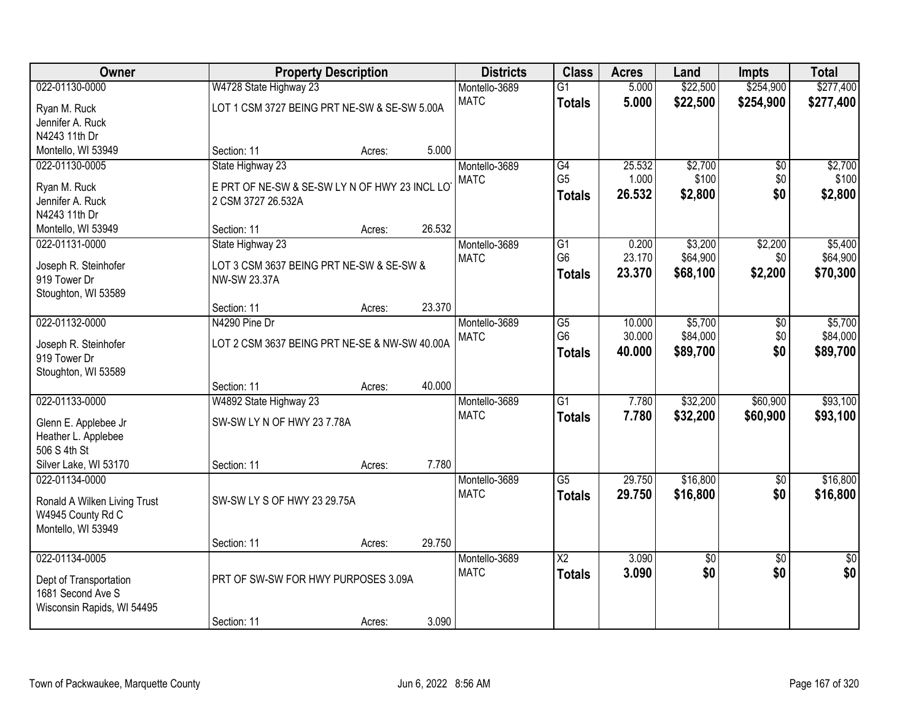| \$254,900<br>022-01130-0000<br>W4728 State Highway 23<br>5.000<br>\$22,500<br>Montello-3689<br>$\overline{G1}$<br><b>MATC</b><br>5.000<br>\$22,500<br>\$254,900<br>\$277,400<br><b>Totals</b><br>LOT 1 CSM 3727 BEING PRT NE-SW & SE-SW 5.00A<br>Ryan M. Ruck<br>Jennifer A. Ruck<br>N4243 11th Dr<br>5.000<br>Montello, WI 53949<br>Section: 11<br>Acres:<br>State Highway 23<br>\$2,700<br>022-01130-0005<br>Montello-3689<br>G4<br>25.532<br>$\overline{50}$<br>G <sub>5</sub><br>\$100<br><b>MATC</b><br>1.000<br>\$0<br>Ryan M. Ruck<br>E PRT OF NE-SW & SE-SW LY N OF HWY 23 INCL LO<br>26.532<br>\$0<br>\$2,800<br><b>Totals</b><br>Jennifer A. Ruck<br>2 CSM 3727 26.532A<br>N4243 11th Dr<br>26.532<br>Section: 11<br>Montello, WI 53949<br>Acres:<br>\$3,200<br>022-01131-0000<br>State Highway 23<br>G1<br>0.200<br>\$2,200<br>Montello-3689<br>G <sub>6</sub><br>23.170<br>\$64,900<br>\$0<br><b>MATC</b><br>LOT 3 CSM 3637 BEING PRT NE-SW & SE-SW &<br>Joseph R. Steinhofer<br>23.370<br>\$68,100<br>\$2,200<br><b>Totals</b><br>919 Tower Dr<br>NW-SW 23.37A<br>Stoughton, WI 53589<br>23.370<br>Section: 11<br>Acres:<br>022-01132-0000<br>\$5,700<br>N4290 Pine Dr<br>Montello-3689<br>G5<br>10.000<br>$\sqrt[6]{}$<br>G <sub>6</sub><br>30.000<br>\$84,000<br>\$0<br><b>MATC</b><br>LOT 2 CSM 3637 BEING PRT NE-SE & NW-SW 40.00A<br>Joseph R. Steinhofer<br>\$0<br>\$89,700<br>40.000<br><b>Totals</b><br>919 Tower Dr<br>Stoughton, WI 53589<br>40.000<br>Section: 11<br>Acres:<br>\$60,900<br>022-01133-0000<br>W4892 State Highway 23<br>$\overline{G1}$<br>7.780<br>\$32,200<br>Montello-3689<br><b>MATC</b><br>7.780<br>\$32,200<br>\$60,900<br><b>Totals</b><br>SW-SW LY N OF HWY 23 7.78A<br>Glenn E. Applebee Jr<br>Heather L. Applebee<br>506 S 4th St<br>Silver Lake, WI 53170<br>7.780<br>Section: 11<br>Acres:<br>$\overline{G5}$<br>29.750<br>\$16,800<br>022-01134-0000<br>Montello-3689<br>$\overline{50}$<br><b>MATC</b><br>29.750<br>\$16,800<br>\$0<br><b>Totals</b><br>SW-SW LY S OF HWY 23 29.75A<br>Ronald A Wilken Living Trust<br>W4945 County Rd C<br>Montello, WI 53949<br>29.750<br>Section: 11<br>Acres: | Owner          | <b>Property Description</b> | <b>Districts</b> | <b>Class</b>           | <b>Acres</b> | Land | Impts           | <b>Total</b>    |
|--------------------------------------------------------------------------------------------------------------------------------------------------------------------------------------------------------------------------------------------------------------------------------------------------------------------------------------------------------------------------------------------------------------------------------------------------------------------------------------------------------------------------------------------------------------------------------------------------------------------------------------------------------------------------------------------------------------------------------------------------------------------------------------------------------------------------------------------------------------------------------------------------------------------------------------------------------------------------------------------------------------------------------------------------------------------------------------------------------------------------------------------------------------------------------------------------------------------------------------------------------------------------------------------------------------------------------------------------------------------------------------------------------------------------------------------------------------------------------------------------------------------------------------------------------------------------------------------------------------------------------------------------------------------------------------------------------------------------------------------------------------------------------------------------------------------------------------------------------------------------------------------------------------------------------------------------------------------------------------------------------------------------------------------------------------------------------------------------------------------------------------------------------|----------------|-----------------------------|------------------|------------------------|--------------|------|-----------------|-----------------|
|                                                                                                                                                                                                                                                                                                                                                                                                                                                                                                                                                                                                                                                                                                                                                                                                                                                                                                                                                                                                                                                                                                                                                                                                                                                                                                                                                                                                                                                                                                                                                                                                                                                                                                                                                                                                                                                                                                                                                                                                                                                                                                                                                        |                |                             |                  |                        |              |      |                 | \$277,400       |
|                                                                                                                                                                                                                                                                                                                                                                                                                                                                                                                                                                                                                                                                                                                                                                                                                                                                                                                                                                                                                                                                                                                                                                                                                                                                                                                                                                                                                                                                                                                                                                                                                                                                                                                                                                                                                                                                                                                                                                                                                                                                                                                                                        |                |                             |                  |                        |              |      |                 |                 |
|                                                                                                                                                                                                                                                                                                                                                                                                                                                                                                                                                                                                                                                                                                                                                                                                                                                                                                                                                                                                                                                                                                                                                                                                                                                                                                                                                                                                                                                                                                                                                                                                                                                                                                                                                                                                                                                                                                                                                                                                                                                                                                                                                        |                |                             |                  |                        |              |      |                 |                 |
|                                                                                                                                                                                                                                                                                                                                                                                                                                                                                                                                                                                                                                                                                                                                                                                                                                                                                                                                                                                                                                                                                                                                                                                                                                                                                                                                                                                                                                                                                                                                                                                                                                                                                                                                                                                                                                                                                                                                                                                                                                                                                                                                                        |                |                             |                  |                        |              |      |                 |                 |
|                                                                                                                                                                                                                                                                                                                                                                                                                                                                                                                                                                                                                                                                                                                                                                                                                                                                                                                                                                                                                                                                                                                                                                                                                                                                                                                                                                                                                                                                                                                                                                                                                                                                                                                                                                                                                                                                                                                                                                                                                                                                                                                                                        |                |                             |                  |                        |              |      |                 |                 |
| \$100<br>\$2,800<br>\$5,400<br>\$64,900<br>\$70,300<br>\$5,700<br>\$84,000<br>\$89,700<br>\$93,100<br>\$93,100<br>\$16,800<br>\$16,800                                                                                                                                                                                                                                                                                                                                                                                                                                                                                                                                                                                                                                                                                                                                                                                                                                                                                                                                                                                                                                                                                                                                                                                                                                                                                                                                                                                                                                                                                                                                                                                                                                                                                                                                                                                                                                                                                                                                                                                                                 |                |                             |                  |                        |              |      |                 | \$2,700         |
|                                                                                                                                                                                                                                                                                                                                                                                                                                                                                                                                                                                                                                                                                                                                                                                                                                                                                                                                                                                                                                                                                                                                                                                                                                                                                                                                                                                                                                                                                                                                                                                                                                                                                                                                                                                                                                                                                                                                                                                                                                                                                                                                                        |                |                             |                  |                        |              |      |                 |                 |
|                                                                                                                                                                                                                                                                                                                                                                                                                                                                                                                                                                                                                                                                                                                                                                                                                                                                                                                                                                                                                                                                                                                                                                                                                                                                                                                                                                                                                                                                                                                                                                                                                                                                                                                                                                                                                                                                                                                                                                                                                                                                                                                                                        |                |                             |                  |                        |              |      |                 |                 |
|                                                                                                                                                                                                                                                                                                                                                                                                                                                                                                                                                                                                                                                                                                                                                                                                                                                                                                                                                                                                                                                                                                                                                                                                                                                                                                                                                                                                                                                                                                                                                                                                                                                                                                                                                                                                                                                                                                                                                                                                                                                                                                                                                        |                |                             |                  |                        |              |      |                 |                 |
|                                                                                                                                                                                                                                                                                                                                                                                                                                                                                                                                                                                                                                                                                                                                                                                                                                                                                                                                                                                                                                                                                                                                                                                                                                                                                                                                                                                                                                                                                                                                                                                                                                                                                                                                                                                                                                                                                                                                                                                                                                                                                                                                                        |                |                             |                  |                        |              |      |                 |                 |
|                                                                                                                                                                                                                                                                                                                                                                                                                                                                                                                                                                                                                                                                                                                                                                                                                                                                                                                                                                                                                                                                                                                                                                                                                                                                                                                                                                                                                                                                                                                                                                                                                                                                                                                                                                                                                                                                                                                                                                                                                                                                                                                                                        |                |                             |                  |                        |              |      |                 |                 |
|                                                                                                                                                                                                                                                                                                                                                                                                                                                                                                                                                                                                                                                                                                                                                                                                                                                                                                                                                                                                                                                                                                                                                                                                                                                                                                                                                                                                                                                                                                                                                                                                                                                                                                                                                                                                                                                                                                                                                                                                                                                                                                                                                        |                |                             |                  |                        |              |      |                 |                 |
|                                                                                                                                                                                                                                                                                                                                                                                                                                                                                                                                                                                                                                                                                                                                                                                                                                                                                                                                                                                                                                                                                                                                                                                                                                                                                                                                                                                                                                                                                                                                                                                                                                                                                                                                                                                                                                                                                                                                                                                                                                                                                                                                                        |                |                             |                  |                        |              |      |                 |                 |
|                                                                                                                                                                                                                                                                                                                                                                                                                                                                                                                                                                                                                                                                                                                                                                                                                                                                                                                                                                                                                                                                                                                                                                                                                                                                                                                                                                                                                                                                                                                                                                                                                                                                                                                                                                                                                                                                                                                                                                                                                                                                                                                                                        |                |                             |                  |                        |              |      |                 |                 |
|                                                                                                                                                                                                                                                                                                                                                                                                                                                                                                                                                                                                                                                                                                                                                                                                                                                                                                                                                                                                                                                                                                                                                                                                                                                                                                                                                                                                                                                                                                                                                                                                                                                                                                                                                                                                                                                                                                                                                                                                                                                                                                                                                        |                |                             |                  |                        |              |      |                 |                 |
|                                                                                                                                                                                                                                                                                                                                                                                                                                                                                                                                                                                                                                                                                                                                                                                                                                                                                                                                                                                                                                                                                                                                                                                                                                                                                                                                                                                                                                                                                                                                                                                                                                                                                                                                                                                                                                                                                                                                                                                                                                                                                                                                                        |                |                             |                  |                        |              |      |                 |                 |
|                                                                                                                                                                                                                                                                                                                                                                                                                                                                                                                                                                                                                                                                                                                                                                                                                                                                                                                                                                                                                                                                                                                                                                                                                                                                                                                                                                                                                                                                                                                                                                                                                                                                                                                                                                                                                                                                                                                                                                                                                                                                                                                                                        |                |                             |                  |                        |              |      |                 |                 |
|                                                                                                                                                                                                                                                                                                                                                                                                                                                                                                                                                                                                                                                                                                                                                                                                                                                                                                                                                                                                                                                                                                                                                                                                                                                                                                                                                                                                                                                                                                                                                                                                                                                                                                                                                                                                                                                                                                                                                                                                                                                                                                                                                        |                |                             |                  |                        |              |      |                 |                 |
|                                                                                                                                                                                                                                                                                                                                                                                                                                                                                                                                                                                                                                                                                                                                                                                                                                                                                                                                                                                                                                                                                                                                                                                                                                                                                                                                                                                                                                                                                                                                                                                                                                                                                                                                                                                                                                                                                                                                                                                                                                                                                                                                                        |                |                             |                  |                        |              |      |                 |                 |
|                                                                                                                                                                                                                                                                                                                                                                                                                                                                                                                                                                                                                                                                                                                                                                                                                                                                                                                                                                                                                                                                                                                                                                                                                                                                                                                                                                                                                                                                                                                                                                                                                                                                                                                                                                                                                                                                                                                                                                                                                                                                                                                                                        |                |                             |                  |                        |              |      |                 |                 |
|                                                                                                                                                                                                                                                                                                                                                                                                                                                                                                                                                                                                                                                                                                                                                                                                                                                                                                                                                                                                                                                                                                                                                                                                                                                                                                                                                                                                                                                                                                                                                                                                                                                                                                                                                                                                                                                                                                                                                                                                                                                                                                                                                        |                |                             |                  |                        |              |      |                 |                 |
|                                                                                                                                                                                                                                                                                                                                                                                                                                                                                                                                                                                                                                                                                                                                                                                                                                                                                                                                                                                                                                                                                                                                                                                                                                                                                                                                                                                                                                                                                                                                                                                                                                                                                                                                                                                                                                                                                                                                                                                                                                                                                                                                                        |                |                             |                  |                        |              |      |                 |                 |
|                                                                                                                                                                                                                                                                                                                                                                                                                                                                                                                                                                                                                                                                                                                                                                                                                                                                                                                                                                                                                                                                                                                                                                                                                                                                                                                                                                                                                                                                                                                                                                                                                                                                                                                                                                                                                                                                                                                                                                                                                                                                                                                                                        |                |                             |                  |                        |              |      |                 |                 |
|                                                                                                                                                                                                                                                                                                                                                                                                                                                                                                                                                                                                                                                                                                                                                                                                                                                                                                                                                                                                                                                                                                                                                                                                                                                                                                                                                                                                                                                                                                                                                                                                                                                                                                                                                                                                                                                                                                                                                                                                                                                                                                                                                        |                |                             |                  |                        |              |      |                 |                 |
|                                                                                                                                                                                                                                                                                                                                                                                                                                                                                                                                                                                                                                                                                                                                                                                                                                                                                                                                                                                                                                                                                                                                                                                                                                                                                                                                                                                                                                                                                                                                                                                                                                                                                                                                                                                                                                                                                                                                                                                                                                                                                                                                                        |                |                             |                  |                        |              |      |                 |                 |
|                                                                                                                                                                                                                                                                                                                                                                                                                                                                                                                                                                                                                                                                                                                                                                                                                                                                                                                                                                                                                                                                                                                                                                                                                                                                                                                                                                                                                                                                                                                                                                                                                                                                                                                                                                                                                                                                                                                                                                                                                                                                                                                                                        |                |                             |                  |                        |              |      |                 |                 |
|                                                                                                                                                                                                                                                                                                                                                                                                                                                                                                                                                                                                                                                                                                                                                                                                                                                                                                                                                                                                                                                                                                                                                                                                                                                                                                                                                                                                                                                                                                                                                                                                                                                                                                                                                                                                                                                                                                                                                                                                                                                                                                                                                        |                |                             |                  |                        |              |      |                 |                 |
|                                                                                                                                                                                                                                                                                                                                                                                                                                                                                                                                                                                                                                                                                                                                                                                                                                                                                                                                                                                                                                                                                                                                                                                                                                                                                                                                                                                                                                                                                                                                                                                                                                                                                                                                                                                                                                                                                                                                                                                                                                                                                                                                                        |                |                             |                  |                        |              |      |                 |                 |
|                                                                                                                                                                                                                                                                                                                                                                                                                                                                                                                                                                                                                                                                                                                                                                                                                                                                                                                                                                                                                                                                                                                                                                                                                                                                                                                                                                                                                                                                                                                                                                                                                                                                                                                                                                                                                                                                                                                                                                                                                                                                                                                                                        |                |                             |                  |                        |              |      |                 |                 |
|                                                                                                                                                                                                                                                                                                                                                                                                                                                                                                                                                                                                                                                                                                                                                                                                                                                                                                                                                                                                                                                                                                                                                                                                                                                                                                                                                                                                                                                                                                                                                                                                                                                                                                                                                                                                                                                                                                                                                                                                                                                                                                                                                        |                |                             |                  |                        |              |      |                 |                 |
|                                                                                                                                                                                                                                                                                                                                                                                                                                                                                                                                                                                                                                                                                                                                                                                                                                                                                                                                                                                                                                                                                                                                                                                                                                                                                                                                                                                                                                                                                                                                                                                                                                                                                                                                                                                                                                                                                                                                                                                                                                                                                                                                                        |                |                             |                  |                        |              |      |                 |                 |
|                                                                                                                                                                                                                                                                                                                                                                                                                                                                                                                                                                                                                                                                                                                                                                                                                                                                                                                                                                                                                                                                                                                                                                                                                                                                                                                                                                                                                                                                                                                                                                                                                                                                                                                                                                                                                                                                                                                                                                                                                                                                                                                                                        | 022-01134-0005 |                             | Montello-3689    | $\overline{\text{X2}}$ | 3.090        | \$0  | $\overline{30}$ | $\overline{50}$ |
| \$0<br>\$0<br>\$0<br><b>MATC</b><br>3.090<br><b>Totals</b><br>PRT OF SW-SW FOR HWY PURPOSES 3.09A                                                                                                                                                                                                                                                                                                                                                                                                                                                                                                                                                                                                                                                                                                                                                                                                                                                                                                                                                                                                                                                                                                                                                                                                                                                                                                                                                                                                                                                                                                                                                                                                                                                                                                                                                                                                                                                                                                                                                                                                                                                      |                |                             |                  |                        |              |      |                 |                 |
| Dept of Transportation<br>1681 Second Ave S                                                                                                                                                                                                                                                                                                                                                                                                                                                                                                                                                                                                                                                                                                                                                                                                                                                                                                                                                                                                                                                                                                                                                                                                                                                                                                                                                                                                                                                                                                                                                                                                                                                                                                                                                                                                                                                                                                                                                                                                                                                                                                            |                |                             |                  |                        |              |      |                 |                 |
| Wisconsin Rapids, WI 54495                                                                                                                                                                                                                                                                                                                                                                                                                                                                                                                                                                                                                                                                                                                                                                                                                                                                                                                                                                                                                                                                                                                                                                                                                                                                                                                                                                                                                                                                                                                                                                                                                                                                                                                                                                                                                                                                                                                                                                                                                                                                                                                             |                |                             |                  |                        |              |      |                 |                 |
| 3.090<br>Section: 11<br>Acres:                                                                                                                                                                                                                                                                                                                                                                                                                                                                                                                                                                                                                                                                                                                                                                                                                                                                                                                                                                                                                                                                                                                                                                                                                                                                                                                                                                                                                                                                                                                                                                                                                                                                                                                                                                                                                                                                                                                                                                                                                                                                                                                         |                |                             |                  |                        |              |      |                 |                 |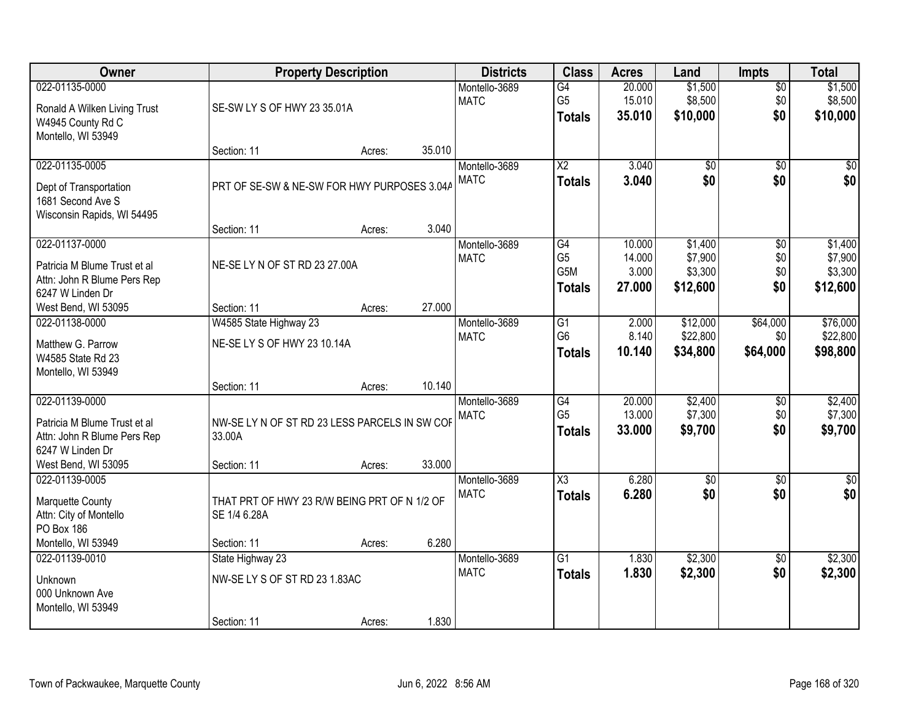| Owner                                                                                                                    |                                                                             | <b>Property Description</b> |        | <b>Districts</b>             | <b>Class</b>                                              | <b>Acres</b>                        | Land                                      | <b>Impts</b>                  | <b>Total</b>                              |
|--------------------------------------------------------------------------------------------------------------------------|-----------------------------------------------------------------------------|-----------------------------|--------|------------------------------|-----------------------------------------------------------|-------------------------------------|-------------------------------------------|-------------------------------|-------------------------------------------|
| 022-01135-0000<br>Ronald A Wilken Living Trust<br>W4945 County Rd C                                                      | SE-SW LY S OF HWY 23 35.01A                                                 |                             |        | Montello-3689<br><b>MATC</b> | G4<br>G <sub>5</sub><br><b>Totals</b>                     | 20.000<br>15.010<br>35.010          | \$1,500<br>\$8,500<br>\$10,000            | $\overline{50}$<br>\$0<br>\$0 | \$1,500<br>\$8,500<br>\$10,000            |
| Montello, WI 53949                                                                                                       | Section: 11                                                                 | Acres:                      | 35.010 |                              |                                                           |                                     |                                           |                               |                                           |
| 022-01135-0005<br>Dept of Transportation<br>1681 Second Ave S<br>Wisconsin Rapids, WI 54495                              | PRT OF SE-SW & NE-SW FOR HWY PURPOSES 3.04A                                 |                             |        | Montello-3689<br><b>MATC</b> | $\overline{\text{X2}}$<br><b>Totals</b>                   | 3.040<br>3.040                      | $\overline{50}$<br>\$0                    | $\overline{30}$<br>\$0        | $\sqrt{50}$<br>\$0                        |
|                                                                                                                          | Section: 11                                                                 | Acres:                      | 3.040  |                              |                                                           |                                     |                                           |                               |                                           |
| 022-01137-0000<br>Patricia M Blume Trust et al<br>Attn: John R Blume Pers Rep<br>6247 W Linden Dr                        | NE-SE LY N OF ST RD 23 27.00A                                               |                             |        | Montello-3689<br><b>MATC</b> | G4<br>G <sub>5</sub><br>G <sub>5</sub> M<br><b>Totals</b> | 10.000<br>14.000<br>3.000<br>27,000 | \$1,400<br>\$7,900<br>\$3,300<br>\$12,600 | \$0<br>\$0<br>\$0<br>\$0      | \$1,400<br>\$7,900<br>\$3,300<br>\$12,600 |
| West Bend, WI 53095                                                                                                      | Section: 11                                                                 | Acres:                      | 27.000 |                              |                                                           |                                     |                                           |                               |                                           |
| 022-01138-0000<br>Matthew G. Parrow<br>W4585 State Rd 23<br>Montello, WI 53949                                           | W4585 State Highway 23<br>NE-SE LY S OF HWY 23 10.14A                       |                             |        | Montello-3689<br><b>MATC</b> | G1<br>G <sub>6</sub><br><b>Totals</b>                     | 2.000<br>8.140<br>10.140            | \$12,000<br>\$22,800<br>\$34,800          | \$64,000<br>\$0<br>\$64,000   | \$76,000<br>\$22,800<br>\$98,800          |
|                                                                                                                          | Section: 11                                                                 | Acres:                      | 10.140 |                              |                                                           |                                     |                                           |                               |                                           |
| 022-01139-0000<br>Patricia M Blume Trust et al<br>Attn: John R Blume Pers Rep<br>6247 W Linden Dr<br>West Bend, WI 53095 | NW-SE LY N OF ST RD 23 LESS PARCELS IN SW COF<br>33.00A<br>Section: 11      | Acres:                      | 33.000 | Montello-3689<br><b>MATC</b> | $\overline{G4}$<br>G <sub>5</sub><br><b>Totals</b>        | 20.000<br>13.000<br>33.000          | \$2,400<br>\$7,300<br>\$9,700             | $\overline{30}$<br>\$0<br>\$0 | \$2,400<br>\$7,300<br>\$9,700             |
| 022-01139-0005<br>Marquette County<br>Attn: City of Montello<br>PO Box 186<br>Montello, WI 53949                         | THAT PRT OF HWY 23 R/W BEING PRT OF N 1/2 OF<br>SE 1/4 6.28A<br>Section: 11 | Acres:                      | 6.280  | Montello-3689<br><b>MATC</b> | $\overline{\text{X3}}$<br><b>Totals</b>                   | 6.280<br>6.280                      | $\overline{50}$<br>\$0                    | $\overline{50}$<br>\$0        | $\overline{\$0}$<br>\$0                   |
| 022-01139-0010<br><b>Unknown</b><br>000 Unknown Ave<br>Montello, WI 53949                                                | State Highway 23<br>NW-SELY S OF ST RD 23 1.83AC<br>Section: 11             | Acres:                      | 1.830  | Montello-3689<br><b>MATC</b> | $\overline{G1}$<br><b>Totals</b>                          | 1.830<br>1.830                      | \$2,300<br>\$2,300                        | $\overline{50}$<br>\$0        | \$2,300<br>\$2,300                        |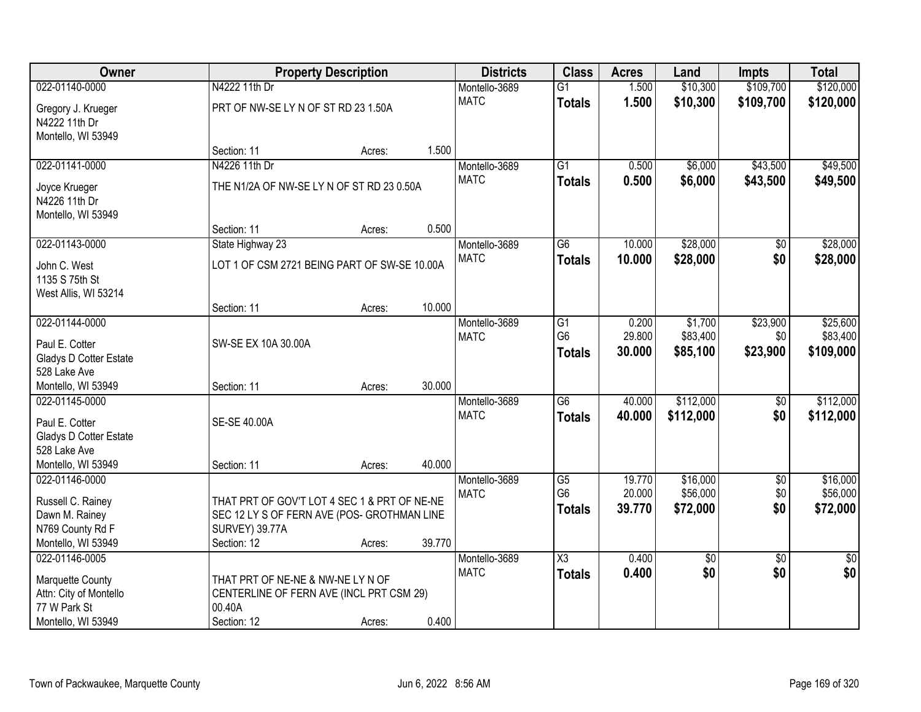| <b>Owner</b>           |                                              | <b>Property Description</b> |        | <b>Districts</b> | <b>Class</b>           | <b>Acres</b> | Land       | Impts           | <b>Total</b>    |
|------------------------|----------------------------------------------|-----------------------------|--------|------------------|------------------------|--------------|------------|-----------------|-----------------|
| 022-01140-0000         | N4222 11th Dr                                |                             |        | Montello-3689    | $\overline{G1}$        | 1.500        | \$10,300   | \$109,700       | \$120,000       |
| Gregory J. Krueger     | PRT OF NW-SE LY N OF ST RD 23 1.50A          |                             |        | <b>MATC</b>      | <b>Totals</b>          | 1.500        | \$10,300   | \$109,700       | \$120,000       |
| N4222 11th Dr          |                                              |                             |        |                  |                        |              |            |                 |                 |
| Montello, WI 53949     |                                              |                             |        |                  |                        |              |            |                 |                 |
|                        | Section: 11                                  | Acres:                      | 1.500  |                  |                        |              |            |                 |                 |
| 022-01141-0000         | N4226 11th Dr                                |                             |        | Montello-3689    | $\overline{G1}$        | 0.500        | \$6,000    | \$43,500        | \$49,500        |
| Joyce Krueger          | THE N1/2A OF NW-SE LY N OF ST RD 23 0.50A    |                             |        | <b>MATC</b>      | <b>Totals</b>          | 0.500        | \$6,000    | \$43,500        | \$49,500        |
| N4226 11th Dr          |                                              |                             |        |                  |                        |              |            |                 |                 |
| Montello, WI 53949     |                                              |                             |        |                  |                        |              |            |                 |                 |
|                        | Section: 11                                  | Acres:                      | 0.500  |                  |                        |              |            |                 |                 |
| 022-01143-0000         | State Highway 23                             |                             |        | Montello-3689    | $\overline{G6}$        | 10.000       | \$28,000   | $\overline{50}$ | \$28,000        |
| John C. West           | LOT 1 OF CSM 2721 BEING PART OF SW-SE 10.00A |                             |        | <b>MATC</b>      | <b>Totals</b>          | 10.000       | \$28,000   | \$0             | \$28,000        |
| 1135 S 75th St         |                                              |                             |        |                  |                        |              |            |                 |                 |
| West Allis, WI 53214   |                                              |                             |        |                  |                        |              |            |                 |                 |
|                        | Section: 11                                  | Acres:                      | 10.000 |                  |                        |              |            |                 |                 |
| 022-01144-0000         |                                              |                             |        | Montello-3689    | G1                     | 0.200        | \$1,700    | \$23,900        | \$25,600        |
| Paul E. Cotter         | SW-SE EX 10A 30.00A                          |                             |        | <b>MATC</b>      | G <sub>6</sub>         | 29.800       | \$83,400   | \$0             | \$83,400        |
| Gladys D Cotter Estate |                                              |                             |        |                  | <b>Totals</b>          | 30.000       | \$85,100   | \$23,900        | \$109,000       |
| 528 Lake Ave           |                                              |                             |        |                  |                        |              |            |                 |                 |
| Montello, WI 53949     | Section: 11                                  | Acres:                      | 30.000 |                  |                        |              |            |                 |                 |
| 022-01145-0000         |                                              |                             |        | Montello-3689    | $\overline{G6}$        | 40.000       | \$112,000  | $\overline{50}$ | \$112,000       |
| Paul E. Cotter         | SE-SE 40.00A                                 |                             |        | <b>MATC</b>      | <b>Totals</b>          | 40.000       | \$112,000  | \$0             | \$112,000       |
| Gladys D Cotter Estate |                                              |                             |        |                  |                        |              |            |                 |                 |
| 528 Lake Ave           |                                              |                             |        |                  |                        |              |            |                 |                 |
| Montello, WI 53949     | Section: 11                                  | Acres:                      | 40.000 |                  |                        |              |            |                 |                 |
| 022-01146-0000         |                                              |                             |        | Montello-3689    | $\overline{G5}$        | 19.770       | \$16,000   | $\overline{60}$ | \$16,000        |
| Russell C. Rainey      | THAT PRT OF GOV'T LOT 4 SEC 1 & PRT OF NE-NE |                             |        | <b>MATC</b>      | G <sub>6</sub>         | 20.000       | \$56,000   | \$0             | \$56,000        |
| Dawn M. Rainey         | SEC 12 LY S OF FERN AVE (POS- GROTHMAN LINE  |                             |        |                  | <b>Totals</b>          | 39.770       | \$72,000   | \$0             | \$72,000        |
| N769 County Rd F       | <b>SURVEY) 39.77A</b>                        |                             |        |                  |                        |              |            |                 |                 |
| Montello, WI 53949     | Section: 12                                  | Acres:                      | 39.770 |                  |                        |              |            |                 |                 |
| 022-01146-0005         |                                              |                             |        | Montello-3689    | $\overline{\text{X3}}$ | 0.400        | $\sqrt{6}$ | $\overline{50}$ | $\overline{50}$ |
| Marquette County       | THAT PRT OF NE-NE & NW-NE LY N OF            |                             |        | <b>MATC</b>      | <b>Totals</b>          | 0.400        | \$0        | \$0             | \$0             |
| Attn: City of Montello | CENTERLINE OF FERN AVE (INCL PRT CSM 29)     |                             |        |                  |                        |              |            |                 |                 |
| 77 W Park St           | 00.40A                                       |                             |        |                  |                        |              |            |                 |                 |
| Montello, WI 53949     | Section: 12                                  | Acres:                      | 0.400  |                  |                        |              |            |                 |                 |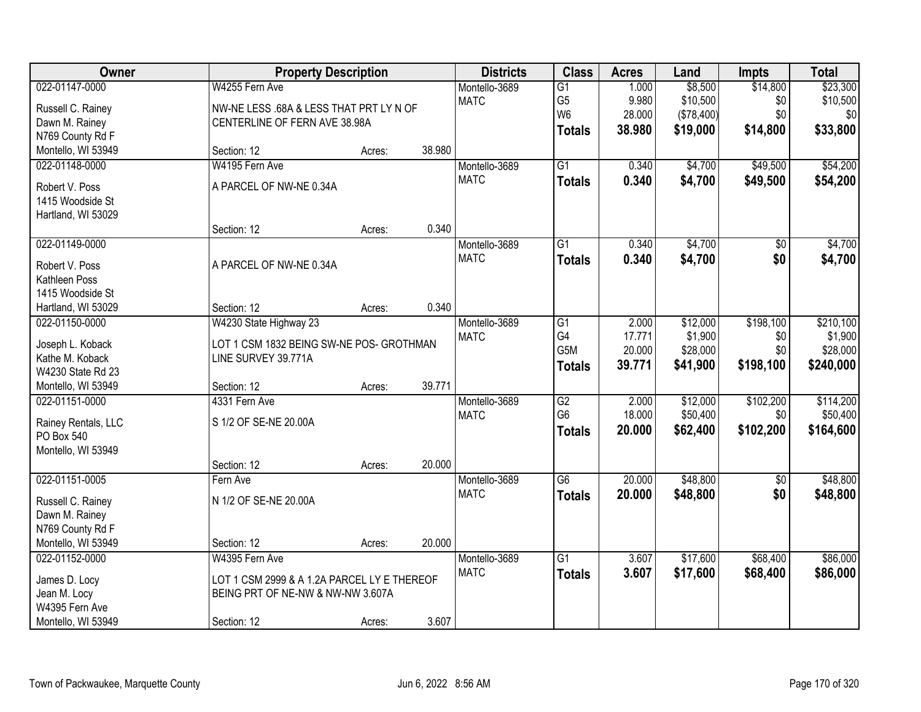| Owner               | <b>Property Description</b>                 |        |        | <b>Districts</b> | <b>Class</b>     | <b>Acres</b> | Land       | <b>Impts</b>    | <b>Total</b> |
|---------------------|---------------------------------------------|--------|--------|------------------|------------------|--------------|------------|-----------------|--------------|
| 022-01147-0000      | W4255 Fern Ave                              |        |        | Montello-3689    | $\overline{G1}$  | 1.000        | \$8,500    | \$14,800        | \$23,300     |
| Russell C. Rainey   | NW-NE LESS .68A & LESS THAT PRT LY N OF     |        |        | <b>MATC</b>      | G <sub>5</sub>   | 9.980        | \$10,500   | \$0             | \$10,500     |
| Dawn M. Rainey      | CENTERLINE OF FERN AVE 38.98A               |        |        |                  | W <sub>6</sub>   | 28.000       | (\$78,400) | \$0             | \$0          |
| N769 County Rd F    |                                             |        |        |                  | <b>Totals</b>    | 38.980       | \$19,000   | \$14,800        | \$33,800     |
| Montello, WI 53949  | Section: 12                                 | Acres: | 38.980 |                  |                  |              |            |                 |              |
| 022-01148-0000      | W4195 Fern Ave                              |        |        | Montello-3689    | $\overline{G1}$  | 0.340        | \$4,700    | \$49,500        | \$54,200     |
| Robert V. Poss      | A PARCEL OF NW-NE 0.34A                     |        |        | <b>MATC</b>      | <b>Totals</b>    | 0.340        | \$4,700    | \$49,500        | \$54,200     |
| 1415 Woodside St    |                                             |        |        |                  |                  |              |            |                 |              |
| Hartland, WI 53029  |                                             |        |        |                  |                  |              |            |                 |              |
|                     | Section: 12                                 | Acres: | 0.340  |                  |                  |              |            |                 |              |
| 022-01149-0000      |                                             |        |        | Montello-3689    | $\overline{G1}$  | 0.340        | \$4,700    | $\overline{50}$ | \$4,700      |
| Robert V. Poss      | A PARCEL OF NW-NE 0.34A                     |        |        | <b>MATC</b>      | <b>Totals</b>    | 0.340        | \$4,700    | \$0             | \$4,700      |
| Kathleen Poss       |                                             |        |        |                  |                  |              |            |                 |              |
| 1415 Woodside St    |                                             |        |        |                  |                  |              |            |                 |              |
| Hartland, WI 53029  | Section: 12                                 | Acres: | 0.340  |                  |                  |              |            |                 |              |
| 022-01150-0000      | W4230 State Highway 23                      |        |        | Montello-3689    | $\overline{G1}$  | 2.000        | \$12,000   | \$198,100       | \$210,100    |
|                     |                                             |        |        | <b>MATC</b>      | G4               | 17.771       | \$1,900    | \$0             | \$1,900      |
| Joseph L. Koback    | LOT 1 CSM 1832 BEING SW-NE POS- GROTHMAN    |        |        |                  | G <sub>5</sub> M | 20.000       | \$28,000   | \$0             | \$28,000     |
| Kathe M. Koback     | LINE SURVEY 39.771A                         |        |        |                  | <b>Totals</b>    | 39.771       | \$41,900   | \$198,100       | \$240,000    |
| W4230 State Rd 23   |                                             |        |        |                  |                  |              |            |                 |              |
| Montello, WI 53949  | Section: 12                                 | Acres: | 39.771 |                  |                  |              |            |                 |              |
| 022-01151-0000      | 4331 Fern Ave                               |        |        | Montello-3689    | $\overline{G2}$  | 2.000        | \$12,000   | \$102,200       | \$114,200    |
| Rainey Rentals, LLC | S 1/2 OF SE-NE 20.00A                       |        |        | <b>MATC</b>      | G <sub>6</sub>   | 18.000       | \$50,400   | \$0             | \$50,400     |
| PO Box 540          |                                             |        |        |                  | <b>Totals</b>    | 20.000       | \$62,400   | \$102,200       | \$164,600    |
| Montello, WI 53949  |                                             |        |        |                  |                  |              |            |                 |              |
|                     | Section: 12                                 | Acres: | 20.000 |                  |                  |              |            |                 |              |
| 022-01151-0005      | Fern Ave                                    |        |        | Montello-3689    | $\overline{G6}$  | 20.000       | \$48,800   | $\overline{60}$ | \$48,800     |
| Russell C. Rainey   | N 1/2 OF SE-NE 20.00A                       |        |        | <b>MATC</b>      | <b>Totals</b>    | 20.000       | \$48,800   | \$0             | \$48,800     |
| Dawn M. Rainey      |                                             |        |        |                  |                  |              |            |                 |              |
| N769 County Rd F    |                                             |        |        |                  |                  |              |            |                 |              |
| Montello, WI 53949  | Section: 12                                 | Acres: | 20.000 |                  |                  |              |            |                 |              |
| 022-01152-0000      | W4395 Fern Ave                              |        |        | Montello-3689    | $\overline{G1}$  | 3.607        | \$17,600   | \$68,400        | \$86,000     |
| James D. Locy       | LOT 1 CSM 2999 & A 1.2A PARCEL LY E THEREOF |        |        | <b>MATC</b>      | <b>Totals</b>    | 3.607        | \$17,600   | \$68,400        | \$86,000     |
| Jean M. Locy        | BEING PRT OF NE-NW & NW-NW 3.607A           |        |        |                  |                  |              |            |                 |              |
| W4395 Fern Ave      |                                             |        |        |                  |                  |              |            |                 |              |
| Montello, WI 53949  | Section: 12                                 | Acres: | 3.607  |                  |                  |              |            |                 |              |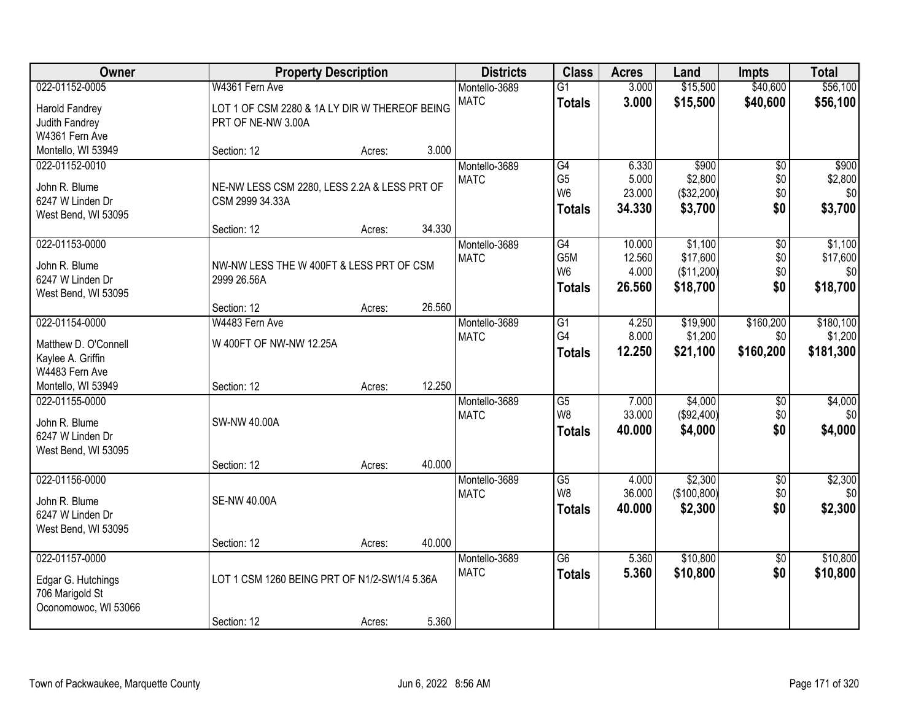| Owner                                   |                                               | <b>Property Description</b> |        | <b>Districts</b> | <b>Class</b>           | <b>Acres</b> | Land         | <b>Impts</b>    | <b>Total</b> |
|-----------------------------------------|-----------------------------------------------|-----------------------------|--------|------------------|------------------------|--------------|--------------|-----------------|--------------|
| 022-01152-0005                          | W4361 Fern Ave                                |                             |        | Montello-3689    | $\overline{G1}$        | 3.000        | \$15,500     | \$40,600        | \$56,100     |
| Harold Fandrey                          | LOT 1 OF CSM 2280 & 1A LY DIR W THEREOF BEING |                             |        | <b>MATC</b>      | <b>Totals</b>          | 3.000        | \$15,500     | \$40,600        | \$56,100     |
| Judith Fandrey                          | PRT OF NE-NW 3.00A                            |                             |        |                  |                        |              |              |                 |              |
| W4361 Fern Ave                          |                                               |                             |        |                  |                        |              |              |                 |              |
| Montello, WI 53949                      | Section: 12                                   | Acres:                      | 3.000  |                  |                        |              |              |                 |              |
| 022-01152-0010                          |                                               |                             |        | Montello-3689    | G4                     | 6.330        | \$900        | $\overline{50}$ | \$900        |
| John R. Blume                           | NE-NW LESS CSM 2280, LESS 2.2A & LESS PRT OF  |                             |        | <b>MATC</b>      | G <sub>5</sub>         | 5.000        | \$2,800      | \$0             | \$2,800      |
| 6247 W Linden Dr                        | CSM 2999 34.33A                               |                             |        |                  | W <sub>6</sub>         | 23.000       | (\$32,200)   | \$0             | \$0          |
| West Bend, WI 53095                     |                                               |                             |        |                  | <b>Totals</b>          | 34.330       | \$3,700      | \$0             | \$3,700      |
|                                         | Section: 12                                   | Acres:                      | 34.330 |                  |                        |              |              |                 |              |
| 022-01153-0000                          |                                               |                             |        | Montello-3689    | G4                     | 10.000       | \$1,100      | \$0             | \$1,100      |
| John R. Blume                           | NW-NW LESS THE W 400FT & LESS PRT OF CSM      |                             |        | <b>MATC</b>      | G5M                    | 12.560       | \$17,600     | \$0             | \$17,600     |
| 6247 W Linden Dr                        | 2999 26.56A                                   |                             |        |                  | W <sub>6</sub>         | 4.000        | (\$11,200)   | \$0             | \$0          |
| West Bend, WI 53095                     |                                               |                             |        |                  | <b>Totals</b>          | 26.560       | \$18,700     | \$0             | \$18,700     |
|                                         | Section: 12                                   | Acres:                      | 26.560 |                  |                        |              |              |                 |              |
| 022-01154-0000                          | W4483 Fern Ave                                |                             |        | Montello-3689    | G1                     | 4.250        | \$19,900     | \$160,200       | \$180,100    |
| Matthew D. O'Connell                    | W 400FT OF NW-NW 12.25A                       |                             |        | <b>MATC</b>      | G4                     | 8.000        | \$1,200      | \$0             | \$1,200      |
| Kaylee A. Griffin                       |                                               |                             |        |                  | <b>Totals</b>          | 12.250       | \$21,100     | \$160,200       | \$181,300    |
| W4483 Fern Ave                          |                                               |                             |        |                  |                        |              |              |                 |              |
| Montello, WI 53949                      | Section: 12                                   | Acres:                      | 12.250 |                  |                        |              |              |                 |              |
| 022-01155-0000                          |                                               |                             |        | Montello-3689    | $\overline{\text{G5}}$ | 7.000        | \$4,000      | $\overline{30}$ | \$4,000      |
|                                         | <b>SW-NW 40.00A</b>                           |                             |        | <b>MATC</b>      | W <sub>8</sub>         | 33.000       | (\$92,400)   | \$0             | \$0          |
| John R. Blume<br>6247 W Linden Dr       |                                               |                             |        |                  | <b>Totals</b>          | 40.000       | \$4,000      | \$0             | \$4,000      |
| West Bend, WI 53095                     |                                               |                             |        |                  |                        |              |              |                 |              |
|                                         | Section: 12                                   | Acres:                      | 40.000 |                  |                        |              |              |                 |              |
| 022-01156-0000                          |                                               |                             |        | Montello-3689    | $\overline{G5}$        | 4.000        | \$2,300      | $\overline{60}$ | \$2,300      |
|                                         |                                               |                             |        | <b>MATC</b>      | W8                     | 36.000       | (\$100, 800) | \$0             | \$0          |
| John R. Blume<br>6247 W Linden Dr       | <b>SE-NW 40.00A</b>                           |                             |        |                  | <b>Totals</b>          | 40.000       | \$2,300      | \$0             | \$2,300      |
| West Bend, WI 53095                     |                                               |                             |        |                  |                        |              |              |                 |              |
|                                         | Section: 12                                   | Acres:                      | 40.000 |                  |                        |              |              |                 |              |
| 022-01157-0000                          |                                               |                             |        | Montello-3689    | $\overline{G6}$        | 5.360        | \$10,800     | $\overline{50}$ | \$10,800     |
|                                         |                                               |                             |        | <b>MATC</b>      | <b>Totals</b>          | 5.360        | \$10,800     | \$0             | \$10,800     |
| Edgar G. Hutchings                      | LOT 1 CSM 1260 BEING PRT OF N1/2-SW1/4 5.36A  |                             |        |                  |                        |              |              |                 |              |
| 706 Marigold St<br>Oconomowoc, WI 53066 |                                               |                             |        |                  |                        |              |              |                 |              |
|                                         | Section: 12                                   | Acres:                      | 5.360  |                  |                        |              |              |                 |              |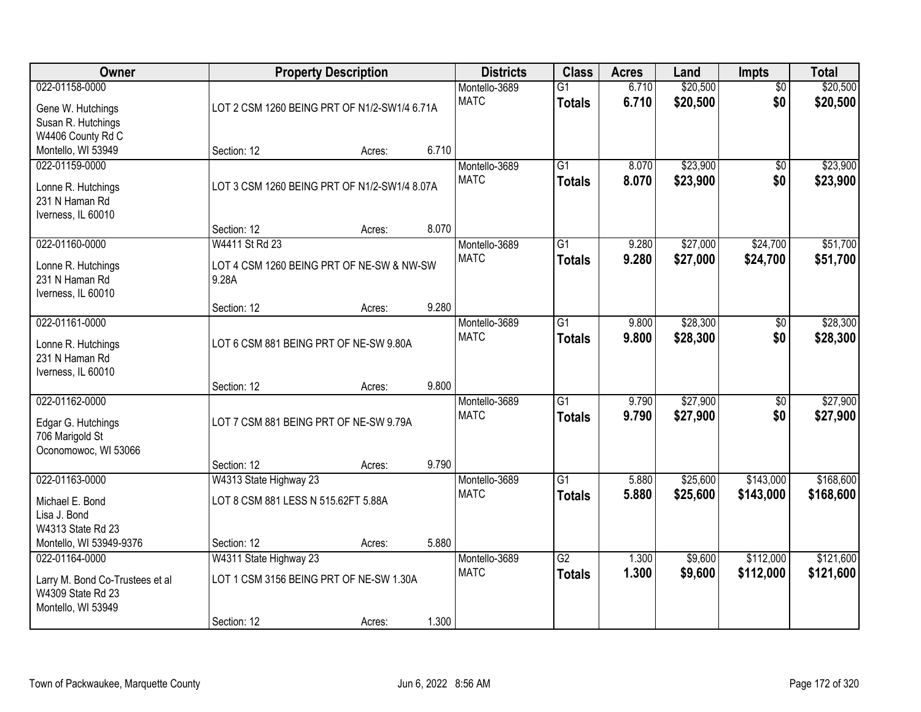| Owner                                                                                        | <b>Property Description</b>                                                      | <b>Districts</b> | <b>Class</b>                                                                 | <b>Acres</b>                 | Land                             | Impts          | <b>Total</b>         |                        |                        |
|----------------------------------------------------------------------------------------------|----------------------------------------------------------------------------------|------------------|------------------------------------------------------------------------------|------------------------------|----------------------------------|----------------|----------------------|------------------------|------------------------|
| 022-01158-0000<br>Gene W. Hutchings<br>Susan R. Hutchings<br>W4406 County Rd C               |                                                                                  |                  | Montello-3689<br><b>MATC</b><br>LOT 2 CSM 1260 BEING PRT OF N1/2-SW1/4 6.71A |                              | $\overline{G1}$<br><b>Totals</b> | 6.710<br>6.710 | \$20,500<br>\$20,500 | $\overline{50}$<br>\$0 | \$20,500<br>\$20,500   |
| Montello, WI 53949                                                                           | Section: 12                                                                      | Acres:           | 6.710                                                                        |                              |                                  |                |                      |                        |                        |
| 022-01159-0000<br>Lonne R. Hutchings<br>231 N Haman Rd<br>Iverness, IL 60010                 | LOT 3 CSM 1260 BEING PRT OF N1/2-SW1/4 8.07A<br>Section: 12                      | Acres:           | 8.070                                                                        | Montello-3689<br><b>MATC</b> | $\overline{G1}$<br><b>Totals</b> | 8.070<br>8.070 | \$23,900<br>\$23,900 | $\overline{50}$<br>\$0 | \$23,900<br>\$23,900   |
| 022-01160-0000                                                                               | W4411 St Rd 23                                                                   |                  |                                                                              | Montello-3689                | $\overline{G1}$                  | 9.280          | \$27,000             | \$24,700               | \$51,700               |
| Lonne R. Hutchings<br>231 N Haman Rd<br>Iverness, IL 60010                                   | LOT 4 CSM 1260 BEING PRT OF NE-SW & NW-SW<br>9.28A                               |                  |                                                                              | <b>MATC</b>                  | <b>Totals</b>                    | 9.280          | \$27,000             | \$24,700               | \$51,700               |
|                                                                                              | Section: 12                                                                      | Acres:           | 9.280                                                                        |                              |                                  |                |                      |                        |                        |
| 022-01161-0000<br>Lonne R. Hutchings<br>231 N Haman Rd<br>Iverness, IL 60010                 | LOT 6 CSM 881 BEING PRT OF NE-SW 9.80A                                           |                  |                                                                              | Montello-3689<br><b>MATC</b> | G1<br><b>Totals</b>              | 9.800<br>9.800 | \$28,300<br>\$28,300 | \$0<br>\$0             | \$28,300<br>\$28,300   |
|                                                                                              | Section: 12                                                                      | Acres:           | 9.800                                                                        |                              |                                  |                |                      |                        |                        |
| 022-01162-0000<br>Edgar G. Hutchings<br>706 Marigold St<br>Oconomowoc, WI 53066              | LOT 7 CSM 881 BEING PRT OF NE-SW 9.79A                                           |                  |                                                                              | Montello-3689<br><b>MATC</b> | $\overline{G1}$<br><b>Totals</b> | 9.790<br>9.790 | \$27,900<br>\$27,900 | $\overline{50}$<br>\$0 | \$27,900<br>\$27,900   |
| 022-01163-0000                                                                               | Section: 12<br>W4313 State Highway 23                                            | Acres:           | 9.790                                                                        | Montello-3689                | $\overline{G1}$                  | 5.880          | \$25,600             | \$143,000              | \$168,600              |
| Michael E. Bond<br>Lisa J. Bond<br>W4313 State Rd 23                                         | LOT 8 CSM 881 LESS N 515.62FT 5.88A                                              |                  |                                                                              | <b>MATC</b>                  | <b>Totals</b>                    | 5.880          | \$25,600             | \$143,000              | \$168,600              |
| Montello, WI 53949-9376                                                                      | Section: 12                                                                      | Acres:           | 5.880                                                                        |                              |                                  |                |                      |                        |                        |
| 022-01164-0000<br>Larry M. Bond Co-Trustees et al<br>W4309 State Rd 23<br>Montello, WI 53949 | W4311 State Highway 23<br>LOT 1 CSM 3156 BEING PRT OF NE-SW 1.30A<br>Section: 12 | Acres:           | 1.300                                                                        | Montello-3689<br><b>MATC</b> | $\overline{G2}$<br><b>Totals</b> | 1.300<br>1.300 | \$9,600<br>\$9,600   | \$112,000<br>\$112,000 | \$121,600<br>\$121,600 |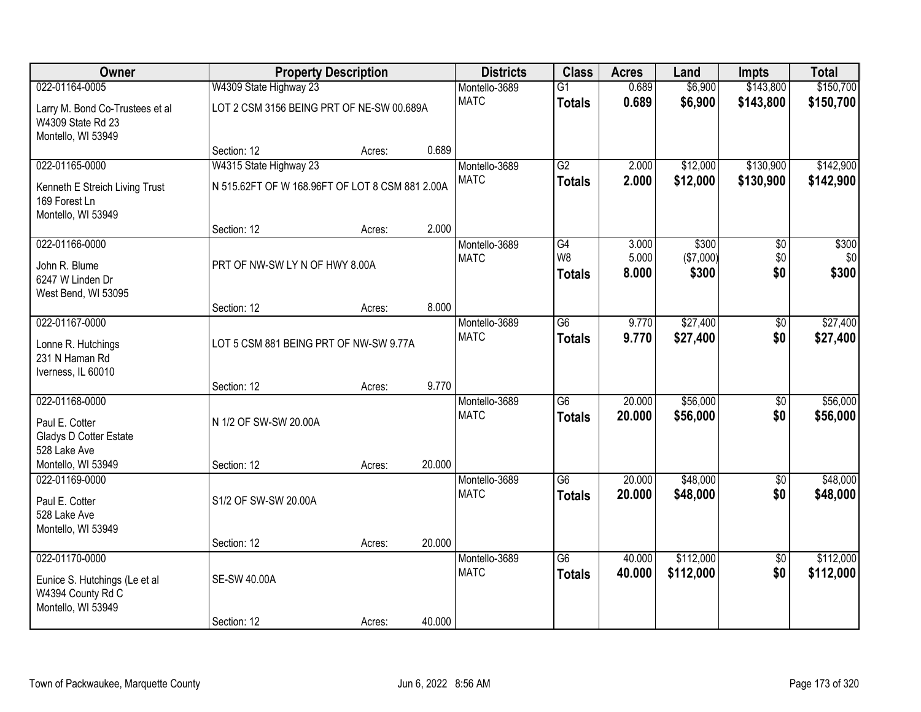| Owner                                                                                            | <b>Property Description</b>                     | <b>Districts</b> | <b>Class</b> | <b>Acres</b>                 | Land                                  | <b>Impts</b>            | <b>Total</b>                |                        |                        |
|--------------------------------------------------------------------------------------------------|-------------------------------------------------|------------------|--------------|------------------------------|---------------------------------------|-------------------------|-----------------------------|------------------------|------------------------|
| 022-01164-0005                                                                                   | W4309 State Highway 23                          |                  |              | Montello-3689                | $\overline{G1}$                       | 0.689                   | \$6,900                     | \$143,800              | \$150,700              |
| Larry M. Bond Co-Trustees et al<br>W4309 State Rd 23<br>Montello, WI 53949                       | LOT 2 CSM 3156 BEING PRT OF NE-SW 00.689A       |                  |              | <b>MATC</b>                  | <b>Totals</b>                         | 0.689                   | \$6,900                     | \$143,800              | \$150,700              |
|                                                                                                  | Section: 12                                     | Acres:           | 0.689        |                              |                                       |                         |                             |                        |                        |
| 022-01165-0000                                                                                   | W4315 State Highway 23                          |                  |              | Montello-3689                | G2                                    | 2.000                   | \$12,000                    | \$130,900              | \$142,900              |
| Kenneth E Streich Living Trust<br>169 Forest Ln<br>Montello, WI 53949                            | N 515.62FT OF W 168.96FT OF LOT 8 CSM 881 2.00A |                  |              | <b>MATC</b>                  | <b>Totals</b>                         | 2.000                   | \$12,000                    | \$130,900              | \$142,900              |
|                                                                                                  | Section: 12                                     | Acres:           | 2.000        |                              |                                       |                         |                             |                        |                        |
| 022-01166-0000<br>John R. Blume<br>6247 W Linden Dr<br>West Bend, WI 53095                       | PRT OF NW-SW LY N OF HWY 8.00A                  |                  |              | Montello-3689<br><b>MATC</b> | G4<br>W <sub>8</sub><br><b>Totals</b> | 3.000<br>5.000<br>8.000 | \$300<br>(\$7,000)<br>\$300 | \$0<br>\$0<br>\$0      | \$300<br>\$0<br>\$300  |
|                                                                                                  | Section: 12                                     | Acres:           | 8.000        |                              |                                       |                         |                             |                        |                        |
| 022-01167-0000<br>Lonne R. Hutchings                                                             | LOT 5 CSM 881 BEING PRT OF NW-SW 9.77A          |                  |              | Montello-3689<br><b>MATC</b> | $\overline{G6}$<br><b>Totals</b>      | 9.770<br>9.770          | \$27,400<br>\$27,400        | \$0<br>\$0             | \$27,400<br>\$27,400   |
| 231 N Haman Rd<br>Iverness, IL 60010                                                             |                                                 |                  |              |                              |                                       |                         |                             |                        |                        |
|                                                                                                  | Section: 12                                     | Acres:           | 9.770        |                              |                                       |                         |                             |                        |                        |
| 022-01168-0000<br>Paul E. Cotter<br>Gladys D Cotter Estate<br>528 Lake Ave<br>Montello, WI 53949 | N 1/2 OF SW-SW 20.00A<br>Section: 12            | Acres:           | 20.000       | Montello-3689<br><b>MATC</b> | $\overline{G6}$<br><b>Totals</b>      | 20.000<br>20.000        | \$56,000<br>\$56,000        | $\overline{50}$<br>\$0 | \$56,000<br>\$56,000   |
| 022-01169-0000                                                                                   |                                                 |                  |              | Montello-3689                | $\overline{G6}$                       | 20.000                  | \$48,000                    | $\overline{60}$        | \$48,000               |
| Paul E. Cotter<br>528 Lake Ave<br>Montello, WI 53949                                             | S1/2 OF SW-SW 20.00A                            |                  |              | <b>MATC</b>                  | <b>Totals</b>                         | 20.000                  | \$48,000                    | \$0                    | \$48,000               |
|                                                                                                  | Section: 12                                     | Acres:           | 20.000       |                              |                                       |                         |                             |                        |                        |
| 022-01170-0000<br>Eunice S. Hutchings (Le et al<br>W4394 County Rd C<br>Montello, WI 53949       | <b>SE-SW 40.00A</b>                             |                  |              | Montello-3689<br><b>MATC</b> | $\overline{G6}$<br><b>Totals</b>      | 40.000<br>40.000        | \$112,000<br>\$112,000      | $\overline{50}$<br>\$0 | \$112,000<br>\$112,000 |
|                                                                                                  | Section: 12                                     | Acres:           | 40.000       |                              |                                       |                         |                             |                        |                        |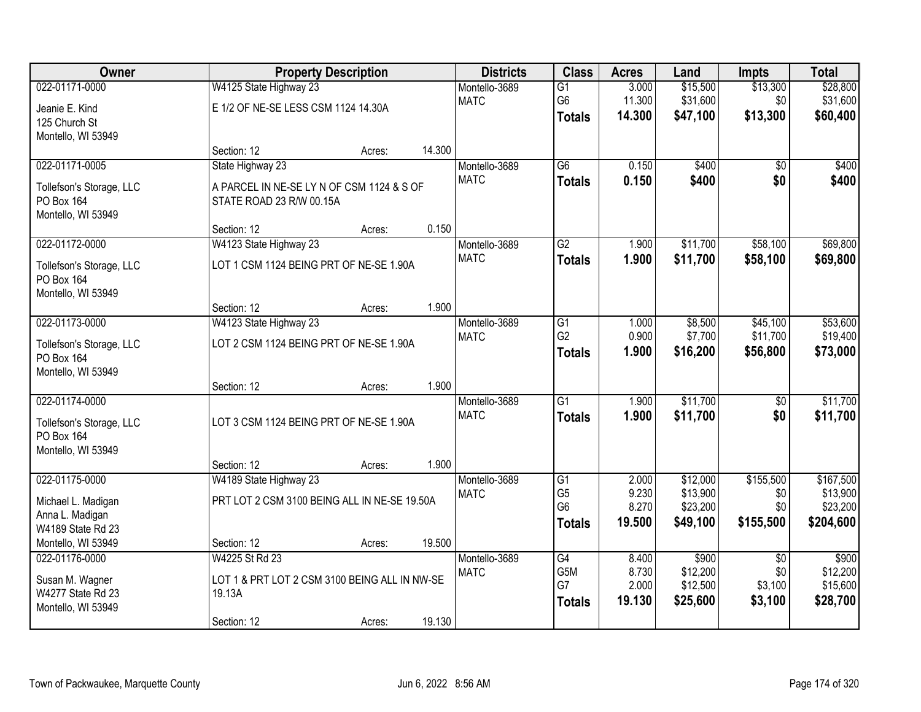| Owner                                |                                                         | <b>Property Description</b> |        | <b>Districts</b>             | <b>Class</b>    | <b>Acres</b> | Land     | <b>Impts</b>    | <b>Total</b>          |
|--------------------------------------|---------------------------------------------------------|-----------------------------|--------|------------------------------|-----------------|--------------|----------|-----------------|-----------------------|
| 022-01171-0000                       | W4125 State Highway 23                                  |                             |        | Montello-3689                | $\overline{G1}$ | 3.000        | \$15,500 | \$13,300        | \$28,800              |
| Jeanie E. Kind                       | E 1/2 OF NE-SE LESS CSM 1124 14.30A                     |                             |        | <b>MATC</b>                  | G6              | 11.300       | \$31,600 | \$0             | \$31,600              |
| 125 Church St                        |                                                         |                             |        |                              | <b>Totals</b>   | 14.300       | \$47,100 | \$13,300        | \$60,400              |
| Montello, WI 53949                   |                                                         |                             |        |                              |                 |              |          |                 |                       |
|                                      | Section: 12                                             | Acres:                      | 14.300 |                              |                 |              |          |                 |                       |
| 022-01171-0005                       | State Highway 23                                        |                             |        | Montello-3689<br><b>MATC</b> | $\overline{G6}$ | 0.150        | \$400    | $\overline{50}$ | \$400                 |
| Tollefson's Storage, LLC             | A PARCEL IN NE-SE LY N OF CSM 1124 & S OF               |                             |        |                              | <b>Totals</b>   | 0.150        | \$400    | \$0             | \$400                 |
| PO Box 164                           | STATE ROAD 23 R/W 00.15A                                |                             |        |                              |                 |              |          |                 |                       |
| Montello, WI 53949                   |                                                         |                             | 0.150  |                              |                 |              |          |                 |                       |
| 022-01172-0000                       | Section: 12<br>W4123 State Highway 23                   | Acres:                      |        | Montello-3689                | $\overline{G2}$ | 1.900        | \$11,700 | \$58,100        | \$69,800              |
|                                      |                                                         |                             |        | <b>MATC</b>                  | <b>Totals</b>   | 1.900        | \$11,700 | \$58,100        | \$69,800              |
| Tollefson's Storage, LLC             | LOT 1 CSM 1124 BEING PRT OF NE-SE 1.90A                 |                             |        |                              |                 |              |          |                 |                       |
| PO Box 164<br>Montello, WI 53949     |                                                         |                             |        |                              |                 |              |          |                 |                       |
|                                      | Section: 12                                             | Acres:                      | 1.900  |                              |                 |              |          |                 |                       |
| 022-01173-0000                       | W4123 State Highway 23                                  |                             |        | Montello-3689                | $\overline{G1}$ | 1.000        | \$8,500  | \$45,100        | \$53,600              |
| Tollefson's Storage, LLC             | LOT 2 CSM 1124 BEING PRT OF NE-SE 1.90A                 |                             |        | <b>MATC</b>                  | G <sub>2</sub>  | 0.900        | \$7,700  | \$11,700        | \$19,400              |
| PO Box 164                           |                                                         |                             |        |                              | <b>Totals</b>   | 1.900        | \$16,200 | \$56,800        | \$73,000              |
| Montello, WI 53949                   |                                                         |                             |        |                              |                 |              |          |                 |                       |
|                                      | Section: 12                                             | Acres:                      | 1.900  |                              |                 |              |          |                 |                       |
| 022-01174-0000                       |                                                         |                             |        | Montello-3689                | $\overline{G1}$ | 1.900        | \$11,700 | $\overline{50}$ | \$11,700              |
| Tollefson's Storage, LLC             | LOT 3 CSM 1124 BEING PRT OF NE-SE 1.90A                 |                             |        | <b>MATC</b>                  | <b>Totals</b>   | 1.900        | \$11,700 | \$0             | \$11,700              |
| PO Box 164                           |                                                         |                             |        |                              |                 |              |          |                 |                       |
| Montello, WI 53949                   |                                                         |                             |        |                              |                 |              |          |                 |                       |
| 022-01175-0000                       | Section: 12                                             | Acres:                      | 1.900  |                              | $\overline{G1}$ | 2.000        | \$12,000 | \$155,500       |                       |
|                                      | W4189 State Highway 23                                  |                             |        | Montello-3689<br><b>MATC</b> | G <sub>5</sub>  | 9.230        | \$13,900 | \$0             | \$167,500<br>\$13,900 |
| Michael L. Madigan                   | PRT LOT 2 CSM 3100 BEING ALL IN NE-SE 19.50A            |                             |        |                              | G <sub>6</sub>  | 8.270        | \$23,200 | \$0             | \$23,200              |
| Anna L. Madigan<br>W4189 State Rd 23 |                                                         |                             |        |                              | <b>Totals</b>   | 19.500       | \$49,100 | \$155,500       | \$204,600             |
| Montello, WI 53949                   | Section: 12                                             | Acres:                      | 19.500 |                              |                 |              |          |                 |                       |
| 022-01176-0000                       | W4225 St Rd 23                                          |                             |        | Montello-3689                | $\overline{G4}$ | 8.400        | \$900    | $\overline{50}$ | \$900                 |
|                                      |                                                         |                             |        | <b>MATC</b>                  | G5M             | 8.730        | \$12,200 | \$0             | \$12,200              |
| Susan M. Wagner<br>W4277 State Rd 23 | LOT 1 & PRT LOT 2 CSM 3100 BEING ALL IN NW-SE<br>19.13A |                             |        |                              | G7              | 2.000        | \$12,500 | \$3,100         | \$15,600              |
| Montello, WI 53949                   |                                                         |                             |        |                              | <b>Totals</b>   | 19.130       | \$25,600 | \$3,100         | \$28,700              |
|                                      | Section: 12                                             | Acres:                      | 19.130 |                              |                 |              |          |                 |                       |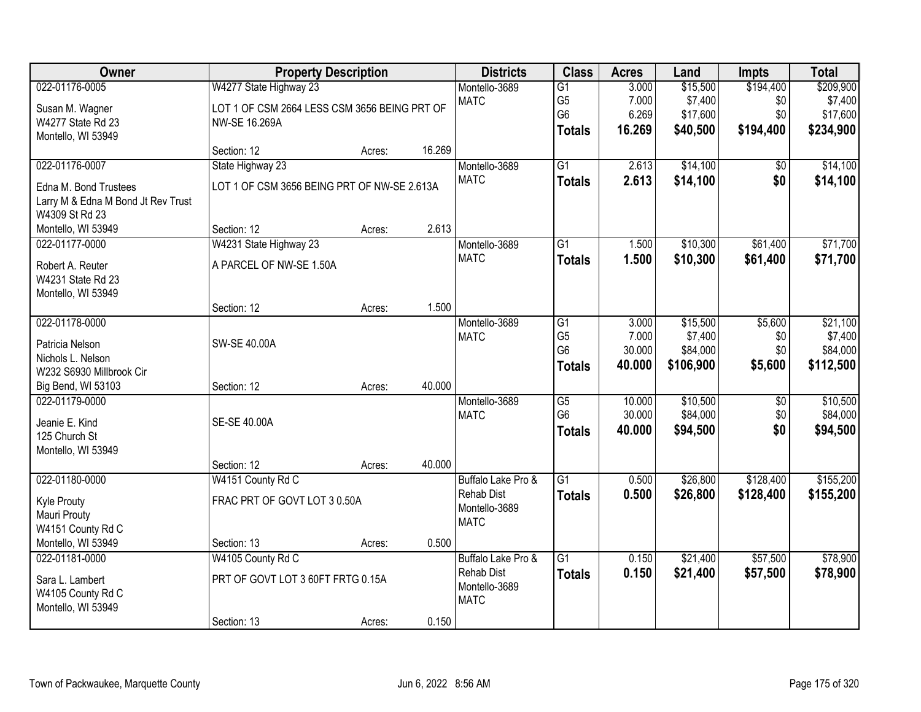| Owner                                   |                                              | <b>Property Description</b> |        | <b>Districts</b>             | <b>Class</b>         | <b>Acres</b>   | Land                | <b>Impts</b>    | <b>Total</b>        |
|-----------------------------------------|----------------------------------------------|-----------------------------|--------|------------------------------|----------------------|----------------|---------------------|-----------------|---------------------|
| 022-01176-0005                          | W4277 State Highway 23                       |                             |        | Montello-3689                | $\overline{G1}$      | 3.000          | \$15,500            | \$194,400       | \$209,900           |
| Susan M. Wagner                         | LOT 1 OF CSM 2664 LESS CSM 3656 BEING PRT OF |                             |        | <b>MATC</b>                  | G <sub>5</sub>       | 7.000          | \$7,400             | \$0             | \$7,400             |
| W4277 State Rd 23                       | NW-SE 16.269A                                |                             |        |                              | G <sub>6</sub>       | 6.269          | \$17,600            | \$0             | \$17,600            |
| Montello, WI 53949                      |                                              |                             |        |                              | <b>Totals</b>        | 16.269         | \$40,500            | \$194,400       | \$234,900           |
|                                         | Section: 12                                  | Acres:                      | 16.269 |                              |                      |                |                     |                 |                     |
| 022-01176-0007                          | State Highway 23                             |                             |        | Montello-3689                | $\overline{G1}$      | 2.613          | \$14,100            | \$0             | \$14,100            |
| Edna M. Bond Trustees                   | LOT 1 OF CSM 3656 BEING PRT OF NW-SE 2.613A  |                             |        | <b>MATC</b>                  | <b>Totals</b>        | 2.613          | \$14,100            | \$0             | \$14,100            |
| Larry M & Edna M Bond Jt Rev Trust      |                                              |                             |        |                              |                      |                |                     |                 |                     |
| W4309 St Rd 23                          |                                              |                             |        |                              |                      |                |                     |                 |                     |
| Montello, WI 53949                      | Section: 12                                  | Acres:                      | 2.613  |                              |                      |                |                     |                 |                     |
| 022-01177-0000                          | W4231 State Highway 23                       |                             |        | Montello-3689                | $\overline{G1}$      | 1.500          | \$10,300            | \$61,400        | \$71,700            |
| Robert A. Reuter                        | A PARCEL OF NW-SE 1.50A                      |                             |        | <b>MATC</b>                  | <b>Totals</b>        | 1.500          | \$10,300            | \$61,400        | \$71,700            |
| W4231 State Rd 23                       |                                              |                             |        |                              |                      |                |                     |                 |                     |
| Montello, WI 53949                      |                                              |                             |        |                              |                      |                |                     |                 |                     |
|                                         | Section: 12                                  | Acres:                      | 1.500  |                              |                      |                |                     |                 |                     |
| 022-01178-0000                          |                                              |                             |        | Montello-3689<br><b>MATC</b> | G1<br>G <sub>5</sub> | 3.000<br>7.000 | \$15,500<br>\$7,400 | \$5,600<br>\$0  | \$21,100<br>\$7,400 |
| Patricia Nelson                         | SW-SE 40.00A                                 |                             |        |                              | G <sub>6</sub>       | 30.000         | \$84,000            | \$0             | \$84,000            |
| Nichols L. Nelson                       |                                              |                             |        |                              | <b>Totals</b>        | 40.000         | \$106,900           | \$5,600         | \$112,500           |
| W232 S6930 Millbrook Cir                |                                              |                             |        |                              |                      |                |                     |                 |                     |
| Big Bend, WI 53103<br>022-01179-0000    | Section: 12                                  | Acres:                      | 40.000 |                              | $\overline{G5}$      | 10.000         | \$10,500            | $\overline{50}$ | \$10,500            |
|                                         |                                              |                             |        | Montello-3689<br><b>MATC</b> | G <sub>6</sub>       | 30.000         | \$84,000            | \$0             | \$84,000            |
| Jeanie E. Kind                          | SE-SE 40.00A                                 |                             |        |                              | <b>Totals</b>        | 40.000         | \$94,500            | \$0             | \$94,500            |
| 125 Church St                           |                                              |                             |        |                              |                      |                |                     |                 |                     |
| Montello, WI 53949                      | Section: 12                                  | Acres:                      | 40.000 |                              |                      |                |                     |                 |                     |
| 022-01180-0000                          | W4151 County Rd C                            |                             |        | Buffalo Lake Pro &           | $\overline{G1}$      | 0.500          | \$26,800            | \$128,400       | \$155,200           |
|                                         |                                              |                             |        | <b>Rehab Dist</b>            | <b>Totals</b>        | 0.500          | \$26,800            | \$128,400       | \$155,200           |
| Kyle Prouty                             | FRAC PRT OF GOVT LOT 3 0.50A                 |                             |        | Montello-3689                |                      |                |                     |                 |                     |
| Mauri Prouty<br>W4151 County Rd C       |                                              |                             |        | <b>MATC</b>                  |                      |                |                     |                 |                     |
| Montello, WI 53949                      | Section: 13                                  | Acres:                      | 0.500  |                              |                      |                |                     |                 |                     |
| 022-01181-0000                          | W4105 County Rd C                            |                             |        | Buffalo Lake Pro &           | $\overline{G1}$      | 0.150          | \$21,400            | \$57,500        | \$78,900            |
|                                         |                                              |                             |        | <b>Rehab Dist</b>            | <b>Totals</b>        | 0.150          | \$21,400            | \$57,500        | \$78,900            |
| Sara L. Lambert                         | PRT OF GOVT LOT 3 60FT FRTG 0.15A            |                             |        | Montello-3689                |                      |                |                     |                 |                     |
| W4105 County Rd C<br>Montello, WI 53949 |                                              |                             |        | <b>MATC</b>                  |                      |                |                     |                 |                     |
|                                         | Section: 13                                  | Acres:                      | 0.150  |                              |                      |                |                     |                 |                     |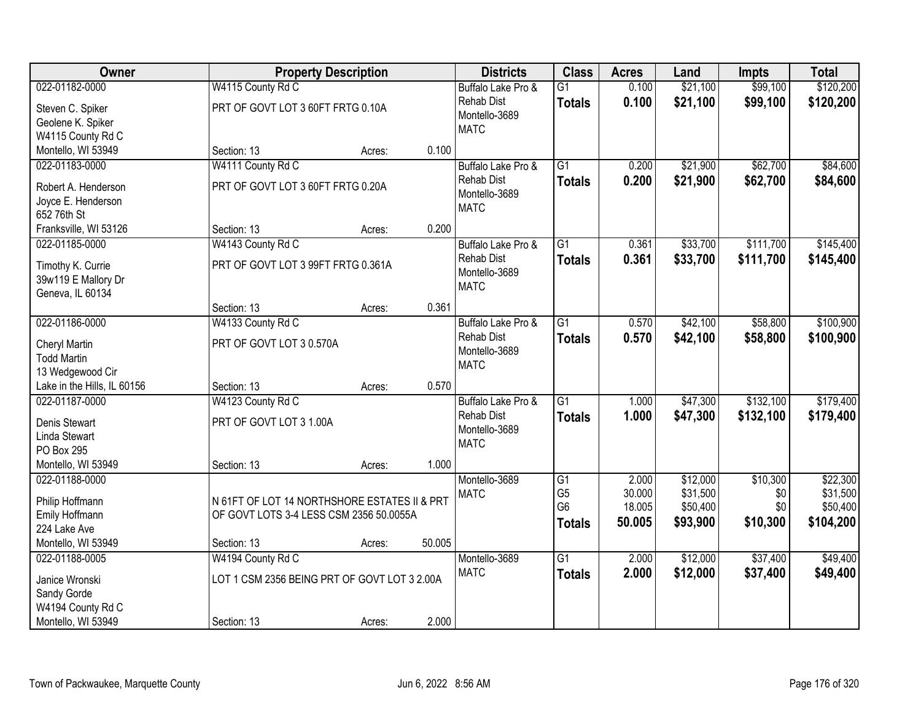| Owner                                         |                                              | <b>Property Description</b> |        | <b>Districts</b>                                  | <b>Class</b>    | <b>Acres</b> | Land     | <b>Impts</b> | <b>Total</b> |
|-----------------------------------------------|----------------------------------------------|-----------------------------|--------|---------------------------------------------------|-----------------|--------------|----------|--------------|--------------|
| 022-01182-0000                                | W4115 County Rd C                            |                             |        | Buffalo Lake Pro &                                | $\overline{G1}$ | 0.100        | \$21,100 | \$99,100     | \$120,200    |
| Steven C. Spiker<br>Geolene K. Spiker         | PRT OF GOVT LOT 3 60FT FRTG 0.10A            |                             |        | <b>Rehab Dist</b><br>Montello-3689<br><b>MATC</b> | <b>Totals</b>   | 0.100        | \$21,100 | \$99,100     | \$120,200    |
| W4115 County Rd C                             |                                              |                             |        |                                                   |                 |              |          |              |              |
| Montello, WI 53949                            | Section: 13                                  | Acres:                      | 0.100  |                                                   |                 |              |          |              |              |
| 022-01183-0000                                | W4111 County Rd C                            |                             |        | Buffalo Lake Pro &                                | $\overline{G1}$ | 0.200        | \$21,900 | \$62,700     | \$84,600     |
| Robert A. Henderson                           | PRT OF GOVT LOT 3 60FT FRTG 0.20A            |                             |        | <b>Rehab Dist</b>                                 | <b>Totals</b>   | 0.200        | \$21,900 | \$62,700     | \$84,600     |
| Joyce E. Henderson                            |                                              |                             |        | Montello-3689                                     |                 |              |          |              |              |
| 652 76th St                                   |                                              |                             |        | <b>MATC</b>                                       |                 |              |          |              |              |
| Franksville, WI 53126                         | Section: 13                                  | Acres:                      | 0.200  |                                                   |                 |              |          |              |              |
| 022-01185-0000                                | W4143 County Rd C                            |                             |        | Buffalo Lake Pro &                                | G1              | 0.361        | \$33,700 | \$111,700    | \$145,400    |
| Timothy K. Currie                             | PRT OF GOVT LOT 3 99FT FRTG 0.361A           |                             |        | <b>Rehab Dist</b>                                 | <b>Totals</b>   | 0.361        | \$33,700 | \$111,700    | \$145,400    |
| 39w119 E Mallory Dr                           |                                              |                             |        | Montello-3689                                     |                 |              |          |              |              |
| Geneva, IL 60134                              |                                              |                             |        | <b>MATC</b>                                       |                 |              |          |              |              |
|                                               | Section: 13                                  | Acres:                      | 0.361  |                                                   |                 |              |          |              |              |
| 022-01186-0000                                | W4133 County Rd C                            |                             |        | Buffalo Lake Pro &                                | G1              | 0.570        | \$42,100 | \$58,800     | \$100,900    |
|                                               |                                              |                             |        | <b>Rehab Dist</b>                                 | <b>Totals</b>   | 0.570        | \$42,100 | \$58,800     | \$100,900    |
| Cheryl Martin                                 | PRT OF GOVT LOT 3 0.570A                     |                             |        | Montello-3689                                     |                 |              |          |              |              |
| <b>Todd Martin</b>                            |                                              |                             |        | <b>MATC</b>                                       |                 |              |          |              |              |
| 13 Wedgewood Cir                              |                                              |                             | 0.570  |                                                   |                 |              |          |              |              |
| Lake in the Hills, IL 60156<br>022-01187-0000 | Section: 13<br>W4123 County Rd C             | Acres:                      |        |                                                   | $\overline{G1}$ | 1.000        | \$47,300 | \$132,100    | \$179,400    |
|                                               |                                              |                             |        | Buffalo Lake Pro &<br><b>Rehab Dist</b>           |                 |              |          |              |              |
| Denis Stewart                                 | PRT OF GOVT LOT 3 1.00A                      |                             |        | Montello-3689                                     | <b>Totals</b>   | 1.000        | \$47,300 | \$132,100    | \$179,400    |
| Linda Stewart                                 |                                              |                             |        | <b>MATC</b>                                       |                 |              |          |              |              |
| PO Box 295                                    |                                              |                             |        |                                                   |                 |              |          |              |              |
| Montello, WI 53949                            | Section: 13                                  | Acres:                      | 1.000  |                                                   |                 |              |          |              |              |
| 022-01188-0000                                |                                              |                             |        | Montello-3689                                     | $\overline{G1}$ | 2.000        | \$12,000 | \$10,300     | \$22,300     |
| Philip Hoffmann                               | N 61FT OF LOT 14 NORTHSHORE ESTATES II & PRT |                             |        | <b>MATC</b>                                       | G <sub>5</sub>  | 30.000       | \$31,500 | \$0          | \$31,500     |
| Emily Hoffmann                                | OF GOVT LOTS 3-4 LESS CSM 2356 50.0055A      |                             |        |                                                   | G <sub>6</sub>  | 18.005       | \$50,400 | \$0          | \$50,400     |
| 224 Lake Ave                                  |                                              |                             |        |                                                   | <b>Totals</b>   | 50.005       | \$93,900 | \$10,300     | \$104,200    |
| Montello, WI 53949                            | Section: 13                                  | Acres:                      | 50.005 |                                                   |                 |              |          |              |              |
| 022-01188-0005                                | W4194 County Rd C                            |                             |        | Montello-3689                                     | $\overline{G1}$ | 2.000        | \$12,000 | \$37,400     | \$49,400     |
| Janice Wronski                                | LOT 1 CSM 2356 BEING PRT OF GOVT LOT 3 2.00A |                             |        | <b>MATC</b>                                       | <b>Totals</b>   | 2.000        | \$12,000 | \$37,400     | \$49,400     |
| Sandy Gorde                                   |                                              |                             |        |                                                   |                 |              |          |              |              |
| W4194 County Rd C                             |                                              |                             |        |                                                   |                 |              |          |              |              |
| Montello, WI 53949                            | Section: 13                                  | Acres:                      | 2.000  |                                                   |                 |              |          |              |              |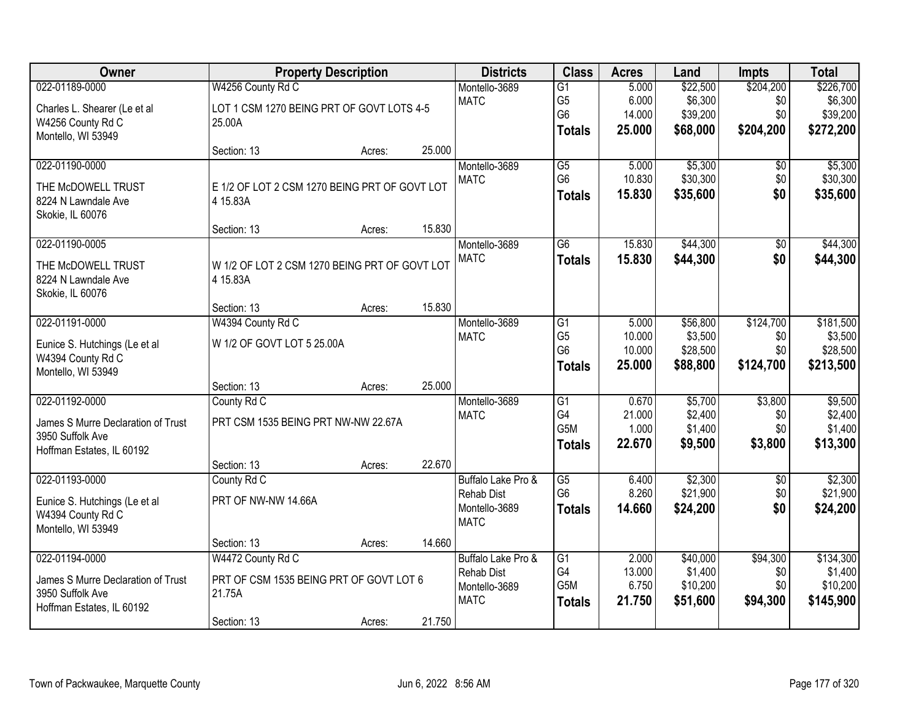| Owner                              | <b>Property Description</b>                   |        |        | <b>Districts</b>   | <b>Class</b>    | <b>Acres</b> | Land     | <b>Impts</b>    | <b>Total</b> |
|------------------------------------|-----------------------------------------------|--------|--------|--------------------|-----------------|--------------|----------|-----------------|--------------|
| 022-01189-0000                     | W4256 County Rd C                             |        |        | Montello-3689      | $\overline{G1}$ | 5.000        | \$22,500 | \$204,200       | \$226,700    |
| Charles L. Shearer (Le et al       | LOT 1 CSM 1270 BEING PRT OF GOVT LOTS 4-5     |        |        | <b>MATC</b>        | G <sub>5</sub>  | 6.000        | \$6,300  | \$0             | \$6,300      |
| W4256 County Rd C                  | 25.00A                                        |        |        |                    | G <sub>6</sub>  | 14.000       | \$39,200 | \$0             | \$39,200     |
| Montello, WI 53949                 |                                               |        |        |                    | <b>Totals</b>   | 25.000       | \$68,000 | \$204,200       | \$272,200    |
|                                    | Section: 13                                   | Acres: | 25.000 |                    |                 |              |          |                 |              |
| 022-01190-0000                     |                                               |        |        | Montello-3689      | $\overline{G5}$ | 5.000        | \$5,300  | \$0             | \$5,300      |
| THE McDOWELL TRUST                 | E 1/2 OF LOT 2 CSM 1270 BEING PRT OF GOVT LOT |        |        | <b>MATC</b>        | G <sub>6</sub>  | 10.830       | \$30,300 | \$0             | \$30,300     |
| 8224 N Lawndale Ave                | 4 15.83A                                      |        |        |                    | <b>Totals</b>   | 15.830       | \$35,600 | \$0             | \$35,600     |
| Skokie, IL 60076                   |                                               |        |        |                    |                 |              |          |                 |              |
|                                    | Section: 13                                   | Acres: | 15.830 |                    |                 |              |          |                 |              |
| 022-01190-0005                     |                                               |        |        | Montello-3689      | $\overline{G6}$ | 15.830       | \$44,300 | $\overline{50}$ | \$44,300     |
| THE McDOWELL TRUST                 | W 1/2 OF LOT 2 CSM 1270 BEING PRT OF GOVT LOT |        |        | <b>MATC</b>        | <b>Totals</b>   | 15.830       | \$44,300 | \$0             | \$44,300     |
| 8224 N Lawndale Ave                | 4 15.83A                                      |        |        |                    |                 |              |          |                 |              |
| Skokie, IL 60076                   |                                               |        |        |                    |                 |              |          |                 |              |
|                                    | Section: 13                                   | Acres: | 15.830 |                    |                 |              |          |                 |              |
| 022-01191-0000                     | W4394 County Rd C                             |        |        | Montello-3689      | $\overline{G1}$ | 5.000        | \$56,800 | \$124,700       | \$181,500    |
| Eunice S. Hutchings (Le et al      | W 1/2 OF GOVT LOT 5 25.00A                    |        |        | <b>MATC</b>        | G <sub>5</sub>  | 10.000       | \$3,500  | \$0             | \$3,500      |
| W4394 County Rd C                  |                                               |        |        |                    | G <sub>6</sub>  | 10.000       | \$28,500 | \$0             | \$28,500     |
| Montello, WI 53949                 |                                               |        |        |                    | <b>Totals</b>   | 25.000       | \$88,800 | \$124,700       | \$213,500    |
|                                    | Section: 13                                   | Acres: | 25.000 |                    |                 |              |          |                 |              |
| 022-01192-0000                     | County Rd C                                   |        |        | Montello-3689      | $\overline{G1}$ | 0.670        | \$5,700  | \$3,800         | \$9,500      |
| James S Murre Declaration of Trust | PRT CSM 1535 BEING PRT NW-NW 22.67A           |        |        | <b>MATC</b>        | G4              | 21.000       | \$2,400  | \$0             | \$2,400      |
| 3950 Suffolk Ave                   |                                               |        |        |                    | G5M             | 1.000        | \$1,400  | \$0             | \$1,400      |
| Hoffman Estates, IL 60192          |                                               |        |        |                    | <b>Totals</b>   | 22.670       | \$9,500  | \$3,800         | \$13,300     |
|                                    | Section: 13                                   | Acres: | 22.670 |                    |                 |              |          |                 |              |
| 022-01193-0000                     | County Rd C                                   |        |        | Buffalo Lake Pro & | $\overline{G5}$ | 6.400        | \$2,300  | $\overline{60}$ | \$2,300      |
| Eunice S. Hutchings (Le et al      | PRT OF NW-NW 14.66A                           |        |        | <b>Rehab Dist</b>  | G <sub>6</sub>  | 8.260        | \$21,900 | \$0             | \$21,900     |
| W4394 County Rd C                  |                                               |        |        | Montello-3689      | <b>Totals</b>   | 14.660       | \$24,200 | \$0             | \$24,200     |
| Montello, WI 53949                 |                                               |        |        | <b>MATC</b>        |                 |              |          |                 |              |
|                                    | Section: 13                                   | Acres: | 14.660 |                    |                 |              |          |                 |              |
| 022-01194-0000                     | W4472 County Rd C                             |        |        | Buffalo Lake Pro & | $\overline{G1}$ | 2.000        | \$40,000 | \$94,300        | \$134,300    |
| James S Murre Declaration of Trust | PRT OF CSM 1535 BEING PRT OF GOVT LOT 6       |        |        | <b>Rehab Dist</b>  | G4              | 13.000       | \$1,400  | \$0             | \$1,400      |
| 3950 Suffolk Ave                   | 21.75A                                        |        |        | Montello-3689      | G5M             | 6.750        | \$10,200 | \$0             | \$10,200     |
| Hoffman Estates, IL 60192          |                                               |        |        | <b>MATC</b>        | <b>Totals</b>   | 21.750       | \$51,600 | \$94,300        | \$145,900    |
|                                    | Section: 13                                   | Acres: | 21.750 |                    |                 |              |          |                 |              |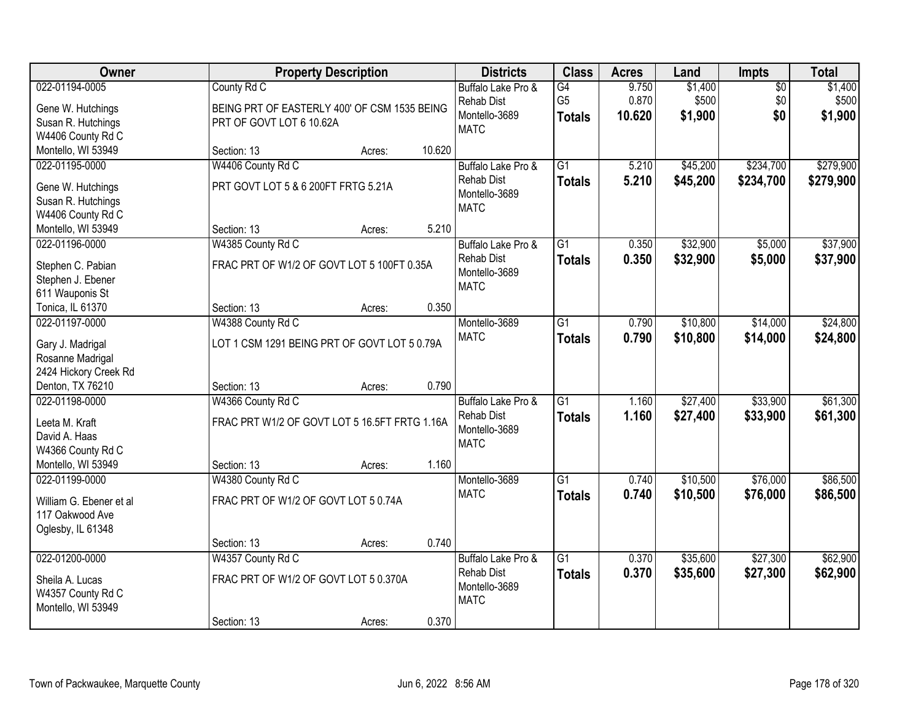| Owner                                                                                        |                                                                                         | <b>Property Description</b> |        | <b>Districts</b>                                                        | <b>Class</b>                          | <b>Acres</b>             | Land                        | Impts                         | <b>Total</b>                |
|----------------------------------------------------------------------------------------------|-----------------------------------------------------------------------------------------|-----------------------------|--------|-------------------------------------------------------------------------|---------------------------------------|--------------------------|-----------------------------|-------------------------------|-----------------------------|
| 022-01194-0005<br>Gene W. Hutchings<br>Susan R. Hutchings<br>W4406 County Rd C               | County Rd C<br>BEING PRT OF EASTERLY 400' OF CSM 1535 BEING<br>PRT OF GOVT LOT 6 10.62A |                             |        | Buffalo Lake Pro &<br>Rehab Dist<br>Montello-3689<br><b>MATC</b>        | G4<br>G <sub>5</sub><br><b>Totals</b> | 9.750<br>0.870<br>10.620 | \$1,400<br>\$500<br>\$1,900 | $\overline{50}$<br>\$0<br>\$0 | \$1,400<br>\$500<br>\$1,900 |
| Montello, WI 53949                                                                           | Section: 13                                                                             | Acres:                      | 10.620 |                                                                         |                                       |                          |                             |                               |                             |
| 022-01195-0000<br>Gene W. Hutchings<br>Susan R. Hutchings<br>W4406 County Rd C               | W4406 County Rd C<br>PRT GOVT LOT 5 & 6 200FT FRTG 5.21A                                |                             |        | Buffalo Lake Pro &<br><b>Rehab Dist</b><br>Montello-3689<br><b>MATC</b> | $\overline{G1}$<br><b>Totals</b>      | 5.210<br>5.210           | \$45,200<br>\$45,200        | \$234,700<br>\$234,700        | \$279,900<br>\$279,900      |
| Montello, WI 53949                                                                           | Section: 13                                                                             | Acres:                      | 5.210  |                                                                         |                                       |                          |                             |                               |                             |
| 022-01196-0000<br>Stephen C. Pabian<br>Stephen J. Ebener<br>611 Wauponis St                  | W4385 County Rd C<br>FRAC PRT OF W1/2 OF GOVT LOT 5 100FT 0.35A                         |                             |        | Buffalo Lake Pro &<br><b>Rehab Dist</b><br>Montello-3689<br><b>MATC</b> | $\overline{G1}$<br><b>Totals</b>      | 0.350<br>0.350           | \$32,900<br>\$32,900        | \$5,000<br>\$5,000            | \$37,900<br>\$37,900        |
| Tonica, IL 61370                                                                             | Section: 13                                                                             | Acres:                      | 0.350  |                                                                         |                                       |                          |                             |                               |                             |
| 022-01197-0000<br>Gary J. Madrigal<br>Rosanne Madrigal<br>2424 Hickory Creek Rd              | W4388 County Rd C<br>LOT 1 CSM 1291 BEING PRT OF GOVT LOT 5 0.79A                       |                             |        | Montello-3689<br><b>MATC</b>                                            | $\overline{G1}$<br><b>Totals</b>      | 0.790<br>0.790           | \$10,800<br>\$10,800        | \$14,000<br>\$14,000          | \$24,800<br>\$24,800        |
| Denton, TX 76210                                                                             | Section: 13                                                                             | Acres:                      | 0.790  |                                                                         |                                       |                          |                             |                               |                             |
| 022-01198-0000<br>Leeta M. Kraft<br>David A. Haas<br>W4366 County Rd C<br>Montello, WI 53949 | W4366 County Rd C<br>FRAC PRT W1/2 OF GOVT LOT 5 16.5FT FRTG 1.16A<br>Section: 13       | Acres:                      | 1.160  | Buffalo Lake Pro &<br><b>Rehab Dist</b><br>Montello-3689<br><b>MATC</b> | $\overline{G1}$<br><b>Totals</b>      | 1.160<br>1.160           | \$27,400<br>\$27,400        | \$33,900<br>\$33,900          | \$61,300<br>\$61,300        |
| 022-01199-0000                                                                               | W4380 County Rd C                                                                       |                             |        | Montello-3689                                                           | $\overline{G1}$                       | 0.740                    | \$10,500                    | \$76,000                      | \$86,500                    |
| William G. Ebener et al<br>117 Oakwood Ave<br>Oglesby, IL 61348                              | FRAC PRT OF W1/2 OF GOVT LOT 5 0.74A                                                    |                             |        | <b>MATC</b>                                                             | <b>Totals</b>                         | 0.740                    | \$10,500                    | \$76,000                      | \$86,500                    |
|                                                                                              | Section: 13                                                                             | Acres:                      | 0.740  |                                                                         |                                       |                          |                             |                               |                             |
| 022-01200-0000<br>Sheila A. Lucas<br>W4357 County Rd C<br>Montello, WI 53949                 | W4357 County Rd C<br>FRAC PRT OF W1/2 OF GOVT LOT 5 0.370A                              |                             |        | Buffalo Lake Pro &<br><b>Rehab Dist</b><br>Montello-3689<br><b>MATC</b> | $\overline{G1}$<br><b>Totals</b>      | 0.370<br>0.370           | \$35,600<br>\$35,600        | \$27,300<br>\$27,300          | \$62,900<br>\$62,900        |
|                                                                                              | Section: 13                                                                             | Acres:                      | 0.370  |                                                                         |                                       |                          |                             |                               |                             |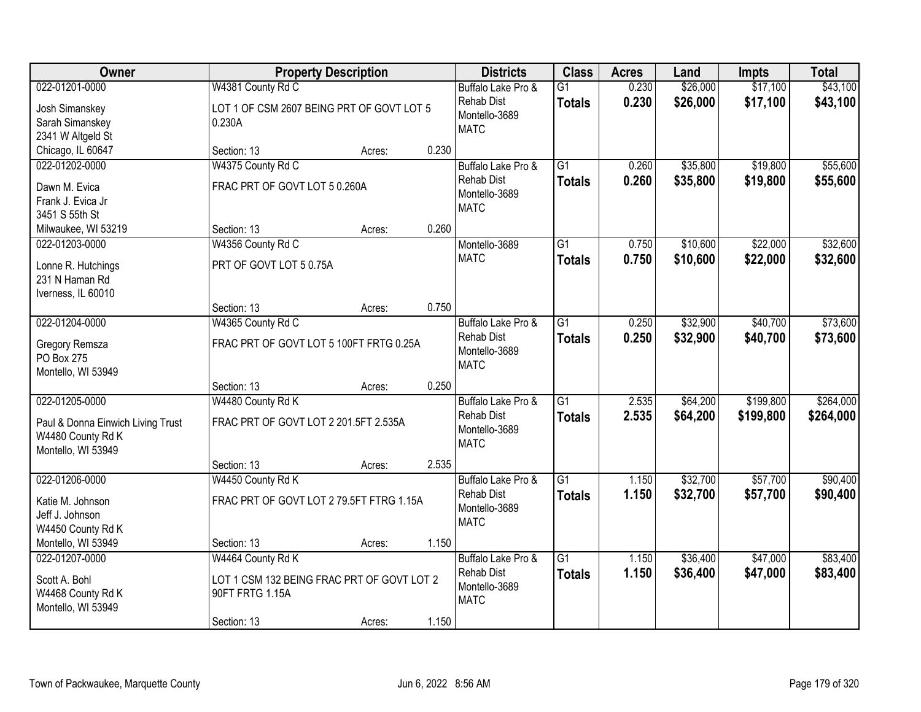| Owner                                |                                            | <b>Property Description</b> |       | <b>Districts</b>                        | <b>Class</b>    | <b>Acres</b> | Land     | <b>Impts</b> | <b>Total</b> |
|--------------------------------------|--------------------------------------------|-----------------------------|-------|-----------------------------------------|-----------------|--------------|----------|--------------|--------------|
| 022-01201-0000                       | W4381 County Rd C                          |                             |       | Buffalo Lake Pro &                      | $\overline{G1}$ | 0.230        | \$26,000 | \$17,100     | \$43,100     |
| Josh Simanskey                       | LOT 1 OF CSM 2607 BEING PRT OF GOVT LOT 5  |                             |       | <b>Rehab Dist</b>                       | <b>Totals</b>   | 0.230        | \$26,000 | \$17,100     | \$43,100     |
| Sarah Simanskey                      | 0.230A                                     |                             |       | Montello-3689                           |                 |              |          |              |              |
| 2341 W Altgeld St                    |                                            |                             |       | <b>MATC</b>                             |                 |              |          |              |              |
| Chicago, IL 60647                    | Section: 13                                | Acres:                      | 0.230 |                                         |                 |              |          |              |              |
| 022-01202-0000                       | W4375 County Rd C                          |                             |       | Buffalo Lake Pro &                      | $\overline{G1}$ | 0.260        | \$35,800 | \$19,800     | \$55,600     |
| Dawn M. Evica                        | FRAC PRT OF GOVT LOT 5 0.260A              |                             |       | <b>Rehab Dist</b>                       | <b>Totals</b>   | 0.260        | \$35,800 | \$19,800     | \$55,600     |
| Frank J. Evica Jr                    |                                            |                             |       | Montello-3689                           |                 |              |          |              |              |
| 3451 S 55th St                       |                                            |                             |       | <b>MATC</b>                             |                 |              |          |              |              |
| Milwaukee, WI 53219                  | Section: 13                                | Acres:                      | 0.260 |                                         |                 |              |          |              |              |
| 022-01203-0000                       | W4356 County Rd C                          |                             |       | Montello-3689                           | G1              | 0.750        | \$10,600 | \$22,000     | \$32,600     |
|                                      |                                            |                             |       | <b>MATC</b>                             | <b>Totals</b>   | 0.750        | \$10,600 | \$22,000     | \$32,600     |
| Lonne R. Hutchings                   | PRT OF GOVT LOT 5 0.75A                    |                             |       |                                         |                 |              |          |              |              |
| 231 N Haman Rd<br>Iverness, IL 60010 |                                            |                             |       |                                         |                 |              |          |              |              |
|                                      | Section: 13                                | Acres:                      | 0.750 |                                         |                 |              |          |              |              |
| 022-01204-0000                       | W4365 County Rd C                          |                             |       | Buffalo Lake Pro &                      | $\overline{G1}$ | 0.250        | \$32,900 | \$40,700     | \$73,600     |
|                                      |                                            |                             |       | <b>Rehab Dist</b>                       | <b>Totals</b>   | 0.250        | \$32,900 | \$40,700     | \$73,600     |
| Gregory Remsza                       | FRAC PRT OF GOVT LOT 5 100FT FRTG 0.25A    |                             |       | Montello-3689                           |                 |              |          |              |              |
| PO Box 275                           |                                            |                             |       | <b>MATC</b>                             |                 |              |          |              |              |
| Montello, WI 53949                   |                                            |                             |       |                                         |                 |              |          |              |              |
|                                      | Section: 13                                | Acres:                      | 0.250 |                                         | $\overline{G1}$ |              |          |              |              |
| 022-01205-0000                       | W4480 County Rd K                          |                             |       | Buffalo Lake Pro &<br><b>Rehab Dist</b> |                 | 2.535        | \$64,200 | \$199,800    | \$264,000    |
| Paul & Donna Einwich Living Trust    | FRAC PRT OF GOVT LOT 2 201.5FT 2.535A      |                             |       | Montello-3689                           | <b>Totals</b>   | 2.535        | \$64,200 | \$199,800    | \$264,000    |
| W4480 County Rd K                    |                                            |                             |       | <b>MATC</b>                             |                 |              |          |              |              |
| Montello, WI 53949                   |                                            |                             |       |                                         |                 |              |          |              |              |
|                                      | Section: 13                                | Acres:                      | 2.535 |                                         |                 |              |          |              |              |
| 022-01206-0000                       | W4450 County Rd K                          |                             |       | Buffalo Lake Pro &                      | $\overline{G1}$ | 1.150        | \$32,700 | \$57,700     | \$90,400     |
| Katie M. Johnson                     | FRAC PRT OF GOVT LOT 2 79.5FT FTRG 1.15A   |                             |       | <b>Rehab Dist</b>                       | <b>Totals</b>   | 1.150        | \$32,700 | \$57,700     | \$90,400     |
| Jeff J. Johnson                      |                                            |                             |       | Montello-3689                           |                 |              |          |              |              |
| W4450 County Rd K                    |                                            |                             |       | <b>MATC</b>                             |                 |              |          |              |              |
| Montello, WI 53949                   | Section: 13                                | Acres:                      | 1.150 |                                         |                 |              |          |              |              |
| 022-01207-0000                       | W4464 County Rd K                          |                             |       | Buffalo Lake Pro &                      | $\overline{G1}$ | 1.150        | \$36,400 | \$47,000     | \$83,400     |
| Scott A. Bohl                        | LOT 1 CSM 132 BEING FRAC PRT OF GOVT LOT 2 |                             |       | Rehab Dist                              | <b>Totals</b>   | 1.150        | \$36,400 | \$47,000     | \$83,400     |
| W4468 County Rd K                    | 90FT FRTG 1.15A                            |                             |       | Montello-3689                           |                 |              |          |              |              |
| Montello, WI 53949                   |                                            |                             |       | <b>MATC</b>                             |                 |              |          |              |              |
|                                      | Section: 13                                | Acres:                      | 1.150 |                                         |                 |              |          |              |              |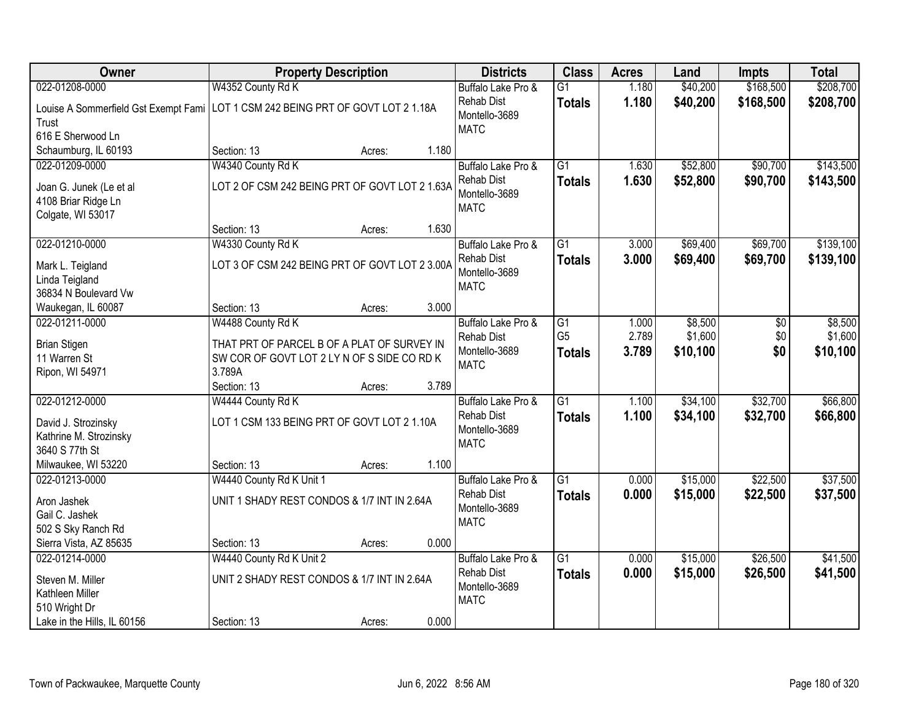| Owner                                                                             | <b>Property Description</b>                                                                                     | <b>Districts</b>                                                        | <b>Class</b>                          | <b>Acres</b>            | Land                           | Impts                | <b>Total</b>                   |
|-----------------------------------------------------------------------------------|-----------------------------------------------------------------------------------------------------------------|-------------------------------------------------------------------------|---------------------------------------|-------------------------|--------------------------------|----------------------|--------------------------------|
| 022-01208-0000                                                                    | W4352 County Rd K                                                                                               | Buffalo Lake Pro &                                                      | $\overline{G1}$                       | 1.180                   | \$40,200                       | \$168,500            | \$208,700                      |
| Trust<br>616 E Sherwood Ln                                                        | Louise A Sommerfield Gst Exempt Fami   LOT 1 CSM 242 BEING PRT OF GOVT LOT 2 1.18A                              | <b>Rehab Dist</b><br>Montello-3689<br><b>MATC</b>                       | <b>Totals</b>                         | 1.180                   | \$40,200                       | \$168,500            | \$208,700                      |
| Schaumburg, IL 60193                                                              | 1.180<br>Section: 13<br>Acres:                                                                                  |                                                                         |                                       |                         |                                |                      |                                |
| 022-01209-0000<br>Joan G. Junek (Le et al<br>4108 Briar Ridge Ln                  | W4340 County Rd K<br>LOT 2 OF CSM 242 BEING PRT OF GOVT LOT 2 1.63A                                             | Buffalo Lake Pro &<br><b>Rehab Dist</b><br>Montello-3689<br><b>MATC</b> | $\overline{G1}$<br><b>Totals</b>      | 1.630<br>1.630          | \$52,800<br>\$52,800           | \$90,700<br>\$90,700 | \$143,500<br>\$143,500         |
| Colgate, WI 53017                                                                 | 1.630<br>Section: 13<br>Acres:                                                                                  |                                                                         |                                       |                         |                                |                      |                                |
| 022-01210-0000                                                                    | W4330 County Rd K                                                                                               | Buffalo Lake Pro &                                                      | $\overline{G1}$                       | 3.000                   | \$69,400                       | \$69,700             | \$139,100                      |
| Mark L. Teigland<br>Linda Teigland<br>36834 N Boulevard Vw                        | LOT 3 OF CSM 242 BEING PRT OF GOVT LOT 2 3.00A                                                                  | <b>Rehab Dist</b><br>Montello-3689<br><b>MATC</b>                       | <b>Totals</b>                         | 3.000                   | \$69,400                       | \$69,700             | \$139,100                      |
| Waukegan, IL 60087                                                                | 3.000<br>Section: 13<br>Acres:                                                                                  |                                                                         |                                       |                         |                                |                      |                                |
| 022-01211-0000<br><b>Brian Stigen</b><br>11 Warren St                             | W4488 County Rd K<br>THAT PRT OF PARCEL B OF A PLAT OF SURVEY IN<br>SW COR OF GOVT LOT 2 LY N OF S SIDE CO RD K | Buffalo Lake Pro &<br><b>Rehab Dist</b><br>Montello-3689<br><b>MATC</b> | G1<br>G <sub>5</sub><br><b>Totals</b> | 1.000<br>2.789<br>3.789 | \$8,500<br>\$1,600<br>\$10,100 | \$0<br>\$0<br>\$0    | \$8,500<br>\$1,600<br>\$10,100 |
| Ripon, WI 54971                                                                   | 3.789A<br>3.789<br>Section: 13<br>Acres:                                                                        |                                                                         |                                       |                         |                                |                      |                                |
| 022-01212-0000<br>David J. Strozinsky<br>Kathrine M. Strozinsky<br>3640 S 77th St | W4444 County Rd K<br>LOT 1 CSM 133 BEING PRT OF GOVT LOT 2 1.10A                                                | Buffalo Lake Pro &<br><b>Rehab Dist</b><br>Montello-3689<br><b>MATC</b> | $\overline{G1}$<br><b>Totals</b>      | 1.100<br>1.100          | \$34,100<br>\$34,100           | \$32,700<br>\$32,700 | \$66,800<br>\$66,800           |
| Milwaukee, WI 53220                                                               | 1.100<br>Section: 13<br>Acres:                                                                                  |                                                                         |                                       |                         |                                |                      |                                |
| 022-01213-0000                                                                    | W4440 County Rd K Unit 1                                                                                        | Buffalo Lake Pro &                                                      | $\overline{G1}$                       | 0.000                   | \$15,000                       | \$22,500             | \$37,500                       |
| Aron Jashek<br>Gail C. Jashek<br>502 S Sky Ranch Rd                               | UNIT 1 SHADY REST CONDOS & 1/7 INT IN 2.64A                                                                     | <b>Rehab Dist</b><br>Montello-3689<br><b>MATC</b>                       | <b>Totals</b>                         | 0.000                   | \$15,000                       | \$22,500             | \$37,500                       |
| Sierra Vista, AZ 85635                                                            | 0.000<br>Section: 13<br>Acres:                                                                                  |                                                                         |                                       |                         |                                |                      |                                |
| 022-01214-0000<br>Steven M. Miller<br>Kathleen Miller<br>510 Wright Dr            | W4440 County Rd K Unit 2<br>UNIT 2 SHADY REST CONDOS & 1/7 INT IN 2.64A                                         | Buffalo Lake Pro &<br><b>Rehab Dist</b><br>Montello-3689<br><b>MATC</b> | $\overline{G1}$<br><b>Totals</b>      | 0.000<br>0.000          | \$15,000<br>\$15,000           | \$26,500<br>\$26,500 | \$41,500<br>\$41,500           |
| Lake in the Hills, IL 60156                                                       | 0.000<br>Section: 13<br>Acres:                                                                                  |                                                                         |                                       |                         |                                |                      |                                |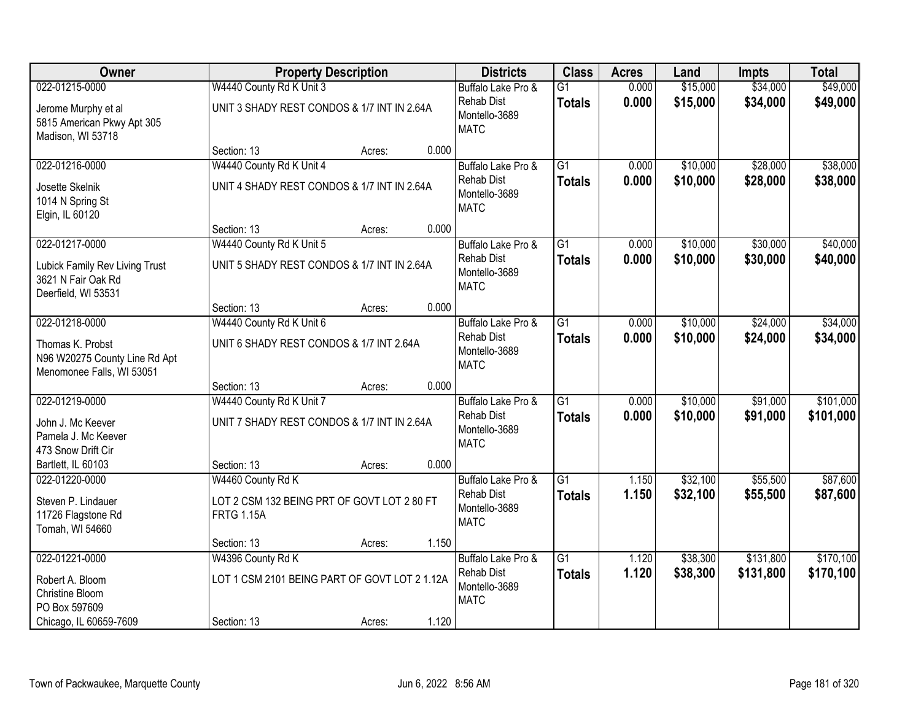| Owner                                                                          |                                                                  | <b>Property Description</b> |       | <b>Districts</b>                                  | <b>Class</b>    | <b>Acres</b> | Land     | <b>Impts</b> | <b>Total</b> |
|--------------------------------------------------------------------------------|------------------------------------------------------------------|-----------------------------|-------|---------------------------------------------------|-----------------|--------------|----------|--------------|--------------|
| 022-01215-0000                                                                 | W4440 County Rd K Unit 3                                         |                             |       | Buffalo Lake Pro &                                | $\overline{G1}$ | 0.000        | \$15,000 | \$34,000     | \$49,000     |
| Jerome Murphy et al<br>5815 American Pkwy Apt 305<br>Madison, WI 53718         | UNIT 3 SHADY REST CONDOS & 1/7 INT IN 2.64A                      |                             |       | <b>Rehab Dist</b><br>Montello-3689<br><b>MATC</b> | <b>Totals</b>   | 0.000        | \$15,000 | \$34,000     | \$49,000     |
|                                                                                | Section: 13                                                      | Acres:                      | 0.000 |                                                   |                 |              |          |              |              |
| 022-01216-0000                                                                 | W4440 County Rd K Unit 4                                         |                             |       | Buffalo Lake Pro &                                | $\overline{G1}$ | 0.000        | \$10,000 | \$28,000     | \$38,000     |
| Josette Skelnik<br>1014 N Spring St<br>Elgin, IL 60120                         | UNIT 4 SHADY REST CONDOS & 1/7 INT IN 2.64A                      |                             |       | <b>Rehab Dist</b><br>Montello-3689<br><b>MATC</b> | <b>Totals</b>   | 0.000        | \$10,000 | \$28,000     | \$38,000     |
|                                                                                | Section: 13                                                      | Acres:                      | 0.000 |                                                   |                 |              |          |              |              |
| 022-01217-0000                                                                 | W4440 County Rd K Unit 5                                         |                             |       | Buffalo Lake Pro &                                | G1              | 0.000        | \$10,000 | \$30,000     | \$40,000     |
| Lubick Family Rev Living Trust<br>3621 N Fair Oak Rd<br>Deerfield, WI 53531    | UNIT 5 SHADY REST CONDOS & 1/7 INT IN 2.64A                      |                             |       | <b>Rehab Dist</b><br>Montello-3689<br><b>MATC</b> | <b>Totals</b>   | 0.000        | \$10,000 | \$30,000     | \$40,000     |
|                                                                                | Section: 13                                                      | Acres:                      | 0.000 |                                                   |                 |              |          |              |              |
| 022-01218-0000                                                                 | W4440 County Rd K Unit 6                                         |                             |       | Buffalo Lake Pro &                                | $\overline{G1}$ | 0.000        | \$10,000 | \$24,000     | \$34,000     |
| Thomas K. Probst<br>N96 W20275 County Line Rd Apt<br>Menomonee Falls, WI 53051 | UNIT 6 SHADY REST CONDOS & 1/7 INT 2.64A                         |                             |       | <b>Rehab Dist</b><br>Montello-3689<br><b>MATC</b> | <b>Totals</b>   | 0.000        | \$10,000 | \$24,000     | \$34,000     |
|                                                                                | Section: 13                                                      | Acres:                      | 0.000 |                                                   |                 |              |          |              |              |
| 022-01219-0000                                                                 | W4440 County Rd K Unit 7                                         |                             |       | Buffalo Lake Pro &                                | $\overline{G1}$ | 0.000        | \$10,000 | \$91,000     | \$101,000    |
| John J. Mc Keever<br>Pamela J. Mc Keever<br>473 Snow Drift Cir                 | UNIT 7 SHADY REST CONDOS & 1/7 INT IN 2.64A                      |                             |       | <b>Rehab Dist</b><br>Montello-3689<br><b>MATC</b> | <b>Totals</b>   | 0.000        | \$10,000 | \$91,000     | \$101,000    |
| Bartlett, IL 60103                                                             | Section: 13                                                      | Acres:                      | 0.000 |                                                   |                 |              |          |              |              |
| 022-01220-0000                                                                 | W4460 County Rd K                                                |                             |       | Buffalo Lake Pro &                                | $\overline{G1}$ | 1.150        | \$32,100 | \$55,500     | \$87,600     |
| Steven P. Lindauer<br>11726 Flagstone Rd<br>Tomah, WI 54660                    | LOT 2 CSM 132 BEING PRT OF GOVT LOT 2 80 FT<br><b>FRTG 1.15A</b> |                             |       | <b>Rehab Dist</b><br>Montello-3689<br><b>MATC</b> | <b>Totals</b>   | 1.150        | \$32,100 | \$55,500     | \$87,600     |
|                                                                                | Section: 13                                                      | Acres:                      | 1.150 |                                                   |                 |              |          |              |              |
| 022-01221-0000                                                                 | W4396 County Rd K                                                |                             |       | Buffalo Lake Pro &                                | $\overline{G1}$ | 1.120        | \$38,300 | \$131,800    | \$170,100    |
| Robert A. Bloom<br>Christine Bloom<br>PO Box 597609                            | LOT 1 CSM 2101 BEING PART OF GOVT LOT 2 1.12A                    |                             |       | <b>Rehab Dist</b><br>Montello-3689<br><b>MATC</b> | <b>Totals</b>   | 1.120        | \$38,300 | \$131,800    | \$170,100    |
| Chicago, IL 60659-7609                                                         | Section: 13                                                      | Acres:                      | 1.120 |                                                   |                 |              |          |              |              |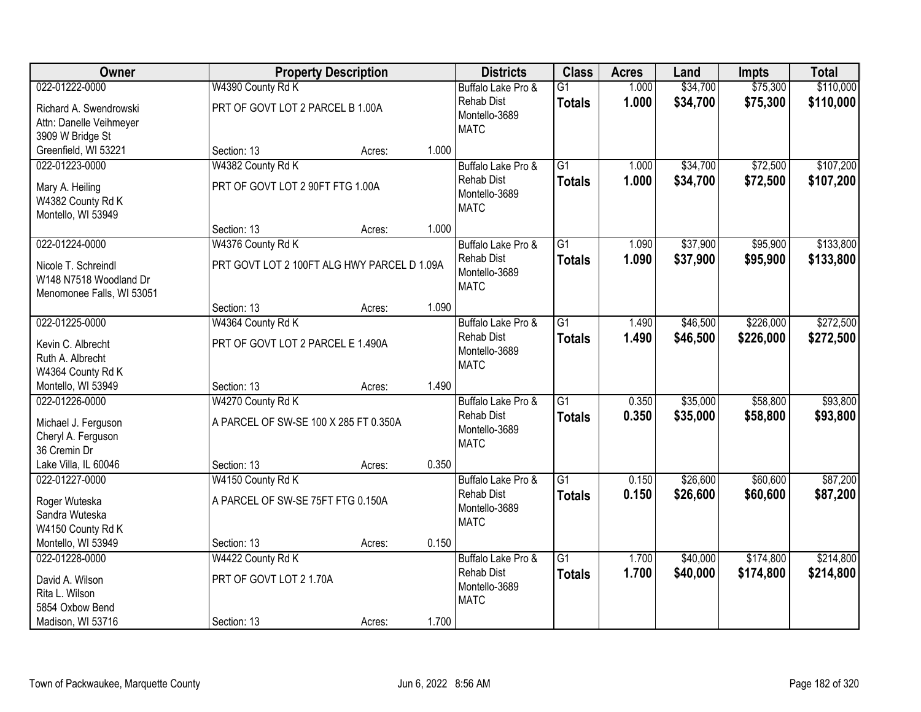| Owner                                     |                                             | <b>Property Description</b> |       | <b>Districts</b>             | <b>Class</b>    | <b>Acres</b> | Land     | <b>Impts</b> | <b>Total</b> |
|-------------------------------------------|---------------------------------------------|-----------------------------|-------|------------------------------|-----------------|--------------|----------|--------------|--------------|
| 022-01222-0000                            | W4390 County Rd K                           |                             |       | Buffalo Lake Pro &           | $\overline{G1}$ | 1.000        | \$34,700 | \$75,300     | \$110,000    |
| Richard A. Swendrowski                    | PRT OF GOVT LOT 2 PARCEL B 1.00A            |                             |       | <b>Rehab Dist</b>            | <b>Totals</b>   | 1.000        | \$34,700 | \$75,300     | \$110,000    |
| Attn: Danelle Veihmeyer                   |                                             |                             |       | Montello-3689<br><b>MATC</b> |                 |              |          |              |              |
| 3909 W Bridge St                          |                                             |                             |       |                              |                 |              |          |              |              |
| Greenfield, WI 53221                      | Section: 13                                 | Acres:                      | 1.000 |                              |                 |              |          |              |              |
| 022-01223-0000                            | W4382 County Rd K                           |                             |       | Buffalo Lake Pro &           | $\overline{G1}$ | 1.000        | \$34,700 | \$72,500     | \$107,200    |
| Mary A. Heiling                           | PRT OF GOVT LOT 2 90FT FTG 1.00A            |                             |       | <b>Rehab Dist</b>            | <b>Totals</b>   | 1.000        | \$34,700 | \$72,500     | \$107,200    |
| W4382 County Rd K                         |                                             |                             |       | Montello-3689                |                 |              |          |              |              |
| Montello, WI 53949                        |                                             |                             |       | <b>MATC</b>                  |                 |              |          |              |              |
|                                           | Section: 13                                 | Acres:                      | 1.000 |                              |                 |              |          |              |              |
| 022-01224-0000                            | W4376 County Rd K                           |                             |       | Buffalo Lake Pro &           | $\overline{G1}$ | 1.090        | \$37,900 | \$95,900     | \$133,800    |
| Nicole T. Schreindl                       | PRT GOVT LOT 2 100FT ALG HWY PARCEL D 1.09A |                             |       | <b>Rehab Dist</b>            | <b>Totals</b>   | 1.090        | \$37,900 | \$95,900     | \$133,800    |
| W148 N7518 Woodland Dr                    |                                             |                             |       | Montello-3689                |                 |              |          |              |              |
| Menomonee Falls, WI 53051                 |                                             |                             |       | <b>MATC</b>                  |                 |              |          |              |              |
|                                           | Section: 13                                 | Acres:                      | 1.090 |                              |                 |              |          |              |              |
| 022-01225-0000                            | W4364 County Rd K                           |                             |       | Buffalo Lake Pro &           | G1              | 1.490        | \$46,500 | \$226,000    | \$272,500    |
| Kevin C. Albrecht                         | PRT OF GOVT LOT 2 PARCEL E 1.490A           |                             |       | <b>Rehab Dist</b>            | <b>Totals</b>   | 1.490        | \$46,500 | \$226,000    | \$272,500    |
| Ruth A. Albrecht                          |                                             |                             |       | Montello-3689                |                 |              |          |              |              |
| W4364 County Rd K                         |                                             |                             |       | <b>MATC</b>                  |                 |              |          |              |              |
| Montello, WI 53949                        | Section: 13                                 | Acres:                      | 1.490 |                              |                 |              |          |              |              |
| 022-01226-0000                            | W4270 County Rd K                           |                             |       | Buffalo Lake Pro &           | $\overline{G1}$ | 0.350        | \$35,000 | \$58,800     | \$93,800     |
|                                           | A PARCEL OF SW-SE 100 X 285 FT 0.350A       |                             |       | <b>Rehab Dist</b>            | <b>Totals</b>   | 0.350        | \$35,000 | \$58,800     | \$93,800     |
| Michael J. Ferguson<br>Cheryl A. Ferguson |                                             |                             |       | Montello-3689                |                 |              |          |              |              |
| 36 Cremin Dr                              |                                             |                             |       | <b>MATC</b>                  |                 |              |          |              |              |
| Lake Villa, IL 60046                      | Section: 13                                 | Acres:                      | 0.350 |                              |                 |              |          |              |              |
| 022-01227-0000                            | W4150 County Rd K                           |                             |       | Buffalo Lake Pro &           | $\overline{G1}$ | 0.150        | \$26,600 | \$60,600     | \$87,200     |
|                                           |                                             |                             |       | <b>Rehab Dist</b>            | <b>Totals</b>   | 0.150        | \$26,600 | \$60,600     | \$87,200     |
| Roger Wuteska<br>Sandra Wuteska           | A PARCEL OF SW-SE 75FT FTG 0.150A           |                             |       | Montello-3689                |                 |              |          |              |              |
| W4150 County Rd K                         |                                             |                             |       | <b>MATC</b>                  |                 |              |          |              |              |
| Montello, WI 53949                        | Section: 13                                 | Acres:                      | 0.150 |                              |                 |              |          |              |              |
| 022-01228-0000                            | W4422 County Rd K                           |                             |       | Buffalo Lake Pro &           | $\overline{G1}$ | 1.700        | \$40,000 | \$174,800    | \$214,800    |
|                                           |                                             |                             |       | <b>Rehab Dist</b>            | <b>Totals</b>   | 1.700        | \$40,000 | \$174,800    | \$214,800    |
| David A. Wilson                           | PRT OF GOVT LOT 2 1.70A                     |                             |       | Montello-3689                |                 |              |          |              |              |
| Rita L. Wilson                            |                                             |                             |       | <b>MATC</b>                  |                 |              |          |              |              |
| 5854 Oxbow Bend                           |                                             |                             |       |                              |                 |              |          |              |              |
| Madison, WI 53716                         | Section: 13                                 | Acres:                      | 1.700 |                              |                 |              |          |              |              |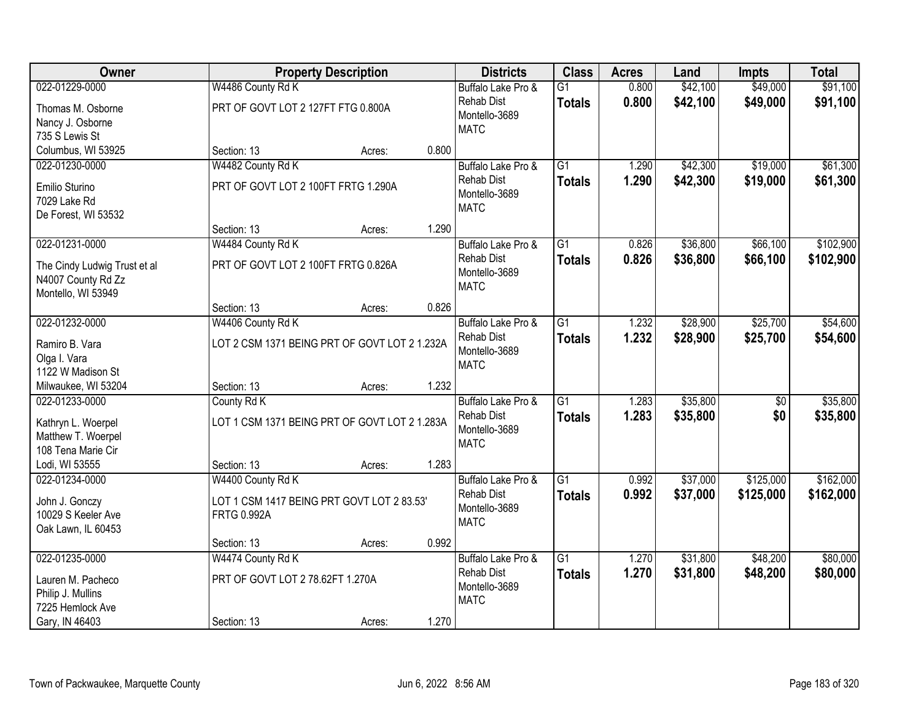| Owner                                                                    |                                                                  | <b>Property Description</b> |       | <b>Districts</b>                                  | <b>Class</b>    | <b>Acres</b> | Land     | <b>Impts</b>    | <b>Total</b> |
|--------------------------------------------------------------------------|------------------------------------------------------------------|-----------------------------|-------|---------------------------------------------------|-----------------|--------------|----------|-----------------|--------------|
| 022-01229-0000                                                           | W4486 County Rd K                                                |                             |       | Buffalo Lake Pro &                                | $\overline{G1}$ | 0.800        | \$42,100 | \$49,000        | \$91,100     |
| Thomas M. Osborne<br>Nancy J. Osborne                                    | PRT OF GOVT LOT 2 127FT FTG 0.800A                               |                             |       | <b>Rehab Dist</b><br>Montello-3689                | <b>Totals</b>   | 0.800        | \$42,100 | \$49,000        | \$91,100     |
| 735 S Lewis St                                                           |                                                                  |                             |       | <b>MATC</b>                                       |                 |              |          |                 |              |
| Columbus, WI 53925                                                       | Section: 13                                                      | Acres:                      | 0.800 |                                                   |                 |              |          |                 |              |
| 022-01230-0000                                                           | W4482 County Rd K                                                |                             |       | Buffalo Lake Pro &                                | $\overline{G1}$ | 1.290        | \$42,300 | \$19,000        | \$61,300     |
| Emilio Sturino<br>7029 Lake Rd                                           | PRT OF GOVT LOT 2 100FT FRTG 1.290A                              |                             |       | <b>Rehab Dist</b><br>Montello-3689<br><b>MATC</b> | <b>Totals</b>   | 1.290        | \$42,300 | \$19,000        | \$61,300     |
| De Forest, WI 53532                                                      | Section: 13                                                      | Acres:                      | 1.290 |                                                   |                 |              |          |                 |              |
| 022-01231-0000                                                           | W4484 County Rd K                                                |                             |       | Buffalo Lake Pro &                                | G1              | 0.826        | \$36,800 | \$66,100        | \$102,900    |
| The Cindy Ludwig Trust et al<br>N4007 County Rd Zz<br>Montello, WI 53949 | PRT OF GOVT LOT 2 100FT FRTG 0.826A                              |                             |       | <b>Rehab Dist</b><br>Montello-3689<br><b>MATC</b> | <b>Totals</b>   | 0.826        | \$36,800 | \$66,100        | \$102,900    |
|                                                                          | Section: 13                                                      | Acres:                      | 0.826 |                                                   |                 |              |          |                 |              |
| 022-01232-0000                                                           | W4406 County Rd K                                                |                             |       | Buffalo Lake Pro &                                | G1              | 1.232        | \$28,900 | \$25,700        | \$54,600     |
| Ramiro B. Vara<br>Olga I. Vara<br>1122 W Madison St                      | LOT 2 CSM 1371 BEING PRT OF GOVT LOT 2 1.232A                    |                             |       | <b>Rehab Dist</b><br>Montello-3689<br><b>MATC</b> | <b>Totals</b>   | 1.232        | \$28,900 | \$25,700        | \$54,600     |
| Milwaukee, WI 53204                                                      | Section: 13                                                      | Acres:                      | 1.232 |                                                   |                 |              |          |                 |              |
| 022-01233-0000                                                           | County Rd K                                                      |                             |       | Buffalo Lake Pro &                                | $\overline{G1}$ | 1.283        | \$35,800 | $\overline{50}$ | \$35,800     |
| Kathryn L. Woerpel<br>Matthew T. Woerpel<br>108 Tena Marie Cir           | LOT 1 CSM 1371 BEING PRT OF GOVT LOT 2 1.283A                    |                             |       | <b>Rehab Dist</b><br>Montello-3689<br><b>MATC</b> | <b>Totals</b>   | 1.283        | \$35,800 | \$0             | \$35,800     |
| Lodi, WI 53555                                                           | Section: 13                                                      | Acres:                      | 1.283 |                                                   |                 |              |          |                 |              |
| 022-01234-0000                                                           | W4400 County Rd K                                                |                             |       | Buffalo Lake Pro &                                | $\overline{G1}$ | 0.992        | \$37,000 | \$125,000       | \$162,000    |
| John J. Gonczy<br>10029 S Keeler Ave<br>Oak Lawn, IL 60453               | LOT 1 CSM 1417 BEING PRT GOVT LOT 2 83.53'<br><b>FRTG 0.992A</b> |                             |       | <b>Rehab Dist</b><br>Montello-3689<br><b>MATC</b> | <b>Totals</b>   | 0.992        | \$37,000 | \$125,000       | \$162,000    |
|                                                                          | Section: 13                                                      | Acres:                      | 0.992 |                                                   |                 |              |          |                 |              |
| 022-01235-0000                                                           | W4474 County Rd K                                                |                             |       | Buffalo Lake Pro &                                | $\overline{G1}$ | 1.270        | \$31,800 | \$48,200        | \$80,000     |
| Lauren M. Pacheco<br>Philip J. Mullins<br>7225 Hemlock Ave               | PRT OF GOVT LOT 2 78.62FT 1.270A                                 |                             |       | <b>Rehab Dist</b><br>Montello-3689<br><b>MATC</b> | <b>Totals</b>   | 1.270        | \$31,800 | \$48,200        | \$80,000     |
| Gary, IN 46403                                                           | Section: 13                                                      | Acres:                      | 1.270 |                                                   |                 |              |          |                 |              |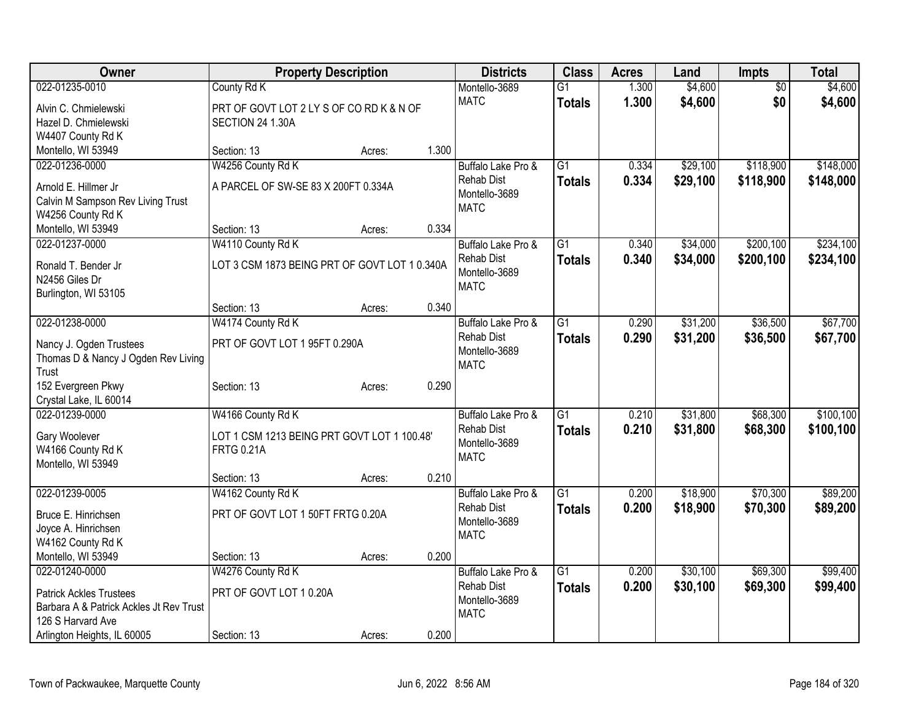| <b>Owner</b>                                 | <b>Property Description</b>                   |        |       | <b>Districts</b>   | <b>Class</b>    | <b>Acres</b> | Land     | Impts           | <b>Total</b> |
|----------------------------------------------|-----------------------------------------------|--------|-------|--------------------|-----------------|--------------|----------|-----------------|--------------|
| 022-01235-0010                               | County Rd K                                   |        |       | Montello-3689      | $\overline{G1}$ | 1.300        | \$4,600  | $\overline{50}$ | \$4,600      |
| Alvin C. Chmielewski                         | PRT OF GOVT LOT 2 LY S OF CO RD K & N OF      |        |       | <b>MATC</b>        | <b>Totals</b>   | 1.300        | \$4,600  | \$0             | \$4,600      |
| Hazel D. Chmielewski                         | SECTION 24 1.30A                              |        |       |                    |                 |              |          |                 |              |
| W4407 County Rd K                            |                                               |        |       |                    |                 |              |          |                 |              |
| Montello, WI 53949                           | Section: 13                                   | Acres: | 1.300 |                    |                 |              |          |                 |              |
| 022-01236-0000                               | W4256 County Rd K                             |        |       | Buffalo Lake Pro & | G1              | 0.334        | \$29,100 | \$118,900       | \$148,000    |
| Arnold E. Hillmer Jr                         | A PARCEL OF SW-SE 83 X 200FT 0.334A           |        |       | <b>Rehab Dist</b>  | <b>Totals</b>   | 0.334        | \$29,100 | \$118,900       | \$148,000    |
| Calvin M Sampson Rev Living Trust            |                                               |        |       | Montello-3689      |                 |              |          |                 |              |
| W4256 County Rd K                            |                                               |        |       | <b>MATC</b>        |                 |              |          |                 |              |
| Montello, WI 53949                           | Section: 13                                   | Acres: | 0.334 |                    |                 |              |          |                 |              |
| 022-01237-0000                               | W4110 County Rd K                             |        |       | Buffalo Lake Pro & | $\overline{G1}$ | 0.340        | \$34,000 | \$200,100       | \$234,100    |
| Ronald T. Bender Jr                          | LOT 3 CSM 1873 BEING PRT OF GOVT LOT 1 0.340A |        |       | <b>Rehab Dist</b>  | <b>Totals</b>   | 0.340        | \$34,000 | \$200,100       | \$234,100    |
| N2456 Giles Dr                               |                                               |        |       | Montello-3689      |                 |              |          |                 |              |
| Burlington, WI 53105                         |                                               |        |       | <b>MATC</b>        |                 |              |          |                 |              |
|                                              | Section: 13                                   | Acres: | 0.340 |                    |                 |              |          |                 |              |
| 022-01238-0000                               | W4174 County Rd K                             |        |       | Buffalo Lake Pro & | $\overline{G1}$ | 0.290        | \$31,200 | \$36,500        | \$67,700     |
|                                              |                                               |        |       | <b>Rehab Dist</b>  | <b>Totals</b>   | 0.290        | \$31,200 | \$36,500        | \$67,700     |
| Nancy J. Ogden Trustees                      | PRT OF GOVT LOT 1 95FT 0.290A                 |        |       | Montello-3689      |                 |              |          |                 |              |
| Thomas D & Nancy J Ogden Rev Living<br>Trust |                                               |        |       | <b>MATC</b>        |                 |              |          |                 |              |
| 152 Evergreen Pkwy                           | Section: 13                                   | Acres: | 0.290 |                    |                 |              |          |                 |              |
| Crystal Lake, IL 60014                       |                                               |        |       |                    |                 |              |          |                 |              |
| 022-01239-0000                               | W4166 County Rd K                             |        |       | Buffalo Lake Pro & | $\overline{G1}$ | 0.210        | \$31,800 | \$68,300        | \$100,100    |
|                                              |                                               |        |       | <b>Rehab Dist</b>  | <b>Totals</b>   | 0.210        | \$31,800 | \$68,300        | \$100,100    |
| Gary Woolever                                | LOT 1 CSM 1213 BEING PRT GOVT LOT 1 100.48'   |        |       | Montello-3689      |                 |              |          |                 |              |
| W4166 County Rd K<br>Montello, WI 53949      | <b>FRTG 0.21A</b>                             |        |       | <b>MATC</b>        |                 |              |          |                 |              |
|                                              | Section: 13                                   | Acres: | 0.210 |                    |                 |              |          |                 |              |
| 022-01239-0005                               | W4162 County Rd K                             |        |       | Buffalo Lake Pro & | $\overline{G1}$ | 0.200        | \$18,900 | \$70,300        | \$89,200     |
|                                              |                                               |        |       | <b>Rehab Dist</b>  | <b>Totals</b>   | 0.200        | \$18,900 | \$70,300        | \$89,200     |
| Bruce E. Hinrichsen                          | PRT OF GOVT LOT 1 50FT FRTG 0.20A             |        |       | Montello-3689      |                 |              |          |                 |              |
| Joyce A. Hinrichsen                          |                                               |        |       | <b>MATC</b>        |                 |              |          |                 |              |
| W4162 County Rd K                            |                                               |        | 0.200 |                    |                 |              |          |                 |              |
| Montello, WI 53949<br>022-01240-0000         | Section: 13<br>W4276 County Rd K              | Acres: |       | Buffalo Lake Pro & | $\overline{G1}$ | 0.200        | \$30,100 | \$69,300        | \$99,400     |
|                                              |                                               |        |       | <b>Rehab Dist</b>  |                 | 0.200        | \$30,100 |                 |              |
| <b>Patrick Ackles Trustees</b>               | PRT OF GOVT LOT 10.20A                        |        |       | Montello-3689      | <b>Totals</b>   |              |          | \$69,300        | \$99,400     |
| Barbara A & Patrick Ackles Jt Rev Trust      |                                               |        |       | <b>MATC</b>        |                 |              |          |                 |              |
| 126 S Harvard Ave                            |                                               |        |       |                    |                 |              |          |                 |              |
| Arlington Heights, IL 60005                  | Section: 13                                   | Acres: | 0.200 |                    |                 |              |          |                 |              |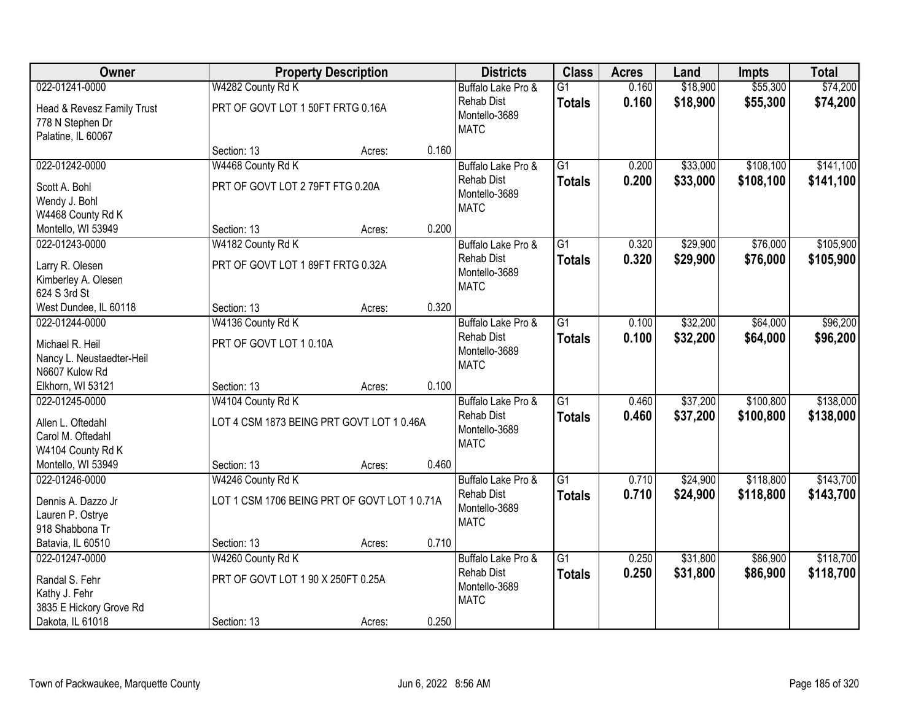| Owner                                                                |                                              | <b>Property Description</b> |       | <b>Districts</b>                                  | <b>Class</b>    | <b>Acres</b> | Land     | <b>Impts</b> | <b>Total</b> |
|----------------------------------------------------------------------|----------------------------------------------|-----------------------------|-------|---------------------------------------------------|-----------------|--------------|----------|--------------|--------------|
| 022-01241-0000                                                       | W4282 County Rd K                            |                             |       | Buffalo Lake Pro &                                | $\overline{G1}$ | 0.160        | \$18,900 | \$55,300     | \$74,200     |
| Head & Revesz Family Trust<br>778 N Stephen Dr<br>Palatine, IL 60067 | PRT OF GOVT LOT 1 50FT FRTG 0.16A            |                             |       | <b>Rehab Dist</b><br>Montello-3689<br><b>MATC</b> | <b>Totals</b>   | 0.160        | \$18,900 | \$55,300     | \$74,200     |
|                                                                      | Section: 13                                  | Acres:                      | 0.160 |                                                   |                 |              |          |              |              |
| 022-01242-0000                                                       | W4468 County Rd K                            |                             |       | Buffalo Lake Pro &                                | $\overline{G1}$ | 0.200        | \$33,000 | \$108,100    | \$141,100    |
| Scott A. Bohl<br>Wendy J. Bohl<br>W4468 County Rd K                  | PRT OF GOVT LOT 279FT FTG 0.20A              |                             |       | <b>Rehab Dist</b><br>Montello-3689<br><b>MATC</b> | <b>Totals</b>   | 0.200        | \$33,000 | \$108,100    | \$141,100    |
| Montello, WI 53949                                                   | Section: 13                                  | Acres:                      | 0.200 |                                                   |                 |              |          |              |              |
| 022-01243-0000                                                       | W4182 County Rd K                            |                             |       | Buffalo Lake Pro &                                | $\overline{G1}$ | 0.320        | \$29,900 | \$76,000     | \$105,900    |
| Larry R. Olesen<br>Kimberley A. Olesen<br>624 S 3rd St               | PRT OF GOVT LOT 1 89FT FRTG 0.32A            |                             |       | <b>Rehab Dist</b><br>Montello-3689<br><b>MATC</b> | <b>Totals</b>   | 0.320        | \$29,900 | \$76,000     | \$105,900    |
| West Dundee, IL 60118                                                | Section: 13                                  | Acres:                      | 0.320 |                                                   |                 |              |          |              |              |
| 022-01244-0000                                                       | W4136 County Rd K                            |                             |       | Buffalo Lake Pro &                                | $\overline{G1}$ | 0.100        | \$32,200 | \$64,000     | \$96,200     |
| Michael R. Heil<br>Nancy L. Neustaedter-Heil                         | PRT OF GOVT LOT 10.10A                       |                             |       | <b>Rehab Dist</b><br>Montello-3689                | <b>Totals</b>   | 0.100        | \$32,200 | \$64,000     | \$96,200     |
| N6607 Kulow Rd                                                       |                                              |                             |       | <b>MATC</b>                                       |                 |              |          |              |              |
| Elkhorn, WI 53121                                                    | Section: 13                                  | Acres:                      | 0.100 |                                                   |                 |              |          |              |              |
| 022-01245-0000                                                       | W4104 County Rd K                            |                             |       | Buffalo Lake Pro &                                | $\overline{G1}$ | 0.460        | \$37,200 | \$100,800    | \$138,000    |
| Allen L. Oftedahl                                                    | LOT 4 CSM 1873 BEING PRT GOVT LOT 1 0.46A    |                             |       | <b>Rehab Dist</b>                                 | <b>Totals</b>   | 0.460        | \$37,200 | \$100,800    | \$138,000    |
| Carol M. Oftedahl                                                    |                                              |                             |       | Montello-3689                                     |                 |              |          |              |              |
| W4104 County Rd K                                                    |                                              |                             |       | <b>MATC</b>                                       |                 |              |          |              |              |
| Montello, WI 53949                                                   | Section: 13                                  | Acres:                      | 0.460 |                                                   |                 |              |          |              |              |
| 022-01246-0000                                                       | W4246 County Rd K                            |                             |       | Buffalo Lake Pro &                                | $\overline{G1}$ | 0.710        | \$24,900 | \$118,800    | \$143,700    |
| Dennis A. Dazzo Jr                                                   | LOT 1 CSM 1706 BEING PRT OF GOVT LOT 1 0.71A |                             |       | <b>Rehab Dist</b>                                 | <b>Totals</b>   | 0.710        | \$24,900 | \$118,800    | \$143,700    |
| Lauren P. Ostrye                                                     |                                              |                             |       | Montello-3689                                     |                 |              |          |              |              |
| 918 Shabbona Tr                                                      |                                              |                             |       | <b>MATC</b>                                       |                 |              |          |              |              |
| Batavia, IL 60510                                                    | Section: 13                                  | Acres:                      | 0.710 |                                                   |                 |              |          |              |              |
| 022-01247-0000                                                       | W4260 County Rd K                            |                             |       | Buffalo Lake Pro &                                | $\overline{G1}$ | 0.250        | \$31,800 | \$86,900     | \$118,700    |
| Randal S. Fehr                                                       | PRT OF GOVT LOT 1 90 X 250FT 0.25A           |                             |       | <b>Rehab Dist</b>                                 | <b>Totals</b>   | 0.250        | \$31,800 | \$86,900     | \$118,700    |
| Kathy J. Fehr                                                        |                                              |                             |       | Montello-3689                                     |                 |              |          |              |              |
| 3835 E Hickory Grove Rd                                              |                                              |                             |       | <b>MATC</b>                                       |                 |              |          |              |              |
| Dakota, IL 61018                                                     | Section: 13                                  | Acres:                      | 0.250 |                                                   |                 |              |          |              |              |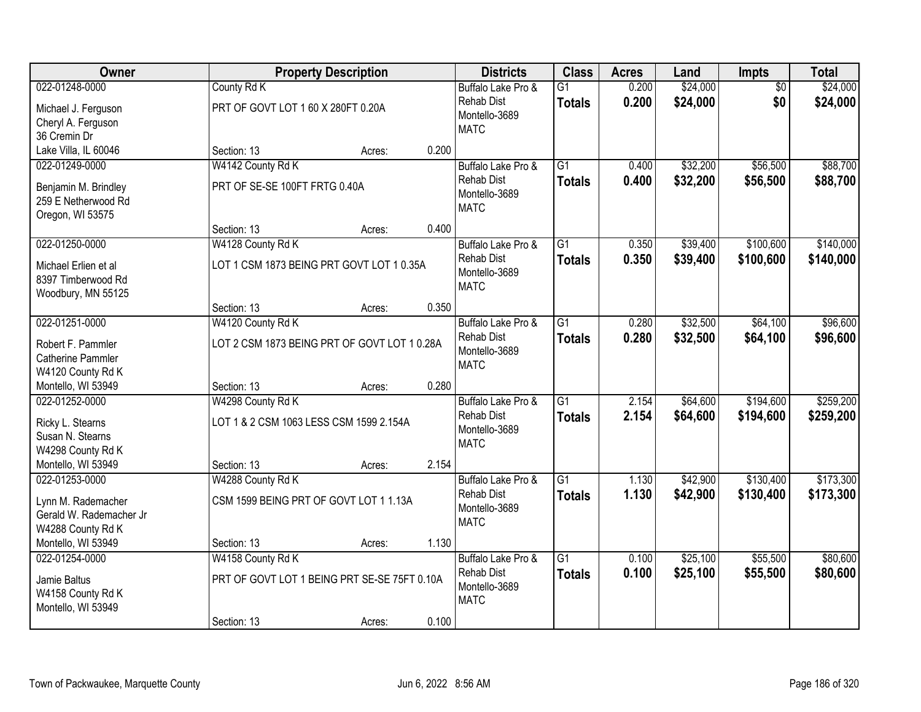| Owner                   |                                              | <b>Property Description</b> |       | <b>Districts</b>             | <b>Class</b>    | <b>Acres</b> | Land     | Impts           | <b>Total</b> |
|-------------------------|----------------------------------------------|-----------------------------|-------|------------------------------|-----------------|--------------|----------|-----------------|--------------|
| 022-01248-0000          | County Rd K                                  |                             |       | Buffalo Lake Pro &           | $\overline{G1}$ | 0.200        | \$24,000 | $\overline{50}$ | \$24,000     |
| Michael J. Ferguson     | PRT OF GOVT LOT 1 60 X 280FT 0.20A           |                             |       | <b>Rehab Dist</b>            | <b>Totals</b>   | 0.200        | \$24,000 | \$0             | \$24,000     |
| Cheryl A. Ferguson      |                                              |                             |       | Montello-3689<br><b>MATC</b> |                 |              |          |                 |              |
| 36 Cremin Dr            |                                              |                             |       |                              |                 |              |          |                 |              |
| Lake Villa, IL 60046    | Section: 13                                  | Acres:                      | 0.200 |                              |                 |              |          |                 |              |
| 022-01249-0000          | W4142 County Rd K                            |                             |       | Buffalo Lake Pro &           | $\overline{G1}$ | 0.400        | \$32,200 | \$56,500        | \$88,700     |
| Benjamin M. Brindley    | PRT OF SE-SE 100FT FRTG 0.40A                |                             |       | <b>Rehab Dist</b>            | <b>Totals</b>   | 0.400        | \$32,200 | \$56,500        | \$88,700     |
| 259 E Netherwood Rd     |                                              |                             |       | Montello-3689<br><b>MATC</b> |                 |              |          |                 |              |
| Oregon, WI 53575        |                                              |                             |       |                              |                 |              |          |                 |              |
|                         | Section: 13                                  | Acres:                      | 0.400 |                              |                 |              |          |                 |              |
| 022-01250-0000          | W4128 County Rd K                            |                             |       | Buffalo Lake Pro &           | G1              | 0.350        | \$39,400 | \$100,600       | \$140,000    |
| Michael Erlien et al    | LOT 1 CSM 1873 BEING PRT GOVT LOT 1 0.35A    |                             |       | <b>Rehab Dist</b>            | <b>Totals</b>   | 0.350        | \$39,400 | \$100,600       | \$140,000    |
| 8397 Timberwood Rd      |                                              |                             |       | Montello-3689<br><b>MATC</b> |                 |              |          |                 |              |
| Woodbury, MN 55125      |                                              |                             |       |                              |                 |              |          |                 |              |
|                         | Section: 13                                  | Acres:                      | 0.350 |                              |                 |              |          |                 |              |
| 022-01251-0000          | W4120 County Rd K                            |                             |       | Buffalo Lake Pro &           | G1              | 0.280        | \$32,500 | \$64,100        | \$96,600     |
| Robert F. Pammler       | LOT 2 CSM 1873 BEING PRT OF GOVT LOT 1 0.28A |                             |       | <b>Rehab Dist</b>            | <b>Totals</b>   | 0.280        | \$32,500 | \$64,100        | \$96,600     |
| Catherine Pammler       |                                              |                             |       | Montello-3689                |                 |              |          |                 |              |
| W4120 County Rd K       |                                              |                             |       | <b>MATC</b>                  |                 |              |          |                 |              |
| Montello, WI 53949      | Section: 13                                  | Acres:                      | 0.280 |                              |                 |              |          |                 |              |
| 022-01252-0000          | W4298 County Rd K                            |                             |       | Buffalo Lake Pro &           | $\overline{G1}$ | 2.154        | \$64,600 | \$194,600       | \$259,200    |
| Ricky L. Stearns        | LOT 1 & 2 CSM 1063 LESS CSM 1599 2.154A      |                             |       | <b>Rehab Dist</b>            | <b>Totals</b>   | 2.154        | \$64,600 | \$194,600       | \$259,200    |
| Susan N. Stearns        |                                              |                             |       | Montello-3689                |                 |              |          |                 |              |
| W4298 County Rd K       |                                              |                             |       | <b>MATC</b>                  |                 |              |          |                 |              |
| Montello, WI 53949      | Section: 13                                  | Acres:                      | 2.154 |                              |                 |              |          |                 |              |
| 022-01253-0000          | W4288 County Rd K                            |                             |       | Buffalo Lake Pro &           | $\overline{G1}$ | 1.130        | \$42,900 | \$130,400       | \$173,300    |
| Lynn M. Rademacher      | CSM 1599 BEING PRT OF GOVT LOT 1 1.13A       |                             |       | <b>Rehab Dist</b>            | <b>Totals</b>   | 1.130        | \$42,900 | \$130,400       | \$173,300    |
| Gerald W. Rademacher Jr |                                              |                             |       | Montello-3689                |                 |              |          |                 |              |
| W4288 County Rd K       |                                              |                             |       | <b>MATC</b>                  |                 |              |          |                 |              |
| Montello, WI 53949      | Section: 13                                  | Acres:                      | 1.130 |                              |                 |              |          |                 |              |
| 022-01254-0000          | W4158 County Rd K                            |                             |       | Buffalo Lake Pro &           | $\overline{G1}$ | 0.100        | \$25,100 | \$55,500        | \$80,600     |
| Jamie Baltus            | PRT OF GOVT LOT 1 BEING PRT SE-SE 75FT 0.10A |                             |       | <b>Rehab Dist</b>            | <b>Totals</b>   | 0.100        | \$25,100 | \$55,500        | \$80,600     |
| W4158 County Rd K       |                                              |                             |       | Montello-3689                |                 |              |          |                 |              |
| Montello, WI 53949      |                                              |                             |       | <b>MATC</b>                  |                 |              |          |                 |              |
|                         | Section: 13                                  | Acres:                      | 0.100 |                              |                 |              |          |                 |              |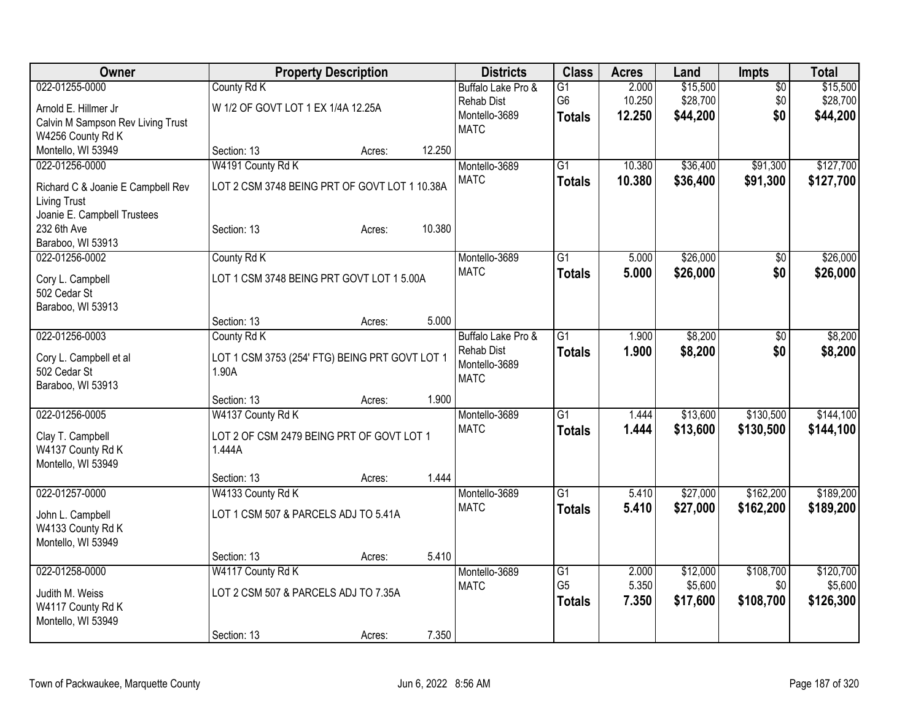| \$15,500<br>\$15,500<br>022-01255-0000<br>County Rd K<br>2.000<br>Buffalo Lake Pro &<br>$\overline{G1}$<br>$\sqrt{$0}$<br>G <sub>6</sub><br>\$28,700<br>10.250<br>\$0<br>\$28,700<br><b>Rehab Dist</b><br>W 1/2 OF GOVT LOT 1 EX 1/4A 12.25A<br>Arnold E. Hillmer Jr.<br>Montello-3689<br>12.250<br>\$44,200<br>\$0<br>\$44,200<br><b>Totals</b><br>Calvin M Sampson Rev Living Trust<br><b>MATC</b><br>W4256 County Rd K<br>Montello, WI 53949<br>12.250<br>Section: 13<br>Acres:<br>022-01256-0000<br>W4191 County Rd K<br>$\overline{G1}$<br>\$36,400<br>\$91,300<br>Montello-3689<br>10.380<br><b>MATC</b><br>10,380<br>\$36,400<br>\$91,300<br><b>Totals</b><br>LOT 2 CSM 3748 BEING PRT OF GOVT LOT 1 10.38A<br>Richard C & Joanie E Campbell Rev<br><b>Living Trust</b><br>Joanie E. Campbell Trustees<br>10.380<br>232 6th Ave<br>Section: 13<br>Acres:<br>Baraboo, WI 53913<br>\$26,000<br>022-01256-0002<br>County Rd K<br>$\overline{G1}$<br>Montello-3689<br>5.000<br>\$0<br><b>MATC</b><br>5.000<br>\$26,000<br>\$0<br><b>Totals</b><br>LOT 1 CSM 3748 BEING PRT GOVT LOT 1 5.00A<br>Cory L. Campbell<br>502 Cedar St<br>Baraboo, WI 53913<br>5.000<br>Section: 13<br>Acres:<br>County Rd K<br>\$8,200<br>022-01256-0003<br>$\overline{G1}$<br>1.900<br>Buffalo Lake Pro &<br>\$0<br><b>Rehab Dist</b><br>\$8,200<br>\$0<br>1.900<br><b>Totals</b><br>LOT 1 CSM 3753 (254' FTG) BEING PRT GOVT LOT 1<br>Cory L. Campbell et al<br>Montello-3689<br>502 Cedar St<br>1.90A<br><b>MATC</b><br>Baraboo, WI 53913<br>1.900<br>Section: 13<br>Acres:<br>022-01256-0005<br>W4137 County Rd K<br>$\overline{G1}$<br>\$13,600<br>\$130,500<br>Montello-3689<br>1.444<br><b>MATC</b><br>1.444<br>\$13,600<br>\$130,500<br><b>Totals</b><br>Clay T. Campbell<br>LOT 2 OF CSM 2479 BEING PRT OF GOVT LOT 1<br>W4137 County Rd K<br>1.444A<br>Montello, WI 53949<br>1.444<br>Section: 13<br>Acres:<br>\$162,200<br>022-01257-0000<br>W4133 County Rd K<br>$\overline{G1}$<br>\$27,000<br>Montello-3689<br>5.410<br><b>MATC</b><br>5.410<br>\$27,000<br>\$162,200<br><b>Totals</b><br>LOT 1 CSM 507 & PARCELS ADJ TO 5.41A<br>John L. Campbell<br>W4133 County Rd K<br>Montello, WI 53949<br>5.410<br>Section: 13<br>Acres:<br>022-01258-0000<br>W4117 County Rd K<br>\$12,000<br>\$108,700<br>Montello-3689<br>$\overline{G1}$<br>2.000<br>G <sub>5</sub><br>5.350<br>\$5,600<br>\$0<br><b>MATC</b><br>LOT 2 CSM 507 & PARCELS ADJ TO 7.35A<br>Judith M. Weiss<br>\$108,700<br>7.350<br>\$17,600<br>\$126,300<br><b>Totals</b><br>W4117 County Rd K<br>Montello, WI 53949 | Owner | <b>Property Description</b> | <b>Districts</b> | <b>Class</b> | <b>Acres</b> | Land | Impts | <b>Total</b> |
|---------------------------------------------------------------------------------------------------------------------------------------------------------------------------------------------------------------------------------------------------------------------------------------------------------------------------------------------------------------------------------------------------------------------------------------------------------------------------------------------------------------------------------------------------------------------------------------------------------------------------------------------------------------------------------------------------------------------------------------------------------------------------------------------------------------------------------------------------------------------------------------------------------------------------------------------------------------------------------------------------------------------------------------------------------------------------------------------------------------------------------------------------------------------------------------------------------------------------------------------------------------------------------------------------------------------------------------------------------------------------------------------------------------------------------------------------------------------------------------------------------------------------------------------------------------------------------------------------------------------------------------------------------------------------------------------------------------------------------------------------------------------------------------------------------------------------------------------------------------------------------------------------------------------------------------------------------------------------------------------------------------------------------------------------------------------------------------------------------------------------------------------------------------------------------------------------------------------------------------------------------------------------------------------------------------------------------------------------------------------------------------------------------------------------------------------------------------------------------------------------------------------------------------------------------------------------|-------|-----------------------------|------------------|--------------|--------------|------|-------|--------------|
|                                                                                                                                                                                                                                                                                                                                                                                                                                                                                                                                                                                                                                                                                                                                                                                                                                                                                                                                                                                                                                                                                                                                                                                                                                                                                                                                                                                                                                                                                                                                                                                                                                                                                                                                                                                                                                                                                                                                                                                                                                                                                                                                                                                                                                                                                                                                                                                                                                                                                                                                                                           |       |                             |                  |              |              |      |       |              |
|                                                                                                                                                                                                                                                                                                                                                                                                                                                                                                                                                                                                                                                                                                                                                                                                                                                                                                                                                                                                                                                                                                                                                                                                                                                                                                                                                                                                                                                                                                                                                                                                                                                                                                                                                                                                                                                                                                                                                                                                                                                                                                                                                                                                                                                                                                                                                                                                                                                                                                                                                                           |       |                             |                  |              |              |      |       |              |
|                                                                                                                                                                                                                                                                                                                                                                                                                                                                                                                                                                                                                                                                                                                                                                                                                                                                                                                                                                                                                                                                                                                                                                                                                                                                                                                                                                                                                                                                                                                                                                                                                                                                                                                                                                                                                                                                                                                                                                                                                                                                                                                                                                                                                                                                                                                                                                                                                                                                                                                                                                           |       |                             |                  |              |              |      |       |              |
| \$127,700<br>\$127,700<br>\$26,000<br>\$26,000<br>\$8,200<br>\$8,200<br>\$144,100<br>\$189,200                                                                                                                                                                                                                                                                                                                                                                                                                                                                                                                                                                                                                                                                                                                                                                                                                                                                                                                                                                                                                                                                                                                                                                                                                                                                                                                                                                                                                                                                                                                                                                                                                                                                                                                                                                                                                                                                                                                                                                                                                                                                                                                                                                                                                                                                                                                                                                                                                                                                            |       |                             |                  |              |              |      |       |              |
|                                                                                                                                                                                                                                                                                                                                                                                                                                                                                                                                                                                                                                                                                                                                                                                                                                                                                                                                                                                                                                                                                                                                                                                                                                                                                                                                                                                                                                                                                                                                                                                                                                                                                                                                                                                                                                                                                                                                                                                                                                                                                                                                                                                                                                                                                                                                                                                                                                                                                                                                                                           |       |                             |                  |              |              |      |       |              |
|                                                                                                                                                                                                                                                                                                                                                                                                                                                                                                                                                                                                                                                                                                                                                                                                                                                                                                                                                                                                                                                                                                                                                                                                                                                                                                                                                                                                                                                                                                                                                                                                                                                                                                                                                                                                                                                                                                                                                                                                                                                                                                                                                                                                                                                                                                                                                                                                                                                                                                                                                                           |       |                             |                  |              |              |      |       |              |
|                                                                                                                                                                                                                                                                                                                                                                                                                                                                                                                                                                                                                                                                                                                                                                                                                                                                                                                                                                                                                                                                                                                                                                                                                                                                                                                                                                                                                                                                                                                                                                                                                                                                                                                                                                                                                                                                                                                                                                                                                                                                                                                                                                                                                                                                                                                                                                                                                                                                                                                                                                           |       |                             |                  |              |              |      |       |              |
|                                                                                                                                                                                                                                                                                                                                                                                                                                                                                                                                                                                                                                                                                                                                                                                                                                                                                                                                                                                                                                                                                                                                                                                                                                                                                                                                                                                                                                                                                                                                                                                                                                                                                                                                                                                                                                                                                                                                                                                                                                                                                                                                                                                                                                                                                                                                                                                                                                                                                                                                                                           |       |                             |                  |              |              |      |       |              |
|                                                                                                                                                                                                                                                                                                                                                                                                                                                                                                                                                                                                                                                                                                                                                                                                                                                                                                                                                                                                                                                                                                                                                                                                                                                                                                                                                                                                                                                                                                                                                                                                                                                                                                                                                                                                                                                                                                                                                                                                                                                                                                                                                                                                                                                                                                                                                                                                                                                                                                                                                                           |       |                             |                  |              |              |      |       |              |
|                                                                                                                                                                                                                                                                                                                                                                                                                                                                                                                                                                                                                                                                                                                                                                                                                                                                                                                                                                                                                                                                                                                                                                                                                                                                                                                                                                                                                                                                                                                                                                                                                                                                                                                                                                                                                                                                                                                                                                                                                                                                                                                                                                                                                                                                                                                                                                                                                                                                                                                                                                           |       |                             |                  |              |              |      |       |              |
|                                                                                                                                                                                                                                                                                                                                                                                                                                                                                                                                                                                                                                                                                                                                                                                                                                                                                                                                                                                                                                                                                                                                                                                                                                                                                                                                                                                                                                                                                                                                                                                                                                                                                                                                                                                                                                                                                                                                                                                                                                                                                                                                                                                                                                                                                                                                                                                                                                                                                                                                                                           |       |                             |                  |              |              |      |       |              |
|                                                                                                                                                                                                                                                                                                                                                                                                                                                                                                                                                                                                                                                                                                                                                                                                                                                                                                                                                                                                                                                                                                                                                                                                                                                                                                                                                                                                                                                                                                                                                                                                                                                                                                                                                                                                                                                                                                                                                                                                                                                                                                                                                                                                                                                                                                                                                                                                                                                                                                                                                                           |       |                             |                  |              |              |      |       |              |
|                                                                                                                                                                                                                                                                                                                                                                                                                                                                                                                                                                                                                                                                                                                                                                                                                                                                                                                                                                                                                                                                                                                                                                                                                                                                                                                                                                                                                                                                                                                                                                                                                                                                                                                                                                                                                                                                                                                                                                                                                                                                                                                                                                                                                                                                                                                                                                                                                                                                                                                                                                           |       |                             |                  |              |              |      |       |              |
| \$144,100<br>\$189,200<br>\$120,700<br>\$5,600                                                                                                                                                                                                                                                                                                                                                                                                                                                                                                                                                                                                                                                                                                                                                                                                                                                                                                                                                                                                                                                                                                                                                                                                                                                                                                                                                                                                                                                                                                                                                                                                                                                                                                                                                                                                                                                                                                                                                                                                                                                                                                                                                                                                                                                                                                                                                                                                                                                                                                                            |       |                             |                  |              |              |      |       |              |
|                                                                                                                                                                                                                                                                                                                                                                                                                                                                                                                                                                                                                                                                                                                                                                                                                                                                                                                                                                                                                                                                                                                                                                                                                                                                                                                                                                                                                                                                                                                                                                                                                                                                                                                                                                                                                                                                                                                                                                                                                                                                                                                                                                                                                                                                                                                                                                                                                                                                                                                                                                           |       |                             |                  |              |              |      |       |              |
|                                                                                                                                                                                                                                                                                                                                                                                                                                                                                                                                                                                                                                                                                                                                                                                                                                                                                                                                                                                                                                                                                                                                                                                                                                                                                                                                                                                                                                                                                                                                                                                                                                                                                                                                                                                                                                                                                                                                                                                                                                                                                                                                                                                                                                                                                                                                                                                                                                                                                                                                                                           |       |                             |                  |              |              |      |       |              |
|                                                                                                                                                                                                                                                                                                                                                                                                                                                                                                                                                                                                                                                                                                                                                                                                                                                                                                                                                                                                                                                                                                                                                                                                                                                                                                                                                                                                                                                                                                                                                                                                                                                                                                                                                                                                                                                                                                                                                                                                                                                                                                                                                                                                                                                                                                                                                                                                                                                                                                                                                                           |       |                             |                  |              |              |      |       |              |
|                                                                                                                                                                                                                                                                                                                                                                                                                                                                                                                                                                                                                                                                                                                                                                                                                                                                                                                                                                                                                                                                                                                                                                                                                                                                                                                                                                                                                                                                                                                                                                                                                                                                                                                                                                                                                                                                                                                                                                                                                                                                                                                                                                                                                                                                                                                                                                                                                                                                                                                                                                           |       |                             |                  |              |              |      |       |              |
|                                                                                                                                                                                                                                                                                                                                                                                                                                                                                                                                                                                                                                                                                                                                                                                                                                                                                                                                                                                                                                                                                                                                                                                                                                                                                                                                                                                                                                                                                                                                                                                                                                                                                                                                                                                                                                                                                                                                                                                                                                                                                                                                                                                                                                                                                                                                                                                                                                                                                                                                                                           |       |                             |                  |              |              |      |       |              |
|                                                                                                                                                                                                                                                                                                                                                                                                                                                                                                                                                                                                                                                                                                                                                                                                                                                                                                                                                                                                                                                                                                                                                                                                                                                                                                                                                                                                                                                                                                                                                                                                                                                                                                                                                                                                                                                                                                                                                                                                                                                                                                                                                                                                                                                                                                                                                                                                                                                                                                                                                                           |       |                             |                  |              |              |      |       |              |
|                                                                                                                                                                                                                                                                                                                                                                                                                                                                                                                                                                                                                                                                                                                                                                                                                                                                                                                                                                                                                                                                                                                                                                                                                                                                                                                                                                                                                                                                                                                                                                                                                                                                                                                                                                                                                                                                                                                                                                                                                                                                                                                                                                                                                                                                                                                                                                                                                                                                                                                                                                           |       |                             |                  |              |              |      |       |              |
|                                                                                                                                                                                                                                                                                                                                                                                                                                                                                                                                                                                                                                                                                                                                                                                                                                                                                                                                                                                                                                                                                                                                                                                                                                                                                                                                                                                                                                                                                                                                                                                                                                                                                                                                                                                                                                                                                                                                                                                                                                                                                                                                                                                                                                                                                                                                                                                                                                                                                                                                                                           |       |                             |                  |              |              |      |       |              |
|                                                                                                                                                                                                                                                                                                                                                                                                                                                                                                                                                                                                                                                                                                                                                                                                                                                                                                                                                                                                                                                                                                                                                                                                                                                                                                                                                                                                                                                                                                                                                                                                                                                                                                                                                                                                                                                                                                                                                                                                                                                                                                                                                                                                                                                                                                                                                                                                                                                                                                                                                                           |       |                             |                  |              |              |      |       |              |
|                                                                                                                                                                                                                                                                                                                                                                                                                                                                                                                                                                                                                                                                                                                                                                                                                                                                                                                                                                                                                                                                                                                                                                                                                                                                                                                                                                                                                                                                                                                                                                                                                                                                                                                                                                                                                                                                                                                                                                                                                                                                                                                                                                                                                                                                                                                                                                                                                                                                                                                                                                           |       |                             |                  |              |              |      |       |              |
|                                                                                                                                                                                                                                                                                                                                                                                                                                                                                                                                                                                                                                                                                                                                                                                                                                                                                                                                                                                                                                                                                                                                                                                                                                                                                                                                                                                                                                                                                                                                                                                                                                                                                                                                                                                                                                                                                                                                                                                                                                                                                                                                                                                                                                                                                                                                                                                                                                                                                                                                                                           |       |                             |                  |              |              |      |       |              |
|                                                                                                                                                                                                                                                                                                                                                                                                                                                                                                                                                                                                                                                                                                                                                                                                                                                                                                                                                                                                                                                                                                                                                                                                                                                                                                                                                                                                                                                                                                                                                                                                                                                                                                                                                                                                                                                                                                                                                                                                                                                                                                                                                                                                                                                                                                                                                                                                                                                                                                                                                                           |       |                             |                  |              |              |      |       |              |
|                                                                                                                                                                                                                                                                                                                                                                                                                                                                                                                                                                                                                                                                                                                                                                                                                                                                                                                                                                                                                                                                                                                                                                                                                                                                                                                                                                                                                                                                                                                                                                                                                                                                                                                                                                                                                                                                                                                                                                                                                                                                                                                                                                                                                                                                                                                                                                                                                                                                                                                                                                           |       |                             |                  |              |              |      |       |              |
|                                                                                                                                                                                                                                                                                                                                                                                                                                                                                                                                                                                                                                                                                                                                                                                                                                                                                                                                                                                                                                                                                                                                                                                                                                                                                                                                                                                                                                                                                                                                                                                                                                                                                                                                                                                                                                                                                                                                                                                                                                                                                                                                                                                                                                                                                                                                                                                                                                                                                                                                                                           |       |                             |                  |              |              |      |       |              |
|                                                                                                                                                                                                                                                                                                                                                                                                                                                                                                                                                                                                                                                                                                                                                                                                                                                                                                                                                                                                                                                                                                                                                                                                                                                                                                                                                                                                                                                                                                                                                                                                                                                                                                                                                                                                                                                                                                                                                                                                                                                                                                                                                                                                                                                                                                                                                                                                                                                                                                                                                                           |       |                             |                  |              |              |      |       |              |
|                                                                                                                                                                                                                                                                                                                                                                                                                                                                                                                                                                                                                                                                                                                                                                                                                                                                                                                                                                                                                                                                                                                                                                                                                                                                                                                                                                                                                                                                                                                                                                                                                                                                                                                                                                                                                                                                                                                                                                                                                                                                                                                                                                                                                                                                                                                                                                                                                                                                                                                                                                           |       |                             |                  |              |              |      |       |              |
|                                                                                                                                                                                                                                                                                                                                                                                                                                                                                                                                                                                                                                                                                                                                                                                                                                                                                                                                                                                                                                                                                                                                                                                                                                                                                                                                                                                                                                                                                                                                                                                                                                                                                                                                                                                                                                                                                                                                                                                                                                                                                                                                                                                                                                                                                                                                                                                                                                                                                                                                                                           |       |                             |                  |              |              |      |       |              |
|                                                                                                                                                                                                                                                                                                                                                                                                                                                                                                                                                                                                                                                                                                                                                                                                                                                                                                                                                                                                                                                                                                                                                                                                                                                                                                                                                                                                                                                                                                                                                                                                                                                                                                                                                                                                                                                                                                                                                                                                                                                                                                                                                                                                                                                                                                                                                                                                                                                                                                                                                                           |       |                             |                  |              |              |      |       |              |
|                                                                                                                                                                                                                                                                                                                                                                                                                                                                                                                                                                                                                                                                                                                                                                                                                                                                                                                                                                                                                                                                                                                                                                                                                                                                                                                                                                                                                                                                                                                                                                                                                                                                                                                                                                                                                                                                                                                                                                                                                                                                                                                                                                                                                                                                                                                                                                                                                                                                                                                                                                           |       |                             |                  |              |              |      |       |              |
|                                                                                                                                                                                                                                                                                                                                                                                                                                                                                                                                                                                                                                                                                                                                                                                                                                                                                                                                                                                                                                                                                                                                                                                                                                                                                                                                                                                                                                                                                                                                                                                                                                                                                                                                                                                                                                                                                                                                                                                                                                                                                                                                                                                                                                                                                                                                                                                                                                                                                                                                                                           |       |                             |                  |              |              |      |       |              |
| 7.350<br>Section: 13<br>Acres:                                                                                                                                                                                                                                                                                                                                                                                                                                                                                                                                                                                                                                                                                                                                                                                                                                                                                                                                                                                                                                                                                                                                                                                                                                                                                                                                                                                                                                                                                                                                                                                                                                                                                                                                                                                                                                                                                                                                                                                                                                                                                                                                                                                                                                                                                                                                                                                                                                                                                                                                            |       |                             |                  |              |              |      |       |              |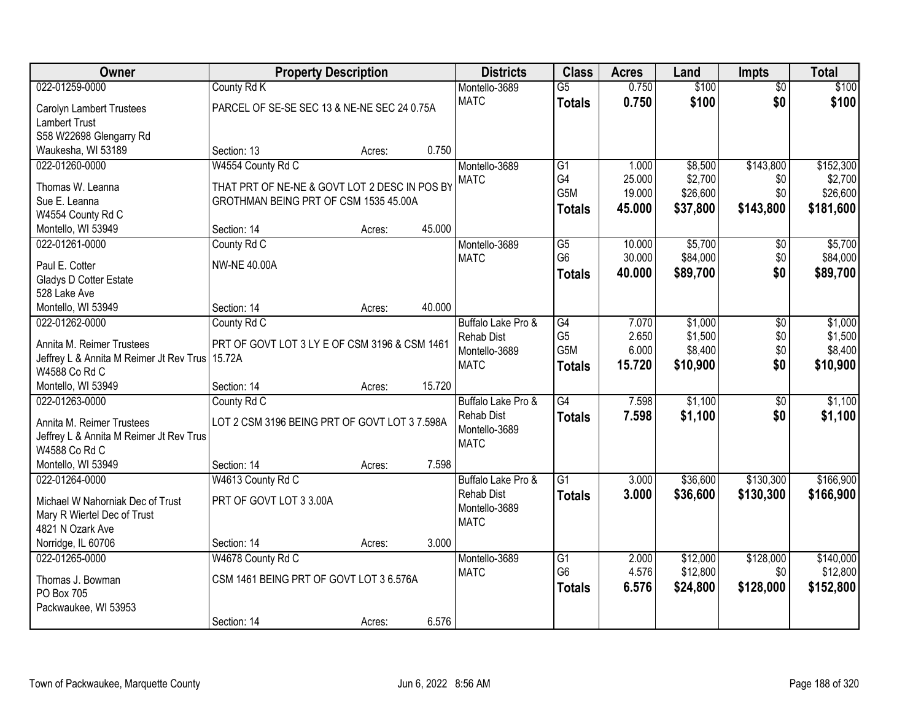| Owner                                           | <b>Property Description</b>                   |        |        | <b>Districts</b>             | <b>Class</b>                      | <b>Acres</b>   | Land               | <b>Impts</b>    | <b>Total</b>          |
|-------------------------------------------------|-----------------------------------------------|--------|--------|------------------------------|-----------------------------------|----------------|--------------------|-----------------|-----------------------|
| 022-01259-0000                                  | County Rd K                                   |        |        | Montello-3689                | $\overline{G5}$                   | 0.750          | \$100              | $\overline{50}$ | \$100                 |
| Carolyn Lambert Trustees                        | PARCEL OF SE-SE SEC 13 & NE-NE SEC 24 0.75A   |        |        | <b>MATC</b>                  | <b>Totals</b>                     | 0.750          | \$100              | \$0             | \$100                 |
| <b>Lambert Trust</b>                            |                                               |        |        |                              |                                   |                |                    |                 |                       |
| S58 W22698 Glengarry Rd                         |                                               |        |        |                              |                                   |                |                    |                 |                       |
| Waukesha, WI 53189                              | Section: 13                                   | Acres: | 0.750  |                              |                                   |                |                    |                 |                       |
| 022-01260-0000                                  | W4554 County Rd C                             |        |        | Montello-3689                | $\overline{G1}$                   | 1.000          | \$8,500            | \$143,800       | \$152,300             |
| Thomas W. Leanna                                | THAT PRT OF NE-NE & GOVT LOT 2 DESC IN POS BY |        |        | <b>MATC</b>                  | G4                                | 25.000         | \$2,700            | \$0             | \$2,700               |
| Sue E. Leanna                                   | GROTHMAN BEING PRT OF CSM 1535 45.00A         |        |        |                              | G5M                               | 19.000         | \$26,600           | \$0             | \$26,600              |
| W4554 County Rd C                               |                                               |        |        |                              | <b>Totals</b>                     | 45.000         | \$37,800           | \$143,800       | \$181,600             |
| Montello, WI 53949                              | Section: 14                                   | Acres: | 45.000 |                              |                                   |                |                    |                 |                       |
| 022-01261-0000                                  | County Rd C                                   |        |        | Montello-3689                | G5                                | 10.000         | \$5,700            | \$0             | \$5,700               |
|                                                 |                                               |        |        | <b>MATC</b>                  | G <sub>6</sub>                    | 30.000         | \$84,000           | \$0             | \$84,000              |
| Paul E. Cotter                                  | <b>NW-NE 40.00A</b>                           |        |        |                              | <b>Totals</b>                     | 40.000         | \$89,700           | \$0             | \$89,700              |
| Gladys D Cotter Estate                          |                                               |        |        |                              |                                   |                |                    |                 |                       |
| 528 Lake Ave                                    |                                               |        |        |                              |                                   |                |                    |                 |                       |
| Montello, WI 53949                              | Section: 14                                   | Acres: | 40.000 |                              |                                   |                |                    |                 |                       |
| 022-01262-0000                                  | County Rd C                                   |        |        | Buffalo Lake Pro &           | G4                                | 7.070          | \$1,000            | \$0             | \$1,000               |
| Annita M. Reimer Trustees                       | PRT OF GOVT LOT 3 LY E OF CSM 3196 & CSM 1461 |        |        | <b>Rehab Dist</b>            | G <sub>5</sub><br>G5M             | 2.650<br>6.000 | \$1,500<br>\$8,400 | \$0<br>\$0      | \$1,500<br>\$8,400    |
| Jeffrey L & Annita M Reimer Jt Rev Trus 15.72A  |                                               |        |        | Montello-3689<br><b>MATC</b> |                                   |                |                    | \$0             |                       |
| W4588 Co Rd C                                   |                                               |        |        |                              | <b>Totals</b>                     | 15.720         | \$10,900           |                 | \$10,900              |
| Montello, WI 53949                              | Section: 14                                   | Acres: | 15.720 |                              |                                   |                |                    |                 |                       |
| 022-01263-0000                                  | County Rd C                                   |        |        | Buffalo Lake Pro &           | G4                                | 7.598          | \$1,100            | $\overline{30}$ | \$1,100               |
| Annita M. Reimer Trustees                       | LOT 2 CSM 3196 BEING PRT OF GOVT LOT 3 7.598A |        |        | <b>Rehab Dist</b>            | Totals                            | 7.598          | \$1,100            | \$0             | \$1,100               |
| Jeffrey L & Annita M Reimer Jt Rev Trus         |                                               |        |        | Montello-3689                |                                   |                |                    |                 |                       |
| W4588 Co Rd C                                   |                                               |        |        | <b>MATC</b>                  |                                   |                |                    |                 |                       |
| Montello, WI 53949                              | Section: 14                                   | Acres: | 7.598  |                              |                                   |                |                    |                 |                       |
| 022-01264-0000                                  | W4613 County Rd C                             |        |        | Buffalo Lake Pro &           | $\overline{G1}$                   | 3.000          | \$36,600           | \$130,300       | \$166,900             |
|                                                 |                                               |        |        | <b>Rehab Dist</b>            | <b>Totals</b>                     | 3.000          | \$36,600           | \$130,300       | \$166,900             |
| Michael W Nahorniak Dec of Trust                | PRT OF GOVT LOT 3 3.00A                       |        |        | Montello-3689                |                                   |                |                    |                 |                       |
| Mary R Wiertel Dec of Trust<br>4821 N Ozark Ave |                                               |        |        | <b>MATC</b>                  |                                   |                |                    |                 |                       |
| Norridge, IL 60706                              | Section: 14                                   |        | 3.000  |                              |                                   |                |                    |                 |                       |
|                                                 |                                               | Acres: |        |                              |                                   | 2.000          | \$12,000           | \$128,000       |                       |
| 022-01265-0000                                  | W4678 County Rd C                             |        |        | Montello-3689<br><b>MATC</b> | $\overline{G1}$<br>G <sub>6</sub> | 4.576          | \$12,800           | \$0             | \$140,000<br>\$12,800 |
| Thomas J. Bowman                                | CSM 1461 BEING PRT OF GOVT LOT 3 6.576A       |        |        |                              |                                   | 6.576          | \$24,800           | \$128,000       | \$152,800             |
| PO Box 705                                      |                                               |        |        |                              | Totals                            |                |                    |                 |                       |
| Packwaukee, WI 53953                            |                                               |        |        |                              |                                   |                |                    |                 |                       |
|                                                 | Section: 14                                   | Acres: | 6.576  |                              |                                   |                |                    |                 |                       |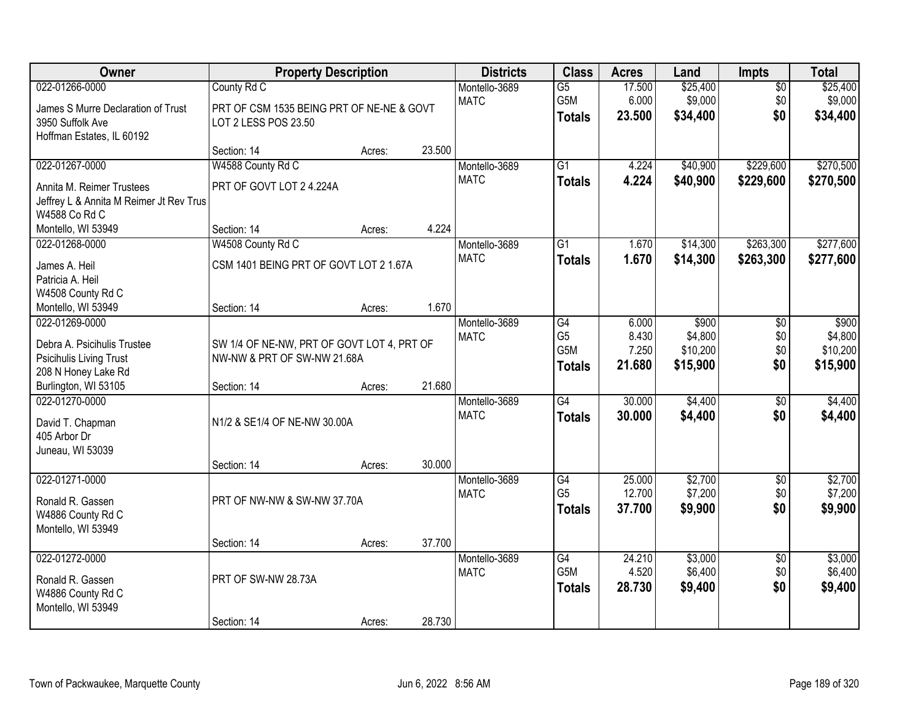| Owner                                                                                                                   | <b>Property Description</b>                                                              |        |        | <b>Districts</b>             | <b>Class</b>                                         | <b>Acres</b>                      | Land                                     | Impts                         | <b>Total</b>                             |
|-------------------------------------------------------------------------------------------------------------------------|------------------------------------------------------------------------------------------|--------|--------|------------------------------|------------------------------------------------------|-----------------------------------|------------------------------------------|-------------------------------|------------------------------------------|
| 022-01266-0000<br>James S Murre Declaration of Trust<br>3950 Suffolk Ave<br>Hoffman Estates, IL 60192                   | County Rd C<br>PRT OF CSM 1535 BEING PRT OF NE-NE & GOVT<br>LOT 2 LESS POS 23.50         |        |        | Montello-3689<br><b>MATC</b> | $\overline{G5}$<br>G5M<br><b>Totals</b>              | 17.500<br>6.000<br>23.500         | \$25,400<br>\$9,000<br>\$34,400          | $\overline{50}$<br>\$0<br>\$0 | \$25,400<br>\$9,000<br>\$34,400          |
|                                                                                                                         | Section: 14                                                                              | Acres: | 23.500 |                              |                                                      |                                   |                                          |                               |                                          |
| 022-01267-0000<br>Annita M. Reimer Trustees<br>Jeffrey L & Annita M Reimer Jt Rev Trus<br>W4588 Co Rd C                 | W4588 County Rd C<br>PRT OF GOVT LOT 2 4.224A                                            |        |        | Montello-3689<br><b>MATC</b> | $\overline{G1}$<br><b>Totals</b>                     | 4.224<br>4.224                    | \$40,900<br>\$40,900                     | \$229,600<br>\$229,600        | \$270,500<br>\$270,500                   |
| Montello, WI 53949                                                                                                      | Section: 14                                                                              | Acres: | 4.224  |                              |                                                      |                                   |                                          |                               |                                          |
| 022-01268-0000<br>James A. Heil<br>Patricia A. Heil<br>W4508 County Rd C                                                | W4508 County Rd C<br>CSM 1401 BEING PRT OF GOVT LOT 2 1.67A                              |        |        | Montello-3689<br><b>MATC</b> | G1<br><b>Totals</b>                                  | 1.670<br>1.670                    | \$14,300<br>\$14,300                     | \$263,300<br>\$263,300        | \$277,600<br>\$277,600                   |
| Montello, WI 53949                                                                                                      | Section: 14                                                                              | Acres: | 1.670  |                              |                                                      |                                   |                                          |                               |                                          |
| 022-01269-0000<br>Debra A. Psicihulis Trustee<br>Psicihulis Living Trust<br>208 N Honey Lake Rd<br>Burlington, WI 53105 | SW 1/4 OF NE-NW, PRT OF GOVT LOT 4, PRT OF<br>NW-NW & PRT OF SW-NW 21.68A<br>Section: 14 | Acres: | 21.680 | Montello-3689<br><b>MATC</b> | G4<br>G <sub>5</sub><br>G5M<br><b>Totals</b>         | 6.000<br>8.430<br>7.250<br>21.680 | \$900<br>\$4,800<br>\$10,200<br>\$15,900 | \$0<br>\$0<br>\$0<br>\$0      | \$900<br>\$4,800<br>\$10,200<br>\$15,900 |
| 022-01270-0000<br>David T. Chapman<br>405 Arbor Dr<br>Juneau, WI 53039                                                  | N1/2 & SE1/4 OF NE-NW 30.00A<br>Section: 14                                              | Acres: | 30.000 | Montello-3689<br><b>MATC</b> | $\overline{G4}$<br><b>Totals</b>                     | 30.000<br>30.000                  | \$4,400<br>\$4,400                       | $\overline{50}$<br>\$0        | \$4,400<br>\$4,400                       |
| 022-01271-0000<br>Ronald R. Gassen<br>W4886 County Rd C<br>Montello, WI 53949                                           | PRT OF NW-NW & SW-NW 37.70A                                                              |        |        | Montello-3689<br><b>MATC</b> | G4<br>G <sub>5</sub><br><b>Totals</b>                | 25.000<br>12.700<br>37.700        | \$2,700<br>\$7,200<br>\$9,900            | $\overline{50}$<br>\$0<br>\$0 | \$2,700<br>\$7,200<br>\$9,900            |
|                                                                                                                         | Section: 14                                                                              | Acres: | 37.700 |                              |                                                      |                                   |                                          |                               |                                          |
| 022-01272-0000<br>Ronald R. Gassen<br>W4886 County Rd C<br>Montello, WI 53949                                           | PRT OF SW-NW 28.73A                                                                      |        |        | Montello-3689<br><b>MATC</b> | $\overline{G4}$<br>G <sub>5</sub> M<br><b>Totals</b> | 24.210<br>4.520<br>28.730         | \$3,000<br>\$6,400<br>\$9,400            | $\overline{50}$<br>\$0<br>\$0 | \$3,000<br>\$6,400<br>\$9,400            |
|                                                                                                                         | Section: 14                                                                              | Acres: | 28.730 |                              |                                                      |                                   |                                          |                               |                                          |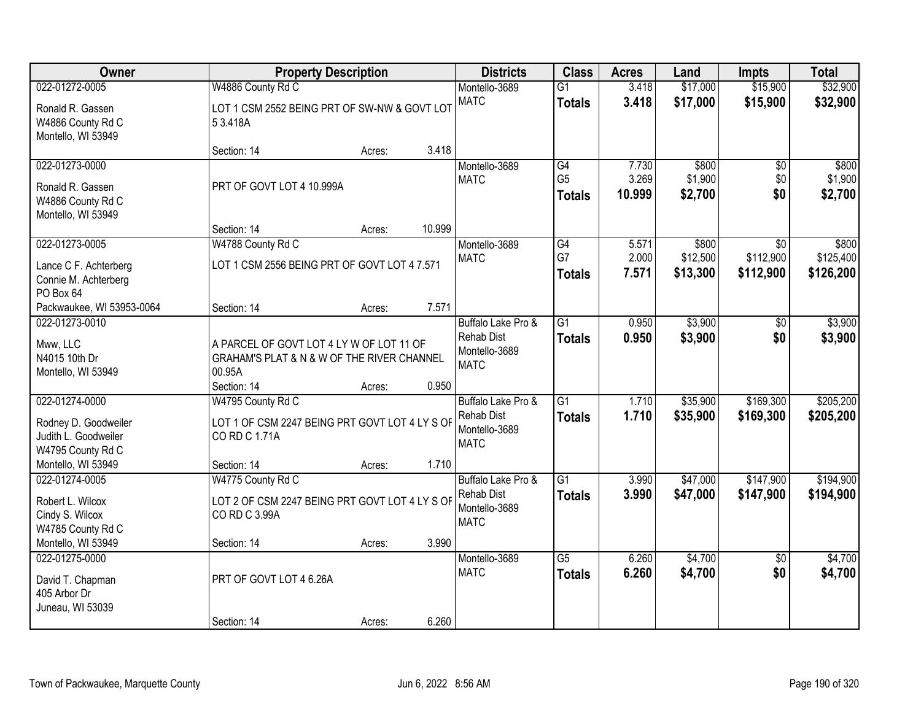| 022-01272-0005                                                                      | W4886 County Rd C                                                                                |        |        |                                                                         |                                       |                          |                               |                               |                                 |
|-------------------------------------------------------------------------------------|--------------------------------------------------------------------------------------------------|--------|--------|-------------------------------------------------------------------------|---------------------------------------|--------------------------|-------------------------------|-------------------------------|---------------------------------|
|                                                                                     |                                                                                                  |        |        | Montello-3689                                                           | $\overline{G1}$                       | 3.418                    | \$17,000                      | \$15,900                      | \$32,900                        |
| Ronald R. Gassen<br>W4886 County Rd C<br>Montello, WI 53949                         | LOT 1 CSM 2552 BEING PRT OF SW-NW & GOVT LOT<br>53.418A                                          |        |        | <b>MATC</b>                                                             | <b>Totals</b>                         | 3.418                    | \$17,000                      | \$15,900                      | \$32,900                        |
|                                                                                     | Section: 14                                                                                      | Acres: | 3.418  |                                                                         |                                       |                          |                               |                               |                                 |
| 022-01273-0000<br>Ronald R. Gassen<br>W4886 County Rd C<br>Montello, WI 53949       | PRT OF GOVT LOT 4 10.999A                                                                        |        |        | Montello-3689<br><b>MATC</b>                                            | G4<br>G <sub>5</sub><br><b>Totals</b> | 7.730<br>3.269<br>10.999 | \$800<br>\$1,900<br>\$2,700   | \$0<br>\$0<br>\$0             | \$800<br>\$1,900<br>\$2,700     |
|                                                                                     | Section: 14                                                                                      | Acres: | 10.999 |                                                                         |                                       |                          |                               |                               |                                 |
| 022-01273-0005<br>Lance C F. Achterberg<br>Connie M. Achterberg<br>PO Box 64        | W4788 County Rd C<br>LOT 1 CSM 2556 BEING PRT OF GOVT LOT 4 7.571                                |        |        | Montello-3689<br><b>MATC</b>                                            | G4<br>G7<br><b>Totals</b>             | 5.571<br>2.000<br>7.571  | \$800<br>\$12,500<br>\$13,300 | \$0<br>\$112,900<br>\$112,900 | \$800<br>\$125,400<br>\$126,200 |
| Packwaukee, WI 53953-0064                                                           | Section: 14                                                                                      | Acres: | 7.571  |                                                                         |                                       |                          |                               |                               |                                 |
| 022-01273-0010<br>Mww, LLC<br>N4015 10th Dr<br>Montello, WI 53949                   | A PARCEL OF GOVT LOT 4 LY W OF LOT 11 OF<br>GRAHAM'S PLAT & N & W OF THE RIVER CHANNEL<br>00.95A |        |        | Buffalo Lake Pro &<br><b>Rehab Dist</b><br>Montello-3689<br><b>MATC</b> | $\overline{G1}$<br><b>Totals</b>      | 0.950<br>0.950           | \$3,900<br>\$3,900            | \$0<br>\$0                    | \$3,900<br>\$3,900              |
|                                                                                     | Section: 14                                                                                      | Acres: | 0.950  |                                                                         |                                       |                          |                               |                               |                                 |
| 022-01274-0000<br>Rodney D. Goodweiler<br>Judith L. Goodweiler<br>W4795 County Rd C | W4795 County Rd C<br>LOT 1 OF CSM 2247 BEING PRT GOVT LOT 4 LY S OF<br>CO RD C 1.71A             |        |        | Buffalo Lake Pro &<br><b>Rehab Dist</b><br>Montello-3689<br><b>MATC</b> | $\overline{G1}$<br><b>Totals</b>      | 1.710<br>1.710           | \$35,900<br>\$35,900          | \$169,300<br>\$169,300        | \$205,200<br>\$205,200          |
| Montello, WI 53949                                                                  | Section: 14                                                                                      | Acres: | 1.710  |                                                                         |                                       |                          |                               |                               |                                 |
| 022-01274-0005<br>Robert L. Wilcox<br>Cindy S. Wilcox<br>W4785 County Rd C          | W4775 County Rd C<br>LOT 2 OF CSM 2247 BEING PRT GOVT LOT 4 LY S OF<br>CO RD C 3.99A             |        |        | Buffalo Lake Pro &<br><b>Rehab Dist</b><br>Montello-3689<br><b>MATC</b> | $\overline{G1}$<br><b>Totals</b>      | 3.990<br>3.990           | \$47,000<br>\$47,000          | \$147,900<br>\$147,900        | \$194,900<br>\$194,900          |
| Montello, WI 53949                                                                  | Section: 14                                                                                      | Acres: | 3.990  |                                                                         |                                       |                          |                               |                               |                                 |
| 022-01275-0000<br>David T. Chapman<br>405 Arbor Dr<br>Juneau, WI 53039              | PRT OF GOVT LOT 4 6.26A<br>Section: 14                                                           | Acres: | 6.260  | Montello-3689<br><b>MATC</b>                                            | $\overline{G5}$<br><b>Totals</b>      | 6.260<br>6.260           | \$4,700<br>\$4,700            | $\overline{50}$<br>\$0        | \$4,700<br>\$4,700              |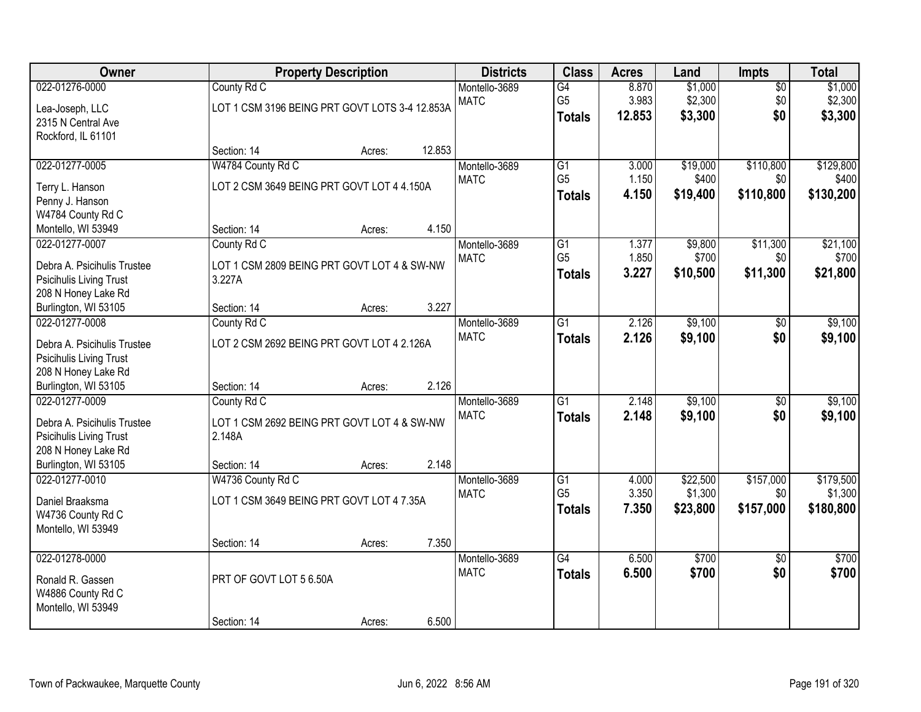| Owner                                                                                                                          |                                                                                     | <b>Property Description</b> |        | <b>Districts</b>             | <b>Class</b>                                       | <b>Acres</b>             | Land                            | Impts                         | <b>Total</b>                      |
|--------------------------------------------------------------------------------------------------------------------------------|-------------------------------------------------------------------------------------|-----------------------------|--------|------------------------------|----------------------------------------------------|--------------------------|---------------------------------|-------------------------------|-----------------------------------|
| 022-01276-0000<br>Lea-Joseph, LLC<br>2315 N Central Ave                                                                        | County Rd C<br>LOT 1 CSM 3196 BEING PRT GOVT LOTS 3-4 12.853A                       |                             |        | Montello-3689<br><b>MATC</b> | G4<br>G <sub>5</sub><br><b>Totals</b>              | 8.870<br>3.983<br>12.853 | \$1,000<br>\$2,300<br>\$3,300   | $\overline{50}$<br>\$0<br>\$0 | \$1,000<br>\$2,300<br>\$3,300     |
| Rockford, IL 61101                                                                                                             | Section: 14                                                                         | Acres:                      | 12.853 |                              |                                                    |                          |                                 |                               |                                   |
| 022-01277-0005<br>Terry L. Hanson<br>Penny J. Hanson                                                                           | W4784 County Rd C<br>LOT 2 CSM 3649 BEING PRT GOVT LOT 4 4.150A                     |                             |        | Montello-3689<br><b>MATC</b> | $\overline{G1}$<br>G <sub>5</sub><br><b>Totals</b> | 3.000<br>1.150<br>4.150  | \$19,000<br>\$400<br>\$19,400   | \$110,800<br>\$0<br>\$110,800 | \$129,800<br>\$400<br>\$130,200   |
| W4784 County Rd C<br>Montello, WI 53949                                                                                        | Section: 14                                                                         | Acres:                      | 4.150  |                              |                                                    |                          |                                 |                               |                                   |
| 022-01277-0007<br>Debra A. Psicihulis Trustee<br>Psicihulis Living Trust<br>208 N Honey Lake Rd                                | County Rd C<br>LOT 1 CSM 2809 BEING PRT GOVT LOT 4 & SW-NW<br>3.227A                |                             |        | Montello-3689<br><b>MATC</b> | G1<br>G <sub>5</sub><br><b>Totals</b>              | 1.377<br>1.850<br>3.227  | \$9,800<br>\$700<br>\$10,500    | \$11,300<br>\$0<br>\$11,300   | \$21,100<br>\$700<br>\$21,800     |
| Burlington, WI 53105                                                                                                           | Section: 14                                                                         | Acres:                      | 3.227  |                              |                                                    |                          |                                 |                               |                                   |
| 022-01277-0008<br>Debra A. Psicihulis Trustee<br>Psicihulis Living Trust<br>208 N Honey Lake Rd                                | County Rd C<br>LOT 2 CSM 2692 BEING PRT GOVT LOT 4 2.126A                           |                             |        | Montello-3689<br><b>MATC</b> | $\overline{G1}$<br><b>Totals</b>                   | 2.126<br>2.126           | \$9,100<br>\$9,100              | \$0<br>\$0                    | \$9,100<br>\$9,100                |
| Burlington, WI 53105                                                                                                           | Section: 14                                                                         | Acres:                      | 2.126  |                              |                                                    |                          |                                 |                               |                                   |
| 022-01277-0009<br>Debra A. Psicihulis Trustee<br><b>Psicihulis Living Trust</b><br>208 N Honey Lake Rd<br>Burlington, WI 53105 | County Rd C<br>LOT 1 CSM 2692 BEING PRT GOVT LOT 4 & SW-NW<br>2.148A<br>Section: 14 | Acres:                      | 2.148  | Montello-3689<br><b>MATC</b> | $\overline{G1}$<br><b>Totals</b>                   | 2.148<br>2.148           | \$9,100<br>\$9,100              | $\overline{50}$<br>\$0        | \$9,100<br>\$9,100                |
| 022-01277-0010<br>Daniel Braaksma<br>W4736 County Rd C<br>Montello, WI 53949                                                   | W4736 County Rd C<br>LOT 1 CSM 3649 BEING PRT GOVT LOT 4 7.35A<br>Section: 14       |                             | 7.350  | Montello-3689<br><b>MATC</b> | G1<br>G <sub>5</sub><br><b>Totals</b>              | 4.000<br>3.350<br>7.350  | \$22,500<br>\$1,300<br>\$23,800 | \$157,000<br>\$0<br>\$157,000 | \$179,500<br>\$1,300<br>\$180,800 |
| 022-01278-0000<br>Ronald R. Gassen<br>W4886 County Rd C<br>Montello, WI 53949                                                  | PRT OF GOVT LOT 5 6.50A<br>Section: 14                                              | Acres:<br>Acres:            | 6.500  | Montello-3689<br><b>MATC</b> | $\overline{G4}$<br><b>Totals</b>                   | 6.500<br>6.500           | \$700<br>\$700                  | $\overline{50}$<br>\$0        | \$700<br>\$700                    |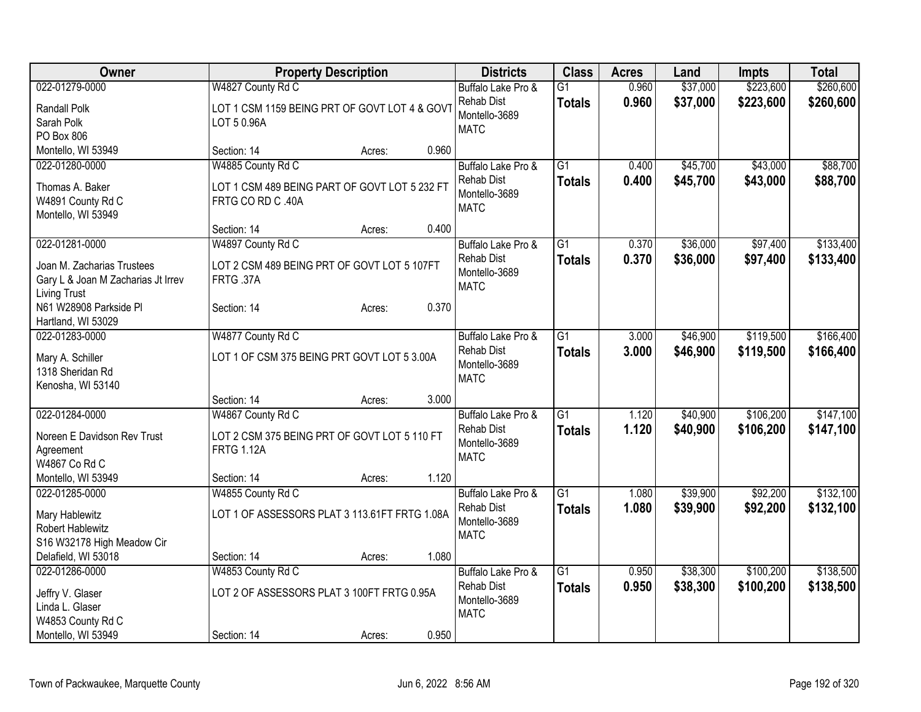| Owner                              |                                               | <b>Property Description</b> |       | <b>Districts</b>                   | <b>Class</b>    | <b>Acres</b> | Land     | Impts     | <b>Total</b> |
|------------------------------------|-----------------------------------------------|-----------------------------|-------|------------------------------------|-----------------|--------------|----------|-----------|--------------|
| 022-01279-0000                     | W4827 County Rd C                             |                             |       | Buffalo Lake Pro &                 | $\overline{G1}$ | 0.960        | \$37,000 | \$223,600 | \$260,600    |
| Randall Polk                       | LOT 1 CSM 1159 BEING PRT OF GOVT LOT 4 & GOV1 |                             |       | <b>Rehab Dist</b><br>Montello-3689 | <b>Totals</b>   | 0.960        | \$37,000 | \$223,600 | \$260,600    |
| Sarah Polk                         | LOT 5 0.96A                                   |                             |       | <b>MATC</b>                        |                 |              |          |           |              |
| PO Box 806                         |                                               |                             |       |                                    |                 |              |          |           |              |
| Montello, WI 53949                 | Section: 14                                   | Acres:                      | 0.960 |                                    |                 |              |          |           |              |
| 022-01280-0000                     | W4885 County Rd C                             |                             |       | Buffalo Lake Pro &                 | $\overline{G1}$ | 0.400        | \$45,700 | \$43,000  | \$88,700     |
| Thomas A. Baker                    | LOT 1 CSM 489 BEING PART OF GOVT LOT 5 232 FT |                             |       | Rehab Dist<br>Montello-3689        | <b>Totals</b>   | 0.400        | \$45,700 | \$43,000  | \$88,700     |
| W4891 County Rd C                  | FRTG CO RD C .40A                             |                             |       | <b>MATC</b>                        |                 |              |          |           |              |
| Montello, WI 53949                 |                                               |                             |       |                                    |                 |              |          |           |              |
|                                    | Section: 14                                   | Acres:                      | 0.400 |                                    |                 |              |          |           |              |
| 022-01281-0000                     | W4897 County Rd C                             |                             |       | Buffalo Lake Pro &                 | $\overline{G1}$ | 0.370        | \$36,000 | \$97,400  | \$133,400    |
| Joan M. Zacharias Trustees         | LOT 2 CSM 489 BEING PRT OF GOVT LOT 5 107FT   |                             |       | <b>Rehab Dist</b>                  | <b>Totals</b>   | 0.370        | \$36,000 | \$97,400  | \$133,400    |
| Gary L & Joan M Zacharias Jt Irrev | FRTG .37A                                     |                             |       | Montello-3689<br><b>MATC</b>       |                 |              |          |           |              |
| <b>Living Trust</b>                |                                               |                             |       |                                    |                 |              |          |           |              |
| N61 W28908 Parkside Pl             | Section: 14                                   | Acres:                      | 0.370 |                                    |                 |              |          |           |              |
| Hartland, WI 53029                 |                                               |                             |       |                                    |                 |              |          |           |              |
| 022-01283-0000                     | W4877 County Rd C                             |                             |       | Buffalo Lake Pro &                 | $\overline{G1}$ | 3.000        | \$46,900 | \$119,500 | \$166,400    |
| Mary A. Schiller                   | LOT 1 OF CSM 375 BEING PRT GOVT LOT 5 3.00A   |                             |       | <b>Rehab Dist</b><br>Montello-3689 | <b>Totals</b>   | 3.000        | \$46,900 | \$119,500 | \$166,400    |
| 1318 Sheridan Rd                   |                                               |                             |       | <b>MATC</b>                        |                 |              |          |           |              |
| Kenosha, WI 53140                  |                                               |                             |       |                                    |                 |              |          |           |              |
|                                    | Section: 14                                   | Acres:                      | 3.000 |                                    |                 |              |          |           |              |
| 022-01284-0000                     | W4867 County Rd C                             |                             |       | Buffalo Lake Pro &                 | G1              | 1.120        | \$40,900 | \$106,200 | \$147,100    |
| Noreen E Davidson Rev Trust        | LOT 2 CSM 375 BEING PRT OF GOVT LOT 5 110 FT  |                             |       | Rehab Dist                         | <b>Totals</b>   | 1.120        | \$40,900 | \$106,200 | \$147,100    |
| Agreement                          | <b>FRTG 1.12A</b>                             |                             |       | Montello-3689<br><b>MATC</b>       |                 |              |          |           |              |
| W4867 Co Rd C                      |                                               |                             |       |                                    |                 |              |          |           |              |
| Montello, WI 53949                 | Section: 14                                   | Acres:                      | 1.120 |                                    |                 |              |          |           |              |
| 022-01285-0000                     | W4855 County Rd C                             |                             |       | Buffalo Lake Pro &                 | $\overline{G1}$ | 1.080        | \$39,900 | \$92,200  | \$132,100    |
| Mary Hablewitz                     | LOT 1 OF ASSESSORS PLAT 3 113.61FT FRTG 1.08A |                             |       | <b>Rehab Dist</b>                  | <b>Totals</b>   | 1.080        | \$39,900 | \$92,200  | \$132,100    |
| <b>Robert Hablewitz</b>            |                                               |                             |       | Montello-3689<br><b>MATC</b>       |                 |              |          |           |              |
| S16 W32178 High Meadow Cir         |                                               |                             |       |                                    |                 |              |          |           |              |
| Delafield, WI 53018                | Section: 14                                   | Acres:                      | 1.080 |                                    |                 |              |          |           |              |
| 022-01286-0000                     | W4853 County Rd C                             |                             |       | Buffalo Lake Pro &                 | $\overline{G1}$ | 0.950        | \$38,300 | \$100,200 | \$138,500    |
| Jeffry V. Glaser                   | LOT 2 OF ASSESSORS PLAT 3 100FT FRTG 0.95A    |                             |       | Rehab Dist                         | <b>Totals</b>   | 0.950        | \$38,300 | \$100,200 | \$138,500    |
| Linda L. Glaser                    |                                               |                             |       | Montello-3689                      |                 |              |          |           |              |
| W4853 County Rd C                  |                                               |                             |       | <b>MATC</b>                        |                 |              |          |           |              |
| Montello, WI 53949                 | Section: 14                                   | Acres:                      | 0.950 |                                    |                 |              |          |           |              |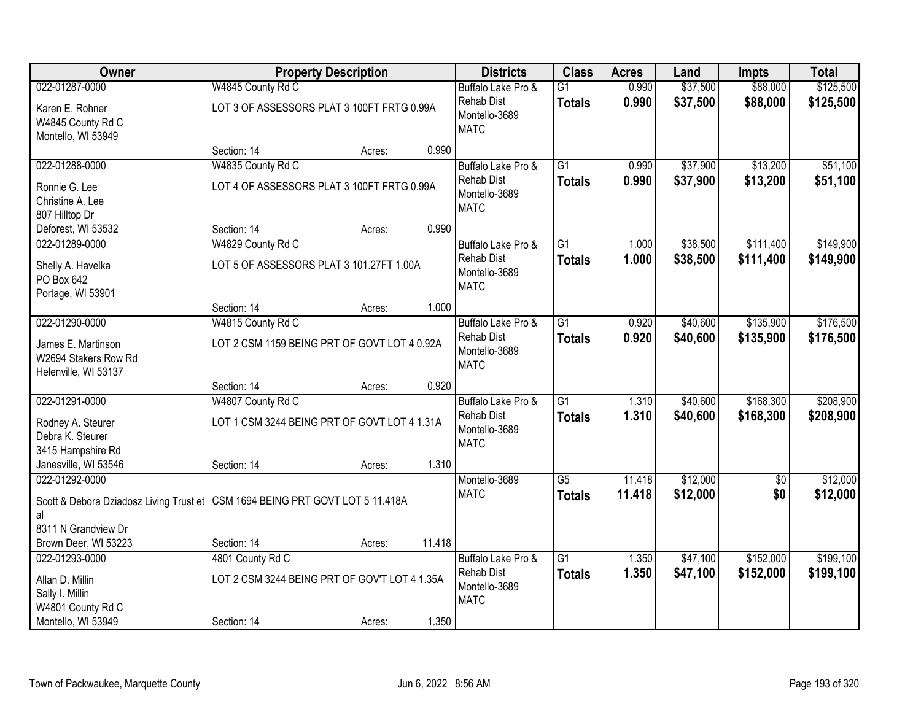| Owner                                                                           |                                               | <b>Property Description</b> |        | <b>Districts</b>             | <b>Class</b>    | <b>Acres</b> | Land     | <b>Impts</b>    | <b>Total</b> |
|---------------------------------------------------------------------------------|-----------------------------------------------|-----------------------------|--------|------------------------------|-----------------|--------------|----------|-----------------|--------------|
| 022-01287-0000                                                                  | W4845 County Rd C                             |                             |        | Buffalo Lake Pro &           | $\overline{G1}$ | 0.990        | \$37,500 | \$88,000        | \$125,500    |
| Karen E. Rohner                                                                 | LOT 3 OF ASSESSORS PLAT 3 100FT FRTG 0.99A    |                             |        | <b>Rehab Dist</b>            | <b>Totals</b>   | 0.990        | \$37,500 | \$88,000        | \$125,500    |
| W4845 County Rd C                                                               |                                               |                             |        | Montello-3689<br><b>MATC</b> |                 |              |          |                 |              |
| Montello, WI 53949                                                              |                                               |                             |        |                              |                 |              |          |                 |              |
|                                                                                 | Section: 14                                   | Acres:                      | 0.990  |                              |                 |              |          |                 |              |
| 022-01288-0000                                                                  | W4835 County Rd C                             |                             |        | Buffalo Lake Pro &           | $\overline{G1}$ | 0.990        | \$37,900 | \$13,200        | \$51,100     |
| Ronnie G. Lee                                                                   | LOT 4 OF ASSESSORS PLAT 3 100FT FRTG 0.99A    |                             |        | <b>Rehab Dist</b>            | <b>Totals</b>   | 0.990        | \$37,900 | \$13,200        | \$51,100     |
| Christine A. Lee                                                                |                                               |                             |        | Montello-3689<br><b>MATC</b> |                 |              |          |                 |              |
| 807 Hilltop Dr                                                                  |                                               |                             |        |                              |                 |              |          |                 |              |
| Deforest, WI 53532                                                              | Section: 14                                   | Acres:                      | 0.990  |                              |                 |              |          |                 |              |
| 022-01289-0000                                                                  | W4829 County Rd C                             |                             |        | Buffalo Lake Pro &           | G1              | 1.000        | \$38,500 | \$111,400       | \$149,900    |
| Shelly A. Havelka                                                               | LOT 5 OF ASSESSORS PLAT 3 101.27FT 1.00A      |                             |        | <b>Rehab Dist</b>            | <b>Totals</b>   | 1.000        | \$38,500 | \$111,400       | \$149,900    |
| PO Box 642                                                                      |                                               |                             |        | Montello-3689<br><b>MATC</b> |                 |              |          |                 |              |
| Portage, WI 53901                                                               |                                               |                             |        |                              |                 |              |          |                 |              |
|                                                                                 | Section: 14                                   | Acres:                      | 1.000  |                              |                 |              |          |                 |              |
| 022-01290-0000                                                                  | W4815 County Rd C                             |                             |        | Buffalo Lake Pro &           | $\overline{G1}$ | 0.920        | \$40,600 | \$135,900       | \$176,500    |
| James E. Martinson                                                              | LOT 2 CSM 1159 BEING PRT OF GOVT LOT 4 0.92A  |                             |        | <b>Rehab Dist</b>            | <b>Totals</b>   | 0.920        | \$40,600 | \$135,900       | \$176,500    |
| W2694 Stakers Row Rd                                                            |                                               |                             |        | Montello-3689                |                 |              |          |                 |              |
| Helenville, WI 53137                                                            |                                               |                             |        | <b>MATC</b>                  |                 |              |          |                 |              |
|                                                                                 | Section: 14                                   | Acres:                      | 0.920  |                              |                 |              |          |                 |              |
| 022-01291-0000                                                                  | W4807 County Rd C                             |                             |        | Buffalo Lake Pro &           | $\overline{G1}$ | 1.310        | \$40,600 | \$168,300       | \$208,900    |
| Rodney A. Steurer                                                               | LOT 1 CSM 3244 BEING PRT OF GOVT LOT 4 1.31A  |                             |        | <b>Rehab Dist</b>            | <b>Totals</b>   | 1.310        | \$40,600 | \$168,300       | \$208,900    |
| Debra K. Steurer                                                                |                                               |                             |        | Montello-3689                |                 |              |          |                 |              |
| 3415 Hampshire Rd                                                               |                                               |                             |        | <b>MATC</b>                  |                 |              |          |                 |              |
| Janesville, WI 53546                                                            | Section: 14                                   | Acres:                      | 1.310  |                              |                 |              |          |                 |              |
| 022-01292-0000                                                                  |                                               |                             |        | Montello-3689                | $\overline{G5}$ | 11.418       | \$12,000 | $\overline{60}$ | \$12,000     |
| Scott & Debora Dziadosz Living Trust et   CSM 1694 BEING PRT GOVT LOT 5 11.418A |                                               |                             |        | <b>MATC</b>                  | <b>Totals</b>   | 11.418       | \$12,000 | \$0             | \$12,000     |
| al                                                                              |                                               |                             |        |                              |                 |              |          |                 |              |
| 8311 N Grandview Dr                                                             |                                               |                             |        |                              |                 |              |          |                 |              |
| Brown Deer, WI 53223                                                            | Section: 14                                   | Acres:                      | 11.418 |                              |                 |              |          |                 |              |
| 022-01293-0000                                                                  | 4801 County Rd C                              |                             |        | Buffalo Lake Pro &           | $\overline{G1}$ | 1.350        | \$47,100 | \$152,000       | \$199,100    |
| Allan D. Millin                                                                 | LOT 2 CSM 3244 BEING PRT OF GOV'T LOT 4 1.35A |                             |        | <b>Rehab Dist</b>            | <b>Totals</b>   | 1.350        | \$47,100 | \$152,000       | \$199,100    |
| Sally I. Millin                                                                 |                                               |                             |        | Montello-3689                |                 |              |          |                 |              |
| W4801 County Rd C                                                               |                                               |                             |        | <b>MATC</b>                  |                 |              |          |                 |              |
| Montello, WI 53949                                                              | Section: 14                                   | Acres:                      | 1.350  |                              |                 |              |          |                 |              |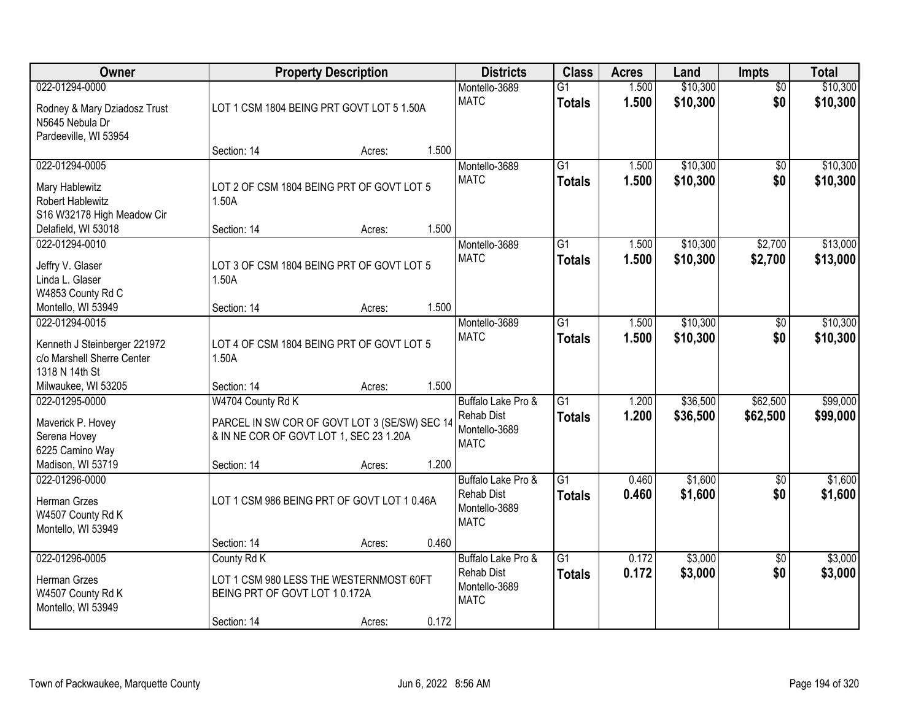| <b>Owner</b>                                                                                              |                                                                                                               | <b>Property Description</b> |       | <b>Districts</b>                                                        | <b>Class</b>                     | <b>Acres</b>   | Land                 | <b>Impts</b>           | <b>Total</b>         |
|-----------------------------------------------------------------------------------------------------------|---------------------------------------------------------------------------------------------------------------|-----------------------------|-------|-------------------------------------------------------------------------|----------------------------------|----------------|----------------------|------------------------|----------------------|
| 022-01294-0000<br>Rodney & Mary Dziadosz Trust<br>N5645 Nebula Dr<br>Pardeeville, WI 53954                | LOT 1 CSM 1804 BEING PRT GOVT LOT 5 1.50A                                                                     |                             |       | Montello-3689<br><b>MATC</b>                                            | $\overline{G1}$<br><b>Totals</b> | 1.500<br>1.500 | \$10,300<br>\$10,300 | $\overline{50}$<br>\$0 | \$10,300<br>\$10,300 |
|                                                                                                           | Section: 14                                                                                                   | Acres:                      | 1.500 |                                                                         |                                  |                |                      |                        |                      |
| 022-01294-0005<br>Mary Hablewitz<br>Robert Hablewitz<br>S16 W32178 High Meadow Cir<br>Delafield, WI 53018 | LOT 2 OF CSM 1804 BEING PRT OF GOVT LOT 5<br>1.50A<br>Section: 14                                             | Acres:                      | 1.500 | Montello-3689<br><b>MATC</b>                                            | $\overline{G1}$<br><b>Totals</b> | 1.500<br>1.500 | \$10,300<br>\$10,300 | \$0<br>\$0             | \$10,300<br>\$10,300 |
| 022-01294-0010                                                                                            |                                                                                                               |                             |       | Montello-3689                                                           | $\overline{G1}$                  | 1.500          | \$10,300             | \$2,700                | \$13,000             |
| Jeffry V. Glaser<br>Linda L. Glaser<br>W4853 County Rd C                                                  | LOT 3 OF CSM 1804 BEING PRT OF GOVT LOT 5<br>1.50A                                                            |                             |       | <b>MATC</b>                                                             | <b>Totals</b>                    | 1.500          | \$10,300             | \$2,700                | \$13,000             |
| Montello, WI 53949                                                                                        | Section: 14                                                                                                   | Acres:                      | 1.500 |                                                                         |                                  |                |                      |                        |                      |
| 022-01294-0015<br>Kenneth J Steinberger 221972<br>c/o Marshell Sherre Center<br>1318 N 14th St            | LOT 4 OF CSM 1804 BEING PRT OF GOVT LOT 5<br>1.50A                                                            |                             |       | Montello-3689<br><b>MATC</b>                                            | $\overline{G1}$<br><b>Totals</b> | 1.500<br>1.500 | \$10,300<br>\$10,300 | $\sqrt[6]{3}$<br>\$0   | \$10,300<br>\$10,300 |
| Milwaukee, WI 53205                                                                                       | Section: 14                                                                                                   | Acres:                      | 1.500 |                                                                         |                                  |                |                      |                        |                      |
| 022-01295-0000<br>Maverick P. Hovey<br>Serena Hovey<br>6225 Camino Way                                    | W4704 County Rd K<br>PARCEL IN SW COR OF GOVT LOT 3 (SE/SW) SEC 14<br>& IN NE COR OF GOVT LOT 1, SEC 23 1.20A |                             |       | Buffalo Lake Pro &<br><b>Rehab Dist</b><br>Montello-3689<br><b>MATC</b> | $\overline{G1}$<br><b>Totals</b> | 1.200<br>1.200 | \$36,500<br>\$36,500 | \$62,500<br>\$62,500   | \$99,000<br>\$99,000 |
| Madison, WI 53719                                                                                         | Section: 14                                                                                                   | Acres:                      | 1.200 |                                                                         |                                  |                |                      |                        |                      |
| 022-01296-0000<br>Herman Grzes<br>W4507 County Rd K<br>Montello, WI 53949                                 | LOT 1 CSM 986 BEING PRT OF GOVT LOT 1 0.46A                                                                   |                             |       | Buffalo Lake Pro &<br><b>Rehab Dist</b><br>Montello-3689<br><b>MATC</b> | $\overline{G1}$<br><b>Totals</b> | 0.460<br>0.460 | \$1,600<br>\$1,600   | $\sqrt{$0}$<br>\$0     | \$1,600<br>\$1,600   |
|                                                                                                           | Section: 14                                                                                                   | Acres:                      | 0.460 |                                                                         |                                  |                |                      |                        |                      |
| 022-01296-0005<br>Herman Grzes<br>W4507 County Rd K<br>Montello, WI 53949                                 | County Rd K<br>LOT 1 CSM 980 LESS THE WESTERNMOST 60FT<br>BEING PRT OF GOVT LOT 10.172A<br>Section: 14        | Acres:                      | 0.172 | Buffalo Lake Pro &<br><b>Rehab Dist</b><br>Montello-3689<br><b>MATC</b> | $\overline{G1}$<br><b>Totals</b> | 0.172<br>0.172 | \$3,000<br>\$3,000   | $\overline{30}$<br>\$0 | \$3,000<br>\$3,000   |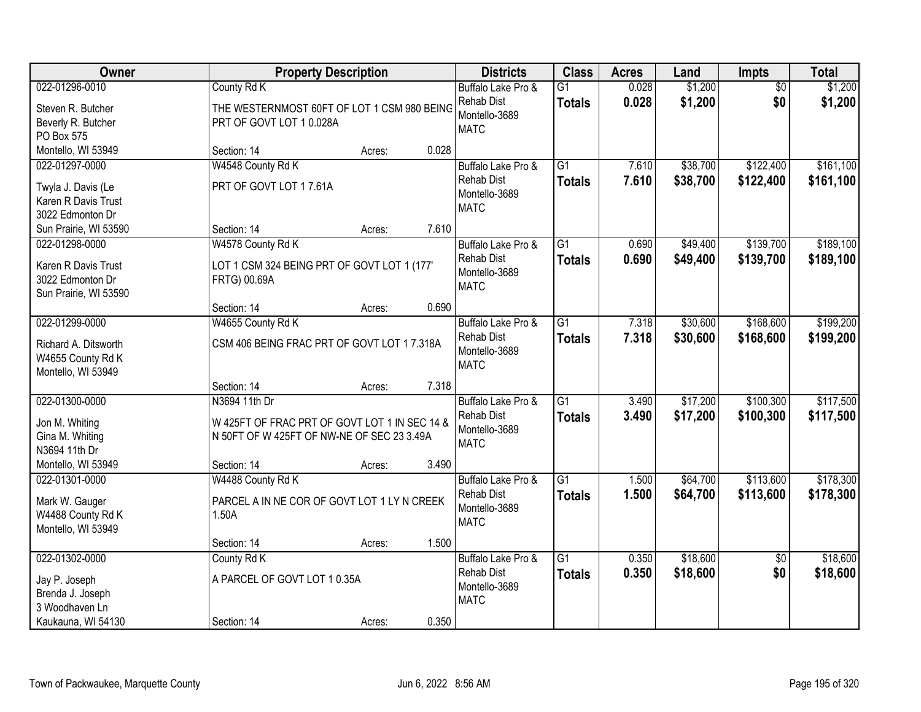| Owner                                                                              | <b>Property Description</b>                                                                                  | <b>Districts</b>                                                        | <b>Class</b>                     | <b>Acres</b>   | Land                 | <b>Impts</b>           | <b>Total</b>           |
|------------------------------------------------------------------------------------|--------------------------------------------------------------------------------------------------------------|-------------------------------------------------------------------------|----------------------------------|----------------|----------------------|------------------------|------------------------|
| 022-01296-0010<br>Steven R. Butcher<br>Beverly R. Butcher<br>PO Box 575            | County Rd K<br>THE WESTERNMOST 60FT OF LOT 1 CSM 980 BEING<br>PRT OF GOVT LOT 10.028A                        | Buffalo Lake Pro &<br><b>Rehab Dist</b><br>Montello-3689<br><b>MATC</b> | $\overline{G1}$<br><b>Totals</b> | 0.028<br>0.028 | \$1,200<br>\$1,200   | $\overline{50}$<br>\$0 | \$1,200<br>\$1,200     |
| Montello, WI 53949                                                                 | 0.028<br>Section: 14<br>Acres:                                                                               |                                                                         |                                  |                |                      |                        |                        |
| 022-01297-0000<br>Twyla J. Davis (Le<br>Karen R Davis Trust<br>3022 Edmonton Dr    | W4548 County Rd K<br>PRT OF GOVT LOT 17.61A                                                                  | Buffalo Lake Pro &<br><b>Rehab Dist</b><br>Montello-3689<br><b>MATC</b> | $\overline{G1}$<br><b>Totals</b> | 7.610<br>7.610 | \$38,700<br>\$38,700 | \$122,400<br>\$122,400 | \$161,100<br>\$161,100 |
| Sun Prairie, WI 53590                                                              | 7.610<br>Section: 14<br>Acres:                                                                               |                                                                         |                                  |                |                      |                        |                        |
| 022-01298-0000<br>Karen R Davis Trust<br>3022 Edmonton Dr<br>Sun Prairie, WI 53590 | W4578 County Rd K<br>LOT 1 CSM 324 BEING PRT OF GOVT LOT 1 (177'<br>FRTG) 00.69A                             | Buffalo Lake Pro &<br><b>Rehab Dist</b><br>Montello-3689<br><b>MATC</b> | $\overline{G1}$<br><b>Totals</b> | 0.690<br>0.690 | \$49,400<br>\$49,400 | \$139,700<br>\$139,700 | \$189,100<br>\$189,100 |
|                                                                                    | 0.690<br>Section: 14<br>Acres:                                                                               |                                                                         |                                  |                |                      |                        |                        |
| 022-01299-0000<br>Richard A. Ditsworth<br>W4655 County Rd K<br>Montello, WI 53949  | W4655 County Rd K<br>CSM 406 BEING FRAC PRT OF GOVT LOT 17.318A                                              | Buffalo Lake Pro &<br><b>Rehab Dist</b><br>Montello-3689<br><b>MATC</b> | G1<br><b>Totals</b>              | 7.318<br>7.318 | \$30,600<br>\$30,600 | \$168,600<br>\$168,600 | \$199,200<br>\$199,200 |
|                                                                                    | 7.318<br>Section: 14<br>Acres:                                                                               |                                                                         |                                  |                |                      |                        |                        |
| 022-01300-0000<br>Jon M. Whiting<br>Gina M. Whiting<br>N3694 11th Dr               | N3694 11th Dr<br>W 425FT OF FRAC PRT OF GOVT LOT 1 IN SEC 14 &<br>N 50FT OF W 425FT OF NW-NE OF SEC 23 3.49A | Buffalo Lake Pro &<br><b>Rehab Dist</b><br>Montello-3689<br><b>MATC</b> | $\overline{G1}$<br><b>Totals</b> | 3.490<br>3.490 | \$17,200<br>\$17,200 | \$100,300<br>\$100,300 | \$117,500<br>\$117,500 |
| Montello, WI 53949                                                                 | Section: 14<br>3.490<br>Acres:                                                                               |                                                                         |                                  |                |                      |                        |                        |
| 022-01301-0000<br>Mark W. Gauger<br>W4488 County Rd K<br>Montello, WI 53949        | W4488 County Rd K<br>PARCEL A IN NE COR OF GOVT LOT 1 LY N CREEK<br>1.50A                                    | Buffalo Lake Pro &<br><b>Rehab Dist</b><br>Montello-3689<br><b>MATC</b> | $\overline{G1}$<br><b>Totals</b> | 1.500<br>1.500 | \$64,700<br>\$64,700 | \$113,600<br>\$113,600 | \$178,300<br>\$178,300 |
| 022-01302-0000                                                                     | 1.500<br>Section: 14<br>Acres:<br>County Rd K                                                                |                                                                         | $\overline{G1}$                  | 0.350          | \$18,600             |                        | \$18,600               |
| Jay P. Joseph<br>Brenda J. Joseph<br>3 Woodhaven Ln                                | A PARCEL OF GOVT LOT 10.35A                                                                                  | Buffalo Lake Pro &<br><b>Rehab Dist</b><br>Montello-3689<br><b>MATC</b> | <b>Totals</b>                    | 0.350          | \$18,600             | $\overline{50}$<br>\$0 | \$18,600               |
| Kaukauna, WI 54130                                                                 | 0.350<br>Section: 14<br>Acres:                                                                               |                                                                         |                                  |                |                      |                        |                        |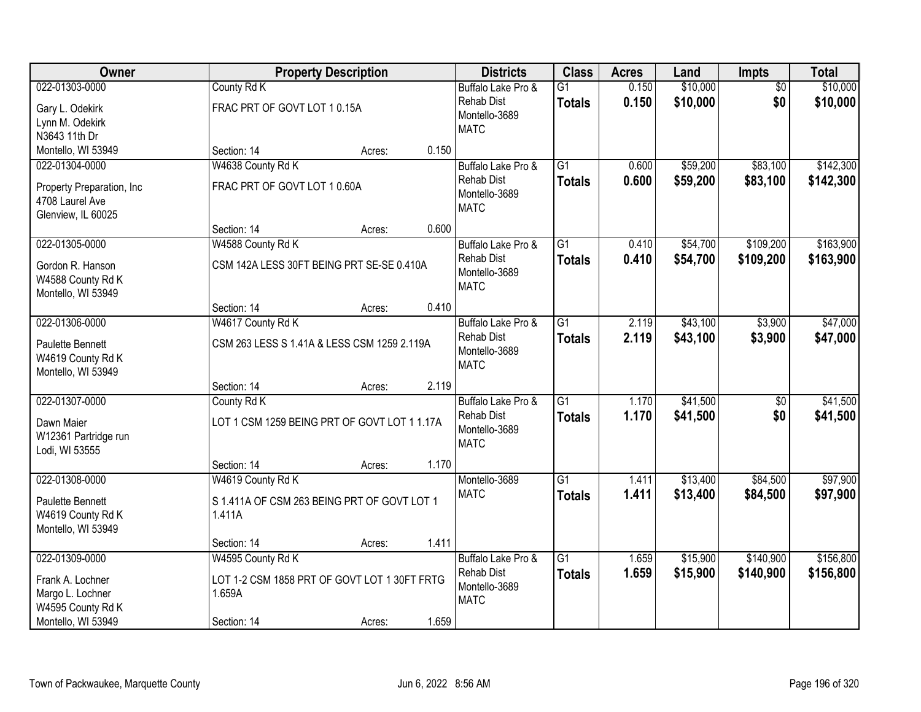| Owner                                   |                                                       | <b>Property Description</b> |       | <b>Districts</b>                        | <b>Class</b>                     | <b>Acres</b>   | Land                 | Impts                  | <b>Total</b>         |
|-----------------------------------------|-------------------------------------------------------|-----------------------------|-------|-----------------------------------------|----------------------------------|----------------|----------------------|------------------------|----------------------|
| 022-01303-0000                          | County Rd K                                           |                             |       | Buffalo Lake Pro &<br><b>Rehab Dist</b> | $\overline{G1}$<br><b>Totals</b> | 0.150<br>0.150 | \$10,000<br>\$10,000 | $\overline{50}$<br>\$0 | \$10,000<br>\$10,000 |
| Gary L. Odekirk                         | FRAC PRT OF GOVT LOT 10.15A                           |                             |       | Montello-3689                           |                                  |                |                      |                        |                      |
| Lynn M. Odekirk                         |                                                       |                             |       | <b>MATC</b>                             |                                  |                |                      |                        |                      |
| N3643 11th Dr                           |                                                       |                             | 0.150 |                                         |                                  |                |                      |                        |                      |
| Montello, WI 53949<br>022-01304-0000    | Section: 14                                           | Acres:                      |       |                                         | $\overline{G1}$                  | 0.600          | \$59,200             | \$83,100               | \$142,300            |
|                                         | W4638 County Rd K                                     |                             |       | Buffalo Lake Pro &<br><b>Rehab Dist</b> |                                  |                |                      |                        |                      |
| Property Preparation, Inc               | FRAC PRT OF GOVT LOT 10.60A                           |                             |       | Montello-3689                           | <b>Totals</b>                    | 0.600          | \$59,200             | \$83,100               | \$142,300            |
| 4708 Laurel Ave                         |                                                       |                             |       | <b>MATC</b>                             |                                  |                |                      |                        |                      |
| Glenview, IL 60025                      |                                                       |                             |       |                                         |                                  |                |                      |                        |                      |
|                                         | Section: 14                                           | Acres:                      | 0.600 |                                         |                                  |                |                      |                        |                      |
| 022-01305-0000                          | W4588 County Rd K                                     |                             |       | Buffalo Lake Pro &                      | $\overline{G1}$                  | 0.410          | \$54,700             | \$109,200              | \$163,900            |
| Gordon R. Hanson                        | CSM 142A LESS 30FT BEING PRT SE-SE 0.410A             |                             |       | <b>Rehab Dist</b>                       | <b>Totals</b>                    | 0.410          | \$54,700             | \$109,200              | \$163,900            |
| W4588 County Rd K                       |                                                       |                             |       | Montello-3689                           |                                  |                |                      |                        |                      |
| Montello, WI 53949                      |                                                       |                             |       | <b>MATC</b>                             |                                  |                |                      |                        |                      |
|                                         | Section: 14                                           | Acres:                      | 0.410 |                                         |                                  |                |                      |                        |                      |
| 022-01306-0000                          | W4617 County Rd K                                     |                             |       | Buffalo Lake Pro &                      | $\overline{G1}$                  | 2.119          | \$43,100             | \$3,900                | \$47,000             |
| <b>Paulette Bennett</b>                 | CSM 263 LESS S 1.41A & LESS CSM 1259 2.119A           |                             |       | <b>Rehab Dist</b>                       | <b>Totals</b>                    | 2.119          | \$43,100             | \$3,900                | \$47,000             |
| W4619 County Rd K                       |                                                       |                             |       | Montello-3689                           |                                  |                |                      |                        |                      |
| Montello, WI 53949                      |                                                       |                             |       | <b>MATC</b>                             |                                  |                |                      |                        |                      |
|                                         | Section: 14                                           | Acres:                      | 2.119 |                                         |                                  |                |                      |                        |                      |
| 022-01307-0000                          | County Rd K                                           |                             |       | Buffalo Lake Pro &                      | $\overline{G1}$                  | 1.170          | \$41,500             | $\overline{50}$        | \$41,500             |
|                                         | LOT 1 CSM 1259 BEING PRT OF GOVT LOT 1 1.17A          |                             |       | <b>Rehab Dist</b>                       | <b>Totals</b>                    | 1.170          | \$41,500             | \$0                    | \$41,500             |
| Dawn Maier<br>W12361 Partridge run      |                                                       |                             |       | Montello-3689                           |                                  |                |                      |                        |                      |
| Lodi, WI 53555                          |                                                       |                             |       | <b>MATC</b>                             |                                  |                |                      |                        |                      |
|                                         | Section: 14                                           | Acres:                      | 1.170 |                                         |                                  |                |                      |                        |                      |
| 022-01308-0000                          | W4619 County Rd K                                     |                             |       | Montello-3689                           | $\overline{G1}$                  | 1.411          | \$13,400             | \$84,500               | \$97,900             |
|                                         |                                                       |                             |       | <b>MATC</b>                             | <b>Totals</b>                    | 1.411          | \$13,400             | \$84,500               | \$97,900             |
| Paulette Bennett                        | S 1.411A OF CSM 263 BEING PRT OF GOVT LOT 1<br>1.411A |                             |       |                                         |                                  |                |                      |                        |                      |
| W4619 County Rd K<br>Montello, WI 53949 |                                                       |                             |       |                                         |                                  |                |                      |                        |                      |
|                                         | Section: 14                                           | Acres:                      | 1.411 |                                         |                                  |                |                      |                        |                      |
| 022-01309-0000                          | W4595 County Rd K                                     |                             |       | Buffalo Lake Pro &                      | $\overline{G1}$                  | 1.659          | \$15,900             | \$140,900              | \$156,800            |
|                                         |                                                       |                             |       | <b>Rehab Dist</b>                       | <b>Totals</b>                    | 1.659          | \$15,900             | \$140,900              | \$156,800            |
| Frank A. Lochner                        | LOT 1-2 CSM 1858 PRT OF GOVT LOT 1 30FT FRTG          |                             |       | Montello-3689                           |                                  |                |                      |                        |                      |
| Margo L. Lochner                        | 1.659A                                                |                             |       | <b>MATC</b>                             |                                  |                |                      |                        |                      |
| W4595 County Rd K                       |                                                       |                             |       |                                         |                                  |                |                      |                        |                      |
| Montello, WI 53949                      | Section: 14                                           | Acres:                      | 1.659 |                                         |                                  |                |                      |                        |                      |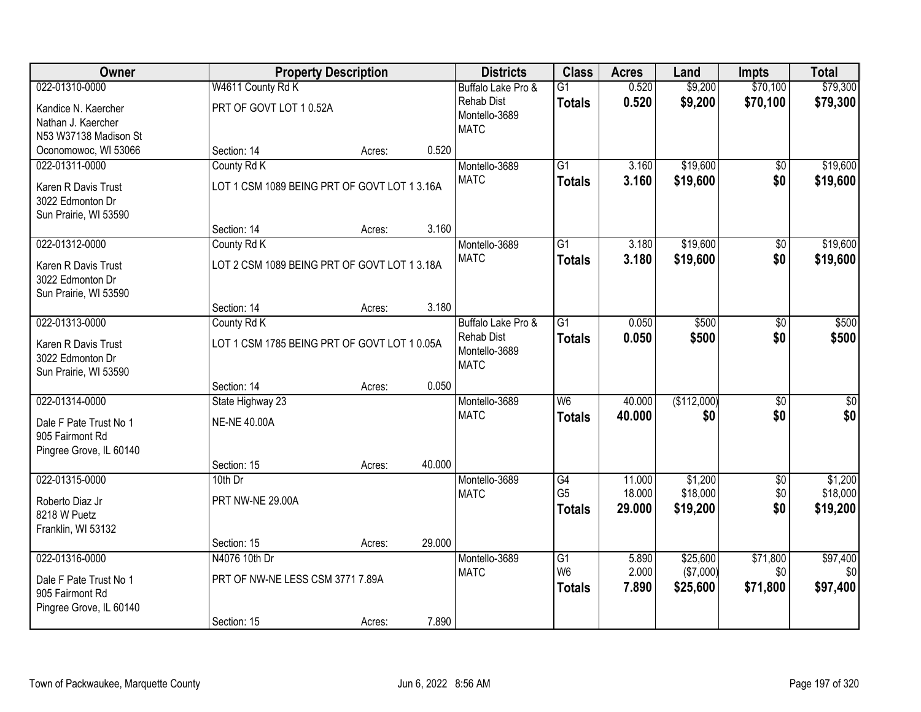| Owner                   |                                              | <b>Property Description</b> |        | <b>Districts</b>             | <b>Class</b>                      | <b>Acres</b>     | Land        | <b>Impts</b>    | <b>Total</b>    |
|-------------------------|----------------------------------------------|-----------------------------|--------|------------------------------|-----------------------------------|------------------|-------------|-----------------|-----------------|
| 022-01310-0000          | W4611 County Rd K                            |                             |        | Buffalo Lake Pro &           | $\overline{G1}$                   | 0.520            | \$9,200     | \$70,100        | \$79,300        |
| Kandice N. Kaercher     | PRT OF GOVT LOT 10.52A                       |                             |        | <b>Rehab Dist</b>            | <b>Totals</b>                     | 0.520            | \$9,200     | \$70,100        | \$79,300        |
| Nathan J. Kaercher      |                                              |                             |        | Montello-3689                |                                   |                  |             |                 |                 |
| N53 W37138 Madison St   |                                              |                             |        | <b>MATC</b>                  |                                   |                  |             |                 |                 |
| Oconomowoc, WI 53066    | Section: 14                                  | Acres:                      | 0.520  |                              |                                   |                  |             |                 |                 |
| 022-01311-0000          | County Rd K                                  |                             |        | Montello-3689                | $\overline{G1}$                   | 3.160            | \$19,600    | $\overline{50}$ | \$19,600        |
| Karen R Davis Trust     | LOT 1 CSM 1089 BEING PRT OF GOVT LOT 1 3.16A |                             |        | <b>MATC</b>                  | <b>Totals</b>                     | 3.160            | \$19,600    | \$0             | \$19,600        |
| 3022 Edmonton Dr        |                                              |                             |        |                              |                                   |                  |             |                 |                 |
| Sun Prairie, WI 53590   |                                              |                             |        |                              |                                   |                  |             |                 |                 |
|                         | Section: 14                                  | Acres:                      | 3.160  |                              |                                   |                  |             |                 |                 |
| 022-01312-0000          | County Rd K                                  |                             |        | Montello-3689                | $\overline{G1}$                   | 3.180            | \$19,600    | \$0             | \$19,600        |
| Karen R Davis Trust     | LOT 2 CSM 1089 BEING PRT OF GOVT LOT 1 3.18A |                             |        | <b>MATC</b>                  | <b>Totals</b>                     | 3.180            | \$19,600    | \$0             | \$19,600        |
| 3022 Edmonton Dr        |                                              |                             |        |                              |                                   |                  |             |                 |                 |
| Sun Prairie, WI 53590   |                                              |                             |        |                              |                                   |                  |             |                 |                 |
|                         | Section: 14                                  | Acres:                      | 3.180  |                              |                                   |                  |             |                 |                 |
| 022-01313-0000          | County Rd K                                  |                             |        | Buffalo Lake Pro &           | $\overline{G1}$                   | 0.050            | \$500       | \$0             | \$500           |
| Karen R Davis Trust     | LOT 1 CSM 1785 BEING PRT OF GOVT LOT 1 0.05A |                             |        | Rehab Dist                   | <b>Totals</b>                     | 0.050            | \$500       | \$0             | \$500           |
| 3022 Edmonton Dr        |                                              |                             |        | Montello-3689<br><b>MATC</b> |                                   |                  |             |                 |                 |
| Sun Prairie, WI 53590   |                                              |                             |        |                              |                                   |                  |             |                 |                 |
|                         | Section: 14                                  | Acres:                      | 0.050  |                              |                                   |                  |             |                 |                 |
| 022-01314-0000          | State Highway 23                             |                             |        | Montello-3689                | W <sub>6</sub>                    | 40.000           | (\$112,000) | $\overline{50}$ | \$0             |
| Dale F Pate Trust No 1  | <b>NE-NE 40.00A</b>                          |                             |        | <b>MATC</b>                  | <b>Totals</b>                     | 40.000           | \$0         | \$0             | \$0             |
| 905 Fairmont Rd         |                                              |                             |        |                              |                                   |                  |             |                 |                 |
| Pingree Grove, IL 60140 |                                              |                             |        |                              |                                   |                  |             |                 |                 |
|                         | Section: 15                                  | Acres:                      | 40.000 |                              |                                   |                  |             |                 |                 |
| 022-01315-0000          | 10th $Dr$                                    |                             |        | Montello-3689                | G4<br>G <sub>5</sub>              | 11.000           | \$1,200     | $\sqrt{6}$      | \$1,200         |
| Roberto Diaz Jr         | PRT NW-NE 29.00A                             |                             |        | <b>MATC</b>                  |                                   | 18.000<br>29.000 | \$18,000    | \$0<br>\$0      | \$18,000        |
| 8218 W Puetz            |                                              |                             |        |                              | <b>Totals</b>                     |                  | \$19,200    |                 | \$19,200        |
| Franklin, WI 53132      |                                              |                             |        |                              |                                   |                  |             |                 |                 |
|                         | Section: 15                                  | Acres:                      | 29.000 |                              |                                   |                  |             |                 |                 |
| 022-01316-0000          | N4076 10th Dr                                |                             |        | Montello-3689                | $\overline{G1}$<br>W <sub>6</sub> | 5.890<br>2.000   | \$25,600    | \$71,800        | \$97,400<br>\$0 |
| Dale F Pate Trust No 1  | PRT OF NW-NE LESS CSM 3771 7.89A             |                             |        | <b>MATC</b>                  |                                   |                  | (\$7,000)   | \$0             |                 |
| 905 Fairmont Rd         |                                              |                             |        |                              | <b>Totals</b>                     | 7.890            | \$25,600    | \$71,800        | \$97,400        |
| Pingree Grove, IL 60140 |                                              |                             |        |                              |                                   |                  |             |                 |                 |
|                         | Section: 15                                  | Acres:                      | 7.890  |                              |                                   |                  |             |                 |                 |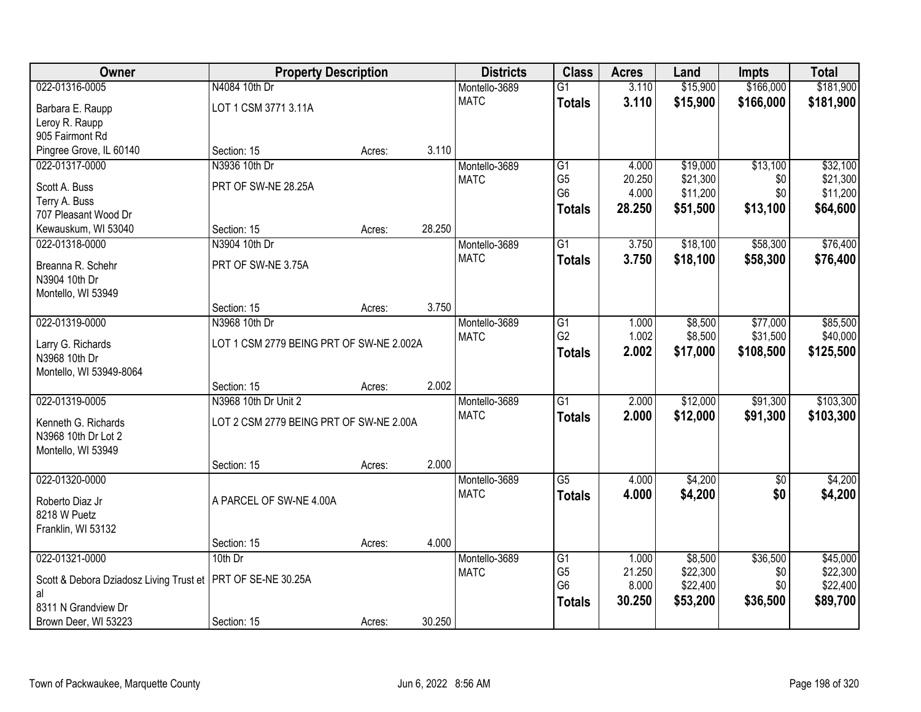| Owner                                   | <b>Property Description</b>              |        |        | <b>Districts</b> | <b>Class</b>    | <b>Acres</b> | Land     | <b>Impts</b> | <b>Total</b> |
|-----------------------------------------|------------------------------------------|--------|--------|------------------|-----------------|--------------|----------|--------------|--------------|
| 022-01316-0005                          | N4084 10th Dr                            |        |        | Montello-3689    | $\overline{G1}$ | 3.110        | \$15,900 | \$166,000    | \$181,900    |
| Barbara E. Raupp                        | LOT 1 CSM 3771 3.11A                     |        |        | <b>MATC</b>      | <b>Totals</b>   | 3.110        | \$15,900 | \$166,000    | \$181,900    |
| Leroy R. Raupp                          |                                          |        |        |                  |                 |              |          |              |              |
| 905 Fairmont Rd                         |                                          |        |        |                  |                 |              |          |              |              |
| Pingree Grove, IL 60140                 | Section: 15                              | Acres: | 3.110  |                  |                 |              |          |              |              |
| 022-01317-0000                          | N3936 10th Dr                            |        |        | Montello-3689    | G1              | 4.000        | \$19,000 | \$13,100     | \$32,100     |
| Scott A. Buss                           | PRT OF SW-NE 28.25A                      |        |        | <b>MATC</b>      | G <sub>5</sub>  | 20.250       | \$21,300 | \$0          | \$21,300     |
| Terry A. Buss                           |                                          |        |        |                  | G <sub>6</sub>  | 4.000        | \$11,200 | \$0          | \$11,200     |
| 707 Pleasant Wood Dr                    |                                          |        |        |                  | <b>Totals</b>   | 28.250       | \$51,500 | \$13,100     | \$64,600     |
| Kewauskum, WI 53040                     | Section: 15                              | Acres: | 28.250 |                  |                 |              |          |              |              |
| 022-01318-0000                          | N3904 10th Dr                            |        |        | Montello-3689    | G1              | 3.750        | \$18,100 | \$58,300     | \$76,400     |
| Breanna R. Schehr                       | PRT OF SW-NE 3.75A                       |        |        | <b>MATC</b>      | <b>Totals</b>   | 3.750        | \$18,100 | \$58,300     | \$76,400     |
| N3904 10th Dr                           |                                          |        |        |                  |                 |              |          |              |              |
| Montello, WI 53949                      |                                          |        |        |                  |                 |              |          |              |              |
|                                         | Section: 15                              | Acres: | 3.750  |                  |                 |              |          |              |              |
| 022-01319-0000                          | N3968 10th Dr                            |        |        | Montello-3689    | G1              | 1.000        | \$8,500  | \$77,000     | \$85,500     |
| Larry G. Richards                       | LOT 1 CSM 2779 BEING PRT OF SW-NE 2.002A |        |        | <b>MATC</b>      | G <sub>2</sub>  | 1.002        | \$8,500  | \$31,500     | \$40,000     |
| N3968 10th Dr                           |                                          |        |        |                  | <b>Totals</b>   | 2.002        | \$17,000 | \$108,500    | \$125,500    |
| Montello, WI 53949-8064                 |                                          |        |        |                  |                 |              |          |              |              |
|                                         | Section: 15                              | Acres: | 2.002  |                  |                 |              |          |              |              |
| 022-01319-0005                          | N3968 10th Dr Unit 2                     |        |        | Montello-3689    | $\overline{G1}$ | 2.000        | \$12,000 | \$91,300     | \$103,300    |
| Kenneth G. Richards                     | LOT 2 CSM 2779 BEING PRT OF SW-NE 2.00A  |        |        | <b>MATC</b>      | <b>Totals</b>   | 2.000        | \$12,000 | \$91,300     | \$103,300    |
| N3968 10th Dr Lot 2                     |                                          |        |        |                  |                 |              |          |              |              |
| Montello, WI 53949                      |                                          |        |        |                  |                 |              |          |              |              |
|                                         | Section: 15                              | Acres: | 2.000  |                  |                 |              |          |              |              |
| 022-01320-0000                          |                                          |        |        | Montello-3689    | $\overline{G5}$ | 4.000        | \$4,200  | $\sqrt{6}$   | \$4,200      |
| Roberto Diaz Jr                         | A PARCEL OF SW-NE 4.00A                  |        |        | <b>MATC</b>      | <b>Totals</b>   | 4.000        | \$4,200  | \$0          | \$4,200      |
| 8218 W Puetz                            |                                          |        |        |                  |                 |              |          |              |              |
| Franklin, WI 53132                      |                                          |        |        |                  |                 |              |          |              |              |
|                                         | Section: 15                              | Acres: | 4.000  |                  |                 |              |          |              |              |
| 022-01321-0000                          | 10th Dr                                  |        |        | Montello-3689    | $\overline{G1}$ | 1.000        | \$8,500  | \$36,500     | \$45,000     |
| Scott & Debora Dziadosz Living Trust et | PRT OF SE-NE 30.25A                      |        |        | <b>MATC</b>      | G <sub>5</sub>  | 21.250       | \$22,300 | \$0          | \$22,300     |
| al                                      |                                          |        |        |                  | G <sub>6</sub>  | 8.000        | \$22,400 | \$0          | \$22,400     |
| 8311 N Grandview Dr                     |                                          |        |        |                  | <b>Totals</b>   | 30.250       | \$53,200 | \$36,500     | \$89,700     |
| Brown Deer, WI 53223                    | Section: 15                              | Acres: | 30.250 |                  |                 |              |          |              |              |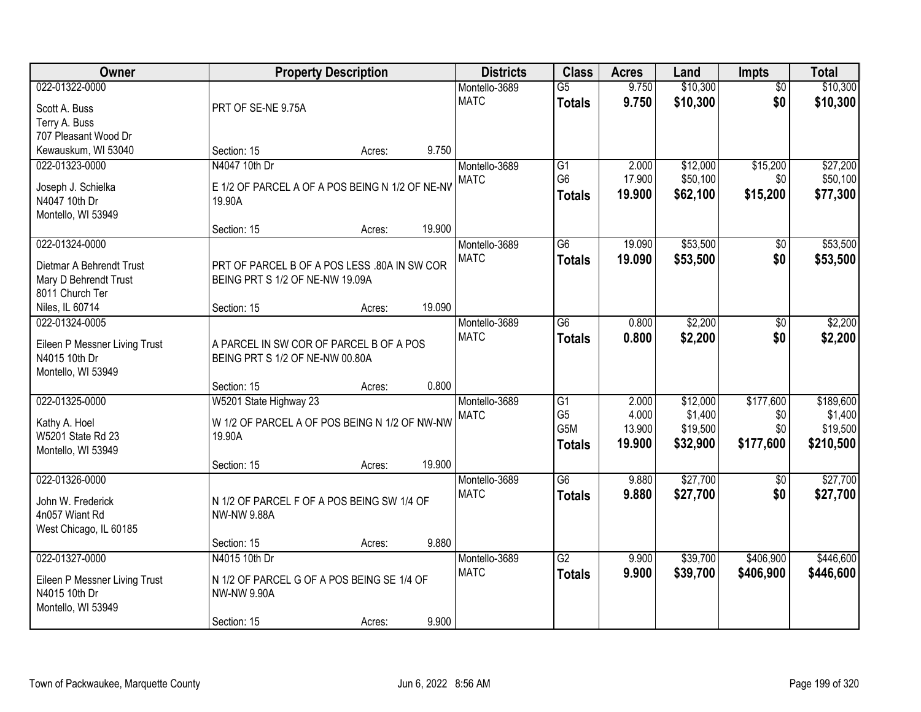| <b>Owner</b>                                   |                                                                  | <b>Property Description</b> |        | <b>Districts</b> | <b>Class</b>    | <b>Acres</b> | Land     | <b>Impts</b>    | <b>Total</b> |
|------------------------------------------------|------------------------------------------------------------------|-----------------------------|--------|------------------|-----------------|--------------|----------|-----------------|--------------|
| 022-01322-0000                                 |                                                                  |                             |        | Montello-3689    | $\overline{G5}$ | 9.750        | \$10,300 | $\overline{30}$ | \$10,300     |
| Scott A. Buss                                  | PRT OF SE-NE 9.75A                                               |                             |        | <b>MATC</b>      | <b>Totals</b>   | 9.750        | \$10,300 | \$0             | \$10,300     |
| Terry A. Buss                                  |                                                                  |                             |        |                  |                 |              |          |                 |              |
| 707 Pleasant Wood Dr                           |                                                                  |                             |        |                  |                 |              |          |                 |              |
| Kewauskum, WI 53040                            | Section: 15                                                      | Acres:                      | 9.750  |                  |                 |              |          |                 |              |
| 022-01323-0000                                 | N4047 10th Dr                                                    |                             |        | Montello-3689    | $\overline{G1}$ | 2.000        | \$12,000 | \$15,200        | \$27,200     |
| Joseph J. Schielka                             | E 1/2 OF PARCEL A OF A POS BEING N 1/2 OF NE-NV                  |                             |        | <b>MATC</b>      | G <sub>6</sub>  | 17.900       | \$50,100 | \$0             | \$50,100     |
| N4047 10th Dr                                  | 19.90A                                                           |                             |        |                  | <b>Totals</b>   | 19.900       | \$62,100 | \$15,200        | \$77,300     |
| Montello, WI 53949                             |                                                                  |                             |        |                  |                 |              |          |                 |              |
|                                                | Section: 15                                                      | Acres:                      | 19.900 |                  |                 |              |          |                 |              |
| 022-01324-0000                                 |                                                                  |                             |        | Montello-3689    | $\overline{G6}$ | 19.090       | \$53,500 | \$0             | \$53,500     |
| Dietmar A Behrendt Trust                       | PRT OF PARCEL B OF A POS LESS .80A IN SW COR                     |                             |        | <b>MATC</b>      | <b>Totals</b>   | 19.090       | \$53,500 | \$0             | \$53,500     |
| Mary D Behrendt Trust                          | BEING PRT S 1/2 OF NE-NW 19.09A                                  |                             |        |                  |                 |              |          |                 |              |
| 8011 Church Ter                                |                                                                  |                             |        |                  |                 |              |          |                 |              |
| Niles, IL 60714                                | Section: 15                                                      | Acres:                      | 19.090 |                  |                 |              |          |                 |              |
| 022-01324-0005                                 |                                                                  |                             |        | Montello-3689    | $\overline{G6}$ | 0.800        | \$2,200  | $\sqrt[6]{}$    | \$2,200      |
| Eileen P Messner Living Trust                  | A PARCEL IN SW COR OF PARCEL B OF A POS                          |                             |        | <b>MATC</b>      | <b>Totals</b>   | 0.800        | \$2,200  | \$0             | \$2,200      |
| N4015 10th Dr                                  | BEING PRT S 1/2 OF NE-NW 00.80A                                  |                             |        |                  |                 |              |          |                 |              |
| Montello, WI 53949                             |                                                                  |                             |        |                  |                 |              |          |                 |              |
|                                                | Section: 15                                                      | Acres:                      | 0.800  |                  |                 |              |          |                 |              |
| 022-01325-0000                                 | W5201 State Highway 23                                           |                             |        | Montello-3689    | $\overline{G1}$ | 2.000        | \$12,000 | \$177,600       | \$189,600    |
|                                                | W 1/2 OF PARCEL A OF POS BEING N 1/2 OF NW-NW                    |                             |        | <b>MATC</b>      | G <sub>5</sub>  | 4.000        | \$1,400  | \$0             | \$1,400      |
| Kathy A. Hoel<br>W5201 State Rd 23             | 19.90A                                                           |                             |        |                  | G5M             | 13.900       | \$19,500 | \$0             | \$19,500     |
| Montello, WI 53949                             |                                                                  |                             |        |                  | <b>Totals</b>   | 19.900       | \$32,900 | \$177,600       | \$210,500    |
|                                                | Section: 15                                                      | Acres:                      | 19.900 |                  |                 |              |          |                 |              |
| 022-01326-0000                                 |                                                                  |                             |        | Montello-3689    | $\overline{G6}$ | 9.880        | \$27,700 | \$0             | \$27,700     |
|                                                | N 1/2 OF PARCEL F OF A POS BEING SW 1/4 OF                       |                             |        | <b>MATC</b>      | <b>Totals</b>   | 9.880        | \$27,700 | \$0             | \$27,700     |
| John W. Frederick<br>4n057 Wiant Rd            | <b>NW-NW 9.88A</b>                                               |                             |        |                  |                 |              |          |                 |              |
| West Chicago, IL 60185                         |                                                                  |                             |        |                  |                 |              |          |                 |              |
|                                                | Section: 15                                                      | Acres:                      | 9.880  |                  |                 |              |          |                 |              |
| 022-01327-0000                                 | N4015 10th Dr                                                    |                             |        | Montello-3689    | $\overline{G2}$ | 9.900        | \$39,700 | \$406,900       | \$446,600    |
|                                                |                                                                  |                             |        | <b>MATC</b>      | <b>Totals</b>   | 9.900        | \$39,700 | \$406,900       | \$446,600    |
| Eileen P Messner Living Trust<br>N4015 10th Dr | N 1/2 OF PARCEL G OF A POS BEING SE 1/4 OF<br><b>NW-NW 9.90A</b> |                             |        |                  |                 |              |          |                 |              |
| Montello, WI 53949                             |                                                                  |                             |        |                  |                 |              |          |                 |              |
|                                                | Section: 15                                                      | Acres:                      | 9.900  |                  |                 |              |          |                 |              |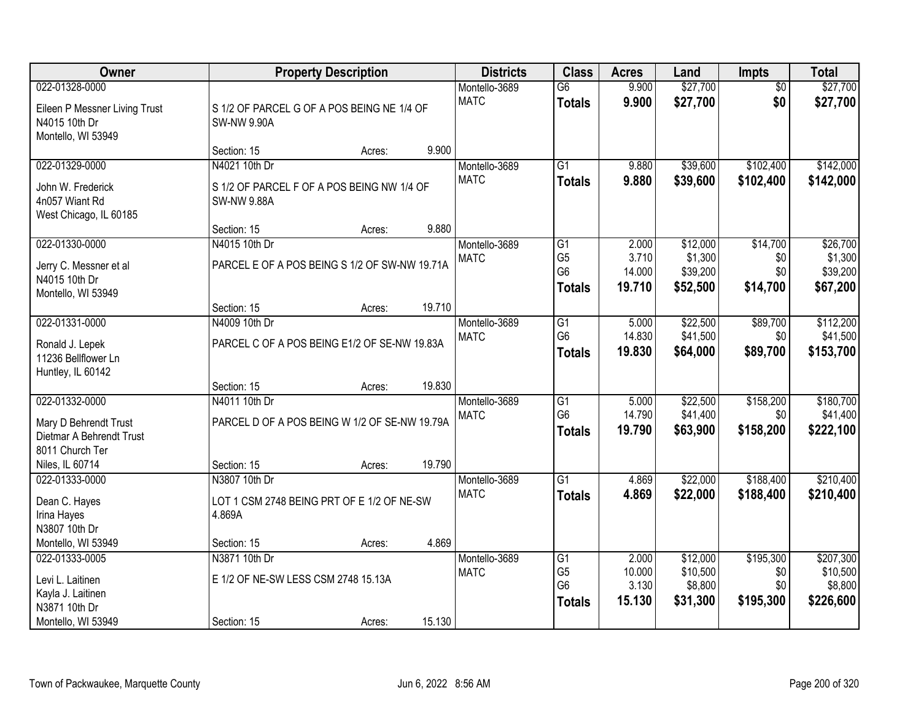| Owner                                                                                  |                                                                                      | <b>Property Description</b> |        | <b>Districts</b>             | <b>Class</b>                                                         | <b>Acres</b>                       | Land                                        | Impts                              | <b>Total</b>                                |
|----------------------------------------------------------------------------------------|--------------------------------------------------------------------------------------|-----------------------------|--------|------------------------------|----------------------------------------------------------------------|------------------------------------|---------------------------------------------|------------------------------------|---------------------------------------------|
| 022-01328-0000<br>Eileen P Messner Living Trust<br>N4015 10th Dr<br>Montello, WI 53949 | S 1/2 OF PARCEL G OF A POS BEING NE 1/4 OF<br><b>SW-NW 9.90A</b>                     |                             |        | Montello-3689<br><b>MATC</b> | $\overline{G6}$<br><b>Totals</b>                                     | 9.900<br>9.900                     | \$27,700<br>\$27,700                        | $\overline{50}$<br>\$0             | \$27,700<br>\$27,700                        |
|                                                                                        | Section: 15                                                                          | Acres:                      | 9.900  |                              |                                                                      |                                    |                                             |                                    |                                             |
| 022-01329-0000<br>John W. Frederick<br>4n057 Wiant Rd<br>West Chicago, IL 60185        | N4021 10th Dr<br>S 1/2 OF PARCEL F OF A POS BEING NW 1/4 OF<br><b>SW-NW 9.88A</b>    |                             |        | Montello-3689<br><b>MATC</b> | $\overline{G1}$<br><b>Totals</b>                                     | 9.880<br>9.880                     | \$39,600<br>\$39,600                        | \$102,400<br>\$102,400             | \$142,000<br>\$142,000                      |
|                                                                                        | Section: 15                                                                          | Acres:                      | 9.880  |                              |                                                                      |                                    |                                             |                                    |                                             |
| 022-01330-0000<br>Jerry C. Messner et al<br>N4015 10th Dr<br>Montello, WI 53949        | N4015 10th Dr<br>PARCEL E OF A POS BEING S 1/2 OF SW-NW 19.71A                       |                             |        | Montello-3689<br><b>MATC</b> | $\overline{G1}$<br>G <sub>5</sub><br>G <sub>6</sub><br><b>Totals</b> | 2.000<br>3.710<br>14.000<br>19.710 | \$12,000<br>\$1,300<br>\$39,200<br>\$52,500 | \$14,700<br>\$0<br>\$0<br>\$14,700 | \$26,700<br>\$1,300<br>\$39,200<br>\$67,200 |
|                                                                                        | Section: 15                                                                          | Acres:                      | 19.710 |                              |                                                                      |                                    |                                             |                                    |                                             |
| 022-01331-0000<br>Ronald J. Lepek<br>11236 Bellflower Ln<br>Huntley, IL 60142          | N4009 10th Dr<br>PARCEL C OF A POS BEING E1/2 OF SE-NW 19.83A                        |                             |        | Montello-3689<br><b>MATC</b> | G1<br>G <sub>6</sub><br><b>Totals</b>                                | 5.000<br>14.830<br>19.830          | \$22,500<br>\$41,500<br>\$64,000            | \$89,700<br>\$0<br>\$89,700        | \$112,200<br>\$41,500<br>\$153,700          |
|                                                                                        | Section: 15                                                                          | Acres:                      | 19.830 |                              |                                                                      |                                    |                                             |                                    |                                             |
| 022-01332-0000<br>Mary D Behrendt Trust<br>Dietmar A Behrendt Trust<br>8011 Church Ter | N4011 10th Dr<br>PARCEL D OF A POS BEING W 1/2 OF SE-NW 19.79A                       |                             |        | Montello-3689<br><b>MATC</b> | $\overline{G1}$<br>G <sub>6</sub><br><b>Totals</b>                   | 5.000<br>14.790<br>19.790          | \$22,500<br>\$41,400<br>\$63,900            | \$158,200<br>\$0<br>\$158,200      | \$180,700<br>\$41,400<br>\$222,100          |
| Niles, IL 60714                                                                        | Section: 15                                                                          | Acres:                      | 19.790 |                              |                                                                      |                                    |                                             |                                    |                                             |
| 022-01333-0000<br>Dean C. Hayes<br>Irina Hayes<br>N3807 10th Dr<br>Montello, WI 53949  | N3807 10th Dr<br>LOT 1 CSM 2748 BEING PRT OF E 1/2 OF NE-SW<br>4.869A<br>Section: 15 | Acres:                      | 4.869  | Montello-3689<br><b>MATC</b> | G1<br><b>Totals</b>                                                  | 4.869<br>4.869                     | \$22,000<br>\$22,000                        | \$188,400<br>\$188,400             | \$210,400<br>\$210,400                      |
| 022-01333-0005                                                                         | N3871 10th Dr                                                                        |                             |        | Montello-3689                | $\overline{G1}$                                                      | 2.000                              | \$12,000                                    | \$195,300                          | \$207,300                                   |
| Levi L. Laitinen<br>Kayla J. Laitinen<br>N3871 10th Dr<br>Montello, WI 53949           | E 1/2 OF NE-SW LESS CSM 2748 15.13A<br>Section: 15                                   | Acres:                      | 15.130 | <b>MATC</b>                  | G <sub>5</sub><br>G <sub>6</sub><br><b>Totals</b>                    | 10.000<br>3.130<br>15.130          | \$10,500<br>\$8,800<br>\$31,300             | \$0<br>\$0<br>\$195,300            | \$10,500<br>\$8,800<br>\$226,600            |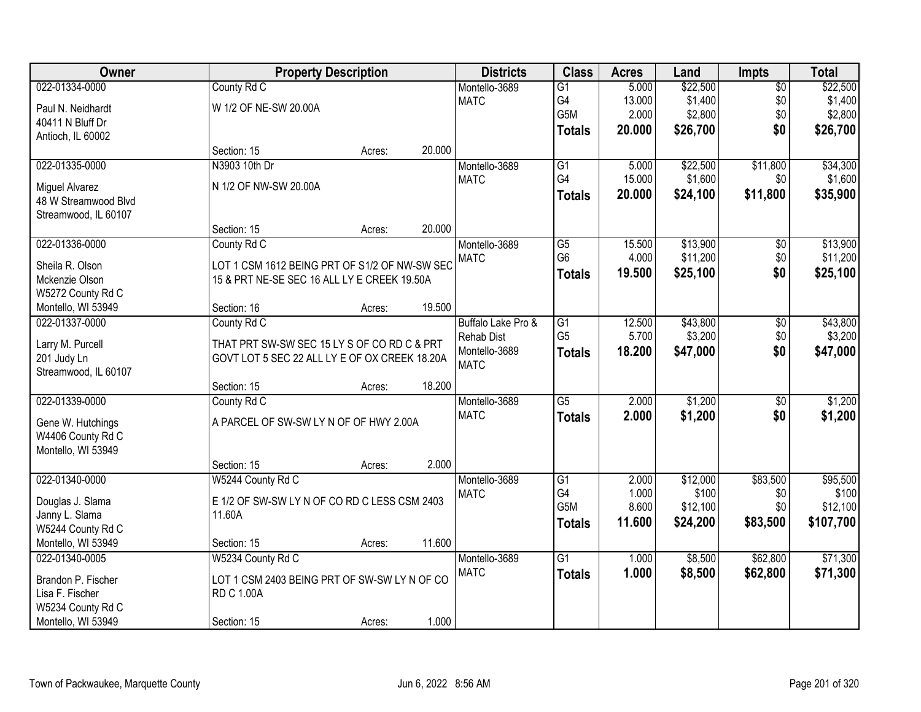| Owner                |                                               | <b>Property Description</b> |        | <b>Districts</b>   | <b>Class</b>     | <b>Acres</b> | Land     | <b>Impts</b>    | <b>Total</b> |
|----------------------|-----------------------------------------------|-----------------------------|--------|--------------------|------------------|--------------|----------|-----------------|--------------|
| 022-01334-0000       | County Rd C                                   |                             |        | Montello-3689      | $\overline{G1}$  | 5.000        | \$22,500 | $\overline{50}$ | \$22,500     |
| Paul N. Neidhardt    | W 1/2 OF NE-SW 20.00A                         |                             |        | <b>MATC</b>        | G4               | 13.000       | \$1,400  | \$0             | \$1,400      |
| 40411 N Bluff Dr     |                                               |                             |        |                    | G5M              | 2.000        | \$2,800  | \$0             | \$2,800      |
| Antioch, IL 60002    |                                               |                             |        |                    | <b>Totals</b>    | 20.000       | \$26,700 | \$0             | \$26,700     |
|                      | Section: 15                                   | Acres:                      | 20.000 |                    |                  |              |          |                 |              |
| 022-01335-0000       | N3903 10th Dr                                 |                             |        | Montello-3689      | G1               | 5.000        | \$22,500 | \$11,800        | \$34,300     |
| Miguel Alvarez       | N 1/2 OF NW-SW 20.00A                         |                             |        | <b>MATC</b>        | G4               | 15.000       | \$1,600  | \$0             | \$1,600      |
| 48 W Streamwood Blvd |                                               |                             |        |                    | <b>Totals</b>    | 20.000       | \$24,100 | \$11,800        | \$35,900     |
| Streamwood, IL 60107 |                                               |                             |        |                    |                  |              |          |                 |              |
|                      | Section: 15                                   | Acres:                      | 20.000 |                    |                  |              |          |                 |              |
| 022-01336-0000       | County Rd C                                   |                             |        | Montello-3689      | $\overline{G5}$  | 15.500       | \$13,900 | \$0             | \$13,900     |
| Sheila R. Olson      | LOT 1 CSM 1612 BEING PRT OF S1/2 OF NW-SW SEC |                             |        | <b>MATC</b>        | G <sub>6</sub>   | 4.000        | \$11,200 | \$0             | \$11,200     |
| Mckenzie Olson       | 15 & PRT NE-SE SEC 16 ALL LY E CREEK 19.50A   |                             |        |                    | <b>Totals</b>    | 19.500       | \$25,100 | \$0             | \$25,100     |
| W5272 County Rd C    |                                               |                             |        |                    |                  |              |          |                 |              |
| Montello, WI 53949   | Section: 16                                   | Acres:                      | 19.500 |                    |                  |              |          |                 |              |
| 022-01337-0000       | County Rd C                                   |                             |        | Buffalo Lake Pro & | $\overline{G1}$  | 12.500       | \$43,800 | \$0             | \$43,800     |
| Larry M. Purcell     | THAT PRT SW-SW SEC 15 LY S OF CO RD C & PRT   |                             |        | <b>Rehab Dist</b>  | G <sub>5</sub>   | 5.700        | \$3,200  | \$0             | \$3,200      |
| 201 Judy Ln          | GOVT LOT 5 SEC 22 ALL LY E OF OX CREEK 18.20A |                             |        | Montello-3689      | <b>Totals</b>    | 18.200       | \$47,000 | \$0             | \$47,000     |
| Streamwood, IL 60107 |                                               |                             |        | <b>MATC</b>        |                  |              |          |                 |              |
|                      | Section: 15                                   | Acres:                      | 18.200 |                    |                  |              |          |                 |              |
| 022-01339-0000       | County Rd C                                   |                             |        | Montello-3689      | $\overline{G5}$  | 2.000        | \$1,200  | $\overline{50}$ | \$1,200      |
| Gene W. Hutchings    | A PARCEL OF SW-SW LY N OF OF HWY 2.00A        |                             |        | <b>MATC</b>        | <b>Totals</b>    | 2.000        | \$1,200  | \$0             | \$1,200      |
| W4406 County Rd C    |                                               |                             |        |                    |                  |              |          |                 |              |
| Montello, WI 53949   |                                               |                             |        |                    |                  |              |          |                 |              |
|                      | Section: 15                                   | Acres:                      | 2.000  |                    |                  |              |          |                 |              |
| 022-01340-0000       | W5244 County Rd C                             |                             |        | Montello-3689      | G1               | 2.000        | \$12,000 | \$83,500        | \$95,500     |
| Douglas J. Slama     | E 1/2 OF SW-SW LY N OF CO RD C LESS CSM 2403  |                             |        | <b>MATC</b>        | G4               | 1.000        | \$100    | \$0             | \$100        |
| Janny L. Slama       | 11.60A                                        |                             |        |                    | G <sub>5</sub> M | 8.600        | \$12,100 | \$0             | \$12,100     |
| W5244 County Rd C    |                                               |                             |        |                    | <b>Totals</b>    | 11.600       | \$24,200 | \$83,500        | \$107,700    |
| Montello, WI 53949   | Section: 15                                   | Acres:                      | 11.600 |                    |                  |              |          |                 |              |
| 022-01340-0005       | W5234 County Rd C                             |                             |        | Montello-3689      | $\overline{G1}$  | 1.000        | \$8,500  | \$62,800        | \$71,300     |
| Brandon P. Fischer   | LOT 1 CSM 2403 BEING PRT OF SW-SW LY N OF CO  |                             |        | <b>MATC</b>        | <b>Totals</b>    | 1.000        | \$8,500  | \$62,800        | \$71,300     |
| Lisa F. Fischer      | <b>RD C 1.00A</b>                             |                             |        |                    |                  |              |          |                 |              |
| W5234 County Rd C    |                                               |                             |        |                    |                  |              |          |                 |              |
| Montello, WI 53949   | Section: 15                                   | Acres:                      | 1.000  |                    |                  |              |          |                 |              |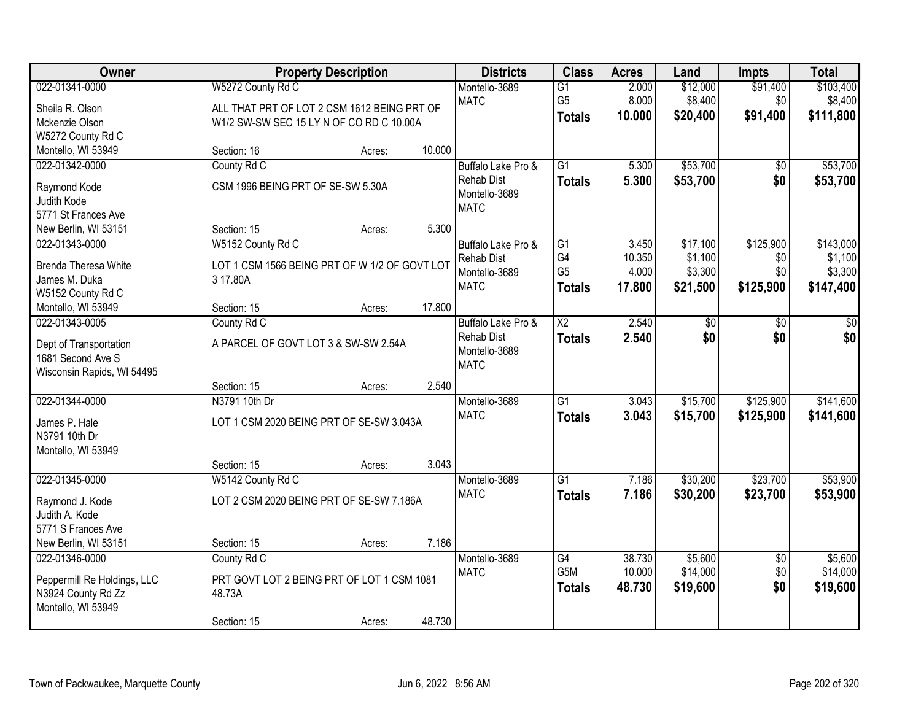| Owner                                       |                                               | <b>Property Description</b> |        | <b>Districts</b>   | <b>Class</b>           | <b>Acres</b> | Land     | <b>Impts</b>    | <b>Total</b> |
|---------------------------------------------|-----------------------------------------------|-----------------------------|--------|--------------------|------------------------|--------------|----------|-----------------|--------------|
| 022-01341-0000                              | W5272 County Rd C                             |                             |        | Montello-3689      | $\overline{G1}$        | 2.000        | \$12,000 | \$91,400        | \$103,400    |
| Sheila R. Olson                             | ALL THAT PRT OF LOT 2 CSM 1612 BEING PRT OF   |                             |        | <b>MATC</b>        | G <sub>5</sub>         | 8.000        | \$8,400  | \$0             | \$8,400      |
| Mckenzie Olson                              | W1/2 SW-SW SEC 15 LY N OF CO RD C 10.00A      |                             |        |                    | <b>Totals</b>          | 10.000       | \$20,400 | \$91,400        | \$111,800    |
| W5272 County Rd C                           |                                               |                             |        |                    |                        |              |          |                 |              |
| Montello, WI 53949                          | Section: 16                                   | Acres:                      | 10.000 |                    |                        |              |          |                 |              |
| 022-01342-0000                              | County Rd C                                   |                             |        | Buffalo Lake Pro & | $\overline{G1}$        | 5.300        | \$53,700 | \$0             | \$53,700     |
| Raymond Kode                                | CSM 1996 BEING PRT OF SE-SW 5.30A             |                             |        | <b>Rehab Dist</b>  | <b>Totals</b>          | 5.300        | \$53,700 | \$0             | \$53,700     |
| Judith Kode                                 |                                               |                             |        | Montello-3689      |                        |              |          |                 |              |
| 5771 St Frances Ave                         |                                               |                             |        | <b>MATC</b>        |                        |              |          |                 |              |
| New Berlin, WI 53151                        | Section: 15                                   | Acres:                      | 5.300  |                    |                        |              |          |                 |              |
| 022-01343-0000                              | W5152 County Rd C                             |                             |        | Buffalo Lake Pro & | $\overline{G1}$        | 3.450        | \$17,100 | \$125,900       | \$143,000    |
| <b>Brenda Theresa White</b>                 | LOT 1 CSM 1566 BEING PRT OF W 1/2 OF GOVT LOT |                             |        | <b>Rehab Dist</b>  | G4                     | 10.350       | \$1,100  | \$0             | \$1,100      |
| James M. Duka                               | 3 17.80A                                      |                             |        | Montello-3689      | G <sub>5</sub>         | 4.000        | \$3,300  | \$0             | \$3,300      |
| W5152 County Rd C                           |                                               |                             |        | <b>MATC</b>        | <b>Totals</b>          | 17.800       | \$21,500 | \$125,900       | \$147,400    |
| Montello, WI 53949                          | Section: 15                                   | Acres:                      | 17.800 |                    |                        |              |          |                 |              |
| 022-01343-0005                              | County Rd C                                   |                             |        | Buffalo Lake Pro & | $\overline{\text{X2}}$ | 2.540        | \$0      | \$0             | \$0          |
|                                             | A PARCEL OF GOVT LOT 3 & SW-SW 2.54A          |                             |        | <b>Rehab Dist</b>  | <b>Totals</b>          | 2.540        | \$0      | \$0             | \$0          |
| Dept of Transportation<br>1681 Second Ave S |                                               |                             |        | Montello-3689      |                        |              |          |                 |              |
| Wisconsin Rapids, WI 54495                  |                                               |                             |        | <b>MATC</b>        |                        |              |          |                 |              |
|                                             | Section: 15                                   | Acres:                      | 2.540  |                    |                        |              |          |                 |              |
| 022-01344-0000                              | N3791 10th Dr                                 |                             |        | Montello-3689      | $\overline{G1}$        | 3.043        | \$15,700 | \$125,900       | \$141,600    |
|                                             |                                               |                             |        | <b>MATC</b>        | <b>Totals</b>          | 3.043        | \$15,700 | \$125,900       | \$141,600    |
| James P. Hale<br>N3791 10th Dr              | LOT 1 CSM 2020 BEING PRT OF SE-SW 3.043A      |                             |        |                    |                        |              |          |                 |              |
| Montello, WI 53949                          |                                               |                             |        |                    |                        |              |          |                 |              |
|                                             | Section: 15                                   | Acres:                      | 3.043  |                    |                        |              |          |                 |              |
| 022-01345-0000                              | W5142 County Rd C                             |                             |        | Montello-3689      | $\overline{G1}$        | 7.186        | \$30,200 | \$23,700        | \$53,900     |
|                                             |                                               |                             |        | <b>MATC</b>        | <b>Totals</b>          | 7.186        | \$30,200 | \$23,700        | \$53,900     |
| Raymond J. Kode                             | LOT 2 CSM 2020 BEING PRT OF SE-SW 7.186A      |                             |        |                    |                        |              |          |                 |              |
| Judith A. Kode<br>5771 S Frances Ave        |                                               |                             |        |                    |                        |              |          |                 |              |
| New Berlin, WI 53151                        | Section: 15                                   | Acres:                      | 7.186  |                    |                        |              |          |                 |              |
| 022-01346-0000                              | County Rd C                                   |                             |        | Montello-3689      | $\overline{G4}$        | 38.730       | \$5,600  | $\overline{50}$ | \$5,600      |
|                                             |                                               |                             |        | <b>MATC</b>        | G <sub>5</sub> M       | 10.000       | \$14,000 | \$0             | \$14,000     |
| Peppermill Re Holdings, LLC                 | PRT GOVT LOT 2 BEING PRT OF LOT 1 CSM 1081    |                             |        |                    | <b>Totals</b>          | 48.730       | \$19,600 | \$0             | \$19,600     |
| N3924 County Rd Zz                          | 48.73A                                        |                             |        |                    |                        |              |          |                 |              |
| Montello, WI 53949                          | Section: 15                                   |                             | 48.730 |                    |                        |              |          |                 |              |
|                                             |                                               | Acres:                      |        |                    |                        |              |          |                 |              |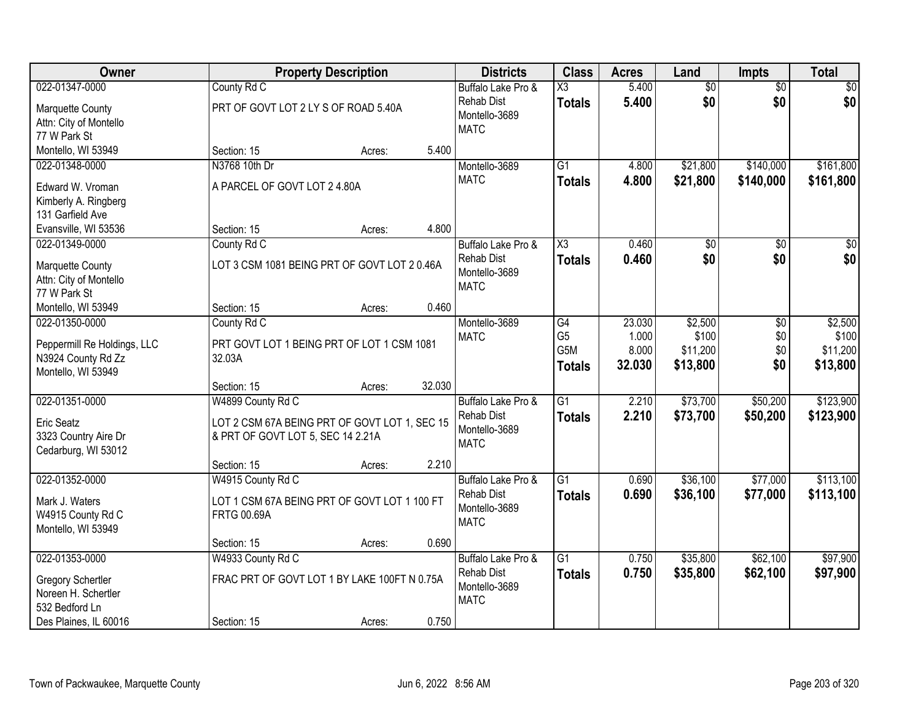| Owner                                                                                                 | <b>Property Description</b>                                                                                                      | <b>Districts</b>                                                                 | <b>Class</b>                                        | <b>Acres</b>             | Land                          | <b>Impts</b>           | <b>Total</b>                  |
|-------------------------------------------------------------------------------------------------------|----------------------------------------------------------------------------------------------------------------------------------|----------------------------------------------------------------------------------|-----------------------------------------------------|--------------------------|-------------------------------|------------------------|-------------------------------|
| 022-01347-0000<br>Marquette County<br>Attn: City of Montello<br>77 W Park St                          | County Rd C<br>PRT OF GOVT LOT 2 LY S OF ROAD 5.40A                                                                              | Buffalo Lake Pro &<br><b>Rehab Dist</b><br>Montello-3689<br><b>MATC</b>          | X3<br><b>Totals</b>                                 | 5.400<br>5.400           | $\overline{60}$<br>\$0        | $\overline{50}$<br>\$0 | \$0<br>\$0                    |
| Montello, WI 53949                                                                                    | Section: 15<br>Acres:                                                                                                            | 5.400                                                                            |                                                     |                          |                               |                        |                               |
| 022-01348-0000<br>Edward W. Vroman<br>Kimberly A. Ringberg<br>131 Garfield Ave                        | N3768 10th Dr<br>A PARCEL OF GOVT LOT 2 4.80A                                                                                    | Montello-3689<br><b>MATC</b>                                                     | $\overline{G1}$<br><b>Totals</b>                    | 4.800<br>4.800           | \$21,800<br>\$21,800          | \$140,000<br>\$140,000 | \$161,800<br>\$161,800        |
| Evansville, WI 53536<br>022-01349-0000                                                                | Section: 15<br>Acres:                                                                                                            | 4.800                                                                            | X3                                                  | 0.460                    |                               |                        | $\overline{50}$               |
| Marquette County<br>Attn: City of Montello<br>77 W Park St<br>Montello, WI 53949                      | County Rd C<br>LOT 3 CSM 1081 BEING PRT OF GOVT LOT 2 0.46A<br>Section: 15<br>Acres:                                             | Buffalo Lake Pro &<br><b>Rehab Dist</b><br>Montello-3689<br><b>MATC</b><br>0.460 | <b>Totals</b>                                       | 0.460                    | $\overline{50}$<br>\$0        | \$0<br>\$0             | \$0                           |
| 022-01350-0000                                                                                        | County Rd C                                                                                                                      | Montello-3689                                                                    | G4                                                  | 23.030                   | \$2,500                       | \$0                    | \$2,500                       |
| Peppermill Re Holdings, LLC<br>N3924 County Rd Zz<br>Montello, WI 53949                               | PRT GOVT LOT 1 BEING PRT OF LOT 1 CSM 1081<br>32.03A                                                                             | <b>MATC</b>                                                                      | G <sub>5</sub><br>G <sub>5</sub> M<br><b>Totals</b> | 1.000<br>8.000<br>32.030 | \$100<br>\$11,200<br>\$13,800 | \$0<br>\$0<br>\$0      | \$100<br>\$11,200<br>\$13,800 |
|                                                                                                       | 32.030<br>Section: 15<br>Acres:                                                                                                  |                                                                                  |                                                     |                          |                               |                        |                               |
| 022-01351-0000<br>Eric Seatz<br>3323 Country Aire Dr<br>Cedarburg, WI 53012                           | W4899 County Rd C<br>LOT 2 CSM 67A BEING PRT OF GOVT LOT 1, SEC 15<br>& PRT OF GOVT LOT 5, SEC 14 2.21A<br>Section: 15<br>Acres: | Buffalo Lake Pro &<br><b>Rehab Dist</b><br>Montello-3689<br><b>MATC</b><br>2.210 | $\overline{G1}$<br><b>Totals</b>                    | 2.210<br>2.210           | \$73,700<br>\$73,700          | \$50,200<br>\$50,200   | \$123,900<br>\$123,900        |
| 022-01352-0000                                                                                        | W4915 County Rd C                                                                                                                | Buffalo Lake Pro &                                                               | $\overline{G1}$                                     | 0.690                    | \$36,100                      | \$77,000               | \$113,100                     |
| Mark J. Waters<br>W4915 County Rd C<br>Montello, WI 53949                                             | LOT 1 CSM 67A BEING PRT OF GOVT LOT 1 100 FT<br><b>FRTG 00.69A</b>                                                               | <b>Rehab Dist</b><br>Montello-3689<br><b>MATC</b>                                | <b>Totals</b>                                       | 0.690                    | \$36,100                      | \$77,000               | \$113,100                     |
|                                                                                                       | Section: 15<br>Acres:                                                                                                            | 0.690                                                                            |                                                     |                          |                               |                        |                               |
| 022-01353-0000<br>Gregory Schertler<br>Noreen H. Schertler<br>532 Bedford Ln<br>Des Plaines, IL 60016 | W4933 County Rd C<br>FRAC PRT OF GOVT LOT 1 BY LAKE 100FT N 0.75A<br>Section: 15<br>Acres:                                       | Buffalo Lake Pro &<br><b>Rehab Dist</b><br>Montello-3689<br><b>MATC</b><br>0.750 | $\overline{G1}$<br><b>Totals</b>                    | 0.750<br>0.750           | \$35,800<br>\$35,800          | \$62,100<br>\$62,100   | \$97,900<br>\$97,900          |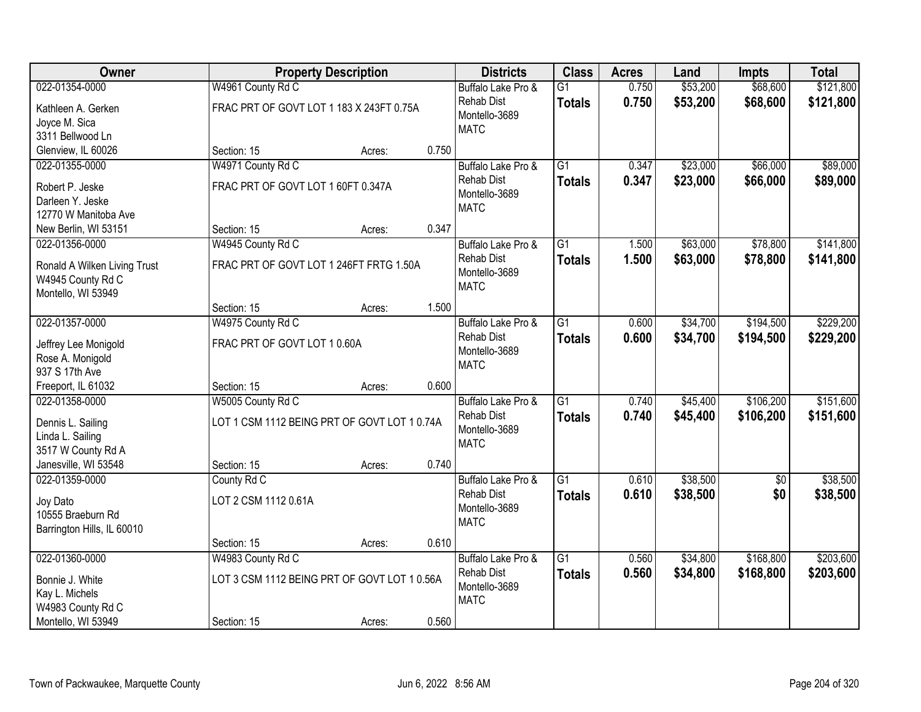| Owner                             |                                              | <b>Property Description</b> |       | <b>Districts</b>   | <b>Class</b>    | <b>Acres</b> | Land     | <b>Impts</b> | <b>Total</b> |
|-----------------------------------|----------------------------------------------|-----------------------------|-------|--------------------|-----------------|--------------|----------|--------------|--------------|
| 022-01354-0000                    | W4961 County Rd C                            |                             |       | Buffalo Lake Pro & | $\overline{G1}$ | 0.750        | \$53,200 | \$68,600     | \$121,800    |
| Kathleen A. Gerken                | FRAC PRT OF GOVT LOT 1 183 X 243FT 0.75A     |                             |       | <b>Rehab Dist</b>  | <b>Totals</b>   | 0.750        | \$53,200 | \$68,600     | \$121,800    |
| Joyce M. Sica                     |                                              |                             |       | Montello-3689      |                 |              |          |              |              |
| 3311 Bellwood Ln                  |                                              |                             |       | <b>MATC</b>        |                 |              |          |              |              |
| Glenview, IL 60026                | Section: 15                                  | Acres:                      | 0.750 |                    |                 |              |          |              |              |
| 022-01355-0000                    | W4971 County Rd C                            |                             |       | Buffalo Lake Pro & | $\overline{G1}$ | 0.347        | \$23,000 | \$66,000     | \$89,000     |
| Robert P. Jeske                   | FRAC PRT OF GOVT LOT 1 60FT 0.347A           |                             |       | <b>Rehab Dist</b>  | <b>Totals</b>   | 0.347        | \$23,000 | \$66,000     | \$89,000     |
| Darleen Y. Jeske                  |                                              |                             |       | Montello-3689      |                 |              |          |              |              |
| 12770 W Manitoba Ave              |                                              |                             |       | <b>MATC</b>        |                 |              |          |              |              |
| New Berlin, WI 53151              | Section: 15                                  | Acres:                      | 0.347 |                    |                 |              |          |              |              |
| 022-01356-0000                    | W4945 County Rd C                            |                             |       | Buffalo Lake Pro & | $\overline{G1}$ | 1.500        | \$63,000 | \$78,800     | \$141,800    |
| Ronald A Wilken Living Trust      | FRAC PRT OF GOVT LOT 1 246FT FRTG 1.50A      |                             |       | <b>Rehab Dist</b>  | <b>Totals</b>   | 1.500        | \$63,000 | \$78,800     | \$141,800    |
| W4945 County Rd C                 |                                              |                             |       | Montello-3689      |                 |              |          |              |              |
| Montello, WI 53949                |                                              |                             |       | <b>MATC</b>        |                 |              |          |              |              |
|                                   | Section: 15                                  | Acres:                      | 1.500 |                    |                 |              |          |              |              |
| 022-01357-0000                    | W4975 County Rd C                            |                             |       | Buffalo Lake Pro & | G1              | 0.600        | \$34,700 | \$194,500    | \$229,200    |
| Jeffrey Lee Monigold              | FRAC PRT OF GOVT LOT 10.60A                  |                             |       | <b>Rehab Dist</b>  | <b>Totals</b>   | 0.600        | \$34,700 | \$194,500    | \$229,200    |
| Rose A. Monigold                  |                                              |                             |       | Montello-3689      |                 |              |          |              |              |
| 937 S 17th Ave                    |                                              |                             |       | <b>MATC</b>        |                 |              |          |              |              |
| Freeport, IL 61032                | Section: 15                                  | Acres:                      | 0.600 |                    |                 |              |          |              |              |
| 022-01358-0000                    | W5005 County Rd C                            |                             |       | Buffalo Lake Pro & | $\overline{G1}$ | 0.740        | \$45,400 | \$106,200    | \$151,600    |
| Dennis L. Sailing                 | LOT 1 CSM 1112 BEING PRT OF GOVT LOT 1 0.74A |                             |       | <b>Rehab Dist</b>  | <b>Totals</b>   | 0.740        | \$45,400 | \$106,200    | \$151,600    |
| Linda L. Sailing                  |                                              |                             |       | Montello-3689      |                 |              |          |              |              |
| 3517 W County Rd A                |                                              |                             |       | <b>MATC</b>        |                 |              |          |              |              |
| Janesville, WI 53548              | Section: 15                                  | Acres:                      | 0.740 |                    |                 |              |          |              |              |
| 022-01359-0000                    | County Rd C                                  |                             |       | Buffalo Lake Pro & | $\overline{G1}$ | 0.610        | \$38,500 | $\sqrt{6}$   | \$38,500     |
|                                   | LOT 2 CSM 1112 0.61A                         |                             |       | <b>Rehab Dist</b>  | <b>Totals</b>   | 0.610        | \$38,500 | \$0          | \$38,500     |
| Joy Dato<br>10555 Braeburn Rd     |                                              |                             |       | Montello-3689      |                 |              |          |              |              |
| Barrington Hills, IL 60010        |                                              |                             |       | <b>MATC</b>        |                 |              |          |              |              |
|                                   | Section: 15                                  | Acres:                      | 0.610 |                    |                 |              |          |              |              |
| 022-01360-0000                    | W4983 County Rd C                            |                             |       | Buffalo Lake Pro & | $\overline{G1}$ | 0.560        | \$34,800 | \$168,800    | \$203,600    |
|                                   | LOT 3 CSM 1112 BEING PRT OF GOVT LOT 1 0.56A |                             |       | <b>Rehab Dist</b>  | <b>Totals</b>   | 0.560        | \$34,800 | \$168,800    | \$203,600    |
| Bonnie J. White<br>Kay L. Michels |                                              |                             |       | Montello-3689      |                 |              |          |              |              |
| W4983 County Rd C                 |                                              |                             |       | <b>MATC</b>        |                 |              |          |              |              |
| Montello, WI 53949                | Section: 15                                  | Acres:                      | 0.560 |                    |                 |              |          |              |              |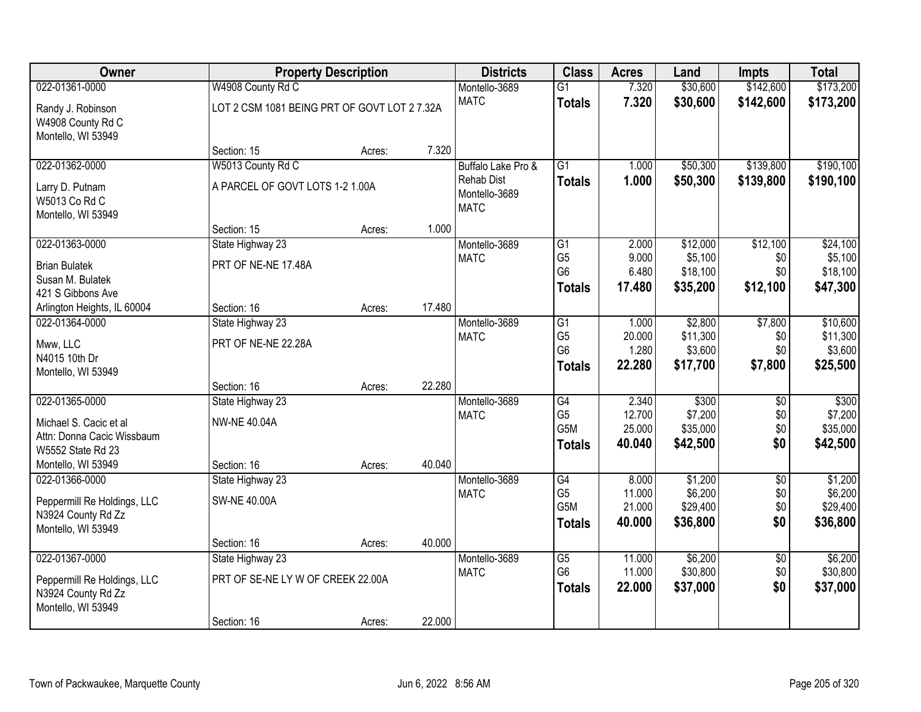| Owner                       |                                              | <b>Property Description</b> |        | <b>Districts</b>             | <b>Class</b>                     | <b>Acres</b>     | Land                 | <b>Impts</b>    | <b>Total</b>         |
|-----------------------------|----------------------------------------------|-----------------------------|--------|------------------------------|----------------------------------|------------------|----------------------|-----------------|----------------------|
| 022-01361-0000              | W4908 County Rd C                            |                             |        | Montello-3689                | $\overline{G1}$                  | 7.320            | \$30,600             | \$142,600       | \$173,200            |
| Randy J. Robinson           | LOT 2 CSM 1081 BEING PRT OF GOVT LOT 2 7.32A |                             |        | <b>MATC</b>                  | <b>Totals</b>                    | 7.320            | \$30,600             | \$142,600       | \$173,200            |
| W4908 County Rd C           |                                              |                             |        |                              |                                  |                  |                      |                 |                      |
| Montello, WI 53949          |                                              |                             |        |                              |                                  |                  |                      |                 |                      |
|                             | Section: 15                                  | Acres:                      | 7.320  |                              |                                  |                  |                      |                 |                      |
| 022-01362-0000              | W5013 County Rd C                            |                             |        | Buffalo Lake Pro &           | $\overline{G1}$                  | 1.000            | \$50,300             | \$139,800       | \$190,100            |
| Larry D. Putnam             | A PARCEL OF GOVT LOTS 1-2 1.00A              |                             |        | <b>Rehab Dist</b>            | <b>Totals</b>                    | 1.000            | \$50,300             | \$139,800       | \$190,100            |
| W5013 Co Rd C               |                                              |                             |        | Montello-3689<br><b>MATC</b> |                                  |                  |                      |                 |                      |
| Montello, WI 53949          |                                              |                             |        |                              |                                  |                  |                      |                 |                      |
|                             | Section: 15                                  | Acres:                      | 1.000  |                              |                                  |                  |                      |                 |                      |
| 022-01363-0000              | State Highway 23                             |                             |        | Montello-3689                | G1                               | 2.000            | \$12,000             | \$12,100        | \$24,100             |
| <b>Brian Bulatek</b>        | PRT OF NE-NE 17.48A                          |                             |        | <b>MATC</b>                  | G <sub>5</sub>                   | 9.000            | \$5,100              | \$0             | \$5,100              |
| Susan M. Bulatek            |                                              |                             |        |                              | G <sub>6</sub>                   | 6.480<br>17.480  | \$18,100             | \$0             | \$18,100             |
| 421 S Gibbons Ave           |                                              |                             |        |                              | <b>Totals</b>                    |                  | \$35,200             | \$12,100        | \$47,300             |
| Arlington Heights, IL 60004 | Section: 16                                  | Acres:                      | 17.480 |                              |                                  |                  |                      |                 |                      |
| 022-01364-0000              | State Highway 23                             |                             |        | Montello-3689                | G1                               | 1.000            | \$2,800              | \$7,800         | \$10,600             |
| Mww, LLC                    | PRT OF NE-NE 22.28A                          |                             |        | <b>MATC</b>                  | G <sub>5</sub><br>G <sub>6</sub> | 20.000           | \$11,300             | \$0             | \$11,300             |
| N4015 10th Dr               |                                              |                             |        |                              |                                  | 1.280<br>22.280  | \$3,600<br>\$17,700  | \$0             | \$3,600              |
| Montello, WI 53949          |                                              |                             |        |                              | <b>Totals</b>                    |                  |                      | \$7,800         | \$25,500             |
|                             | Section: 16                                  | Acres:                      | 22.280 |                              |                                  |                  |                      |                 |                      |
| 022-01365-0000              | State Highway 23                             |                             |        | Montello-3689                | $\overline{G4}$                  | 2.340            | \$300                | \$0             | \$300                |
| Michael S. Cacic et al      | <b>NW-NE 40.04A</b>                          |                             |        | <b>MATC</b>                  | G <sub>5</sub><br>G5M            | 12.700           | \$7,200              | \$0             | \$7,200              |
| Attn: Donna Cacic Wissbaum  |                                              |                             |        |                              |                                  | 25.000<br>40.040 | \$35,000<br>\$42,500 | \$0<br>\$0      | \$35,000<br>\$42,500 |
| W5552 State Rd 23           |                                              |                             |        |                              | <b>Totals</b>                    |                  |                      |                 |                      |
| Montello, WI 53949          | Section: 16                                  | Acres:                      | 40.040 |                              |                                  |                  |                      |                 |                      |
| 022-01366-0000              | State Highway 23                             |                             |        | Montello-3689                | G4                               | 8.000            | \$1,200              | $\overline{60}$ | \$1,200              |
| Peppermill Re Holdings, LLC | <b>SW-NE 40.00A</b>                          |                             |        | <b>MATC</b>                  | G <sub>5</sub><br>G5M            | 11.000<br>21.000 | \$6,200<br>\$29,400  | \$0<br>\$0      | \$6,200<br>\$29,400  |
| N3924 County Rd Zz          |                                              |                             |        |                              | <b>Totals</b>                    | 40.000           | \$36,800             | \$0             | \$36,800             |
| Montello, WI 53949          |                                              |                             |        |                              |                                  |                  |                      |                 |                      |
|                             | Section: 16                                  | Acres:                      | 40.000 |                              |                                  |                  |                      |                 |                      |
| 022-01367-0000              | State Highway 23                             |                             |        | Montello-3689                | G5                               | 11.000           | \$6,200              | $\overline{30}$ | \$6,200              |
| Peppermill Re Holdings, LLC | PRT OF SE-NE LY W OF CREEK 22.00A            |                             |        | <b>MATC</b>                  | G <sub>6</sub>                   | 11.000           | \$30,800             | \$0             | \$30,800             |
| N3924 County Rd Zz          |                                              |                             |        |                              | <b>Totals</b>                    | 22.000           | \$37,000             | \$0             | \$37,000             |
| Montello, WI 53949          |                                              |                             |        |                              |                                  |                  |                      |                 |                      |
|                             | Section: 16                                  | Acres:                      | 22.000 |                              |                                  |                  |                      |                 |                      |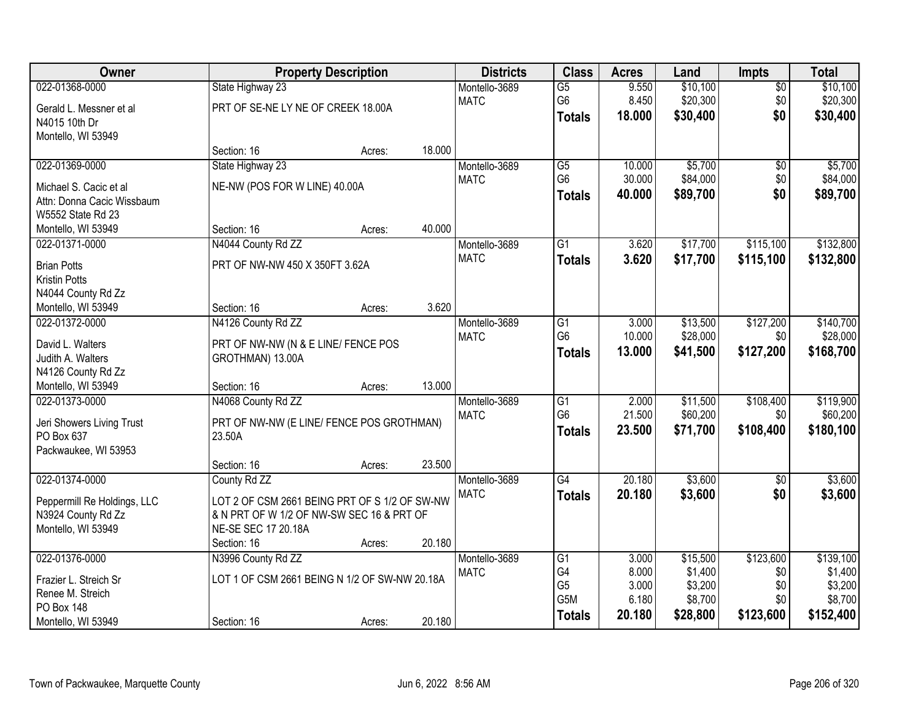| Owner                                |                                               | <b>Property Description</b> |        | <b>Districts</b>             | <b>Class</b>    | <b>Acres</b> | Land     | Impts           | <b>Total</b> |
|--------------------------------------|-----------------------------------------------|-----------------------------|--------|------------------------------|-----------------|--------------|----------|-----------------|--------------|
| 022-01368-0000                       | State Highway 23                              |                             |        | Montello-3689                | $\overline{G5}$ | 9.550        | \$10,100 | $\sqrt{$0}$     | \$10,100     |
| Gerald L. Messner et al              | PRT OF SE-NE LY NE OF CREEK 18.00A            |                             |        | <b>MATC</b>                  | G6              | 8.450        | \$20,300 | \$0             | \$20,300     |
| N4015 10th Dr                        |                                               |                             |        |                              | <b>Totals</b>   | 18.000       | \$30,400 | \$0             | \$30,400     |
| Montello, WI 53949                   |                                               |                             |        |                              |                 |              |          |                 |              |
|                                      | Section: 16                                   | Acres:                      | 18.000 |                              |                 |              |          |                 |              |
| 022-01369-0000                       | State Highway 23                              |                             |        | Montello-3689                | $\overline{G5}$ | 10.000       | \$5,700  | $\overline{60}$ | \$5,700      |
| Michael S. Cacic et al               | NE-NW (POS FOR W LINE) 40.00A                 |                             |        | <b>MATC</b>                  | G <sub>6</sub>  | 30.000       | \$84,000 | \$0             | \$84,000     |
| Attn: Donna Cacic Wissbaum           |                                               |                             |        |                              | <b>Totals</b>   | 40.000       | \$89,700 | \$0             | \$89,700     |
| W5552 State Rd 23                    |                                               |                             |        |                              |                 |              |          |                 |              |
| Montello, WI 53949                   | Section: 16                                   | Acres:                      | 40.000 |                              |                 |              |          |                 |              |
| 022-01371-0000                       | N4044 County Rd ZZ                            |                             |        | Montello-3689                | $\overline{G1}$ | 3.620        | \$17,700 | \$115,100       | \$132,800    |
| <b>Brian Potts</b>                   | PRT OF NW-NW 450 X 350FT 3.62A                |                             |        | <b>MATC</b>                  | <b>Totals</b>   | 3.620        | \$17,700 | \$115,100       | \$132,800    |
| <b>Kristin Potts</b>                 |                                               |                             |        |                              |                 |              |          |                 |              |
| N4044 County Rd Zz                   |                                               |                             |        |                              |                 |              |          |                 |              |
| Montello, WI 53949                   | Section: 16                                   | Acres:                      | 3.620  |                              |                 |              |          |                 |              |
| 022-01372-0000                       | N4126 County Rd ZZ                            |                             |        | Montello-3689                | G1              | 3.000        | \$13,500 | \$127,200       | \$140,700    |
|                                      |                                               |                             |        | <b>MATC</b>                  | G <sub>6</sub>  | 10.000       | \$28,000 | \$0             | \$28,000     |
| David L. Walters                     | PRT OF NW-NW (N & E LINE/ FENCE POS           |                             |        |                              | <b>Totals</b>   | 13.000       | \$41,500 | \$127,200       | \$168,700    |
| Judith A. Walters                    | GROTHMAN) 13.00A                              |                             |        |                              |                 |              |          |                 |              |
| N4126 County Rd Zz                   | Section: 16                                   |                             | 13.000 |                              |                 |              |          |                 |              |
| Montello, WI 53949<br>022-01373-0000 | N4068 County Rd ZZ                            | Acres:                      |        |                              | $\overline{G1}$ | 2.000        | \$11,500 | \$108,400       | \$119,900    |
|                                      |                                               |                             |        | Montello-3689<br><b>MATC</b> | G <sub>6</sub>  | 21.500       | \$60,200 | \$0             | \$60,200     |
| Jeri Showers Living Trust            | PRT OF NW-NW (E LINE/ FENCE POS GROTHMAN)     |                             |        |                              |                 | 23.500       | \$71,700 | \$108,400       | \$180,100    |
| PO Box 637                           | 23.50A                                        |                             |        |                              | <b>Totals</b>   |              |          |                 |              |
| Packwaukee, WI 53953                 |                                               |                             |        |                              |                 |              |          |                 |              |
|                                      | Section: 16                                   | Acres:                      | 23.500 |                              |                 |              |          |                 |              |
| 022-01374-0000                       | County Rd ZZ                                  |                             |        | Montello-3689                | G4              | 20.180       | \$3,600  | $\sqrt{6}$      | \$3,600      |
| Peppermill Re Holdings, LLC          | LOT 2 OF CSM 2661 BEING PRT OF S 1/2 OF SW-NW |                             |        | <b>MATC</b>                  | <b>Totals</b>   | 20.180       | \$3,600  | \$0             | \$3,600      |
| N3924 County Rd Zz                   | & N PRT OF W 1/2 OF NW-SW SEC 16 & PRT OF     |                             |        |                              |                 |              |          |                 |              |
| Montello, WI 53949                   | NE-SE SEC 17 20.18A                           |                             |        |                              |                 |              |          |                 |              |
|                                      | Section: 16                                   | Acres:                      | 20.180 |                              |                 |              |          |                 |              |
| 022-01376-0000                       | N3996 County Rd ZZ                            |                             |        | Montello-3689                | $\overline{G1}$ | 3.000        | \$15,500 | \$123,600       | \$139,100    |
| Frazier L. Streich Sr                | LOT 1 OF CSM 2661 BEING N 1/2 OF SW-NW 20.18A |                             |        | <b>MATC</b>                  | G4              | 8.000        | \$1,400  | \$0             | \$1,400      |
| Renee M. Streich                     |                                               |                             |        |                              | G <sub>5</sub>  | 3.000        | \$3,200  | \$0             | \$3,200      |
| <b>PO Box 148</b>                    |                                               |                             |        |                              | G5M             | 6.180        | \$8,700  | \$0             | \$8,700      |
| Montello, WI 53949                   | Section: 16                                   | Acres:                      | 20.180 |                              | <b>Totals</b>   | 20.180       | \$28,800 | \$123,600       | \$152,400    |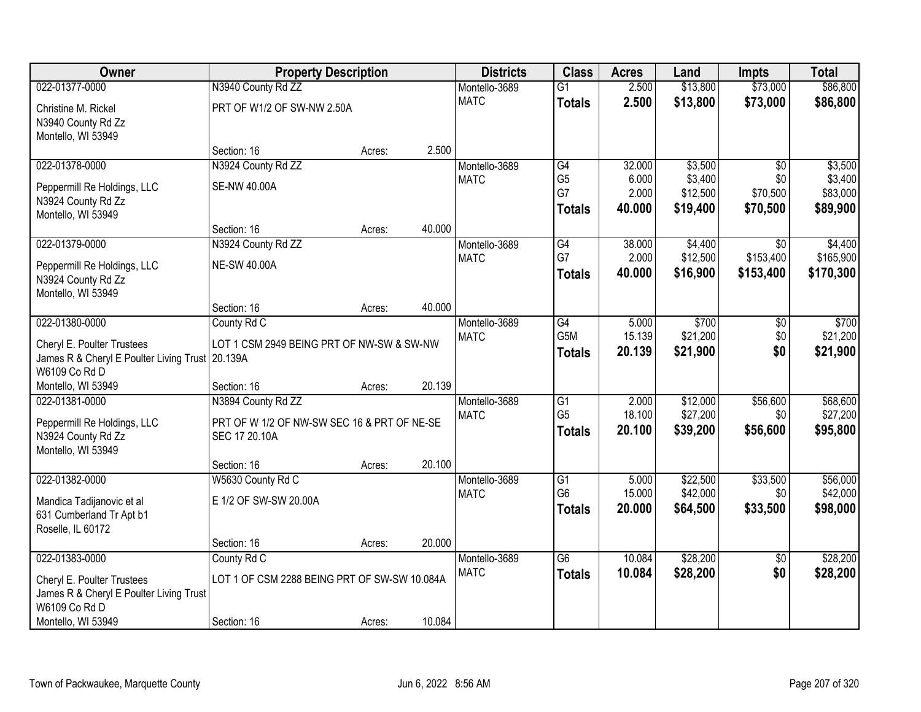| Owner                                                            | <b>Property Description</b>                  |        |        | <b>Districts</b>             | <b>Class</b>         | <b>Acres</b>    | Land                | <b>Impts</b>     | <b>Total</b>         |
|------------------------------------------------------------------|----------------------------------------------|--------|--------|------------------------------|----------------------|-----------------|---------------------|------------------|----------------------|
| 022-01377-0000                                                   | N3940 County Rd ZZ                           |        |        | Montello-3689                | $\overline{G1}$      | 2.500           | \$13,800            | \$73,000         | \$86,800             |
| Christine M. Rickel                                              | PRT OF W1/2 OF SW-NW 2.50A                   |        |        | <b>MATC</b>                  | <b>Totals</b>        | 2.500           | \$13,800            | \$73,000         | \$86,800             |
| N3940 County Rd Zz                                               |                                              |        |        |                              |                      |                 |                     |                  |                      |
| Montello, WI 53949                                               |                                              |        |        |                              |                      |                 |                     |                  |                      |
|                                                                  | Section: 16                                  | Acres: | 2.500  |                              |                      |                 |                     |                  |                      |
| 022-01378-0000                                                   | N3924 County Rd ZZ                           |        |        | Montello-3689                | G4                   | 32.000          | \$3,500             | $\overline{30}$  | \$3,500              |
| Peppermill Re Holdings, LLC                                      | <b>SE-NW 40.00A</b>                          |        |        | <b>MATC</b>                  | G <sub>5</sub><br>G7 | 6.000<br>2.000  | \$3,400<br>\$12,500 | \$0<br>\$70,500  | \$3,400<br>\$83,000  |
| N3924 County Rd Zz                                               |                                              |        |        |                              | <b>Totals</b>        | 40.000          | \$19,400            | \$70,500         | \$89,900             |
| Montello, WI 53949                                               |                                              |        |        |                              |                      |                 |                     |                  |                      |
|                                                                  | Section: 16                                  | Acres: | 40.000 |                              |                      |                 |                     |                  |                      |
| 022-01379-0000                                                   | N3924 County Rd ZZ                           |        |        | Montello-3689<br><b>MATC</b> | G4<br>G7             | 38.000<br>2.000 | \$4,400<br>\$12,500 | \$0<br>\$153,400 | \$4,400<br>\$165,900 |
| Peppermill Re Holdings, LLC                                      | <b>NE-SW 40.00A</b>                          |        |        |                              | <b>Totals</b>        | 40.000          | \$16,900            | \$153,400        | \$170,300            |
| N3924 County Rd Zz                                               |                                              |        |        |                              |                      |                 |                     |                  |                      |
| Montello, WI 53949                                               | Section: 16                                  | Acres: | 40.000 |                              |                      |                 |                     |                  |                      |
| 022-01380-0000                                                   | County Rd C                                  |        |        | Montello-3689                | G4                   | 5.000           | \$700               | \$0              | \$700                |
|                                                                  |                                              |        |        | <b>MATC</b>                  | G5M                  | 15.139          | \$21,200            | \$0              | \$21,200             |
| Cheryl E. Poulter Trustees                                       | LOT 1 CSM 2949 BEING PRT OF NW-SW & SW-NW    |        |        |                              | <b>Totals</b>        | 20.139          | \$21,900            | \$0              | \$21,900             |
| James R & Cheryl E Poulter Living Trust 20.139A<br>W6109 Co Rd D |                                              |        |        |                              |                      |                 |                     |                  |                      |
| Montello, WI 53949                                               | Section: 16                                  | Acres: | 20.139 |                              |                      |                 |                     |                  |                      |
| 022-01381-0000                                                   | N3894 County Rd ZZ                           |        |        | Montello-3689                | $\overline{G1}$      | 2.000           | \$12,000            | \$56,600         | \$68,600             |
| Peppermill Re Holdings, LLC                                      | PRT OF W 1/2 OF NW-SW SEC 16 & PRT OF NE-SE  |        |        | <b>MATC</b>                  | G <sub>5</sub>       | 18.100          | \$27,200            | \$0              | \$27,200             |
| N3924 County Rd Zz                                               | SEC 17 20.10A                                |        |        |                              | <b>Totals</b>        | 20.100          | \$39,200            | \$56,600         | \$95,800             |
| Montello, WI 53949                                               |                                              |        |        |                              |                      |                 |                     |                  |                      |
|                                                                  | Section: 16                                  | Acres: | 20.100 |                              |                      |                 |                     |                  |                      |
| 022-01382-0000                                                   | W5630 County Rd C                            |        |        | Montello-3689                | $\overline{G1}$      | 5.000           | \$22,500            | \$33,500         | \$56,000             |
| Mandica Tadijanovic et al                                        | E 1/2 OF SW-SW 20.00A                        |        |        | <b>MATC</b>                  | G <sub>6</sub>       | 15.000          | \$42,000            | \$0              | \$42,000             |
| 631 Cumberland Tr Apt b1                                         |                                              |        |        |                              | <b>Totals</b>        | 20.000          | \$64,500            | \$33,500         | \$98,000             |
| Roselle, IL 60172                                                |                                              |        |        |                              |                      |                 |                     |                  |                      |
|                                                                  | Section: 16                                  | Acres: | 20.000 |                              |                      |                 |                     |                  |                      |
| 022-01383-0000                                                   | County Rd C                                  |        |        | Montello-3689                | $\overline{G6}$      | 10.084          | \$28,200            | $\overline{50}$  | \$28,200             |
| Cheryl E. Poulter Trustees                                       | LOT 1 OF CSM 2288 BEING PRT OF SW-SW 10.084A |        |        | <b>MATC</b>                  | <b>Totals</b>        | 10.084          | \$28,200            | \$0              | \$28,200             |
| James R & Cheryl E Poulter Living Trust                          |                                              |        |        |                              |                      |                 |                     |                  |                      |
| W6109 Co Rd D                                                    |                                              |        |        |                              |                      |                 |                     |                  |                      |
| Montello, WI 53949                                               | Section: 16                                  | Acres: | 10.084 |                              |                      |                 |                     |                  |                      |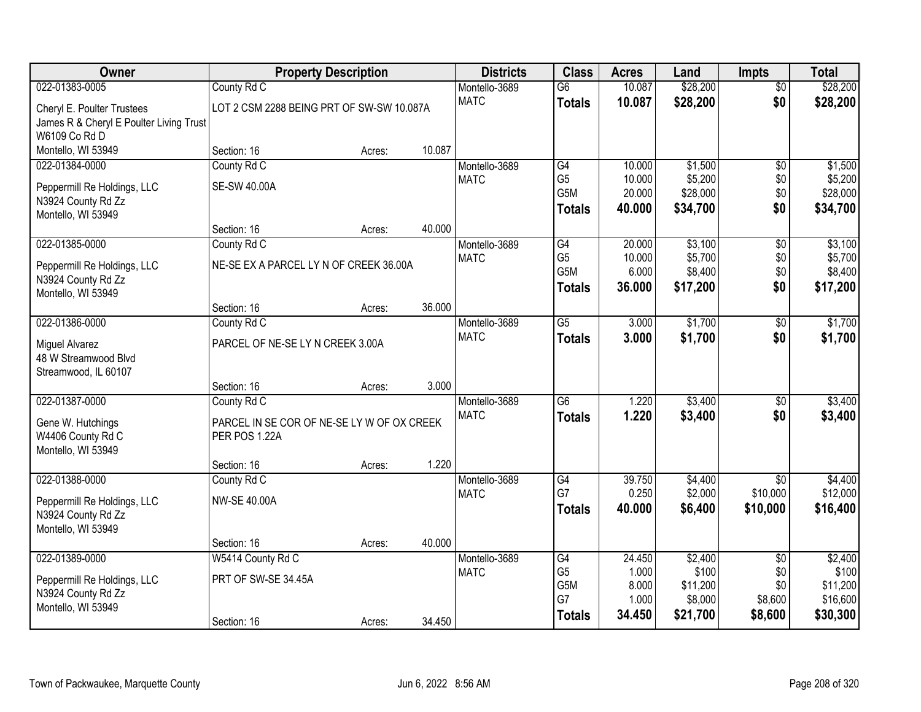| Owner                                    | <b>Property Description</b>                |        |        | <b>Districts</b>             | <b>Class</b>                       | <b>Acres</b>     | Land                | <b>Impts</b>    | <b>Total</b>        |
|------------------------------------------|--------------------------------------------|--------|--------|------------------------------|------------------------------------|------------------|---------------------|-----------------|---------------------|
| 022-01383-0005                           | County Rd C                                |        |        | Montello-3689                | $\overline{G6}$                    | 10.087           | \$28,200            | $\overline{50}$ | \$28,200            |
| Cheryl E. Poulter Trustees               | LOT 2 CSM 2288 BEING PRT OF SW-SW 10.087A  |        |        | <b>MATC</b>                  | <b>Totals</b>                      | 10.087           | \$28,200            | \$0             | \$28,200            |
| James R & Cheryl E Poulter Living Trust  |                                            |        |        |                              |                                    |                  |                     |                 |                     |
| W6109 Co Rd D                            |                                            |        |        |                              |                                    |                  |                     |                 |                     |
| Montello, WI 53949                       | Section: 16                                | Acres: | 10.087 |                              |                                    |                  |                     |                 |                     |
| 022-01384-0000                           | County Rd C                                |        |        | Montello-3689                | G4                                 | 10.000           | \$1,500             | $\overline{50}$ | \$1,500             |
| Peppermill Re Holdings, LLC              | <b>SE-SW 40.00A</b>                        |        |        | <b>MATC</b>                  | G <sub>5</sub><br>G5M              | 10.000<br>20.000 | \$5,200<br>\$28,000 | \$0<br>\$0      | \$5,200<br>\$28,000 |
| N3924 County Rd Zz                       |                                            |        |        |                              | <b>Totals</b>                      | 40.000           | \$34,700            | \$0             | \$34,700            |
| Montello, WI 53949                       |                                            |        |        |                              |                                    |                  |                     |                 |                     |
|                                          | Section: 16                                | Acres: | 40.000 |                              |                                    |                  |                     |                 |                     |
| 022-01385-0000                           | County Rd C                                |        |        | Montello-3689                | G4                                 | 20.000           | \$3,100             | $\overline{50}$ | \$3,100             |
| Peppermill Re Holdings, LLC              | NE-SE EX A PARCEL LY N OF CREEK 36.00A     |        |        | <b>MATC</b>                  | G <sub>5</sub><br>G <sub>5</sub> M | 10.000<br>6.000  | \$5,700<br>\$8,400  | \$0<br>\$0      | \$5,700<br>\$8,400  |
| N3924 County Rd Zz                       |                                            |        |        |                              | <b>Totals</b>                      | 36.000           | \$17,200            | \$0             | \$17,200            |
| Montello, WI 53949                       |                                            |        |        |                              |                                    |                  |                     |                 |                     |
|                                          | Section: 16                                | Acres: | 36.000 |                              |                                    |                  |                     |                 |                     |
| 022-01386-0000                           | County Rd C                                |        |        | Montello-3689<br><b>MATC</b> | $\overline{G5}$                    | 3.000            | \$1,700             | \$0             | \$1,700             |
| Miguel Alvarez                           | PARCEL OF NE-SE LY N CREEK 3.00A           |        |        |                              | <b>Totals</b>                      | 3.000            | \$1,700             | \$0             | \$1,700             |
| 48 W Streamwood Blvd                     |                                            |        |        |                              |                                    |                  |                     |                 |                     |
| Streamwood, IL 60107                     |                                            |        |        |                              |                                    |                  |                     |                 |                     |
| 022-01387-0000                           | Section: 16<br>County Rd C                 | Acres: | 3.000  | Montello-3689                | $\overline{G6}$                    | 1.220            | \$3,400             | \$0             | \$3,400             |
|                                          |                                            |        |        | <b>MATC</b>                  | <b>Totals</b>                      | 1.220            | \$3,400             | \$0             | \$3,400             |
| Gene W. Hutchings                        | PARCEL IN SE COR OF NE-SE LY W OF OX CREEK |        |        |                              |                                    |                  |                     |                 |                     |
| W4406 County Rd C                        | PER POS 1.22A                              |        |        |                              |                                    |                  |                     |                 |                     |
| Montello, WI 53949                       | Section: 16                                |        | 1.220  |                              |                                    |                  |                     |                 |                     |
| 022-01388-0000                           | County Rd C                                | Acres: |        | Montello-3689                | G4                                 | 39.750           | \$4,400             | $\overline{30}$ | \$4,400             |
|                                          |                                            |        |        | <b>MATC</b>                  | G7                                 | 0.250            | \$2,000             | \$10,000        | \$12,000            |
| Peppermill Re Holdings, LLC              | <b>NW-SE 40.00A</b>                        |        |        |                              | <b>Totals</b>                      | 40.000           | \$6,400             | \$10,000        | \$16,400            |
| N3924 County Rd Zz                       |                                            |        |        |                              |                                    |                  |                     |                 |                     |
| Montello, WI 53949                       | Section: 16                                | Acres: | 40.000 |                              |                                    |                  |                     |                 |                     |
| 022-01389-0000                           | W5414 County Rd C                          |        |        | Montello-3689                | G4                                 | 24.450           | \$2,400             | $\overline{60}$ | \$2,400             |
|                                          |                                            |        |        | <b>MATC</b>                  | G <sub>5</sub>                     | 1.000            | \$100               | \$0             | \$100               |
| Peppermill Re Holdings, LLC              | PRT OF SW-SE 34.45A                        |        |        |                              | G5M                                | 8.000            | \$11,200            | \$0             | \$11,200            |
| N3924 County Rd Zz<br>Montello, WI 53949 |                                            |        |        |                              | G7                                 | 1.000            | \$8,000             | \$8,600         | \$16,600            |
|                                          | Section: 16                                | Acres: | 34.450 |                              | <b>Totals</b>                      | 34.450           | \$21,700            | \$8,600         | \$30,300            |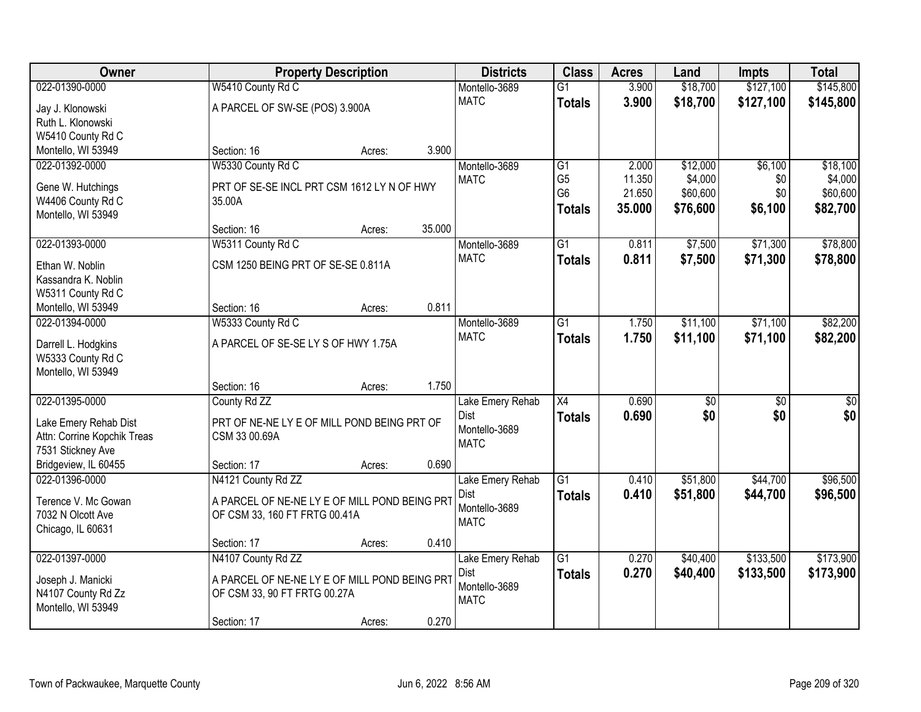| Owner                                   |                                               | <b>Property Description</b> |        | <b>Districts</b>             | <b>Class</b>    | <b>Acres</b> | Land            | <b>Impts</b>    | <b>Total</b>     |
|-----------------------------------------|-----------------------------------------------|-----------------------------|--------|------------------------------|-----------------|--------------|-----------------|-----------------|------------------|
| 022-01390-0000                          | W5410 County Rd C                             |                             |        | Montello-3689                | $\overline{G1}$ | 3.900        | \$18,700        | \$127,100       | \$145,800        |
| Jay J. Klonowski                        | A PARCEL OF SW-SE (POS) 3.900A                |                             |        | <b>MATC</b>                  | <b>Totals</b>   | 3.900        | \$18,700        | \$127,100       | \$145,800        |
| Ruth L. Klonowski                       |                                               |                             |        |                              |                 |              |                 |                 |                  |
| W5410 County Rd C                       |                                               |                             |        |                              |                 |              |                 |                 |                  |
| Montello, WI 53949                      | Section: 16                                   | Acres:                      | 3.900  |                              |                 |              |                 |                 |                  |
| 022-01392-0000                          | W5330 County Rd C                             |                             |        | Montello-3689                | $\overline{G1}$ | 2.000        | \$12,000        | \$6,100         | \$18,100         |
| Gene W. Hutchings                       | PRT OF SE-SE INCL PRT CSM 1612 LY N OF HWY    |                             |        | <b>MATC</b>                  | G <sub>5</sub>  | 11.350       | \$4,000         | \$0             | \$4,000          |
| W4406 County Rd C                       | 35.00A                                        |                             |        |                              | G <sub>6</sub>  | 21.650       | \$60,600        | \$0             | \$60,600         |
| Montello, WI 53949                      |                                               |                             |        |                              | <b>Totals</b>   | 35.000       | \$76,600        | \$6,100         | \$82,700         |
|                                         | Section: 16                                   | Acres:                      | 35.000 |                              |                 |              |                 |                 |                  |
| 022-01393-0000                          | W5311 County Rd C                             |                             |        | Montello-3689                | G1              | 0.811        | \$7,500         | \$71,300        | \$78,800         |
| Ethan W. Noblin                         | CSM 1250 BEING PRT OF SE-SE 0.811A            |                             |        | <b>MATC</b>                  | <b>Totals</b>   | 0.811        | \$7,500         | \$71,300        | \$78,800         |
| Kassandra K. Noblin                     |                                               |                             |        |                              |                 |              |                 |                 |                  |
| W5311 County Rd C                       |                                               |                             |        |                              |                 |              |                 |                 |                  |
| Montello, WI 53949                      | Section: 16                                   | Acres:                      | 0.811  |                              |                 |              |                 |                 |                  |
| 022-01394-0000                          | W5333 County Rd C                             |                             |        | Montello-3689                | G1              | 1.750        | \$11,100        | \$71,100        | \$82,200         |
|                                         |                                               |                             |        | <b>MATC</b>                  | <b>Totals</b>   | 1.750        | \$11,100        | \$71,100        | \$82,200         |
| Darrell L. Hodgkins                     | A PARCEL OF SE-SE LY S OF HWY 1.75A           |                             |        |                              |                 |              |                 |                 |                  |
| W5333 County Rd C<br>Montello, WI 53949 |                                               |                             |        |                              |                 |              |                 |                 |                  |
|                                         | Section: 16                                   | Acres:                      | 1.750  |                              |                 |              |                 |                 |                  |
| 022-01395-0000                          | County Rd ZZ                                  |                             |        | Lake Emery Rehab             | $\overline{X4}$ | 0.690        | $\overline{50}$ | $\overline{30}$ | $\overline{\$0}$ |
|                                         |                                               |                             |        | <b>Dist</b>                  | Totals          | 0.690        | \$0             | \$0             | \$0              |
| Lake Emery Rehab Dist                   | PRT OF NE-NE LY E OF MILL POND BEING PRT OF   |                             |        | Montello-3689                |                 |              |                 |                 |                  |
| Attn: Corrine Kopchik Treas             | CSM 33 00.69A                                 |                             |        | <b>MATC</b>                  |                 |              |                 |                 |                  |
| 7531 Stickney Ave                       |                                               |                             |        |                              |                 |              |                 |                 |                  |
| Bridgeview, IL 60455                    | Section: 17                                   | Acres:                      | 0.690  |                              |                 |              |                 |                 |                  |
| 022-01396-0000                          | N4121 County Rd ZZ                            |                             |        | Lake Emery Rehab             | $\overline{G1}$ | 0.410        | \$51,800        | \$44,700        | \$96,500         |
| Terence V. Mc Gowan                     | A PARCEL OF NE-NE LY E OF MILL POND BEING PRT |                             |        | <b>Dist</b><br>Montello-3689 | <b>Totals</b>   | 0.410        | \$51,800        | \$44,700        | \$96,500         |
| 7032 N Olcott Ave                       | OF CSM 33, 160 FT FRTG 00.41A                 |                             |        | <b>MATC</b>                  |                 |              |                 |                 |                  |
| Chicago, IL 60631                       |                                               |                             |        |                              |                 |              |                 |                 |                  |
|                                         | Section: 17                                   | Acres:                      | 0.410  |                              |                 |              |                 |                 |                  |
| 022-01397-0000                          | N4107 County Rd ZZ                            |                             |        | Lake Emery Rehab             | $\overline{G1}$ | 0.270        | \$40,400        | \$133,500       | \$173,900        |
| Joseph J. Manicki                       | A PARCEL OF NE-NE LY E OF MILL POND BEING PRT |                             |        | <b>Dist</b>                  | Totals          | 0.270        | \$40,400        | \$133,500       | \$173,900        |
| N4107 County Rd Zz                      | OF CSM 33, 90 FT FRTG 00.27A                  |                             |        | Montello-3689                |                 |              |                 |                 |                  |
| Montello, WI 53949                      |                                               |                             |        | <b>MATC</b>                  |                 |              |                 |                 |                  |
|                                         | Section: 17                                   | Acres:                      | 0.270  |                              |                 |              |                 |                 |                  |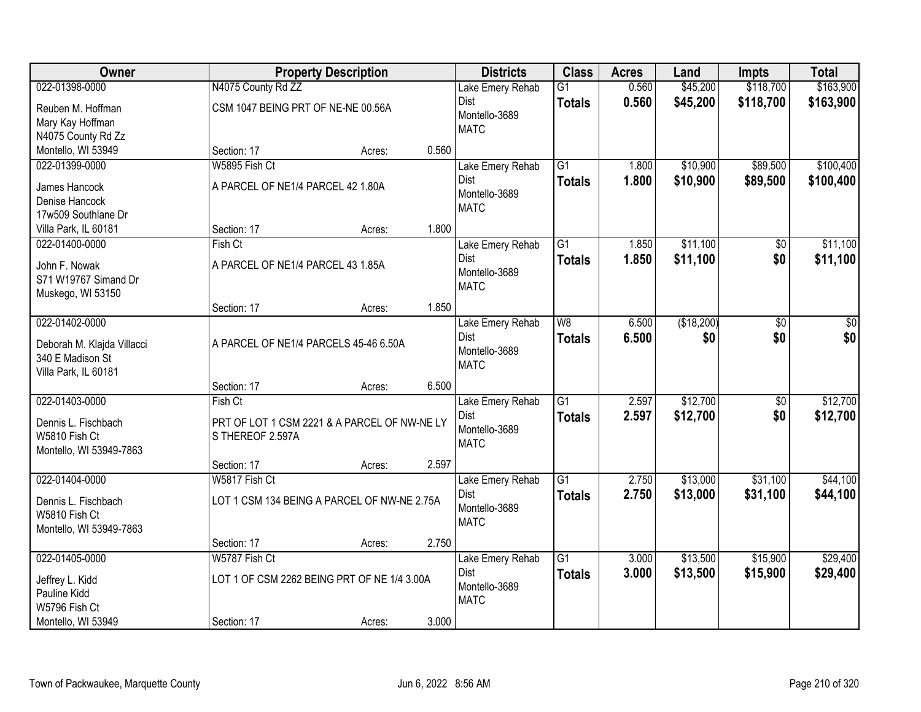| Owner                      |                                       | <b>Property Description</b>                  |       | <b>Districts</b>             | <b>Class</b>    | <b>Acres</b> | Land       | <b>Impts</b>    | <b>Total</b> |
|----------------------------|---------------------------------------|----------------------------------------------|-------|------------------------------|-----------------|--------------|------------|-----------------|--------------|
| 022-01398-0000             | N4075 County Rd ZZ                    |                                              |       | Lake Emery Rehab             | $\overline{G1}$ | 0.560        | \$45,200   | \$118,700       | \$163,900    |
| Reuben M. Hoffman          | CSM 1047 BEING PRT OF NE-NE 00.56A    |                                              |       | Dist                         | <b>Totals</b>   | 0.560        | \$45,200   | \$118,700       | \$163,900    |
| Mary Kay Hoffman           |                                       |                                              |       | Montello-3689                |                 |              |            |                 |              |
| N4075 County Rd Zz         |                                       |                                              |       | <b>MATC</b>                  |                 |              |            |                 |              |
| Montello, WI 53949         | Section: 17                           | Acres:                                       | 0.560 |                              |                 |              |            |                 |              |
| 022-01399-0000             | W5895 Fish Ct                         |                                              |       | Lake Emery Rehab             | $\overline{G1}$ | 1.800        | \$10,900   | \$89,500        | \$100,400    |
| James Hancock              | A PARCEL OF NE1/4 PARCEL 42 1.80A     |                                              |       | Dist                         | <b>Totals</b>   | 1.800        | \$10,900   | \$89,500        | \$100,400    |
| Denise Hancock             |                                       |                                              |       | Montello-3689                |                 |              |            |                 |              |
| 17w509 Southlane Dr        |                                       |                                              |       | <b>MATC</b>                  |                 |              |            |                 |              |
| Villa Park, IL 60181       | Section: 17                           | Acres:                                       | 1.800 |                              |                 |              |            |                 |              |
| 022-01400-0000             | Fish Ct                               |                                              |       | Lake Emery Rehab             | $\overline{G1}$ | 1.850        | \$11,100   | \$0             | \$11,100     |
| John F. Nowak              | A PARCEL OF NE1/4 PARCEL 43 1.85A     |                                              |       | <b>Dist</b>                  | <b>Totals</b>   | 1.850        | \$11,100   | \$0             | \$11,100     |
| S71 W19767 Simand Dr       |                                       |                                              |       | Montello-3689                |                 |              |            |                 |              |
| Muskego, WI 53150          |                                       |                                              |       | <b>MATC</b>                  |                 |              |            |                 |              |
|                            | Section: 17                           | Acres:                                       | 1.850 |                              |                 |              |            |                 |              |
| 022-01402-0000             |                                       |                                              |       | Lake Emery Rehab             | W <sub>8</sub>  | 6.500        | (\$18,200) | \$0             | \$0          |
| Deborah M. Klajda Villacci | A PARCEL OF NE1/4 PARCELS 45-46 6.50A |                                              |       | <b>Dist</b>                  | <b>Totals</b>   | 6.500        | \$0        | \$0             | \$0          |
| 340 E Madison St           |                                       |                                              |       | Montello-3689<br><b>MATC</b> |                 |              |            |                 |              |
| Villa Park, IL 60181       |                                       |                                              |       |                              |                 |              |            |                 |              |
|                            | Section: 17                           | Acres:                                       | 6.500 |                              |                 |              |            |                 |              |
| 022-01403-0000             | Fish Ct                               |                                              |       | Lake Emery Rehab             | $\overline{G1}$ | 2.597        | \$12,700   | $\overline{30}$ | \$12,700     |
| Dennis L. Fischbach        |                                       | PRT OF LOT 1 CSM 2221 & A PARCEL OF NW-NE LY |       | Dist                         | <b>Totals</b>   | 2.597        | \$12,700   | \$0             | \$12,700     |
| W5810 Fish Ct              | S THEREOF 2.597A                      |                                              |       | Montello-3689<br><b>MATC</b> |                 |              |            |                 |              |
| Montello, WI 53949-7863    |                                       |                                              |       |                              |                 |              |            |                 |              |
|                            | Section: 17                           | Acres:                                       | 2.597 |                              |                 |              |            |                 |              |
| 022-01404-0000             | W5817 Fish Ct                         |                                              |       | Lake Emery Rehab             | $\overline{G1}$ | 2.750        | \$13,000   | \$31,100        | \$44,100     |
| Dennis L. Fischbach        |                                       | LOT 1 CSM 134 BEING A PARCEL OF NW-NE 2.75A  |       | Dist<br>Montello-3689        | <b>Totals</b>   | 2.750        | \$13,000   | \$31,100        | \$44,100     |
| W5810 Fish Ct              |                                       |                                              |       | <b>MATC</b>                  |                 |              |            |                 |              |
| Montello, WI 53949-7863    |                                       |                                              |       |                              |                 |              |            |                 |              |
|                            | Section: 17                           | Acres:                                       | 2.750 |                              |                 |              |            |                 |              |
| 022-01405-0000             | W5787 Fish Ct                         |                                              |       | Lake Emery Rehab             | $\overline{G1}$ | 3.000        | \$13,500   | \$15,900        | \$29,400     |
| Jeffrey L. Kidd            |                                       | LOT 1 OF CSM 2262 BEING PRT OF NE 1/4 3.00A  |       | Dist<br>Montello-3689        | <b>Totals</b>   | 3.000        | \$13,500   | \$15,900        | \$29,400     |
| Pauline Kidd               |                                       |                                              |       | <b>MATC</b>                  |                 |              |            |                 |              |
| W5796 Fish Ct              |                                       |                                              |       |                              |                 |              |            |                 |              |
| Montello, WI 53949         | Section: 17                           | Acres:                                       | 3.000 |                              |                 |              |            |                 |              |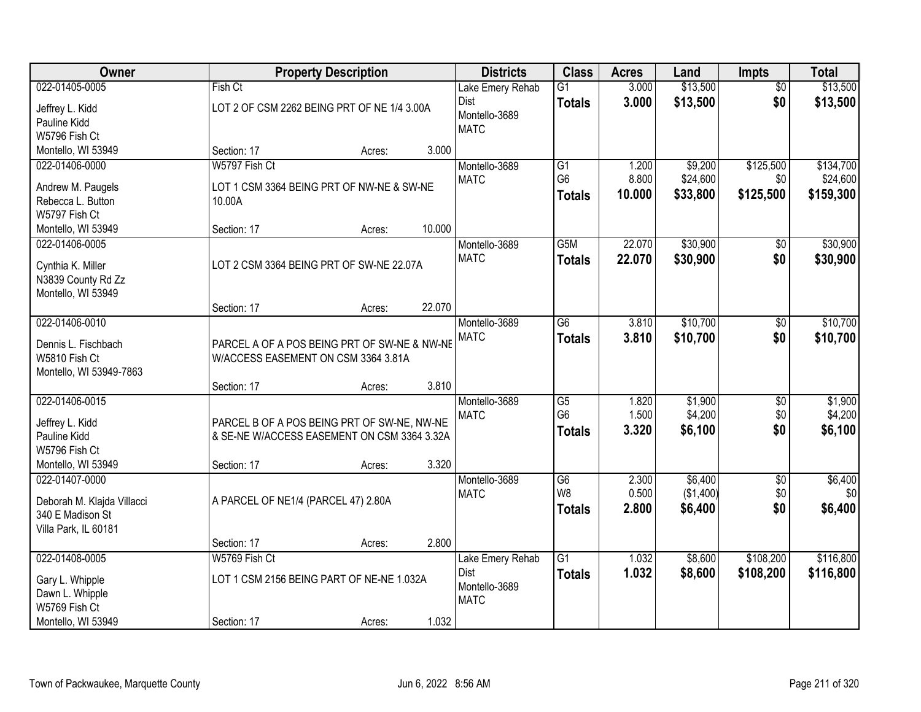| Owner                                   |                                              | <b>Property Description</b> |        | <b>Districts</b> | <b>Class</b>                      | <b>Acres</b>   | Land               | <b>Impts</b>    | <b>Total</b>       |
|-----------------------------------------|----------------------------------------------|-----------------------------|--------|------------------|-----------------------------------|----------------|--------------------|-----------------|--------------------|
| 022-01405-0005                          | Fish Ct                                      |                             |        | Lake Emery Rehab | $\overline{G1}$                   | 3.000          | \$13,500           | $\overline{50}$ | \$13,500           |
| Jeffrey L. Kidd                         | LOT 2 OF CSM 2262 BEING PRT OF NE 1/4 3.00A  |                             |        | Dist             | <b>Totals</b>                     | 3.000          | \$13,500           | \$0             | \$13,500           |
| Pauline Kidd                            |                                              |                             |        | Montello-3689    |                                   |                |                    |                 |                    |
| W5796 Fish Ct                           |                                              |                             |        | <b>MATC</b>      |                                   |                |                    |                 |                    |
| Montello, WI 53949                      | Section: 17                                  | Acres:                      | 3.000  |                  |                                   |                |                    |                 |                    |
| 022-01406-0000                          | W5797 Fish Ct                                |                             |        | Montello-3689    | $\overline{G1}$                   | 1.200          | \$9,200            | \$125,500       | \$134,700          |
| Andrew M. Paugels                       | LOT 1 CSM 3364 BEING PRT OF NW-NE & SW-NE    |                             |        | <b>MATC</b>      | G <sub>6</sub>                    | 8.800          | \$24,600           | \$0             | \$24,600           |
| Rebecca L. Button                       | 10.00A                                       |                             |        |                  | <b>Totals</b>                     | 10.000         | \$33,800           | \$125,500       | \$159,300          |
| W5797 Fish Ct                           |                                              |                             |        |                  |                                   |                |                    |                 |                    |
| Montello, WI 53949                      | Section: 17                                  | Acres:                      | 10.000 |                  |                                   |                |                    |                 |                    |
| 022-01406-0005                          |                                              |                             |        | Montello-3689    | G <sub>5</sub> M                  | 22.070         | \$30,900           | \$0             | \$30,900           |
|                                         |                                              |                             |        | <b>MATC</b>      | <b>Totals</b>                     | 22.070         | \$30,900           | \$0             | \$30,900           |
| Cynthia K. Miller<br>N3839 County Rd Zz | LOT 2 CSM 3364 BEING PRT OF SW-NE 22.07A     |                             |        |                  |                                   |                |                    |                 |                    |
| Montello, WI 53949                      |                                              |                             |        |                  |                                   |                |                    |                 |                    |
|                                         | Section: 17                                  | Acres:                      | 22.070 |                  |                                   |                |                    |                 |                    |
| 022-01406-0010                          |                                              |                             |        | Montello-3689    | $\overline{G6}$                   | 3.810          | \$10,700           | \$0             | \$10,700           |
|                                         |                                              |                             |        | <b>MATC</b>      | <b>Totals</b>                     | 3.810          | \$10,700           | \$0             | \$10,700           |
| Dennis L. Fischbach                     | PARCEL A OF A POS BEING PRT OF SW-NE & NW-NE |                             |        |                  |                                   |                |                    |                 |                    |
| W5810 Fish Ct                           | W/ACCESS EASEMENT ON CSM 3364 3.81A          |                             |        |                  |                                   |                |                    |                 |                    |
| Montello, WI 53949-7863                 |                                              |                             |        |                  |                                   |                |                    |                 |                    |
|                                         | Section: 17                                  | Acres:                      | 3.810  |                  |                                   |                |                    |                 |                    |
| 022-01406-0015                          |                                              |                             |        | Montello-3689    | $\overline{G5}$<br>G <sub>6</sub> | 1.820<br>1.500 | \$1,900<br>\$4,200 | \$0<br>\$0      | \$1,900<br>\$4,200 |
| Jeffrey L. Kidd                         | PARCEL B OF A POS BEING PRT OF SW-NE, NW-NE  |                             |        | <b>MATC</b>      |                                   | 3.320          | \$6,100            | \$0             | \$6,100            |
| Pauline Kidd                            | & SE-NE W/ACCESS EASEMENT ON CSM 3364 3.32A  |                             |        |                  | <b>Totals</b>                     |                |                    |                 |                    |
| W5796 Fish Ct                           |                                              |                             |        |                  |                                   |                |                    |                 |                    |
| Montello, WI 53949                      | Section: 17                                  | Acres:                      | 3.320  |                  |                                   |                |                    |                 |                    |
| 022-01407-0000                          |                                              |                             |        | Montello-3689    | $\overline{G6}$                   | 2.300          | \$6,400            | $\overline{$0}$ | \$6,400            |
| Deborah M. Klajda Villacci              | A PARCEL OF NE1/4 (PARCEL 47) 2.80A          |                             |        | <b>MATC</b>      | W8                                | 0.500          | (\$1,400)          | \$0             | \$0                |
| 340 E Madison St                        |                                              |                             |        |                  | <b>Totals</b>                     | 2.800          | \$6,400            | \$0             | \$6,400            |
| Villa Park, IL 60181                    |                                              |                             |        |                  |                                   |                |                    |                 |                    |
|                                         | Section: 17                                  | Acres:                      | 2.800  |                  |                                   |                |                    |                 |                    |
| 022-01408-0005                          | W5769 Fish Ct                                |                             |        | Lake Emery Rehab | $\overline{G1}$                   | 1.032          | \$8,600            | \$108,200       | \$116,800          |
| Gary L. Whipple                         | LOT 1 CSM 2156 BEING PART OF NE-NE 1.032A    |                             |        | Dist             | <b>Totals</b>                     | 1.032          | \$8,600            | \$108,200       | \$116,800          |
| Dawn L. Whipple                         |                                              |                             |        | Montello-3689    |                                   |                |                    |                 |                    |
| W5769 Fish Ct                           |                                              |                             |        | <b>MATC</b>      |                                   |                |                    |                 |                    |
| Montello, WI 53949                      | Section: 17                                  | Acres:                      | 1.032  |                  |                                   |                |                    |                 |                    |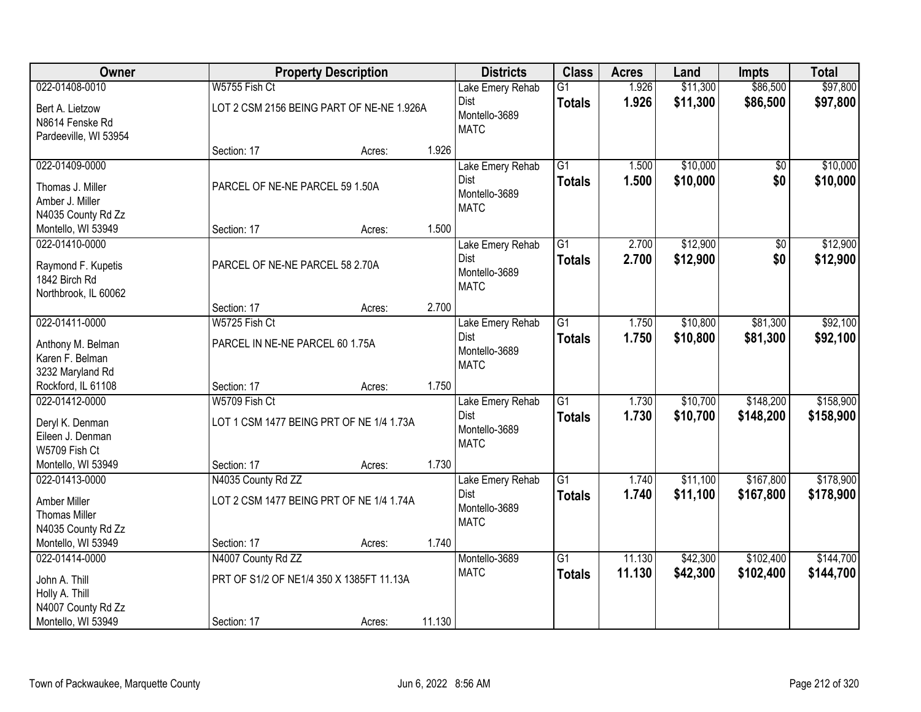| Owner                 |                                           | <b>Property Description</b> |        | <b>Districts</b>             | <b>Class</b>    | <b>Acres</b> | Land     | <b>Impts</b> | <b>Total</b> |
|-----------------------|-------------------------------------------|-----------------------------|--------|------------------------------|-----------------|--------------|----------|--------------|--------------|
| 022-01408-0010        | W5755 Fish Ct                             |                             |        | Lake Emery Rehab             | $\overline{G1}$ | 1.926        | \$11,300 | \$86,500     | \$97,800     |
| Bert A. Lietzow       | LOT 2 CSM 2156 BEING PART OF NE-NE 1.926A |                             |        | Dist                         | <b>Totals</b>   | 1.926        | \$11,300 | \$86,500     | \$97,800     |
| N8614 Fenske Rd       |                                           |                             |        | Montello-3689                |                 |              |          |              |              |
| Pardeeville, WI 53954 |                                           |                             |        | <b>MATC</b>                  |                 |              |          |              |              |
|                       | Section: 17                               | Acres:                      | 1.926  |                              |                 |              |          |              |              |
| 022-01409-0000        |                                           |                             |        | Lake Emery Rehab             | $\overline{G1}$ | 1.500        | \$10,000 | \$0          | \$10,000     |
| Thomas J. Miller      | PARCEL OF NE-NE PARCEL 59 1.50A           |                             |        | <b>Dist</b>                  | <b>Totals</b>   | 1.500        | \$10,000 | \$0          | \$10,000     |
| Amber J. Miller       |                                           |                             |        | Montello-3689<br><b>MATC</b> |                 |              |          |              |              |
| N4035 County Rd Zz    |                                           |                             |        |                              |                 |              |          |              |              |
| Montello, WI 53949    | Section: 17                               | Acres:                      | 1.500  |                              |                 |              |          |              |              |
| 022-01410-0000        |                                           |                             |        | Lake Emery Rehab             | $\overline{G1}$ | 2.700        | \$12,900 | $\sqrt{$0}$  | \$12,900     |
| Raymond F. Kupetis    | PARCEL OF NE-NE PARCEL 58 2.70A           |                             |        | Dist                         | <b>Totals</b>   | 2.700        | \$12,900 | \$0          | \$12,900     |
| 1842 Birch Rd         |                                           |                             |        | Montello-3689                |                 |              |          |              |              |
| Northbrook, IL 60062  |                                           |                             |        | <b>MATC</b>                  |                 |              |          |              |              |
|                       | Section: 17                               | Acres:                      | 2.700  |                              |                 |              |          |              |              |
| 022-01411-0000        | W5725 Fish Ct                             |                             |        | Lake Emery Rehab             | $\overline{G1}$ | 1.750        | \$10,800 | \$81,300     | \$92,100     |
| Anthony M. Belman     | PARCEL IN NE-NE PARCEL 60 1.75A           |                             |        | Dist                         | <b>Totals</b>   | 1.750        | \$10,800 | \$81,300     | \$92,100     |
| Karen F. Belman       |                                           |                             |        | Montello-3689<br><b>MATC</b> |                 |              |          |              |              |
| 3232 Maryland Rd      |                                           |                             |        |                              |                 |              |          |              |              |
| Rockford, IL 61108    | Section: 17                               | Acres:                      | 1.750  |                              |                 |              |          |              |              |
| 022-01412-0000        | W5709 Fish Ct                             |                             |        | Lake Emery Rehab             | $\overline{G1}$ | 1.730        | \$10,700 | \$148,200    | \$158,900    |
| Deryl K. Denman       | LOT 1 CSM 1477 BEING PRT OF NE 1/4 1.73A  |                             |        | Dist                         | <b>Totals</b>   | 1.730        | \$10,700 | \$148,200    | \$158,900    |
| Eileen J. Denman      |                                           |                             |        | Montello-3689<br><b>MATC</b> |                 |              |          |              |              |
| W5709 Fish Ct         |                                           |                             |        |                              |                 |              |          |              |              |
| Montello, WI 53949    | Section: 17                               | Acres:                      | 1.730  |                              |                 |              |          |              |              |
| 022-01413-0000        | N4035 County Rd ZZ                        |                             |        | Lake Emery Rehab             | $\overline{G1}$ | 1.740        | \$11,100 | \$167,800    | \$178,900    |
| Amber Miller          | LOT 2 CSM 1477 BEING PRT OF NE 1/4 1.74A  |                             |        | Dist                         | <b>Totals</b>   | 1.740        | \$11,100 | \$167,800    | \$178,900    |
| <b>Thomas Miller</b>  |                                           |                             |        | Montello-3689<br><b>MATC</b> |                 |              |          |              |              |
| N4035 County Rd Zz    |                                           |                             |        |                              |                 |              |          |              |              |
| Montello, WI 53949    | Section: 17                               | Acres:                      | 1.740  |                              |                 |              |          |              |              |
| 022-01414-0000        | N4007 County Rd ZZ                        |                             |        | Montello-3689                | $\overline{G1}$ | 11.130       | \$42,300 | \$102,400    | \$144,700    |
| John A. Thill         | PRT OF S1/2 OF NE1/4 350 X 1385FT 11.13A  |                             |        | <b>MATC</b>                  | <b>Totals</b>   | 11.130       | \$42,300 | \$102,400    | \$144,700    |
| Holly A. Thill        |                                           |                             |        |                              |                 |              |          |              |              |
| N4007 County Rd Zz    |                                           |                             |        |                              |                 |              |          |              |              |
| Montello, WI 53949    | Section: 17                               | Acres:                      | 11.130 |                              |                 |              |          |              |              |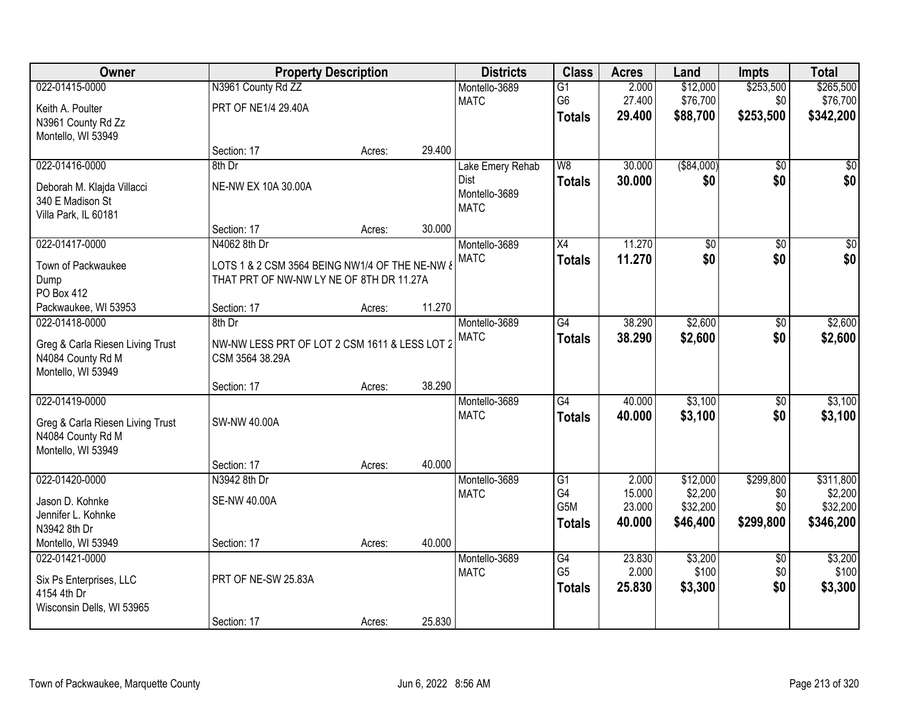| Owner                            | <b>Property Description</b>                    |        |        | <b>Districts</b>             | <b>Class</b>    | <b>Acres</b>     | Land                | <b>Impts</b>    | <b>Total</b>        |
|----------------------------------|------------------------------------------------|--------|--------|------------------------------|-----------------|------------------|---------------------|-----------------|---------------------|
| 022-01415-0000                   | N3961 County Rd ZZ                             |        |        | Montello-3689                | $\overline{G1}$ | 2.000            | \$12,000            | \$253,500       | \$265,500           |
| Keith A. Poulter                 | PRT OF NE1/4 29.40A                            |        |        | <b>MATC</b>                  | G6              | 27.400           | \$76,700            | \$0             | \$76,700            |
| N3961 County Rd Zz               |                                                |        |        |                              | <b>Totals</b>   | 29.400           | \$88,700            | \$253,500       | \$342,200           |
| Montello, WI 53949               |                                                |        |        |                              |                 |                  |                     |                 |                     |
|                                  | Section: 17                                    | Acres: | 29.400 |                              |                 |                  |                     |                 |                     |
| 022-01416-0000                   | 8th Dr                                         |        |        | Lake Emery Rehab             | $\overline{W8}$ | 30.000           | ( \$84,000)         | $\overline{50}$ | \$0                 |
| Deborah M. Klajda Villacci       | NE-NW EX 10A 30.00A                            |        |        | Dist                         | <b>Totals</b>   | 30.000           | \$0                 | \$0             | \$0                 |
| 340 E Madison St                 |                                                |        |        | Montello-3689<br><b>MATC</b> |                 |                  |                     |                 |                     |
| Villa Park, IL 60181             |                                                |        |        |                              |                 |                  |                     |                 |                     |
|                                  | Section: 17                                    | Acres: | 30.000 |                              |                 |                  |                     |                 |                     |
| 022-01417-0000                   | N4062 8th Dr                                   |        |        | Montello-3689                | X4              | 11.270           | \$0                 | $\overline{50}$ | $\overline{50}$     |
| Town of Packwaukee               | LOTS 1 & 2 CSM 3564 BEING NW1/4 OF THE NE-NW & |        |        | <b>MATC</b>                  | <b>Totals</b>   | 11.270           | \$0                 | \$0             | \$0                 |
| Dump                             | THAT PRT OF NW-NW LY NE OF 8TH DR 11.27A       |        |        |                              |                 |                  |                     |                 |                     |
| PO Box 412                       |                                                |        |        |                              |                 |                  |                     |                 |                     |
| Packwaukee, WI 53953             | Section: 17                                    | Acres: | 11.270 |                              |                 |                  |                     |                 |                     |
| 022-01418-0000                   | 8th Dr                                         |        |        | Montello-3689                | $\overline{G4}$ | 38.290           | \$2,600             | \$0             | \$2,600             |
| Greg & Carla Riesen Living Trust | NW-NW LESS PRT OF LOT 2 CSM 1611 & LESS LOT 2  |        |        | <b>MATC</b>                  | <b>Totals</b>   | 38.290           | \$2,600             | \$0             | \$2,600             |
| N4084 County Rd M                | CSM 3564 38.29A                                |        |        |                              |                 |                  |                     |                 |                     |
| Montello, WI 53949               |                                                |        |        |                              |                 |                  |                     |                 |                     |
|                                  | Section: 17                                    | Acres: | 38.290 |                              |                 |                  |                     |                 |                     |
| 022-01419-0000                   |                                                |        |        | Montello-3689                | $\overline{G4}$ | 40.000           | \$3,100             | $\overline{50}$ | \$3,100             |
| Greg & Carla Riesen Living Trust | SW-NW 40.00A                                   |        |        | <b>MATC</b>                  | <b>Totals</b>   | 40.000           | \$3,100             | \$0             | \$3,100             |
| N4084 County Rd M                |                                                |        |        |                              |                 |                  |                     |                 |                     |
| Montello, WI 53949               |                                                |        |        |                              |                 |                  |                     |                 |                     |
|                                  | Section: 17                                    | Acres: | 40.000 |                              |                 |                  |                     |                 |                     |
| 022-01420-0000                   | N3942 8th Dr                                   |        |        | Montello-3689                | G1              | 2.000            | \$12,000            | \$299,800       | \$311,800           |
| Jason D. Kohnke                  | <b>SE-NW 40.00A</b>                            |        |        | <b>MATC</b>                  | G4<br>G5M       | 15.000<br>23.000 | \$2,200<br>\$32,200 | \$0<br>\$0      | \$2,200<br>\$32,200 |
| Jennifer L. Kohnke               |                                                |        |        |                              |                 | 40.000           | \$46,400            | \$299,800       | \$346,200           |
| N3942 8th Dr                     |                                                |        |        |                              | <b>Totals</b>   |                  |                     |                 |                     |
| Montello, WI 53949               | Section: 17                                    | Acres: | 40.000 |                              |                 |                  |                     |                 |                     |
| 022-01421-0000                   |                                                |        |        | Montello-3689                | $\overline{G4}$ | 23.830           | \$3,200             | $\overline{50}$ | \$3,200             |
| Six Ps Enterprises, LLC          | PRT OF NE-SW 25.83A                            |        |        | <b>MATC</b>                  | G <sub>5</sub>  | 2.000            | \$100               | \$0             | \$100               |
| 4154 4th Dr                      |                                                |        |        |                              | <b>Totals</b>   | 25.830           | \$3,300             | \$0             | \$3,300             |
| Wisconsin Dells, WI 53965        |                                                |        |        |                              |                 |                  |                     |                 |                     |
|                                  | Section: 17                                    | Acres: | 25.830 |                              |                 |                  |                     |                 |                     |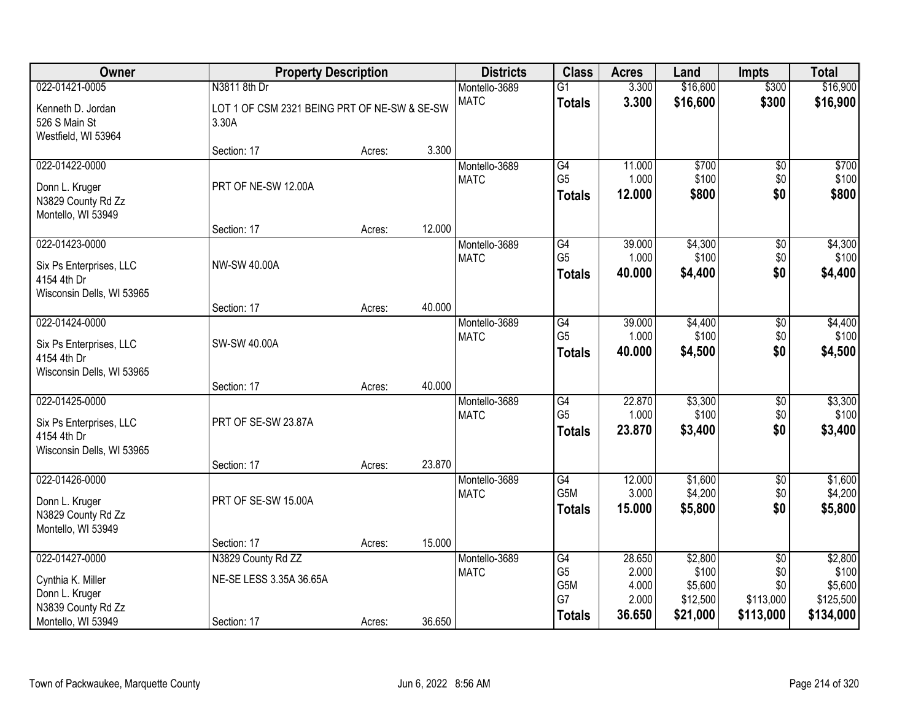| Owner                                                                                 | <b>Property Description</b>                           |        | <b>Districts</b> | <b>Class</b>                 | <b>Acres</b>                          | Land                              | <b>Impts</b>                            | <b>Total</b>                               |                                          |
|---------------------------------------------------------------------------------------|-------------------------------------------------------|--------|------------------|------------------------------|---------------------------------------|-----------------------------------|-----------------------------------------|--------------------------------------------|------------------------------------------|
| 022-01421-0005                                                                        | N3811 8th Dr                                          |        |                  | Montello-3689                | $\overline{G1}$                       | 3.300                             | \$16,600                                | \$300                                      | \$16,900                                 |
| Kenneth D. Jordan<br>526 S Main St<br>Westfield, WI 53964                             | LOT 1 OF CSM 2321 BEING PRT OF NE-SW & SE-SW<br>3.30A |        |                  | <b>MATC</b>                  | <b>Totals</b>                         | 3.300                             | \$16,600                                | \$300                                      | \$16,900                                 |
|                                                                                       | Section: 17                                           | Acres: | 3.300            |                              |                                       |                                   |                                         |                                            |                                          |
| 022-01422-0000<br>Donn L. Kruger<br>N3829 County Rd Zz<br>Montello, WI 53949          | PRT OF NE-SW 12.00A                                   |        |                  | Montello-3689<br><b>MATC</b> | G4<br>G <sub>5</sub><br><b>Totals</b> | 11.000<br>1.000<br>12.000         | \$700<br>\$100<br>\$800                 | \$0<br>\$0<br>\$0                          | \$700<br>\$100<br>\$800                  |
| 022-01423-0000                                                                        | Section: 17                                           | Acres: | 12.000           |                              | G4                                    | 39.000                            |                                         |                                            |                                          |
| Six Ps Enterprises, LLC<br>4154 4th Dr<br>Wisconsin Dells, WI 53965                   | NW-SW 40.00A                                          |        |                  | Montello-3689<br><b>MATC</b> | G <sub>5</sub><br><b>Totals</b>       | 1.000<br>40.000                   | \$4,300<br>\$100<br>\$4,400             | \$0<br>\$0<br>\$0                          | \$4,300<br>\$100<br>\$4,400              |
|                                                                                       | Section: 17                                           | Acres: | 40.000           |                              |                                       |                                   |                                         |                                            |                                          |
| 022-01424-0000<br>Six Ps Enterprises, LLC<br>4154 4th Dr<br>Wisconsin Dells, WI 53965 | SW-SW 40.00A                                          |        |                  | Montello-3689<br><b>MATC</b> | G4<br>G <sub>5</sub><br><b>Totals</b> | 39.000<br>1.000<br>40.000         | \$4,400<br>\$100<br>\$4,500             | \$0<br>\$0<br>\$0                          | \$4,400<br>\$100<br>\$4,500              |
|                                                                                       | Section: 17                                           | Acres: | 40.000           |                              |                                       |                                   |                                         |                                            |                                          |
| 022-01425-0000<br>Six Ps Enterprises, LLC<br>4154 4th Dr<br>Wisconsin Dells, WI 53965 | PRT OF SE-SW 23.87A                                   |        | 23.870           | Montello-3689<br><b>MATC</b> | G4<br>G <sub>5</sub><br><b>Totals</b> | 22.870<br>1.000<br>23.870         | \$3,300<br>\$100<br>\$3,400             | \$0<br>\$0<br>\$0                          | \$3,300<br>\$100<br>\$3,400              |
| 022-01426-0000                                                                        | Section: 17                                           | Acres: |                  | Montello-3689                | G4                                    | 12.000                            | \$1,600                                 | $\overline{$0}$                            | \$1,600                                  |
| Donn L. Kruger<br>N3829 County Rd Zz<br>Montello, WI 53949                            | PRT OF SE-SW 15.00A                                   |        |                  | <b>MATC</b>                  | G5M<br><b>Totals</b>                  | 3.000<br>15.000                   | \$4,200<br>\$5,800                      | \$0<br>\$0                                 | \$4,200<br>\$5,800                       |
|                                                                                       | Section: 17                                           | Acres: | 15.000           |                              |                                       |                                   |                                         |                                            |                                          |
| 022-01427-0000<br>Cynthia K. Miller<br>Donn L. Kruger<br>N3839 County Rd Zz           | N3829 County Rd ZZ<br>NE-SE LESS 3.35A 36.65A         |        |                  | Montello-3689<br><b>MATC</b> | G4<br>G <sub>5</sub><br>G5M<br>G7     | 28.650<br>2.000<br>4.000<br>2.000 | \$2,800<br>\$100<br>\$5,600<br>\$12,500 | $\overline{50}$<br>\$0<br>\$0<br>\$113,000 | \$2,800<br>\$100<br>\$5,600<br>\$125,500 |
| Montello, WI 53949                                                                    | Section: 17                                           | Acres: | 36.650           |                              | <b>Totals</b>                         | 36.650                            | \$21,000                                | \$113,000                                  | \$134,000                                |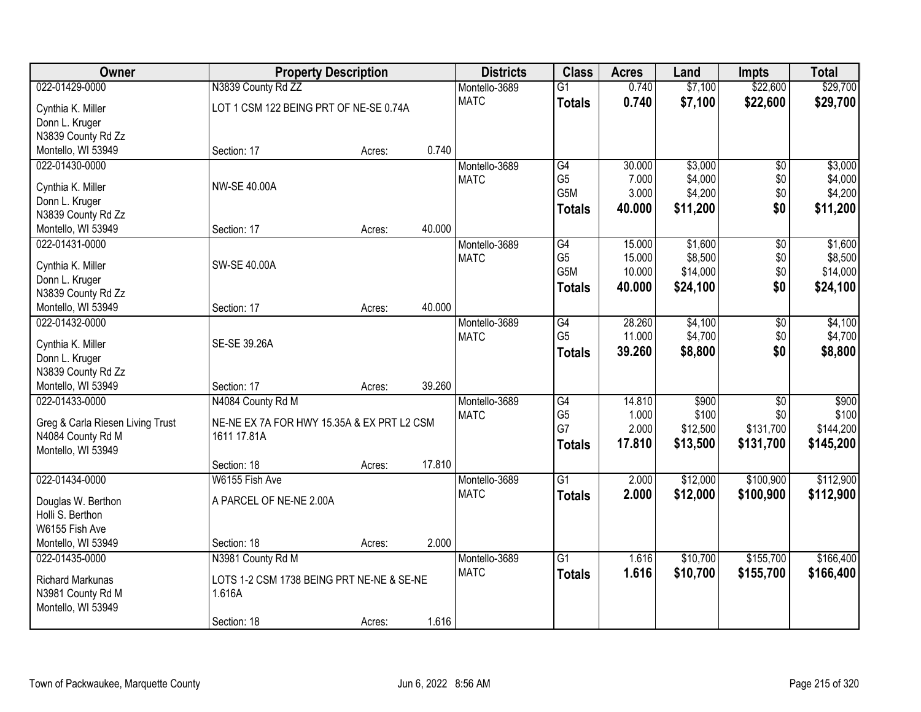| Owner                                    | <b>Property Description</b>                |        |        | <b>Districts</b> | <b>Class</b>         | <b>Acres</b>   | Land     | <b>Impts</b>    | <b>Total</b> |
|------------------------------------------|--------------------------------------------|--------|--------|------------------|----------------------|----------------|----------|-----------------|--------------|
| 022-01429-0000                           | N3839 County Rd ZZ                         |        |        | Montello-3689    | $\overline{G1}$      | 0.740          | \$7,100  | \$22,600        | \$29,700     |
| Cynthia K. Miller                        | LOT 1 CSM 122 BEING PRT OF NE-SE 0.74A     |        |        | <b>MATC</b>      | <b>Totals</b>        | 0.740          | \$7,100  | \$22,600        | \$29,700     |
| Donn L. Kruger                           |                                            |        |        |                  |                      |                |          |                 |              |
| N3839 County Rd Zz                       |                                            |        |        |                  |                      |                |          |                 |              |
| Montello, WI 53949                       | Section: 17                                | Acres: | 0.740  |                  |                      |                |          |                 |              |
| 022-01430-0000                           |                                            |        |        | Montello-3689    | G4                   | 30.000         | \$3,000  | $\overline{50}$ | \$3,000      |
| Cynthia K. Miller                        | <b>NW-SE 40.00A</b>                        |        |        | <b>MATC</b>      | G <sub>5</sub>       | 7.000          | \$4,000  | \$0             | \$4,000      |
| Donn L. Kruger                           |                                            |        |        |                  | G5M                  | 3.000          | \$4,200  | \$0             | \$4,200      |
| N3839 County Rd Zz                       |                                            |        |        |                  | <b>Totals</b>        | 40.000         | \$11,200 | \$0             | \$11,200     |
| Montello, WI 53949                       | Section: 17                                | Acres: | 40.000 |                  |                      |                |          |                 |              |
| 022-01431-0000                           |                                            |        |        | Montello-3689    | G4                   | 15.000         | \$1,600  | $\overline{50}$ | \$1,600      |
|                                          |                                            |        |        | <b>MATC</b>      | G <sub>5</sub>       | 15.000         | \$8,500  | \$0             | \$8,500      |
| Cynthia K. Miller                        | SW-SE 40.00A                               |        |        |                  | G5M                  | 10.000         | \$14,000 | \$0             | \$14,000     |
| Donn L. Kruger                           |                                            |        |        |                  | <b>Totals</b>        | 40.000         | \$24,100 | \$0             | \$24,100     |
| N3839 County Rd Zz<br>Montello, WI 53949 | Section: 17                                | Acres: | 40.000 |                  |                      |                |          |                 |              |
| 022-01432-0000                           |                                            |        |        | Montello-3689    | G4                   | 28.260         | \$4,100  | \$0             | \$4,100      |
|                                          |                                            |        |        | <b>MATC</b>      | G <sub>5</sub>       | 11.000         | \$4,700  | \$0             | \$4,700      |
| Cynthia K. Miller                        | SE-SE 39.26A                               |        |        |                  | <b>Totals</b>        | 39.260         | \$8,800  | \$0             | \$8,800      |
| Donn L. Kruger                           |                                            |        |        |                  |                      |                |          |                 |              |
| N3839 County Rd Zz                       |                                            |        |        |                  |                      |                |          |                 |              |
| Montello, WI 53949                       | Section: 17                                | Acres: | 39.260 |                  |                      |                |          |                 |              |
| 022-01433-0000                           | N4084 County Rd M                          |        |        | Montello-3689    | G4                   | 14.810         | \$900    | $\overline{30}$ | \$900        |
| Greg & Carla Riesen Living Trust         | NE-NE EX 7A FOR HWY 15.35A & EX PRT L2 CSM |        |        | <b>MATC</b>      | G <sub>5</sub><br>G7 | 1.000<br>2.000 | \$100    | \$0             | \$100        |
| N4084 County Rd M                        | 1611 17.81A                                |        |        |                  |                      |                | \$12,500 | \$131,700       | \$144,200    |
| Montello, WI 53949                       |                                            |        |        |                  | <b>Totals</b>        | 17.810         | \$13,500 | \$131,700       | \$145,200    |
|                                          | Section: 18                                | Acres: | 17.810 |                  |                      |                |          |                 |              |
| 022-01434-0000                           | W6155 Fish Ave                             |        |        | Montello-3689    | $\overline{G1}$      | 2.000          | \$12,000 | \$100,900       | \$112,900    |
| Douglas W. Berthon                       | A PARCEL OF NE-NE 2.00A                    |        |        | <b>MATC</b>      | <b>Totals</b>        | 2.000          | \$12,000 | \$100,900       | \$112,900    |
| Holli S. Berthon                         |                                            |        |        |                  |                      |                |          |                 |              |
| W6155 Fish Ave                           |                                            |        |        |                  |                      |                |          |                 |              |
| Montello, WI 53949                       | Section: 18                                | Acres: | 2.000  |                  |                      |                |          |                 |              |
| 022-01435-0000                           | N3981 County Rd M                          |        |        | Montello-3689    | $\overline{G1}$      | 1.616          | \$10,700 | \$155,700       | \$166,400    |
|                                          | LOTS 1-2 CSM 1738 BEING PRT NE-NE & SE-NE  |        |        | <b>MATC</b>      | <b>Totals</b>        | 1.616          | \$10,700 | \$155,700       | \$166,400    |
| Richard Markunas<br>N3981 County Rd M    | 1.616A                                     |        |        |                  |                      |                |          |                 |              |
| Montello, WI 53949                       |                                            |        |        |                  |                      |                |          |                 |              |
|                                          | Section: 18                                | Acres: | 1.616  |                  |                      |                |          |                 |              |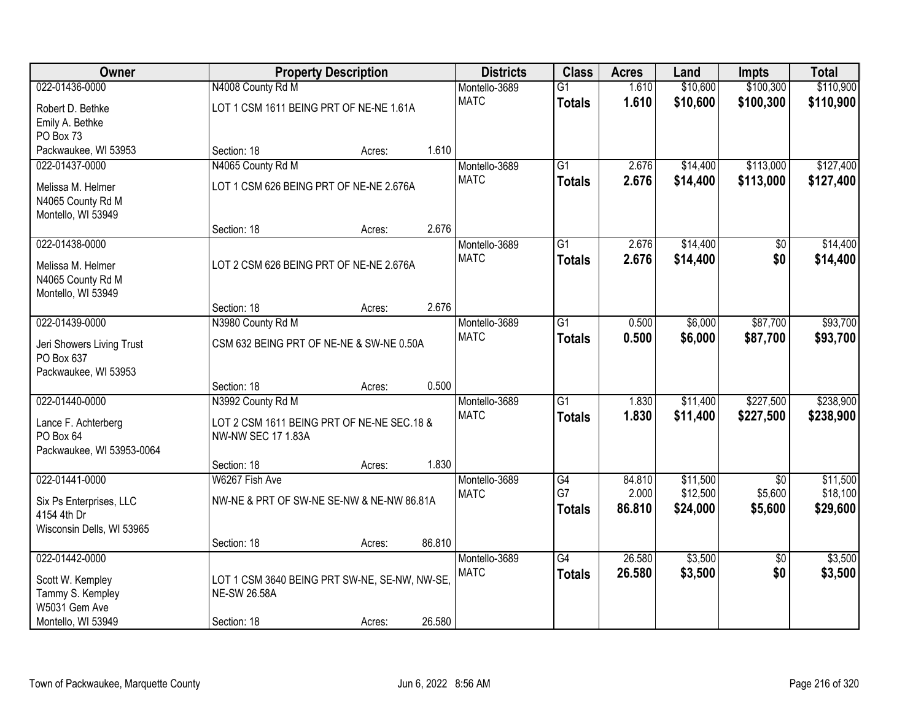| Owner                     |                                               | <b>Property Description</b> |        | <b>Districts</b> | <b>Class</b>    | <b>Acres</b> | Land     | <b>Impts</b>    | <b>Total</b> |
|---------------------------|-----------------------------------------------|-----------------------------|--------|------------------|-----------------|--------------|----------|-----------------|--------------|
| 022-01436-0000            | N4008 County Rd M                             |                             |        | Montello-3689    | $\overline{G1}$ | 1.610        | \$10,600 | \$100,300       | \$110,900    |
| Robert D. Bethke          | LOT 1 CSM 1611 BEING PRT OF NE-NE 1.61A       |                             |        | <b>MATC</b>      | <b>Totals</b>   | 1.610        | \$10,600 | \$100,300       | \$110,900    |
| Emily A. Bethke           |                                               |                             |        |                  |                 |              |          |                 |              |
| PO Box 73                 |                                               |                             |        |                  |                 |              |          |                 |              |
| Packwaukee, WI 53953      | Section: 18                                   | Acres:                      | 1.610  |                  |                 |              |          |                 |              |
| 022-01437-0000            | N4065 County Rd M                             |                             |        | Montello-3689    | $\overline{G1}$ | 2.676        | \$14,400 | \$113,000       | \$127,400    |
| Melissa M. Helmer         | LOT 1 CSM 626 BEING PRT OF NE-NE 2.676A       |                             |        | <b>MATC</b>      | <b>Totals</b>   | 2.676        | \$14,400 | \$113,000       | \$127,400    |
| N4065 County Rd M         |                                               |                             |        |                  |                 |              |          |                 |              |
| Montello, WI 53949        |                                               |                             |        |                  |                 |              |          |                 |              |
|                           | Section: 18                                   | Acres:                      | 2.676  |                  |                 |              |          |                 |              |
| 022-01438-0000            |                                               |                             |        | Montello-3689    | G1              | 2.676        | \$14,400 | \$0             | \$14,400     |
| Melissa M. Helmer         | LOT 2 CSM 626 BEING PRT OF NE-NE 2.676A       |                             |        | <b>MATC</b>      | <b>Totals</b>   | 2.676        | \$14,400 | \$0             | \$14,400     |
| N4065 County Rd M         |                                               |                             |        |                  |                 |              |          |                 |              |
| Montello, WI 53949        |                                               |                             |        |                  |                 |              |          |                 |              |
|                           | Section: 18                                   | Acres:                      | 2.676  |                  |                 |              |          |                 |              |
| 022-01439-0000            | N3980 County Rd M                             |                             |        | Montello-3689    | $\overline{G1}$ | 0.500        | \$6,000  | \$87,700        | \$93,700     |
| Jeri Showers Living Trust | CSM 632 BEING PRT OF NE-NE & SW-NE 0.50A      |                             |        | <b>MATC</b>      | <b>Totals</b>   | 0.500        | \$6,000  | \$87,700        | \$93,700     |
| PO Box 637                |                                               |                             |        |                  |                 |              |          |                 |              |
| Packwaukee, WI 53953      |                                               |                             |        |                  |                 |              |          |                 |              |
|                           | Section: 18                                   | Acres:                      | 0.500  |                  |                 |              |          |                 |              |
| 022-01440-0000            | N3992 County Rd M                             |                             |        | Montello-3689    | $\overline{G1}$ | 1.830        | \$11,400 | \$227,500       | \$238,900    |
| Lance F. Achterberg       | LOT 2 CSM 1611 BEING PRT OF NE-NE SEC.18 &    |                             |        | <b>MATC</b>      | <b>Totals</b>   | 1.830        | \$11,400 | \$227,500       | \$238,900    |
| PO Box 64                 | <b>NW-NW SEC 17 1.83A</b>                     |                             |        |                  |                 |              |          |                 |              |
| Packwaukee, WI 53953-0064 |                                               |                             |        |                  |                 |              |          |                 |              |
|                           | Section: 18                                   | Acres:                      | 1.830  |                  |                 |              |          |                 |              |
| 022-01441-0000            | W6267 Fish Ave                                |                             |        | Montello-3689    | G4              | 84.810       | \$11,500 | $\overline{50}$ | \$11,500     |
| Six Ps Enterprises, LLC   | NW-NE & PRT OF SW-NE SE-NW & NE-NW 86.81A     |                             |        | <b>MATC</b>      | G7              | 2.000        | \$12,500 | \$5,600         | \$18,100     |
| 4154 4th Dr               |                                               |                             |        |                  | <b>Totals</b>   | 86.810       | \$24,000 | \$5,600         | \$29,600     |
| Wisconsin Dells, WI 53965 |                                               |                             |        |                  |                 |              |          |                 |              |
|                           | Section: 18                                   | Acres:                      | 86.810 |                  |                 |              |          |                 |              |
| 022-01442-0000            |                                               |                             |        | Montello-3689    | G4              | 26.580       | \$3,500  | $\overline{50}$ | \$3,500      |
| Scott W. Kempley          | LOT 1 CSM 3640 BEING PRT SW-NE, SE-NW, NW-SE, |                             |        | <b>MATC</b>      | <b>Totals</b>   | 26.580       | \$3,500  | \$0             | \$3,500      |
| Tammy S. Kempley          | <b>NE-SW 26.58A</b>                           |                             |        |                  |                 |              |          |                 |              |
| W5031 Gem Ave             |                                               |                             |        |                  |                 |              |          |                 |              |
| Montello, WI 53949        | Section: 18                                   | Acres:                      | 26.580 |                  |                 |              |          |                 |              |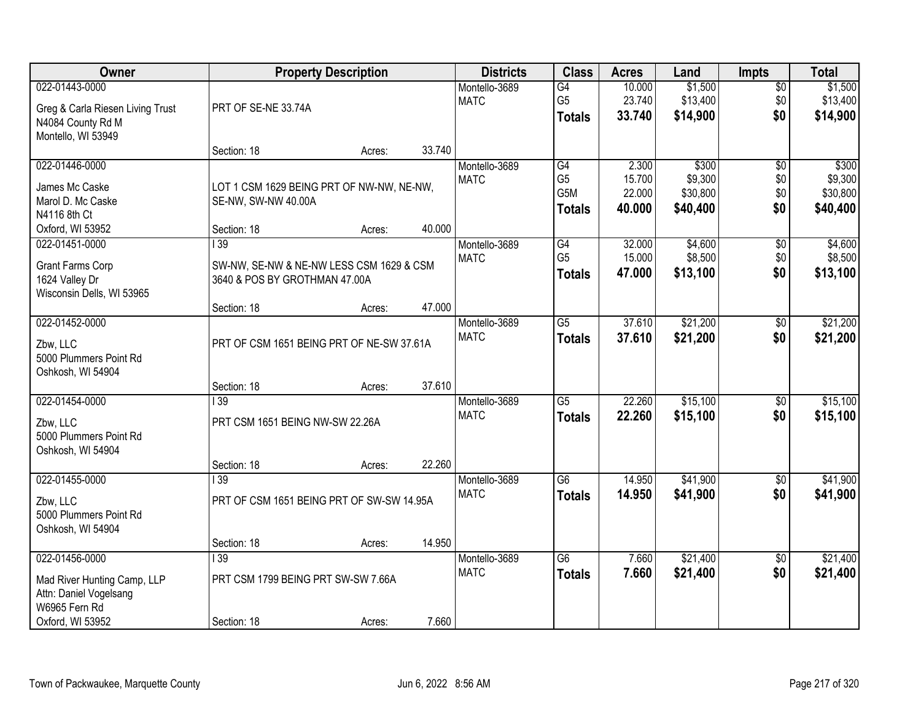| Owner                                                                                                        |                                                                                 | <b>Property Description</b> |        | <b>Districts</b>             | <b>Class</b>                                              | <b>Acres</b>                        | Land                                     | <b>Impts</b>                         | <b>Total</b>                             |
|--------------------------------------------------------------------------------------------------------------|---------------------------------------------------------------------------------|-----------------------------|--------|------------------------------|-----------------------------------------------------------|-------------------------------------|------------------------------------------|--------------------------------------|------------------------------------------|
| 022-01443-0000<br>Greg & Carla Riesen Living Trust<br>N4084 County Rd M<br>Montello, WI 53949                | PRT OF SE-NE 33.74A                                                             |                             |        | Montello-3689<br><b>MATC</b> | G4<br>G <sub>5</sub><br><b>Totals</b>                     | 10.000<br>23.740<br>33.740          | \$1,500<br>\$13,400<br>\$14,900          | $\overline{30}$<br>\$0<br>\$0        | \$1,500<br>\$13,400<br>\$14,900          |
|                                                                                                              | Section: 18                                                                     | Acres:                      | 33.740 |                              |                                                           |                                     |                                          |                                      |                                          |
| 022-01446-0000<br>James Mc Caske<br>Marol D. Mc Caske<br>N4116 8th Ct<br>Oxford, WI 53952                    | LOT 1 CSM 1629 BEING PRT OF NW-NW, NE-NW,<br>SE-NW, SW-NW 40.00A<br>Section: 18 | Acres:                      | 40.000 | Montello-3689<br><b>MATC</b> | G4<br>G <sub>5</sub><br>G <sub>5</sub> M<br><b>Totals</b> | 2.300<br>15.700<br>22.000<br>40.000 | \$300<br>\$9,300<br>\$30,800<br>\$40,400 | $\overline{50}$<br>\$0<br>\$0<br>\$0 | \$300<br>\$9,300<br>\$30,800<br>\$40,400 |
| 022-01451-0000                                                                                               | $\overline{139}$                                                                |                             |        | Montello-3689                | G4                                                        | 32.000                              | \$4,600                                  | \$0                                  | \$4,600                                  |
| Grant Farms Corp<br>1624 Valley Dr<br>Wisconsin Dells, WI 53965                                              | SW-NW, SE-NW & NE-NW LESS CSM 1629 & CSM<br>3640 & POS BY GROTHMAN 47.00A       |                             |        | <b>MATC</b>                  | G <sub>5</sub><br><b>Totals</b>                           | 15.000<br>47.000                    | \$8,500<br>\$13,100                      | \$0<br>\$0                           | \$8,500<br>\$13,100                      |
|                                                                                                              | Section: 18                                                                     | Acres:                      | 47.000 |                              |                                                           |                                     |                                          |                                      |                                          |
| 022-01452-0000<br>Zbw, LLC<br>5000 Plummers Point Rd<br>Oshkosh, WI 54904                                    | PRT OF CSM 1651 BEING PRT OF NE-SW 37.61A                                       |                             |        | Montello-3689<br><b>MATC</b> | $\overline{G5}$<br><b>Totals</b>                          | 37.610<br>37.610                    | \$21,200<br>\$21,200                     | \$0<br>\$0                           | \$21,200<br>\$21,200                     |
|                                                                                                              | Section: 18                                                                     | Acres:                      | 37.610 |                              |                                                           |                                     |                                          |                                      |                                          |
| 022-01454-0000<br>Zbw, LLC<br>5000 Plummers Point Rd<br>Oshkosh, WI 54904                                    | $\overline{139}$<br>PRT CSM 1651 BEING NW-SW 22.26A                             |                             |        | Montello-3689<br><b>MATC</b> | $\overline{G5}$<br><b>Totals</b>                          | 22.260<br>22.260                    | \$15,100<br>\$15,100                     | $\overline{50}$<br>\$0               | \$15,100<br>\$15,100                     |
|                                                                                                              | Section: 18<br>$\overline{139}$                                                 | Acres:                      | 22.260 |                              | $\overline{G6}$                                           |                                     |                                          |                                      |                                          |
| 022-01455-0000<br>Zbw, LLC<br>5000 Plummers Point Rd<br>Oshkosh, WI 54904                                    | PRT OF CSM 1651 BEING PRT OF SW-SW 14.95A                                       |                             |        | Montello-3689<br><b>MATC</b> | <b>Totals</b>                                             | 14.950<br>14.950                    | \$41,900<br>\$41,900                     | $\sqrt{6}$<br>\$0                    | \$41,900<br>\$41,900                     |
|                                                                                                              | Section: 18                                                                     | Acres:                      | 14.950 |                              |                                                           |                                     |                                          |                                      |                                          |
| 022-01456-0000<br>Mad River Hunting Camp, LLP<br>Attn: Daniel Vogelsang<br>W6965 Fern Rd<br>Oxford, WI 53952 | $\overline{139}$<br>PRT CSM 1799 BEING PRT SW-SW 7.66A<br>Section: 18           | Acres:                      | 7.660  | Montello-3689<br><b>MATC</b> | $\overline{G6}$<br><b>Totals</b>                          | 7.660<br>7.660                      | \$21,400<br>\$21,400                     | $\overline{50}$<br>\$0               | \$21,400<br>\$21,400                     |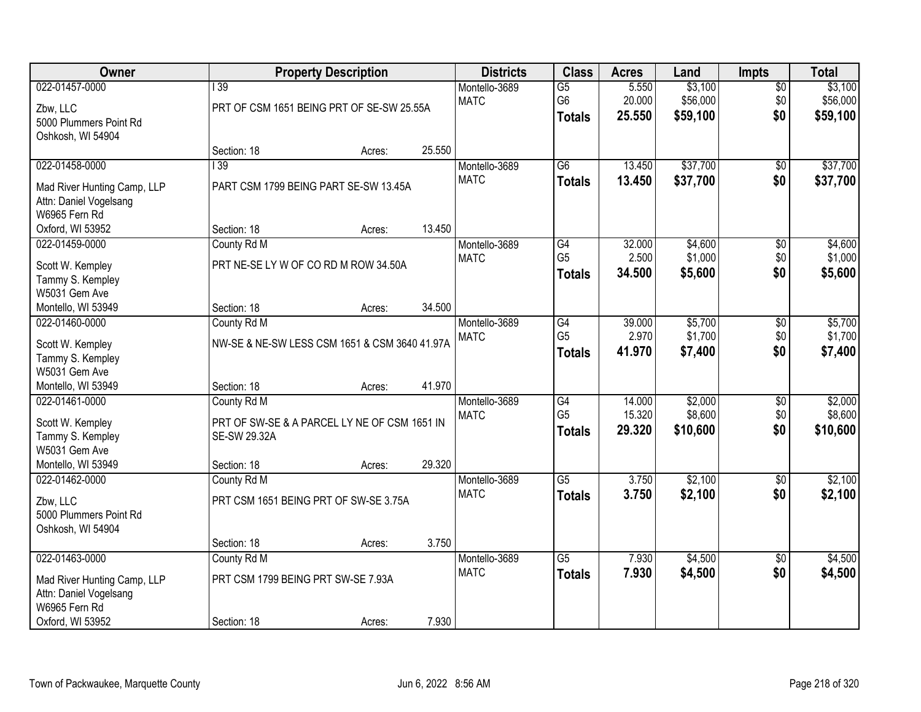| Owner                                                                                                        |                                                                                            | <b>Property Description</b> |        | <b>Districts</b>             | <b>Class</b>                                       | <b>Acres</b>               | Land                            | Impts                         | <b>Total</b>                    |
|--------------------------------------------------------------------------------------------------------------|--------------------------------------------------------------------------------------------|-----------------------------|--------|------------------------------|----------------------------------------------------|----------------------------|---------------------------------|-------------------------------|---------------------------------|
| 022-01457-0000<br>Zbw, LLC<br>5000 Plummers Point Rd<br>Oshkosh, WI 54904                                    | $\overline{139}$<br>PRT OF CSM 1651 BEING PRT OF SE-SW 25.55A                              |                             |        | Montello-3689<br><b>MATC</b> | $\overline{G5}$<br>G6<br><b>Totals</b>             | 5.550<br>20.000<br>25.550  | \$3,100<br>\$56,000<br>\$59,100 | $\overline{50}$<br>\$0<br>\$0 | \$3,100<br>\$56,000<br>\$59,100 |
|                                                                                                              | Section: 18                                                                                | Acres:                      | 25.550 |                              |                                                    |                            |                                 |                               |                                 |
| 022-01458-0000<br>Mad River Hunting Camp, LLP<br>Attn: Daniel Vogelsang<br>W6965 Fern Rd                     | $\overline{139}$<br>PART CSM 1799 BEING PART SE-SW 13.45A                                  |                             |        | Montello-3689<br><b>MATC</b> | $\overline{G6}$<br><b>Totals</b>                   | 13.450<br>13.450           | \$37,700<br>\$37,700            | $\overline{50}$<br>\$0        | \$37,700<br>\$37,700            |
| Oxford, WI 53952                                                                                             | Section: 18                                                                                | Acres:                      | 13.450 |                              |                                                    |                            |                                 |                               |                                 |
| 022-01459-0000<br>Scott W. Kempley<br>Tammy S. Kempley<br>W5031 Gem Ave                                      | County Rd M<br>PRT NE-SE LY W OF CO RD M ROW 34.50A                                        |                             |        | Montello-3689<br><b>MATC</b> | $\overline{G4}$<br>G <sub>5</sub><br><b>Totals</b> | 32.000<br>2.500<br>34.500  | \$4,600<br>\$1,000<br>\$5,600   | $\overline{50}$<br>\$0<br>\$0 | \$4,600<br>\$1,000<br>\$5,600   |
| Montello, WI 53949                                                                                           | Section: 18                                                                                | Acres:                      | 34.500 |                              |                                                    |                            |                                 |                               |                                 |
| 022-01460-0000<br>Scott W. Kempley<br>Tammy S. Kempley<br>W5031 Gem Ave                                      | County Rd M<br>NW-SE & NE-SW LESS CSM 1651 & CSM 3640 41.97A                               |                             |        | Montello-3689<br><b>MATC</b> | G4<br>G <sub>5</sub><br><b>Totals</b>              | 39.000<br>2.970<br>41.970  | \$5,700<br>\$1,700<br>\$7,400   | \$0<br>\$0<br>\$0             | \$5,700<br>\$1,700<br>\$7,400   |
| Montello, WI 53949                                                                                           | Section: 18                                                                                | Acres:                      | 41.970 |                              |                                                    |                            |                                 |                               |                                 |
| 022-01461-0000<br>Scott W. Kempley<br>Tammy S. Kempley<br>W5031 Gem Ave<br>Montello, WI 53949                | County Rd M<br>PRT OF SW-SE & A PARCEL LY NE OF CSM 1651 IN<br>SE-SW 29.32A<br>Section: 18 | Acres:                      | 29.320 | Montello-3689<br><b>MATC</b> | $\overline{G4}$<br>G <sub>5</sub><br><b>Totals</b> | 14.000<br>15.320<br>29.320 | \$2,000<br>\$8,600<br>\$10,600  | $\overline{50}$<br>\$0<br>\$0 | \$2,000<br>\$8,600<br>\$10,600  |
| 022-01462-0000                                                                                               | County Rd M                                                                                |                             |        | Montello-3689                | $\overline{G5}$                                    | 3.750                      | \$2,100                         | $\sqrt{6}$                    | \$2,100                         |
| Zbw, LLC<br>5000 Plummers Point Rd<br>Oshkosh, WI 54904                                                      | PRT CSM 1651 BEING PRT OF SW-SE 3.75A                                                      |                             |        | <b>MATC</b>                  | <b>Totals</b>                                      | 3.750                      | \$2,100                         | \$0                           | \$2,100                         |
|                                                                                                              | Section: 18                                                                                | Acres:                      | 3.750  |                              |                                                    |                            |                                 |                               |                                 |
| 022-01463-0000<br>Mad River Hunting Camp, LLP<br>Attn: Daniel Vogelsang<br>W6965 Fern Rd<br>Oxford, WI 53952 | County Rd M<br>PRT CSM 1799 BEING PRT SW-SE 7.93A<br>Section: 18                           | Acres:                      | 7.930  | Montello-3689<br><b>MATC</b> | $\overline{G5}$<br><b>Totals</b>                   | 7.930<br>7.930             | \$4,500<br>\$4,500              | $\overline{50}$<br>\$0        | \$4,500<br>\$4,500              |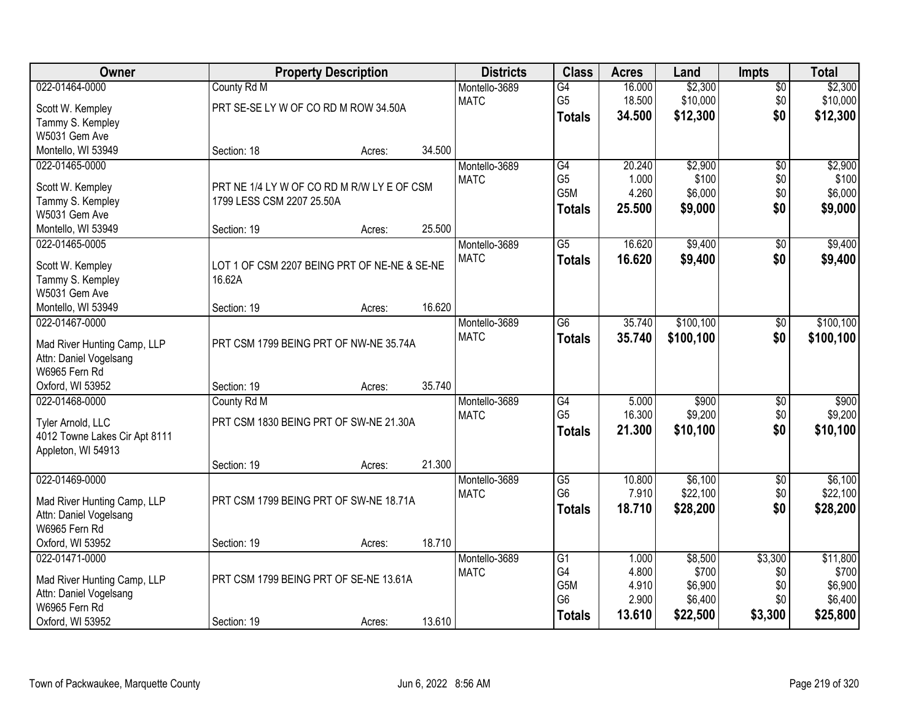| Owner                                   |                                              | <b>Property Description</b> |        | <b>Districts</b> | <b>Class</b>     | <b>Acres</b> | Land      | <b>Impts</b>    | <b>Total</b> |
|-----------------------------------------|----------------------------------------------|-----------------------------|--------|------------------|------------------|--------------|-----------|-----------------|--------------|
| 022-01464-0000                          | County Rd M                                  |                             |        | Montello-3689    | $\overline{G4}$  | 16.000       | \$2,300   | $\sqrt{$0}$     | \$2,300      |
| Scott W. Kempley                        | PRT SE-SE LY W OF CO RD M ROW 34.50A         |                             |        | <b>MATC</b>      | G <sub>5</sub>   | 18.500       | \$10,000  | \$0             | \$10,000     |
| Tammy S. Kempley                        |                                              |                             |        |                  | <b>Totals</b>    | 34.500       | \$12,300  | \$0             | \$12,300     |
| W5031 Gem Ave                           |                                              |                             |        |                  |                  |              |           |                 |              |
| Montello, WI 53949                      | Section: 18                                  | Acres:                      | 34.500 |                  |                  |              |           |                 |              |
| 022-01465-0000                          |                                              |                             |        | Montello-3689    | $\overline{G4}$  | 20.240       | \$2,900   | $\overline{50}$ | \$2,900      |
|                                         |                                              |                             |        | <b>MATC</b>      | G <sub>5</sub>   | 1.000        | \$100     | \$0             | \$100        |
| Scott W. Kempley                        | PRT NE 1/4 LY W OF CO RD M R/W LY E OF CSM   |                             |        |                  | G5M              | 4.260        | \$6,000   | \$0             | \$6,000      |
| Tammy S. Kempley                        | 1799 LESS CSM 2207 25.50A                    |                             |        |                  | <b>Totals</b>    | 25.500       | \$9,000   | \$0             | \$9,000      |
| W5031 Gem Ave                           |                                              |                             |        |                  |                  |              |           |                 |              |
| Montello, WI 53949                      | Section: 19                                  | Acres:                      | 25.500 |                  |                  |              |           |                 |              |
| 022-01465-0005                          |                                              |                             |        | Montello-3689    | $\overline{G5}$  | 16.620       | \$9,400   | $\sqrt[6]{}$    | \$9,400      |
| Scott W. Kempley                        | LOT 1 OF CSM 2207 BEING PRT OF NE-NE & SE-NE |                             |        | <b>MATC</b>      | <b>Totals</b>    | 16.620       | \$9,400   | \$0             | \$9,400      |
| Tammy S. Kempley                        | 16.62A                                       |                             |        |                  |                  |              |           |                 |              |
| W5031 Gem Ave                           |                                              |                             |        |                  |                  |              |           |                 |              |
| Montello, WI 53949                      | Section: 19                                  | Acres:                      | 16.620 |                  |                  |              |           |                 |              |
| 022-01467-0000                          |                                              |                             |        | Montello-3689    | G <sub>6</sub>   | 35.740       | \$100,100 | \$0             | \$100, 100   |
|                                         | PRT CSM 1799 BEING PRT OF NW-NE 35.74A       |                             |        | <b>MATC</b>      | <b>Totals</b>    | 35.740       | \$100,100 | \$0             | \$100,100    |
| Mad River Hunting Camp, LLP             |                                              |                             |        |                  |                  |              |           |                 |              |
| Attn: Daniel Vogelsang<br>W6965 Fern Rd |                                              |                             |        |                  |                  |              |           |                 |              |
| Oxford, WI 53952                        | Section: 19                                  | Acres:                      | 35.740 |                  |                  |              |           |                 |              |
| 022-01468-0000                          | County Rd M                                  |                             |        | Montello-3689    | $\overline{G4}$  | 5.000        | \$900     | \$0             | \$900        |
|                                         |                                              |                             |        | <b>MATC</b>      | G <sub>5</sub>   | 16.300       | \$9,200   | \$0             | \$9,200      |
| Tyler Arnold, LLC                       | PRT CSM 1830 BEING PRT OF SW-NE 21.30A       |                             |        |                  |                  | 21.300       | \$10,100  | \$0             | \$10,100     |
| 4012 Towne Lakes Cir Apt 8111           |                                              |                             |        |                  | <b>Totals</b>    |              |           |                 |              |
| Appleton, WI 54913                      |                                              |                             |        |                  |                  |              |           |                 |              |
|                                         | Section: 19                                  | Acres:                      | 21.300 |                  |                  |              |           |                 |              |
| 022-01469-0000                          |                                              |                             |        | Montello-3689    | $\overline{G5}$  | 10.800       | \$6,100   | $\overline{$0}$ | \$6,100      |
| Mad River Hunting Camp, LLP             | PRT CSM 1799 BEING PRT OF SW-NE 18.71A       |                             |        | <b>MATC</b>      | G <sub>6</sub>   | 7.910        | \$22,100  | \$0             | \$22,100     |
| Attn: Daniel Vogelsang                  |                                              |                             |        |                  | <b>Totals</b>    | 18.710       | \$28,200  | \$0             | \$28,200     |
| W6965 Fern Rd                           |                                              |                             |        |                  |                  |              |           |                 |              |
| Oxford, WI 53952                        | Section: 19                                  | Acres:                      | 18.710 |                  |                  |              |           |                 |              |
| 022-01471-0000                          |                                              |                             |        | Montello-3689    | G1               | 1.000        | \$8,500   | \$3,300         | \$11,800     |
|                                         |                                              |                             |        | <b>MATC</b>      | G4               | 4.800        | \$700     | \$0             | \$700        |
| Mad River Hunting Camp, LLP             | PRT CSM 1799 BEING PRT OF SE-NE 13.61A       |                             |        |                  | G <sub>5</sub> M | 4.910        | \$6,900   | \$0             | \$6,900      |
| Attn: Daniel Vogelsang                  |                                              |                             |        |                  | G <sub>6</sub>   | 2.900        | \$6,400   | \$0             | \$6,400      |
| W6965 Fern Rd                           |                                              |                             |        |                  | <b>Totals</b>    | 13.610       | \$22,500  | \$3,300         | \$25,800     |
| Oxford, WI 53952                        | Section: 19                                  | Acres:                      | 13.610 |                  |                  |              |           |                 |              |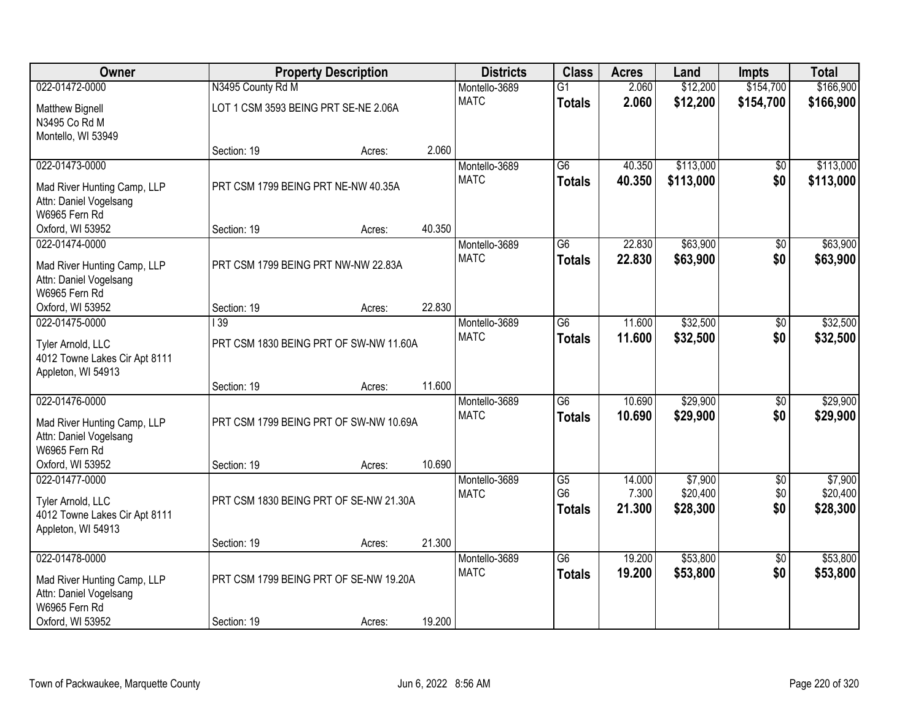| Owner                         |                                        | <b>Property Description</b> |        | <b>Districts</b> | <b>Class</b>    | <b>Acres</b> | Land      | <b>Impts</b>    | <b>Total</b> |
|-------------------------------|----------------------------------------|-----------------------------|--------|------------------|-----------------|--------------|-----------|-----------------|--------------|
| 022-01472-0000                | N3495 County Rd M                      |                             |        | Montello-3689    | $\overline{G1}$ | 2.060        | \$12,200  | \$154,700       | \$166,900    |
| <b>Matthew Bignell</b>        | LOT 1 CSM 3593 BEING PRT SE-NE 2.06A   |                             |        | <b>MATC</b>      | <b>Totals</b>   | 2.060        | \$12,200  | \$154,700       | \$166,900    |
| N3495 Co Rd M                 |                                        |                             |        |                  |                 |              |           |                 |              |
| Montello, WI 53949            |                                        |                             |        |                  |                 |              |           |                 |              |
|                               | Section: 19                            | Acres:                      | 2.060  |                  |                 |              |           |                 |              |
| 022-01473-0000                |                                        |                             |        | Montello-3689    | $\overline{G6}$ | 40.350       | \$113,000 | \$0             | \$113,000    |
| Mad River Hunting Camp, LLP   | PRT CSM 1799 BEING PRT NE-NW 40.35A    |                             |        | <b>MATC</b>      | <b>Totals</b>   | 40.350       | \$113,000 | \$0             | \$113,000    |
| Attn: Daniel Vogelsang        |                                        |                             |        |                  |                 |              |           |                 |              |
| W6965 Fern Rd                 |                                        |                             |        |                  |                 |              |           |                 |              |
| Oxford, WI 53952              | Section: 19                            | Acres:                      | 40.350 |                  |                 |              |           |                 |              |
| 022-01474-0000                |                                        |                             |        | Montello-3689    | G6              | 22.830       | \$63,900  | \$0             | \$63,900     |
| Mad River Hunting Camp, LLP   | PRT CSM 1799 BEING PRT NW-NW 22.83A    |                             |        | <b>MATC</b>      | <b>Totals</b>   | 22.830       | \$63,900  | \$0             | \$63,900     |
| Attn: Daniel Vogelsang        |                                        |                             |        |                  |                 |              |           |                 |              |
| W6965 Fern Rd                 |                                        |                             |        |                  |                 |              |           |                 |              |
| Oxford, WI 53952              | Section: 19                            | Acres:                      | 22.830 |                  |                 |              |           |                 |              |
| 022-01475-0000                | 139                                    |                             |        | Montello-3689    | $\overline{G6}$ | 11.600       | \$32,500  | \$0             | \$32,500     |
| Tyler Arnold, LLC             | PRT CSM 1830 BEING PRT OF SW-NW 11.60A |                             |        | <b>MATC</b>      | <b>Totals</b>   | 11.600       | \$32,500  | \$0             | \$32,500     |
| 4012 Towne Lakes Cir Apt 8111 |                                        |                             |        |                  |                 |              |           |                 |              |
| Appleton, WI 54913            |                                        |                             |        |                  |                 |              |           |                 |              |
|                               | Section: 19                            | Acres:                      | 11.600 |                  |                 |              |           |                 |              |
| 022-01476-0000                |                                        |                             |        | Montello-3689    | $\overline{G6}$ | 10.690       | \$29,900  | $\overline{50}$ | \$29,900     |
| Mad River Hunting Camp, LLP   | PRT CSM 1799 BEING PRT OF SW-NW 10.69A |                             |        | <b>MATC</b>      | <b>Totals</b>   | 10.690       | \$29,900  | \$0             | \$29,900     |
| Attn: Daniel Vogelsang        |                                        |                             |        |                  |                 |              |           |                 |              |
| W6965 Fern Rd                 |                                        |                             |        |                  |                 |              |           |                 |              |
| Oxford, WI 53952              | Section: 19                            | Acres:                      | 10.690 |                  |                 |              |           |                 |              |
| 022-01477-0000                |                                        |                             |        | Montello-3689    | $\overline{G5}$ | 14.000       | \$7,900   | $\overline{60}$ | \$7,900      |
| Tyler Arnold, LLC             | PRT CSM 1830 BEING PRT OF SE-NW 21.30A |                             |        | <b>MATC</b>      | G <sub>6</sub>  | 7.300        | \$20,400  | \$0             | \$20,400     |
| 4012 Towne Lakes Cir Apt 8111 |                                        |                             |        |                  | <b>Totals</b>   | 21.300       | \$28,300  | \$0             | \$28,300     |
| Appleton, WI 54913            |                                        |                             |        |                  |                 |              |           |                 |              |
|                               | Section: 19                            | Acres:                      | 21.300 |                  |                 |              |           |                 |              |
| 022-01478-0000                |                                        |                             |        | Montello-3689    | $\overline{G6}$ | 19.200       | \$53,800  | $\overline{50}$ | \$53,800     |
| Mad River Hunting Camp, LLP   | PRT CSM 1799 BEING PRT OF SE-NW 19.20A |                             |        | <b>MATC</b>      | <b>Totals</b>   | 19.200       | \$53,800  | \$0             | \$53,800     |
| Attn: Daniel Vogelsang        |                                        |                             |        |                  |                 |              |           |                 |              |
| W6965 Fern Rd                 |                                        |                             |        |                  |                 |              |           |                 |              |
| Oxford, WI 53952              | Section: 19                            | Acres:                      | 19.200 |                  |                 |              |           |                 |              |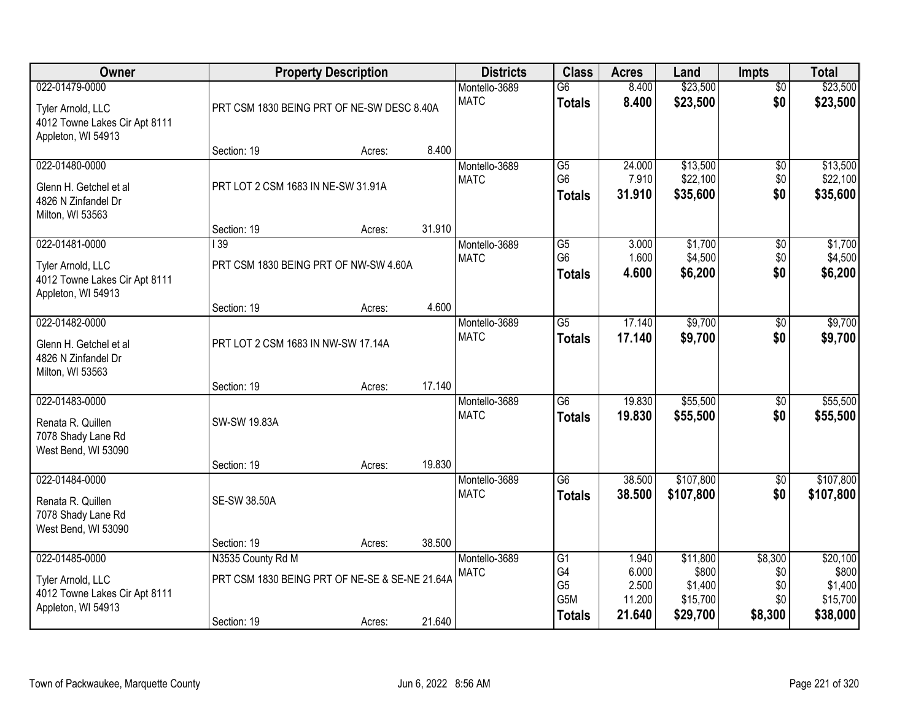| Owner                                                                                      |                                                                                    | <b>Property Description</b> |        | <b>Districts</b>             | <b>Class</b>                                                    | <b>Acres</b>                                | Land                                                 | <b>Impts</b>                            | <b>Total</b>                                         |
|--------------------------------------------------------------------------------------------|------------------------------------------------------------------------------------|-----------------------------|--------|------------------------------|-----------------------------------------------------------------|---------------------------------------------|------------------------------------------------------|-----------------------------------------|------------------------------------------------------|
| 022-01479-0000<br>Tyler Arnold, LLC<br>4012 Towne Lakes Cir Apt 8111<br>Appleton, WI 54913 | PRT CSM 1830 BEING PRT OF NE-SW DESC 8.40A                                         |                             |        | Montello-3689<br><b>MATC</b> | $\overline{G6}$<br><b>Totals</b>                                | 8.400<br>8.400                              | \$23,500<br>\$23,500                                 | $\overline{50}$<br>\$0                  | \$23,500<br>\$23,500                                 |
|                                                                                            | Section: 19                                                                        | Acres:                      | 8.400  |                              |                                                                 |                                             |                                                      |                                         |                                                      |
| 022-01480-0000<br>Glenn H. Getchel et al<br>4826 N Zinfandel Dr<br>Milton, WI 53563        | PRT LOT 2 CSM 1683 IN NE-SW 31.91A                                                 |                             |        | Montello-3689<br><b>MATC</b> | $\overline{G5}$<br>G <sub>6</sub><br><b>Totals</b>              | 24.000<br>7.910<br>31.910                   | \$13,500<br>\$22,100<br>\$35,600                     | $\overline{50}$<br>\$0<br>\$0           | \$13,500<br>\$22,100<br>\$35,600                     |
| 022-01481-0000                                                                             | Section: 19<br>$\overline{139}$                                                    | Acres:                      | 31.910 | Montello-3689                | $\overline{G5}$                                                 | 3.000                                       | \$1,700                                              | $\overline{50}$                         | \$1,700                                              |
| Tyler Arnold, LLC<br>4012 Towne Lakes Cir Apt 8111<br>Appleton, WI 54913                   | PRT CSM 1830 BEING PRT OF NW-SW 4.60A                                              |                             |        | <b>MATC</b>                  | G <sub>6</sub><br><b>Totals</b>                                 | 1.600<br>4.600                              | \$4,500<br>\$6,200                                   | \$0<br>\$0                              | \$4,500<br>\$6,200                                   |
|                                                                                            | Section: 19                                                                        | Acres:                      | 4.600  |                              |                                                                 |                                             |                                                      |                                         |                                                      |
| 022-01482-0000<br>Glenn H. Getchel et al<br>4826 N Zinfandel Dr<br>Milton, WI 53563        | PRT LOT 2 CSM 1683 IN NW-SW 17.14A                                                 |                             |        | Montello-3689<br><b>MATC</b> | $\overline{G5}$<br><b>Totals</b>                                | 17.140<br>17.140                            | \$9,700<br>\$9,700                                   | \$0<br>\$0                              | \$9,700<br>\$9,700                                   |
|                                                                                            | Section: 19                                                                        | Acres:                      | 17.140 |                              |                                                                 |                                             |                                                      |                                         |                                                      |
| 022-01483-0000<br>Renata R. Quillen<br>7078 Shady Lane Rd<br>West Bend, WI 53090           | <b>SW-SW 19.83A</b>                                                                |                             |        | Montello-3689<br><b>MATC</b> | $\overline{G6}$<br><b>Totals</b>                                | 19.830<br>19,830                            | \$55,500<br>\$55,500                                 | $\overline{50}$<br>\$0                  | \$55,500<br>\$55,500                                 |
| 022-01484-0000                                                                             | Section: 19                                                                        | Acres:                      | 19.830 | Montello-3689                | $\overline{G6}$                                                 | 38.500                                      | \$107,800                                            | $\overline{60}$                         | \$107,800                                            |
| Renata R. Quillen<br>7078 Shady Lane Rd<br>West Bend, WI 53090                             | <b>SE-SW 38.50A</b>                                                                |                             |        | <b>MATC</b>                  | <b>Totals</b>                                                   | 38.500                                      | \$107,800                                            | \$0                                     | \$107,800                                            |
|                                                                                            | Section: 19                                                                        | Acres:                      | 38.500 |                              |                                                                 |                                             |                                                      |                                         |                                                      |
| 022-01485-0000<br>Tyler Arnold, LLC<br>4012 Towne Lakes Cir Apt 8111<br>Appleton, WI 54913 | N3535 County Rd M<br>PRT CSM 1830 BEING PRT OF NE-SE & SE-NE 21.64A<br>Section: 19 | Acres:                      | 21.640 | Montello-3689<br><b>MATC</b> | G1<br>G4<br>G <sub>5</sub><br>G <sub>5</sub> M<br><b>Totals</b> | 1.940<br>6.000<br>2.500<br>11.200<br>21.640 | \$11,800<br>\$800<br>\$1,400<br>\$15,700<br>\$29,700 | \$8,300<br>\$0<br>\$0<br>\$0<br>\$8,300 | \$20,100<br>\$800<br>\$1,400<br>\$15,700<br>\$38,000 |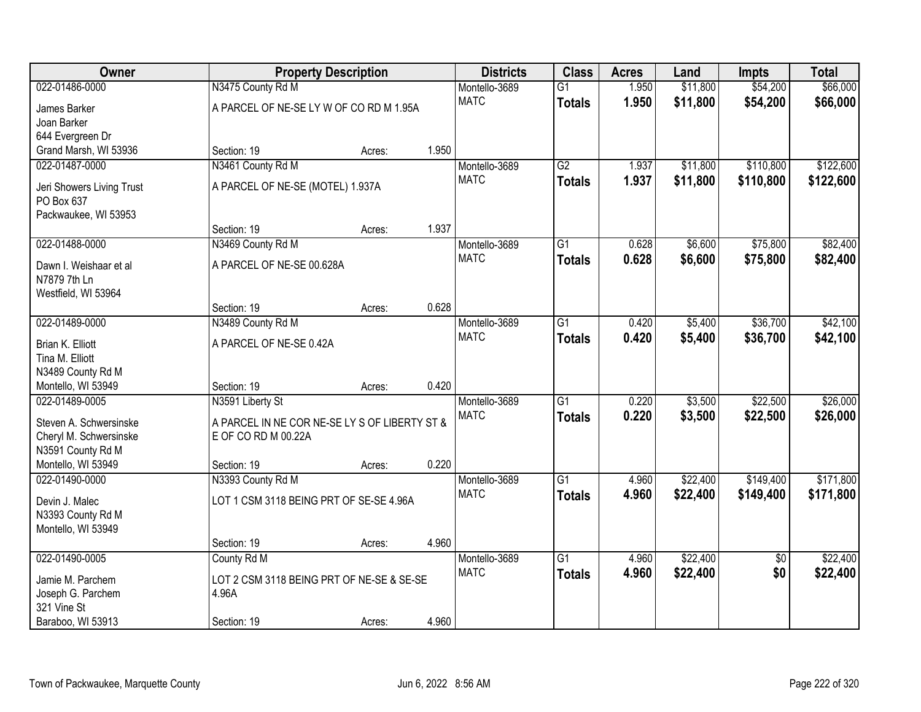| Owner                                  |                                               | <b>Property Description</b> |       | <b>Districts</b>             | <b>Class</b>    | <b>Acres</b> | Land     | <b>Impts</b>    | <b>Total</b> |
|----------------------------------------|-----------------------------------------------|-----------------------------|-------|------------------------------|-----------------|--------------|----------|-----------------|--------------|
| 022-01486-0000                         | N3475 County Rd M                             |                             |       | Montello-3689                | $\overline{G1}$ | 1.950        | \$11,800 | \$54,200        | \$66,000     |
| James Barker                           | A PARCEL OF NE-SE LY W OF CO RD M 1.95A       |                             |       | <b>MATC</b>                  | <b>Totals</b>   | 1.950        | \$11,800 | \$54,200        | \$66,000     |
| Joan Barker                            |                                               |                             |       |                              |                 |              |          |                 |              |
| 644 Evergreen Dr                       |                                               |                             |       |                              |                 |              |          |                 |              |
| Grand Marsh, WI 53936                  | Section: 19                                   | Acres:                      | 1.950 |                              |                 |              |          |                 |              |
| 022-01487-0000                         | N3461 County Rd M                             |                             |       | Montello-3689                | $\overline{G2}$ | 1.937        | \$11,800 | \$110,800       | \$122,600    |
| Jeri Showers Living Trust              | A PARCEL OF NE-SE (MOTEL) 1.937A              |                             |       | <b>MATC</b>                  | <b>Totals</b>   | 1.937        | \$11,800 | \$110,800       | \$122,600    |
| PO Box 637                             |                                               |                             |       |                              |                 |              |          |                 |              |
| Packwaukee, WI 53953                   |                                               |                             |       |                              |                 |              |          |                 |              |
|                                        | Section: 19                                   | Acres:                      | 1.937 |                              |                 |              |          |                 |              |
| 022-01488-0000                         | N3469 County Rd M                             |                             |       | Montello-3689                | $\overline{G1}$ | 0.628        | \$6,600  | \$75,800        | \$82,400     |
|                                        | A PARCEL OF NE-SE 00.628A                     |                             |       | <b>MATC</b>                  | <b>Totals</b>   | 0.628        | \$6,600  | \$75,800        | \$82,400     |
| Dawn I. Weishaar et al<br>N7879 7th Ln |                                               |                             |       |                              |                 |              |          |                 |              |
| Westfield, WI 53964                    |                                               |                             |       |                              |                 |              |          |                 |              |
|                                        | Section: 19                                   | Acres:                      | 0.628 |                              |                 |              |          |                 |              |
| 022-01489-0000                         | N3489 County Rd M                             |                             |       | Montello-3689                | $\overline{G1}$ | 0.420        | \$5,400  | \$36,700        | \$42,100     |
|                                        |                                               |                             |       | <b>MATC</b>                  | <b>Totals</b>   | 0.420        | \$5,400  | \$36,700        | \$42,100     |
| Brian K. Elliott                       | A PARCEL OF NE-SE 0.42A                       |                             |       |                              |                 |              |          |                 |              |
| Tina M. Elliott<br>N3489 County Rd M   |                                               |                             |       |                              |                 |              |          |                 |              |
| Montello, WI 53949                     | Section: 19                                   | Acres:                      | 0.420 |                              |                 |              |          |                 |              |
| 022-01489-0005                         | N3591 Liberty St                              |                             |       | Montello-3689                | $\overline{G1}$ | 0.220        | \$3,500  | \$22,500        | \$26,000     |
|                                        |                                               |                             |       | <b>MATC</b>                  | <b>Totals</b>   | 0.220        | \$3,500  | \$22,500        | \$26,000     |
| Steven A. Schwersinske                 | A PARCEL IN NE COR NE-SE LY S OF LIBERTY ST & |                             |       |                              |                 |              |          |                 |              |
| Cheryl M. Schwersinske                 | E OF CO RD M 00.22A                           |                             |       |                              |                 |              |          |                 |              |
| N3591 County Rd M                      |                                               |                             |       |                              |                 |              |          |                 |              |
| Montello, WI 53949<br>022-01490-0000   | Section: 19                                   | Acres:                      | 0.220 |                              | $\overline{G1}$ |              |          |                 |              |
|                                        | N3393 County Rd M                             |                             |       | Montello-3689<br><b>MATC</b> |                 | 4.960        | \$22,400 | \$149,400       | \$171,800    |
| Devin J. Malec                         | LOT 1 CSM 3118 BEING PRT OF SE-SE 4.96A       |                             |       |                              | <b>Totals</b>   | 4.960        | \$22,400 | \$149,400       | \$171,800    |
| N3393 County Rd M                      |                                               |                             |       |                              |                 |              |          |                 |              |
| Montello, WI 53949                     |                                               |                             |       |                              |                 |              |          |                 |              |
|                                        | Section: 19                                   | Acres:                      | 4.960 |                              |                 |              |          |                 |              |
| 022-01490-0005                         | County Rd M                                   |                             |       | Montello-3689                | $\overline{G1}$ | 4.960        | \$22,400 | $\overline{50}$ | \$22,400     |
| Jamie M. Parchem                       | LOT 2 CSM 3118 BEING PRT OF NE-SE & SE-SE     |                             |       | <b>MATC</b>                  | <b>Totals</b>   | 4.960        | \$22,400 | \$0             | \$22,400     |
| Joseph G. Parchem                      | 4.96A                                         |                             |       |                              |                 |              |          |                 |              |
| 321 Vine St                            |                                               |                             |       |                              |                 |              |          |                 |              |
| Baraboo, WI 53913                      | Section: 19                                   | Acres:                      | 4.960 |                              |                 |              |          |                 |              |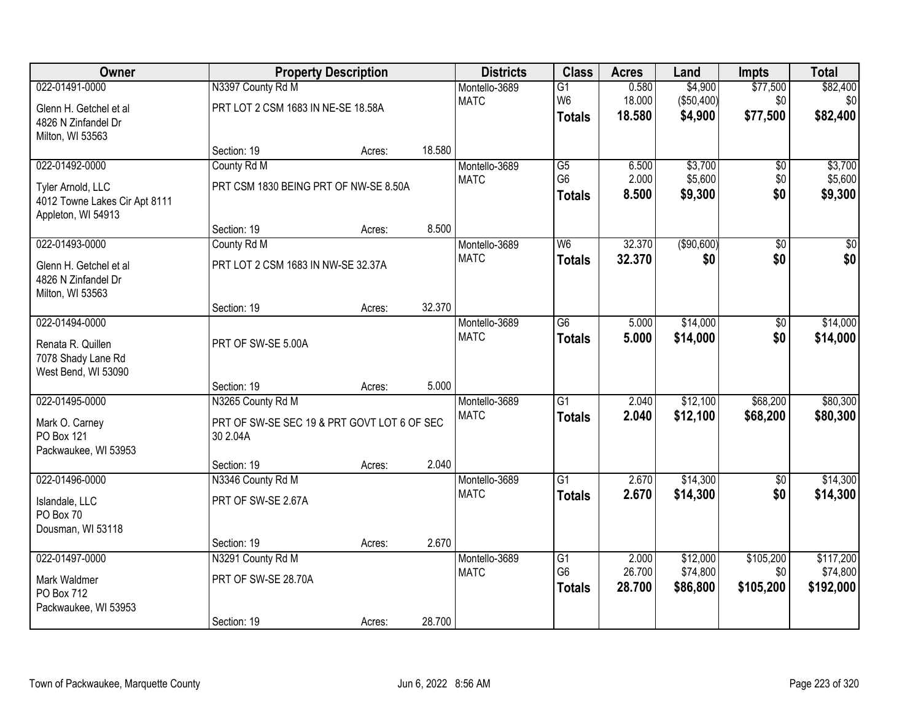| Owner                         |                                             | <b>Property Description</b> |        | <b>Districts</b> | <b>Class</b>    | <b>Acres</b>   | Land               | <b>Impts</b>    | <b>Total</b>       |
|-------------------------------|---------------------------------------------|-----------------------------|--------|------------------|-----------------|----------------|--------------------|-----------------|--------------------|
| 022-01491-0000                | N3397 County Rd M                           |                             |        | Montello-3689    | $\overline{G1}$ | 0.580          | \$4,900            | \$77,500        | \$82,400           |
| Glenn H. Getchel et al        | PRT LOT 2 CSM 1683 IN NE-SE 18.58A          |                             |        | <b>MATC</b>      | W <sub>6</sub>  | 18.000         | (\$50,400)         | \$0             | \$0                |
| 4826 N Zinfandel Dr           |                                             |                             |        |                  | <b>Totals</b>   | 18.580         | \$4,900            | \$77,500        | \$82,400           |
| Milton, WI 53563              |                                             |                             |        |                  |                 |                |                    |                 |                    |
|                               | Section: 19                                 | Acres:                      | 18.580 |                  |                 |                |                    |                 |                    |
| 022-01492-0000                | County Rd M                                 |                             |        | Montello-3689    | $\overline{G5}$ | 6.500          | \$3,700            | \$0             | \$3,700            |
| Tyler Arnold, LLC             | PRT CSM 1830 BEING PRT OF NW-SE 8.50A       |                             |        | <b>MATC</b>      | G <sub>6</sub>  | 2.000<br>8.500 | \$5,600<br>\$9,300 | \$0<br>\$0      | \$5,600<br>\$9,300 |
| 4012 Towne Lakes Cir Apt 8111 |                                             |                             |        |                  | <b>Totals</b>   |                |                    |                 |                    |
| Appleton, WI 54913            |                                             |                             |        |                  |                 |                |                    |                 |                    |
|                               | Section: 19                                 | Acres:                      | 8.500  |                  |                 |                |                    |                 |                    |
| 022-01493-0000                | County Rd M                                 |                             |        | Montello-3689    | W6              | 32.370         | ( \$90,600)        | $\overline{50}$ | $\overline{30}$    |
| Glenn H. Getchel et al        | PRT LOT 2 CSM 1683 IN NW-SE 32.37A          |                             |        | <b>MATC</b>      | <b>Totals</b>   | 32.370         | \$0                | \$0             | \$0                |
| 4826 N Zinfandel Dr           |                                             |                             |        |                  |                 |                |                    |                 |                    |
| Milton, WI 53563              |                                             |                             |        |                  |                 |                |                    |                 |                    |
| 022-01494-0000                | Section: 19                                 | Acres:                      | 32.370 | Montello-3689    | $\overline{G6}$ | 5.000          | \$14,000           | \$0             | \$14,000           |
|                               |                                             |                             |        | <b>MATC</b>      | <b>Totals</b>   | 5.000          | \$14,000           | \$0             | \$14,000           |
| Renata R. Quillen             | PRT OF SW-SE 5.00A                          |                             |        |                  |                 |                |                    |                 |                    |
| 7078 Shady Lane Rd            |                                             |                             |        |                  |                 |                |                    |                 |                    |
| West Bend, WI 53090           | Section: 19                                 |                             | 5.000  |                  |                 |                |                    |                 |                    |
| 022-01495-0000                | N3265 County Rd M                           | Acres:                      |        | Montello-3689    | $\overline{G1}$ | 2.040          | \$12,100           | \$68,200        | \$80,300           |
|                               |                                             |                             |        | <b>MATC</b>      | <b>Totals</b>   | 2.040          | \$12,100           | \$68,200        | \$80,300           |
| Mark O. Carney                | PRT OF SW-SE SEC 19 & PRT GOVT LOT 6 OF SEC |                             |        |                  |                 |                |                    |                 |                    |
| PO Box 121                    | 30 2.04A                                    |                             |        |                  |                 |                |                    |                 |                    |
| Packwaukee, WI 53953          | Section: 19                                 | Acres:                      | 2.040  |                  |                 |                |                    |                 |                    |
| 022-01496-0000                | N3346 County Rd M                           |                             |        | Montello-3689    | $\overline{G1}$ | 2.670          | \$14,300           | $\sqrt{6}$      | \$14,300           |
|                               |                                             |                             |        | <b>MATC</b>      | <b>Totals</b>   | 2.670          | \$14,300           | \$0             | \$14,300           |
| Islandale, LLC<br>PO Box 70   | PRT OF SW-SE 2.67A                          |                             |        |                  |                 |                |                    |                 |                    |
| Dousman, WI 53118             |                                             |                             |        |                  |                 |                |                    |                 |                    |
|                               | Section: 19                                 | Acres:                      | 2.670  |                  |                 |                |                    |                 |                    |
| 022-01497-0000                | N3291 County Rd M                           |                             |        | Montello-3689    | G1              | 2.000          | \$12,000           | \$105,200       | \$117,200          |
|                               |                                             |                             |        | <b>MATC</b>      | G <sub>6</sub>  | 26.700         | \$74,800           | \$0             | \$74,800           |
| Mark Waldmer<br>PO Box 712    | PRT OF SW-SE 28.70A                         |                             |        |                  | <b>Totals</b>   | 28.700         | \$86,800           | \$105,200       | \$192,000          |
| Packwaukee, WI 53953          |                                             |                             |        |                  |                 |                |                    |                 |                    |
|                               | Section: 19                                 | Acres:                      | 28.700 |                  |                 |                |                    |                 |                    |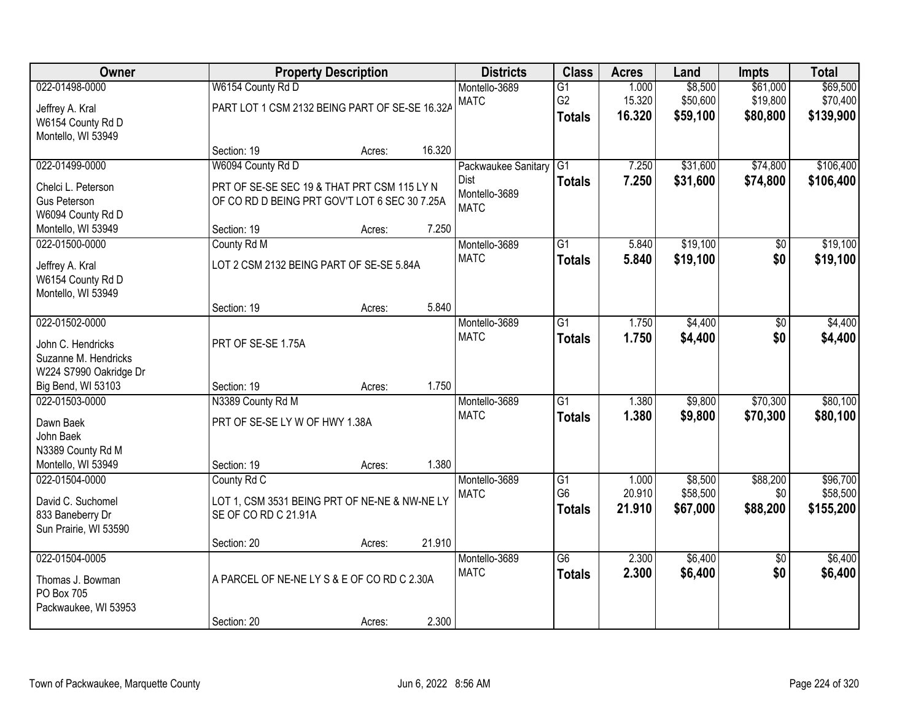| Owner                                                                                                  |                                                                                                                                 | <b>Property Description</b> |        | <b>Districts</b>                                            | <b>Class</b>                                       | <b>Acres</b>              | Land                            | <b>Impts</b>                     | <b>Total</b>                      |
|--------------------------------------------------------------------------------------------------------|---------------------------------------------------------------------------------------------------------------------------------|-----------------------------|--------|-------------------------------------------------------------|----------------------------------------------------|---------------------------|---------------------------------|----------------------------------|-----------------------------------|
| 022-01498-0000<br>Jeffrey A. Kral<br>W6154 County Rd D<br>Montello, WI 53949                           | W6154 County Rd D<br>PART LOT 1 CSM 2132 BEING PART OF SE-SE 16.32A                                                             |                             |        | Montello-3689<br><b>MATC</b>                                | $\overline{G1}$<br>G <sub>2</sub><br><b>Totals</b> | 1.000<br>15.320<br>16.320 | \$8,500<br>\$50,600<br>\$59,100 | \$61,000<br>\$19,800<br>\$80,800 | \$69,500<br>\$70,400<br>\$139,900 |
|                                                                                                        | Section: 19                                                                                                                     | Acres:                      | 16.320 |                                                             |                                                    |                           |                                 |                                  |                                   |
| 022-01499-0000<br>Chelci L. Peterson<br><b>Gus Peterson</b><br>W6094 County Rd D<br>Montello, WI 53949 | W6094 County Rd D<br>PRT OF SE-SE SEC 19 & THAT PRT CSM 115 LY N<br>OF CORD D BEING PRT GOV'T LOT 6 SEC 30 7.25A<br>Section: 19 | Acres:                      | 7.250  | Packwaukee Sanitary<br>Dist<br>Montello-3689<br><b>MATC</b> | $\overline{G1}$<br><b>Totals</b>                   | 7.250<br>7.250            | \$31,600<br>\$31,600            | \$74,800<br>\$74,800             | \$106,400<br>\$106,400            |
| 022-01500-0000<br>Jeffrey A. Kral<br>W6154 County Rd D                                                 | County Rd M<br>LOT 2 CSM 2132 BEING PART OF SE-SE 5.84A                                                                         |                             |        | Montello-3689<br><b>MATC</b>                                | $\overline{G1}$<br><b>Totals</b>                   | 5.840<br>5.840            | \$19,100<br>\$19,100            | \$0<br>\$0                       | \$19,100<br>\$19,100              |
| Montello, WI 53949                                                                                     | Section: 19                                                                                                                     | Acres:                      | 5.840  |                                                             |                                                    |                           |                                 |                                  |                                   |
| 022-01502-0000<br>John C. Hendricks<br>Suzanne M. Hendricks<br>W224 S7990 Oakridge Dr                  | PRT OF SE-SE 1.75A                                                                                                              |                             |        | Montello-3689<br><b>MATC</b>                                | $\overline{G1}$<br><b>Totals</b>                   | 1.750<br>1.750            | \$4,400<br>\$4,400              | \$0<br>\$0                       | \$4,400<br>\$4,400                |
| Big Bend, WI 53103                                                                                     | Section: 19                                                                                                                     | Acres:                      | 1.750  |                                                             |                                                    |                           |                                 |                                  |                                   |
| 022-01503-0000<br>Dawn Baek<br>John Baek<br>N3389 County Rd M<br>Montello, WI 53949                    | N3389 County Rd M<br>PRT OF SE-SE LY W OF HWY 1.38A<br>Section: 19                                                              | Acres:                      | 1.380  | Montello-3689<br><b>MATC</b>                                | $\overline{G1}$<br><b>Totals</b>                   | 1.380<br>1.380            | \$9,800<br>\$9,800              | \$70,300<br>\$70,300             | \$80,100<br>\$80,100              |
| 022-01504-0000<br>David C. Suchomel<br>833 Baneberry Dr<br>Sun Prairie, WI 53590                       | County Rd C<br>LOT 1, CSM 3531 BEING PRT OF NE-NE & NW-NE LY<br>SE OF CO RD C 21.91A<br>Section: 20                             | Acres:                      | 21.910 | Montello-3689<br><b>MATC</b>                                | $\overline{G1}$<br>G <sub>6</sub><br><b>Totals</b> | 1.000<br>20.910<br>21.910 | \$8,500<br>\$58,500<br>\$67,000 | \$88,200<br>\$0<br>\$88,200      | \$96,700<br>\$58,500<br>\$155,200 |
| 022-01504-0005<br>Thomas J. Bowman<br>PO Box 705<br>Packwaukee, WI 53953                               | A PARCEL OF NE-NE LY S & E OF CO RD C 2.30A<br>Section: 20                                                                      | Acres:                      | 2.300  | Montello-3689<br><b>MATC</b>                                | $\overline{G6}$<br><b>Totals</b>                   | 2.300<br>2.300            | \$6,400<br>\$6,400              | $\overline{50}$<br>\$0           | \$6,400<br>\$6,400                |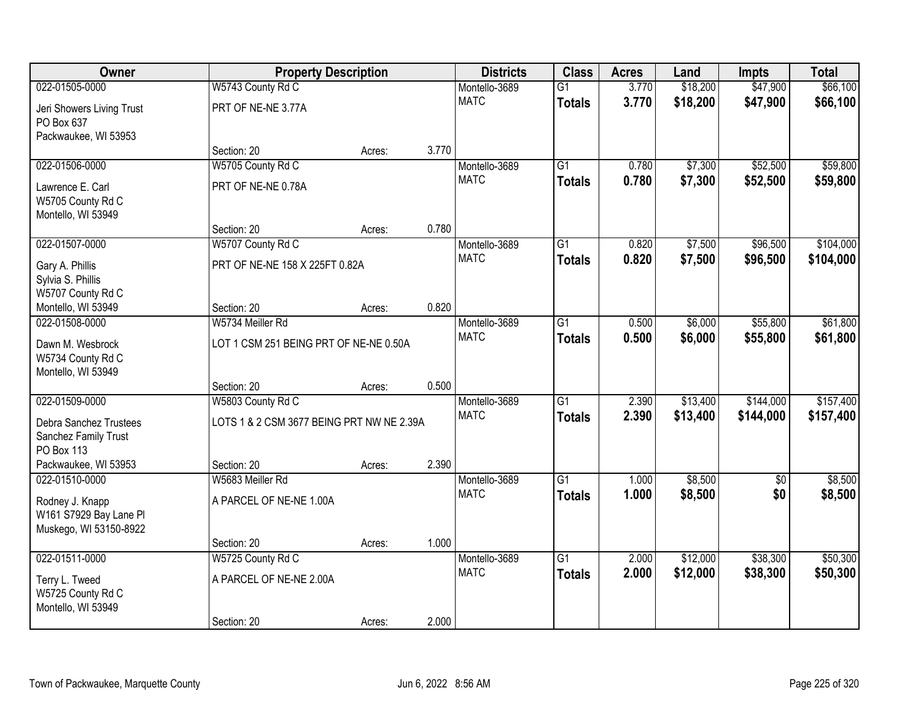| Owner                                     |                                           | <b>Property Description</b> |       | <b>Districts</b> | <b>Class</b>    | <b>Acres</b> | Land     | <b>Impts</b> | <b>Total</b> |
|-------------------------------------------|-------------------------------------------|-----------------------------|-------|------------------|-----------------|--------------|----------|--------------|--------------|
| 022-01505-0000                            | W5743 County Rd C                         |                             |       | Montello-3689    | $\overline{G1}$ | 3.770        | \$18,200 | \$47,900     | \$66,100     |
| Jeri Showers Living Trust                 | PRT OF NE-NE 3.77A                        |                             |       | <b>MATC</b>      | <b>Totals</b>   | 3.770        | \$18,200 | \$47,900     | \$66,100     |
| PO Box 637                                |                                           |                             |       |                  |                 |              |          |              |              |
| Packwaukee, WI 53953                      |                                           |                             |       |                  |                 |              |          |              |              |
|                                           | Section: 20                               | Acres:                      | 3.770 |                  |                 |              |          |              |              |
| 022-01506-0000                            | W5705 County Rd C                         |                             |       | Montello-3689    | $\overline{G1}$ | 0.780        | \$7,300  | \$52,500     | \$59,800     |
| Lawrence E. Carl                          | PRT OF NE-NE 0.78A                        |                             |       | <b>MATC</b>      | <b>Totals</b>   | 0.780        | \$7,300  | \$52,500     | \$59,800     |
| W5705 County Rd C                         |                                           |                             |       |                  |                 |              |          |              |              |
| Montello, WI 53949                        |                                           |                             |       |                  |                 |              |          |              |              |
|                                           | Section: 20                               | Acres:                      | 0.780 |                  |                 |              |          |              |              |
| 022-01507-0000                            | W5707 County Rd C                         |                             |       | Montello-3689    | $\overline{G1}$ | 0.820        | \$7,500  | \$96,500     | \$104,000    |
| Gary A. Phillis                           | PRT OF NE-NE 158 X 225FT 0.82A            |                             |       | <b>MATC</b>      | <b>Totals</b>   | 0.820        | \$7,500  | \$96,500     | \$104,000    |
| Sylvia S. Phillis                         |                                           |                             |       |                  |                 |              |          |              |              |
| W5707 County Rd C                         |                                           |                             |       |                  |                 |              |          |              |              |
| Montello, WI 53949                        | Section: 20                               | Acres:                      | 0.820 |                  |                 |              |          |              |              |
| 022-01508-0000                            | W5734 Meiller Rd                          |                             |       | Montello-3689    | $\overline{G1}$ | 0.500        | \$6,000  | \$55,800     | \$61,800     |
| Dawn M. Wesbrock                          | LOT 1 CSM 251 BEING PRT OF NE-NE 0.50A    |                             |       | <b>MATC</b>      | <b>Totals</b>   | 0.500        | \$6,000  | \$55,800     | \$61,800     |
| W5734 County Rd C                         |                                           |                             |       |                  |                 |              |          |              |              |
| Montello, WI 53949                        |                                           |                             |       |                  |                 |              |          |              |              |
|                                           | Section: 20                               | Acres:                      | 0.500 |                  |                 |              |          |              |              |
| 022-01509-0000                            | W5803 County Rd C                         |                             |       | Montello-3689    | $\overline{G1}$ | 2.390        | \$13,400 | \$144,000    | \$157,400    |
| Debra Sanchez Trustees                    | LOTS 1 & 2 CSM 3677 BEING PRT NW NE 2.39A |                             |       | <b>MATC</b>      | <b>Totals</b>   | 2.390        | \$13,400 | \$144,000    | \$157,400    |
| Sanchez Family Trust                      |                                           |                             |       |                  |                 |              |          |              |              |
| PO Box 113                                |                                           |                             |       |                  |                 |              |          |              |              |
| Packwaukee, WI 53953                      | Section: 20                               | Acres:                      | 2.390 |                  |                 |              |          |              |              |
| 022-01510-0000                            | W5683 Meiller Rd                          |                             |       | Montello-3689    | $\overline{G1}$ | 1.000        | \$8,500  | $\sqrt{6}$   | \$8,500      |
|                                           | A PARCEL OF NE-NE 1.00A                   |                             |       | <b>MATC</b>      | <b>Totals</b>   | 1.000        | \$8,500  | \$0          | \$8,500      |
| Rodney J. Knapp<br>W161 S7929 Bay Lane PI |                                           |                             |       |                  |                 |              |          |              |              |
| Muskego, WI 53150-8922                    |                                           |                             |       |                  |                 |              |          |              |              |
|                                           | Section: 20                               | Acres:                      | 1.000 |                  |                 |              |          |              |              |
| 022-01511-0000                            | W5725 County Rd C                         |                             |       | Montello-3689    | $\overline{G1}$ | 2.000        | \$12,000 | \$38,300     | \$50,300     |
|                                           |                                           |                             |       | <b>MATC</b>      | <b>Totals</b>   | 2.000        | \$12,000 | \$38,300     | \$50,300     |
| Terry L. Tweed                            | A PARCEL OF NE-NE 2.00A                   |                             |       |                  |                 |              |          |              |              |
| W5725 County Rd C<br>Montello, WI 53949   |                                           |                             |       |                  |                 |              |          |              |              |
|                                           | Section: 20                               | Acres:                      | 2.000 |                  |                 |              |          |              |              |
|                                           |                                           |                             |       |                  |                 |              |          |              |              |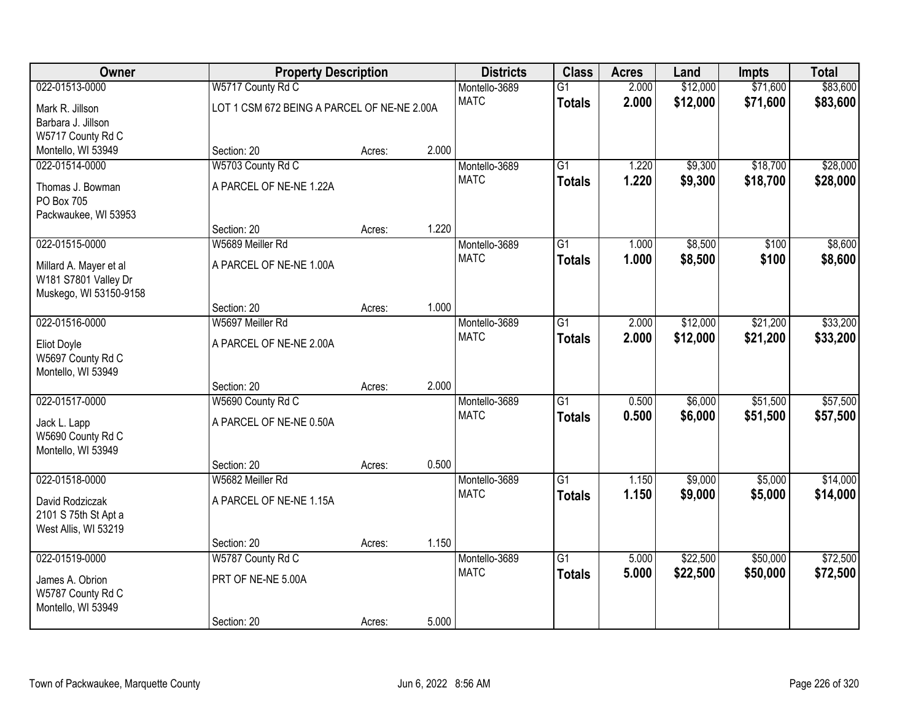| Owner                  | <b>Property Description</b>                 |        |       | <b>Districts</b> | <b>Class</b>    | <b>Acres</b> | Land     | Impts    | <b>Total</b> |
|------------------------|---------------------------------------------|--------|-------|------------------|-----------------|--------------|----------|----------|--------------|
| 022-01513-0000         | W5717 County Rd C                           |        |       | Montello-3689    | $\overline{G1}$ | 2.000        | \$12,000 | \$71,600 | \$83,600     |
| Mark R. Jillson        | LOT 1 CSM 672 BEING A PARCEL OF NE-NE 2.00A |        |       | <b>MATC</b>      | <b>Totals</b>   | 2.000        | \$12,000 | \$71,600 | \$83,600     |
| Barbara J. Jillson     |                                             |        |       |                  |                 |              |          |          |              |
| W5717 County Rd C      |                                             |        |       |                  |                 |              |          |          |              |
| Montello, WI 53949     | Section: 20                                 | Acres: | 2.000 |                  |                 |              |          |          |              |
| 022-01514-0000         | W5703 County Rd C                           |        |       | Montello-3689    | $\overline{G1}$ | 1.220        | \$9,300  | \$18,700 | \$28,000     |
| Thomas J. Bowman       | A PARCEL OF NE-NE 1.22A                     |        |       | <b>MATC</b>      | <b>Totals</b>   | 1.220        | \$9,300  | \$18,700 | \$28,000     |
| PO Box 705             |                                             |        |       |                  |                 |              |          |          |              |
| Packwaukee, WI 53953   |                                             |        |       |                  |                 |              |          |          |              |
|                        | Section: 20                                 | Acres: | 1.220 |                  |                 |              |          |          |              |
| 022-01515-0000         | W5689 Meiller Rd                            |        |       | Montello-3689    | $\overline{G1}$ | 1.000        | \$8,500  | \$100    | \$8,600      |
| Millard A. Mayer et al | A PARCEL OF NE-NE 1.00A                     |        |       | <b>MATC</b>      | <b>Totals</b>   | 1.000        | \$8,500  | \$100    | \$8,600      |
| W181 S7801 Valley Dr   |                                             |        |       |                  |                 |              |          |          |              |
| Muskego, WI 53150-9158 |                                             |        |       |                  |                 |              |          |          |              |
|                        | Section: 20                                 | Acres: | 1.000 |                  |                 |              |          |          |              |
| 022-01516-0000         | W5697 Meiller Rd                            |        |       | Montello-3689    | $\overline{G1}$ | 2.000        | \$12,000 | \$21,200 | \$33,200     |
| <b>Eliot Doyle</b>     | A PARCEL OF NE-NE 2.00A                     |        |       | <b>MATC</b>      | <b>Totals</b>   | 2.000        | \$12,000 | \$21,200 | \$33,200     |
| W5697 County Rd C      |                                             |        |       |                  |                 |              |          |          |              |
| Montello, WI 53949     |                                             |        |       |                  |                 |              |          |          |              |
|                        | Section: 20                                 | Acres: | 2.000 |                  |                 |              |          |          |              |
| 022-01517-0000         | W5690 County Rd C                           |        |       | Montello-3689    | $\overline{G1}$ | 0.500        | \$6,000  | \$51,500 | \$57,500     |
| Jack L. Lapp           | A PARCEL OF NE-NE 0.50A                     |        |       | <b>MATC</b>      | <b>Totals</b>   | 0.500        | \$6,000  | \$51,500 | \$57,500     |
| W5690 County Rd C      |                                             |        |       |                  |                 |              |          |          |              |
| Montello, WI 53949     |                                             |        |       |                  |                 |              |          |          |              |
|                        | Section: 20                                 | Acres: | 0.500 |                  |                 |              |          |          |              |
| 022-01518-0000         | W5682 Meiller Rd                            |        |       | Montello-3689    | $\overline{G1}$ | 1.150        | \$9,000  | \$5,000  | \$14,000     |
| David Rodziczak        | A PARCEL OF NE-NE 1.15A                     |        |       | <b>MATC</b>      | <b>Totals</b>   | 1.150        | \$9,000  | \$5,000  | \$14,000     |
| 2101 S 75th St Apt a   |                                             |        |       |                  |                 |              |          |          |              |
| West Allis, WI 53219   |                                             |        |       |                  |                 |              |          |          |              |
|                        | Section: 20                                 | Acres: | 1.150 |                  |                 |              |          |          |              |
| 022-01519-0000         | W5787 County Rd C                           |        |       | Montello-3689    | $\overline{G1}$ | 5.000        | \$22,500 | \$50,000 | \$72,500     |
| James A. Obrion        | PRT OF NE-NE 5.00A                          |        |       | <b>MATC</b>      | <b>Totals</b>   | 5.000        | \$22,500 | \$50,000 | \$72,500     |
| W5787 County Rd C      |                                             |        |       |                  |                 |              |          |          |              |
| Montello, WI 53949     |                                             |        |       |                  |                 |              |          |          |              |
|                        | Section: 20                                 | Acres: | 5.000 |                  |                 |              |          |          |              |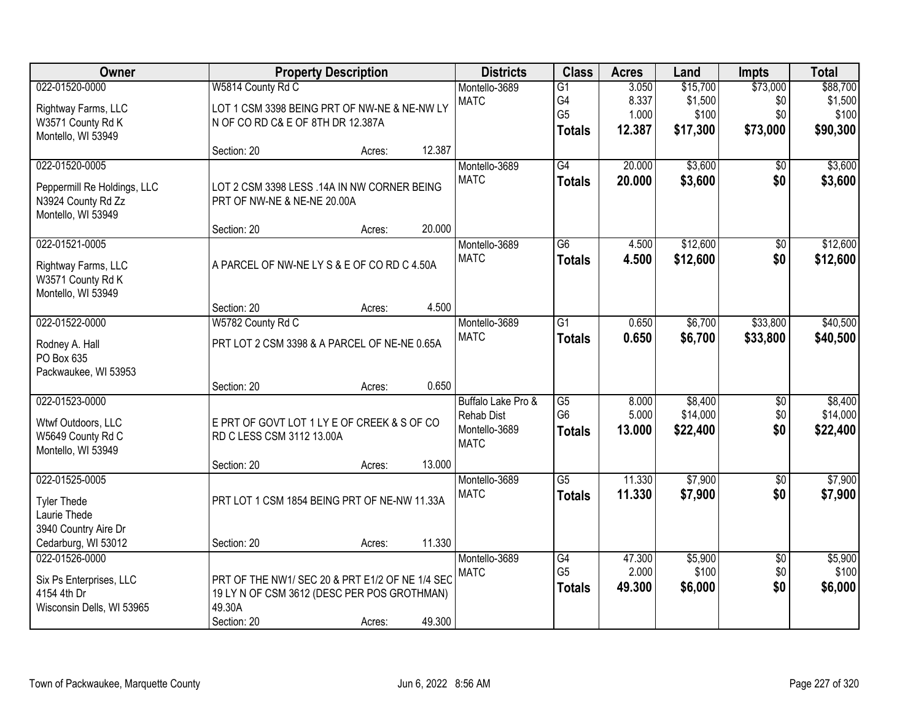| <b>Owner</b>                          |                                                 | <b>Property Description</b> |        | <b>Districts</b>                        | <b>Class</b>         | <b>Acres</b>     | Land                | <b>Impts</b>           | <b>Total</b>        |
|---------------------------------------|-------------------------------------------------|-----------------------------|--------|-----------------------------------------|----------------------|------------------|---------------------|------------------------|---------------------|
| 022-01520-0000                        | W5814 County Rd C                               |                             |        | Montello-3689                           | $\overline{G1}$      | 3.050            | \$15,700            | \$73,000               | \$88,700            |
| Rightway Farms, LLC                   | LOT 1 CSM 3398 BEING PRT OF NW-NE & NE-NW LY    |                             |        | <b>MATC</b>                             | G4                   | 8.337            | \$1,500             | \$0                    | \$1,500             |
| W3571 County Rd K                     | N OF CO RD C& E OF 8TH DR 12.387A               |                             |        |                                         | G <sub>5</sub>       | 1.000            | \$100               | \$0                    | \$100               |
| Montello, WI 53949                    |                                                 |                             |        |                                         | <b>Totals</b>        | 12.387           | \$17,300            | \$73,000               | \$90,300            |
|                                       | Section: 20                                     | Acres:                      | 12.387 |                                         |                      |                  |                     |                        |                     |
| 022-01520-0005                        |                                                 |                             |        | Montello-3689                           | G4                   | 20.000           | \$3,600             | \$0                    | \$3,600             |
| Peppermill Re Holdings, LLC           | LOT 2 CSM 3398 LESS .14A IN NW CORNER BEING     |                             |        | <b>MATC</b>                             | <b>Totals</b>        | 20.000           | \$3,600             | \$0                    | \$3,600             |
| N3924 County Rd Zz                    | PRT OF NW-NE & NE-NE 20.00A                     |                             |        |                                         |                      |                  |                     |                        |                     |
| Montello, WI 53949                    |                                                 |                             |        |                                         |                      |                  |                     |                        |                     |
|                                       | Section: 20                                     | Acres:                      | 20.000 |                                         |                      |                  |                     |                        |                     |
| 022-01521-0005                        |                                                 |                             |        | Montello-3689                           | G6                   | 4.500            | \$12,600            | \$0                    | \$12,600            |
| Rightway Farms, LLC                   | A PARCEL OF NW-NE LY S & E OF CO RD C 4.50A     |                             |        | <b>MATC</b>                             | <b>Totals</b>        | 4.500            | \$12,600            | \$0                    | \$12,600            |
| W3571 County Rd K                     |                                                 |                             |        |                                         |                      |                  |                     |                        |                     |
| Montello, WI 53949                    |                                                 |                             |        |                                         |                      |                  |                     |                        |                     |
|                                       | Section: 20                                     | Acres:                      | 4.500  |                                         |                      |                  |                     |                        |                     |
| 022-01522-0000                        | W5782 County Rd C                               |                             |        | Montello-3689                           | $\overline{G1}$      | 0.650            | \$6,700             | \$33,800               | \$40,500            |
| Rodney A. Hall                        | PRT LOT 2 CSM 3398 & A PARCEL OF NE-NE 0.65A    |                             |        | <b>MATC</b>                             | <b>Totals</b>        | 0.650            | \$6,700             | \$33,800               | \$40,500            |
| PO Box 635                            |                                                 |                             |        |                                         |                      |                  |                     |                        |                     |
| Packwaukee, WI 53953                  |                                                 |                             |        |                                         |                      |                  |                     |                        |                     |
|                                       | Section: 20                                     | Acres:                      | 0.650  |                                         |                      |                  |                     |                        |                     |
| 022-01523-0000                        |                                                 |                             |        | Buffalo Lake Pro &<br><b>Rehab Dist</b> | G5<br>G <sub>6</sub> | 8.000<br>5.000   | \$8,400<br>\$14,000 | \$0<br>\$0             | \$8,400<br>\$14,000 |
| Wtwf Outdoors, LLC                    | E PRT OF GOVT LOT 1 LY E OF CREEK & S OF CO     |                             |        | Montello-3689                           | <b>Totals</b>        | 13.000           | \$22,400            | \$0                    | \$22,400            |
| W5649 County Rd C                     | RD C LESS CSM 3112 13.00A                       |                             |        | <b>MATC</b>                             |                      |                  |                     |                        |                     |
| Montello, WI 53949                    |                                                 |                             |        |                                         |                      |                  |                     |                        |                     |
| 022-01525-0005                        | Section: 20                                     | Acres:                      | 13.000 | Montello-3689                           | $\overline{G5}$      |                  | \$7,900             |                        | \$7,900             |
|                                       |                                                 |                             |        | <b>MATC</b>                             | <b>Totals</b>        | 11.330<br>11.330 | \$7,900             | $\overline{60}$<br>\$0 | \$7,900             |
| <b>Tyler Thede</b>                    | PRT LOT 1 CSM 1854 BEING PRT OF NE-NW 11.33A    |                             |        |                                         |                      |                  |                     |                        |                     |
| Laurie Thede                          |                                                 |                             |        |                                         |                      |                  |                     |                        |                     |
| 3940 Country Aire Dr                  | Section: 20                                     |                             | 11.330 |                                         |                      |                  |                     |                        |                     |
| Cedarburg, WI 53012<br>022-01526-0000 |                                                 | Acres:                      |        | Montello-3689                           | G4                   | 47.300           | \$5,900             | $\overline{50}$        | \$5,900             |
|                                       |                                                 |                             |        | <b>MATC</b>                             | G <sub>5</sub>       | 2.000            | \$100               | \$0                    | \$100               |
| Six Ps Enterprises, LLC               | PRT OF THE NW1/ SEC 20 & PRT E1/2 OF NE 1/4 SEC |                             |        |                                         | <b>Totals</b>        | 49.300           | \$6,000             | \$0                    | \$6,000             |
| 4154 4th Dr                           | 19 LY N OF CSM 3612 (DESC PER POS GROTHMAN)     |                             |        |                                         |                      |                  |                     |                        |                     |
| Wisconsin Dells, WI 53965             | 49.30A<br>Section: 20                           |                             | 49.300 |                                         |                      |                  |                     |                        |                     |
|                                       |                                                 | Acres:                      |        |                                         |                      |                  |                     |                        |                     |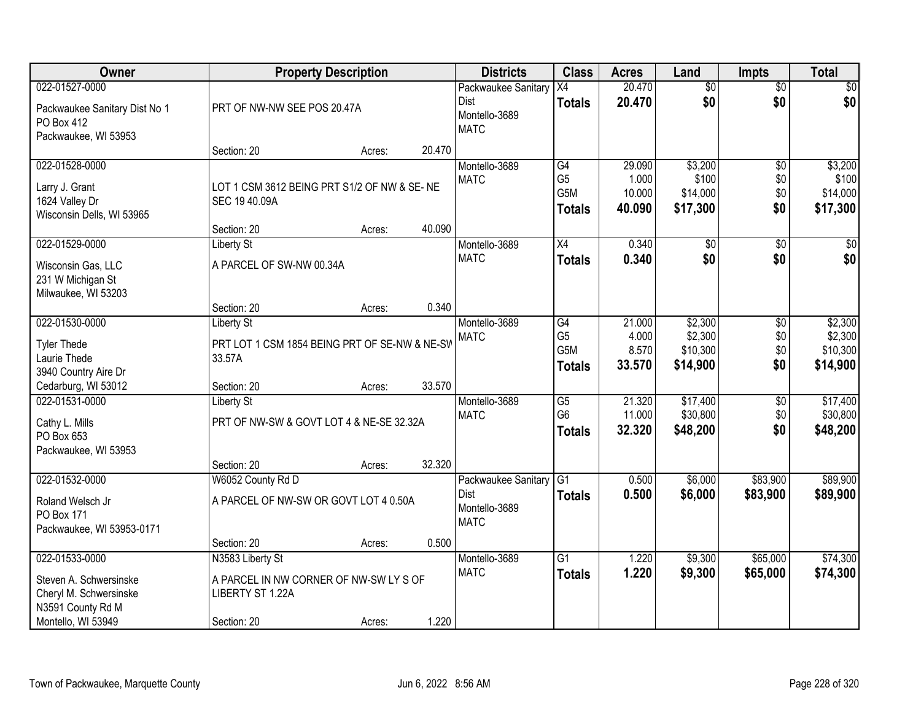| Owner                                              |                                                         | <b>Property Description</b> |        | <b>Districts</b>             | <b>Class</b>         | <b>Acres</b>     | Land                   | <b>Impts</b>           | <b>Total</b>     |
|----------------------------------------------------|---------------------------------------------------------|-----------------------------|--------|------------------------------|----------------------|------------------|------------------------|------------------------|------------------|
| 022-01527-0000                                     |                                                         |                             |        | Packwaukee Sanitary<br>Dist  | X4<br><b>Totals</b>  | 20.470<br>20.470 | $\overline{50}$<br>\$0 | $\overline{$0}$<br>\$0 | \$0<br>\$0       |
| Packwaukee Sanitary Dist No 1<br><b>PO Box 412</b> | PRT OF NW-NW SEE POS 20.47A                             |                             |        | Montello-3689<br><b>MATC</b> |                      |                  |                        |                        |                  |
| Packwaukee, WI 53953                               |                                                         |                             | 20.470 |                              |                      |                  |                        |                        |                  |
|                                                    | Section: 20                                             | Acres:                      |        |                              |                      |                  |                        |                        |                  |
| 022-01528-0000                                     |                                                         |                             |        | Montello-3689                | G4<br>G <sub>5</sub> | 29.090<br>1.000  | \$3,200<br>\$100       | $\overline{50}$        | \$3,200<br>\$100 |
| Larry J. Grant                                     | LOT 1 CSM 3612 BEING PRT S1/2 OF NW & SE-NE             |                             |        | <b>MATC</b>                  | G5M                  | 10.000           | \$14,000               | \$0<br>\$0             | \$14,000         |
| 1624 Valley Dr                                     | SEC 19 40.09A                                           |                             |        |                              |                      | 40.090           | \$17,300               | \$0                    |                  |
| Wisconsin Dells, WI 53965                          |                                                         |                             |        |                              | <b>Totals</b>        |                  |                        |                        | \$17,300         |
|                                                    | Section: 20                                             | Acres:                      | 40.090 |                              |                      |                  |                        |                        |                  |
| 022-01529-0000                                     | <b>Liberty St</b>                                       |                             |        | Montello-3689                | $\overline{X4}$      | 0.340            | $\overline{50}$        | \$0                    | $\sqrt{50}$      |
| Wisconsin Gas, LLC                                 | A PARCEL OF SW-NW 00.34A                                |                             |        | <b>MATC</b>                  | <b>Totals</b>        | 0.340            | \$0                    | \$0                    | \$0              |
| 231 W Michigan St                                  |                                                         |                             |        |                              |                      |                  |                        |                        |                  |
| Milwaukee, WI 53203                                |                                                         |                             |        |                              |                      |                  |                        |                        |                  |
|                                                    | Section: 20                                             | Acres:                      | 0.340  |                              |                      |                  |                        |                        |                  |
| 022-01530-0000                                     | <b>Liberty St</b>                                       |                             |        | Montello-3689                | G4                   | 21.000           | \$2,300                | \$0                    | \$2,300          |
|                                                    |                                                         |                             |        | <b>MATC</b>                  | G <sub>5</sub>       | 4.000            | \$2,300                | \$0                    | \$2,300          |
| <b>Tyler Thede</b>                                 | PRT LOT 1 CSM 1854 BEING PRT OF SE-NW & NE-SV<br>33.57A |                             |        |                              | G5M                  | 8.570            | \$10,300               | \$0                    | \$10,300         |
| Laurie Thede<br>3940 Country Aire Dr               |                                                         |                             |        |                              | <b>Totals</b>        | 33.570           | \$14,900               | \$0                    | \$14,900         |
| Cedarburg, WI 53012                                | Section: 20                                             | Acres:                      | 33.570 |                              |                      |                  |                        |                        |                  |
| 022-01531-0000                                     | <b>Liberty St</b>                                       |                             |        | Montello-3689                | $\overline{G5}$      | 21.320           | \$17,400               | $\overline{50}$        | \$17,400         |
|                                                    |                                                         |                             |        | <b>MATC</b>                  | G <sub>6</sub>       | 11.000           | \$30,800               | \$0                    | \$30,800         |
| Cathy L. Mills                                     | PRT OF NW-SW & GOVT LOT 4 & NE-SE 32.32A                |                             |        |                              | <b>Totals</b>        | 32.320           | \$48,200               | \$0                    | \$48,200         |
| PO Box 653                                         |                                                         |                             |        |                              |                      |                  |                        |                        |                  |
| Packwaukee, WI 53953                               |                                                         |                             |        |                              |                      |                  |                        |                        |                  |
|                                                    | Section: 20                                             | Acres:                      | 32.320 |                              |                      |                  |                        |                        |                  |
| 022-01532-0000                                     | W6052 County Rd D                                       |                             |        | Packwaukee Sanitary          | G1                   | 0.500            | \$6,000                | \$83,900               | \$89,900         |
| Roland Welsch Jr                                   | A PARCEL OF NW-SW OR GOVT LOT 4 0.50A                   |                             |        | <b>Dist</b>                  | <b>Totals</b>        | 0.500            | \$6,000                | \$83,900               | \$89,900         |
| PO Box 171                                         |                                                         |                             |        | Montello-3689                |                      |                  |                        |                        |                  |
| Packwaukee, WI 53953-0171                          |                                                         |                             |        | <b>MATC</b>                  |                      |                  |                        |                        |                  |
|                                                    | Section: 20                                             | Acres:                      | 0.500  |                              |                      |                  |                        |                        |                  |
| 022-01533-0000                                     | N3583 Liberty St                                        |                             |        | Montello-3689                | $\overline{G1}$      | 1.220            | \$9,300                | \$65,000               | \$74,300         |
| Steven A. Schwersinske                             | A PARCEL IN NW CORNER OF NW-SW LY S OF                  |                             |        | <b>MATC</b>                  | <b>Totals</b>        | 1.220            | \$9,300                | \$65,000               | \$74,300         |
| Cheryl M. Schwersinske                             | LIBERTY ST 1.22A                                        |                             |        |                              |                      |                  |                        |                        |                  |
| N3591 County Rd M                                  |                                                         |                             |        |                              |                      |                  |                        |                        |                  |
| Montello, WI 53949                                 | Section: 20                                             | Acres:                      | 1.220  |                              |                      |                  |                        |                        |                  |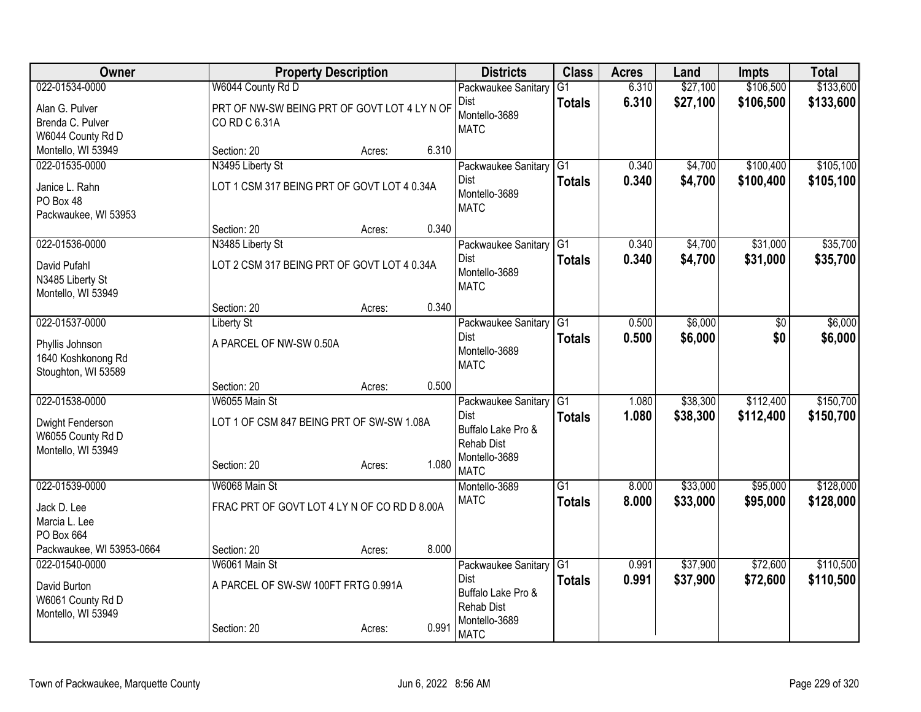| Owner                                  |                                              | <b>Property Description</b> |       | <b>Districts</b>                   | <b>Class</b>    | <b>Acres</b> | Land     | Impts     | <b>Total</b> |
|----------------------------------------|----------------------------------------------|-----------------------------|-------|------------------------------------|-----------------|--------------|----------|-----------|--------------|
| 022-01534-0000                         | W6044 County Rd D                            |                             |       | Packwaukee Sanitary                | $\overline{G1}$ | 6.310        | \$27,100 | \$106,500 | \$133,600    |
| Alan G. Pulver                         | PRT OF NW-SW BEING PRT OF GOVT LOT 4 LY N OF |                             |       | Dist                               | <b>Totals</b>   | 6.310        | \$27,100 | \$106,500 | \$133,600    |
| Brenda C. Pulver                       | CO RD C 6.31A                                |                             |       | Montello-3689<br><b>MATC</b>       |                 |              |          |           |              |
| W6044 County Rd D                      |                                              |                             |       |                                    |                 |              |          |           |              |
| Montello, WI 53949                     | Section: 20                                  | Acres:                      | 6.310 |                                    |                 |              |          |           |              |
| 022-01535-0000                         | N3495 Liberty St                             |                             |       | Packwaukee Sanitary                | G1              | 0.340        | \$4,700  | \$100,400 | \$105,100    |
| Janice L. Rahn                         | LOT 1 CSM 317 BEING PRT OF GOVT LOT 4 0.34A  |                             |       | Dist<br>Montello-3689              | <b>Totals</b>   | 0.340        | \$4,700  | \$100,400 | \$105,100    |
| PO Box 48                              |                                              |                             |       | <b>MATC</b>                        |                 |              |          |           |              |
| Packwaukee, WI 53953                   |                                              |                             | 0.340 |                                    |                 |              |          |           |              |
| 022-01536-0000                         | Section: 20<br>N3485 Liberty St              | Acres:                      |       | Packwaukee Sanitary                | G1              | 0.340        | \$4,700  | \$31,000  | \$35,700     |
|                                        |                                              |                             |       | Dist                               | <b>Totals</b>   | 0.340        | \$4,700  | \$31,000  | \$35,700     |
| David Pufahl                           | LOT 2 CSM 317 BEING PRT OF GOVT LOT 4 0.34A  |                             |       | Montello-3689                      |                 |              |          |           |              |
| N3485 Liberty St<br>Montello, WI 53949 |                                              |                             |       | <b>MATC</b>                        |                 |              |          |           |              |
|                                        | Section: 20                                  | Acres:                      | 0.340 |                                    |                 |              |          |           |              |
| 022-01537-0000                         | <b>Liberty St</b>                            |                             |       | Packwaukee Sanitary                | $\overline{G1}$ | 0.500        | \$6,000  | \$0       | \$6,000      |
|                                        | A PARCEL OF NW-SW 0.50A                      |                             |       | <b>Dist</b>                        | <b>Totals</b>   | 0.500        | \$6,000  | \$0       | \$6,000      |
| Phyllis Johnson<br>1640 Koshkonong Rd  |                                              |                             |       | Montello-3689                      |                 |              |          |           |              |
| Stoughton, WI 53589                    |                                              |                             |       | <b>MATC</b>                        |                 |              |          |           |              |
|                                        | Section: 20                                  | Acres:                      | 0.500 |                                    |                 |              |          |           |              |
| 022-01538-0000                         | W6055 Main St                                |                             |       | Packwaukee Sanitary                | $\overline{G1}$ | 1.080        | \$38,300 | \$112,400 | \$150,700    |
| Dwight Fenderson                       | LOT 1 OF CSM 847 BEING PRT OF SW-SW 1.08A    |                             |       | Dist                               | <b>Totals</b>   | 1.080        | \$38,300 | \$112,400 | \$150,700    |
| W6055 County Rd D                      |                                              |                             |       | Buffalo Lake Pro &                 |                 |              |          |           |              |
| Montello, WI 53949                     |                                              |                             |       | <b>Rehab Dist</b><br>Montello-3689 |                 |              |          |           |              |
|                                        | Section: 20                                  | Acres:                      | 1.080 | <b>MATC</b>                        |                 |              |          |           |              |
| 022-01539-0000                         | W6068 Main St                                |                             |       | Montello-3689                      | $\overline{G1}$ | 8.000        | \$33,000 | \$95,000  | \$128,000    |
| Jack D. Lee                            | FRAC PRT OF GOVT LOT 4 LY N OF CO RD D 8.00A |                             |       | <b>MATC</b>                        | <b>Totals</b>   | 8.000        | \$33,000 | \$95,000  | \$128,000    |
| Marcia L. Lee                          |                                              |                             |       |                                    |                 |              |          |           |              |
| PO Box 664                             |                                              |                             |       |                                    |                 |              |          |           |              |
| Packwaukee, WI 53953-0664              | Section: 20                                  | Acres:                      | 8.000 |                                    |                 |              |          |           |              |
| 022-01540-0000                         | W6061 Main St                                |                             |       | Packwaukee Sanitary                | $\overline{G1}$ | 0.991        | \$37,900 | \$72,600  | \$110,500    |
| David Burton                           | A PARCEL OF SW-SW 100FT FRTG 0.991A          |                             |       | Dist<br>Buffalo Lake Pro &         | <b>Totals</b>   | 0.991        | \$37,900 | \$72,600  | \$110,500    |
| W6061 County Rd D                      |                                              |                             |       | <b>Rehab Dist</b>                  |                 |              |          |           |              |
| Montello, WI 53949                     |                                              |                             |       | Montello-3689                      |                 |              |          |           |              |
|                                        | Section: 20                                  | Acres:                      | 0.991 | <b>MATC</b>                        |                 |              |          |           |              |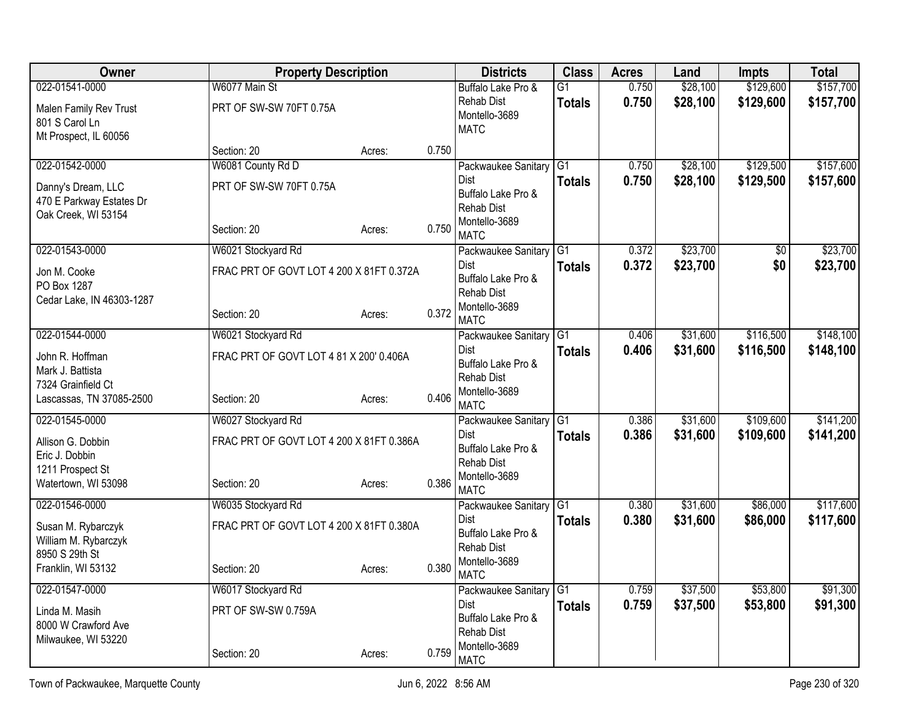| <b>Owner</b>                                                                          |                                                         | <b>Property Description</b> | <b>Districts</b> |                                                                                        | <b>Class</b>                     | <b>Acres</b>   | Land                 | <b>Impts</b>           | <b>Total</b>           |
|---------------------------------------------------------------------------------------|---------------------------------------------------------|-----------------------------|------------------|----------------------------------------------------------------------------------------|----------------------------------|----------------|----------------------|------------------------|------------------------|
| 022-01541-0000<br>Malen Family Rev Trust<br>801 S Carol Ln<br>Mt Prospect, IL 60056   | W6077 Main St<br>PRT OF SW-SW 70FT 0.75A                |                             |                  | Buffalo Lake Pro &<br><b>Rehab Dist</b><br>Montello-3689<br><b>MATC</b>                | $\overline{G1}$<br><b>Totals</b> | 0.750<br>0.750 | \$28,100<br>\$28,100 | \$129,600<br>\$129,600 | \$157,700<br>\$157,700 |
|                                                                                       | Section: 20                                             | Acres:                      | 0.750            |                                                                                        |                                  |                |                      |                        |                        |
| 022-01542-0000                                                                        | W6081 County Rd D                                       |                             |                  | Packwaukee Sanitary                                                                    | G1                               | 0.750          | \$28,100             | \$129,500              | \$157,600              |
| Danny's Dream, LLC<br>470 E Parkway Estates Dr<br>Oak Creek, WI 53154                 | PRT OF SW-SW 70FT 0.75A<br>Section: 20                  | Acres:                      | 0.750            | Dist<br>Buffalo Lake Pro &<br><b>Rehab Dist</b><br>Montello-3689                       | <b>Totals</b>                    | 0.750          | \$28,100             | \$129,500              | \$157,600              |
| 022-01543-0000                                                                        | W6021 Stockyard Rd                                      |                             |                  | <b>MATC</b><br>Packwaukee Sanitary                                                     | G <sub>1</sub>                   | 0.372          | \$23,700             | $\overline{50}$        | \$23,700               |
| Jon M. Cooke<br>PO Box 1287<br>Cedar Lake, IN 46303-1287                              | FRAC PRT OF GOVT LOT 4 200 X 81FT 0.372A<br>Section: 20 | Acres:                      | 0.372            | <b>Dist</b><br>Buffalo Lake Pro &<br><b>Rehab Dist</b><br>Montello-3689<br><b>MATC</b> | <b>Totals</b>                    | 0.372          | \$23,700             | \$0                    | \$23,700               |
| 022-01544-0000                                                                        | W6021 Stockyard Rd                                      |                             |                  | Packwaukee Sanitary                                                                    | G1                               | 0.406          | \$31,600             | \$116,500              | \$148,100              |
| John R. Hoffman<br>Mark J. Battista<br>7324 Grainfield Ct<br>Lascassas, TN 37085-2500 | FRAC PRT OF GOVT LOT 4 81 X 200' 0.406A<br>Section: 20  | Acres:                      | 0.406            | Dist<br>Buffalo Lake Pro &<br><b>Rehab Dist</b><br>Montello-3689<br><b>MATC</b>        | <b>Totals</b>                    | 0.406          | \$31,600             | \$116,500              | \$148,100              |
| 022-01545-0000                                                                        | W6027 Stockyard Rd                                      |                             |                  | Packwaukee Sanitary                                                                    | G1                               | 0.386          | \$31,600             | \$109,600              | \$141,200              |
| Allison G. Dobbin<br>Eric J. Dobbin<br>1211 Prospect St<br>Watertown, WI 53098        | FRAC PRT OF GOVT LOT 4 200 X 81FT 0.386A<br>Section: 20 | Acres:                      | 0.386            | Dist<br>Buffalo Lake Pro &<br><b>Rehab Dist</b><br>Montello-3689<br><b>MATC</b>        | <b>Totals</b>                    | 0.386          | \$31,600             | \$109,600              | \$141,200              |
| 022-01546-0000                                                                        | W6035 Stockyard Rd                                      |                             |                  | Packwaukee Sanitary                                                                    | G1                               | 0.380          | \$31,600             | \$86,000               | \$117,600              |
| Susan M. Rybarczyk<br>William M. Rybarczyk<br>8950 S 29th St<br>Franklin, WI 53132    | FRAC PRT OF GOVT LOT 4 200 X 81FT 0.380A<br>Section: 20 | Acres:                      | 0.380            | Dist<br>Buffalo Lake Pro &<br><b>Rehab Dist</b><br>Montello-3689<br><b>MATC</b>        | <b>Totals</b>                    | 0.380          | \$31,600             | \$86,000               | \$117,600              |
| 022-01547-0000                                                                        | W6017 Stockyard Rd                                      |                             |                  | Packwaukee Sanitary                                                                    | G <sub>1</sub>                   | 0.759          | \$37,500             | \$53,800               | \$91,300               |
| Linda M. Masih<br>8000 W Crawford Ave<br>Milwaukee, WI 53220                          | PRT OF SW-SW 0.759A<br>Section: 20                      | Acres:                      | 0.759            | Dist<br>Buffalo Lake Pro &<br><b>Rehab Dist</b><br>Montello-3689<br><b>MATC</b>        | <b>Totals</b>                    | 0.759          | \$37,500             | \$53,800               | \$91,300               |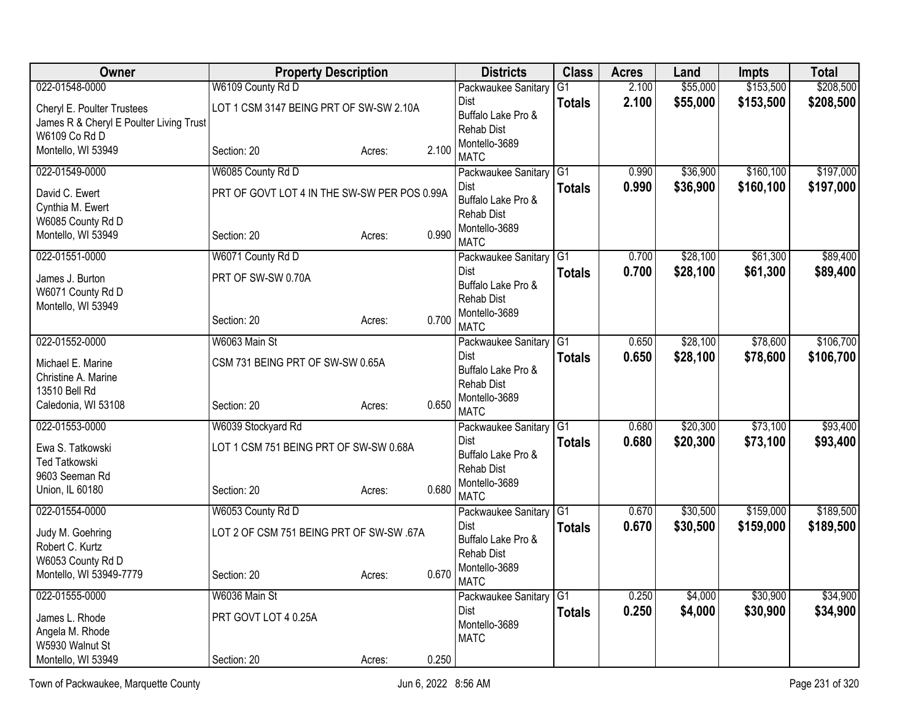| Owner                                                                 | <b>Property Description</b>                  |        |       | <b>Districts</b>                                       | <b>Class</b>  | <b>Acres</b> | Land     | <b>Impts</b> | <b>Total</b> |
|-----------------------------------------------------------------------|----------------------------------------------|--------|-------|--------------------------------------------------------|---------------|--------------|----------|--------------|--------------|
| 022-01548-0000                                                        | W6109 County Rd D                            |        |       | Packwaukee Sanitary                                    | G1            | 2.100        | \$55,000 | \$153,500    | \$208,500    |
| Cheryl E. Poulter Trustees<br>James R & Cheryl E Poulter Living Trust | LOT 1 CSM 3147 BEING PRT OF SW-SW 2.10A      |        |       | Dist<br>Buffalo Lake Pro &<br>Rehab Dist               | <b>Totals</b> | 2.100        | \$55,000 | \$153,500    | \$208,500    |
| W6109 Co Rd D<br>Montello, WI 53949                                   | Section: 20                                  | Acres: | 2.100 | Montello-3689<br><b>MATC</b>                           |               |              |          |              |              |
| 022-01549-0000                                                        | W6085 County Rd D                            |        |       | Packwaukee Sanitary                                    | G1            | 0.990        | \$36,900 | \$160, 100   | \$197,000    |
| David C. Ewert<br>Cynthia M. Ewert                                    | PRT OF GOVT LOT 4 IN THE SW-SW PER POS 0.99A |        |       | Dist<br>Buffalo Lake Pro &<br><b>Rehab Dist</b>        | <b>Totals</b> | 0.990        | \$36,900 | \$160,100    | \$197,000    |
| W6085 County Rd D<br>Montello, WI 53949                               | Section: 20                                  | Acres: | 0.990 | Montello-3689<br><b>MATC</b>                           |               |              |          |              |              |
| 022-01551-0000                                                        | W6071 County Rd D                            |        |       | Packwaukee Sanitary G1                                 |               | 0.700        | \$28,100 | \$61,300     | \$89,400     |
| James J. Burton<br>W6071 County Rd D                                  | PRT OF SW-SW 0.70A                           |        |       | <b>Dist</b><br>Buffalo Lake Pro &<br><b>Rehab Dist</b> | <b>Totals</b> | 0.700        | \$28,100 | \$61,300     | \$89,400     |
| Montello, WI 53949                                                    | Section: 20                                  | Acres: | 0.700 | Montello-3689<br><b>MATC</b>                           |               |              |          |              |              |
| 022-01552-0000                                                        | W6063 Main St                                |        |       | Packwaukee Sanitary                                    | G1            | 0.650        | \$28,100 | \$78,600     | \$106,700    |
| Michael E. Marine<br>Christine A. Marine<br>13510 Bell Rd             | CSM 731 BEING PRT OF SW-SW 0.65A             |        |       | Dist<br>Buffalo Lake Pro &<br><b>Rehab Dist</b>        | <b>Totals</b> | 0.650        | \$28,100 | \$78,600     | \$106,700    |
| Caledonia, WI 53108                                                   | Section: 20                                  | Acres: | 0.650 | Montello-3689<br><b>MATC</b>                           |               |              |          |              |              |
| 022-01553-0000                                                        | W6039 Stockyard Rd                           |        |       | Packwaukee Sanitary G1                                 |               | 0.680        | \$20,300 | \$73,100     | \$93,400     |
| Ewa S. Tatkowski<br><b>Ted Tatkowski</b>                              | LOT 1 CSM 751 BEING PRT OF SW-SW 0.68A       |        |       | <b>Dist</b><br>Buffalo Lake Pro &<br><b>Rehab Dist</b> | <b>Totals</b> | 0.680        | \$20,300 | \$73,100     | \$93,400     |
| 9603 Seeman Rd<br>Union, IL 60180                                     | Section: 20                                  | Acres: | 0.680 | Montello-3689<br><b>MATC</b>                           |               |              |          |              |              |
| 022-01554-0000                                                        | W6053 County Rd D                            |        |       | Packwaukee Sanitary                                    | G1            | 0.670        | \$30,500 | \$159,000    | \$189,500    |
| Judy M. Goehring<br>Robert C. Kurtz                                   | LOT 2 OF CSM 751 BEING PRT OF SW-SW .67A     |        |       | Dist<br>Buffalo Lake Pro &<br>Rehab Dist               | <b>Totals</b> | 0.670        | \$30,500 | \$159,000    | \$189,500    |
| W6053 County Rd D<br>Montello, WI 53949-7779                          | Section: 20                                  | Acres: | 0.670 | Montello-3689<br><b>MATC</b>                           |               |              |          |              |              |
| 022-01555-0000                                                        | W6036 Main St                                |        |       | Packwaukee Sanitary                                    | G1            | 0.250        | \$4,000  | \$30,900     | \$34,900     |
| James L. Rhode<br>Angela M. Rhode<br>W5930 Walnut St                  | PRT GOVT LOT 4 0.25A                         |        |       | Dist<br>Montello-3689<br><b>MATC</b>                   | <b>Totals</b> | 0.250        | \$4,000  | \$30,900     | \$34,900     |
| Montello, WI 53949                                                    | Section: 20                                  | Acres: | 0.250 |                                                        |               |              |          |              |              |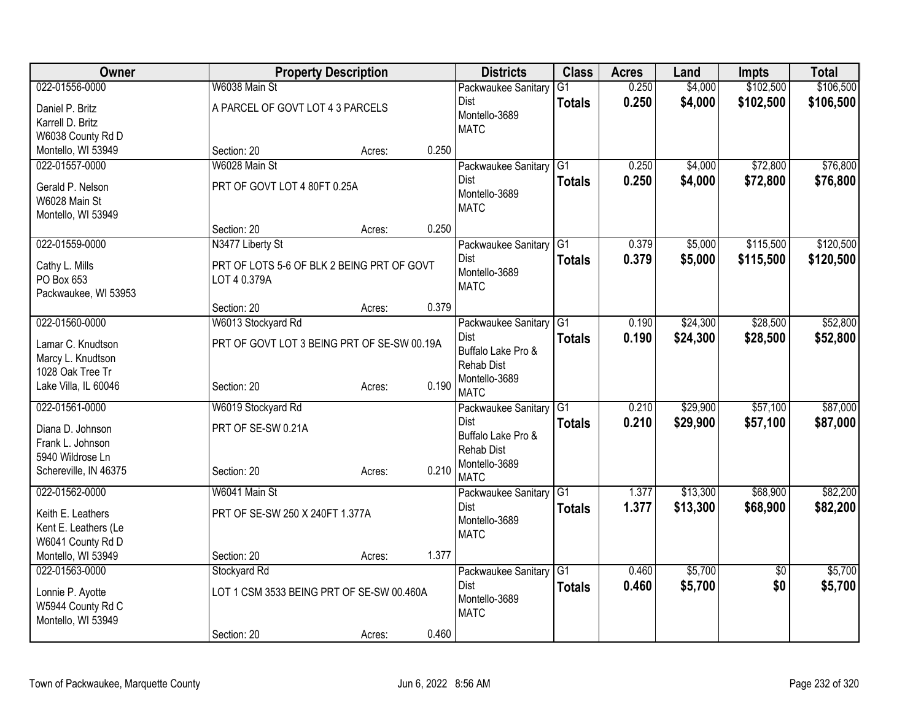| Owner                        |                                                            | <b>Property Description</b> |       | <b>Districts</b>             | <b>Class</b>    | <b>Acres</b> | Land     | <b>Impts</b>    | <b>Total</b> |
|------------------------------|------------------------------------------------------------|-----------------------------|-------|------------------------------|-----------------|--------------|----------|-----------------|--------------|
| 022-01556-0000               | W6038 Main St                                              |                             |       | Packwaukee Sanitary          | $\overline{G1}$ | 0.250        | \$4,000  | \$102,500       | \$106,500    |
| Daniel P. Britz              | A PARCEL OF GOVT LOT 4 3 PARCELS                           |                             |       | Dist                         | <b>Totals</b>   | 0.250        | \$4,000  | \$102,500       | \$106,500    |
| Karrell D. Britz             |                                                            |                             |       | Montello-3689                |                 |              |          |                 |              |
| W6038 County Rd D            |                                                            |                             |       | <b>MATC</b>                  |                 |              |          |                 |              |
| Montello, WI 53949           | Section: 20                                                | Acres:                      | 0.250 |                              |                 |              |          |                 |              |
| 022-01557-0000               | W6028 Main St                                              |                             |       | Packwaukee Sanitary          | G1              | 0.250        | \$4,000  | \$72,800        | \$76,800     |
| Gerald P. Nelson             | PRT OF GOVT LOT 4 80FT 0.25A                               |                             |       | Dist                         | <b>Totals</b>   | 0.250        | \$4,000  | \$72,800        | \$76,800     |
| W6028 Main St                |                                                            |                             |       | Montello-3689                |                 |              |          |                 |              |
| Montello, WI 53949           |                                                            |                             |       | <b>MATC</b>                  |                 |              |          |                 |              |
|                              | Section: 20                                                | Acres:                      | 0.250 |                              |                 |              |          |                 |              |
| 022-01559-0000               | N3477 Liberty St                                           |                             |       | Packwaukee Sanitary          | G1              | 0.379        | \$5,000  | \$115,500       | \$120,500    |
|                              |                                                            |                             |       | Dist                         | <b>Totals</b>   | 0.379        | \$5,000  | \$115,500       | \$120,500    |
| Cathy L. Mills<br>PO Box 653 | PRT OF LOTS 5-6 OF BLK 2 BEING PRT OF GOVT<br>LOT 4 0.379A |                             |       | Montello-3689                |                 |              |          |                 |              |
| Packwaukee, WI 53953         |                                                            |                             |       | <b>MATC</b>                  |                 |              |          |                 |              |
|                              | Section: 20                                                | Acres:                      | 0.379 |                              |                 |              |          |                 |              |
| 022-01560-0000               | W6013 Stockyard Rd                                         |                             |       | Packwaukee Sanitary          | G1              | 0.190        | \$24,300 | \$28,500        | \$52,800     |
|                              |                                                            |                             |       | Dist                         | <b>Totals</b>   | 0.190        | \$24,300 | \$28,500        | \$52,800     |
| Lamar C. Knudtson            | PRT OF GOVT LOT 3 BEING PRT OF SE-SW 00.19A                |                             |       | Buffalo Lake Pro &           |                 |              |          |                 |              |
| Marcy L. Knudtson            |                                                            |                             |       | <b>Rehab Dist</b>            |                 |              |          |                 |              |
| 1028 Oak Tree Tr             |                                                            |                             | 0.190 | Montello-3689                |                 |              |          |                 |              |
| Lake Villa, IL 60046         | Section: 20                                                | Acres:                      |       | <b>MATC</b>                  |                 |              |          |                 |              |
| 022-01561-0000               | W6019 Stockyard Rd                                         |                             |       | Packwaukee Sanitary          | $\overline{G1}$ | 0.210        | \$29,900 | \$57,100        | \$87,000     |
| Diana D. Johnson             | PRT OF SE-SW 0.21A                                         |                             |       | Dist                         | <b>Totals</b>   | 0.210        | \$29,900 | \$57,100        | \$87,000     |
| Frank L. Johnson             |                                                            |                             |       | Buffalo Lake Pro &           |                 |              |          |                 |              |
| 5940 Wildrose Ln             |                                                            |                             |       | <b>Rehab Dist</b>            |                 |              |          |                 |              |
| Schereville, IN 46375        | Section: 20                                                | Acres:                      | 0.210 | Montello-3689<br><b>MATC</b> |                 |              |          |                 |              |
| 022-01562-0000               | W6041 Main St                                              |                             |       |                              | $\overline{G1}$ | 1.377        | \$13,300 | \$68,900        | \$82,200     |
|                              |                                                            |                             |       | Packwaukee Sanitary<br>Dist  |                 | 1.377        | \$13,300 | \$68,900        | \$82,200     |
| Keith E. Leathers            | PRT OF SE-SW 250 X 240FT 1.377A                            |                             |       | Montello-3689                | <b>Totals</b>   |              |          |                 |              |
| Kent E. Leathers (Le         |                                                            |                             |       | <b>MATC</b>                  |                 |              |          |                 |              |
| W6041 County Rd D            |                                                            |                             |       |                              |                 |              |          |                 |              |
| Montello, WI 53949           | Section: 20                                                | Acres:                      | 1.377 |                              |                 |              |          |                 |              |
| 022-01563-0000               | Stockyard Rd                                               |                             |       | Packwaukee Sanitary          | $\overline{G1}$ | 0.460        | \$5,700  | $\overline{50}$ | \$5,700      |
| Lonnie P. Ayotte             | LOT 1 CSM 3533 BEING PRT OF SE-SW 00.460A                  |                             |       | Dist                         | <b>Totals</b>   | 0.460        | \$5,700  | \$0             | \$5,700      |
| W5944 County Rd C            |                                                            |                             |       | Montello-3689<br><b>MATC</b> |                 |              |          |                 |              |
| Montello, WI 53949           |                                                            |                             |       |                              |                 |              |          |                 |              |
|                              | Section: 20                                                | Acres:                      | 0.460 |                              |                 |              |          |                 |              |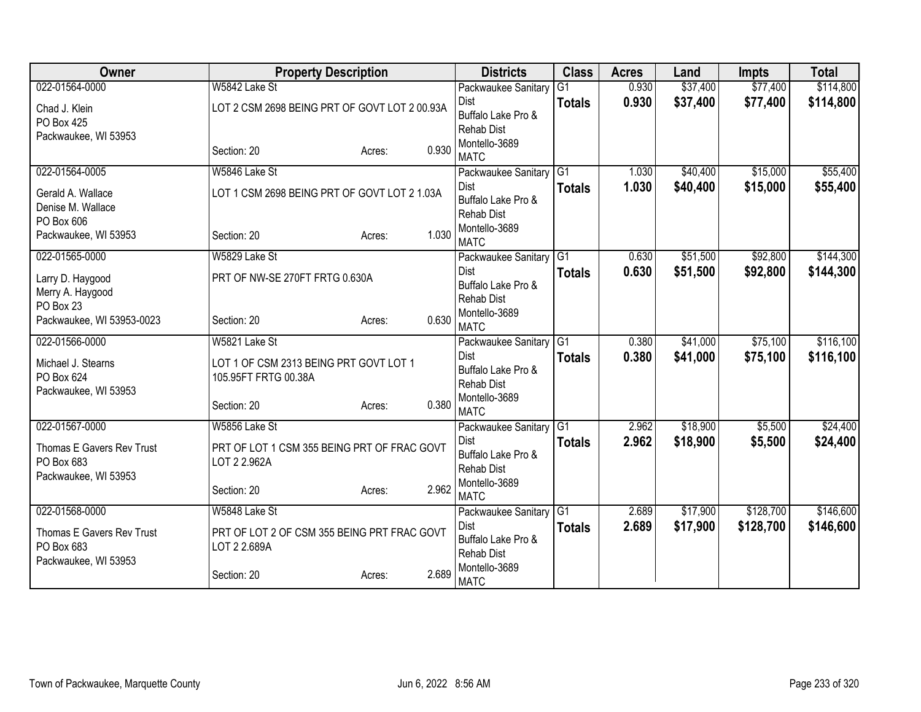| Owner                         | <b>Property Description</b>                   |                 | <b>Districts</b>                   | <b>Class</b>    | <b>Acres</b>   | Land                 | <b>Impts</b> | <b>Total</b> |
|-------------------------------|-----------------------------------------------|-----------------|------------------------------------|-----------------|----------------|----------------------|--------------|--------------|
| 022-01564-0000                | W5842 Lake St                                 |                 | Packwaukee Sanitary                | $\overline{G1}$ | 0.930          | \$37,400             | \$77,400     | \$114,800    |
| Chad J. Klein                 | LOT 2 CSM 2698 BEING PRT OF GOVT LOT 2 00.93A |                 | Dist                               | <b>Totals</b>   | 0.930          | \$37,400             | \$77,400     | \$114,800    |
| PO Box 425                    |                                               |                 | Buffalo Lake Pro &                 |                 |                |                      |              |              |
| Packwaukee, WI 53953          |                                               |                 | <b>Rehab Dist</b><br>Montello-3689 |                 |                |                      |              |              |
|                               | Section: 20                                   | 0.930<br>Acres: | <b>MATC</b>                        |                 |                |                      |              |              |
| 022-01564-0005                | W5846 Lake St                                 |                 | Packwaukee Sanitary G1             |                 | 1.030          | \$40,400             | \$15,000     | \$55,400     |
| Gerald A. Wallace             | LOT 1 CSM 2698 BEING PRT OF GOVT LOT 2 1.03A  |                 | <b>Dist</b>                        | <b>Totals</b>   | 1.030          | \$40,400             | \$15,000     | \$55,400     |
| Denise M. Wallace             |                                               |                 | Buffalo Lake Pro &                 |                 |                |                      |              |              |
| PO Box 606                    |                                               |                 | <b>Rehab Dist</b>                  |                 |                |                      |              |              |
| Packwaukee, WI 53953          | Section: 20                                   | 1.030<br>Acres: | Montello-3689<br><b>MATC</b>       |                 |                |                      |              |              |
| 022-01565-0000                | W5829 Lake St                                 |                 | Packwaukee Sanitary G1             |                 | 0.630          | \$51,500             | \$92,800     | \$144,300    |
|                               |                                               |                 | Dist                               | <b>Totals</b>   | 0.630          | \$51,500             | \$92,800     | \$144,300    |
| Larry D. Haygood              | PRT OF NW-SE 270FT FRTG 0.630A                |                 | Buffalo Lake Pro &                 |                 |                |                      |              |              |
| Merry A. Haygood<br>PO Box 23 |                                               |                 | <b>Rehab Dist</b>                  |                 |                |                      |              |              |
| Packwaukee, WI 53953-0023     | Section: 20                                   | 0.630<br>Acres: | Montello-3689                      |                 |                |                      |              |              |
|                               |                                               |                 | <b>MATC</b>                        |                 |                |                      |              |              |
| 022-01566-0000                | W5821 Lake St                                 |                 | Packwaukee Sanitary G1<br>Dist     |                 | 0.380<br>0.380 | \$41,000<br>\$41,000 | \$75,100     | \$116,100    |
| Michael J. Stearns            | LOT 1 OF CSM 2313 BEING PRT GOVT LOT 1        |                 | Buffalo Lake Pro &                 | <b>Totals</b>   |                |                      | \$75,100     | \$116,100    |
| PO Box 624                    | 105.95FT FRTG 00.38A                          |                 | <b>Rehab Dist</b>                  |                 |                |                      |              |              |
| Packwaukee, WI 53953          |                                               |                 | Montello-3689                      |                 |                |                      |              |              |
|                               | Section: 20                                   | 0.380<br>Acres: | <b>MATC</b>                        |                 |                |                      |              |              |
| 022-01567-0000                | W5856 Lake St                                 |                 | Packwaukee Sanitary G1             |                 | 2.962          | \$18,900             | \$5,500      | \$24,400     |
| Thomas E Gavers Rev Trust     | PRT OF LOT 1 CSM 355 BEING PRT OF FRAC GOVT   |                 | Dist                               | <b>Totals</b>   | 2.962          | \$18,900             | \$5,500      | \$24,400     |
| PO Box 683                    | LOT 2 2.962A                                  |                 | Buffalo Lake Pro &                 |                 |                |                      |              |              |
| Packwaukee, WI 53953          |                                               |                 | <b>Rehab Dist</b><br>Montello-3689 |                 |                |                      |              |              |
|                               | Section: 20                                   | 2.962<br>Acres: | <b>MATC</b>                        |                 |                |                      |              |              |
| 022-01568-0000                | W5848 Lake St                                 |                 | Packwaukee Sanitary G1             |                 | 2.689          | \$17,900             | \$128,700    | \$146,600    |
| Thomas E Gavers Rev Trust     | PRT OF LOT 2 OF CSM 355 BEING PRT FRAC GOVT   |                 | Dist                               | <b>Totals</b>   | 2.689          | \$17,900             | \$128,700    | \$146,600    |
| PO Box 683                    | LOT 2 2.689A                                  |                 | Buffalo Lake Pro &                 |                 |                |                      |              |              |
| Packwaukee, WI 53953          |                                               |                 | <b>Rehab Dist</b>                  |                 |                |                      |              |              |
|                               | Section: 20                                   | 2.689<br>Acres: | Montello-3689<br><b>MATC</b>       |                 |                |                      |              |              |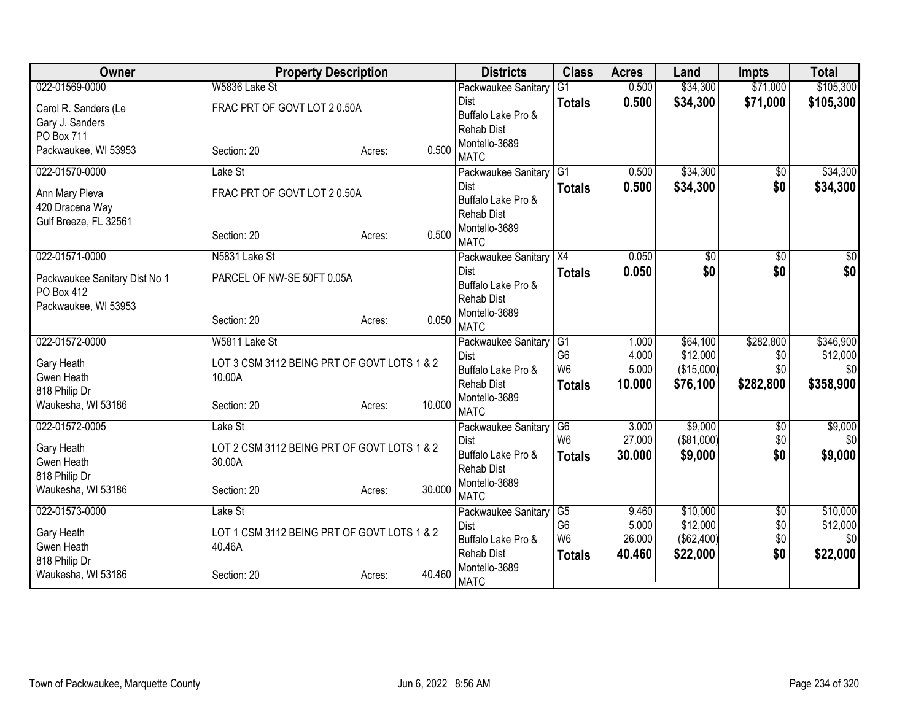| Owner                               | <b>Property Description</b>                 |                  | <b>Districts</b>                   | <b>Class</b>    | <b>Acres</b> | Land       | <b>Impts</b>    | <b>Total</b> |
|-------------------------------------|---------------------------------------------|------------------|------------------------------------|-----------------|--------------|------------|-----------------|--------------|
| 022-01569-0000                      | W5836 Lake St                               |                  | Packwaukee Sanitary                | $\overline{G1}$ | 0.500        | \$34,300   | \$71,000        | \$105,300    |
| Carol R. Sanders (Le                | FRAC PRT OF GOVT LOT 20.50A                 |                  | <b>Dist</b>                        | <b>Totals</b>   | 0.500        | \$34,300   | \$71,000        | \$105,300    |
| Gary J. Sanders                     |                                             |                  | Buffalo Lake Pro &                 |                 |              |            |                 |              |
| PO Box 711                          |                                             |                  | <b>Rehab Dist</b>                  |                 |              |            |                 |              |
| Packwaukee, WI 53953                | Section: 20                                 | 0.500<br>Acres:  | Montello-3689<br><b>MATC</b>       |                 |              |            |                 |              |
| 022-01570-0000                      | Lake St                                     |                  | Packwaukee Sanitary                | G1              | 0.500        | \$34,300   | $\overline{60}$ | \$34,300     |
| Ann Mary Pleva                      | FRAC PRT OF GOVT LOT 20.50A                 |                  | Dist                               | <b>Totals</b>   | 0.500        | \$34,300   | \$0             | \$34,300     |
| 420 Dracena Way                     |                                             |                  | Buffalo Lake Pro &                 |                 |              |            |                 |              |
| Gulf Breeze, FL 32561               |                                             |                  | <b>Rehab Dist</b>                  |                 |              |            |                 |              |
|                                     | Section: 20                                 | 0.500<br>Acres:  | Montello-3689<br><b>MATC</b>       |                 |              |            |                 |              |
| 022-01571-0000                      | N5831 Lake St                               |                  | Packwaukee Sanitary                | X4              | 0.050        | \$0        | \$0             | \$0          |
| Packwaukee Sanitary Dist No 1       | PARCEL OF NW-SE 50FT 0.05A                  |                  | Dist                               | <b>Totals</b>   | 0.050        | \$0        | \$0             | \$0          |
| PO Box 412                          |                                             |                  | Buffalo Lake Pro &                 |                 |              |            |                 |              |
| Packwaukee, WI 53953                |                                             |                  | <b>Rehab Dist</b>                  |                 |              |            |                 |              |
|                                     | Section: 20                                 | 0.050<br>Acres:  | Montello-3689                      |                 |              |            |                 |              |
| 022-01572-0000                      | W5811 Lake St                               |                  | <b>MATC</b>                        | IG1             | 1.000        | \$64,100   | \$282,800       | \$346,900    |
|                                     |                                             |                  | Packwaukee Sanitary<br><b>Dist</b> | G <sub>6</sub>  | 4.000        | \$12,000   | \$0             | \$12,000     |
| Gary Heath                          | LOT 3 CSM 3112 BEING PRT OF GOVT LOTS 1 & 2 |                  | Buffalo Lake Pro &                 | W <sub>6</sub>  | 5.000        | (\$15,000) | \$0             | \$0          |
| Gwen Heath                          | 10.00A                                      |                  | <b>Rehab Dist</b>                  | <b>Totals</b>   | 10.000       | \$76,100   | \$282,800       | \$358,900    |
| 818 Philip Dr                       |                                             |                  | Montello-3689                      |                 |              |            |                 |              |
| Waukesha, WI 53186                  | Section: 20                                 | 10.000<br>Acres: | <b>MATC</b>                        |                 |              |            |                 |              |
| 022-01572-0005                      | Lake St                                     |                  | Packwaukee Sanitary                | G6              | 3.000        | \$9,000    | $\sqrt{$0}$     | \$9,000      |
| Gary Heath                          | LOT 2 CSM 3112 BEING PRT OF GOVT LOTS 1 & 2 |                  | <b>Dist</b>                        | W <sub>6</sub>  | 27.000       | (\$81,000) | \$0             | \$0          |
| Gwen Heath                          | 30.00A                                      |                  | Buffalo Lake Pro &                 | <b>Totals</b>   | 30.000       | \$9,000    | \$0             | \$9,000      |
| 818 Philip Dr                       |                                             |                  | Rehab Dist                         |                 |              |            |                 |              |
| Waukesha, WI 53186                  | Section: 20                                 | 30.000<br>Acres: | Montello-3689<br><b>MATC</b>       |                 |              |            |                 |              |
| 022-01573-0000                      | Lake St                                     |                  | Packwaukee Sanitary                | G5              | 9.460        | \$10,000   | $\overline{60}$ | \$10,000     |
|                                     |                                             |                  | Dist                               | G <sub>6</sub>  | 5.000        | \$12,000   | \$0             | \$12,000     |
| Gary Heath                          | LOT 1 CSM 3112 BEING PRT OF GOVT LOTS 1 & 2 |                  | Buffalo Lake Pro &                 | W <sub>6</sub>  | 26.000       | (\$62,400) | \$0             | \$0          |
| Gwen Heath                          | 40.46A                                      |                  | <b>Rehab Dist</b>                  | <b>Totals</b>   | 40.460       | \$22,000   | \$0             | \$22,000     |
| 818 Philip Dr<br>Waukesha, WI 53186 | Section: 20                                 | 40.460<br>Acres: | Montello-3689                      |                 |              |            |                 |              |
|                                     |                                             |                  | <b>MATC</b>                        |                 |              |            |                 |              |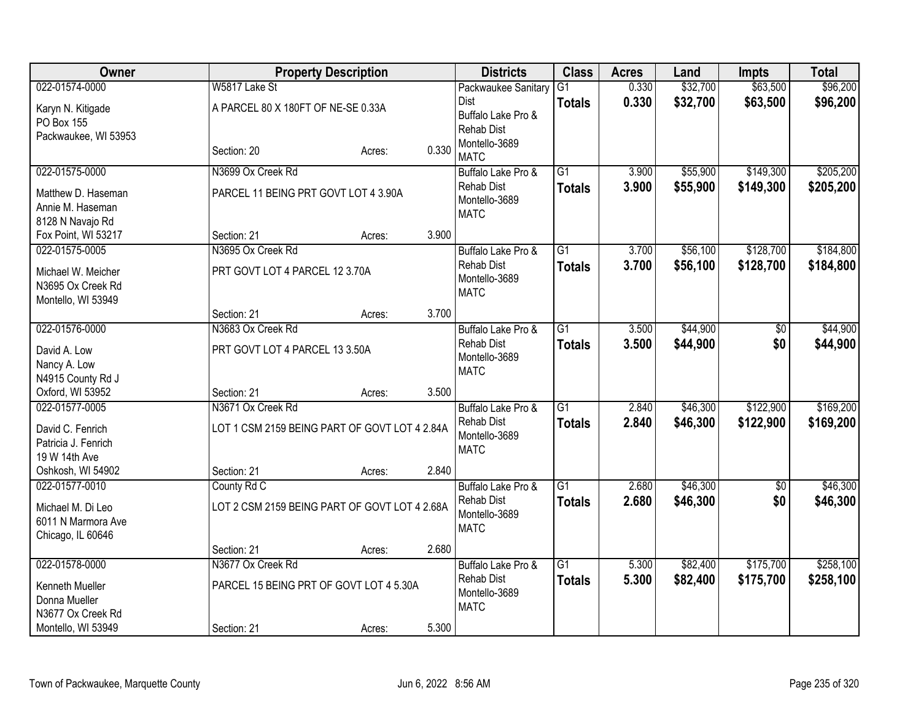| Owner                                |                                               | <b>Property Description</b> |       | <b>Districts</b>                   | <b>Class</b>    | <b>Acres</b> | Land     | <b>Impts</b>    | <b>Total</b> |
|--------------------------------------|-----------------------------------------------|-----------------------------|-------|------------------------------------|-----------------|--------------|----------|-----------------|--------------|
| 022-01574-0000                       | W5817 Lake St                                 |                             |       | Packwaukee Sanitary                | G1              | 0.330        | \$32,700 | \$63,500        | \$96,200     |
| Karyn N. Kitigade                    | A PARCEL 80 X 180FT OF NE-SE 0.33A            |                             |       | Dist                               | <b>Totals</b>   | 0.330        | \$32,700 | \$63,500        | \$96,200     |
| PO Box 155                           |                                               |                             |       | Buffalo Lake Pro &                 |                 |              |          |                 |              |
| Packwaukee, WI 53953                 |                                               |                             |       | <b>Rehab Dist</b><br>Montello-3689 |                 |              |          |                 |              |
|                                      | Section: 20                                   | Acres:                      | 0.330 | <b>MATC</b>                        |                 |              |          |                 |              |
| 022-01575-0000                       | N3699 Ox Creek Rd                             |                             |       | Buffalo Lake Pro &                 | $\overline{G1}$ | 3.900        | \$55,900 | \$149,300       | \$205,200    |
| Matthew D. Haseman                   | PARCEL 11 BEING PRT GOVT LOT 4 3.90A          |                             |       | <b>Rehab Dist</b>                  | <b>Totals</b>   | 3.900        | \$55,900 | \$149,300       | \$205,200    |
| Annie M. Haseman                     |                                               |                             |       | Montello-3689                      |                 |              |          |                 |              |
| 8128 N Navajo Rd                     |                                               |                             |       | <b>MATC</b>                        |                 |              |          |                 |              |
| Fox Point, WI 53217                  | Section: 21                                   | Acres:                      | 3.900 |                                    |                 |              |          |                 |              |
| 022-01575-0005                       | N3695 Ox Creek Rd                             |                             |       | Buffalo Lake Pro &                 | $\overline{G1}$ | 3.700        | \$56,100 | \$128,700       | \$184,800    |
| Michael W. Meicher                   | PRT GOVT LOT 4 PARCEL 12 3.70A                |                             |       | <b>Rehab Dist</b>                  | <b>Totals</b>   | 3.700        | \$56,100 | \$128,700       | \$184,800    |
| N3695 Ox Creek Rd                    |                                               |                             |       | Montello-3689                      |                 |              |          |                 |              |
| Montello, WI 53949                   |                                               |                             |       | <b>MATC</b>                        |                 |              |          |                 |              |
|                                      | Section: 21                                   | Acres:                      | 3.700 |                                    |                 |              |          |                 |              |
| 022-01576-0000                       | N3683 Ox Creek Rd                             |                             |       | Buffalo Lake Pro &                 | $\overline{G1}$ | 3.500        | \$44,900 | $\overline{50}$ | \$44,900     |
| David A. Low                         | PRT GOVT LOT 4 PARCEL 13 3.50A                |                             |       | <b>Rehab Dist</b>                  | <b>Totals</b>   | 3.500        | \$44,900 | \$0             | \$44,900     |
| Nancy A. Low                         |                                               |                             |       | Montello-3689                      |                 |              |          |                 |              |
| N4915 County Rd J                    |                                               |                             |       | <b>MATC</b>                        |                 |              |          |                 |              |
| Oxford, WI 53952                     | Section: 21                                   | Acres:                      | 3.500 |                                    |                 |              |          |                 |              |
| 022-01577-0005                       | N3671 Ox Creek Rd                             |                             |       | Buffalo Lake Pro &                 | G1              | 2.840        | \$46,300 | \$122,900       | \$169,200    |
|                                      |                                               |                             |       | <b>Rehab Dist</b>                  | <b>Totals</b>   | 2.840        | \$46,300 | \$122,900       | \$169,200    |
| David C. Fenrich                     | LOT 1 CSM 2159 BEING PART OF GOVT LOT 4 2.84A |                             |       | Montello-3689                      |                 |              |          |                 |              |
| Patricia J. Fenrich<br>19 W 14th Ave |                                               |                             |       | <b>MATC</b>                        |                 |              |          |                 |              |
| Oshkosh, WI 54902                    | Section: 21                                   | Acres:                      | 2.840 |                                    |                 |              |          |                 |              |
| 022-01577-0010                       | County Rd C                                   |                             |       | Buffalo Lake Pro &                 | $\overline{G1}$ | 2.680        | \$46,300 | \$0             | \$46,300     |
|                                      |                                               |                             |       | <b>Rehab Dist</b>                  | <b>Totals</b>   | 2.680        | \$46,300 | \$0             | \$46,300     |
| Michael M. Di Leo                    | LOT 2 CSM 2159 BEING PART OF GOVT LOT 4 2.68A |                             |       | Montello-3689                      |                 |              |          |                 |              |
| 6011 N Marmora Ave                   |                                               |                             |       | <b>MATC</b>                        |                 |              |          |                 |              |
| Chicago, IL 60646                    |                                               |                             |       |                                    |                 |              |          |                 |              |
| 022-01578-0000                       | Section: 21<br>N3677 Ox Creek Rd              | Acres:                      | 2.680 | Buffalo Lake Pro &                 | $\overline{G1}$ | 5.300        | \$82,400 | \$175,700       | \$258,100    |
|                                      |                                               |                             |       | <b>Rehab Dist</b>                  |                 |              |          |                 |              |
| Kenneth Mueller                      | PARCEL 15 BEING PRT OF GOVT LOT 4 5.30A       |                             |       | Montello-3689                      | <b>Totals</b>   | 5.300        | \$82,400 | \$175,700       | \$258,100    |
| Donna Mueller                        |                                               |                             |       | <b>MATC</b>                        |                 |              |          |                 |              |
| N3677 Ox Creek Rd                    |                                               |                             |       |                                    |                 |              |          |                 |              |
| Montello, WI 53949                   | Section: 21                                   | Acres:                      | 5.300 |                                    |                 |              |          |                 |              |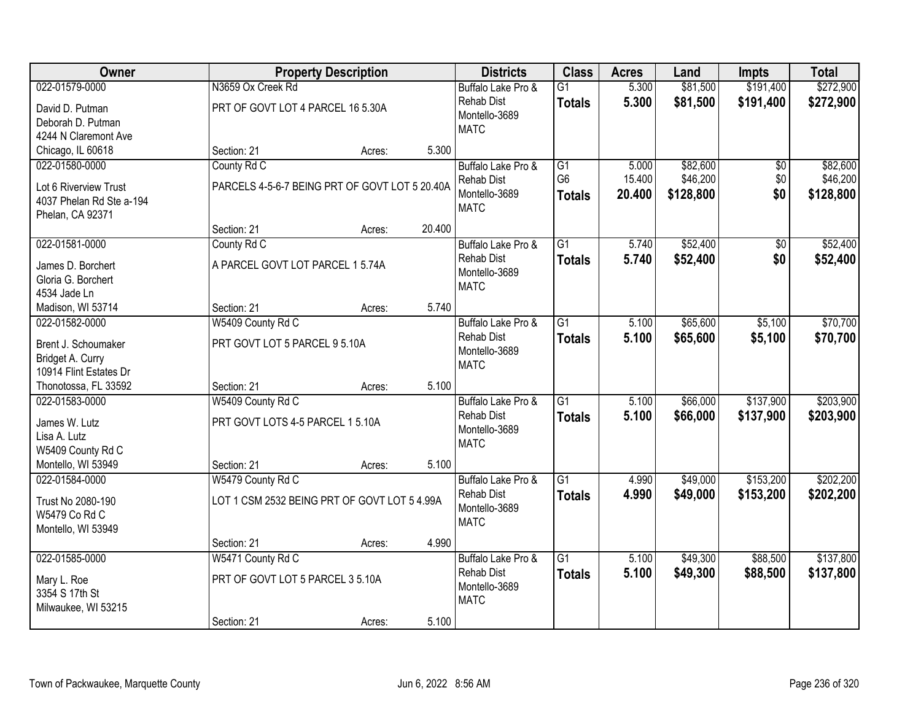| Owner                                        |                                                | <b>Property Description</b> |        | <b>Districts</b>   | <b>Class</b>    | <b>Acres</b> | Land      | <b>Impts</b>    | <b>Total</b> |
|----------------------------------------------|------------------------------------------------|-----------------------------|--------|--------------------|-----------------|--------------|-----------|-----------------|--------------|
| 022-01579-0000                               | N3659 Ox Creek Rd                              |                             |        | Buffalo Lake Pro & | $\overline{G1}$ | 5.300        | \$81,500  | \$191,400       | \$272,900    |
| David D. Putman                              | PRT OF GOVT LOT 4 PARCEL 16 5.30A              |                             |        | <b>Rehab Dist</b>  | <b>Totals</b>   | 5.300        | \$81,500  | \$191,400       | \$272,900    |
| Deborah D. Putman                            |                                                |                             |        | Montello-3689      |                 |              |           |                 |              |
| 4244 N Claremont Ave                         |                                                |                             |        | <b>MATC</b>        |                 |              |           |                 |              |
| Chicago, IL 60618                            | Section: 21                                    | Acres:                      | 5.300  |                    |                 |              |           |                 |              |
| 022-01580-0000                               | County Rd C                                    |                             |        | Buffalo Lake Pro & | $\overline{G1}$ | 5.000        | \$82,600  | $\overline{50}$ | \$82,600     |
|                                              |                                                |                             |        | Rehab Dist         | G <sub>6</sub>  | 15.400       | \$46,200  | \$0             | \$46,200     |
| Lot 6 Riverview Trust                        | PARCELS 4-5-6-7 BEING PRT OF GOVT LOT 5 20.40A |                             |        | Montello-3689      | <b>Totals</b>   | 20.400       | \$128,800 | \$0             | \$128,800    |
| 4037 Phelan Rd Ste a-194<br>Phelan, CA 92371 |                                                |                             |        | <b>MATC</b>        |                 |              |           |                 |              |
|                                              | Section: 21                                    | Acres:                      | 20.400 |                    |                 |              |           |                 |              |
| 022-01581-0000                               | County Rd C                                    |                             |        | Buffalo Lake Pro & | G1              | 5.740        | \$52,400  | \$0             | \$52,400     |
|                                              |                                                |                             |        | <b>Rehab Dist</b>  |                 | 5.740        | \$52,400  | \$0             | \$52,400     |
| James D. Borchert                            | A PARCEL GOVT LOT PARCEL 1 5.74A               |                             |        | Montello-3689      | <b>Totals</b>   |              |           |                 |              |
| Gloria G. Borchert                           |                                                |                             |        | <b>MATC</b>        |                 |              |           |                 |              |
| 4534 Jade Ln                                 |                                                |                             |        |                    |                 |              |           |                 |              |
| Madison, WI 53714                            | Section: 21                                    | Acres:                      | 5.740  |                    |                 |              |           |                 |              |
| 022-01582-0000                               | W5409 County Rd C                              |                             |        | Buffalo Lake Pro & | G1              | 5.100        | \$65,600  | \$5,100         | \$70,700     |
| Brent J. Schoumaker                          | PRT GOVT LOT 5 PARCEL 9 5.10A                  |                             |        | <b>Rehab Dist</b>  | <b>Totals</b>   | 5.100        | \$65,600  | \$5,100         | \$70,700     |
| Bridget A. Curry                             |                                                |                             |        | Montello-3689      |                 |              |           |                 |              |
| 10914 Flint Estates Dr                       |                                                |                             |        | <b>MATC</b>        |                 |              |           |                 |              |
| Thonotossa, FL 33592                         | Section: 21                                    | Acres:                      | 5.100  |                    |                 |              |           |                 |              |
| 022-01583-0000                               | W5409 County Rd C                              |                             |        | Buffalo Lake Pro & | $\overline{G1}$ | 5.100        | \$66,000  | \$137,900       | \$203,900    |
|                                              |                                                |                             |        | <b>Rehab Dist</b>  | Totals          | 5.100        | \$66,000  | \$137,900       | \$203,900    |
| James W. Lutz                                | PRT GOVT LOTS 4-5 PARCEL 1 5.10A               |                             |        | Montello-3689      |                 |              |           |                 |              |
| Lisa A. Lutz                                 |                                                |                             |        | <b>MATC</b>        |                 |              |           |                 |              |
| W5409 County Rd C<br>Montello, WI 53949      | Section: 21                                    |                             | 5.100  |                    |                 |              |           |                 |              |
| 022-01584-0000                               | W5479 County Rd C                              | Acres:                      |        | Buffalo Lake Pro & | $\overline{G1}$ | 4.990        | \$49,000  | \$153,200       | \$202,200    |
|                                              |                                                |                             |        | <b>Rehab Dist</b>  |                 | 4.990        |           |                 |              |
| Trust No 2080-190                            | LOT 1 CSM 2532 BEING PRT OF GOVT LOT 5 4.99A   |                             |        | Montello-3689      | <b>Totals</b>   |              | \$49,000  | \$153,200       | \$202,200    |
| W5479 Co Rd C                                |                                                |                             |        | <b>MATC</b>        |                 |              |           |                 |              |
| Montello, WI 53949                           |                                                |                             |        |                    |                 |              |           |                 |              |
|                                              | Section: 21                                    | Acres:                      | 4.990  |                    |                 |              |           |                 |              |
| 022-01585-0000                               | W5471 County Rd C                              |                             |        | Buffalo Lake Pro & | $\overline{G1}$ | 5.100        | \$49,300  | \$88,500        | \$137,800    |
| Mary L. Roe                                  | PRT OF GOVT LOT 5 PARCEL 3 5.10A               |                             |        | <b>Rehab Dist</b>  | <b>Totals</b>   | 5.100        | \$49,300  | \$88,500        | \$137,800    |
| 3354 S 17th St                               |                                                |                             |        | Montello-3689      |                 |              |           |                 |              |
| Milwaukee, WI 53215                          |                                                |                             |        | <b>MATC</b>        |                 |              |           |                 |              |
|                                              | Section: 21                                    | Acres:                      | 5.100  |                    |                 |              |           |                 |              |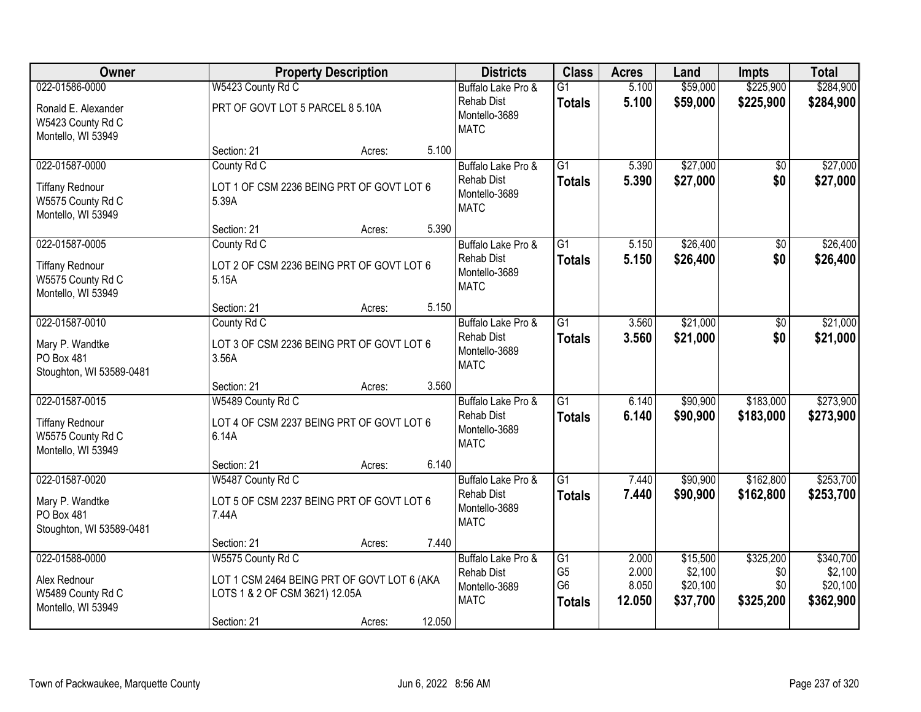| <b>Owner</b>                                                                        |                                                                                                                   | <b>Property Description</b> |        | <b>Districts</b>                                                        | <b>Class</b>                                      | <b>Acres</b>             | Land                            | <b>Impts</b>            | <b>Total</b>                     |
|-------------------------------------------------------------------------------------|-------------------------------------------------------------------------------------------------------------------|-----------------------------|--------|-------------------------------------------------------------------------|---------------------------------------------------|--------------------------|---------------------------------|-------------------------|----------------------------------|
| 022-01586-0000                                                                      | W5423 County Rd C                                                                                                 |                             |        | Buffalo Lake Pro &                                                      | $\overline{G1}$                                   | 5.100                    | \$59,000                        | \$225,900               | \$284,900                        |
| Ronald E. Alexander<br>W5423 County Rd C<br>Montello, WI 53949                      | PRT OF GOVT LOT 5 PARCEL 8 5.10A                                                                                  |                             |        | <b>Rehab Dist</b><br>Montello-3689<br><b>MATC</b>                       | <b>Totals</b>                                     | 5.100                    | \$59,000                        | \$225,900               | \$284,900                        |
|                                                                                     | Section: 21                                                                                                       | Acres:                      | 5.100  |                                                                         |                                                   |                          |                                 |                         |                                  |
| 022-01587-0000<br><b>Tiffany Rednour</b><br>W5575 County Rd C<br>Montello, WI 53949 | County Rd C<br>LOT 1 OF CSM 2236 BEING PRT OF GOVT LOT 6<br>5.39A                                                 |                             |        | Buffalo Lake Pro &<br><b>Rehab Dist</b><br>Montello-3689<br><b>MATC</b> | $\overline{G1}$<br><b>Totals</b>                  | 5.390<br>5.390           | \$27,000<br>\$27,000            | $\overline{50}$<br>\$0  | \$27,000<br>\$27,000             |
|                                                                                     | Section: 21                                                                                                       | Acres:                      | 5.390  |                                                                         |                                                   |                          |                                 |                         |                                  |
| 022-01587-0005<br><b>Tiffany Rednour</b><br>W5575 County Rd C<br>Montello, WI 53949 | County Rd C<br>LOT 2 OF CSM 2236 BEING PRT OF GOVT LOT 6<br>5.15A                                                 |                             |        | Buffalo Lake Pro &<br><b>Rehab Dist</b><br>Montello-3689<br><b>MATC</b> | $\overline{G1}$<br><b>Totals</b>                  | 5.150<br>5.150           | \$26,400<br>\$26,400            | $\overline{50}$<br>\$0  | \$26,400<br>\$26,400             |
|                                                                                     | Section: 21                                                                                                       | Acres:                      | 5.150  |                                                                         |                                                   |                          |                                 |                         |                                  |
| 022-01587-0010<br>Mary P. Wandtke<br>PO Box 481<br>Stoughton, WI 53589-0481         | County Rd C<br>LOT 3 OF CSM 2236 BEING PRT OF GOVT LOT 6<br>3.56A                                                 |                             |        | Buffalo Lake Pro &<br><b>Rehab Dist</b><br>Montello-3689<br><b>MATC</b> | $\overline{G1}$<br><b>Totals</b>                  | 3.560<br>3.560           | \$21,000<br>\$21,000            | \$0<br>\$0              | \$21,000<br>\$21,000             |
|                                                                                     | Section: 21                                                                                                       | Acres:                      | 3.560  |                                                                         |                                                   |                          |                                 |                         |                                  |
| 022-01587-0015<br><b>Tiffany Rednour</b><br>W5575 County Rd C<br>Montello, WI 53949 | W5489 County Rd C<br>LOT 4 OF CSM 2237 BEING PRT OF GOVT LOT 6<br>6.14A                                           |                             |        | Buffalo Lake Pro &<br><b>Rehab Dist</b><br>Montello-3689<br><b>MATC</b> | $\overline{G1}$<br><b>Totals</b>                  | 6.140<br>6.140           | \$90,900<br>\$90,900            | \$183,000<br>\$183,000  | \$273,900<br>\$273,900           |
|                                                                                     | Section: 21                                                                                                       | Acres:                      | 6.140  |                                                                         |                                                   |                          |                                 |                         |                                  |
| 022-01587-0020<br>Mary P. Wandtke<br>PO Box 481<br>Stoughton, WI 53589-0481         | W5487 County Rd C<br>LOT 5 OF CSM 2237 BEING PRT OF GOVT LOT 6<br>7.44A                                           |                             |        | Buffalo Lake Pro &<br><b>Rehab Dist</b><br>Montello-3689<br><b>MATC</b> | $\overline{G1}$<br><b>Totals</b>                  | 7.440<br>7.440           | \$90,900<br>\$90,900            | \$162,800<br>\$162,800  | \$253,700<br>\$253,700           |
| 022-01588-0000                                                                      | Section: 21                                                                                                       | Acres:                      | 7.440  |                                                                         | $\overline{G1}$                                   | 2.000                    | \$15,500                        | \$325,200               | \$340,700                        |
| Alex Rednour<br>W5489 County Rd C<br>Montello, WI 53949                             | W5575 County Rd C<br>LOT 1 CSM 2464 BEING PRT OF GOVT LOT 6 (AKA<br>LOTS 1 & 2 OF CSM 3621) 12.05A<br>Section: 21 | Acres:                      | 12.050 | Buffalo Lake Pro &<br><b>Rehab Dist</b><br>Montello-3689<br><b>MATC</b> | G <sub>5</sub><br>G <sub>6</sub><br><b>Totals</b> | 2.000<br>8.050<br>12.050 | \$2,100<br>\$20,100<br>\$37,700 | \$0<br>\$0<br>\$325,200 | \$2,100<br>\$20,100<br>\$362,900 |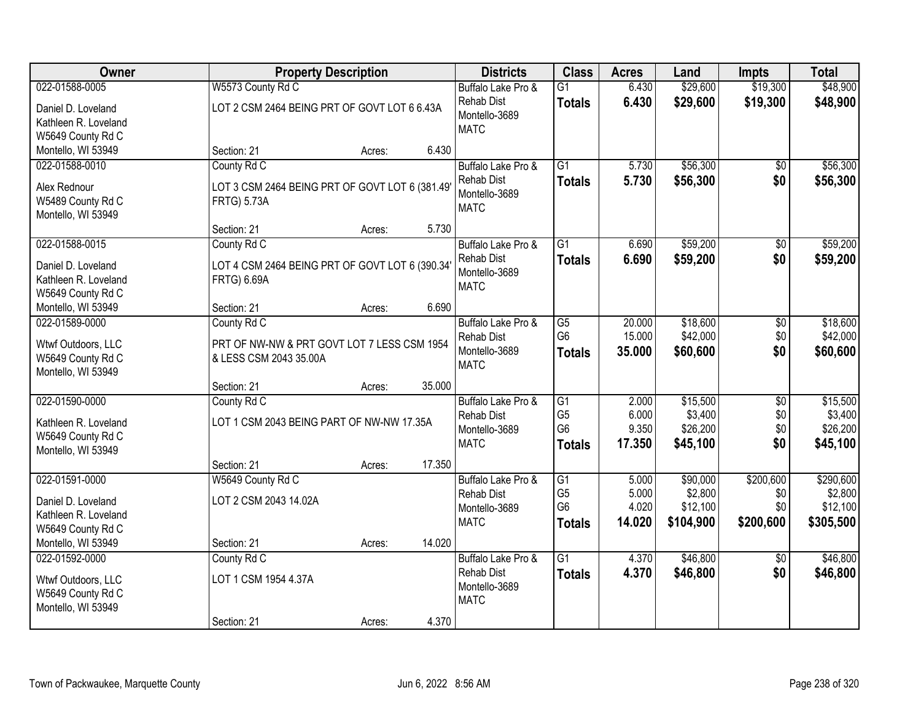| <b>Owner</b>                            |                                                 | <b>Property Description</b> |        | <b>Districts</b>   | <b>Class</b>    | <b>Acres</b> | Land      | <b>Impts</b>    | <b>Total</b> |
|-----------------------------------------|-------------------------------------------------|-----------------------------|--------|--------------------|-----------------|--------------|-----------|-----------------|--------------|
| 022-01588-0005                          | W5573 County Rd C                               |                             |        | Buffalo Lake Pro & | $\overline{G1}$ | 6.430        | \$29,600  | \$19,300        | \$48,900     |
| Daniel D. Loveland                      | LOT 2 CSM 2464 BEING PRT OF GOVT LOT 6 6.43A    |                             |        | <b>Rehab Dist</b>  | <b>Totals</b>   | 6.430        | \$29,600  | \$19,300        | \$48,900     |
| Kathleen R. Loveland                    |                                                 |                             |        | Montello-3689      |                 |              |           |                 |              |
| W5649 County Rd C                       |                                                 |                             |        | <b>MATC</b>        |                 |              |           |                 |              |
| Montello, WI 53949                      | Section: 21                                     | Acres:                      | 6.430  |                    |                 |              |           |                 |              |
| 022-01588-0010                          | County Rd C                                     |                             |        | Buffalo Lake Pro & | $\overline{G1}$ | 5.730        | \$56,300  | $\overline{50}$ | \$56,300     |
| Alex Rednour                            |                                                 |                             |        | <b>Rehab Dist</b>  | <b>Totals</b>   | 5.730        | \$56,300  | \$0             | \$56,300     |
| W5489 County Rd C                       | LOT 3 CSM 2464 BEING PRT OF GOVT LOT 6 (381.49) |                             |        | Montello-3689      |                 |              |           |                 |              |
| Montello, WI 53949                      | <b>FRTG) 5.73A</b>                              |                             |        | <b>MATC</b>        |                 |              |           |                 |              |
|                                         | Section: 21                                     | Acres:                      | 5.730  |                    |                 |              |           |                 |              |
| 022-01588-0015                          | County Rd C                                     |                             |        | Buffalo Lake Pro & | G1              | 6.690        | \$59,200  | \$0             | \$59,200     |
|                                         |                                                 |                             |        | <b>Rehab Dist</b>  | <b>Totals</b>   | 6.690        | \$59,200  | \$0             | \$59,200     |
| Daniel D. Loveland                      | LOT 4 CSM 2464 BEING PRT OF GOVT LOT 6 (390.34' |                             |        | Montello-3689      |                 |              |           |                 |              |
| Kathleen R. Loveland                    | <b>FRTG) 6.69A</b>                              |                             |        | <b>MATC</b>        |                 |              |           |                 |              |
| W5649 County Rd C<br>Montello, WI 53949 | Section: 21                                     |                             | 6.690  |                    |                 |              |           |                 |              |
| 022-01589-0000                          | County Rd C                                     | Acres:                      |        | Buffalo Lake Pro & | $\overline{G5}$ | 20.000       | \$18,600  |                 | \$18,600     |
|                                         |                                                 |                             |        | <b>Rehab Dist</b>  | G <sub>6</sub>  | 15.000       | \$42,000  | \$0<br>\$0      | \$42,000     |
| Wtwf Outdoors, LLC                      | PRT OF NW-NW & PRT GOVT LOT 7 LESS CSM 1954     |                             |        | Montello-3689      |                 | 35.000       | \$60,600  | \$0             | \$60,600     |
| W5649 County Rd C                       | & LESS CSM 2043 35.00A                          |                             |        | <b>MATC</b>        | <b>Totals</b>   |              |           |                 |              |
| Montello, WI 53949                      |                                                 |                             |        |                    |                 |              |           |                 |              |
|                                         | Section: 21                                     | Acres:                      | 35.000 |                    |                 |              |           |                 |              |
| 022-01590-0000                          | County Rd C                                     |                             |        | Buffalo Lake Pro & | $\overline{G1}$ | 2.000        | \$15,500  | $\overline{30}$ | \$15,500     |
| Kathleen R. Loveland                    | LOT 1 CSM 2043 BEING PART OF NW-NW 17.35A       |                             |        | <b>Rehab Dist</b>  | G <sub>5</sub>  | 6.000        | \$3,400   | \$0             | \$3,400      |
| W5649 County Rd C                       |                                                 |                             |        | Montello-3689      | G <sub>6</sub>  | 9.350        | \$26,200  | \$0             | \$26,200     |
| Montello, WI 53949                      |                                                 |                             |        | <b>MATC</b>        | <b>Totals</b>   | 17.350       | \$45,100  | \$0             | \$45,100     |
|                                         | Section: 21                                     | Acres:                      | 17.350 |                    |                 |              |           |                 |              |
| 022-01591-0000                          | W5649 County Rd C                               |                             |        | Buffalo Lake Pro & | $\overline{G1}$ | 5.000        | \$90,000  | \$200,600       | \$290,600    |
| Daniel D. Loveland                      | LOT 2 CSM 2043 14.02A                           |                             |        | <b>Rehab Dist</b>  | G <sub>5</sub>  | 5.000        | \$2,800   | \$0             | \$2,800      |
| Kathleen R. Loveland                    |                                                 |                             |        | Montello-3689      | G <sub>6</sub>  | 4.020        | \$12,100  | \$0             | \$12,100     |
| W5649 County Rd C                       |                                                 |                             |        | <b>MATC</b>        | Totals          | 14.020       | \$104,900 | \$200,600       | \$305,500    |
| Montello, WI 53949                      | Section: 21                                     | Acres:                      | 14.020 |                    |                 |              |           |                 |              |
| 022-01592-0000                          | County Rd C                                     |                             |        | Buffalo Lake Pro & | $\overline{G1}$ | 4.370        | \$46,800  | $\overline{30}$ | \$46,800     |
| Wtwf Outdoors, LLC                      | LOT 1 CSM 1954 4.37A                            |                             |        | <b>Rehab Dist</b>  | <b>Totals</b>   | 4.370        | \$46,800  | \$0             | \$46,800     |
| W5649 County Rd C                       |                                                 |                             |        | Montello-3689      |                 |              |           |                 |              |
| Montello, WI 53949                      |                                                 |                             |        | <b>MATC</b>        |                 |              |           |                 |              |
|                                         | Section: 21                                     | Acres:                      | 4.370  |                    |                 |              |           |                 |              |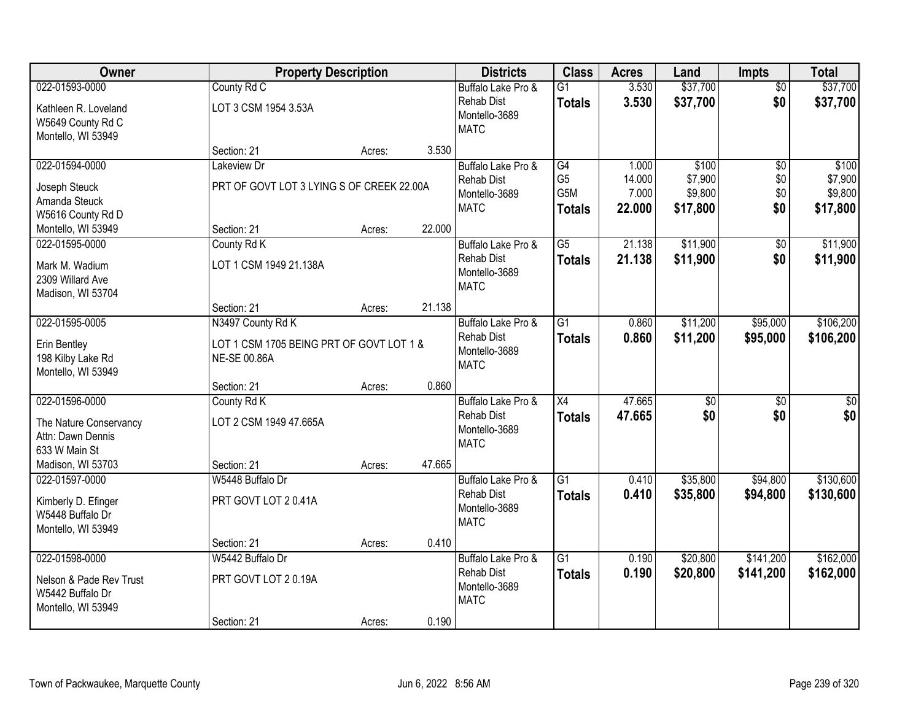| Owner                                   | <b>Property Description</b>               |        |        | <b>Districts</b>                        | <b>Class</b>                     | <b>Acres</b>    | Land                 | <b>Impts</b>           | <b>Total</b>         |
|-----------------------------------------|-------------------------------------------|--------|--------|-----------------------------------------|----------------------------------|-----------------|----------------------|------------------------|----------------------|
| 022-01593-0000<br>Kathleen R. Loveland  | County Rd C<br>LOT 3 CSM 1954 3.53A       |        |        | Buffalo Lake Pro &<br><b>Rehab Dist</b> | $\overline{G1}$<br><b>Totals</b> | 3.530<br>3.530  | \$37,700<br>\$37,700 | $\overline{50}$<br>\$0 | \$37,700<br>\$37,700 |
| W5649 County Rd C<br>Montello, WI 53949 |                                           |        |        | Montello-3689<br><b>MATC</b>            |                                  |                 |                      |                        |                      |
|                                         | Section: 21                               | Acres: | 3.530  |                                         |                                  |                 |                      |                        |                      |
| 022-01594-0000                          | Lakeview Dr                               |        |        | Buffalo Lake Pro &                      | G4                               | 1.000           | \$100                | \$0                    | \$100                |
| Joseph Steuck                           | PRT OF GOVT LOT 3 LYING S OF CREEK 22.00A |        |        | <b>Rehab Dist</b><br>Montello-3689      | G <sub>5</sub><br>G5M            | 14.000<br>7.000 | \$7,900<br>\$9,800   | \$0<br>\$0             | \$7,900<br>\$9,800   |
| Amanda Steuck                           |                                           |        |        | <b>MATC</b>                             | <b>Totals</b>                    | 22.000          | \$17,800             | \$0                    | \$17,800             |
| W5616 County Rd D                       |                                           |        |        |                                         |                                  |                 |                      |                        |                      |
| Montello, WI 53949<br>022-01595-0000    | Section: 21                               | Acres: | 22.000 |                                         | $\overline{G5}$                  | 21.138          | \$11,900             |                        | \$11,900             |
|                                         | County Rd K                               |        |        | Buffalo Lake Pro &<br><b>Rehab Dist</b> | <b>Totals</b>                    | 21.138          | \$11,900             | \$0<br>\$0             | \$11,900             |
| Mark M. Wadium                          | LOT 1 CSM 1949 21.138A                    |        |        | Montello-3689                           |                                  |                 |                      |                        |                      |
| 2309 Willard Ave                        |                                           |        |        | <b>MATC</b>                             |                                  |                 |                      |                        |                      |
| Madison, WI 53704                       | Section: 21                               | Acres: | 21.138 |                                         |                                  |                 |                      |                        |                      |
| 022-01595-0005                          | N3497 County Rd K                         |        |        | Buffalo Lake Pro &                      | $\overline{G1}$                  | 0.860           | \$11,200             | \$95,000               | \$106,200            |
|                                         |                                           |        |        | <b>Rehab Dist</b>                       | <b>Totals</b>                    | 0.860           | \$11,200             | \$95,000               | \$106,200            |
| Erin Bentley                            | LOT 1 CSM 1705 BEING PRT OF GOVT LOT 1 &  |        |        | Montello-3689                           |                                  |                 |                      |                        |                      |
| 198 Kilby Lake Rd<br>Montello, WI 53949 | NE-SE 00.86A                              |        |        | <b>MATC</b>                             |                                  |                 |                      |                        |                      |
|                                         | Section: 21                               | Acres: | 0.860  |                                         |                                  |                 |                      |                        |                      |
| 022-01596-0000                          | County Rd K                               |        |        | Buffalo Lake Pro &                      | $\overline{X4}$                  | 47.665          | $\overline{50}$      | $\overline{50}$        | $\sqrt{50}$          |
| The Nature Conservancy                  | LOT 2 CSM 1949 47.665A                    |        |        | <b>Rehab Dist</b>                       | <b>Totals</b>                    | 47.665          | \$0                  | \$0                    | \$0                  |
| Attn: Dawn Dennis                       |                                           |        |        | Montello-3689                           |                                  |                 |                      |                        |                      |
| 633 W Main St                           |                                           |        |        | <b>MATC</b>                             |                                  |                 |                      |                        |                      |
| Madison, WI 53703                       | Section: 21                               | Acres: | 47.665 |                                         |                                  |                 |                      |                        |                      |
| 022-01597-0000                          | W5448 Buffalo Dr                          |        |        | Buffalo Lake Pro &                      | $\overline{G1}$                  | 0.410           | \$35,800             | \$94,800               | \$130,600            |
| Kimberly D. Efinger                     | PRT GOVT LOT 20.41A                       |        |        | <b>Rehab Dist</b>                       | <b>Totals</b>                    | 0.410           | \$35,800             | \$94,800               | \$130,600            |
| W5448 Buffalo Dr                        |                                           |        |        | Montello-3689                           |                                  |                 |                      |                        |                      |
| Montello, WI 53949                      |                                           |        |        | <b>MATC</b>                             |                                  |                 |                      |                        |                      |
|                                         | Section: 21                               | Acres: | 0.410  |                                         |                                  |                 |                      |                        |                      |
| 022-01598-0000                          | W5442 Buffalo Dr                          |        |        | Buffalo Lake Pro &                      | $\overline{G1}$                  | 0.190           | \$20,800             | \$141,200              | \$162,000            |
| Nelson & Pade Rev Trust                 | PRT GOVT LOT 20.19A                       |        |        | <b>Rehab Dist</b>                       | <b>Totals</b>                    | 0.190           | \$20,800             | \$141,200              | \$162,000            |
| W5442 Buffalo Dr                        |                                           |        |        | Montello-3689<br><b>MATC</b>            |                                  |                 |                      |                        |                      |
| Montello, WI 53949                      |                                           |        |        |                                         |                                  |                 |                      |                        |                      |
|                                         | Section: 21                               | Acres: | 0.190  |                                         |                                  |                 |                      |                        |                      |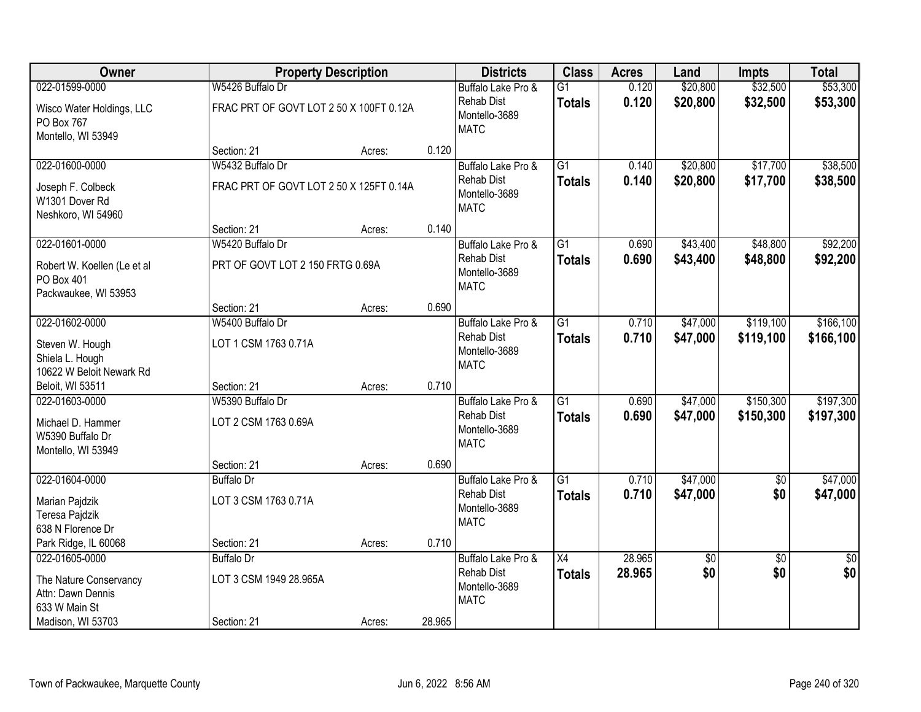| Owner                                                             |                                         | <b>Property Description</b> |        | <b>Districts</b>                                  | <b>Class</b>    | <b>Acres</b> | Land     | <b>Impts</b>    | <b>Total</b> |
|-------------------------------------------------------------------|-----------------------------------------|-----------------------------|--------|---------------------------------------------------|-----------------|--------------|----------|-----------------|--------------|
| 022-01599-0000                                                    | W5426 Buffalo Dr                        |                             |        | Buffalo Lake Pro &                                | $\overline{G1}$ | 0.120        | \$20,800 | \$32,500        | \$53,300     |
| Wisco Water Holdings, LLC<br>PO Box 767<br>Montello, WI 53949     | FRAC PRT OF GOVT LOT 2 50 X 100FT 0.12A |                             |        | <b>Rehab Dist</b><br>Montello-3689<br><b>MATC</b> | <b>Totals</b>   | 0.120        | \$20,800 | \$32,500        | \$53,300     |
|                                                                   | Section: 21                             | Acres:                      | 0.120  |                                                   |                 |              |          |                 |              |
| 022-01600-0000                                                    | W5432 Buffalo Dr                        |                             |        | Buffalo Lake Pro &                                | $\overline{G1}$ | 0.140        | \$20,800 | \$17,700        | \$38,500     |
| Joseph F. Colbeck<br>W1301 Dover Rd<br>Neshkoro, WI 54960         | FRAC PRT OF GOVT LOT 2 50 X 125FT 0.14A |                             |        | Rehab Dist<br>Montello-3689<br><b>MATC</b>        | <b>Totals</b>   | 0.140        | \$20,800 | \$17,700        | \$38,500     |
|                                                                   | Section: 21                             | Acres:                      | 0.140  |                                                   |                 |              |          |                 |              |
| 022-01601-0000                                                    | W5420 Buffalo Dr                        |                             |        | Buffalo Lake Pro &                                | $\overline{G1}$ | 0.690        | \$43,400 | \$48,800        | \$92,200     |
| Robert W. Koellen (Le et al<br>PO Box 401<br>Packwaukee, WI 53953 | PRT OF GOVT LOT 2 150 FRTG 0.69A        |                             |        | <b>Rehab Dist</b><br>Montello-3689<br><b>MATC</b> | <b>Totals</b>   | 0.690        | \$43,400 | \$48,800        | \$92,200     |
|                                                                   | Section: 21                             | Acres:                      | 0.690  |                                                   |                 |              |          |                 |              |
| 022-01602-0000                                                    | W5400 Buffalo Dr                        |                             |        | Buffalo Lake Pro &                                | G1              | 0.710        | \$47,000 | \$119,100       | \$166, 100   |
| Steven W. Hough<br>Shiela L. Hough<br>10622 W Beloit Newark Rd    | LOT 1 CSM 1763 0.71A                    |                             |        | <b>Rehab Dist</b><br>Montello-3689<br><b>MATC</b> | <b>Totals</b>   | 0.710        | \$47,000 | \$119,100       | \$166,100    |
| Beloit, WI 53511                                                  | Section: 21                             | Acres:                      | 0.710  |                                                   |                 |              |          |                 |              |
| 022-01603-0000                                                    | W5390 Buffalo Dr                        |                             |        | Buffalo Lake Pro &                                | $\overline{G1}$ | 0.690        | \$47,000 | \$150,300       | \$197,300    |
| Michael D. Hammer<br>W5390 Buffalo Dr<br>Montello, WI 53949       | LOT 2 CSM 1763 0.69A                    |                             |        | <b>Rehab Dist</b><br>Montello-3689<br><b>MATC</b> | <b>Totals</b>   | 0.690        | \$47,000 | \$150,300       | \$197,300    |
|                                                                   | Section: 21                             | Acres:                      | 0.690  |                                                   |                 |              |          |                 |              |
| 022-01604-0000                                                    | <b>Buffalo Dr</b>                       |                             |        | Buffalo Lake Pro &                                | G1              | 0.710        | \$47,000 | $\overline{60}$ | \$47,000     |
| Marian Pajdzik<br>Teresa Pajdzik<br>638 N Florence Dr             | LOT 3 CSM 1763 0.71A                    |                             |        | <b>Rehab Dist</b><br>Montello-3689<br><b>MATC</b> | <b>Totals</b>   | 0.710        | \$47,000 | \$0             | \$47,000     |
| Park Ridge, IL 60068                                              | Section: 21                             | Acres:                      | 0.710  |                                                   |                 |              |          |                 |              |
| 022-01605-0000                                                    | <b>Buffalo Dr</b>                       |                             |        | Buffalo Lake Pro &                                | $\overline{X4}$ | 28.965       | \$0      | $\overline{50}$ | $\sqrt{50}$  |
| The Nature Conservancy<br>Attn: Dawn Dennis<br>633 W Main St      | LOT 3 CSM 1949 28.965A                  |                             |        | <b>Rehab Dist</b><br>Montello-3689<br><b>MATC</b> | <b>Totals</b>   | 28.965       | \$0      | \$0             | \$0          |
| Madison, WI 53703                                                 | Section: 21                             | Acres:                      | 28.965 |                                                   |                 |              |          |                 |              |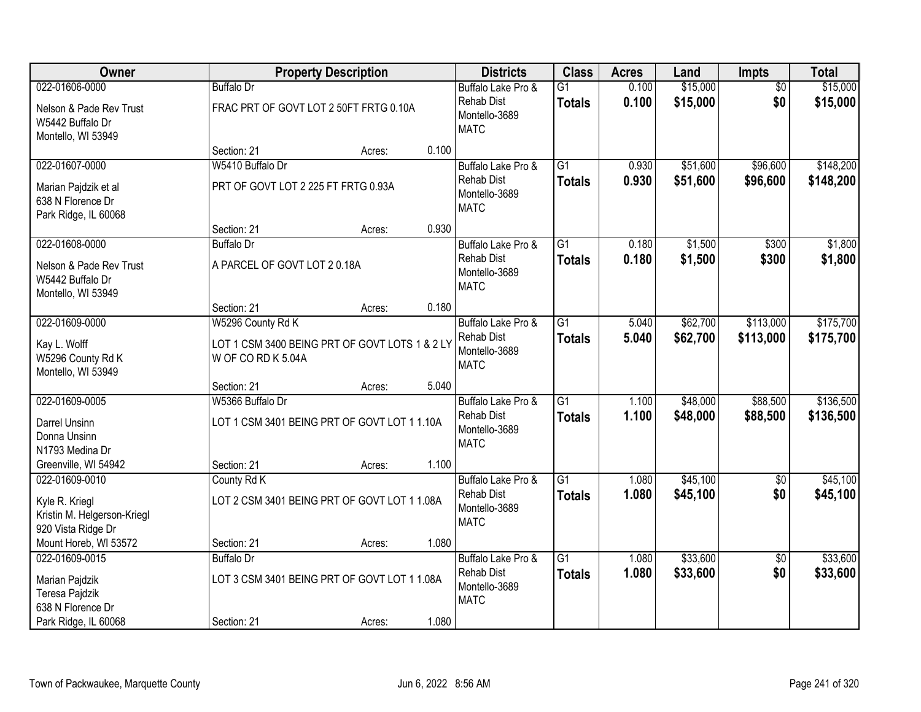| Owner                                                                                 |                                                                      | <b>Property Description</b> |       | <b>Districts</b>                                                        | <b>Class</b>                     | <b>Acres</b>   | Land                 | Impts                  | <b>Total</b>         |
|---------------------------------------------------------------------------------------|----------------------------------------------------------------------|-----------------------------|-------|-------------------------------------------------------------------------|----------------------------------|----------------|----------------------|------------------------|----------------------|
| 022-01606-0000                                                                        | <b>Buffalo Dr</b>                                                    |                             |       | Buffalo Lake Pro &                                                      | $\overline{G1}$                  | 0.100          | \$15,000             | $\overline{50}$        | \$15,000             |
| Nelson & Pade Rev Trust<br>W5442 Buffalo Dr<br>Montello, WI 53949                     | FRAC PRT OF GOVT LOT 2 50FT FRTG 0.10A                               |                             |       | <b>Rehab Dist</b><br>Montello-3689<br><b>MATC</b>                       | <b>Totals</b>                    | 0.100          | \$15,000             | \$0                    | \$15,000             |
|                                                                                       | Section: 21                                                          | Acres:                      | 0.100 |                                                                         |                                  |                |                      |                        |                      |
| 022-01607-0000                                                                        | W5410 Buffalo Dr                                                     |                             |       | Buffalo Lake Pro &                                                      | $\overline{G1}$                  | 0.930          | \$51,600             | \$96,600               | \$148,200            |
| Marian Pajdzik et al<br>638 N Florence Dr<br>Park Ridge, IL 60068                     | PRT OF GOVT LOT 2 225 FT FRTG 0.93A                                  |                             |       | <b>Rehab Dist</b><br>Montello-3689<br><b>MATC</b>                       | <b>Totals</b>                    | 0.930          | \$51,600             | \$96,600               | \$148,200            |
|                                                                                       | Section: 21                                                          | Acres:                      | 0.930 |                                                                         |                                  |                |                      |                        |                      |
| 022-01608-0000                                                                        | <b>Buffalo Dr</b>                                                    |                             |       | Buffalo Lake Pro &                                                      | G1                               | 0.180          | \$1,500              | \$300                  | \$1,800              |
| Nelson & Pade Rev Trust<br>W5442 Buffalo Dr<br>Montello, WI 53949                     | A PARCEL OF GOVT LOT 20.18A                                          |                             |       | <b>Rehab Dist</b><br>Montello-3689<br><b>MATC</b>                       | <b>Totals</b>                    | 0.180          | \$1,500              | \$300                  | \$1,800              |
|                                                                                       | Section: 21                                                          | Acres:                      | 0.180 |                                                                         |                                  |                |                      |                        |                      |
| 022-01609-0000                                                                        | W5296 County Rd K                                                    |                             |       | Buffalo Lake Pro &                                                      | $\overline{G1}$                  | 5.040          | \$62,700             | \$113,000              | \$175,700            |
| Kay L. Wolff<br>W5296 County Rd K<br>Montello, WI 53949                               | LOT 1 CSM 3400 BEING PRT OF GOVT LOTS 1 & 2 LY<br>W OF CO RD K 5.04A |                             |       | <b>Rehab Dist</b><br>Montello-3689<br><b>MATC</b>                       | <b>Totals</b>                    | 5.040          | \$62,700             | \$113,000              | \$175,700            |
|                                                                                       | Section: 21                                                          | Acres:                      | 5.040 |                                                                         |                                  |                |                      |                        |                      |
| 022-01609-0005                                                                        | W5366 Buffalo Dr                                                     |                             |       | Buffalo Lake Pro &                                                      | $\overline{G1}$                  | 1.100          | \$48,000             | \$88,500               | \$136,500            |
| Darrel Unsinn<br>Donna Unsinn                                                         | LOT 1 CSM 3401 BEING PRT OF GOVT LOT 1 1.10A                         |                             |       | <b>Rehab Dist</b><br>Montello-3689<br><b>MATC</b>                       | <b>Totals</b>                    | 1.100          | \$48,000             | \$88,500               | \$136,500            |
| N1793 Medina Dr                                                                       |                                                                      |                             |       |                                                                         |                                  |                |                      |                        |                      |
| Greenville, WI 54942                                                                  | Section: 21                                                          | Acres:                      | 1.100 |                                                                         |                                  |                |                      |                        |                      |
| 022-01609-0010<br>Kyle R. Kriegl<br>Kristin M. Helgerson-Kriegl<br>920 Vista Ridge Dr | County Rd K<br>LOT 2 CSM 3401 BEING PRT OF GOVT LOT 1 1.08A          |                             |       | Buffalo Lake Pro &<br><b>Rehab Dist</b><br>Montello-3689<br><b>MATC</b> | $\overline{G1}$<br><b>Totals</b> | 1.080<br>1.080 | \$45,100<br>\$45,100 | $\overline{60}$<br>\$0 | \$45,100<br>\$45,100 |
| Mount Horeb, WI 53572                                                                 | Section: 21                                                          | Acres:                      | 1.080 |                                                                         |                                  |                |                      |                        |                      |
| 022-01609-0015                                                                        | <b>Buffalo Dr</b>                                                    |                             |       | Buffalo Lake Pro &                                                      | $\overline{G1}$                  | 1.080          | \$33,600             | $\overline{50}$        | \$33,600             |
| Marian Pajdzik<br>Teresa Pajdzik<br>638 N Florence Dr                                 | LOT 3 CSM 3401 BEING PRT OF GOVT LOT 1 1.08A                         |                             |       | <b>Rehab Dist</b><br>Montello-3689<br><b>MATC</b>                       | <b>Totals</b>                    | 1.080          | \$33,600             | \$0                    | \$33,600             |
| Park Ridge, IL 60068                                                                  | Section: 21                                                          | Acres:                      | 1.080 |                                                                         |                                  |                |                      |                        |                      |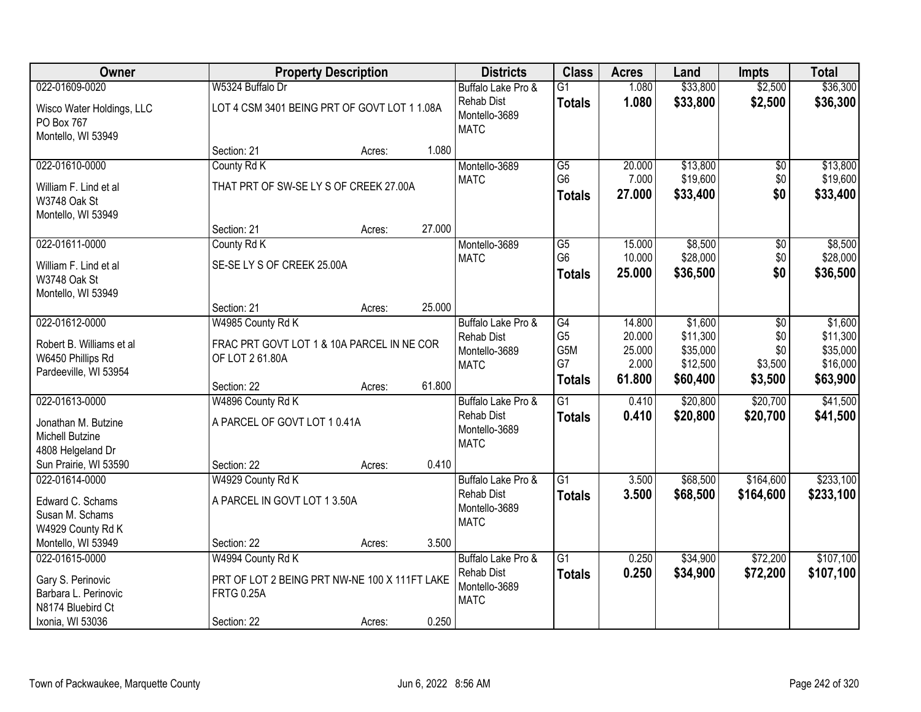| Owner                                                                                |                                                                                         | <b>Property Description</b> |        | <b>Districts</b>                                                        | <b>Class</b>                     | <b>Acres</b>              | Land                             | <b>Impts</b>          | <b>Total</b>                     |
|--------------------------------------------------------------------------------------|-----------------------------------------------------------------------------------------|-----------------------------|--------|-------------------------------------------------------------------------|----------------------------------|---------------------------|----------------------------------|-----------------------|----------------------------------|
| 022-01609-0020                                                                       | W5324 Buffalo Dr                                                                        |                             |        | Buffalo Lake Pro &                                                      | $\overline{G1}$                  | 1.080                     | \$33,800                         | \$2,500               | \$36,300                         |
| Wisco Water Holdings, LLC<br>PO Box 767<br>Montello, WI 53949                        | LOT 4 CSM 3401 BEING PRT OF GOVT LOT 1 1.08A                                            |                             |        | <b>Rehab Dist</b><br>Montello-3689<br><b>MATC</b>                       | <b>Totals</b>                    | 1.080                     | \$33,800                         | \$2,500               | \$36,300                         |
|                                                                                      | Section: 21                                                                             | Acres:                      | 1.080  |                                                                         |                                  |                           |                                  |                       |                                  |
| 022-01610-0000                                                                       | County Rd K                                                                             |                             |        | Montello-3689                                                           | $\overline{G5}$                  | 20.000                    | \$13,800                         | \$0                   | \$13,800                         |
| William F. Lind et al<br>W3748 Oak St<br>Montello, WI 53949                          | THAT PRT OF SW-SE LY S OF CREEK 27.00A                                                  |                             |        | <b>MATC</b>                                                             | G <sub>6</sub><br><b>Totals</b>  | 7.000<br>27.000           | \$19,600<br>\$33,400             | \$0<br>\$0            | \$19,600<br>\$33,400             |
|                                                                                      | Section: 21                                                                             | Acres:                      | 27.000 |                                                                         |                                  |                           |                                  |                       |                                  |
| 022-01611-0000                                                                       | County Rd K                                                                             |                             |        | Montello-3689                                                           | $\overline{G5}$                  | 15.000                    | \$8,500                          | \$0                   | \$8,500                          |
| William F. Lind et al<br>W3748 Oak St                                                | SE-SE LY S OF CREEK 25.00A                                                              |                             |        | <b>MATC</b>                                                             | G <sub>6</sub><br><b>Totals</b>  | 10.000<br>25.000          | \$28,000<br>\$36,500             | \$0<br>\$0            | \$28,000<br>\$36,500             |
| Montello, WI 53949                                                                   | Section: 21                                                                             | Acres:                      | 25.000 |                                                                         |                                  |                           |                                  |                       |                                  |
| 022-01612-0000                                                                       | W4985 County Rd K                                                                       |                             |        | Buffalo Lake Pro &                                                      | G4                               | 14.800                    | \$1,600                          | $\sqrt[6]{3}$         | \$1,600                          |
| Robert B. Williams et al<br>W6450 Phillips Rd<br>Pardeeville, WI 53954               | FRAC PRT GOVT LOT 1 & 10A PARCEL IN NE COR<br>OF LOT 2 61.80A                           |                             |        | <b>Rehab Dist</b><br>Montello-3689<br><b>MATC</b>                       | G <sub>5</sub><br>G5M<br>G7      | 20.000<br>25.000<br>2.000 | \$11,300<br>\$35,000<br>\$12,500 | \$0<br>\$0<br>\$3,500 | \$11,300<br>\$35,000<br>\$16,000 |
|                                                                                      | Section: 22                                                                             | Acres:                      | 61.800 |                                                                         | <b>Totals</b>                    | 61.800                    | \$60,400                         | \$3,500               | \$63,900                         |
| 022-01613-0000<br>Jonathan M. Butzine<br><b>Michell Butzine</b><br>4808 Helgeland Dr | W4896 County Rd K<br>A PARCEL OF GOVT LOT 10.41A                                        |                             |        | Buffalo Lake Pro &<br><b>Rehab Dist</b><br>Montello-3689<br><b>MATC</b> | $\overline{G1}$<br><b>Totals</b> | 0.410<br>0.410            | \$20,800<br>\$20,800             | \$20,700<br>\$20,700  | \$41,500<br>\$41,500             |
| Sun Prairie, WI 53590                                                                | Section: 22                                                                             | Acres:                      | 0.410  |                                                                         |                                  |                           |                                  |                       |                                  |
| 022-01614-0000                                                                       | W4929 County Rd K                                                                       |                             |        | Buffalo Lake Pro &                                                      | $\overline{G1}$                  | 3.500                     | \$68,500                         | \$164,600             | \$233,100                        |
| Edward C. Schams<br>Susan M. Schams<br>W4929 County Rd K                             | A PARCEL IN GOVT LOT 1 3.50A                                                            |                             |        | <b>Rehab Dist</b><br>Montello-3689<br><b>MATC</b>                       | <b>Totals</b>                    | 3.500                     | \$68,500                         | \$164,600             | \$233,100                        |
| Montello, WI 53949                                                                   | Section: 22                                                                             | Acres:                      | 3.500  |                                                                         |                                  |                           |                                  |                       |                                  |
| 022-01615-0000<br>Gary S. Perinovic<br>Barbara L. Perinovic<br>N8174 Bluebird Ct     | W4994 County Rd K<br>PRT OF LOT 2 BEING PRT NW-NE 100 X 111FT LAKE<br><b>FRTG 0.25A</b> |                             |        | Buffalo Lake Pro &<br><b>Rehab Dist</b><br>Montello-3689<br><b>MATC</b> | $\overline{G1}$<br><b>Totals</b> | 0.250<br>0.250            | \$34,900<br>\$34,900             | \$72,200<br>\$72,200  | \$107,100<br>\$107,100           |
| Ixonia, WI 53036                                                                     | Section: 22                                                                             | Acres:                      | 0.250  |                                                                         |                                  |                           |                                  |                       |                                  |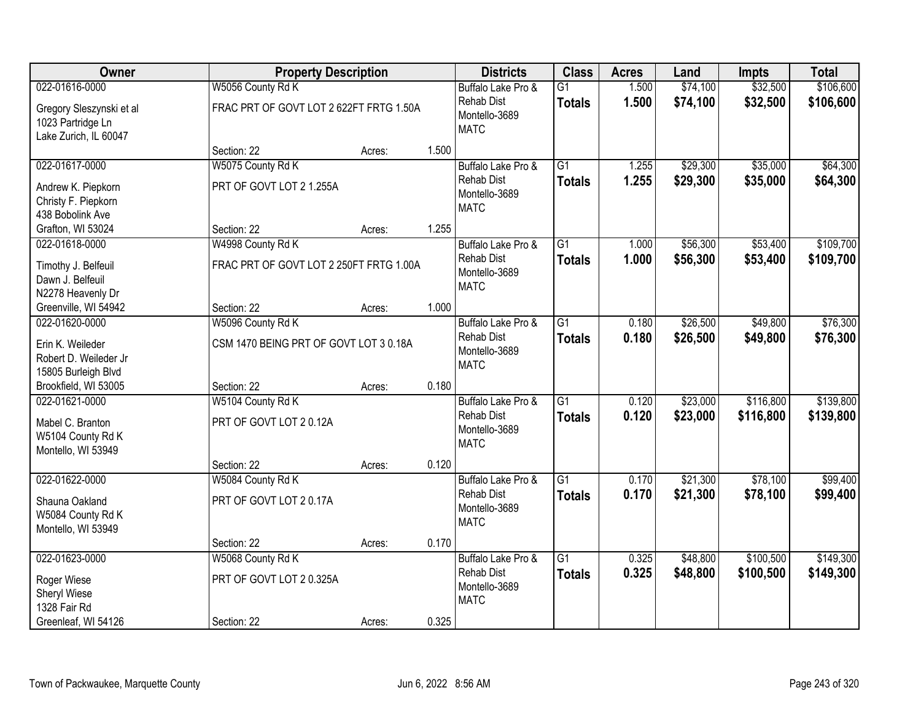| <b>Owner</b>                                                                  |                                             | <b>Property Description</b> |       | <b>Districts</b>                                                        | <b>Class</b>                     | <b>Acres</b>   | Land                 | <b>Impts</b>           | <b>Total</b>           |
|-------------------------------------------------------------------------------|---------------------------------------------|-----------------------------|-------|-------------------------------------------------------------------------|----------------------------------|----------------|----------------------|------------------------|------------------------|
| 022-01616-0000                                                                | W5056 County Rd K                           |                             |       | Buffalo Lake Pro &                                                      | $\overline{G1}$                  | 1.500          | \$74,100             | \$32,500               | \$106,600              |
| Gregory Sleszynski et al<br>1023 Partridge Ln<br>Lake Zurich, IL 60047        | FRAC PRT OF GOVT LOT 2 622FT FRTG 1.50A     |                             |       | <b>Rehab Dist</b><br>Montello-3689<br><b>MATC</b>                       | <b>Totals</b>                    | 1.500          | \$74,100             | \$32,500               | \$106,600              |
|                                                                               | Section: 22                                 | Acres:                      | 1.500 |                                                                         |                                  |                |                      |                        |                        |
| 022-01617-0000                                                                | W5075 County Rd K                           |                             |       | Buffalo Lake Pro &                                                      | $\overline{G1}$                  | 1.255          | \$29,300             | \$35,000               | \$64,300               |
| Andrew K. Piepkorn<br>Christy F. Piepkorn<br>438 Bobolink Ave                 | PRT OF GOVT LOT 2 1.255A                    |                             |       | <b>Rehab Dist</b><br>Montello-3689<br><b>MATC</b>                       | <b>Totals</b>                    | 1.255          | \$29,300             | \$35,000               | \$64,300               |
| Grafton, WI 53024                                                             | Section: 22                                 | Acres:                      | 1.255 |                                                                         |                                  |                |                      |                        |                        |
| 022-01618-0000                                                                | W4998 County Rd K                           |                             |       | Buffalo Lake Pro &                                                      | $\overline{G1}$                  | 1.000          | \$56,300             | \$53,400               | \$109,700              |
| Timothy J. Belfeuil<br>Dawn J. Belfeuil<br>N2278 Heavenly Dr                  | FRAC PRT OF GOVT LOT 2 250FT FRTG 1.00A     |                             |       | <b>Rehab Dist</b><br>Montello-3689<br><b>MATC</b>                       | <b>Totals</b>                    | 1.000          | \$56,300             | \$53,400               | \$109,700              |
| Greenville, WI 54942                                                          | Section: 22                                 | Acres:                      | 1.000 |                                                                         |                                  |                |                      |                        |                        |
| 022-01620-0000                                                                | W5096 County Rd K                           |                             |       | Buffalo Lake Pro &                                                      | $\overline{G1}$                  | 0.180          | \$26,500             | \$49,800               | \$76,300               |
| Erin K. Weileder<br>Robert D. Weileder Jr<br>15805 Burleigh Blvd              | CSM 1470 BEING PRT OF GOVT LOT 3 0.18A      |                             |       | <b>Rehab Dist</b><br>Montello-3689<br><b>MATC</b>                       | <b>Totals</b>                    | 0.180          | \$26,500             | \$49,800               | \$76,300               |
| Brookfield, WI 53005                                                          | Section: 22                                 | Acres:                      | 0.180 |                                                                         |                                  |                |                      |                        |                        |
| 022-01621-0000<br>Mabel C. Branton<br>W5104 County Rd K<br>Montello, WI 53949 | W5104 County Rd K<br>PRT OF GOVT LOT 20.12A |                             |       | Buffalo Lake Pro &<br><b>Rehab Dist</b><br>Montello-3689<br><b>MATC</b> | $\overline{G1}$<br><b>Totals</b> | 0.120<br>0.120 | \$23,000<br>\$23,000 | \$116,800<br>\$116,800 | \$139,800<br>\$139,800 |
|                                                                               | Section: 22                                 | Acres:                      | 0.120 |                                                                         |                                  |                |                      |                        |                        |
| 022-01622-0000                                                                | W5084 County Rd K                           |                             |       | Buffalo Lake Pro &                                                      | $\overline{G1}$                  | 0.170          | \$21,300             | \$78,100               | \$99,400               |
| Shauna Oakland<br>W5084 County Rd K<br>Montello, WI 53949                     | PRT OF GOVT LOT 20.17A                      |                             |       | <b>Rehab Dist</b><br>Montello-3689<br><b>MATC</b>                       | <b>Totals</b>                    | 0.170          | \$21,300             | \$78,100               | \$99,400               |
|                                                                               | Section: 22                                 | Acres:                      | 0.170 |                                                                         |                                  |                |                      |                        |                        |
| 022-01623-0000                                                                | W5068 County Rd K                           |                             |       | Buffalo Lake Pro &                                                      | $\overline{G1}$                  | 0.325          | \$48,800             | \$100,500              | \$149,300              |
| Roger Wiese<br>Sheryl Wiese<br>1328 Fair Rd                                   | PRT OF GOVT LOT 20.325A                     |                             |       | <b>Rehab Dist</b><br>Montello-3689<br><b>MATC</b>                       | <b>Totals</b>                    | 0.325          | \$48,800             | \$100,500              | \$149,300              |
| Greenleaf, WI 54126                                                           | Section: 22                                 | Acres:                      | 0.325 |                                                                         |                                  |                |                      |                        |                        |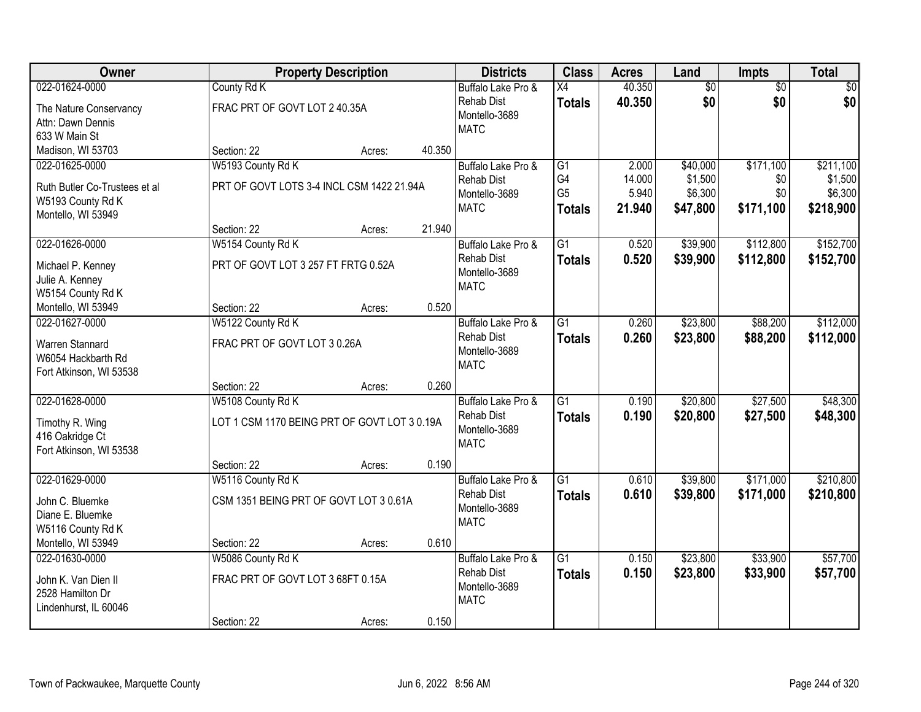| <b>Class</b><br>Owner<br><b>Property Description</b><br><b>Districts</b><br>Land<br><b>Acres</b><br><b>Impts</b>                  | <b>Total</b>                   |
|-----------------------------------------------------------------------------------------------------------------------------------|--------------------------------|
| $\overline{50}$<br>022-01624-0000<br>County Rd K<br>40.350<br>Buffalo Lake Pro &<br>X4                                            | $\sqrt{50}$<br>$\overline{50}$ |
| \$0<br><b>Rehab Dist</b><br>40.350<br><b>Totals</b><br>FRAC PRT OF GOVT LOT 2 40.35A<br>The Nature Conservancy                    | \$0<br>\$0                     |
| Montello-3689<br>Attn: Dawn Dennis                                                                                                |                                |
| <b>MATC</b><br>633 W Main St                                                                                                      |                                |
| 40.350<br>Madison, WI 53703<br>Section: 22<br>Acres:                                                                              |                                |
| W5193 County Rd K<br>\$171,100<br>022-01625-0000<br>Buffalo Lake Pro &<br>$\overline{G1}$<br>2.000<br>\$40,000                    | \$211,100                      |
| G4<br>14.000<br>\$1,500<br><b>Rehab Dist</b><br>PRT OF GOVT LOTS 3-4 INCL CSM 1422 21.94A<br>Ruth Butler Co-Trustees et al        | \$0<br>\$1,500                 |
| G <sub>5</sub><br>5.940<br>\$6,300<br>Montello-3689<br>W5193 County Rd K                                                          | \$0<br>\$6,300                 |
| <b>MATC</b><br>21.940<br>\$47,800<br>\$171,100<br><b>Totals</b><br>Montello, WI 53949                                             | \$218,900                      |
| 21.940<br>Section: 22<br>Acres:                                                                                                   |                                |
| \$39,900<br>\$112,800<br>022-01626-0000<br>W5154 County Rd K<br>G1<br>0.520<br>Buffalo Lake Pro &                                 | \$152,700                      |
| <b>Rehab Dist</b><br>0.520<br>\$39,900<br>\$112,800<br><b>Totals</b><br>PRT OF GOVT LOT 3 257 FT FRTG 0.52A                       | \$152,700                      |
| Michael P. Kenney<br>Montello-3689                                                                                                |                                |
| Julie A. Kenney<br><b>MATC</b><br>W5154 County Rd K                                                                               |                                |
| 0.520<br>Montello, WI 53949<br>Section: 22<br>Acres:                                                                              |                                |
| \$23,800<br>\$88,200<br>022-01627-0000<br>W5122 County Rd K<br>Buffalo Lake Pro &<br>G1<br>0.260                                  | \$112,000                      |
| <b>Rehab Dist</b><br>0.260<br>\$23,800<br>\$88,200<br><b>Totals</b>                                                               | \$112,000                      |
| FRAC PRT OF GOVT LOT 30.26A<br>Warren Stannard<br>Montello-3689                                                                   |                                |
| W6054 Hackbarth Rd<br><b>MATC</b>                                                                                                 |                                |
| Fort Atkinson, WI 53538                                                                                                           |                                |
| 0.260<br>Section: 22<br>Acres:                                                                                                    |                                |
| \$27,500<br>022-01628-0000<br>W5108 County Rd K<br>$\overline{G1}$<br>0.190<br>\$20,800<br>Buffalo Lake Pro &                     | \$48,300                       |
| <b>Rehab Dist</b><br>0.190<br>\$20,800<br>\$27,500<br>Totals<br>LOT 1 CSM 1170 BEING PRT OF GOVT LOT 3 0.19A<br>Timothy R. Wing   | \$48,300                       |
| Montello-3689<br>416 Oakridge Ct                                                                                                  |                                |
| <b>MATC</b><br>Fort Atkinson, WI 53538                                                                                            |                                |
| 0.190<br>Section: 22<br>Acres:                                                                                                    |                                |
| 022-01629-0000<br>$\overline{G1}$<br>\$171,000<br>W5116 County Rd K<br>Buffalo Lake Pro &<br>0.610<br>\$39,800                    | \$210,800                      |
| <b>Rehab Dist</b><br>0.610<br>\$39,800<br>\$171,000<br><b>Totals</b><br>CSM 1351 BEING PRT OF GOVT LOT 3 0.61A<br>John C. Bluemke | \$210,800                      |
| Montello-3689<br>Diane E. Bluemke                                                                                                 |                                |
| <b>MATC</b><br>W5116 County Rd K                                                                                                  |                                |
| Montello, WI 53949<br>0.610<br>Section: 22<br>Acres:                                                                              |                                |
| 022-01630-0000<br>W5086 County Rd K<br>$\overline{G1}$<br>0.150<br>\$23,800<br>\$33,900<br>Buffalo Lake Pro &                     | \$57,700                       |
| <b>Rehab Dist</b><br>0.150<br>\$23,800<br>\$33,900<br><b>Totals</b><br>FRAC PRT OF GOVT LOT 3 68FT 0.15A                          | \$57,700                       |
| John K. Van Dien II<br>Montello-3689<br>2528 Hamilton Dr                                                                          |                                |
| <b>MATC</b><br>Lindenhurst, IL 60046                                                                                              |                                |
| 0.150<br>Section: 22<br>Acres:                                                                                                    |                                |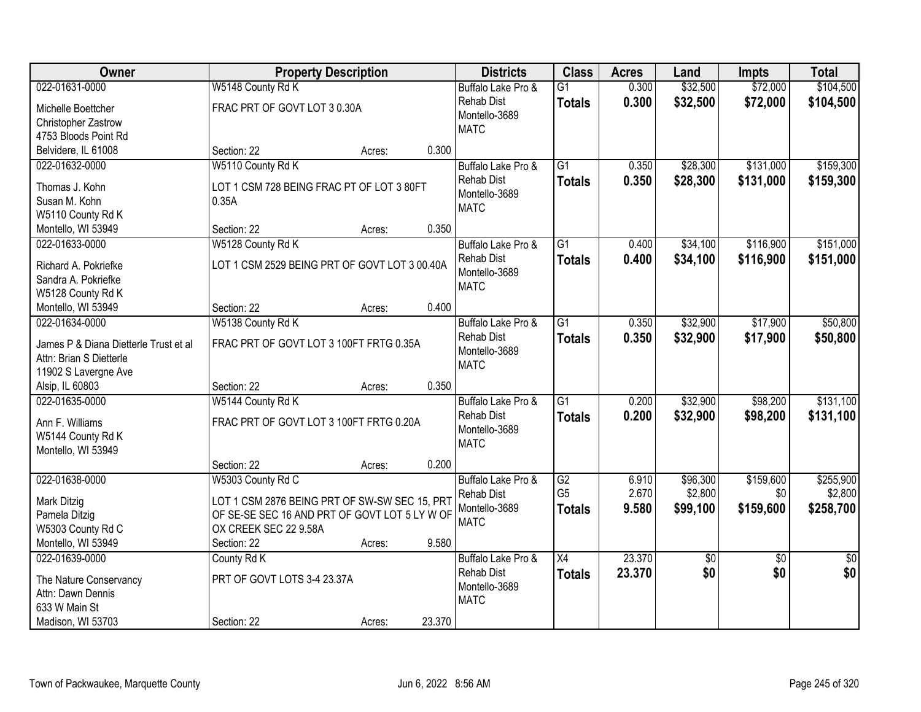| \$32,500<br>\$72,000<br>022-01631-0000<br>W5148 County Rd K<br>$\overline{G1}$<br>0.300<br>Buffalo Lake Pro &                                                  | \$104,500 |
|----------------------------------------------------------------------------------------------------------------------------------------------------------------|-----------|
|                                                                                                                                                                |           |
| 0.300<br><b>Rehab Dist</b><br>\$32,500<br>\$72,000<br><b>Totals</b><br>FRAC PRT OF GOVT LOT 3 0.30A<br>Michelle Boettcher                                      | \$104,500 |
| Montello-3689<br>Christopher Zastrow                                                                                                                           |           |
| <b>MATC</b><br>4753 Bloods Point Rd                                                                                                                            |           |
| 0.300<br>Belvidere, IL 61008<br>Section: 22<br>Acres:                                                                                                          |           |
| \$28,300<br>\$131,000<br>W5110 County Rd K<br>$\overline{G1}$<br>0.350<br>022-01632-0000<br>Buffalo Lake Pro &                                                 | \$159,300 |
| 0.350<br>\$28,300<br>\$131,000<br><b>Rehab Dist</b><br><b>Totals</b>                                                                                           | \$159,300 |
| Thomas J. Kohn<br>LOT 1 CSM 728 BEING FRAC PT OF LOT 3 80FT<br>Montello-3689                                                                                   |           |
| Susan M. Kohn<br>0.35A<br><b>MATC</b>                                                                                                                          |           |
| W5110 County Rd K<br>0.350                                                                                                                                     |           |
| Section: 22<br>Montello, WI 53949<br>Acres:                                                                                                                    |           |
| \$116,900<br>022-01633-0000<br>W5128 County Rd K<br>$\overline{G1}$<br>0.400<br>\$34,100<br>Buffalo Lake Pro &                                                 | \$151,000 |
| \$34,100<br>\$116,900<br><b>Rehab Dist</b><br>0.400<br><b>Totals</b><br>LOT 1 CSM 2529 BEING PRT OF GOVT LOT 3 00.40A<br>Richard A. Pokriefke<br>Montello-3689 | \$151,000 |
| Sandra A. Pokriefke<br><b>MATC</b>                                                                                                                             |           |
| W5128 County Rd K                                                                                                                                              |           |
| 0.400<br>Section: 22<br>Montello, WI 53949<br>Acres:                                                                                                           |           |
| $\overline{G1}$<br>\$32,900<br>\$17,900<br>022-01634-0000<br>W5138 County Rd K<br>Buffalo Lake Pro &<br>0.350                                                  | \$50,800  |
| 0.350<br><b>Rehab Dist</b><br>\$32,900<br>\$17,900<br><b>Totals</b><br>James P & Diana Dietterle Trust et al<br>FRAC PRT OF GOVT LOT 3 100FT FRTG 0.35A        | \$50,800  |
| Montello-3689<br>Attn: Brian S Dietterle                                                                                                                       |           |
| <b>MATC</b><br>11902 S Lavergne Ave                                                                                                                            |           |
| 0.350<br>Alsip, IL 60803<br>Section: 22<br>Acres:                                                                                                              |           |
| $\overline{G1}$<br>\$32,900<br>\$98,200<br>022-01635-0000<br>W5144 County Rd K<br>0.200<br>Buffalo Lake Pro &                                                  | \$131,100 |
| <b>Rehab Dist</b><br>0.200<br>\$32,900<br>\$98,200<br><b>Totals</b>                                                                                            | \$131,100 |
| Ann F. Williams<br>FRAC PRT OF GOVT LOT 3 100FT FRTG 0.20A<br>Montello-3689                                                                                    |           |
| W5144 County Rd K<br><b>MATC</b>                                                                                                                               |           |
| Montello, WI 53949                                                                                                                                             |           |
| 0.200<br>Section: 22<br>Acres:                                                                                                                                 |           |
| $\overline{G2}$<br>\$159,600<br>022-01638-0000<br>W5303 County Rd C<br>Buffalo Lake Pro &<br>6.910<br>\$96,300                                                 | \$255,900 |
| G <sub>5</sub><br>2.670<br>\$2,800<br>\$0<br><b>Rehab Dist</b><br>LOT 1 CSM 2876 BEING PRT OF SW-SW SEC 15, PRT<br>Mark Ditzig                                 | \$2,800   |
| Montello-3689<br>9.580<br>\$99,100<br>\$159,600<br><b>Totals</b><br>OF SE-SE SEC 16 AND PRT OF GOVT LOT 5 LY W OF<br>Pamela Ditzig                             | \$258,700 |
| <b>MATC</b><br>OX CREEK SEC 22 9.58A<br>W5303 County Rd C                                                                                                      |           |
| Montello, WI 53949<br>9.580<br>Section: 22<br>Acres:                                                                                                           |           |
| 23.370<br>022-01639-0000<br>$\overline{X4}$<br>County Rd K<br>Buffalo Lake Pro &<br>\$0<br>$\overline{50}$                                                     | \$0       |
| \$0<br>23.370<br>\$0<br><b>Rehab Dist</b><br><b>Totals</b><br>PRT OF GOVT LOTS 3-4 23.37A<br>The Nature Conservancy                                            | \$0       |
| Montello-3689<br>Attn: Dawn Dennis                                                                                                                             |           |
| <b>MATC</b><br>633 W Main St                                                                                                                                   |           |
| 23.370<br>Madison, WI 53703<br>Section: 22<br>Acres:                                                                                                           |           |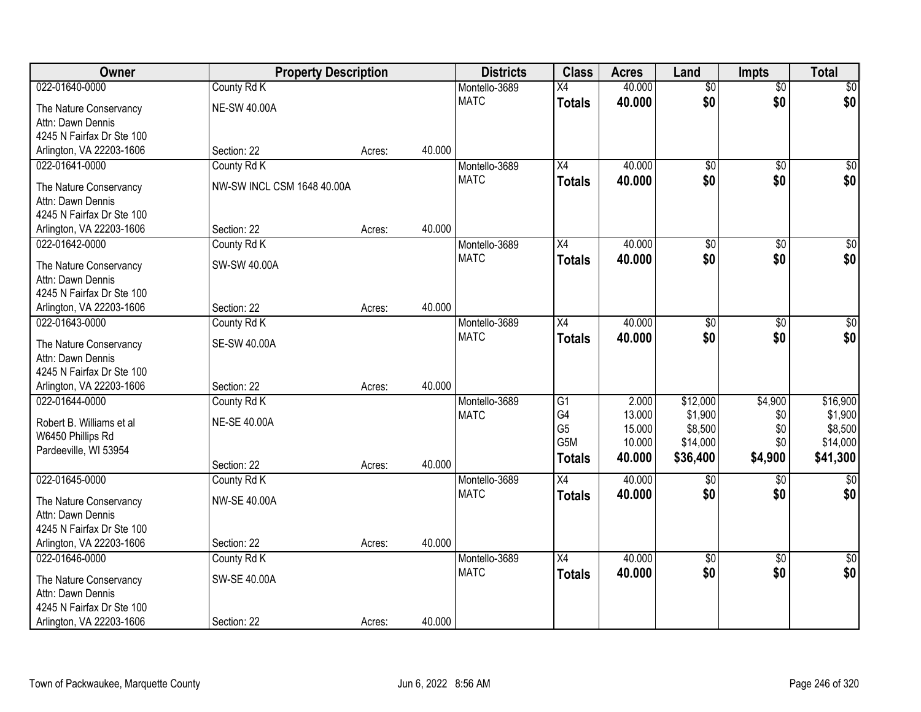| Owner                                          | <b>Property Description</b> |        |        | <b>Districts</b>             | <b>Class</b>    | <b>Acres</b> | Land            | <b>Impts</b>    | <b>Total</b>       |
|------------------------------------------------|-----------------------------|--------|--------|------------------------------|-----------------|--------------|-----------------|-----------------|--------------------|
| 022-01640-0000                                 | County Rd K                 |        |        | Montello-3689                | $\overline{X4}$ | 40.000       | $\overline{50}$ | $\overline{30}$ | \$0                |
| The Nature Conservancy                         | <b>NE-SW 40.00A</b>         |        |        | <b>MATC</b>                  | <b>Totals</b>   | 40.000       | \$0             | \$0             | \$0                |
| Attn: Dawn Dennis                              |                             |        |        |                              |                 |              |                 |                 |                    |
| 4245 N Fairfax Dr Ste 100                      |                             |        |        |                              |                 |              |                 |                 |                    |
| Arlington, VA 22203-1606                       | Section: 22                 | Acres: | 40.000 |                              |                 |              |                 |                 |                    |
| 022-01641-0000                                 | County Rd K                 |        |        | Montello-3689                | $\overline{X4}$ | 40.000       | $\overline{50}$ | $\overline{50}$ | \$0                |
| The Nature Conservancy                         | NW-SW INCL CSM 1648 40.00A  |        |        | <b>MATC</b>                  | <b>Totals</b>   | 40.000       | \$0             | \$0             | \$0                |
| Attn: Dawn Dennis                              |                             |        |        |                              |                 |              |                 |                 |                    |
| 4245 N Fairfax Dr Ste 100                      |                             |        |        |                              |                 |              |                 |                 |                    |
| Arlington, VA 22203-1606                       | Section: 22                 | Acres: | 40.000 |                              |                 |              |                 |                 |                    |
| 022-01642-0000                                 | County Rd K                 |        |        | Montello-3689                | X4              | 40.000       | $\overline{50}$ | $\overline{50}$ | $\overline{\$0}$   |
| The Nature Conservancy                         | SW-SW 40.00A                |        |        | <b>MATC</b>                  | <b>Totals</b>   | 40.000       | \$0             | \$0             | \$0                |
| Attn: Dawn Dennis                              |                             |        |        |                              |                 |              |                 |                 |                    |
| 4245 N Fairfax Dr Ste 100                      |                             |        |        |                              |                 |              |                 |                 |                    |
| Arlington, VA 22203-1606                       | Section: 22                 | Acres: | 40.000 |                              |                 |              |                 |                 |                    |
| 022-01643-0000                                 | County Rd K                 |        |        | Montello-3689                | X4              | 40.000       | \$0             | \$0             | $\sqrt{50}$        |
|                                                |                             |        |        | <b>MATC</b>                  | <b>Totals</b>   | 40.000       | \$0             | \$0             | \$0                |
| The Nature Conservancy                         | <b>SE-SW 40.00A</b>         |        |        |                              |                 |              |                 |                 |                    |
| Attn: Dawn Dennis<br>4245 N Fairfax Dr Ste 100 |                             |        |        |                              |                 |              |                 |                 |                    |
| Arlington, VA 22203-1606                       | Section: 22                 | Acres: | 40.000 |                              |                 |              |                 |                 |                    |
| 022-01644-0000                                 | County Rd K                 |        |        | Montello-3689                | $\overline{G1}$ | 2.000        | \$12,000        | \$4,900         | \$16,900           |
|                                                |                             |        |        | <b>MATC</b>                  | G4              | 13.000       | \$1,900         | \$0             | \$1,900            |
| Robert B. Williams et al                       | <b>NE-SE 40.00A</b>         |        |        |                              | G <sub>5</sub>  | 15.000       | \$8,500         | \$0             | \$8,500            |
| W6450 Phillips Rd                              |                             |        |        |                              | G5M             | 10.000       | \$14,000        | \$0             | \$14,000           |
| Pardeeville, WI 53954                          |                             |        |        |                              | <b>Totals</b>   | 40.000       | \$36,400        | \$4,900         | \$41,300           |
|                                                | Section: 22                 | Acres: | 40.000 |                              |                 |              |                 |                 |                    |
| 022-01645-0000                                 | County Rd K                 |        |        | Montello-3689<br><b>MATC</b> | $\overline{X4}$ | 40.000       | \$0<br>\$0      | \$0<br>\$0      | $\sqrt{30}$<br>\$0 |
| The Nature Conservancy                         | <b>NW-SE 40.00A</b>         |        |        |                              | <b>Totals</b>   | 40.000       |                 |                 |                    |
| Attn: Dawn Dennis                              |                             |        |        |                              |                 |              |                 |                 |                    |
| 4245 N Fairfax Dr Ste 100                      |                             |        |        |                              |                 |              |                 |                 |                    |
| Arlington, VA 22203-1606                       | Section: 22                 | Acres: | 40.000 |                              |                 |              |                 |                 |                    |
| 022-01646-0000                                 | County Rd K                 |        |        | Montello-3689                | X4              | 40.000       | $\overline{50}$ | $\overline{50}$ | $\overline{30}$    |
| The Nature Conservancy                         | SW-SE 40.00A                |        |        | <b>MATC</b>                  | <b>Totals</b>   | 40.000       | \$0             | \$0             | \$0                |
| Attn: Dawn Dennis                              |                             |        |        |                              |                 |              |                 |                 |                    |
| 4245 N Fairfax Dr Ste 100                      |                             |        |        |                              |                 |              |                 |                 |                    |
| Arlington, VA 22203-1606                       | Section: 22                 | Acres: | 40.000 |                              |                 |              |                 |                 |                    |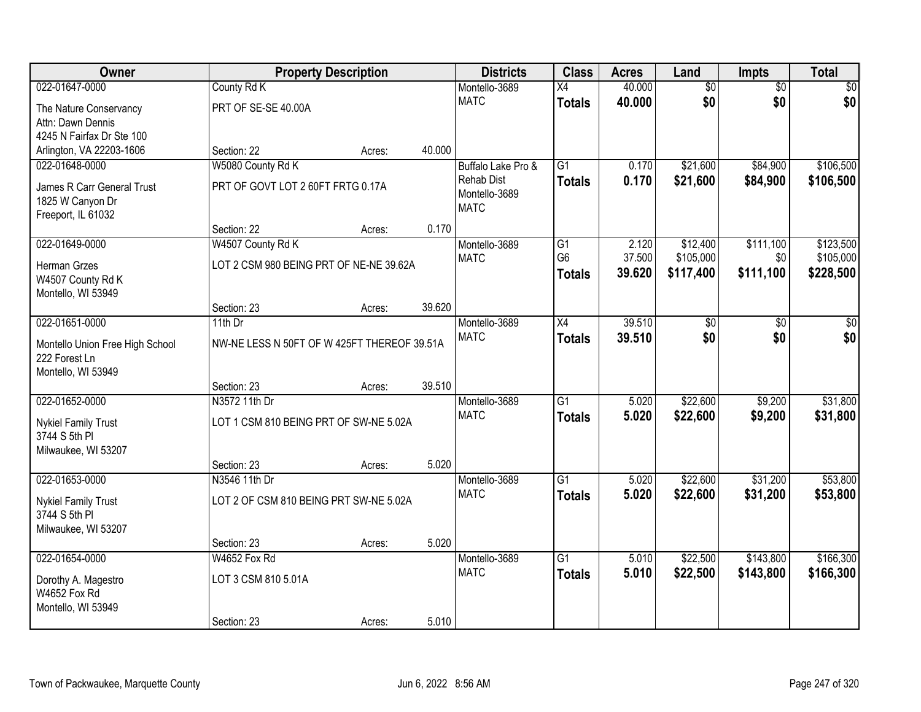| Owner                                       |                                             | <b>Property Description</b> |        | <b>Districts</b>   | <b>Class</b>    | <b>Acres</b> | Land            | Impts           | <b>Total</b> |
|---------------------------------------------|---------------------------------------------|-----------------------------|--------|--------------------|-----------------|--------------|-----------------|-----------------|--------------|
| 022-01647-0000                              | County Rd K                                 |                             |        | Montello-3689      | $\overline{X4}$ | 40.000       | $\overline{60}$ | $\overline{50}$ | \$0          |
| The Nature Conservancy                      | PRT OF SE-SE 40.00A                         |                             |        | <b>MATC</b>        | <b>Totals</b>   | 40.000       | \$0             | \$0             | \$0          |
| Attn: Dawn Dennis                           |                                             |                             |        |                    |                 |              |                 |                 |              |
| 4245 N Fairfax Dr Ste 100                   |                                             |                             |        |                    |                 |              |                 |                 |              |
| Arlington, VA 22203-1606                    | Section: 22                                 | Acres:                      | 40.000 |                    |                 |              |                 |                 |              |
| 022-01648-0000                              | W5080 County Rd K                           |                             |        | Buffalo Lake Pro & | $\overline{G1}$ | 0.170        | \$21,600        | \$84,900        | \$106,500    |
| James R Carr General Trust                  | PRT OF GOVT LOT 2 60FT FRTG 0.17A           |                             |        | <b>Rehab Dist</b>  | <b>Totals</b>   | 0.170        | \$21,600        | \$84,900        | \$106,500    |
| 1825 W Canyon Dr                            |                                             |                             |        | Montello-3689      |                 |              |                 |                 |              |
| Freeport, IL 61032                          |                                             |                             |        | <b>MATC</b>        |                 |              |                 |                 |              |
|                                             | Section: 22                                 | Acres:                      | 0.170  |                    |                 |              |                 |                 |              |
| 022-01649-0000                              | W4507 County Rd K                           |                             |        | Montello-3689      | G1              | 2.120        | \$12,400        | \$111,100       | \$123,500    |
| Herman Grzes                                | LOT 2 CSM 980 BEING PRT OF NE-NE 39.62A     |                             |        | <b>MATC</b>        | G <sub>6</sub>  | 37.500       | \$105,000       | \$0             | \$105,000    |
| W4507 County Rd K                           |                                             |                             |        |                    | <b>Totals</b>   | 39.620       | \$117,400       | \$111,100       | \$228,500    |
| Montello, WI 53949                          |                                             |                             |        |                    |                 |              |                 |                 |              |
|                                             | Section: 23                                 | Acres:                      | 39.620 |                    |                 |              |                 |                 |              |
| 022-01651-0000                              | 11th Dr                                     |                             |        | Montello-3689      | $\overline{X4}$ | 39.510       | \$0             | \$0             | \$0          |
| Montello Union Free High School             | NW-NE LESS N 50FT OF W 425FT THEREOF 39.51A |                             |        | <b>MATC</b>        | <b>Totals</b>   | 39.510       | \$0             | \$0             | \$0          |
| 222 Forest Ln                               |                                             |                             |        |                    |                 |              |                 |                 |              |
| Montello, WI 53949                          |                                             |                             |        |                    |                 |              |                 |                 |              |
|                                             | Section: 23                                 | Acres:                      | 39.510 |                    |                 |              |                 |                 |              |
| 022-01652-0000                              | N3572 11th Dr                               |                             |        | Montello-3689      | $\overline{G1}$ | 5.020        | \$22,600        | \$9,200         | \$31,800     |
| <b>Nykiel Family Trust</b>                  | LOT 1 CSM 810 BEING PRT OF SW-NE 5.02A      |                             |        | <b>MATC</b>        | <b>Totals</b>   | 5.020        | \$22,600        | \$9,200         | \$31,800     |
| 3744 S 5th PI                               |                                             |                             |        |                    |                 |              |                 |                 |              |
| Milwaukee, WI 53207                         |                                             |                             |        |                    |                 |              |                 |                 |              |
|                                             | Section: 23                                 | Acres:                      | 5.020  |                    |                 |              |                 |                 |              |
| 022-01653-0000                              | N3546 11th Dr                               |                             |        | Montello-3689      | $\overline{G1}$ | 5.020        | \$22,600        | \$31,200        | \$53,800     |
|                                             | LOT 2 OF CSM 810 BEING PRT SW-NE 5.02A      |                             |        | <b>MATC</b>        | <b>Totals</b>   | 5.020        | \$22,600        | \$31,200        | \$53,800     |
| <b>Nykiel Family Trust</b><br>3744 S 5th PI |                                             |                             |        |                    |                 |              |                 |                 |              |
| Milwaukee, WI 53207                         |                                             |                             |        |                    |                 |              |                 |                 |              |
|                                             | Section: 23                                 | Acres:                      | 5.020  |                    |                 |              |                 |                 |              |
| 022-01654-0000                              | W4652 Fox Rd                                |                             |        | Montello-3689      | $\overline{G1}$ | 5.010        | \$22,500        | \$143,800       | \$166,300    |
|                                             | LOT 3 CSM 810 5.01A                         |                             |        | <b>MATC</b>        | <b>Totals</b>   | 5.010        | \$22,500        | \$143,800       | \$166,300    |
| Dorothy A. Magestro<br>W4652 Fox Rd         |                                             |                             |        |                    |                 |              |                 |                 |              |
| Montello, WI 53949                          |                                             |                             |        |                    |                 |              |                 |                 |              |
|                                             | Section: 23                                 | Acres:                      | 5.010  |                    |                 |              |                 |                 |              |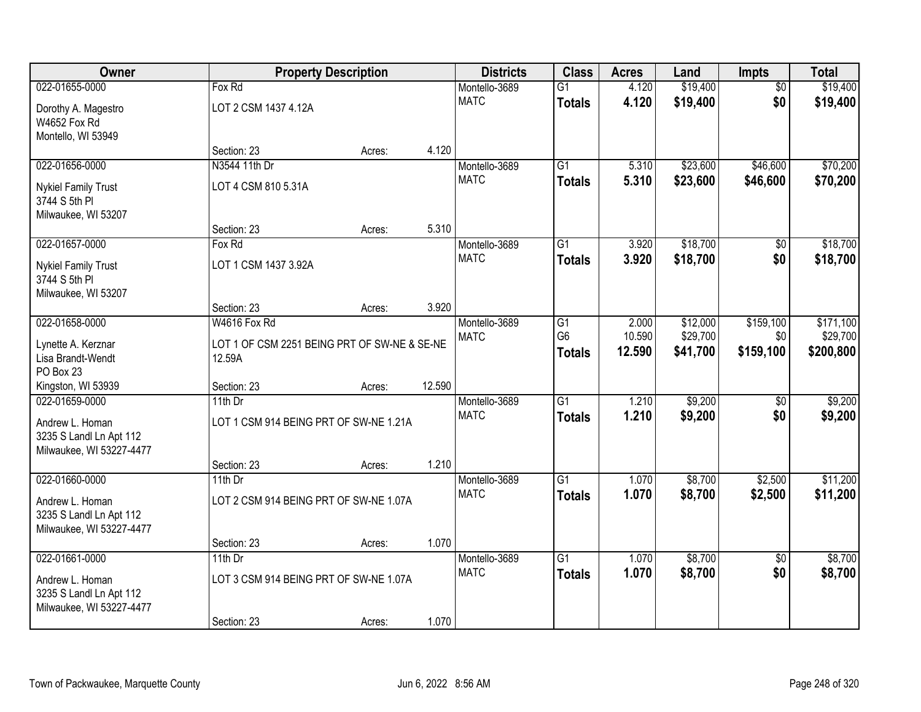| Owner                                      |                                              | <b>Property Description</b> |        | <b>Districts</b>             | <b>Class</b>    | <b>Acres</b> | Land     | Impts           | <b>Total</b> |
|--------------------------------------------|----------------------------------------------|-----------------------------|--------|------------------------------|-----------------|--------------|----------|-----------------|--------------|
| 022-01655-0000                             | Fox Rd                                       |                             |        | Montello-3689                | $\overline{G1}$ | 4.120        | \$19,400 | $\overline{50}$ | \$19,400     |
| Dorothy A. Magestro                        | LOT 2 CSM 1437 4.12A                         |                             |        | <b>MATC</b>                  | <b>Totals</b>   | 4.120        | \$19,400 | \$0             | \$19,400     |
| W4652 Fox Rd                               |                                              |                             |        |                              |                 |              |          |                 |              |
| Montello, WI 53949                         |                                              |                             |        |                              |                 |              |          |                 |              |
|                                            | Section: 23                                  | Acres:                      | 4.120  |                              |                 |              |          |                 |              |
| 022-01656-0000                             | N3544 11th Dr                                |                             |        | Montello-3689                | $\overline{G1}$ | 5.310        | \$23,600 | \$46,600        | \$70,200     |
| <b>Nykiel Family Trust</b>                 | LOT 4 CSM 810 5.31A                          |                             |        | <b>MATC</b>                  | <b>Totals</b>   | 5.310        | \$23,600 | \$46,600        | \$70,200     |
| 3744 S 5th PI                              |                                              |                             |        |                              |                 |              |          |                 |              |
| Milwaukee, WI 53207                        |                                              |                             |        |                              |                 |              |          |                 |              |
|                                            | Section: 23                                  | Acres:                      | 5.310  |                              |                 |              |          |                 |              |
| 022-01657-0000                             | Fox Rd                                       |                             |        | Montello-3689<br><b>MATC</b> | G1              | 3.920        | \$18,700 | \$0             | \$18,700     |
| <b>Nykiel Family Trust</b>                 | LOT 1 CSM 1437 3.92A                         |                             |        |                              | <b>Totals</b>   | 3.920        | \$18,700 | \$0             | \$18,700     |
| 3744 S 5th PI                              |                                              |                             |        |                              |                 |              |          |                 |              |
| Milwaukee, WI 53207                        | Section: 23                                  |                             | 3.920  |                              |                 |              |          |                 |              |
| 022-01658-0000                             | W4616 Fox Rd                                 | Acres:                      |        | Montello-3689                | G1              | 2.000        | \$12,000 | \$159,100       | \$171,100    |
|                                            |                                              |                             |        | <b>MATC</b>                  | G <sub>6</sub>  | 10.590       | \$29,700 | \$0             | \$29,700     |
| Lynette A. Kerznar                         | LOT 1 OF CSM 2251 BEING PRT OF SW-NE & SE-NE |                             |        |                              | <b>Totals</b>   | 12.590       | \$41,700 | \$159,100       | \$200,800    |
| Lisa Brandt-Wendt<br>PO Box 23             | 12.59A                                       |                             |        |                              |                 |              |          |                 |              |
| Kingston, WI 53939                         | Section: 23                                  | Acres:                      | 12.590 |                              |                 |              |          |                 |              |
| 022-01659-0000                             | $11th$ Dr                                    |                             |        | Montello-3689                | $\overline{G1}$ | 1.210        | \$9,200  | $\overline{50}$ | \$9,200      |
|                                            |                                              |                             |        | <b>MATC</b>                  | <b>Totals</b>   | 1.210        | \$9,200  | \$0             | \$9,200      |
| Andrew L. Homan<br>3235 S Landl Ln Apt 112 | LOT 1 CSM 914 BEING PRT OF SW-NE 1.21A       |                             |        |                              |                 |              |          |                 |              |
| Milwaukee, WI 53227-4477                   |                                              |                             |        |                              |                 |              |          |                 |              |
|                                            | Section: 23                                  | Acres:                      | 1.210  |                              |                 |              |          |                 |              |
| 022-01660-0000                             | 11th $Dr$                                    |                             |        | Montello-3689                | $\overline{G1}$ | 1.070        | \$8,700  | \$2,500         | \$11,200     |
| Andrew L. Homan                            | LOT 2 CSM 914 BEING PRT OF SW-NE 1.07A       |                             |        | <b>MATC</b>                  | <b>Totals</b>   | 1.070        | \$8,700  | \$2,500         | \$11,200     |
| 3235 S Landl Ln Apt 112                    |                                              |                             |        |                              |                 |              |          |                 |              |
| Milwaukee, WI 53227-4477                   |                                              |                             |        |                              |                 |              |          |                 |              |
|                                            | Section: 23                                  | Acres:                      | 1.070  |                              |                 |              |          |                 |              |
| 022-01661-0000                             | 11th Dr                                      |                             |        | Montello-3689                | $\overline{G1}$ | 1.070        | \$8,700  | $\overline{50}$ | \$8,700      |
| Andrew L. Homan                            | LOT 3 CSM 914 BEING PRT OF SW-NE 1.07A       |                             |        | <b>MATC</b>                  | <b>Totals</b>   | 1.070        | \$8,700  | \$0             | \$8,700      |
| 3235 S Landl Ln Apt 112                    |                                              |                             |        |                              |                 |              |          |                 |              |
| Milwaukee, WI 53227-4477                   |                                              |                             |        |                              |                 |              |          |                 |              |
|                                            | Section: 23                                  | Acres:                      | 1.070  |                              |                 |              |          |                 |              |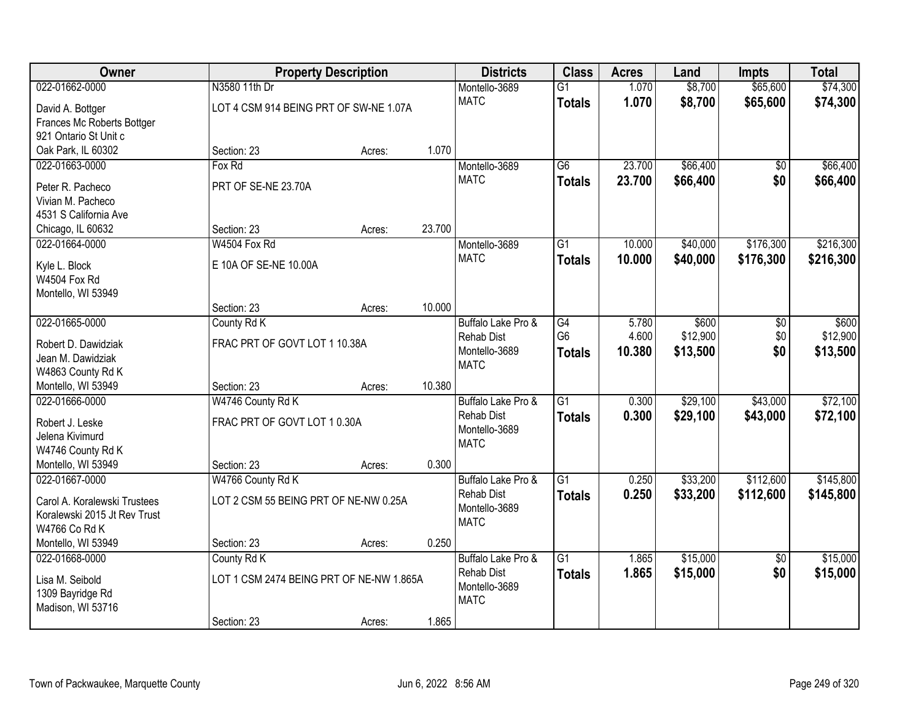| Owner                         |                                          | <b>Property Description</b> |        | <b>Districts</b>                   | <b>Class</b>    | <b>Acres</b> | Land     | <b>Impts</b>    | <b>Total</b> |
|-------------------------------|------------------------------------------|-----------------------------|--------|------------------------------------|-----------------|--------------|----------|-----------------|--------------|
| 022-01662-0000                | N3580 11th Dr                            |                             |        | Montello-3689                      | $\overline{G1}$ | 1.070        | \$8,700  | \$65,600        | \$74,300     |
| David A. Bottger              | LOT 4 CSM 914 BEING PRT OF SW-NE 1.07A   |                             |        | <b>MATC</b>                        | <b>Totals</b>   | 1.070        | \$8,700  | \$65,600        | \$74,300     |
| Frances Mc Roberts Bottger    |                                          |                             |        |                                    |                 |              |          |                 |              |
| 921 Ontario St Unit c         |                                          |                             |        |                                    |                 |              |          |                 |              |
| Oak Park, IL 60302            | Section: 23                              | Acres:                      | 1.070  |                                    |                 |              |          |                 |              |
| 022-01663-0000                | Fox Rd                                   |                             |        | Montello-3689                      | $\overline{G6}$ | 23.700       | \$66,400 | \$0             | \$66,400     |
| Peter R. Pacheco              | PRT OF SE-NE 23.70A                      |                             |        | <b>MATC</b>                        | <b>Totals</b>   | 23.700       | \$66,400 | \$0             | \$66,400     |
| Vivian M. Pacheco             |                                          |                             |        |                                    |                 |              |          |                 |              |
| 4531 S California Ave         |                                          |                             |        |                                    |                 |              |          |                 |              |
| Chicago, IL 60632             | Section: 23                              | Acres:                      | 23.700 |                                    |                 |              |          |                 |              |
| 022-01664-0000                | W4504 Fox Rd                             |                             |        | Montello-3689                      | $\overline{G1}$ | 10.000       | \$40,000 | \$176,300       | \$216,300    |
|                               |                                          |                             |        | <b>MATC</b>                        | <b>Totals</b>   | 10.000       | \$40,000 | \$176,300       | \$216,300    |
| Kyle L. Block<br>W4504 Fox Rd | E 10A OF SE-NE 10.00A                    |                             |        |                                    |                 |              |          |                 |              |
| Montello, WI 53949            |                                          |                             |        |                                    |                 |              |          |                 |              |
|                               | Section: 23                              | Acres:                      | 10.000 |                                    |                 |              |          |                 |              |
| 022-01665-0000                | County Rd K                              |                             |        | Buffalo Lake Pro &                 | $\overline{G4}$ | 5.780        | \$600    | \$0             | \$600        |
|                               |                                          |                             |        | <b>Rehab Dist</b>                  | G <sub>6</sub>  | 4.600        | \$12,900 | \$0             | \$12,900     |
| Robert D. Dawidziak           | FRAC PRT OF GOVT LOT 1 10.38A            |                             |        | Montello-3689                      | <b>Totals</b>   | 10.380       | \$13,500 | \$0             | \$13,500     |
| Jean M. Dawidziak             |                                          |                             |        | <b>MATC</b>                        |                 |              |          |                 |              |
| W4863 County Rd K             |                                          |                             |        |                                    |                 |              |          |                 |              |
| Montello, WI 53949            | Section: 23                              | Acres:                      | 10.380 |                                    |                 |              |          |                 |              |
| 022-01666-0000                | W4746 County Rd K                        |                             |        | Buffalo Lake Pro &                 | $\overline{G1}$ | 0.300        | \$29,100 | \$43,000        | \$72,100     |
| Robert J. Leske               | FRAC PRT OF GOVT LOT 10.30A              |                             |        | <b>Rehab Dist</b><br>Montello-3689 | <b>Totals</b>   | 0.300        | \$29,100 | \$43,000        | \$72,100     |
| Jelena Kivimurd               |                                          |                             |        | <b>MATC</b>                        |                 |              |          |                 |              |
| W4746 County Rd K             |                                          |                             |        |                                    |                 |              |          |                 |              |
| Montello, WI 53949            | Section: 23                              | Acres:                      | 0.300  |                                    |                 |              |          |                 |              |
| 022-01667-0000                | W4766 County Rd K                        |                             |        | Buffalo Lake Pro &                 | $\overline{G1}$ | 0.250        | \$33,200 | \$112,600       | \$145,800    |
| Carol A. Koralewski Trustees  | LOT 2 CSM 55 BEING PRT OF NE-NW 0.25A    |                             |        | <b>Rehab Dist</b>                  | <b>Totals</b>   | 0.250        | \$33,200 | \$112,600       | \$145,800    |
| Koralewski 2015 Jt Rev Trust  |                                          |                             |        | Montello-3689                      |                 |              |          |                 |              |
| W4766 Co Rd K                 |                                          |                             |        | <b>MATC</b>                        |                 |              |          |                 |              |
| Montello, WI 53949            | Section: 23                              | Acres:                      | 0.250  |                                    |                 |              |          |                 |              |
| 022-01668-0000                | County Rd K                              |                             |        | Buffalo Lake Pro &                 | $\overline{G1}$ | 1.865        | \$15,000 | $\overline{50}$ | \$15,000     |
| Lisa M. Seibold               | LOT 1 CSM 2474 BEING PRT OF NE-NW 1.865A |                             |        | <b>Rehab Dist</b>                  | <b>Totals</b>   | 1.865        | \$15,000 | \$0             | \$15,000     |
| 1309 Bayridge Rd              |                                          |                             |        | Montello-3689                      |                 |              |          |                 |              |
| Madison, WI 53716             |                                          |                             |        | <b>MATC</b>                        |                 |              |          |                 |              |
|                               | Section: 23                              | Acres:                      | 1.865  |                                    |                 |              |          |                 |              |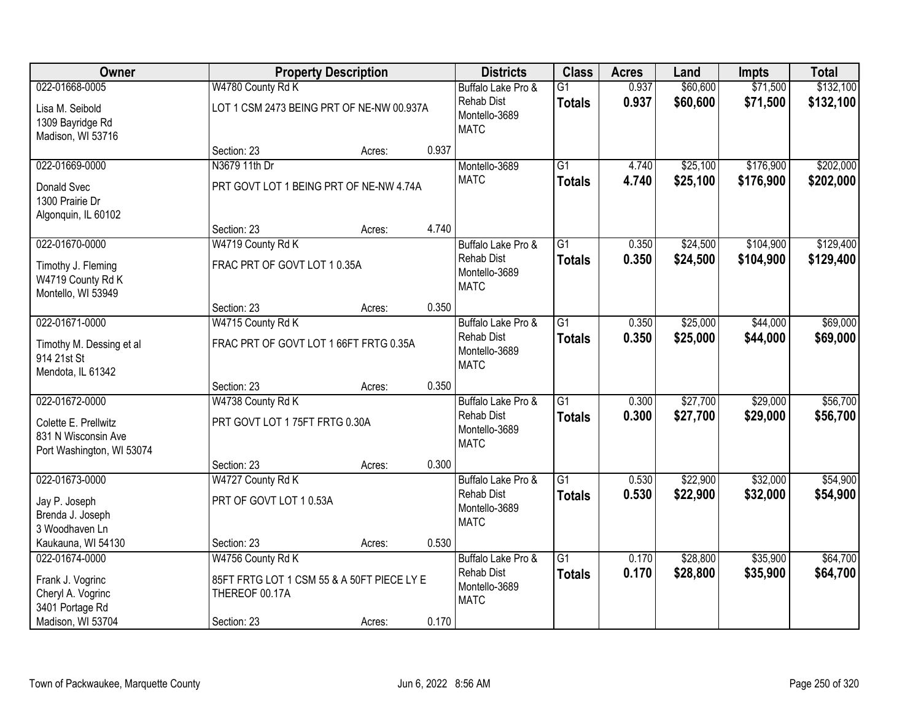| <b>Owner</b>                                                             |                                                              | <b>Property Description</b> |       |                                                   | <b>Class</b>    | <b>Acres</b> | Land     | <b>Impts</b> | <b>Total</b> |
|--------------------------------------------------------------------------|--------------------------------------------------------------|-----------------------------|-------|---------------------------------------------------|-----------------|--------------|----------|--------------|--------------|
| 022-01668-0005                                                           | W4780 County Rd K                                            |                             |       | Buffalo Lake Pro &                                | $\overline{G1}$ | 0.937        | \$60,600 | \$71,500     | \$132,100    |
| Lisa M. Seibold<br>1309 Bayridge Rd<br>Madison, WI 53716                 | LOT 1 CSM 2473 BEING PRT OF NE-NW 00.937A                    |                             |       | <b>Rehab Dist</b><br>Montello-3689<br><b>MATC</b> | <b>Totals</b>   | 0.937        | \$60,600 | \$71,500     | \$132,100    |
|                                                                          | Section: 23                                                  | Acres:                      | 0.937 |                                                   |                 |              |          |              |              |
| 022-01669-0000                                                           | N3679 11th Dr                                                |                             |       | Montello-3689                                     | $\overline{G1}$ | 4.740        | \$25,100 | \$176,900    | \$202,000    |
| Donald Svec<br>1300 Prairie Dr<br>Algonquin, IL 60102                    | PRT GOVT LOT 1 BEING PRT OF NE-NW 4.74A                      |                             |       | <b>MATC</b>                                       | <b>Totals</b>   | 4.740        | \$25,100 | \$176,900    | \$202,000    |
|                                                                          | Section: 23                                                  | Acres:                      | 4.740 |                                                   |                 |              |          |              |              |
| 022-01670-0000                                                           | W4719 County Rd K                                            |                             |       | Buffalo Lake Pro &                                | $\overline{G1}$ | 0.350        | \$24,500 | \$104,900    | \$129,400    |
| Timothy J. Fleming<br>W4719 County Rd K<br>Montello, WI 53949            | FRAC PRT OF GOVT LOT 10.35A                                  |                             |       | <b>Rehab Dist</b><br>Montello-3689<br><b>MATC</b> | <b>Totals</b>   | 0.350        | \$24,500 | \$104,900    | \$129,400    |
|                                                                          | Section: 23                                                  | Acres:                      | 0.350 |                                                   |                 |              |          |              |              |
| 022-01671-0000                                                           | W4715 County Rd K                                            |                             |       | Buffalo Lake Pro &                                | $\overline{G1}$ | 0.350        | \$25,000 | \$44,000     | \$69,000     |
| Timothy M. Dessing et al<br>914 21st St<br>Mendota, IL 61342             | FRAC PRT OF GOVT LOT 1 66FT FRTG 0.35A                       |                             |       | Rehab Dist<br>Montello-3689<br><b>MATC</b>        | <b>Totals</b>   | 0.350        | \$25,000 | \$44,000     | \$69,000     |
|                                                                          | Section: 23                                                  | Acres:                      | 0.350 |                                                   |                 |              |          |              |              |
| 022-01672-0000                                                           | W4738 County Rd K                                            |                             |       | Buffalo Lake Pro &                                | $\overline{G1}$ | 0.300        | \$27,700 | \$29,000     | \$56,700     |
| Colette E. Prellwitz<br>831 N Wisconsin Ave<br>Port Washington, WI 53074 | PRT GOVT LOT 175FT FRTG 0.30A                                |                             |       | <b>Rehab Dist</b><br>Montello-3689<br><b>MATC</b> | <b>Totals</b>   | 0.300        | \$27,700 | \$29,000     | \$56,700     |
|                                                                          | Section: 23                                                  | Acres:                      | 0.300 |                                                   |                 |              |          |              |              |
| 022-01673-0000                                                           | W4727 County Rd K                                            |                             |       | Buffalo Lake Pro &                                | $\overline{G1}$ | 0.530        | \$22,900 | \$32,000     | \$54,900     |
| Jay P. Joseph<br>Brenda J. Joseph<br>3 Woodhaven Ln                      | PRT OF GOVT LOT 10.53A                                       |                             |       | <b>Rehab Dist</b><br>Montello-3689<br><b>MATC</b> | <b>Totals</b>   | 0.530        | \$22,900 | \$32,000     | \$54,900     |
| Kaukauna, WI 54130                                                       | Section: 23                                                  | Acres:                      | 0.530 |                                                   |                 |              |          |              |              |
| 022-01674-0000                                                           | W4756 County Rd K                                            |                             |       | Buffalo Lake Pro &                                | $\overline{G1}$ | 0.170        | \$28,800 | \$35,900     | \$64,700     |
| Frank J. Vogrinc<br>Cheryl A. Vogrinc<br>3401 Portage Rd                 | 85FT FRTG LOT 1 CSM 55 & A 50FT PIECE LY E<br>THEREOF 00.17A |                             |       | <b>Rehab Dist</b><br>Montello-3689<br><b>MATC</b> | <b>Totals</b>   | 0.170        | \$28,800 | \$35,900     | \$64,700     |
| Madison, WI 53704                                                        | Section: 23                                                  | Acres:                      | 0.170 |                                                   |                 |              |          |              |              |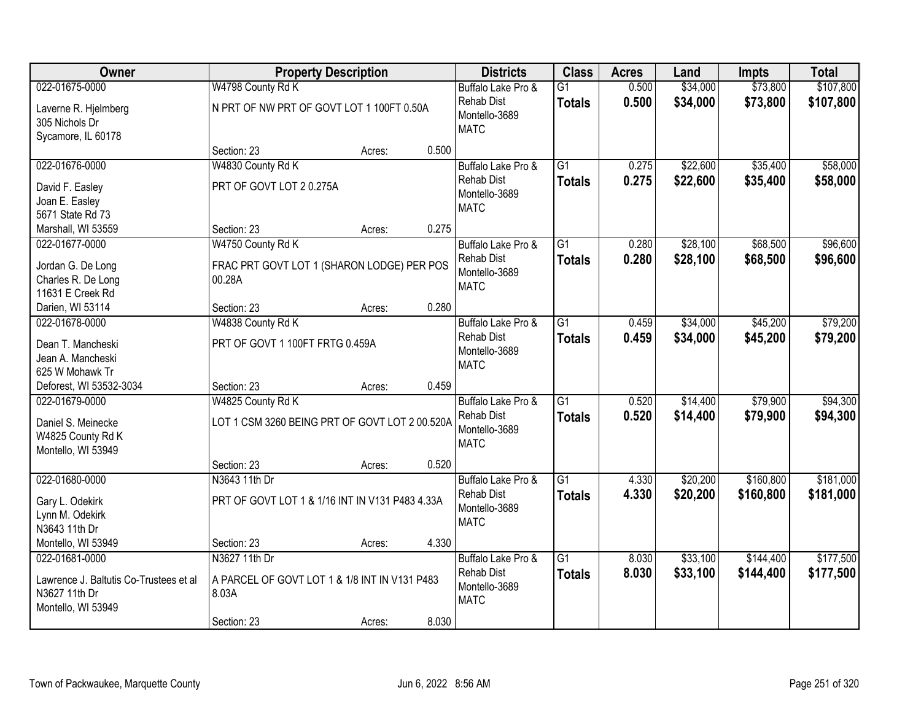| Owner                                                                                           | <b>Property Description</b>                                             |        |       | <b>Districts</b>                                                        | <b>Class</b>                     | <b>Acres</b>   | Land                 | <b>Impts</b>           | <b>Total</b>           |
|-------------------------------------------------------------------------------------------------|-------------------------------------------------------------------------|--------|-------|-------------------------------------------------------------------------|----------------------------------|----------------|----------------------|------------------------|------------------------|
| 022-01675-0000                                                                                  | W4798 County Rd K                                                       |        |       | Buffalo Lake Pro &                                                      | $\overline{G1}$                  | 0.500          | \$34,000             | \$73,800               | \$107,800              |
| Laverne R. Hjelmberg<br>305 Nichols Dr<br>Sycamore, IL 60178                                    | N PRT OF NW PRT OF GOVT LOT 1 100FT 0.50A                               |        |       | <b>Rehab Dist</b><br>Montello-3689<br><b>MATC</b>                       | <b>Totals</b>                    | 0.500          | \$34,000             | \$73,800               | \$107,800              |
|                                                                                                 | Section: 23                                                             | Acres: | 0.500 |                                                                         |                                  |                |                      |                        |                        |
| 022-01676-0000                                                                                  | W4830 County Rd K                                                       |        |       | Buffalo Lake Pro &                                                      | $\overline{G1}$                  | 0.275          | \$22,600             | \$35,400               | \$58,000               |
| David F. Easley<br>Joan E. Easley<br>5671 State Rd 73                                           | PRT OF GOVT LOT 20.275A                                                 |        |       | Rehab Dist<br>Montello-3689<br><b>MATC</b>                              | <b>Totals</b>                    | 0.275          | \$22,600             | \$35,400               | \$58,000               |
| Marshall, WI 53559                                                                              | Section: 23                                                             | Acres: | 0.275 |                                                                         |                                  |                |                      |                        |                        |
| 022-01677-0000                                                                                  | W4750 County Rd K                                                       |        |       | Buffalo Lake Pro &                                                      | G <sub>1</sub>                   | 0.280          | \$28,100             | \$68,500               | \$96,600               |
| Jordan G. De Long<br>Charles R. De Long<br>11631 E Creek Rd                                     | FRAC PRT GOVT LOT 1 (SHARON LODGE) PER POS<br>00.28A                    |        |       | <b>Rehab Dist</b><br>Montello-3689<br><b>MATC</b>                       | <b>Totals</b>                    | 0.280          | \$28,100             | \$68,500               | \$96,600               |
| Darien, WI 53114                                                                                | Section: 23                                                             | Acres: | 0.280 |                                                                         |                                  |                |                      |                        |                        |
| 022-01678-0000                                                                                  | W4838 County Rd K                                                       |        |       | Buffalo Lake Pro &                                                      | $\overline{G1}$                  | 0.459          | \$34,000             | \$45,200               | \$79,200               |
| Dean T. Mancheski<br>Jean A. Mancheski<br>625 W Mohawk Tr                                       | PRT OF GOVT 1 100FT FRTG 0.459A                                         |        |       | <b>Rehab Dist</b><br>Montello-3689<br><b>MATC</b>                       | <b>Totals</b>                    | 0.459          | \$34,000             | \$45,200               | \$79,200               |
| Deforest, WI 53532-3034                                                                         | Section: 23                                                             | Acres: | 0.459 |                                                                         |                                  |                |                      |                        |                        |
| 022-01679-0000<br>Daniel S. Meinecke<br>W4825 County Rd K<br>Montello, WI 53949                 | W4825 County Rd K<br>LOT 1 CSM 3260 BEING PRT OF GOVT LOT 2 00.520A     |        |       | Buffalo Lake Pro &<br><b>Rehab Dist</b><br>Montello-3689<br><b>MATC</b> | $\overline{G1}$<br><b>Totals</b> | 0.520<br>0.520 | \$14,400<br>\$14,400 | \$79,900<br>\$79,900   | \$94,300<br>\$94,300   |
|                                                                                                 | Section: 23                                                             | Acres: | 0.520 |                                                                         |                                  |                |                      |                        |                        |
| 022-01680-0000                                                                                  | N3643 11th Dr                                                           |        |       | Buffalo Lake Pro &                                                      | $\overline{G1}$                  | 4.330          | \$20,200             | \$160,800              | \$181,000              |
| Gary L. Odekirk<br>Lynn M. Odekirk<br>N3643 11th Dr                                             | PRT OF GOVT LOT 1 & 1/16 INT IN V131 P483 4.33A                         |        |       | <b>Rehab Dist</b><br>Montello-3689<br><b>MATC</b>                       | <b>Totals</b>                    | 4.330          | \$20,200             | \$160,800              | \$181,000              |
| Montello, WI 53949                                                                              | Section: 23                                                             | Acres: | 4.330 |                                                                         |                                  |                |                      |                        |                        |
| 022-01681-0000<br>Lawrence J. Baltutis Co-Trustees et al<br>N3627 11th Dr<br>Montello, WI 53949 | N3627 11th Dr<br>A PARCEL OF GOVT LOT 1 & 1/8 INT IN V131 P483<br>8.03A |        | 8.030 | Buffalo Lake Pro &<br><b>Rehab Dist</b><br>Montello-3689<br><b>MATC</b> | G1<br><b>Totals</b>              | 8.030<br>8.030 | \$33,100<br>\$33,100 | \$144,400<br>\$144,400 | \$177,500<br>\$177,500 |
|                                                                                                 | Section: 23                                                             | Acres: |       |                                                                         |                                  |                |                      |                        |                        |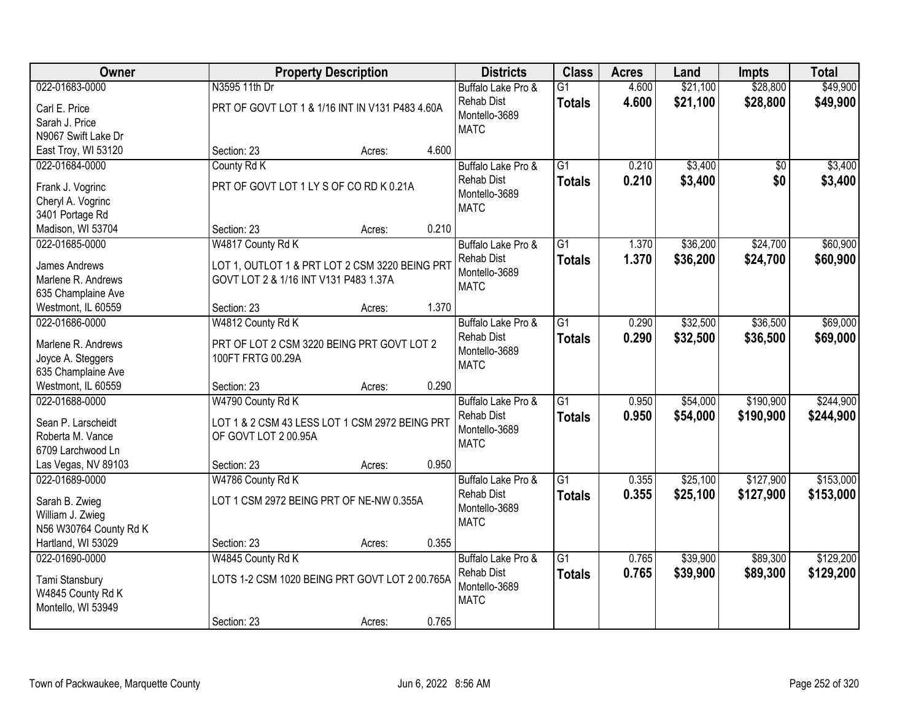| <b>Owner</b>                         |                                                 | <b>Property Description</b> |       |                                    | <b>Class</b>    | <b>Acres</b> | Land     | <b>Impts</b> | <b>Total</b> |
|--------------------------------------|-------------------------------------------------|-----------------------------|-------|------------------------------------|-----------------|--------------|----------|--------------|--------------|
| 022-01683-0000                       | N3595 11th Dr                                   |                             |       | Buffalo Lake Pro &                 | $\overline{G1}$ | 4.600        | \$21,100 | \$28,800     | \$49,900     |
| Carl E. Price                        | PRT OF GOVT LOT 1 & 1/16 INT IN V131 P483 4.60A |                             |       | Rehab Dist                         | <b>Totals</b>   | 4.600        | \$21,100 | \$28,800     | \$49,900     |
| Sarah J. Price                       |                                                 |                             |       | Montello-3689                      |                 |              |          |              |              |
| N9067 Swift Lake Dr                  |                                                 |                             |       | <b>MATC</b>                        |                 |              |          |              |              |
| East Troy, WI 53120                  | Section: 23                                     | Acres:                      | 4.600 |                                    |                 |              |          |              |              |
| 022-01684-0000                       | County Rd K                                     |                             |       | Buffalo Lake Pro &                 | $\overline{G1}$ | 0.210        | \$3,400  | \$0          | \$3,400      |
|                                      | PRT OF GOVT LOT 1 LY S OF CO RD K 0.21A         |                             |       | Rehab Dist                         | <b>Totals</b>   | 0.210        | \$3,400  | \$0          | \$3,400      |
| Frank J. Vogrinc                     |                                                 |                             |       | Montello-3689                      |                 |              |          |              |              |
| Cheryl A. Vogrinc                    |                                                 |                             |       | <b>MATC</b>                        |                 |              |          |              |              |
| 3401 Portage Rd<br>Madison, WI 53704 | Section: 23                                     |                             | 0.210 |                                    |                 |              |          |              |              |
| 022-01685-0000                       |                                                 | Acres:                      |       |                                    | G1              | 1.370        | \$36,200 | \$24,700     | \$60,900     |
|                                      | W4817 County Rd K                               |                             |       | Buffalo Lake Pro &                 |                 |              |          |              |              |
| James Andrews                        | LOT 1, OUTLOT 1 & PRT LOT 2 CSM 3220 BEING PRT  |                             |       | <b>Rehab Dist</b><br>Montello-3689 | <b>Totals</b>   | 1.370        | \$36,200 | \$24,700     | \$60,900     |
| Marlene R. Andrews                   | GOVT LOT 2 & 1/16 INT V131 P483 1.37A           |                             |       | <b>MATC</b>                        |                 |              |          |              |              |
| 635 Champlaine Ave                   |                                                 |                             |       |                                    |                 |              |          |              |              |
| Westmont, IL 60559                   | Section: 23                                     | Acres:                      | 1.370 |                                    |                 |              |          |              |              |
| 022-01686-0000                       | W4812 County Rd K                               |                             |       | Buffalo Lake Pro &                 | $\overline{G1}$ | 0.290        | \$32,500 | \$36,500     | \$69,000     |
| Marlene R. Andrews                   | PRT OF LOT 2 CSM 3220 BEING PRT GOVT LOT 2      |                             |       | <b>Rehab Dist</b>                  | <b>Totals</b>   | 0.290        | \$32,500 | \$36,500     | \$69,000     |
| Joyce A. Steggers                    | 100FT FRTG 00.29A                               |                             |       | Montello-3689                      |                 |              |          |              |              |
| 635 Champlaine Ave                   |                                                 |                             |       | <b>MATC</b>                        |                 |              |          |              |              |
| Westmont, IL 60559                   | Section: 23                                     | Acres:                      | 0.290 |                                    |                 |              |          |              |              |
| 022-01688-0000                       | W4790 County Rd K                               |                             |       | Buffalo Lake Pro &                 | $\overline{G1}$ | 0.950        | \$54,000 | \$190,900    | \$244,900    |
|                                      |                                                 |                             |       | <b>Rehab Dist</b>                  |                 | 0.950        | \$54,000 | \$190,900    | \$244,900    |
| Sean P. Larscheidt                   | LOT 1 & 2 CSM 43 LESS LOT 1 CSM 2972 BEING PRT  |                             |       | Montello-3689                      | <b>Totals</b>   |              |          |              |              |
| Roberta M. Vance                     | OF GOVT LOT 2 00.95A                            |                             |       | <b>MATC</b>                        |                 |              |          |              |              |
| 6709 Larchwood Ln                    |                                                 |                             |       |                                    |                 |              |          |              |              |
| Las Vegas, NV 89103                  | Section: 23                                     | Acres:                      | 0.950 |                                    |                 |              |          |              |              |
| 022-01689-0000                       | W4786 County Rd K                               |                             |       | Buffalo Lake Pro &                 | $\overline{G1}$ | 0.355        | \$25,100 | \$127,900    | \$153,000    |
| Sarah B. Zwieg                       | LOT 1 CSM 2972 BEING PRT OF NE-NW 0.355A        |                             |       | <b>Rehab Dist</b>                  | <b>Totals</b>   | 0.355        | \$25,100 | \$127,900    | \$153,000    |
| William J. Zwieg                     |                                                 |                             |       | Montello-3689                      |                 |              |          |              |              |
| N56 W30764 County Rd K               |                                                 |                             |       | <b>MATC</b>                        |                 |              |          |              |              |
| Hartland, WI 53029                   | Section: 23                                     | Acres:                      | 0.355 |                                    |                 |              |          |              |              |
| 022-01690-0000                       | W4845 County Rd K                               |                             |       | Buffalo Lake Pro &                 | $\overline{G1}$ | 0.765        | \$39,900 | \$89,300     | \$129,200    |
|                                      |                                                 |                             |       | <b>Rehab Dist</b>                  | <b>Totals</b>   | 0.765        | \$39,900 | \$89,300     | \$129,200    |
| Tami Stansbury                       | LOTS 1-2 CSM 1020 BEING PRT GOVT LOT 2 00.765A  |                             |       | Montello-3689                      |                 |              |          |              |              |
| W4845 County Rd K                    |                                                 |                             |       | <b>MATC</b>                        |                 |              |          |              |              |
| Montello, WI 53949                   |                                                 |                             |       |                                    |                 |              |          |              |              |
|                                      | Section: 23                                     | Acres:                      | 0.765 |                                    |                 |              |          |              |              |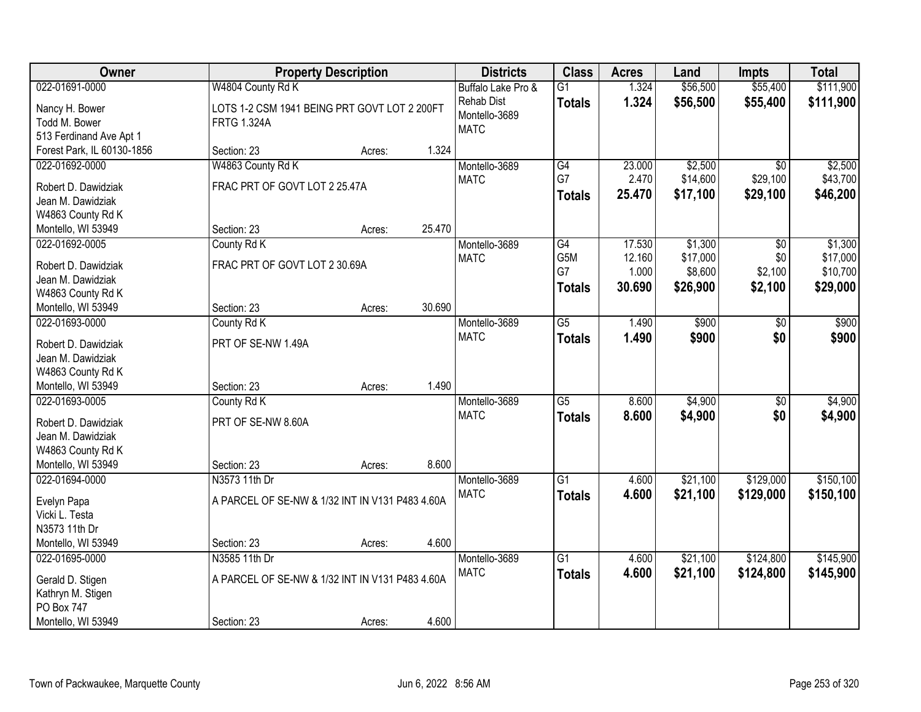| Owner                      |                                                 | <b>Property Description</b> |        | <b>Districts</b>   | <b>Class</b>    | <b>Acres</b> | Land     | <b>Impts</b>    | <b>Total</b> |
|----------------------------|-------------------------------------------------|-----------------------------|--------|--------------------|-----------------|--------------|----------|-----------------|--------------|
| 022-01691-0000             | W4804 County Rd K                               |                             |        | Buffalo Lake Pro & | $\overline{G1}$ | 1.324        | \$56,500 | \$55,400        | \$111,900    |
| Nancy H. Bower             | LOTS 1-2 CSM 1941 BEING PRT GOVT LOT 2 200FT    |                             |        | <b>Rehab Dist</b>  | <b>Totals</b>   | 1.324        | \$56,500 | \$55,400        | \$111,900    |
| Todd M. Bower              | <b>FRTG 1.324A</b>                              |                             |        | Montello-3689      |                 |              |          |                 |              |
| 513 Ferdinand Ave Apt 1    |                                                 |                             |        | <b>MATC</b>        |                 |              |          |                 |              |
| Forest Park, IL 60130-1856 | Section: 23                                     | Acres:                      | 1.324  |                    |                 |              |          |                 |              |
| 022-01692-0000             | W4863 County Rd K                               |                             |        | Montello-3689      | G4              | 23.000       | \$2,500  | $\overline{30}$ | \$2,500      |
|                            |                                                 |                             |        | <b>MATC</b>        | G7              | 2.470        | \$14,600 | \$29,100        | \$43,700     |
| Robert D. Dawidziak        | FRAC PRT OF GOVT LOT 2 25.47A                   |                             |        |                    | <b>Totals</b>   | 25.470       | \$17,100 | \$29,100        | \$46,200     |
| Jean M. Dawidziak          |                                                 |                             |        |                    |                 |              |          |                 |              |
| W4863 County Rd K          |                                                 |                             |        |                    |                 |              |          |                 |              |
| Montello, WI 53949         | Section: 23                                     | Acres:                      | 25.470 |                    |                 |              |          |                 |              |
| 022-01692-0005             | County Rd K                                     |                             |        | Montello-3689      | G4              | 17.530       | \$1,300  | \$0             | \$1,300      |
| Robert D. Dawidziak        | FRAC PRT OF GOVT LOT 2 30.69A                   |                             |        | <b>MATC</b>        | G5M             | 12.160       | \$17,000 | \$0             | \$17,000     |
| Jean M. Dawidziak          |                                                 |                             |        |                    | G7              | 1.000        | \$8,600  | \$2,100         | \$10,700     |
| W4863 County Rd K          |                                                 |                             |        |                    | <b>Totals</b>   | 30.690       | \$26,900 | \$2,100         | \$29,000     |
| Montello, WI 53949         | Section: 23                                     | Acres:                      | 30.690 |                    |                 |              |          |                 |              |
| 022-01693-0000             | County Rd K                                     |                             |        | Montello-3689      | $\overline{G5}$ | 1.490        | \$900    | \$0             | \$900        |
|                            |                                                 |                             |        | <b>MATC</b>        | <b>Totals</b>   | 1.490        | \$900    | \$0             | \$900        |
| Robert D. Dawidziak        | PRT OF SE-NW 1.49A                              |                             |        |                    |                 |              |          |                 |              |
| Jean M. Dawidziak          |                                                 |                             |        |                    |                 |              |          |                 |              |
| W4863 County Rd K          |                                                 |                             |        |                    |                 |              |          |                 |              |
| Montello, WI 53949         | Section: 23                                     | Acres:                      | 1.490  |                    |                 |              |          |                 |              |
| 022-01693-0005             | County Rd K                                     |                             |        | Montello-3689      | $\overline{G5}$ | 8.600        | \$4,900  | $\overline{30}$ | \$4,900      |
| Robert D. Dawidziak        | PRT OF SE-NW 8.60A                              |                             |        | <b>MATC</b>        | <b>Totals</b>   | 8.600        | \$4,900  | \$0             | \$4,900      |
| Jean M. Dawidziak          |                                                 |                             |        |                    |                 |              |          |                 |              |
| W4863 County Rd K          |                                                 |                             |        |                    |                 |              |          |                 |              |
| Montello, WI 53949         | Section: 23                                     | Acres:                      | 8.600  |                    |                 |              |          |                 |              |
| 022-01694-0000             | N3573 11th Dr                                   |                             |        | Montello-3689      | $\overline{G1}$ | 4.600        | \$21,100 | \$129,000       | \$150,100    |
|                            |                                                 |                             |        | <b>MATC</b>        | <b>Totals</b>   | 4.600        | \$21,100 | \$129,000       | \$150,100    |
| Evelyn Papa                | A PARCEL OF SE-NW & 1/32 INT IN V131 P483 4.60A |                             |        |                    |                 |              |          |                 |              |
| Vicki L. Testa             |                                                 |                             |        |                    |                 |              |          |                 |              |
| N3573 11th Dr              |                                                 |                             |        |                    |                 |              |          |                 |              |
| Montello, WI 53949         | Section: 23                                     | Acres:                      | 4.600  |                    |                 |              |          |                 |              |
| 022-01695-0000             | N3585 11th Dr                                   |                             |        | Montello-3689      | $\overline{G1}$ | 4.600        | \$21,100 | \$124,800       | \$145,900    |
| Gerald D. Stigen           | A PARCEL OF SE-NW & 1/32 INT IN V131 P483 4.60A |                             |        | <b>MATC</b>        | <b>Totals</b>   | 4.600        | \$21,100 | \$124,800       | \$145,900    |
| Kathryn M. Stigen          |                                                 |                             |        |                    |                 |              |          |                 |              |
| <b>PO Box 747</b>          |                                                 |                             |        |                    |                 |              |          |                 |              |
| Montello, WI 53949         | Section: 23                                     | Acres:                      | 4.600  |                    |                 |              |          |                 |              |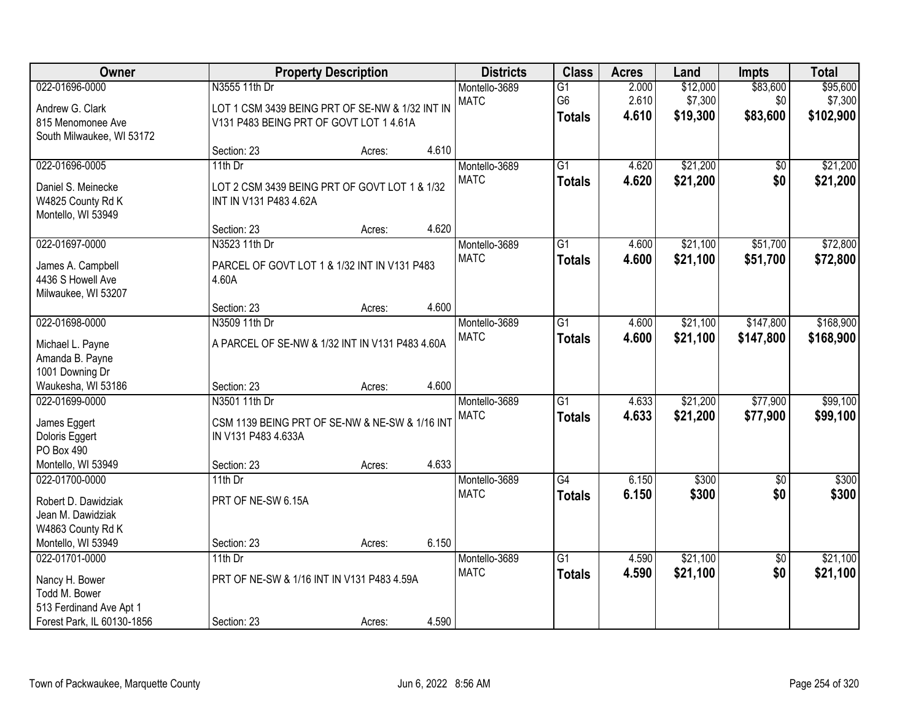| Owner                                                                                                      |                                                                                                             | <b>Property Description</b> |       | <b>Districts</b>             | <b>Class</b>                                       | <b>Acres</b>            | Land                            | <b>Impts</b>                | <b>Total</b>                     |
|------------------------------------------------------------------------------------------------------------|-------------------------------------------------------------------------------------------------------------|-----------------------------|-------|------------------------------|----------------------------------------------------|-------------------------|---------------------------------|-----------------------------|----------------------------------|
| 022-01696-0000<br>Andrew G. Clark<br>815 Menomonee Ave                                                     | N3555 11th Dr<br>LOT 1 CSM 3439 BEING PRT OF SE-NW & 1/32 INT IN<br>V131 P483 BEING PRT OF GOVT LOT 1 4.61A |                             |       | Montello-3689<br><b>MATC</b> | $\overline{G1}$<br>G <sub>6</sub><br><b>Totals</b> | 2.000<br>2.610<br>4.610 | \$12,000<br>\$7,300<br>\$19,300 | \$83,600<br>\$0<br>\$83,600 | \$95,600<br>\$7,300<br>\$102,900 |
| South Milwaukee, WI 53172                                                                                  | Section: 23                                                                                                 | Acres:                      | 4.610 |                              |                                                    |                         |                                 |                             |                                  |
| 022-01696-0005<br>Daniel S. Meinecke<br>W4825 County Rd K<br>Montello, WI 53949                            | 11th Dr<br>LOT 2 CSM 3439 BEING PRT OF GOVT LOT 1 & 1/32<br>INT IN V131 P483 4.62A                          |                             |       | Montello-3689<br><b>MATC</b> | $\overline{G1}$<br><b>Totals</b>                   | 4.620<br>4.620          | \$21,200<br>\$21,200            | \$0<br>\$0                  | \$21,200<br>\$21,200             |
|                                                                                                            | Section: 23                                                                                                 | Acres:                      | 4.620 |                              |                                                    |                         |                                 |                             |                                  |
| 022-01697-0000<br>James A. Campbell<br>4436 S Howell Ave<br>Milwaukee, WI 53207                            | N3523 11th Dr<br>PARCEL OF GOVT LOT 1 & 1/32 INT IN V131 P483<br>4.60A                                      |                             |       | Montello-3689<br><b>MATC</b> | G <sub>1</sub><br><b>Totals</b>                    | 4.600<br>4.600          | \$21,100<br>\$21,100            | \$51,700<br>\$51,700        | \$72,800<br>\$72,800             |
|                                                                                                            | Section: 23                                                                                                 | Acres:                      | 4.600 |                              |                                                    |                         |                                 |                             |                                  |
| 022-01698-0000<br>Michael L. Payne<br>Amanda B. Payne                                                      | N3509 11th Dr<br>A PARCEL OF SE-NW & 1/32 INT IN V131 P483 4.60A                                            |                             |       | Montello-3689<br><b>MATC</b> | $\overline{G1}$<br><b>Totals</b>                   | 4.600<br>4.600          | \$21,100<br>\$21,100            | \$147,800<br>\$147,800      | \$168,900<br>\$168,900           |
| 1001 Downing Dr<br>Waukesha, WI 53186                                                                      | Section: 23                                                                                                 | Acres:                      | 4.600 |                              |                                                    |                         |                                 |                             |                                  |
| 022-01699-0000<br>James Eggert<br>Doloris Eggert<br>PO Box 490<br>Montello, WI 53949                       | N3501 11th Dr<br>CSM 1139 BEING PRT OF SE-NW & NE-SW & 1/16 INT<br>IN V131 P483 4.633A<br>Section: 23       | Acres:                      | 4.633 | Montello-3689<br><b>MATC</b> | $\overline{G1}$<br><b>Totals</b>                   | 4.633<br>4.633          | \$21,200<br>\$21,200            | \$77,900<br>\$77,900        | \$99,100<br>\$99,100             |
| 022-01700-0000                                                                                             | 11th $Dr$                                                                                                   |                             |       | Montello-3689                | $\overline{G4}$                                    | 6.150                   | \$300                           | $\overline{50}$             | \$300                            |
| Robert D. Dawidziak<br>Jean M. Dawidziak<br>W4863 County Rd K                                              | PRT OF NE-SW 6.15A                                                                                          |                             |       | <b>MATC</b>                  | <b>Totals</b>                                      | 6.150                   | \$300                           | \$0                         | \$300                            |
| Montello, WI 53949                                                                                         | Section: 23                                                                                                 | Acres:                      | 6.150 |                              |                                                    |                         |                                 |                             |                                  |
| 022-01701-0000<br>Nancy H. Bower<br>Todd M. Bower<br>513 Ferdinand Ave Apt 1<br>Forest Park, IL 60130-1856 | $11th$ Dr<br>PRT OF NE-SW & 1/16 INT IN V131 P483 4.59A<br>Section: 23                                      | Acres:                      | 4.590 | Montello-3689<br><b>MATC</b> | $\overline{G1}$<br><b>Totals</b>                   | 4.590<br>4.590          | \$21,100<br>\$21,100            | $\overline{50}$<br>\$0      | \$21,100<br>\$21,100             |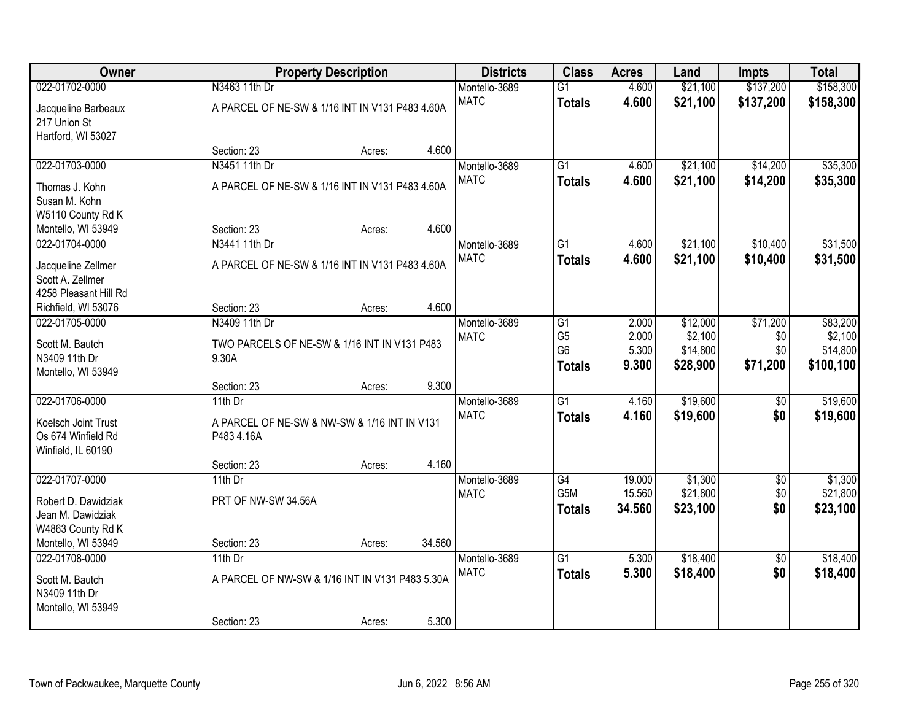| Owner                 |                     | <b>Property Description</b>                     |        | <b>Districts</b> | <b>Class</b>                     | <b>Acres</b>     | Land                | <b>Impts</b>    | <b>Total</b>        |
|-----------------------|---------------------|-------------------------------------------------|--------|------------------|----------------------------------|------------------|---------------------|-----------------|---------------------|
| 022-01702-0000        | N3463 11th Dr       |                                                 |        | Montello-3689    | $\overline{G1}$                  | 4.600            | \$21,100            | \$137,200       | \$158,300           |
| Jacqueline Barbeaux   |                     | A PARCEL OF NE-SW & 1/16 INT IN V131 P483 4.60A |        | <b>MATC</b>      | <b>Totals</b>                    | 4.600            | \$21,100            | \$137,200       | \$158,300           |
| 217 Union St          |                     |                                                 |        |                  |                                  |                  |                     |                 |                     |
| Hartford, WI 53027    |                     |                                                 |        |                  |                                  |                  |                     |                 |                     |
|                       | Section: 23         | Acres:                                          | 4.600  |                  |                                  |                  |                     |                 |                     |
| 022-01703-0000        | N3451 11th Dr       |                                                 |        | Montello-3689    | $\overline{G1}$                  | 4.600            | \$21,100            | \$14,200        | \$35,300            |
| Thomas J. Kohn        |                     | A PARCEL OF NE-SW & 1/16 INT IN V131 P483 4.60A |        | <b>MATC</b>      | <b>Totals</b>                    | 4.600            | \$21,100            | \$14,200        | \$35,300            |
| Susan M. Kohn         |                     |                                                 |        |                  |                                  |                  |                     |                 |                     |
| W5110 County Rd K     |                     |                                                 |        |                  |                                  |                  |                     |                 |                     |
| Montello, WI 53949    | Section: 23         | Acres:                                          | 4.600  |                  |                                  |                  |                     |                 |                     |
| 022-01704-0000        | N3441 11th Dr       |                                                 |        | Montello-3689    | $\overline{G1}$                  | 4.600            | \$21,100            | \$10,400        | \$31,500            |
| Jacqueline Zellmer    |                     | A PARCEL OF NE-SW & 1/16 INT IN V131 P483 4.60A |        | <b>MATC</b>      | <b>Totals</b>                    | 4.600            | \$21,100            | \$10,400        | \$31,500            |
| Scott A. Zellmer      |                     |                                                 |        |                  |                                  |                  |                     |                 |                     |
| 4258 Pleasant Hill Rd |                     |                                                 |        |                  |                                  |                  |                     |                 |                     |
| Richfield, WI 53076   | Section: 23         | Acres:                                          | 4.600  |                  |                                  |                  |                     |                 |                     |
| 022-01705-0000        | N3409 11th Dr       |                                                 |        | Montello-3689    | $\overline{G1}$                  | 2.000            | \$12,000            | \$71,200        | \$83,200            |
| Scott M. Bautch       |                     | TWO PARCELS OF NE-SW & 1/16 INT IN V131 P483    |        | <b>MATC</b>      | G <sub>5</sub><br>G <sub>6</sub> | 2.000<br>5.300   | \$2,100<br>\$14,800 | \$0<br>\$0      | \$2,100<br>\$14,800 |
| N3409 11th Dr         | 9.30A               |                                                 |        |                  | <b>Totals</b>                    | 9.300            | \$28,900            | \$71,200        | \$100,100           |
| Montello, WI 53949    |                     |                                                 |        |                  |                                  |                  |                     |                 |                     |
|                       | Section: 23         | Acres:                                          | 9.300  |                  |                                  |                  |                     |                 |                     |
| 022-01706-0000        | 11th Dr             |                                                 |        | Montello-3689    | $\overline{G1}$                  | 4.160            | \$19,600            | $\sqrt[6]{}$    | \$19,600            |
| Koelsch Joint Trust   |                     | A PARCEL OF NE-SW & NW-SW & 1/16 INT IN V131    |        | <b>MATC</b>      | <b>Totals</b>                    | 4.160            | \$19,600            | \$0             | \$19,600            |
| Os 674 Winfield Rd    | P483 4.16A          |                                                 |        |                  |                                  |                  |                     |                 |                     |
| Winfield, IL 60190    |                     |                                                 |        |                  |                                  |                  |                     |                 |                     |
|                       | Section: 23         | Acres:                                          | 4.160  |                  |                                  |                  |                     |                 |                     |
| 022-01707-0000        | 11th $Dr$           |                                                 |        | Montello-3689    | G4<br>G <sub>5</sub> M           | 19.000           | \$1,300             | $\sqrt{6}$      | \$1,300             |
| Robert D. Dawidziak   | PRT OF NW-SW 34.56A |                                                 |        | <b>MATC</b>      |                                  | 15.560<br>34.560 | \$21,800            | \$0<br>\$0      | \$21,800            |
| Jean M. Dawidziak     |                     |                                                 |        |                  | <b>Totals</b>                    |                  | \$23,100            |                 | \$23,100            |
| W4863 County Rd K     |                     |                                                 |        |                  |                                  |                  |                     |                 |                     |
| Montello, WI 53949    | Section: 23         | Acres:                                          | 34.560 |                  |                                  |                  |                     |                 |                     |
| 022-01708-0000        | 11th Dr             |                                                 |        | Montello-3689    | $\overline{G1}$                  | 5.300            | \$18,400            | $\overline{30}$ | \$18,400            |
| Scott M. Bautch       |                     | A PARCEL OF NW-SW & 1/16 INT IN V131 P483 5.30A |        | <b>MATC</b>      | <b>Totals</b>                    | 5.300            | \$18,400            | \$0             | \$18,400            |
| N3409 11th Dr         |                     |                                                 |        |                  |                                  |                  |                     |                 |                     |
| Montello, WI 53949    |                     |                                                 |        |                  |                                  |                  |                     |                 |                     |
|                       | Section: 23         | Acres:                                          | 5.300  |                  |                                  |                  |                     |                 |                     |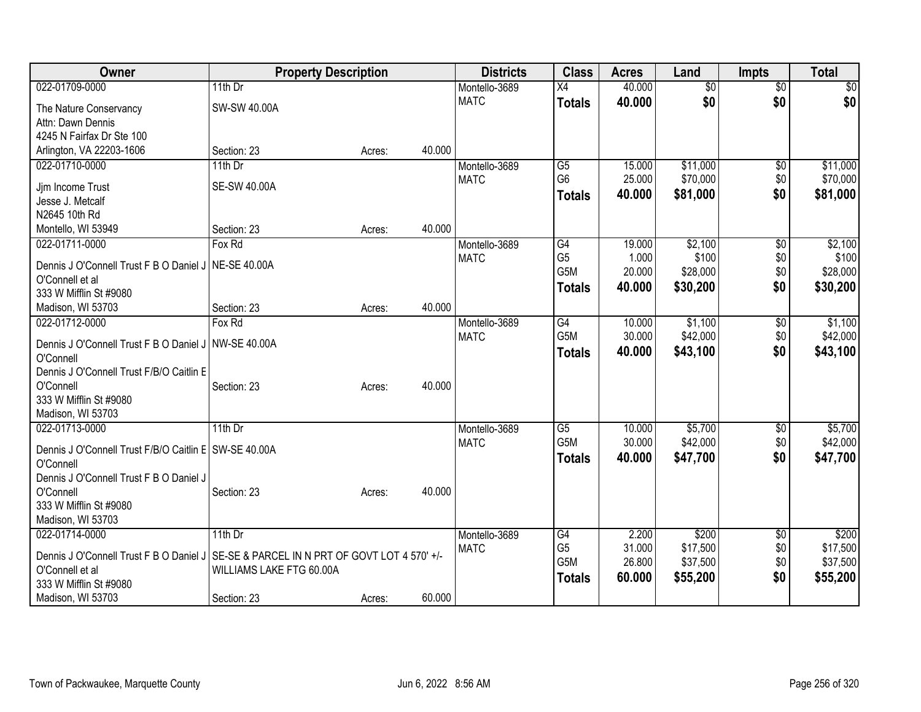| Owner                                                                                    | <b>Property Description</b> |        |        | <b>Districts</b> | <b>Class</b>     | <b>Acres</b> | Land            | <b>Impts</b>    | <b>Total</b> |
|------------------------------------------------------------------------------------------|-----------------------------|--------|--------|------------------|------------------|--------------|-----------------|-----------------|--------------|
| 022-01709-0000                                                                           | 11th $Dr$                   |        |        | Montello-3689    | $\overline{X4}$  | 40.000       | $\overline{30}$ | $\overline{50}$ | \$0          |
| The Nature Conservancy                                                                   | SW-SW 40.00A                |        |        | <b>MATC</b>      | <b>Totals</b>    | 40.000       | \$0             | \$0             | \$0          |
| Attn: Dawn Dennis                                                                        |                             |        |        |                  |                  |              |                 |                 |              |
| 4245 N Fairfax Dr Ste 100                                                                |                             |        |        |                  |                  |              |                 |                 |              |
| Arlington, VA 22203-1606                                                                 | Section: 23                 | Acres: | 40.000 |                  |                  |              |                 |                 |              |
| 022-01710-0000                                                                           | 11th Dr                     |        |        | Montello-3689    | G5               | 15.000       | \$11,000        | $\sqrt{6}$      | \$11,000     |
| Jim Income Trust                                                                         | <b>SE-SW 40.00A</b>         |        |        | <b>MATC</b>      | G <sub>6</sub>   | 25.000       | \$70,000        | \$0             | \$70,000     |
| Jesse J. Metcalf                                                                         |                             |        |        |                  | <b>Totals</b>    | 40.000       | \$81,000        | \$0             | \$81,000     |
| N2645 10th Rd                                                                            |                             |        |        |                  |                  |              |                 |                 |              |
| Montello, WI 53949                                                                       | Section: 23                 | Acres: | 40.000 |                  |                  |              |                 |                 |              |
| 022-01711-0000                                                                           | Fox Rd                      |        |        | Montello-3689    | G4               | 19.000       | \$2,100         | $\overline{50}$ | \$2,100      |
| Dennis J O'Connell Trust F B O Daniel J   NE-SE 40.00A                                   |                             |        |        | <b>MATC</b>      | G <sub>5</sub>   | 1.000        | \$100           | \$0             | \$100        |
| O'Connell et al                                                                          |                             |        |        |                  | G5M              | 20.000       | \$28,000        | \$0             | \$28,000     |
| 333 W Mifflin St #9080                                                                   |                             |        |        |                  | <b>Totals</b>    | 40.000       | \$30,200        | \$0             | \$30,200     |
| Madison, WI 53703                                                                        | Section: 23                 | Acres: | 40.000 |                  |                  |              |                 |                 |              |
| 022-01712-0000                                                                           | Fox Rd                      |        |        | Montello-3689    | G4               | 10.000       | \$1,100         | \$0             | \$1,100      |
|                                                                                          |                             |        |        | <b>MATC</b>      | G <sub>5</sub> M | 30.000       | \$42,000        | \$0             | \$42,000     |
| Dennis J O'Connell Trust F B O Daniel J NW-SE 40.00A<br>O'Connell                        |                             |        |        |                  | <b>Totals</b>    | 40.000       | \$43,100        | \$0             | \$43,100     |
| Dennis J O'Connell Trust F/B/O Caitlin E                                                 |                             |        |        |                  |                  |              |                 |                 |              |
| O'Connell                                                                                | Section: 23                 | Acres: | 40.000 |                  |                  |              |                 |                 |              |
| 333 W Mifflin St #9080                                                                   |                             |        |        |                  |                  |              |                 |                 |              |
| Madison, WI 53703                                                                        |                             |        |        |                  |                  |              |                 |                 |              |
| 022-01713-0000                                                                           | 11th Dr                     |        |        | Montello-3689    | G5               | 10.000       | \$5,700         | \$0             | \$5,700      |
| Dennis J O'Connell Trust F/B/O Caitlin E SW-SE 40.00A                                    |                             |        |        | <b>MATC</b>      | G5M              | 30.000       | \$42,000        | \$0             | \$42,000     |
| O'Connell                                                                                |                             |        |        |                  | <b>Totals</b>    | 40.000       | \$47,700        | \$0             | \$47,700     |
| Dennis J O'Connell Trust F B O Daniel J                                                  |                             |        |        |                  |                  |              |                 |                 |              |
| O'Connell                                                                                | Section: 23                 | Acres: | 40.000 |                  |                  |              |                 |                 |              |
| 333 W Mifflin St #9080                                                                   |                             |        |        |                  |                  |              |                 |                 |              |
| Madison, WI 53703                                                                        |                             |        |        |                  |                  |              |                 |                 |              |
| 022-01714-0000                                                                           | 11th Dr                     |        |        | Montello-3689    | G4               | 2.200        | \$200           | \$0             | \$200        |
| Dennis J O'Connell Trust F B O Daniel J   SE-SE & PARCEL IN N PRT OF GOVT LOT 4 570' +/- |                             |        |        | <b>MATC</b>      | G <sub>5</sub>   | 31.000       | \$17,500        | \$0             | \$17,500     |
| O'Connell et al                                                                          | WILLIAMS LAKE FTG 60.00A    |        |        |                  | G5M              | 26.800       | \$37,500        | \$0             | \$37,500     |
| 333 W Mifflin St #9080                                                                   |                             |        |        |                  | <b>Totals</b>    | 60.000       | \$55,200        | \$0             | \$55,200     |
| Madison, WI 53703                                                                        | Section: 23                 | Acres: | 60.000 |                  |                  |              |                 |                 |              |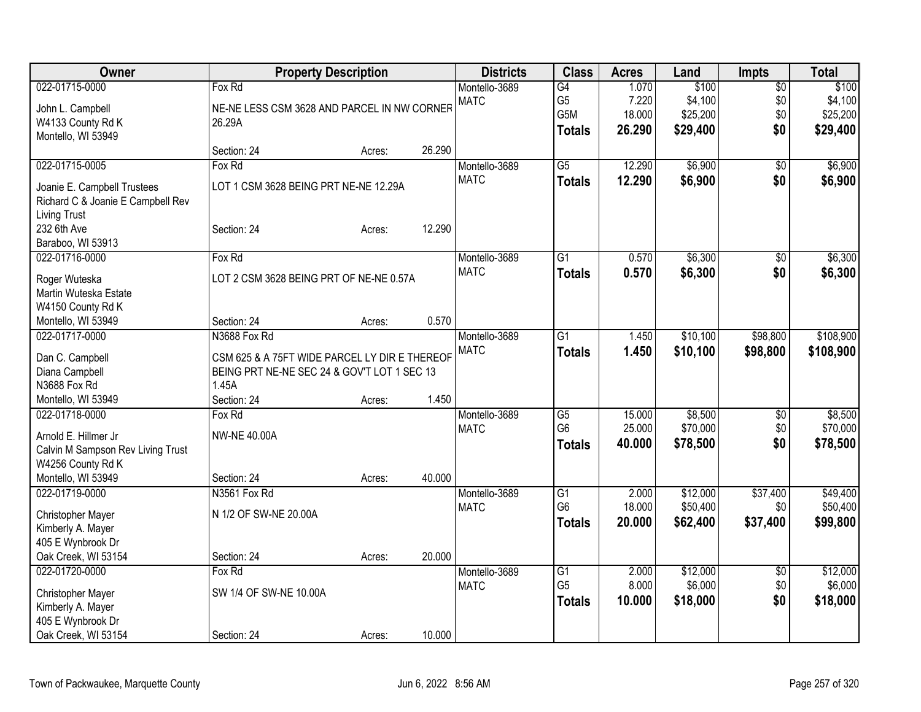| Owner                                  | <b>Property Description</b>                   |        |        | <b>Districts</b> | <b>Class</b>     | <b>Acres</b> | Land     | <b>Impts</b>    | <b>Total</b> |
|----------------------------------------|-----------------------------------------------|--------|--------|------------------|------------------|--------------|----------|-----------------|--------------|
| 022-01715-0000                         | Fox Rd                                        |        |        | Montello-3689    | $\overline{G4}$  | 1.070        | \$100    | $\overline{60}$ | \$100        |
| John L. Campbell                       | NE-NE LESS CSM 3628 AND PARCEL IN NW CORNER   |        |        | <b>MATC</b>      | G <sub>5</sub>   | 7.220        | \$4,100  | \$0             | \$4,100      |
| W4133 County Rd K                      | 26.29A                                        |        |        |                  | G <sub>5</sub> M | 18.000       | \$25,200 | \$0             | \$25,200     |
| Montello, WI 53949                     |                                               |        |        |                  | <b>Totals</b>    | 26.290       | \$29,400 | \$0             | \$29,400     |
|                                        | Section: 24                                   | Acres: | 26.290 |                  |                  |              |          |                 |              |
| 022-01715-0005                         | Fox Rd                                        |        |        | Montello-3689    | $\overline{G5}$  | 12.290       | \$6,900  | \$0             | \$6,900      |
| Joanie E. Campbell Trustees            | LOT 1 CSM 3628 BEING PRT NE-NE 12.29A         |        |        | <b>MATC</b>      | <b>Totals</b>    | 12.290       | \$6,900  | \$0             | \$6,900      |
| Richard C & Joanie E Campbell Rev      |                                               |        |        |                  |                  |              |          |                 |              |
| <b>Living Trust</b>                    |                                               |        |        |                  |                  |              |          |                 |              |
| 232 6th Ave                            | Section: 24                                   | Acres: | 12.290 |                  |                  |              |          |                 |              |
| Baraboo, WI 53913                      |                                               |        |        |                  |                  |              |          |                 |              |
| 022-01716-0000                         | Fox Rd                                        |        |        | Montello-3689    | $\overline{G1}$  | 0.570        | \$6,300  | \$0             | \$6,300      |
|                                        | LOT 2 CSM 3628 BEING PRT OF NE-NE 0.57A       |        |        | <b>MATC</b>      | <b>Totals</b>    | 0.570        | \$6,300  | \$0             | \$6,300      |
| Roger Wuteska<br>Martin Wuteska Estate |                                               |        |        |                  |                  |              |          |                 |              |
| W4150 County Rd K                      |                                               |        |        |                  |                  |              |          |                 |              |
| Montello, WI 53949                     | Section: 24                                   | Acres: | 0.570  |                  |                  |              |          |                 |              |
| 022-01717-0000                         | N3688 Fox Rd                                  |        |        | Montello-3689    | $\overline{G1}$  | 1.450        | \$10,100 | \$98,800        | \$108,900    |
|                                        |                                               |        |        | <b>MATC</b>      | <b>Totals</b>    | 1.450        | \$10,100 | \$98,800        | \$108,900    |
| Dan C. Campbell                        | CSM 625 & A 75FT WIDE PARCEL LY DIR E THEREOF |        |        |                  |                  |              |          |                 |              |
| Diana Campbell                         | BEING PRT NE-NE SEC 24 & GOV'T LOT 1 SEC 13   |        |        |                  |                  |              |          |                 |              |
| N3688 Fox Rd                           | 1.45A                                         |        |        |                  |                  |              |          |                 |              |
| Montello, WI 53949                     | Section: 24                                   | Acres: | 1.450  |                  |                  |              |          |                 |              |
| 022-01718-0000                         | Fox Rd                                        |        |        | Montello-3689    | G5               | 15.000       | \$8,500  | \$0             | \$8,500      |
| Arnold E. Hillmer Jr.                  | <b>NW-NE 40.00A</b>                           |        |        | <b>MATC</b>      | G <sub>6</sub>   | 25.000       | \$70,000 | \$0             | \$70,000     |
| Calvin M Sampson Rev Living Trust      |                                               |        |        |                  | <b>Totals</b>    | 40.000       | \$78,500 | \$0             | \$78,500     |
| W4256 County Rd K                      |                                               |        |        |                  |                  |              |          |                 |              |
| Montello, WI 53949                     | Section: 24                                   | Acres: | 40.000 |                  |                  |              |          |                 |              |
| 022-01719-0000                         | N3561 Fox Rd                                  |        |        | Montello-3689    | G1               | 2.000        | \$12,000 | \$37,400        | \$49,400     |
| <b>Christopher Mayer</b>               | N 1/2 OF SW-NE 20.00A                         |        |        | <b>MATC</b>      | G <sub>6</sub>   | 18.000       | \$50,400 | \$0             | \$50,400     |
| Kimberly A. Mayer                      |                                               |        |        |                  | <b>Totals</b>    | 20.000       | \$62,400 | \$37,400        | \$99,800     |
| 405 E Wynbrook Dr                      |                                               |        |        |                  |                  |              |          |                 |              |
| Oak Creek, WI 53154                    | Section: 24                                   | Acres: | 20.000 |                  |                  |              |          |                 |              |
| 022-01720-0000                         | Fox Rd                                        |        |        | Montello-3689    | $\overline{G1}$  | 2.000        | \$12,000 | $\overline{50}$ | \$12,000     |
|                                        |                                               |        |        | <b>MATC</b>      | G <sub>5</sub>   | 8.000        | \$6,000  | \$0             | \$6,000      |
| Christopher Mayer                      | SW 1/4 OF SW-NE 10.00A                        |        |        |                  | <b>Totals</b>    | 10.000       | \$18,000 | \$0             | \$18,000     |
| Kimberly A. Mayer                      |                                               |        |        |                  |                  |              |          |                 |              |
| 405 E Wynbrook Dr                      |                                               |        |        |                  |                  |              |          |                 |              |
| Oak Creek, WI 53154                    | Section: 24                                   | Acres: | 10.000 |                  |                  |              |          |                 |              |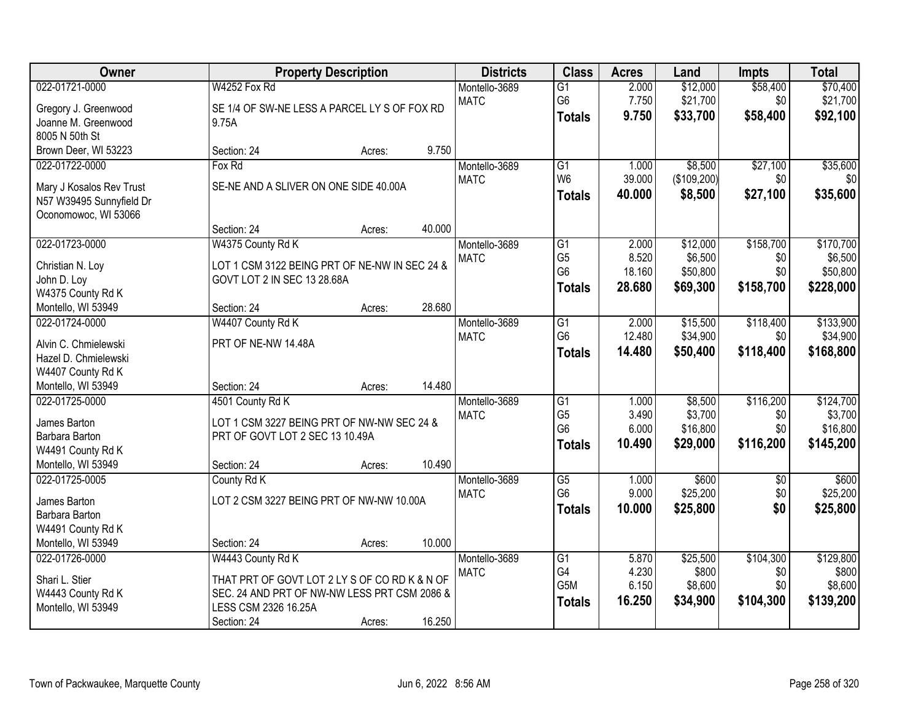| Owner                                     |                                               | <b>Property Description</b> |        | <b>Districts</b>             | <b>Class</b>           | <b>Acres</b>   | Land             | <b>Impts</b> | <b>Total</b>     |
|-------------------------------------------|-----------------------------------------------|-----------------------------|--------|------------------------------|------------------------|----------------|------------------|--------------|------------------|
| 022-01721-0000                            | W4252 Fox Rd                                  |                             |        | Montello-3689                | $\overline{G1}$        | 2.000          | \$12,000         | \$58,400     | \$70,400         |
| Gregory J. Greenwood                      | SE 1/4 OF SW-NE LESS A PARCEL LY S OF FOX RD  |                             |        | <b>MATC</b>                  | G <sub>6</sub>         | 7.750          | \$21,700         | \$0          | \$21,700         |
| Joanne M. Greenwood                       | 9.75A                                         |                             |        |                              | <b>Totals</b>          | 9.750          | \$33,700         | \$58,400     | \$92,100         |
| 8005 N 50th St                            |                                               |                             |        |                              |                        |                |                  |              |                  |
| Brown Deer, WI 53223                      | Section: 24                                   | Acres:                      | 9.750  |                              |                        |                |                  |              |                  |
| 022-01722-0000                            | Fox Rd                                        |                             |        | Montello-3689                | $\overline{G1}$        | 1.000          | \$8,500          | \$27,100     | \$35,600         |
| Mary J Kosalos Rev Trust                  | SE-NE AND A SLIVER ON ONE SIDE 40.00A         |                             |        | <b>MATC</b>                  | W <sub>6</sub>         | 39.000         | (\$109,200)      | \$0          | \$0              |
| N57 W39495 Sunnyfield Dr                  |                                               |                             |        |                              | Totals                 | 40.000         | \$8,500          | \$27,100     | \$35,600         |
| Oconomowoc, WI 53066                      |                                               |                             |        |                              |                        |                |                  |              |                  |
|                                           | Section: 24                                   | Acres:                      | 40.000 |                              |                        |                |                  |              |                  |
| 022-01723-0000                            | W4375 County Rd K                             |                             |        | Montello-3689                | $\overline{G1}$        | 2.000          | \$12,000         | \$158,700    | \$170,700        |
| Christian N. Loy                          | LOT 1 CSM 3122 BEING PRT OF NE-NW IN SEC 24 & |                             |        | <b>MATC</b>                  | G <sub>5</sub>         | 8.520          | \$6,500          | \$0          | \$6,500          |
| John D. Loy                               | GOVT LOT 2 IN SEC 13 28.68A                   |                             |        |                              | G <sub>6</sub>         | 18.160         | \$50,800         | \$0          | \$50,800         |
| W4375 County Rd K                         |                                               |                             |        |                              | <b>Totals</b>          | 28.680         | \$69,300         | \$158,700    | \$228,000        |
| Montello, WI 53949                        | Section: 24                                   | Acres:                      | 28.680 |                              |                        |                |                  |              |                  |
| 022-01724-0000                            | W4407 County Rd K                             |                             |        | Montello-3689                | G1                     | 2.000          | \$15,500         | \$118,400    | \$133,900        |
|                                           |                                               |                             |        | <b>MATC</b>                  | G <sub>6</sub>         | 12.480         | \$34,900         | \$0          | \$34,900         |
| Alvin C. Chmielewski                      | PRT OF NE-NW 14.48A                           |                             |        |                              | <b>Totals</b>          | 14.480         | \$50,400         | \$118,400    | \$168,800        |
| Hazel D. Chmielewski<br>W4407 County Rd K |                                               |                             |        |                              |                        |                |                  |              |                  |
| Montello, WI 53949                        | Section: 24                                   | Acres:                      | 14.480 |                              |                        |                |                  |              |                  |
| 022-01725-0000                            | 4501 County Rd K                              |                             |        | Montello-3689                | $\overline{G1}$        | 1.000          | \$8,500          | \$116,200    | \$124,700        |
|                                           |                                               |                             |        | <b>MATC</b>                  | G <sub>5</sub>         | 3.490          | \$3,700          | \$0          | \$3,700          |
| James Barton                              | LOT 1 CSM 3227 BEING PRT OF NW-NW SEC 24 &    |                             |        |                              | G <sub>6</sub>         | 6.000          | \$16,800         | \$0          | \$16,800         |
| Barbara Barton                            | PRT OF GOVT LOT 2 SEC 13 10.49A               |                             |        |                              | <b>Totals</b>          | 10.490         | \$29,000         | \$116,200    | \$145,200        |
| W4491 County Rd K                         |                                               |                             | 10.490 |                              |                        |                |                  |              |                  |
| Montello, WI 53949<br>022-01725-0005      | Section: 24                                   | Acres:                      |        |                              | $\overline{G5}$        | 1.000          | \$600            |              | \$600            |
|                                           | County Rd K                                   |                             |        | Montello-3689<br><b>MATC</b> | G <sub>6</sub>         | 9.000          | \$25,200         | \$0<br>\$0   | \$25,200         |
| James Barton                              | LOT 2 CSM 3227 BEING PRT OF NW-NW 10.00A      |                             |        |                              | <b>Totals</b>          | 10.000         | \$25,800         | \$0          | \$25,800         |
| Barbara Barton                            |                                               |                             |        |                              |                        |                |                  |              |                  |
| W4491 County Rd K                         |                                               |                             |        |                              |                        |                |                  |              |                  |
| Montello, WI 53949                        | Section: 24                                   | Acres:                      | 10.000 |                              |                        |                |                  |              |                  |
| 022-01726-0000                            | W4443 County Rd K                             |                             |        | Montello-3689                | G1                     | 5.870          | \$25,500         | \$104,300    | \$129,800        |
| Shari L. Stier                            | THAT PRT OF GOVT LOT 2 LY S OF CO RD K & N OF |                             |        | <b>MATC</b>                  | G4<br>G <sub>5</sub> M | 4.230<br>6.150 | \$800<br>\$8,600 | \$0<br>\$0   | \$800<br>\$8,600 |
| W4443 County Rd K                         | SEC. 24 AND PRT OF NW-NW LESS PRT CSM 2086 &  |                             |        |                              |                        | 16.250         |                  |              |                  |
| Montello, WI 53949                        | LESS CSM 2326 16.25A                          |                             |        |                              | <b>Totals</b>          |                | \$34,900         | \$104,300    | \$139,200        |
|                                           | Section: 24                                   | Acres:                      | 16.250 |                              |                        |                |                  |              |                  |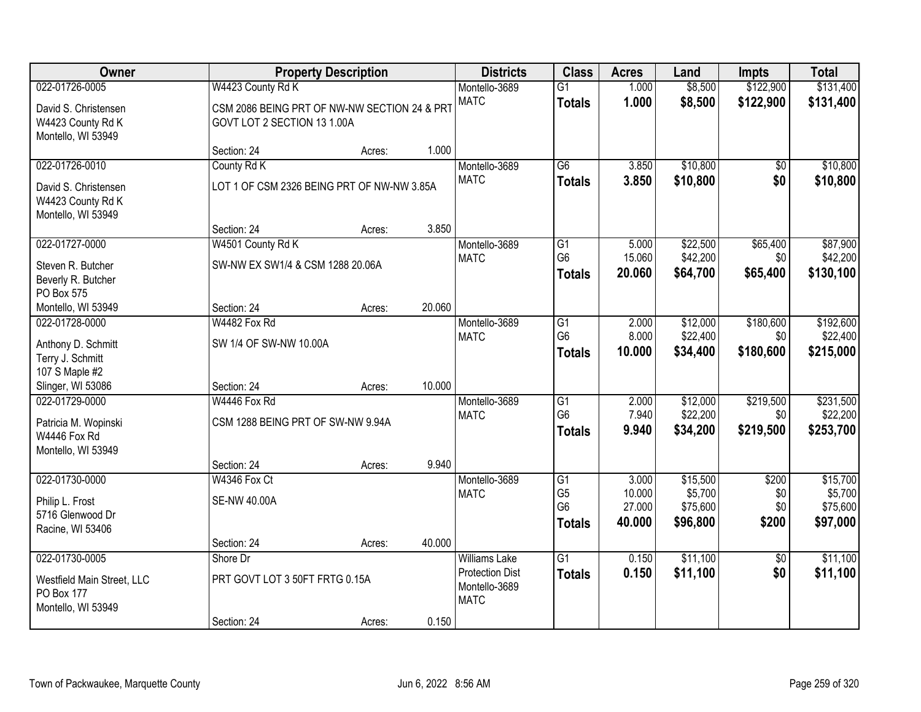| <b>Owner</b>                                                    |                                                                             | <b>Property Description</b> |        | <b>Districts</b>                                       | <b>Class</b>                      | <b>Acres</b>     | Land                 | <b>Impts</b>     | <b>Total</b>          |
|-----------------------------------------------------------------|-----------------------------------------------------------------------------|-----------------------------|--------|--------------------------------------------------------|-----------------------------------|------------------|----------------------|------------------|-----------------------|
| 022-01726-0005                                                  | W4423 County Rd K                                                           |                             |        | Montello-3689                                          | $\overline{G1}$                   | 1.000            | \$8,500              | \$122,900        | \$131,400             |
| David S. Christensen<br>W4423 County Rd K<br>Montello, WI 53949 | CSM 2086 BEING PRT OF NW-NW SECTION 24 & PRT<br>GOVT LOT 2 SECTION 13 1.00A |                             |        | <b>MATC</b>                                            | <b>Totals</b>                     | 1.000            | \$8,500              | \$122,900        | \$131,400             |
|                                                                 | Section: 24                                                                 | Acres:                      | 1.000  |                                                        |                                   |                  |                      |                  |                       |
| 022-01726-0010                                                  | County Rd K                                                                 |                             |        | Montello-3689<br><b>MATC</b>                           | $\overline{G6}$                   | 3.850            | \$10,800             | \$0              | \$10,800              |
| David S. Christensen<br>W4423 County Rd K<br>Montello, WI 53949 | LOT 1 OF CSM 2326 BEING PRT OF NW-NW 3.85A                                  |                             |        |                                                        | <b>Totals</b>                     | 3.850            | \$10,800             | \$0              | \$10,800              |
|                                                                 | Section: 24                                                                 | Acres:                      | 3.850  |                                                        |                                   |                  |                      |                  |                       |
| 022-01727-0000                                                  | W4501 County Rd K                                                           |                             |        | Montello-3689                                          | $\overline{G1}$                   | 5.000            | \$22,500             | \$65,400         | \$87,900              |
| Steven R. Butcher<br>Beverly R. Butcher                         | SW-NW EX SW1/4 & CSM 1288 20.06A                                            |                             |        | <b>MATC</b>                                            | G <sub>6</sub><br><b>Totals</b>   | 15.060<br>20.060 | \$42,200<br>\$64,700 | \$0<br>\$65,400  | \$42,200<br>\$130,100 |
| PO Box 575                                                      |                                                                             |                             |        |                                                        |                                   |                  |                      |                  |                       |
| Montello, WI 53949<br>022-01728-0000                            | Section: 24<br>W4482 Fox Rd                                                 | Acres:                      | 20.060 | Montello-3689                                          | G1                                | 2.000            | \$12,000             | \$180,600        | \$192,600             |
|                                                                 |                                                                             |                             |        | <b>MATC</b>                                            | G <sub>6</sub>                    | 8.000            | \$22,400             | \$0              | \$22,400              |
| Anthony D. Schmitt                                              | SW 1/4 OF SW-NW 10.00A                                                      |                             |        |                                                        | <b>Totals</b>                     | 10.000           | \$34,400             | \$180,600        | \$215,000             |
| Terry J. Schmitt                                                |                                                                             |                             |        |                                                        |                                   |                  |                      |                  |                       |
| 107 S Maple #2                                                  |                                                                             |                             |        |                                                        |                                   |                  |                      |                  |                       |
| Slinger, WI 53086<br>022-01729-0000                             | Section: 24<br>W4446 Fox Rd                                                 | Acres:                      | 10.000 |                                                        |                                   |                  | \$12,000             |                  |                       |
|                                                                 |                                                                             |                             |        | Montello-3689                                          | $\overline{G1}$<br>G <sub>6</sub> | 2.000<br>7.940   | \$22,200             | \$219,500<br>\$0 | \$231,500<br>\$22,200 |
| Patricia M. Wopinski                                            | CSM 1288 BEING PRT OF SW-NW 9.94A                                           |                             |        | <b>MATC</b>                                            |                                   | 9.940            | \$34,200             | \$219,500        | \$253,700             |
| W4446 Fox Rd                                                    |                                                                             |                             |        |                                                        | <b>Totals</b>                     |                  |                      |                  |                       |
| Montello, WI 53949                                              |                                                                             |                             |        |                                                        |                                   |                  |                      |                  |                       |
|                                                                 | Section: 24                                                                 | Acres:                      | 9.940  |                                                        |                                   |                  |                      |                  |                       |
| 022-01730-0000                                                  | W4346 Fox Ct                                                                |                             |        | Montello-3689                                          | G1                                | 3.000            | \$15,500             | \$200            | \$15,700              |
| Philip L. Frost                                                 | <b>SE-NW 40.00A</b>                                                         |                             |        | <b>MATC</b>                                            | G <sub>5</sub>                    | 10.000           | \$5,700              | \$0              | \$5,700               |
| 5716 Glenwood Dr                                                |                                                                             |                             |        |                                                        | G <sub>6</sub>                    | 27.000           | \$75,600             | \$0              | \$75,600              |
| Racine, WI 53406                                                |                                                                             |                             |        |                                                        | <b>Totals</b>                     | 40.000           | \$96,800             | \$200            | \$97,000              |
|                                                                 | Section: 24                                                                 | Acres:                      | 40.000 |                                                        |                                   |                  |                      |                  |                       |
| 022-01730-0005                                                  | Shore Dr                                                                    |                             |        | <b>Williams Lake</b>                                   | $\overline{G1}$                   | 0.150            | \$11,100             | $\overline{50}$  | \$11,100              |
| Westfield Main Street, LLC<br>PO Box 177<br>Montello, WI 53949  | PRT GOVT LOT 3 50FT FRTG 0.15A                                              |                             |        | <b>Protection Dist</b><br>Montello-3689<br><b>MATC</b> | <b>Totals</b>                     | 0.150            | \$11,100             | \$0              | \$11,100              |
|                                                                 | Section: 24                                                                 | Acres:                      | 0.150  |                                                        |                                   |                  |                      |                  |                       |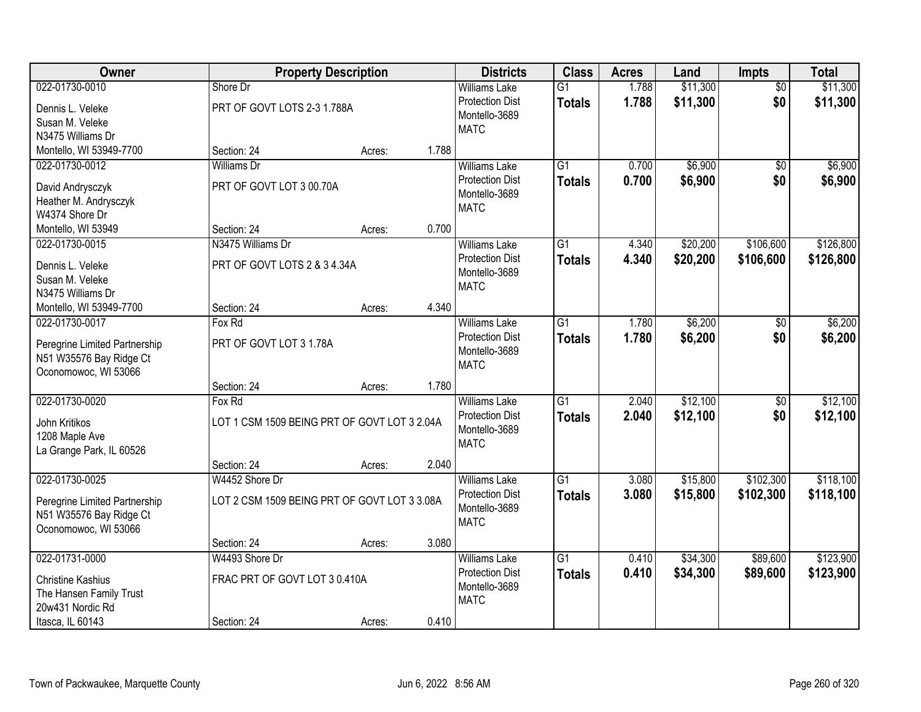| Owner                         | <b>Property Description</b>                  |        |       | <b>Districts</b>                               | <b>Class</b>    | <b>Acres</b> | Land     | <b>Impts</b>    | <b>Total</b> |
|-------------------------------|----------------------------------------------|--------|-------|------------------------------------------------|-----------------|--------------|----------|-----------------|--------------|
| 022-01730-0010                | Shore Dr                                     |        |       | <b>Williams Lake</b>                           | $\overline{G1}$ | 1.788        | \$11,300 | $\overline{50}$ | \$11,300     |
| Dennis L. Veleke              | PRT OF GOVT LOTS 2-3 1.788A                  |        |       | <b>Protection Dist</b>                         | <b>Totals</b>   | 1.788        | \$11,300 | \$0             | \$11,300     |
| Susan M. Veleke               |                                              |        |       | Montello-3689                                  |                 |              |          |                 |              |
| N3475 Williams Dr             |                                              |        |       | <b>MATC</b>                                    |                 |              |          |                 |              |
| Montello, WI 53949-7700       | Section: 24                                  | Acres: | 1.788 |                                                |                 |              |          |                 |              |
| 022-01730-0012                | <b>Williams Dr</b>                           |        |       | <b>Williams Lake</b>                           | $\overline{G1}$ | 0.700        | \$6,900  | \$0             | \$6,900      |
| David Andrysczyk              | PRT OF GOVT LOT 3 00.70A                     |        |       | <b>Protection Dist</b>                         | <b>Totals</b>   | 0.700        | \$6,900  | \$0             | \$6,900      |
| Heather M. Andrysczyk         |                                              |        |       | Montello-3689                                  |                 |              |          |                 |              |
| W4374 Shore Dr                |                                              |        |       | <b>MATC</b>                                    |                 |              |          |                 |              |
| Montello, WI 53949            | Section: 24                                  | Acres: | 0.700 |                                                |                 |              |          |                 |              |
| 022-01730-0015                | N3475 Williams Dr                            |        |       | <b>Williams Lake</b>                           | $\overline{G1}$ | 4.340        | \$20,200 | \$106,600       | \$126,800    |
|                               |                                              |        |       | <b>Protection Dist</b>                         | <b>Totals</b>   | 4.340        | \$20,200 | \$106,600       | \$126,800    |
| Dennis L. Veleke              | PRT OF GOVT LOTS 2 & 3 4.34A                 |        |       | Montello-3689                                  |                 |              |          |                 |              |
| Susan M. Veleke               |                                              |        |       | <b>MATC</b>                                    |                 |              |          |                 |              |
| N3475 Williams Dr             |                                              |        | 4.340 |                                                |                 |              |          |                 |              |
| Montello, WI 53949-7700       | Section: 24                                  | Acres: |       |                                                | $\overline{G1}$ |              |          |                 |              |
| 022-01730-0017                | Fox Rd                                       |        |       | <b>Williams Lake</b><br><b>Protection Dist</b> |                 | 1.780        | \$6,200  | \$0             | \$6,200      |
| Peregrine Limited Partnership | PRT OF GOVT LOT 3 1.78A                      |        |       | Montello-3689                                  | <b>Totals</b>   | 1.780        | \$6,200  | \$0             | \$6,200      |
| N51 W35576 Bay Ridge Ct       |                                              |        |       | <b>MATC</b>                                    |                 |              |          |                 |              |
| Oconomowoc, WI 53066          |                                              |        |       |                                                |                 |              |          |                 |              |
|                               | Section: 24                                  | Acres: | 1.780 |                                                |                 |              |          |                 |              |
| 022-01730-0020                | Fox Rd                                       |        |       | <b>Williams Lake</b>                           | $\overline{G1}$ | 2.040        | \$12,100 | $\overline{50}$ | \$12,100     |
| John Kritikos                 | LOT 1 CSM 1509 BEING PRT OF GOVT LOT 3 2.04A |        |       | <b>Protection Dist</b>                         | <b>Totals</b>   | 2.040        | \$12,100 | \$0             | \$12,100     |
| 1208 Maple Ave                |                                              |        |       | Montello-3689                                  |                 |              |          |                 |              |
| La Grange Park, IL 60526      |                                              |        |       | <b>MATC</b>                                    |                 |              |          |                 |              |
|                               | Section: 24                                  | Acres: | 2.040 |                                                |                 |              |          |                 |              |
| 022-01730-0025                | W4452 Shore Dr                               |        |       | Williams Lake                                  | $\overline{G1}$ | 3.080        | \$15,800 | \$102,300       | \$118,100    |
| Peregrine Limited Partnership | LOT 2 CSM 1509 BEING PRT OF GOVT LOT 3 3.08A |        |       | <b>Protection Dist</b>                         | <b>Totals</b>   | 3.080        | \$15,800 | \$102,300       | \$118,100    |
| N51 W35576 Bay Ridge Ct       |                                              |        |       | Montello-3689                                  |                 |              |          |                 |              |
| Oconomowoc, WI 53066          |                                              |        |       | <b>MATC</b>                                    |                 |              |          |                 |              |
|                               | Section: 24                                  | Acres: | 3.080 |                                                |                 |              |          |                 |              |
| 022-01731-0000                | W4493 Shore Dr                               |        |       | <b>Williams Lake</b>                           | $\overline{G1}$ | 0.410        | \$34,300 | \$89,600        | \$123,900    |
|                               |                                              |        |       | <b>Protection Dist</b>                         | <b>Totals</b>   | 0.410        | \$34,300 | \$89,600        | \$123,900    |
| <b>Christine Kashius</b>      | FRAC PRT OF GOVT LOT 3 0.410A                |        |       | Montello-3689                                  |                 |              |          |                 |              |
| The Hansen Family Trust       |                                              |        |       | <b>MATC</b>                                    |                 |              |          |                 |              |
| 20w431 Nordic Rd              |                                              |        |       |                                                |                 |              |          |                 |              |
| Itasca, IL 60143              | Section: 24                                  | Acres: | 0.410 |                                                |                 |              |          |                 |              |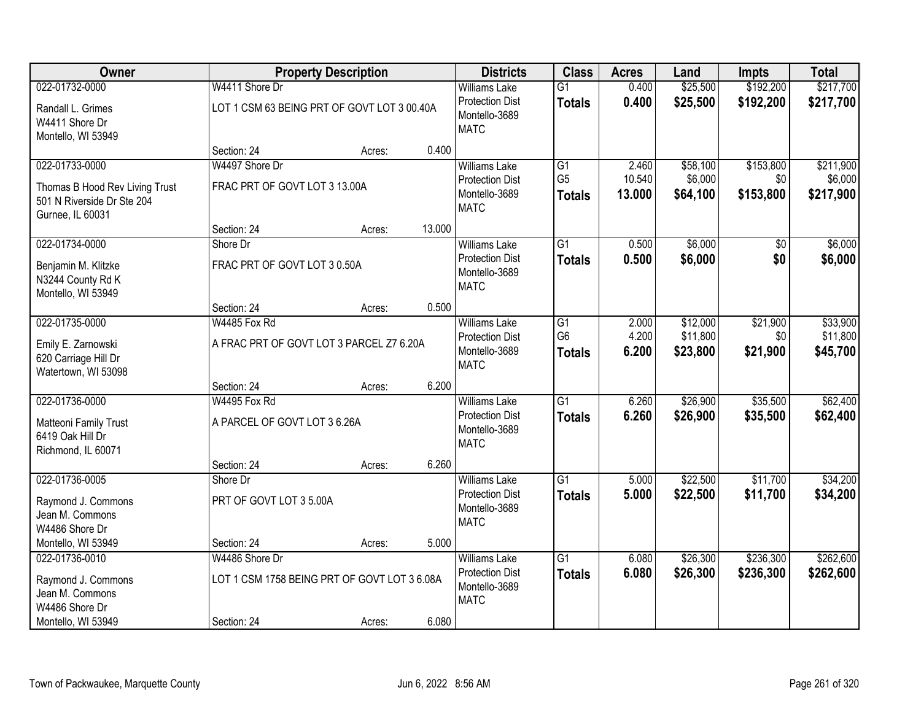| <b>Owner</b>                                                      |                                              | <b>Property Description</b> |        | <b>Districts</b>                                       | <b>Class</b>                    | <b>Acres</b>   | Land                 | <b>Impts</b>    | <b>Total</b>         |
|-------------------------------------------------------------------|----------------------------------------------|-----------------------------|--------|--------------------------------------------------------|---------------------------------|----------------|----------------------|-----------------|----------------------|
| 022-01732-0000                                                    | W4411 Shore Dr                               |                             |        | <b>Williams Lake</b>                                   | $\overline{G1}$                 | 0.400          | \$25,500             | \$192,200       | \$217,700            |
| Randall L. Grimes<br>W4411 Shore Dr<br>Montello, WI 53949         | LOT 1 CSM 63 BEING PRT OF GOVT LOT 3 00.40A  |                             |        | <b>Protection Dist</b><br>Montello-3689<br><b>MATC</b> | <b>Totals</b>                   | 0.400          | \$25,500             | \$192,200       | \$217,700            |
|                                                                   | Section: 24                                  | Acres:                      | 0.400  |                                                        |                                 |                |                      |                 |                      |
| 022-01733-0000                                                    | W4497 Shore Dr                               |                             |        | <b>Williams Lake</b>                                   | $\overline{G1}$                 | 2.460          | \$58,100             | \$153,800       | \$211,900            |
| Thomas B Hood Rev Living Trust                                    | FRAC PRT OF GOVT LOT 3 13.00A                |                             |        | <b>Protection Dist</b>                                 | G <sub>5</sub>                  | 10.540         | \$6,000              | \$0             | \$6,000              |
| 501 N Riverside Dr Ste 204<br>Gurnee, IL 60031                    |                                              |                             |        | Montello-3689<br><b>MATC</b>                           | <b>Totals</b>                   | 13.000         | \$64,100             | \$153,800       | \$217,900            |
|                                                                   | Section: 24                                  | Acres:                      | 13.000 |                                                        |                                 |                |                      |                 |                      |
| 022-01734-0000                                                    | Shore Dr                                     |                             |        | <b>Williams Lake</b>                                   | G1                              | 0.500          | \$6,000              | \$0             | \$6,000              |
| Benjamin M. Klitzke<br>N3244 County Rd K<br>Montello, WI 53949    | FRAC PRT OF GOVT LOT 3 0.50A                 |                             |        | <b>Protection Dist</b><br>Montello-3689<br><b>MATC</b> | <b>Totals</b>                   | 0.500          | \$6,000              | \$0             | \$6,000              |
|                                                                   | Section: 24                                  | Acres:                      | 0.500  |                                                        |                                 |                |                      |                 |                      |
| 022-01735-0000                                                    | W4485 Fox Rd                                 |                             |        | <b>Williams Lake</b>                                   | G1                              | 2.000          | \$12,000             | \$21,900        | \$33,900             |
| Emily E. Zarnowski<br>620 Carriage Hill Dr<br>Watertown, WI 53098 | A FRAC PRT OF GOVT LOT 3 PARCEL Z7 6.20A     |                             |        | <b>Protection Dist</b><br>Montello-3689<br><b>MATC</b> | G <sub>6</sub><br><b>Totals</b> | 4.200<br>6.200 | \$11,800<br>\$23,800 | \$0<br>\$21,900 | \$11,800<br>\$45,700 |
|                                                                   | Section: 24                                  | Acres:                      | 6.200  |                                                        |                                 |                |                      |                 |                      |
| 022-01736-0000                                                    | W4495 Fox Rd                                 |                             |        | <b>Williams Lake</b>                                   | $\overline{G1}$                 | 6.260          | \$26,900             | \$35,500        | \$62,400             |
| Matteoni Family Trust<br>6419 Oak Hill Dr<br>Richmond, IL 60071   | A PARCEL OF GOVT LOT 3 6.26A                 |                             |        | <b>Protection Dist</b><br>Montello-3689<br><b>MATC</b> | <b>Totals</b>                   | 6.260          | \$26,900             | \$35,500        | \$62,400             |
|                                                                   | Section: 24                                  | Acres:                      | 6.260  |                                                        |                                 |                |                      |                 |                      |
| 022-01736-0005                                                    | Shore Dr                                     |                             |        | <b>Williams Lake</b>                                   | $\overline{G1}$                 | 5.000          | \$22,500             | \$11,700        | \$34,200             |
| Raymond J. Commons<br>Jean M. Commons<br>W4486 Shore Dr           | PRT OF GOVT LOT 3 5.00A                      |                             |        | <b>Protection Dist</b><br>Montello-3689<br><b>MATC</b> | <b>Totals</b>                   | 5.000          | \$22,500             | \$11,700        | \$34,200             |
| Montello, WI 53949                                                | Section: 24                                  | Acres:                      | 5.000  |                                                        |                                 |                |                      |                 |                      |
| 022-01736-0010                                                    | W4486 Shore Dr                               |                             |        | <b>Williams Lake</b>                                   | $\overline{G1}$                 | 6.080          | \$26,300             | \$236,300       | \$262,600            |
| Raymond J. Commons<br>Jean M. Commons<br>W4486 Shore Dr           | LOT 1 CSM 1758 BEING PRT OF GOVT LOT 3 6.08A |                             |        | <b>Protection Dist</b><br>Montello-3689<br><b>MATC</b> | <b>Totals</b>                   | 6.080          | \$26,300             | \$236,300       | \$262,600            |
| Montello, WI 53949                                                | Section: 24                                  | Acres:                      | 6.080  |                                                        |                                 |                |                      |                 |                      |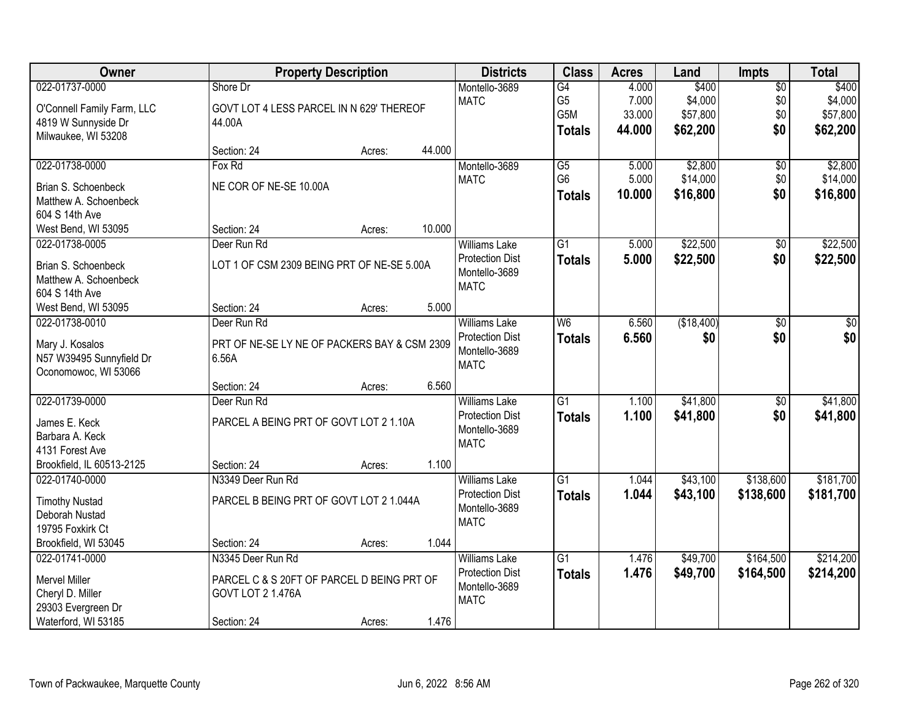| Owner                      |                                              | <b>Property Description</b> |        | <b>Districts</b>       | <b>Class</b>    | <b>Acres</b> | Land       | Impts           | <b>Total</b> |
|----------------------------|----------------------------------------------|-----------------------------|--------|------------------------|-----------------|--------------|------------|-----------------|--------------|
| 022-01737-0000             | Shore Dr                                     |                             |        | Montello-3689          | $\overline{G4}$ | 4.000        | \$400      | $\overline{50}$ | \$400        |
| O'Connell Family Farm, LLC | GOVT LOT 4 LESS PARCEL IN N 629' THEREOF     |                             |        | <b>MATC</b>            | G <sub>5</sub>  | 7.000        | \$4,000    | \$0             | \$4,000      |
| 4819 W Sunnyside Dr        | 44.00A                                       |                             |        |                        | G5M             | 33.000       | \$57,800   | \$0             | \$57,800     |
| Milwaukee, WI 53208        |                                              |                             |        |                        | <b>Totals</b>   | 44.000       | \$62,200   | \$0             | \$62,200     |
|                            | Section: 24                                  | Acres:                      | 44.000 |                        |                 |              |            |                 |              |
| 022-01738-0000             | Fox Rd                                       |                             |        | Montello-3689          | $\overline{G5}$ | 5.000        | \$2,800    | $\overline{50}$ | \$2,800      |
| Brian S. Schoenbeck        | NE COR OF NE-SE 10.00A                       |                             |        | <b>MATC</b>            | G <sub>6</sub>  | 5.000        | \$14,000   | \$0             | \$14,000     |
| Matthew A. Schoenbeck      |                                              |                             |        |                        | <b>Totals</b>   | 10.000       | \$16,800   | \$0             | \$16,800     |
| 604 S 14th Ave             |                                              |                             |        |                        |                 |              |            |                 |              |
| West Bend, WI 53095        | Section: 24                                  | Acres:                      | 10.000 |                        |                 |              |            |                 |              |
| 022-01738-0005             | Deer Run Rd                                  |                             |        | <b>Williams Lake</b>   | $\overline{G1}$ | 5.000        | \$22,500   | $\overline{50}$ | \$22,500     |
| Brian S. Schoenbeck        | LOT 1 OF CSM 2309 BEING PRT OF NE-SE 5.00A   |                             |        | <b>Protection Dist</b> | <b>Totals</b>   | 5.000        | \$22,500   | \$0             | \$22,500     |
| Matthew A. Schoenbeck      |                                              |                             |        | Montello-3689          |                 |              |            |                 |              |
| 604 S 14th Ave             |                                              |                             |        | <b>MATC</b>            |                 |              |            |                 |              |
| West Bend, WI 53095        | Section: 24                                  | Acres:                      | 5.000  |                        |                 |              |            |                 |              |
| 022-01738-0010             | Deer Run Rd                                  |                             |        | <b>Williams Lake</b>   | W <sub>6</sub>  | 6.560        | (\$18,400) | \$0             | \$0          |
|                            |                                              |                             |        | <b>Protection Dist</b> | <b>Totals</b>   | 6.560        | \$0        | \$0             | \$0          |
| Mary J. Kosalos            | PRT OF NE-SE LY NE OF PACKERS BAY & CSM 2309 |                             |        | Montello-3689          |                 |              |            |                 |              |
| N57 W39495 Sunnyfield Dr   | 6.56A                                        |                             |        | <b>MATC</b>            |                 |              |            |                 |              |
| Oconomowoc, WI 53066       |                                              |                             | 6.560  |                        |                 |              |            |                 |              |
| 022-01739-0000             | Section: 24<br>Deer Run Rd                   | Acres:                      |        | <b>Williams Lake</b>   | $\overline{G1}$ | 1.100        | \$41,800   | $\overline{50}$ | \$41,800     |
|                            |                                              |                             |        | <b>Protection Dist</b> |                 | 1.100        | \$41,800   | \$0             | \$41,800     |
| James E. Keck              | PARCEL A BEING PRT OF GOVT LOT 2 1.10A       |                             |        | Montello-3689          | <b>Totals</b>   |              |            |                 |              |
| Barbara A. Keck            |                                              |                             |        | <b>MATC</b>            |                 |              |            |                 |              |
| 4131 Forest Ave            |                                              |                             |        |                        |                 |              |            |                 |              |
| Brookfield, IL 60513-2125  | Section: 24                                  | Acres:                      | 1.100  |                        |                 |              |            |                 |              |
| 022-01740-0000             | N3349 Deer Run Rd                            |                             |        | <b>Williams Lake</b>   | $\overline{G1}$ | 1.044        | \$43,100   | \$138,600       | \$181,700    |
| <b>Timothy Nustad</b>      | PARCEL B BEING PRT OF GOVT LOT 2 1.044A      |                             |        | <b>Protection Dist</b> | <b>Totals</b>   | 1.044        | \$43,100   | \$138,600       | \$181,700    |
| Deborah Nustad             |                                              |                             |        | Montello-3689          |                 |              |            |                 |              |
| 19795 Foxkirk Ct           |                                              |                             |        | <b>MATC</b>            |                 |              |            |                 |              |
| Brookfield, WI 53045       | Section: 24                                  | Acres:                      | 1.044  |                        |                 |              |            |                 |              |
| 022-01741-0000             | N3345 Deer Run Rd                            |                             |        | <b>Williams Lake</b>   | $\overline{G1}$ | 1.476        | \$49,700   | \$164,500       | \$214,200    |
| Mervel Miller              | PARCEL C & S 20FT OF PARCEL D BEING PRT OF   |                             |        | <b>Protection Dist</b> | <b>Totals</b>   | 1.476        | \$49,700   | \$164,500       | \$214,200    |
| Cheryl D. Miller           | <b>GOVT LOT 2 1.476A</b>                     |                             |        | Montello-3689          |                 |              |            |                 |              |
| 29303 Evergreen Dr         |                                              |                             |        | <b>MATC</b>            |                 |              |            |                 |              |
| Waterford, WI 53185        | Section: 24                                  | Acres:                      | 1.476  |                        |                 |              |            |                 |              |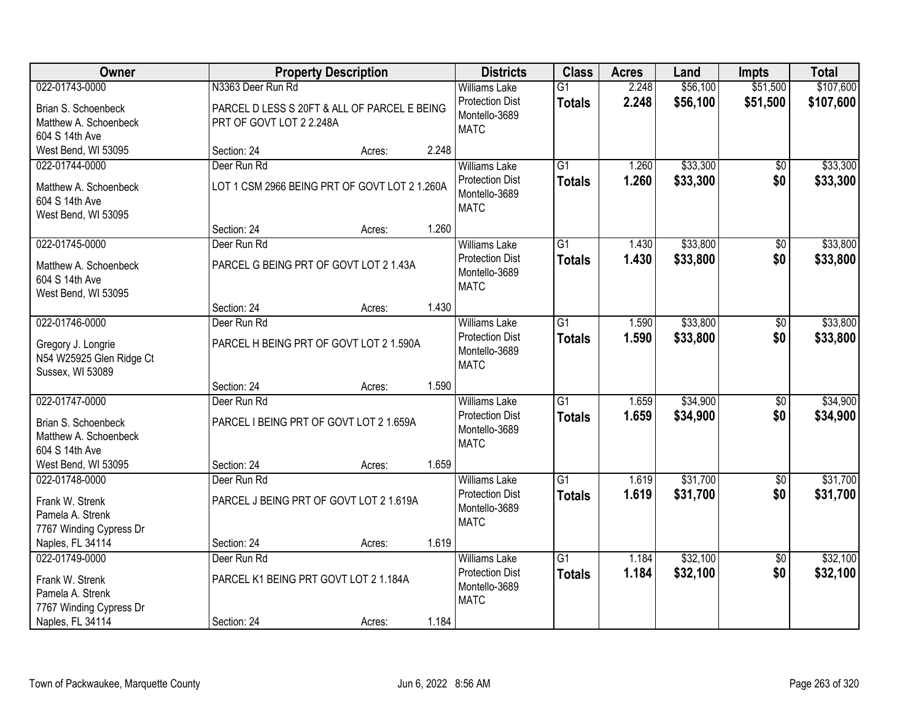| Owner                                                                                                |                            | <b>Property Description</b>                     |       | <b>Districts</b>                                                               | <b>Class</b>                     | <b>Acres</b>   | Land                 | <b>Impts</b>           | <b>Total</b>         |
|------------------------------------------------------------------------------------------------------|----------------------------|-------------------------------------------------|-------|--------------------------------------------------------------------------------|----------------------------------|----------------|----------------------|------------------------|----------------------|
| 022-01743-0000                                                                                       | N3363 Deer Run Rd          |                                                 |       | <b>Williams Lake</b>                                                           | $\overline{G1}$                  | 2.248          | \$56,100             | \$51,500               | \$107,600            |
| Brian S. Schoenbeck<br>Matthew A. Schoenbeck<br>604 S 14th Ave                                       | PRT OF GOVT LOT 2 2.248A   | PARCEL D LESS S 20FT & ALL OF PARCEL E BEING    |       | <b>Protection Dist</b><br>Montello-3689<br><b>MATC</b>                         | <b>Totals</b>                    | 2.248          | \$56,100             | \$51,500               | \$107,600            |
| West Bend, WI 53095                                                                                  | Section: 24                | Acres:                                          | 2.248 |                                                                                |                                  |                |                      |                        |                      |
| 022-01744-0000<br>Matthew A. Schoenbeck<br>604 S 14th Ave<br>West Bend, WI 53095                     | Deer Run Rd                | LOT 1 CSM 2966 BEING PRT OF GOVT LOT 2 1.260A   |       | <b>Williams Lake</b><br><b>Protection Dist</b><br>Montello-3689<br><b>MATC</b> | $\overline{G1}$<br><b>Totals</b> | 1.260<br>1.260 | \$33,300<br>\$33,300 | $\overline{50}$<br>\$0 | \$33,300<br>\$33,300 |
|                                                                                                      | Section: 24                | Acres:                                          | 1.260 |                                                                                |                                  |                |                      |                        |                      |
| 022-01745-0000<br>Matthew A. Schoenbeck<br>604 S 14th Ave<br>West Bend, WI 53095                     | Deer Run Rd                | PARCEL G BEING PRT OF GOVT LOT 2 1.43A          |       | <b>Williams Lake</b><br><b>Protection Dist</b><br>Montello-3689<br><b>MATC</b> | $\overline{G1}$<br><b>Totals</b> | 1.430<br>1.430 | \$33,800<br>\$33,800 | \$0<br>\$0             | \$33,800<br>\$33,800 |
|                                                                                                      | Section: 24                | Acres:                                          | 1.430 |                                                                                |                                  |                |                      |                        |                      |
| 022-01746-0000<br>Gregory J. Longrie<br>N54 W25925 Glen Ridge Ct<br>Sussex, WI 53089                 | Deer Run Rd                | PARCEL H BEING PRT OF GOVT LOT 2 1.590A         |       | <b>Williams Lake</b><br><b>Protection Dist</b><br>Montello-3689<br><b>MATC</b> | $\overline{G1}$<br><b>Totals</b> | 1.590<br>1.590 | \$33,800<br>\$33,800 | \$0<br>\$0             | \$33,800<br>\$33,800 |
|                                                                                                      | Section: 24                | Acres:                                          | 1.590 |                                                                                |                                  |                |                      |                        |                      |
| 022-01747-0000<br>Brian S. Schoenbeck<br>Matthew A. Schoenbeck<br>604 S 14th Ave                     | Deer Run Rd                | PARCEL I BEING PRT OF GOVT LOT 2 1.659A         |       | <b>Williams Lake</b><br><b>Protection Dist</b><br>Montello-3689<br><b>MATC</b> | $\overline{G1}$<br><b>Totals</b> | 1.659<br>1.659 | \$34,900<br>\$34,900 | \$0<br>\$0             | \$34,900<br>\$34,900 |
| West Bend, WI 53095                                                                                  | Section: 24                | Acres:                                          | 1.659 |                                                                                |                                  |                |                      |                        |                      |
| 022-01748-0000<br>Frank W. Strenk<br>Pamela A. Strenk<br>7767 Winding Cypress Dr                     | Deer Run Rd                | PARCEL J BEING PRT OF GOVT LOT 2 1.619A         |       | <b>Williams Lake</b><br><b>Protection Dist</b><br>Montello-3689<br><b>MATC</b> | $\overline{G1}$<br><b>Totals</b> | 1.619<br>1.619 | \$31,700<br>\$31,700 | $\sqrt{6}$<br>\$0      | \$31,700<br>\$31,700 |
| Naples, FL 34114                                                                                     | Section: 24                | Acres:                                          | 1.619 |                                                                                |                                  |                |                      |                        |                      |
| 022-01749-0000<br>Frank W. Strenk<br>Pamela A. Strenk<br>7767 Winding Cypress Dr<br>Naples, FL 34114 | Deer Run Rd<br>Section: 24 | PARCEL K1 BEING PRT GOVT LOT 2 1.184A<br>Acres: | 1.184 | <b>Williams Lake</b><br><b>Protection Dist</b><br>Montello-3689<br><b>MATC</b> | $\overline{G1}$<br><b>Totals</b> | 1.184<br>1.184 | \$32,100<br>\$32,100 | $\overline{50}$<br>\$0 | \$32,100<br>\$32,100 |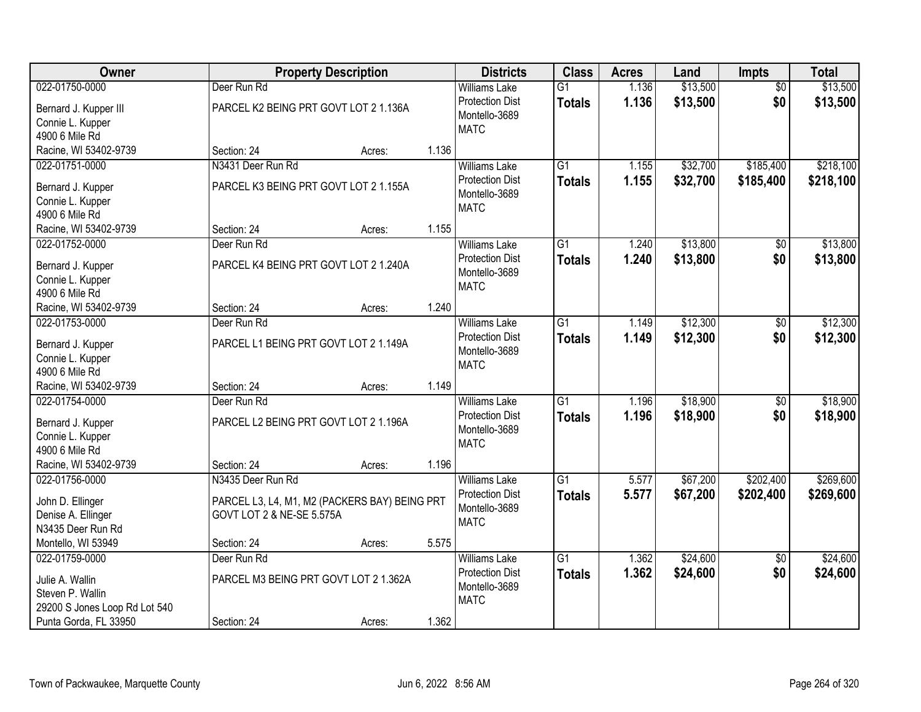| Owner                              |                                       | <b>Property Description</b>                   |       | <b>Districts</b>       | <b>Class</b>    | <b>Acres</b> | Land     | <b>Impts</b>    | <b>Total</b> |
|------------------------------------|---------------------------------------|-----------------------------------------------|-------|------------------------|-----------------|--------------|----------|-----------------|--------------|
| 022-01750-0000                     | Deer Run Rd                           |                                               |       | <b>Williams Lake</b>   | $\overline{G1}$ | 1.136        | \$13,500 | $\overline{50}$ | \$13,500     |
| Bernard J. Kupper III              | PARCEL K2 BEING PRT GOVT LOT 2 1.136A |                                               |       | <b>Protection Dist</b> | <b>Totals</b>   | 1.136        | \$13,500 | \$0             | \$13,500     |
| Connie L. Kupper                   |                                       |                                               |       | Montello-3689          |                 |              |          |                 |              |
| 4900 6 Mile Rd                     |                                       |                                               |       | <b>MATC</b>            |                 |              |          |                 |              |
| Racine, WI 53402-9739              | Section: 24                           | Acres:                                        | 1.136 |                        |                 |              |          |                 |              |
| 022-01751-0000                     | N3431 Deer Run Rd                     |                                               |       | <b>Williams Lake</b>   | $\overline{G1}$ | 1.155        | \$32,700 | \$185,400       | \$218,100    |
| Bernard J. Kupper                  | PARCEL K3 BEING PRT GOVT LOT 2 1.155A |                                               |       | <b>Protection Dist</b> | <b>Totals</b>   | 1.155        | \$32,700 | \$185,400       | \$218,100    |
| Connie L. Kupper                   |                                       |                                               |       | Montello-3689          |                 |              |          |                 |              |
| 4900 6 Mile Rd                     |                                       |                                               |       | <b>MATC</b>            |                 |              |          |                 |              |
| Racine, WI 53402-9739              | Section: 24                           | Acres:                                        | 1.155 |                        |                 |              |          |                 |              |
| 022-01752-0000                     | Deer Run Rd                           |                                               |       | <b>Williams Lake</b>   | G1              | 1.240        | \$13,800 | \$0             | \$13,800     |
|                                    |                                       |                                               |       | <b>Protection Dist</b> | <b>Totals</b>   | 1.240        | \$13,800 | \$0             | \$13,800     |
| Bernard J. Kupper                  | PARCEL K4 BEING PRT GOVT LOT 2 1.240A |                                               |       | Montello-3689          |                 |              |          |                 |              |
| Connie L. Kupper<br>4900 6 Mile Rd |                                       |                                               |       | <b>MATC</b>            |                 |              |          |                 |              |
| Racine, WI 53402-9739              | Section: 24                           | Acres:                                        | 1.240 |                        |                 |              |          |                 |              |
| 022-01753-0000                     | Deer Run Rd                           |                                               |       | <b>Williams Lake</b>   | $\overline{G1}$ | 1.149        | \$12,300 | $\sqrt[6]{}$    | \$12,300     |
|                                    |                                       |                                               |       | <b>Protection Dist</b> |                 | 1.149        | \$12,300 | \$0             |              |
| Bernard J. Kupper                  | PARCEL L1 BEING PRT GOVT LOT 2 1.149A |                                               |       | Montello-3689          | <b>Totals</b>   |              |          |                 | \$12,300     |
| Connie L. Kupper                   |                                       |                                               |       | <b>MATC</b>            |                 |              |          |                 |              |
| 4900 6 Mile Rd                     |                                       |                                               |       |                        |                 |              |          |                 |              |
| Racine, WI 53402-9739              | Section: 24                           | Acres:                                        | 1.149 |                        |                 |              |          |                 |              |
| 022-01754-0000                     | Deer Run Rd                           |                                               |       | <b>Williams Lake</b>   | $\overline{G1}$ | 1.196        | \$18,900 | $\overline{$0}$ | \$18,900     |
| Bernard J. Kupper                  | PARCEL L2 BEING PRT GOVT LOT 2 1.196A |                                               |       | <b>Protection Dist</b> | <b>Totals</b>   | 1.196        | \$18,900 | \$0             | \$18,900     |
| Connie L. Kupper                   |                                       |                                               |       | Montello-3689          |                 |              |          |                 |              |
| 4900 6 Mile Rd                     |                                       |                                               |       | <b>MATC</b>            |                 |              |          |                 |              |
| Racine, WI 53402-9739              | Section: 24                           | Acres:                                        | 1.196 |                        |                 |              |          |                 |              |
| 022-01756-0000                     | N3435 Deer Run Rd                     |                                               |       | <b>Williams Lake</b>   | $\overline{G1}$ | 5.577        | \$67,200 | \$202,400       | \$269,600    |
| John D. Ellinger                   |                                       | PARCEL L3, L4, M1, M2 (PACKERS BAY) BEING PRT |       | <b>Protection Dist</b> | <b>Totals</b>   | 5.577        | \$67,200 | \$202,400       | \$269,600    |
| Denise A. Ellinger                 | GOVT LOT 2 & NE-SE 5.575A             |                                               |       | Montello-3689          |                 |              |          |                 |              |
| N3435 Deer Run Rd                  |                                       |                                               |       | <b>MATC</b>            |                 |              |          |                 |              |
| Montello, WI 53949                 | Section: 24                           | Acres:                                        | 5.575 |                        |                 |              |          |                 |              |
| 022-01759-0000                     | Deer Run Rd                           |                                               |       | <b>Williams Lake</b>   | $\overline{G1}$ | 1.362        | \$24,600 | $\overline{60}$ | \$24,600     |
|                                    |                                       |                                               |       | <b>Protection Dist</b> | <b>Totals</b>   | 1.362        | \$24,600 | \$0             | \$24,600     |
| Julie A. Wallin                    |                                       | PARCEL M3 BEING PRT GOVT LOT 2 1.362A         |       | Montello-3689          |                 |              |          |                 |              |
| Steven P. Wallin                   |                                       |                                               |       | <b>MATC</b>            |                 |              |          |                 |              |
| 29200 S Jones Loop Rd Lot 540      |                                       |                                               |       |                        |                 |              |          |                 |              |
| Punta Gorda, FL 33950              | Section: 24                           | Acres:                                        | 1.362 |                        |                 |              |          |                 |              |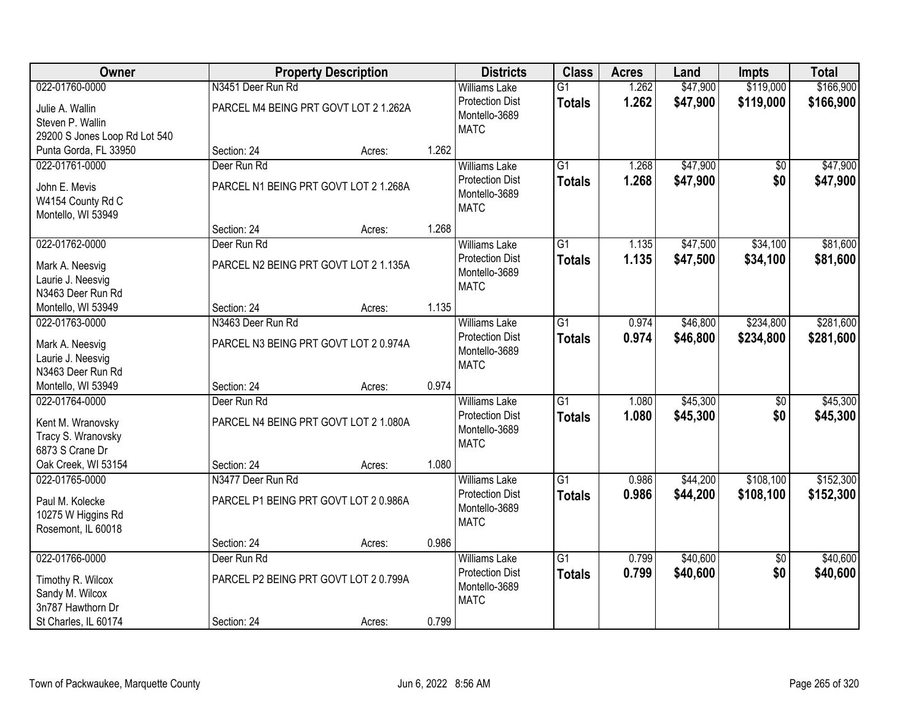| Owner                         |                   | <b>Property Description</b>           |       | <b>Districts</b>       | <b>Class</b>    | <b>Acres</b> | Land     | <b>Impts</b>    | <b>Total</b> |
|-------------------------------|-------------------|---------------------------------------|-------|------------------------|-----------------|--------------|----------|-----------------|--------------|
| 022-01760-0000                | N3451 Deer Run Rd |                                       |       | <b>Williams Lake</b>   | $\overline{G1}$ | 1.262        | \$47,900 | \$119,000       | \$166,900    |
| Julie A. Wallin               |                   | PARCEL M4 BEING PRT GOVT LOT 2 1.262A |       | <b>Protection Dist</b> | <b>Totals</b>   | 1.262        | \$47,900 | \$119,000       | \$166,900    |
| Steven P. Wallin              |                   |                                       |       | Montello-3689          |                 |              |          |                 |              |
| 29200 S Jones Loop Rd Lot 540 |                   |                                       |       | <b>MATC</b>            |                 |              |          |                 |              |
| Punta Gorda, FL 33950         | Section: 24       | Acres:                                | 1.262 |                        |                 |              |          |                 |              |
| 022-01761-0000                | Deer Run Rd       |                                       |       | <b>Williams Lake</b>   | $\overline{G1}$ | 1.268        | \$47,900 | $\overline{50}$ | \$47,900     |
|                               |                   |                                       |       | <b>Protection Dist</b> | <b>Totals</b>   | 1.268        | \$47,900 | \$0             | \$47,900     |
| John E. Mevis                 |                   | PARCEL N1 BEING PRT GOVT LOT 2 1.268A |       | Montello-3689          |                 |              |          |                 |              |
| W4154 County Rd C             |                   |                                       |       | <b>MATC</b>            |                 |              |          |                 |              |
| Montello, WI 53949            |                   |                                       |       |                        |                 |              |          |                 |              |
|                               | Section: 24       | Acres:                                | 1.268 |                        |                 |              |          |                 |              |
| 022-01762-0000                | Deer Run Rd       |                                       |       | <b>Williams Lake</b>   | G1              | 1.135        | \$47,500 | \$34,100        | \$81,600     |
| Mark A. Neesvig               |                   | PARCEL N2 BEING PRT GOVT LOT 2 1.135A |       | <b>Protection Dist</b> | <b>Totals</b>   | 1.135        | \$47,500 | \$34,100        | \$81,600     |
| Laurie J. Neesvig             |                   |                                       |       | Montello-3689          |                 |              |          |                 |              |
| N3463 Deer Run Rd             |                   |                                       |       | <b>MATC</b>            |                 |              |          |                 |              |
| Montello, WI 53949            | Section: 24       | Acres:                                | 1.135 |                        |                 |              |          |                 |              |
| 022-01763-0000                | N3463 Deer Run Rd |                                       |       | <b>Williams Lake</b>   | G1              | 0.974        | \$46,800 | \$234,800       | \$281,600    |
|                               |                   |                                       |       | <b>Protection Dist</b> | <b>Totals</b>   | 0.974        | \$46,800 | \$234,800       | \$281,600    |
| Mark A. Neesvig               |                   | PARCEL N3 BEING PRT GOVT LOT 2 0.974A |       | Montello-3689          |                 |              |          |                 |              |
| Laurie J. Neesvig             |                   |                                       |       | <b>MATC</b>            |                 |              |          |                 |              |
| N3463 Deer Run Rd             |                   |                                       |       |                        |                 |              |          |                 |              |
| Montello, WI 53949            | Section: 24       | Acres:                                | 0.974 |                        |                 |              |          |                 |              |
| 022-01764-0000                | Deer Run Rd       |                                       |       | <b>Williams Lake</b>   | $\overline{G1}$ | 1.080        | \$45,300 | $\overline{50}$ | \$45,300     |
| Kent M. Wranovsky             |                   | PARCEL N4 BEING PRT GOVT LOT 2 1.080A |       | <b>Protection Dist</b> | <b>Totals</b>   | 1.080        | \$45,300 | \$0             | \$45,300     |
| Tracy S. Wranovsky            |                   |                                       |       | Montello-3689          |                 |              |          |                 |              |
| 6873 S Crane Dr               |                   |                                       |       | <b>MATC</b>            |                 |              |          |                 |              |
| Oak Creek, WI 53154           | Section: 24       | Acres:                                | 1.080 |                        |                 |              |          |                 |              |
| 022-01765-0000                | N3477 Deer Run Rd |                                       |       | <b>Williams Lake</b>   | $\overline{G1}$ | 0.986        | \$44,200 | \$108,100       | \$152,300    |
|                               |                   |                                       |       | <b>Protection Dist</b> | <b>Totals</b>   | 0.986        | \$44,200 | \$108,100       | \$152,300    |
| Paul M. Kolecke               |                   | PARCEL P1 BEING PRT GOVT LOT 2 0.986A |       | Montello-3689          |                 |              |          |                 |              |
| 10275 W Higgins Rd            |                   |                                       |       | <b>MATC</b>            |                 |              |          |                 |              |
| Rosemont, IL 60018            |                   |                                       |       |                        |                 |              |          |                 |              |
|                               | Section: 24       | Acres:                                | 0.986 |                        |                 |              |          |                 |              |
| 022-01766-0000                | Deer Run Rd       |                                       |       | <b>Williams Lake</b>   | $\overline{G1}$ | 0.799        | \$40,600 | $\overline{50}$ | \$40,600     |
| Timothy R. Wilcox             |                   | PARCEL P2 BEING PRT GOVT LOT 2 0.799A |       | <b>Protection Dist</b> | <b>Totals</b>   | 0.799        | \$40,600 | \$0             | \$40,600     |
| Sandy M. Wilcox               |                   |                                       |       | Montello-3689          |                 |              |          |                 |              |
| 3n787 Hawthorn Dr             |                   |                                       |       | <b>MATC</b>            |                 |              |          |                 |              |
| St Charles, IL 60174          | Section: 24       | Acres:                                | 0.799 |                        |                 |              |          |                 |              |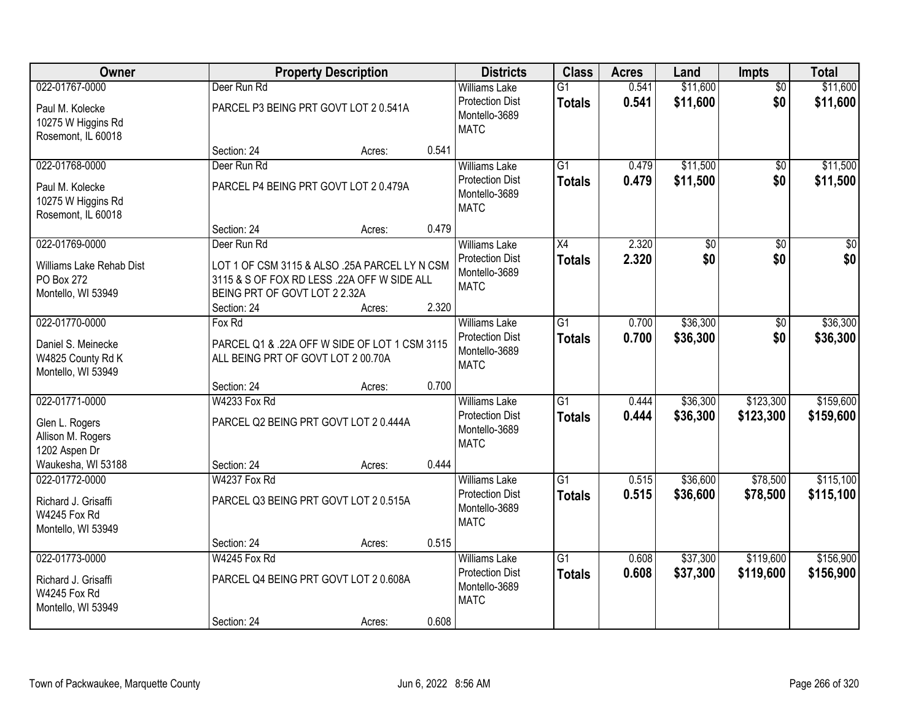| Owner                                                                  |                                              | <b>Property Description</b>                                                                            | <b>Districts</b>                                                               | <b>Class</b>                     | <b>Acres</b>   | Land                 | <b>Impts</b>           | <b>Total</b>           |
|------------------------------------------------------------------------|----------------------------------------------|--------------------------------------------------------------------------------------------------------|--------------------------------------------------------------------------------|----------------------------------|----------------|----------------------|------------------------|------------------------|
| 022-01767-0000                                                         | Deer Run Rd                                  |                                                                                                        | <b>Williams Lake</b>                                                           | $\overline{G1}$                  | 0.541          | \$11,600             | $\overline{50}$        | \$11,600               |
| Paul M. Kolecke<br>10275 W Higgins Rd<br>Rosemont, IL 60018            |                                              | PARCEL P3 BEING PRT GOVT LOT 2 0.541A                                                                  | <b>Protection Dist</b><br>Montello-3689<br><b>MATC</b>                         | <b>Totals</b>                    | 0.541          | \$11,600             | \$0                    | \$11,600               |
|                                                                        | Section: 24                                  | Acres:                                                                                                 | 0.541                                                                          |                                  |                |                      |                        |                        |
| 022-01768-0000                                                         | Deer Run Rd                                  |                                                                                                        | <b>Williams Lake</b>                                                           | $\overline{G1}$                  | 0.479          | \$11,500             | \$0                    | \$11,500               |
| Paul M. Kolecke<br>10275 W Higgins Rd<br>Rosemont, IL 60018            |                                              | PARCEL P4 BEING PRT GOVT LOT 2 0.479A                                                                  | <b>Protection Dist</b><br>Montello-3689<br><b>MATC</b>                         | <b>Totals</b>                    | 0.479          | \$11,500             | \$0                    | \$11,500               |
|                                                                        | Section: 24                                  | Acres:                                                                                                 | 0.479                                                                          |                                  |                |                      |                        |                        |
| 022-01769-0000                                                         | Deer Run Rd                                  |                                                                                                        | <b>Williams Lake</b>                                                           | X4                               | 2.320          | $\overline{50}$      | \$0                    | $\overline{50}$        |
| Williams Lake Rehab Dist<br>PO Box 272<br>Montello, WI 53949           | BEING PRT OF GOVT LOT 2 2.32A<br>Section: 24 | LOT 1 OF CSM 3115 & ALSO .25A PARCEL LY N CSM<br>3115 & S OF FOX RD LESS .22A OFF W SIDE ALL<br>Acres: | <b>Protection Dist</b><br>Montello-3689<br><b>MATC</b><br>2.320                | Totals                           | 2.320          | \$0                  | \$0                    | \$0                    |
| 022-01770-0000                                                         | Fox Rd                                       |                                                                                                        | <b>Williams Lake</b>                                                           | $\overline{G1}$                  | 0.700          | \$36,300             | \$0                    | \$36,300               |
| Daniel S. Meinecke<br>W4825 County Rd K<br>Montello, WI 53949          | ALL BEING PRT OF GOVT LOT 2 00.70A           | PARCEL Q1 & .22A OFF W SIDE OF LOT 1 CSM 3115                                                          | <b>Protection Dist</b><br>Montello-3689<br><b>MATC</b>                         | <b>Totals</b>                    | 0.700          | \$36,300             | \$0                    | \$36,300               |
|                                                                        | Section: 24                                  | Acres:                                                                                                 | 0.700                                                                          |                                  |                |                      |                        |                        |
| 022-01771-0000<br>Glen L. Rogers<br>Allison M. Rogers<br>1202 Aspen Dr | W4233 Fox Rd                                 | PARCEL Q2 BEING PRT GOVT LOT 2 0.444A                                                                  | <b>Williams Lake</b><br><b>Protection Dist</b><br>Montello-3689<br><b>MATC</b> | $\overline{G1}$<br><b>Totals</b> | 0.444<br>0.444 | \$36,300<br>\$36,300 | \$123,300<br>\$123,300 | \$159,600<br>\$159,600 |
| Waukesha, WI 53188                                                     | Section: 24                                  | Acres:                                                                                                 | 0.444                                                                          |                                  |                |                      |                        |                        |
| 022-01772-0000                                                         | W4237 Fox Rd                                 |                                                                                                        | <b>Williams Lake</b>                                                           | $\overline{G1}$                  | 0.515          | \$36,600             | \$78,500               | \$115,100              |
| Richard J. Grisaffi<br>W4245 Fox Rd<br>Montello, WI 53949              |                                              | PARCEL Q3 BEING PRT GOVT LOT 2 0.515A                                                                  | <b>Protection Dist</b><br>Montello-3689<br><b>MATC</b>                         | <b>Totals</b>                    | 0.515          | \$36,600             | \$78,500               | \$115,100              |
|                                                                        | Section: 24                                  | Acres:                                                                                                 | 0.515                                                                          |                                  |                |                      |                        |                        |
| 022-01773-0000                                                         | W4245 Fox Rd                                 |                                                                                                        | <b>Williams Lake</b>                                                           | $\overline{G1}$                  | 0.608          | \$37,300             | \$119,600              | \$156,900              |
| Richard J. Grisaffi<br>W4245 Fox Rd<br>Montello, WI 53949              |                                              | PARCEL Q4 BEING PRT GOVT LOT 2 0.608A                                                                  | <b>Protection Dist</b><br>Montello-3689<br><b>MATC</b>                         | <b>Totals</b>                    | 0.608          | \$37,300             | \$119,600              | \$156,900              |
|                                                                        | Section: 24                                  | Acres:                                                                                                 | 0.608                                                                          |                                  |                |                      |                        |                        |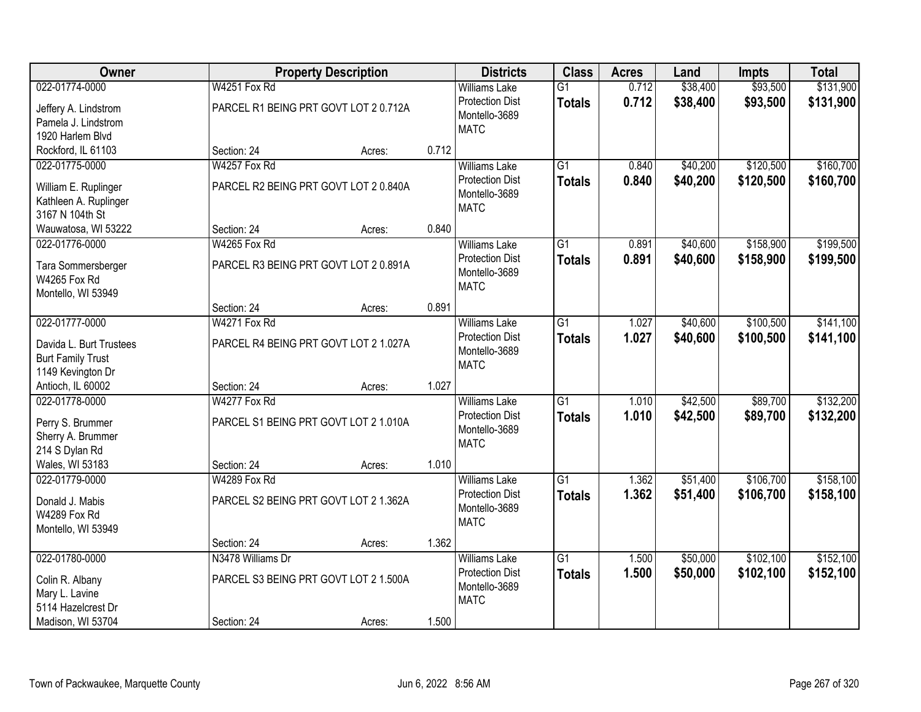| Owner                                    |                                       | <b>Property Description</b> |       | <b>Districts</b>       | <b>Class</b>    | <b>Acres</b> | Land     | <b>Impts</b> | <b>Total</b> |
|------------------------------------------|---------------------------------------|-----------------------------|-------|------------------------|-----------------|--------------|----------|--------------|--------------|
| 022-01774-0000                           | W4251 Fox Rd                          |                             |       | <b>Williams Lake</b>   | $\overline{G1}$ | 0.712        | \$38,400 | \$93,500     | \$131,900    |
| Jeffery A. Lindstrom                     | PARCEL R1 BEING PRT GOVT LOT 2 0.712A |                             |       | <b>Protection Dist</b> | <b>Totals</b>   | 0.712        | \$38,400 | \$93,500     | \$131,900    |
| Pamela J. Lindstrom                      |                                       |                             |       | Montello-3689          |                 |              |          |              |              |
| 1920 Harlem Blvd                         |                                       |                             |       | <b>MATC</b>            |                 |              |          |              |              |
| Rockford, IL 61103                       | Section: 24                           | Acres:                      | 0.712 |                        |                 |              |          |              |              |
| 022-01775-0000                           | W4257 Fox Rd                          |                             |       | <b>Williams Lake</b>   | $\overline{G1}$ | 0.840        | \$40,200 | \$120,500    | \$160,700    |
|                                          |                                       |                             |       | <b>Protection Dist</b> | <b>Totals</b>   | 0.840        | \$40,200 | \$120,500    | \$160,700    |
| William E. Ruplinger                     | PARCEL R2 BEING PRT GOVT LOT 2 0.840A |                             |       | Montello-3689          |                 |              |          |              |              |
| Kathleen A. Ruplinger<br>3167 N 104th St |                                       |                             |       | <b>MATC</b>            |                 |              |          |              |              |
| Wauwatosa, WI 53222                      | Section: 24                           | Acres:                      | 0.840 |                        |                 |              |          |              |              |
| 022-01776-0000                           | W4265 Fox Rd                          |                             |       | <b>Williams Lake</b>   | G1              | 0.891        | \$40,600 | \$158,900    | \$199,500    |
|                                          |                                       |                             |       | <b>Protection Dist</b> | <b>Totals</b>   | 0.891        | \$40,600 | \$158,900    | \$199,500    |
| Tara Sommersberger                       | PARCEL R3 BEING PRT GOVT LOT 2 0.891A |                             |       | Montello-3689          |                 |              |          |              |              |
| W4265 Fox Rd                             |                                       |                             |       | <b>MATC</b>            |                 |              |          |              |              |
| Montello, WI 53949                       |                                       |                             |       |                        |                 |              |          |              |              |
|                                          | Section: 24                           | Acres:                      | 0.891 |                        |                 |              |          |              |              |
| 022-01777-0000                           | W4271 Fox Rd                          |                             |       | <b>Williams Lake</b>   | G1              | 1.027        | \$40,600 | \$100,500    | \$141,100    |
| Davida L. Burt Trustees                  | PARCEL R4 BEING PRT GOVT LOT 2 1.027A |                             |       | <b>Protection Dist</b> | <b>Totals</b>   | 1.027        | \$40,600 | \$100,500    | \$141,100    |
| <b>Burt Family Trust</b>                 |                                       |                             |       | Montello-3689          |                 |              |          |              |              |
| 1149 Kevington Dr                        |                                       |                             |       | <b>MATC</b>            |                 |              |          |              |              |
| Antioch, IL 60002                        | Section: 24                           | Acres:                      | 1.027 |                        |                 |              |          |              |              |
| 022-01778-0000                           | W4277 Fox Rd                          |                             |       | <b>Williams Lake</b>   | $\overline{G1}$ | 1.010        | \$42,500 | \$89,700     | \$132,200    |
|                                          |                                       |                             |       | <b>Protection Dist</b> | <b>Totals</b>   | 1.010        | \$42,500 | \$89,700     | \$132,200    |
| Perry S. Brummer                         | PARCEL S1 BEING PRT GOVT LOT 2 1.010A |                             |       | Montello-3689          |                 |              |          |              |              |
| Sherry A. Brummer<br>214 S Dylan Rd      |                                       |                             |       | <b>MATC</b>            |                 |              |          |              |              |
| Wales, WI 53183                          | Section: 24                           |                             | 1.010 |                        |                 |              |          |              |              |
| 022-01779-0000                           | W4289 Fox Rd                          | Acres:                      |       | <b>Williams Lake</b>   | $\overline{G1}$ | 1.362        | \$51,400 | \$106,700    | \$158,100    |
|                                          |                                       |                             |       | <b>Protection Dist</b> |                 |              |          |              |              |
| Donald J. Mabis                          | PARCEL S2 BEING PRT GOVT LOT 2 1.362A |                             |       | Montello-3689          | <b>Totals</b>   | 1.362        | \$51,400 | \$106,700    | \$158,100    |
| W4289 Fox Rd                             |                                       |                             |       | <b>MATC</b>            |                 |              |          |              |              |
| Montello, WI 53949                       |                                       |                             |       |                        |                 |              |          |              |              |
|                                          | Section: 24                           | Acres:                      | 1.362 |                        |                 |              |          |              |              |
| 022-01780-0000                           | N3478 Williams Dr                     |                             |       | <b>Williams Lake</b>   | $\overline{G1}$ | 1.500        | \$50,000 | \$102,100    | \$152,100    |
| Colin R. Albany                          | PARCEL S3 BEING PRT GOVT LOT 2 1.500A |                             |       | <b>Protection Dist</b> | <b>Totals</b>   | 1.500        | \$50,000 | \$102,100    | \$152,100    |
| Mary L. Lavine                           |                                       |                             |       | Montello-3689          |                 |              |          |              |              |
| 5114 Hazelcrest Dr                       |                                       |                             |       | <b>MATC</b>            |                 |              |          |              |              |
| Madison, WI 53704                        | Section: 24                           | Acres:                      | 1.500 |                        |                 |              |          |              |              |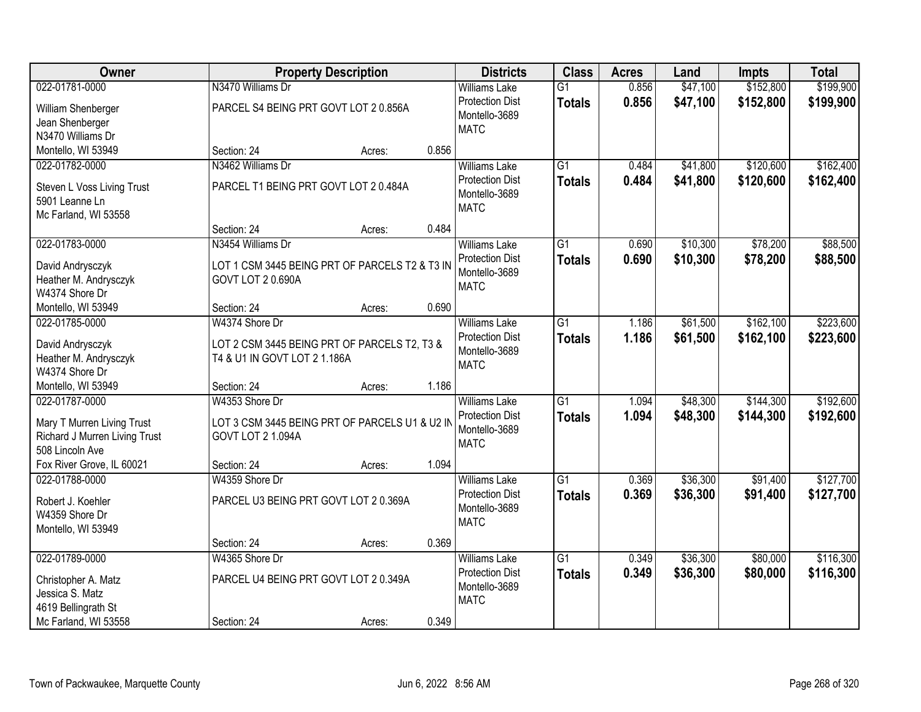| <b>Owner</b>                         |                                                | <b>Property Description</b>                  |       | <b>Districts</b>       | <b>Class</b>    | <b>Acres</b> | Land     | <b>Impts</b> | <b>Total</b> |
|--------------------------------------|------------------------------------------------|----------------------------------------------|-------|------------------------|-----------------|--------------|----------|--------------|--------------|
| 022-01781-0000                       | N3470 Williams Dr                              |                                              |       | <b>Williams Lake</b>   | $\overline{G1}$ | 0.856        | \$47,100 | \$152,800    | \$199,900    |
| William Shenberger                   | PARCEL S4 BEING PRT GOVT LOT 2 0.856A          |                                              |       | <b>Protection Dist</b> | <b>Totals</b>   | 0.856        | \$47,100 | \$152,800    | \$199,900    |
| Jean Shenberger                      |                                                |                                              |       | Montello-3689          |                 |              |          |              |              |
| N3470 Williams Dr                    |                                                |                                              |       | <b>MATC</b>            |                 |              |          |              |              |
| Montello, WI 53949                   | Section: 24                                    | Acres:                                       | 0.856 |                        |                 |              |          |              |              |
| 022-01782-0000                       | N3462 Williams Dr                              |                                              |       | <b>Williams Lake</b>   | $\overline{G1}$ | 0.484        | \$41,800 | \$120,600    | \$162,400    |
| Steven L Voss Living Trust           | PARCEL T1 BEING PRT GOVT LOT 2 0.484A          |                                              |       | <b>Protection Dist</b> | <b>Totals</b>   | 0.484        | \$41,800 | \$120,600    | \$162,400    |
| 5901 Leanne Ln                       |                                                |                                              |       | Montello-3689          |                 |              |          |              |              |
| Mc Farland, WI 53558                 |                                                |                                              |       | <b>MATC</b>            |                 |              |          |              |              |
|                                      | Section: 24                                    | Acres:                                       | 0.484 |                        |                 |              |          |              |              |
| 022-01783-0000                       | N3454 Williams Dr                              |                                              |       | <b>Williams Lake</b>   | $\overline{G1}$ | 0.690        | \$10,300 | \$78,200     | \$88,500     |
| David Andrysczyk                     | LOT 1 CSM 3445 BEING PRT OF PARCELS T2 & T3 IN |                                              |       | <b>Protection Dist</b> | <b>Totals</b>   | 0.690        | \$10,300 | \$78,200     | \$88,500     |
| Heather M. Andrysczyk                | <b>GOVT LOT 2 0.690A</b>                       |                                              |       | Montello-3689          |                 |              |          |              |              |
| W4374 Shore Dr                       |                                                |                                              |       | <b>MATC</b>            |                 |              |          |              |              |
| Montello, WI 53949                   | Section: 24                                    | Acres:                                       | 0.690 |                        |                 |              |          |              |              |
| 022-01785-0000                       | W4374 Shore Dr                                 |                                              |       | <b>Williams Lake</b>   | G1              | 1.186        | \$61,500 | \$162,100    | \$223,600    |
|                                      |                                                |                                              |       | <b>Protection Dist</b> | <b>Totals</b>   | 1.186        | \$61,500 | \$162,100    | \$223,600    |
| David Andrysczyk                     |                                                | LOT 2 CSM 3445 BEING PRT OF PARCELS T2, T3 & |       | Montello-3689          |                 |              |          |              |              |
| Heather M. Andrysczyk                | T4 & U1 IN GOVT LOT 2 1.186A                   |                                              |       | <b>MATC</b>            |                 |              |          |              |              |
| W4374 Shore Dr<br>Montello, WI 53949 | Section: 24                                    |                                              | 1.186 |                        |                 |              |          |              |              |
| 022-01787-0000                       | W4353 Shore Dr                                 | Acres:                                       |       | <b>Williams Lake</b>   | $\overline{G1}$ | 1.094        | \$48,300 | \$144,300    | \$192,600    |
|                                      |                                                |                                              |       | <b>Protection Dist</b> |                 | 1.094        |          |              |              |
| Mary T Murren Living Trust           | LOT 3 CSM 3445 BEING PRT OF PARCELS U1 & U2 IN |                                              |       | Montello-3689          | <b>Totals</b>   |              | \$48,300 | \$144,300    | \$192,600    |
| Richard J Murren Living Trust        | <b>GOVT LOT 2 1.094A</b>                       |                                              |       | <b>MATC</b>            |                 |              |          |              |              |
| 508 Lincoln Ave                      |                                                |                                              |       |                        |                 |              |          |              |              |
| Fox River Grove, IL 60021            | Section: 24                                    | Acres:                                       | 1.094 |                        |                 |              |          |              |              |
| 022-01788-0000                       | W4359 Shore Dr                                 |                                              |       | <b>Williams Lake</b>   | $\overline{G1}$ | 0.369        | \$36,300 | \$91,400     | \$127,700    |
| Robert J. Koehler                    | PARCEL U3 BEING PRT GOVT LOT 2 0.369A          |                                              |       | <b>Protection Dist</b> | <b>Totals</b>   | 0.369        | \$36,300 | \$91,400     | \$127,700    |
| W4359 Shore Dr                       |                                                |                                              |       | Montello-3689          |                 |              |          |              |              |
| Montello, WI 53949                   |                                                |                                              |       | <b>MATC</b>            |                 |              |          |              |              |
|                                      | Section: 24                                    | Acres:                                       | 0.369 |                        |                 |              |          |              |              |
| 022-01789-0000                       | W4365 Shore Dr                                 |                                              |       | <b>Williams Lake</b>   | $\overline{G1}$ | 0.349        | \$36,300 | \$80,000     | \$116,300    |
| Christopher A. Matz                  | PARCEL U4 BEING PRT GOVT LOT 2 0.349A          |                                              |       | <b>Protection Dist</b> | <b>Totals</b>   | 0.349        | \$36,300 | \$80,000     | \$116,300    |
| Jessica S. Matz                      |                                                |                                              |       | Montello-3689          |                 |              |          |              |              |
| 4619 Bellingrath St                  |                                                |                                              |       | <b>MATC</b>            |                 |              |          |              |              |
| Mc Farland, WI 53558                 | Section: 24                                    | Acres:                                       | 0.349 |                        |                 |              |          |              |              |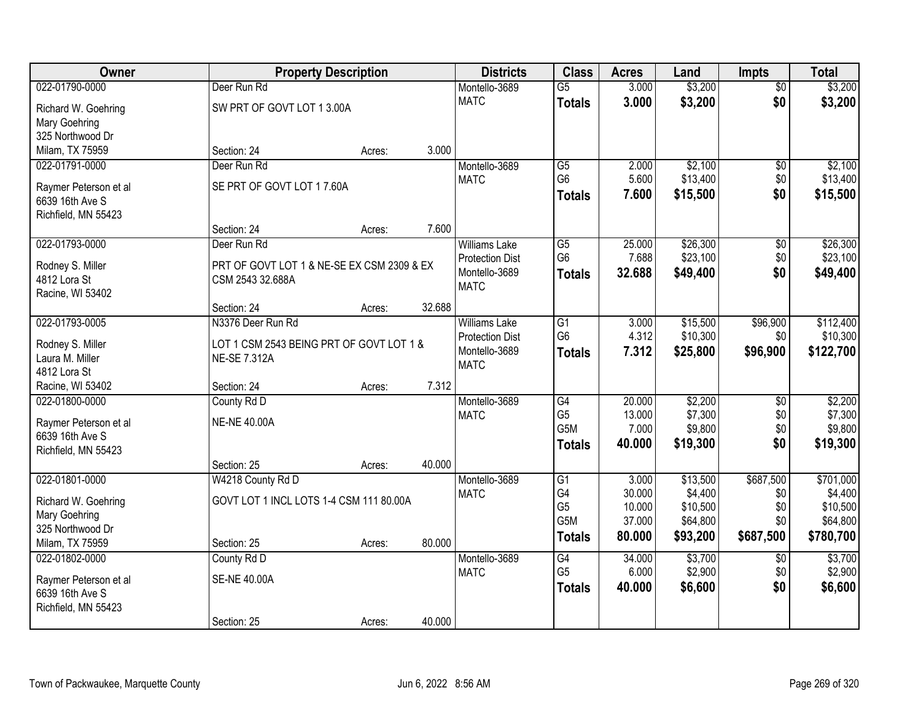| Owner                 |                                            | <b>Property Description</b> |        | <b>Districts</b>       | <b>Class</b>    | <b>Acres</b> | Land     | <b>Impts</b>    | <b>Total</b> |
|-----------------------|--------------------------------------------|-----------------------------|--------|------------------------|-----------------|--------------|----------|-----------------|--------------|
| 022-01790-0000        | Deer Run Rd                                |                             |        | Montello-3689          | $\overline{G5}$ | 3.000        | \$3,200  | $\overline{50}$ | \$3,200      |
| Richard W. Goehring   | SW PRT OF GOVT LOT 1 3.00A                 |                             |        | <b>MATC</b>            | <b>Totals</b>   | 3.000        | \$3,200  | \$0             | \$3,200      |
| <b>Mary Goehring</b>  |                                            |                             |        |                        |                 |              |          |                 |              |
| 325 Northwood Dr      |                                            |                             |        |                        |                 |              |          |                 |              |
| Milam, TX 75959       | Section: 24                                | Acres:                      | 3.000  |                        |                 |              |          |                 |              |
| 022-01791-0000        | Deer Run Rd                                |                             |        | Montello-3689          | $\overline{G5}$ | 2.000        | \$2,100  | $\overline{50}$ | \$2,100      |
| Raymer Peterson et al | SE PRT OF GOVT LOT 17.60A                  |                             |        | <b>MATC</b>            | G <sub>6</sub>  | 5.600        | \$13,400 | \$0             | \$13,400     |
| 6639 16th Ave S       |                                            |                             |        |                        | <b>Totals</b>   | 7.600        | \$15,500 | \$0             | \$15,500     |
| Richfield, MN 55423   |                                            |                             |        |                        |                 |              |          |                 |              |
|                       | Section: 24                                | Acres:                      | 7.600  |                        |                 |              |          |                 |              |
| 022-01793-0000        | Deer Run Rd                                |                             |        | <b>Williams Lake</b>   | G5              | 25.000       | \$26,300 | $\sqrt[6]{30}$  | \$26,300     |
| Rodney S. Miller      | PRT OF GOVT LOT 1 & NE-SE EX CSM 2309 & EX |                             |        | <b>Protection Dist</b> | G <sub>6</sub>  | 7.688        | \$23,100 | \$0             | \$23,100     |
| 4812 Lora St          | CSM 2543 32.688A                           |                             |        | Montello-3689          | <b>Totals</b>   | 32.688       | \$49,400 | \$0             | \$49,400     |
| Racine, WI 53402      |                                            |                             |        | <b>MATC</b>            |                 |              |          |                 |              |
|                       | Section: 24                                | Acres:                      | 32.688 |                        |                 |              |          |                 |              |
| 022-01793-0005        | N3376 Deer Run Rd                          |                             |        | <b>Williams Lake</b>   | G1              | 3.000        | \$15,500 | \$96,900        | \$112,400    |
| Rodney S. Miller      | LOT 1 CSM 2543 BEING PRT OF GOVT LOT 1 &   |                             |        | <b>Protection Dist</b> | G <sub>6</sub>  | 4.312        | \$10,300 | \$0             | \$10,300     |
| Laura M. Miller       | <b>NE-SE 7.312A</b>                        |                             |        | Montello-3689          | <b>Totals</b>   | 7.312        | \$25,800 | \$96,900        | \$122,700    |
| 4812 Lora St          |                                            |                             |        | <b>MATC</b>            |                 |              |          |                 |              |
| Racine, WI 53402      | Section: 24                                | Acres:                      | 7.312  |                        |                 |              |          |                 |              |
| 022-01800-0000        | County Rd D                                |                             |        | Montello-3689          | $\overline{G4}$ | 20.000       | \$2,200  | $\overline{30}$ | \$2,200      |
| Raymer Peterson et al | <b>NE-NE 40.00A</b>                        |                             |        | <b>MATC</b>            | G <sub>5</sub>  | 13.000       | \$7,300  | \$0             | \$7,300      |
| 6639 16th Ave S       |                                            |                             |        |                        | G5M             | 7.000        | \$9,800  | \$0             | \$9,800      |
| Richfield, MN 55423   |                                            |                             |        |                        | <b>Totals</b>   | 40.000       | \$19,300 | \$0             | \$19,300     |
|                       | Section: 25                                | Acres:                      | 40.000 |                        |                 |              |          |                 |              |
| 022-01801-0000        | W4218 County Rd D                          |                             |        | Montello-3689          | $\overline{G1}$ | 3.000        | \$13,500 | \$687,500       | \$701,000    |
| Richard W. Goehring   | GOVT LOT 1 INCL LOTS 1-4 CSM 111 80.00A    |                             |        | <b>MATC</b>            | G4              | 30.000       | \$4,400  | \$0             | \$4,400      |
| Mary Goehring         |                                            |                             |        |                        | G <sub>5</sub>  | 10.000       | \$10,500 | \$0             | \$10,500     |
| 325 Northwood Dr      |                                            |                             |        |                        | G5M             | 37.000       | \$64,800 | \$0             | \$64,800     |
| Milam, TX 75959       | Section: 25                                | Acres:                      | 80.000 |                        | <b>Totals</b>   | 80.000       | \$93,200 | \$687,500       | \$780,700    |
| 022-01802-0000        | County Rd D                                |                             |        | Montello-3689          | G4              | 34.000       | \$3,700  | $\overline{50}$ | \$3,700      |
| Raymer Peterson et al | <b>SE-NE 40.00A</b>                        |                             |        | <b>MATC</b>            | G <sub>5</sub>  | 6.000        | \$2,900  | \$0             | \$2,900      |
| 6639 16th Ave S       |                                            |                             |        |                        | <b>Totals</b>   | 40.000       | \$6,600  | \$0             | \$6,600      |
| Richfield, MN 55423   |                                            |                             |        |                        |                 |              |          |                 |              |
|                       | Section: 25                                | Acres:                      | 40.000 |                        |                 |              |          |                 |              |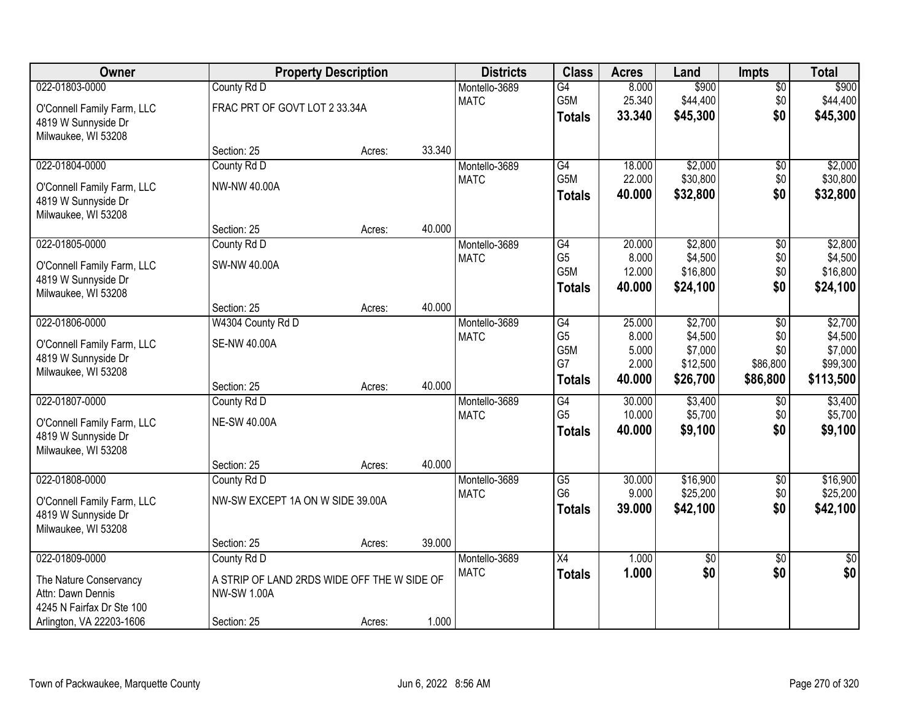| Owner                      |                                             | <b>Property Description</b> |        | <b>Districts</b> | <b>Class</b>    | <b>Acres</b>   | Land                | <b>Impts</b>    | <b>Total</b>        |
|----------------------------|---------------------------------------------|-----------------------------|--------|------------------|-----------------|----------------|---------------------|-----------------|---------------------|
| 022-01803-0000             | County Rd D                                 |                             |        | Montello-3689    | $\overline{G4}$ | 8.000          | \$900               | $\sqrt{$0}$     | \$900               |
| O'Connell Family Farm, LLC | FRAC PRT OF GOVT LOT 2 33.34A               |                             |        | <b>MATC</b>      | G5M             | 25.340         | \$44,400            | \$0             | \$44,400            |
| 4819 W Sunnyside Dr        |                                             |                             |        |                  | <b>Totals</b>   | 33.340         | \$45,300            | \$0             | \$45,300            |
| Milwaukee, WI 53208        |                                             |                             |        |                  |                 |                |                     |                 |                     |
|                            | Section: 25                                 | Acres:                      | 33.340 |                  |                 |                |                     |                 |                     |
| 022-01804-0000             | County Rd D                                 |                             |        | Montello-3689    | G4              | 18.000         | \$2,000             | \$0             | \$2,000             |
| O'Connell Family Farm, LLC | NW-NW 40.00A                                |                             |        | <b>MATC</b>      | G5M             | 22.000         | \$30,800            | \$0             | \$30,800            |
| 4819 W Sunnyside Dr        |                                             |                             |        |                  | <b>Totals</b>   | 40.000         | \$32,800            | \$0             | \$32,800            |
| Milwaukee, WI 53208        |                                             |                             |        |                  |                 |                |                     |                 |                     |
|                            | Section: 25                                 | Acres:                      | 40.000 |                  |                 |                |                     |                 |                     |
| 022-01805-0000             | County Rd D                                 |                             |        | Montello-3689    | $\overline{G4}$ | 20.000         | \$2,800             | \$0             | \$2,800             |
| O'Connell Family Farm, LLC | SW-NW 40.00A                                |                             |        | <b>MATC</b>      | G <sub>5</sub>  | 8.000          | \$4,500             | \$0             | \$4,500             |
| 4819 W Sunnyside Dr        |                                             |                             |        |                  | G5M             | 12.000         | \$16,800            | \$0             | \$16,800            |
| Milwaukee, WI 53208        |                                             |                             |        |                  | <b>Totals</b>   | 40.000         | \$24,100            | \$0             | \$24,100            |
|                            | Section: 25                                 | Acres:                      | 40.000 |                  |                 |                |                     |                 |                     |
| 022-01806-0000             | W4304 County Rd D                           |                             |        | Montello-3689    | G4              | 25.000         | \$2,700             | \$0             | \$2,700             |
| O'Connell Family Farm, LLC | <b>SE-NW 40.00A</b>                         |                             |        | <b>MATC</b>      | G <sub>5</sub>  | 8.000          | \$4,500             | \$0             | \$4,500             |
| 4819 W Sunnyside Dr        |                                             |                             |        |                  | G5M<br>G7       | 5.000<br>2.000 | \$7,000<br>\$12,500 | \$0<br>\$86,800 | \$7,000<br>\$99,300 |
| Milwaukee, WI 53208        |                                             |                             |        |                  | <b>Totals</b>   | 40.000         | \$26,700            | \$86,800        | \$113,500           |
|                            | Section: 25                                 | Acres:                      | 40.000 |                  |                 |                |                     |                 |                     |
| 022-01807-0000             | County Rd D                                 |                             |        | Montello-3689    | $\overline{G4}$ | 30.000         | \$3,400             | \$0             | \$3,400             |
| O'Connell Family Farm, LLC | <b>NE-SW 40.00A</b>                         |                             |        | <b>MATC</b>      | G <sub>5</sub>  | 10.000         | \$5,700             | \$0             | \$5,700             |
| 4819 W Sunnyside Dr        |                                             |                             |        |                  | <b>Totals</b>   | 40.000         | \$9,100             | \$0             | \$9,100             |
| Milwaukee, WI 53208        |                                             |                             |        |                  |                 |                |                     |                 |                     |
|                            | Section: 25                                 | Acres:                      | 40.000 |                  |                 |                |                     |                 |                     |
| 022-01808-0000             | County Rd D                                 |                             |        | Montello-3689    | $\overline{G5}$ | 30.000         | \$16,900            | $\sqrt{6}$      | \$16,900            |
| O'Connell Family Farm, LLC | NW-SW EXCEPT 1A ON W SIDE 39.00A            |                             |        | <b>MATC</b>      | G <sub>6</sub>  | 9.000          | \$25,200            | \$0<br>\$0      | \$25,200            |
| 4819 W Sunnyside Dr        |                                             |                             |        |                  | <b>Totals</b>   | 39.000         | \$42,100            |                 | \$42,100            |
| Milwaukee, WI 53208        |                                             |                             |        |                  |                 |                |                     |                 |                     |
|                            | Section: 25                                 | Acres:                      | 39.000 |                  |                 |                |                     |                 |                     |
| 022-01809-0000             | County Rd D                                 |                             |        | Montello-3689    | X4              | 1.000          | $\overline{50}$     | $\overline{30}$ | $\sqrt{30}$         |
| The Nature Conservancy     | A STRIP OF LAND 2RDS WIDE OFF THE W SIDE OF |                             |        | <b>MATC</b>      | <b>Totals</b>   | 1.000          | \$0                 | \$0             | \$0                 |
| Attn: Dawn Dennis          | <b>NW-SW 1.00A</b>                          |                             |        |                  |                 |                |                     |                 |                     |
| 4245 N Fairfax Dr Ste 100  |                                             |                             |        |                  |                 |                |                     |                 |                     |
| Arlington, VA 22203-1606   | Section: 25                                 | Acres:                      | 1.000  |                  |                 |                |                     |                 |                     |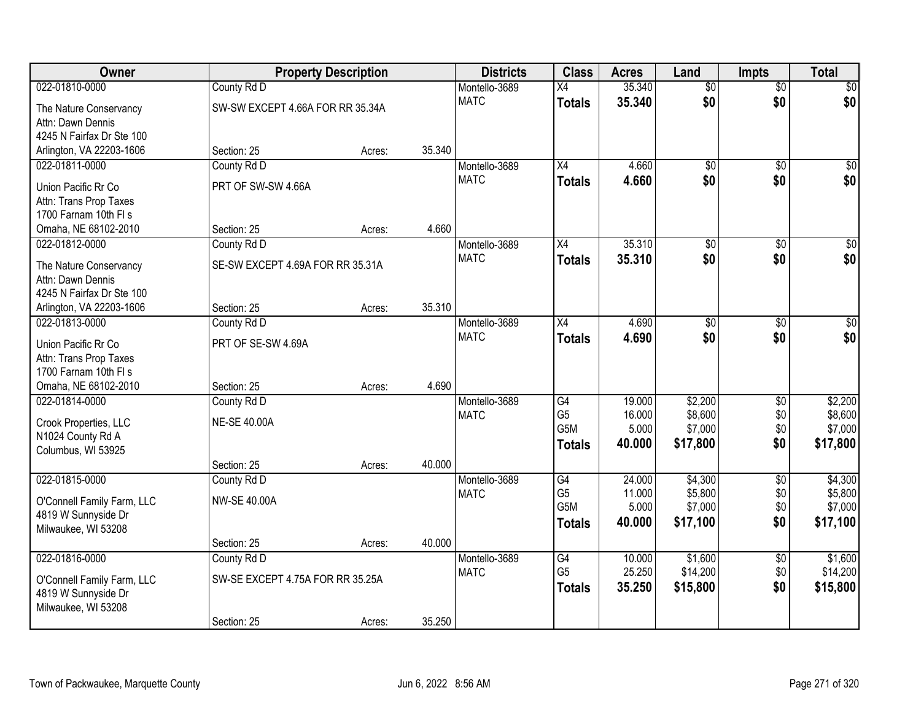| Owner                      |                                  | <b>Property Description</b> |        | <b>Districts</b> | <b>Class</b>    | <b>Acres</b> | Land            | <b>Impts</b>    | <b>Total</b>     |
|----------------------------|----------------------------------|-----------------------------|--------|------------------|-----------------|--------------|-----------------|-----------------|------------------|
| 022-01810-0000             | County Rd D                      |                             |        | Montello-3689    | $\overline{X4}$ | 35.340       | $\overline{50}$ | $\overline{50}$ | \$0              |
| The Nature Conservancy     | SW-SW EXCEPT 4.66A FOR RR 35.34A |                             |        | <b>MATC</b>      | <b>Totals</b>   | 35.340       | \$0             | \$0             | \$0              |
| Attn: Dawn Dennis          |                                  |                             |        |                  |                 |              |                 |                 |                  |
| 4245 N Fairfax Dr Ste 100  |                                  |                             |        |                  |                 |              |                 |                 |                  |
| Arlington, VA 22203-1606   | Section: 25                      | Acres:                      | 35.340 |                  |                 |              |                 |                 |                  |
| 022-01811-0000             | County Rd D                      |                             |        | Montello-3689    | $\overline{X4}$ | 4.660        | $\overline{50}$ | $\overline{50}$ | \$0              |
| Union Pacific Rr Co        | PRT OF SW-SW 4.66A               |                             |        | <b>MATC</b>      | <b>Totals</b>   | 4.660        | \$0             | \$0             | \$0              |
| Attn: Trans Prop Taxes     |                                  |                             |        |                  |                 |              |                 |                 |                  |
| 1700 Farnam 10th FI s      |                                  |                             |        |                  |                 |              |                 |                 |                  |
| Omaha, NE 68102-2010       | Section: 25                      | Acres:                      | 4.660  |                  |                 |              |                 |                 |                  |
| 022-01812-0000             | County Rd D                      |                             |        | Montello-3689    | X4              | 35.310       | $\overline{50}$ | \$0             | $\overline{\$0}$ |
| The Nature Conservancy     | SE-SW EXCEPT 4.69A FOR RR 35.31A |                             |        | <b>MATC</b>      | <b>Totals</b>   | 35.310       | \$0             | \$0             | \$0              |
| Attn: Dawn Dennis          |                                  |                             |        |                  |                 |              |                 |                 |                  |
| 4245 N Fairfax Dr Ste 100  |                                  |                             |        |                  |                 |              |                 |                 |                  |
| Arlington, VA 22203-1606   | Section: 25                      | Acres:                      | 35.310 |                  |                 |              |                 |                 |                  |
| 022-01813-0000             | County Rd D                      |                             |        | Montello-3689    | X4              | 4.690        | \$0             | \$0             | $\sqrt{50}$      |
| Union Pacific Rr Co        | PRT OF SE-SW 4.69A               |                             |        | <b>MATC</b>      | <b>Totals</b>   | 4.690        | \$0             | \$0             | \$0              |
| Attn: Trans Prop Taxes     |                                  |                             |        |                  |                 |              |                 |                 |                  |
| 1700 Farnam 10th FI s      |                                  |                             |        |                  |                 |              |                 |                 |                  |
| Omaha, NE 68102-2010       | Section: 25                      | Acres:                      | 4.690  |                  |                 |              |                 |                 |                  |
| 022-01814-0000             | County Rd D                      |                             |        | Montello-3689    | G4              | 19.000       | \$2,200         | $\overline{50}$ | \$2,200          |
| Crook Properties, LLC      | <b>NE-SE 40.00A</b>              |                             |        | <b>MATC</b>      | G <sub>5</sub>  | 16.000       | \$8,600         | \$0             | \$8,600          |
| N1024 County Rd A          |                                  |                             |        |                  | G5M             | 5.000        | \$7,000         | \$0             | \$7,000          |
| Columbus, WI 53925         |                                  |                             |        |                  | <b>Totals</b>   | 40.000       | \$17,800        | \$0             | \$17,800         |
|                            | Section: 25                      | Acres:                      | 40.000 |                  |                 |              |                 |                 |                  |
| 022-01815-0000             | County Rd D                      |                             |        | Montello-3689    | G4              | 24.000       | \$4,300         | $\overline{50}$ | \$4,300          |
| O'Connell Family Farm, LLC | <b>NW-SE 40.00A</b>              |                             |        | <b>MATC</b>      | G <sub>5</sub>  | 11.000       | \$5,800         | \$0             | \$5,800          |
| 4819 W Sunnyside Dr        |                                  |                             |        |                  | G5M             | 5.000        | \$7,000         | \$0             | \$7,000          |
| Milwaukee, WI 53208        |                                  |                             |        |                  | Totals          | 40,000       | \$17,100        | \$0             | \$17,100         |
|                            | Section: 25                      | Acres:                      | 40.000 |                  |                 |              |                 |                 |                  |
| 022-01816-0000             | County Rd D                      |                             |        | Montello-3689    | G4              | 10.000       | \$1,600         | $\overline{60}$ | \$1,600          |
| O'Connell Family Farm, LLC | SW-SE EXCEPT 4.75A FOR RR 35.25A |                             |        | <b>MATC</b>      | G <sub>5</sub>  | 25.250       | \$14,200        | \$0             | \$14,200         |
| 4819 W Sunnyside Dr        |                                  |                             |        |                  | <b>Totals</b>   | 35.250       | \$15,800        | \$0             | \$15,800         |
| Milwaukee, WI 53208        |                                  |                             |        |                  |                 |              |                 |                 |                  |
|                            | Section: 25                      | Acres:                      | 35.250 |                  |                 |              |                 |                 |                  |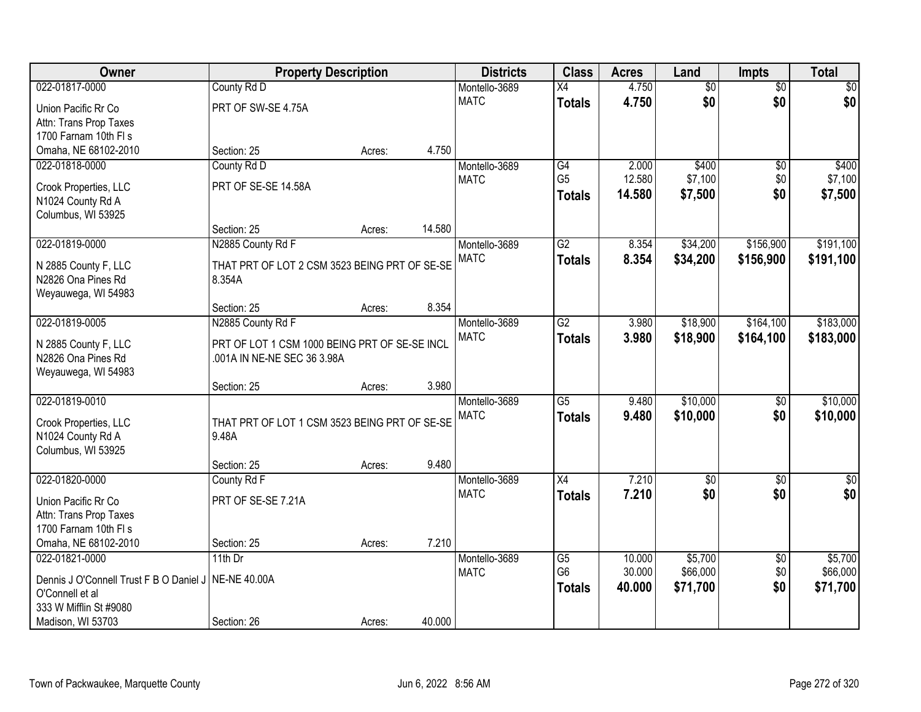| 022-01817-0000<br>4.750<br>$\overline{50}$<br>$\sqrt{50}$<br>County Rd D<br>Montello-3689<br>$\overline{X4}$<br>$\overline{50}$<br>\$0<br>\$0<br>\$0<br><b>MATC</b><br>4.750<br><b>Totals</b><br>PRT OF SW-SE 4.75A<br>Union Pacific Rr Co<br>Attn: Trans Prop Taxes<br>1700 Farnam 10th FI s<br>4.750<br>Omaha, NE 68102-2010<br>Section: 25<br>Acres:<br>G4<br>2.000<br>\$400<br>022-01818-0000<br>County Rd D<br>Montello-3689<br>$\overline{50}$<br>\$400<br>G <sub>5</sub><br>12.580<br>\$7,100<br><b>MATC</b><br>\$0<br>PRT OF SE-SE 14.58A<br>Crook Properties, LLC<br>\$0<br>14.580<br>\$7,500<br>\$7,500<br><b>Totals</b><br>N1024 County Rd A<br>Columbus, WI 53925<br>14.580<br>Section: 25<br>Acres:<br>G2<br>\$34,200<br>\$156,900<br>022-01819-0000<br>N2885 County Rd F<br>Montello-3689<br>8.354<br><b>MATC</b><br>8.354<br>\$34,200<br>\$156,900<br><b>Totals</b><br>THAT PRT OF LOT 2 CSM 3523 BEING PRT OF SE-SE<br>N 2885 County F, LLC<br>N2826 Ona Pines Rd<br>8.354A<br>Weyauwega, WI 54983<br>8.354<br>Section: 25<br>Acres:<br>022-01819-0005<br>N2885 County Rd F<br>$\overline{G2}$<br>\$18,900<br>\$164,100<br>Montello-3689<br>3.980<br><b>MATC</b><br>3.980<br>\$18,900<br>\$164,100<br>\$183,000<br><b>Totals</b><br>PRT OF LOT 1 CSM 1000 BEING PRT OF SE-SE INCL<br>N 2885 County F, LLC<br>N2826 Ona Pines Rd<br>.001A IN NE-NE SEC 36 3.98A<br>Weyauwega, WI 54983<br>3.980<br>Section: 25<br>Acres:<br>\$10,000<br>022-01819-0010<br>$\overline{G5}$<br>9.480<br>$\overline{50}$<br>Montello-3689<br>\$10,000<br><b>MATC</b><br>9.480<br>\$0<br><b>Totals</b><br>THAT PRT OF LOT 1 CSM 3523 BEING PRT OF SE-SE<br>Crook Properties, LLC<br>N1024 County Rd A<br>9.48A<br>Columbus, WI 53925<br>9.480<br>Section: 25<br>Acres:<br>$\overline{X4}$<br>7.210<br>022-01820-0000<br>County Rd F<br>Montello-3689<br>$\overline{60}$<br>$\overline{50}$<br>\$0<br>\$0<br>7.210<br>\$0<br><b>MATC</b><br><b>Totals</b><br>PRT OF SE-SE 7.21A<br>Union Pacific Rr Co<br>Attn: Trans Prop Taxes<br>1700 Farnam 10th FI s<br>Omaha, NE 68102-2010<br>7.210<br>Section: 25<br>Acres: | Owner          | <b>Property Description</b> |  | <b>Districts</b> | <b>Class</b>    | <b>Acres</b> | Land    | <b>Impts</b>    | <b>Total</b> |
|---------------------------------------------------------------------------------------------------------------------------------------------------------------------------------------------------------------------------------------------------------------------------------------------------------------------------------------------------------------------------------------------------------------------------------------------------------------------------------------------------------------------------------------------------------------------------------------------------------------------------------------------------------------------------------------------------------------------------------------------------------------------------------------------------------------------------------------------------------------------------------------------------------------------------------------------------------------------------------------------------------------------------------------------------------------------------------------------------------------------------------------------------------------------------------------------------------------------------------------------------------------------------------------------------------------------------------------------------------------------------------------------------------------------------------------------------------------------------------------------------------------------------------------------------------------------------------------------------------------------------------------------------------------------------------------------------------------------------------------------------------------------------------------------------------------------------------------------------------------------------------------------------------------------------------------------------------------------------------------------------------------------------------------------------------------------------------------------------------------|----------------|-----------------------------|--|------------------|-----------------|--------------|---------|-----------------|--------------|
|                                                                                                                                                                                                                                                                                                                                                                                                                                                                                                                                                                                                                                                                                                                                                                                                                                                                                                                                                                                                                                                                                                                                                                                                                                                                                                                                                                                                                                                                                                                                                                                                                                                                                                                                                                                                                                                                                                                                                                                                                                                                                                               |                |                             |  |                  |                 |              |         |                 |              |
|                                                                                                                                                                                                                                                                                                                                                                                                                                                                                                                                                                                                                                                                                                                                                                                                                                                                                                                                                                                                                                                                                                                                                                                                                                                                                                                                                                                                                                                                                                                                                                                                                                                                                                                                                                                                                                                                                                                                                                                                                                                                                                               |                |                             |  |                  |                 |              |         |                 |              |
|                                                                                                                                                                                                                                                                                                                                                                                                                                                                                                                                                                                                                                                                                                                                                                                                                                                                                                                                                                                                                                                                                                                                                                                                                                                                                                                                                                                                                                                                                                                                                                                                                                                                                                                                                                                                                                                                                                                                                                                                                                                                                                               |                |                             |  |                  |                 |              |         |                 |              |
| \$7,100<br>\$191,100<br>\$191,100<br>\$183,000<br>\$10,000<br>\$10,000<br>$\overline{\$0}$                                                                                                                                                                                                                                                                                                                                                                                                                                                                                                                                                                                                                                                                                                                                                                                                                                                                                                                                                                                                                                                                                                                                                                                                                                                                                                                                                                                                                                                                                                                                                                                                                                                                                                                                                                                                                                                                                                                                                                                                                    |                |                             |  |                  |                 |              |         |                 |              |
|                                                                                                                                                                                                                                                                                                                                                                                                                                                                                                                                                                                                                                                                                                                                                                                                                                                                                                                                                                                                                                                                                                                                                                                                                                                                                                                                                                                                                                                                                                                                                                                                                                                                                                                                                                                                                                                                                                                                                                                                                                                                                                               |                |                             |  |                  |                 |              |         |                 |              |
|                                                                                                                                                                                                                                                                                                                                                                                                                                                                                                                                                                                                                                                                                                                                                                                                                                                                                                                                                                                                                                                                                                                                                                                                                                                                                                                                                                                                                                                                                                                                                                                                                                                                                                                                                                                                                                                                                                                                                                                                                                                                                                               |                |                             |  |                  |                 |              |         |                 |              |
|                                                                                                                                                                                                                                                                                                                                                                                                                                                                                                                                                                                                                                                                                                                                                                                                                                                                                                                                                                                                                                                                                                                                                                                                                                                                                                                                                                                                                                                                                                                                                                                                                                                                                                                                                                                                                                                                                                                                                                                                                                                                                                               |                |                             |  |                  |                 |              |         |                 |              |
|                                                                                                                                                                                                                                                                                                                                                                                                                                                                                                                                                                                                                                                                                                                                                                                                                                                                                                                                                                                                                                                                                                                                                                                                                                                                                                                                                                                                                                                                                                                                                                                                                                                                                                                                                                                                                                                                                                                                                                                                                                                                                                               |                |                             |  |                  |                 |              |         |                 |              |
|                                                                                                                                                                                                                                                                                                                                                                                                                                                                                                                                                                                                                                                                                                                                                                                                                                                                                                                                                                                                                                                                                                                                                                                                                                                                                                                                                                                                                                                                                                                                                                                                                                                                                                                                                                                                                                                                                                                                                                                                                                                                                                               |                |                             |  |                  |                 |              |         |                 |              |
|                                                                                                                                                                                                                                                                                                                                                                                                                                                                                                                                                                                                                                                                                                                                                                                                                                                                                                                                                                                                                                                                                                                                                                                                                                                                                                                                                                                                                                                                                                                                                                                                                                                                                                                                                                                                                                                                                                                                                                                                                                                                                                               |                |                             |  |                  |                 |              |         |                 |              |
|                                                                                                                                                                                                                                                                                                                                                                                                                                                                                                                                                                                                                                                                                                                                                                                                                                                                                                                                                                                                                                                                                                                                                                                                                                                                                                                                                                                                                                                                                                                                                                                                                                                                                                                                                                                                                                                                                                                                                                                                                                                                                                               |                |                             |  |                  |                 |              |         |                 |              |
|                                                                                                                                                                                                                                                                                                                                                                                                                                                                                                                                                                                                                                                                                                                                                                                                                                                                                                                                                                                                                                                                                                                                                                                                                                                                                                                                                                                                                                                                                                                                                                                                                                                                                                                                                                                                                                                                                                                                                                                                                                                                                                               |                |                             |  |                  |                 |              |         |                 |              |
|                                                                                                                                                                                                                                                                                                                                                                                                                                                                                                                                                                                                                                                                                                                                                                                                                                                                                                                                                                                                                                                                                                                                                                                                                                                                                                                                                                                                                                                                                                                                                                                                                                                                                                                                                                                                                                                                                                                                                                                                                                                                                                               |                |                             |  |                  |                 |              |         |                 |              |
|                                                                                                                                                                                                                                                                                                                                                                                                                                                                                                                                                                                                                                                                                                                                                                                                                                                                                                                                                                                                                                                                                                                                                                                                                                                                                                                                                                                                                                                                                                                                                                                                                                                                                                                                                                                                                                                                                                                                                                                                                                                                                                               |                |                             |  |                  |                 |              |         |                 |              |
|                                                                                                                                                                                                                                                                                                                                                                                                                                                                                                                                                                                                                                                                                                                                                                                                                                                                                                                                                                                                                                                                                                                                                                                                                                                                                                                                                                                                                                                                                                                                                                                                                                                                                                                                                                                                                                                                                                                                                                                                                                                                                                               |                |                             |  |                  |                 |              |         |                 |              |
|                                                                                                                                                                                                                                                                                                                                                                                                                                                                                                                                                                                                                                                                                                                                                                                                                                                                                                                                                                                                                                                                                                                                                                                                                                                                                                                                                                                                                                                                                                                                                                                                                                                                                                                                                                                                                                                                                                                                                                                                                                                                                                               |                |                             |  |                  |                 |              |         |                 |              |
|                                                                                                                                                                                                                                                                                                                                                                                                                                                                                                                                                                                                                                                                                                                                                                                                                                                                                                                                                                                                                                                                                                                                                                                                                                                                                                                                                                                                                                                                                                                                                                                                                                                                                                                                                                                                                                                                                                                                                                                                                                                                                                               |                |                             |  |                  |                 |              |         |                 |              |
|                                                                                                                                                                                                                                                                                                                                                                                                                                                                                                                                                                                                                                                                                                                                                                                                                                                                                                                                                                                                                                                                                                                                                                                                                                                                                                                                                                                                                                                                                                                                                                                                                                                                                                                                                                                                                                                                                                                                                                                                                                                                                                               |                |                             |  |                  |                 |              |         |                 |              |
|                                                                                                                                                                                                                                                                                                                                                                                                                                                                                                                                                                                                                                                                                                                                                                                                                                                                                                                                                                                                                                                                                                                                                                                                                                                                                                                                                                                                                                                                                                                                                                                                                                                                                                                                                                                                                                                                                                                                                                                                                                                                                                               |                |                             |  |                  |                 |              |         |                 |              |
|                                                                                                                                                                                                                                                                                                                                                                                                                                                                                                                                                                                                                                                                                                                                                                                                                                                                                                                                                                                                                                                                                                                                                                                                                                                                                                                                                                                                                                                                                                                                                                                                                                                                                                                                                                                                                                                                                                                                                                                                                                                                                                               |                |                             |  |                  |                 |              |         |                 |              |
|                                                                                                                                                                                                                                                                                                                                                                                                                                                                                                                                                                                                                                                                                                                                                                                                                                                                                                                                                                                                                                                                                                                                                                                                                                                                                                                                                                                                                                                                                                                                                                                                                                                                                                                                                                                                                                                                                                                                                                                                                                                                                                               |                |                             |  |                  |                 |              |         |                 |              |
|                                                                                                                                                                                                                                                                                                                                                                                                                                                                                                                                                                                                                                                                                                                                                                                                                                                                                                                                                                                                                                                                                                                                                                                                                                                                                                                                                                                                                                                                                                                                                                                                                                                                                                                                                                                                                                                                                                                                                                                                                                                                                                               |                |                             |  |                  |                 |              |         |                 |              |
|                                                                                                                                                                                                                                                                                                                                                                                                                                                                                                                                                                                                                                                                                                                                                                                                                                                                                                                                                                                                                                                                                                                                                                                                                                                                                                                                                                                                                                                                                                                                                                                                                                                                                                                                                                                                                                                                                                                                                                                                                                                                                                               |                |                             |  |                  |                 |              |         |                 |              |
|                                                                                                                                                                                                                                                                                                                                                                                                                                                                                                                                                                                                                                                                                                                                                                                                                                                                                                                                                                                                                                                                                                                                                                                                                                                                                                                                                                                                                                                                                                                                                                                                                                                                                                                                                                                                                                                                                                                                                                                                                                                                                                               |                |                             |  |                  |                 |              |         |                 |              |
|                                                                                                                                                                                                                                                                                                                                                                                                                                                                                                                                                                                                                                                                                                                                                                                                                                                                                                                                                                                                                                                                                                                                                                                                                                                                                                                                                                                                                                                                                                                                                                                                                                                                                                                                                                                                                                                                                                                                                                                                                                                                                                               |                |                             |  |                  |                 |              |         |                 |              |
|                                                                                                                                                                                                                                                                                                                                                                                                                                                                                                                                                                                                                                                                                                                                                                                                                                                                                                                                                                                                                                                                                                                                                                                                                                                                                                                                                                                                                                                                                                                                                                                                                                                                                                                                                                                                                                                                                                                                                                                                                                                                                                               |                |                             |  |                  |                 |              |         |                 |              |
|                                                                                                                                                                                                                                                                                                                                                                                                                                                                                                                                                                                                                                                                                                                                                                                                                                                                                                                                                                                                                                                                                                                                                                                                                                                                                                                                                                                                                                                                                                                                                                                                                                                                                                                                                                                                                                                                                                                                                                                                                                                                                                               |                |                             |  |                  |                 |              |         |                 |              |
|                                                                                                                                                                                                                                                                                                                                                                                                                                                                                                                                                                                                                                                                                                                                                                                                                                                                                                                                                                                                                                                                                                                                                                                                                                                                                                                                                                                                                                                                                                                                                                                                                                                                                                                                                                                                                                                                                                                                                                                                                                                                                                               |                |                             |  |                  |                 |              |         |                 |              |
|                                                                                                                                                                                                                                                                                                                                                                                                                                                                                                                                                                                                                                                                                                                                                                                                                                                                                                                                                                                                                                                                                                                                                                                                                                                                                                                                                                                                                                                                                                                                                                                                                                                                                                                                                                                                                                                                                                                                                                                                                                                                                                               |                |                             |  |                  |                 |              |         |                 |              |
|                                                                                                                                                                                                                                                                                                                                                                                                                                                                                                                                                                                                                                                                                                                                                                                                                                                                                                                                                                                                                                                                                                                                                                                                                                                                                                                                                                                                                                                                                                                                                                                                                                                                                                                                                                                                                                                                                                                                                                                                                                                                                                               |                |                             |  |                  |                 |              |         |                 |              |
|                                                                                                                                                                                                                                                                                                                                                                                                                                                                                                                                                                                                                                                                                                                                                                                                                                                                                                                                                                                                                                                                                                                                                                                                                                                                                                                                                                                                                                                                                                                                                                                                                                                                                                                                                                                                                                                                                                                                                                                                                                                                                                               | 022-01821-0000 | 11th $Dr$                   |  | Montello-3689    | $\overline{G5}$ | 10.000       | \$5,700 | $\overline{50}$ | \$5,700      |
| G <sub>6</sub><br>\$0<br>30.000<br>\$66,000<br>\$66,000<br><b>MATC</b>                                                                                                                                                                                                                                                                                                                                                                                                                                                                                                                                                                                                                                                                                                                                                                                                                                                                                                                                                                                                                                                                                                                                                                                                                                                                                                                                                                                                                                                                                                                                                                                                                                                                                                                                                                                                                                                                                                                                                                                                                                        |                |                             |  |                  |                 |              |         |                 |              |
| Dennis J O'Connell Trust F B O Daniel J NE-NE 40.00A<br>\$0<br>\$71,700<br>\$71,700<br>40.000<br><b>Totals</b>                                                                                                                                                                                                                                                                                                                                                                                                                                                                                                                                                                                                                                                                                                                                                                                                                                                                                                                                                                                                                                                                                                                                                                                                                                                                                                                                                                                                                                                                                                                                                                                                                                                                                                                                                                                                                                                                                                                                                                                                |                |                             |  |                  |                 |              |         |                 |              |
| O'Connell et al<br>333 W Mifflin St #9080                                                                                                                                                                                                                                                                                                                                                                                                                                                                                                                                                                                                                                                                                                                                                                                                                                                                                                                                                                                                                                                                                                                                                                                                                                                                                                                                                                                                                                                                                                                                                                                                                                                                                                                                                                                                                                                                                                                                                                                                                                                                     |                |                             |  |                  |                 |              |         |                 |              |
| 40.000<br>Madison, WI 53703<br>Section: 26<br>Acres:                                                                                                                                                                                                                                                                                                                                                                                                                                                                                                                                                                                                                                                                                                                                                                                                                                                                                                                                                                                                                                                                                                                                                                                                                                                                                                                                                                                                                                                                                                                                                                                                                                                                                                                                                                                                                                                                                                                                                                                                                                                          |                |                             |  |                  |                 |              |         |                 |              |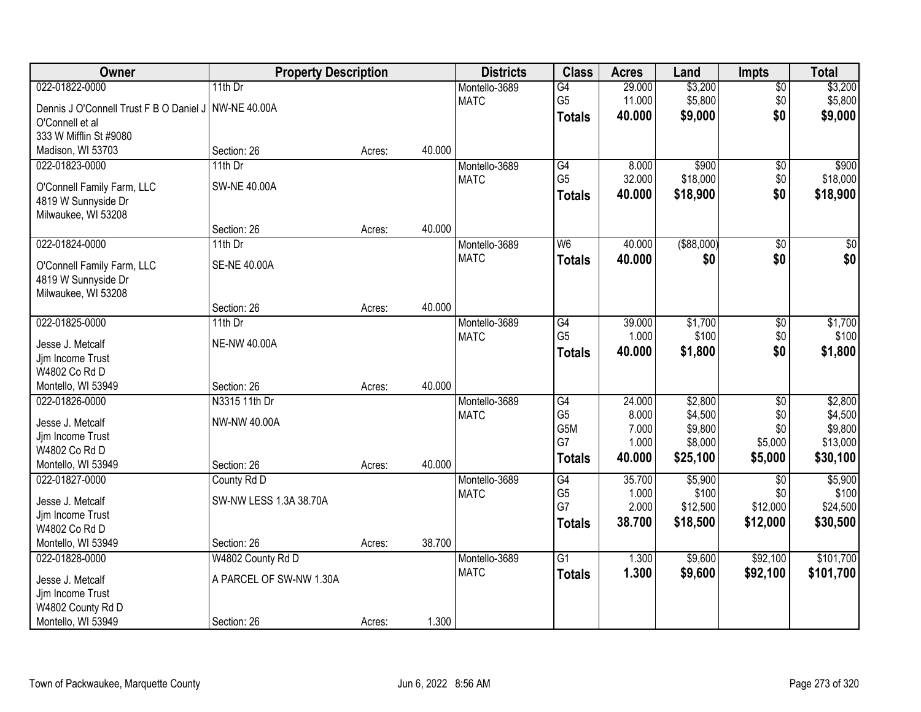| Owner                                                | <b>Property Description</b> |        |        | <b>Districts</b> | <b>Class</b>    | <b>Acres</b> | Land              | <b>Impts</b>    | <b>Total</b>     |
|------------------------------------------------------|-----------------------------|--------|--------|------------------|-----------------|--------------|-------------------|-----------------|------------------|
| 022-01822-0000                                       | 11th Dr                     |        |        | Montello-3689    | $\overline{G4}$ | 29.000       | \$3,200           | $\overline{50}$ | \$3,200          |
| Dennis J O'Connell Trust F B O Daniel J NW-NE 40.00A |                             |        |        | <b>MATC</b>      | G <sub>5</sub>  | 11.000       | \$5,800           | \$0             | \$5,800          |
| O'Connell et al                                      |                             |        |        |                  | <b>Totals</b>   | 40.000       | \$9,000           | \$0             | \$9,000          |
| 333 W Mifflin St #9080                               |                             |        |        |                  |                 |              |                   |                 |                  |
| Madison, WI 53703                                    | Section: 26                 | Acres: | 40.000 |                  |                 |              |                   |                 |                  |
| 022-01823-0000                                       | $11th$ Dr                   |        |        | Montello-3689    | $\overline{G4}$ | 8.000        | \$900             | $\overline{50}$ | \$900            |
|                                                      |                             |        |        | <b>MATC</b>      | G <sub>5</sub>  | 32.000       | \$18,000          | \$0             | \$18,000         |
| O'Connell Family Farm, LLC                           | <b>SW-NE 40.00A</b>         |        |        |                  | <b>Totals</b>   | 40.000       | \$18,900          | \$0             | \$18,900         |
| 4819 W Sunnyside Dr<br>Milwaukee, WI 53208           |                             |        |        |                  |                 |              |                   |                 |                  |
|                                                      | Section: 26                 | Acres: | 40.000 |                  |                 |              |                   |                 |                  |
| 022-01824-0000                                       | 11th Dr                     |        |        | Montello-3689    | W <sub>6</sub>  | 40.000       | $($ \$88,000) $ $ | \$0             | $\overline{\$0}$ |
|                                                      |                             |        |        | <b>MATC</b>      | <b>Totals</b>   | 40.000       | \$0               | \$0             | \$0              |
| O'Connell Family Farm, LLC                           | <b>SE-NE 40.00A</b>         |        |        |                  |                 |              |                   |                 |                  |
| 4819 W Sunnyside Dr                                  |                             |        |        |                  |                 |              |                   |                 |                  |
| Milwaukee, WI 53208                                  |                             |        |        |                  |                 |              |                   |                 |                  |
|                                                      | Section: 26                 | Acres: | 40.000 |                  |                 |              |                   |                 |                  |
| 022-01825-0000                                       | 11th $Dr$                   |        |        | Montello-3689    | G4              | 39.000       | \$1,700           | \$0             | \$1,700          |
| Jesse J. Metcalf                                     | <b>NE-NW 40.00A</b>         |        |        | <b>MATC</b>      | G <sub>5</sub>  | 1.000        | \$100             | \$0             | \$100            |
| Jjm Income Trust                                     |                             |        |        |                  | <b>Totals</b>   | 40.000       | \$1,800           | \$0             | \$1,800          |
| W4802 Co Rd D                                        |                             |        |        |                  |                 |              |                   |                 |                  |
| Montello, WI 53949                                   | Section: 26                 | Acres: | 40.000 |                  |                 |              |                   |                 |                  |
| 022-01826-0000                                       | N3315 11th Dr               |        |        | Montello-3689    | $\overline{G4}$ | 24.000       | \$2,800           | $\overline{50}$ | \$2,800          |
| Jesse J. Metcalf                                     | NW-NW 40.00A                |        |        | <b>MATC</b>      | G <sub>5</sub>  | 8.000        | \$4,500           | \$0             | \$4,500          |
| Jjm Income Trust                                     |                             |        |        |                  | G5M             | 7.000        | \$9,800           | \$0             | \$9,800          |
| W4802 Co Rd D                                        |                             |        |        |                  | G7              | 1.000        | \$8,000           | \$5,000         | \$13,000         |
| Montello, WI 53949                                   | Section: 26                 | Acres: | 40.000 |                  | <b>Totals</b>   | 40.000       | \$25,100          | \$5,000         | \$30,100         |
| 022-01827-0000                                       | County Rd D                 |        |        | Montello-3689    | G4              | 35.700       | \$5,900           | $\overline{50}$ | \$5,900          |
|                                                      |                             |        |        | <b>MATC</b>      | G <sub>5</sub>  | 1.000        | \$100             | \$0             | \$100            |
| Jesse J. Metcalf                                     | SW-NW LESS 1.3A 38.70A      |        |        |                  | G7              | 2.000        | \$12,500          | \$12,000        | \$24,500         |
| Jjm Income Trust                                     |                             |        |        |                  | <b>Totals</b>   | 38.700       | \$18,500          | \$12,000        | \$30,500         |
| W4802 Co Rd D                                        |                             |        |        |                  |                 |              |                   |                 |                  |
| Montello, WI 53949                                   | Section: 26                 | Acres: | 38.700 |                  |                 |              |                   |                 |                  |
| 022-01828-0000                                       | W4802 County Rd D           |        |        | Montello-3689    | $\overline{G1}$ | 1.300        | \$9,600           | \$92,100        | \$101,700        |
| Jesse J. Metcalf                                     | A PARCEL OF SW-NW 1.30A     |        |        | <b>MATC</b>      | <b>Totals</b>   | 1.300        | \$9,600           | \$92,100        | \$101,700        |
| Jjm Income Trust                                     |                             |        |        |                  |                 |              |                   |                 |                  |
| W4802 County Rd D                                    |                             |        |        |                  |                 |              |                   |                 |                  |
| Montello, WI 53949                                   | Section: 26                 | Acres: | 1.300  |                  |                 |              |                   |                 |                  |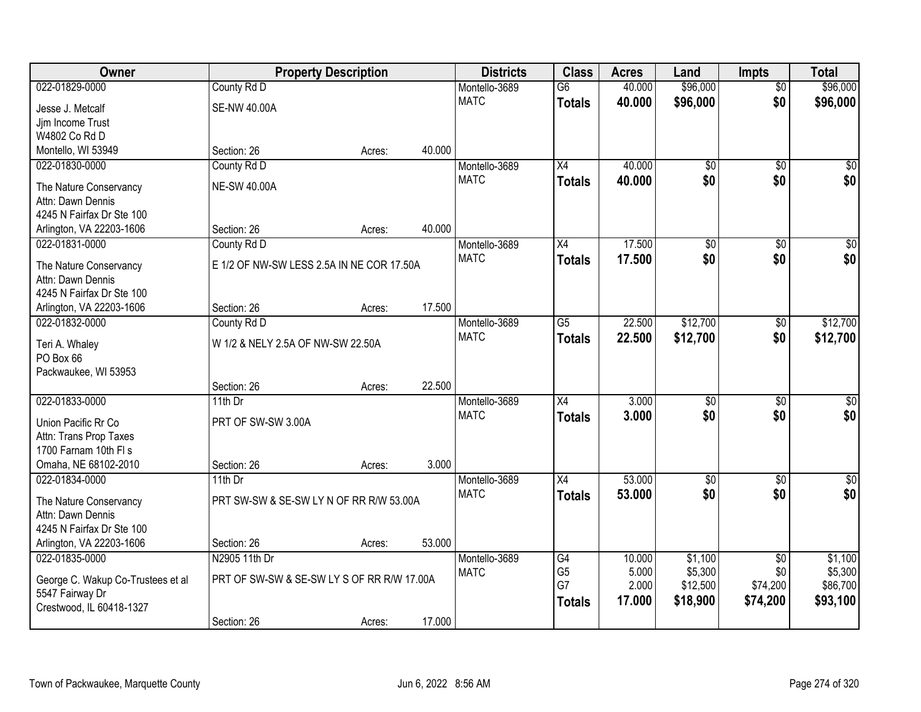| Owner                                         | <b>Property Description</b>                |        |        | <b>Districts</b>             | <b>Class</b>         | <b>Acres</b>    | Land               | <b>Impts</b>           | <b>Total</b>       |
|-----------------------------------------------|--------------------------------------------|--------|--------|------------------------------|----------------------|-----------------|--------------------|------------------------|--------------------|
| 022-01829-0000                                | County Rd D                                |        |        | Montello-3689                | $\overline{G6}$      | 40.000          | \$96,000           | $\overline{50}$        | \$96,000           |
| Jesse J. Metcalf                              | <b>SE-NW 40.00A</b>                        |        |        | <b>MATC</b>                  | <b>Totals</b>        | 40.000          | \$96,000           | \$0                    | \$96,000           |
| Jjm Income Trust                              |                                            |        |        |                              |                      |                 |                    |                        |                    |
| W4802 Co Rd D                                 |                                            |        |        |                              |                      |                 |                    |                        |                    |
| Montello, WI 53949                            | Section: 26                                | Acres: | 40.000 |                              |                      |                 |                    |                        |                    |
| 022-01830-0000                                | County Rd D                                |        |        | Montello-3689                | $\overline{X4}$      | 40.000          | $\overline{50}$    | $\overline{50}$        | \$0                |
| The Nature Conservancy                        | <b>NE-SW 40.00A</b>                        |        |        | <b>MATC</b>                  | <b>Totals</b>        | 40.000          | \$0                | \$0                    | \$0                |
| Attn: Dawn Dennis                             |                                            |        |        |                              |                      |                 |                    |                        |                    |
| 4245 N Fairfax Dr Ste 100                     |                                            |        |        |                              |                      |                 |                    |                        |                    |
| Arlington, VA 22203-1606                      | Section: 26                                | Acres: | 40.000 |                              |                      |                 |                    |                        |                    |
| 022-01831-0000                                | County Rd D                                |        |        | Montello-3689                | X4                   | 17.500          | $\overline{50}$    | \$0                    | $\sqrt{50}$        |
| The Nature Conservancy                        | E 1/2 OF NW-SW LESS 2.5A IN NE COR 17.50A  |        |        | <b>MATC</b>                  | <b>Totals</b>        | 17.500          | \$0                | \$0                    | \$0                |
| Attn: Dawn Dennis                             |                                            |        |        |                              |                      |                 |                    |                        |                    |
| 4245 N Fairfax Dr Ste 100                     |                                            |        |        |                              |                      |                 |                    |                        |                    |
| Arlington, VA 22203-1606                      | Section: 26                                | Acres: | 17.500 |                              |                      |                 |                    |                        |                    |
| 022-01832-0000                                | County Rd D                                |        |        | Montello-3689                | G5                   | 22.500          | \$12,700           | \$0                    | \$12,700           |
|                                               |                                            |        |        | <b>MATC</b>                  | <b>Totals</b>        | 22.500          | \$12,700           | \$0                    | \$12,700           |
| Teri A. Whaley<br>PO Box 66                   | W 1/2 & NELY 2.5A OF NW-SW 22.50A          |        |        |                              |                      |                 |                    |                        |                    |
| Packwaukee, WI 53953                          |                                            |        |        |                              |                      |                 |                    |                        |                    |
|                                               | Section: 26                                | Acres: | 22.500 |                              |                      |                 |                    |                        |                    |
| 022-01833-0000                                | 11th Dr                                    |        |        | Montello-3689                | $\overline{X4}$      | 3.000           | $\overline{50}$    | $\overline{50}$        | $\sqrt{50}$        |
|                                               |                                            |        |        | <b>MATC</b>                  | <b>Totals</b>        | 3.000           | \$0                | \$0                    | \$0                |
| Union Pacific Rr Co                           | PRT OF SW-SW 3.00A                         |        |        |                              |                      |                 |                    |                        |                    |
| Attn: Trans Prop Taxes                        |                                            |        |        |                              |                      |                 |                    |                        |                    |
| 1700 Farnam 10th FI s<br>Omaha, NE 68102-2010 | Section: 26                                | Acres: | 3.000  |                              |                      |                 |                    |                        |                    |
| 022-01834-0000                                | 11th Dr                                    |        |        | Montello-3689                | X4                   | 53.000          | $\sqrt{6}$         | $\overline{50}$        | \$0                |
|                                               |                                            |        |        | <b>MATC</b>                  | <b>Totals</b>        | 53.000          | \$0                | \$0                    | \$0                |
| The Nature Conservancy                        | PRT SW-SW & SE-SW LY N OF RR R/W 53.00A    |        |        |                              |                      |                 |                    |                        |                    |
| Attn: Dawn Dennis                             |                                            |        |        |                              |                      |                 |                    |                        |                    |
| 4245 N Fairfax Dr Ste 100                     |                                            |        |        |                              |                      |                 |                    |                        |                    |
| Arlington, VA 22203-1606<br>022-01835-0000    | Section: 26                                | Acres: | 53.000 |                              |                      |                 |                    |                        |                    |
|                                               | N2905 11th Dr                              |        |        | Montello-3689<br><b>MATC</b> | G4<br>G <sub>5</sub> | 10.000<br>5.000 | \$1,100<br>\$5,300 | $\overline{50}$<br>\$0 | \$1,100<br>\$5,300 |
| George C. Wakup Co-Trustees et al             | PRT OF SW-SW & SE-SW LY S OF RR R/W 17.00A |        |        |                              | G7                   | 2.000           | \$12,500           | \$74,200               | \$86,700           |
| 5547 Fairway Dr                               |                                            |        |        |                              | <b>Totals</b>        | 17.000          | \$18,900           | \$74,200               | \$93,100           |
| Crestwood, IL 60418-1327                      |                                            |        |        |                              |                      |                 |                    |                        |                    |
|                                               | Section: 26                                | Acres: | 17.000 |                              |                      |                 |                    |                        |                    |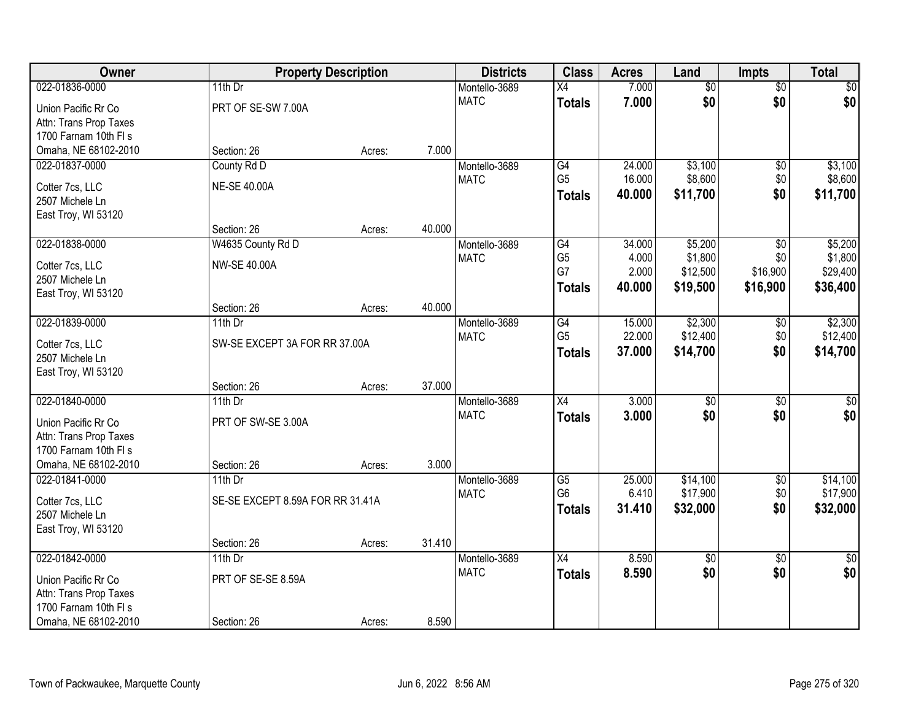| Owner                                         | <b>Property Description</b>      |        |        | <b>Districts</b> | <b>Class</b>    | <b>Acres</b> | Land            | <b>Impts</b>    | <b>Total</b>  |
|-----------------------------------------------|----------------------------------|--------|--------|------------------|-----------------|--------------|-----------------|-----------------|---------------|
| 022-01836-0000                                | 11th $Dr$                        |        |        | Montello-3689    | X4              | 7.000        | $\overline{50}$ | $\overline{50}$ | $\sqrt{30}$   |
| Union Pacific Rr Co                           | PRT OF SE-SW 7.00A               |        |        | <b>MATC</b>      | <b>Totals</b>   | 7.000        | \$0             | \$0             | \$0           |
| Attn: Trans Prop Taxes                        |                                  |        |        |                  |                 |              |                 |                 |               |
| 1700 Farnam 10th FI s                         |                                  |        |        |                  |                 |              |                 |                 |               |
| Omaha, NE 68102-2010                          | Section: 26                      | Acres: | 7.000  |                  |                 |              |                 |                 |               |
| 022-01837-0000                                | County Rd D                      |        |        | Montello-3689    | G4              | 24.000       | \$3,100         | $\overline{50}$ | \$3,100       |
| Cotter 7cs, LLC                               | <b>NE-SE 40.00A</b>              |        |        | <b>MATC</b>      | G <sub>5</sub>  | 16.000       | \$8,600         | \$0             | \$8,600       |
| 2507 Michele Ln                               |                                  |        |        |                  | Totals          | 40.000       | \$11,700        | \$0             | \$11,700      |
| East Troy, WI 53120                           |                                  |        |        |                  |                 |              |                 |                 |               |
|                                               | Section: 26                      | Acres: | 40.000 |                  |                 |              |                 |                 |               |
| 022-01838-0000                                | W4635 County Rd D                |        |        | Montello-3689    | G4              | 34.000       | \$5,200         | \$0             | \$5,200       |
| Cotter 7cs, LLC                               | <b>NW-SE 40.00A</b>              |        |        | <b>MATC</b>      | G <sub>5</sub>  | 4.000        | \$1,800         | \$0             | \$1,800       |
| 2507 Michele Ln                               |                                  |        |        |                  | G7              | 2.000        | \$12,500        | \$16,900        | \$29,400      |
| East Troy, WI 53120                           |                                  |        |        |                  | Totals          | 40.000       | \$19,500        | \$16,900        | \$36,400      |
|                                               | Section: 26                      | Acres: | 40.000 |                  |                 |              |                 |                 |               |
| 022-01839-0000                                | 11th Dr                          |        |        | Montello-3689    | $\overline{G4}$ | 15.000       | \$2,300         | \$0             | \$2,300       |
| Cotter 7cs, LLC                               | SW-SE EXCEPT 3A FOR RR 37.00A    |        |        | <b>MATC</b>      | G <sub>5</sub>  | 22.000       | \$12,400        | \$0             | \$12,400      |
| 2507 Michele Ln                               |                                  |        |        |                  | <b>Totals</b>   | 37.000       | \$14,700        | \$0             | \$14,700      |
| East Troy, WI 53120                           |                                  |        |        |                  |                 |              |                 |                 |               |
|                                               | Section: 26                      | Acres: | 37.000 |                  |                 |              |                 |                 |               |
| 022-01840-0000                                | 11th Dr                          |        |        | Montello-3689    | $\overline{X4}$ | 3.000        | \$0             | $\overline{50}$ | $\sqrt{50}$   |
|                                               | PRT OF SW-SE 3.00A               |        |        | <b>MATC</b>      | <b>Totals</b>   | 3.000        | \$0             | \$0             | \$0           |
| Union Pacific Rr Co<br>Attn: Trans Prop Taxes |                                  |        |        |                  |                 |              |                 |                 |               |
| 1700 Farnam 10th FI s                         |                                  |        |        |                  |                 |              |                 |                 |               |
| Omaha, NE 68102-2010                          | Section: 26                      | Acres: | 3.000  |                  |                 |              |                 |                 |               |
| 022-01841-0000                                | 11th Dr                          |        |        | Montello-3689    | $\overline{G5}$ | 25.000       | \$14,100        | $\sqrt{6}$      | \$14,100      |
|                                               |                                  |        |        | <b>MATC</b>      | G <sub>6</sub>  | 6.410        | \$17,900        | \$0             | \$17,900      |
| Cotter 7cs, LLC                               | SE-SE EXCEPT 8.59A FOR RR 31.41A |        |        |                  | <b>Totals</b>   | 31.410       | \$32,000        | \$0             | \$32,000      |
| 2507 Michele Ln<br>East Troy, WI 53120        |                                  |        |        |                  |                 |              |                 |                 |               |
|                                               | Section: 26                      | Acres: | 31.410 |                  |                 |              |                 |                 |               |
| 022-01842-0000                                | 11th $Dr$                        |        |        | Montello-3689    | $\overline{X4}$ | 8.590        | $\overline{50}$ | $\overline{50}$ | $\frac{1}{6}$ |
|                                               |                                  |        |        | <b>MATC</b>      | <b>Totals</b>   | 8.590        | \$0             | \$0             | \$0           |
| Union Pacific Rr Co                           | PRT OF SE-SE 8.59A               |        |        |                  |                 |              |                 |                 |               |
| Attn: Trans Prop Taxes                        |                                  |        |        |                  |                 |              |                 |                 |               |
| 1700 Farnam 10th FI s                         |                                  |        | 8.590  |                  |                 |              |                 |                 |               |
| Omaha, NE 68102-2010                          | Section: 26                      | Acres: |        |                  |                 |              |                 |                 |               |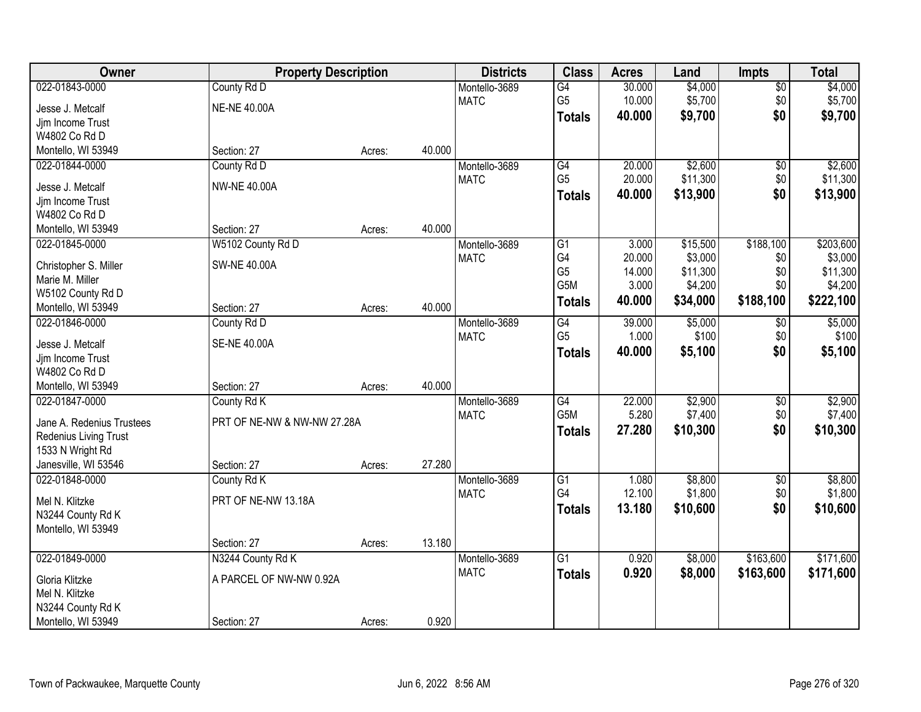| Owner                     | <b>Property Description</b> |        |        | <b>Districts</b> | <b>Class</b>     | <b>Acres</b> | Land     | <b>Impts</b>    | <b>Total</b> |
|---------------------------|-----------------------------|--------|--------|------------------|------------------|--------------|----------|-----------------|--------------|
| 022-01843-0000            | County Rd D                 |        |        | Montello-3689    | $\overline{G4}$  | 30.000       | \$4,000  | $\sqrt{$0}$     | \$4,000      |
| Jesse J. Metcalf          | <b>NE-NE 40.00A</b>         |        |        | <b>MATC</b>      | G <sub>5</sub>   | 10.000       | \$5,700  | \$0             | \$5,700      |
| Jjm Income Trust          |                             |        |        |                  | <b>Totals</b>    | 40.000       | \$9,700  | \$0             | \$9,700      |
| W4802 Co Rd D             |                             |        |        |                  |                  |              |          |                 |              |
| Montello, WI 53949        | Section: 27                 | Acres: | 40.000 |                  |                  |              |          |                 |              |
| 022-01844-0000            | County Rd D                 |        |        | Montello-3689    | $\overline{G4}$  | 20.000       | \$2,600  | $\overline{50}$ | \$2,600      |
|                           |                             |        |        | <b>MATC</b>      | G <sub>5</sub>   | 20.000       | \$11,300 | \$0             | \$11,300     |
| Jesse J. Metcalf          | <b>NW-NE 40.00A</b>         |        |        |                  | <b>Totals</b>    | 40.000       | \$13,900 | \$0             | \$13,900     |
| Jjm Income Trust          |                             |        |        |                  |                  |              |          |                 |              |
| W4802 Co Rd D             |                             |        |        |                  |                  |              |          |                 |              |
| Montello, WI 53949        | Section: 27                 | Acres: | 40.000 |                  |                  |              |          |                 |              |
| 022-01845-0000            | W5102 County Rd D           |        |        | Montello-3689    | $\overline{G1}$  | 3.000        | \$15,500 | \$188,100       | \$203,600    |
| Christopher S. Miller     | <b>SW-NE 40.00A</b>         |        |        | <b>MATC</b>      | G4               | 20.000       | \$3,000  | \$0             | \$3,000      |
| Marie M. Miller           |                             |        |        |                  | G <sub>5</sub>   | 14.000       | \$11,300 | \$0             | \$11,300     |
| W5102 County Rd D         |                             |        |        |                  | G <sub>5</sub> M | 3.000        | \$4,200  | \$0             | \$4,200      |
| Montello, WI 53949        | Section: 27                 | Acres: | 40.000 |                  | <b>Totals</b>    | 40.000       | \$34,000 | \$188,100       | \$222,100    |
| 022-01846-0000            | County Rd D                 |        |        | Montello-3689    | G4               | 39.000       | \$5,000  | $\sqrt[6]{3}$   | \$5,000      |
|                           |                             |        |        | <b>MATC</b>      | G <sub>5</sub>   | 1.000        | \$100    | \$0             | \$100        |
| Jesse J. Metcalf          | <b>SE-NE 40.00A</b>         |        |        |                  | <b>Totals</b>    | 40.000       | \$5,100  | \$0             | \$5,100      |
| Jjm Income Trust          |                             |        |        |                  |                  |              |          |                 |              |
| W4802 Co Rd D             |                             |        |        |                  |                  |              |          |                 |              |
| Montello, WI 53949        | Section: 27                 | Acres: | 40.000 |                  |                  |              |          |                 |              |
| 022-01847-0000            | County Rd K                 |        |        | Montello-3689    | $\overline{G4}$  | 22.000       | \$2,900  | $\overline{50}$ | \$2,900      |
| Jane A. Redenius Trustees | PRT OF NE-NW & NW-NW 27.28A |        |        | <b>MATC</b>      | G <sub>5</sub> M | 5.280        | \$7,400  | \$0             | \$7,400      |
| Redenius Living Trust     |                             |        |        |                  | <b>Totals</b>    | 27.280       | \$10,300 | \$0             | \$10,300     |
| 1533 N Wright Rd          |                             |        |        |                  |                  |              |          |                 |              |
| Janesville, WI 53546      | Section: 27                 | Acres: | 27.280 |                  |                  |              |          |                 |              |
| 022-01848-0000            | County Rd K                 |        |        | Montello-3689    | $\overline{G1}$  | 1.080        | \$8,800  | $\sqrt{$0}$     | \$8,800      |
|                           |                             |        |        | <b>MATC</b>      | G4               | 12.100       | \$1,800  | \$0             | \$1,800      |
| Mel N. Klitzke            | PRT OF NE-NW 13.18A         |        |        |                  | <b>Totals</b>    | 13.180       | \$10,600 | \$0             | \$10,600     |
| N3244 County Rd K         |                             |        |        |                  |                  |              |          |                 |              |
| Montello, WI 53949        |                             |        |        |                  |                  |              |          |                 |              |
|                           | Section: 27                 | Acres: | 13.180 |                  |                  |              |          |                 |              |
| 022-01849-0000            | N3244 County Rd K           |        |        | Montello-3689    | $\overline{G1}$  | 0.920        | \$8,000  | \$163,600       | \$171,600    |
| Gloria Klitzke            | A PARCEL OF NW-NW 0.92A     |        |        | <b>MATC</b>      | <b>Totals</b>    | 0.920        | \$8,000  | \$163,600       | \$171,600    |
| Mel N. Klitzke            |                             |        |        |                  |                  |              |          |                 |              |
| N3244 County Rd K         |                             |        |        |                  |                  |              |          |                 |              |
| Montello, WI 53949        | Section: 27                 | Acres: | 0.920  |                  |                  |              |          |                 |              |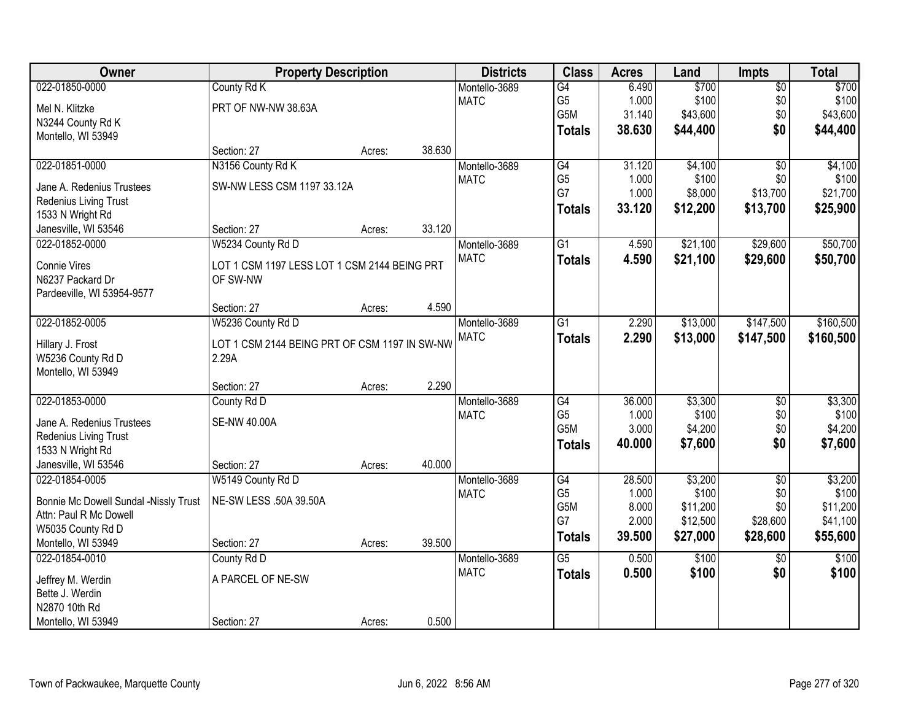| Owner                                              | <b>Property Description</b>                   |        |        | <b>Districts</b>             | <b>Class</b>         | <b>Acres</b>    | Land             | <b>Impts</b>      | <b>Total</b>     |
|----------------------------------------------------|-----------------------------------------------|--------|--------|------------------------------|----------------------|-----------------|------------------|-------------------|------------------|
| 022-01850-0000                                     | County Rd K                                   |        |        | Montello-3689                | $\overline{G4}$      | 6.490           | \$700            | $\overline{50}$   | \$700            |
| Mel N. Klitzke                                     | PRT OF NW-NW 38.63A                           |        |        | <b>MATC</b>                  | G <sub>5</sub>       | 1.000           | \$100            | \$0               | \$100            |
| N3244 County Rd K                                  |                                               |        |        |                              | G5M                  | 31.140          | \$43,600         | \$0               | \$43,600         |
| Montello, WI 53949                                 |                                               |        |        |                              | <b>Totals</b>        | 38.630          | \$44,400         | \$0               | \$44,400         |
|                                                    | Section: 27                                   | Acres: | 38.630 |                              |                      |                 |                  |                   |                  |
| 022-01851-0000                                     | N3156 County Rd K                             |        |        | Montello-3689                | $\overline{G4}$      | 31.120          | \$4,100          | $\overline{30}$   | \$4,100          |
|                                                    | SW-NW LESS CSM 1197 33.12A                    |        |        | <b>MATC</b>                  | G <sub>5</sub>       | 1.000           | \$100            | \$0               | \$100            |
| Jane A. Redenius Trustees<br>Redenius Living Trust |                                               |        |        |                              | G7                   | 1.000           | \$8,000          | \$13,700          | \$21,700         |
| 1533 N Wright Rd                                   |                                               |        |        |                              | <b>Totals</b>        | 33.120          | \$12,200         | \$13,700          | \$25,900         |
| Janesville, WI 53546                               | Section: 27                                   | Acres: | 33.120 |                              |                      |                 |                  |                   |                  |
| 022-01852-0000                                     | W5234 County Rd D                             |        |        | Montello-3689                | $\overline{G1}$      | 4.590           | \$21,100         | \$29,600          | \$50,700         |
|                                                    |                                               |        |        | <b>MATC</b>                  |                      | 4.590           | \$21,100         | \$29,600          | \$50,700         |
| Connie Vires                                       | LOT 1 CSM 1197 LESS LOT 1 CSM 2144 BEING PRT  |        |        |                              | <b>Totals</b>        |                 |                  |                   |                  |
| N6237 Packard Dr                                   | OF SW-NW                                      |        |        |                              |                      |                 |                  |                   |                  |
| Pardeeville, WI 53954-9577                         |                                               |        |        |                              |                      |                 |                  |                   |                  |
|                                                    | Section: 27                                   | Acres: | 4.590  |                              |                      |                 |                  |                   |                  |
| 022-01852-0005                                     | W5236 County Rd D                             |        |        | Montello-3689                | $\overline{G1}$      | 2.290           | \$13,000         | \$147,500         | \$160,500        |
| Hillary J. Frost                                   | LOT 1 CSM 2144 BEING PRT OF CSM 1197 IN SW-NW |        |        | <b>MATC</b>                  | <b>Totals</b>        | 2.290           | \$13,000         | \$147,500         | \$160,500        |
| W5236 County Rd D                                  | 2.29A                                         |        |        |                              |                      |                 |                  |                   |                  |
| Montello, WI 53949                                 |                                               |        |        |                              |                      |                 |                  |                   |                  |
|                                                    | Section: 27                                   | Acres: | 2.290  |                              |                      |                 |                  |                   |                  |
| 022-01853-0000                                     | County Rd D                                   |        |        | Montello-3689                | $\overline{G4}$      | 36.000          | \$3,300          | $\overline{30}$   | \$3,300          |
|                                                    |                                               |        |        | <b>MATC</b>                  | G <sub>5</sub>       | 1.000           | \$100            | \$0               | \$100            |
| Jane A. Redenius Trustees                          | <b>SE-NW 40.00A</b>                           |        |        |                              | G <sub>5</sub> M     | 3.000           | \$4,200          | \$0               | \$4,200          |
| Redenius Living Trust                              |                                               |        |        |                              | <b>Totals</b>        | 40.000          | \$7,600          | \$0               | \$7,600          |
| 1533 N Wright Rd<br>Janesville, WI 53546           |                                               |        | 40.000 |                              |                      |                 |                  |                   |                  |
|                                                    | Section: 27                                   | Acres: |        |                              |                      |                 |                  |                   |                  |
| 022-01854-0005                                     | W5149 County Rd D                             |        |        | Montello-3689<br><b>MATC</b> | G4<br>G <sub>5</sub> | 28.500<br>1.000 | \$3,200<br>\$100 | $\sqrt{6}$<br>\$0 | \$3,200<br>\$100 |
| Bonnie Mc Dowell Sundal -Nissly Trust              | NE-SW LESS .50A 39.50A                        |        |        |                              | G5M                  | 8.000           | \$11,200         | \$0               | \$11,200         |
| Attn: Paul R Mc Dowell                             |                                               |        |        |                              | G7                   | 2.000           | \$12,500         | \$28,600          | \$41,100         |
| W5035 County Rd D                                  |                                               |        |        |                              | <b>Totals</b>        | 39.500          | \$27,000         | \$28,600          | \$55,600         |
| Montello, WI 53949                                 | Section: 27                                   | Acres: | 39.500 |                              |                      |                 |                  |                   |                  |
| 022-01854-0010                                     | County Rd D                                   |        |        | Montello-3689                | $\overline{G5}$      | 0.500           | \$100            | $\overline{30}$   | \$100            |
| Jeffrey M. Werdin                                  | A PARCEL OF NE-SW                             |        |        | <b>MATC</b>                  | <b>Totals</b>        | 0.500           | \$100            | \$0               | \$100            |
| Bette J. Werdin                                    |                                               |        |        |                              |                      |                 |                  |                   |                  |
| N2870 10th Rd                                      |                                               |        |        |                              |                      |                 |                  |                   |                  |
| Montello, WI 53949                                 | Section: 27                                   | Acres: | 0.500  |                              |                      |                 |                  |                   |                  |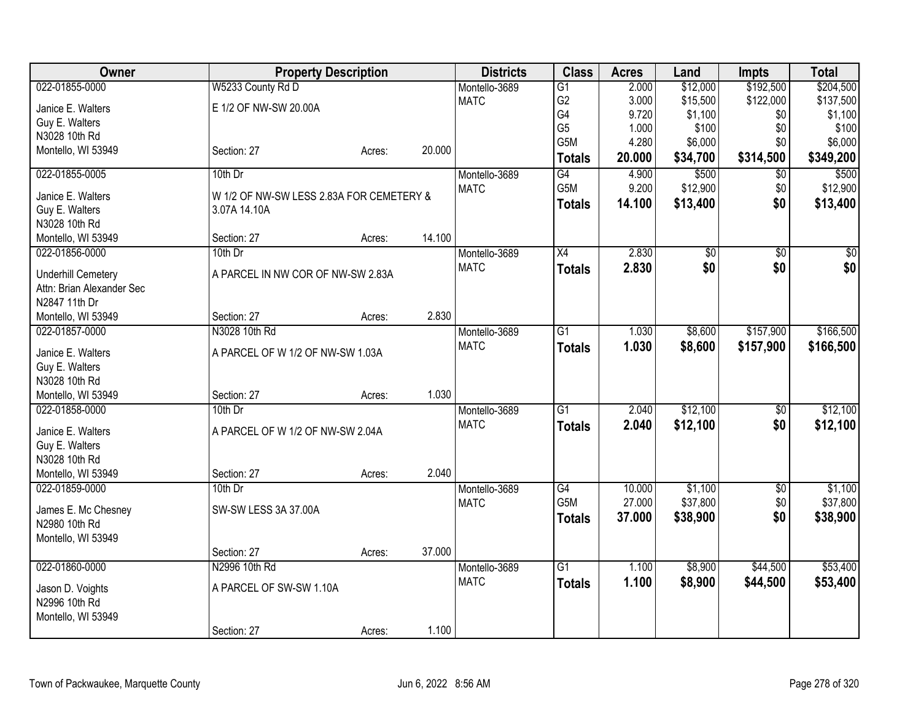| <b>Owner</b>                    | <b>Property Description</b>              |        |        | <b>Districts</b> | <b>Class</b>     | <b>Acres</b> | Land            | <b>Impts</b>    | <b>Total</b> |
|---------------------------------|------------------------------------------|--------|--------|------------------|------------------|--------------|-----------------|-----------------|--------------|
| 022-01855-0000                  | W5233 County Rd D                        |        |        | Montello-3689    | $\overline{G1}$  | 2.000        | \$12,000        | \$192,500       | \$204,500    |
| Janice E. Walters               | E 1/2 OF NW-SW 20.00A                    |        |        | <b>MATC</b>      | G <sub>2</sub>   | 3.000        | \$15,500        | \$122,000       | \$137,500    |
| Guy E. Walters                  |                                          |        |        |                  | G4               | 9.720        | \$1,100         | \$0             | \$1,100      |
| N3028 10th Rd                   |                                          |        |        |                  | G <sub>5</sub>   | 1.000        | \$100           | \$0             | \$100        |
| Montello, WI 53949              | Section: 27                              | Acres: | 20.000 |                  | G <sub>5</sub> M | 4.280        | \$6,000         | \$0             | \$6,000      |
|                                 |                                          |        |        |                  | <b>Totals</b>    | 20.000       | \$34,700        | \$314,500       | \$349,200    |
| 022-01855-0005                  | $10th$ Dr                                |        |        | Montello-3689    | $\overline{G4}$  | 4.900        | \$500           | $\overline{50}$ | \$500        |
| Janice E. Walters               | W 1/2 OF NW-SW LESS 2.83A FOR CEMETERY & |        |        | <b>MATC</b>      | G <sub>5</sub> M | 9.200        | \$12,900        | \$0             | \$12,900     |
| Guy E. Walters                  | 3.07A 14.10A                             |        |        |                  | <b>Totals</b>    | 14.100       | \$13,400        | \$0             | \$13,400     |
| N3028 10th Rd                   |                                          |        |        |                  |                  |              |                 |                 |              |
| Montello, WI 53949              | Section: 27                              | Acres: | 14.100 |                  |                  |              |                 |                 |              |
| 022-01856-0000                  | 10th Dr                                  |        |        | Montello-3689    | $\overline{X4}$  | 2.830        | $\overline{50}$ | $\overline{60}$ | $\sqrt{50}$  |
| <b>Underhill Cemetery</b>       | A PARCEL IN NW COR OF NW-SW 2.83A        |        |        | <b>MATC</b>      | <b>Totals</b>    | 2.830        | \$0             | \$0             | \$0          |
| Attn: Brian Alexander Sec       |                                          |        |        |                  |                  |              |                 |                 |              |
| N2847 11th Dr                   |                                          |        |        |                  |                  |              |                 |                 |              |
| Montello, WI 53949              | Section: 27                              | Acres: | 2.830  |                  |                  |              |                 |                 |              |
| 022-01857-0000                  | N3028 10th Rd                            |        |        | Montello-3689    | $\overline{G1}$  | 1.030        | \$8,600         | \$157,900       | \$166,500    |
|                                 |                                          |        |        | <b>MATC</b>      | <b>Totals</b>    | 1.030        | \$8,600         | \$157,900       | \$166,500    |
| Janice E. Walters               | A PARCEL OF W 1/2 OF NW-SW 1.03A         |        |        |                  |                  |              |                 |                 |              |
| Guy E. Walters<br>N3028 10th Rd |                                          |        |        |                  |                  |              |                 |                 |              |
| Montello, WI 53949              | Section: 27                              | Acres: | 1.030  |                  |                  |              |                 |                 |              |
| 022-01858-0000                  | 10th Dr                                  |        |        | Montello-3689    | $\overline{G1}$  | 2.040        | \$12,100        | \$0             | \$12,100     |
|                                 |                                          |        |        | <b>MATC</b>      | <b>Totals</b>    | 2.040        | \$12,100        | \$0             | \$12,100     |
| Janice E. Walters               | A PARCEL OF W 1/2 OF NW-SW 2.04A         |        |        |                  |                  |              |                 |                 |              |
| Guy E. Walters                  |                                          |        |        |                  |                  |              |                 |                 |              |
| N3028 10th Rd                   |                                          |        |        |                  |                  |              |                 |                 |              |
| Montello, WI 53949              | Section: 27                              | Acres: | 2.040  |                  |                  |              |                 |                 |              |
| 022-01859-0000                  | 10th Dr                                  |        |        | Montello-3689    | G4               | 10.000       | \$1,100         | $\sqrt[6]{30}$  | \$1,100      |
| James E. Mc Chesney             | SW-SW LESS 3A 37.00A                     |        |        | <b>MATC</b>      | G5M              | 27.000       | \$37,800        | \$0             | \$37,800     |
| N2980 10th Rd                   |                                          |        |        |                  | <b>Totals</b>    | 37.000       | \$38,900        | \$0             | \$38,900     |
| Montello, WI 53949              |                                          |        |        |                  |                  |              |                 |                 |              |
|                                 | Section: 27                              | Acres: | 37.000 |                  |                  |              |                 |                 |              |
| 022-01860-0000                  | N2996 10th Rd                            |        |        | Montello-3689    | G1               | 1.100        | \$8,900         | \$44,500        | \$53,400     |
| Jason D. Voights                | A PARCEL OF SW-SW 1.10A                  |        |        | <b>MATC</b>      | <b>Totals</b>    | 1.100        | \$8,900         | \$44,500        | \$53,400     |
| N2996 10th Rd                   |                                          |        |        |                  |                  |              |                 |                 |              |
| Montello, WI 53949              |                                          |        |        |                  |                  |              |                 |                 |              |
|                                 | Section: 27                              | Acres: | 1.100  |                  |                  |              |                 |                 |              |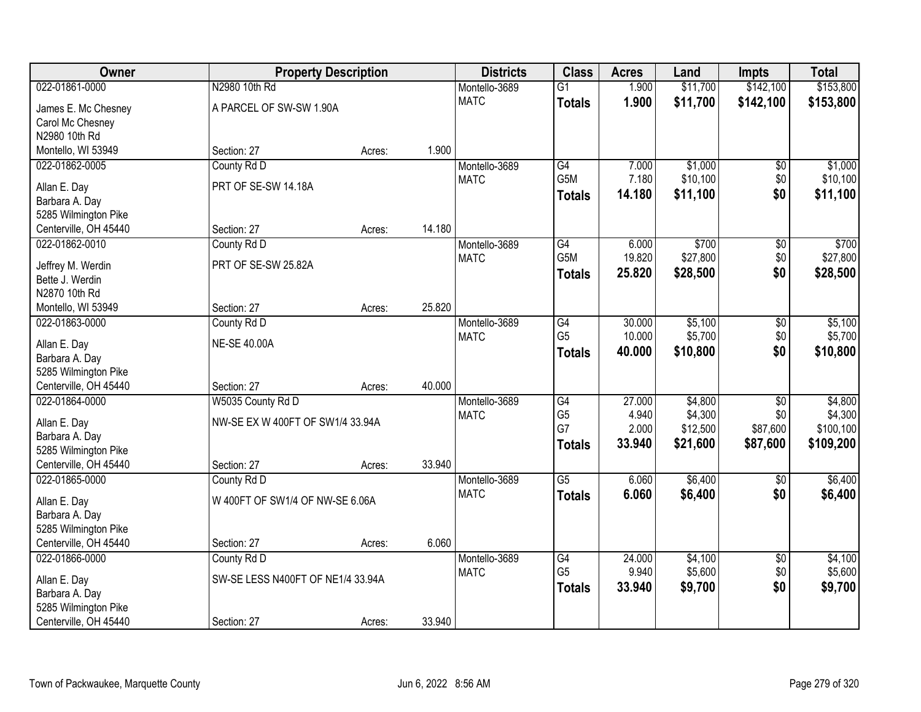| Owner                                | <b>Property Description</b>       |        |        | <b>Districts</b> | <b>Class</b>     | <b>Acres</b> | Land     | <b>Impts</b>    | <b>Total</b> |
|--------------------------------------|-----------------------------------|--------|--------|------------------|------------------|--------------|----------|-----------------|--------------|
| 022-01861-0000                       | N2980 10th Rd                     |        |        | Montello-3689    | $\overline{G1}$  | 1.900        | \$11,700 | \$142,100       | \$153,800    |
| James E. Mc Chesney                  | A PARCEL OF SW-SW 1.90A           |        |        | <b>MATC</b>      | <b>Totals</b>    | 1.900        | \$11,700 | \$142,100       | \$153,800    |
| Carol Mc Chesney                     |                                   |        |        |                  |                  |              |          |                 |              |
| N2980 10th Rd                        |                                   |        |        |                  |                  |              |          |                 |              |
| Montello, WI 53949                   | Section: 27                       | Acres: | 1.900  |                  |                  |              |          |                 |              |
| 022-01862-0005                       | County Rd D                       |        |        | Montello-3689    | G4               | 7.000        | \$1,000  | \$0             | \$1,000      |
| Allan E. Day                         | PRT OF SE-SW 14.18A               |        |        | <b>MATC</b>      | G <sub>5</sub> M | 7.180        | \$10,100 | \$0             | \$10,100     |
| Barbara A. Day                       |                                   |        |        |                  | <b>Totals</b>    | 14.180       | \$11,100 | \$0             | \$11,100     |
| 5285 Wilmington Pike                 |                                   |        |        |                  |                  |              |          |                 |              |
| Centerville, OH 45440                | Section: 27                       | Acres: | 14.180 |                  |                  |              |          |                 |              |
| 022-01862-0010                       | County Rd D                       |        |        | Montello-3689    | G4               | 6.000        | \$700    | \$0             | \$700        |
|                                      |                                   |        |        | <b>MATC</b>      | G5M              | 19.820       | \$27,800 | \$0             | \$27,800     |
| Jeffrey M. Werdin                    | PRT OF SE-SW 25.82A               |        |        |                  | <b>Totals</b>    | 25.820       | \$28,500 | \$0             | \$28,500     |
| Bette J. Werdin                      |                                   |        |        |                  |                  |              |          |                 |              |
| N2870 10th Rd                        | Section: 27                       |        | 25.820 |                  |                  |              |          |                 |              |
| Montello, WI 53949<br>022-01863-0000 | County Rd D                       | Acres: |        | Montello-3689    | G4               | 30.000       | \$5,100  |                 | \$5,100      |
|                                      |                                   |        |        | <b>MATC</b>      | G <sub>5</sub>   | 10.000       | \$5,700  | \$0<br>\$0      | \$5,700      |
| Allan E. Day                         | <b>NE-SE 40.00A</b>               |        |        |                  |                  | 40.000       | \$10,800 | \$0             | \$10,800     |
| Barbara A. Day                       |                                   |        |        |                  | <b>Totals</b>    |              |          |                 |              |
| 5285 Wilmington Pike                 |                                   |        |        |                  |                  |              |          |                 |              |
| Centerville, OH 45440                | Section: 27                       | Acres: | 40.000 |                  |                  |              |          |                 |              |
| 022-01864-0000                       | W5035 County Rd D                 |        |        | Montello-3689    | $\overline{G4}$  | 27.000       | \$4,800  | $\overline{30}$ | \$4,800      |
| Allan E. Day                         | NW-SE EX W 400FT OF SW1/4 33.94A  |        |        | <b>MATC</b>      | G <sub>5</sub>   | 4.940        | \$4,300  | \$0             | \$4,300      |
| Barbara A. Day                       |                                   |        |        |                  | G7               | 2.000        | \$12,500 | \$87,600        | \$100,100    |
| 5285 Wilmington Pike                 |                                   |        |        |                  | <b>Totals</b>    | 33.940       | \$21,600 | \$87,600        | \$109,200    |
| Centerville, OH 45440                | Section: 27                       | Acres: | 33.940 |                  |                  |              |          |                 |              |
| 022-01865-0000                       | County Rd D                       |        |        | Montello-3689    | $\overline{G5}$  | 6.060        | \$6,400  | $\overline{50}$ | \$6,400      |
| Allan E. Day                         | W 400FT OF SW1/4 OF NW-SE 6.06A   |        |        | <b>MATC</b>      | <b>Totals</b>    | 6.060        | \$6,400  | \$0             | \$6,400      |
| Barbara A. Day                       |                                   |        |        |                  |                  |              |          |                 |              |
| 5285 Wilmington Pike                 |                                   |        |        |                  |                  |              |          |                 |              |
| Centerville, OH 45440                | Section: 27                       | Acres: | 6.060  |                  |                  |              |          |                 |              |
| 022-01866-0000                       | County Rd D                       |        |        | Montello-3689    | $\overline{G4}$  | 24.000       | \$4,100  | $\overline{50}$ | \$4,100      |
|                                      |                                   |        |        | <b>MATC</b>      | G <sub>5</sub>   | 9.940        | \$5,600  | \$0             | \$5,600      |
| Allan E. Day                         | SW-SE LESS N400FT OF NE1/4 33.94A |        |        |                  | <b>Totals</b>    | 33.940       | \$9,700  | \$0             | \$9,700      |
| Barbara A. Day                       |                                   |        |        |                  |                  |              |          |                 |              |
| 5285 Wilmington Pike                 |                                   |        |        |                  |                  |              |          |                 |              |
| Centerville, OH 45440                | Section: 27                       | Acres: | 33.940 |                  |                  |              |          |                 |              |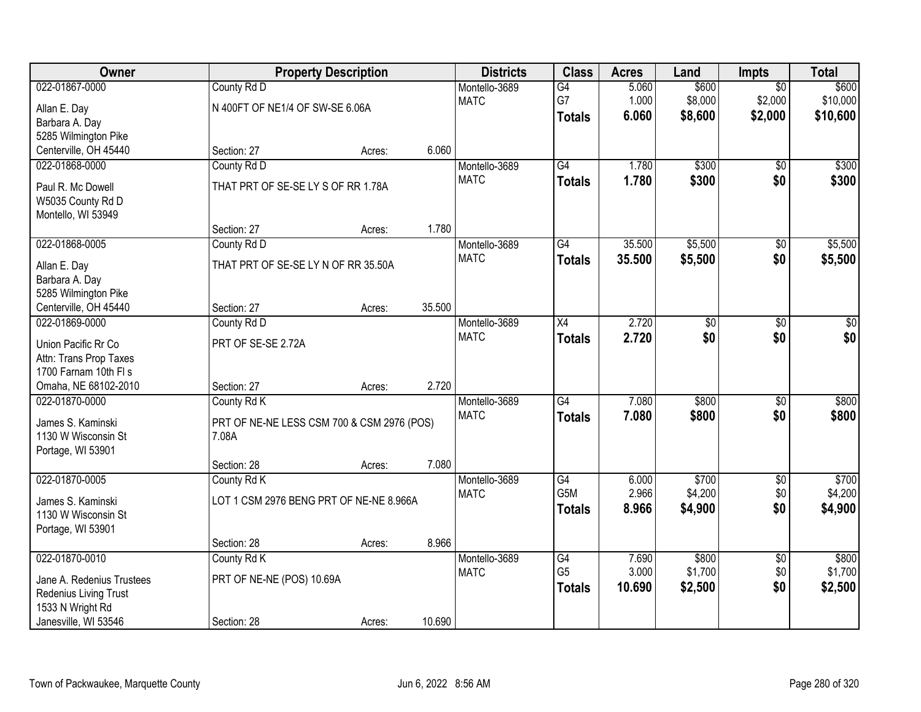| Owner                     |                                            | <b>Property Description</b> |        | <b>Districts</b>             | <b>Class</b>    | <b>Acres</b>   | Land            | <b>Impts</b>           | <b>Total</b> |
|---------------------------|--------------------------------------------|-----------------------------|--------|------------------------------|-----------------|----------------|-----------------|------------------------|--------------|
| 022-01867-0000            | County Rd D                                |                             |        | Montello-3689                | G4              | 5.060          | \$600           | $\overline{50}$        | \$600        |
| Allan E. Day              | N 400FT OF NE1/4 OF SW-SE 6.06A            |                             |        | <b>MATC</b>                  | G7              | 1.000          | \$8,000         | \$2,000                | \$10,000     |
| Barbara A. Day            |                                            |                             |        |                              | <b>Totals</b>   | 6.060          | \$8,600         | \$2,000                | \$10,600     |
| 5285 Wilmington Pike      |                                            |                             |        |                              |                 |                |                 |                        |              |
| Centerville, OH 45440     | Section: 27                                | Acres:                      | 6.060  |                              |                 |                |                 |                        |              |
| 022-01868-0000            | County Rd D                                |                             |        | Montello-3689                | G4              | 1.780          | \$300           | $\overline{50}$        | \$300        |
| Paul R. Mc Dowell         | THAT PRT OF SE-SE LY S OF RR 1.78A         |                             |        | <b>MATC</b>                  | <b>Totals</b>   | 1.780          | \$300           | \$0                    | \$300        |
| W5035 County Rd D         |                                            |                             |        |                              |                 |                |                 |                        |              |
| Montello, WI 53949        |                                            |                             |        |                              |                 |                |                 |                        |              |
|                           | Section: 27                                | Acres:                      | 1.780  |                              |                 |                |                 |                        |              |
| 022-01868-0005            | County Rd D                                |                             |        | Montello-3689                | G4              | 35.500         | \$5,500         | \$0                    | \$5,500      |
| Allan E. Day              | THAT PRT OF SE-SE LY N OF RR 35.50A        |                             |        | <b>MATC</b>                  | <b>Totals</b>   | 35.500         | \$5,500         | \$0                    | \$5,500      |
| Barbara A. Day            |                                            |                             |        |                              |                 |                |                 |                        |              |
| 5285 Wilmington Pike      |                                            |                             |        |                              |                 |                |                 |                        |              |
| Centerville, OH 45440     | Section: 27                                | Acres:                      | 35.500 |                              |                 |                |                 |                        |              |
| 022-01869-0000            | County Rd D                                |                             |        | Montello-3689                | X4              | 2.720          | $\overline{60}$ | \$0                    | \$0          |
| Union Pacific Rr Co       | PRT OF SE-SE 2.72A                         |                             |        | <b>MATC</b>                  | <b>Totals</b>   | 2.720          | \$0             | \$0                    | \$0          |
| Attn: Trans Prop Taxes    |                                            |                             |        |                              |                 |                |                 |                        |              |
| 1700 Farnam 10th FI s     |                                            |                             |        |                              |                 |                |                 |                        |              |
| Omaha, NE 68102-2010      | Section: 27                                | Acres:                      | 2.720  |                              |                 |                |                 |                        |              |
| 022-01870-0000            | County Rd K                                |                             |        | Montello-3689                | $\overline{G4}$ | 7.080          | \$800           | $\overline{30}$        | \$800        |
|                           |                                            |                             |        | <b>MATC</b>                  | <b>Totals</b>   | 7.080          | \$800           | \$0                    | \$800        |
| James S. Kaminski         | PRT OF NE-NE LESS CSM 700 & CSM 2976 (POS) |                             |        |                              |                 |                |                 |                        |              |
| 1130 W Wisconsin St       | 7.08A                                      |                             |        |                              |                 |                |                 |                        |              |
| Portage, WI 53901         | Section: 28                                | Acres:                      | 7.080  |                              |                 |                |                 |                        |              |
| 022-01870-0005            | County Rd K                                |                             |        | Montello-3689                | $\overline{G4}$ | 6.000          | \$700           | $\overline{60}$        | \$700        |
|                           |                                            |                             |        | <b>MATC</b>                  | G5M             | 2.966          | \$4,200         | \$0                    | \$4,200      |
| James S. Kaminski         | LOT 1 CSM 2976 BENG PRT OF NE-NE 8.966A    |                             |        |                              | <b>Totals</b>   | 8.966          | \$4,900         | \$0                    | \$4,900      |
| 1130 W Wisconsin St       |                                            |                             |        |                              |                 |                |                 |                        |              |
| Portage, WI 53901         |                                            |                             | 8.966  |                              |                 |                |                 |                        |              |
| 022-01870-0010            | Section: 28                                | Acres:                      |        |                              | $\overline{G4}$ |                | \$800           |                        | \$800        |
|                           | County Rd K                                |                             |        | Montello-3689<br><b>MATC</b> | G <sub>5</sub>  | 7.690<br>3.000 | \$1,700         | $\overline{50}$<br>\$0 | \$1,700      |
| Jane A. Redenius Trustees | PRT OF NE-NE (POS) 10.69A                  |                             |        |                              | <b>Totals</b>   | 10.690         | \$2,500         | \$0                    | \$2,500      |
| Redenius Living Trust     |                                            |                             |        |                              |                 |                |                 |                        |              |
| 1533 N Wright Rd          |                                            |                             |        |                              |                 |                |                 |                        |              |
| Janesville, WI 53546      | Section: 28                                | Acres:                      | 10.690 |                              |                 |                |                 |                        |              |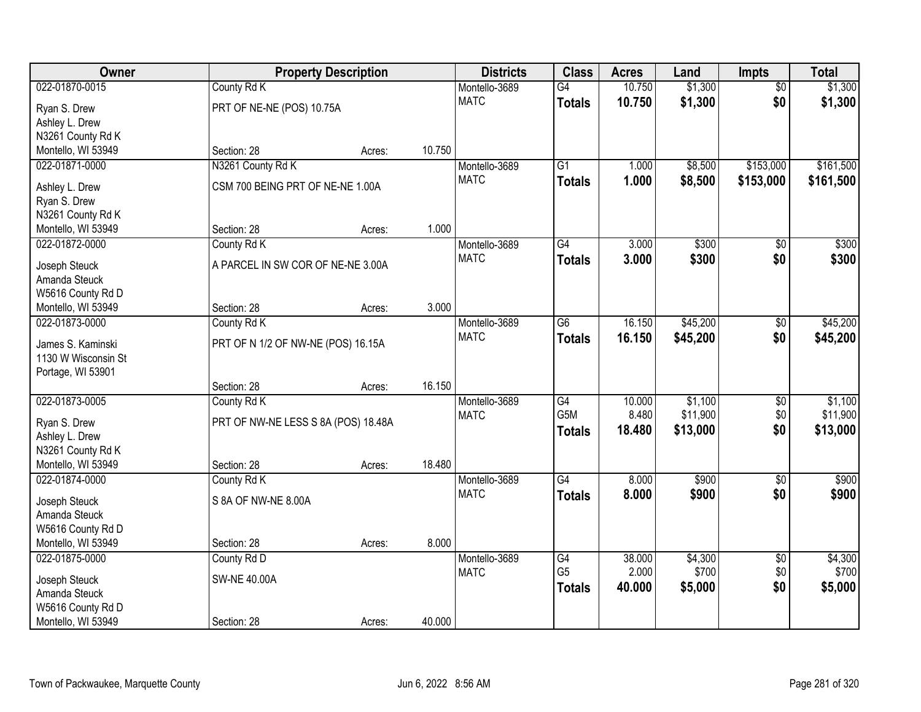| Owner                                |                                     | <b>Property Description</b> |        | <b>Districts</b>             | <b>Class</b>     | <b>Acres</b> | Land     | <b>Impts</b>    | <b>Total</b> |
|--------------------------------------|-------------------------------------|-----------------------------|--------|------------------------------|------------------|--------------|----------|-----------------|--------------|
| 022-01870-0015                       | County Rd K                         |                             |        | Montello-3689                | $\overline{G4}$  | 10.750       | \$1,300  | $\overline{50}$ | \$1,300      |
| Ryan S. Drew                         | PRT OF NE-NE (POS) 10.75A           |                             |        | <b>MATC</b>                  | <b>Totals</b>    | 10.750       | \$1,300  | \$0             | \$1,300      |
| Ashley L. Drew                       |                                     |                             |        |                              |                  |              |          |                 |              |
| N3261 County Rd K                    |                                     |                             |        |                              |                  |              |          |                 |              |
| Montello, WI 53949                   | Section: 28                         | Acres:                      | 10.750 |                              |                  |              |          |                 |              |
| 022-01871-0000                       | N3261 County Rd K                   |                             |        | Montello-3689                | $\overline{G1}$  | 1.000        | \$8,500  | \$153,000       | \$161,500    |
| Ashley L. Drew                       | CSM 700 BEING PRT OF NE-NE 1.00A    |                             |        | <b>MATC</b>                  | <b>Totals</b>    | 1.000        | \$8,500  | \$153,000       | \$161,500    |
| Ryan S. Drew                         |                                     |                             |        |                              |                  |              |          |                 |              |
| N3261 County Rd K                    |                                     |                             |        |                              |                  |              |          |                 |              |
| Montello, WI 53949                   | Section: 28                         | Acres:                      | 1.000  |                              |                  |              |          |                 |              |
| 022-01872-0000                       | County Rd K                         |                             |        | Montello-3689                | $\overline{G4}$  | 3.000        | \$300    | \$0             | \$300        |
|                                      |                                     |                             |        | <b>MATC</b>                  | <b>Totals</b>    | 3.000        | \$300    | \$0             | \$300        |
| Joseph Steuck                        | A PARCEL IN SW COR OF NE-NE 3.00A   |                             |        |                              |                  |              |          |                 |              |
| Amanda Steuck                        |                                     |                             |        |                              |                  |              |          |                 |              |
| W5616 County Rd D                    | Section: 28                         |                             | 3.000  |                              |                  |              |          |                 |              |
| Montello, WI 53949<br>022-01873-0000 |                                     | Acres:                      |        |                              | $\overline{G6}$  | 16.150       | \$45,200 |                 | \$45,200     |
|                                      | County Rd K                         |                             |        | Montello-3689<br><b>MATC</b> |                  | 16.150       |          | \$0<br>\$0      |              |
| James S. Kaminski                    | PRT OF N 1/2 OF NW-NE (POS) 16.15A  |                             |        |                              | <b>Totals</b>    |              | \$45,200 |                 | \$45,200     |
| 1130 W Wisconsin St                  |                                     |                             |        |                              |                  |              |          |                 |              |
| Portage, WI 53901                    |                                     |                             |        |                              |                  |              |          |                 |              |
|                                      | Section: 28                         | Acres:                      | 16.150 |                              |                  |              |          |                 |              |
| 022-01873-0005                       | County Rd K                         |                             |        | Montello-3689                | $\overline{G4}$  | 10.000       | \$1,100  | $\overline{50}$ | \$1,100      |
| Ryan S. Drew                         | PRT OF NW-NE LESS S 8A (POS) 18.48A |                             |        | <b>MATC</b>                  | G <sub>5</sub> M | 8.480        | \$11,900 | \$0             | \$11,900     |
| Ashley L. Drew                       |                                     |                             |        |                              | <b>Totals</b>    | 18.480       | \$13,000 | \$0             | \$13,000     |
| N3261 County Rd K                    |                                     |                             |        |                              |                  |              |          |                 |              |
| Montello, WI 53949                   | Section: 28                         | Acres:                      | 18.480 |                              |                  |              |          |                 |              |
| 022-01874-0000                       | County Rd K                         |                             |        | Montello-3689                | G4               | 8.000        | \$900    | $\sqrt{$0}$     | \$900        |
| Joseph Steuck                        | S 8A OF NW-NE 8.00A                 |                             |        | <b>MATC</b>                  | <b>Totals</b>    | 8.000        | \$900    | \$0             | \$900        |
| Amanda Steuck                        |                                     |                             |        |                              |                  |              |          |                 |              |
| W5616 County Rd D                    |                                     |                             |        |                              |                  |              |          |                 |              |
| Montello, WI 53949                   | Section: 28                         | Acres:                      | 8.000  |                              |                  |              |          |                 |              |
| 022-01875-0000                       | County Rd D                         |                             |        | Montello-3689                | G4               | 38.000       | \$4,300  | $\overline{50}$ | \$4,300      |
|                                      |                                     |                             |        | <b>MATC</b>                  | G <sub>5</sub>   | 2.000        | \$700    | \$0             | \$700        |
| Joseph Steuck                        | <b>SW-NE 40.00A</b>                 |                             |        |                              | <b>Totals</b>    | 40.000       | \$5,000  | \$0             | \$5,000      |
| Amanda Steuck                        |                                     |                             |        |                              |                  |              |          |                 |              |
| W5616 County Rd D                    |                                     |                             | 40.000 |                              |                  |              |          |                 |              |
| Montello, WI 53949                   | Section: 28                         | Acres:                      |        |                              |                  |              |          |                 |              |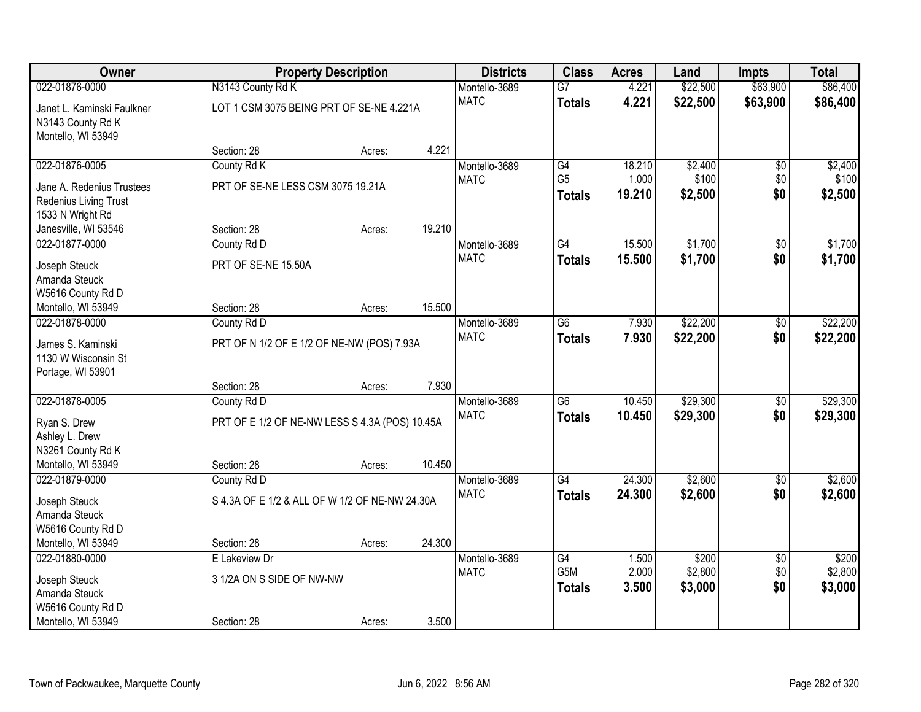| Owner                      |                                                | <b>Property Description</b> |        | <b>Districts</b> | <b>Class</b>    | <b>Acres</b> | Land     | <b>Impts</b>    | <b>Total</b> |
|----------------------------|------------------------------------------------|-----------------------------|--------|------------------|-----------------|--------------|----------|-----------------|--------------|
| 022-01876-0000             | N3143 County Rd K                              |                             |        | Montello-3689    | $\overline{G7}$ | 4.221        | \$22,500 | \$63,900        | \$86,400     |
| Janet L. Kaminski Faulkner | LOT 1 CSM 3075 BEING PRT OF SE-NE 4.221A       |                             |        | <b>MATC</b>      | <b>Totals</b>   | 4.221        | \$22,500 | \$63,900        | \$86,400     |
| N3143 County Rd K          |                                                |                             |        |                  |                 |              |          |                 |              |
| Montello, WI 53949         |                                                |                             |        |                  |                 |              |          |                 |              |
|                            | Section: 28                                    | Acres:                      | 4.221  |                  |                 |              |          |                 |              |
| 022-01876-0005             | County Rd K                                    |                             |        | Montello-3689    | G4              | 18.210       | \$2,400  | $\overline{50}$ | \$2,400      |
| Jane A. Redenius Trustees  | PRT OF SE-NE LESS CSM 3075 19.21A              |                             |        | <b>MATC</b>      | G <sub>5</sub>  | 1.000        | \$100    | \$0             | \$100        |
| Redenius Living Trust      |                                                |                             |        |                  | <b>Totals</b>   | 19.210       | \$2,500  | \$0             | \$2,500      |
| 1533 N Wright Rd           |                                                |                             |        |                  |                 |              |          |                 |              |
| Janesville, WI 53546       | Section: 28                                    | Acres:                      | 19.210 |                  |                 |              |          |                 |              |
| 022-01877-0000             | County Rd D                                    |                             |        | Montello-3689    | G4              | 15.500       | \$1,700  | \$0             | \$1,700      |
| Joseph Steuck              | PRT OF SE-NE 15.50A                            |                             |        | <b>MATC</b>      | <b>Totals</b>   | 15.500       | \$1,700  | \$0             | \$1,700      |
| Amanda Steuck              |                                                |                             |        |                  |                 |              |          |                 |              |
| W5616 County Rd D          |                                                |                             |        |                  |                 |              |          |                 |              |
| Montello, WI 53949         | Section: 28                                    | Acres:                      | 15.500 |                  |                 |              |          |                 |              |
| 022-01878-0000             | County Rd D                                    |                             |        | Montello-3689    | $\overline{G6}$ | 7.930        | \$22,200 | \$0             | \$22,200     |
| James S. Kaminski          | PRT OF N 1/2 OF E 1/2 OF NE-NW (POS) 7.93A     |                             |        | <b>MATC</b>      | <b>Totals</b>   | 7.930        | \$22,200 | \$0             | \$22,200     |
| 1130 W Wisconsin St        |                                                |                             |        |                  |                 |              |          |                 |              |
| Portage, WI 53901          |                                                |                             |        |                  |                 |              |          |                 |              |
|                            | Section: 28                                    | Acres:                      | 7.930  |                  |                 |              |          |                 |              |
| 022-01878-0005             | County Rd D                                    |                             |        | Montello-3689    | $\overline{G6}$ | 10.450       | \$29,300 | $\overline{50}$ | \$29,300     |
| Ryan S. Drew               | PRT OF E 1/2 OF NE-NW LESS S 4.3A (POS) 10.45A |                             |        | <b>MATC</b>      | <b>Totals</b>   | 10.450       | \$29,300 | \$0             | \$29,300     |
| Ashley L. Drew             |                                                |                             |        |                  |                 |              |          |                 |              |
| N3261 County Rd K          |                                                |                             |        |                  |                 |              |          |                 |              |
| Montello, WI 53949         | Section: 28                                    | Acres:                      | 10.450 |                  |                 |              |          |                 |              |
| 022-01879-0000             | County Rd D                                    |                             |        | Montello-3689    | $\overline{G4}$ | 24.300       | \$2,600  | $\overline{50}$ | \$2,600      |
| Joseph Steuck              | S 4.3A OF E 1/2 & ALL OF W 1/2 OF NE-NW 24.30A |                             |        | <b>MATC</b>      | <b>Totals</b>   | 24.300       | \$2,600  | \$0             | \$2,600      |
| Amanda Steuck              |                                                |                             |        |                  |                 |              |          |                 |              |
| W5616 County Rd D          |                                                |                             |        |                  |                 |              |          |                 |              |
| Montello, WI 53949         | Section: 28                                    | Acres:                      | 24.300 |                  |                 |              |          |                 |              |
| 022-01880-0000             | E Lakeview Dr                                  |                             |        | Montello-3689    | $\overline{G4}$ | 1.500        | \$200    | $\overline{50}$ | \$200        |
| Joseph Steuck              | 3 1/2A ON S SIDE OF NW-NW                      |                             |        | <b>MATC</b>      | G5M             | 2.000        | \$2,800  | \$0             | \$2,800      |
| Amanda Steuck              |                                                |                             |        |                  | <b>Totals</b>   | 3.500        | \$3,000  | \$0             | \$3,000      |
| W5616 County Rd D          |                                                |                             |        |                  |                 |              |          |                 |              |
| Montello, WI 53949         | Section: 28                                    | Acres:                      | 3.500  |                  |                 |              |          |                 |              |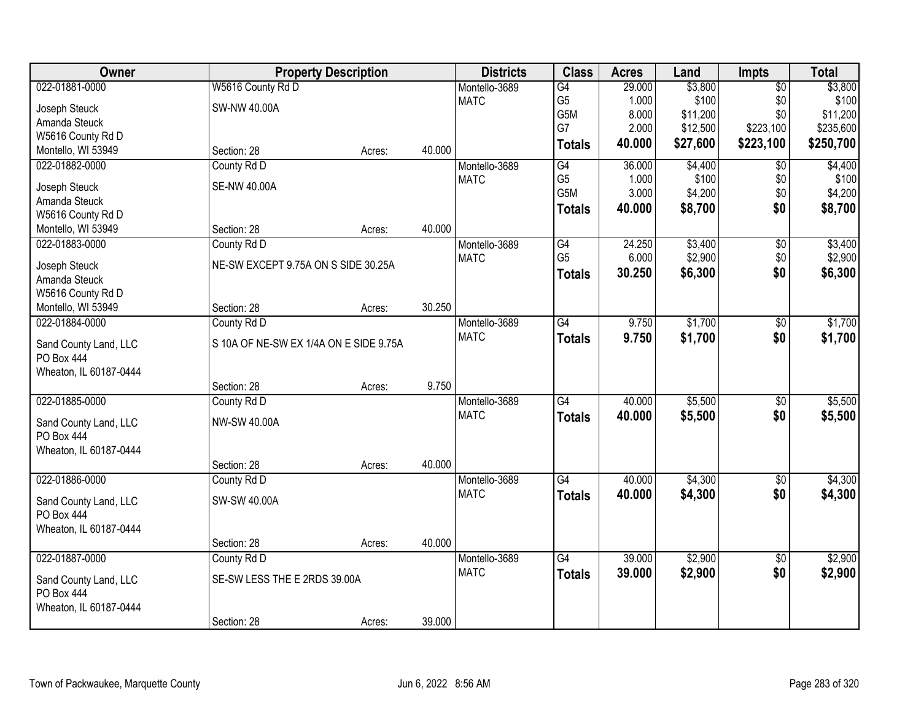| 022-01881-0000<br>W5616 County Rd D<br>29.000<br>\$3,800<br>$\overline{50}$<br>\$3,800<br>Montello-3689<br>G4<br>\$100<br>\$0<br>\$100<br><b>MATC</b><br>G <sub>5</sub><br>1.000<br>SW-NW 40.00A<br>Joseph Steuck<br>G5M<br>8.000<br>\$11,200<br>\$0<br>\$11,200<br>Amanda Steuck<br>G7<br>\$12,500<br>\$223,100<br>2.000<br>W5616 County Rd D<br>\$27,600<br>40.000<br>\$223,100<br>\$250,700<br><b>Totals</b><br>40.000<br>Montello, WI 53949<br>Section: 28<br>Acres:<br>022-01882-0000<br>County Rd D<br>G4<br>36.000<br>\$4,400<br>$\overline{50}$<br>Montello-3689<br>G <sub>5</sub><br>\$100<br>\$0<br><b>MATC</b><br>1.000<br><b>SE-NW 40.00A</b><br>Joseph Steuck<br>G5M<br>3.000<br>\$0<br>\$4,200<br>Amanda Steuck<br>\$0<br>\$8,700<br>40.000<br><b>Totals</b><br>W5616 County Rd D<br>40.000<br>Montello, WI 53949<br>Section: 28<br>Acres:<br>\$3,400<br>022-01883-0000<br>Montello-3689<br>$\overline{G4}$<br>24.250<br>$\overline{50}$<br>County Rd D<br>G <sub>5</sub><br>\$2,900<br>\$0<br>6.000<br><b>MATC</b><br>NE-SW EXCEPT 9.75A ON S SIDE 30.25A<br>Joseph Steuck<br>30.250<br>\$6,300<br>\$0<br><b>Totals</b><br>Amanda Steuck<br>W5616 County Rd D<br>30.250<br>Section: 28<br>Montello, WI 53949<br>Acres:<br>$\overline{G4}$<br>9.750<br>\$1,700<br>022-01884-0000<br>County Rd D<br>Montello-3689<br>\$0<br><b>MATC</b><br>\$0<br>9.750<br>\$1,700<br><b>Totals</b><br>S 10A OF NE-SW EX 1/4A ON E SIDE 9.75A<br>Sand County Land, LLC<br>PO Box 444<br>Wheaton, IL 60187-0444<br>9.750<br>Section: 28<br>Acres:<br>G4<br>40.000<br>\$5,500<br>022-01885-0000<br>$\overline{50}$<br>County Rd D<br>Montello-3689<br><b>MATC</b><br>40.000<br>\$5,500<br>\$0<br><b>Totals</b><br><b>NW-SW 40.00A</b><br>Sand County Land, LLC<br>PO Box 444<br>Wheaton, IL 60187-0444<br>40.000<br>Section: 28<br>Acres:<br>022-01886-0000<br>G4<br>\$4,300<br>Montello-3689<br>40.000<br>$\sqrt{6}$<br>County Rd D<br><b>MATC</b><br>\$0<br>40.000<br>\$4,300<br><b>Totals</b><br>Sand County Land, LLC<br>SW-SW 40.00A<br>PO Box 444<br>Wheaton, IL 60187-0444<br>40.000<br>Section: 28<br>Acres:<br>\$2,900<br>022-01887-0000<br>39.000<br>County Rd D<br>Montello-3689<br>$\overline{G4}$<br>$\overline{50}$ | Owner | <b>Property Description</b> | <b>Districts</b> | <b>Class</b>  | <b>Acres</b> | Land    | Impts | <b>Total</b> |
|------------------------------------------------------------------------------------------------------------------------------------------------------------------------------------------------------------------------------------------------------------------------------------------------------------------------------------------------------------------------------------------------------------------------------------------------------------------------------------------------------------------------------------------------------------------------------------------------------------------------------------------------------------------------------------------------------------------------------------------------------------------------------------------------------------------------------------------------------------------------------------------------------------------------------------------------------------------------------------------------------------------------------------------------------------------------------------------------------------------------------------------------------------------------------------------------------------------------------------------------------------------------------------------------------------------------------------------------------------------------------------------------------------------------------------------------------------------------------------------------------------------------------------------------------------------------------------------------------------------------------------------------------------------------------------------------------------------------------------------------------------------------------------------------------------------------------------------------------------------------------------------------------------------------------------------------------------------------------------------------------------------------------------------------------------------------------------------------------------------------------------------------------------------------------------------------------------------------------|-------|-----------------------------|------------------|---------------|--------------|---------|-------|--------------|
|                                                                                                                                                                                                                                                                                                                                                                                                                                                                                                                                                                                                                                                                                                                                                                                                                                                                                                                                                                                                                                                                                                                                                                                                                                                                                                                                                                                                                                                                                                                                                                                                                                                                                                                                                                                                                                                                                                                                                                                                                                                                                                                                                                                                                              |       |                             |                  |               |              |         |       |              |
| \$235,600                                                                                                                                                                                                                                                                                                                                                                                                                                                                                                                                                                                                                                                                                                                                                                                                                                                                                                                                                                                                                                                                                                                                                                                                                                                                                                                                                                                                                                                                                                                                                                                                                                                                                                                                                                                                                                                                                                                                                                                                                                                                                                                                                                                                                    |       |                             |                  |               |              |         |       |              |
|                                                                                                                                                                                                                                                                                                                                                                                                                                                                                                                                                                                                                                                                                                                                                                                                                                                                                                                                                                                                                                                                                                                                                                                                                                                                                                                                                                                                                                                                                                                                                                                                                                                                                                                                                                                                                                                                                                                                                                                                                                                                                                                                                                                                                              |       |                             |                  |               |              |         |       |              |
|                                                                                                                                                                                                                                                                                                                                                                                                                                                                                                                                                                                                                                                                                                                                                                                                                                                                                                                                                                                                                                                                                                                                                                                                                                                                                                                                                                                                                                                                                                                                                                                                                                                                                                                                                                                                                                                                                                                                                                                                                                                                                                                                                                                                                              |       |                             |                  |               |              |         |       |              |
| \$4,400<br>\$100<br>\$4,200<br>\$8,700<br>\$3,400<br>\$1,700<br>\$1,700<br>\$5,500<br>\$5,500<br>\$2,900                                                                                                                                                                                                                                                                                                                                                                                                                                                                                                                                                                                                                                                                                                                                                                                                                                                                                                                                                                                                                                                                                                                                                                                                                                                                                                                                                                                                                                                                                                                                                                                                                                                                                                                                                                                                                                                                                                                                                                                                                                                                                                                     |       |                             |                  |               |              |         |       |              |
| \$2,900<br>\$6,300<br>\$4,300<br>\$4,300                                                                                                                                                                                                                                                                                                                                                                                                                                                                                                                                                                                                                                                                                                                                                                                                                                                                                                                                                                                                                                                                                                                                                                                                                                                                                                                                                                                                                                                                                                                                                                                                                                                                                                                                                                                                                                                                                                                                                                                                                                                                                                                                                                                     |       |                             |                  |               |              |         |       |              |
|                                                                                                                                                                                                                                                                                                                                                                                                                                                                                                                                                                                                                                                                                                                                                                                                                                                                                                                                                                                                                                                                                                                                                                                                                                                                                                                                                                                                                                                                                                                                                                                                                                                                                                                                                                                                                                                                                                                                                                                                                                                                                                                                                                                                                              |       |                             |                  |               |              |         |       |              |
|                                                                                                                                                                                                                                                                                                                                                                                                                                                                                                                                                                                                                                                                                                                                                                                                                                                                                                                                                                                                                                                                                                                                                                                                                                                                                                                                                                                                                                                                                                                                                                                                                                                                                                                                                                                                                                                                                                                                                                                                                                                                                                                                                                                                                              |       |                             |                  |               |              |         |       |              |
|                                                                                                                                                                                                                                                                                                                                                                                                                                                                                                                                                                                                                                                                                                                                                                                                                                                                                                                                                                                                                                                                                                                                                                                                                                                                                                                                                                                                                                                                                                                                                                                                                                                                                                                                                                                                                                                                                                                                                                                                                                                                                                                                                                                                                              |       |                             |                  |               |              |         |       |              |
|                                                                                                                                                                                                                                                                                                                                                                                                                                                                                                                                                                                                                                                                                                                                                                                                                                                                                                                                                                                                                                                                                                                                                                                                                                                                                                                                                                                                                                                                                                                                                                                                                                                                                                                                                                                                                                                                                                                                                                                                                                                                                                                                                                                                                              |       |                             |                  |               |              |         |       |              |
|                                                                                                                                                                                                                                                                                                                                                                                                                                                                                                                                                                                                                                                                                                                                                                                                                                                                                                                                                                                                                                                                                                                                                                                                                                                                                                                                                                                                                                                                                                                                                                                                                                                                                                                                                                                                                                                                                                                                                                                                                                                                                                                                                                                                                              |       |                             |                  |               |              |         |       |              |
|                                                                                                                                                                                                                                                                                                                                                                                                                                                                                                                                                                                                                                                                                                                                                                                                                                                                                                                                                                                                                                                                                                                                                                                                                                                                                                                                                                                                                                                                                                                                                                                                                                                                                                                                                                                                                                                                                                                                                                                                                                                                                                                                                                                                                              |       |                             |                  |               |              |         |       |              |
|                                                                                                                                                                                                                                                                                                                                                                                                                                                                                                                                                                                                                                                                                                                                                                                                                                                                                                                                                                                                                                                                                                                                                                                                                                                                                                                                                                                                                                                                                                                                                                                                                                                                                                                                                                                                                                                                                                                                                                                                                                                                                                                                                                                                                              |       |                             |                  |               |              |         |       |              |
|                                                                                                                                                                                                                                                                                                                                                                                                                                                                                                                                                                                                                                                                                                                                                                                                                                                                                                                                                                                                                                                                                                                                                                                                                                                                                                                                                                                                                                                                                                                                                                                                                                                                                                                                                                                                                                                                                                                                                                                                                                                                                                                                                                                                                              |       |                             |                  |               |              |         |       |              |
|                                                                                                                                                                                                                                                                                                                                                                                                                                                                                                                                                                                                                                                                                                                                                                                                                                                                                                                                                                                                                                                                                                                                                                                                                                                                                                                                                                                                                                                                                                                                                                                                                                                                                                                                                                                                                                                                                                                                                                                                                                                                                                                                                                                                                              |       |                             |                  |               |              |         |       |              |
|                                                                                                                                                                                                                                                                                                                                                                                                                                                                                                                                                                                                                                                                                                                                                                                                                                                                                                                                                                                                                                                                                                                                                                                                                                                                                                                                                                                                                                                                                                                                                                                                                                                                                                                                                                                                                                                                                                                                                                                                                                                                                                                                                                                                                              |       |                             |                  |               |              |         |       |              |
|                                                                                                                                                                                                                                                                                                                                                                                                                                                                                                                                                                                                                                                                                                                                                                                                                                                                                                                                                                                                                                                                                                                                                                                                                                                                                                                                                                                                                                                                                                                                                                                                                                                                                                                                                                                                                                                                                                                                                                                                                                                                                                                                                                                                                              |       |                             |                  |               |              |         |       |              |
|                                                                                                                                                                                                                                                                                                                                                                                                                                                                                                                                                                                                                                                                                                                                                                                                                                                                                                                                                                                                                                                                                                                                                                                                                                                                                                                                                                                                                                                                                                                                                                                                                                                                                                                                                                                                                                                                                                                                                                                                                                                                                                                                                                                                                              |       |                             |                  |               |              |         |       |              |
|                                                                                                                                                                                                                                                                                                                                                                                                                                                                                                                                                                                                                                                                                                                                                                                                                                                                                                                                                                                                                                                                                                                                                                                                                                                                                                                                                                                                                                                                                                                                                                                                                                                                                                                                                                                                                                                                                                                                                                                                                                                                                                                                                                                                                              |       |                             |                  |               |              |         |       |              |
|                                                                                                                                                                                                                                                                                                                                                                                                                                                                                                                                                                                                                                                                                                                                                                                                                                                                                                                                                                                                                                                                                                                                                                                                                                                                                                                                                                                                                                                                                                                                                                                                                                                                                                                                                                                                                                                                                                                                                                                                                                                                                                                                                                                                                              |       |                             |                  |               |              |         |       |              |
|                                                                                                                                                                                                                                                                                                                                                                                                                                                                                                                                                                                                                                                                                                                                                                                                                                                                                                                                                                                                                                                                                                                                                                                                                                                                                                                                                                                                                                                                                                                                                                                                                                                                                                                                                                                                                                                                                                                                                                                                                                                                                                                                                                                                                              |       |                             |                  |               |              |         |       |              |
|                                                                                                                                                                                                                                                                                                                                                                                                                                                                                                                                                                                                                                                                                                                                                                                                                                                                                                                                                                                                                                                                                                                                                                                                                                                                                                                                                                                                                                                                                                                                                                                                                                                                                                                                                                                                                                                                                                                                                                                                                                                                                                                                                                                                                              |       |                             |                  |               |              |         |       |              |
|                                                                                                                                                                                                                                                                                                                                                                                                                                                                                                                                                                                                                                                                                                                                                                                                                                                                                                                                                                                                                                                                                                                                                                                                                                                                                                                                                                                                                                                                                                                                                                                                                                                                                                                                                                                                                                                                                                                                                                                                                                                                                                                                                                                                                              |       |                             |                  |               |              |         |       |              |
|                                                                                                                                                                                                                                                                                                                                                                                                                                                                                                                                                                                                                                                                                                                                                                                                                                                                                                                                                                                                                                                                                                                                                                                                                                                                                                                                                                                                                                                                                                                                                                                                                                                                                                                                                                                                                                                                                                                                                                                                                                                                                                                                                                                                                              |       |                             |                  |               |              |         |       |              |
|                                                                                                                                                                                                                                                                                                                                                                                                                                                                                                                                                                                                                                                                                                                                                                                                                                                                                                                                                                                                                                                                                                                                                                                                                                                                                                                                                                                                                                                                                                                                                                                                                                                                                                                                                                                                                                                                                                                                                                                                                                                                                                                                                                                                                              |       |                             |                  |               |              |         |       |              |
|                                                                                                                                                                                                                                                                                                                                                                                                                                                                                                                                                                                                                                                                                                                                                                                                                                                                                                                                                                                                                                                                                                                                                                                                                                                                                                                                                                                                                                                                                                                                                                                                                                                                                                                                                                                                                                                                                                                                                                                                                                                                                                                                                                                                                              |       |                             |                  |               |              |         |       |              |
|                                                                                                                                                                                                                                                                                                                                                                                                                                                                                                                                                                                                                                                                                                                                                                                                                                                                                                                                                                                                                                                                                                                                                                                                                                                                                                                                                                                                                                                                                                                                                                                                                                                                                                                                                                                                                                                                                                                                                                                                                                                                                                                                                                                                                              |       |                             |                  |               |              |         |       |              |
|                                                                                                                                                                                                                                                                                                                                                                                                                                                                                                                                                                                                                                                                                                                                                                                                                                                                                                                                                                                                                                                                                                                                                                                                                                                                                                                                                                                                                                                                                                                                                                                                                                                                                                                                                                                                                                                                                                                                                                                                                                                                                                                                                                                                                              |       |                             |                  |               |              |         |       |              |
|                                                                                                                                                                                                                                                                                                                                                                                                                                                                                                                                                                                                                                                                                                                                                                                                                                                                                                                                                                                                                                                                                                                                                                                                                                                                                                                                                                                                                                                                                                                                                                                                                                                                                                                                                                                                                                                                                                                                                                                                                                                                                                                                                                                                                              |       |                             |                  |               |              |         |       |              |
|                                                                                                                                                                                                                                                                                                                                                                                                                                                                                                                                                                                                                                                                                                                                                                                                                                                                                                                                                                                                                                                                                                                                                                                                                                                                                                                                                                                                                                                                                                                                                                                                                                                                                                                                                                                                                                                                                                                                                                                                                                                                                                                                                                                                                              |       |                             |                  |               |              |         |       |              |
|                                                                                                                                                                                                                                                                                                                                                                                                                                                                                                                                                                                                                                                                                                                                                                                                                                                                                                                                                                                                                                                                                                                                                                                                                                                                                                                                                                                                                                                                                                                                                                                                                                                                                                                                                                                                                                                                                                                                                                                                                                                                                                                                                                                                                              |       |                             |                  |               |              |         |       |              |
|                                                                                                                                                                                                                                                                                                                                                                                                                                                                                                                                                                                                                                                                                                                                                                                                                                                                                                                                                                                                                                                                                                                                                                                                                                                                                                                                                                                                                                                                                                                                                                                                                                                                                                                                                                                                                                                                                                                                                                                                                                                                                                                                                                                                                              |       |                             |                  |               |              |         |       |              |
| SE-SW LESS THE E 2RDS 39.00A                                                                                                                                                                                                                                                                                                                                                                                                                                                                                                                                                                                                                                                                                                                                                                                                                                                                                                                                                                                                                                                                                                                                                                                                                                                                                                                                                                                                                                                                                                                                                                                                                                                                                                                                                                                                                                                                                                                                                                                                                                                                                                                                                                                                 |       |                             | <b>MATC</b>      | <b>Totals</b> | 39.000       | \$2,900 | \$0   | \$2,900      |
| Sand County Land, LLC<br>PO Box 444                                                                                                                                                                                                                                                                                                                                                                                                                                                                                                                                                                                                                                                                                                                                                                                                                                                                                                                                                                                                                                                                                                                                                                                                                                                                                                                                                                                                                                                                                                                                                                                                                                                                                                                                                                                                                                                                                                                                                                                                                                                                                                                                                                                          |       |                             |                  |               |              |         |       |              |
| Wheaton, IL 60187-0444                                                                                                                                                                                                                                                                                                                                                                                                                                                                                                                                                                                                                                                                                                                                                                                                                                                                                                                                                                                                                                                                                                                                                                                                                                                                                                                                                                                                                                                                                                                                                                                                                                                                                                                                                                                                                                                                                                                                                                                                                                                                                                                                                                                                       |       |                             |                  |               |              |         |       |              |
| 39.000<br>Section: 28<br>Acres:                                                                                                                                                                                                                                                                                                                                                                                                                                                                                                                                                                                                                                                                                                                                                                                                                                                                                                                                                                                                                                                                                                                                                                                                                                                                                                                                                                                                                                                                                                                                                                                                                                                                                                                                                                                                                                                                                                                                                                                                                                                                                                                                                                                              |       |                             |                  |               |              |         |       |              |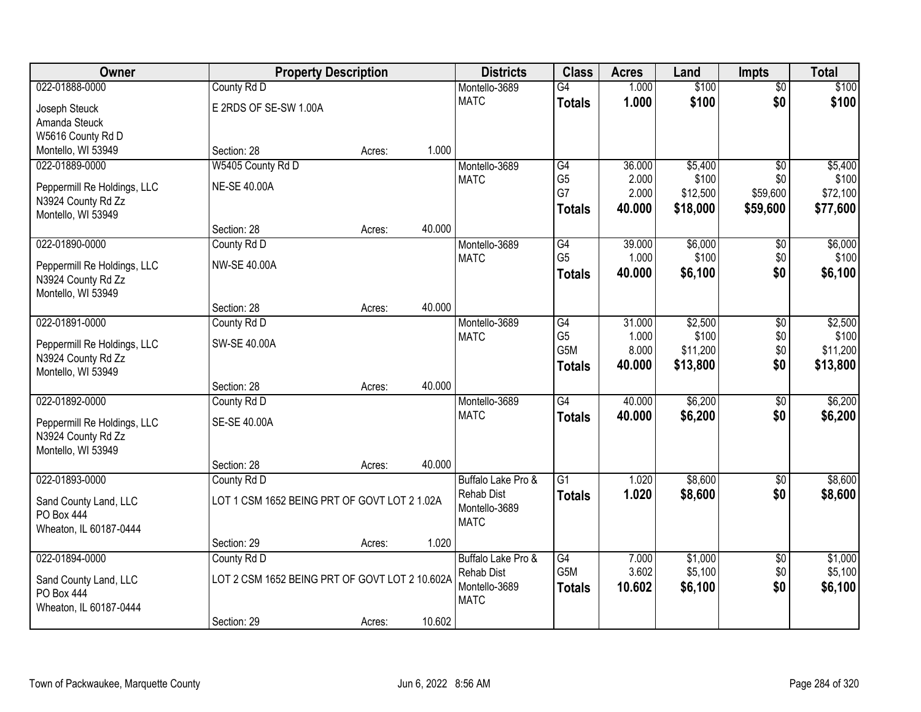| Owner                       | <b>Property Description</b>                    |        |        | <b>Districts</b>   | <b>Class</b>    | <b>Acres</b> | Land     | <b>Impts</b>    | <b>Total</b> |
|-----------------------------|------------------------------------------------|--------|--------|--------------------|-----------------|--------------|----------|-----------------|--------------|
| 022-01888-0000              | County Rd D                                    |        |        | Montello-3689      | $\overline{G4}$ | 1.000        | \$100    | $\overline{50}$ | \$100        |
| Joseph Steuck               | E 2RDS OF SE-SW 1.00A                          |        |        | <b>MATC</b>        | <b>Totals</b>   | 1.000        | \$100    | \$0             | \$100        |
| Amanda Steuck               |                                                |        |        |                    |                 |              |          |                 |              |
| W5616 County Rd D           |                                                |        |        |                    |                 |              |          |                 |              |
| Montello, WI 53949          | Section: 28                                    | Acres: | 1.000  |                    |                 |              |          |                 |              |
| 022-01889-0000              | W5405 County Rd D                              |        |        | Montello-3689      | G4              | 36.000       | \$5,400  | $\overline{50}$ | \$5,400      |
| Peppermill Re Holdings, LLC | <b>NE-SE 40.00A</b>                            |        |        | <b>MATC</b>        | G <sub>5</sub>  | 2.000        | \$100    | \$0             | \$100        |
| N3924 County Rd Zz          |                                                |        |        |                    | G7              | 2.000        | \$12,500 | \$59,600        | \$72,100     |
| Montello, WI 53949          |                                                |        |        |                    | <b>Totals</b>   | 40.000       | \$18,000 | \$59,600        | \$77,600     |
|                             | Section: 28                                    | Acres: | 40.000 |                    |                 |              |          |                 |              |
| 022-01890-0000              | County Rd D                                    |        |        | Montello-3689      | G4              | 39.000       | \$6,000  | \$0             | \$6,000      |
| Peppermill Re Holdings, LLC | <b>NW-SE 40.00A</b>                            |        |        | <b>MATC</b>        | G <sub>5</sub>  | 1.000        | \$100    | \$0             | \$100        |
| N3924 County Rd Zz          |                                                |        |        |                    | <b>Totals</b>   | 40.000       | \$6,100  | \$0             | \$6,100      |
| Montello, WI 53949          |                                                |        |        |                    |                 |              |          |                 |              |
|                             | Section: 28                                    | Acres: | 40.000 |                    |                 |              |          |                 |              |
| 022-01891-0000              | County Rd D                                    |        |        | Montello-3689      | G4              | 31.000       | \$2,500  | $\sqrt[6]{3}$   | \$2,500      |
| Peppermill Re Holdings, LLC | SW-SE 40.00A                                   |        |        | <b>MATC</b>        | G <sub>5</sub>  | 1.000        | \$100    | \$0             | \$100        |
| N3924 County Rd Zz          |                                                |        |        |                    | G5M             | 8.000        | \$11,200 | \$0             | \$11,200     |
| Montello, WI 53949          |                                                |        |        |                    | <b>Totals</b>   | 40.000       | \$13,800 | \$0             | \$13,800     |
|                             | Section: 28                                    | Acres: | 40.000 |                    |                 |              |          |                 |              |
| 022-01892-0000              | County Rd D                                    |        |        | Montello-3689      | $\overline{G4}$ | 40.000       | \$6,200  | $\overline{50}$ | \$6,200      |
| Peppermill Re Holdings, LLC | SE-SE 40.00A                                   |        |        | <b>MATC</b>        | <b>Totals</b>   | 40.000       | \$6,200  | \$0             | \$6,200      |
| N3924 County Rd Zz          |                                                |        |        |                    |                 |              |          |                 |              |
| Montello, WI 53949          |                                                |        |        |                    |                 |              |          |                 |              |
|                             | Section: 28                                    | Acres: | 40.000 |                    |                 |              |          |                 |              |
| 022-01893-0000              | County Rd D                                    |        |        | Buffalo Lake Pro & | $\overline{G1}$ | 1.020        | \$8,600  | $\overline{30}$ | \$8,600      |
| Sand County Land, LLC       | LOT 1 CSM 1652 BEING PRT OF GOVT LOT 2 1.02A   |        |        | <b>Rehab Dist</b>  | <b>Totals</b>   | 1.020        | \$8,600  | \$0             | \$8,600      |
| PO Box 444                  |                                                |        |        | Montello-3689      |                 |              |          |                 |              |
| Wheaton, IL 60187-0444      |                                                |        |        | <b>MATC</b>        |                 |              |          |                 |              |
|                             | Section: 29                                    | Acres: | 1.020  |                    |                 |              |          |                 |              |
| 022-01894-0000              | County Rd D                                    |        |        | Buffalo Lake Pro & | G4              | 7.000        | \$1,000  | $\overline{50}$ | \$1,000      |
| Sand County Land, LLC       | LOT 2 CSM 1652 BEING PRT OF GOVT LOT 2 10.602A |        |        | <b>Rehab Dist</b>  | G5M             | 3.602        | \$5,100  | \$0             | \$5,100      |
| PO Box 444                  |                                                |        |        | Montello-3689      | <b>Totals</b>   | 10.602       | \$6,100  | \$0             | \$6,100      |
| Wheaton, IL 60187-0444      |                                                |        |        | <b>MATC</b>        |                 |              |          |                 |              |
|                             | Section: 29                                    | Acres: | 10.602 |                    |                 |              |          |                 |              |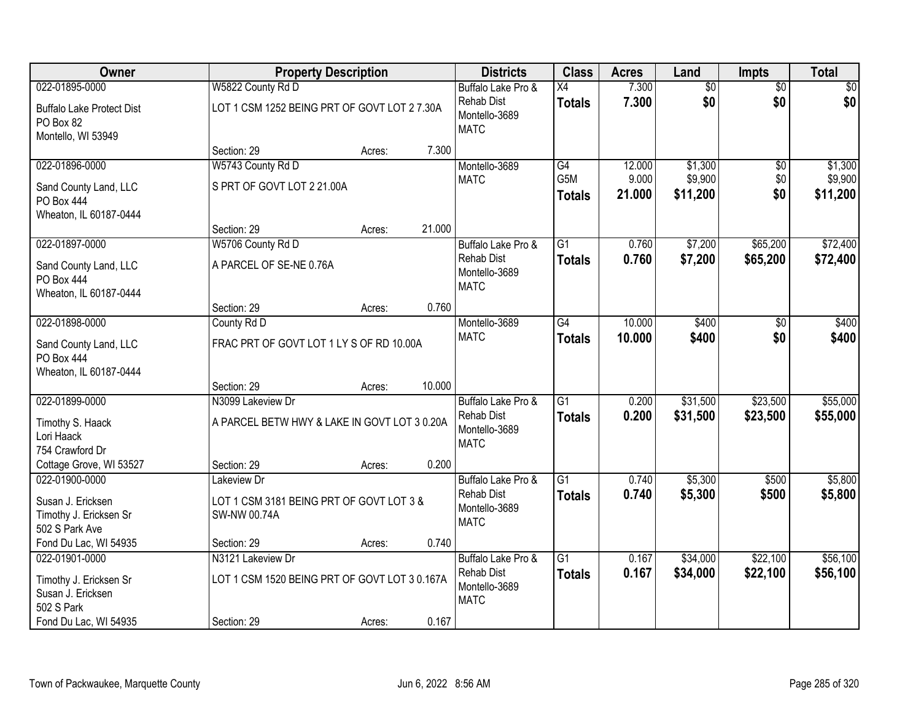| Owner                                                                       |                                                                    | <b>Property Description</b> |        | <b>Districts</b>                                                        | <b>Class</b>                     | <b>Acres</b>    | Land                 | <b>Impts</b>         | <b>Total</b>         |
|-----------------------------------------------------------------------------|--------------------------------------------------------------------|-----------------------------|--------|-------------------------------------------------------------------------|----------------------------------|-----------------|----------------------|----------------------|----------------------|
| 022-01895-0000                                                              | W5822 County Rd D                                                  |                             |        | Buffalo Lake Pro &                                                      | X4                               | 7.300           | $\overline{50}$      | $\overline{50}$      | $\sqrt{50}$          |
| <b>Buffalo Lake Protect Dist</b><br>PO Box 82<br>Montello, WI 53949         | LOT 1 CSM 1252 BEING PRT OF GOVT LOT 2 7.30A                       |                             |        | <b>Rehab Dist</b><br>Montello-3689<br><b>MATC</b>                       | <b>Totals</b>                    | 7.300           | \$0                  | \$0                  | \$0                  |
|                                                                             | Section: 29                                                        | Acres:                      | 7.300  |                                                                         |                                  |                 |                      |                      |                      |
| 022-01896-0000                                                              | W5743 County Rd D                                                  |                             |        | Montello-3689                                                           | G4                               | 12.000          | \$1,300              | \$0                  | \$1,300              |
| Sand County Land, LLC<br>PO Box 444<br>Wheaton, IL 60187-0444               | S PRT OF GOVT LOT 2 21.00A                                         |                             |        | <b>MATC</b>                                                             | G5M<br><b>Totals</b>             | 9.000<br>21.000 | \$9,900<br>\$11,200  | \$0<br>\$0           | \$9,900<br>\$11,200  |
|                                                                             | Section: 29                                                        | Acres:                      | 21.000 |                                                                         |                                  |                 |                      |                      |                      |
| 022-01897-0000                                                              | W5706 County Rd D                                                  |                             |        | Buffalo Lake Pro &                                                      | G1                               | 0.760           | \$7,200              | \$65,200             | \$72,400             |
| Sand County Land, LLC<br>PO Box 444<br>Wheaton, IL 60187-0444               | A PARCEL OF SE-NE 0.76A                                            |                             |        | <b>Rehab Dist</b><br>Montello-3689<br><b>MATC</b>                       | <b>Totals</b>                    | 0.760           | \$7,200              | \$65,200             | \$72,400             |
|                                                                             | Section: 29                                                        | Acres:                      | 0.760  |                                                                         |                                  |                 |                      |                      |                      |
| 022-01898-0000                                                              | County Rd D                                                        |                             |        | Montello-3689                                                           | $\overline{G4}$                  | 10.000          | \$400                | $\sqrt[6]{}$         | \$400                |
| Sand County Land, LLC<br><b>PO Box 444</b><br>Wheaton, IL 60187-0444        | FRAC PRT OF GOVT LOT 1 LY S OF RD 10.00A                           |                             |        | <b>MATC</b>                                                             | <b>Totals</b>                    | 10.000          | \$400                | \$0                  | \$400                |
|                                                                             | Section: 29                                                        | Acres:                      | 10.000 |                                                                         |                                  |                 |                      |                      |                      |
| 022-01899-0000                                                              | N3099 Lakeview Dr                                                  |                             |        | Buffalo Lake Pro &                                                      | $\overline{G1}$                  | 0.200           | \$31,500             | \$23,500             | \$55,000             |
| Timothy S. Haack<br>Lori Haack<br>754 Crawford Dr                           | A PARCEL BETW HWY & LAKE IN GOVT LOT 3 0.20A                       |                             |        | <b>Rehab Dist</b><br>Montello-3689<br><b>MATC</b>                       | Totals                           | 0.200           | \$31,500             | \$23,500             | \$55,000             |
| Cottage Grove, WI 53527                                                     | Section: 29                                                        | Acres:                      | 0.200  |                                                                         |                                  |                 |                      |                      |                      |
| 022-01900-0000                                                              | Lakeview Dr                                                        |                             |        | Buffalo Lake Pro &                                                      | $\overline{G1}$                  | 0.740           | \$5,300              | \$500                | \$5,800              |
| Susan J. Ericksen<br>Timothy J. Ericksen Sr<br>502 S Park Ave               | LOT 1 CSM 3181 BEING PRT OF GOVT LOT 3 &<br>SW-NW 00.74A           |                             |        | <b>Rehab Dist</b><br>Montello-3689<br><b>MATC</b>                       | <b>Totals</b>                    | 0.740           | \$5,300              | \$500                | \$5,800              |
| Fond Du Lac, WI 54935                                                       | Section: 29                                                        | Acres:                      | 0.740  |                                                                         |                                  |                 |                      |                      |                      |
| 022-01901-0000<br>Timothy J. Ericksen Sr<br>Susan J. Ericksen<br>502 S Park | N3121 Lakeview Dr<br>LOT 1 CSM 1520 BEING PRT OF GOVT LOT 3 0.167A |                             |        | Buffalo Lake Pro &<br><b>Rehab Dist</b><br>Montello-3689<br><b>MATC</b> | $\overline{G1}$<br><b>Totals</b> | 0.167<br>0.167  | \$34,000<br>\$34,000 | \$22,100<br>\$22,100 | \$56,100<br>\$56,100 |
| Fond Du Lac, WI 54935                                                       | Section: 29                                                        | Acres:                      | 0.167  |                                                                         |                                  |                 |                      |                      |                      |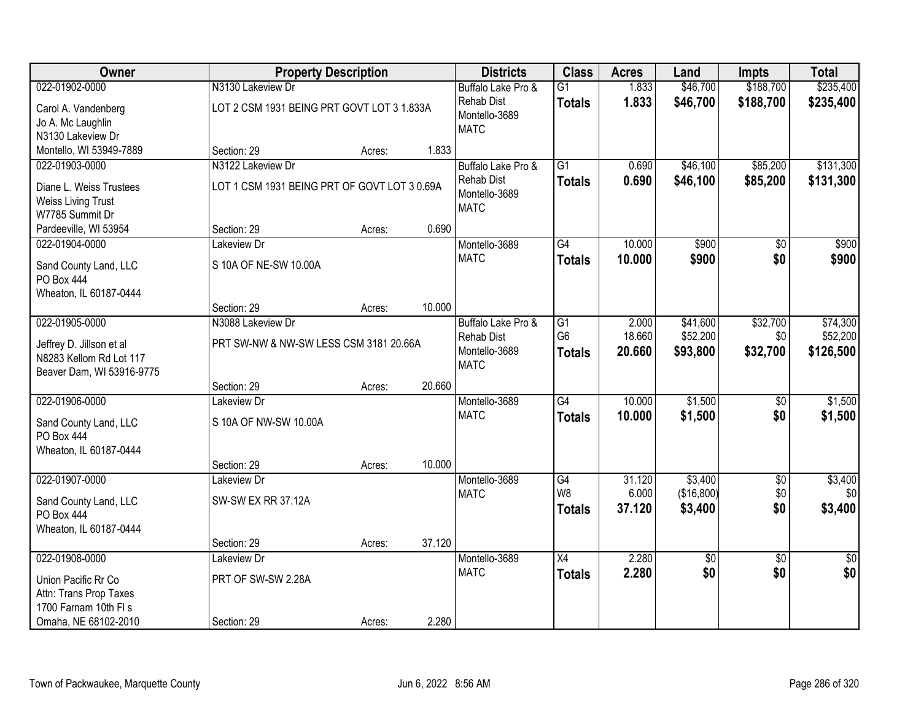| Owner                     |                                              | <b>Property Description</b> |        | <b>Districts</b>             | <b>Class</b>    | <b>Acres</b> | Land            | <b>Impts</b>    | <b>Total</b>    |
|---------------------------|----------------------------------------------|-----------------------------|--------|------------------------------|-----------------|--------------|-----------------|-----------------|-----------------|
| 022-01902-0000            | N3130 Lakeview Dr                            |                             |        | Buffalo Lake Pro &           | $\overline{G1}$ | 1.833        | \$46,700        | \$188,700       | \$235,400       |
| Carol A. Vandenberg       | LOT 2 CSM 1931 BEING PRT GOVT LOT 3 1.833A   |                             |        | <b>Rehab Dist</b>            | <b>Totals</b>   | 1.833        | \$46,700        | \$188,700       | \$235,400       |
| Jo A. Mc Laughlin         |                                              |                             |        | Montello-3689                |                 |              |                 |                 |                 |
| N3130 Lakeview Dr         |                                              |                             |        | <b>MATC</b>                  |                 |              |                 |                 |                 |
| Montello, WI 53949-7889   | Section: 29                                  | Acres:                      | 1.833  |                              |                 |              |                 |                 |                 |
| 022-01903-0000            | N3122 Lakeview Dr                            |                             |        | Buffalo Lake Pro &           | $\overline{G1}$ | 0.690        | \$46,100        | \$85,200        | \$131,300       |
| Diane L. Weiss Trustees   | LOT 1 CSM 1931 BEING PRT OF GOVT LOT 3 0.69A |                             |        | <b>Rehab Dist</b>            | <b>Totals</b>   | 0.690        | \$46,100        | \$85,200        | \$131,300       |
| <b>Weiss Living Trust</b> |                                              |                             |        | Montello-3689<br><b>MATC</b> |                 |              |                 |                 |                 |
| W7785 Summit Dr           |                                              |                             |        |                              |                 |              |                 |                 |                 |
| Pardeeville, WI 53954     | Section: 29                                  | Acres:                      | 0.690  |                              |                 |              |                 |                 |                 |
| 022-01904-0000            | Lakeview Dr                                  |                             |        | Montello-3689                | G4              | 10.000       | \$900           | \$0             | \$900           |
| Sand County Land, LLC     | S 10A OF NE-SW 10.00A                        |                             |        | <b>MATC</b>                  | <b>Totals</b>   | 10.000       | \$900           | \$0             | \$900           |
| PO Box 444                |                                              |                             |        |                              |                 |              |                 |                 |                 |
| Wheaton, IL 60187-0444    |                                              |                             |        |                              |                 |              |                 |                 |                 |
|                           | Section: 29                                  | Acres:                      | 10.000 |                              |                 |              |                 |                 |                 |
| 022-01905-0000            | N3088 Lakeview Dr                            |                             |        | Buffalo Lake Pro &           | $\overline{G1}$ | 2.000        | \$41,600        | \$32,700        | \$74,300        |
| Jeffrey D. Jillson et al  | PRT SW-NW & NW-SW LESS CSM 3181 20.66A       |                             |        | <b>Rehab Dist</b>            | G <sub>6</sub>  | 18.660       | \$52,200        | \$0             | \$52,200        |
| N8283 Kellom Rd Lot 117   |                                              |                             |        | Montello-3689<br><b>MATC</b> | <b>Totals</b>   | 20.660       | \$93,800        | \$32,700        | \$126,500       |
| Beaver Dam, WI 53916-9775 |                                              |                             |        |                              |                 |              |                 |                 |                 |
|                           | Section: 29                                  | Acres:                      | 20.660 |                              |                 |              |                 |                 |                 |
| 022-01906-0000            | Lakeview Dr                                  |                             |        | Montello-3689                | $\overline{G4}$ | 10.000       | \$1,500         | \$0             | \$1,500         |
| Sand County Land, LLC     | S 10A OF NW-SW 10.00A                        |                             |        | <b>MATC</b>                  | <b>Totals</b>   | 10.000       | \$1,500         | \$0             | \$1,500         |
| PO Box 444                |                                              |                             |        |                              |                 |              |                 |                 |                 |
| Wheaton, IL 60187-0444    |                                              |                             |        |                              |                 |              |                 |                 |                 |
|                           | Section: 29                                  | Acres:                      | 10.000 |                              |                 |              |                 |                 |                 |
| 022-01907-0000            | Lakeview Dr                                  |                             |        | Montello-3689                | G4              | 31.120       | \$3,400         | $\overline{60}$ | \$3,400         |
| Sand County Land, LLC     | SW-SW EX RR 37.12A                           |                             |        | <b>MATC</b>                  | W8              | 6.000        | (\$16,800)      | \$0             | \$0             |
| <b>PO Box 444</b>         |                                              |                             |        |                              | <b>Totals</b>   | 37.120       | \$3,400         | \$0             | \$3,400         |
| Wheaton, IL 60187-0444    |                                              |                             |        |                              |                 |              |                 |                 |                 |
|                           | Section: 29                                  | Acres:                      | 37.120 |                              |                 |              |                 |                 |                 |
| 022-01908-0000            | Lakeview Dr                                  |                             |        | Montello-3689                | $\overline{X4}$ | 2.280        | $\overline{30}$ | $\overline{30}$ | $\overline{30}$ |
| Union Pacific Rr Co       | PRT OF SW-SW 2.28A                           |                             |        | <b>MATC</b>                  | <b>Totals</b>   | 2.280        | \$0             | \$0             | \$0             |
| Attn: Trans Prop Taxes    |                                              |                             |        |                              |                 |              |                 |                 |                 |
| 1700 Farnam 10th FI s     |                                              |                             |        |                              |                 |              |                 |                 |                 |
| Omaha, NE 68102-2010      | Section: 29                                  | Acres:                      | 2.280  |                              |                 |              |                 |                 |                 |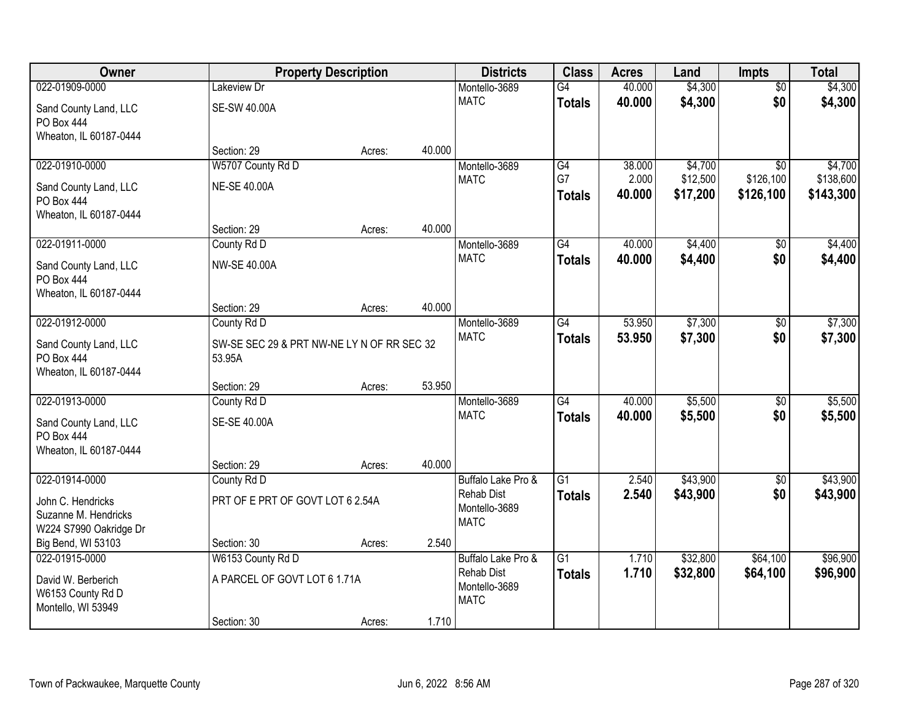| Owner                  |                                            | <b>Property Description</b> |        | <b>Districts</b>                        | <b>Class</b>    | <b>Acres</b>   | Land                 | <b>Impts</b>           | <b>Total</b> |
|------------------------|--------------------------------------------|-----------------------------|--------|-----------------------------------------|-----------------|----------------|----------------------|------------------------|--------------|
| 022-01909-0000         | Lakeview Dr                                |                             |        | Montello-3689                           | G4              | 40.000         | \$4,300              | $\overline{50}$        | \$4,300      |
| Sand County Land, LLC  | <b>SE-SW 40.00A</b>                        |                             |        | <b>MATC</b>                             | <b>Totals</b>   | 40.000         | \$4,300              | \$0                    | \$4,300      |
| PO Box 444             |                                            |                             |        |                                         |                 |                |                      |                        |              |
| Wheaton, IL 60187-0444 |                                            |                             |        |                                         |                 |                |                      |                        |              |
|                        | Section: 29                                | Acres:                      | 40.000 |                                         |                 |                |                      |                        |              |
| 022-01910-0000         | W5707 County Rd D                          |                             |        | Montello-3689                           | G4              | 38.000         | \$4,700              | $\overline{30}$        | \$4,700      |
| Sand County Land, LLC  | <b>NE-SE 40.00A</b>                        |                             |        | <b>MATC</b>                             | G7              | 2.000          | \$12,500             | \$126,100              | \$138,600    |
| PO Box 444             |                                            |                             |        |                                         | <b>Totals</b>   | 40.000         | \$17,200             | \$126,100              | \$143,300    |
| Wheaton, IL 60187-0444 |                                            |                             |        |                                         |                 |                |                      |                        |              |
|                        | Section: 29                                | Acres:                      | 40.000 |                                         |                 |                |                      |                        |              |
| 022-01911-0000         | County Rd D                                |                             |        | Montello-3689                           | $\overline{G4}$ | 40.000         | \$4,400              | \$0                    | \$4,400      |
| Sand County Land, LLC  | <b>NW-SE 40.00A</b>                        |                             |        | <b>MATC</b>                             | <b>Totals</b>   | 40.000         | \$4,400              | \$0                    | \$4,400      |
| PO Box 444             |                                            |                             |        |                                         |                 |                |                      |                        |              |
| Wheaton, IL 60187-0444 |                                            |                             |        |                                         |                 |                |                      |                        |              |
|                        | Section: 29                                | Acres:                      | 40.000 |                                         |                 |                |                      |                        |              |
| 022-01912-0000         | County Rd D                                |                             |        | Montello-3689<br><b>MATC</b>            | $\overline{G4}$ | 53.950         | \$7,300              | \$0                    | \$7,300      |
| Sand County Land, LLC  | SW-SE SEC 29 & PRT NW-NE LY N OF RR SEC 32 |                             |        |                                         | <b>Totals</b>   | 53.950         | \$7,300              | \$0                    | \$7,300      |
| PO Box 444             | 53.95A                                     |                             |        |                                         |                 |                |                      |                        |              |
| Wheaton, IL 60187-0444 |                                            |                             |        |                                         |                 |                |                      |                        |              |
|                        | Section: 29                                | Acres:                      | 53.950 |                                         | $\overline{G4}$ |                |                      |                        |              |
| 022-01913-0000         | County Rd D                                |                             |        | Montello-3689<br><b>MATC</b>            |                 | 40.000         | \$5,500              | $\overline{30}$        | \$5,500      |
| Sand County Land, LLC  | SE-SE 40.00A                               |                             |        |                                         | <b>Totals</b>   | 40.000         | \$5,500              | \$0                    | \$5,500      |
| PO Box 444             |                                            |                             |        |                                         |                 |                |                      |                        |              |
| Wheaton, IL 60187-0444 |                                            |                             |        |                                         |                 |                |                      |                        |              |
| 022-01914-0000         | Section: 29                                | Acres:                      | 40.000 |                                         | $\overline{G1}$ |                | \$43,900             |                        | \$43,900     |
|                        | County Rd D                                |                             |        | Buffalo Lake Pro &<br><b>Rehab Dist</b> | <b>Totals</b>   | 2.540<br>2.540 | \$43,900             | $\overline{60}$<br>\$0 | \$43,900     |
| John C. Hendricks      | PRT OF E PRT OF GOVT LOT 6 2.54A           |                             |        | Montello-3689                           |                 |                |                      |                        |              |
| Suzanne M. Hendricks   |                                            |                             |        | <b>MATC</b>                             |                 |                |                      |                        |              |
| W224 S7990 Oakridge Dr |                                            |                             |        |                                         |                 |                |                      |                        |              |
| Big Bend, WI 53103     | Section: 30                                | Acres:                      | 2.540  |                                         | $\overline{G1}$ |                |                      |                        | \$96,900     |
| 022-01915-0000         | W6153 County Rd D                          |                             |        | Buffalo Lake Pro &<br><b>Rehab Dist</b> | <b>Totals</b>   | 1.710<br>1.710 | \$32,800<br>\$32,800 | \$64,100<br>\$64,100   | \$96,900     |
| David W. Berberich     | A PARCEL OF GOVT LOT 6 1.71A               |                             |        | Montello-3689                           |                 |                |                      |                        |              |
| W6153 County Rd D      |                                            |                             |        | <b>MATC</b>                             |                 |                |                      |                        |              |
| Montello, WI 53949     |                                            |                             |        |                                         |                 |                |                      |                        |              |
|                        | Section: 30                                | Acres:                      | 1.710  |                                         |                 |                |                      |                        |              |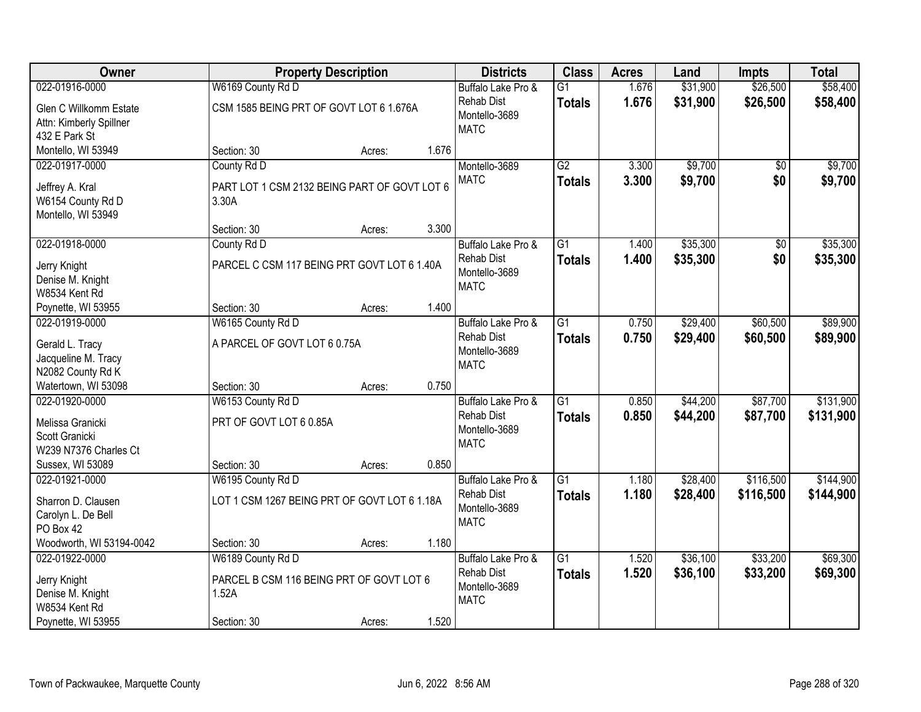| Owner                                 |                                              | <b>Property Description</b> |       | <b>Districts</b>                        | <b>Class</b>    | <b>Acres</b> | Land     | <b>Impts</b> | <b>Total</b> |
|---------------------------------------|----------------------------------------------|-----------------------------|-------|-----------------------------------------|-----------------|--------------|----------|--------------|--------------|
| 022-01916-0000                        | W6169 County Rd D                            |                             |       | Buffalo Lake Pro &                      | $\overline{G1}$ | 1.676        | \$31,900 | \$26,500     | \$58,400     |
| Glen C Willkomm Estate                | CSM 1585 BEING PRT OF GOVT LOT 6 1.676A      |                             |       | <b>Rehab Dist</b>                       | <b>Totals</b>   | 1.676        | \$31,900 | \$26,500     | \$58,400     |
| Attn: Kimberly Spillner               |                                              |                             |       | Montello-3689                           |                 |              |          |              |              |
| 432 E Park St                         |                                              |                             |       | <b>MATC</b>                             |                 |              |          |              |              |
| Montello, WI 53949                    | Section: 30                                  | Acres:                      | 1.676 |                                         |                 |              |          |              |              |
| 022-01917-0000                        | County Rd D                                  |                             |       | Montello-3689                           | $\overline{G2}$ | 3.300        | \$9,700  | \$0          | \$9,700      |
| Jeffrey A. Kral                       | PART LOT 1 CSM 2132 BEING PART OF GOVT LOT 6 |                             |       | <b>MATC</b>                             | <b>Totals</b>   | 3.300        | \$9,700  | \$0          | \$9,700      |
| W6154 County Rd D                     | 3.30A                                        |                             |       |                                         |                 |              |          |              |              |
| Montello, WI 53949                    |                                              |                             |       |                                         |                 |              |          |              |              |
|                                       | Section: 30                                  | Acres:                      | 3.300 |                                         |                 |              |          |              |              |
| 022-01918-0000                        | County Rd D                                  |                             |       | Buffalo Lake Pro &                      | $\overline{G1}$ | 1.400        | \$35,300 | \$0          | \$35,300     |
|                                       |                                              |                             |       | Rehab Dist                              | <b>Totals</b>   | 1.400        | \$35,300 | \$0          | \$35,300     |
| Jerry Knight                          | PARCEL C CSM 117 BEING PRT GOVT LOT 6 1.40A  |                             |       | Montello-3689                           |                 |              |          |              |              |
| Denise M. Knight<br>W8534 Kent Rd     |                                              |                             |       | <b>MATC</b>                             |                 |              |          |              |              |
| Poynette, WI 53955                    | Section: 30                                  | Acres:                      | 1.400 |                                         |                 |              |          |              |              |
| 022-01919-0000                        | W6165 County Rd D                            |                             |       | Buffalo Lake Pro &                      | $\overline{G1}$ | 0.750        | \$29,400 | \$60,500     | \$89,900     |
|                                       |                                              |                             |       | <b>Rehab Dist</b>                       | <b>Totals</b>   | 0.750        | \$29,400 | \$60,500     | \$89,900     |
| Gerald L. Tracy                       | A PARCEL OF GOVT LOT 6 0.75A                 |                             |       | Montello-3689                           |                 |              |          |              |              |
| Jacqueline M. Tracy                   |                                              |                             |       | <b>MATC</b>                             |                 |              |          |              |              |
| N2082 County Rd K                     |                                              |                             |       |                                         |                 |              |          |              |              |
| Watertown, WI 53098<br>022-01920-0000 | Section: 30                                  | Acres:                      | 0.750 |                                         | $\overline{G1}$ | 0.850        | \$44,200 | \$87,700     | \$131,900    |
|                                       | W6153 County Rd D                            |                             |       | Buffalo Lake Pro &<br><b>Rehab Dist</b> |                 |              |          |              |              |
| Melissa Granicki                      | PRT OF GOVT LOT 6 0.85A                      |                             |       | Montello-3689                           | <b>Totals</b>   | 0.850        | \$44,200 | \$87,700     | \$131,900    |
| Scott Granicki                        |                                              |                             |       | <b>MATC</b>                             |                 |              |          |              |              |
| W239 N7376 Charles Ct                 |                                              |                             |       |                                         |                 |              |          |              |              |
| Sussex, WI 53089                      | Section: 30                                  | Acres:                      | 0.850 |                                         |                 |              |          |              |              |
| 022-01921-0000                        | W6195 County Rd D                            |                             |       | Buffalo Lake Pro &                      | $\overline{G1}$ | 1.180        | \$28,400 | \$116,500    | \$144,900    |
| Sharron D. Clausen                    | LOT 1 CSM 1267 BEING PRT OF GOVT LOT 6 1.18A |                             |       | <b>Rehab Dist</b>                       | <b>Totals</b>   | 1.180        | \$28,400 | \$116,500    | \$144,900    |
| Carolyn L. De Bell                    |                                              |                             |       | Montello-3689                           |                 |              |          |              |              |
| PO Box 42                             |                                              |                             |       | <b>MATC</b>                             |                 |              |          |              |              |
| Woodworth, WI 53194-0042              | Section: 30                                  | Acres:                      | 1.180 |                                         |                 |              |          |              |              |
| 022-01922-0000                        | W6189 County Rd D                            |                             |       | Buffalo Lake Pro &                      | $\overline{G1}$ | 1.520        | \$36,100 | \$33,200     | \$69,300     |
| Jerry Knight                          | PARCEL B CSM 116 BEING PRT OF GOVT LOT 6     |                             |       | <b>Rehab Dist</b>                       | <b>Totals</b>   | 1.520        | \$36,100 | \$33,200     | \$69,300     |
| Denise M. Knight                      | 1.52A                                        |                             |       | Montello-3689                           |                 |              |          |              |              |
| W8534 Kent Rd                         |                                              |                             |       | <b>MATC</b>                             |                 |              |          |              |              |
| Poynette, WI 53955                    | Section: 30                                  | Acres:                      | 1.520 |                                         |                 |              |          |              |              |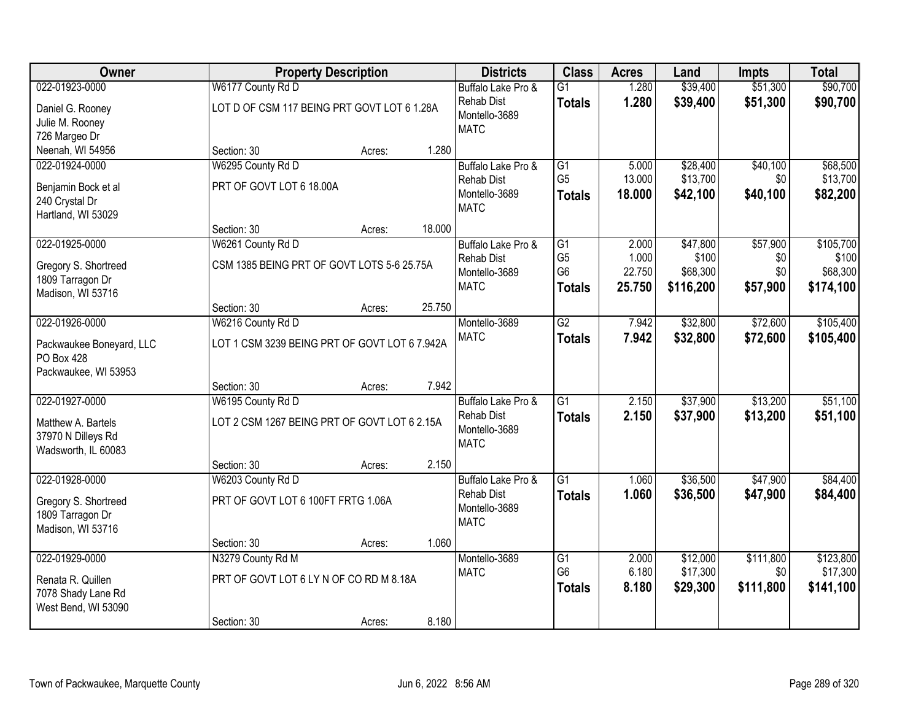| Owner                    |                                               | <b>Property Description</b> |        | <b>Districts</b>             | <b>Class</b>    | <b>Acres</b> | Land      | <b>Impts</b> | <b>Total</b> |
|--------------------------|-----------------------------------------------|-----------------------------|--------|------------------------------|-----------------|--------------|-----------|--------------|--------------|
| 022-01923-0000           | W6177 County Rd D                             |                             |        | Buffalo Lake Pro &           | G1              | 1.280        | \$39,400  | \$51,300     | \$90,700     |
| Daniel G. Rooney         | LOT D OF CSM 117 BEING PRT GOVT LOT 6 1.28A   |                             |        | <b>Rehab Dist</b>            | <b>Totals</b>   | 1.280        | \$39,400  | \$51,300     | \$90,700     |
| Julie M. Rooney          |                                               |                             |        | Montello-3689<br><b>MATC</b> |                 |              |           |              |              |
| 726 Margeo Dr            |                                               |                             |        |                              |                 |              |           |              |              |
| Neenah, WI 54956         | Section: 30                                   | Acres:                      | 1.280  |                              |                 |              |           |              |              |
| 022-01924-0000           | W6295 County Rd D                             |                             |        | Buffalo Lake Pro &           | G1              | 5.000        | \$28,400  | \$40,100     | \$68,500     |
| Benjamin Bock et al      | PRT OF GOVT LOT 6 18.00A                      |                             |        | <b>Rehab Dist</b>            | G <sub>5</sub>  | 13.000       | \$13,700  | \$0          | \$13,700     |
| 240 Crystal Dr           |                                               |                             |        | Montello-3689<br><b>MATC</b> | <b>Totals</b>   | 18.000       | \$42,100  | \$40,100     | \$82,200     |
| Hartland, WI 53029       |                                               |                             |        |                              |                 |              |           |              |              |
|                          | Section: 30                                   | Acres:                      | 18.000 |                              |                 |              |           |              |              |
| 022-01925-0000           | W6261 County Rd D                             |                             |        | Buffalo Lake Pro &           | $\overline{G1}$ | 2.000        | \$47,800  | \$57,900     | \$105,700    |
| Gregory S. Shortreed     | CSM 1385 BEING PRT OF GOVT LOTS 5-6 25.75A    |                             |        | <b>Rehab Dist</b>            | G <sub>5</sub>  | 1.000        | \$100     | \$0          | \$100        |
| 1809 Tarragon Dr         |                                               |                             |        | Montello-3689                | G <sub>6</sub>  | 22.750       | \$68,300  | \$0          | \$68,300     |
| Madison, WI 53716        |                                               |                             |        | <b>MATC</b>                  | <b>Totals</b>   | 25.750       | \$116,200 | \$57,900     | \$174,100    |
|                          | Section: 30                                   | Acres:                      | 25.750 |                              |                 |              |           |              |              |
| 022-01926-0000           | W6216 County Rd D                             |                             |        | Montello-3689                | $\overline{G2}$ | 7.942        | \$32,800  | \$72,600     | \$105,400    |
| Packwaukee Boneyard, LLC | LOT 1 CSM 3239 BEING PRT OF GOVT LOT 6 7.942A |                             |        | <b>MATC</b>                  | <b>Totals</b>   | 7.942        | \$32,800  | \$72,600     | \$105,400    |
| PO Box 428               |                                               |                             |        |                              |                 |              |           |              |              |
| Packwaukee, WI 53953     |                                               |                             |        |                              |                 |              |           |              |              |
|                          | Section: 30                                   | Acres:                      | 7.942  |                              |                 |              |           |              |              |
| 022-01927-0000           | W6195 County Rd D                             |                             |        | Buffalo Lake Pro &           | $\overline{G1}$ | 2.150        | \$37,900  | \$13,200     | \$51,100     |
| Matthew A. Bartels       | LOT 2 CSM 1267 BEING PRT OF GOVT LOT 6 2.15A  |                             |        | <b>Rehab Dist</b>            | <b>Totals</b>   | 2.150        | \$37,900  | \$13,200     | \$51,100     |
| 37970 N Dilleys Rd       |                                               |                             |        | Montello-3689                |                 |              |           |              |              |
| Wadsworth, IL 60083      |                                               |                             |        | <b>MATC</b>                  |                 |              |           |              |              |
|                          | Section: 30                                   | Acres:                      | 2.150  |                              |                 |              |           |              |              |
| 022-01928-0000           | W6203 County Rd D                             |                             |        | Buffalo Lake Pro &           | $\overline{G1}$ | 1.060        | \$36,500  | \$47,900     | \$84,400     |
| Gregory S. Shortreed     | PRT OF GOVT LOT 6 100FT FRTG 1.06A            |                             |        | <b>Rehab Dist</b>            | <b>Totals</b>   | 1.060        | \$36,500  | \$47,900     | \$84,400     |
| 1809 Tarragon Dr         |                                               |                             |        | Montello-3689                |                 |              |           |              |              |
| Madison, WI 53716        |                                               |                             |        | <b>MATC</b>                  |                 |              |           |              |              |
|                          | Section: 30                                   | Acres:                      | 1.060  |                              |                 |              |           |              |              |
| 022-01929-0000           | N3279 County Rd M                             |                             |        | Montello-3689                | G1              | 2.000        | \$12,000  | \$111,800    | \$123,800    |
| Renata R. Quillen        | PRT OF GOVT LOT 6 LY N OF CO RD M 8.18A       |                             |        | <b>MATC</b>                  | G <sub>6</sub>  | 6.180        | \$17,300  | \$0          | \$17,300     |
| 7078 Shady Lane Rd       |                                               |                             |        |                              | <b>Totals</b>   | 8.180        | \$29,300  | \$111,800    | \$141,100    |
| West Bend, WI 53090      |                                               |                             |        |                              |                 |              |           |              |              |
|                          | Section: 30                                   | Acres:                      | 8.180  |                              |                 |              |           |              |              |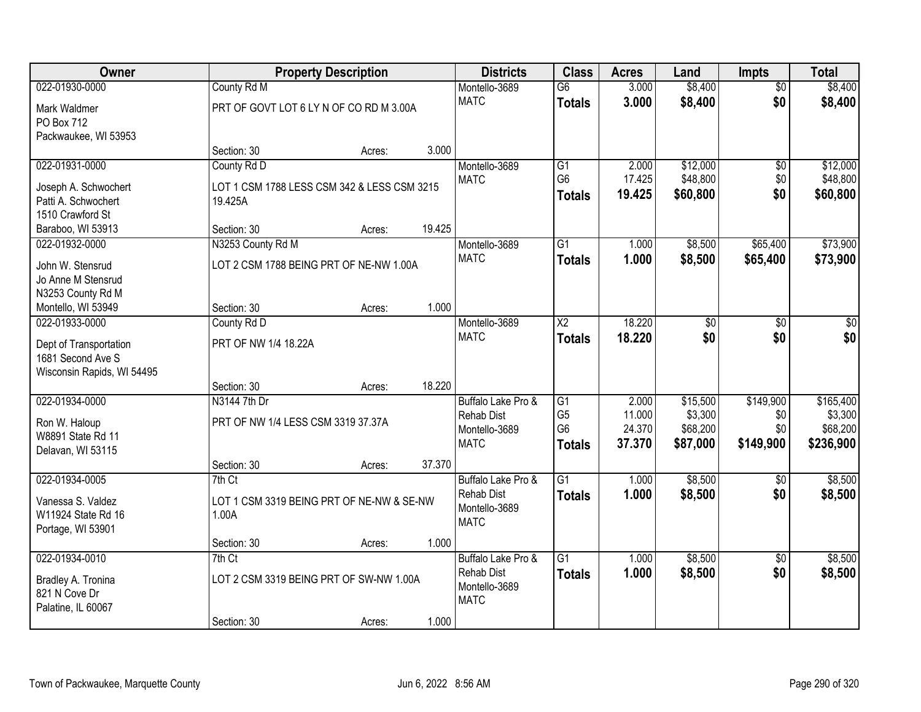| Owner                                   |                                                    | <b>Property Description</b> |        | <b>Districts</b>   | <b>Class</b>           | <b>Acres</b> | Land            | Impts           | <b>Total</b> |
|-----------------------------------------|----------------------------------------------------|-----------------------------|--------|--------------------|------------------------|--------------|-----------------|-----------------|--------------|
| 022-01930-0000                          | County Rd M                                        |                             |        | Montello-3689      | G6                     | 3.000        | \$8,400         | $\overline{50}$ | \$8,400      |
| Mark Waldmer                            | PRT OF GOVT LOT 6 LY N OF CO RD M 3.00A            |                             |        | <b>MATC</b>        | <b>Totals</b>          | 3.000        | \$8,400         | \$0             | \$8,400      |
| PO Box 712                              |                                                    |                             |        |                    |                        |              |                 |                 |              |
| Packwaukee, WI 53953                    |                                                    |                             |        |                    |                        |              |                 |                 |              |
|                                         | Section: 30                                        | Acres:                      | 3.000  |                    |                        |              |                 |                 |              |
| 022-01931-0000                          | County Rd D                                        |                             |        | Montello-3689      | G1                     | 2.000        | \$12,000        | \$0             | \$12,000     |
| Joseph A. Schwochert                    | LOT 1 CSM 1788 LESS CSM 342 & LESS CSM 3215        |                             |        | <b>MATC</b>        | G <sub>6</sub>         | 17.425       | \$48,800        | \$0             | \$48,800     |
| Patti A. Schwochert                     | 19.425A                                            |                             |        |                    | <b>Totals</b>          | 19.425       | \$60,800        | \$0             | \$60,800     |
| 1510 Crawford St                        |                                                    |                             |        |                    |                        |              |                 |                 |              |
| Baraboo, WI 53913                       | Section: 30                                        | Acres:                      | 19.425 |                    |                        |              |                 |                 |              |
| 022-01932-0000                          | N3253 County Rd M                                  |                             |        | Montello-3689      | $\overline{G1}$        | 1.000        | \$8,500         | \$65,400        | \$73,900     |
| John W. Stensrud                        | LOT 2 CSM 1788 BEING PRT OF NE-NW 1.00A            |                             |        | <b>MATC</b>        | <b>Totals</b>          | 1.000        | \$8,500         | \$65,400        | \$73,900     |
| Jo Anne M Stensrud                      |                                                    |                             |        |                    |                        |              |                 |                 |              |
| N3253 County Rd M                       |                                                    |                             |        |                    |                        |              |                 |                 |              |
| Montello, WI 53949                      | Section: 30                                        | Acres:                      | 1.000  |                    |                        |              |                 |                 |              |
| 022-01933-0000                          | County Rd D                                        |                             |        | Montello-3689      | $\overline{\text{X2}}$ | 18.220       | $\overline{60}$ | $\overline{50}$ | \$0          |
| Dept of Transportation                  | PRT OF NW 1/4 18.22A                               |                             |        | <b>MATC</b>        | <b>Totals</b>          | 18.220       | \$0             | \$0             | \$0          |
| 1681 Second Ave S                       |                                                    |                             |        |                    |                        |              |                 |                 |              |
| Wisconsin Rapids, WI 54495              |                                                    |                             |        |                    |                        |              |                 |                 |              |
|                                         | Section: 30                                        | Acres:                      | 18.220 |                    |                        |              |                 |                 |              |
| 022-01934-0000                          | N3144 7th Dr                                       |                             |        | Buffalo Lake Pro & | G1                     | 2.000        | \$15,500        | \$149,900       | \$165,400    |
|                                         | PRT OF NW 1/4 LESS CSM 3319 37.37A                 |                             |        | <b>Rehab Dist</b>  | G <sub>5</sub>         | 11.000       | \$3,300         | \$0             | \$3,300      |
| Ron W. Haloup<br>W8891 State Rd 11      |                                                    |                             |        | Montello-3689      | G <sub>6</sub>         | 24.370       | \$68,200        | \$0             | \$68,200     |
| Delavan, WI 53115                       |                                                    |                             |        | <b>MATC</b>        | <b>Totals</b>          | 37.370       | \$87,000        | \$149,900       | \$236,900    |
|                                         | Section: 30                                        | Acres:                      | 37.370 |                    |                        |              |                 |                 |              |
| 022-01934-0005                          | $7th$ Ct                                           |                             |        | Buffalo Lake Pro & | $\overline{G1}$        | 1.000        | \$8,500         | $\sqrt{6}$      | \$8,500      |
|                                         |                                                    |                             |        | <b>Rehab Dist</b>  | <b>Totals</b>          | 1.000        | \$8,500         | \$0             | \$8,500      |
| Vanessa S. Valdez<br>W11924 State Rd 16 | LOT 1 CSM 3319 BEING PRT OF NE-NW & SE-NW<br>1.00A |                             |        | Montello-3689      |                        |              |                 |                 |              |
| Portage, WI 53901                       |                                                    |                             |        | <b>MATC</b>        |                        |              |                 |                 |              |
|                                         | Section: 30                                        | Acres:                      | 1.000  |                    |                        |              |                 |                 |              |
| 022-01934-0010                          | $7th$ Ct                                           |                             |        | Buffalo Lake Pro & | $\overline{G1}$        | 1.000        | \$8,500         | $\overline{30}$ | \$8,500      |
|                                         |                                                    |                             |        | <b>Rehab Dist</b>  | <b>Totals</b>          | 1.000        | \$8,500         | \$0             | \$8,500      |
| Bradley A. Tronina<br>821 N Cove Dr     | LOT 2 CSM 3319 BEING PRT OF SW-NW 1.00A            |                             |        | Montello-3689      |                        |              |                 |                 |              |
| Palatine, IL 60067                      |                                                    |                             |        | <b>MATC</b>        |                        |              |                 |                 |              |
|                                         | Section: 30                                        | Acres:                      | 1.000  |                    |                        |              |                 |                 |              |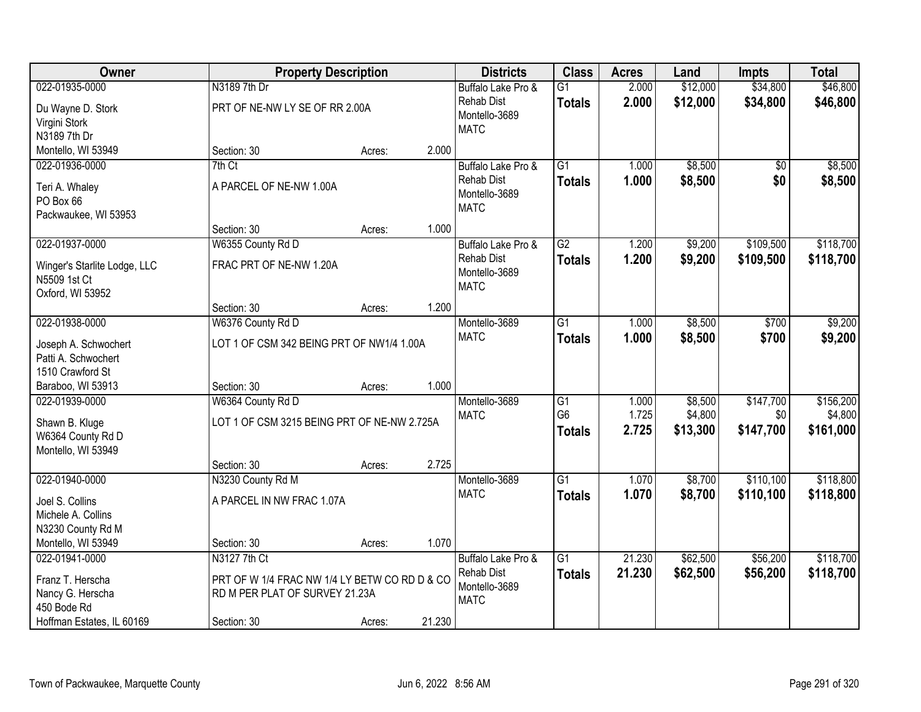| Owner                        |                                               | <b>Property Description</b> |        | <b>Districts</b>             | <b>Class</b>    | <b>Acres</b> | Land     | <b>Impts</b> | <b>Total</b> |
|------------------------------|-----------------------------------------------|-----------------------------|--------|------------------------------|-----------------|--------------|----------|--------------|--------------|
| 022-01935-0000               | N3189 7th Dr                                  |                             |        | Buffalo Lake Pro &           | $\overline{G1}$ | 2.000        | \$12,000 | \$34,800     | \$46,800     |
| Du Wayne D. Stork            | PRT OF NE-NW LY SE OF RR 2.00A                |                             |        | <b>Rehab Dist</b>            | <b>Totals</b>   | 2.000        | \$12,000 | \$34,800     | \$46,800     |
| Virgini Stork                |                                               |                             |        | Montello-3689                |                 |              |          |              |              |
| N3189 7th Dr                 |                                               |                             |        | <b>MATC</b>                  |                 |              |          |              |              |
| Montello, WI 53949           | Section: 30                                   | Acres:                      | 2.000  |                              |                 |              |          |              |              |
| 022-01936-0000               | 7th Ct                                        |                             |        | Buffalo Lake Pro &           | $\overline{G1}$ | 1.000        | \$8,500  | \$0          | \$8,500      |
| Teri A. Whaley               | A PARCEL OF NE-NW 1.00A                       |                             |        | Rehab Dist                   | <b>Totals</b>   | 1.000        | \$8,500  | \$0          | \$8,500      |
| PO Box 66                    |                                               |                             |        | Montello-3689                |                 |              |          |              |              |
| Packwaukee, WI 53953         |                                               |                             |        | <b>MATC</b>                  |                 |              |          |              |              |
|                              | Section: 30                                   | Acres:                      | 1.000  |                              |                 |              |          |              |              |
| 022-01937-0000               | W6355 County Rd D                             |                             |        | Buffalo Lake Pro &           | $\overline{G2}$ | 1.200        | \$9,200  | \$109,500    | \$118,700    |
| Winger's Starlite Lodge, LLC | FRAC PRT OF NE-NW 1.20A                       |                             |        | <b>Rehab Dist</b>            | <b>Totals</b>   | 1.200        | \$9,200  | \$109,500    | \$118,700    |
| N5509 1st Ct                 |                                               |                             |        | Montello-3689                |                 |              |          |              |              |
| Oxford, WI 53952             |                                               |                             |        | <b>MATC</b>                  |                 |              |          |              |              |
|                              | Section: 30                                   | Acres:                      | 1.200  |                              |                 |              |          |              |              |
| 022-01938-0000               | W6376 County Rd D                             |                             |        | Montello-3689                | $\overline{G1}$ | 1.000        | \$8,500  | \$700        | \$9,200      |
| Joseph A. Schwochert         | LOT 1 OF CSM 342 BEING PRT OF NW1/4 1.00A     |                             |        | <b>MATC</b>                  | <b>Totals</b>   | 1.000        | \$8,500  | \$700        | \$9,200      |
| Patti A. Schwochert          |                                               |                             |        |                              |                 |              |          |              |              |
| 1510 Crawford St             |                                               |                             |        |                              |                 |              |          |              |              |
| Baraboo, WI 53913            | Section: 30                                   | Acres:                      | 1.000  |                              |                 |              |          |              |              |
| 022-01939-0000               | W6364 County Rd D                             |                             |        | Montello-3689                | $\overline{G1}$ | 1.000        | \$8,500  | \$147,700    | \$156,200    |
|                              |                                               |                             |        | <b>MATC</b>                  | G <sub>6</sub>  | 1.725        | \$4,800  | \$0          | \$4,800      |
| Shawn B. Kluge               | LOT 1 OF CSM 3215 BEING PRT OF NE-NW 2.725A   |                             |        |                              | <b>Totals</b>   | 2.725        | \$13,300 | \$147,700    | \$161,000    |
| W6364 County Rd D            |                                               |                             |        |                              |                 |              |          |              |              |
| Montello, WI 53949           | Section: 30                                   | Acres:                      | 2.725  |                              |                 |              |          |              |              |
| 022-01940-0000               | N3230 County Rd M                             |                             |        | Montello-3689                | $\overline{G1}$ | 1.070        | \$8,700  | \$110,100    | \$118,800    |
|                              |                                               |                             |        | <b>MATC</b>                  | <b>Totals</b>   | 1.070        | \$8,700  | \$110,100    | \$118,800    |
| Joel S. Collins              | A PARCEL IN NW FRAC 1.07A                     |                             |        |                              |                 |              |          |              |              |
| Michele A. Collins           |                                               |                             |        |                              |                 |              |          |              |              |
| N3230 County Rd M            |                                               |                             |        |                              |                 |              |          |              |              |
| Montello, WI 53949           | Section: 30                                   | Acres:                      | 1.070  |                              |                 |              |          |              |              |
| 022-01941-0000               | N3127 7th Ct                                  |                             |        | Buffalo Lake Pro &           | $\overline{G1}$ | 21.230       | \$62,500 | \$56,200     | \$118,700    |
| Franz T. Herscha             | PRT OF W 1/4 FRAC NW 1/4 LY BETW CO RD D & CO |                             |        | <b>Rehab Dist</b>            | <b>Totals</b>   | 21.230       | \$62,500 | \$56,200     | \$118,700    |
| Nancy G. Herscha             | RD M PER PLAT OF SURVEY 21.23A                |                             |        | Montello-3689<br><b>MATC</b> |                 |              |          |              |              |
| 450 Bode Rd                  |                                               |                             |        |                              |                 |              |          |              |              |
| Hoffman Estates, IL 60169    | Section: 30                                   | Acres:                      | 21.230 |                              |                 |              |          |              |              |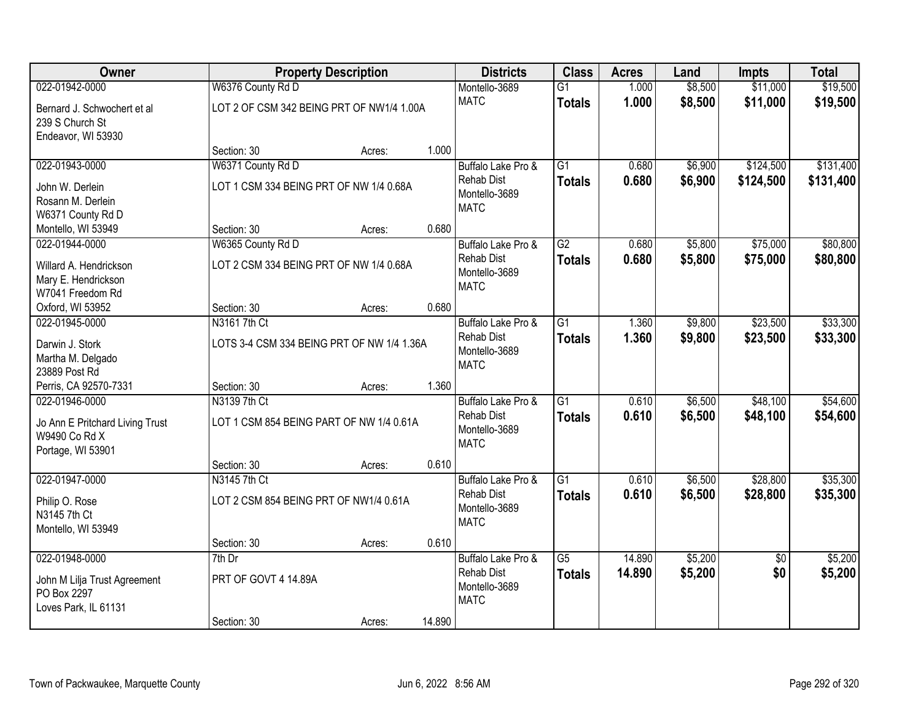| Owner                           |                                            | <b>Property Description</b> |        | <b>Districts</b>             | <b>Class</b>    | <b>Acres</b> | Land    | <b>Impts</b>    | <b>Total</b> |
|---------------------------------|--------------------------------------------|-----------------------------|--------|------------------------------|-----------------|--------------|---------|-----------------|--------------|
| 022-01942-0000                  | W6376 County Rd D                          |                             |        | Montello-3689                | $\overline{G1}$ | 1.000        | \$8,500 | \$11,000        | \$19,500     |
| Bernard J. Schwochert et al     | LOT 2 OF CSM 342 BEING PRT OF NW1/4 1.00A  |                             |        | <b>MATC</b>                  | <b>Totals</b>   | 1.000        | \$8,500 | \$11,000        | \$19,500     |
| 239 S Church St                 |                                            |                             |        |                              |                 |              |         |                 |              |
| Endeavor, WI 53930              |                                            |                             |        |                              |                 |              |         |                 |              |
|                                 | Section: 30                                | Acres:                      | 1.000  |                              |                 |              |         |                 |              |
| 022-01943-0000                  | W6371 County Rd D                          |                             |        | Buffalo Lake Pro &           | $\overline{G1}$ | 0.680        | \$6,900 | \$124,500       | \$131,400    |
| John W. Derlein                 | LOT 1 CSM 334 BEING PRT OF NW 1/4 0.68A    |                             |        | <b>Rehab Dist</b>            | <b>Totals</b>   | 0.680        | \$6,900 | \$124,500       | \$131,400    |
| Rosann M. Derlein               |                                            |                             |        | Montello-3689<br><b>MATC</b> |                 |              |         |                 |              |
| W6371 County Rd D               |                                            |                             |        |                              |                 |              |         |                 |              |
| Montello, WI 53949              | Section: 30                                | Acres:                      | 0.680  |                              |                 |              |         |                 |              |
| 022-01944-0000                  | W6365 County Rd D                          |                             |        | Buffalo Lake Pro &           | $\overline{G2}$ | 0.680        | \$5,800 | \$75,000        | \$80,800     |
| Willard A. Hendrickson          | LOT 2 CSM 334 BEING PRT OF NW 1/4 0.68A    |                             |        | <b>Rehab Dist</b>            | <b>Totals</b>   | 0.680        | \$5,800 | \$75,000        | \$80,800     |
| Mary E. Hendrickson             |                                            |                             |        | Montello-3689<br><b>MATC</b> |                 |              |         |                 |              |
| W7041 Freedom Rd                |                                            |                             |        |                              |                 |              |         |                 |              |
| Oxford, WI 53952                | Section: 30                                | Acres:                      | 0.680  |                              |                 |              |         |                 |              |
| 022-01945-0000                  | N3161 7th Ct                               |                             |        | Buffalo Lake Pro &           | G1              | 1.360        | \$9,800 | \$23,500        | \$33,300     |
| Darwin J. Stork                 | LOTS 3-4 CSM 334 BEING PRT OF NW 1/4 1.36A |                             |        | <b>Rehab Dist</b>            | <b>Totals</b>   | 1.360        | \$9,800 | \$23,500        | \$33,300     |
| Martha M. Delgado               |                                            |                             |        | Montello-3689<br><b>MATC</b> |                 |              |         |                 |              |
| 23889 Post Rd                   |                                            |                             |        |                              |                 |              |         |                 |              |
| Perris, CA 92570-7331           | Section: 30                                | Acres:                      | 1.360  |                              |                 |              |         |                 |              |
| 022-01946-0000                  | N3139 7th Ct                               |                             |        | Buffalo Lake Pro &           | $\overline{G1}$ | 0.610        | \$6,500 | \$48,100        | \$54,600     |
| Jo Ann E Pritchard Living Trust | LOT 1 CSM 854 BEING PART OF NW 1/4 0.61A   |                             |        | <b>Rehab Dist</b>            | <b>Totals</b>   | 0.610        | \$6,500 | \$48,100        | \$54,600     |
| W9490 Co Rd X                   |                                            |                             |        | Montello-3689<br><b>MATC</b> |                 |              |         |                 |              |
| Portage, WI 53901               |                                            |                             |        |                              |                 |              |         |                 |              |
|                                 | Section: 30                                | Acres:                      | 0.610  |                              |                 |              |         |                 |              |
| 022-01947-0000                  | N3145 7th Ct                               |                             |        | Buffalo Lake Pro &           | $\overline{G1}$ | 0.610        | \$6,500 | \$28,800        | \$35,300     |
| Philip O. Rose                  | LOT 2 CSM 854 BEING PRT OF NW1/4 0.61A     |                             |        | <b>Rehab Dist</b>            | <b>Totals</b>   | 0.610        | \$6,500 | \$28,800        | \$35,300     |
| N3145 7th Ct                    |                                            |                             |        | Montello-3689<br><b>MATC</b> |                 |              |         |                 |              |
| Montello, WI 53949              |                                            |                             |        |                              |                 |              |         |                 |              |
|                                 | Section: 30                                | Acres:                      | 0.610  |                              |                 |              |         |                 |              |
| 022-01948-0000                  | $7th$ Dr                                   |                             |        | Buffalo Lake Pro &           | $\overline{G5}$ | 14.890       | \$5,200 | $\overline{50}$ | \$5,200      |
| John M Lilja Trust Agreement    | PRT OF GOVT 4 14.89A                       |                             |        | <b>Rehab Dist</b>            | <b>Totals</b>   | 14.890       | \$5,200 | \$0             | \$5,200      |
| PO Box 2297                     |                                            |                             |        | Montello-3689<br><b>MATC</b> |                 |              |         |                 |              |
| Loves Park, IL 61131            |                                            |                             |        |                              |                 |              |         |                 |              |
|                                 | Section: 30                                | Acres:                      | 14.890 |                              |                 |              |         |                 |              |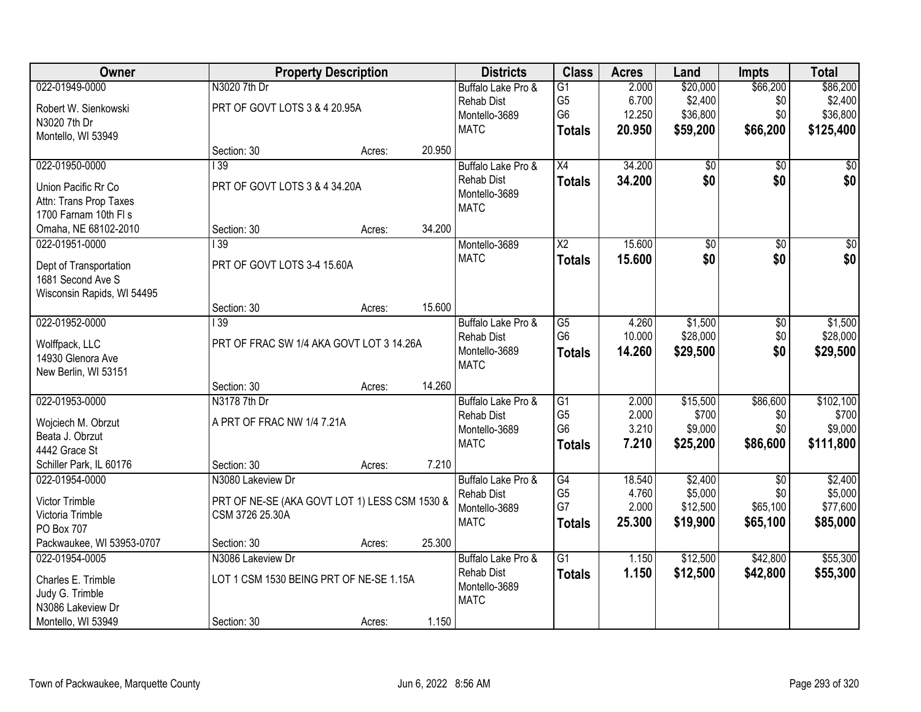| Owner                      |                                               | <b>Property Description</b> |        | <b>Districts</b>   | <b>Class</b>    | <b>Acres</b> | Land     | <b>Impts</b>  | <b>Total</b>    |
|----------------------------|-----------------------------------------------|-----------------------------|--------|--------------------|-----------------|--------------|----------|---------------|-----------------|
| 022-01949-0000             | N3020 7th Dr                                  |                             |        | Buffalo Lake Pro & | $\overline{G1}$ | 2.000        | \$20,000 | \$66,200      | \$86,200        |
| Robert W. Sienkowski       | PRT OF GOVT LOTS 3 & 4 20.95A                 |                             |        | <b>Rehab Dist</b>  | G <sub>5</sub>  | 6.700        | \$2,400  | \$0           | \$2,400         |
| N3020 7th Dr               |                                               |                             |        | Montello-3689      | G <sub>6</sub>  | 12.250       | \$36,800 | \$0           | \$36,800        |
| Montello, WI 53949         |                                               |                             |        | <b>MATC</b>        | <b>Totals</b>   | 20.950       | \$59,200 | \$66,200      | \$125,400       |
|                            | Section: 30                                   | Acres:                      | 20.950 |                    |                 |              |          |               |                 |
| 022-01950-0000             | $\overline{139}$                              |                             |        | Buffalo Lake Pro & | $\overline{X4}$ | 34.200       | \$0      | \$0           | \$0             |
| Union Pacific Rr Co        | PRT OF GOVT LOTS 3 & 4 34.20A                 |                             |        | <b>Rehab Dist</b>  | <b>Totals</b>   | 34.200       | \$0      | \$0           | \$0             |
| Attn: Trans Prop Taxes     |                                               |                             |        | Montello-3689      |                 |              |          |               |                 |
| 1700 Farnam 10th FI s      |                                               |                             |        | <b>MATC</b>        |                 |              |          |               |                 |
| Omaha, NE 68102-2010       | Section: 30                                   | Acres:                      | 34.200 |                    |                 |              |          |               |                 |
| 022-01951-0000             | $\overline{139}$                              |                             |        | Montello-3689      | X <sub>2</sub>  | 15.600       | \$0      | \$0           | $\overline{50}$ |
| Dept of Transportation     | PRT OF GOVT LOTS 3-4 15.60A                   |                             |        | <b>MATC</b>        | <b>Totals</b>   | 15.600       | \$0      | \$0           | \$0             |
| 1681 Second Ave S          |                                               |                             |        |                    |                 |              |          |               |                 |
| Wisconsin Rapids, WI 54495 |                                               |                             |        |                    |                 |              |          |               |                 |
|                            | Section: 30                                   | Acres:                      | 15.600 |                    |                 |              |          |               |                 |
| 022-01952-0000             | 139                                           |                             |        | Buffalo Lake Pro & | $\overline{G5}$ | 4.260        | \$1,500  | $\sqrt[6]{3}$ | \$1,500         |
| Wolffpack, LLC             | PRT OF FRAC SW 1/4 AKA GOVT LOT 3 14.26A      |                             |        | <b>Rehab Dist</b>  | G <sub>6</sub>  | 10.000       | \$28,000 | \$0           | \$28,000        |
| 14930 Glenora Ave          |                                               |                             |        | Montello-3689      | <b>Totals</b>   | 14.260       | \$29,500 | \$0           | \$29,500        |
| New Berlin, WI 53151       |                                               |                             |        | <b>MATC</b>        |                 |              |          |               |                 |
|                            | Section: 30                                   | Acres:                      | 14.260 |                    |                 |              |          |               |                 |
| 022-01953-0000             | N3178 7th Dr                                  |                             |        | Buffalo Lake Pro & | $\overline{G1}$ | 2.000        | \$15,500 | \$86,600      | \$102,100       |
| Wojciech M. Obrzut         | A PRT OF FRAC NW 1/4 7.21A                    |                             |        | <b>Rehab Dist</b>  | G <sub>5</sub>  | 2.000        | \$700    | \$0           | \$700           |
| Beata J. Obrzut            |                                               |                             |        | Montello-3689      | G <sub>6</sub>  | 3.210        | \$9,000  | \$0           | \$9,000         |
| 4442 Grace St              |                                               |                             |        | <b>MATC</b>        | <b>Totals</b>   | 7.210        | \$25,200 | \$86,600      | \$111,800       |
| Schiller Park, IL 60176    | Section: 30                                   | Acres:                      | 7.210  |                    |                 |              |          |               |                 |
| 022-01954-0000             | N3080 Lakeview Dr                             |                             |        | Buffalo Lake Pro & | $\overline{G4}$ | 18.540       | \$2,400  | \$0           | \$2,400         |
| Victor Trimble             | PRT OF NE-SE (AKA GOVT LOT 1) LESS CSM 1530 & |                             |        | <b>Rehab Dist</b>  | G <sub>5</sub>  | 4.760        | \$5,000  | \$0           | \$5,000         |
| Victoria Trimble           | CSM 3726 25.30A                               |                             |        | Montello-3689      | G7              | 2.000        | \$12,500 | \$65,100      | \$77,600        |
| PO Box 707                 |                                               |                             |        | <b>MATC</b>        | <b>Totals</b>   | 25.300       | \$19,900 | \$65,100      | \$85,000        |
| Packwaukee, WI 53953-0707  | Section: 30                                   | Acres:                      | 25.300 |                    |                 |              |          |               |                 |
| 022-01954-0005             | N3086 Lakeview Dr                             |                             |        | Buffalo Lake Pro & | $\overline{G1}$ | 1.150        | \$12,500 | \$42,800      | \$55,300        |
| Charles E. Trimble         | LOT 1 CSM 1530 BEING PRT OF NE-SE 1.15A       |                             |        | <b>Rehab Dist</b>  | <b>Totals</b>   | 1.150        | \$12,500 | \$42,800      | \$55,300        |
| Judy G. Trimble            |                                               |                             |        | Montello-3689      |                 |              |          |               |                 |
| N3086 Lakeview Dr          |                                               |                             |        | <b>MATC</b>        |                 |              |          |               |                 |
| Montello, WI 53949         | Section: 30                                   | Acres:                      | 1.150  |                    |                 |              |          |               |                 |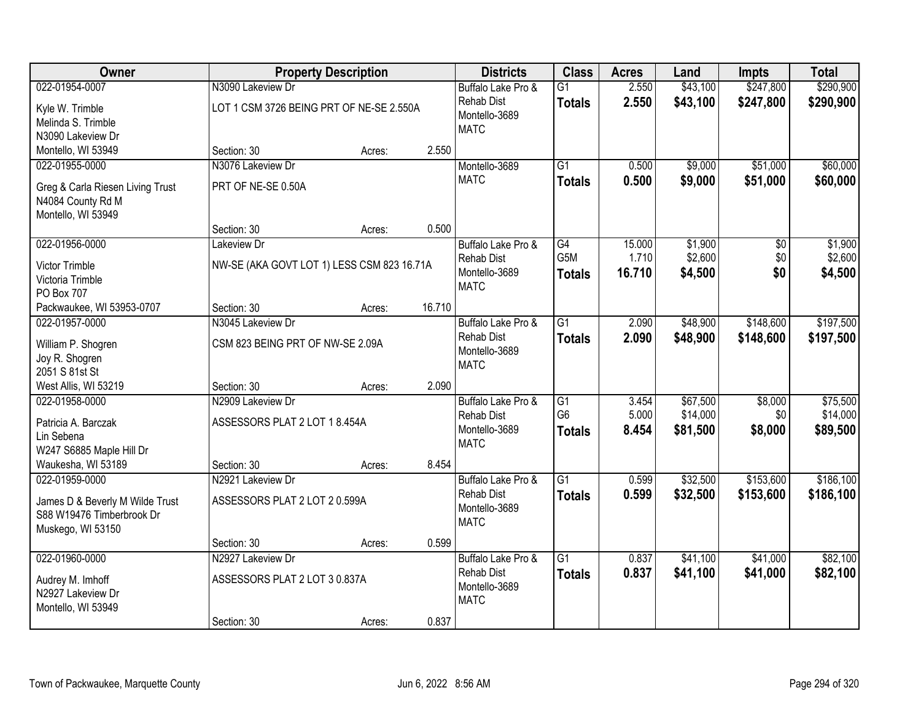| Owner                                   |                                            | <b>Property Description</b> |        | <b>Districts</b>   | <b>Class</b>    | <b>Acres</b> | Land     | <b>Impts</b> | <b>Total</b> |
|-----------------------------------------|--------------------------------------------|-----------------------------|--------|--------------------|-----------------|--------------|----------|--------------|--------------|
| 022-01954-0007                          | N3090 Lakeview Dr                          |                             |        | Buffalo Lake Pro & | $\overline{G1}$ | 2.550        | \$43,100 | \$247,800    | \$290,900    |
| Kyle W. Trimble                         | LOT 1 CSM 3726 BEING PRT OF NE-SE 2.550A   |                             |        | <b>Rehab Dist</b>  | <b>Totals</b>   | 2.550        | \$43,100 | \$247,800    | \$290,900    |
| Melinda S. Trimble                      |                                            |                             |        | Montello-3689      |                 |              |          |              |              |
| N3090 Lakeview Dr                       |                                            |                             |        | <b>MATC</b>        |                 |              |          |              |              |
| Montello, WI 53949                      | Section: 30                                | Acres:                      | 2.550  |                    |                 |              |          |              |              |
| 022-01955-0000                          | N3076 Lakeview Dr                          |                             |        | Montello-3689      | $\overline{G1}$ | 0.500        | \$9,000  | \$51,000     | \$60,000     |
|                                         |                                            |                             |        | <b>MATC</b>        | <b>Totals</b>   | 0.500        | \$9,000  | \$51,000     | \$60,000     |
| Greg & Carla Riesen Living Trust        | PRT OF NE-SE 0.50A                         |                             |        |                    |                 |              |          |              |              |
| N4084 County Rd M<br>Montello, WI 53949 |                                            |                             |        |                    |                 |              |          |              |              |
|                                         | Section: 30                                | Acres:                      | 0.500  |                    |                 |              |          |              |              |
| 022-01956-0000                          | Lakeview Dr                                |                             |        | Buffalo Lake Pro & | G4              | 15.000       | \$1,900  | \$0          | \$1,900      |
|                                         |                                            |                             |        | <b>Rehab Dist</b>  | G5M             | 1.710        | \$2,600  | \$0          | \$2,600      |
| Victor Trimble                          | NW-SE (AKA GOVT LOT 1) LESS CSM 823 16.71A |                             |        | Montello-3689      | <b>Totals</b>   | 16.710       | \$4,500  | \$0          | \$4,500      |
| Victoria Trimble                        |                                            |                             |        | <b>MATC</b>        |                 |              |          |              |              |
| PO Box 707                              |                                            |                             |        |                    |                 |              |          |              |              |
| Packwaukee, WI 53953-0707               | Section: 30                                | Acres:                      | 16.710 |                    |                 |              |          |              |              |
| 022-01957-0000                          | N3045 Lakeview Dr                          |                             |        | Buffalo Lake Pro & | G1              | 2.090        | \$48,900 | \$148,600    | \$197,500    |
| William P. Shogren                      | CSM 823 BEING PRT OF NW-SE 2.09A           |                             |        | <b>Rehab Dist</b>  | <b>Totals</b>   | 2.090        | \$48,900 | \$148,600    | \$197,500    |
| Joy R. Shogren                          |                                            |                             |        | Montello-3689      |                 |              |          |              |              |
| 2051 S 81st St                          |                                            |                             |        | <b>MATC</b>        |                 |              |          |              |              |
| West Allis, WI 53219                    | Section: 30                                | Acres:                      | 2.090  |                    |                 |              |          |              |              |
| 022-01958-0000                          | N2909 Lakeview Dr                          |                             |        | Buffalo Lake Pro & | $\overline{G1}$ | 3.454        | \$67,500 | \$8,000      | \$75,500     |
|                                         | ASSESSORS PLAT 2 LOT 1 8.454A              |                             |        | <b>Rehab Dist</b>  | G <sub>6</sub>  | 5.000        | \$14,000 | \$0          | \$14,000     |
| Patricia A. Barczak<br>Lin Sebena       |                                            |                             |        | Montello-3689      | <b>Totals</b>   | 8.454        | \$81,500 | \$8,000      | \$89,500     |
| W247 S6885 Maple Hill Dr                |                                            |                             |        | <b>MATC</b>        |                 |              |          |              |              |
| Waukesha, WI 53189                      | Section: 30                                | Acres:                      | 8.454  |                    |                 |              |          |              |              |
| 022-01959-0000                          | N2921 Lakeview Dr                          |                             |        | Buffalo Lake Pro & | $\overline{G1}$ | 0.599        | \$32,500 | \$153,600    | \$186,100    |
|                                         |                                            |                             |        | <b>Rehab Dist</b>  | <b>Totals</b>   | 0.599        | \$32,500 | \$153,600    | \$186,100    |
| James D & Beverly M Wilde Trust         | ASSESSORS PLAT 2 LOT 2 0.599A              |                             |        | Montello-3689      |                 |              |          |              |              |
| S88 W19476 Timberbrook Dr               |                                            |                             |        | <b>MATC</b>        |                 |              |          |              |              |
| Muskego, WI 53150                       |                                            |                             |        |                    |                 |              |          |              |              |
|                                         | Section: 30                                | Acres:                      | 0.599  |                    |                 |              |          |              |              |
| 022-01960-0000                          | N2927 Lakeview Dr                          |                             |        | Buffalo Lake Pro & | $\overline{G1}$ | 0.837        | \$41,100 | \$41,000     | \$82,100     |
| Audrey M. Imhoff                        | ASSESSORS PLAT 2 LOT 3 0.837A              |                             |        | <b>Rehab Dist</b>  | <b>Totals</b>   | 0.837        | \$41,100 | \$41,000     | \$82,100     |
| N2927 Lakeview Dr                       |                                            |                             |        | Montello-3689      |                 |              |          |              |              |
| Montello, WI 53949                      |                                            |                             |        | <b>MATC</b>        |                 |              |          |              |              |
|                                         | Section: 30                                | Acres:                      | 0.837  |                    |                 |              |          |              |              |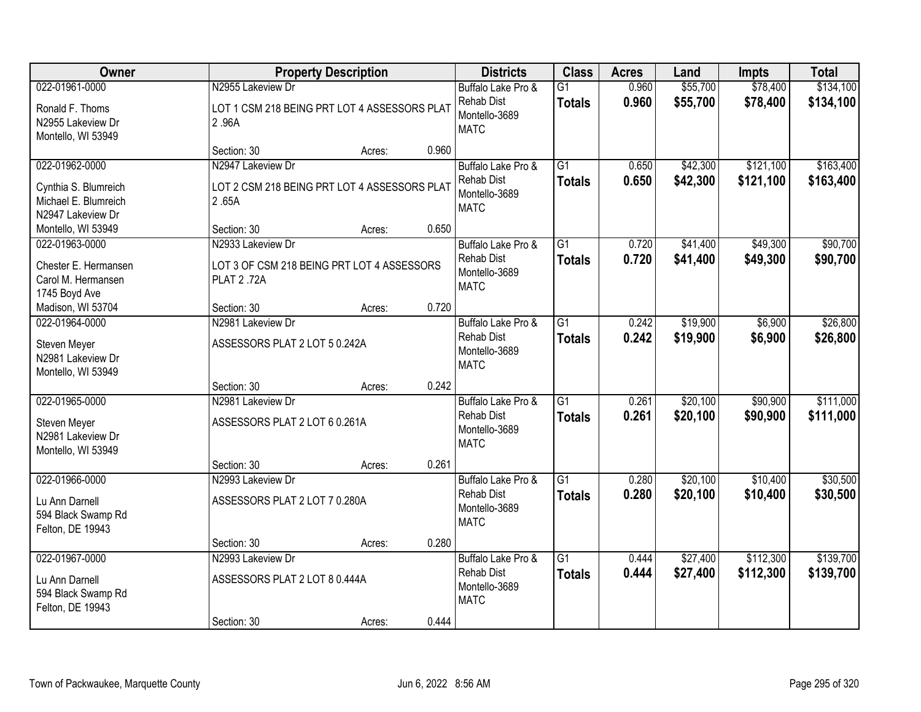| <b>Owner</b>                                                                        |                                                                            | <b>Property Description</b> |       | <b>Districts</b>                                                        | <b>Class</b>                     | <b>Acres</b>   | Land                 | <b>Impts</b>           | <b>Total</b>           |
|-------------------------------------------------------------------------------------|----------------------------------------------------------------------------|-----------------------------|-------|-------------------------------------------------------------------------|----------------------------------|----------------|----------------------|------------------------|------------------------|
| 022-01961-0000<br>Ronald F. Thoms                                                   | N2955 Lakeview Dr<br>LOT 1 CSM 218 BEING PRT LOT 4 ASSESSORS PLAT          |                             |       | Buffalo Lake Pro &<br><b>Rehab Dist</b>                                 | $\overline{G1}$<br><b>Totals</b> | 0.960<br>0.960 | \$55,700<br>\$55,700 | \$78,400<br>\$78,400   | \$134,100<br>\$134,100 |
| N2955 Lakeview Dr<br>Montello, WI 53949                                             | 2.96A                                                                      |                             |       | Montello-3689<br><b>MATC</b>                                            |                                  |                |                      |                        |                        |
|                                                                                     | Section: 30                                                                | Acres:                      | 0.960 |                                                                         |                                  |                |                      |                        |                        |
| 022-01962-0000<br>Cynthia S. Blumreich<br>Michael E. Blumreich<br>N2947 Lakeview Dr | N2947 Lakeview Dr<br>LOT 2 CSM 218 BEING PRT LOT 4 ASSESSORS PLAT<br>2.65A |                             |       | Buffalo Lake Pro &<br>Rehab Dist<br>Montello-3689<br><b>MATC</b>        | $\overline{G1}$<br><b>Totals</b> | 0.650<br>0.650 | \$42,300<br>\$42,300 | \$121,100<br>\$121,100 | \$163,400<br>\$163,400 |
| Montello, WI 53949                                                                  | Section: 30                                                                | Acres:                      | 0.650 |                                                                         |                                  |                |                      |                        |                        |
| 022-01963-0000                                                                      | N2933 Lakeview Dr                                                          |                             |       | Buffalo Lake Pro &                                                      | $\overline{G1}$                  | 0.720          | \$41,400             | \$49,300               | \$90,700               |
| Chester E. Hermansen<br>Carol M. Hermansen<br>1745 Boyd Ave                         | LOT 3 OF CSM 218 BEING PRT LOT 4 ASSESSORS<br><b>PLAT 2.72A</b>            |                             |       | Rehab Dist<br>Montello-3689<br><b>MATC</b>                              | <b>Totals</b>                    | 0.720          | \$41,400             | \$49,300               | \$90,700               |
| Madison, WI 53704                                                                   | Section: 30                                                                | Acres:                      | 0.720 |                                                                         |                                  |                |                      |                        |                        |
| 022-01964-0000<br>Steven Meyer<br>N2981 Lakeview Dr<br>Montello, WI 53949           | N2981 Lakeview Dr<br>ASSESSORS PLAT 2 LOT 5 0.242A                         |                             |       | Buffalo Lake Pro &<br>Rehab Dist<br>Montello-3689<br><b>MATC</b>        | $\overline{G1}$<br><b>Totals</b> | 0.242<br>0.242 | \$19,900<br>\$19,900 | \$6,900<br>\$6,900     | \$26,800<br>\$26,800   |
|                                                                                     | Section: 30                                                                | Acres:                      | 0.242 |                                                                         |                                  |                |                      |                        |                        |
| 022-01965-0000<br>Steven Meyer<br>N2981 Lakeview Dr<br>Montello, WI 53949           | N2981 Lakeview Dr<br>ASSESSORS PLAT 2 LOT 6 0.261A                         |                             |       | Buffalo Lake Pro &<br><b>Rehab Dist</b><br>Montello-3689<br><b>MATC</b> | $\overline{G1}$<br><b>Totals</b> | 0.261<br>0.261 | \$20,100<br>\$20,100 | \$90,900<br>\$90,900   | \$111,000<br>\$111,000 |
|                                                                                     | Section: 30                                                                | Acres:                      | 0.261 |                                                                         |                                  |                |                      |                        |                        |
| 022-01966-0000<br>Lu Ann Darnell<br>594 Black Swamp Rd<br>Felton, DE 19943          | N2993 Lakeview Dr<br>ASSESSORS PLAT 2 LOT 7 0.280A                         |                             |       | Buffalo Lake Pro &<br><b>Rehab Dist</b><br>Montello-3689<br><b>MATC</b> | G1<br><b>Totals</b>              | 0.280<br>0.280 | \$20,100<br>\$20,100 | \$10,400<br>\$10,400   | \$30,500<br>\$30,500   |
|                                                                                     | Section: 30                                                                | Acres:                      | 0.280 |                                                                         |                                  |                |                      |                        |                        |
| 022-01967-0000<br>Lu Ann Darnell<br>594 Black Swamp Rd<br>Felton, DE 19943          | N2993 Lakeview Dr<br>ASSESSORS PLAT 2 LOT 8 0.444A<br>Section: 30          | Acres:                      | 0.444 | Buffalo Lake Pro &<br><b>Rehab Dist</b><br>Montello-3689<br><b>MATC</b> | $\overline{G1}$<br><b>Totals</b> | 0.444<br>0.444 | \$27,400<br>\$27,400 | \$112,300<br>\$112,300 | \$139,700<br>\$139,700 |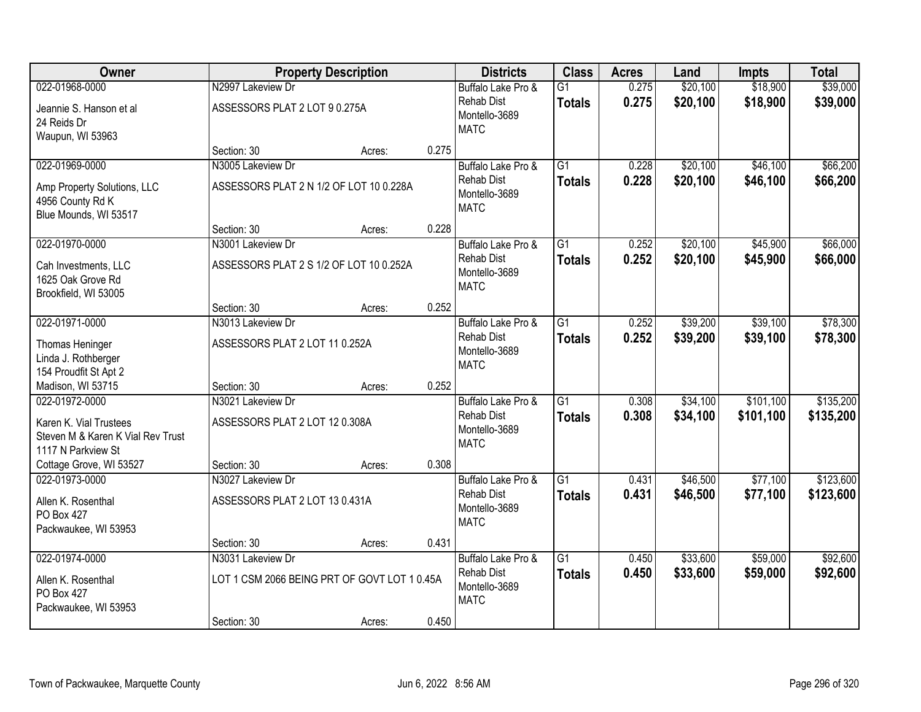| Owner                                                                                               |                                                                   | <b>Property Description</b> |       | <b>Districts</b>                                                        | <b>Class</b>                     | <b>Acres</b>   | Land                 | <b>Impts</b>           | <b>Total</b>           |
|-----------------------------------------------------------------------------------------------------|-------------------------------------------------------------------|-----------------------------|-------|-------------------------------------------------------------------------|----------------------------------|----------------|----------------------|------------------------|------------------------|
| 022-01968-0000                                                                                      | N2997 Lakeview Dr                                                 |                             |       | Buffalo Lake Pro &                                                      | $\overline{G1}$                  | 0.275          | \$20,100             | \$18,900               | \$39,000               |
| Jeannie S. Hanson et al<br>24 Reids Dr<br>Waupun, WI 53963                                          | ASSESSORS PLAT 2 LOT 9 0.275A                                     |                             |       | <b>Rehab Dist</b><br>Montello-3689<br><b>MATC</b>                       | <b>Totals</b>                    | 0.275          | \$20,100             | \$18,900               | \$39,000               |
|                                                                                                     | Section: 30                                                       | Acres:                      | 0.275 |                                                                         |                                  |                |                      |                        |                        |
| 022-01969-0000                                                                                      | N3005 Lakeview Dr                                                 |                             |       | Buffalo Lake Pro &                                                      | $\overline{G1}$                  | 0.228          | \$20,100             | \$46,100               | \$66,200               |
| Amp Property Solutions, LLC<br>4956 County Rd K<br>Blue Mounds, WI 53517                            | ASSESSORS PLAT 2 N 1/2 OF LOT 10 0.228A                           |                             |       | <b>Rehab Dist</b><br>Montello-3689<br><b>MATC</b>                       | <b>Totals</b>                    | 0.228          | \$20,100             | \$46,100               | \$66,200               |
|                                                                                                     | Section: 30                                                       | Acres:                      | 0.228 |                                                                         |                                  |                |                      |                        |                        |
| 022-01970-0000                                                                                      | N3001 Lakeview Dr                                                 |                             |       | Buffalo Lake Pro &                                                      | G1                               | 0.252          | \$20,100             | \$45,900               | \$66,000               |
| Cah Investments, LLC<br>1625 Oak Grove Rd<br>Brookfield, WI 53005                                   | ASSESSORS PLAT 2 S 1/2 OF LOT 10 0.252A                           |                             |       | <b>Rehab Dist</b><br>Montello-3689<br><b>MATC</b>                       | <b>Totals</b>                    | 0.252          | \$20,100             | \$45,900               | \$66,000               |
|                                                                                                     | Section: 30                                                       | Acres:                      | 0.252 |                                                                         |                                  |                |                      |                        |                        |
| 022-01971-0000                                                                                      | N3013 Lakeview Dr                                                 |                             |       | Buffalo Lake Pro &                                                      | $\overline{G1}$                  | 0.252          | \$39,200             | \$39,100               | \$78,300               |
| Thomas Heninger<br>Linda J. Rothberger<br>154 Proudfit St Apt 2                                     | ASSESSORS PLAT 2 LOT 11 0.252A                                    |                             |       | <b>Rehab Dist</b><br>Montello-3689<br><b>MATC</b>                       | <b>Totals</b>                    | 0.252          | \$39,200             | \$39,100               | \$78,300               |
| Madison, WI 53715                                                                                   | Section: 30                                                       | Acres:                      | 0.252 |                                                                         |                                  |                |                      |                        |                        |
| 022-01972-0000<br>Karen K. Vial Trustees<br>Steven M & Karen K Vial Rev Trust<br>1117 N Parkview St | N3021 Lakeview Dr<br>ASSESSORS PLAT 2 LOT 12 0.308A               |                             |       | Buffalo Lake Pro &<br><b>Rehab Dist</b><br>Montello-3689<br><b>MATC</b> | $\overline{G1}$<br><b>Totals</b> | 0.308<br>0.308 | \$34,100<br>\$34,100 | \$101,100<br>\$101,100 | \$135,200<br>\$135,200 |
| Cottage Grove, WI 53527                                                                             | Section: 30                                                       | Acres:                      | 0.308 |                                                                         |                                  |                |                      |                        |                        |
| 022-01973-0000                                                                                      | N3027 Lakeview Dr                                                 |                             |       | Buffalo Lake Pro &                                                      | $\overline{G1}$                  | 0.431          | \$46,500             | \$77,100               | \$123,600              |
| Allen K. Rosenthal<br>PO Box 427<br>Packwaukee, WI 53953                                            | ASSESSORS PLAT 2 LOT 13 0.431A                                    |                             |       | <b>Rehab Dist</b><br>Montello-3689<br><b>MATC</b>                       | <b>Totals</b>                    | 0.431          | \$46,500             | \$77,100               | \$123,600              |
|                                                                                                     | Section: 30                                                       | Acres:                      | 0.431 |                                                                         |                                  |                |                      |                        |                        |
| 022-01974-0000<br>Allen K. Rosenthal<br>PO Box 427<br>Packwaukee, WI 53953                          | N3031 Lakeview Dr<br>LOT 1 CSM 2066 BEING PRT OF GOVT LOT 1 0.45A |                             |       | Buffalo Lake Pro &<br><b>Rehab Dist</b><br>Montello-3689<br><b>MATC</b> | $\overline{G1}$<br><b>Totals</b> | 0.450<br>0.450 | \$33,600<br>\$33,600 | \$59,000<br>\$59,000   | \$92,600<br>\$92,600   |
|                                                                                                     | Section: 30                                                       | Acres:                      | 0.450 |                                                                         |                                  |                |                      |                        |                        |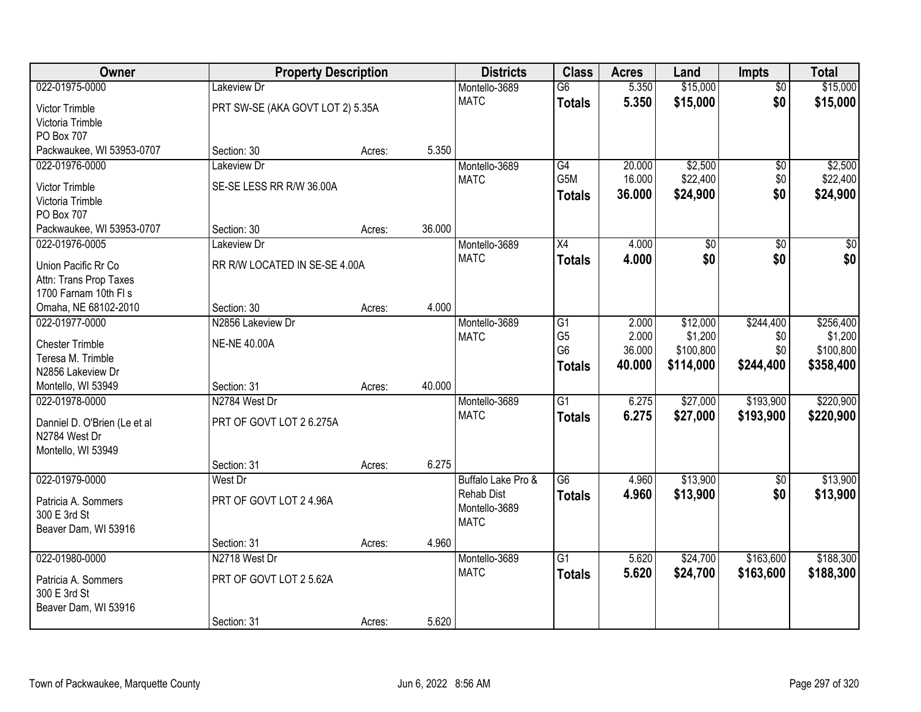| Owner                                       | <b>Property Description</b>      |        |        | <b>Districts</b>   | <b>Class</b>     | <b>Acres</b> | Land      | <b>Impts</b>    | <b>Total</b>     |
|---------------------------------------------|----------------------------------|--------|--------|--------------------|------------------|--------------|-----------|-----------------|------------------|
| 022-01975-0000                              | Lakeview Dr                      |        |        | Montello-3689      | $\overline{G6}$  | 5.350        | \$15,000  | $\overline{50}$ | \$15,000         |
| Victor Trimble                              | PRT SW-SE (AKA GOVT LOT 2) 5.35A |        |        | <b>MATC</b>        | <b>Totals</b>    | 5.350        | \$15,000  | \$0             | \$15,000         |
| Victoria Trimble                            |                                  |        |        |                    |                  |              |           |                 |                  |
| PO Box 707                                  |                                  |        |        |                    |                  |              |           |                 |                  |
| Packwaukee, WI 53953-0707                   | Section: 30                      | Acres: | 5.350  |                    |                  |              |           |                 |                  |
| 022-01976-0000                              | <b>Lakeview Dr</b>               |        |        | Montello-3689      | G4               | 20.000       | \$2,500   | \$0             | \$2,500          |
| Victor Trimble                              | SE-SE LESS RR R/W 36.00A         |        |        | <b>MATC</b>        | G <sub>5</sub> M | 16.000       | \$22,400  | \$0             | \$22,400         |
| Victoria Trimble                            |                                  |        |        |                    | <b>Totals</b>    | 36.000       | \$24,900  | \$0             | \$24,900         |
| PO Box 707                                  |                                  |        |        |                    |                  |              |           |                 |                  |
| Packwaukee, WI 53953-0707                   | Section: 30                      | Acres: | 36.000 |                    |                  |              |           |                 |                  |
| 022-01976-0005                              | Lakeview Dr                      |        |        | Montello-3689      | $\overline{X4}$  | 4.000        | \$0       | \$0             | $\overline{\$0}$ |
| Union Pacific Rr Co                         | RR R/W LOCATED IN SE-SE 4.00A    |        |        | <b>MATC</b>        | <b>Totals</b>    | 4.000        | \$0       | \$0             | \$0              |
| Attn: Trans Prop Taxes                      |                                  |        |        |                    |                  |              |           |                 |                  |
| 1700 Farnam 10th FI s                       |                                  |        |        |                    |                  |              |           |                 |                  |
| Omaha, NE 68102-2010                        | Section: 30                      | Acres: | 4.000  |                    |                  |              |           |                 |                  |
| 022-01977-0000                              | N2856 Lakeview Dr                |        |        | Montello-3689      | G1               | 2.000        | \$12,000  | \$244,400       | \$256,400        |
|                                             | <b>NE-NE 40.00A</b>              |        |        | <b>MATC</b>        | G <sub>5</sub>   | 2.000        | \$1,200   | \$0             | \$1,200          |
| <b>Chester Trimble</b><br>Teresa M. Trimble |                                  |        |        |                    | G <sub>6</sub>   | 36.000       | \$100,800 | \$0             | \$100,800        |
| N2856 Lakeview Dr                           |                                  |        |        |                    | <b>Totals</b>    | 40.000       | \$114,000 | \$244,400       | \$358,400        |
| Montello, WI 53949                          | Section: 31                      | Acres: | 40.000 |                    |                  |              |           |                 |                  |
| 022-01978-0000                              | N2784 West Dr                    |        |        | Montello-3689      | $\overline{G1}$  | 6.275        | \$27,000  | \$193,900       | \$220,900        |
|                                             |                                  |        |        | <b>MATC</b>        | <b>Totals</b>    | 6.275        | \$27,000  | \$193,900       | \$220,900        |
| Danniel D. O'Brien (Le et al                | PRT OF GOVT LOT 2 6.275A         |        |        |                    |                  |              |           |                 |                  |
| N2784 West Dr<br>Montello, WI 53949         |                                  |        |        |                    |                  |              |           |                 |                  |
|                                             | Section: 31                      | Acres: | 6.275  |                    |                  |              |           |                 |                  |
| 022-01979-0000                              | West Dr                          |        |        | Buffalo Lake Pro & | $\overline{G6}$  | 4.960        | \$13,900  | \$0             | \$13,900         |
|                                             |                                  |        |        | <b>Rehab Dist</b>  | <b>Totals</b>    | 4.960        | \$13,900  | \$0             | \$13,900         |
| Patricia A. Sommers                         | PRT OF GOVT LOT 2 4.96A          |        |        | Montello-3689      |                  |              |           |                 |                  |
| 300 E 3rd St                                |                                  |        |        | <b>MATC</b>        |                  |              |           |                 |                  |
| Beaver Dam, WI 53916                        | Section: 31                      |        | 4.960  |                    |                  |              |           |                 |                  |
| 022-01980-0000                              | N2718 West Dr                    | Acres: |        | Montello-3689      | $\overline{G1}$  | 5.620        | \$24,700  | \$163,600       | \$188,300        |
|                                             |                                  |        |        | <b>MATC</b>        | <b>Totals</b>    | 5.620        | \$24,700  | \$163,600       | \$188,300        |
| Patricia A. Sommers                         | PRT OF GOVT LOT 2 5.62A          |        |        |                    |                  |              |           |                 |                  |
| 300 E 3rd St                                |                                  |        |        |                    |                  |              |           |                 |                  |
| Beaver Dam, WI 53916                        |                                  |        |        |                    |                  |              |           |                 |                  |
|                                             | Section: 31                      | Acres: | 5.620  |                    |                  |              |           |                 |                  |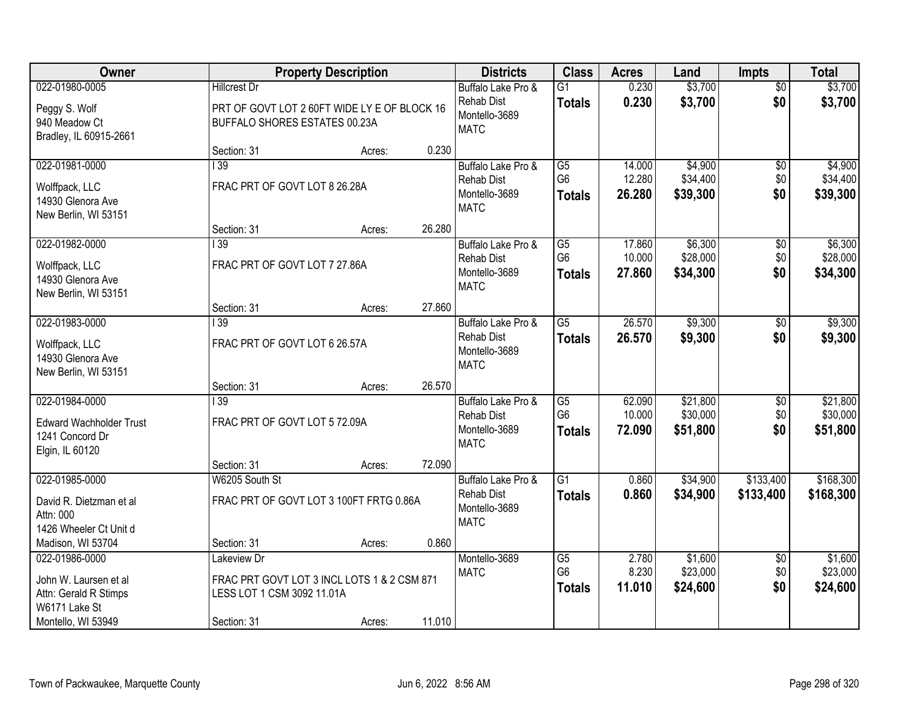| Owner                                                                                  |                                                   | <b>Property Description</b>                           |        | <b>Districts</b>                                                        | <b>Class</b>                                       | <b>Acres</b>               | Land                             | <b>Impts</b>                | <b>Total</b>                     |
|----------------------------------------------------------------------------------------|---------------------------------------------------|-------------------------------------------------------|--------|-------------------------------------------------------------------------|----------------------------------------------------|----------------------------|----------------------------------|-----------------------------|----------------------------------|
| 022-01980-0005                                                                         | <b>Hillcrest Dr</b>                               |                                                       |        | Buffalo Lake Pro &                                                      | $\overline{G1}$                                    | 0.230                      | \$3,700                          | $\overline{50}$             | \$3,700                          |
| Peggy S. Wolf<br>940 Meadow Ct<br>Bradley, IL 60915-2661                               | BUFFALO SHORES ESTATES 00.23A                     | PRT OF GOVT LOT 2 60FT WIDE LY E OF BLOCK 16          |        | <b>Rehab Dist</b><br>Montello-3689<br><b>MATC</b>                       | <b>Totals</b>                                      | 0.230                      | \$3,700                          | \$0                         | \$3,700                          |
|                                                                                        | Section: 31                                       | Acres:                                                | 0.230  |                                                                         |                                                    |                            |                                  |                             |                                  |
| 022-01981-0000<br>Wolffpack, LLC<br>14930 Glenora Ave<br>New Berlin, WI 53151          | $\overline{139}$<br>FRAC PRT OF GOVT LOT 8 26.28A |                                                       |        | Buffalo Lake Pro &<br><b>Rehab Dist</b><br>Montello-3689<br><b>MATC</b> | $\overline{G5}$<br>G <sub>6</sub><br><b>Totals</b> | 14.000<br>12.280<br>26.280 | \$4,900<br>\$34,400<br>\$39,300  | \$0<br>\$0<br>\$0           | \$4,900<br>\$34,400<br>\$39,300  |
|                                                                                        | Section: 31                                       | Acres:                                                | 26.280 |                                                                         |                                                    |                            |                                  |                             |                                  |
| 022-01982-0000<br>Wolffpack, LLC<br>14930 Glenora Ave<br>New Berlin, WI 53151          | 139<br>FRAC PRT OF GOVT LOT 7 27.86A              |                                                       |        | Buffalo Lake Pro &<br><b>Rehab Dist</b><br>Montello-3689<br><b>MATC</b> | G5<br>G <sub>6</sub><br><b>Totals</b>              | 17.860<br>10.000<br>27.860 | \$6,300<br>\$28,000<br>\$34,300  | $\sqrt[6]{3}$<br>\$0<br>\$0 | \$6,300<br>\$28,000<br>\$34,300  |
|                                                                                        | Section: 31                                       | Acres:                                                | 27.860 |                                                                         |                                                    |                            |                                  |                             |                                  |
| 022-01983-0000<br>Wolffpack, LLC<br>14930 Glenora Ave<br>New Berlin, WI 53151          | 139<br>FRAC PRT OF GOVT LOT 6 26.57A              |                                                       |        | Buffalo Lake Pro &<br><b>Rehab Dist</b><br>Montello-3689<br><b>MATC</b> | $\overline{G5}$<br><b>Totals</b>                   | 26.570<br>26.570           | \$9,300<br>\$9,300               | $\sqrt[6]{3}$<br>\$0        | \$9,300<br>\$9,300               |
|                                                                                        | Section: 31                                       | Acres:                                                | 26.570 |                                                                         |                                                    |                            |                                  |                             |                                  |
| 022-01984-0000<br><b>Edward Wachholder Trust</b><br>1241 Concord Dr<br>Elgin, IL 60120 | $\overline{139}$<br>FRAC PRT OF GOVT LOT 5 72.09A |                                                       |        | Buffalo Lake Pro &<br><b>Rehab Dist</b><br>Montello-3689<br><b>MATC</b> | $\overline{G5}$<br>G <sub>6</sub><br><b>Totals</b> | 62.090<br>10.000<br>72.090 | \$21,800<br>\$30,000<br>\$51,800 | \$0<br>\$0<br>\$0           | \$21,800<br>\$30,000<br>\$51,800 |
| 022-01985-0000                                                                         | Section: 31                                       | Acres:                                                | 72.090 |                                                                         | $\overline{G1}$                                    | 0.860                      | \$34,900                         | \$133,400                   | \$168,300                        |
| David R. Dietzman et al<br>Attn: 000<br>1426 Wheeler Ct Unit d                         | W6205 South St                                    | FRAC PRT OF GOVT LOT 3 100FT FRTG 0.86A               |        | Buffalo Lake Pro &<br><b>Rehab Dist</b><br>Montello-3689<br><b>MATC</b> | <b>Totals</b>                                      | 0.860                      | \$34,900                         | \$133,400                   | \$168,300                        |
| Madison, WI 53704<br>022-01986-0000                                                    | Section: 31<br>Lakeview Dr                        | Acres:                                                | 0.860  | Montello-3689                                                           | G5                                                 | 2.780                      | \$1,600                          | $\overline{60}$             | \$1,600                          |
| John W. Laursen et al<br>Attn: Gerald R Stimps<br>W6171 Lake St<br>Montello, WI 53949  | LESS LOT 1 CSM 3092 11.01A<br>Section: 31         | FRAC PRT GOVT LOT 3 INCL LOTS 1 & 2 CSM 871<br>Acres: | 11.010 | <b>MATC</b>                                                             | G <sub>6</sub><br><b>Totals</b>                    | 8.230<br>11.010            | \$23,000<br>\$24,600             | \$0<br>\$0                  | \$23,000<br>\$24,600             |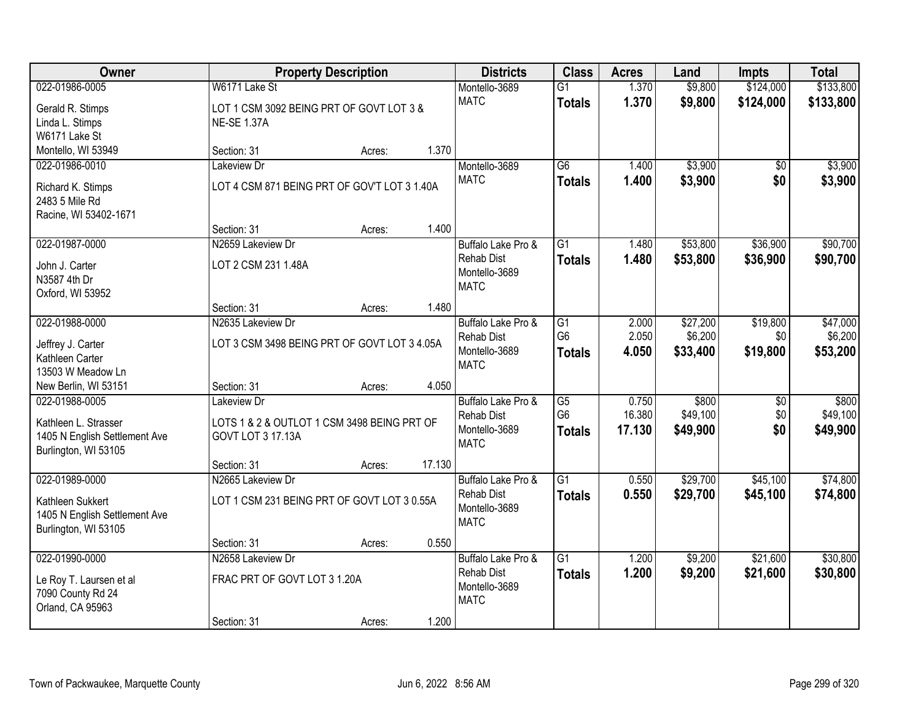| <b>Owner</b>                         |                                              | <b>Property Description</b> |        | <b>Districts</b>   | <b>Class</b>    | <b>Acres</b> | Land     | <b>Impts</b>    | <b>Total</b> |
|--------------------------------------|----------------------------------------------|-----------------------------|--------|--------------------|-----------------|--------------|----------|-----------------|--------------|
| 022-01986-0005                       | W6171 Lake St                                |                             |        | Montello-3689      | $\overline{G1}$ | 1.370        | \$9,800  | \$124,000       | \$133,800    |
| Gerald R. Stimps                     | LOT 1 CSM 3092 BEING PRT OF GOVT LOT 3 &     |                             |        | <b>MATC</b>        | <b>Totals</b>   | 1.370        | \$9,800  | \$124,000       | \$133,800    |
| Linda L. Stimps                      | <b>NE-SE 1.37A</b>                           |                             |        |                    |                 |              |          |                 |              |
| W6171 Lake St                        |                                              |                             |        |                    |                 |              |          |                 |              |
| Montello, WI 53949                   | Section: 31                                  | Acres:                      | 1.370  |                    |                 |              |          |                 |              |
| 022-01986-0010                       | Lakeview Dr                                  |                             |        | Montello-3689      | $\overline{G6}$ | 1.400        | \$3,900  | \$0             | \$3,900      |
| Richard K. Stimps                    | LOT 4 CSM 871 BEING PRT OF GOV'T LOT 3 1.40A |                             |        | <b>MATC</b>        | <b>Totals</b>   | 1.400        | \$3,900  | \$0             | \$3,900      |
| 2483 5 Mile Rd                       |                                              |                             |        |                    |                 |              |          |                 |              |
| Racine, WI 53402-1671                |                                              |                             |        |                    |                 |              |          |                 |              |
|                                      | Section: 31                                  | Acres:                      | 1.400  |                    |                 |              |          |                 |              |
| 022-01987-0000                       | N2659 Lakeview Dr                            |                             |        | Buffalo Lake Pro & | G1              | 1.480        | \$53,800 | \$36,900        | \$90,700     |
| John J. Carter                       | LOT 2 CSM 231 1.48A                          |                             |        | <b>Rehab Dist</b>  | <b>Totals</b>   | 1.480        | \$53,800 | \$36,900        | \$90,700     |
| N3587 4th Dr                         |                                              |                             |        | Montello-3689      |                 |              |          |                 |              |
| Oxford, WI 53952                     |                                              |                             |        | <b>MATC</b>        |                 |              |          |                 |              |
|                                      | Section: 31                                  | Acres:                      | 1.480  |                    |                 |              |          |                 |              |
| 022-01988-0000                       | N2635 Lakeview Dr                            |                             |        | Buffalo Lake Pro & | G1              | 2.000        | \$27,200 | \$19,800        | \$47,000     |
|                                      |                                              |                             |        | <b>Rehab Dist</b>  | G <sub>6</sub>  | 2.050        | \$6,200  | \$0             | \$6,200      |
| Jeffrey J. Carter<br>Kathleen Carter | LOT 3 CSM 3498 BEING PRT OF GOVT LOT 3 4.05A |                             |        | Montello-3689      | <b>Totals</b>   | 4.050        | \$33,400 | \$19,800        | \$53,200     |
| 13503 W Meadow Ln                    |                                              |                             |        | <b>MATC</b>        |                 |              |          |                 |              |
| New Berlin, WI 53151                 | Section: 31                                  | Acres:                      | 4.050  |                    |                 |              |          |                 |              |
| 022-01988-0005                       | Lakeview Dr                                  |                             |        | Buffalo Lake Pro & | $\overline{G5}$ | 0.750        | \$800    | $\overline{50}$ | \$800        |
|                                      |                                              |                             |        | <b>Rehab Dist</b>  | G <sub>6</sub>  | 16.380       | \$49,100 | \$0             | \$49,100     |
| Kathleen L. Strasser                 | LOTS 1 & 2 & OUTLOT 1 CSM 3498 BEING PRT OF  |                             |        | Montello-3689      | <b>Totals</b>   | 17.130       | \$49,900 | \$0             | \$49,900     |
| 1405 N English Settlement Ave        | GOVT LOT 3 17.13A                            |                             |        | <b>MATC</b>        |                 |              |          |                 |              |
| Burlington, WI 53105                 | Section: 31                                  | Acres:                      | 17.130 |                    |                 |              |          |                 |              |
| 022-01989-0000                       | N2665 Lakeview Dr                            |                             |        | Buffalo Lake Pro & | $\overline{G1}$ | 0.550        | \$29,700 | \$45,100        | \$74,800     |
|                                      |                                              |                             |        | <b>Rehab Dist</b>  | <b>Totals</b>   | 0.550        | \$29,700 | \$45,100        | \$74,800     |
| Kathleen Sukkert                     | LOT 1 CSM 231 BEING PRT OF GOVT LOT 3 0.55A  |                             |        | Montello-3689      |                 |              |          |                 |              |
| 1405 N English Settlement Ave        |                                              |                             |        | <b>MATC</b>        |                 |              |          |                 |              |
| Burlington, WI 53105                 |                                              |                             |        |                    |                 |              |          |                 |              |
| 022-01990-0000                       | Section: 31<br>N2658 Lakeview Dr             | Acres:                      | 0.550  | Buffalo Lake Pro & | $\overline{G1}$ | 1.200        | \$9,200  | \$21,600        | \$30,800     |
|                                      |                                              |                             |        | <b>Rehab Dist</b>  | <b>Totals</b>   | 1.200        | \$9,200  | \$21,600        | \$30,800     |
| Le Roy T. Laursen et al              | FRAC PRT OF GOVT LOT 3 1.20A                 |                             |        | Montello-3689      |                 |              |          |                 |              |
| 7090 County Rd 24                    |                                              |                             |        | <b>MATC</b>        |                 |              |          |                 |              |
| Orland, CA 95963                     |                                              |                             |        |                    |                 |              |          |                 |              |
|                                      | Section: 31                                  | Acres:                      | 1.200  |                    |                 |              |          |                 |              |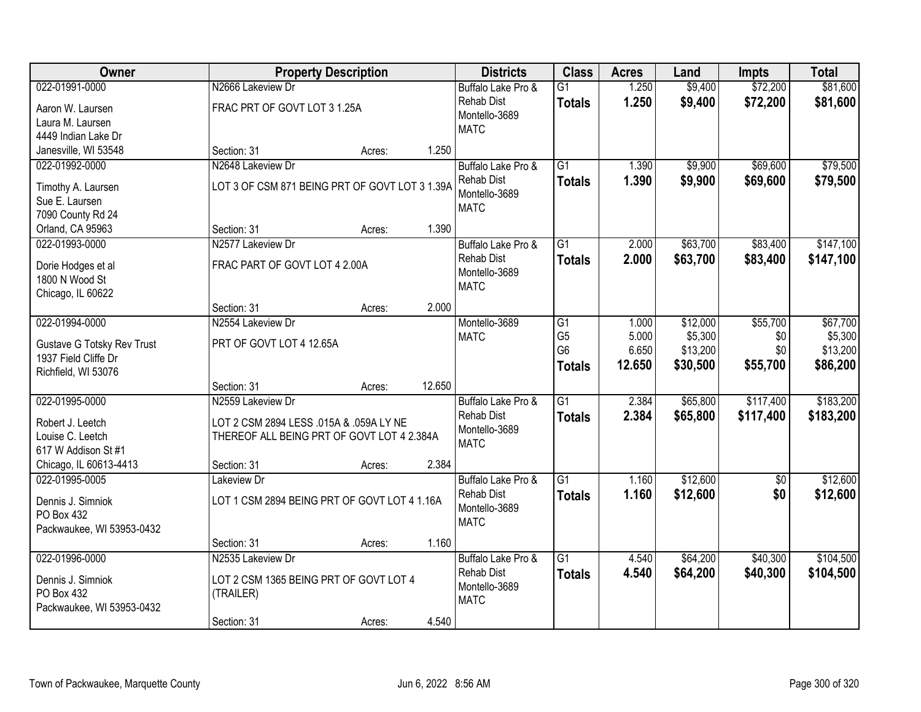| <b>Owner</b>                                |                                                | <b>Property Description</b> |        | <b>Districts</b>                   | <b>Class</b>    | <b>Acres</b> | Land     | <b>Impts</b> | <b>Total</b> |
|---------------------------------------------|------------------------------------------------|-----------------------------|--------|------------------------------------|-----------------|--------------|----------|--------------|--------------|
| 022-01991-0000                              | N2666 Lakeview Dr                              |                             |        | Buffalo Lake Pro &                 | $\overline{G1}$ | 1.250        | \$9,400  | \$72,200     | \$81,600     |
| Aaron W. Laursen                            | FRAC PRT OF GOVT LOT 3 1.25A                   |                             |        | <b>Rehab Dist</b>                  | <b>Totals</b>   | 1.250        | \$9,400  | \$72,200     | \$81,600     |
| Laura M. Laursen                            |                                                |                             |        | Montello-3689                      |                 |              |          |              |              |
| 4449 Indian Lake Dr                         |                                                |                             |        | <b>MATC</b>                        |                 |              |          |              |              |
| Janesville, WI 53548                        | Section: 31                                    | Acres:                      | 1.250  |                                    |                 |              |          |              |              |
| 022-01992-0000                              | N2648 Lakeview Dr                              |                             |        | Buffalo Lake Pro &                 | $\overline{G1}$ | 1.390        | \$9,900  | \$69,600     | \$79,500     |
| Timothy A. Laursen                          | LOT 3 OF CSM 871 BEING PRT OF GOVT LOT 3 1.39A |                             |        | <b>Rehab Dist</b>                  | <b>Totals</b>   | 1.390        | \$9,900  | \$69,600     | \$79,500     |
| Sue E. Laursen                              |                                                |                             |        | Montello-3689                      |                 |              |          |              |              |
| 7090 County Rd 24                           |                                                |                             |        | <b>MATC</b>                        |                 |              |          |              |              |
| Orland, CA 95963                            | Section: 31                                    | Acres:                      | 1.390  |                                    |                 |              |          |              |              |
| 022-01993-0000                              | N2577 Lakeview Dr                              |                             |        | Buffalo Lake Pro &                 | $\overline{G1}$ | 2.000        | \$63,700 | \$83,400     | \$147,100    |
|                                             |                                                |                             |        | <b>Rehab Dist</b>                  | <b>Totals</b>   | 2.000        | \$63,700 | \$83,400     | \$147,100    |
| Dorie Hodges et al<br>1800 N Wood St        | FRAC PART OF GOVT LOT 4 2.00A                  |                             |        | Montello-3689                      |                 |              |          |              |              |
| Chicago, IL 60622                           |                                                |                             |        | <b>MATC</b>                        |                 |              |          |              |              |
|                                             | Section: 31                                    | Acres:                      | 2.000  |                                    |                 |              |          |              |              |
| 022-01994-0000                              | N2554 Lakeview Dr                              |                             |        | Montello-3689                      | G1              | 1.000        | \$12,000 | \$55,700     | \$67,700     |
|                                             |                                                |                             |        | <b>MATC</b>                        | G <sub>5</sub>  | 5.000        | \$5,300  | \$0          | \$5,300      |
| Gustave G Totsky Rev Trust                  | PRT OF GOVT LOT 4 12.65A                       |                             |        |                                    | G <sub>6</sub>  | 6.650        | \$13,200 | \$0          | \$13,200     |
| 1937 Field Cliffe Dr<br>Richfield, WI 53076 |                                                |                             |        |                                    | <b>Totals</b>   | 12.650       | \$30,500 | \$55,700     | \$86,200     |
|                                             | Section: 31                                    | Acres:                      | 12.650 |                                    |                 |              |          |              |              |
| 022-01995-0000                              | N2559 Lakeview Dr                              |                             |        | Buffalo Lake Pro &                 | $\overline{G1}$ | 2.384        | \$65,800 | \$117,400    | \$183,200    |
|                                             |                                                |                             |        | <b>Rehab Dist</b>                  | <b>Totals</b>   | 2.384        | \$65,800 | \$117,400    | \$183,200    |
| Robert J. Leetch                            | LOT 2 CSM 2894 LESS .015A & .059A LY NE        |                             |        | Montello-3689                      |                 |              |          |              |              |
| Louise C. Leetch                            | THEREOF ALL BEING PRT OF GOVT LOT 4 2.384A     |                             |        | <b>MATC</b>                        |                 |              |          |              |              |
| 617 W Addison St #1                         |                                                |                             |        |                                    |                 |              |          |              |              |
| Chicago, IL 60613-4413                      | Section: 31                                    | Acres:                      | 2.384  |                                    |                 |              |          |              |              |
| 022-01995-0005                              | Lakeview Dr                                    |                             |        | Buffalo Lake Pro &                 | $\overline{G1}$ | 1.160        | \$12,600 | $\sqrt{6}$   | \$12,600     |
| Dennis J. Simniok                           | LOT 1 CSM 2894 BEING PRT OF GOVT LOT 4 1.16A   |                             |        | <b>Rehab Dist</b><br>Montello-3689 | <b>Totals</b>   | 1.160        | \$12,600 | \$0          | \$12,600     |
| PO Box 432                                  |                                                |                             |        | <b>MATC</b>                        |                 |              |          |              |              |
| Packwaukee, WI 53953-0432                   |                                                |                             |        |                                    |                 |              |          |              |              |
|                                             | Section: 31                                    | Acres:                      | 1.160  |                                    |                 |              |          |              |              |
| 022-01996-0000                              | N2535 Lakeview Dr                              |                             |        | Buffalo Lake Pro &                 | $\overline{G1}$ | 4.540        | \$64,200 | \$40,300     | \$104,500    |
| Dennis J. Simniok                           | LOT 2 CSM 1365 BEING PRT OF GOVT LOT 4         |                             |        | <b>Rehab Dist</b>                  | <b>Totals</b>   | 4.540        | \$64,200 | \$40,300     | \$104,500    |
| PO Box 432                                  | (TRAILER)                                      |                             |        | Montello-3689<br><b>MATC</b>       |                 |              |          |              |              |
| Packwaukee, WI 53953-0432                   |                                                |                             |        |                                    |                 |              |          |              |              |
|                                             | Section: 31                                    | Acres:                      | 4.540  |                                    |                 |              |          |              |              |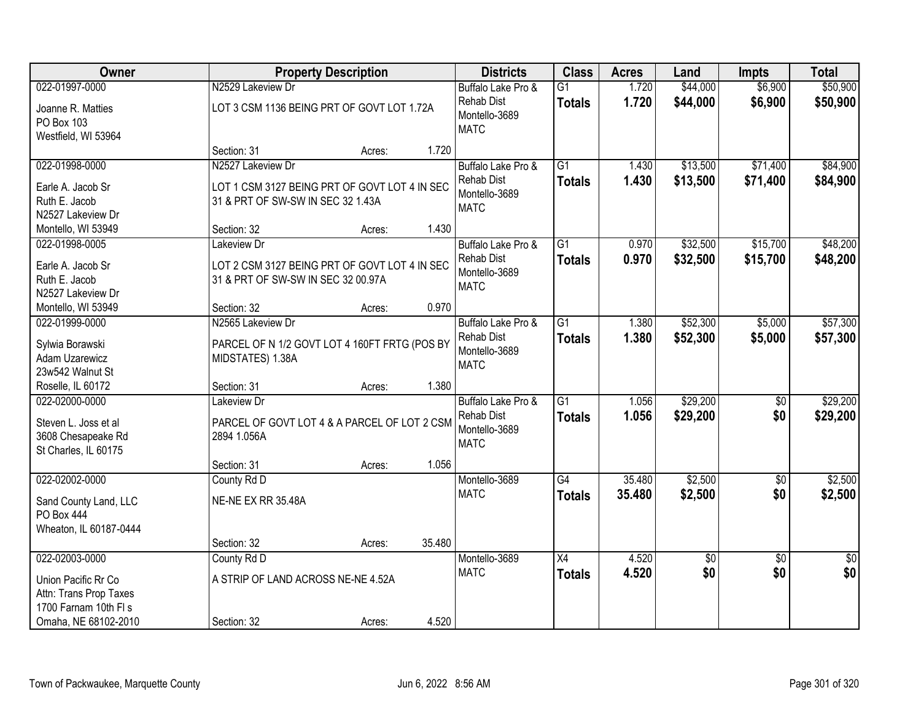| Owner                                                                                                            | <b>Property Description</b>                                                                                  | <b>Districts</b>                                                        | <b>Class</b>                     | <b>Acres</b>   | Land                   | <b>Impts</b>           | <b>Total</b>           |
|------------------------------------------------------------------------------------------------------------------|--------------------------------------------------------------------------------------------------------------|-------------------------------------------------------------------------|----------------------------------|----------------|------------------------|------------------------|------------------------|
| 022-01997-0000                                                                                                   | N2529 Lakeview Dr                                                                                            | Buffalo Lake Pro &                                                      | $\overline{G1}$                  | 1.720          | \$44,000               | \$6,900                | \$50,900               |
| Joanne R. Matties<br>PO Box 103<br>Westfield, WI 53964                                                           | LOT 3 CSM 1136 BEING PRT OF GOVT LOT 1.72A                                                                   | <b>Rehab Dist</b><br>Montello-3689<br><b>MATC</b>                       | <b>Totals</b>                    | 1.720          | \$44,000               | \$6,900                | \$50,900               |
|                                                                                                                  | 1.720<br>Section: 31<br>Acres:                                                                               |                                                                         |                                  |                |                        |                        |                        |
| 022-01998-0000<br>Earle A. Jacob Sr<br>Ruth E. Jacob<br>N2527 Lakeview Dr                                        | N2527 Lakeview Dr<br>LOT 1 CSM 3127 BEING PRT OF GOVT LOT 4 IN SEC<br>31 & PRT OF SW-SW IN SEC 32 1.43A      | Buffalo Lake Pro &<br><b>Rehab Dist</b><br>Montello-3689<br><b>MATC</b> | $\overline{G1}$<br><b>Totals</b> | 1.430<br>1.430 | \$13,500<br>\$13,500   | \$71,400<br>\$71,400   | \$84,900<br>\$84,900   |
| Montello, WI 53949                                                                                               | 1.430<br>Section: 32<br>Acres:                                                                               |                                                                         |                                  |                |                        |                        |                        |
| 022-01998-0005<br>Earle A. Jacob Sr<br>Ruth E. Jacob<br>N2527 Lakeview Dr                                        | Lakeview Dr<br>LOT 2 CSM 3127 BEING PRT OF GOVT LOT 4 IN SEC<br>31 & PRT OF SW-SW IN SEC 32 00.97A           | Buffalo Lake Pro &<br><b>Rehab Dist</b><br>Montello-3689<br><b>MATC</b> | G1<br><b>Totals</b>              | 0.970<br>0.970 | \$32,500<br>\$32,500   | \$15,700<br>\$15,700   | \$48,200<br>\$48,200   |
| Montello, WI 53949                                                                                               | 0.970<br>Section: 32<br>Acres:                                                                               |                                                                         |                                  |                |                        |                        |                        |
| 022-01999-0000<br>Sylwia Borawski<br>Adam Uzarewicz<br>23w542 Walnut St                                          | N2565 Lakeview Dr<br>PARCEL OF N 1/2 GOVT LOT 4 160FT FRTG (POS BY<br>MIDSTATES) 1.38A                       | Buffalo Lake Pro &<br><b>Rehab Dist</b><br>Montello-3689<br><b>MATC</b> | $\overline{G1}$<br><b>Totals</b> | 1.380<br>1.380 | \$52,300<br>\$52,300   | \$5,000<br>\$5,000     | \$57,300<br>\$57,300   |
| Roselle, IL 60172                                                                                                | 1.380<br>Section: 31<br>Acres:                                                                               |                                                                         |                                  |                |                        |                        |                        |
| 022-02000-0000<br>Steven L. Joss et al<br>3608 Chesapeake Rd<br>St Charles, IL 60175                             | Lakeview Dr<br>PARCEL OF GOVT LOT 4 & A PARCEL OF LOT 2 CSM<br>2894 1.056A<br>1.056<br>Section: 31<br>Acres: | Buffalo Lake Pro &<br><b>Rehab Dist</b><br>Montello-3689<br><b>MATC</b> | $\overline{G1}$<br><b>Totals</b> | 1.056<br>1.056 | \$29,200<br>\$29,200   | \$0<br>\$0             | \$29,200<br>\$29,200   |
| 022-02002-0000                                                                                                   | County Rd D                                                                                                  | Montello-3689                                                           | G4                               | 35.480         | \$2,500                | $\sqrt{6}$             | \$2,500                |
| Sand County Land, LLC<br>PO Box 444<br>Wheaton, IL 60187-0444                                                    | NE-NE EX RR 35.48A                                                                                           | <b>MATC</b>                                                             | <b>Totals</b>                    | 35.480         | \$2,500                | \$0                    | \$2,500                |
|                                                                                                                  | 35.480<br>Section: 32<br>Acres:                                                                              |                                                                         |                                  |                |                        |                        |                        |
| 022-02003-0000<br>Union Pacific Rr Co<br>Attn: Trans Prop Taxes<br>1700 Farnam 10th FI s<br>Omaha, NE 68102-2010 | County Rd D<br>A STRIP OF LAND ACROSS NE-NE 4.52A<br>4.520<br>Section: 32<br>Acres:                          | Montello-3689<br><b>MATC</b>                                            | X4<br><b>Totals</b>              | 4.520<br>4.520 | $\overline{60}$<br>\$0 | $\overline{50}$<br>\$0 | $\overline{50}$<br>\$0 |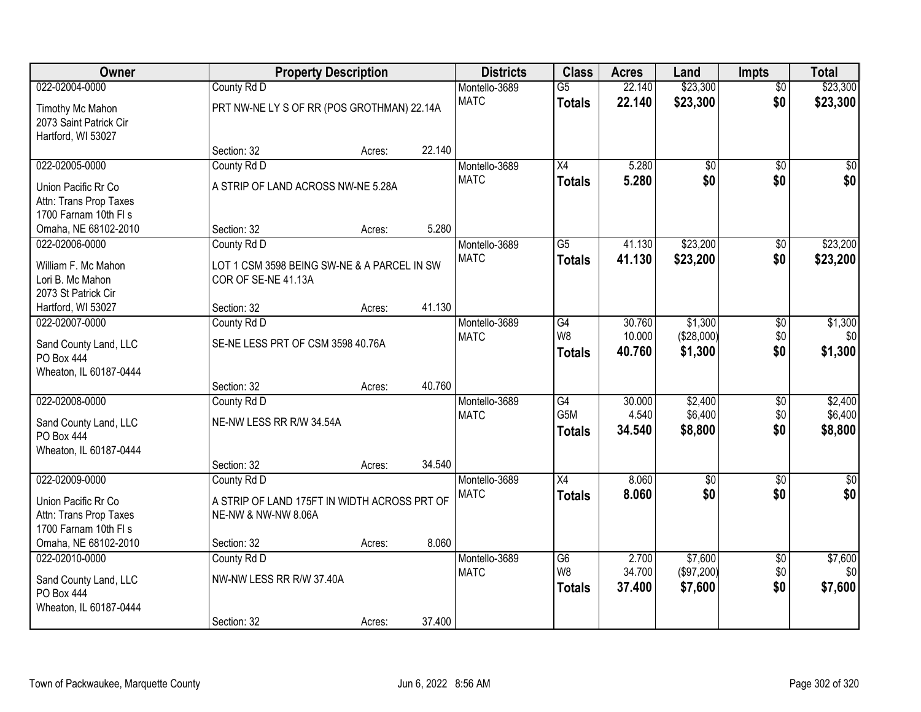| <b>Owner</b>           |                                              | <b>Property Description</b> |        |               | <b>Class</b>     | <b>Acres</b> | Land            | <b>Impts</b>    | <b>Total</b>     |
|------------------------|----------------------------------------------|-----------------------------|--------|---------------|------------------|--------------|-----------------|-----------------|------------------|
| 022-02004-0000         | County Rd D                                  |                             |        | Montello-3689 | $\overline{G5}$  | 22.140       | \$23,300        | $\overline{50}$ | \$23,300         |
| Timothy Mc Mahon       | PRT NW-NE LY S OF RR (POS GROTHMAN) 22.14A   |                             |        | <b>MATC</b>   | <b>Totals</b>    | 22.140       | \$23,300        | \$0             | \$23,300         |
| 2073 Saint Patrick Cir |                                              |                             |        |               |                  |              |                 |                 |                  |
| Hartford, WI 53027     |                                              |                             |        |               |                  |              |                 |                 |                  |
|                        | Section: 32                                  | Acres:                      | 22.140 |               |                  |              |                 |                 |                  |
| 022-02005-0000         | County Rd D                                  |                             |        | Montello-3689 | $\overline{X4}$  | 5.280        | $\overline{50}$ | $\overline{30}$ | $\sqrt{50}$      |
| Union Pacific Rr Co    | A STRIP OF LAND ACROSS NW-NE 5.28A           |                             |        | <b>MATC</b>   | <b>Totals</b>    | 5.280        | \$0             | \$0             | \$0              |
| Attn: Trans Prop Taxes |                                              |                             |        |               |                  |              |                 |                 |                  |
| 1700 Farnam 10th FI s  |                                              |                             |        |               |                  |              |                 |                 |                  |
| Omaha, NE 68102-2010   | Section: 32                                  | Acres:                      | 5.280  |               |                  |              |                 |                 |                  |
| 022-02006-0000         | County Rd D                                  |                             |        | Montello-3689 | G5               | 41.130       | \$23,200        | \$0             | \$23,200         |
| William F. Mc Mahon    | LOT 1 CSM 3598 BEING SW-NE & A PARCEL IN SW  |                             |        | <b>MATC</b>   | <b>Totals</b>    | 41.130       | \$23,200        | \$0             | \$23,200         |
| Lori B. Mc Mahon       | COR OF SE-NE 41.13A                          |                             |        |               |                  |              |                 |                 |                  |
| 2073 St Patrick Cir    |                                              |                             |        |               |                  |              |                 |                 |                  |
| Hartford, WI 53027     | Section: 32                                  | Acres:                      | 41.130 |               |                  |              |                 |                 |                  |
| 022-02007-0000         | County Rd D                                  |                             |        | Montello-3689 | G4               | 30.760       | \$1,300         | \$0             | \$1,300          |
| Sand County Land, LLC  | SE-NE LESS PRT OF CSM 3598 40.76A            |                             |        | <b>MATC</b>   | W8               | 10.000       | (\$28,000)      | \$0             | \$0              |
| <b>PO Box 444</b>      |                                              |                             |        |               | <b>Totals</b>    | 40.760       | \$1,300         | \$0             | \$1,300          |
| Wheaton, IL 60187-0444 |                                              |                             |        |               |                  |              |                 |                 |                  |
|                        | Section: 32                                  | Acres:                      | 40.760 |               |                  |              |                 |                 |                  |
| 022-02008-0000         | County Rd D                                  |                             |        | Montello-3689 | $\overline{G4}$  | 30.000       | \$2,400         | $\overline{30}$ | \$2,400          |
| Sand County Land, LLC  | NE-NW LESS RR R/W 34.54A                     |                             |        | <b>MATC</b>   | G <sub>5</sub> M | 4.540        | \$6,400         | \$0             | \$6,400          |
| PO Box 444             |                                              |                             |        |               | <b>Totals</b>    | 34.540       | \$8,800         | \$0             | \$8,800          |
| Wheaton, IL 60187-0444 |                                              |                             |        |               |                  |              |                 |                 |                  |
|                        | Section: 32                                  | Acres:                      | 34.540 |               |                  |              |                 |                 |                  |
| 022-02009-0000         | County Rd D                                  |                             |        | Montello-3689 | $\overline{X4}$  | 8.060        | $\overline{50}$ | $\overline{50}$ | $\overline{\$0}$ |
| Union Pacific Rr Co    | A STRIP OF LAND 175FT IN WIDTH ACROSS PRT OF |                             |        | <b>MATC</b>   | <b>Totals</b>    | 8.060        | \$0             | \$0             | \$0              |
| Attn: Trans Prop Taxes | NE-NW & NW-NW 8.06A                          |                             |        |               |                  |              |                 |                 |                  |
| 1700 Farnam 10th FI s  |                                              |                             |        |               |                  |              |                 |                 |                  |
| Omaha, NE 68102-2010   | Section: 32                                  | Acres:                      | 8.060  |               |                  |              |                 |                 |                  |
| 022-02010-0000         | County Rd D                                  |                             |        | Montello-3689 | $\overline{G6}$  | 2.700        | \$7,600         | $\overline{50}$ | \$7,600          |
| Sand County Land, LLC  | NW-NW LESS RR R/W 37.40A                     |                             |        | <b>MATC</b>   | W8               | 34.700       | (\$97,200)      | \$0             | \$0              |
| PO Box 444             |                                              |                             |        |               | <b>Totals</b>    | 37.400       | \$7,600         | \$0             | \$7,600          |
| Wheaton, IL 60187-0444 |                                              |                             |        |               |                  |              |                 |                 |                  |
|                        | Section: 32                                  | Acres:                      | 37.400 |               |                  |              |                 |                 |                  |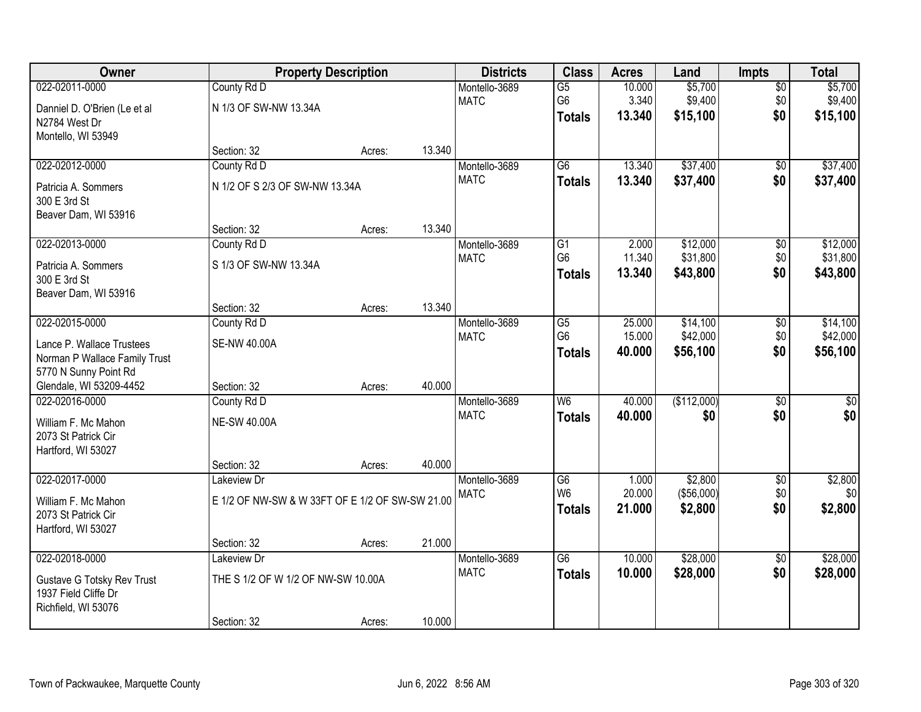| Owner                                                                                                                            | <b>Property Description</b>                                                   |                  |                  | <b>Districts</b>             | <b>Class</b>                                       | <b>Acres</b>               | Land                             | <b>Impts</b>                  | <b>Total</b>                     |
|----------------------------------------------------------------------------------------------------------------------------------|-------------------------------------------------------------------------------|------------------|------------------|------------------------------|----------------------------------------------------|----------------------------|----------------------------------|-------------------------------|----------------------------------|
| 022-02011-0000<br>Danniel D. O'Brien (Le et al<br>N2784 West Dr<br>Montello, WI 53949                                            | County Rd D<br>N 1/3 OF SW-NW 13.34A                                          |                  |                  | Montello-3689<br><b>MATC</b> | $\overline{G5}$<br>G <sub>6</sub><br><b>Totals</b> | 10.000<br>3.340<br>13.340  | \$5,700<br>\$9,400<br>\$15,100   | \$0<br>\$0<br>\$0             | \$5,700<br>\$9,400<br>\$15,100   |
|                                                                                                                                  | Section: 32                                                                   | Acres:           | 13.340           |                              |                                                    |                            |                                  |                               |                                  |
| 022-02012-0000<br>Patricia A. Sommers<br>300 E 3rd St<br>Beaver Dam, WI 53916                                                    | County Rd D<br>N 1/2 OF S 2/3 OF SW-NW 13.34A                                 |                  |                  | Montello-3689<br><b>MATC</b> | $\overline{G6}$<br><b>Totals</b>                   | 13.340<br>13.340           | \$37,400<br>\$37,400             | \$0<br>\$0                    | \$37,400<br>\$37,400             |
| 022-02013-0000<br>Patricia A. Sommers<br>300 E 3rd St<br>Beaver Dam, WI 53916                                                    | Section: 32<br>County Rd D<br>S 1/3 OF SW-NW 13.34A<br>Section: 32            | Acres:           | 13.340<br>13.340 | Montello-3689<br><b>MATC</b> | G1<br>G <sub>6</sub><br><b>Totals</b>              | 2.000<br>11.340<br>13.340  | \$12,000<br>\$31,800<br>\$43,800 | \$0<br>\$0<br>\$0             | \$12,000<br>\$31,800<br>\$43,800 |
| 022-02015-0000<br>Lance P. Wallace Trustees<br>Norman P Wallace Family Trust<br>5770 N Sunny Point Rd<br>Glendale, WI 53209-4452 | County Rd D<br>SE-NW 40.00A<br>Section: 32                                    | Acres:<br>Acres: | 40.000           | Montello-3689<br><b>MATC</b> | $\overline{G5}$<br>G <sub>6</sub><br><b>Totals</b> | 25.000<br>15.000<br>40.000 | \$14,100<br>\$42,000<br>\$56,100 | $\sqrt[6]{3}$<br>\$0<br>\$0   | \$14,100<br>\$42,000<br>\$56,100 |
| 022-02016-0000<br>William F. Mc Mahon<br>2073 St Patrick Cir<br>Hartford, WI 53027                                               | County Rd D<br><b>NE-SW 40.00A</b><br>Section: 32                             | Acres:           | 40.000           | Montello-3689<br><b>MATC</b> | $\overline{W6}$<br><b>Totals</b>                   | 40.000<br>40.000           | (\$112,000)<br>\$0               | $\overline{50}$<br>\$0        | $\sqrt{50}$<br>\$0               |
| 022-02017-0000<br>William F. Mc Mahon<br>2073 St Patrick Cir<br>Hartford, WI 53027                                               | Lakeview Dr<br>E 1/2 OF NW-SW & W 33FT OF E 1/2 OF SW-SW 21.00<br>Section: 32 | Acres:           | 21.000           | Montello-3689<br><b>MATC</b> | G6<br>W <sub>6</sub><br><b>Totals</b>              | 1.000<br>20.000<br>21.000  | \$2,800<br>(\$56,000)<br>\$2,800 | $\overline{$0}$<br>\$0<br>\$0 | \$2,800<br>\$0<br>\$2,800        |
| 022-02018-0000<br><b>Gustave G Totsky Rev Trust</b><br>1937 Field Cliffe Dr<br>Richfield, WI 53076                               | Lakeview Dr<br>THE S 1/2 OF W 1/2 OF NW-SW 10.00A<br>Section: 32              | Acres:           | 10.000           | Montello-3689<br><b>MATC</b> | $\overline{G6}$<br><b>Totals</b>                   | 10.000<br>10.000           | \$28,000<br>\$28,000             | $\overline{60}$<br>\$0        | \$28,000<br>\$28,000             |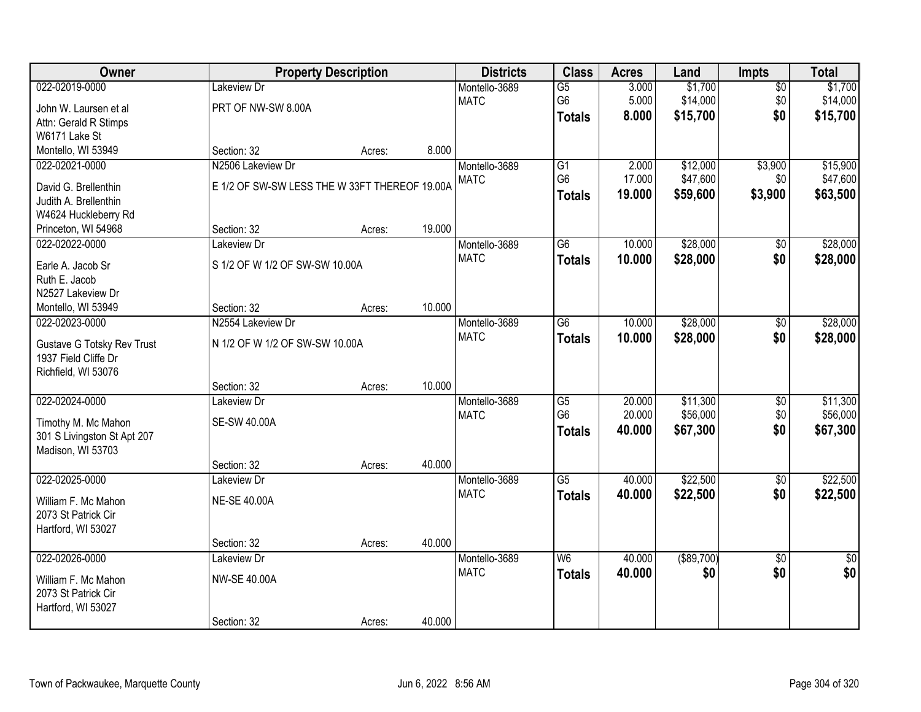| Owner                       |                                               | <b>Property Description</b> |        | <b>Districts</b>             | <b>Class</b>    | <b>Acres</b> | Land              | Impts           | <b>Total</b>    |
|-----------------------------|-----------------------------------------------|-----------------------------|--------|------------------------------|-----------------|--------------|-------------------|-----------------|-----------------|
| 022-02019-0000              | Lakeview Dr                                   |                             |        | Montello-3689                | $\overline{G5}$ | 3.000        | \$1,700           | $\overline{50}$ | \$1,700         |
| John W. Laursen et al       | PRT OF NW-SW 8.00A                            |                             |        | <b>MATC</b>                  | G <sub>6</sub>  | 5.000        | \$14,000          | \$0             | \$14,000        |
| Attn: Gerald R Stimps       |                                               |                             |        |                              | <b>Totals</b>   | 8.000        | \$15,700          | \$0             | \$15,700        |
| W6171 Lake St               |                                               |                             |        |                              |                 |              |                   |                 |                 |
| Montello, WI 53949          | Section: 32                                   | Acres:                      | 8.000  |                              |                 |              |                   |                 |                 |
| 022-02021-0000              | N2506 Lakeview Dr                             |                             |        | Montello-3689                | $\overline{G1}$ | 2.000        | \$12,000          | \$3,900         | \$15,900        |
| David G. Brellenthin        | E 1/2 OF SW-SW LESS THE W 33FT THEREOF 19.00A |                             |        | <b>MATC</b>                  | G <sub>6</sub>  | 17.000       | \$47,600          | \$0             | \$47,600        |
| Judith A. Brellenthin       |                                               |                             |        |                              | <b>Totals</b>   | 19.000       | \$59,600          | \$3,900         | \$63,500        |
| W4624 Huckleberry Rd        |                                               |                             |        |                              |                 |              |                   |                 |                 |
| Princeton, WI 54968         | Section: 32                                   | Acres:                      | 19.000 |                              |                 |              |                   |                 |                 |
| 022-02022-0000              | Lakeview Dr                                   |                             |        | Montello-3689                | $\overline{G6}$ | 10.000       | \$28,000          | $\overline{50}$ | \$28,000        |
|                             |                                               |                             |        | <b>MATC</b>                  | <b>Totals</b>   | 10.000       | \$28,000          | \$0             | \$28,000        |
| Earle A. Jacob Sr           | S 1/2 OF W 1/2 OF SW-SW 10.00A                |                             |        |                              |                 |              |                   |                 |                 |
| Ruth E. Jacob               |                                               |                             |        |                              |                 |              |                   |                 |                 |
| N2527 Lakeview Dr           |                                               |                             | 10.000 |                              |                 |              |                   |                 |                 |
| Montello, WI 53949          | Section: 32<br>N2554 Lakeview Dr              | Acres:                      |        |                              |                 |              |                   |                 |                 |
| 022-02023-0000              |                                               |                             |        | Montello-3689<br><b>MATC</b> | $\overline{G6}$ | 10.000       | \$28,000          | $\overline{50}$ | \$28,000        |
| Gustave G Totsky Rev Trust  | N 1/2 OF W 1/2 OF SW-SW 10.00A                |                             |        |                              | <b>Totals</b>   | 10.000       | \$28,000          | \$0             | \$28,000        |
| 1937 Field Cliffe Dr        |                                               |                             |        |                              |                 |              |                   |                 |                 |
| Richfield, WI 53076         |                                               |                             |        |                              |                 |              |                   |                 |                 |
|                             | Section: 32                                   | Acres:                      | 10.000 |                              |                 |              |                   |                 |                 |
| 022-02024-0000              | Lakeview Dr                                   |                             |        | Montello-3689                | $\overline{G5}$ | 20.000       | \$11,300          | $\overline{50}$ | \$11,300        |
| Timothy M. Mc Mahon         | <b>SE-SW 40.00A</b>                           |                             |        | <b>MATC</b>                  | G <sub>6</sub>  | 20.000       | \$56,000          | \$0             | \$56,000        |
| 301 S Livingston St Apt 207 |                                               |                             |        |                              | <b>Totals</b>   | 40.000       | \$67,300          | \$0             | \$67,300        |
| Madison, WI 53703           |                                               |                             |        |                              |                 |              |                   |                 |                 |
|                             | Section: 32                                   | Acres:                      | 40.000 |                              |                 |              |                   |                 |                 |
| 022-02025-0000              | Lakeview Dr                                   |                             |        | Montello-3689                | $\overline{G5}$ | 40.000       | \$22,500          | $\overline{50}$ | \$22,500        |
| William F. Mc Mahon         | <b>NE-SE 40.00A</b>                           |                             |        | <b>MATC</b>                  | <b>Totals</b>   | 40.000       | \$22,500          | \$0             | \$22,500        |
| 2073 St Patrick Cir         |                                               |                             |        |                              |                 |              |                   |                 |                 |
| Hartford, WI 53027          |                                               |                             |        |                              |                 |              |                   |                 |                 |
|                             | Section: 32                                   | Acres:                      | 40.000 |                              |                 |              |                   |                 |                 |
| 022-02026-0000              | Lakeview Dr                                   |                             |        | Montello-3689                | W6              | 40.000       | $($ \$89,700) $ $ | $\overline{50}$ | $\overline{50}$ |
|                             |                                               |                             |        | <b>MATC</b>                  | <b>Totals</b>   | 40.000       | \$0               | \$0             | \$0             |
| William F. Mc Mahon         | <b>NW-SE 40.00A</b>                           |                             |        |                              |                 |              |                   |                 |                 |
| 2073 St Patrick Cir         |                                               |                             |        |                              |                 |              |                   |                 |                 |
| Hartford, WI 53027          |                                               |                             |        |                              |                 |              |                   |                 |                 |
|                             | Section: 32                                   | Acres:                      | 40.000 |                              |                 |              |                   |                 |                 |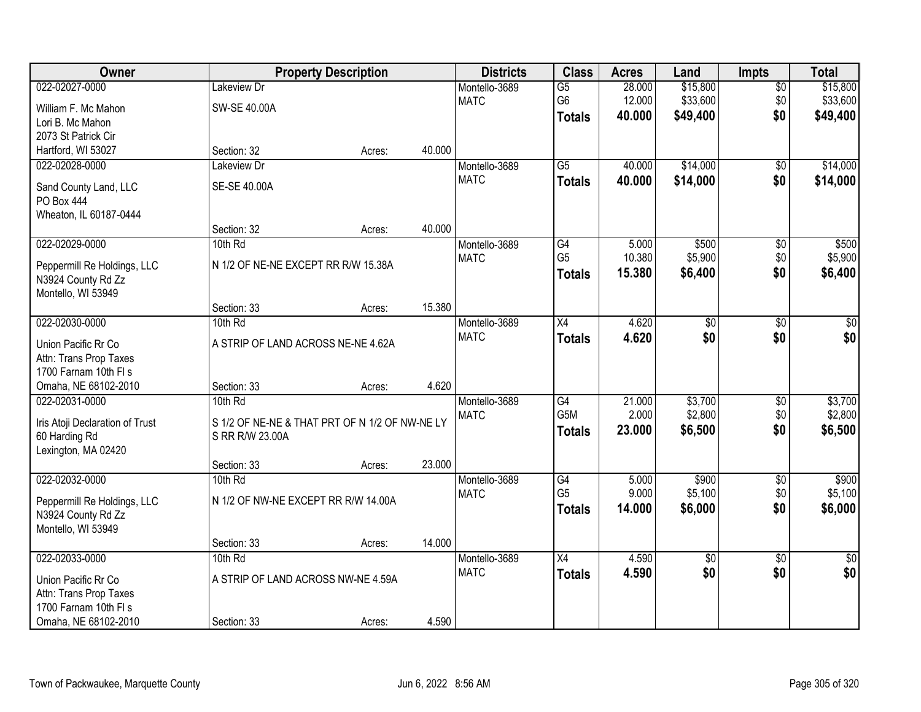| Owner                                         |                                                | <b>Property Description</b> |        | <b>Districts</b> | <b>Class</b>     | <b>Acres</b> | Land            | <b>Impts</b>    | <b>Total</b>  |
|-----------------------------------------------|------------------------------------------------|-----------------------------|--------|------------------|------------------|--------------|-----------------|-----------------|---------------|
| 022-02027-0000                                | Lakeview Dr                                    |                             |        | Montello-3689    | $\overline{G5}$  | 28.000       | \$15,800        | $\overline{30}$ | \$15,800      |
| William F. Mc Mahon                           | SW-SE 40.00A                                   |                             |        | <b>MATC</b>      | G <sub>6</sub>   | 12.000       | \$33,600        | \$0             | \$33,600      |
| Lori B. Mc Mahon                              |                                                |                             |        |                  | <b>Totals</b>    | 40.000       | \$49,400        | \$0             | \$49,400      |
| 2073 St Patrick Cir                           |                                                |                             |        |                  |                  |              |                 |                 |               |
| Hartford, WI 53027                            | Section: 32                                    | Acres:                      | 40.000 |                  |                  |              |                 |                 |               |
| 022-02028-0000                                | Lakeview Dr                                    |                             |        | Montello-3689    | $\overline{G5}$  | 40.000       | \$14,000        | $\overline{50}$ | \$14,000      |
| Sand County Land, LLC                         | SE-SE 40.00A                                   |                             |        | <b>MATC</b>      | <b>Totals</b>    | 40.000       | \$14,000        | \$0             | \$14,000      |
| <b>PO Box 444</b>                             |                                                |                             |        |                  |                  |              |                 |                 |               |
| Wheaton, IL 60187-0444                        |                                                |                             |        |                  |                  |              |                 |                 |               |
|                                               | Section: 32                                    | Acres:                      | 40.000 |                  |                  |              |                 |                 |               |
| 022-02029-0000                                | 10th Rd                                        |                             |        | Montello-3689    | G4               | 5.000        | \$500           | \$0             | \$500         |
|                                               |                                                |                             |        | <b>MATC</b>      | G <sub>5</sub>   | 10.380       | \$5,900         | \$0             | \$5,900       |
| Peppermill Re Holdings, LLC                   | N 1/2 OF NE-NE EXCEPT RR R/W 15.38A            |                             |        |                  | <b>Totals</b>    | 15.380       | \$6,400         | \$0             | \$6,400       |
| N3924 County Rd Zz<br>Montello, WI 53949      |                                                |                             |        |                  |                  |              |                 |                 |               |
|                                               | Section: 33                                    | Acres:                      | 15.380 |                  |                  |              |                 |                 |               |
| 022-02030-0000                                | 10th Rd                                        |                             |        | Montello-3689    | X4               | 4.620        | $\overline{50}$ | \$0             | \$0           |
|                                               |                                                |                             |        | <b>MATC</b>      | <b>Totals</b>    | 4.620        | \$0             | \$0             | \$0           |
| Union Pacific Rr Co                           | A STRIP OF LAND ACROSS NE-NE 4.62A             |                             |        |                  |                  |              |                 |                 |               |
| Attn: Trans Prop Taxes                        |                                                |                             |        |                  |                  |              |                 |                 |               |
| 1700 Farnam 10th FI s<br>Omaha, NE 68102-2010 |                                                |                             | 4.620  |                  |                  |              |                 |                 |               |
| 022-02031-0000                                | Section: 33<br>$10th$ Rd                       | Acres:                      |        | Montello-3689    | $\overline{G4}$  | 21.000       | \$3,700         | $\overline{30}$ | \$3,700       |
|                                               |                                                |                             |        | <b>MATC</b>      | G <sub>5</sub> M | 2.000        | \$2,800         | \$0             | \$2,800       |
| Iris Atoji Declaration of Trust               | S 1/2 OF NE-NE & THAT PRT OF N 1/2 OF NW-NE LY |                             |        |                  | <b>Totals</b>    | 23.000       | \$6,500         | \$0             | \$6,500       |
| 60 Harding Rd                                 | S RR R/W 23.00A                                |                             |        |                  |                  |              |                 |                 |               |
| Lexington, MA 02420                           |                                                |                             |        |                  |                  |              |                 |                 |               |
|                                               | Section: 33                                    | Acres:                      | 23.000 |                  |                  |              |                 |                 |               |
| 022-02032-0000                                | 10th Rd                                        |                             |        | Montello-3689    | G4               | 5.000        | \$900           | $\overline{60}$ | \$900         |
| Peppermill Re Holdings, LLC                   | N 1/2 OF NW-NE EXCEPT RR R/W 14.00A            |                             |        | <b>MATC</b>      | G <sub>5</sub>   | 9.000        | \$5,100         | \$0             | \$5,100       |
| N3924 County Rd Zz                            |                                                |                             |        |                  | <b>Totals</b>    | 14.000       | \$6,000         | \$0             | \$6,000       |
| Montello, WI 53949                            |                                                |                             |        |                  |                  |              |                 |                 |               |
|                                               | Section: 33                                    | Acres:                      | 14.000 |                  |                  |              |                 |                 |               |
| 022-02033-0000                                | 10th Rd                                        |                             |        | Montello-3689    | X4               | 4.590        | $\overline{50}$ | $\overline{50}$ | $\frac{1}{2}$ |
| Union Pacific Rr Co                           | A STRIP OF LAND ACROSS NW-NE 4.59A             |                             |        | <b>MATC</b>      | <b>Totals</b>    | 4.590        | \$0             | \$0             | \$0           |
| Attn: Trans Prop Taxes                        |                                                |                             |        |                  |                  |              |                 |                 |               |
| 1700 Farnam 10th FI s                         |                                                |                             |        |                  |                  |              |                 |                 |               |
| Omaha, NE 68102-2010                          | Section: 33                                    | Acres:                      | 4.590  |                  |                  |              |                 |                 |               |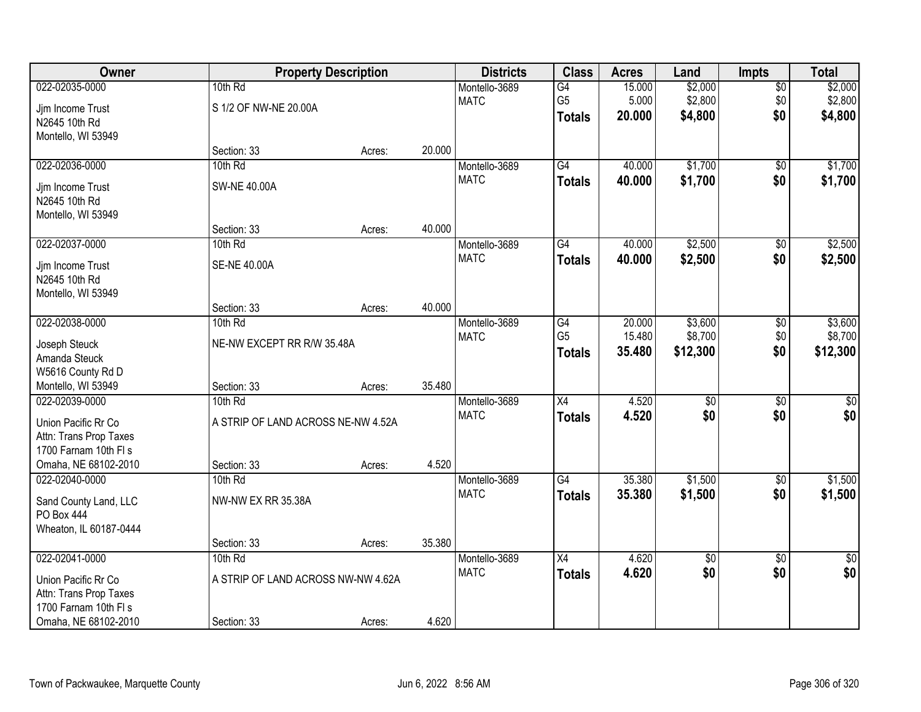| Owner                  | <b>Property Description</b>        |        |        | <b>Districts</b> | <b>Class</b>    | <b>Acres</b> | Land            | <b>Impts</b>    | <b>Total</b> |
|------------------------|------------------------------------|--------|--------|------------------|-----------------|--------------|-----------------|-----------------|--------------|
| 022-02035-0000         | 10th Rd                            |        |        | Montello-3689    | $\overline{G4}$ | 15.000       | \$2,000         | \$0             | \$2,000      |
| Jjm Income Trust       | S 1/2 OF NW-NE 20.00A              |        |        | <b>MATC</b>      | G <sub>5</sub>  | 5.000        | \$2,800         | \$0             | \$2,800      |
| N2645 10th Rd          |                                    |        |        |                  | <b>Totals</b>   | 20.000       | \$4,800         | \$0             | \$4,800      |
| Montello, WI 53949     |                                    |        |        |                  |                 |              |                 |                 |              |
|                        | Section: 33                        | Acres: | 20.000 |                  |                 |              |                 |                 |              |
| 022-02036-0000         | 10th Rd                            |        |        | Montello-3689    | G4              | 40.000       | \$1,700         | \$0             | \$1,700      |
| Jjm Income Trust       | <b>SW-NE 40.00A</b>                |        |        | <b>MATC</b>      | <b>Totals</b>   | 40.000       | \$1,700         | \$0             | \$1,700      |
| N2645 10th Rd          |                                    |        |        |                  |                 |              |                 |                 |              |
| Montello, WI 53949     |                                    |        |        |                  |                 |              |                 |                 |              |
|                        | Section: 33                        | Acres: | 40.000 |                  |                 |              |                 |                 |              |
| 022-02037-0000         | 10th Rd                            |        |        | Montello-3689    | G4              | 40.000       | \$2,500         | \$0             | \$2,500      |
| Jim Income Trust       | <b>SE-NE 40.00A</b>                |        |        | <b>MATC</b>      | <b>Totals</b>   | 40.000       | \$2,500         | \$0             | \$2,500      |
| N2645 10th Rd          |                                    |        |        |                  |                 |              |                 |                 |              |
| Montello, WI 53949     |                                    |        |        |                  |                 |              |                 |                 |              |
|                        | Section: 33                        | Acres: | 40.000 |                  |                 |              |                 |                 |              |
| 022-02038-0000         | 10th Rd                            |        |        | Montello-3689    | G4              | 20.000       | \$3,600         | $\sqrt[6]{3}$   | \$3,600      |
| Joseph Steuck          | NE-NW EXCEPT RR R/W 35.48A         |        |        | <b>MATC</b>      | G <sub>5</sub>  | 15.480       | \$8,700         | \$0             | \$8,700      |
| Amanda Steuck          |                                    |        |        |                  | <b>Totals</b>   | 35.480       | \$12,300        | \$0             | \$12,300     |
| W5616 County Rd D      |                                    |        |        |                  |                 |              |                 |                 |              |
| Montello, WI 53949     | Section: 33                        | Acres: | 35.480 |                  |                 |              |                 |                 |              |
| 022-02039-0000         | 10th Rd                            |        |        | Montello-3689    | $\overline{X4}$ | 4.520        | $\overline{50}$ | $\overline{50}$ | $\sqrt{50}$  |
| Union Pacific Rr Co    | A STRIP OF LAND ACROSS NE-NW 4.52A |        |        | <b>MATC</b>      | <b>Totals</b>   | 4.520        | \$0             | \$0             | \$0          |
| Attn: Trans Prop Taxes |                                    |        |        |                  |                 |              |                 |                 |              |
| 1700 Farnam 10th FI s  |                                    |        |        |                  |                 |              |                 |                 |              |
| Omaha, NE 68102-2010   | Section: 33                        | Acres: | 4.520  |                  |                 |              |                 |                 |              |
| 022-02040-0000         | 10th Rd                            |        |        | Montello-3689    | G4              | 35.380       | \$1,500         | \$0             | \$1,500      |
| Sand County Land, LLC  | NW-NW EX RR 35.38A                 |        |        | <b>MATC</b>      | <b>Totals</b>   | 35.380       | \$1,500         | \$0             | \$1,500      |
| PO Box 444             |                                    |        |        |                  |                 |              |                 |                 |              |
| Wheaton, IL 60187-0444 |                                    |        |        |                  |                 |              |                 |                 |              |
|                        | Section: 33                        | Acres: | 35.380 |                  |                 |              |                 |                 |              |
| 022-02041-0000         | 10th Rd                            |        |        | Montello-3689    | X4              | 4.620        | $\overline{50}$ | $\overline{30}$ | $\sqrt{30}$  |
| Union Pacific Rr Co    | A STRIP OF LAND ACROSS NW-NW 4.62A |        |        | <b>MATC</b>      | <b>Totals</b>   | 4.620        | \$0             | \$0             | \$0          |
| Attn: Trans Prop Taxes |                                    |        |        |                  |                 |              |                 |                 |              |
| 1700 Farnam 10th FI s  |                                    |        |        |                  |                 |              |                 |                 |              |
| Omaha, NE 68102-2010   | Section: 33                        | Acres: | 4.620  |                  |                 |              |                 |                 |              |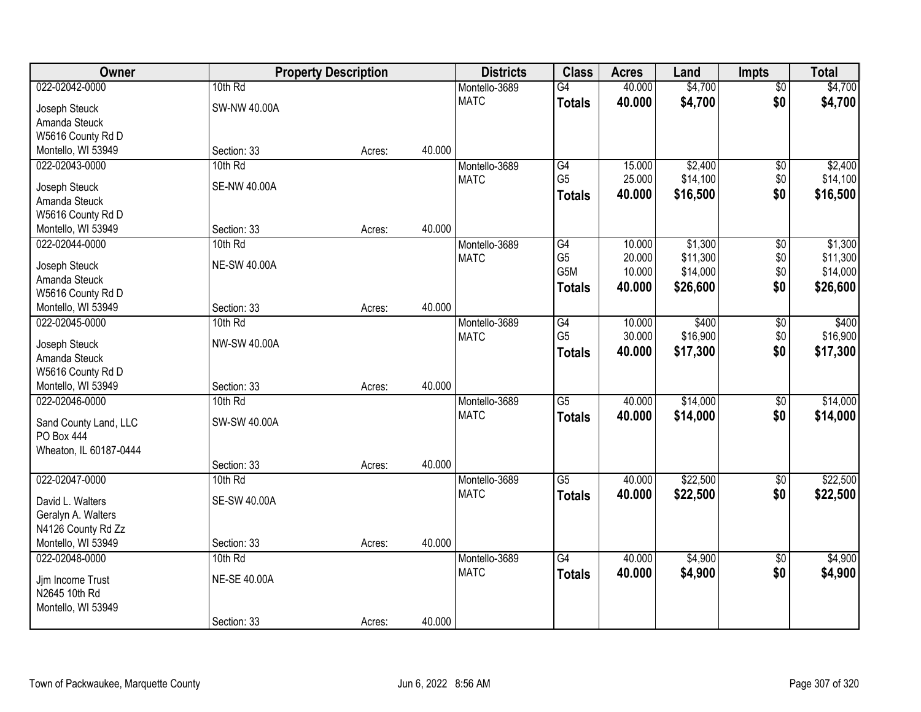| Owner                                      |                     | <b>Property Description</b> |        | <b>Districts</b> | <b>Class</b>    | <b>Acres</b> | Land     | <b>Impts</b>    | <b>Total</b> |
|--------------------------------------------|---------------------|-----------------------------|--------|------------------|-----------------|--------------|----------|-----------------|--------------|
| 022-02042-0000                             | 10th Rd             |                             |        | Montello-3689    | $\overline{G4}$ | 40.000       | \$4,700  | $\overline{50}$ | \$4,700      |
| Joseph Steuck                              | SW-NW 40.00A        |                             |        | <b>MATC</b>      | <b>Totals</b>   | 40.000       | \$4,700  | \$0             | \$4,700      |
| Amanda Steuck                              |                     |                             |        |                  |                 |              |          |                 |              |
| W5616 County Rd D                          |                     |                             |        |                  |                 |              |          |                 |              |
| Montello, WI 53949                         | Section: 33         | Acres:                      | 40.000 |                  |                 |              |          |                 |              |
| 022-02043-0000                             | 10th Rd             |                             |        | Montello-3689    | G4              | 15.000       | \$2,400  | $\overline{50}$ | \$2,400      |
|                                            |                     |                             |        | <b>MATC</b>      | G <sub>5</sub>  | 25.000       | \$14,100 | \$0             | \$14,100     |
| Joseph Steuck                              | <b>SE-NW 40.00A</b> |                             |        |                  | Totals          | 40.000       | \$16,500 | \$0             | \$16,500     |
| Amanda Steuck<br>W5616 County Rd D         |                     |                             |        |                  |                 |              |          |                 |              |
| Montello, WI 53949                         | Section: 33         | Acres:                      | 40.000 |                  |                 |              |          |                 |              |
| 022-02044-0000                             | 10th Rd             |                             |        | Montello-3689    | G4              | 10.000       | \$1,300  | \$0             | \$1,300      |
|                                            |                     |                             |        | <b>MATC</b>      | G <sub>5</sub>  | 20.000       | \$11,300 | \$0             | \$11,300     |
| Joseph Steuck                              | <b>NE-SW 40.00A</b> |                             |        |                  | G5M             | 10.000       | \$14,000 | \$0             | \$14,000     |
| Amanda Steuck                              |                     |                             |        |                  | <b>Totals</b>   | 40.000       | \$26,600 | \$0             | \$26,600     |
| W5616 County Rd D                          |                     |                             |        |                  |                 |              |          |                 |              |
| Montello, WI 53949                         | Section: 33         | Acres:                      | 40.000 |                  |                 |              |          |                 |              |
| 022-02045-0000                             | 10th Rd             |                             |        | Montello-3689    | G4              | 10.000       | \$400    | \$0             | \$400        |
| Joseph Steuck                              | NW-SW 40.00A        |                             |        | <b>MATC</b>      | G <sub>5</sub>  | 30.000       | \$16,900 | \$0             | \$16,900     |
| Amanda Steuck                              |                     |                             |        |                  | <b>Totals</b>   | 40.000       | \$17,300 | \$0             | \$17,300     |
| W5616 County Rd D                          |                     |                             |        |                  |                 |              |          |                 |              |
| Montello, WI 53949                         | Section: 33         | Acres:                      | 40.000 |                  |                 |              |          |                 |              |
| 022-02046-0000                             | 10th Rd             |                             |        | Montello-3689    | $\overline{G5}$ | 40.000       | \$14,000 | $\overline{30}$ | \$14,000     |
|                                            | SW-SW 40.00A        |                             |        | <b>MATC</b>      | <b>Totals</b>   | 40.000       | \$14,000 | \$0             | \$14,000     |
| Sand County Land, LLC<br><b>PO Box 444</b> |                     |                             |        |                  |                 |              |          |                 |              |
| Wheaton, IL 60187-0444                     |                     |                             |        |                  |                 |              |          |                 |              |
|                                            | Section: 33         | Acres:                      | 40.000 |                  |                 |              |          |                 |              |
| 022-02047-0000                             | 10th Rd             |                             |        | Montello-3689    | $\overline{G5}$ | 40.000       | \$22,500 | $\overline{60}$ | \$22,500     |
|                                            |                     |                             |        | <b>MATC</b>      | <b>Totals</b>   | 40.000       | \$22,500 | \$0             | \$22,500     |
| David L. Walters                           | <b>SE-SW 40.00A</b> |                             |        |                  |                 |              |          |                 |              |
| Geralyn A. Walters                         |                     |                             |        |                  |                 |              |          |                 |              |
| N4126 County Rd Zz                         |                     |                             |        |                  |                 |              |          |                 |              |
| Montello, WI 53949                         | Section: 33         | Acres:                      | 40.000 |                  |                 |              |          |                 |              |
| 022-02048-0000                             | 10th Rd             |                             |        | Montello-3689    | $\overline{G4}$ | 40.000       | \$4,900  | $\overline{50}$ | \$4,900      |
| Jim Income Trust                           | <b>NE-SE 40.00A</b> |                             |        | <b>MATC</b>      | <b>Totals</b>   | 40.000       | \$4,900  | \$0             | \$4,900      |
| N2645 10th Rd                              |                     |                             |        |                  |                 |              |          |                 |              |
| Montello, WI 53949                         |                     |                             |        |                  |                 |              |          |                 |              |
|                                            | Section: 33         | Acres:                      | 40.000 |                  |                 |              |          |                 |              |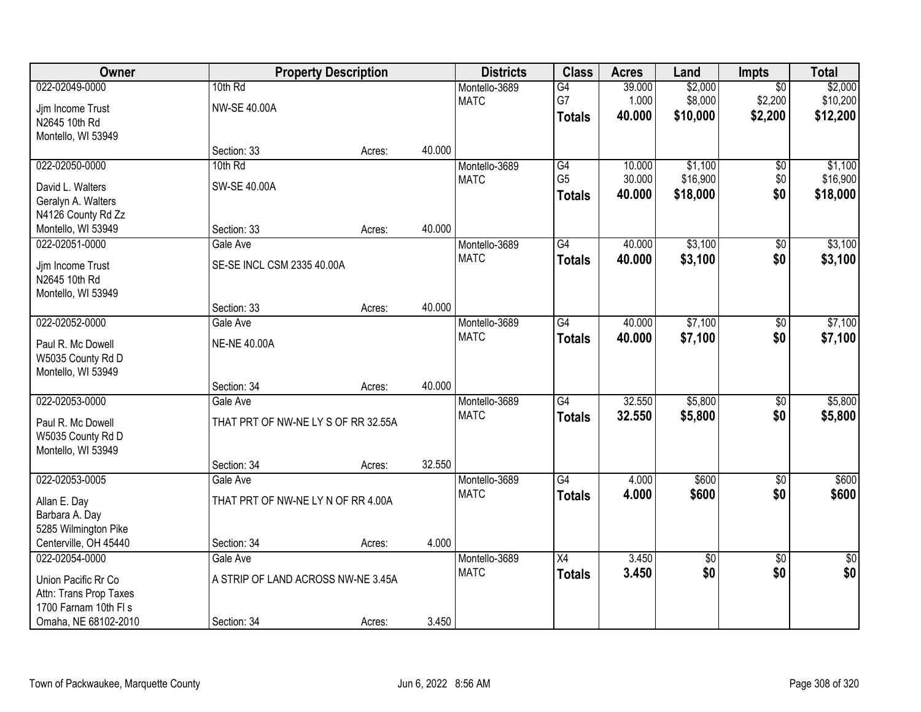| Owner                  |                                     | <b>Property Description</b> |        | <b>Districts</b> | <b>Class</b>    | <b>Acres</b> | Land            | <b>Impts</b>    | <b>Total</b>    |
|------------------------|-------------------------------------|-----------------------------|--------|------------------|-----------------|--------------|-----------------|-----------------|-----------------|
| 022-02049-0000         | 10th Rd                             |                             |        | Montello-3689    | G4              | 39.000       | \$2,000         | $\overline{30}$ | \$2,000         |
| Jjm Income Trust       | NW-SE 40.00A                        |                             |        | <b>MATC</b>      | G7              | 1.000        | \$8,000         | \$2,200         | \$10,200        |
| N2645 10th Rd          |                                     |                             |        |                  | <b>Totals</b>   | 40.000       | \$10,000        | \$2,200         | \$12,200        |
| Montello, WI 53949     |                                     |                             |        |                  |                 |              |                 |                 |                 |
|                        | Section: 33                         | Acres:                      | 40.000 |                  |                 |              |                 |                 |                 |
| 022-02050-0000         | 10th Rd                             |                             |        | Montello-3689    | G4              | 10.000       | \$1,100         | $\overline{50}$ | \$1,100         |
| David L. Walters       | SW-SE 40.00A                        |                             |        | <b>MATC</b>      | G <sub>5</sub>  | 30.000       | \$16,900        | \$0             | \$16,900        |
| Geralyn A. Walters     |                                     |                             |        |                  | <b>Totals</b>   | 40.000       | \$18,000        | \$0             | \$18,000        |
| N4126 County Rd Zz     |                                     |                             |        |                  |                 |              |                 |                 |                 |
| Montello, WI 53949     | Section: 33                         | Acres:                      | 40.000 |                  |                 |              |                 |                 |                 |
| 022-02051-0000         | Gale Ave                            |                             |        | Montello-3689    | G4              | 40.000       | \$3,100         | \$0             | \$3,100         |
| Jjm Income Trust       | SE-SE INCL CSM 2335 40.00A          |                             |        | <b>MATC</b>      | <b>Totals</b>   | 40.000       | \$3,100         | \$0             | \$3,100         |
| N2645 10th Rd          |                                     |                             |        |                  |                 |              |                 |                 |                 |
| Montello, WI 53949     |                                     |                             |        |                  |                 |              |                 |                 |                 |
|                        | Section: 33                         | Acres:                      | 40.000 |                  |                 |              |                 |                 |                 |
| 022-02052-0000         | Gale Ave                            |                             |        | Montello-3689    | $\overline{G4}$ | 40.000       | \$7,100         | \$0             | \$7,100         |
| Paul R. Mc Dowell      | <b>NE-NE 40.00A</b>                 |                             |        | <b>MATC</b>      | <b>Totals</b>   | 40.000       | \$7,100         | \$0             | \$7,100         |
| W5035 County Rd D      |                                     |                             |        |                  |                 |              |                 |                 |                 |
| Montello, WI 53949     |                                     |                             |        |                  |                 |              |                 |                 |                 |
|                        | Section: 34                         | Acres:                      | 40.000 |                  |                 |              |                 |                 |                 |
| 022-02053-0000         | Gale Ave                            |                             |        | Montello-3689    | $\overline{G4}$ | 32.550       | \$5,800         | \$0             | \$5,800         |
| Paul R. Mc Dowell      | THAT PRT OF NW-NE LY S OF RR 32.55A |                             |        | <b>MATC</b>      | <b>Totals</b>   | 32.550       | \$5,800         | \$0             | \$5,800         |
| W5035 County Rd D      |                                     |                             |        |                  |                 |              |                 |                 |                 |
| Montello, WI 53949     |                                     |                             |        |                  |                 |              |                 |                 |                 |
|                        | Section: 34                         | Acres:                      | 32.550 |                  |                 |              |                 |                 |                 |
| 022-02053-0005         | Gale Ave                            |                             |        | Montello-3689    | $\overline{G4}$ | 4.000        | \$600           | $\sqrt{6}$      | \$600           |
| Allan E. Day           | THAT PRT OF NW-NE LY N OF RR 4.00A  |                             |        | <b>MATC</b>      | <b>Totals</b>   | 4.000        | \$600           | \$0             | \$600           |
| Barbara A. Day         |                                     |                             |        |                  |                 |              |                 |                 |                 |
| 5285 Wilmington Pike   |                                     |                             |        |                  |                 |              |                 |                 |                 |
| Centerville, OH 45440  | Section: 34                         | Acres:                      | 4.000  |                  |                 |              |                 |                 |                 |
| 022-02054-0000         | Gale Ave                            |                             |        | Montello-3689    | $\overline{X4}$ | 3.450        | $\overline{30}$ | $\overline{50}$ | $\overline{30}$ |
| Union Pacific Rr Co    | A STRIP OF LAND ACROSS NW-NE 3.45A  |                             |        | <b>MATC</b>      | <b>Totals</b>   | 3.450        | \$0             | \$0             | \$0             |
| Attn: Trans Prop Taxes |                                     |                             |        |                  |                 |              |                 |                 |                 |
| 1700 Farnam 10th FI s  |                                     |                             |        |                  |                 |              |                 |                 |                 |
| Omaha, NE 68102-2010   | Section: 34                         | Acres:                      | 3.450  |                  |                 |              |                 |                 |                 |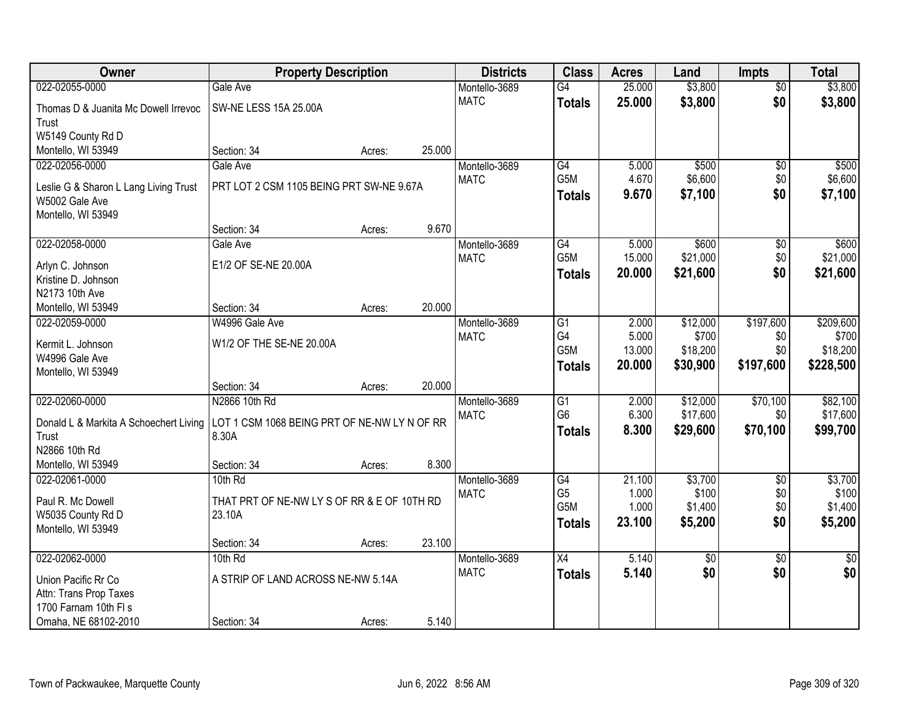| 022-02055-0000<br>25.000<br>\$3,800<br>\$3,800<br>Gale Ave<br>Montello-3689<br>G4<br>$\overline{50}$<br>\$0<br><b>MATC</b><br>25.000<br>\$3,800<br>\$3,800<br><b>Totals</b><br>SW-NE LESS 15A 25.00A<br>Thomas D & Juanita Mc Dowell Irrevoc<br>Trust<br>W5149 County Rd D<br>Montello, WI 53949<br>Section: 34<br>25.000<br>Acres:<br>\$500<br>022-02056-0000<br>Gale Ave<br>G4<br>5.000<br>$\overline{50}$<br>\$500<br>Montello-3689<br>G <sub>5</sub> M<br>4.670<br>\$6,600<br><b>MATC</b><br>\$6,600<br>\$0<br>PRT LOT 2 CSM 1105 BEING PRT SW-NE 9.67A<br>Leslie G & Sharon L Lang Living Trust<br>\$0<br>9.670<br>\$7,100<br>\$7,100<br><b>Totals</b><br>W5002 Gale Ave |
|-------------------------------------------------------------------------------------------------------------------------------------------------------------------------------------------------------------------------------------------------------------------------------------------------------------------------------------------------------------------------------------------------------------------------------------------------------------------------------------------------------------------------------------------------------------------------------------------------------------------------------------------------------------------------------|
|                                                                                                                                                                                                                                                                                                                                                                                                                                                                                                                                                                                                                                                                               |
|                                                                                                                                                                                                                                                                                                                                                                                                                                                                                                                                                                                                                                                                               |
|                                                                                                                                                                                                                                                                                                                                                                                                                                                                                                                                                                                                                                                                               |
|                                                                                                                                                                                                                                                                                                                                                                                                                                                                                                                                                                                                                                                                               |
|                                                                                                                                                                                                                                                                                                                                                                                                                                                                                                                                                                                                                                                                               |
|                                                                                                                                                                                                                                                                                                                                                                                                                                                                                                                                                                                                                                                                               |
|                                                                                                                                                                                                                                                                                                                                                                                                                                                                                                                                                                                                                                                                               |
|                                                                                                                                                                                                                                                                                                                                                                                                                                                                                                                                                                                                                                                                               |
| Montello, WI 53949                                                                                                                                                                                                                                                                                                                                                                                                                                                                                                                                                                                                                                                            |
| 9.670<br>Section: 34<br>Acres:                                                                                                                                                                                                                                                                                                                                                                                                                                                                                                                                                                                                                                                |
| \$600<br>\$600<br>022-02058-0000<br>G4<br>5.000<br>Gale Ave<br>Montello-3689<br>$\sqrt[6]{3}$                                                                                                                                                                                                                                                                                                                                                                                                                                                                                                                                                                                 |
| G5M<br>\$21,000<br>\$21,000<br>15.000<br>\$0<br><b>MATC</b><br>E1/2 OF SE-NE 20.00A<br>Arlyn C. Johnson                                                                                                                                                                                                                                                                                                                                                                                                                                                                                                                                                                       |
| \$0<br>20.000<br>\$21,600<br>\$21,600<br><b>Totals</b><br>Kristine D. Johnson                                                                                                                                                                                                                                                                                                                                                                                                                                                                                                                                                                                                 |
| N2173 10th Ave                                                                                                                                                                                                                                                                                                                                                                                                                                                                                                                                                                                                                                                                |
| 20.000<br>Montello, WI 53949<br>Section: 34<br>Acres:                                                                                                                                                                                                                                                                                                                                                                                                                                                                                                                                                                                                                         |
| \$12,000<br>\$197,600<br>\$209,600<br>022-02059-0000<br>W4996 Gale Ave<br>G <sub>1</sub><br>2.000<br>Montello-3689                                                                                                                                                                                                                                                                                                                                                                                                                                                                                                                                                            |
| G4<br>5.000<br>\$700<br><b>MATC</b><br>\$700<br>\$0<br>W1/2 OF THE SE-NE 20.00A<br>Kermit L. Johnson                                                                                                                                                                                                                                                                                                                                                                                                                                                                                                                                                                          |
| G5M<br>13.000<br>\$18,200<br>\$0<br>\$18,200<br>W4996 Gale Ave                                                                                                                                                                                                                                                                                                                                                                                                                                                                                                                                                                                                                |
| \$197,600<br>20.000<br>\$30,900<br>\$228,500<br><b>Totals</b><br>Montello, WI 53949                                                                                                                                                                                                                                                                                                                                                                                                                                                                                                                                                                                           |
| 20.000<br>Section: 34<br>Acres:                                                                                                                                                                                                                                                                                                                                                                                                                                                                                                                                                                                                                                               |
| N2866 10th Rd<br>\$12,000<br>\$70,100<br>022-02060-0000<br>2.000<br>\$82,100<br>Montello-3689<br>G1                                                                                                                                                                                                                                                                                                                                                                                                                                                                                                                                                                           |
| G <sub>6</sub><br>6.300<br>\$17,600<br>\$17,600<br>\$0<br><b>MATC</b><br>LOT 1 CSM 1068 BEING PRT OF NE-NW LY N OF RR<br>Donald L & Markita A Schoechert Living                                                                                                                                                                                                                                                                                                                                                                                                                                                                                                               |
| 8.300<br>\$70,100<br>\$99,700<br>\$29,600<br><b>Totals</b><br>8.30A<br>Trust                                                                                                                                                                                                                                                                                                                                                                                                                                                                                                                                                                                                  |
| N2866 10th Rd                                                                                                                                                                                                                                                                                                                                                                                                                                                                                                                                                                                                                                                                 |
| 8.300<br>Montello, WI 53949<br>Section: 34<br>Acres:                                                                                                                                                                                                                                                                                                                                                                                                                                                                                                                                                                                                                          |
| \$3,700<br>\$3,700<br>022-02061-0000<br>10th Rd<br>Montello-3689<br>G4<br>21.100<br>$\overline{50}$                                                                                                                                                                                                                                                                                                                                                                                                                                                                                                                                                                           |
| G <sub>5</sub><br>1.000<br>\$100<br>\$0<br>\$100<br><b>MATC</b>                                                                                                                                                                                                                                                                                                                                                                                                                                                                                                                                                                                                               |
| THAT PRT OF NE-NW LY S OF RR & E OF 10TH RD<br>Paul R. Mc Dowell<br>G <sub>5</sub> M<br>\$1,400<br>1.000<br>\$0<br>\$1,400<br>23.10A                                                                                                                                                                                                                                                                                                                                                                                                                                                                                                                                          |
| W5035 County Rd D<br>23.100<br>\$5,200<br>\$0<br>\$5,200<br><b>Totals</b><br>Montello, WI 53949                                                                                                                                                                                                                                                                                                                                                                                                                                                                                                                                                                               |
| 23.100<br>Section: 34<br>Acres:                                                                                                                                                                                                                                                                                                                                                                                                                                                                                                                                                                                                                                               |
| 022-02062-0000<br>5.140<br>10th Rd<br>$\overline{X4}$<br>$\overline{50}$<br>$\overline{50}$<br>\$0<br>Montello-3689                                                                                                                                                                                                                                                                                                                                                                                                                                                                                                                                                           |
| \$0<br>\$0<br>\$0<br><b>MATC</b><br>5.140<br><b>Totals</b>                                                                                                                                                                                                                                                                                                                                                                                                                                                                                                                                                                                                                    |
| A STRIP OF LAND ACROSS NE-NW 5.14A<br>Union Pacific Rr Co                                                                                                                                                                                                                                                                                                                                                                                                                                                                                                                                                                                                                     |
| Attn: Trans Prop Taxes<br>1700 Farnam 10th FI s                                                                                                                                                                                                                                                                                                                                                                                                                                                                                                                                                                                                                               |
| 5.140<br>Omaha, NE 68102-2010<br>Section: 34<br>Acres:                                                                                                                                                                                                                                                                                                                                                                                                                                                                                                                                                                                                                        |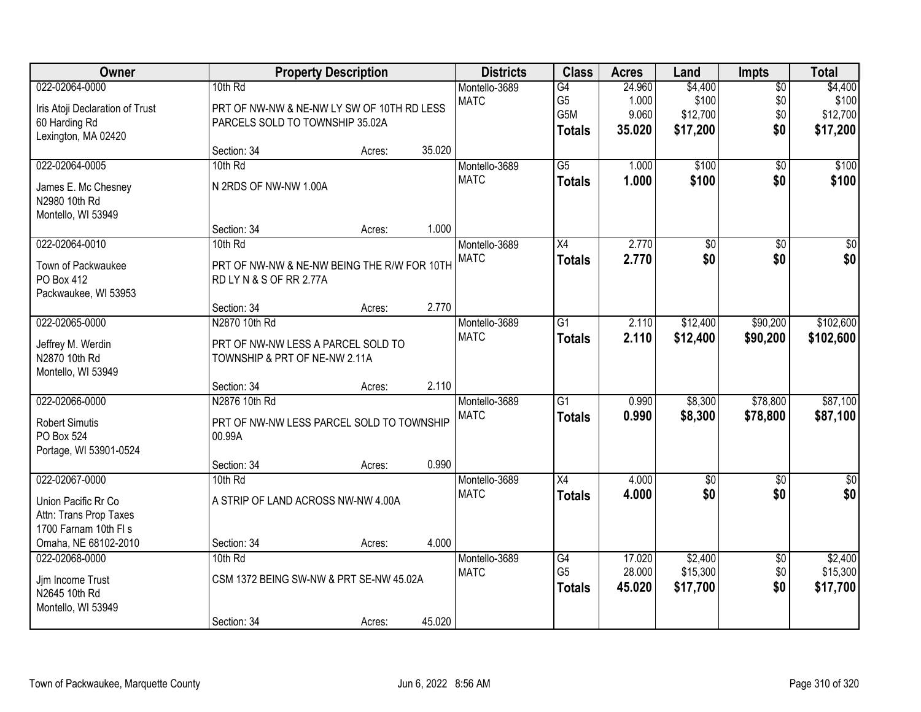| Owner                           |                                             | <b>Property Description</b> |        | <b>Districts</b> | <b>Class</b>     | <b>Acres</b> | Land            | <b>Impts</b>    | <b>Total</b>    |
|---------------------------------|---------------------------------------------|-----------------------------|--------|------------------|------------------|--------------|-----------------|-----------------|-----------------|
| 022-02064-0000                  | 10th Rd                                     |                             |        | Montello-3689    | $\overline{G4}$  | 24.960       | \$4,400         | $\overline{60}$ | \$4,400         |
| Iris Atoji Declaration of Trust | PRT OF NW-NW & NE-NW LY SW OF 10TH RD LESS  |                             |        | <b>MATC</b>      | G <sub>5</sub>   | 1.000        | \$100           | \$0             | \$100           |
| 60 Harding Rd                   | PARCELS SOLD TO TOWNSHIP 35.02A             |                             |        |                  | G <sub>5</sub> M | 9.060        | \$12,700        | \$0             | \$12,700        |
| Lexington, MA 02420             |                                             |                             |        |                  | <b>Totals</b>    | 35.020       | \$17,200        | \$0             | \$17,200        |
|                                 | Section: 34                                 | Acres:                      | 35.020 |                  |                  |              |                 |                 |                 |
| 022-02064-0005                  | 10th Rd                                     |                             |        | Montello-3689    | $\overline{G5}$  | 1.000        | \$100           | $\overline{50}$ | \$100           |
| James E. Mc Chesney             | N 2RDS OF NW-NW 1.00A                       |                             |        | <b>MATC</b>      | <b>Totals</b>    | 1.000        | \$100           | \$0             | \$100           |
| N2980 10th Rd                   |                                             |                             |        |                  |                  |              |                 |                 |                 |
| Montello, WI 53949              |                                             |                             |        |                  |                  |              |                 |                 |                 |
|                                 | Section: 34                                 | Acres:                      | 1.000  |                  |                  |              |                 |                 |                 |
| 022-02064-0010                  | 10th Rd                                     |                             |        | Montello-3689    | $\overline{X4}$  | 2.770        | $\overline{50}$ | \$0             | $\overline{30}$ |
| Town of Packwaukee              | PRT OF NW-NW & NE-NW BEING THE R/W FOR 10TH |                             |        | <b>MATC</b>      | <b>Totals</b>    | 2.770        | \$0             | \$0             | \$0             |
| PO Box 412                      | RD LY N & S OF RR 2.77A                     |                             |        |                  |                  |              |                 |                 |                 |
| Packwaukee, WI 53953            |                                             |                             |        |                  |                  |              |                 |                 |                 |
|                                 | Section: 34                                 | Acres:                      | 2.770  |                  |                  |              |                 |                 |                 |
| 022-02065-0000                  | N2870 10th Rd                               |                             |        | Montello-3689    | G1               | 2.110        | \$12,400        | \$90,200        | \$102,600       |
| Jeffrey M. Werdin               | PRT OF NW-NW LESS A PARCEL SOLD TO          |                             |        | <b>MATC</b>      | <b>Totals</b>    | 2.110        | \$12,400        | \$90,200        | \$102,600       |
| N2870 10th Rd                   | TOWNSHIP & PRT OF NE-NW 2.11A               |                             |        |                  |                  |              |                 |                 |                 |
| Montello, WI 53949              |                                             |                             |        |                  |                  |              |                 |                 |                 |
|                                 | Section: 34                                 | Acres:                      | 2.110  |                  |                  |              |                 |                 |                 |
| 022-02066-0000                  | N2876 10th Rd                               |                             |        | Montello-3689    | $\overline{G1}$  | 0.990        | \$8,300         | \$78,800        | \$87,100        |
| <b>Robert Simutis</b>           | PRT OF NW-NW LESS PARCEL SOLD TO TOWNSHIP   |                             |        | <b>MATC</b>      | <b>Totals</b>    | 0.990        | \$8,300         | \$78,800        | \$87,100        |
| PO Box 524                      | 00.99A                                      |                             |        |                  |                  |              |                 |                 |                 |
| Portage, WI 53901-0524          |                                             |                             |        |                  |                  |              |                 |                 |                 |
|                                 | Section: 34                                 | Acres:                      | 0.990  |                  |                  |              |                 |                 |                 |
| 022-02067-0000                  | 10th Rd                                     |                             |        | Montello-3689    | $\overline{X4}$  | 4.000        | $\overline{60}$ | $\sqrt{6}$      | $\sqrt{50}$     |
| Union Pacific Rr Co             | A STRIP OF LAND ACROSS NW-NW 4.00A          |                             |        | <b>MATC</b>      | <b>Totals</b>    | 4.000        | \$0             | \$0             | \$0             |
| Attn: Trans Prop Taxes          |                                             |                             |        |                  |                  |              |                 |                 |                 |
| 1700 Farnam 10th FI s           |                                             |                             |        |                  |                  |              |                 |                 |                 |
| Omaha, NE 68102-2010            | Section: 34                                 | Acres:                      | 4.000  |                  |                  |              |                 |                 |                 |
| 022-02068-0000                  | 10th Rd                                     |                             |        | Montello-3689    | $\overline{G4}$  | 17.020       | \$2,400         | $\overline{50}$ | \$2,400         |
| Jim Income Trust                | CSM 1372 BEING SW-NW & PRT SE-NW 45.02A     |                             |        | <b>MATC</b>      | G <sub>5</sub>   | 28.000       | \$15,300        | \$0             | \$15,300        |
| N2645 10th Rd                   |                                             |                             |        |                  | <b>Totals</b>    | 45.020       | \$17,700        | \$0             | \$17,700        |
| Montello, WI 53949              |                                             |                             |        |                  |                  |              |                 |                 |                 |
|                                 | Section: 34                                 | Acres:                      | 45.020 |                  |                  |              |                 |                 |                 |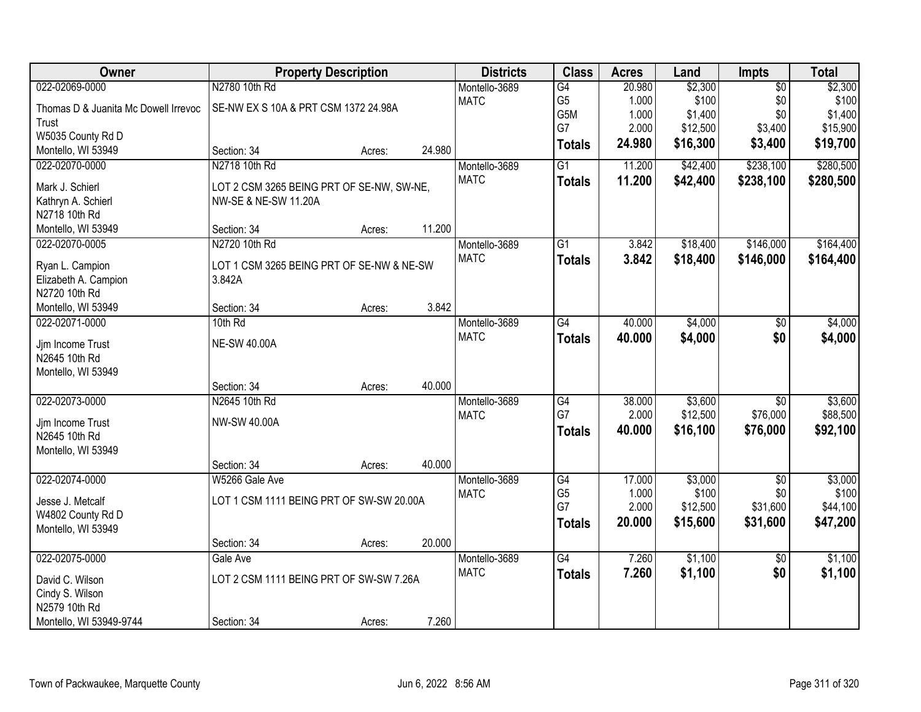| Owner                                |                                           | <b>Property Description</b> |        | <b>Districts</b> | <b>Class</b>         | <b>Acres</b> | Land     | <b>Impts</b>    | <b>Total</b> |
|--------------------------------------|-------------------------------------------|-----------------------------|--------|------------------|----------------------|--------------|----------|-----------------|--------------|
| 022-02069-0000                       | N2780 10th Rd                             |                             |        | Montello-3689    | G4                   | 20.980       | \$2,300  | $\overline{50}$ | \$2,300      |
| Thomas D & Juanita Mc Dowell Irrevoc | SE-NW EX S 10A & PRT CSM 1372 24.98A      |                             |        | <b>MATC</b>      | G <sub>5</sub>       | 1.000        | \$100    | \$0             | \$100        |
| Trust                                |                                           |                             |        |                  | G5M                  | 1.000        | \$1,400  | \$0             | \$1,400      |
| W5035 County Rd D                    |                                           |                             |        |                  | G7                   | 2.000        | \$12,500 | \$3,400         | \$15,900     |
| Montello, WI 53949                   | Section: 34                               | Acres:                      | 24.980 |                  | <b>Totals</b>        | 24.980       | \$16,300 | \$3,400         | \$19,700     |
| 022-02070-0000                       | N2718 10th Rd                             |                             |        | Montello-3689    | $\overline{G1}$      | 11.200       | \$42,400 | \$238,100       | \$280,500    |
| Mark J. Schierl                      | LOT 2 CSM 3265 BEING PRT OF SE-NW, SW-NE, |                             |        | <b>MATC</b>      | <b>Totals</b>        | 11.200       | \$42,400 | \$238,100       | \$280,500    |
| Kathryn A. Schierl                   | NW-SE & NE-SW 11.20A                      |                             |        |                  |                      |              |          |                 |              |
| N2718 10th Rd                        |                                           |                             |        |                  |                      |              |          |                 |              |
| Montello, WI 53949                   | Section: 34                               | Acres:                      | 11.200 |                  |                      |              |          |                 |              |
| 022-02070-0005                       | N2720 10th Rd                             |                             |        | Montello-3689    | $\overline{G1}$      | 3.842        | \$18,400 | \$146,000       | \$164,400    |
|                                      |                                           |                             |        | <b>MATC</b>      |                      | 3.842        | \$18,400 | \$146,000       | \$164,400    |
| Ryan L. Campion                      | LOT 1 CSM 3265 BEING PRT OF SE-NW & NE-SW |                             |        |                  | <b>Totals</b>        |              |          |                 |              |
| Elizabeth A. Campion                 | 3.842A                                    |                             |        |                  |                      |              |          |                 |              |
| N2720 10th Rd                        |                                           |                             |        |                  |                      |              |          |                 |              |
| Montello, WI 53949                   | Section: 34                               | Acres:                      | 3.842  |                  |                      |              |          |                 |              |
| 022-02071-0000                       | 10th Rd                                   |                             |        | Montello-3689    | G4                   | 40.000       | \$4,000  | $\sqrt[6]{}$    | \$4,000      |
| Jjm Income Trust                     | <b>NE-SW 40.00A</b>                       |                             |        | <b>MATC</b>      | <b>Totals</b>        | 40.000       | \$4,000  | \$0             | \$4,000      |
| N2645 10th Rd                        |                                           |                             |        |                  |                      |              |          |                 |              |
| Montello, WI 53949                   |                                           |                             |        |                  |                      |              |          |                 |              |
|                                      | Section: 34                               | Acres:                      | 40.000 |                  |                      |              |          |                 |              |
| 022-02073-0000                       | N2645 10th Rd                             |                             |        | Montello-3689    | $\overline{G4}$      | 38.000       | \$3,600  | $\overline{50}$ | \$3,600      |
|                                      |                                           |                             |        | <b>MATC</b>      | G7                   | 2.000        | \$12,500 | \$76,000        | \$88,500     |
| Jjm Income Trust                     | <b>NW-SW 40.00A</b>                       |                             |        |                  | <b>Totals</b>        | 40.000       | \$16,100 | \$76,000        | \$92,100     |
| N2645 10th Rd                        |                                           |                             |        |                  |                      |              |          |                 |              |
| Montello, WI 53949                   |                                           |                             |        |                  |                      |              |          |                 |              |
|                                      | Section: 34                               | Acres:                      | 40.000 |                  |                      |              |          |                 |              |
| 022-02074-0000                       | W5266 Gale Ave                            |                             |        | Montello-3689    | G4                   | 17.000       | \$3,000  | $\overline{60}$ | \$3,000      |
| Jesse J. Metcalf                     | LOT 1 CSM 1111 BEING PRT OF SW-SW 20.00A  |                             |        | <b>MATC</b>      | G <sub>5</sub><br>G7 | 1.000        | \$100    | \$0             | \$100        |
| W4802 County Rd D                    |                                           |                             |        |                  |                      | 2.000        | \$12,500 | \$31,600        | \$44,100     |
| Montello, WI 53949                   |                                           |                             |        |                  | <b>Totals</b>        | 20.000       | \$15,600 | \$31,600        | \$47,200     |
|                                      | Section: 34                               | Acres:                      | 20.000 |                  |                      |              |          |                 |              |
| 022-02075-0000                       | Gale Ave                                  |                             |        | Montello-3689    | $\overline{G4}$      | 7.260        | \$1,100  | $\overline{50}$ | \$1,100      |
| David C. Wilson                      | LOT 2 CSM 1111 BEING PRT OF SW-SW 7.26A   |                             |        | <b>MATC</b>      | <b>Totals</b>        | 7.260        | \$1,100  | \$0             | \$1,100      |
| Cindy S. Wilson                      |                                           |                             |        |                  |                      |              |          |                 |              |
| N2579 10th Rd                        |                                           |                             |        |                  |                      |              |          |                 |              |
| Montello, WI 53949-9744              | Section: 34                               | Acres:                      | 7.260  |                  |                      |              |          |                 |              |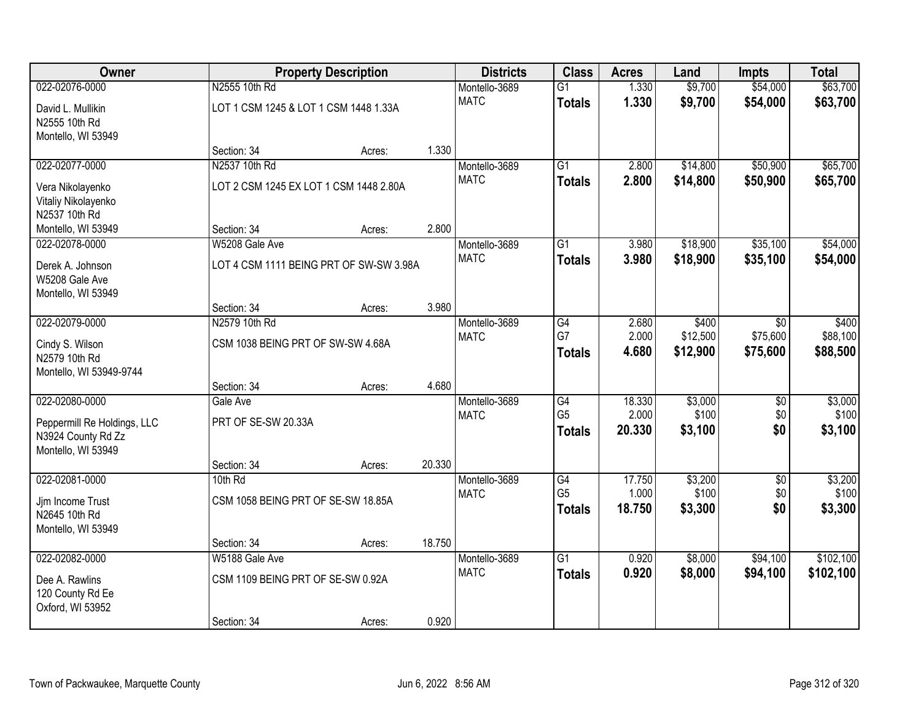| <b>Owner</b>                                      |                                         | <b>Property Description</b> |        | <b>Districts</b> | <b>Class</b>    | <b>Acres</b> | Land     | <b>Impts</b>    | <b>Total</b> |
|---------------------------------------------------|-----------------------------------------|-----------------------------|--------|------------------|-----------------|--------------|----------|-----------------|--------------|
| 022-02076-0000                                    | N2555 10th Rd                           |                             |        | Montello-3689    | $\overline{G1}$ | 1.330        | \$9,700  | \$54,000        | \$63,700     |
| David L. Mullikin                                 | LOT 1 CSM 1245 & LOT 1 CSM 1448 1.33A   |                             |        | <b>MATC</b>      | <b>Totals</b>   | 1.330        | \$9,700  | \$54,000        | \$63,700     |
| N2555 10th Rd                                     |                                         |                             |        |                  |                 |              |          |                 |              |
| Montello, WI 53949                                |                                         |                             |        |                  |                 |              |          |                 |              |
|                                                   | Section: 34                             | Acres:                      | 1.330  |                  |                 |              |          |                 |              |
| 022-02077-0000                                    | N2537 10th Rd                           |                             |        | Montello-3689    | $\overline{G1}$ | 2.800        | \$14,800 | \$50,900        | \$65,700     |
| Vera Nikolayenko                                  | LOT 2 CSM 1245 EX LOT 1 CSM 1448 2.80A  |                             |        | <b>MATC</b>      | <b>Totals</b>   | 2.800        | \$14,800 | \$50,900        | \$65,700     |
| Vitaliy Nikolayenko                               |                                         |                             |        |                  |                 |              |          |                 |              |
| N2537 10th Rd                                     |                                         |                             |        |                  |                 |              |          |                 |              |
| Montello, WI 53949                                | Section: 34                             | Acres:                      | 2.800  |                  |                 |              |          |                 |              |
| 022-02078-0000                                    | W5208 Gale Ave                          |                             |        | Montello-3689    | G1              | 3.980        | \$18,900 | \$35,100        | \$54,000     |
| Derek A. Johnson                                  | LOT 4 CSM 1111 BEING PRT OF SW-SW 3.98A |                             |        | <b>MATC</b>      | <b>Totals</b>   | 3.980        | \$18,900 | \$35,100        | \$54,000     |
| W5208 Gale Ave                                    |                                         |                             |        |                  |                 |              |          |                 |              |
| Montello, WI 53949                                |                                         |                             |        |                  |                 |              |          |                 |              |
|                                                   | Section: 34                             | Acres:                      | 3.980  |                  |                 |              |          |                 |              |
| 022-02079-0000                                    | N2579 10th Rd                           |                             |        | Montello-3689    | G4              | 2.680        | \$400    | \$0             | \$400        |
| Cindy S. Wilson                                   | CSM 1038 BEING PRT OF SW-SW 4.68A       |                             |        | <b>MATC</b>      | G7              | 2.000        | \$12,500 | \$75,600        | \$88,100     |
| N2579 10th Rd                                     |                                         |                             |        |                  | <b>Totals</b>   | 4.680        | \$12,900 | \$75,600        | \$88,500     |
| Montello, WI 53949-9744                           |                                         |                             |        |                  |                 |              |          |                 |              |
|                                                   | Section: 34                             | Acres:                      | 4.680  |                  |                 |              |          |                 |              |
| 022-02080-0000                                    | Gale Ave                                |                             |        | Montello-3689    | $\overline{G4}$ | 18.330       | \$3,000  | $\overline{50}$ | \$3,000      |
|                                                   | PRT OF SE-SW 20.33A                     |                             |        | <b>MATC</b>      | G <sub>5</sub>  | 2.000        | \$100    | \$0             | \$100        |
| Peppermill Re Holdings, LLC<br>N3924 County Rd Zz |                                         |                             |        |                  | <b>Totals</b>   | 20.330       | \$3,100  | \$0             | \$3,100      |
| Montello, WI 53949                                |                                         |                             |        |                  |                 |              |          |                 |              |
|                                                   | Section: 34                             | Acres:                      | 20.330 |                  |                 |              |          |                 |              |
| 022-02081-0000                                    | 10th Rd                                 |                             |        | Montello-3689    | G4              | 17.750       | \$3,200  | $\overline{50}$ | \$3,200      |
|                                                   |                                         |                             |        | <b>MATC</b>      | G <sub>5</sub>  | 1.000        | \$100    | \$0             | \$100        |
| Jjm Income Trust<br>N2645 10th Rd                 | CSM 1058 BEING PRT OF SE-SW 18.85A      |                             |        |                  | <b>Totals</b>   | 18.750       | \$3,300  | \$0             | \$3,300      |
| Montello, WI 53949                                |                                         |                             |        |                  |                 |              |          |                 |              |
|                                                   | Section: 34                             | Acres:                      | 18.750 |                  |                 |              |          |                 |              |
| 022-02082-0000                                    | W5188 Gale Ave                          |                             |        | Montello-3689    | $\overline{G1}$ | 0.920        | \$8,000  | \$94,100        | \$102,100    |
|                                                   | CSM 1109 BEING PRT OF SE-SW 0.92A       |                             |        | <b>MATC</b>      | <b>Totals</b>   | 0.920        | \$8,000  | \$94,100        | \$102,100    |
| Dee A. Rawlins<br>120 County Rd Ee                |                                         |                             |        |                  |                 |              |          |                 |              |
| Oxford, WI 53952                                  |                                         |                             |        |                  |                 |              |          |                 |              |
|                                                   | Section: 34                             | Acres:                      | 0.920  |                  |                 |              |          |                 |              |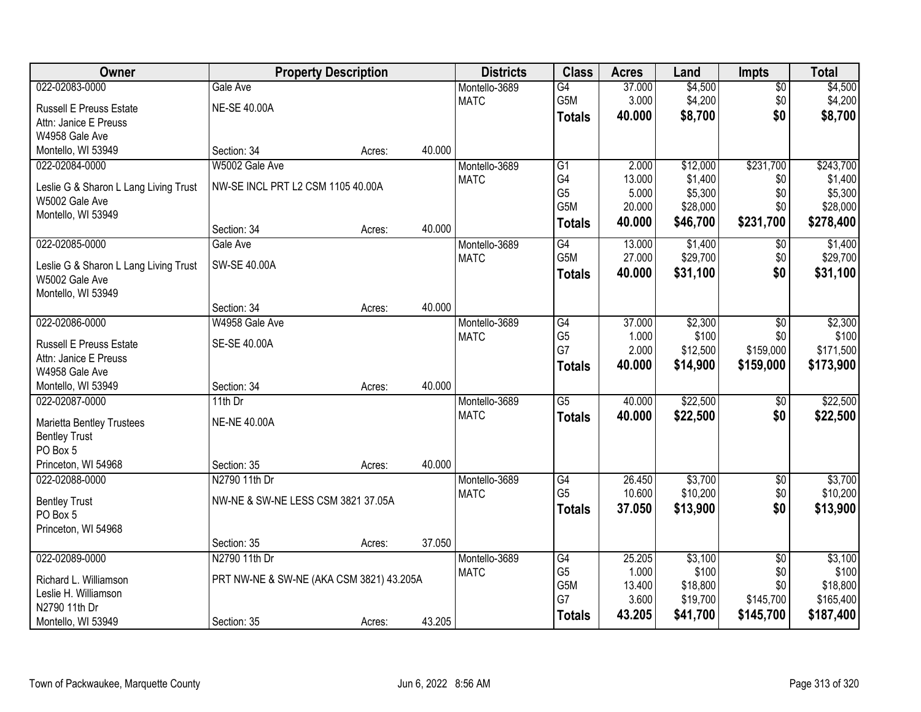| Owner                                 | <b>Property Description</b>              |        |        | <b>Districts</b> | <b>Class</b>          | <b>Acres</b>     | Land                 | <b>Impts</b>     | <b>Total</b>          |
|---------------------------------------|------------------------------------------|--------|--------|------------------|-----------------------|------------------|----------------------|------------------|-----------------------|
| 022-02083-0000                        | Gale Ave                                 |        |        | Montello-3689    | $\overline{G4}$       | 37.000           | \$4,500              | \$0              | \$4,500               |
| <b>Russell E Preuss Estate</b>        | <b>NE-SE 40.00A</b>                      |        |        | <b>MATC</b>      | G5M                   | 3.000            | \$4,200              | \$0              | \$4,200               |
| Attn: Janice E Preuss                 |                                          |        |        |                  | <b>Totals</b>         | 40.000           | \$8,700              | \$0              | \$8,700               |
| W4958 Gale Ave                        |                                          |        |        |                  |                       |                  |                      |                  |                       |
| Montello, WI 53949                    | Section: 34                              | Acres: | 40.000 |                  |                       |                  |                      |                  |                       |
| 022-02084-0000                        | W5002 Gale Ave                           |        |        | Montello-3689    | $\overline{G1}$       | 2.000            | \$12,000             | \$231,700        | \$243,700             |
| Leslie G & Sharon L Lang Living Trust | NW-SE INCL PRT L2 CSM 1105 40.00A        |        |        | <b>MATC</b>      | G4                    | 13.000           | \$1,400              | \$0              | \$1,400               |
| W5002 Gale Ave                        |                                          |        |        |                  | G <sub>5</sub><br>G5M | 5.000            | \$5,300              | \$0              | \$5,300               |
| Montello, WI 53949                    |                                          |        |        |                  |                       | 20.000<br>40.000 | \$28,000<br>\$46,700 | \$0<br>\$231,700 | \$28,000<br>\$278,400 |
|                                       | Section: 34                              | Acres: | 40.000 |                  | <b>Totals</b>         |                  |                      |                  |                       |
| 022-02085-0000                        | Gale Ave                                 |        |        | Montello-3689    | $\overline{G4}$       | 13.000           | \$1,400              | \$0              | \$1,400               |
| Leslie G & Sharon L Lang Living Trust | SW-SE 40.00A                             |        |        | <b>MATC</b>      | G5M                   | 27.000           | \$29,700             | \$0              | \$29,700              |
| W5002 Gale Ave                        |                                          |        |        |                  | <b>Totals</b>         | 40.000           | \$31,100             | \$0              | \$31,100              |
| Montello, WI 53949                    |                                          |        |        |                  |                       |                  |                      |                  |                       |
|                                       | Section: 34                              | Acres: | 40.000 |                  |                       |                  |                      |                  |                       |
| 022-02086-0000                        | W4958 Gale Ave                           |        |        | Montello-3689    | G4                    | 37.000           | \$2,300              | $\sqrt[6]{3}$    | \$2,300               |
| <b>Russell E Preuss Estate</b>        | SE-SE 40.00A                             |        |        | <b>MATC</b>      | G <sub>5</sub>        | 1.000            | \$100                | \$0              | \$100                 |
| Attn: Janice E Preuss                 |                                          |        |        |                  | G7                    | 2.000            | \$12,500             | \$159,000        | \$171,500             |
| W4958 Gale Ave                        |                                          |        |        |                  | <b>Totals</b>         | 40.000           | \$14,900             | \$159,000        | \$173,900             |
| Montello, WI 53949                    | Section: 34                              | Acres: | 40.000 |                  |                       |                  |                      |                  |                       |
| 022-02087-0000                        | 11th Dr                                  |        |        | Montello-3689    | $\overline{G5}$       | 40.000           | \$22,500             | $\overline{60}$  | \$22,500              |
| <b>Marietta Bentley Trustees</b>      | <b>NE-NE 40.00A</b>                      |        |        | <b>MATC</b>      | <b>Totals</b>         | 40.000           | \$22,500             | \$0              | \$22,500              |
| <b>Bentley Trust</b>                  |                                          |        |        |                  |                       |                  |                      |                  |                       |
| PO Box 5                              |                                          |        |        |                  |                       |                  |                      |                  |                       |
| Princeton, WI 54968                   | Section: 35                              | Acres: | 40.000 |                  |                       |                  |                      |                  |                       |
| 022-02088-0000                        | N2790 11th Dr                            |        |        | Montello-3689    | $\overline{G4}$       | 26.450           | \$3,700              | $\sqrt{6}$       | \$3,700               |
| <b>Bentley Trust</b>                  | NW-NE & SW-NE LESS CSM 3821 37.05A       |        |        | <b>MATC</b>      | G <sub>5</sub>        | 10.600           | \$10,200             | \$0              | \$10,200              |
| PO Box 5                              |                                          |        |        |                  | <b>Totals</b>         | 37.050           | \$13,900             | \$0              | \$13,900              |
| Princeton, WI 54968                   |                                          |        |        |                  |                       |                  |                      |                  |                       |
|                                       | Section: 35                              | Acres: | 37.050 |                  |                       |                  |                      |                  |                       |
| 022-02089-0000                        | N2790 11th Dr                            |        |        | Montello-3689    | G4                    | 25.205           | \$3,100              | $\overline{50}$  | \$3,100               |
| Richard L. Williamson                 | PRT NW-NE & SW-NE (AKA CSM 3821) 43.205A |        |        | <b>MATC</b>      | G <sub>5</sub>        | 1.000            | \$100                | \$0              | \$100                 |
| Leslie H. Williamson                  |                                          |        |        |                  | G5M<br>G7             | 13.400<br>3.600  | \$18,800<br>\$19,700 | \$0<br>\$145,700 | \$18,800<br>\$165,400 |
| N2790 11th Dr                         |                                          |        |        |                  | <b>Totals</b>         | 43.205           | \$41,700             | \$145,700        | \$187,400             |
| Montello, WI 53949                    | Section: 35                              | Acres: | 43.205 |                  |                       |                  |                      |                  |                       |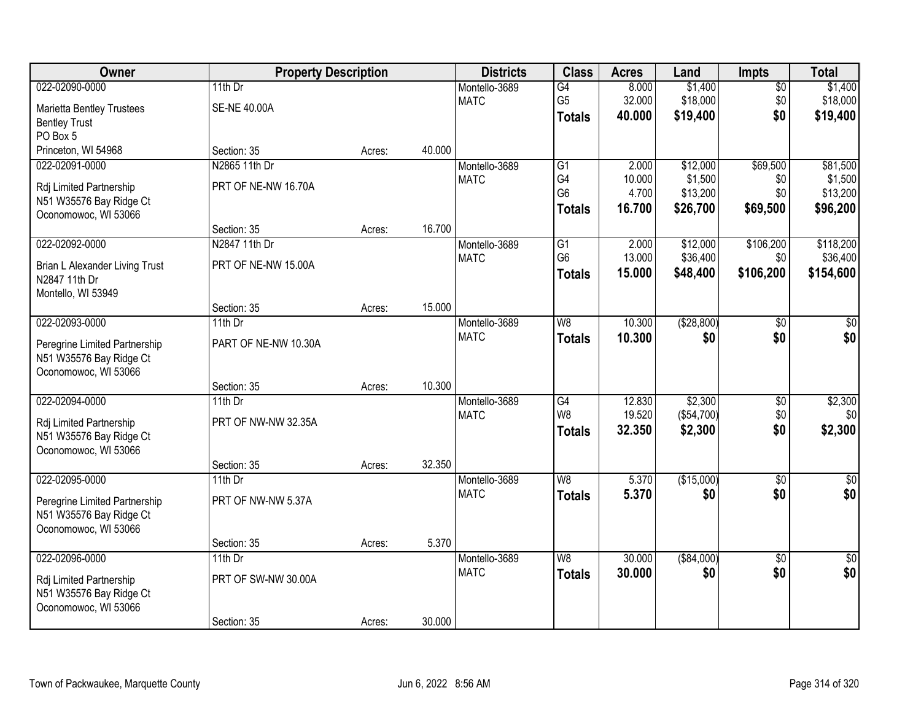| Owner                            | <b>Property Description</b> |        |        | <b>Districts</b> | <b>Class</b>             | <b>Acres</b> | Land         | Impts           | <b>Total</b>    |
|----------------------------------|-----------------------------|--------|--------|------------------|--------------------------|--------------|--------------|-----------------|-----------------|
| 022-02090-0000                   | 11th $Dr$                   |        |        | Montello-3689    | G4                       | 8.000        | \$1,400      | $\overline{50}$ | \$1,400         |
| <b>Marietta Bentley Trustees</b> | <b>SE-NE 40.00A</b>         |        |        | <b>MATC</b>      | G <sub>5</sub>           | 32.000       | \$18,000     | \$0             | \$18,000        |
| <b>Bentley Trust</b>             |                             |        |        |                  | <b>Totals</b>            | 40.000       | \$19,400     | \$0             | \$19,400        |
| PO Box 5                         |                             |        |        |                  |                          |              |              |                 |                 |
| Princeton, WI 54968              | Section: 35                 | Acres: | 40.000 |                  |                          |              |              |                 |                 |
| 022-02091-0000                   | N2865 11th Dr               |        |        | Montello-3689    | G1                       | 2.000        | \$12,000     | \$69,500        | \$81,500        |
| Rdj Limited Partnership          | PRT OF NE-NW 16.70A         |        |        | <b>MATC</b>      | G4                       | 10.000       | \$1,500      | \$0             | \$1,500         |
| N51 W35576 Bay Ridge Ct          |                             |        |        |                  | G <sub>6</sub>           | 4.700        | \$13,200     | \$0             | \$13,200        |
| Oconomowoc, WI 53066             |                             |        |        |                  | <b>Totals</b>            | 16.700       | \$26,700     | \$69,500        | \$96,200        |
|                                  | Section: 35                 | Acres: | 16.700 |                  |                          |              |              |                 |                 |
| 022-02092-0000                   | N2847 11th Dr               |        |        | Montello-3689    | G1                       | 2.000        | \$12,000     | \$106,200       | \$118,200       |
| Brian L Alexander Living Trust   | PRT OF NE-NW 15.00A         |        |        | <b>MATC</b>      | G <sub>6</sub>           | 13.000       | \$36,400     | \$0             | \$36,400        |
| N2847 11th Dr                    |                             |        |        |                  | <b>Totals</b>            | 15.000       | \$48,400     | \$106,200       | \$154,600       |
| Montello, WI 53949               |                             |        |        |                  |                          |              |              |                 |                 |
|                                  | Section: 35                 | Acres: | 15.000 |                  |                          |              |              |                 |                 |
| 022-02093-0000                   | $11th$ Dr                   |        |        | Montello-3689    | W <sub>8</sub>           | 10.300       | ( \$28, 800) | \$0             | \$0             |
| Peregrine Limited Partnership    | PART OF NE-NW 10.30A        |        |        | <b>MATC</b>      | <b>Totals</b>            | 10,300       | \$0          | \$0             | \$0             |
| N51 W35576 Bay Ridge Ct          |                             |        |        |                  |                          |              |              |                 |                 |
| Oconomowoc, WI 53066             |                             |        |        |                  |                          |              |              |                 |                 |
|                                  | Section: 35                 | Acres: | 10.300 |                  |                          |              |              |                 |                 |
| 022-02094-0000                   | 11th Dr                     |        |        | Montello-3689    | G4                       | 12.830       | \$2,300      | $\overline{50}$ | \$2,300         |
| Rdj Limited Partnership          | PRT OF NW-NW 32.35A         |        |        | <b>MATC</b>      | W <sub>8</sub>           | 19.520       | (\$54,700)   | \$0             | \$0             |
| N51 W35576 Bay Ridge Ct          |                             |        |        |                  | <b>Totals</b>            | 32.350       | \$2,300      | \$0             | \$2,300         |
| Oconomowoc, WI 53066             |                             |        |        |                  |                          |              |              |                 |                 |
|                                  | Section: 35                 | Acres: | 32.350 |                  |                          |              |              |                 |                 |
| 022-02095-0000                   | 11th $Dr$                   |        |        | Montello-3689    | $\overline{W8}$          | 5.370        | (\$15,000)   | $\overline{50}$ | $\overline{50}$ |
| Peregrine Limited Partnership    | PRT OF NW-NW 5.37A          |        |        | <b>MATC</b>      | <b>Totals</b>            | 5.370        | \$0          | \$0             | \$0             |
| N51 W35576 Bay Ridge Ct          |                             |        |        |                  |                          |              |              |                 |                 |
| Oconomowoc, WI 53066             |                             |        |        |                  |                          |              |              |                 |                 |
|                                  | Section: 35                 | Acres: | 5.370  |                  |                          |              |              |                 |                 |
| 022-02096-0000                   | 11th $Dr$                   |        |        | Montello-3689    | $\overline{\mathsf{W}8}$ | 30.000       | ( \$84,000)  | $\overline{50}$ | $\overline{50}$ |
| Rdj Limited Partnership          | PRT OF SW-NW 30.00A         |        |        | <b>MATC</b>      | <b>Totals</b>            | 30.000       | \$0          | \$0             | \$0             |
| N51 W35576 Bay Ridge Ct          |                             |        |        |                  |                          |              |              |                 |                 |
| Oconomowoc, WI 53066             |                             |        |        |                  |                          |              |              |                 |                 |
|                                  | Section: 35                 | Acres: | 30.000 |                  |                          |              |              |                 |                 |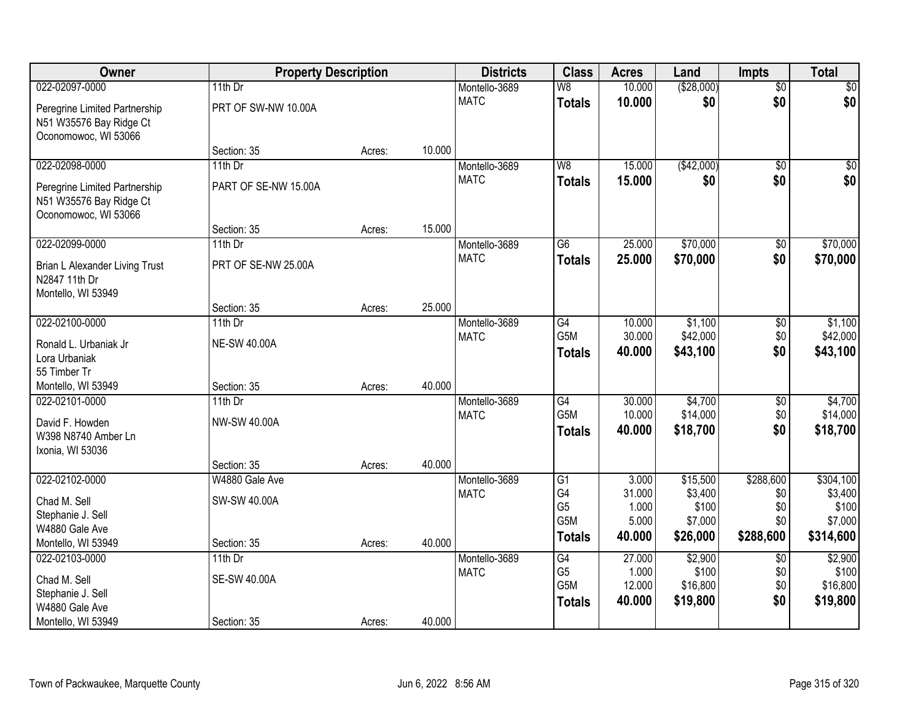| Owner                                                                                              | <b>Property Description</b>                     |        |        | <b>Districts</b>             | <b>Class</b>                                                    | <b>Acres</b>                                | Land                                                | <b>Impts</b>                                | <b>Total</b>                                          |
|----------------------------------------------------------------------------------------------------|-------------------------------------------------|--------|--------|------------------------------|-----------------------------------------------------------------|---------------------------------------------|-----------------------------------------------------|---------------------------------------------|-------------------------------------------------------|
| 022-02097-0000                                                                                     | 11th $Dr$                                       |        |        | Montello-3689                | W8                                                              | 10.000                                      | ( \$28,000)                                         | $\overline{50}$                             | \$0                                                   |
| Peregrine Limited Partnership<br>N51 W35576 Bay Ridge Ct<br>Oconomowoc, WI 53066                   | PRT OF SW-NW 10.00A                             |        |        | <b>MATC</b>                  | <b>Totals</b>                                                   | 10.000                                      | \$0                                                 | \$0                                         | \$0                                                   |
|                                                                                                    | Section: 35                                     | Acres: | 10.000 |                              |                                                                 |                                             |                                                     |                                             |                                                       |
| 022-02098-0000<br>Peregrine Limited Partnership<br>N51 W35576 Bay Ridge Ct<br>Oconomowoc, WI 53066 | $11th$ Dr<br>PART OF SE-NW 15.00A               |        |        | Montello-3689<br><b>MATC</b> | W8<br><b>Totals</b>                                             | 15.000<br>15.000                            | (\$42,000)<br>\$0                                   | $\overline{50}$<br>\$0                      | \$0<br>\$0                                            |
|                                                                                                    | Section: 35                                     | Acres: | 15.000 |                              | $\overline{G6}$                                                 |                                             | \$70,000                                            |                                             |                                                       |
| 022-02099-0000<br>Brian L Alexander Living Trust<br>N2847 11th Dr<br>Montello, WI 53949            | 11th Dr<br>PRT OF SE-NW 25.00A                  |        |        | Montello-3689<br><b>MATC</b> | <b>Totals</b>                                                   | 25.000<br>25.000                            | \$70,000                                            | \$0<br>\$0                                  | \$70,000<br>\$70,000                                  |
|                                                                                                    | Section: 35                                     | Acres: | 25.000 |                              |                                                                 |                                             |                                                     |                                             |                                                       |
| 022-02100-0000<br>Ronald L. Urbaniak Jr<br>Lora Urbaniak<br>55 Timber Tr                           | 11th $Dr$<br><b>NE-SW 40.00A</b>                |        |        | Montello-3689<br><b>MATC</b> | G4<br>G5M<br><b>Totals</b>                                      | 10.000<br>30.000<br>40.000                  | \$1,100<br>\$42,000<br>\$43,100                     | \$0<br>\$0<br>\$0                           | \$1,100<br>\$42,000<br>\$43,100                       |
| Montello, WI 53949                                                                                 | Section: 35                                     | Acres: | 40.000 |                              |                                                                 |                                             |                                                     |                                             |                                                       |
| 022-02101-0000<br>David F. Howden<br>W398 N8740 Amber Ln<br>Ixonia, WI 53036                       | 11th Dr<br>NW-SW 40.00A                         |        |        | Montello-3689<br><b>MATC</b> | $\overline{G4}$<br>G <sub>5</sub> M<br><b>Totals</b>            | 30.000<br>10.000<br>40.000                  | \$4,700<br>\$14,000<br>\$18,700                     | $\overline{50}$<br>\$0<br>\$0               | \$4,700<br>\$14,000<br>\$18,700                       |
|                                                                                                    | Section: 35                                     | Acres: | 40.000 |                              |                                                                 |                                             |                                                     |                                             |                                                       |
| 022-02102-0000<br>Chad M. Sell<br>Stephanie J. Sell<br>W4880 Gale Ave<br>Montello, WI 53949        | W4880 Gale Ave<br>SW-SW 40.00A<br>Section: 35   | Acres: | 40.000 | Montello-3689<br><b>MATC</b> | $\overline{G1}$<br>G4<br>G <sub>5</sub><br>G5M<br><b>Totals</b> | 3.000<br>31.000<br>1.000<br>5.000<br>40.000 | \$15,500<br>\$3,400<br>\$100<br>\$7,000<br>\$26,000 | \$288,600<br>\$0<br>\$0<br>\$0<br>\$288,600 | \$304,100<br>\$3,400<br>\$100<br>\$7,000<br>\$314,600 |
| 022-02103-0000<br>Chad M. Sell<br>Stephanie J. Sell<br>W4880 Gale Ave<br>Montello, WI 53949        | 11th $Dr$<br><b>SE-SW 40.00A</b><br>Section: 35 | Acres: | 40.000 | Montello-3689<br><b>MATC</b> | G4<br>G <sub>5</sub><br>G5M<br><b>Totals</b>                    | 27.000<br>1.000<br>12.000<br>40.000         | \$2,900<br>\$100<br>\$16,800<br>\$19,800            | $\overline{60}$<br>\$0<br>\$0<br>\$0        | \$2,900<br>\$100<br>\$16,800<br>\$19,800              |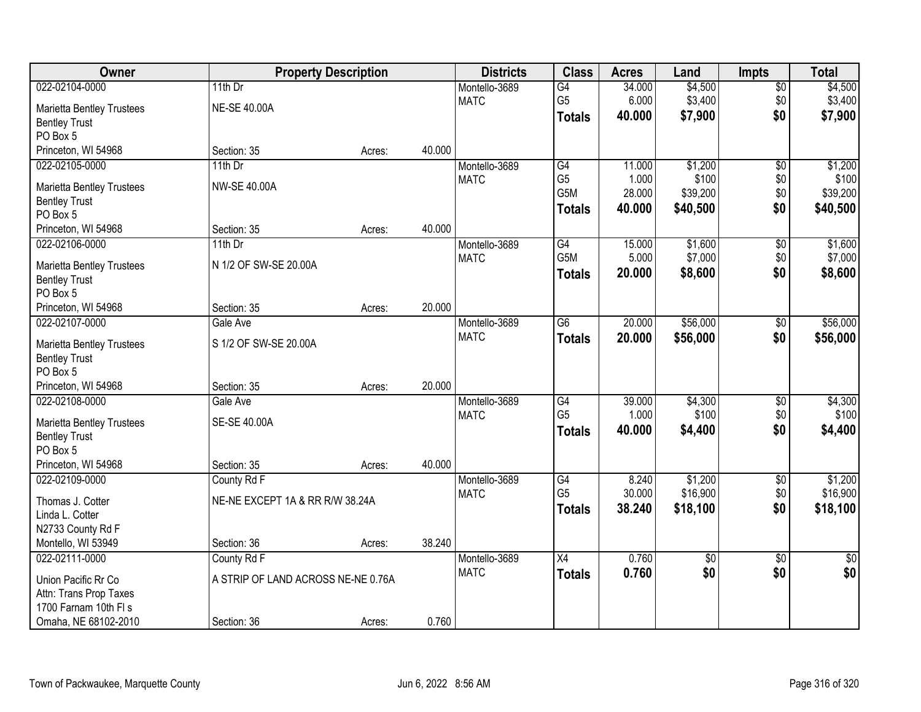| Owner                            |                                    | <b>Property Description</b> |        | <b>Districts</b> | <b>Class</b>     | <b>Acres</b> | Land            | <b>Impts</b>    | <b>Total</b> |
|----------------------------------|------------------------------------|-----------------------------|--------|------------------|------------------|--------------|-----------------|-----------------|--------------|
| 022-02104-0000                   | 11th Dr                            |                             |        | Montello-3689    | $\overline{G4}$  | 34.000       | \$4,500         | \$0             | \$4,500      |
| <b>Marietta Bentley Trustees</b> | <b>NE-SE 40.00A</b>                |                             |        | <b>MATC</b>      | G <sub>5</sub>   | 6.000        | \$3,400         | \$0             | \$3,400      |
| <b>Bentley Trust</b>             |                                    |                             |        |                  | <b>Totals</b>    | 40.000       | \$7,900         | \$0             | \$7,900      |
| PO Box 5                         |                                    |                             |        |                  |                  |              |                 |                 |              |
| Princeton, WI 54968              | Section: 35                        | Acres:                      | 40.000 |                  |                  |              |                 |                 |              |
| 022-02105-0000                   | 11th $Dr$                          |                             |        | Montello-3689    | G4               | 11.000       | \$1,200         | $\overline{50}$ | \$1,200      |
|                                  | <b>NW-SE 40.00A</b>                |                             |        | <b>MATC</b>      | G <sub>5</sub>   | 1.000        | \$100           | \$0             | \$100        |
| <b>Marietta Bentley Trustees</b> |                                    |                             |        |                  | G5M              | 28.000       | \$39,200        | \$0             | \$39,200     |
| <b>Bentley Trust</b><br>PO Box 5 |                                    |                             |        |                  | <b>Totals</b>    | 40.000       | \$40,500        | \$0             | \$40,500     |
| Princeton, WI 54968              | Section: 35                        | Acres:                      | 40.000 |                  |                  |              |                 |                 |              |
| 022-02106-0000                   | 11th $Dr$                          |                             |        | Montello-3689    | G4               | 15.000       | \$1,600         | \$0             | \$1,600      |
|                                  |                                    |                             |        | <b>MATC</b>      | G <sub>5</sub> M | 5.000        | \$7,000         | \$0             | \$7,000      |
| <b>Marietta Bentley Trustees</b> | N 1/2 OF SW-SE 20.00A              |                             |        |                  | <b>Totals</b>    | 20.000       | \$8,600         | \$0             | \$8,600      |
| <b>Bentley Trust</b>             |                                    |                             |        |                  |                  |              |                 |                 |              |
| PO Box 5                         |                                    |                             |        |                  |                  |              |                 |                 |              |
| Princeton, WI 54968              | Section: 35                        | Acres:                      | 20.000 |                  |                  |              |                 |                 |              |
| 022-02107-0000                   | Gale Ave                           |                             |        | Montello-3689    | $\overline{G6}$  | 20.000       | \$56,000        | $\frac{1}{20}$  | \$56,000     |
| <b>Marietta Bentley Trustees</b> | S 1/2 OF SW-SE 20.00A              |                             |        | <b>MATC</b>      | <b>Totals</b>    | 20.000       | \$56,000        | \$0             | \$56,000     |
| <b>Bentley Trust</b>             |                                    |                             |        |                  |                  |              |                 |                 |              |
| PO Box 5                         |                                    |                             |        |                  |                  |              |                 |                 |              |
| Princeton, WI 54968              | Section: 35                        | Acres:                      | 20.000 |                  |                  |              |                 |                 |              |
| 022-02108-0000                   | Gale Ave                           |                             |        | Montello-3689    | $\overline{G4}$  | 39.000       | \$4,300         | \$0             | \$4,300      |
| <b>Marietta Bentley Trustees</b> | SE-SE 40.00A                       |                             |        | <b>MATC</b>      | G <sub>5</sub>   | 1.000        | \$100           | \$0             | \$100        |
| <b>Bentley Trust</b>             |                                    |                             |        |                  | <b>Totals</b>    | 40.000       | \$4,400         | \$0             | \$4,400      |
| PO Box 5                         |                                    |                             |        |                  |                  |              |                 |                 |              |
| Princeton, WI 54968              | Section: 35                        | Acres:                      | 40.000 |                  |                  |              |                 |                 |              |
| 022-02109-0000                   | County Rd F                        |                             |        | Montello-3689    | $\overline{G4}$  | 8.240        | \$1,200         | $\overline{$0}$ | \$1,200      |
| Thomas J. Cotter                 | NE-NE EXCEPT 1A & RR R/W 38.24A    |                             |        | <b>MATC</b>      | G <sub>5</sub>   | 30.000       | \$16,900        | \$0             | \$16,900     |
| Linda L. Cotter                  |                                    |                             |        |                  | <b>Totals</b>    | 38.240       | \$18,100        | \$0             | \$18,100     |
| N2733 County Rd F                |                                    |                             |        |                  |                  |              |                 |                 |              |
| Montello, WI 53949               | Section: 36                        | Acres:                      | 38.240 |                  |                  |              |                 |                 |              |
| 022-02111-0000                   | County Rd F                        |                             |        | Montello-3689    | $\overline{X4}$  | 0.760        | $\overline{50}$ | $\overline{30}$ | $\sqrt{50}$  |
|                                  |                                    |                             |        | <b>MATC</b>      | <b>Totals</b>    | 0.760        | \$0             | \$0             | \$0          |
| Union Pacific Rr Co              | A STRIP OF LAND ACROSS NE-NE 0.76A |                             |        |                  |                  |              |                 |                 |              |
| Attn: Trans Prop Taxes           |                                    |                             |        |                  |                  |              |                 |                 |              |
| 1700 Farnam 10th FI s            |                                    |                             | 0.760  |                  |                  |              |                 |                 |              |
| Omaha, NE 68102-2010             | Section: 36                        | Acres:                      |        |                  |                  |              |                 |                 |              |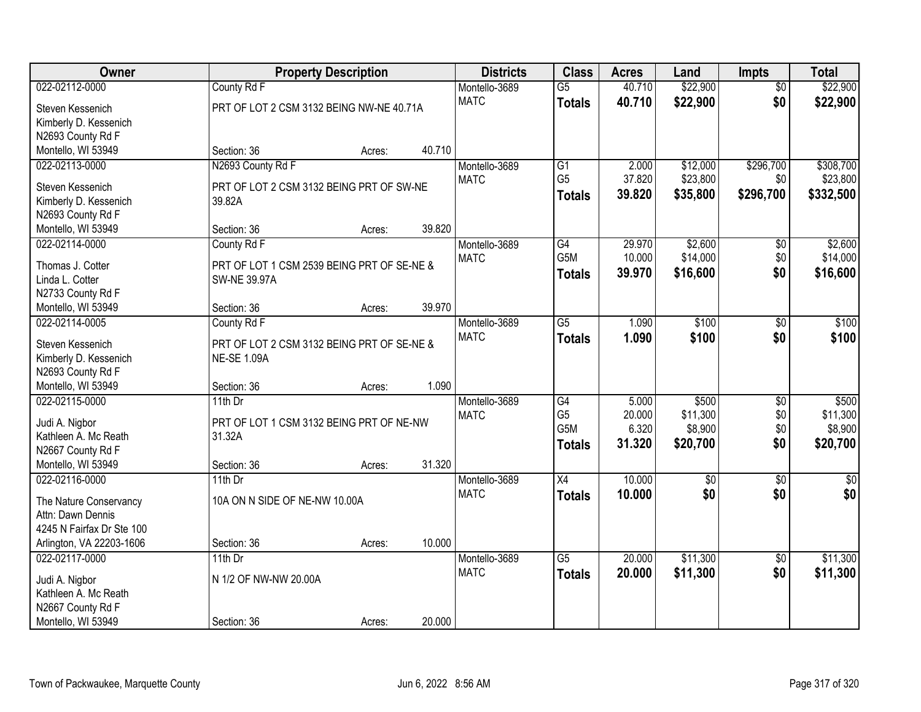| Owner                                      |                                            | <b>Property Description</b> |        | <b>Districts</b> | <b>Class</b>    | <b>Acres</b> | Land            | <b>Impts</b>    | <b>Total</b> |
|--------------------------------------------|--------------------------------------------|-----------------------------|--------|------------------|-----------------|--------------|-----------------|-----------------|--------------|
| 022-02112-0000                             | County Rd F                                |                             |        | Montello-3689    | $\overline{G5}$ | 40.710       | \$22,900        | $\overline{50}$ | \$22,900     |
| Steven Kessenich                           | PRT OF LOT 2 CSM 3132 BEING NW-NE 40.71A   |                             |        | <b>MATC</b>      | <b>Totals</b>   | 40.710       | \$22,900        | \$0             | \$22,900     |
| Kimberly D. Kessenich                      |                                            |                             |        |                  |                 |              |                 |                 |              |
| N2693 County Rd F                          |                                            |                             |        |                  |                 |              |                 |                 |              |
| Montello, WI 53949                         | Section: 36                                | Acres:                      | 40.710 |                  |                 |              |                 |                 |              |
| 022-02113-0000                             | N2693 County Rd F                          |                             |        | Montello-3689    | $\overline{G1}$ | 2.000        | \$12,000        | \$296,700       | \$308,700    |
|                                            |                                            |                             |        | <b>MATC</b>      | G <sub>5</sub>  | 37.820       | \$23,800        | \$0             | \$23,800     |
| Steven Kessenich                           | PRT OF LOT 2 CSM 3132 BEING PRT OF SW-NE   |                             |        |                  | <b>Totals</b>   | 39.820       | \$35,800        | \$296,700       | \$332,500    |
| Kimberly D. Kessenich                      | 39.82A                                     |                             |        |                  |                 |              |                 |                 |              |
| N2693 County Rd F                          |                                            |                             |        |                  |                 |              |                 |                 |              |
| Montello, WI 53949                         | Section: 36                                | Acres:                      | 39.820 |                  |                 |              |                 |                 |              |
| 022-02114-0000                             | County Rd F                                |                             |        | Montello-3689    | G4              | 29.970       | \$2,600         | \$0             | \$2,600      |
| Thomas J. Cotter                           | PRT OF LOT 1 CSM 2539 BEING PRT OF SE-NE & |                             |        | <b>MATC</b>      | G5M             | 10.000       | \$14,000        | \$0             | \$14,000     |
| Linda L. Cotter                            | <b>SW-NE 39.97A</b>                        |                             |        |                  | <b>Totals</b>   | 39.970       | \$16,600        | \$0             | \$16,600     |
| N2733 County Rd F                          |                                            |                             |        |                  |                 |              |                 |                 |              |
| Montello, WI 53949                         | Section: 36                                | Acres:                      | 39.970 |                  |                 |              |                 |                 |              |
| 022-02114-0005                             | County Rd F                                |                             |        | Montello-3689    | $\overline{G5}$ | 1.090        | \$100           | \$0             | \$100        |
|                                            |                                            |                             |        | <b>MATC</b>      | <b>Totals</b>   | 1.090        | \$100           | \$0             | \$100        |
| Steven Kessenich                           | PRT OF LOT 2 CSM 3132 BEING PRT OF SE-NE & |                             |        |                  |                 |              |                 |                 |              |
| Kimberly D. Kessenich                      | <b>NE-SE 1.09A</b>                         |                             |        |                  |                 |              |                 |                 |              |
| N2693 County Rd F                          |                                            |                             |        |                  |                 |              |                 |                 |              |
| Montello, WI 53949                         | Section: 36                                | Acres:                      | 1.090  |                  |                 |              |                 |                 |              |
| 022-02115-0000                             | $11th$ Dr                                  |                             |        | Montello-3689    | $\overline{G4}$ | 5.000        | \$500           | $\overline{30}$ | \$500        |
| Judi A. Nigbor                             | PRT OF LOT 1 CSM 3132 BEING PRT OF NE-NW   |                             |        | <b>MATC</b>      | G <sub>5</sub>  | 20.000       | \$11,300        | \$0             | \$11,300     |
| Kathleen A. Mc Reath                       | 31.32A                                     |                             |        |                  | G5M             | 6.320        | \$8,900         | \$0             | \$8,900      |
| N2667 County Rd F                          |                                            |                             |        |                  | <b>Totals</b>   | 31.320       | \$20,700        | \$0             | \$20,700     |
| Montello, WI 53949                         | Section: 36                                | Acres:                      | 31.320 |                  |                 |              |                 |                 |              |
| 022-02116-0000                             | 11th Dr                                    |                             |        | Montello-3689    | X4              | 10.000       | $\overline{50}$ | $\overline{50}$ | $\sqrt{50}$  |
|                                            | 10A ON N SIDE OF NE-NW 10.00A              |                             |        | <b>MATC</b>      | <b>Totals</b>   | 10.000       | \$0             | \$0             | \$0          |
| The Nature Conservancy                     |                                            |                             |        |                  |                 |              |                 |                 |              |
| Attn: Dawn Dennis                          |                                            |                             |        |                  |                 |              |                 |                 |              |
| 4245 N Fairfax Dr Ste 100                  |                                            |                             | 10.000 |                  |                 |              |                 |                 |              |
| Arlington, VA 22203-1606<br>022-02117-0000 | Section: 36                                | Acres:                      |        |                  | $\overline{G5}$ | 20.000       |                 |                 |              |
|                                            | $11th$ Dr                                  |                             |        | Montello-3689    |                 |              | \$11,300        | $\overline{50}$ | \$11,300     |
| Judi A. Nigbor                             | N 1/2 OF NW-NW 20.00A                      |                             |        | <b>MATC</b>      | <b>Totals</b>   | 20.000       | \$11,300        | \$0             | \$11,300     |
| Kathleen A. Mc Reath                       |                                            |                             |        |                  |                 |              |                 |                 |              |
| N2667 County Rd F                          |                                            |                             |        |                  |                 |              |                 |                 |              |
| Montello, WI 53949                         | Section: 36                                | Acres:                      | 20.000 |                  |                 |              |                 |                 |              |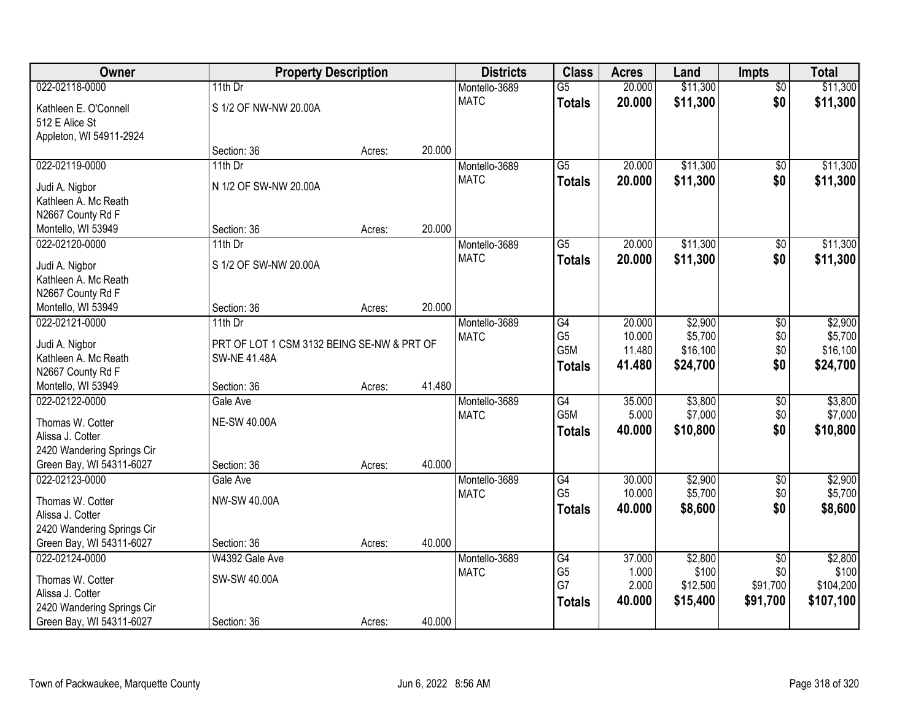| <b>Owner</b>                              |                                            | <b>Property Description</b> |        | <b>Districts</b> | <b>Class</b>           | <b>Acres</b>    | Land     | <b>Impts</b>    | <b>Total</b> |
|-------------------------------------------|--------------------------------------------|-----------------------------|--------|------------------|------------------------|-----------------|----------|-----------------|--------------|
| 022-02118-0000                            | 11th $Dr$                                  |                             |        | Montello-3689    | $\overline{G5}$        | 20.000          | \$11,300 | $\overline{50}$ | \$11,300     |
| Kathleen E. O'Connell                     | S 1/2 OF NW-NW 20.00A                      |                             |        | <b>MATC</b>      | <b>Totals</b>          | 20.000          | \$11,300 | \$0             | \$11,300     |
| 512 E Alice St                            |                                            |                             |        |                  |                        |                 |          |                 |              |
| Appleton, WI 54911-2924                   |                                            |                             |        |                  |                        |                 |          |                 |              |
|                                           | Section: 36                                | Acres:                      | 20.000 |                  |                        |                 |          |                 |              |
| 022-02119-0000                            | $11th$ Dr                                  |                             |        | Montello-3689    | $\overline{G5}$        | 20.000          | \$11,300 | \$0             | \$11,300     |
| Judi A. Nigbor                            | N 1/2 OF SW-NW 20.00A                      |                             |        | <b>MATC</b>      | <b>Totals</b>          | 20.000          | \$11,300 | \$0             | \$11,300     |
| Kathleen A. Mc Reath                      |                                            |                             |        |                  |                        |                 |          |                 |              |
| N2667 County Rd F                         |                                            |                             |        |                  |                        |                 |          |                 |              |
| Montello, WI 53949                        | Section: 36                                | Acres:                      | 20.000 |                  |                        |                 |          |                 |              |
| 022-02120-0000                            | 11th Dr                                    |                             |        | Montello-3689    | $\overline{G5}$        | 20.000          | \$11,300 | \$0             | \$11,300     |
|                                           |                                            |                             |        | <b>MATC</b>      | <b>Totals</b>          | 20.000          | \$11,300 | \$0             | \$11,300     |
| Judi A. Nigbor                            | S 1/2 OF SW-NW 20.00A                      |                             |        |                  |                        |                 |          |                 |              |
| Kathleen A. Mc Reath<br>N2667 County Rd F |                                            |                             |        |                  |                        |                 |          |                 |              |
| Montello, WI 53949                        | Section: 36                                | Acres:                      | 20.000 |                  |                        |                 |          |                 |              |
| 022-02121-0000                            | $11th$ Dr                                  |                             |        | Montello-3689    | G4                     | 20.000          | \$2,900  | $\sqrt[6]{3}$   | \$2,900      |
|                                           |                                            |                             |        | <b>MATC</b>      | G <sub>5</sub>         | 10.000          | \$5,700  | \$0             | \$5,700      |
| Judi A. Nigbor                            | PRT OF LOT 1 CSM 3132 BEING SE-NW & PRT OF |                             |        |                  | G5M                    | 11.480          | \$16,100 | \$0             | \$16,100     |
| Kathleen A. Mc Reath                      | <b>SW-NE 41.48A</b>                        |                             |        |                  | <b>Totals</b>          | 41.480          | \$24,700 | \$0             | \$24,700     |
| N2667 County Rd F                         |                                            |                             |        |                  |                        |                 |          |                 |              |
| Montello, WI 53949                        | Section: 36                                | Acres:                      | 41.480 |                  |                        |                 |          |                 |              |
| 022-02122-0000                            | Gale Ave                                   |                             |        | Montello-3689    | G4<br>G <sub>5</sub> M | 35.000<br>5.000 | \$3,800  | $\overline{50}$ | \$3,800      |
| Thomas W. Cotter                          | <b>NE-SW 40.00A</b>                        |                             |        | <b>MATC</b>      |                        |                 | \$7,000  | \$0<br>\$0      | \$7,000      |
| Alissa J. Cotter                          |                                            |                             |        |                  | <b>Totals</b>          | 40.000          | \$10,800 |                 | \$10,800     |
| 2420 Wandering Springs Cir                |                                            |                             |        |                  |                        |                 |          |                 |              |
| Green Bay, WI 54311-6027                  | Section: 36                                | Acres:                      | 40.000 |                  |                        |                 |          |                 |              |
| 022-02123-0000                            | Gale Ave                                   |                             |        | Montello-3689    | G4                     | 30.000          | \$2,900  | $\sqrt{6}$      | \$2,900      |
| Thomas W. Cotter                          | NW-SW 40.00A                               |                             |        | <b>MATC</b>      | G <sub>5</sub>         | 10.000          | \$5,700  | \$0             | \$5,700      |
| Alissa J. Cotter                          |                                            |                             |        |                  | <b>Totals</b>          | 40.000          | \$8,600  | \$0             | \$8,600      |
| 2420 Wandering Springs Cir                |                                            |                             |        |                  |                        |                 |          |                 |              |
| Green Bay, WI 54311-6027                  | Section: 36                                | Acres:                      | 40.000 |                  |                        |                 |          |                 |              |
| 022-02124-0000                            | W4392 Gale Ave                             |                             |        | Montello-3689    | G4                     | 37.000          | \$2,800  | $\overline{60}$ | \$2,800      |
| Thomas W. Cotter                          | SW-SW 40.00A                               |                             |        | <b>MATC</b>      | G <sub>5</sub>         | 1.000           | \$100    | \$0             | \$100        |
| Alissa J. Cotter                          |                                            |                             |        |                  | G7                     | 2.000           | \$12,500 | \$91,700        | \$104,200    |
| 2420 Wandering Springs Cir                |                                            |                             |        |                  | <b>Totals</b>          | 40.000          | \$15,400 | \$91,700        | \$107,100    |
| Green Bay, WI 54311-6027                  | Section: 36                                | Acres:                      | 40.000 |                  |                        |                 |          |                 |              |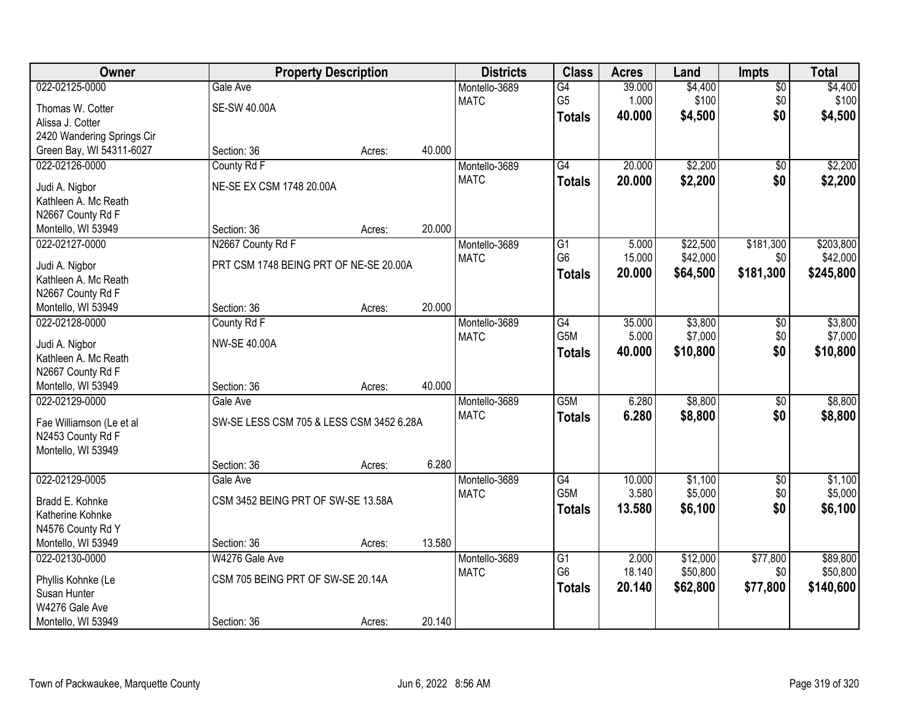| Owner                                  |                                          | <b>Property Description</b> |        | <b>Districts</b> | <b>Class</b>    | <b>Acres</b> | Land     | <b>Impts</b>    | <b>Total</b> |
|----------------------------------------|------------------------------------------|-----------------------------|--------|------------------|-----------------|--------------|----------|-----------------|--------------|
| 022-02125-0000                         | Gale Ave                                 |                             |        | Montello-3689    | G4              | 39.000       | \$4,400  | $\overline{50}$ | \$4,400      |
| Thomas W. Cotter                       | <b>SE-SW 40.00A</b>                      |                             |        | <b>MATC</b>      | G <sub>5</sub>  | 1.000        | \$100    | \$0             | \$100        |
| Alissa J. Cotter                       |                                          |                             |        |                  | <b>Totals</b>   | 40.000       | \$4,500  | \$0             | \$4,500      |
| 2420 Wandering Springs Cir             |                                          |                             |        |                  |                 |              |          |                 |              |
| Green Bay, WI 54311-6027               | Section: 36                              | Acres:                      | 40.000 |                  |                 |              |          |                 |              |
| 022-02126-0000                         | County Rd F                              |                             |        | Montello-3689    | $\overline{G4}$ | 20.000       | \$2,200  | $\overline{50}$ | \$2,200      |
|                                        | NE-SE EX CSM 1748 20.00A                 |                             |        | <b>MATC</b>      | <b>Totals</b>   | 20.000       | \$2,200  | \$0             | \$2,200      |
| Judi A. Nigbor<br>Kathleen A. Mc Reath |                                          |                             |        |                  |                 |              |          |                 |              |
| N2667 County Rd F                      |                                          |                             |        |                  |                 |              |          |                 |              |
| Montello, WI 53949                     | Section: 36                              | Acres:                      | 20.000 |                  |                 |              |          |                 |              |
| 022-02127-0000                         | N2667 County Rd F                        |                             |        | Montello-3689    | $\overline{G1}$ | 5.000        | \$22,500 | \$181,300       | \$203,800    |
|                                        |                                          |                             |        | <b>MATC</b>      | G <sub>6</sub>  | 15.000       | \$42,000 | \$0             | \$42,000     |
| Judi A. Nigbor                         | PRT CSM 1748 BEING PRT OF NE-SE 20.00A   |                             |        |                  | <b>Totals</b>   | 20,000       | \$64,500 | \$181,300       | \$245,800    |
| Kathleen A. Mc Reath                   |                                          |                             |        |                  |                 |              |          |                 |              |
| N2667 County Rd F                      |                                          |                             | 20.000 |                  |                 |              |          |                 |              |
| Montello, WI 53949<br>022-02128-0000   | Section: 36<br>County Rd F               | Acres:                      |        | Montello-3689    | $\overline{G4}$ | 35.000       | \$3,800  |                 | \$3,800      |
|                                        |                                          |                             |        | <b>MATC</b>      | G5M             | 5.000        | \$7,000  | \$0<br>\$0      | \$7,000      |
| Judi A. Nigbor                         | NW-SE 40.00A                             |                             |        |                  |                 | 40.000       | \$10,800 | \$0             | \$10,800     |
| Kathleen A. Mc Reath                   |                                          |                             |        |                  | <b>Totals</b>   |              |          |                 |              |
| N2667 County Rd F                      |                                          |                             |        |                  |                 |              |          |                 |              |
| Montello, WI 53949                     | Section: 36                              | Acres:                      | 40.000 |                  |                 |              |          |                 |              |
| 022-02129-0000                         | Gale Ave                                 |                             |        | Montello-3689    | G5M             | 6.280        | \$8,800  | $\overline{30}$ | \$8,800      |
| Fae Williamson (Le et al               | SW-SE LESS CSM 705 & LESS CSM 3452 6.28A |                             |        | <b>MATC</b>      | <b>Totals</b>   | 6.280        | \$8,800  | \$0             | \$8,800      |
| N2453 County Rd F                      |                                          |                             |        |                  |                 |              |          |                 |              |
| Montello, WI 53949                     |                                          |                             |        |                  |                 |              |          |                 |              |
|                                        | Section: 36                              | Acres:                      | 6.280  |                  |                 |              |          |                 |              |
| 022-02129-0005                         | Gale Ave                                 |                             |        | Montello-3689    | $\overline{G4}$ | 10.000       | \$1,100  | $\sqrt{$0}$     | \$1,100      |
| Bradd E. Kohnke                        | CSM 3452 BEING PRT OF SW-SE 13.58A       |                             |        | <b>MATC</b>      | G5M             | 3.580        | \$5,000  | \$0             | \$5,000      |
| Katherine Kohnke                       |                                          |                             |        |                  | <b>Totals</b>   | 13.580       | \$6,100  | \$0             | \$6,100      |
| N4576 County Rd Y                      |                                          |                             |        |                  |                 |              |          |                 |              |
| Montello, WI 53949                     | Section: 36                              | Acres:                      | 13.580 |                  |                 |              |          |                 |              |
| 022-02130-0000                         | W4276 Gale Ave                           |                             |        | Montello-3689    | G1              | 2.000        | \$12,000 | \$77,800        | \$89,800     |
|                                        |                                          |                             |        | <b>MATC</b>      | G <sub>6</sub>  | 18.140       | \$50,800 | \$0             | \$50,800     |
| Phyllis Kohnke (Le                     | CSM 705 BEING PRT OF SW-SE 20.14A        |                             |        |                  | <b>Totals</b>   | 20.140       | \$62,800 | \$77,800        | \$140,600    |
| Susan Hunter<br>W4276 Gale Ave         |                                          |                             |        |                  |                 |              |          |                 |              |
| Montello, WI 53949                     | Section: 36                              |                             | 20.140 |                  |                 |              |          |                 |              |
|                                        |                                          | Acres:                      |        |                  |                 |              |          |                 |              |